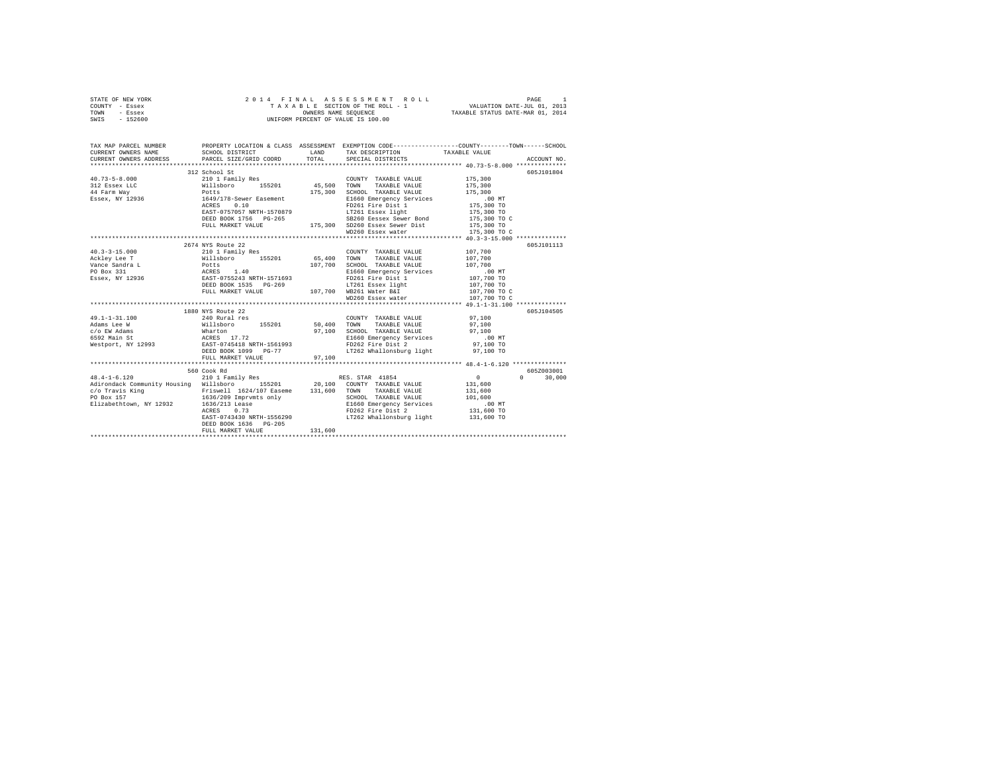|                | STATE OF NEW YORK |  |  | 2014 FINAL ASSESSMENT ROLL         | PAGE                             |  |
|----------------|-------------------|--|--|------------------------------------|----------------------------------|--|
| COUNTY - Essex |                   |  |  | TAXABLE SECTION OF THE ROLL - 1    | VALUATION DATE-JUL 01, 2013      |  |
| TOWN           | - Essex           |  |  | OWNERS NAME SEOUENCE               | TAXABLE STATUS DATE-MAR 01, 2014 |  |
| SWIS           | - 152600          |  |  | UNIFORM PERCENT OF VALUE IS 100.00 |                                  |  |

| TAX MAP PARCEL NUMBER                                                                                                                                                                                                                                              | PROPERTY LOCATION & CLASS ASSESSMENT EXEMPTION CODE----------------COUNTY-------TOWN-----SCHOOL                                                                                    |         |                                                                                                 |                            |               |
|--------------------------------------------------------------------------------------------------------------------------------------------------------------------------------------------------------------------------------------------------------------------|------------------------------------------------------------------------------------------------------------------------------------------------------------------------------------|---------|-------------------------------------------------------------------------------------------------|----------------------------|---------------|
| CURRENT OWNERS NAME                                                                                                                                                                                                                                                | SCHOOL DISTRICT                        LAND        TAX DESCRIPTION                 TAXABLE VALUE                                                                                   |         |                                                                                                 |                            |               |
| CURRENT OWNERS ADDRESS PARCEL SIZE/GRID COORD TOTAL SPECIAL DISTRICTS                                                                                                                                                                                              |                                                                                                                                                                                    |         |                                                                                                 |                            | ACCOUNT NO.   |
|                                                                                                                                                                                                                                                                    | 312 School St                                                                                                                                                                      |         |                                                                                                 |                            | 605J101804    |
|                                                                                                                                                                                                                                                                    |                                                                                                                                                                                    |         | $\begin{tabular}{lllllll} \textbf{COUNTY} & \textbf{TAXABLE VALUE} & & & 175,300 \end{tabular}$ |                            |               |
|                                                                                                                                                                                                                                                                    |                                                                                                                                                                                    |         |                                                                                                 |                            |               |
|                                                                                                                                                                                                                                                                    |                                                                                                                                                                                    |         |                                                                                                 | 175,300<br>175,300         |               |
|                                                                                                                                                                                                                                                                    |                                                                                                                                                                                    |         |                                                                                                 |                            |               |
|                                                                                                                                                                                                                                                                    | 1649/178-Sewer Easement -------- E1660 Emergency Services 0.10 NT<br>ACRES 0.10 P261 Fire Dist 175,300 TO<br>EAST-0757057 RRTH-1570879 FAT261 Easex light 175,300 TO<br>ACRES 0.10 |         |                                                                                                 |                            |               |
|                                                                                                                                                                                                                                                                    |                                                                                                                                                                                    |         |                                                                                                 |                            |               |
|                                                                                                                                                                                                                                                                    |                                                                                                                                                                                    |         | SB260 Eessex Sewer Bond 175,300 TO C                                                            |                            |               |
|                                                                                                                                                                                                                                                                    |                                                                                                                                                                                    |         |                                                                                                 |                            |               |
|                                                                                                                                                                                                                                                                    |                                                                                                                                                                                    |         |                                                                                                 | 175,300 TO<br>175,300 TO C |               |
|                                                                                                                                                                                                                                                                    | EAST-0757057 NRTH-15/us/><br>DEED BOOK 1756 PG-265<br>PULL MARKET VALUE 175,300 SD260 Essex Sewer Dist<br>WD260 Essex water<br>WD260 Essex water                                   |         |                                                                                                 |                            |               |
|                                                                                                                                                                                                                                                                    | 2674 NYS Route 22                                                                                                                                                                  |         |                                                                                                 |                            | 605J101113    |
| $40.3 - 3 - 15.000$                                                                                                                                                                                                                                                | 210 1 Family Res                                                                                                                                                                   |         | COUNTY TAXABLE VALUE 107,700                                                                    |                            |               |
| Ackley Lee T Willsboro 155201 65,400 TOWN                                                                                                                                                                                                                          |                                                                                                                                                                                    |         | TAXABLE VALUE 107,700                                                                           |                            |               |
|                                                                                                                                                                                                                                                                    |                                                                                                                                                                                    |         |                                                                                                 |                            |               |
|                                                                                                                                                                                                                                                                    |                                                                                                                                                                                    |         |                                                                                                 |                            |               |
| A A A AND MONEY AND MANUS AND THE CONTRACT ON THE CONTRACT ON THE CONTRACT ON THE CONTRACT ON THE CONTRACT ON THE CONTRACT ON THE CONTRACT ON THE CONTRACT ON THE CONTRACT ON THE CONTRACT ON THE CONTRACT ON THE CONTRACT ON                                      |                                                                                                                                                                                    |         |                                                                                                 |                            |               |
|                                                                                                                                                                                                                                                                    |                                                                                                                                                                                    |         |                                                                                                 |                            |               |
|                                                                                                                                                                                                                                                                    |                                                                                                                                                                                    |         |                                                                                                 | 107,700 TO C               |               |
|                                                                                                                                                                                                                                                                    |                                                                                                                                                                                    |         | WD260 Essex water                                                                               | 107,700 TO C               |               |
|                                                                                                                                                                                                                                                                    |                                                                                                                                                                                    |         |                                                                                                 |                            |               |
|                                                                                                                                                                                                                                                                    | 1880 NYS Route 22                                                                                                                                                                  |         |                                                                                                 |                            | 605J104505    |
|                                                                                                                                                                                                                                                                    |                                                                                                                                                                                    |         |                                                                                                 | 97,100                     |               |
|                                                                                                                                                                                                                                                                    |                                                                                                                                                                                    |         |                                                                                                 |                            |               |
|                                                                                                                                                                                                                                                                    |                                                                                                                                                                                    |         |                                                                                                 |                            |               |
|                                                                                                                                                                                                                                                                    |                                                                                                                                                                                    |         |                                                                                                 |                            |               |
|                                                                                                                                                                                                                                                                    |                                                                                                                                                                                    |         |                                                                                                 |                            |               |
|                                                                                                                                                                                                                                                                    |                                                                                                                                                                                    |         |                                                                                                 |                            |               |
|                                                                                                                                                                                                                                                                    | FULL MARKET VALUE 97,100                                                                                                                                                           |         |                                                                                                 |                            |               |
|                                                                                                                                                                                                                                                                    |                                                                                                                                                                                    |         |                                                                                                 |                            |               |
|                                                                                                                                                                                                                                                                    | 560 Cook Rd                                                                                                                                                                        |         |                                                                                                 |                            | 605Z003001    |
| 900 CODK KG (1981)<br>48.4-1-6.120 MB (210 1 Family Res RES. STAR 41854<br>Adirondack Community Housing Willsboro 155201 20,100 COUNTY TAXABLE VALUE                                                                                                               |                                                                                                                                                                                    |         |                                                                                                 | $\overline{0}$             | $0 \t 30,000$ |
|                                                                                                                                                                                                                                                                    |                                                                                                                                                                                    |         |                                                                                                 | 131,600                    |               |
|                                                                                                                                                                                                                                                                    |                                                                                                                                                                                    |         |                                                                                                 |                            |               |
|                                                                                                                                                                                                                                                                    |                                                                                                                                                                                    |         |                                                                                                 |                            |               |
| Contracts Elizabeth<br>Control Elizabeth<br>Control Elizabeth<br>Control Elizabeth<br>Control Elizabeth<br>Control Elizabeth<br>Control Elizabeth<br>Control Elizabeth<br>Control Elizabeth<br>Control Elizabeth<br>Control Elizabeth<br>Control Elizabeth<br>Cont |                                                                                                                                                                                    |         |                                                                                                 |                            |               |
|                                                                                                                                                                                                                                                                    |                                                                                                                                                                                    |         |                                                                                                 |                            |               |
|                                                                                                                                                                                                                                                                    |                                                                                                                                                                                    |         | EAST-0743430 NRTH-1556290 LT262 Whallonsburg light 131,600 TO                                   |                            |               |
|                                                                                                                                                                                                                                                                    | DEED BOOK 1636 PG-205                                                                                                                                                              | 131,600 |                                                                                                 |                            |               |
|                                                                                                                                                                                                                                                                    | FULL MARKET VALUE                                                                                                                                                                  |         |                                                                                                 |                            |               |
|                                                                                                                                                                                                                                                                    |                                                                                                                                                                                    |         |                                                                                                 |                            |               |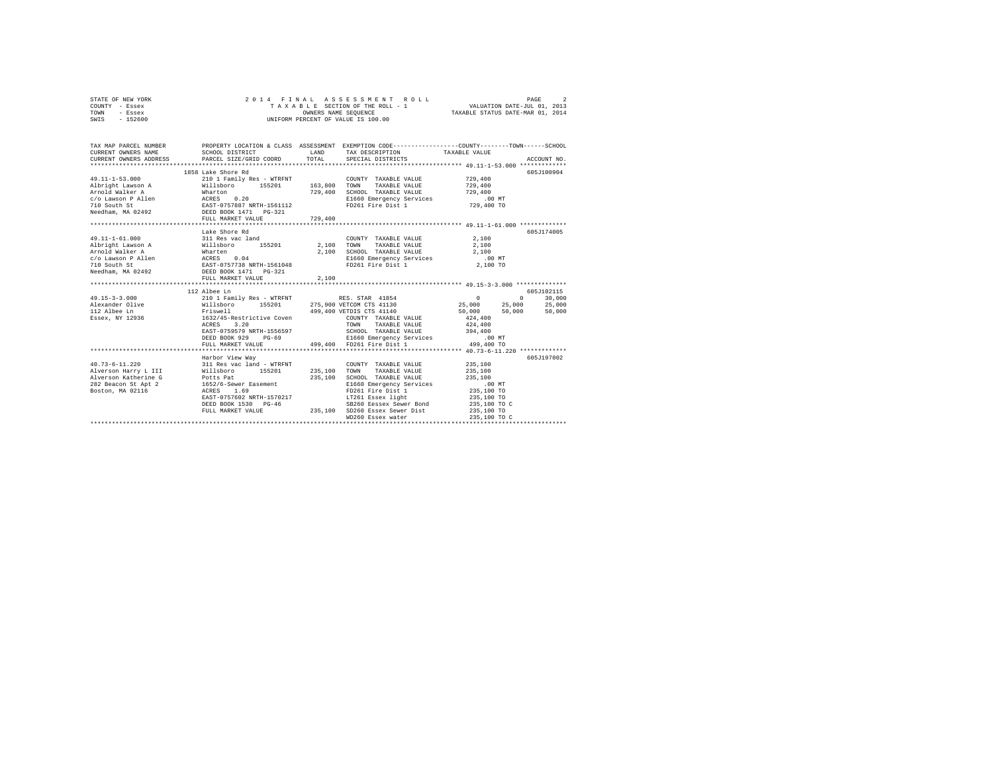| TOWN<br>- Essex                                                                                                                                     |                                                                                                 | OWNERS NAME SEQUENCE |                                                   | TAXABLE STATUS DATE-MAR 01, 2014                |             |  |  |  |  |  |
|-----------------------------------------------------------------------------------------------------------------------------------------------------|-------------------------------------------------------------------------------------------------|----------------------|---------------------------------------------------|-------------------------------------------------|-------------|--|--|--|--|--|
| $-152600$<br>SWIS                                                                                                                                   | UNIFORM PERCENT OF VALUE IS 100.00                                                              |                      |                                                   |                                                 |             |  |  |  |  |  |
|                                                                                                                                                     |                                                                                                 |                      |                                                   |                                                 |             |  |  |  |  |  |
|                                                                                                                                                     |                                                                                                 |                      |                                                   |                                                 |             |  |  |  |  |  |
| TAX MAP PARCEL NUMBER                                                                                                                               | PROPERTY LOCATION & CLASS ASSESSMENT EXEMPTION CODE---------------COUNTY-------TOWN------SCHOOL |                      |                                                   |                                                 |             |  |  |  |  |  |
| CURRENT OWNERS NAME                                                                                                                                 | SCHOOL DISTRICT                                                                                 | LAND                 | TAX DESCRIPTION                                   | TAXABLE VALUE                                   |             |  |  |  |  |  |
| CURRENT OWNERS ADDRESS                                                                                                                              | PARCEL SIZE/GRID COORD                                                                          | TOTAL                | SPECIAL DISTRICTS                                 |                                                 | ACCOUNT NO. |  |  |  |  |  |
|                                                                                                                                                     |                                                                                                 |                      |                                                   |                                                 |             |  |  |  |  |  |
|                                                                                                                                                     | 1858 Lake Shore Rd                                                                              |                      |                                                   |                                                 | 605J100904  |  |  |  |  |  |
| $49.11 - 1 - 53.000$                                                                                                                                | 210 1 Family Res - WTRFNT                                                                       |                      | COUNTY TAXABLE VALUE                              | 729,400                                         |             |  |  |  |  |  |
| Albright Lawson A                                                                                                                                   | 210 1 Family Res - WTRFNT<br>Willsboro 155201                                                   | 163,800              | TOWN<br>TAXABLE VALUE                             | 729,400                                         |             |  |  |  |  |  |
|                                                                                                                                                     |                                                                                                 | 729,400              | SCHOOL TAXABLE VALUE                              | 729,400                                         |             |  |  |  |  |  |
| Arnold Walker A (Marton 2002)<br>C/O Lawson P Allen ACRES 0.20<br>T10 South St RAST-0757887 NRTH-1561112<br>Needham, MA 02492 DEED BOOK 1471 PG-321 |                                                                                                 |                      | E1660 Emergency Services                          | .00 MT                                          |             |  |  |  |  |  |
|                                                                                                                                                     |                                                                                                 |                      | FD261 Fire Dist 1                                 | 729,400 TO                                      |             |  |  |  |  |  |
|                                                                                                                                                     |                                                                                                 |                      |                                                   |                                                 |             |  |  |  |  |  |
|                                                                                                                                                     | FULL MARKET VALUE                                                                               | 729,400              |                                                   |                                                 |             |  |  |  |  |  |
|                                                                                                                                                     |                                                                                                 |                      |                                                   |                                                 |             |  |  |  |  |  |
|                                                                                                                                                     | Lake Shore Rd                                                                                   |                      |                                                   |                                                 | 605-1174005 |  |  |  |  |  |
| $49.11 - 1 - 61.000$                                                                                                                                | 311 Res vac land                                                                                |                      | COUNTY TAXABLE VALUE                              | 2,100                                           |             |  |  |  |  |  |
| Albright Lawson A                                                                                                                                   | Willsboro 155201                                                                                |                      | 2,100 TOWN<br>TAXABLE VALUE                       | 2,100                                           |             |  |  |  |  |  |
| Arnold Walker A                                                                                                                                     |                                                                                                 | 2,100                | SCHOOL TAXABLE VALUE                              | 2.100                                           |             |  |  |  |  |  |
| c/o Lawson P Allen                                                                                                                                  |                                                                                                 |                      | E1660 Emergency Services                          | $.00$ MT                                        |             |  |  |  |  |  |
| 710 South St                                                                                                                                        |                                                                                                 |                      | FD261 Fire Dist 1                                 | 2,100 TO                                        |             |  |  |  |  |  |
| Needham, MA 02492 DEED BOOK 1471 PG-321                                                                                                             |                                                                                                 |                      |                                                   |                                                 |             |  |  |  |  |  |
|                                                                                                                                                     | FULL MARKET VALUE                                                                               | 2,100                |                                                   |                                                 |             |  |  |  |  |  |
|                                                                                                                                                     | ******************************                                                                  | ***********          |                                                   | ******************** 49.15-3.000 ************** |             |  |  |  |  |  |
|                                                                                                                                                     | 112 Albee Ln                                                                                    |                      |                                                   |                                                 | 605J102115  |  |  |  |  |  |
| $49.15 - 3 - 3.000$                                                                                                                                 | 210 1 Family Res - WTRFNT                                                                       |                      | RES. STAR 41854                                   | $\sim$ 0<br>$\Omega$                            | 30,000      |  |  |  |  |  |
| Alexander Olive                                                                                                                                     | Willsboro 155201                                                                                |                      | 275,900 VETCOM CTS 41130                          | 25,000<br>25,000                                | 25,000      |  |  |  |  |  |
| 112 Albee Ln                                                                                                                                        | Friswell                                                                                        |                      | 499,400 VETDIS CTS 41140                          | 50,000<br>50,000                                | 50,000      |  |  |  |  |  |
| Essex, NY 12936                                                                                                                                     | 1632/45-Restrictive Coven                                                                       |                      | COUNTY TAXABLE VALUE                              | 424,400                                         |             |  |  |  |  |  |
|                                                                                                                                                     | 3.20<br>ACRES                                                                                   |                      | TAXABLE VALUE<br>TOWN                             | 424,400                                         |             |  |  |  |  |  |
|                                                                                                                                                     | EAST-0759579 NRTH-1556597                                                                       |                      | SCHOOL TAXABLE VALUE                              | 394,400                                         |             |  |  |  |  |  |
|                                                                                                                                                     | DEED BOOK 929 PG-69                                                                             |                      | E1660 Emergency Services                          | $.00$ MT                                        |             |  |  |  |  |  |
|                                                                                                                                                     | FULL MARKET VALUE                                                                               |                      | 499,400 FD261 Fire Dist 1                         | 499,400 TO                                      |             |  |  |  |  |  |
|                                                                                                                                                     |                                                                                                 |                      |                                                   |                                                 |             |  |  |  |  |  |
|                                                                                                                                                     | Harbor View Way                                                                                 |                      |                                                   |                                                 | 605J197002  |  |  |  |  |  |
| $40.73 - 6 - 11.220$                                                                                                                                | 311 Res vac land - WTRFNT<br>Willsboro 155201                                                   |                      | COUNTY TAXABLE VALUE                              | 235,100                                         |             |  |  |  |  |  |
| Alverson Harry L III                                                                                                                                |                                                                                                 | 235,100              | TAXABLE VALUE<br>TOWN                             | 235,100                                         |             |  |  |  |  |  |
| Alverson Katherine G                                                                                                                                | Potts Pat<br>1652/6-Sewer Easement                                                              | 235,100              | SCHOOL TAXABLE VALUE                              | 235,100                                         |             |  |  |  |  |  |
| 282 Beacon St Apt 2                                                                                                                                 | ACRES 1.69                                                                                      |                      | E1660 Emergency Services                          | .00 MT                                          |             |  |  |  |  |  |
| Boston, MA 02116                                                                                                                                    | EAST-0757602 NRTH-1570217                                                                       |                      | FD261 Fire Dist 1                                 | 235,100 TO<br>235,100 TO                        |             |  |  |  |  |  |
|                                                                                                                                                     |                                                                                                 |                      | LT261 Essex light                                 | 235,100 TO C                                    |             |  |  |  |  |  |
|                                                                                                                                                     | DEED BOOK 1530 PG-46                                                                            | 235,100              | SB260 Eessex Sewer Bond<br>SD260 Essex Sewer Dist | 235,100 TO                                      |             |  |  |  |  |  |
|                                                                                                                                                     | FULL MARKET VALUE                                                                               |                      | WD260 Essex water                                 | 235,100 TO C                                    |             |  |  |  |  |  |
|                                                                                                                                                     |                                                                                                 |                      |                                                   |                                                 |             |  |  |  |  |  |
|                                                                                                                                                     |                                                                                                 |                      |                                                   |                                                 |             |  |  |  |  |  |

STATE OF NEW YORK 2 0 1 4 F I N A L A S S E S S M E N T R O L L PAGE 2 COUNTY - Essex T A X A B L E SECTION OF THE ROLL - 1 VALUATION DATE-JUL 01, 2013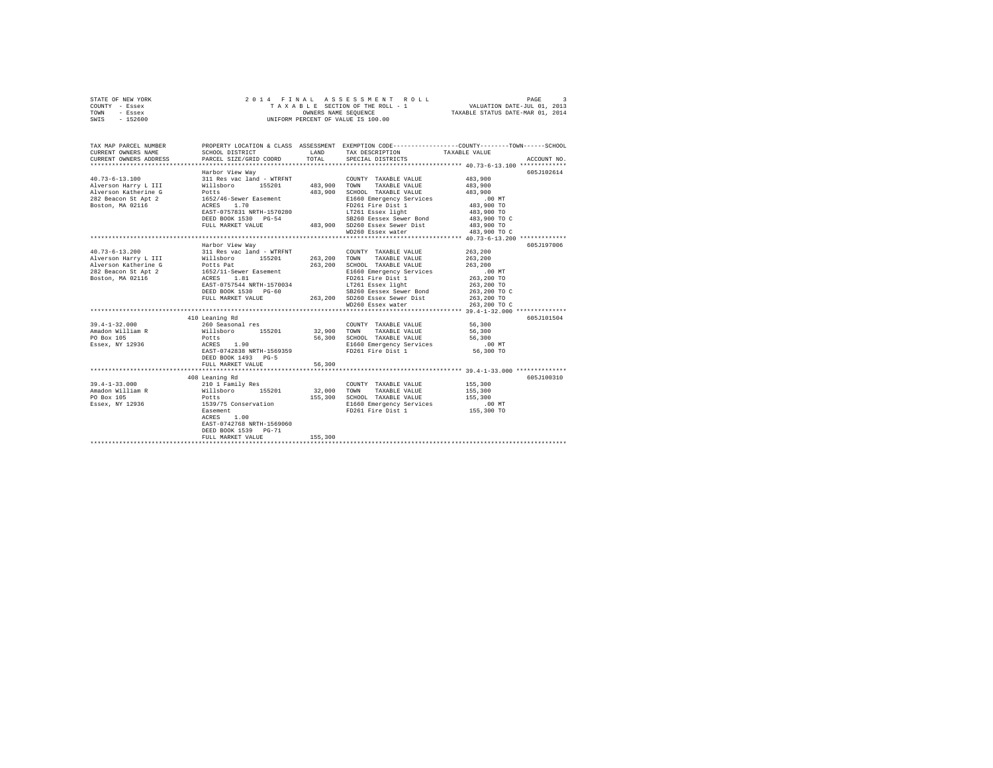| STATE OF NEW YORK      |                                 |                                  | 2014 FINAL ASSESSMENT ROLL                                                                      |              | PAGE<br>$\mathcal{R}$ |
|------------------------|---------------------------------|----------------------------------|-------------------------------------------------------------------------------------------------|--------------|-----------------------|
| COUNTY - Essex         | TAXABLE SECTION OF THE ROLL - 1 | VALUATION DATE-JUL 01, 2013      |                                                                                                 |              |                       |
| TOWN<br>- Essex        |                                 | TAXABLE STATUS DATE-MAR 01, 2014 |                                                                                                 |              |                       |
| SWIS - 152600          |                                 |                                  | OWNERS NAME SEQUENCE<br>UNIFORM PERCENT OF VALUE IS 100.00                                      |              |                       |
|                        |                                 |                                  |                                                                                                 |              |                       |
|                        |                                 |                                  |                                                                                                 |              |                       |
|                        |                                 |                                  |                                                                                                 |              |                       |
| TAX MAP PARCEL NUMBER  |                                 |                                  | PROPERTY LOCATION & CLASS ASSESSMENT EXEMPTION CODE----------------COUNTY-------TOWN-----SCHOOL |              |                       |
| CURRENT OWNERS NAME    | SCHOOL DISTRICT                 | T.AND                            | TAX DESCRIPTION TAXABLE VALUE                                                                   |              |                       |
| CURRENT OWNERS ADDRESS | PARCEL SIZE/GRID COORD          | TOTAL                            | SPECIAL DISTRICTS                                                                               |              | ACCOUNT NO.           |
|                        |                                 |                                  |                                                                                                 |              |                       |
|                        | Harbor View Way                 |                                  |                                                                                                 |              | 605J102614            |
| $40.73 - 6 - 13.100$   | 311 Res vac land - WTRFNT       |                                  | COUNTY TAXABLE VALUE                                                                            | 483,900      |                       |
| Alverson Harry L III   | Willsboro 155201                | 483,900                          | TOWN<br>TAXABLE VALUE                                                                           | 483,900      |                       |
| Alverson Katherine G   | Potts                           | 483,900                          | SCHOOL TAXABLE VALUE                                                                            | 483,900      |                       |
| 282 Beacon St Apt 2    | 1652/46-Sewer Easement          |                                  | E1660 Emergency Services                                                                        | .00 MT       |                       |
| Boston, MA 02116       | ACRES<br>1.70                   |                                  | FD261 Fire Dist 1 483,900 TO                                                                    |              |                       |
|                        | EAST-0757831 NRTH-1570280       |                                  | LT261 Essex light 483,900 TO                                                                    |              |                       |
|                        | DEED BOOK 1530 PG-54            |                                  | SB260 Eessex Sewer Bond 483,900 TO C                                                            |              |                       |
|                        | FULL MARKET VALUE               |                                  | 483,900 SD260 Essex Sewer Dist 483,900 TO                                                       |              |                       |
|                        |                                 |                                  | WD260 Essex water                                                                               | 483,900 TO C |                       |
|                        |                                 |                                  |                                                                                                 |              |                       |
|                        | Harbor View Way                 |                                  |                                                                                                 |              | 605J197006            |
| $40.73 - 6 - 13.200$   | 311 Res vac land - WTRFNT       |                                  | COUNTY TAXABLE VALUE                                                                            | 263,200      |                       |
| Alverson Harry L III   | Willsboro 155201 263.200        |                                  | <b>TOWN</b><br>TAXABLE VALUE                                                                    | 263,200      |                       |
| Alverson Katherine G   | Potts Pat                       | 263,200                          | SCHOOL TAXABLE VALUE                                                                            | 263,200      |                       |
| 282 Beacon St Apt 2    | 1652/11-Sewer Easement          |                                  | E1660 Emergency Services                                                                        | $.00$ MT     |                       |
| Boston, MA 02116       | 1.81<br>ACRES                   |                                  | FD261 Fire Dist 1                                                                               | 263,200 TO   |                       |
|                        | EAST-0757544 NRTH-1570034       |                                  | LT261 Essex light                                                                               | 263,200 TO   |                       |
|                        | DEED BOOK 1530 PG-60            |                                  | SB260 Eessex Sewer Bond                                                                         | 263,200 TO C |                       |
|                        | FULL MARKET VALUE               |                                  | 263,200 SD260 Essex Sewer Dist 263,200 TO                                                       |              |                       |
|                        |                                 |                                  | WD260 Essex water                                                                               | 263,200 TO C |                       |
|                        |                                 |                                  |                                                                                                 |              |                       |
|                        | 410 Leaning Rd                  |                                  |                                                                                                 |              | 605J101504            |
| $39.4 - 1 - 32.000$    | 260 Seasonal res                |                                  | COUNTY TAXABLE VALUE                                                                            | 56,300       |                       |
| Amadon William R       | Willsboro<br>155201             | 32,900                           | TOWN<br>TAXABLE VALUE                                                                           | 56,300       |                       |
| PO Box 105             | Potts                           | 56,300                           | SCHOOL TAXABLE VALUE                                                                            | 56,300       |                       |
| Essex, NY 12936        | ACRES<br>1.90                   |                                  | E1660 Emergency Services                                                                        | $.00$ MT     |                       |

|                     | EAST-0742838 NRTH-1569359<br>DEED BOOK 1493 PG-5 |         | FD261 Fire Dist 1        | 56,300 TO  |            |
|---------------------|--------------------------------------------------|---------|--------------------------|------------|------------|
|                     | FULL MARKET VALUE                                | 56,300  |                          |            |            |
|                     |                                                  |         |                          |            |            |
|                     | 408 Leaning Rd                                   |         |                          |            | 605J100310 |
| $39.4 - 1 - 33.000$ | 210 1 Family Res                                 |         | TAXABLE VALUE<br>COUNTY  | 155,300    |            |
| Amadon William R    | Willsboro<br>155201                              | 32,000  | TOWN<br>TAXABLE VALUE    | 155,300    |            |
| PO Box 105          | Potts                                            | 155,300 | TAXABLE VALUE<br>SCHOOL  | 155,300    |            |
| Essex, NY 12936     | 1539/75 Conservation                             |         | E1660 Emergency Services | $.00$ MT   |            |
|                     | Easement                                         |         | FD261 Fire Dist 1        | 155,300 TO |            |
|                     | 1.00<br>ACRES                                    |         |                          |            |            |
|                     | EAST-0742768 NRTH-1569060                        |         |                          |            |            |
|                     | DEED BOOK 1539 PG-71                             |         |                          |            |            |
|                     | FULL MARKET VALUE                                | 155,300 |                          |            |            |
|                     |                                                  |         |                          |            |            |
|                     |                                                  |         |                          |            |            |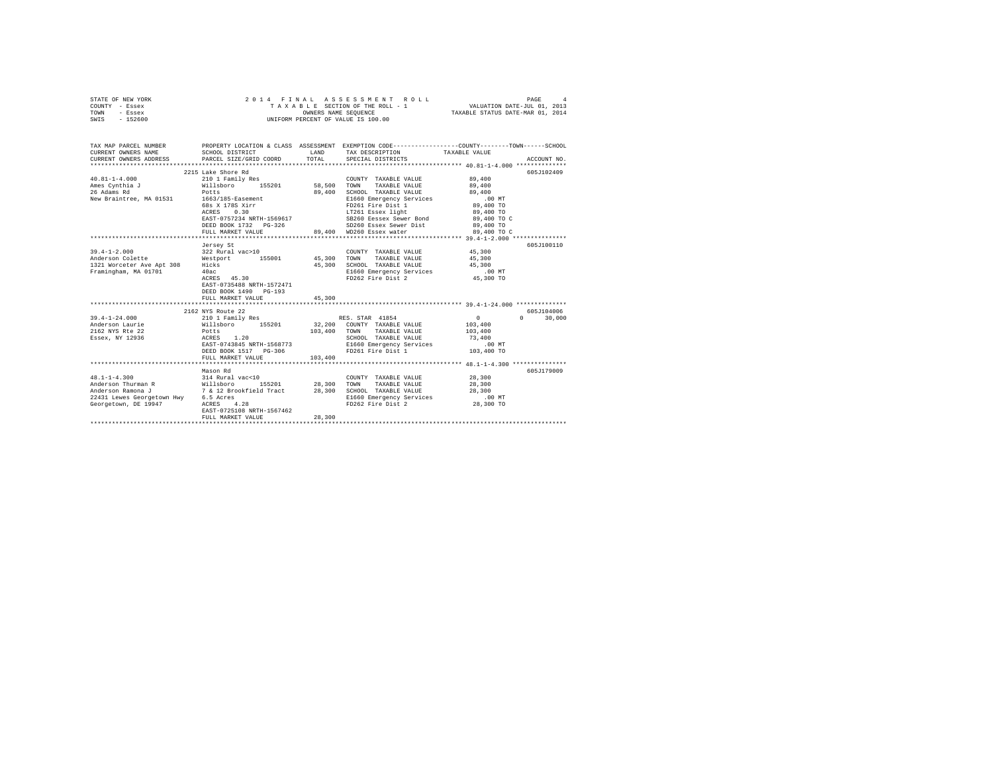|      | STATE OF NEW YORK |  | 2014 FINAL ASSESSMENT ROLL         | PAGE                             |  |
|------|-------------------|--|------------------------------------|----------------------------------|--|
|      | COUNTY - Essex    |  | TAXABLE SECTION OF THE ROLL - 1    | VALUATION DATE-JUL 01, 2013      |  |
| TOWN | - Essex           |  | OWNERS NAME SEOUENCE               | TAXABLE STATUS DATE-MAR 01, 2014 |  |
| SWIS | - 152600          |  | UNIFORM PERCENT OF VALUE IS 100.00 |                                  |  |

| TAX MAP PARCEL NUMBER                                                                                                        |                                                                                                     |        |                                                                                                                                                                                                                                                                                                                                                     | PROPERTY LOCATION & CLASS ASSESSMENT EXEMPTION CODE---------------COUNTY-------TOWN------SCHOOL |
|------------------------------------------------------------------------------------------------------------------------------|-----------------------------------------------------------------------------------------------------|--------|-----------------------------------------------------------------------------------------------------------------------------------------------------------------------------------------------------------------------------------------------------------------------------------------------------------------------------------------------------|-------------------------------------------------------------------------------------------------|
| 26 Adams Rd<br>New Braintree, MA 01531 1663/185-Easement                                                                     | 2215 Lake Shore Rd<br>Potts<br>68s X 178S Xirr<br>ACRES 0.30                                        |        | COUNTY TAXABLE VALUE 89,400<br>89,400 SCHOOL TAXABLE VALUE 89,400<br>E1660 Emergency Services<br>FD261 Fire Dist 1<br>LT261 Essex light<br>source now Bend<br>EAST-0757234 NRTH-1569617 SB260 Eessex Sewer Bond 89,400 TO C<br>SD260 Essex Sewer Dist<br>DEED BOOK 1732 PG-326 8D260 Essex Sewer Dist<br>FILL MARKET VALUE 89,400 WD260 Essex water | 605J102409<br>89,400<br>89,400 TO<br>89,400 TO<br>89,400 TO C                                   |
| 40ac<br>Framingham, MA 01701                                                                                                 | Jersey St<br>ACRES 45.30<br>EAST-0735488 NRTH-1572471<br>DEED BOOK 1490 PG-193<br>FULL MARKET VALUE | 45,300 | $\begin{tabular}{lllllllll} \multicolumn{4}{c}{\textbf{COUNTY}} & \textbf{TAXABLE} & \textbf{VALUE} & & \textbf{45,300} \\ \multicolumn{4}{c}{\textbf{TANARLE}} & \textbf{VALUE} & & \textbf{45,300} \end{tabular}$<br>45,300 SCHOOL TAXABLE VALUE 45,300<br>E1660 Emergency Services .00 MT<br>FD262 Fire Dist 2                                   | 605J100110<br>45,300 TO                                                                         |
| 39.4-1-24.000 210 1 Family Res RES. STAR 41854<br>Anderson Laurie<br>2162 NYS Rte 22<br>Essex, NY 12936                      | 2162 NYS Route 22<br>Potts<br>ACRES 1.20<br>FULL MARKET VALUE 103,400                               |        | Willsboro 155201 32,200 COUNTY TAXABLE VALUE 103,400<br>103,400 TOWN TAXABLE VALUE<br>SCHOOL TAXABLE VALUE                                                                                                                                                                                                                                          | 605J104006<br>$\overline{0}$<br>$\Omega$<br>30,000<br>103,400<br>73,400                         |
| $48.1 - 1 - 4.300$<br>22431 Lewes Georgetown Hwy 6.5 Acres<br>Georgetown, DE $19947$ ACRES 4.28<br>EAST-0725108 NRTH-1567462 | Mason Rd<br>FULL MARKET VALUE                                                                       | 28,300 | COUNTY TAXABLE VALUE<br>E1660 Emergency Services 00 MT<br>FD262 Fire Dist 2 28,300 TO                                                                                                                                                                                                                                                               | 605J179009                                                                                      |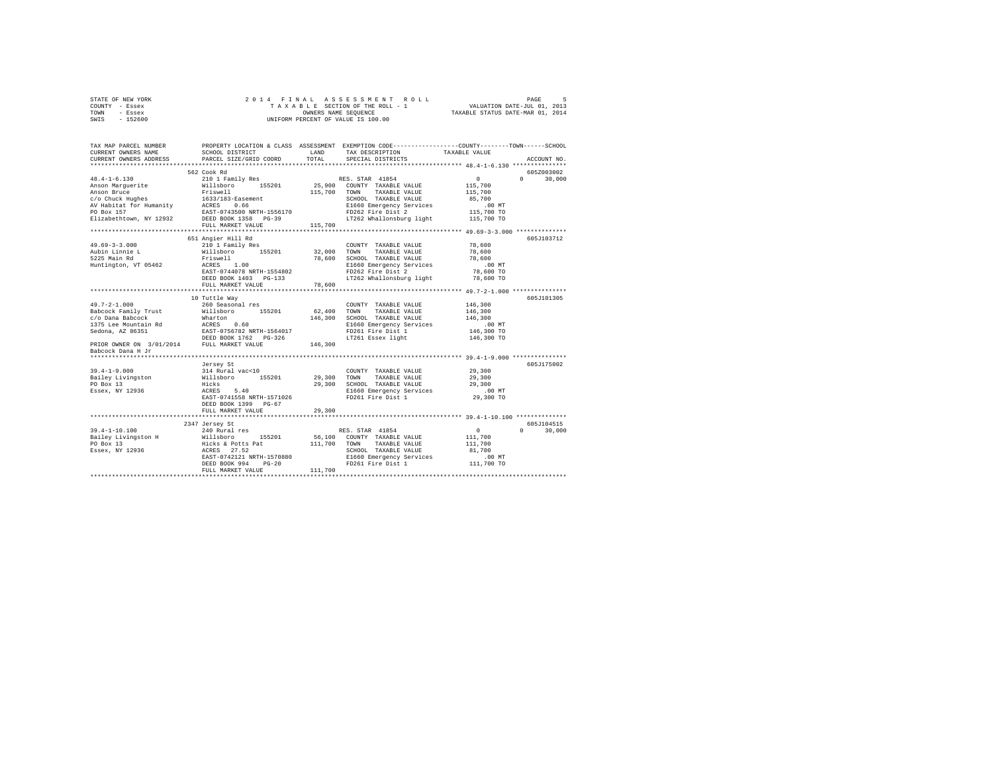| STATE OF NEW YORK | 2014 FINAL ASSESSMENT ROLL         | PAGE                             |
|-------------------|------------------------------------|----------------------------------|
| COUNTY - Essex    | TAXABLE SECTION OF THE ROLL - 1    | VALUATION DATE-JUL 01, 2013      |
| TOWN<br>- Essex   | OWNERS NAME SEOUENCE               | TAXABLE STATUS DATE-MAR 01, 2014 |
| $-152600$<br>SWIS | UNIFORM PERCENT OF VALUE IS 100.00 |                                  |

| TAX MAP PARCEL NUMBER<br>CURRENT OWNERS NAME<br>CURRENT OWNERS ADDRESS                                                                                                                                                                | SCHOOL DISTRICT<br>PARCEL SIZE/GRID COORD                                                                    | LAND<br>TOTAL | PROPERTY LOCATION & CLASS ASSESSMENT EXEMPTION CODE----------------COUNTY-------TOWN------SCHOOL<br>TAX DESCRIPTION<br>SPECIAL DISTRICTS | TAXABLE VALUE        | ACCOUNT NO.        |
|---------------------------------------------------------------------------------------------------------------------------------------------------------------------------------------------------------------------------------------|--------------------------------------------------------------------------------------------------------------|---------------|------------------------------------------------------------------------------------------------------------------------------------------|----------------------|--------------------|
|                                                                                                                                                                                                                                       |                                                                                                              |               |                                                                                                                                          |                      |                    |
|                                                                                                                                                                                                                                       | 562 Cook Rd                                                                                                  |               |                                                                                                                                          |                      | 605Z003002         |
| $48.4 - 1 - 6.130$                                                                                                                                                                                                                    | 210 1 Family Res                                                                                             |               | RES. STAR 41854                                                                                                                          | $\sim$ 0 $\sim$      | $\Omega$<br>30,000 |
|                                                                                                                                                                                                                                       | Willsboro 155201                                                                                             |               | 25,900 COUNTY TAXABLE VALUE                                                                                                              | 115,700              |                    |
| Anson Marguerite<br>Anson Bruce<br>c/o Chuck Hughes<br>Anson Bruce<br>Anson Bruce<br>$c/o$ Chuck Hughes<br>$\frac{1633/183-888}{4.0238}$<br>Alson Habitat for Humanity<br>$\frac{16387}{4.0238}$<br>PO Box 157<br>PO Box 157          |                                                                                                              | 115,700 TOWN  | TAXABLE VALUE                                                                                                                            | 115,700              |                    |
|                                                                                                                                                                                                                                       |                                                                                                              |               | SCHOOL TAXABLE VALUE                                                                                                                     | 85,700               |                    |
|                                                                                                                                                                                                                                       |                                                                                                              |               | E1660 Emergency Services                                                                                                                 | $.00$ MT             |                    |
|                                                                                                                                                                                                                                       |                                                                                                              |               | FD262 Fire Dist 2                                                                                                                        | $115.700$ TO         |                    |
| Elizabethtown, NY 12932 DEED BOOK 1358 PG-39                                                                                                                                                                                          |                                                                                                              |               | LT262 Whallonsburg light 115,700 TO                                                                                                      |                      |                    |
|                                                                                                                                                                                                                                       | FULL MARKET VALUE                                                                                            | 115,700       |                                                                                                                                          |                      |                    |
|                                                                                                                                                                                                                                       |                                                                                                              |               |                                                                                                                                          |                      |                    |
|                                                                                                                                                                                                                                       | 651 Angier Hill Rd                                                                                           |               |                                                                                                                                          |                      | 605J103712         |
| $49.69 - 3 - 3.000$                                                                                                                                                                                                                   | 210 1 Family Res                                                                                             |               | COUNTY TAXABLE VALUE                                                                                                                     | 78,600               |                    |
| Aubin Linnie L                                                                                                                                                                                                                        | Willsboro 155201 32,000 TOWN                                                                                 |               | TAXABLE VALUE                                                                                                                            | 78,600               |                    |
| 5225 Main Rd                                                                                                                                                                                                                          | $\begin{array}{c} 11 \\ 1.00 \end{array}$<br>Friswell                                                        | 78,600        | SCHOOL TAXABLE VALUE                                                                                                                     | 78,600               |                    |
| Huntington, VT 05462                                                                                                                                                                                                                  | FIISTOIL<br>ACRES 1.00<br>EAST-0744078 NRTH-1554802                                                          |               | E1660 Emergency Services                                                                                                                 | $.00$ MT             |                    |
|                                                                                                                                                                                                                                       |                                                                                                              |               | FD262 Fire Dist 2                                                                                                                        | 78,600 TO            |                    |
|                                                                                                                                                                                                                                       | DEED BOOK 1403 PG-133                                                                                        |               | LT262 Whallonsburg light 78,600 TO                                                                                                       |                      |                    |
|                                                                                                                                                                                                                                       | FULL MARKET VALUE                                                                                            | 78,600        |                                                                                                                                          |                      |                    |
|                                                                                                                                                                                                                                       |                                                                                                              |               |                                                                                                                                          |                      |                    |
|                                                                                                                                                                                                                                       | 10 Tuttle Way                                                                                                |               |                                                                                                                                          |                      | 605J101305         |
| $49.7 - 2 - 1.000$                                                                                                                                                                                                                    | 260 Seasonal res                                                                                             |               | COUNTY TAXABLE VALUE                                                                                                                     | 146,300              |                    |
| Babcock Family Trust                                                                                                                                                                                                                  |                                                                                                              | 62,400 TOWN   | TAXABLE VALUE                                                                                                                            | 146,300              |                    |
| c/o Dana Babcock                                                                                                                                                                                                                      | 260 Seasonal res<br>Willsboro<br>Wharton<br>ACRES 0.60<br>EAST-0756782 NRTH-1564017<br>DEED BOOK 1762 PG-326 |               | 146,300 SCHOOL TAXABLE VALUE                                                                                                             | 146.300              |                    |
| 1375 Lee Mountain Rd<br>Sedona, AZ 86351                                                                                                                                                                                              |                                                                                                              |               | E1660 Emergency Services<br>FD261 Fire Dist 1                                                                                            | .00 MT<br>146,300 TO |                    |
|                                                                                                                                                                                                                                       |                                                                                                              |               | LT261 Essex light                                                                                                                        |                      |                    |
| PRIOR OWNER ON 3/01/2014 FULL MARKET VALUE 146,300                                                                                                                                                                                    |                                                                                                              |               |                                                                                                                                          | 146,300 TO           |                    |
| Babcock Dana H Jr                                                                                                                                                                                                                     |                                                                                                              |               |                                                                                                                                          |                      |                    |
|                                                                                                                                                                                                                                       |                                                                                                              |               |                                                                                                                                          |                      |                    |
|                                                                                                                                                                                                                                       | Jersey St                                                                                                    |               |                                                                                                                                          |                      | 605J175002         |
| $39.4 - 1 - 9.000$                                                                                                                                                                                                                    | 314 Rural vac<10                                                                                             |               | COUNTY TAXABLE VALUE                                                                                                                     | 29,300               |                    |
|                                                                                                                                                                                                                                       |                                                                                                              |               |                                                                                                                                          | 29,300               |                    |
|                                                                                                                                                                                                                                       |                                                                                                              |               |                                                                                                                                          | 29,300               |                    |
| Natiliary 1993<br>Easiey Livingston Millsboro 155201 29,300 TOWN TAXABLE VALUE<br>PO Box 13 29,300 SCHOD RAXABLE VALUE<br>RESEX, NY 12936 ACRES 5.40 E1660 Emergency Services<br>RESEX, NY 12936 REST-0741558 NRTH-1571026 FD261 Fire |                                                                                                              |               |                                                                                                                                          |                      |                    |
|                                                                                                                                                                                                                                       |                                                                                                              |               | E1660 Emergency Services<br>FD261 Fire Dist 1                                                                                            | $29,300$ TO          |                    |
|                                                                                                                                                                                                                                       | DEED BOOK 1399 PG-67                                                                                         |               |                                                                                                                                          |                      |                    |
|                                                                                                                                                                                                                                       | FULL MARKET VALUE                                                                                            | 29,300        |                                                                                                                                          |                      |                    |
|                                                                                                                                                                                                                                       |                                                                                                              |               |                                                                                                                                          |                      |                    |
|                                                                                                                                                                                                                                       | 2347 Jersey St                                                                                               |               |                                                                                                                                          |                      | 605J104515         |
| $39.4 - 1 - 10.100$                                                                                                                                                                                                                   | 240 Rural res                                                                                                |               | RES. STAR 41854                                                                                                                          | $\sim$ 0             | $\Omega$<br>30,000 |
|                                                                                                                                                                                                                                       | 155201                                                                                                       |               | 56,100 COUNTY TAXABLE VALUE                                                                                                              | 111,700              |                    |
|                                                                                                                                                                                                                                       |                                                                                                              | 111,700 TOWN  | TAXABLE VALUE                                                                                                                            | 111,700              |                    |
|                                                                                                                                                                                                                                       |                                                                                                              |               | SCHOOL TAXABLE VALUE                                                                                                                     | 81,700               |                    |
|                                                                                                                                                                                                                                       | EAST-0742121 NRTH-1570880                                                                                    |               | E1660 Emergency Services .00 MT<br>FD261 Fire Dist 1 111,700 TO                                                                          |                      |                    |
|                                                                                                                                                                                                                                       | DEED BOOK 994<br>$PG-20$                                                                                     |               |                                                                                                                                          |                      |                    |
|                                                                                                                                                                                                                                       | FULL MARKET VALUE                                                                                            | 111,700       |                                                                                                                                          |                      |                    |
|                                                                                                                                                                                                                                       |                                                                                                              |               |                                                                                                                                          |                      |                    |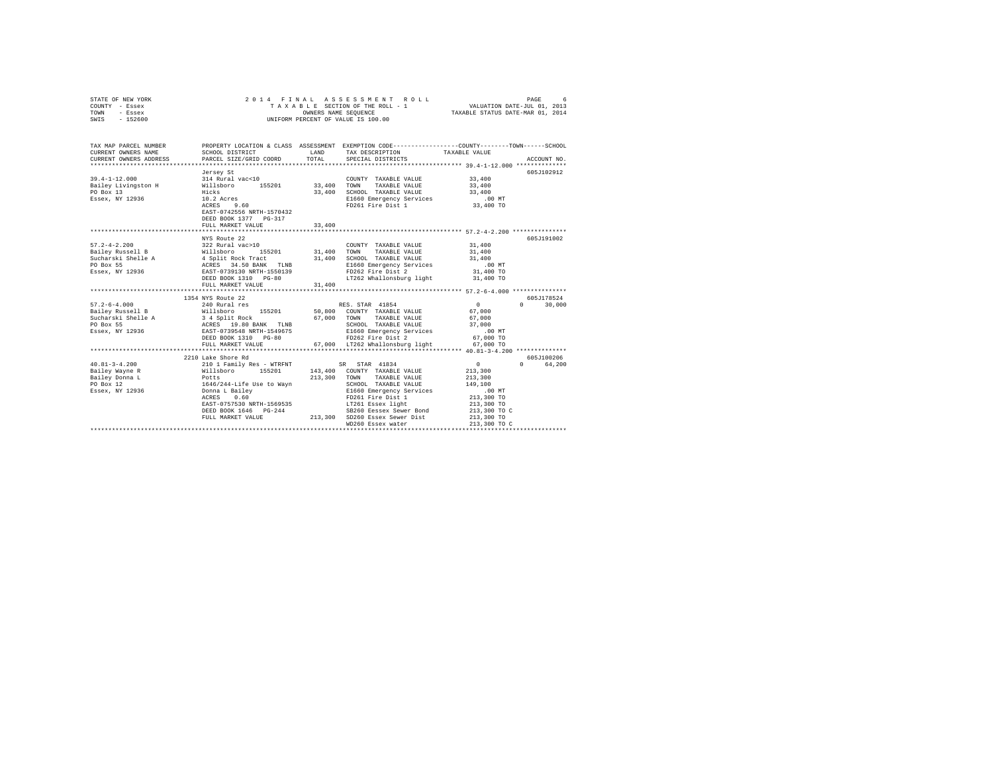| STATE OF NEW YORK<br>COUNTY - Essex<br>TOWN<br>- Essex<br>SWIS - 152600                                                                                                                                                                                                         | 2014 FINAL                                                                                                                                                                 |                                | ASSESSMENT ROLL<br>TAXABLE SECTION OF THE ROLL - 1 VALUATION DATE-JUL 01, 2013<br>OWNERS NAME SEQUENCE TAXABLE STATUS DATE-MAR 01, 2014<br>UNIFORM PERCENT OF VALUE IS 100.00 |                                                                                                               | PAGE<br>6              |
|---------------------------------------------------------------------------------------------------------------------------------------------------------------------------------------------------------------------------------------------------------------------------------|----------------------------------------------------------------------------------------------------------------------------------------------------------------------------|--------------------------------|-------------------------------------------------------------------------------------------------------------------------------------------------------------------------------|---------------------------------------------------------------------------------------------------------------|------------------------|
| TAX MAP PARCEL NUMBER<br>CURRENT OWNERS NAME<br>CURRENT OWNERS ADDRESS                                                                                                                                                                                                          | SCHOOL DISTRICT<br>PARCEL SIZE/GRID COORD                                                                                                                                  | LAND<br>TOTAL                  | PROPERTY LOCATION & CLASS ASSESSMENT EXEMPTION CODE---------------COUNTY-------TOWN------SCHOOL<br>TAX DESCRIPTION<br>SPECIAL DISTRICTS                                       | TAXABLE VALUE                                                                                                 | ACCOUNT NO.            |
| $39.4 - 1 - 12.000$<br>Bailey Livingston H<br>PO Box 13<br>Essex, NY 12936                                                                                                                                                                                                      | Jersey St<br>314 Rural vac<10<br>Willsboro 155201<br>Hicks<br>Hicks<br>10.2 Acres<br>ACRES 9.60<br>EAST-0742556 NRTH-1570432<br>DEED BOOK 1377 PG-317<br>FULL MARKET VALUE | COUNT<br>33,400 TOWN<br>33,400 | COUNTY TAXABLE VALUE<br>TAXABLE VALUE<br>33,400 SCHOOL TAXABLE VALUE<br>E1660 Emergency Services<br>FD261 Fire Dist 1                                                         | 33,400<br>33,400<br>33,400<br>$.00$ MT<br>33,400 TO                                                           | 605J102912             |
| $57.2 - 4 - 2.200$<br>911 - 1920<br>2011 - 1920 - 1930 - 1940 - 195201<br>2012 - 1940 - 195201<br>20 - 195201<br>20 - 19520 - 1953<br>20 - 1953<br>2020 - 1953<br>2020 - 1953<br>2020 - 1953<br>2020 - 1954<br>2020 - 1954<br>2020 - 1954<br>2020 - 1954<br>2020 - 1954<br>2020 | NYS Route 22<br>322 Rural vac>10<br>DEED BOOK 1310 PG-80<br>FULL MARKET VALUE                                                                                              | 31,400                         | COUNTY TAXABLE VALUE<br>31,400 TOWN TAXABLE VALUE<br>31,400 SCHOOL TAXABLE VALUE<br>E1660 Emergency Services<br>FD262 Fire Dist 2<br>LT262 Whallonsburg light 31,400 TO       | 31,400<br>31,400<br>31,400<br>$.00$ MT<br>$31,400$ TO                                                         | 605J191002             |
|                                                                                                                                                                                                                                                                                 | ***************************<br>1354 NYS Route 22                                                                                                                           |                                |                                                                                                                                                                               |                                                                                                               | 605J178524             |
| $57.2 - 6 - 4.000$                                                                                                                                                                                                                                                              | 240 Rural res<br>FULL MARKET VALUE                                                                                                                                         |                                | RES. STAR 41854<br>SCHOOL TAXABLE VALUE<br>E1660 Emergency Services<br>FD262 Fire Dist 2<br>67,000 LT262 Whallonsburg light                                                   | $\sim$ 0<br>67,000<br>67,000<br>37,000<br>$.00$ MT<br>67,000 TO<br>67,000 TO                                  | 30,000<br>$\Omega$     |
|                                                                                                                                                                                                                                                                                 |                                                                                                                                                                            |                                |                                                                                                                                                                               |                                                                                                               |                        |
|                                                                                                                                                                                                                                                                                 | 2210 Lake Shore Rd<br>DEED BOOK 1646 PG-244                                                                                                                                |                                | E1660 Emergency Services<br>FD261 Fire Dist 1<br>LT261 Essex light<br>SB260 Eessex Sewer Bond<br>FULL MARKET VALUE 213,300 SD260 Essex Sewer Dist                             | $\sim$ 0<br>213,300<br>213,300<br>149,100<br>.00 MT<br>213,300 TO<br>213,300 TO<br>213,300 TO C<br>213,300 TO | 605J100206<br>0 64,200 |
|                                                                                                                                                                                                                                                                                 |                                                                                                                                                                            |                                | WD260 Essex water                                                                                                                                                             | 213,300 TO C                                                                                                  |                        |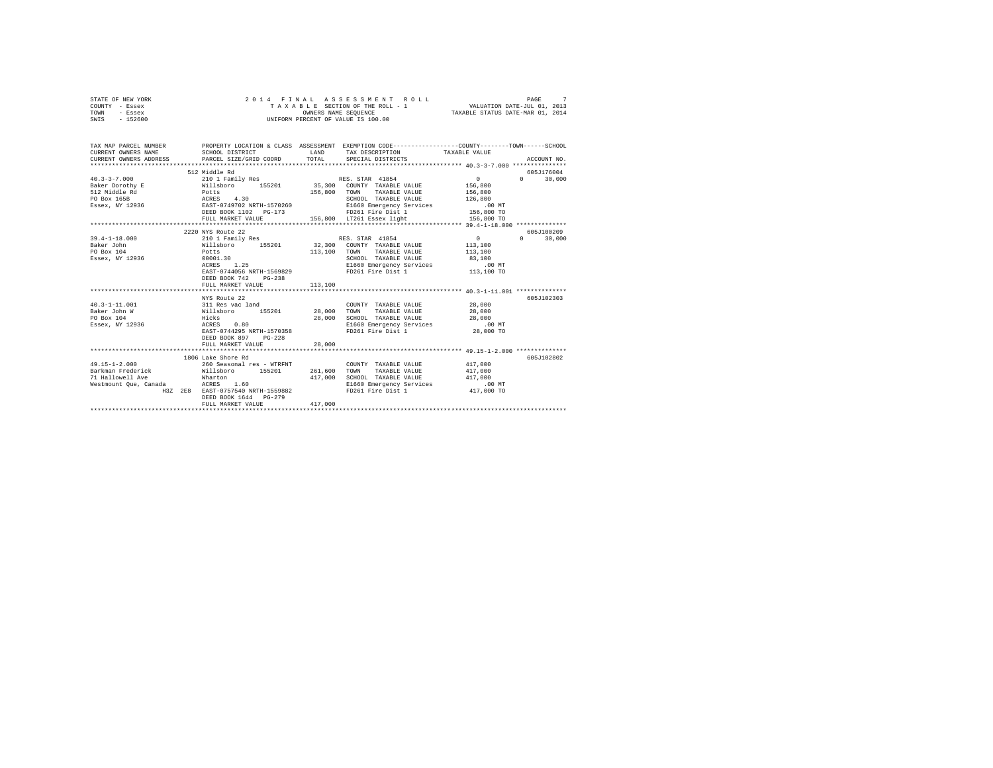|      | STATE OF NEW YORK |  | 2014 FINAL ASSESSMENT ROLL         | $\sim$<br>PAGE                   |
|------|-------------------|--|------------------------------------|----------------------------------|
|      | COUNTY - Essex    |  | TAXABLE SECTION OF THE ROLL - 1    | VALUATION DATE-JUL 01, 2013      |
| TOWN | - Essex           |  | OWNERS NAME SEOUENCE               | TAXABLE STATUS DATE-MAR 01, 2014 |
| SWIS | - 152600          |  | UNIFORM PERCENT OF VALUE IS 100.00 |                                  |

| TAX MAP PARCEL NUMBER<br>CURRENT OWNERS NAME                                                                                                                                                                                                                                                                        | PROPERTY LOCATION & CLASS ASSESSMENT EXEMPTION CODE---------------COUNTY-------TOWN------SCHOOL<br>SCHOOL DISTRICT                                                               | LAND    | TAX DESCRIPTION TAXABLE VALUE                                                                                                           |                                            |                                  |
|---------------------------------------------------------------------------------------------------------------------------------------------------------------------------------------------------------------------------------------------------------------------------------------------------------------------|----------------------------------------------------------------------------------------------------------------------------------------------------------------------------------|---------|-----------------------------------------------------------------------------------------------------------------------------------------|--------------------------------------------|----------------------------------|
| 40.3-3-7.000 210 1 Family Res RES. STAR 41854<br>Baker Dorothy E Willsboro 155201 35,300 COUNTY TAXABLE VALUE 156,800                                                                                                                                                                                               | 512 Middle Rd<br>FULL MARKET VALUE 156,800 LT261 Essex light 156,800 TO                                                                                                          |         |                                                                                                                                         | $\sim$ 0 $\sim$ 0 $\sim$ 0 $\sim$ 0 $\sim$ | 605J176004<br>$\Omega$<br>30,000 |
|                                                                                                                                                                                                                                                                                                                     |                                                                                                                                                                                  |         |                                                                                                                                         |                                            | 605J100209                       |
| $39.4 - 1 - 18.000$<br>Baker John<br><b>Example 19 and 19 and 19 and 19 and 19 and 19 and 19 and 19 and 19 and 19 and 19 and 19 and 19 and 19 and 19 and 19 and 19 and 19 and 19 and 19 and 19 and 19 and 19 and 19 and 19 and 19 and 19 and 19 and 19 and 19 and 19 </b><br>PO Box 104<br>Essex, NY 12936 00001.30 | 2220 NYS Route 22<br>210 1 Family Res RES. STAR 41854<br>Willsboro 155201 32,300 COUNTY TAXABLE VALUE 113,100<br>ACRES 1.25<br>EAST-0744056 NRTH-1569829<br>DEED BOOK 742 PG-238 |         | 113.100 TOWN TAXABLE VALUE 113.100<br>SCHOOL TAXABLE VALUE 83,100<br>E1660 Emergency Services .00 MT<br>FD261 Fire Dist 1 .113,100 TO   | $0 \t 0 \t 30,000$                         |                                  |
|                                                                                                                                                                                                                                                                                                                     | FULL MARKET VALUE                                                                                                                                                                | 113,100 |                                                                                                                                         |                                            |                                  |
| $40.3 - 1 - 11.001$<br>Baker John W                                                                                                                                                                                                                                                                                 | NYS Route 22                                                                                                                                                                     |         | $\begin{tabular}{lllllll} \multicolumn{2}{c}{\textbf{COUNTY}} & \textbf{TAXABLE VALUE} & & & & 28,000 \end{tabular}$                    | 28,000                                     | 605J102303                       |
| PO Box 104<br>Essex, NY 12936                                                                                                                                                                                                                                                                                       | ACRES 0.80<br>EAST-0744295 NRTH-1570358<br>DEED BOOK 897 PG-228                                                                                                                  |         | SCHOOL TAXABLE VALUE $28,000$<br>E1660 Emergency Services 00 MT<br>FD261 Fire Dist 1 28,000 TO                                          |                                            |                                  |
|                                                                                                                                                                                                                                                                                                                     | FULL MARKET VALUE                                                                                                                                                                | 28,000  |                                                                                                                                         |                                            |                                  |
|                                                                                                                                                                                                                                                                                                                     | 1806 Lake Shore Rd                                                                                                                                                               |         |                                                                                                                                         |                                            | 605J102802                       |
| $49.15 - 1 - 2.000$<br>Barkman Frederick Millsboro 155201 261,600<br>71 Hallowell Ave<br>Westmount Oue, Canada                                                                                                                                                                                                      | 260 Seasonal res - WTRFNT<br>Wharton<br>ACRES 1.60<br>H3Z 2E8 EAST-0757540 NRTH-1559882<br>DEED BOOK 1644 PG-279                                                                 | 417,000 | COUNTY TAXABLE VALUE 417,000<br>TOWN<br>SCHOOL TAXABLE VALUE 417,000<br>E1660 Emergency Services .00 MT<br>FD261 Fire Dist 1 417,000 TO | TAXABLE VALUE 417,000                      |                                  |
|                                                                                                                                                                                                                                                                                                                     | FULL MARKET VALUE                                                                                                                                                                | 417,000 |                                                                                                                                         |                                            |                                  |
|                                                                                                                                                                                                                                                                                                                     |                                                                                                                                                                                  |         |                                                                                                                                         |                                            |                                  |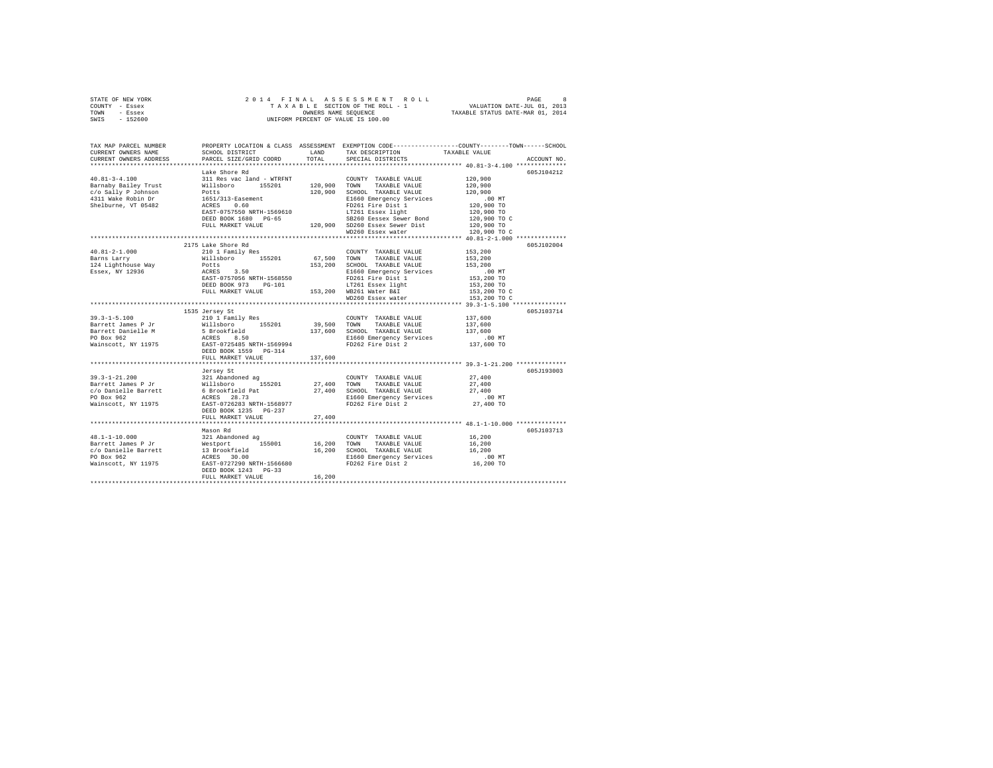| STATE OF NEW YORK | 2014 FINAL ASSESSMENT ROLL         | 8<br>PAGE                        |
|-------------------|------------------------------------|----------------------------------|
| COUNTY - Essex    | TAXABLE SECTION OF THE ROLL - 1    | VALUATION DATE-JUL 01, 2013      |
| TOWN<br>- Essex   | OWNERS NAME SEOUENCE               | TAXABLE STATUS DATE-MAR 01, 2014 |
| $-152600$<br>SWIS | UNIFORM PERCENT OF VALUE IS 100.00 |                                  |
|                   |                                    |                                  |

| TAX MAP PARCEL NUMBER<br>CURRENT OWNERS NAME                                                                                                                                                                                             | SCHOOL DISTRICT                                                                                                                          | LAND                 | PROPERTY LOCATION & CLASS ASSESSMENT EXEMPTION CODE----------------COUNTY-------TOWN-----SCHOOL<br>TAX DESCRIPTION | TAXABLE VALUE              |             |
|------------------------------------------------------------------------------------------------------------------------------------------------------------------------------------------------------------------------------------------|------------------------------------------------------------------------------------------------------------------------------------------|----------------------|--------------------------------------------------------------------------------------------------------------------|----------------------------|-------------|
| CURRENT OWNERS ADDRESS                                                                                                                                                                                                                   | PARCEL SIZE/GRID COORD                                                                                                                   | TOTAL                | SPECIAL DISTRICTS                                                                                                  |                            | ACCOUNT NO. |
|                                                                                                                                                                                                                                          | ***************************                                                                                                              |                      |                                                                                                                    |                            |             |
|                                                                                                                                                                                                                                          | Lake Shore Rd                                                                                                                            |                      |                                                                                                                    |                            | 605J104212  |
| $40.81 - 3 - 4.100$                                                                                                                                                                                                                      | 311 Res vac land - WTRFNT                                                                                                                |                      | COUNTY TAXABLE VALUE                                                                                               | 120,900                    |             |
| Barnaby Bailey Trust                                                                                                                                                                                                                     |                                                                                                                                          |                      | TAXABLE VALUE                                                                                                      | 120,900                    |             |
| c/o Sally P Johnson                                                                                                                                                                                                                      |                                                                                                                                          |                      | 120,900 SCHOOL TAXABLE VALUE                                                                                       | 120,900                    |             |
| 4311 Wake Robin Dr                                                                                                                                                                                                                       | %11 Res vac 1and – WTRKPI<br>Willsboro 155201 120,900 TOWN<br>Potts 120,900 SCHOO<br>1651/313-Easement 120,900 EH660<br>ACRES 0.60 FD261 |                      | E1660 Emergency Services                                                                                           | $.00$ MT                   |             |
| Shelburne, VT 05482                                                                                                                                                                                                                      | EAST-0757550 NRTH-1569610                                                                                                                |                      | FD261 Fire Dist 1<br>LT261 Essex light                                                                             | 120,900 TO                 |             |
|                                                                                                                                                                                                                                          | DEED BOOK 1680 PG-65                                                                                                                     |                      | SB260 Eessex Sewer Bond                                                                                            | 120,900 TO<br>120,900 TO C |             |
|                                                                                                                                                                                                                                          | FULL MARKET VALUE                                                                                                                        |                      | 120,900 SD260 Essex Sewer Dist                                                                                     |                            |             |
|                                                                                                                                                                                                                                          |                                                                                                                                          |                      | WD260 Essex water                                                                                                  | 120,900 TO<br>120,900 TO C |             |
|                                                                                                                                                                                                                                          |                                                                                                                                          |                      |                                                                                                                    |                            |             |
|                                                                                                                                                                                                                                          | 2175 Lake Shore Rd                                                                                                                       |                      |                                                                                                                    |                            | 605J102004  |
| $40.81 - 2 - 1.000$                                                                                                                                                                                                                      | 210 1 Family Res                                                                                                                         |                      | COUNTY TAXABLE VALUE                                                                                               | 153,200                    |             |
| Barns Larry                                                                                                                                                                                                                              |                                                                                                                                          | COUNT<br>67,500 TOWN | TAXABLE VALUE                                                                                                      | 153,200                    |             |
| 124 Lighthouse Way                                                                                                                                                                                                                       |                                                                                                                                          |                      | 153,200 SCHOOL TAXABLE VALUE                                                                                       | 153,200                    |             |
| Essex, NY 12936                                                                                                                                                                                                                          | Willsboro 155201<br>Potts<br>ACRES 3.50<br>EAST-0757056 NRTH-1568550                                                                     |                      | E1660 Emergency Services                                                                                           | $.00$ MT                   |             |
|                                                                                                                                                                                                                                          |                                                                                                                                          |                      | FD261 Fire Dist 1                                                                                                  | 153,200 TO                 |             |
|                                                                                                                                                                                                                                          | DEED BOOK 973 PG-101                                                                                                                     |                      | LT261 Essex light                                                                                                  |                            |             |
|                                                                                                                                                                                                                                          | FULL MARKET VALUE                                                                                                                        |                      | LT261 Essex light<br>153,200 WB261 Water B&I                                                                       | 153,200 TO<br>153,200 TO C |             |
|                                                                                                                                                                                                                                          |                                                                                                                                          |                      | WD260 Essex water                                                                                                  | 153,200 TO C               |             |
|                                                                                                                                                                                                                                          |                                                                                                                                          |                      |                                                                                                                    |                            |             |
|                                                                                                                                                                                                                                          | 1535 Jersey St                                                                                                                           |                      |                                                                                                                    |                            | 605J103714  |
| $39.3 - 1 - 5.100$                                                                                                                                                                                                                       | 210 1 Family Res                                                                                                                         |                      | COUNTY TAXABLE VALUE 137,600                                                                                       |                            |             |
| Barrett James P Jr                                                                                                                                                                                                                       | Willsboro 155201                                                                                                                         |                      | 39,500 TOWN TAXABLE VALUE                                                                                          | 137,600                    |             |
| Barrett Danielle Martin (* 15. brookfield<br>Barrett Danielle Martin (* 15. brookfield)<br>PO Box 962                                                                                                                                    |                                                                                                                                          |                      | 137,600 SCHOOL TAXABLE VALUE                                                                                       | 137,600                    |             |
|                                                                                                                                                                                                                                          |                                                                                                                                          |                      | E1660 Emergency Services                                                                                           | .00 MT                     |             |
| Wainscott, NY 11975 EAST-0725485 NRTH-1569994                                                                                                                                                                                            |                                                                                                                                          |                      | FD262 Fire Dist 2                                                                                                  | 137,600 TO                 |             |
|                                                                                                                                                                                                                                          | DEED BOOK 1559 PG-314                                                                                                                    |                      |                                                                                                                    |                            |             |
|                                                                                                                                                                                                                                          | FULL MARKET VALUE                                                                                                                        | 137,600              |                                                                                                                    |                            |             |
|                                                                                                                                                                                                                                          |                                                                                                                                          |                      |                                                                                                                    |                            |             |
|                                                                                                                                                                                                                                          | Jersey St                                                                                                                                |                      |                                                                                                                    |                            | 605J193003  |
|                                                                                                                                                                                                                                          |                                                                                                                                          |                      | COUNTY TAXABLE VALUE                                                                                               | 27,400                     |             |
|                                                                                                                                                                                                                                          |                                                                                                                                          | 27,400 TOWN          | TAXABLE VALUE                                                                                                      | 27,400                     |             |
|                                                                                                                                                                                                                                          |                                                                                                                                          |                      | 27,400 SCHOOL TAXABLE VALUE                                                                                        | 27,400                     |             |
| 39.3-1-21.200<br>Barrett James P Jr Willshoro 155201<br>C/O Danielle Barrett 6 Brookfield Pat<br>PO Box 962<br>Nainscott, NY 11975 BAST-072623 NRTH-1568977<br>Mainscott, NY 11975 BEED BOOK 1215 PG-237                                 |                                                                                                                                          |                      | E1660 Emergency Services<br>FD262 Fire Dist 2                                                                      | $.00$ MT                   |             |
|                                                                                                                                                                                                                                          |                                                                                                                                          |                      |                                                                                                                    | 27,400 TO                  |             |
|                                                                                                                                                                                                                                          |                                                                                                                                          |                      |                                                                                                                    |                            |             |
|                                                                                                                                                                                                                                          | FULL MARKET VALUE                                                                                                                        | 27,400               |                                                                                                                    |                            |             |
|                                                                                                                                                                                                                                          |                                                                                                                                          |                      |                                                                                                                    |                            |             |
|                                                                                                                                                                                                                                          | Mason Rd                                                                                                                                 |                      |                                                                                                                    |                            | 605J103713  |
|                                                                                                                                                                                                                                          |                                                                                                                                          |                      | COUNTY TAXABLE VALUE 16,200<br>16,200 TOWN TAXABLE VALUE                                                           |                            |             |
|                                                                                                                                                                                                                                          |                                                                                                                                          |                      | 16,200 SCHOOL TAXABLE VALUE                                                                                        | 16,200<br>16,200           |             |
|                                                                                                                                                                                                                                          |                                                                                                                                          |                      | E1660 Emergency Services                                                                                           | $.00$ MT                   |             |
| 48.1-1-10.000 Mason Rd<br>Barrett James P Jr Westport 155001 16,200<br>C/O Danielle Barrett 13 Brookfield 16,200<br>PO Box 962 RGRES 30.00<br>Wainscott, NY 11975 BAST-0727290 NRTH-1566680<br>Mainscott, NY 11975 BAST-0727290 NRTH-156 |                                                                                                                                          |                      | FD262 Fire Dist 2                                                                                                  | 16,200 TO                  |             |
|                                                                                                                                                                                                                                          |                                                                                                                                          |                      |                                                                                                                    |                            |             |
|                                                                                                                                                                                                                                          | FULL MARKET VALUE                                                                                                                        | 16,200               |                                                                                                                    |                            |             |
|                                                                                                                                                                                                                                          | **********************                                                                                                                   |                      |                                                                                                                    |                            |             |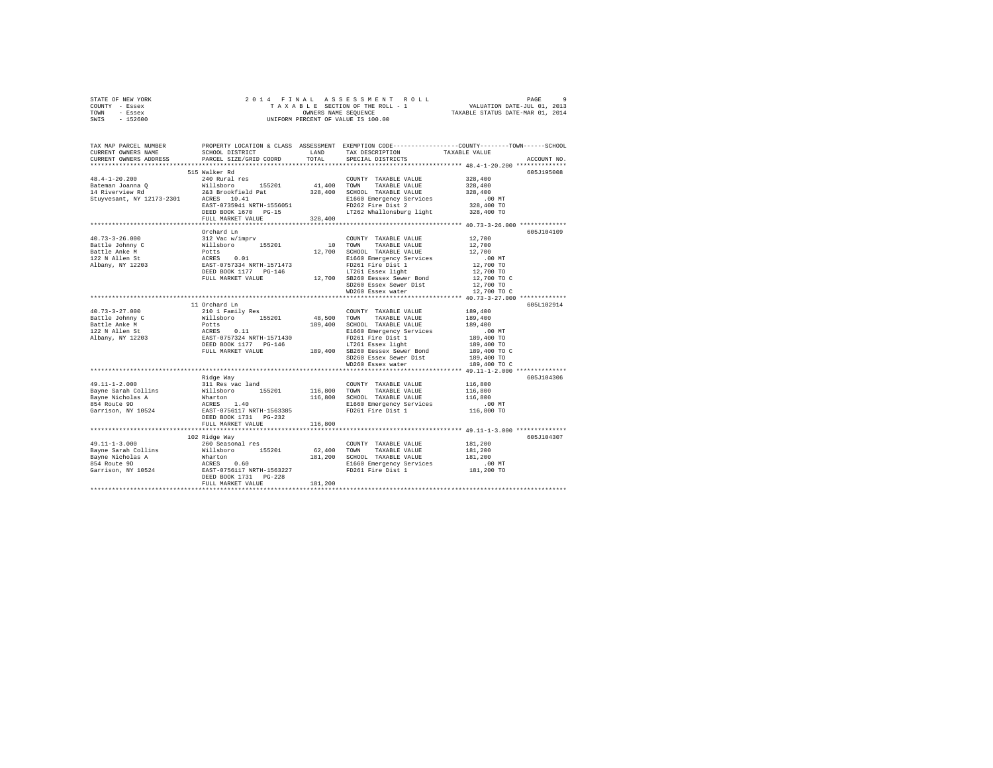|      | STATE OF NEW YORK |  |  | 2014 FINAL ASSESSMENT ROLL         | PAGE                             |  |
|------|-------------------|--|--|------------------------------------|----------------------------------|--|
|      | COUNTY - Essex    |  |  | TAXABLE SECTION OF THE ROLL - 1    | VALUATION DATE-JUL 01, 2013      |  |
| TOWN | - Essex           |  |  | OWNERS NAME SEOUENCE               | TAXABLE STATUS DATE-MAR 01, 2014 |  |
| SWIS | - 152600          |  |  | UNIFORM PERCENT OF VALUE IS 100.00 |                                  |  |

| TAX MAP PARCEL NUMBER<br>CURRENT OWNERS NAME<br>CURRENT OWNERS ADDRESS | SCHOOL DISTRICT<br>PARCEL SIZE/GRID COORD                                                                                                                                                                                                                                    | LAND<br>TOTAL        | TAX DESCRIPTION<br>SPECIAL DISTRICTS | PROPERTY LOCATION & CLASS ASSESSMENT EXEMPTION CODE---------------COUNTY-------TOWN------SCHOOL<br>TAXABLE VALUE<br>ACCOUNT NO. |
|------------------------------------------------------------------------|------------------------------------------------------------------------------------------------------------------------------------------------------------------------------------------------------------------------------------------------------------------------------|----------------------|--------------------------------------|---------------------------------------------------------------------------------------------------------------------------------|
| ***********************                                                | ****************************                                                                                                                                                                                                                                                 |                      |                                      |                                                                                                                                 |
|                                                                        | 515 Walker Rd                                                                                                                                                                                                                                                                |                      |                                      | 605J195008                                                                                                                      |
| $48.4 - 1 - 20.200$                                                    | 240 Rural res                                                                                                                                                                                                                                                                |                      | COUNTY TAXABLE VALUE                 | 328,400                                                                                                                         |
|                                                                        |                                                                                                                                                                                                                                                                              | 41,400 TOWN          | TAXABLE VALUE                        | 328,400                                                                                                                         |
|                                                                        |                                                                                                                                                                                                                                                                              |                      | 328,400 SCHOOL TAXABLE VALUE         | 328,400                                                                                                                         |
|                                                                        | 43.4-1-20.200<br>Bateman Joanna Q<br>14 Riverview Rd<br>2023 Brookfield Pat<br>3263 Brookfield Pat<br>3263 Brookfield Pat<br>3263 Brookfield Pat                                                                                                                             |                      | E1660 Emergency Services             | $.00$ MT                                                                                                                        |
|                                                                        | EAST-0735941 NRTH-1556051                                                                                                                                                                                                                                                    |                      | FD262 Fire Dist 2                    | 328,400 TO                                                                                                                      |
|                                                                        | DEED BOOK 1670 PG-15                                                                                                                                                                                                                                                         |                      | LT262 Whallonsburg light 328,400 TO  |                                                                                                                                 |
|                                                                        | FULL MARKET VALUE                                                                                                                                                                                                                                                            | 328,400              |                                      |                                                                                                                                 |
|                                                                        | Orchard Ln                                                                                                                                                                                                                                                                   |                      |                                      | 605J104109                                                                                                                      |
| $40.73 - 3 - 26.000$                                                   | 312 Vac w/imprv                                                                                                                                                                                                                                                              |                      | COUNTY TAXABLE VALUE                 | 12,700                                                                                                                          |
|                                                                        |                                                                                                                                                                                                                                                                              | 10                   | TOWN TAXABLE VALUE                   | 12,700                                                                                                                          |
|                                                                        |                                                                                                                                                                                                                                                                              | 12,700               | SCHOOL TAXABLE VALUE                 | 12,700                                                                                                                          |
|                                                                        |                                                                                                                                                                                                                                                                              |                      | E1660 Emergency Services             | $.00$ MT                                                                                                                        |
|                                                                        |                                                                                                                                                                                                                                                                              |                      | FD261 Fire Dist 1                    | $12,700$ TO                                                                                                                     |
|                                                                        |                                                                                                                                                                                                                                                                              |                      | LT261 Essex light                    | 12,700 TO                                                                                                                       |
|                                                                        | FULL MARKET VALUE                                                                                                                                                                                                                                                            |                      | 12,700 SB260 Eessex Sewer Bond       | $12,700$ TO C                                                                                                                   |
|                                                                        |                                                                                                                                                                                                                                                                              |                      | SD260 Essex Sewer Dist               | 12,700 TO                                                                                                                       |
|                                                                        |                                                                                                                                                                                                                                                                              |                      | WD260 Essex water                    | 12,700 TO C                                                                                                                     |
|                                                                        |                                                                                                                                                                                                                                                                              |                      |                                      |                                                                                                                                 |
|                                                                        | 11 Orchard Ln                                                                                                                                                                                                                                                                |                      |                                      | 605L102914                                                                                                                      |
| $40.73 - 3 - 27.000$                                                   | 210 1 Family Res                                                                                                                                                                                                                                                             | COUNT<br>48,500 TOWN | COUNTY TAXABLE VALUE                 | 189,400                                                                                                                         |
|                                                                        |                                                                                                                                                                                                                                                                              |                      | TAXABLE VALUE                        | 189,400                                                                                                                         |
|                                                                        |                                                                                                                                                                                                                                                                              |                      | 189,400 SCHOOL TAXABLE VALUE         | 189,400                                                                                                                         |
|                                                                        |                                                                                                                                                                                                                                                                              |                      | E1660 Emergency Services             | $.00$ MT                                                                                                                        |
|                                                                        |                                                                                                                                                                                                                                                                              |                      | FD261 Fire Dist 1                    | 189,400 TO                                                                                                                      |
|                                                                        | DEED BOOK 1177 PG-146 189,400 LT261 Essex light<br>FULL MARKET VALUE 189,400 SB260 Eessex Sewer Bond                                                                                                                                                                         |                      |                                      | 189,400 TO                                                                                                                      |
|                                                                        |                                                                                                                                                                                                                                                                              |                      |                                      | 189,400 TO C                                                                                                                    |
|                                                                        |                                                                                                                                                                                                                                                                              |                      | SD260 Essex Sewer Dist               | 189,400 TO                                                                                                                      |
|                                                                        |                                                                                                                                                                                                                                                                              |                      | WD260 Essex water                    | 189,400 TO C                                                                                                                    |
|                                                                        | Ridge Way                                                                                                                                                                                                                                                                    |                      |                                      | 605J104306                                                                                                                      |
|                                                                        |                                                                                                                                                                                                                                                                              |                      | COUNTY TAXABLE VALUE                 | 116,800                                                                                                                         |
|                                                                        |                                                                                                                                                                                                                                                                              | 116,800 TOWN         | TAXABLE VALUE                        | 116,800                                                                                                                         |
|                                                                        |                                                                                                                                                                                                                                                                              |                      | 116,800 SCHOOL TAXABLE VALUE         | 116,800                                                                                                                         |
|                                                                        |                                                                                                                                                                                                                                                                              |                      | E1660 Emergency Services             | $.00$ MT                                                                                                                        |
|                                                                        |                                                                                                                                                                                                                                                                              |                      | FD261 Fire Dist 1                    | 116,800 TO                                                                                                                      |
|                                                                        | DEED BOOK 1731 PG-232                                                                                                                                                                                                                                                        |                      |                                      |                                                                                                                                 |
|                                                                        | FULL MARKET VALUE                                                                                                                                                                                                                                                            | 116,800              |                                      |                                                                                                                                 |
|                                                                        |                                                                                                                                                                                                                                                                              |                      |                                      |                                                                                                                                 |
|                                                                        | 102 Ridge Way                                                                                                                                                                                                                                                                |                      |                                      | 605J104307                                                                                                                      |
|                                                                        |                                                                                                                                                                                                                                                                              |                      | COUNTY TAXABLE VALUE                 | 181,200                                                                                                                         |
|                                                                        |                                                                                                                                                                                                                                                                              |                      | 62,400 TOWN TAXABLE VALUE            | 181,200                                                                                                                         |
|                                                                        |                                                                                                                                                                                                                                                                              |                      | 181,200 SCHOOL TAXABLE VALUE         | 181,200                                                                                                                         |
|                                                                        |                                                                                                                                                                                                                                                                              |                      | E1660 Emergency Services             | .00 MT                                                                                                                          |
|                                                                        |                                                                                                                                                                                                                                                                              |                      | FD261 Fire Dist 1                    | 181,200 TO                                                                                                                      |
|                                                                        | 49.11-1-3.000<br>Bayne Sarah Collins<br>Bayne Nicholas A<br>Bayne Nicholas A<br>Marton Marton<br>Sarah Marton<br>Sarah Marton<br>Sarah Marton<br>Sarah Marton<br>DEED BOOK 1731 PG-228<br>DEED BOOK 1731<br>DEED BOOK 1731<br>DEED BOOK 1731<br>DEED BO<br>FULL MARKET VALUE | 181,200              |                                      |                                                                                                                                 |
|                                                                        |                                                                                                                                                                                                                                                                              |                      |                                      |                                                                                                                                 |
|                                                                        |                                                                                                                                                                                                                                                                              |                      |                                      |                                                                                                                                 |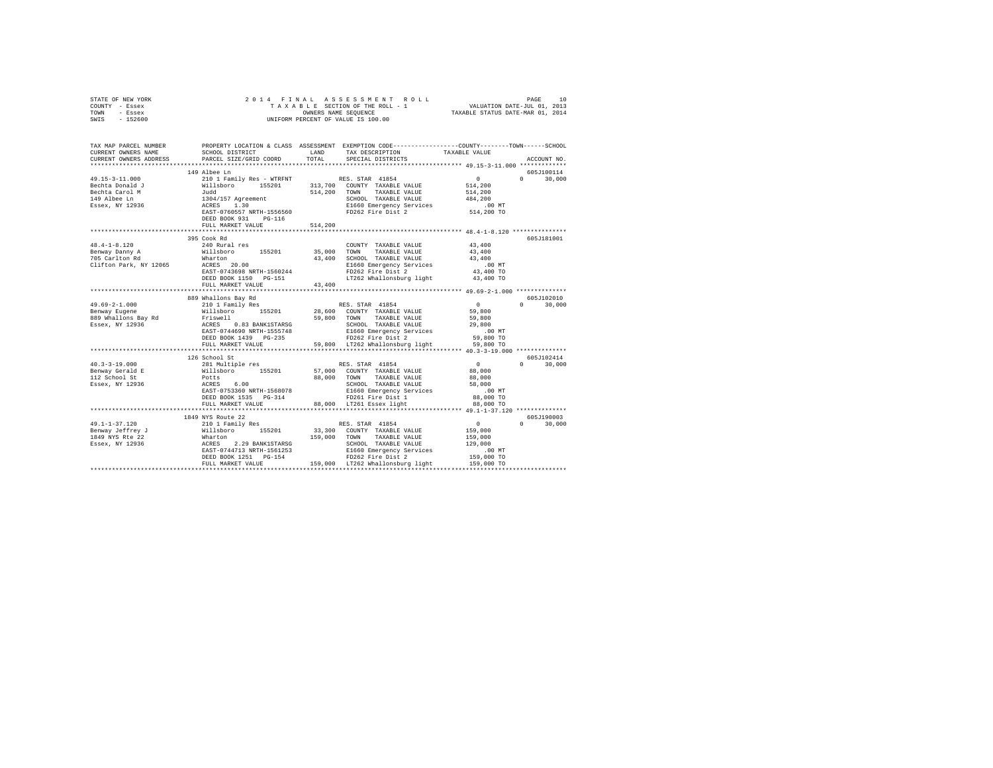| STATE OF NEW YORK<br>COUNTY - Essex<br>TOWN - Essex<br>SWIS - 152600                                                                                                                                                                                                                                                                                                                                                         | 2014 FINAL                                           |         |                                                                                                                                                                           |                  |                    |
|------------------------------------------------------------------------------------------------------------------------------------------------------------------------------------------------------------------------------------------------------------------------------------------------------------------------------------------------------------------------------------------------------------------------------|------------------------------------------------------|---------|---------------------------------------------------------------------------------------------------------------------------------------------------------------------------|------------------|--------------------|
| TAX MAP PARCEL NUMBER<br>CURRENT OWNERS NAME<br>CURRENT OWNERS ADDRESS                                                                                                                                                                                                                                                                                                                                                       | SCHOOL DISTRICT LAND<br>PARCEL SIZE/GRID COORD TOTAL |         | PROPERTY LOCATION & CLASS ASSESSMENT EXEMPTION CODE----------------COUNTY-------TOWN------SCHOOL<br>TAX DESCRIPTION<br>SPECIAL DISTRICTS                                  | TAXABLE VALUE    | ACCOUNT NO.        |
|                                                                                                                                                                                                                                                                                                                                                                                                                              | 149 Albee Ln                                         |         |                                                                                                                                                                           |                  | 605J100114         |
|                                                                                                                                                                                                                                                                                                                                                                                                                              |                                                      |         |                                                                                                                                                                           |                  | 30,000<br>$\Omega$ |
|                                                                                                                                                                                                                                                                                                                                                                                                                              |                                                      |         |                                                                                                                                                                           | 514, 200         |                    |
|                                                                                                                                                                                                                                                                                                                                                                                                                              |                                                      |         |                                                                                                                                                                           | 514,200          |                    |
|                                                                                                                                                                                                                                                                                                                                                                                                                              |                                                      |         | SCHOOL TAXABLE VALUE<br>E1660 Emergency Services                                                                                                                          | 484,200          |                    |
|                                                                                                                                                                                                                                                                                                                                                                                                                              |                                                      |         |                                                                                                                                                                           | ,<br>514, 200 TO |                    |
|                                                                                                                                                                                                                                                                                                                                                                                                                              | DEED BOOK 931 PG-116                                 |         | FD262 Fire Dist 2                                                                                                                                                         |                  |                    |
|                                                                                                                                                                                                                                                                                                                                                                                                                              | FULL MARKET VALUE                                    | 514,200 |                                                                                                                                                                           |                  |                    |
|                                                                                                                                                                                                                                                                                                                                                                                                                              |                                                      |         |                                                                                                                                                                           |                  |                    |
|                                                                                                                                                                                                                                                                                                                                                                                                                              | 395 Cook Rd                                          |         |                                                                                                                                                                           |                  | 605J181001         |
| $48.4 - 1 - 8.120$                                                                                                                                                                                                                                                                                                                                                                                                           | 240 Rural res                                        |         | COUNTY TAXABLE VALUE 43,400                                                                                                                                               |                  |                    |
| Benway Danny A<br>705 Carlton Rd                                                                                                                                                                                                                                                                                                                                                                                             | Willsboro 155201                                     |         | 35,000 TOWN TAXABLE VALUE                                                                                                                                                 | 43,400<br>43,400 |                    |
| 705 Carlton Rd<br>2016 - The Marton Marton (1998) 2010<br>21660 Emergency Services<br>20.00 E1660 Emergency Services                                                                                                                                                                                                                                                                                                         |                                                      |         |                                                                                                                                                                           | .00 MT           |                    |
|                                                                                                                                                                                                                                                                                                                                                                                                                              | EAST-0743698 NRTH-1560244                            |         | FD262 Fire Dist 2                                                                                                                                                         | 43,400 TO        |                    |
|                                                                                                                                                                                                                                                                                                                                                                                                                              | DEED BOOK 1150 PG-151                                |         | LT262 Whallonsburg light 43,400 TO                                                                                                                                        |                  |                    |
|                                                                                                                                                                                                                                                                                                                                                                                                                              | FULL MARKET VALUE 43,400                             |         |                                                                                                                                                                           |                  |                    |
|                                                                                                                                                                                                                                                                                                                                                                                                                              |                                                      |         |                                                                                                                                                                           |                  |                    |
|                                                                                                                                                                                                                                                                                                                                                                                                                              |                                                      |         |                                                                                                                                                                           |                  | 605J102010         |
|                                                                                                                                                                                                                                                                                                                                                                                                                              |                                                      |         |                                                                                                                                                                           | $\sim$ 0         | $0 \t 30,000$      |
|                                                                                                                                                                                                                                                                                                                                                                                                                              |                                                      |         |                                                                                                                                                                           | 59.800           |                    |
|                                                                                                                                                                                                                                                                                                                                                                                                                              |                                                      |         |                                                                                                                                                                           | 59,800           |                    |
|                                                                                                                                                                                                                                                                                                                                                                                                                              |                                                      |         |                                                                                                                                                                           | 29,800           |                    |
|                                                                                                                                                                                                                                                                                                                                                                                                                              |                                                      |         |                                                                                                                                                                           | $.00$ MT         |                    |
|                                                                                                                                                                                                                                                                                                                                                                                                                              |                                                      |         |                                                                                                                                                                           | 59,800 TO        |                    |
|                                                                                                                                                                                                                                                                                                                                                                                                                              |                                                      |         | FULL MARKET VALUE 59,800 LT262 Whallonsburg light 59,800 TO                                                                                                               |                  |                    |
|                                                                                                                                                                                                                                                                                                                                                                                                                              |                                                      |         |                                                                                                                                                                           |                  |                    |
| $40.3 - 3 - 19.000$                                                                                                                                                                                                                                                                                                                                                                                                          | 126 School St                                        |         | RES. STAR 41854                                                                                                                                                           | $\sim$ 0         | 605J102414         |
| Benway Gerald E                                                                                                                                                                                                                                                                                                                                                                                                              | 281 Multiple res                                     |         | Willsboro 155201 57,000 COUNTY TAXABLE VALUE 88,000                                                                                                                       |                  | $0 \t 30,000$      |
| 112 School St                                                                                                                                                                                                                                                                                                                                                                                                                | Potts                                                |         | 88,000 TOWN TAXABLE VALUE                                                                                                                                                 | 88,000           |                    |
| Essex, NY 12936                                                                                                                                                                                                                                                                                                                                                                                                              |                                                      |         | POULS 6.00<br>RARES 6.00<br>EAST-0753360 NRTH-1568078<br>DEED BOOK 1535 PG-314<br>PULL MARKET VALUE<br>PULL MARKET VALUE<br>PULL MARKET VALUE<br>B8,000 LT261 Essex light | 58,000           |                    |
|                                                                                                                                                                                                                                                                                                                                                                                                                              |                                                      |         |                                                                                                                                                                           | $.00$ MT         |                    |
|                                                                                                                                                                                                                                                                                                                                                                                                                              |                                                      |         |                                                                                                                                                                           | 88,000 TO        |                    |
|                                                                                                                                                                                                                                                                                                                                                                                                                              |                                                      |         |                                                                                                                                                                           | 88,000 TO        |                    |
|                                                                                                                                                                                                                                                                                                                                                                                                                              |                                                      |         |                                                                                                                                                                           |                  |                    |
|                                                                                                                                                                                                                                                                                                                                                                                                                              | 1849 NYS Route 22                                    |         |                                                                                                                                                                           |                  | 605J190003         |
|                                                                                                                                                                                                                                                                                                                                                                                                                              |                                                      |         |                                                                                                                                                                           |                  | $0 \t 30.000$      |
| $\begin{tabular}{l c c c c c} \multicolumn{3}{c c c} \multicolumn{3}{c c c} \multicolumn{3}{c c c} \multicolumn{3}{c c} \multicolumn{3}{c c} \multicolumn{3}{c c} \multicolumn{3}{c c} \multicolumn{3}{c c} \multicolumn{3}{c c} \multicolumn{3}{c c} \multicolumn{3}{c c} \multicolumn{3}{c c} \multicolumn{3}{c c} \multicolumn{3}{c c} \multicolumn{3}{c c} \multicolumn{3}{c c} \multicolumn{3}{c c} \multicolumn{3}{c $ |                                                      |         |                                                                                                                                                                           |                  |                    |
|                                                                                                                                                                                                                                                                                                                                                                                                                              |                                                      |         |                                                                                                                                                                           |                  |                    |
|                                                                                                                                                                                                                                                                                                                                                                                                                              |                                                      |         |                                                                                                                                                                           |                  |                    |
|                                                                                                                                                                                                                                                                                                                                                                                                                              |                                                      |         |                                                                                                                                                                           |                  |                    |
|                                                                                                                                                                                                                                                                                                                                                                                                                              |                                                      |         |                                                                                                                                                                           |                  |                    |
|                                                                                                                                                                                                                                                                                                                                                                                                                              |                                                      |         |                                                                                                                                                                           |                  |                    |
|                                                                                                                                                                                                                                                                                                                                                                                                                              |                                                      |         |                                                                                                                                                                           |                  |                    |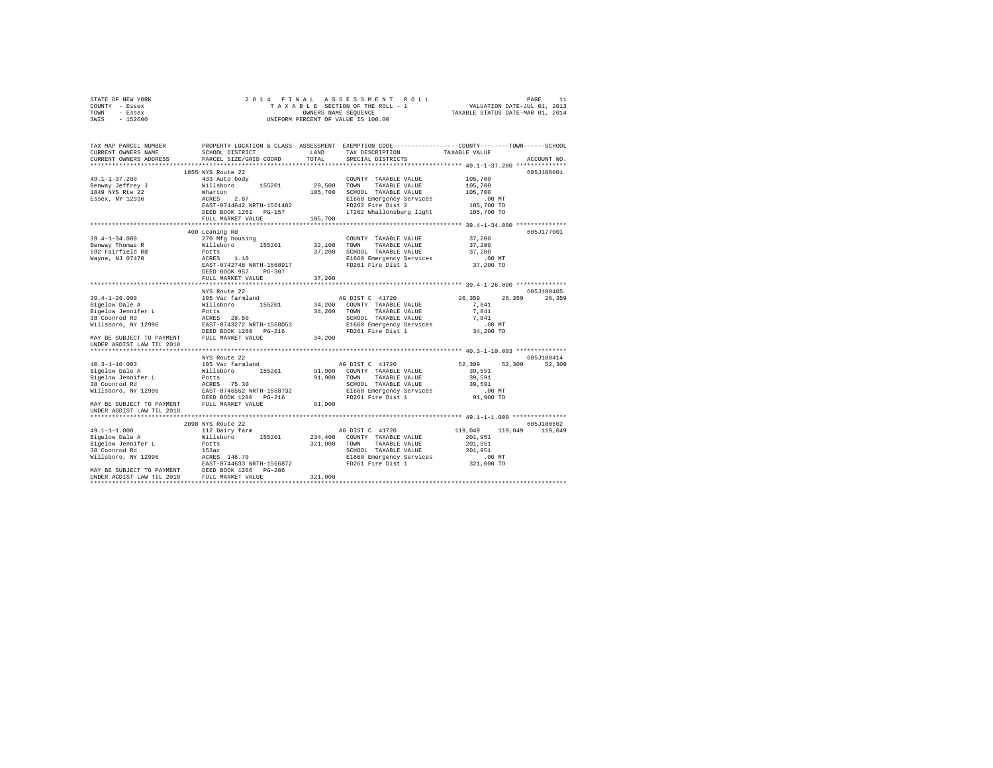| STATE OF NEW YORK               | 2014 FINAL                                                                                                                                                                                |              |                                                |                                  |             |
|---------------------------------|-------------------------------------------------------------------------------------------------------------------------------------------------------------------------------------------|--------------|------------------------------------------------|----------------------------------|-------------|
| COUNTY - Essex                  |                                                                                                                                                                                           |              | TAXABLE SECTION OF THE ROLL - 1                |                                  |             |
| TOWN - Essex                    |                                                                                                                                                                                           |              | OWNERS NAME SEQUENCE                           | TAXABLE STATUS DATE-MAR 01, 2014 |             |
| $-152600$<br>SWIS               |                                                                                                                                                                                           |              | UNIFORM PERCENT OF VALUE IS 100.00             |                                  |             |
|                                 |                                                                                                                                                                                           |              |                                                |                                  |             |
|                                 |                                                                                                                                                                                           |              |                                                |                                  |             |
| TAX MAP PARCEL NUMBER           | PROPERTY LOCATION & CLASS ASSESSMENT EXEMPTION CODE----------------COUNTY-------TOWN-----SCHOOL                                                                                           |              |                                                |                                  |             |
| CURRENT OWNERS NAME             | SCHOOL DISTRICT                                                                                                                                                                           | LAND         | TAX DESCRIPTION                                | TAXABLE VALUE                    |             |
| CURRENT OWNERS ADDRESS          | PARCEL SIZE/GRID COORD                                                                                                                                                                    | TOTAL        | SPECIAL DISTRICTS                              |                                  | ACCOUNT NO. |
|                                 |                                                                                                                                                                                           |              |                                                |                                  |             |
|                                 | 1855 NYS Route 22                                                                                                                                                                         |              |                                                |                                  | 605J188001  |
| 49.1-1-37.200                   | 433 Auto body                                                                                                                                                                             |              | COUNTY TAXABLE VALUE                           | 105,700                          |             |
| Benway Jeffrey J                | 155201<br>Willsboro                                                                                                                                                                       | 29,500       | TOWN<br>TAXABLE VALUE                          | 105,700                          |             |
| 1849 NYS Rte 22                 | Wharton                                                                                                                                                                                   |              | 105,700 SCHOOL TAXABLE VALUE                   | 105,700                          |             |
| Essex, NY 12936                 | ACRES 2.87                                                                                                                                                                                |              | E1660 Emergency Services                       | $.00$ MT                         |             |
|                                 | EAST-0744642 NRTH-1561482                                                                                                                                                                 |              | FD262 Fire Dist 2                              | 105,700 TO                       |             |
|                                 | DEED BOOK 1251 PG-157                                                                                                                                                                     |              |                                                |                                  |             |
|                                 |                                                                                                                                                                                           | 105,700      | LT262 Whallonsburg light 105,700 TO            |                                  |             |
|                                 | FULL MARKET VALUE                                                                                                                                                                         |              |                                                |                                  |             |
|                                 |                                                                                                                                                                                           |              |                                                |                                  |             |
|                                 | 400 Leaning Rd                                                                                                                                                                            |              |                                                |                                  | 605J177001  |
| $39.4 - 1 - 34.000$             | 270 Mfg housing                                                                                                                                                                           |              | COUNTY TAXABLE VALUE                           | 37,200                           |             |
| Benway Thomas R                 | Willsboro<br>155201                                                                                                                                                                       | 32,100       | TOWN<br>TAXABLE VALUE                          | 37,200                           |             |
| 592 Fairfield Rd                | Potts                                                                                                                                                                                     |              | 37,200 SCHOOL TAXABLE VALUE                    | 37,200                           |             |
| Wayne, NJ 07470                 | ACRES 1.10                                                                                                                                                                                |              | E1660 Emergency Services                       | $.00$ MT                         |             |
|                                 | EAST-0742748 NRTH-1568917                                                                                                                                                                 |              | FD261 Fire Dist 1                              | 37,200 TO                        |             |
|                                 | DEED BOOK 957 PG-307                                                                                                                                                                      |              |                                                |                                  |             |
|                                 | FULL MARKET VALUE                                                                                                                                                                         | 37,200       |                                                |                                  |             |
|                                 |                                                                                                                                                                                           |              |                                                |                                  |             |
|                                 |                                                                                                                                                                                           |              |                                                |                                  |             |
|                                 | NYS Route 22                                                                                                                                                                              |              |                                                |                                  | 605J100405  |
| $39.4 - 1 - 26.000$             |                                                                                                                                                                                           |              |                                                | 26,359<br>26,359                 | 26,359      |
| Bigelow Dale A                  | 105 Vac farmland<br>Willsboro 155201                                                                                                                                                      |              | AG DIST C 41720<br>34,200 COUNTY TAXABLE VALUE | 7.841                            |             |
|                                 | Potts                                                                                                                                                                                     |              | TAXABLE VALUE<br>TOWN                          | 7.841                            |             |
| Bigelow Jennifer L              |                                                                                                                                                                                           | 34,200       |                                                | 7.841                            |             |
| 38 Coonrod Rd                   | ACRES 28.50                                                                                                                                                                               |              | SCHOOL TAXABLE VALUE                           |                                  |             |
| Willsboro, NY 12996             | EAST-0743272 NRTH-1568053                                                                                                                                                                 |              | E1660 Emergency Services                       | $.00$ MT                         |             |
|                                 | DEED BOOK 1280 PG-216                                                                                                                                                                     |              | FD261 Fire Dist 1                              | 34,200 TO                        |             |
| MAY BE SUBJECT TO PAYMENT       | FULL MARKET VALUE                                                                                                                                                                         | 34,200       |                                                |                                  |             |
| UNDER AGDIST LAW TIL 2018       |                                                                                                                                                                                           |              |                                                |                                  |             |
|                                 |                                                                                                                                                                                           |              |                                                |                                  |             |
|                                 | NYS Route 22                                                                                                                                                                              |              |                                                |                                  | 605J100414  |
|                                 | 105 Vac farmland                                                                                                                                                                          |              | AG DIST C 41720                                | 52,309<br>52,309                 | 52,309      |
| 40.3-1-10.003<br>Bigelow Dale A | Willsboro 155201                                                                                                                                                                          |              | 91,900 COUNTY TAXABLE VALUE                    | 39,591                           |             |
| Bigelow Jennifer L              | Potts                                                                                                                                                                                     | 91,900       | TAXABLE VALUE<br>TOWN                          | 39,591                           |             |
| 38 Coonrod Rd                   | ACRES 75.30                                                                                                                                                                               |              | SCHOOL TAXABLE VALUE                           | 39,591                           |             |
| Willsboro, NY 12996             | EAST-0746552 NRTH-1568732                                                                                                                                                                 |              | E1660 Emergency Services                       | $.00$ MT                         |             |
|                                 | DEED BOOK 1280 PG-216                                                                                                                                                                     |              | FD261 Fire Dist 1                              | 91,900 TO                        |             |
|                                 | MAY BE SUBJECT TO PAYMENT FULL MARKET VALUE                                                                                                                                               | 91,900       |                                                |                                  |             |
| UNDER AGDIST LAW TIL 2018       |                                                                                                                                                                                           |              |                                                |                                  |             |
|                                 |                                                                                                                                                                                           |              |                                                |                                  |             |
|                                 | 2098 NYS Route 22                                                                                                                                                                         |              |                                                |                                  | 605J100502  |
| $49.1 - 1 - 1.000$              | 112 Dairy farm                                                                                                                                                                            |              | AG DIST C 41720                                | 119,049<br>119,049               | 119,049     |
| Bigelow Dale A                  | Willsboro 155201                                                                                                                                                                          |              | 234,400 COUNTY TAXABLE VALUE                   | 201,951                          |             |
| Bigelow Jennifer L              | Potts                                                                                                                                                                                     | 321,000 TOWN | TAXABLE VALUE                                  | 201,951                          |             |
| 38 Coonrod Rd                   | 153ac                                                                                                                                                                                     |              | SCHOOL TAXABLE VALUE                           | 201.951                          |             |
|                                 |                                                                                                                                                                                           |              | E1660 Emergency Services                       | $.00$ MT                         |             |
|                                 |                                                                                                                                                                                           |              | FD261 Fire Dist 1                              |                                  |             |
|                                 |                                                                                                                                                                                           |              |                                                | 321,000 TO                       |             |
|                                 | Willsboro, NY 12996<br>MATER 146.70<br>MAY BE SUBJECT TO PAYMENT<br>UNDER AGDIST LAW THE 2018<br>UNDER AGRIST LAW TILL 2018<br>THE MARKET VALUE<br>FULL MARKET VALUE<br>FULL MARKET VALUE | 321,000      |                                                |                                  |             |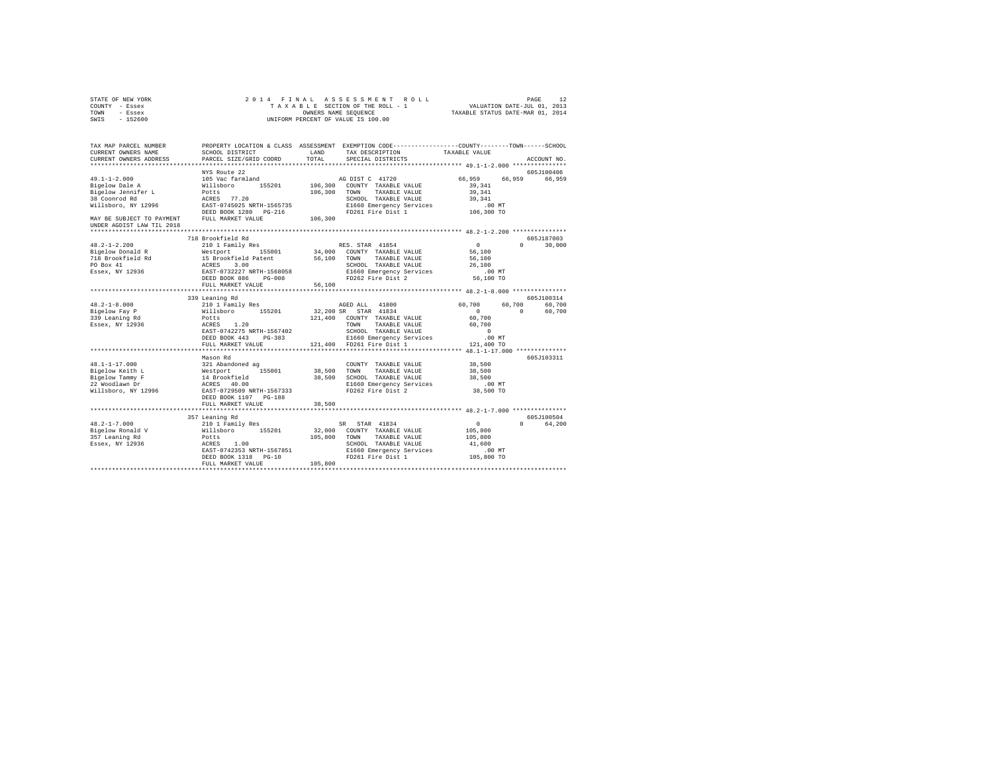| STATE OF NEW YORK<br>COUNTY - Essex<br>- Essex<br>TOWN<br>SWIS<br>$-152600$ | 2014 FINAL                                                                                                                                  | TAXABLE SECTION OF THE ROLL - 1<br>OWNERS NAME SEQUENCE<br>UNIFORM PERCENT OF VALUE IS 100.00 | ASSESSMENT ROLL                      | VALUATION DATE-JUL 01, 2013<br>TAXABLE STATUS DATE-MAR 01, 2014 | PAGE     | 12          |
|-----------------------------------------------------------------------------|---------------------------------------------------------------------------------------------------------------------------------------------|-----------------------------------------------------------------------------------------------|--------------------------------------|-----------------------------------------------------------------|----------|-------------|
| TAX MAP PARCEL NUMBER<br>CURRENT OWNERS NAME<br>CURRENT OWNERS ADDRESS      | PROPERTY LOCATION & CLASS ASSESSMENT EXEMPTION CODE---------------COUNTY-------TOWN-----SCHOOL<br>SCHOOL DISTRICT<br>PARCEL SIZE/GRID COORD | LAND<br>TOTAL                                                                                 | TAX DESCRIPTION<br>SPECIAL DISTRICTS | TAXABLE VALUE                                                   |          | ACCOUNT NO. |
|                                                                             | NYS Route 22                                                                                                                                |                                                                                               |                                      |                                                                 |          | 605J100406  |
| $49.1 - 1 - 2.000$                                                          | 105 Vac farmland                                                                                                                            | AG DIST C 41720                                                                               |                                      | 66,959                                                          | 66,959   | 66,959      |
| Bigelow Dale A                                                              | Willsboro 155201                                                                                                                            | 106,300 COUNTY TAXABLE VALUE                                                                  |                                      | 39,341                                                          |          |             |
| Bigelow Jennifer L                                                          | Potts                                                                                                                                       | 106,300<br>TOWN                                                                               | TAXABLE VALUE                        | 39,341                                                          |          |             |
| 38 Coonrod Rd                                                               | ACRES 77.20                                                                                                                                 |                                                                                               | SCHOOL TAXABLE VALUE                 | 39,341                                                          |          |             |
| Willsboro, NY 12996                                                         | EAST-0745025 NRTH-1565735                                                                                                                   |                                                                                               | E1660 Emergency Services             | $.00$ MT                                                        |          |             |
|                                                                             | DEED BOOK 1280 PG-216                                                                                                                       |                                                                                               | FD261 Fire Dist 1                    | 106,300 TO                                                      |          |             |
| MAY BE SUBJECT TO PAYMENT<br>UNDER AGDIST LAW TIL 2018                      | FULL MARKET VALUE                                                                                                                           | 106,300                                                                                       |                                      |                                                                 |          |             |
|                                                                             |                                                                                                                                             |                                                                                               |                                      |                                                                 |          |             |
|                                                                             | 718 Brookfield Rd                                                                                                                           |                                                                                               |                                      |                                                                 |          | 605J187003  |
| $48.2 - 1 - 2.200$                                                          | 210 1 Family Res                                                                                                                            | RES. STAR 41854                                                                               |                                      | $\circ$                                                         | $\Omega$ | 30,000      |
| Bigelow Donald R                                                            | Westport 155001                                                                                                                             | 34,000 COUNTY TAXABLE VALUE                                                                   |                                      | 56,100                                                          |          |             |
| 718 Brookfield Rd                                                           |                                                                                                                                             | 56,100 TOWN                                                                                   | TAXABLE VALUE                        | 56,100                                                          |          |             |
| PO Box 41                                                                   | 15 Brookfield Patent<br>ACRES 3.00<br>EAST-0732227 NRTH-1568058                                                                             |                                                                                               | SCHOOL TAXABLE VALUE                 | 26,100                                                          |          |             |
| Essex, NY 12936                                                             |                                                                                                                                             |                                                                                               | E1660 Emergency Services             | $.00$ MT                                                        |          |             |
|                                                                             | DEED BOOK 886 PG-008                                                                                                                        |                                                                                               | FD262 Fire Dist 2                    | 56,100 TO                                                       |          |             |
|                                                                             | FULL MARKET VALUE                                                                                                                           | 56,100                                                                                        |                                      |                                                                 |          |             |
|                                                                             | 339 Leaning Rd                                                                                                                              |                                                                                               |                                      |                                                                 |          | 605J100314  |
| $48.2 - 1 - 8.000$                                                          | 210 1 Family Res                                                                                                                            | AGED ALL 41800                                                                                |                                      | 60,700                                                          | 60,700   | 60,700      |
| Bigelow Fay P                                                               | Willsboro 155201                                                                                                                            | 32,200 SR STAR 41834                                                                          |                                      | $\sim$ 0                                                        | $\sim$ 0 | 60,700      |
| 339 Leaning Rd                                                              | Potts                                                                                                                                       | 121,400 COUNTY TAXABLE VALUE                                                                  |                                      | 60,700                                                          |          |             |
| Essex, NY 12936                                                             | ACRES 1.20                                                                                                                                  | TOWN                                                                                          | TAXABLE VALUE                        | 60,700                                                          |          |             |
|                                                                             | EAST-0742275 NRTH-1567402                                                                                                                   |                                                                                               | SCHOOL TAXABLE VALUE                 | $\sim$ 0                                                        |          |             |
|                                                                             | DEED BOOK 443 PG-383                                                                                                                        |                                                                                               | E1660 Emergency Services             | $.00$ MT                                                        |          |             |
|                                                                             | FULL MARKET VALUE                                                                                                                           | 121,400 FD261 Fire Dist 1                                                                     |                                      | 121,400 TO                                                      |          |             |
|                                                                             |                                                                                                                                             |                                                                                               |                                      |                                                                 |          |             |
|                                                                             | Mason Rd                                                                                                                                    |                                                                                               |                                      |                                                                 |          | 605J103311  |
| $48.1 - 1 - 17.000$                                                         | 321 Abandoned ag                                                                                                                            |                                                                                               | COUNTY TAXABLE VALUE                 | 38,500                                                          |          |             |
| Bigelow Keith L                                                             | 155001                                                                                                                                      | 38,500<br>TOWN                                                                                | TAXABLE VALUE                        | 38,500                                                          |          |             |
| Bigelow Tammy F                                                             | Westport<br>14 Brookfield                                                                                                                   | 38,500 SCHOOL TAXABLE VALUE                                                                   |                                      | 38,500                                                          |          |             |
| 22 Woodlawn Dr                                                              | ACRES 40.00                                                                                                                                 |                                                                                               | E1660 Emergency Services             | $.00$ MT                                                        |          |             |
| Willsboro, NY 12996                                                         | EAST-0729509 NRTH-1567333                                                                                                                   |                                                                                               | FD262 Fire Dist 2                    | 38,500 TO                                                       |          |             |
|                                                                             | DEED BOOK 1107 PG-188                                                                                                                       |                                                                                               |                                      |                                                                 |          |             |
|                                                                             | FULL MARKET VALUE                                                                                                                           | 38,500                                                                                        |                                      |                                                                 |          |             |
|                                                                             |                                                                                                                                             |                                                                                               |                                      |                                                                 |          |             |
|                                                                             | 357 Leaning Rd                                                                                                                              |                                                                                               |                                      |                                                                 |          | 605J100504  |
| $48.2 - 1 - 7.000$                                                          | 210 1 Family Res                                                                                                                            | SR STAR 41834                                                                                 |                                      | 0                                                               |          | 0 64.200    |
| Bigelow Ronald V                                                            | Willsboro<br>155201                                                                                                                         | 32,000 COUNTY TAXABLE VALUE                                                                   |                                      | 105,800                                                         |          |             |
| 357 Leaning Rd                                                              | Potts                                                                                                                                       | 105,800                                                                                       | TOWN TAXABLE VALUE                   | 105,800                                                         |          |             |
| Essex, NY 12936                                                             | ACRES 1.00                                                                                                                                  |                                                                                               | SCHOOL TAXABLE VALUE                 | 41,600                                                          |          |             |
|                                                                             | EAST-0742353 NRTH-1567851                                                                                                                   |                                                                                               | E1660 Emergency Services             | $.00$ MT                                                        |          |             |
|                                                                             | DEED BOOK 1318 PG-10<br>FULL MARKET VALUE                                                                                                   | 105,800                                                                                       | FD261 Fire Dist 1                    | 105,800 TO                                                      |          |             |
|                                                                             |                                                                                                                                             |                                                                                               |                                      |                                                                 |          |             |
|                                                                             |                                                                                                                                             |                                                                                               |                                      |                                                                 |          |             |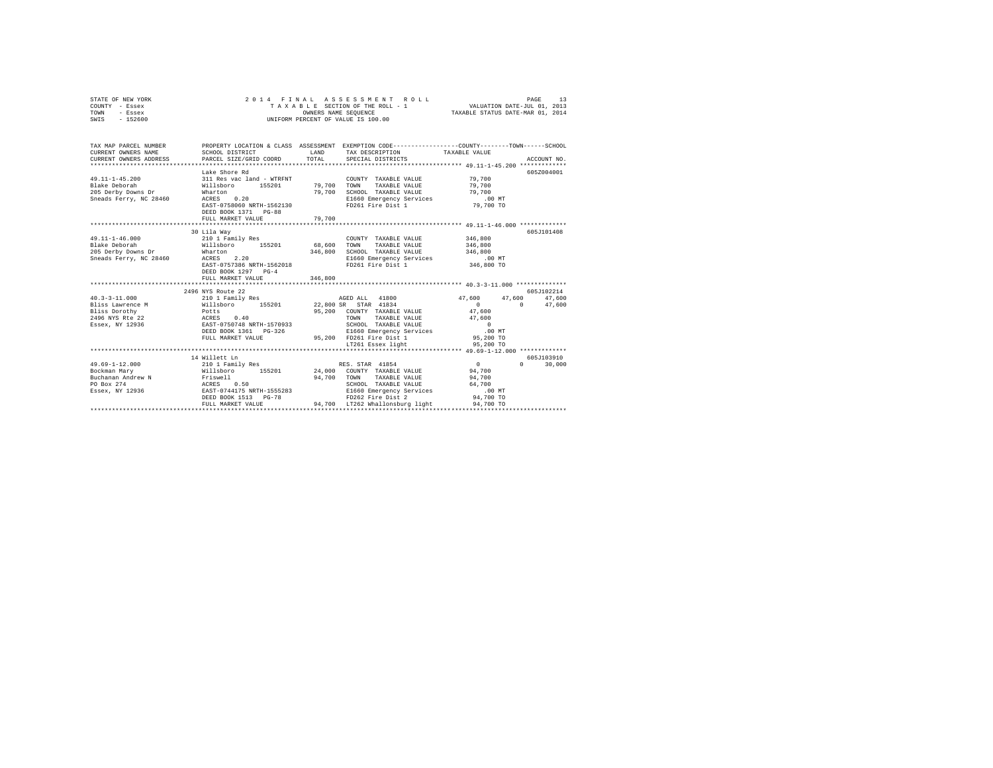| PAGE 13 PAGE 13 PAGE 15 PAGE 15 PAGE 15 PAGE 15 PAGE 15 PAGE 15 PAGE 15 PAGE 15 PAGE 15 PAGE 15 PAGE 15 PAGE 1<br>TAXABLE SECTION OF THE ROLL - 1 PAXABLE STATUS DATE-MAR 01, 2014<br>- Essex<br>UNIFORM PERCENT OF VALUE IS 100.00<br>$-152600$<br>TAX MAP PARCEL NUMBER PROPERTY LOCATION & CLASS ASSESSMENT EXEMPTION CODE---------------COUNTY-------TOWN------SCHOOL<br>CURRENT OWNERS ADDRESS<br>ACCOUNT NO.<br>Lake Shore Rd<br>605Z004001<br>311 Res vac land - WTRFNT<br>49.11-1-45.200<br>COUNTY TAXABLE VALUE 79,700<br>TAXABLE VALUE<br>TOWN<br>79,700<br>79,700<br>SCHOOL TAXABLE VALUE<br>Wharton 0.20 79,700<br>ACRES 0.20 EAST-0758060 NRTH-1562130<br>Sneads Ferry, NC 28460<br>E1660 Emergency Services .00 MT<br>FD261 Fire Dist 1 79,700 TO<br>DEED BOOK 1371 PG-88<br>79,700<br>FULL MARKET VALUE<br>605J101408<br>30 Lila Way<br>346,800<br>COUNTY TAXABLE VALUE<br>TAXABLE VALUE<br>346,800<br>$\begin{tabular}{lllllllllll} \textbf{205} & \textbf{Derby Downs Dr} & \textbf{Mharton} & \textbf{346,800} & \textbf{SCHOOL} & \textbf{TXABLE VALUE} & \textbf{346,800} \\ \textbf{205} & \textbf{Derby Downs Dr} & \textbf{ACRES} & \textbf{2.20} & \textbf{216} & \textbf{220} \\ \textbf{Sheads Ferry, NC 28460} & \textbf{ACRES} & \textbf{2.20} & \textbf{220} & \textbf{220} \\ \textbf{EST-0757386 NRTH-15620$<br>DEED BOOK 1297 PG-4<br>FULL MARKET VALUE = 0.000 = 0.000 = 0.000 = 0.000 = 0.000 = 0.000 = 0.000 = 0.000 = 0.000 = 0.000 = 0.000 = 0.000 = 0.000 = 0.000 = 0.000 = 0.000 = 0.000 = 0.000 = 0.000 = 0.000 = 0.000 = 0.000 = 0.000 = 0.000 = 0.000 = 0.<br>2496 NYS Route 22<br>605J102214<br>AGED ALL 41800 47,600 47,600 47,600<br>$0$ 0 47,600<br>47,600<br>95,200 COUNTY TAXABLE VALUE<br>FULL MARKET VALUE 95,200 PD261 Fire Dist 1 95,200 TO 10 95,200 PD261 Exsex light 95,200 TO<br>605J103910<br>14 Willett Ln<br>$\begin{array}{c} 0 \\ 94,700 \end{array}$<br>$\begin{array}{l} \texttt{49.69--1--12.000} \end{array} \qquad \qquad \begin{array}{l} \texttt{210 1 Family Res} \\ \texttt{Nockman Mary} \end{array} \qquad \begin{array}{l} \texttt{RES} \\ \texttt{Nockman Mary} \end{array} \qquad \begin{array}{l} \texttt{N11sboro} \\ \texttt{155201} \end{array} \qquad \begin{array}{l} \texttt{24.000} \\ \texttt{COUNTY T AXABLE VALUE} \end{array}$<br>$\Omega$<br>30,000<br>${\small \begin{tabular}{lllllllllll} \textsc{Bochman Mary} & \textsc{Willsbor} & \textsc{193-x} & \textsc{20} & \textsc{30} & \textsc{30} & \textsc{50} \\ \textsc{Bochman Mary} & \textsc{20} & \textsc{20} & \textsc{20} & \textsc{20} & \textsc{20} & \textsc{20} \\ \textsc{Buchan and MreeW} & \textsc{N} & \textsc{20} & \textsc{20} & \textsc{20} & \textsc{20} & \textsc{20} \\ \textsc{F3} & \textsc{20} & \textsc{20} & \text$ | STATE OF NEW YORK   | 2014 FINAL |  |  |
|------------------------------------------------------------------------------------------------------------------------------------------------------------------------------------------------------------------------------------------------------------------------------------------------------------------------------------------------------------------------------------------------------------------------------------------------------------------------------------------------------------------------------------------------------------------------------------------------------------------------------------------------------------------------------------------------------------------------------------------------------------------------------------------------------------------------------------------------------------------------------------------------------------------------------------------------------------------------------------------------------------------------------------------------------------------------------------------------------------------------------------------------------------------------------------------------------------------------------------------------------------------------------------------------------------------------------------------------------------------------------------------------------------------------------------------------------------------------------------------------------------------------------------------------------------------------------------------------------------------------------------------------------------------------------------------------------------------------------------------------------------------------------------------------------------------------------------------------------------------------------------------------------------------------------------------------------------------------------------------------------------------------------------------------------------------------------------------------------------------------------------------------------------------------------------------------------------------------------------------------------------------------------------------------------------------------------------------------------------------------------------------------------------------------------------------------------------------------------------------------------------------------------------------------------------------------------------------------------------------------------------------------------------------------------------------------------------------------------------------------------------------------------------------|---------------------|------------|--|--|
|                                                                                                                                                                                                                                                                                                                                                                                                                                                                                                                                                                                                                                                                                                                                                                                                                                                                                                                                                                                                                                                                                                                                                                                                                                                                                                                                                                                                                                                                                                                                                                                                                                                                                                                                                                                                                                                                                                                                                                                                                                                                                                                                                                                                                                                                                                                                                                                                                                                                                                                                                                                                                                                                                                                                                                                          | COUNTY - Essex      |            |  |  |
|                                                                                                                                                                                                                                                                                                                                                                                                                                                                                                                                                                                                                                                                                                                                                                                                                                                                                                                                                                                                                                                                                                                                                                                                                                                                                                                                                                                                                                                                                                                                                                                                                                                                                                                                                                                                                                                                                                                                                                                                                                                                                                                                                                                                                                                                                                                                                                                                                                                                                                                                                                                                                                                                                                                                                                                          | TOWN                |            |  |  |
|                                                                                                                                                                                                                                                                                                                                                                                                                                                                                                                                                                                                                                                                                                                                                                                                                                                                                                                                                                                                                                                                                                                                                                                                                                                                                                                                                                                                                                                                                                                                                                                                                                                                                                                                                                                                                                                                                                                                                                                                                                                                                                                                                                                                                                                                                                                                                                                                                                                                                                                                                                                                                                                                                                                                                                                          | SWIS                |            |  |  |
|                                                                                                                                                                                                                                                                                                                                                                                                                                                                                                                                                                                                                                                                                                                                                                                                                                                                                                                                                                                                                                                                                                                                                                                                                                                                                                                                                                                                                                                                                                                                                                                                                                                                                                                                                                                                                                                                                                                                                                                                                                                                                                                                                                                                                                                                                                                                                                                                                                                                                                                                                                                                                                                                                                                                                                                          |                     |            |  |  |
|                                                                                                                                                                                                                                                                                                                                                                                                                                                                                                                                                                                                                                                                                                                                                                                                                                                                                                                                                                                                                                                                                                                                                                                                                                                                                                                                                                                                                                                                                                                                                                                                                                                                                                                                                                                                                                                                                                                                                                                                                                                                                                                                                                                                                                                                                                                                                                                                                                                                                                                                                                                                                                                                                                                                                                                          |                     |            |  |  |
|                                                                                                                                                                                                                                                                                                                                                                                                                                                                                                                                                                                                                                                                                                                                                                                                                                                                                                                                                                                                                                                                                                                                                                                                                                                                                                                                                                                                                                                                                                                                                                                                                                                                                                                                                                                                                                                                                                                                                                                                                                                                                                                                                                                                                                                                                                                                                                                                                                                                                                                                                                                                                                                                                                                                                                                          |                     |            |  |  |
|                                                                                                                                                                                                                                                                                                                                                                                                                                                                                                                                                                                                                                                                                                                                                                                                                                                                                                                                                                                                                                                                                                                                                                                                                                                                                                                                                                                                                                                                                                                                                                                                                                                                                                                                                                                                                                                                                                                                                                                                                                                                                                                                                                                                                                                                                                                                                                                                                                                                                                                                                                                                                                                                                                                                                                                          |                     |            |  |  |
|                                                                                                                                                                                                                                                                                                                                                                                                                                                                                                                                                                                                                                                                                                                                                                                                                                                                                                                                                                                                                                                                                                                                                                                                                                                                                                                                                                                                                                                                                                                                                                                                                                                                                                                                                                                                                                                                                                                                                                                                                                                                                                                                                                                                                                                                                                                                                                                                                                                                                                                                                                                                                                                                                                                                                                                          | CURRENT OWNERS NAME |            |  |  |
|                                                                                                                                                                                                                                                                                                                                                                                                                                                                                                                                                                                                                                                                                                                                                                                                                                                                                                                                                                                                                                                                                                                                                                                                                                                                                                                                                                                                                                                                                                                                                                                                                                                                                                                                                                                                                                                                                                                                                                                                                                                                                                                                                                                                                                                                                                                                                                                                                                                                                                                                                                                                                                                                                                                                                                                          |                     |            |  |  |
|                                                                                                                                                                                                                                                                                                                                                                                                                                                                                                                                                                                                                                                                                                                                                                                                                                                                                                                                                                                                                                                                                                                                                                                                                                                                                                                                                                                                                                                                                                                                                                                                                                                                                                                                                                                                                                                                                                                                                                                                                                                                                                                                                                                                                                                                                                                                                                                                                                                                                                                                                                                                                                                                                                                                                                                          |                     |            |  |  |
|                                                                                                                                                                                                                                                                                                                                                                                                                                                                                                                                                                                                                                                                                                                                                                                                                                                                                                                                                                                                                                                                                                                                                                                                                                                                                                                                                                                                                                                                                                                                                                                                                                                                                                                                                                                                                                                                                                                                                                                                                                                                                                                                                                                                                                                                                                                                                                                                                                                                                                                                                                                                                                                                                                                                                                                          |                     |            |  |  |
|                                                                                                                                                                                                                                                                                                                                                                                                                                                                                                                                                                                                                                                                                                                                                                                                                                                                                                                                                                                                                                                                                                                                                                                                                                                                                                                                                                                                                                                                                                                                                                                                                                                                                                                                                                                                                                                                                                                                                                                                                                                                                                                                                                                                                                                                                                                                                                                                                                                                                                                                                                                                                                                                                                                                                                                          |                     |            |  |  |
|                                                                                                                                                                                                                                                                                                                                                                                                                                                                                                                                                                                                                                                                                                                                                                                                                                                                                                                                                                                                                                                                                                                                                                                                                                                                                                                                                                                                                                                                                                                                                                                                                                                                                                                                                                                                                                                                                                                                                                                                                                                                                                                                                                                                                                                                                                                                                                                                                                                                                                                                                                                                                                                                                                                                                                                          |                     |            |  |  |
|                                                                                                                                                                                                                                                                                                                                                                                                                                                                                                                                                                                                                                                                                                                                                                                                                                                                                                                                                                                                                                                                                                                                                                                                                                                                                                                                                                                                                                                                                                                                                                                                                                                                                                                                                                                                                                                                                                                                                                                                                                                                                                                                                                                                                                                                                                                                                                                                                                                                                                                                                                                                                                                                                                                                                                                          |                     |            |  |  |
|                                                                                                                                                                                                                                                                                                                                                                                                                                                                                                                                                                                                                                                                                                                                                                                                                                                                                                                                                                                                                                                                                                                                                                                                                                                                                                                                                                                                                                                                                                                                                                                                                                                                                                                                                                                                                                                                                                                                                                                                                                                                                                                                                                                                                                                                                                                                                                                                                                                                                                                                                                                                                                                                                                                                                                                          |                     |            |  |  |
|                                                                                                                                                                                                                                                                                                                                                                                                                                                                                                                                                                                                                                                                                                                                                                                                                                                                                                                                                                                                                                                                                                                                                                                                                                                                                                                                                                                                                                                                                                                                                                                                                                                                                                                                                                                                                                                                                                                                                                                                                                                                                                                                                                                                                                                                                                                                                                                                                                                                                                                                                                                                                                                                                                                                                                                          |                     |            |  |  |
|                                                                                                                                                                                                                                                                                                                                                                                                                                                                                                                                                                                                                                                                                                                                                                                                                                                                                                                                                                                                                                                                                                                                                                                                                                                                                                                                                                                                                                                                                                                                                                                                                                                                                                                                                                                                                                                                                                                                                                                                                                                                                                                                                                                                                                                                                                                                                                                                                                                                                                                                                                                                                                                                                                                                                                                          |                     |            |  |  |
|                                                                                                                                                                                                                                                                                                                                                                                                                                                                                                                                                                                                                                                                                                                                                                                                                                                                                                                                                                                                                                                                                                                                                                                                                                                                                                                                                                                                                                                                                                                                                                                                                                                                                                                                                                                                                                                                                                                                                                                                                                                                                                                                                                                                                                                                                                                                                                                                                                                                                                                                                                                                                                                                                                                                                                                          |                     |            |  |  |
|                                                                                                                                                                                                                                                                                                                                                                                                                                                                                                                                                                                                                                                                                                                                                                                                                                                                                                                                                                                                                                                                                                                                                                                                                                                                                                                                                                                                                                                                                                                                                                                                                                                                                                                                                                                                                                                                                                                                                                                                                                                                                                                                                                                                                                                                                                                                                                                                                                                                                                                                                                                                                                                                                                                                                                                          |                     |            |  |  |
|                                                                                                                                                                                                                                                                                                                                                                                                                                                                                                                                                                                                                                                                                                                                                                                                                                                                                                                                                                                                                                                                                                                                                                                                                                                                                                                                                                                                                                                                                                                                                                                                                                                                                                                                                                                                                                                                                                                                                                                                                                                                                                                                                                                                                                                                                                                                                                                                                                                                                                                                                                                                                                                                                                                                                                                          |                     |            |  |  |
|                                                                                                                                                                                                                                                                                                                                                                                                                                                                                                                                                                                                                                                                                                                                                                                                                                                                                                                                                                                                                                                                                                                                                                                                                                                                                                                                                                                                                                                                                                                                                                                                                                                                                                                                                                                                                                                                                                                                                                                                                                                                                                                                                                                                                                                                                                                                                                                                                                                                                                                                                                                                                                                                                                                                                                                          |                     |            |  |  |
|                                                                                                                                                                                                                                                                                                                                                                                                                                                                                                                                                                                                                                                                                                                                                                                                                                                                                                                                                                                                                                                                                                                                                                                                                                                                                                                                                                                                                                                                                                                                                                                                                                                                                                                                                                                                                                                                                                                                                                                                                                                                                                                                                                                                                                                                                                                                                                                                                                                                                                                                                                                                                                                                                                                                                                                          |                     |            |  |  |
|                                                                                                                                                                                                                                                                                                                                                                                                                                                                                                                                                                                                                                                                                                                                                                                                                                                                                                                                                                                                                                                                                                                                                                                                                                                                                                                                                                                                                                                                                                                                                                                                                                                                                                                                                                                                                                                                                                                                                                                                                                                                                                                                                                                                                                                                                                                                                                                                                                                                                                                                                                                                                                                                                                                                                                                          |                     |            |  |  |
|                                                                                                                                                                                                                                                                                                                                                                                                                                                                                                                                                                                                                                                                                                                                                                                                                                                                                                                                                                                                                                                                                                                                                                                                                                                                                                                                                                                                                                                                                                                                                                                                                                                                                                                                                                                                                                                                                                                                                                                                                                                                                                                                                                                                                                                                                                                                                                                                                                                                                                                                                                                                                                                                                                                                                                                          |                     |            |  |  |
|                                                                                                                                                                                                                                                                                                                                                                                                                                                                                                                                                                                                                                                                                                                                                                                                                                                                                                                                                                                                                                                                                                                                                                                                                                                                                                                                                                                                                                                                                                                                                                                                                                                                                                                                                                                                                                                                                                                                                                                                                                                                                                                                                                                                                                                                                                                                                                                                                                                                                                                                                                                                                                                                                                                                                                                          |                     |            |  |  |
|                                                                                                                                                                                                                                                                                                                                                                                                                                                                                                                                                                                                                                                                                                                                                                                                                                                                                                                                                                                                                                                                                                                                                                                                                                                                                                                                                                                                                                                                                                                                                                                                                                                                                                                                                                                                                                                                                                                                                                                                                                                                                                                                                                                                                                                                                                                                                                                                                                                                                                                                                                                                                                                                                                                                                                                          |                     |            |  |  |
|                                                                                                                                                                                                                                                                                                                                                                                                                                                                                                                                                                                                                                                                                                                                                                                                                                                                                                                                                                                                                                                                                                                                                                                                                                                                                                                                                                                                                                                                                                                                                                                                                                                                                                                                                                                                                                                                                                                                                                                                                                                                                                                                                                                                                                                                                                                                                                                                                                                                                                                                                                                                                                                                                                                                                                                          |                     |            |  |  |
|                                                                                                                                                                                                                                                                                                                                                                                                                                                                                                                                                                                                                                                                                                                                                                                                                                                                                                                                                                                                                                                                                                                                                                                                                                                                                                                                                                                                                                                                                                                                                                                                                                                                                                                                                                                                                                                                                                                                                                                                                                                                                                                                                                                                                                                                                                                                                                                                                                                                                                                                                                                                                                                                                                                                                                                          |                     |            |  |  |
|                                                                                                                                                                                                                                                                                                                                                                                                                                                                                                                                                                                                                                                                                                                                                                                                                                                                                                                                                                                                                                                                                                                                                                                                                                                                                                                                                                                                                                                                                                                                                                                                                                                                                                                                                                                                                                                                                                                                                                                                                                                                                                                                                                                                                                                                                                                                                                                                                                                                                                                                                                                                                                                                                                                                                                                          |                     |            |  |  |
|                                                                                                                                                                                                                                                                                                                                                                                                                                                                                                                                                                                                                                                                                                                                                                                                                                                                                                                                                                                                                                                                                                                                                                                                                                                                                                                                                                                                                                                                                                                                                                                                                                                                                                                                                                                                                                                                                                                                                                                                                                                                                                                                                                                                                                                                                                                                                                                                                                                                                                                                                                                                                                                                                                                                                                                          |                     |            |  |  |
|                                                                                                                                                                                                                                                                                                                                                                                                                                                                                                                                                                                                                                                                                                                                                                                                                                                                                                                                                                                                                                                                                                                                                                                                                                                                                                                                                                                                                                                                                                                                                                                                                                                                                                                                                                                                                                                                                                                                                                                                                                                                                                                                                                                                                                                                                                                                                                                                                                                                                                                                                                                                                                                                                                                                                                                          |                     |            |  |  |
|                                                                                                                                                                                                                                                                                                                                                                                                                                                                                                                                                                                                                                                                                                                                                                                                                                                                                                                                                                                                                                                                                                                                                                                                                                                                                                                                                                                                                                                                                                                                                                                                                                                                                                                                                                                                                                                                                                                                                                                                                                                                                                                                                                                                                                                                                                                                                                                                                                                                                                                                                                                                                                                                                                                                                                                          |                     |            |  |  |
|                                                                                                                                                                                                                                                                                                                                                                                                                                                                                                                                                                                                                                                                                                                                                                                                                                                                                                                                                                                                                                                                                                                                                                                                                                                                                                                                                                                                                                                                                                                                                                                                                                                                                                                                                                                                                                                                                                                                                                                                                                                                                                                                                                                                                                                                                                                                                                                                                                                                                                                                                                                                                                                                                                                                                                                          |                     |            |  |  |
|                                                                                                                                                                                                                                                                                                                                                                                                                                                                                                                                                                                                                                                                                                                                                                                                                                                                                                                                                                                                                                                                                                                                                                                                                                                                                                                                                                                                                                                                                                                                                                                                                                                                                                                                                                                                                                                                                                                                                                                                                                                                                                                                                                                                                                                                                                                                                                                                                                                                                                                                                                                                                                                                                                                                                                                          |                     |            |  |  |
|                                                                                                                                                                                                                                                                                                                                                                                                                                                                                                                                                                                                                                                                                                                                                                                                                                                                                                                                                                                                                                                                                                                                                                                                                                                                                                                                                                                                                                                                                                                                                                                                                                                                                                                                                                                                                                                                                                                                                                                                                                                                                                                                                                                                                                                                                                                                                                                                                                                                                                                                                                                                                                                                                                                                                                                          |                     |            |  |  |
|                                                                                                                                                                                                                                                                                                                                                                                                                                                                                                                                                                                                                                                                                                                                                                                                                                                                                                                                                                                                                                                                                                                                                                                                                                                                                                                                                                                                                                                                                                                                                                                                                                                                                                                                                                                                                                                                                                                                                                                                                                                                                                                                                                                                                                                                                                                                                                                                                                                                                                                                                                                                                                                                                                                                                                                          |                     |            |  |  |
|                                                                                                                                                                                                                                                                                                                                                                                                                                                                                                                                                                                                                                                                                                                                                                                                                                                                                                                                                                                                                                                                                                                                                                                                                                                                                                                                                                                                                                                                                                                                                                                                                                                                                                                                                                                                                                                                                                                                                                                                                                                                                                                                                                                                                                                                                                                                                                                                                                                                                                                                                                                                                                                                                                                                                                                          |                     |            |  |  |
|                                                                                                                                                                                                                                                                                                                                                                                                                                                                                                                                                                                                                                                                                                                                                                                                                                                                                                                                                                                                                                                                                                                                                                                                                                                                                                                                                                                                                                                                                                                                                                                                                                                                                                                                                                                                                                                                                                                                                                                                                                                                                                                                                                                                                                                                                                                                                                                                                                                                                                                                                                                                                                                                                                                                                                                          |                     |            |  |  |
|                                                                                                                                                                                                                                                                                                                                                                                                                                                                                                                                                                                                                                                                                                                                                                                                                                                                                                                                                                                                                                                                                                                                                                                                                                                                                                                                                                                                                                                                                                                                                                                                                                                                                                                                                                                                                                                                                                                                                                                                                                                                                                                                                                                                                                                                                                                                                                                                                                                                                                                                                                                                                                                                                                                                                                                          |                     |            |  |  |
|                                                                                                                                                                                                                                                                                                                                                                                                                                                                                                                                                                                                                                                                                                                                                                                                                                                                                                                                                                                                                                                                                                                                                                                                                                                                                                                                                                                                                                                                                                                                                                                                                                                                                                                                                                                                                                                                                                                                                                                                                                                                                                                                                                                                                                                                                                                                                                                                                                                                                                                                                                                                                                                                                                                                                                                          |                     |            |  |  |
|                                                                                                                                                                                                                                                                                                                                                                                                                                                                                                                                                                                                                                                                                                                                                                                                                                                                                                                                                                                                                                                                                                                                                                                                                                                                                                                                                                                                                                                                                                                                                                                                                                                                                                                                                                                                                                                                                                                                                                                                                                                                                                                                                                                                                                                                                                                                                                                                                                                                                                                                                                                                                                                                                                                                                                                          |                     |            |  |  |
|                                                                                                                                                                                                                                                                                                                                                                                                                                                                                                                                                                                                                                                                                                                                                                                                                                                                                                                                                                                                                                                                                                                                                                                                                                                                                                                                                                                                                                                                                                                                                                                                                                                                                                                                                                                                                                                                                                                                                                                                                                                                                                                                                                                                                                                                                                                                                                                                                                                                                                                                                                                                                                                                                                                                                                                          |                     |            |  |  |
|                                                                                                                                                                                                                                                                                                                                                                                                                                                                                                                                                                                                                                                                                                                                                                                                                                                                                                                                                                                                                                                                                                                                                                                                                                                                                                                                                                                                                                                                                                                                                                                                                                                                                                                                                                                                                                                                                                                                                                                                                                                                                                                                                                                                                                                                                                                                                                                                                                                                                                                                                                                                                                                                                                                                                                                          |                     |            |  |  |
|                                                                                                                                                                                                                                                                                                                                                                                                                                                                                                                                                                                                                                                                                                                                                                                                                                                                                                                                                                                                                                                                                                                                                                                                                                                                                                                                                                                                                                                                                                                                                                                                                                                                                                                                                                                                                                                                                                                                                                                                                                                                                                                                                                                                                                                                                                                                                                                                                                                                                                                                                                                                                                                                                                                                                                                          |                     |            |  |  |
|                                                                                                                                                                                                                                                                                                                                                                                                                                                                                                                                                                                                                                                                                                                                                                                                                                                                                                                                                                                                                                                                                                                                                                                                                                                                                                                                                                                                                                                                                                                                                                                                                                                                                                                                                                                                                                                                                                                                                                                                                                                                                                                                                                                                                                                                                                                                                                                                                                                                                                                                                                                                                                                                                                                                                                                          |                     |            |  |  |
|                                                                                                                                                                                                                                                                                                                                                                                                                                                                                                                                                                                                                                                                                                                                                                                                                                                                                                                                                                                                                                                                                                                                                                                                                                                                                                                                                                                                                                                                                                                                                                                                                                                                                                                                                                                                                                                                                                                                                                                                                                                                                                                                                                                                                                                                                                                                                                                                                                                                                                                                                                                                                                                                                                                                                                                          |                     |            |  |  |
|                                                                                                                                                                                                                                                                                                                                                                                                                                                                                                                                                                                                                                                                                                                                                                                                                                                                                                                                                                                                                                                                                                                                                                                                                                                                                                                                                                                                                                                                                                                                                                                                                                                                                                                                                                                                                                                                                                                                                                                                                                                                                                                                                                                                                                                                                                                                                                                                                                                                                                                                                                                                                                                                                                                                                                                          |                     |            |  |  |
|                                                                                                                                                                                                                                                                                                                                                                                                                                                                                                                                                                                                                                                                                                                                                                                                                                                                                                                                                                                                                                                                                                                                                                                                                                                                                                                                                                                                                                                                                                                                                                                                                                                                                                                                                                                                                                                                                                                                                                                                                                                                                                                                                                                                                                                                                                                                                                                                                                                                                                                                                                                                                                                                                                                                                                                          |                     |            |  |  |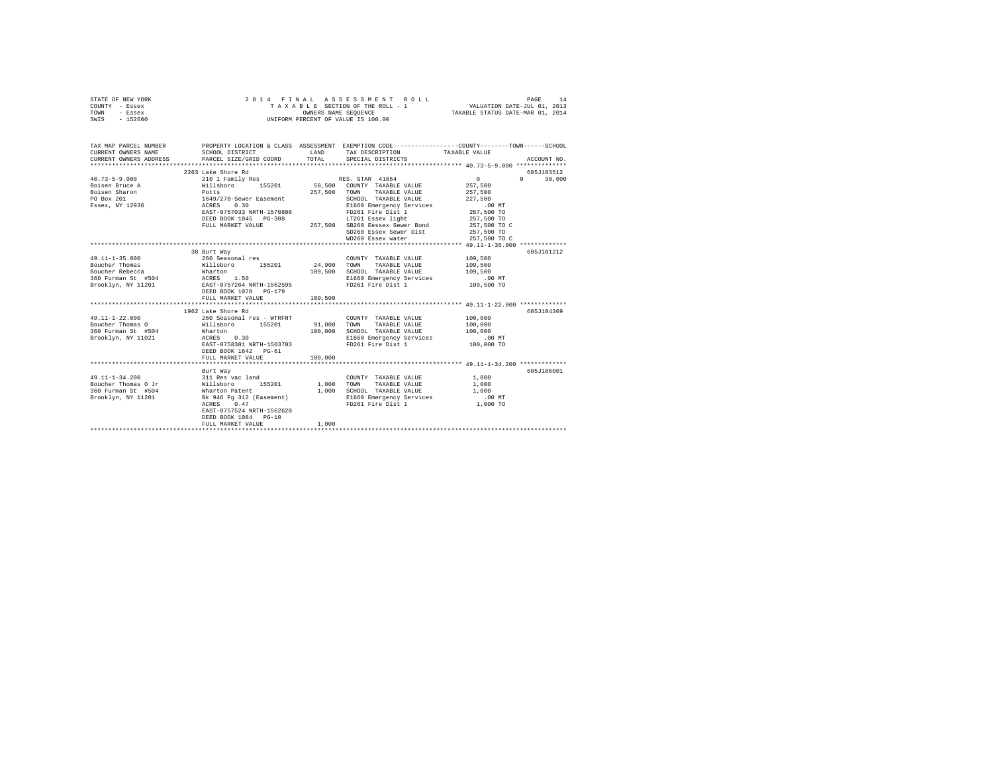| STATE OF NEW YORK<br>COUNTY - Essex<br>TOWN<br>- Essex<br>SWIS - 152600                                                                                               | 2014 FINAL                                                                                                                                                                                   | OWNERS NAME SEQUENCE    | ASSESSMENT ROLL<br>TAXABLE SECTION OF THE ROLL - 1<br>UNIFORM PERCENT OF VALUE IS 100.00                                 | VALUATION DATE-JUL 01, 2013<br>TAXABLE STATUS DATE-MAR 01, 2014        | 14<br>PAGE         |
|-----------------------------------------------------------------------------------------------------------------------------------------------------------------------|----------------------------------------------------------------------------------------------------------------------------------------------------------------------------------------------|-------------------------|--------------------------------------------------------------------------------------------------------------------------|------------------------------------------------------------------------|--------------------|
| TAX MAP PARCEL NUMBER PROPERTY LOCATION & CLASS ASSESSMENT EXEMPTION CODE---------------COUNTY-------TOWN-----SCHOOL<br>CURRENT OWNERS NAME<br>CURRENT OWNERS ADDRESS | SCHOOL DISTRICT<br>PARCEL SIZE/GRID COORD                                                                                                                                                    | LAND<br>TOTAL           | TAX DESCRIPTION<br>SPECIAL DISTRICTS                                                                                     | TAXABLE VALUE                                                          | ACCOUNT NO.        |
|                                                                                                                                                                       | 2263 Lake Shore Rd                                                                                                                                                                           |                         |                                                                                                                          |                                                                        | 605J103512         |
| $40.73 - 5 - 9.000$                                                                                                                                                   | 210 1 Family Res                                                                                                                                                                             |                         | RES. STAR 41854                                                                                                          | $\mathbf{0}$                                                           | $\Omega$<br>30,000 |
| Boisen Bruce A<br>Boisen Sharon<br>PO Box 201<br>Essex, NY 12936                                                                                                      | Willsboro 155201<br>n-n-n-n-n-n<br>1649/278-Sewer Easement<br>ACRES<br>EAST-0757033 NRTH-1570806                                                                                             | 257.500                 | 58,500 COUNTY TAXABLE VALUE<br>TOWN TAXABLE VALUE<br>SCHOOL TAXABLE VALUE<br>E1660 Emergency Services                    | 257,500<br>257.500<br>227.500<br>.00 MT                                |                    |
|                                                                                                                                                                       | DEED BOOK 1045 PG-308<br>FULL MARKET VALUE                                                                                                                                                   |                         | FD261 Fire Dist 1<br>LT261 Essex light<br>257,500 SB260 Eessex Sewer Bond<br>SD260 Essex Sewer Dist<br>WD260 Essex water | 257,500 TO<br>257,500 TO<br>257,500 TO C<br>257,500 TO<br>257,500 TO C |                    |
|                                                                                                                                                                       |                                                                                                                                                                                              |                         |                                                                                                                          |                                                                        |                    |
| $49.11 - 1 - 35.000$                                                                                                                                                  | 38 Burt Way<br>260 Seasonal res<br>DEED BOOK 1078 PG-179                                                                                                                                     | 24,900<br>109,500       | COUNTY TAXABLE VALUE<br>TOWN<br>TAXABLE VALUE<br>SCHOOL TAXABLE VALUE<br>E1660 Emergency Services<br>FD261 Fire Dist 1   | 109,500<br>109,500<br>109,500<br>.00 MT<br>109,500 TO                  | 605J101212         |
|                                                                                                                                                                       | FULL MARKET VALUE                                                                                                                                                                            | 109,500                 |                                                                                                                          |                                                                        |                    |
|                                                                                                                                                                       | 1962 Lake Shore Rd                                                                                                                                                                           |                         |                                                                                                                          |                                                                        | 605J104309         |
| $49.11 - 1 - 22.000$<br>Boucher Thomas O<br>360 Furman St #504<br>Brooklyn, NY 11021                                                                                  | 260 Seasonal res - WTRFNT<br>Willsboro 155201<br>Wharton<br>ACRES 0.30<br>EAST-0758381 NRTH-1563703<br>DEED BOOK 1642 PG-61                                                                  | 91,000<br>100,000       | COUNTY TAXABLE VALUE<br>TOWN<br>TAXABLE VALUE<br>SCHOOL TAXABLE VALUE<br>E1660 Emergency Services<br>FD261 Fire Dist 1   | 100,000<br>100,000<br>100,000<br>$.00$ MT<br>100,000 TO                |                    |
|                                                                                                                                                                       | FULL MARKET VALUE                                                                                                                                                                            | 100,000                 |                                                                                                                          |                                                                        |                    |
|                                                                                                                                                                       |                                                                                                                                                                                              |                         |                                                                                                                          |                                                                        |                    |
| 49.11-1-34.200<br>Boucher Thomas O Jr<br>360 Furman St #504<br>Brooklyn, NY 11201                                                                                     | Burt Way<br>---- ---<br>Willsboro<br>Wharton Patent<br>Wharton Patent<br>Bk 946 Pg 312 (Easement)<br>ACRES<br>0.47<br>EAST-0757524 NRTH-1562620<br>DEED BOOK 1084 PG-10<br>FULL MARKET VALUE | 1,000<br>1,000<br>1,000 | COUNTY TAXABLE VALUE<br>TOWN<br>TAXABLE VALUE<br>SCHOOL TAXABLE VALUE<br>E1660 Emergency Services<br>FD261 Fire Dist 1   | 1,000<br>1,000<br>1,000<br>$.00$ MT<br>1,000 TO                        | 605J186001         |
|                                                                                                                                                                       |                                                                                                                                                                                              |                         |                                                                                                                          |                                                                        |                    |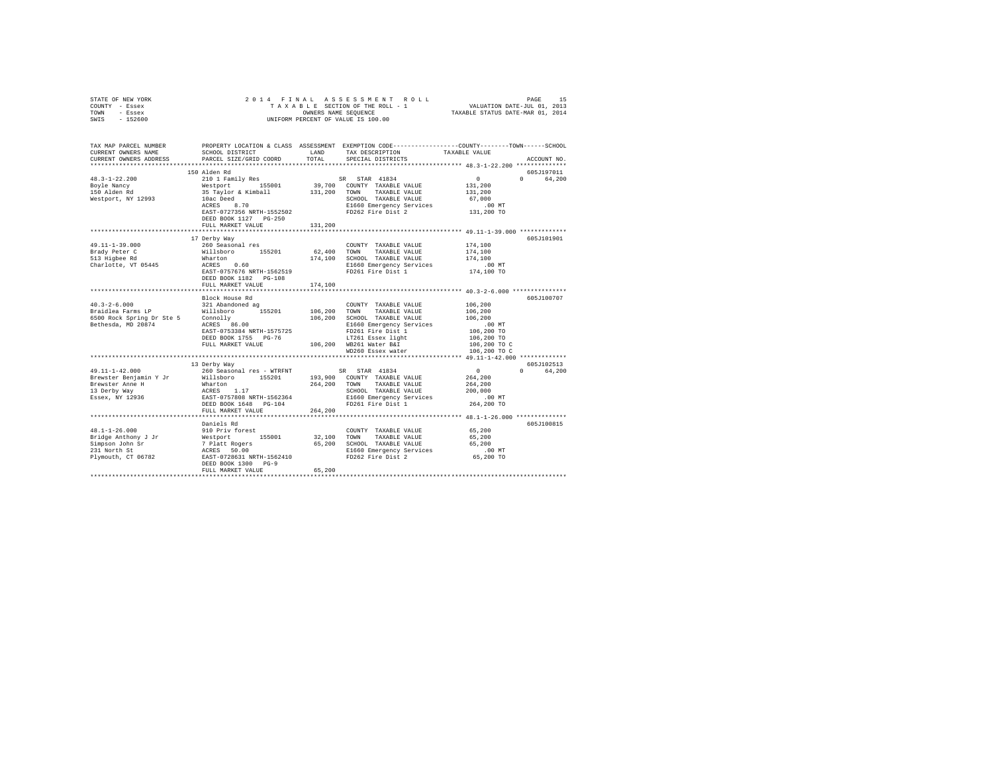| STATE OF NEW YORK<br>COUNTY - Essex<br>TOWN - Essex<br>$-152600$<br>SWIS                                                                                                                                                       |                                                                                                                |         | OWNERS NAME SEQUENCE<br>UNIFORM PERCENT OF VALUE IS 100.00                                                                                                                   |                        |             |
|--------------------------------------------------------------------------------------------------------------------------------------------------------------------------------------------------------------------------------|----------------------------------------------------------------------------------------------------------------|---------|------------------------------------------------------------------------------------------------------------------------------------------------------------------------------|------------------------|-------------|
| TAX MAP PARCEL NUMBER PROPERTY LOCATION & CLASS ASSESSMENT EXEMPTION CODE---------------COUNTY-------TOWN------SCHOOL<br>CURRENT OWNERS NAME                                                                                   | SCHOOL DISTRICT LAND                                                                                           |         | TAX DESCRIPTION TAXABLE VALUE                                                                                                                                                |                        |             |
| CURRENT OWNERS ADDRESS                                                                                                                                                                                                         | PARCEL SIZE/GRID COORD                                                                                         | TOTAL   | SPECIAL DISTRICTS                                                                                                                                                            |                        | ACCOUNT NO. |
|                                                                                                                                                                                                                                |                                                                                                                |         |                                                                                                                                                                              |                        |             |
|                                                                                                                                                                                                                                | 150 Alden Rd                                                                                                   |         |                                                                                                                                                                              |                        | 605J197011  |
| $48.3 - 1 - 22.200$                                                                                                                                                                                                            | 210 1 Family Res                                                                                               |         | SR STAR 41834                                                                                                                                                                | $\sim$ 0               | 0 64,200    |
| Boyle Nancy<br>150 Alden Rd                                                                                                                                                                                                    |                                                                                                                |         |                                                                                                                                                                              | 131,200                |             |
|                                                                                                                                                                                                                                |                                                                                                                |         |                                                                                                                                                                              | 131,200                |             |
| Westport, NY 12993                                                                                                                                                                                                             |                                                                                                                |         | 410 1 raminy Res (SR STAR 41834)<br>Westport (155001 139,700 COUNTY TAXABLE VALUE<br>35 Taylor & Kimball 131,200 TOWN TAXABLE VALUE<br>10ac Deed (1990) SCHOOL TAXABLE VALUE | 67,000                 |             |
|                                                                                                                                                                                                                                |                                                                                                                |         |                                                                                                                                                                              | $.00$ MT<br>131,200 TO |             |
|                                                                                                                                                                                                                                | DEED BOOK 1127 PG-250                                                                                          |         |                                                                                                                                                                              |                        |             |
|                                                                                                                                                                                                                                | FULL MARKET VALUE                                                                                              | 131,200 |                                                                                                                                                                              |                        |             |
|                                                                                                                                                                                                                                |                                                                                                                |         |                                                                                                                                                                              |                        |             |
|                                                                                                                                                                                                                                | 17 Derby Way                                                                                                   |         |                                                                                                                                                                              |                        | 605J101901  |
| 49.11-1-39.000                                                                                                                                                                                                                 | 260 Seasonal res                                                                                               |         | COUNTY TAXABLE VALUE                                                                                                                                                         | 174,100                |             |
|                                                                                                                                                                                                                                |                                                                                                                |         |                                                                                                                                                                              | 174,100                |             |
|                                                                                                                                                                                                                                |                                                                                                                |         |                                                                                                                                                                              | 174,100<br>$.00$ MT    |             |
| Prior Construction of the Millsboro and the Millsboro 155201 62,400 TOWN TAXABLE VALUE 513 Higher RC Willsboro 155201 62,400 TOWN TAXABLE VALUE 613 Higher RC Wallsboro 174,100 SCHOOL TAXABLE VALUE 613 Higher RC MILLS ACRES |                                                                                                                |         |                                                                                                                                                                              | 174,100 TO             |             |
|                                                                                                                                                                                                                                | DEED BOOK 1182 PG-108                                                                                          |         |                                                                                                                                                                              |                        |             |
|                                                                                                                                                                                                                                | FULL MARKET VALUE                                                                                              | 174,100 |                                                                                                                                                                              |                        |             |
|                                                                                                                                                                                                                                |                                                                                                                |         |                                                                                                                                                                              |                        |             |
|                                                                                                                                                                                                                                | Block House Rd                                                                                                 |         | COUNTY TAXABLE VALUE 106,200                                                                                                                                                 |                        | 605J100707  |
|                                                                                                                                                                                                                                |                                                                                                                |         |                                                                                                                                                                              | 106,200                |             |
|                                                                                                                                                                                                                                |                                                                                                                |         |                                                                                                                                                                              | 106,200                |             |
|                                                                                                                                                                                                                                |                                                                                                                |         |                                                                                                                                                                              | .00MT                  |             |
|                                                                                                                                                                                                                                |                                                                                                                |         |                                                                                                                                                                              | 106,200 TO             |             |
|                                                                                                                                                                                                                                |                                                                                                                |         |                                                                                                                                                                              | 106,200 TO             |             |
|                                                                                                                                                                                                                                |                                                                                                                |         |                                                                                                                                                                              | 106,200 TO C           |             |
|                                                                                                                                                                                                                                |                                                                                                                |         |                                                                                                                                                                              | 106,200 TO C           |             |
|                                                                                                                                                                                                                                | 13 Derby Way                                                                                                   |         |                                                                                                                                                                              |                        | 605J102513  |
| 49.11-1-42.000                                                                                                                                                                                                                 | 260 Seasonal res - WTRFNT                                                                                      |         | SR STAR 41834                                                                                                                                                                | $\sim$ 0.000 $\sim$    | 0 64,200    |
|                                                                                                                                                                                                                                |                                                                                                                |         |                                                                                                                                                                              | 264,200                |             |
|                                                                                                                                                                                                                                |                                                                                                                |         | 193,900 COUNTY TAXABLE VALUE<br>264,200 TOWN TAXABLE VALUE                                                                                                                   | 264,200                |             |
| From the Benjamin Y Jr<br>Brewster Benjamin Y Jr<br>Brewster Anne H<br>13 Derby Way<br>Essex, NY 12936                                                                                                                         | Willsboro 155201<br>Willsboro 155201<br>Wharton 1.17<br>EAST-0757808 NRTH-1562364<br>NERD 0767808 NRTH-1562364 |         | SCHOOL TAXABLE VALUE                                                                                                                                                         | 200,000                |             |
|                                                                                                                                                                                                                                |                                                                                                                |         | E1660 Emergency Services                                                                                                                                                     | .00 MT                 |             |
|                                                                                                                                                                                                                                | DEED BOOK 1648 PG-104<br>FULL MARKET VALUE                                                                     | 264,200 | FD261 Fire Dist 1                                                                                                                                                            | 264,200 TO             |             |
|                                                                                                                                                                                                                                |                                                                                                                |         |                                                                                                                                                                              |                        |             |
|                                                                                                                                                                                                                                | Daniels Rd                                                                                                     |         |                                                                                                                                                                              |                        | 605J100815  |
| 48.1-1-26.000                                                                                                                                                                                                                  | 910 Priv forest                                                                                                |         | COUNTY TAXABLE VALUE                                                                                                                                                         | 65,200                 |             |
|                                                                                                                                                                                                                                |                                                                                                                |         |                                                                                                                                                                              | 65,200                 |             |
|                                                                                                                                                                                                                                |                                                                                                                |         |                                                                                                                                                                              | 65,200                 |             |
|                                                                                                                                                                                                                                |                                                                                                                |         |                                                                                                                                                                              | 00 MT.<br>65,200 TO    |             |
|                                                                                                                                                                                                                                |                                                                                                                |         |                                                                                                                                                                              |                        |             |
|                                                                                                                                                                                                                                | FULL MARKET VALUE                                                                                              | 65,200  |                                                                                                                                                                              |                        |             |
|                                                                                                                                                                                                                                |                                                                                                                |         |                                                                                                                                                                              |                        |             |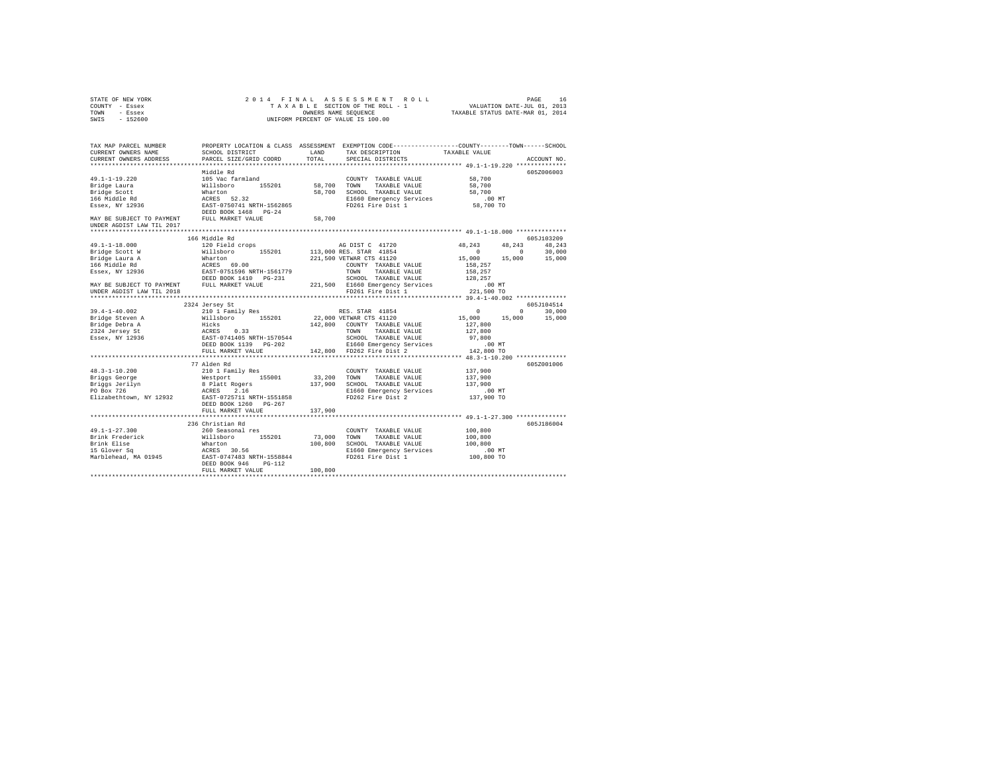| COUNTY - Essex<br>TOWN - Essex                                         |                                                                                                                                                  | OWNERS NAME SEQUENCE | TAXABLE SECTION OF THE ROLL - 1               | VALUATION DATE-JUL 01, 2013<br>TAXABLE STATUS DATE-MAR 01, 2014 |                        |
|------------------------------------------------------------------------|--------------------------------------------------------------------------------------------------------------------------------------------------|----------------------|-----------------------------------------------|-----------------------------------------------------------------|------------------------|
| SWIS - 152600                                                          |                                                                                                                                                  |                      | UNIFORM PERCENT OF VALUE IS 100.00            |                                                                 |                        |
| TAX MAP PARCEL NUMBER<br>CURRENT OWNERS NAME<br>CURRENT OWNERS ADDRESS | PROPERTY LOCATION & CLASS ASSESSMENT EXEMPTION CODE---------------COUNTY-------TOWN-----SCHOOL<br>SCHOOL DISTRICT LAND<br>PARCEL SIZE/GRID COORD | TOTAL                | TAX DESCRIPTION<br>SPECIAL DISTRICTS          | TAXABLE VALUE                                                   | ACCOUNT NO.            |
|                                                                        |                                                                                                                                                  |                      |                                               | ************************** 49.1-1-19.220 **************         |                        |
|                                                                        | Middle Rd                                                                                                                                        |                      |                                               |                                                                 | 605Z006003             |
| $49.1 - 1 - 19.220$                                                    | 105 Vac farmland                                                                                                                                 |                      | COUNTY TAXABLE VALUE                          | 58,700                                                          |                        |
| Bridge Laura                                                           | Willsboro 155201 58,700                                                                                                                          |                      | TOWN<br>TAXABLE VALUE                         | 58,700                                                          |                        |
| Bridge Scott                                                           | Wharton                                                                                                                                          |                      | 58,700 SCHOOL TAXABLE VALUE                   | 58,700                                                          |                        |
| 166 Middle Rd                                                          | ACRES 52.32                                                                                                                                      |                      | E1660 Emergency Services                      | $.00$ MT                                                        |                        |
| Essex, NY 12936                                                        | EAST-0750741 NRTH-1562865                                                                                                                        |                      | E1660 Emergency Services<br>FD261 Fire Dist 1 | 58,700 TO                                                       |                        |
|                                                                        | DEED BOOK 1468 PG-24                                                                                                                             |                      |                                               |                                                                 |                        |
| MAY BE SUBJECT TO PAYMENT<br>UNDER AGDIST LAW TIL 2017                 | FULL MARKET VALUE                                                                                                                                | 58,700               |                                               |                                                                 |                        |
|                                                                        |                                                                                                                                                  |                      |                                               |                                                                 |                        |
|                                                                        | 166 Middle Rd                                                                                                                                    |                      |                                               |                                                                 | 605J103209             |
| $49.1 - 1 - 18.000$                                                    | 120 Field crops                                                                                                                                  |                      | AG DIST C 41720                               | 48,243                                                          | 48.243 48.243          |
| Bridge Scott W                                                         | Willsboro 155201                                                                                                                                 |                      | 113,000 RES. STAR 41854                       | $\sim$ 0                                                        | $0 \t 30.000$          |
| Bridge Laura A<br>Bridge Laura A<br>166 Middle Rd<br>Essex, NY 12936   | Wharton<br>ACRES 69.00<br>Wharton                                                                                                                |                      | 221,500 VETWAR CTS 41120                      | 15,000 15,000 15,000                                            |                        |
|                                                                        |                                                                                                                                                  |                      | COUNTY TAXABLE VALUE                          | 158,257                                                         |                        |
|                                                                        | EAST-0751596 NRTH-1561779                                                                                                                        |                      | TOWN<br>TAXABLE VALUE                         | 158,257                                                         |                        |
|                                                                        | DEED BOOK 1410 PG-231                                                                                                                            |                      | SCHOOL TAXABLE VALUE                          | 128,257                                                         |                        |
|                                                                        | MAY BE SUBJECT TO PAYMENT FULL MARKET VALUE                                                                                                      |                      | 221,500 E1660 Emergency Services              | $.00$ MT                                                        |                        |
| UNDER AGDIST LAW TIL 2018                                              |                                                                                                                                                  |                      | FD261 Fire Dist 1                             | 221,500 TO                                                      |                        |
|                                                                        |                                                                                                                                                  |                      |                                               |                                                                 |                        |
|                                                                        | 2324 Jersey St                                                                                                                                   |                      |                                               | $\sim$ 0                                                        | 605J104514<br>$\Omega$ |
| $39.4 - 1 - 40.002$<br>Bridge Steven A                                 | 210 1 Family Res<br>Willsboro 155201                                                                                                             |                      | RES. STAR 41854<br>22,000 VETWAR CTS 41120    | 15,000 15,000                                                   | 30,000<br>15,000       |
|                                                                        | Hicks                                                                                                                                            |                      | 142,800 COUNTY TAXABLE VALUE                  | 127,800                                                         |                        |
|                                                                        | ACRES 0.33                                                                                                                                       |                      | TOWN<br>TAXABLE VALUE                         | 127,800                                                         |                        |
| Pridge Debra A<br>2324 Jersey St<br>Essex, NY 12936                    | EAST-0741405 NRTH-1570544                                                                                                                        |                      | SCHOOL TAXABLE VALUE                          | 97,800                                                          |                        |
|                                                                        | DEED BOOK 1139 PG-202                                                                                                                            |                      | E1660 Emergency Services                      | $.00$ MT                                                        |                        |
|                                                                        | FULL MARKET VALUE                                                                                                                                |                      | 142,800 FD262 Fire Dist 2                     | 142,800 TO                                                      |                        |
|                                                                        |                                                                                                                                                  |                      |                                               |                                                                 |                        |
|                                                                        | 77 Alden Rd                                                                                                                                      |                      |                                               |                                                                 | 605Z001006             |
| $48.3 - 1 - 10.200$                                                    | 210 1 Family Res                                                                                                                                 |                      | COUNTY TAXABLE VALUE                          | 137,900                                                         |                        |
| Briggs George                                                          | Westport 155001 33,200                                                                                                                           |                      | TOWN<br>TAXABLE VALUE                         | 137,900                                                         |                        |
| Briggs Jerilyn                                                         | 8 Platt Rogers                                                                                                                                   |                      | 137,900 SCHOOL TAXABLE VALUE                  | 137,900                                                         |                        |
| Briggs Jerilyn<br>PO Box 726                                           | ACRES 2.16                                                                                                                                       |                      | E1660 Emergency Services                      | $.00$ MT                                                        |                        |
|                                                                        | Elizabethtown, NY 12932 EAST-0725711 NRTH-1551858                                                                                                |                      | FD262 Fire Dist 2                             | 137,900 TO                                                      |                        |
|                                                                        | DEED BOOK 1260 PG-267                                                                                                                            |                      |                                               |                                                                 |                        |
|                                                                        | FULL MARKET VALUE                                                                                                                                | 137,900              |                                               |                                                                 |                        |
|                                                                        |                                                                                                                                                  |                      |                                               |                                                                 |                        |
|                                                                        | 236 Christian Rd                                                                                                                                 |                      |                                               |                                                                 | 605J186004             |
| $49.1 - 1 - 27.300$                                                    | 260 Seasonal res                                                                                                                                 |                      | COUNTY TAXABLE VALUE                          | 100,800                                                         |                        |
| Brink Frederick                                                        | Willsboro 155201                                                                                                                                 | 73,000               | TOWN<br>TAXABLE VALUE                         | 100,800                                                         |                        |
| Brink Elise                                                            | Wharton                                                                                                                                          |                      | 100.800 SCHOOL TAXABLE VALUE                  | 100,800                                                         |                        |
| 15 Glover Sq<br>Marblehead, MA 01945                                   | ACRES 30.56                                                                                                                                      |                      | E1660 Emergency Services                      | $.00$ MT                                                        |                        |
|                                                                        | EAST-0747483 NRTH-1558844                                                                                                                        |                      | FD261 Fire Dist 1                             | 100,800 TO                                                      |                        |
|                                                                        | DEED BOOK 946 PG-112                                                                                                                             |                      |                                               |                                                                 |                        |
|                                                                        | FULL MARKET VALUE                                                                                                                                | 100,800              |                                               |                                                                 |                        |

STATE OF NEW YORK 2 0 1 4 F I N A L A S S E S S M E N T R O L L PAGE 16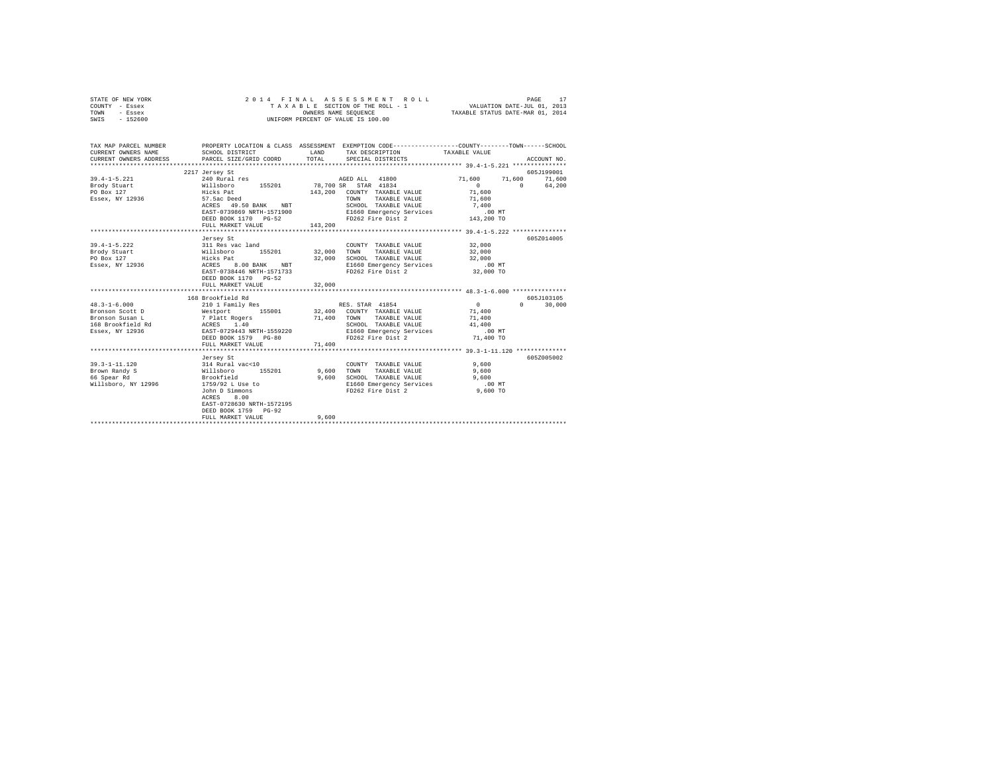| STATE OF NEW YORK<br>COUNTY - Essex<br>TOWN<br>- Essex<br>SWIS - 152600                          | 2014 FINAL                                                                                                                                                                                                   |                                           | ASSESSMENT ROLL<br>T A X A B L E SECTION OF THE ROLL - 1<br>OWNERS NAME SEQUENCE<br>UNIFORM PERCENT OF VALUE IS 100.00                 | VALUATION DATE-JUL 01, 2013<br>TAXABLE STATUS DATE-MAR 01, 2014 | PAGE<br>17                              |
|--------------------------------------------------------------------------------------------------|--------------------------------------------------------------------------------------------------------------------------------------------------------------------------------------------------------------|-------------------------------------------|----------------------------------------------------------------------------------------------------------------------------------------|-----------------------------------------------------------------|-----------------------------------------|
| TAX MAP PARCEL NUMBER<br>CURRENT OWNERS NAME<br>CURRENT OWNERS ADDRESS                           | SCHOOL DISTRICT<br>PARCEL SIZE/GRID COORD                                                                                                                                                                    | <b>EXAMPLE AND SERVICE STATE</b><br>TOTAL | PROPERTY LOCATION & CLASS ASSESSMENT EXEMPTION CODE---------------COUNTY-------TOWN-----SCHOOL<br>TAX DESCRIPTION<br>SPECIAL DISTRICTS | TAXABLE VALUE                                                   | ACCOUNT NO.                             |
| $39.4 - 1 - 5.221$<br>Brody Stuart<br>PO Box 127<br>Essex, NY 12936                              | 2217 Jersey St<br>Nillsboro 155201 78,700 SR 11800<br>Hicks Pat 155201 78,700 SR STAR 41834<br>57.5ac Deed<br>ACRES 49.50 BANK NBT<br>EAST-0739869 NRTH-1571900<br>DEED BOOK 1170 PG-52<br>FULL MARKET VALUE | 143,200                                   | 143,200 COUNTY TAXABLE VALUE<br>TAXABLE VALUE<br>TOWN<br>SCHOOL TAXABLE VALUE                                                          | 71,600<br>$\sim$ 0<br>71,600<br>71,600<br>7,400                 | 605J199001<br>71,600 71,600<br>0 64,200 |
|                                                                                                  |                                                                                                                                                                                                              |                                           |                                                                                                                                        |                                                                 |                                         |
| $39.4 - 1 - 5.222$<br>Brody Stuart<br>PO Box 127<br>Essex, NY 12936                              | Jersey St<br>311 Res vac land<br>Willsboro 155201 32,00<br>Hicks Pat<br>ACRES 8.00 BANK NBT<br>EAST-0738446 NRTH-1571733<br>DEED BOOK 1170 PG-52<br>FULL MARKET VALUE                                        | 32,000<br>32,000<br>32,000                | COUNTY TAXABLE VALUE<br>TOWN<br>TAXABLE VALUE<br>SCHOOL TAXABLE VALUE<br>E1660 Emergency Services<br>FD262 Fire Dist 2                 | 32,000<br>32,000<br>32,000<br>$.00$ MT<br>32,000 TO             | 605Z014005                              |
|                                                                                                  |                                                                                                                                                                                                              |                                           |                                                                                                                                        |                                                                 |                                         |
| $48.3 - 1 - 6.000$<br>Bronson Scott D<br>Bronson Susan L<br>168 Brookfield Rd<br>Essex, NY 12936 | 168 Brookfield Rd<br>210 1 Family Res<br>Westport 155001 32,400 COUNTY TAXABLE VALUE<br>7 Platt Rogers<br>ACRES 1.40<br>EAST-0729443 NRTH-1559220<br>DEED BOOK 1579 PG-80<br>FULL MARKET VALUE               | 71,400                                    | RES. STAR 41854<br>71,400 TOWN TAXABLE VALUE<br>SCHOOL TAXABLE VALUE<br>E1660 Emergency Services<br>FD262 Fire Dist 2                  | $\sim$ 0<br>71,400<br>71,400<br>41,400<br>$.00$ MT<br>71,400 TO | 605J103105<br>$0 \t 30.000$             |
|                                                                                                  |                                                                                                                                                                                                              |                                           |                                                                                                                                        |                                                                 |                                         |
| 39.3-1-11.120<br>Brown Randy S<br>66 Spear Rd<br>Willsboro, NY 12996                             | Jersey St<br>314 Rural vac<10<br>willsboro 155201<br>Brookfield<br>1759/92 L Use to<br>John D Simmons<br>ACRES<br>8,00<br>EAST-0728630 NRTH-1572195<br>DEED BOOK 1759 PG-92                                  |                                           | COUNTY TAXABLE VALUE 9,600<br>9,600 TOWN TAXABLE VALUE<br>9,600 SCHOOL TAXABLE VALUE<br>E1660 Emergency Services<br>FD262 Fire Dist 2  | 9,600<br>9,600<br>$.00$ MT<br>$9,600$ TO                        | 605Z005002                              |
|                                                                                                  | FULL MARKET VALUE<br>****************************                                                                                                                                                            | 9,600                                     |                                                                                                                                        |                                                                 |                                         |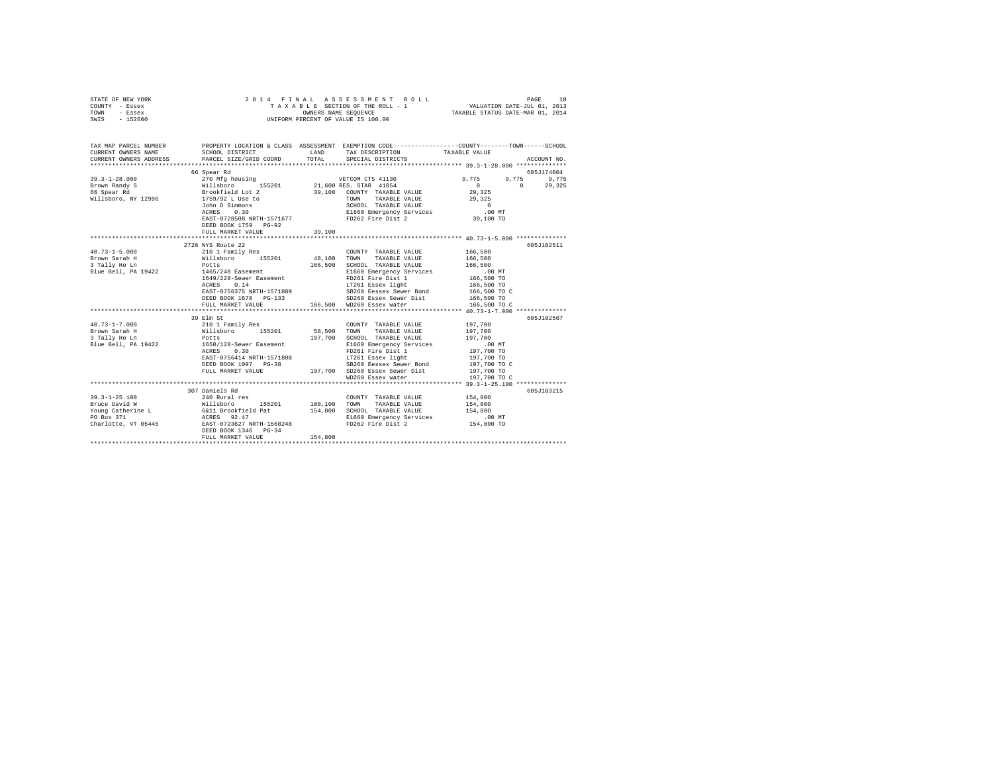|                | STATE OF NEW YORK |  | 2014 FINAL ASSESSMENT ROLL         | 18<br>PAGE                       |
|----------------|-------------------|--|------------------------------------|----------------------------------|
| COUNTY - Essex |                   |  | TAXABLE SECTION OF THE ROLL - 1    | VALUATION DATE-JUL 01, 2013      |
| TOWN           | - Essex           |  | OWNERS NAME SEOUENCE               | TAXABLE STATUS DATE-MAR 01, 2014 |
| SWIS           | - 152600          |  | UNIFORM PERCENT OF VALUE IS 100.00 |                                  |

| TAX MAP PARCEL NUMBER<br>CURRENT OWNERS NAME |                                                                                                                                                                                                                                                                                                                                                                                                                                                                                                           |         | LAND TAX DESCRIPTION TAXABLE VALUE                                                                                                                                                                                                                                                                                                                                                                                                                            |                                                         |
|----------------------------------------------|-----------------------------------------------------------------------------------------------------------------------------------------------------------------------------------------------------------------------------------------------------------------------------------------------------------------------------------------------------------------------------------------------------------------------------------------------------------------------------------------------------------|---------|---------------------------------------------------------------------------------------------------------------------------------------------------------------------------------------------------------------------------------------------------------------------------------------------------------------------------------------------------------------------------------------------------------------------------------------------------------------|---------------------------------------------------------|
| CURRENT OWNERS ADDRESS                       | PARCEL SIZE/GRID COORD TOTAL SPECIAL DISTRICTS                                                                                                                                                                                                                                                                                                                                                                                                                                                            |         |                                                                                                                                                                                                                                                                                                                                                                                                                                                               | ACCOUNT NO.                                             |
|                                              |                                                                                                                                                                                                                                                                                                                                                                                                                                                                                                           |         |                                                                                                                                                                                                                                                                                                                                                                                                                                                               | 605J174004                                              |
|                                              |                                                                                                                                                                                                                                                                                                                                                                                                                                                                                                           |         |                                                                                                                                                                                                                                                                                                                                                                                                                                                               | 9,775 9,775 9,775                                       |
|                                              |                                                                                                                                                                                                                                                                                                                                                                                                                                                                                                           |         |                                                                                                                                                                                                                                                                                                                                                                                                                                                               | $\begin{array}{c}0\\29,325\end{array}$<br>$0 \t 29,325$ |
|                                              |                                                                                                                                                                                                                                                                                                                                                                                                                                                                                                           |         |                                                                                                                                                                                                                                                                                                                                                                                                                                                               |                                                         |
|                                              |                                                                                                                                                                                                                                                                                                                                                                                                                                                                                                           |         |                                                                                                                                                                                                                                                                                                                                                                                                                                                               |                                                         |
|                                              |                                                                                                                                                                                                                                                                                                                                                                                                                                                                                                           |         |                                                                                                                                                                                                                                                                                                                                                                                                                                                               |                                                         |
|                                              | John D Simmons<br>ACRES 0.30                                                                                                                                                                                                                                                                                                                                                                                                                                                                              |         | TOWN TAXABLE VALUE 29,325<br>SCHOOL TAXABLE VALUE 20<br>E1660 Emergency Services 00 MT                                                                                                                                                                                                                                                                                                                                                                        |                                                         |
|                                              |                                                                                                                                                                                                                                                                                                                                                                                                                                                                                                           |         | EAST-0728508 NRTH-1571677 PD262 Fire Dist 2 39,100 TO                                                                                                                                                                                                                                                                                                                                                                                                         |                                                         |
|                                              | DEED BOOK 1759 PG-92                                                                                                                                                                                                                                                                                                                                                                                                                                                                                      |         |                                                                                                                                                                                                                                                                                                                                                                                                                                                               |                                                         |
|                                              | FULL MARKET VALUE 39,100                                                                                                                                                                                                                                                                                                                                                                                                                                                                                  |         |                                                                                                                                                                                                                                                                                                                                                                                                                                                               |                                                         |
|                                              |                                                                                                                                                                                                                                                                                                                                                                                                                                                                                                           |         |                                                                                                                                                                                                                                                                                                                                                                                                                                                               |                                                         |
|                                              | 2726 NYS Route 22                                                                                                                                                                                                                                                                                                                                                                                                                                                                                         |         |                                                                                                                                                                                                                                                                                                                                                                                                                                                               | 605J102511                                              |
|                                              | $\texttt{40.73--1-5.000} \begin{minipage}{0.9\textwidth} \begin{minipage}{0.9\textwidth} \begin{minipage}{0.9\textwidth} \begin{minipage}{0.9\textwidth} \begin{minipage}{0.9\textwidth} \begin{minipage}{0.9\textwidth} \begin{minipage}{0.9\textwidth} \begin{minipage}{0.9\textwidth} \begin{minipage}{0.9\textwidth} \begin{minipage}{0.9\textwidth} \begin{minipage}{0.9\textwidth} \begin{minipage}{0.9\textwidth} \begin{minipage}{0.9\textwidth} \begin{minipage}{0.9\textwidth} \begin{minipage$ |         |                                                                                                                                                                                                                                                                                                                                                                                                                                                               |                                                         |
|                                              |                                                                                                                                                                                                                                                                                                                                                                                                                                                                                                           |         |                                                                                                                                                                                                                                                                                                                                                                                                                                                               |                                                         |
|                                              |                                                                                                                                                                                                                                                                                                                                                                                                                                                                                                           |         |                                                                                                                                                                                                                                                                                                                                                                                                                                                               |                                                         |
|                                              | Blue Bell, PA 19422 1465/248 Easement                                                                                                                                                                                                                                                                                                                                                                                                                                                                     |         |                                                                                                                                                                                                                                                                                                                                                                                                                                                               |                                                         |
|                                              |                                                                                                                                                                                                                                                                                                                                                                                                                                                                                                           |         |                                                                                                                                                                                                                                                                                                                                                                                                                                                               |                                                         |
|                                              |                                                                                                                                                                                                                                                                                                                                                                                                                                                                                                           |         |                                                                                                                                                                                                                                                                                                                                                                                                                                                               |                                                         |
|                                              |                                                                                                                                                                                                                                                                                                                                                                                                                                                                                                           |         |                                                                                                                                                                                                                                                                                                                                                                                                                                                               |                                                         |
|                                              |                                                                                                                                                                                                                                                                                                                                                                                                                                                                                                           |         |                                                                                                                                                                                                                                                                                                                                                                                                                                                               |                                                         |
|                                              | 165/248 Easement 199,<br>1665/248 Easement E1660 Emergency Services 199,000<br>1665/248 Easement FD261 Fire Dist 1<br>1665,000 TO RAFT 157089 IT2T61 BS<br>166,500 TO RAFT 1571889 IT2T61 SERVICE 166,500 TO RESP 166,500 TO RESP 166,                                                                                                                                                                                                                                                                    |         |                                                                                                                                                                                                                                                                                                                                                                                                                                                               |                                                         |
|                                              |                                                                                                                                                                                                                                                                                                                                                                                                                                                                                                           |         |                                                                                                                                                                                                                                                                                                                                                                                                                                                               |                                                         |
|                                              | 39 Elm St<br>$\begin{tabular}{lllllllllllll} \multicolumn{3.9cm}{0.9cm} \multicolumn{3.9cm}{0.9cm} \multicolumn{3.9cm}{0.9cm} \multicolumn{3.9cm}{0.9cm} \multicolumn{3.9cm}{0.9cm} \multicolumn{3.9cm}{0.9cm} \multicolumn{3.9cm}{0.9cm} \multicolumn{3.9cm}{0.9cm} \multicolumn{3.9cm}{0.9cm} \multicolumn{3.9cm}{0.9cm} \multicolumn{3.9cm}{0.9cm} \multicolumn{3.9cm}{0.9cm} \multicolumn{3.9cm}{0.9cm} \multicolumn{3.9cm}{0$                                                                        |         | $\begin{tabular}{lllllll} \multicolumn{2}{c}{\text{COUNTY}} & \text{TAXABLE VALUE} & & & 197,700 \\ \multicolumn{2}{c}{\text{max}} & \multicolumn{2}{c}{\text{max}} & \multicolumn{2}{c}{\text{WALUE}} & & & 197,700 \\ \multicolumn{2}{c}{\text{max}} & \multicolumn{2}{c}{\text{max}} & \multicolumn{2}{c}{\text{WALUE}} & & & 197,700 \\ \multicolumn{2}{c}{\text{max}} & \multicolumn{2}{c}{\text{max}} & \multicolumn{2}{c}{\text{WALUE}} & & & 197,700$ | 605J102507                                              |
|                                              |                                                                                                                                                                                                                                                                                                                                                                                                                                                                                                           |         |                                                                                                                                                                                                                                                                                                                                                                                                                                                               |                                                         |
|                                              |                                                                                                                                                                                                                                                                                                                                                                                                                                                                                                           |         | 197,700 SCHOOL TAXABLE VALUE 197,700                                                                                                                                                                                                                                                                                                                                                                                                                          |                                                         |
|                                              |                                                                                                                                                                                                                                                                                                                                                                                                                                                                                                           |         |                                                                                                                                                                                                                                                                                                                                                                                                                                                               |                                                         |
|                                              | Blue Bell, PA 19422 1650/128-Sewer Easement<br>ACRES 0.30                                                                                                                                                                                                                                                                                                                                                                                                                                                 |         | E1660 Emergency Services 00 MT<br>FD261 Fire Dist 1 197,700 TO                                                                                                                                                                                                                                                                                                                                                                                                |                                                         |
|                                              |                                                                                                                                                                                                                                                                                                                                                                                                                                                                                                           |         | EAST-0756414 NRTH-1571808 LT261 Essex light 197,700 TO                                                                                                                                                                                                                                                                                                                                                                                                        |                                                         |
|                                              |                                                                                                                                                                                                                                                                                                                                                                                                                                                                                                           |         |                                                                                                                                                                                                                                                                                                                                                                                                                                                               |                                                         |
|                                              |                                                                                                                                                                                                                                                                                                                                                                                                                                                                                                           |         | ${\tt DEED\ BOCX\ 1097\  \  \, \rm T0-38\  \  \, \, \rm T00\  \  \, \rm TO} \, \, \rm T00\  \  \, \rm TOX\  \  \, \rm T00\  \  \, \rm TOX\  \  \, \rm T00\  \  \, \rm TOX\  \  \, \rm T00\  \  \, \rm TOX\  \  \, \rm T00\  \  \, TOX\  \  \, \rm T00\  \  \, TOX\  \  \, \rm T00\  \  \, TOX\  \  \, \rm T00\  \  \, TOX\  \  \, \rm T00\$                                                                                                                   |                                                         |
|                                              |                                                                                                                                                                                                                                                                                                                                                                                                                                                                                                           |         |                                                                                                                                                                                                                                                                                                                                                                                                                                                               |                                                         |
|                                              |                                                                                                                                                                                                                                                                                                                                                                                                                                                                                                           |         |                                                                                                                                                                                                                                                                                                                                                                                                                                                               |                                                         |
|                                              | 307 Daniels Rd                                                                                                                                                                                                                                                                                                                                                                                                                                                                                            |         |                                                                                                                                                                                                                                                                                                                                                                                                                                                               | 605J103215                                              |
|                                              |                                                                                                                                                                                                                                                                                                                                                                                                                                                                                                           |         | $\begin{tabular}{lllllllll} \multicolumn{4}{c}{\text{COUNT}} & \multicolumn{4}{c}{\text{TAXABLE VALUE}} & & & 154,800 \\ \multicolumn{4}{c}{\text{TAYARI-E VALUE}} & & & 154,800 \end{tabular}$                                                                                                                                                                                                                                                               |                                                         |
|                                              |                                                                                                                                                                                                                                                                                                                                                                                                                                                                                                           |         |                                                                                                                                                                                                                                                                                                                                                                                                                                                               |                                                         |
|                                              |                                                                                                                                                                                                                                                                                                                                                                                                                                                                                                           |         |                                                                                                                                                                                                                                                                                                                                                                                                                                                               |                                                         |
|                                              |                                                                                                                                                                                                                                                                                                                                                                                                                                                                                                           |         |                                                                                                                                                                                                                                                                                                                                                                                                                                                               |                                                         |
|                                              |                                                                                                                                                                                                                                                                                                                                                                                                                                                                                                           |         |                                                                                                                                                                                                                                                                                                                                                                                                                                                               |                                                         |
|                                              |                                                                                                                                                                                                                                                                                                                                                                                                                                                                                                           |         |                                                                                                                                                                                                                                                                                                                                                                                                                                                               |                                                         |
|                                              | FULL MARKET VALUE                                                                                                                                                                                                                                                                                                                                                                                                                                                                                         | 154,800 |                                                                                                                                                                                                                                                                                                                                                                                                                                                               |                                                         |
|                                              |                                                                                                                                                                                                                                                                                                                                                                                                                                                                                                           |         |                                                                                                                                                                                                                                                                                                                                                                                                                                                               |                                                         |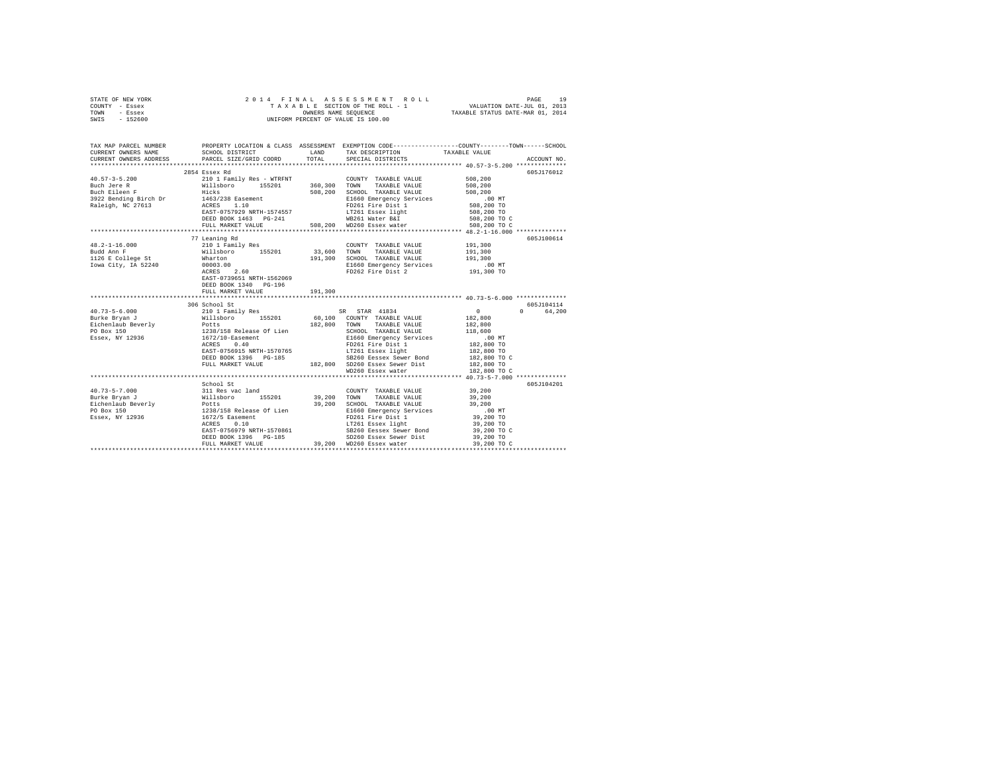| STATE OF NEW YORK<br>COUNTY - Essex<br>TOWN - Essex<br>SWIS - 152600                                                                                                                                                                                                                                                                                                                                                             |                                                    |         |                                                          |         |             |
|----------------------------------------------------------------------------------------------------------------------------------------------------------------------------------------------------------------------------------------------------------------------------------------------------------------------------------------------------------------------------------------------------------------------------------|----------------------------------------------------|---------|----------------------------------------------------------|---------|-------------|
| TAX MAP PARCEL NUMBER     PROPERTY LOCATION & CLASS ASSESSMENT EXEMPTION CODE---------------COUNTY-------TOWN------SCHOOL DISTRICT     LAND   TAX DESCRIPTION     TAXABLE VALUE<br>CURRENT OWNERS ADDRESS PARCEL SIZE/GRID COORD                                                                                                                                                                                                 |                                                    | TOTAL   | SPECIAL DISTRICTS                                        |         | ACCOUNT NO. |
|                                                                                                                                                                                                                                                                                                                                                                                                                                  |                                                    |         |                                                          |         |             |
|                                                                                                                                                                                                                                                                                                                                                                                                                                  | 2854 Essex Rd                                      |         |                                                          |         | 605J176012  |
|                                                                                                                                                                                                                                                                                                                                                                                                                                  |                                                    |         |                                                          |         |             |
|                                                                                                                                                                                                                                                                                                                                                                                                                                  |                                                    |         |                                                          |         |             |
|                                                                                                                                                                                                                                                                                                                                                                                                                                  |                                                    |         |                                                          |         |             |
|                                                                                                                                                                                                                                                                                                                                                                                                                                  | 77 Leaning Rd                                      |         |                                                          | 191,300 | 605J100614  |
|                                                                                                                                                                                                                                                                                                                                                                                                                                  |                                                    |         |                                                          | 191,300 |             |
|                                                                                                                                                                                                                                                                                                                                                                                                                                  |                                                    |         | 191,300 SCHOOL TAXABLE VALUE                             | 191,300 |             |
|                                                                                                                                                                                                                                                                                                                                                                                                                                  | EAST-0739651 NRTH-1562069<br>DEED BOOK 1340 PG-196 |         | E1660 Emergency Services<br>FD262 Fire Dist 2 191,300 TO |         |             |
|                                                                                                                                                                                                                                                                                                                                                                                                                                  | FULL MARKET VALUE                                  | 191,300 |                                                          |         |             |
|                                                                                                                                                                                                                                                                                                                                                                                                                                  | 306 School St                                      |         |                                                          |         | 605J104114  |
|                                                                                                                                                                                                                                                                                                                                                                                                                                  |                                                    |         |                                                          |         | 64,200      |
|                                                                                                                                                                                                                                                                                                                                                                                                                                  |                                                    |         |                                                          |         |             |
|                                                                                                                                                                                                                                                                                                                                                                                                                                  |                                                    |         |                                                          |         |             |
|                                                                                                                                                                                                                                                                                                                                                                                                                                  |                                                    |         |                                                          |         |             |
|                                                                                                                                                                                                                                                                                                                                                                                                                                  |                                                    |         |                                                          |         |             |
| $\begin{tabular}{l c c c c} \multicolumn{3}{c}{\textbf{40.73--5-6.000}} & \multicolumn{3}{c}{306\text{ School Set}} & \multicolumn{3}{c}{52001\text{ St}} & \multicolumn{3}{c}{5201\text{ St}} & \multicolumn{3}{c}{5201\text{ St}} & \multicolumn{3}{c}{5201\text{ St}} & \multicolumn{3}{c}{5201\text{ St}} & \multicolumn{3}{c}{521\text{ in }187\text{ and }}1834\text{ F} & \multicolumn{3}{c}{181\text{ B00\text{ of }181$ |                                                    |         |                                                          |         |             |
|                                                                                                                                                                                                                                                                                                                                                                                                                                  |                                                    |         |                                                          |         |             |
|                                                                                                                                                                                                                                                                                                                                                                                                                                  |                                                    |         |                                                          |         | 605J104201  |
| $\begin{tabular}{l c c c c c} \multicolumn{3}{c c c c} \multicolumn{3}{c c c} \multicolumn{3}{c c c} \multicolumn{3}{c c c} \multicolumn{3}{c c c} \multicolumn{3}{c c c} \multicolumn{3}{c c c} \multicolumn{3}{c c c} \multicolumn{3}{c c c} \multicolumn{3}{c c c} \multicolumn{3}{c c c} \multicolumn{3}{c c c} \multicolumn{3}{c c c} \multicolumn{3}{c c c} \multicolumn{3}{c c c} \multicolumn{$                          |                                                    |         |                                                          |         |             |
|                                                                                                                                                                                                                                                                                                                                                                                                                                  |                                                    |         |                                                          |         |             |
|                                                                                                                                                                                                                                                                                                                                                                                                                                  |                                                    |         |                                                          |         |             |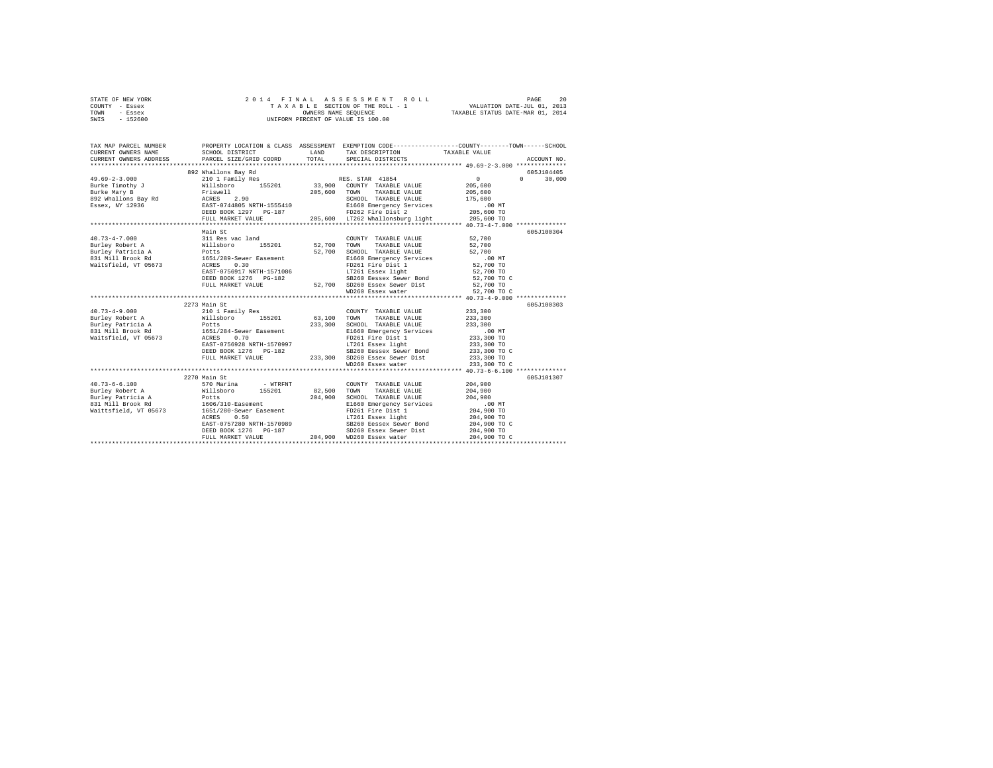| TOWN<br>- Essex<br>$-152600$<br>SWIS | OWNERS NAME SEQUENCE<br>UNIFORM PERCENT OF VALUE IS 100.00                                                                                                                                                | OWNERS NAME SEQUENCE TAXABLE STATUS DATE-MAR 01, 2014 |                                                                                                                                       |                            |                                     |
|--------------------------------------|-----------------------------------------------------------------------------------------------------------------------------------------------------------------------------------------------------------|-------------------------------------------------------|---------------------------------------------------------------------------------------------------------------------------------------|----------------------------|-------------------------------------|
|                                      |                                                                                                                                                                                                           |                                                       |                                                                                                                                       |                            |                                     |
| TAX MAP PARCEL NUMBER                | PROPERTY LOCATION & CLASS ASSESSMENT EXEMPTION CODE---------------COUNTY-------TOWN-----SCHOOL                                                                                                            |                                                       |                                                                                                                                       |                            |                                     |
| CURRENT OWNERS NAME                  | SCHOOL DISTRICT                     LAND        TAX DESCRIPTION                 TAXABLE VALUE                                                                                                             |                                                       |                                                                                                                                       |                            |                                     |
| CURRENT OWNERS ADDRESS               | PARCEL SIZE/GRID COORD                                                                                                                                                                                    | TOTAL                                                 | SPECIAL DISTRICTS                                                                                                                     |                            | ACCOUNT NO.                         |
|                                      |                                                                                                                                                                                                           |                                                       |                                                                                                                                       |                            |                                     |
|                                      | 892 Whallons Bay Rd                                                                                                                                                                                       |                                                       |                                                                                                                                       | $\Omega$                   | 605J104405<br>$\Omega$ and $\Omega$ |
|                                      |                                                                                                                                                                                                           |                                                       |                                                                                                                                       | 205,600                    | 30,000                              |
|                                      |                                                                                                                                                                                                           |                                                       | TAXABLE VALUE                                                                                                                         | 205,600                    |                                     |
|                                      |                                                                                                                                                                                                           |                                                       |                                                                                                                                       |                            |                                     |
|                                      |                                                                                                                                                                                                           |                                                       | SCHOOL TAXABLE VALUE<br>E1660 Emergency Services<br>FD262 Fire Dist 2<br>205,600 TO<br>205.600 TO<br>205.600 TO                       |                            |                                     |
|                                      |                                                                                                                                                                                                           |                                                       |                                                                                                                                       |                            |                                     |
|                                      | FULL MARKET VALUE 70. 205,600 LT262 Whallonsburg light 205,600 TO                                                                                                                                         |                                                       |                                                                                                                                       |                            |                                     |
|                                      |                                                                                                                                                                                                           |                                                       |                                                                                                                                       |                            |                                     |
|                                      | Main St                                                                                                                                                                                                   |                                                       |                                                                                                                                       |                            | 605J100304                          |
| $40.73 - 4 - 7.000$                  | 311 Res vac land                                                                                                                                                                                          |                                                       | COUNTY TAXABLE VALUE 52,700                                                                                                           |                            |                                     |
|                                      |                                                                                                                                                                                                           |                                                       | TAXABLE VALUE                                                                                                                         | 52,700                     |                                     |
|                                      |                                                                                                                                                                                                           |                                                       | SCHOOL TAXABLE VALUE                                                                                                                  | 52,700                     |                                     |
|                                      |                                                                                                                                                                                                           |                                                       |                                                                                                                                       |                            |                                     |
|                                      |                                                                                                                                                                                                           |                                                       | E1660 Emergency Services .00 MT<br>FD261 Fire Dist 1 52,700 TO                                                                        |                            |                                     |
|                                      |                                                                                                                                                                                                           |                                                       |                                                                                                                                       | 52,700 TO                  |                                     |
|                                      | ACRES 0.30 FD261 Fire Dist 1<br>EAST-0756917 NRTH-1571086 IT261 East light<br>DEED BOOK 1276 PG-182<br>FULL MARKET VALUE 52,700 SD260 Essex Sewer Bond<br>FULL MARKET VALUE 52,700 SD260 Essex Sewer Dist |                                                       | SB260 Eessex Sewer Bond 52,700 TO C                                                                                                   |                            |                                     |
|                                      |                                                                                                                                                                                                           |                                                       |                                                                                                                                       | 52,700 TO                  |                                     |
|                                      |                                                                                                                                                                                                           |                                                       | WD260 Essex water 52,700 TO C                                                                                                         |                            |                                     |
|                                      |                                                                                                                                                                                                           |                                                       |                                                                                                                                       |                            |                                     |
|                                      | 2273 Main St                                                                                                                                                                                              |                                                       |                                                                                                                                       |                            | 605J100303                          |
| $40.73 - 4 - 9.000$                  | 210 1 Family Res                                                                                                                                                                                          |                                                       | COUNTY TAXABLE VALUE                                                                                                                  | 233,300                    |                                     |
|                                      |                                                                                                                                                                                                           | 63,100                                                | TOWN<br>TAXABLE VALUE                                                                                                                 | 233,300                    |                                     |
|                                      |                                                                                                                                                                                                           | 233,300                                               | SCHOOL TAXABLE VALUE                                                                                                                  | 233,300                    |                                     |
| 831 Mill Brook Rd                    | 1651/284-Sewer Easement<br>ACRES 0.70                                                                                                                                                                     |                                                       |                                                                                                                                       |                            |                                     |
| Waitsfield, VT 05673                 |                                                                                                                                                                                                           |                                                       |                                                                                                                                       |                            |                                     |
|                                      | EAST-0756928 NRTH-1570997<br>DEED BOOK 1276 PG-182                                                                                                                                                        |                                                       | E1660 Emergency Services 100 MT<br>FD261 Fire Dist 1 233,300 TO<br>LT261 Essex 1ght 233,300 TO<br>SB260 Essex Sewer Bond 233,300 TO C |                            |                                     |
|                                      | FULL MARKET VALUE 233,300 SD260 Essex Sewer Dist                                                                                                                                                          |                                                       |                                                                                                                                       | 233,300 TO                 |                                     |
|                                      |                                                                                                                                                                                                           |                                                       | WD260 Essex water                                                                                                                     | 233,300 TO C               |                                     |
|                                      |                                                                                                                                                                                                           |                                                       |                                                                                                                                       |                            |                                     |
|                                      | 2270 Main St                                                                                                                                                                                              |                                                       |                                                                                                                                       |                            | 605J101307                          |
| $40.73 - 6 - 6.100$                  | 570 Marina<br>- WTRFNT                                                                                                                                                                                    |                                                       | COUNTY TAXABLE VALUE                                                                                                                  | 204,900                    |                                     |
| Burley Robert A Willsboro 155201     |                                                                                                                                                                                                           | 82,500                                                | TOWN<br>TAXABLE VALUE                                                                                                                 | 204,900                    |                                     |
|                                      |                                                                                                                                                                                                           |                                                       | 204,900 SCHOOL TAXABLE VALUE                                                                                                          | 204,900                    |                                     |
|                                      |                                                                                                                                                                                                           |                                                       |                                                                                                                                       |                            |                                     |
|                                      |                                                                                                                                                                                                           |                                                       |                                                                                                                                       |                            |                                     |
|                                      |                                                                                                                                                                                                           |                                                       |                                                                                                                                       |                            |                                     |
|                                      |                                                                                                                                                                                                           |                                                       |                                                                                                                                       | 204,900 TO<br>204,900 TO C |                                     |
|                                      |                                                                                                                                                                                                           |                                                       |                                                                                                                                       |                            |                                     |
|                                      |                                                                                                                                                                                                           |                                                       |                                                                                                                                       | 204,900 TO C               |                                     |
|                                      |                                                                                                                                                                                                           |                                                       |                                                                                                                                       |                            |                                     |

STATE OF NEW YORK 2 0 1 4 F I N A L A S S E S S M E N T R O L L PAGE 20 COUNTY - Essex T A X A B L E SECTION OF THE ROLL - 1 VALUATION DATE-JUL 01, 2013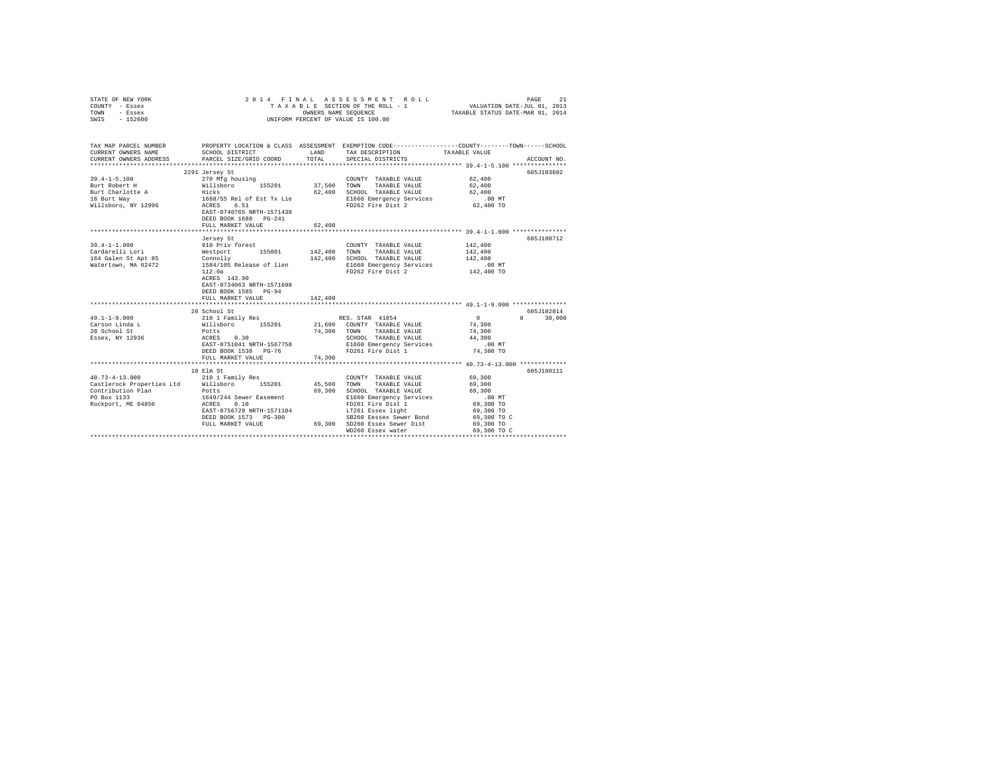| STATE OF NEW YORK<br>COUNTY - Essex<br>TOWN - Essex<br>SWIS - 152600                                                                        |                                                                                                                                                                                                                                                   |            | 4 FINAL ASSESSMENT ROLL TAXABLE PAGE 21 PAGE 2013<br>TAXABLE SECTION OF THE ROLL - 1 VALUATION DATE-JUL 01, 2013<br>OWNERS NAME SEQUENCE  TAXABLE STATUS DATE-MAR 01, 2014<br>2014 FINAL ASSESSMENT ROLL<br>UNIFORM PERCENT OF VALUE IS 100.00 |                                                                 |               |
|---------------------------------------------------------------------------------------------------------------------------------------------|---------------------------------------------------------------------------------------------------------------------------------------------------------------------------------------------------------------------------------------------------|------------|------------------------------------------------------------------------------------------------------------------------------------------------------------------------------------------------------------------------------------------------|-----------------------------------------------------------------|---------------|
| TAX MAP PARCEL NUMBER PROPERTY LOCATION & CLASS ASSESSMENT EXEMPTION CODE--------------COUNTY-------TOWN------SCHOOL<br>CURRENT OWNERS NAME | SCHOOL DISTRICT                                                                                                                                                                                                                                   | LAND       | TAX DESCRIPTION                                                                                                                                                                                                                                | TAXABLE VALUE                                                   |               |
| CURRENT OWNERS ADDRESS                                                                                                                      | PARCEL SIZE/GRID COORD                                                                                                                                                                                                                            | TOTAL      | SPECIAL DISTRICTS                                                                                                                                                                                                                              |                                                                 | ACCOUNT NO.   |
|                                                                                                                                             |                                                                                                                                                                                                                                                   |            |                                                                                                                                                                                                                                                |                                                                 |               |
|                                                                                                                                             | 2291 Jersey St                                                                                                                                                                                                                                    |            |                                                                                                                                                                                                                                                |                                                                 | 605J103602    |
| $39.4 - 1 - 5.100$                                                                                                                          | 270 Mfg housing                                                                                                                                                                                                                                   |            | COUNTY TAXABLE VALUE                                                                                                                                                                                                                           | 62,400                                                          |               |
| Burt Robert H<br>Burt Charlotte A                                                                                                           |                                                                                                                                                                                                                                                   |            |                                                                                                                                                                                                                                                | 62,400<br>62,400                                                |               |
| 16 Burt Way                                                                                                                                 |                                                                                                                                                                                                                                                   |            | E1660 Emergency Services                                                                                                                                                                                                                       | $.00 \text{ MT}$                                                |               |
| Willsboro, NY 12996                                                                                                                         |                                                                                                                                                                                                                                                   |            | FD262 Fire Dist 2                                                                                                                                                                                                                              | 62,400 TO                                                       |               |
|                                                                                                                                             | % MIR NORTH CONTROL 37,500 TOWN TAXABLE VALUE<br>Hicks 62,400 SCHOOL TAXABLE VALUE<br>Hicks 62,400 SCHOOL TAXABLE VALUE<br>1688/55 Rel of Est Tx Lie E1660 Emergency Services<br>ACRES 6.51<br>RAST-0740765 NRTH-1571438<br>DEED BOOK 1688 PG-241 |            |                                                                                                                                                                                                                                                |                                                                 |               |
|                                                                                                                                             | FULL MARKET VALUE                                                                                                                                                                                                                                 | 62,400     |                                                                                                                                                                                                                                                |                                                                 |               |
|                                                                                                                                             | Jersey St                                                                                                                                                                                                                                         |            |                                                                                                                                                                                                                                                |                                                                 | 605J100712    |
| $39.4 - 1 - 1.000$                                                                                                                          | 910 Priv forest<br>Westport 155001                                                                                                                                                                                                                |            | COUNTY TAXABLE VALUE                                                                                                                                                                                                                           | 142,400                                                         |               |
| Cardarelli Lori                                                                                                                             |                                                                                                                                                                                                                                                   |            | 142,400 TOWN TAXABLE VALUE                                                                                                                                                                                                                     | 142,400                                                         |               |
| 164 Galen St Apt 85                                                                                                                         | Connolly<br>1584/105 Release of lien                                                                                                                                                                                                              |            | 142,400 SCHOOL TAXABLE VALUE                                                                                                                                                                                                                   | 142,400                                                         |               |
| Watertown, MA 02472                                                                                                                         |                                                                                                                                                                                                                                                   |            | E1660 Emergency Services                                                                                                                                                                                                                       | .00 MT<br>142,400 TO                                            |               |
|                                                                                                                                             | 112.0a<br>ACRES 143.90<br>EAST-0734063 NRTH-1571698<br>DEED BOOK 1585 PG-94<br>FULL MARKET VALUE                                                                                                                                                  | 142,400    | FD262 Fire Dist 2                                                                                                                                                                                                                              |                                                                 |               |
|                                                                                                                                             | **********************                                                                                                                                                                                                                            | ********** |                                                                                                                                                                                                                                                | *********************** 49.1-1-9.000 ***************            |               |
|                                                                                                                                             | 28 School St                                                                                                                                                                                                                                      |            |                                                                                                                                                                                                                                                |                                                                 | 605J102814    |
| $49.1 - 1 - 9.000$                                                                                                                          | 210 1 Family Res<br>Willsboro 155201                                                                                                                                                                                                              |            | RES. STAR 41854                                                                                                                                                                                                                                | $\sim$ 0                                                        | $0 \t 30.000$ |
| Carson Linda L                                                                                                                              |                                                                                                                                                                                                                                                   |            | 21,600 COUNTY TAXABLE VALUE                                                                                                                                                                                                                    | 74,300                                                          |               |
| 28 School St                                                                                                                                | Potts                                                                                                                                                                                                                                             |            | 74,300 TOWN TAXABLE VALUE                                                                                                                                                                                                                      | 74,300                                                          |               |
| Essex, NY 12936                                                                                                                             | ACRES 0.30                                                                                                                                                                                                                                        |            | SCHOOL TAXABLE VALUE                                                                                                                                                                                                                           | 44,300                                                          |               |
|                                                                                                                                             | EAST-0751041 NRTH-1567758                                                                                                                                                                                                                         |            | E1660 Emergency Services<br>FD261 Fire Dist 1                                                                                                                                                                                                  | $.00$ MT                                                        |               |
|                                                                                                                                             | DEED BOOK 1530 PG-76<br>FULL MARKET VALUE                                                                                                                                                                                                         | 74,300     |                                                                                                                                                                                                                                                | 74,300 TO                                                       |               |
|                                                                                                                                             | **************************                                                                                                                                                                                                                        |            |                                                                                                                                                                                                                                                | ********************************** 40.73-4-13.000 ************* |               |
|                                                                                                                                             | 10 Elm St                                                                                                                                                                                                                                         |            |                                                                                                                                                                                                                                                |                                                                 | 605J100111    |
| $40.73 - 4 - 13.000$                                                                                                                        | 210 1 Family Res                                                                                                                                                                                                                                  |            | COUNTY TAXABLE VALUE                                                                                                                                                                                                                           | 69,300                                                          |               |
| 40.73-4-13.000 210 1 Family Res<br>Castlerock Properties Ltd Willsboro 155201                                                               |                                                                                                                                                                                                                                                   |            | 45,500 TOWN TAXABLE VALUE                                                                                                                                                                                                                      | 69,300                                                          |               |
| Contribution Plan                                                                                                                           | Potts                                                                                                                                                                                                                                             |            | 69,300 SCHOOL TAXABLE VALUE<br>E1660 Emergency Services                                                                                                                                                                                        | 69,300                                                          |               |
| PO Box 1133                                                                                                                                 | 1649/244 Sewer Easement<br>ACRES 0.10<br>EAST-0756729 NRTH-1571104                                                                                                                                                                                |            |                                                                                                                                                                                                                                                | .00 MT                                                          |               |
| Rockport, ME 04856                                                                                                                          |                                                                                                                                                                                                                                                   |            | FD261 Fire Dist 1                                                                                                                                                                                                                              | 69,300 TO                                                       |               |
|                                                                                                                                             |                                                                                                                                                                                                                                                   |            | LT261 Essex light                                                                                                                                                                                                                              | 69,300 TO                                                       |               |
|                                                                                                                                             | DEED BOOK 1573 PG-300                                                                                                                                                                                                                             |            | SB260 Eessex Sewer Bond                                                                                                                                                                                                                        | 69,300 TO C                                                     |               |
|                                                                                                                                             |                                                                                                                                                                                                                                                   |            | FULL MARKET VALUE 69,300 SD260 Essex Sewer Dist<br>WD260 Essex water                                                                                                                                                                           | 69,300 TO<br>69,300 TO C                                        |               |
|                                                                                                                                             |                                                                                                                                                                                                                                                   |            |                                                                                                                                                                                                                                                |                                                                 |               |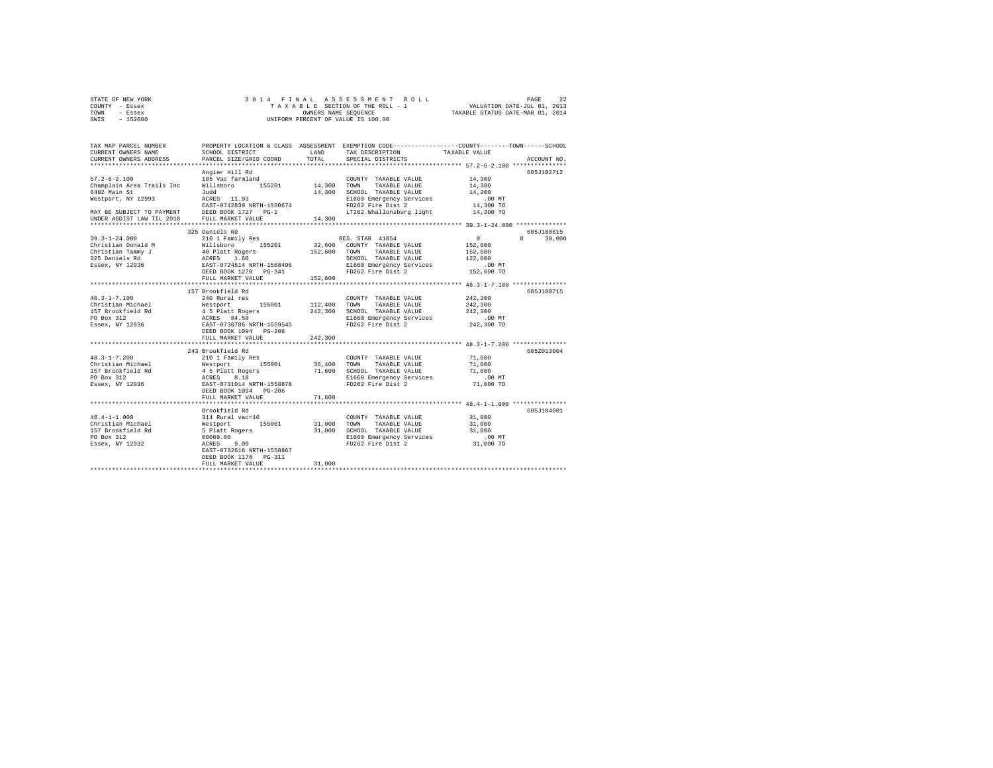|      | STATE OF NEW YORK |  |  | 2014 FINAL ASSESSMENT ROLL         | PAGE                             | 22 |
|------|-------------------|--|--|------------------------------------|----------------------------------|----|
|      | COUNTY - Essex    |  |  | TAXABLE SECTION OF THE ROLL - 1    | VALUATION DATE-JUL 01, 2013      |    |
| TOWN | - Essex           |  |  | OWNERS NAME SEOUENCE               | TAXABLE STATUS DATE-MAR 01, 2014 |    |
| SWIS | - 152600          |  |  | UNIFORM PERCENT OF VALUE IS 100.00 |                                  |    |

| TAX MAP PARCEL NUMBER<br>CURRENT OWNERS NAME<br>CURRENT OWNERS ADDRESS                                                                          | SCHOOL DISTRICT<br>PARCEL SIZE/GRID COORD                                                                                                                                                                                                       | T.AND<br>TOTAL                | PROPERTY LOCATION & CLASS ASSESSMENT EXEMPTION CODE---------------COUNTY-------TOWN-----SCHOOL<br>TAX DESCRIPTION TAXABLE VALUE<br>SPECIAL DISTRICTS        |                                                                                                                                                             | ACCOUNT NO.                     |
|-------------------------------------------------------------------------------------------------------------------------------------------------|-------------------------------------------------------------------------------------------------------------------------------------------------------------------------------------------------------------------------------------------------|-------------------------------|-------------------------------------------------------------------------------------------------------------------------------------------------------------|-------------------------------------------------------------------------------------------------------------------------------------------------------------|---------------------------------|
| $57.2 - 6 - 2.100$<br>Champlain Area Trails Inc<br>6482 Main St<br>Westport, NY 12993<br>MAY BE SUBJECT TO PAYMENT<br>UNDER AGDIST LAW TIL 2018 | Angier Hill Rd<br>105 Vac farmland<br>155201 14,300 TOWN<br>Willsboro<br>Judd<br>ACRES 11.93<br>EAST-0742839 NRTH-1550674<br>DEED BOOK 1727 PG-1<br>FULL MARKET VALUE<br>.                                                                      | 14,300<br>                    | COUNTY TAXABLE VALUE<br>TAXABLE VALUE<br>14,300 SCHOOL TAXABLE VALUE<br>E1660 Emergency Services<br>FD262 Fire Dist 2<br>LT262 Whallonsburg light 14,300 TO | 14,300<br>14,300<br>14,300<br>$.00$ MT<br>14,300 TO<br>******************** 39.3-1-24.000 *************                                                     | 605J102712                      |
| $39.3 - 1 - 24.000$<br>Christian Donald M<br>Christian Tammy J<br>325 Daniels Rd<br>Essex, NY 12936                                             | 325 Daniels Rd<br>210 1 Family Res<br>Willsboro 155201<br>40 Platt Rogers<br>ACRES 1.60<br>EAST-0724514 NRTH-1568496<br>DEED BOOK 1270 PG-341<br>FULL MARKET VALUE                                                                              | 152,600 TOWN<br>152,600       | RES. STAR 41854<br>32,600 COUNTY TAXABLE VALUE<br>TAXABLE VALUE<br>SCHOOL TAXABLE VALUE<br>E1660 Emergency Services<br>FD262 Fire Dist 2                    | $\sim$ 0<br>152,600<br>152,600<br>122,600<br>.00 MT<br>152,600 TO                                                                                           | 605-7100615<br>$\cap$<br>30,000 |
| $48.3 - 1 - 7.100$<br>Christian Michael<br>157 Brookfield Rd<br>PO Box 312<br>Essex, NY 12936                                                   | 157 Brookfield Rd<br>240 Rural res<br>155001<br>Westport 155001<br>4 5 Platt Rogers<br>ACRES 84.50<br>EAST-0730786 NRTH-1559545<br>DEED BOOK 1094 PG-206<br>FULL MARKET VALUE                                                                   | 112,400<br>242,300<br>242,300 | COUNTY TAXABLE VALUE<br>TOWN<br>TAXABLE VALUE<br>SCHOOL TAXABLE VALUE<br>E1660 Emergency Services<br>FD262 Fire Dist 2                                      | 242,300<br>242,300<br>242,300<br>.00 MT<br>242,300 TO                                                                                                       | 605J100715                      |
| $48.3 - 1 - 7.200$<br>Christian Michael<br>157 Brookfield Rd<br>PO Box 312<br>Essex, NY 12936                                                   | *******************************<br>243 Brookfield Rd<br>210 1 Family Res<br>Westport 155001 36,400 TOWN<br>4 5 Platt Rogers<br>ACRES 8.18<br>EAST-0731014 NRTH-1558878<br>DEED BOOK 1094 PG-206<br>FULL MARKET VALUE<br>*********************** | 71,600                        | COUNTY TAXABLE VALUE<br>TAXABLE VALUE<br>71,600 SCHOOL TAXABLE VALUE<br>E1660 Emergency Services<br>FD262 Fire Dist 2                                       | *********************** 48.3-1-7.200 **************<br>71,600<br>71,600<br>71,600<br>$.00$ MT<br>71,600 TO<br>***************** 48.4-1-1.000 ************** | 605Z013004                      |
| $48.4 - 1 - 1.000$<br>Christian Michael<br>157 Brookfield Rd<br>PO Box 312<br>Essex, NY 12932                                                   | Brookfield Rd<br>314 Rural vac<10<br>Westport 155001<br>5 Platt Rogers<br>00009.00<br>ACRES<br>9.00<br>EAST-0732616 NRTH-1558867<br>DEED BOOK 1176   PG-311<br>FULL MARKET VALUE                                                                | 31,000<br>31,000              | COUNTY TAXABLE VALUE<br>31,000 TOWN<br>TAXABLE VALUE<br>SCHOOL TAXABLE VALUE<br>E1660 Emergency Services<br>FD262 Fire Dist 2                               | 31,000<br>31,000<br>31,000<br>$.00$ MT<br>31,000 TO                                                                                                         | 605J104001                      |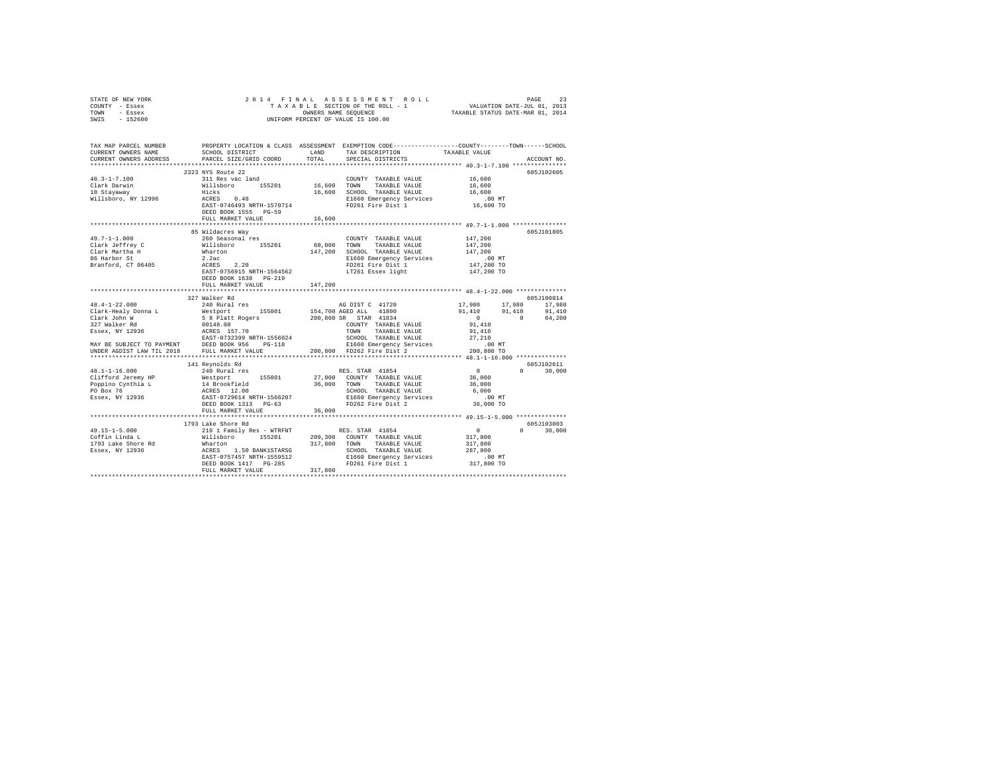| TOWN<br>- Essex<br>SWIS - 152600                                                                                                                                                                                                                                                                                                                           | OWNERS NAME SEQUENCE<br>UNIFORM PERCENT OF VALUE IS 100.00 |                        |                                                                 |                                              | TAXABLE STATUS DATE-MAR 01, 2014 |
|------------------------------------------------------------------------------------------------------------------------------------------------------------------------------------------------------------------------------------------------------------------------------------------------------------------------------------------------------------|------------------------------------------------------------|------------------------|-----------------------------------------------------------------|----------------------------------------------|----------------------------------|
|                                                                                                                                                                                                                                                                                                                                                            |                                                            |                        | LAND TAX DESCRIPTION                                            |                                              |                                  |
| CURRENT OWNERS ADDRESS                                                                                                                                                                                                                                                                                                                                     | PARCEL SIZE/GRID COORD                                     | TOTAL                  | SPECIAL DISTRICTS                                               | TAXABLE VALUE                                | ACCOUNT NO.                      |
|                                                                                                                                                                                                                                                                                                                                                            | 2323 NYS Route 22                                          |                        |                                                                 |                                              | 605J102605                       |
| $40.3 - 1 - 7.100$                                                                                                                                                                                                                                                                                                                                         |                                                            |                        |                                                                 |                                              |                                  |
|                                                                                                                                                                                                                                                                                                                                                            |                                                            |                        |                                                                 |                                              |                                  |
| Clark Darwin<br>10 Stayaway                                                                                                                                                                                                                                                                                                                                |                                                            |                        |                                                                 |                                              |                                  |
| Willsboro, NY 12996                                                                                                                                                                                                                                                                                                                                        |                                                            |                        |                                                                 |                                              |                                  |
|                                                                                                                                                                                                                                                                                                                                                            |                                                            |                        |                                                                 |                                              |                                  |
|                                                                                                                                                                                                                                                                                                                                                            | FULL MARKET VALUE<br>*************************             | 16,600<br>************ |                                                                 | ************** 49.7-1-1.000 **************** |                                  |
|                                                                                                                                                                                                                                                                                                                                                            | 85 Wildacres Wav                                           |                        |                                                                 |                                              | 605J101805                       |
| 49.7-1-1.000                                                                                                                                                                                                                                                                                                                                               | 260 Seasonal res                                           |                        | COUNTY TAXABLE VALUE                                            | 147,200                                      |                                  |
|                                                                                                                                                                                                                                                                                                                                                            |                                                            |                        | TOWN TAXABLE VALUE                                              | 147,200                                      |                                  |
|                                                                                                                                                                                                                                                                                                                                                            |                                                            |                        | 147.200 SCHOOL TAXABLE VALUE                                    | 147,200                                      |                                  |
|                                                                                                                                                                                                                                                                                                                                                            |                                                            |                        | E1660 Emergency Services<br>FD261 Fire Dist 1                   | .00 MT                                       |                                  |
|                                                                                                                                                                                                                                                                                                                                                            |                                                            |                        |                                                                 | 147,200 TO                                   |                                  |
| * 1,*1-1,000<br>* 1,*1-1,000 CDM 2,1.2 (1.2 × 1,7-1,000 CDM 2,1.2 × 1,7-1,000 CDM 2,1.2 × 1,7-1,200<br>2.2 × 1,7,200 CDMN TAXABLE VALUE<br>86 Harbor St<br>86 Harbor St<br>86 Harbor St<br>87 × 1,200 CDMN 2,200 CDMN TAXABLE VALUE<br>86 H                                                                                                                |                                                            |                        |                                                                 | 147,200 TO                                   |                                  |
|                                                                                                                                                                                                                                                                                                                                                            | FULL MARKET VALUE 147,200                                  |                        |                                                                 |                                              |                                  |
|                                                                                                                                                                                                                                                                                                                                                            | 327 Walker Rd                                              |                        |                                                                 |                                              | 605J100814                       |
| $\begin{tabular}{ccccc} 48.4-1-22.000 & 347 & 448.4-1-22.000 & 17,980 & 17 \\ \hline \texttt{Clark} & \texttt{Re}} & \texttt{Wearer} & \texttt{155001} & 154,700 & 840 & 91,410 & 91 \\ \texttt{Clark} & \texttt{John} & 5 & 8 & \texttt{Platt} & \texttt{155001} & 154,700 & 800 & 800 & 800 & 810 & 1410 \\ \texttt{327. Walk} & 5 & 8 & \texttt{Platt}$ |                                                            |                        |                                                                 |                                              |                                  |
|                                                                                                                                                                                                                                                                                                                                                            |                                                            |                        |                                                                 |                                              |                                  |
|                                                                                                                                                                                                                                                                                                                                                            |                                                            |                        |                                                                 |                                              |                                  |
|                                                                                                                                                                                                                                                                                                                                                            |                                                            |                        |                                                                 |                                              |                                  |
|                                                                                                                                                                                                                                                                                                                                                            |                                                            |                        |                                                                 |                                              |                                  |
|                                                                                                                                                                                                                                                                                                                                                            |                                                            |                        |                                                                 |                                              |                                  |
|                                                                                                                                                                                                                                                                                                                                                            |                                                            |                        |                                                                 |                                              |                                  |
|                                                                                                                                                                                                                                                                                                                                                            |                                                            |                        |                                                                 |                                              |                                  |
|                                                                                                                                                                                                                                                                                                                                                            | 141 Reynolds Rd                                            |                        |                                                                 |                                              | 605J102611                       |
|                                                                                                                                                                                                                                                                                                                                                            |                                                            |                        |                                                                 | $\overline{0}$                               | $0 \t 30,000$                    |
|                                                                                                                                                                                                                                                                                                                                                            |                                                            |                        |                                                                 |                                              |                                  |
|                                                                                                                                                                                                                                                                                                                                                            |                                                            |                        |                                                                 |                                              |                                  |
|                                                                                                                                                                                                                                                                                                                                                            |                                                            |                        |                                                                 |                                              |                                  |
|                                                                                                                                                                                                                                                                                                                                                            |                                                            |                        |                                                                 |                                              |                                  |
|                                                                                                                                                                                                                                                                                                                                                            | FULL MARKET VALUE                                          | 36,000                 |                                                                 |                                              |                                  |
|                                                                                                                                                                                                                                                                                                                                                            | ************************                                   |                        | ********************************** 49.15-1-5.000 ************** |                                              |                                  |
|                                                                                                                                                                                                                                                                                                                                                            | 1793 Lake Shore Rd                                         |                        |                                                                 |                                              | 605J103003                       |
|                                                                                                                                                                                                                                                                                                                                                            |                                                            |                        |                                                                 |                                              | $0 \t 30,000$                    |
|                                                                                                                                                                                                                                                                                                                                                            |                                                            |                        |                                                                 | $0$<br>317,800<br>317,800                    |                                  |
|                                                                                                                                                                                                                                                                                                                                                            |                                                            |                        |                                                                 |                                              |                                  |
|                                                                                                                                                                                                                                                                                                                                                            |                                                            |                        |                                                                 |                                              |                                  |
|                                                                                                                                                                                                                                                                                                                                                            |                                                            |                        |                                                                 |                                              |                                  |
|                                                                                                                                                                                                                                                                                                                                                            |                                                            |                        |                                                                 |                                              |                                  |
|                                                                                                                                                                                                                                                                                                                                                            |                                                            |                        |                                                                 |                                              |                                  |

STATE OF NEW YORK 2 0 1 4 F I N A L A S S E S S M E N T R O L L PAGE 23 COUNTY - Essex T A X A B L E SECTION OF THE ROLL - 1 VALUATION DATE-JUL 01, 2013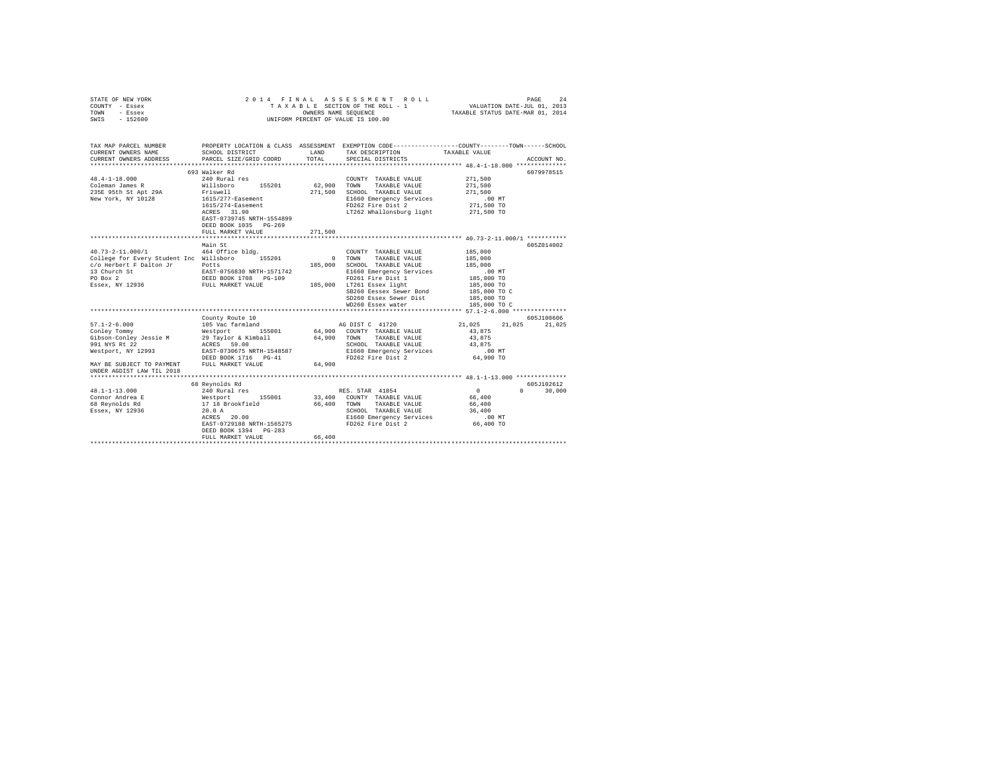| COUNTY - Essex<br>TOWN<br>- Essex<br>SWIS - 152600                                                                                                                                                                                                                                                                                                                                                                                                                                                                                                                                                                                                                                                                           |                                                               | OWNERS NAME SEQUENCE  | UNIFORM PERCENT OF VALUE IS 100.00                                                                                                                                                                                                                                                                                                                                                                                                 |                                                                                                                              |                             |
|------------------------------------------------------------------------------------------------------------------------------------------------------------------------------------------------------------------------------------------------------------------------------------------------------------------------------------------------------------------------------------------------------------------------------------------------------------------------------------------------------------------------------------------------------------------------------------------------------------------------------------------------------------------------------------------------------------------------------|---------------------------------------------------------------|-----------------------|------------------------------------------------------------------------------------------------------------------------------------------------------------------------------------------------------------------------------------------------------------------------------------------------------------------------------------------------------------------------------------------------------------------------------------|------------------------------------------------------------------------------------------------------------------------------|-----------------------------|
| TAX MAP PARCEL NUMBER PROPERTY LOCATION & CLASS ASSESSMENT EXEMPTION CODE--------------COUNTY-------TOWN-----SCHOOL<br>CURRENT OWNERS NAME<br>CURRENT OWNERS ADDRESS                                                                                                                                                                                                                                                                                                                                                                                                                                                                                                                                                         | SCHOOL DISTRICT LAND<br>PARCEL SIZE/GRID COORD                | TOTAL                 | TAX DESCRIPTION<br>SPECIAL DISTRICTS                                                                                                                                                                                                                                                                                                                                                                                               | TAXABLE VALUE                                                                                                                | ACCOUNT NO.                 |
|                                                                                                                                                                                                                                                                                                                                                                                                                                                                                                                                                                                                                                                                                                                              | 693 Walker Rd                                                 |                       |                                                                                                                                                                                                                                                                                                                                                                                                                                    |                                                                                                                              | 6079978515                  |
|                                                                                                                                                                                                                                                                                                                                                                                                                                                                                                                                                                                                                                                                                                                              | 1615/274-Easement<br>ACRES 31.90<br>EAST-0739745 NRTH-1554899 | COUNTY<br>62,900 TOWN | COUNTY TAXABLE VALUE<br>TAXABLE VALUE<br>271,500 SCHOOL TAXABLE VALUE 271,500<br>E1660 Emergency Services<br>FD262 Fire Dist 2<br>LT262 Whallonsburg light                                                                                                                                                                                                                                                                         | 271,500<br>271,500<br>.00 MT<br>271,500 TO<br>271,500 TO                                                                     |                             |
|                                                                                                                                                                                                                                                                                                                                                                                                                                                                                                                                                                                                                                                                                                                              | DEED BOOK 1035 PG-269                                         |                       |                                                                                                                                                                                                                                                                                                                                                                                                                                    |                                                                                                                              |                             |
|                                                                                                                                                                                                                                                                                                                                                                                                                                                                                                                                                                                                                                                                                                                              | FULL MARKET VALUE                                             | 271,500               |                                                                                                                                                                                                                                                                                                                                                                                                                                    |                                                                                                                              |                             |
| 40.73-2-11.000/1 464 Office bldg.<br>College for Every Student Inc Willsboro 155201<br>CONSERVATIVE PRINT TO THE POST POINT PRINT OF THE PRINT OF THE PRINT POINT PRINT PRINT PRINT PRINT PRINT PRINT PRINT PRINT PRINT PRINT PRINT PRINT PRINT PRINT PRINT PRINT PRINT PRINT PRINT PRINT PRINT PRINT PRINT PRINT PRI<br>$\begin{tabular}{l c c c c c} \hline $57.1-2-6.000 & \rule{0mm}{3mm} & \rule{0mm}{3mm} & \rule{0mm}{3mm} & \rule{0mm}{3mm} & \rule{0mm}{3mm} & \rule{0mm}{3mm} & \rule{0mm}{3mm} & \rule{0mm}{3mm} & \rule{0mm}{3mm} & \rule{0mm}{3mm} & \rule{0mm}{3mm} & \rule{0mm}{3mm} & \rule{0mm}{3mm} & \rule{0mm}{3mm} & \rule{0mm}{3mm} & \rule{0mm}{3mm} & \rule{0mm}{3mm} & \rule{0mm}{3mm} & \rule{0mm$ | Main St<br>County Route 10                                    |                       | COUNTY TAXABLE VALUE<br>0 TOWN TAXABLE VALUE<br>SCHOOL TAXABLE VALUE<br>Moto Chameraency Services<br>FI660 Emergency Services<br>FI660 Emergency Services<br>185,000 TO CHAMERAEN 185,000 TO CHAMERAEN 185,000 TO CHAMERAEN 185,000 TO CHAMERAEN 185,000 TO CHAMERAEN 185,000 TO CHAMERAEN 195,000 TO CHAMER<br>WD260 Essex water<br>SCHOOL TAXABLE VALUE<br>SCHOOL TAXABLE VALUL<br>E1660 Emergency Services<br>FD262 Fire Dist 2 | 185,000<br>185,000<br>185,000<br>185,000 TO C<br>21,025 21,025 21,025<br>43,875<br>43,875<br>43,875<br>$.00$ MT<br>64,900 TO | 605Z014002<br>605J100606    |
| UNDER AGDIST LAW TIL 2018                                                                                                                                                                                                                                                                                                                                                                                                                                                                                                                                                                                                                                                                                                    |                                                               |                       |                                                                                                                                                                                                                                                                                                                                                                                                                                    |                                                                                                                              |                             |
| Note that the series of the series of the series of the series of the series of the series of the series of the series of the series of the series of the series of the series of the series of the series of the series of th                                                                                                                                                                                                                                                                                                                                                                                                                                                                                               | $ACRES$ 20.00<br>DEED BOOK 1394 PG-283<br>FULL MARKET VALUE   | 66,400                | RES. STAR 41854<br>33,400 COUNTY TAXABLE VALUE<br>66,400 TOWN TAXABLE VALUE<br>SCHOOL TAXABLE VALUE                                                                                                                                                                                                                                                                                                                                | $\sim$ 0<br>66,400<br>66,400<br>36,400                                                                                       | 605J102612<br>$0 \t 30.000$ |

STATE OF NEW YORK 20 14 FINAL ASSESSMENT ROLL PAGE 24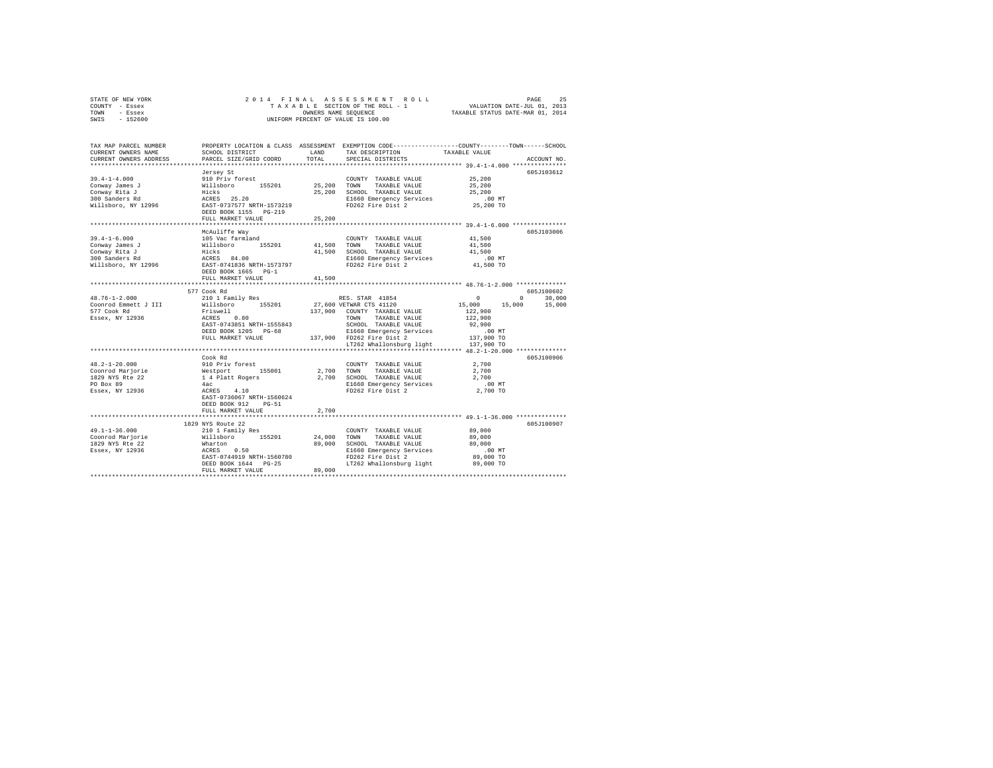| STATE OF NEW YORK<br>COUNTY - Essex                                                      |                                                                                                                         |                     |                                                                                                                       |                                                                                                                       |  |  |  |  |
|------------------------------------------------------------------------------------------|-------------------------------------------------------------------------------------------------------------------------|---------------------|-----------------------------------------------------------------------------------------------------------------------|-----------------------------------------------------------------------------------------------------------------------|--|--|--|--|
| TOWN - Essex                                                                             |                                                                                                                         |                     |                                                                                                                       |                                                                                                                       |  |  |  |  |
| SWIS - 152600                                                                            |                                                                                                                         |                     |                                                                                                                       |                                                                                                                       |  |  |  |  |
|                                                                                          |                                                                                                                         |                     |                                                                                                                       |                                                                                                                       |  |  |  |  |
|                                                                                          |                                                                                                                         |                     |                                                                                                                       | TAX MAP PARCEL NUMBER PROPERTY LOCATION & CLASS ASSESSMENT EXEMPTION CODE---------------COUNTY-------TOWN------SCHOOL |  |  |  |  |
| CURRENT OWNERS NAME                                                                      | SCHOOL DISTRICT LAND                                                                                                    |                     | TAX DESCRIPTION                                                                                                       | TAXABLE VALUE                                                                                                         |  |  |  |  |
| CURRENT OWNERS ADDRESS                                                                   | PARCEL SIZE/GRID COORD                                                                                                  | TOTAL               | SPECIAL DISTRICTS                                                                                                     | ACCOUNT NO.                                                                                                           |  |  |  |  |
|                                                                                          |                                                                                                                         |                     |                                                                                                                       |                                                                                                                       |  |  |  |  |
|                                                                                          | Jersey St                                                                                                               |                     |                                                                                                                       | 605J103612                                                                                                            |  |  |  |  |
|                                                                                          |                                                                                                                         |                     |                                                                                                                       |                                                                                                                       |  |  |  |  |
|                                                                                          |                                                                                                                         |                     |                                                                                                                       |                                                                                                                       |  |  |  |  |
|                                                                                          |                                                                                                                         |                     |                                                                                                                       |                                                                                                                       |  |  |  |  |
|                                                                                          |                                                                                                                         |                     |                                                                                                                       |                                                                                                                       |  |  |  |  |
|                                                                                          |                                                                                                                         |                     |                                                                                                                       |                                                                                                                       |  |  |  |  |
|                                                                                          | FULL MARKET VALUE                                                                                                       | 25,200              |                                                                                                                       |                                                                                                                       |  |  |  |  |
|                                                                                          |                                                                                                                         |                     |                                                                                                                       |                                                                                                                       |  |  |  |  |
|                                                                                          | McAuliffe Way                                                                                                           |                     |                                                                                                                       | 605J103006                                                                                                            |  |  |  |  |
| $39.4 - 1 - 6.000$                                                                       |                                                                                                                         |                     | COUNTY TAXABLE VALUE 41,500                                                                                           |                                                                                                                       |  |  |  |  |
|                                                                                          |                                                                                                                         |                     |                                                                                                                       | 41,500                                                                                                                |  |  |  |  |
| 39.4-1-0.000<br>Conway James J<br>Conway Rita J<br>300 Sanders Rd<br>Willsboro, NY 12996 |                                                                                                                         |                     | 41,500 SCHOOL TAXABLE VALUE                                                                                           | 41,500                                                                                                                |  |  |  |  |
|                                                                                          |                                                                                                                         |                     | E1660 Emergency Services                                                                                              | .00MT                                                                                                                 |  |  |  |  |
|                                                                                          |                                                                                                                         |                     | FD262 Fire Dist 2                                                                                                     | 41,500 TO                                                                                                             |  |  |  |  |
|                                                                                          | DEED BOOK 1665 PG-1                                                                                                     |                     |                                                                                                                       |                                                                                                                       |  |  |  |  |
|                                                                                          | FULL MARKET VALUE                                                                                                       | 41,500              |                                                                                                                       |                                                                                                                       |  |  |  |  |
|                                                                                          |                                                                                                                         |                     |                                                                                                                       |                                                                                                                       |  |  |  |  |
|                                                                                          | 577 Cook Rd                                                                                                             |                     |                                                                                                                       | 605J100602                                                                                                            |  |  |  |  |
| 48.76-1-2.000                                                                            |                                                                                                                         |                     |                                                                                                                       |                                                                                                                       |  |  |  |  |
| Coonrod Emmett J III                                                                     |                                                                                                                         |                     |                                                                                                                       |                                                                                                                       |  |  |  |  |
| 577 Cook Rd<br>Essex, NY 12936                                                           |                                                                                                                         |                     |                                                                                                                       |                                                                                                                       |  |  |  |  |
|                                                                                          |                                                                                                                         |                     |                                                                                                                       |                                                                                                                       |  |  |  |  |
|                                                                                          |                                                                                                                         |                     |                                                                                                                       |                                                                                                                       |  |  |  |  |
|                                                                                          |                                                                                                                         |                     |                                                                                                                       |                                                                                                                       |  |  |  |  |
|                                                                                          |                                                                                                                         |                     |                                                                                                                       |                                                                                                                       |  |  |  |  |
|                                                                                          |                                                                                                                         |                     |                                                                                                                       |                                                                                                                       |  |  |  |  |
|                                                                                          | Cook Rd                                                                                                                 |                     |                                                                                                                       | 605J100906                                                                                                            |  |  |  |  |
| $48.2 - 1 - 20.000$                                                                      |                                                                                                                         |                     | $\begin{array}{cc}\n\text{COUNTY} & \text{TAXABLE VALUE} \\ \text{TOMN} & \text{TAYADE} & \text{VATE} \\ \end{array}$ |                                                                                                                       |  |  |  |  |
| Coonrod Marjorie                                                                         |                                                                                                                         | COUNT<br>2,700 TOWN | TAXABLE VALUE                                                                                                         | 2,700                                                                                                                 |  |  |  |  |
| 1829 NYS Rte 22<br>PO Box 89                                                             |                                                                                                                         |                     |                                                                                                                       | 2,700                                                                                                                 |  |  |  |  |
|                                                                                          |                                                                                                                         |                     |                                                                                                                       | 00 MT.<br>2,700 TO                                                                                                    |  |  |  |  |
| Essex, NY 12936                                                                          | COO <sub>N</sub> nd<br>910 Priv forest<br>Westport<br>14 Platt Rogers<br>4ac<br>ACRES 4.10<br>EAST-0736067 NRTH-1560624 |                     | 2,700 SCHOOL TAXABLE VALUE<br>E1660 Emergency Services<br>FD262 Fire Dist 2                                           |                                                                                                                       |  |  |  |  |
|                                                                                          |                                                                                                                         |                     |                                                                                                                       |                                                                                                                       |  |  |  |  |
|                                                                                          | DEED BOOK 912 PG-51                                                                                                     |                     |                                                                                                                       |                                                                                                                       |  |  |  |  |
|                                                                                          | FULL MARKET VALUE                                                                                                       | 2,700               |                                                                                                                       |                                                                                                                       |  |  |  |  |
|                                                                                          |                                                                                                                         |                     |                                                                                                                       |                                                                                                                       |  |  |  |  |
|                                                                                          | 1829 NYS Route 22                                                                                                       |                     |                                                                                                                       | 605J100907                                                                                                            |  |  |  |  |
| $49.1 - 1 - 36.000$<br>49.1-1-36.000<br>Coonrod Marjorie                                 | 210 1 Family Res                                                                                                        |                     | COUNTY TAXABLE VALUE                                                                                                  | 89,000<br>89,000                                                                                                      |  |  |  |  |
|                                                                                          |                                                                                                                         |                     |                                                                                                                       | 89,000                                                                                                                |  |  |  |  |
|                                                                                          |                                                                                                                         |                     |                                                                                                                       |                                                                                                                       |  |  |  |  |
|                                                                                          |                                                                                                                         |                     |                                                                                                                       | MT.<br>89,000 TO                                                                                                      |  |  |  |  |
|                                                                                          |                                                                                                                         |                     |                                                                                                                       | 89,000 TO                                                                                                             |  |  |  |  |
|                                                                                          | FULL MARKET VALUE 89,000                                                                                                |                     |                                                                                                                       |                                                                                                                       |  |  |  |  |
|                                                                                          |                                                                                                                         |                     |                                                                                                                       |                                                                                                                       |  |  |  |  |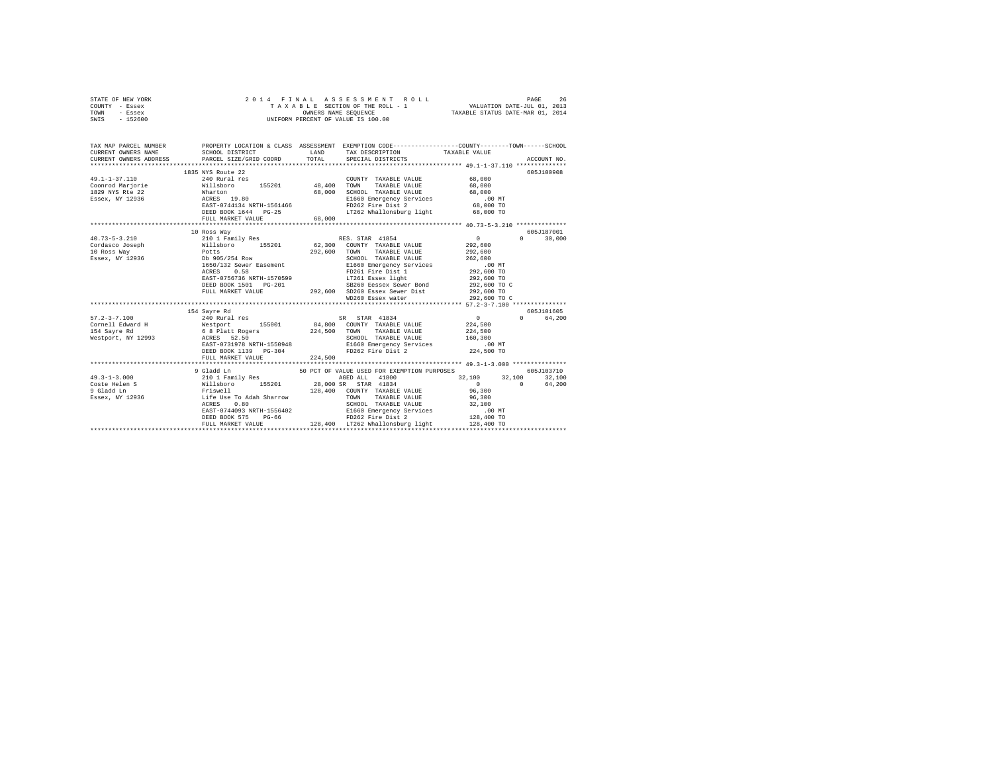|      | STATE OF NEW YORK |  |  | 2014 FINAL ASSESSMENT ROLL         | PAGE                             | 26 |
|------|-------------------|--|--|------------------------------------|----------------------------------|----|
|      | COUNTY - Essex    |  |  | TAXABLE SECTION OF THE ROLL - 1    | VALUATION DATE-JUL 01, 2013      |    |
| TOWN | - Essex           |  |  | OWNERS NAME SEOUENCE               | TAXABLE STATUS DATE-MAR 01, 2014 |    |
| SWIS | - 152600          |  |  | UNIFORM PERCENT OF VALUE IS 100.00 |                                  |    |

| TAX MAP PARCEL NUMBER<br>CURRENT OWNERS NAME<br>CURRENT OWNERS ADDRESS PARCEL SIZE/GRID COORD                                                                                                                                                                   |                                                                                                                               |                  |                                                                                                                                                                                                                                                                                                                                                                                                                                                                                                                               | PROPERTY LOCATION & CLASS ASSESSMENT EXEMPTION CODE----------------COUNTY-------TOWN------SCHOOL             |
|-----------------------------------------------------------------------------------------------------------------------------------------------------------------------------------------------------------------------------------------------------------------|-------------------------------------------------------------------------------------------------------------------------------|------------------|-------------------------------------------------------------------------------------------------------------------------------------------------------------------------------------------------------------------------------------------------------------------------------------------------------------------------------------------------------------------------------------------------------------------------------------------------------------------------------------------------------------------------------|--------------------------------------------------------------------------------------------------------------|
| $\begin{tabular}{lllllllllll} \texttt{49.1--1--37.110} & & & \texttt{240 Rural res} & & & \texttt{COUNT} \\ \texttt{Conord Marjorie} & & & \texttt{Willsboro} & & \texttt{155201} & & \texttt{48,400 TOWN} \end{tabular}$<br>1829 NYS Rte 22<br>Essex, NY 12936 | 1835 NYS Route 22<br>Wharton 68,000<br>ACRES 19.80<br>EAST-0744134 NRTH-1561466<br>DEED BOOK 1644 PG-25<br>FULL MARKET VALUE  | 68,000<br>68,000 | COUNTY TAXABLE VALUE 68,000<br>TAXABLE VALUE 68,000<br>SCHOOL TAXABLE VALUE 68,000<br>E1660 Emergency Services .00 MT<br>FD262 Fire Dist 2 68,000 TO<br>LT262 Whallonsburg light 68,000 TO                                                                                                                                                                                                                                                                                                                                    | 605J100908                                                                                                   |
| $\frac{10.73-5-3.210}{210 \text{ I family Res}}$<br>$\frac{210 \text{ I family Res}}{155201}$ 62,300 COUNTY TAXABLE VALUE<br>10 Ross Way<br>Essex, NY 12936                                                                                                     | 10 Ross Way<br>Potts<br>Db 905/254 Row<br>1650/132 Sewer Easement<br>0.58<br>ACRES                                            |                  | 292.600 TOWN TAXABLE VALUE 292.600<br>SCHOOL TAXABLE VALUE<br>9011601   14148116   141560   141660   141660   1500   1600   1600   1600   1600   1600   1600   1600   1600  <br>1926   1926   1926   1600   1600   1600   1600   1600   1600   1600   1600   1600   1600   1600   1600   1600<br><br>ACKES 0.50 100 1292,600 TO<br>EAST-0756736 NRTH-1570599 17261 Essex light 292,600 TO<br>DEED BOOK 1501 PG-201 292,600 SD260 Essex Sewer Bond 292,600 TO<br>FULL MARKET VALUE 292,600 50260 Essex Sewer Dist 292,600 TO C | 605J187001<br>$\sim$ 0<br>$\Omega$<br>30,000<br>292,600<br>262,600                                           |
| $57.2 - 3 - 7.100$<br>Westport, NY 12993 ACRES 52.50                                                                                                                                                                                                            | 154 Sayre Rd<br>240 Rural res<br>FULL MARKET VALUE                                                                            | 224,500          | SCHOOL TAXABLE VALUE 160,300                                                                                                                                                                                                                                                                                                                                                                                                                                                                                                  | 605J101605<br>$\sim$ 0<br>$\Omega$ and $\Omega$<br>64,200<br>224,500<br>224,500<br>00 MT.<br>224,500 TO      |
| $49.3 - 1 - 3.000$                                                                                                                                                                                                                                              | 9 Gladd Ln<br>210 1 Family Res<br>ACRES<br>0.80<br>EAST-0744093 NRTH-1556402<br>DEED BOOK 575<br>$PG-66$<br>FULL MARKET VALUE |                  | 50 PCT OF VALUE USED FOR EXEMPTION PURPOSES<br>AGED ALL 41800<br>TAXABLE VALUE 96,300<br>SCHOOL TAXABLE VALUE 32,100<br>E1660 Emergency Services 10.0<br>FD262 Fire Dist 2 128,400<br>128,400 LT262 Whallonsburg light                                                                                                                                                                                                                                                                                                        | 605J103710<br>32,100 32,100 32,100<br>$\sim$ 0<br>64,200<br>$\sim$ 0<br>96,300<br>$128,400$ TO<br>128,400 TO |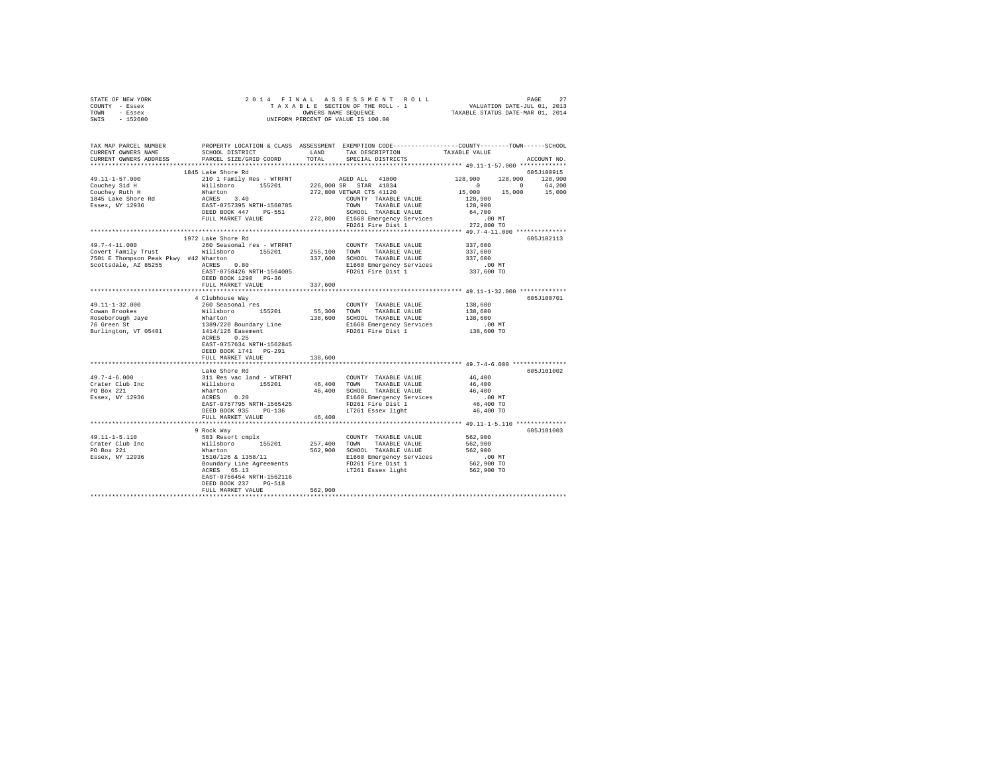| STATE OF NEW YORK                     |                                                                                                                                                                                                                                                                                                                                                                                                                                               |         |                                                                                                                                                                                                                                                                                                                                          |                                                                                                                                                                                                                                                                                                                                                                                                                     |
|---------------------------------------|-----------------------------------------------------------------------------------------------------------------------------------------------------------------------------------------------------------------------------------------------------------------------------------------------------------------------------------------------------------------------------------------------------------------------------------------------|---------|------------------------------------------------------------------------------------------------------------------------------------------------------------------------------------------------------------------------------------------------------------------------------------------------------------------------------------------|---------------------------------------------------------------------------------------------------------------------------------------------------------------------------------------------------------------------------------------------------------------------------------------------------------------------------------------------------------------------------------------------------------------------|
| COUNTY - Essex                        |                                                                                                                                                                                                                                                                                                                                                                                                                                               |         |                                                                                                                                                                                                                                                                                                                                          |                                                                                                                                                                                                                                                                                                                                                                                                                     |
| TOWN - Essex                          |                                                                                                                                                                                                                                                                                                                                                                                                                                               |         |                                                                                                                                                                                                                                                                                                                                          |                                                                                                                                                                                                                                                                                                                                                                                                                     |
| SWIS - 152600                         |                                                                                                                                                                                                                                                                                                                                                                                                                                               |         |                                                                                                                                                                                                                                                                                                                                          | $\begin{tabular}{ccccc} 2 & 0 & 1 & 4 & F & I & N & A & S & S & E & S & S & M & E & N & T & R & O & L & L & P \end{tabular} \begin{tabular}{ccccc} PAGE & SERT & ROL & L & ROL & SIST100 & OF & TBE & T0L & 0.1, & 2013 \\ T A & X & A & B & E & SECT100 & F THE ROL & - & 1 & VALUATION DATE–JUL & 0.1, & 2013 \\ OMHENR & SRECENT & VALUE & IS & 100.00 & TAXABLE STATUS DATE–MAR & 0.1, & 2014 \\ \end{tabular}$ |
|                                       |                                                                                                                                                                                                                                                                                                                                                                                                                                               |         |                                                                                                                                                                                                                                                                                                                                          |                                                                                                                                                                                                                                                                                                                                                                                                                     |
|                                       |                                                                                                                                                                                                                                                                                                                                                                                                                                               |         |                                                                                                                                                                                                                                                                                                                                          |                                                                                                                                                                                                                                                                                                                                                                                                                     |
|                                       |                                                                                                                                                                                                                                                                                                                                                                                                                                               |         |                                                                                                                                                                                                                                                                                                                                          | TAX MAP PARCEL NUMBER PROPERTY LOCATION & CLASS ASSESSMENT EXEMPTION CODE---------------COUNTY-------TOWN------SCHOOL                                                                                                                                                                                                                                                                                               |
| CURRENT OWNERS NAME                   |                                                                                                                                                                                                                                                                                                                                                                                                                                               |         | SCHOOL DISTRICT TAND TAX DESCRIPTION TAXABLE VALUE                                                                                                                                                                                                                                                                                       |                                                                                                                                                                                                                                                                                                                                                                                                                     |
|                                       |                                                                                                                                                                                                                                                                                                                                                                                                                                               |         |                                                                                                                                                                                                                                                                                                                                          |                                                                                                                                                                                                                                                                                                                                                                                                                     |
| CURRENT OWNERS ADDRESS                | PARCEL SIZE/GRID COORD                                                                                                                                                                                                                                                                                                                                                                                                                        | TOTAL   | SPECIAL DISTRICTS                                                                                                                                                                                                                                                                                                                        | ACCOUNT NO.                                                                                                                                                                                                                                                                                                                                                                                                         |
|                                       | 1845 Lake Shore Rd                                                                                                                                                                                                                                                                                                                                                                                                                            |         |                                                                                                                                                                                                                                                                                                                                          | 605J100915                                                                                                                                                                                                                                                                                                                                                                                                          |
| 49.11-1-57.000                        |                                                                                                                                                                                                                                                                                                                                                                                                                                               |         |                                                                                                                                                                                                                                                                                                                                          |                                                                                                                                                                                                                                                                                                                                                                                                                     |
|                                       |                                                                                                                                                                                                                                                                                                                                                                                                                                               |         |                                                                                                                                                                                                                                                                                                                                          |                                                                                                                                                                                                                                                                                                                                                                                                                     |
| Couchey Sid H<br>Couchey Ruth H       |                                                                                                                                                                                                                                                                                                                                                                                                                                               |         |                                                                                                                                                                                                                                                                                                                                          |                                                                                                                                                                                                                                                                                                                                                                                                                     |
|                                       |                                                                                                                                                                                                                                                                                                                                                                                                                                               |         |                                                                                                                                                                                                                                                                                                                                          |                                                                                                                                                                                                                                                                                                                                                                                                                     |
| 1845 Lake Shore Rd<br>Essex, NY 12936 |                                                                                                                                                                                                                                                                                                                                                                                                                                               |         |                                                                                                                                                                                                                                                                                                                                          |                                                                                                                                                                                                                                                                                                                                                                                                                     |
|                                       |                                                                                                                                                                                                                                                                                                                                                                                                                                               |         |                                                                                                                                                                                                                                                                                                                                          |                                                                                                                                                                                                                                                                                                                                                                                                                     |
|                                       |                                                                                                                                                                                                                                                                                                                                                                                                                                               |         |                                                                                                                                                                                                                                                                                                                                          |                                                                                                                                                                                                                                                                                                                                                                                                                     |
|                                       |                                                                                                                                                                                                                                                                                                                                                                                                                                               |         |                                                                                                                                                                                                                                                                                                                                          |                                                                                                                                                                                                                                                                                                                                                                                                                     |
|                                       |                                                                                                                                                                                                                                                                                                                                                                                                                                               |         |                                                                                                                                                                                                                                                                                                                                          |                                                                                                                                                                                                                                                                                                                                                                                                                     |
|                                       |                                                                                                                                                                                                                                                                                                                                                                                                                                               |         |                                                                                                                                                                                                                                                                                                                                          |                                                                                                                                                                                                                                                                                                                                                                                                                     |
| $49.7 - 4 - 11.000$                   | 1972 Lake Shore Rd                                                                                                                                                                                                                                                                                                                                                                                                                            |         |                                                                                                                                                                                                                                                                                                                                          | 605J102113                                                                                                                                                                                                                                                                                                                                                                                                          |
|                                       | 260 Seasonal res - WTRFNT                                                                                                                                                                                                                                                                                                                                                                                                                     |         | COUNTY TAXABLE VALUE 337,600                                                                                                                                                                                                                                                                                                             |                                                                                                                                                                                                                                                                                                                                                                                                                     |
|                                       | COVET Family Trust<br>The Willsboro 155201 255,100 TOWN TAXABLE VALUE<br>7501 E Thompson Peak Pkwy #42 Whatton 337,600 SCOttsdale, AZ 85255 2010<br>26560 Emergency Services<br>267-07584260 RATE-1564005<br>26660 Emergency Services<br>2                                                                                                                                                                                                    |         |                                                                                                                                                                                                                                                                                                                                          | 337,600                                                                                                                                                                                                                                                                                                                                                                                                             |
|                                       |                                                                                                                                                                                                                                                                                                                                                                                                                                               |         |                                                                                                                                                                                                                                                                                                                                          | 337,600                                                                                                                                                                                                                                                                                                                                                                                                             |
|                                       |                                                                                                                                                                                                                                                                                                                                                                                                                                               |         |                                                                                                                                                                                                                                                                                                                                          |                                                                                                                                                                                                                                                                                                                                                                                                                     |
|                                       |                                                                                                                                                                                                                                                                                                                                                                                                                                               |         |                                                                                                                                                                                                                                                                                                                                          | 00 MT.<br>337,600 TO                                                                                                                                                                                                                                                                                                                                                                                                |
|                                       | DEED BOOK 1290 PG-36                                                                                                                                                                                                                                                                                                                                                                                                                          |         |                                                                                                                                                                                                                                                                                                                                          |                                                                                                                                                                                                                                                                                                                                                                                                                     |
|                                       | FULL MARKET VALUE                                                                                                                                                                                                                                                                                                                                                                                                                             | 337,600 |                                                                                                                                                                                                                                                                                                                                          |                                                                                                                                                                                                                                                                                                                                                                                                                     |
|                                       |                                                                                                                                                                                                                                                                                                                                                                                                                                               |         |                                                                                                                                                                                                                                                                                                                                          |                                                                                                                                                                                                                                                                                                                                                                                                                     |
|                                       | 4 Clubhouse Way                                                                                                                                                                                                                                                                                                                                                                                                                               |         |                                                                                                                                                                                                                                                                                                                                          | 605J100701                                                                                                                                                                                                                                                                                                                                                                                                          |
|                                       | 260 Seasonal res                                                                                                                                                                                                                                                                                                                                                                                                                              |         | $\begin{tabular}{lllllll} \multicolumn{2}{c}{\textbf{COUNTY}} & \textbf{TAXABLE VALUE} & & & & 138,600 \\ \multicolumn{2}{c}{\textbf{COMY}} & \multicolumn{2}{c}{\textbf{TXABLE}} & \textbf{VALUE} & & 138,600 \\ \multicolumn{2}{c}{\textbf{COMY}} & \multicolumn{2}{c}{\textbf{TXARIR}} & \textbf{WALUE} & & 138,600 \\ \end{tabular}$ |                                                                                                                                                                                                                                                                                                                                                                                                                     |
|                                       |                                                                                                                                                                                                                                                                                                                                                                                                                                               |         |                                                                                                                                                                                                                                                                                                                                          |                                                                                                                                                                                                                                                                                                                                                                                                                     |
|                                       |                                                                                                                                                                                                                                                                                                                                                                                                                                               |         |                                                                                                                                                                                                                                                                                                                                          |                                                                                                                                                                                                                                                                                                                                                                                                                     |
|                                       |                                                                                                                                                                                                                                                                                                                                                                                                                                               |         |                                                                                                                                                                                                                                                                                                                                          |                                                                                                                                                                                                                                                                                                                                                                                                                     |
|                                       |                                                                                                                                                                                                                                                                                                                                                                                                                                               |         |                                                                                                                                                                                                                                                                                                                                          |                                                                                                                                                                                                                                                                                                                                                                                                                     |
|                                       |                                                                                                                                                                                                                                                                                                                                                                                                                                               |         |                                                                                                                                                                                                                                                                                                                                          |                                                                                                                                                                                                                                                                                                                                                                                                                     |
|                                       | EAST-0757634 NRTH-1562845                                                                                                                                                                                                                                                                                                                                                                                                                     |         |                                                                                                                                                                                                                                                                                                                                          |                                                                                                                                                                                                                                                                                                                                                                                                                     |
|                                       | DEED BOOK 1741    PG-291                                                                                                                                                                                                                                                                                                                                                                                                                      |         |                                                                                                                                                                                                                                                                                                                                          |                                                                                                                                                                                                                                                                                                                                                                                                                     |
|                                       | FULL MARKET VALUE                                                                                                                                                                                                                                                                                                                                                                                                                             | 138,600 |                                                                                                                                                                                                                                                                                                                                          |                                                                                                                                                                                                                                                                                                                                                                                                                     |
|                                       |                                                                                                                                                                                                                                                                                                                                                                                                                                               |         |                                                                                                                                                                                                                                                                                                                                          |                                                                                                                                                                                                                                                                                                                                                                                                                     |
|                                       | $\begin{tabular}{lcccc} 49.7-4-6.000 & \texttt{Lake Shore Rd} & \\ 49.7-4-6.000 & 311\texttt{Res vac land - WTRINT} & \texttt{COUNTY TAXABLE VALUE} \\ \texttt{Create Club Inc} & \texttt{WillBeov} & 155201 & 46,400 & \texttt{TOWM TAXABLE VALUE} \\ \texttt{PO Box 221} & \texttt{Whatton} & \texttt{ACRES} & 46,400 & \texttt{SCOM} & \texttt{TAXABLE VALUE} \\ \texttt{ESsex, NY 12936} & \texttt{ACRES} & 0.20 & \texttt{CUCA} & \text$ |         |                                                                                                                                                                                                                                                                                                                                          | 605J101002                                                                                                                                                                                                                                                                                                                                                                                                          |
|                                       |                                                                                                                                                                                                                                                                                                                                                                                                                                               |         |                                                                                                                                                                                                                                                                                                                                          | 46,400                                                                                                                                                                                                                                                                                                                                                                                                              |
|                                       |                                                                                                                                                                                                                                                                                                                                                                                                                                               |         |                                                                                                                                                                                                                                                                                                                                          | 46,400                                                                                                                                                                                                                                                                                                                                                                                                              |
|                                       |                                                                                                                                                                                                                                                                                                                                                                                                                                               |         |                                                                                                                                                                                                                                                                                                                                          | 46,400                                                                                                                                                                                                                                                                                                                                                                                                              |
|                                       |                                                                                                                                                                                                                                                                                                                                                                                                                                               |         |                                                                                                                                                                                                                                                                                                                                          | .00 MT                                                                                                                                                                                                                                                                                                                                                                                                              |
|                                       |                                                                                                                                                                                                                                                                                                                                                                                                                                               |         |                                                                                                                                                                                                                                                                                                                                          | 46,400 TO                                                                                                                                                                                                                                                                                                                                                                                                           |
|                                       |                                                                                                                                                                                                                                                                                                                                                                                                                                               |         |                                                                                                                                                                                                                                                                                                                                          | 46,400 TO                                                                                                                                                                                                                                                                                                                                                                                                           |
|                                       | FULL MARKET VALUE                                                                                                                                                                                                                                                                                                                                                                                                                             | 46,400  |                                                                                                                                                                                                                                                                                                                                          |                                                                                                                                                                                                                                                                                                                                                                                                                     |
|                                       |                                                                                                                                                                                                                                                                                                                                                                                                                                               |         |                                                                                                                                                                                                                                                                                                                                          |                                                                                                                                                                                                                                                                                                                                                                                                                     |
|                                       | 9 Rock Way                                                                                                                                                                                                                                                                                                                                                                                                                                    |         |                                                                                                                                                                                                                                                                                                                                          | 605J101003                                                                                                                                                                                                                                                                                                                                                                                                          |
|                                       |                                                                                                                                                                                                                                                                                                                                                                                                                                               |         |                                                                                                                                                                                                                                                                                                                                          |                                                                                                                                                                                                                                                                                                                                                                                                                     |
|                                       |                                                                                                                                                                                                                                                                                                                                                                                                                                               |         |                                                                                                                                                                                                                                                                                                                                          |                                                                                                                                                                                                                                                                                                                                                                                                                     |
|                                       |                                                                                                                                                                                                                                                                                                                                                                                                                                               |         |                                                                                                                                                                                                                                                                                                                                          |                                                                                                                                                                                                                                                                                                                                                                                                                     |
|                                       |                                                                                                                                                                                                                                                                                                                                                                                                                                               |         |                                                                                                                                                                                                                                                                                                                                          |                                                                                                                                                                                                                                                                                                                                                                                                                     |
|                                       |                                                                                                                                                                                                                                                                                                                                                                                                                                               |         |                                                                                                                                                                                                                                                                                                                                          |                                                                                                                                                                                                                                                                                                                                                                                                                     |
|                                       |                                                                                                                                                                                                                                                                                                                                                                                                                                               |         |                                                                                                                                                                                                                                                                                                                                          |                                                                                                                                                                                                                                                                                                                                                                                                                     |
|                                       |                                                                                                                                                                                                                                                                                                                                                                                                                                               |         |                                                                                                                                                                                                                                                                                                                                          |                                                                                                                                                                                                                                                                                                                                                                                                                     |
|                                       | EAST-0756454 NRTH-1562116                                                                                                                                                                                                                                                                                                                                                                                                                     |         |                                                                                                                                                                                                                                                                                                                                          |                                                                                                                                                                                                                                                                                                                                                                                                                     |
|                                       | DEED BOOK 237 PG-518                                                                                                                                                                                                                                                                                                                                                                                                                          |         |                                                                                                                                                                                                                                                                                                                                          |                                                                                                                                                                                                                                                                                                                                                                                                                     |
|                                       | FULL MARKET VALUE                                                                                                                                                                                                                                                                                                                                                                                                                             | 562,900 |                                                                                                                                                                                                                                                                                                                                          |                                                                                                                                                                                                                                                                                                                                                                                                                     |
|                                       |                                                                                                                                                                                                                                                                                                                                                                                                                                               |         |                                                                                                                                                                                                                                                                                                                                          |                                                                                                                                                                                                                                                                                                                                                                                                                     |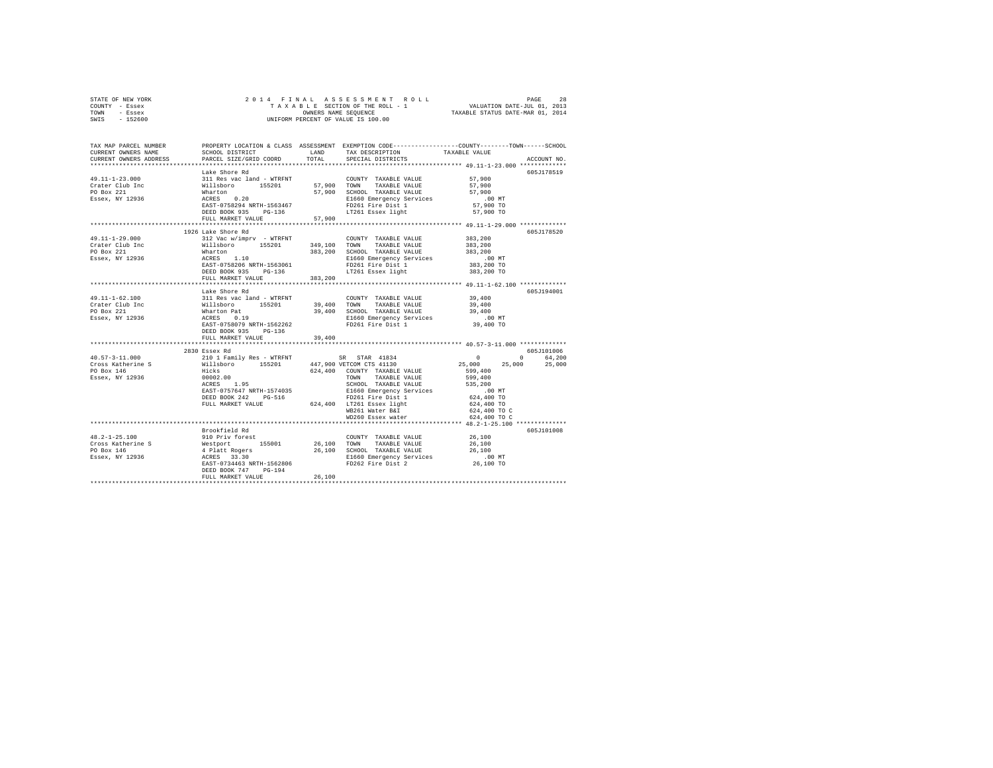| STATE OF NEW YORK | 2014 FINAL ASSESSMENT ROLL         | 28<br>PAGE                       |
|-------------------|------------------------------------|----------------------------------|
| - Essex<br>COUNTY | TAXABLE SECTION OF THE ROLL - 1    | VALUATION DATE-JUL 01, 2013      |
| TOWN<br>- Essex   | OWNERS NAME SEOUENCE               | TAXABLE STATUS DATE-MAR 01, 2014 |
| $-152600$<br>SWIS | UNIFORM PERCENT OF VALUE IS 100.00 |                                  |
|                   |                                    |                                  |

| TAX MAP PARCEL NUMBER<br>CURRENT OWNERS NAME<br>CURRENT OWNERS ADDRESS                                                                                                                                                                                                                                                                                                                                                                                                                                   | SCHOOL DISTRICT LAND<br>PARCEL SIZE/GRID COORD TOTAL                                  |         | TAX DESCRIPTION<br>SPECIAL DISTRICTS                                                                                                                                                                                                                                                                                                                                              | PROPERTY LOCATION & CLASS ASSESSMENT EXEMPTION CODE----------------COUNTY-------TOWN-----SCHOOL<br>TAXABLE VALUE<br>ACCOUNT NO.       |
|----------------------------------------------------------------------------------------------------------------------------------------------------------------------------------------------------------------------------------------------------------------------------------------------------------------------------------------------------------------------------------------------------------------------------------------------------------------------------------------------------------|---------------------------------------------------------------------------------------|---------|-----------------------------------------------------------------------------------------------------------------------------------------------------------------------------------------------------------------------------------------------------------------------------------------------------------------------------------------------------------------------------------|---------------------------------------------------------------------------------------------------------------------------------------|
| 49.11-1-23.000<br>Crater Club Inc<br>PO Box 221<br>Essex, NY 12936                                                                                                                                                                                                                                                                                                                                                                                                                                       | Lake Shore Rd                                                                         |         | ARE SIDER FOR A COUNTY TAXABLE VALUE 57,900<br>2011 Res vac land - WTRFNT 57,900 TOWN TAXABLE VALUE 57,900<br>2011 What to 155201 57,900 TOWN TAXABLE VALUE 57,900<br>2012 What to 155201 57,900 SCHOOL TAXABLE VALUE 57,900<br>2012 R<br>97,900 TOWN TAARDLE VALUE 57,900<br>57,900 SCHOOL TAXABLE VALUE 57,900<br>E1660 Emergency Services 00 MT<br>FD261 Fire Dist 1 57,900 TO | 605J178519<br>57,900 TO                                                                                                               |
|                                                                                                                                                                                                                                                                                                                                                                                                                                                                                                          | FULL MARKET VALUE 57,900                                                              |         |                                                                                                                                                                                                                                                                                                                                                                                   |                                                                                                                                       |
| 49.11-1-29.000<br>Crater Club Inc                                                                                                                                                                                                                                                                                                                                                                                                                                                                        | 1926 Lake Shore Rd<br>312 Vac w/imprv - WTRFNT                                        |         | COUNTY TAXABLE VALUE<br>383, 200 SCHOOL TAXABLE VALUE 383, 200                                                                                                                                                                                                                                                                                                                    | 605J178520<br>383,200<br>383,200                                                                                                      |
| Essex, NY 12936                                                                                                                                                                                                                                                                                                                                                                                                                                                                                          | FULL MARKET VALUE                                                                     | 383,200 | E1660 Emergency Services<br>FD261 Fire Dist 1<br>LT261 Essex light                                                                                                                                                                                                                                                                                                                | 00 MT.<br>383,200 TO<br>383,200 TO                                                                                                    |
|                                                                                                                                                                                                                                                                                                                                                                                                                                                                                                          | Lake Shore Rd                                                                         |         |                                                                                                                                                                                                                                                                                                                                                                                   | 605J194001                                                                                                                            |
| 49.11-1-62.100<br>Crater Club Inc<br>PO Box 221<br>Essex, NY 12936                                                                                                                                                                                                                                                                                                                                                                                                                                       | DEED BOOK 935 PG-136                                                                  |         |                                                                                                                                                                                                                                                                                                                                                                                   |                                                                                                                                       |
|                                                                                                                                                                                                                                                                                                                                                                                                                                                                                                          | FULL MARKET VALUE                                                                     | 39,400  |                                                                                                                                                                                                                                                                                                                                                                                   |                                                                                                                                       |
| $\texttt{40.57--3--11.000} \begin{minipage}{0.5\textwidth} \begin{minipage}{0.5\textwidth} \begin{minipage}{0.5\textwidth} \begin{minipage}{0.5\textwidth} \begin{minipage}{0.5\textwidth} \begin{minipage}{0.5\textwidth} \begin{minipage}{0.5\textwidth} \begin{minipage}{0.5\textwidth} \begin{minipage}{0.5\textwidth} \begin{minipage}{0.5\textwidth} \begin{minipage}{0.5\textwidth} \begin{minipage}{0.5\textwidth} \begin{minipage}{0.5\textwidth} \begin{minipage}{0.5\textwidth} \begin{minip$ | 2830 Essex Rd<br>EAST-0757647 NRTH-1574035                                            |         | TOWN TAARLEL<br>SCHOOL TAXABLE VALUE 535,200<br>E1660 Emergency Services .00 MT<br>C24,400 TO  Tisk 1 624,400 TO<br>DEED BOOK 242 PG-516 PD261 Fire Dist 1<br>FULL MARKET VALUE 624,400 LT261 Essex light<br>WB261 Water B&I<br>WD260 Essex water                                                                                                                                 | 605J101006<br>$\sim$ 0.000 $\sim$<br>0 64,200<br>$25,000$ $25,000$<br>25,000<br>599,400<br>624,400 TO<br>624,400 TO C<br>624,400 TO C |
|                                                                                                                                                                                                                                                                                                                                                                                                                                                                                                          |                                                                                       |         |                                                                                                                                                                                                                                                                                                                                                                                   |                                                                                                                                       |
| $48.2 - 1 - 25.100$<br>Cross Katherine S<br>Cross Katherine S<br>26,100<br>PO Box 146<br>26,100<br>PO Box 146<br>26,100<br>ESSER, NY 12936<br>26,100<br>ESSER, NY 12936<br>26,100<br>ESSER, NY 12936<br>26,100<br>ESSER, NY 12936<br>26,100<br>ESSER, NY 12936<br>26,100<br>ESSER 23.30<br>***********************************                                                                                                                                                                           | Brookfield Rd<br>DEED BOOK 747 PG-194<br>FULL MARKET VALUE<br>*********************** | 26,100  | 910 Priv forest COUNTY TAXABLE VALUE 26,100                                                                                                                                                                                                                                                                                                                                       | 605J101008                                                                                                                            |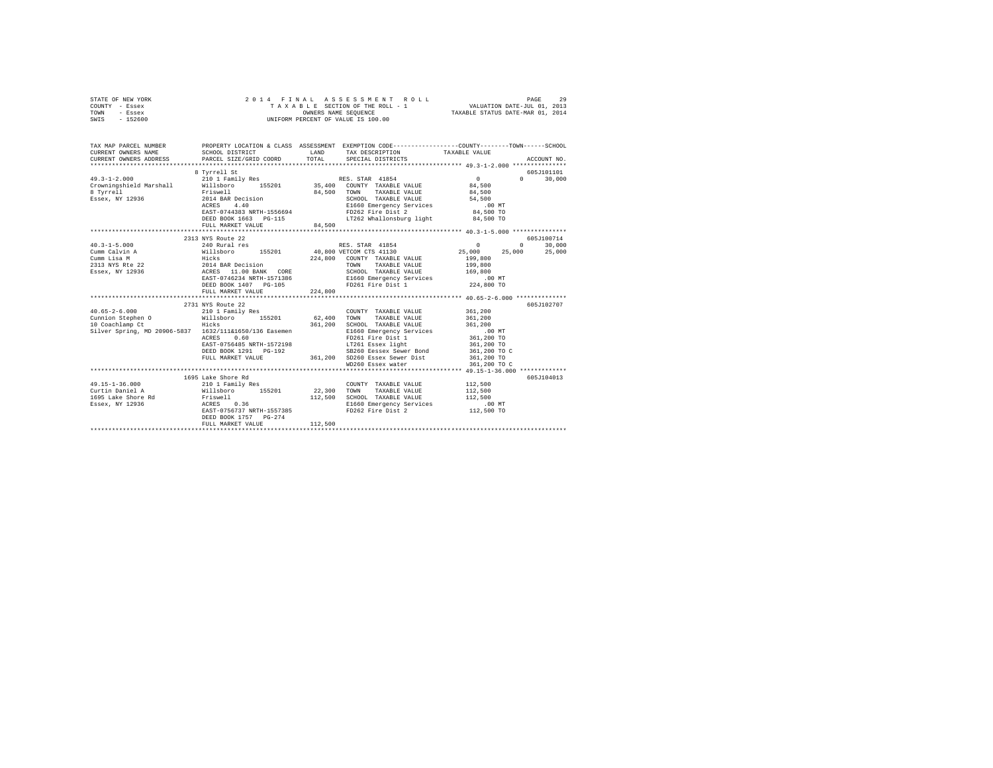| STATE OF NEW YORK | 2014 FINAL ASSESSMENT ROLL         | 29<br>PAGE                       |
|-------------------|------------------------------------|----------------------------------|
| - Essex<br>COUNTY | TAXABLE SECTION OF THE ROLL - 1    | VALUATION DATE-JUL 01, 2013      |
| TOWN<br>- Essex   | OWNERS NAME SEOUENCE               | TAXABLE STATUS DATE-MAR 01, 2014 |
| $-152600$<br>SWIS | UNIFORM PERCENT OF VALUE IS 100.00 |                                  |

| TAX MAP PARCEL NUMBER                                                                                                                                                                                                                                                                                                                                                                                                    | PROPERTY LOCATION & CLASS ASSESSMENT EXEMPTION CODE----------------COUNTY-------TOWN-----SCHOOL                                                        |             |                                                                                                                                                                |                    |                                      |
|--------------------------------------------------------------------------------------------------------------------------------------------------------------------------------------------------------------------------------------------------------------------------------------------------------------------------------------------------------------------------------------------------------------------------|--------------------------------------------------------------------------------------------------------------------------------------------------------|-------------|----------------------------------------------------------------------------------------------------------------------------------------------------------------|--------------------|--------------------------------------|
| $\begin{array}{cccc} 49.3\text{--}1\text{--}2.000 & 210\text{ I Family Res} & \text{RES. STR} & 41854 & 0 \\ \text{Crowningshield Marshall} & \text{Willsboro} & 155201 & 35,400 & \text{COUNT TAXABLE VALUE} & 84,500 \\ \end{array}$<br>8 Tyrrell<br>Essex, NY 12936                                                                                                                                                   | 8 Tyrrell St<br>Friswell 84,<br>2014 BAR Decision 2014<br>ACRES 4.40<br>EAST-0744383 NRTH-1556694<br>DEED BOOK 1663 PG-115<br>FULL MARKET VALUE 84,500 | 84,500 TOWN | TAXABLE VALUE 84,500<br>SCHOOL TAXABLE VALUE 54,500<br>E1660 Emergency Services 64,500 MT<br>FD262 Fire Dist 2 84,500 TO<br>LT262 Whallonsburg light 84,500 TO | $\sim$ 0           | 605J101101<br>$\mathbf{a}$<br>30,000 |
|                                                                                                                                                                                                                                                                                                                                                                                                                          |                                                                                                                                                        |             |                                                                                                                                                                |                    |                                      |
|                                                                                                                                                                                                                                                                                                                                                                                                                          | 2313 NYS Route 22                                                                                                                                      |             |                                                                                                                                                                |                    | 605J100714                           |
| $40.3 - 1 - 5.000$                                                                                                                                                                                                                                                                                                                                                                                                       | $240$ RULLE 22<br>240 Rural res RES. STAR 41854                                                                                                        |             |                                                                                                                                                                |                    | 30,000<br>$\Omega$                   |
|                                                                                                                                                                                                                                                                                                                                                                                                                          |                                                                                                                                                        |             |                                                                                                                                                                |                    |                                      |
|                                                                                                                                                                                                                                                                                                                                                                                                                          |                                                                                                                                                        |             |                                                                                                                                                                |                    |                                      |
|                                                                                                                                                                                                                                                                                                                                                                                                                          |                                                                                                                                                        |             |                                                                                                                                                                |                    |                                      |
|                                                                                                                                                                                                                                                                                                                                                                                                                          |                                                                                                                                                        |             | SCHOOL TAXABLE VALUE 169,800                                                                                                                                   |                    |                                      |
|                                                                                                                                                                                                                                                                                                                                                                                                                          |                                                                                                                                                        |             |                                                                                                                                                                |                    |                                      |
|                                                                                                                                                                                                                                                                                                                                                                                                                          |                                                                                                                                                        |             |                                                                                                                                                                |                    |                                      |
|                                                                                                                                                                                                                                                                                                                                                                                                                          | FULL MARKET VALUE                                                                                                                                      | 224,800     |                                                                                                                                                                |                    |                                      |
|                                                                                                                                                                                                                                                                                                                                                                                                                          |                                                                                                                                                        |             |                                                                                                                                                                |                    |                                      |
|                                                                                                                                                                                                                                                                                                                                                                                                                          | 2731 NYS Route 22                                                                                                                                      |             |                                                                                                                                                                |                    | 605J102707                           |
|                                                                                                                                                                                                                                                                                                                                                                                                                          |                                                                                                                                                        |             | COUNTY TAXABLE VALUE 361.200                                                                                                                                   |                    |                                      |
| $\begin{tabular}{lllllllllll} \multicolumn{4}{c l} \textbf{40.65-2-6.000} & \multicolumn{4}{c l} \textbf{210 1 Family Res} \\ \textbf{Cunnion Stephen O} & \multicolumn{4}{c l} \textbf{311} & \multicolumn{4}{c l} \textbf{321} & \multicolumn{4}{c l} \textbf{400} \\ \multicolumn{4}{c l} \textbf{131} & \multicolumn{4}{c l} \textbf{5201} & \multicolumn{4}{c l} \textbf{53201} & \multicolumn{4}{c l} \textbf{540$ |                                                                                                                                                        |             | TAXABLE VALUE 361,200<br>TOWN                                                                                                                                  |                    |                                      |
| 10 Coachlamp Ct                                                                                                                                                                                                                                                                                                                                                                                                          | Hicks                                                                                                                                                  | 361,200     | SCHOOL TAXABLE VALUE 361,200<br>E1660 Emergency Services 00 MT<br>FD261 Fire Dist 1 361,200 TO                                                                 |                    |                                      |
| Silver Spring, MD 20906-5837  1632/111&1650/136 Easemen                                                                                                                                                                                                                                                                                                                                                                  |                                                                                                                                                        |             |                                                                                                                                                                |                    |                                      |
|                                                                                                                                                                                                                                                                                                                                                                                                                          | 0.60<br>ACRES                                                                                                                                          |             |                                                                                                                                                                |                    |                                      |
|                                                                                                                                                                                                                                                                                                                                                                                                                          |                                                                                                                                                        |             |                                                                                                                                                                |                    |                                      |
|                                                                                                                                                                                                                                                                                                                                                                                                                          |                                                                                                                                                        |             |                                                                                                                                                                |                    |                                      |
|                                                                                                                                                                                                                                                                                                                                                                                                                          |                                                                                                                                                        |             |                                                                                                                                                                |                    |                                      |
|                                                                                                                                                                                                                                                                                                                                                                                                                          |                                                                                                                                                        |             |                                                                                                                                                                |                    |                                      |
|                                                                                                                                                                                                                                                                                                                                                                                                                          |                                                                                                                                                        |             |                                                                                                                                                                |                    | 605J104013                           |
|                                                                                                                                                                                                                                                                                                                                                                                                                          | 1695 Lake Shore Rd                                                                                                                                     |             | COUNTY TAXABLE VALUE                                                                                                                                           |                    |                                      |
|                                                                                                                                                                                                                                                                                                                                                                                                                          |                                                                                                                                                        |             |                                                                                                                                                                | 112,500<br>112,500 |                                      |
|                                                                                                                                                                                                                                                                                                                                                                                                                          |                                                                                                                                                        |             | 112,500 SCHOOL TAXABLE VALUE 112,500                                                                                                                           |                    |                                      |
|                                                                                                                                                                                                                                                                                                                                                                                                                          |                                                                                                                                                        |             |                                                                                                                                                                |                    |                                      |
|                                                                                                                                                                                                                                                                                                                                                                                                                          | ACRES 0.36<br>EAST-0756737 NRTH-1557385                                                                                                                |             | E1660 Emergency Services .00 MT<br>FD262 Fire Dist 2 .00 TO<br>FD262 Fire Dist 2                                                                               |                    |                                      |
|                                                                                                                                                                                                                                                                                                                                                                                                                          | DEED BOOK 1757 PG-274                                                                                                                                  |             |                                                                                                                                                                |                    |                                      |
|                                                                                                                                                                                                                                                                                                                                                                                                                          | FULL MARKET VALUE                                                                                                                                      | 112,500     |                                                                                                                                                                |                    |                                      |
|                                                                                                                                                                                                                                                                                                                                                                                                                          |                                                                                                                                                        |             |                                                                                                                                                                |                    |                                      |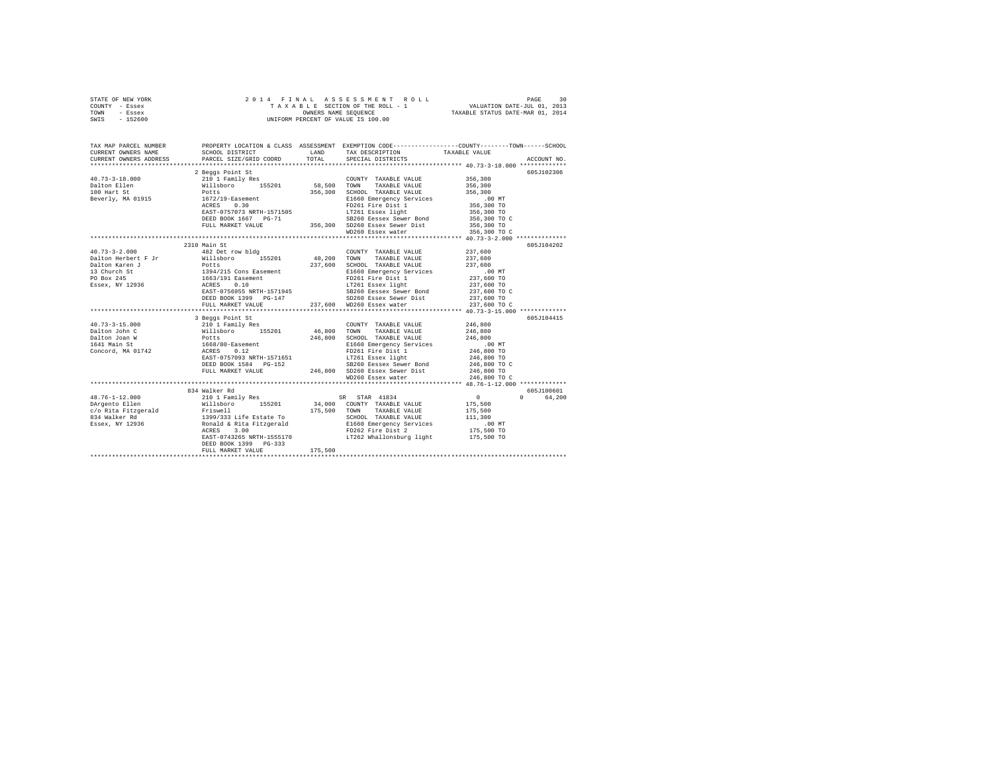|      | STATE OF NEW YORK |  |  | 2014 FINAL ASSESSMENT ROLL         |                                  | PAGE | 30 |
|------|-------------------|--|--|------------------------------------|----------------------------------|------|----|
|      | COUNTY - Essex    |  |  | TAXABLE SECTION OF THE ROLL - 1    | VALUATION DATE-JUL 01, 2013      |      |    |
| TOWN | - Essex           |  |  | OWNERS NAME SEOUENCE               | TAXABLE STATUS DATE-MAR 01, 2014 |      |    |
| SWIS | - 152600          |  |  | UNIFORM PERCENT OF VALUE IS 100.00 |                                  |      |    |

| TAX MAP PARCEL NUMBER<br>CURRENT OWNERS NAME<br>CURRENT OWNERS ADDRESS                                                                                                                                                                                    | PROPERTY LOCATION & CLASS ASSESSMENT EXEMPTION CODE---------------COUNTY-------TOWN------SCHOOL<br>SCHOOL DISTRICT<br>PARCEL SIZE/GRID COORD                                                                                  | LAND<br>TOTAL | TAX DESCRIPTION<br>SPECIAL DISTRICTS                                                                                                                                                                                                                                                                 | TAXABLE VALUE                                 | ACCOUNT NO.        |
|-----------------------------------------------------------------------------------------------------------------------------------------------------------------------------------------------------------------------------------------------------------|-------------------------------------------------------------------------------------------------------------------------------------------------------------------------------------------------------------------------------|---------------|------------------------------------------------------------------------------------------------------------------------------------------------------------------------------------------------------------------------------------------------------------------------------------------------------|-----------------------------------------------|--------------------|
|                                                                                                                                                                                                                                                           |                                                                                                                                                                                                                               |               |                                                                                                                                                                                                                                                                                                      |                                               |                    |
|                                                                                                                                                                                                                                                           | 2 Beggs Point St                                                                                                                                                                                                              |               |                                                                                                                                                                                                                                                                                                      |                                               | 605J102306         |
| 40.73-3-18.000                                                                                                                                                                                                                                            |                                                                                                                                                                                                                               |               | $\begin{tabular}{lllllllll} \multicolumn{2}{c}{\textbf{COUNTY}} & \textbf{TXABLE VALUE} & & & 356,300 \\ \multicolumn{2}{c}{\textbf{TOWN}} & \textbf{TXABLE VALUE} & & 356,300 \\ \end{tabular}$                                                                                                     |                                               |                    |
| Dalton Ellen                                                                                                                                                                                                                                              |                                                                                                                                                                                                                               |               |                                                                                                                                                                                                                                                                                                      |                                               |                    |
| 100 Hart St                                                                                                                                                                                                                                               |                                                                                                                                                                                                                               |               | 356,300 SCHOOL TAXABLE VALUE                                                                                                                                                                                                                                                                         | 356,300<br>.00 MT<br>356,300 TO<br>356,300 TO |                    |
| Beverly, MA 01915                                                                                                                                                                                                                                         |                                                                                                                                                                                                                               |               |                                                                                                                                                                                                                                                                                                      |                                               |                    |
|                                                                                                                                                                                                                                                           | ACRES 0.30                                                                                                                                                                                                                    |               | E1660 Emergency Services<br>FD261 Fire Dist 1<br>LT261 Essex light<br>Service Derive Band                                                                                                                                                                                                            |                                               |                    |
|                                                                                                                                                                                                                                                           | EAST-0757073 NRTH-1571505                                                                                                                                                                                                     |               |                                                                                                                                                                                                                                                                                                      |                                               |                    |
|                                                                                                                                                                                                                                                           |                                                                                                                                                                                                                               |               |                                                                                                                                                                                                                                                                                                      |                                               |                    |
|                                                                                                                                                                                                                                                           | DEED BOOK 1667 PG-71 58260 Eessex Sewer Bond 356,300 TO C FULL MARKET VALUE 356,300 TO C SECAL BOOK 1650 PG 356,300 TO C SECAL AREA SECAL SECAL SECAL SECAL SECAL SECAL SECAL SECAL SECAL SECAL SECAL SECAL SECAL SECAL SECAL |               |                                                                                                                                                                                                                                                                                                      |                                               |                    |
|                                                                                                                                                                                                                                                           |                                                                                                                                                                                                                               |               |                                                                                                                                                                                                                                                                                                      |                                               |                    |
|                                                                                                                                                                                                                                                           | 2310 Main St                                                                                                                                                                                                                  |               |                                                                                                                                                                                                                                                                                                      |                                               | 605J104202         |
|                                                                                                                                                                                                                                                           |                                                                                                                                                                                                                               |               | COUNTY TAXABLE VALUE                                                                                                                                                                                                                                                                                 |                                               |                    |
|                                                                                                                                                                                                                                                           |                                                                                                                                                                                                                               |               |                                                                                                                                                                                                                                                                                                      | 237,600<br>237,600                            |                    |
|                                                                                                                                                                                                                                                           |                                                                                                                                                                                                                               |               |                                                                                                                                                                                                                                                                                                      |                                               |                    |
|                                                                                                                                                                                                                                                           |                                                                                                                                                                                                                               |               |                                                                                                                                                                                                                                                                                                      |                                               |                    |
|                                                                                                                                                                                                                                                           |                                                                                                                                                                                                                               |               |                                                                                                                                                                                                                                                                                                      |                                               |                    |
|                                                                                                                                                                                                                                                           |                                                                                                                                                                                                                               |               |                                                                                                                                                                                                                                                                                                      |                                               |                    |
|                                                                                                                                                                                                                                                           |                                                                                                                                                                                                                               |               |                                                                                                                                                                                                                                                                                                      |                                               |                    |
|                                                                                                                                                                                                                                                           |                                                                                                                                                                                                                               |               |                                                                                                                                                                                                                                                                                                      |                                               |                    |
|                                                                                                                                                                                                                                                           |                                                                                                                                                                                                                               |               |                                                                                                                                                                                                                                                                                                      |                                               |                    |
| .0.73-3-2.000<br>2010 Mills<br>2010 March 7 Fotts Potts<br>21660 Emeryon.<br>21660 Emeryon.<br>237,600 TO<br>237,600 TO<br>237,600 TO<br>237,600 TO<br>23860 Essex Sewer Bond<br>237,600 TO<br>237,600 TO<br>23860 Essex Sewer Bond<br>237,600 TO<br>237, |                                                                                                                                                                                                                               |               |                                                                                                                                                                                                                                                                                                      |                                               |                    |
|                                                                                                                                                                                                                                                           |                                                                                                                                                                                                                               |               |                                                                                                                                                                                                                                                                                                      |                                               | 605J104415         |
|                                                                                                                                                                                                                                                           |                                                                                                                                                                                                                               |               |                                                                                                                                                                                                                                                                                                      | 246,800<br>246,800                            |                    |
|                                                                                                                                                                                                                                                           |                                                                                                                                                                                                                               |               |                                                                                                                                                                                                                                                                                                      |                                               |                    |
|                                                                                                                                                                                                                                                           |                                                                                                                                                                                                                               |               | $\begin{tabular}{l l l l}155201 & 46,800 & T0WN & 1AABDis & 1A-1.111 \\ & & 246,800 & SCHOOL & TAXABLS & VALUE & 246,800 \\ & & 246,800 & SCHOOL & TAXABLS & VALUE & 246,800 \\ & & 246,800 & T256 & T45 & T45 & 246,800 \\ & & 246,800 & T0 & 1.1261 & Eosex light & 246,800 & T0 \\ \end{tabular}$ |                                               |                    |
|                                                                                                                                                                                                                                                           |                                                                                                                                                                                                                               |               |                                                                                                                                                                                                                                                                                                      |                                               |                    |
|                                                                                                                                                                                                                                                           |                                                                                                                                                                                                                               |               |                                                                                                                                                                                                                                                                                                      |                                               |                    |
|                                                                                                                                                                                                                                                           |                                                                                                                                                                                                                               |               |                                                                                                                                                                                                                                                                                                      |                                               |                    |
|                                                                                                                                                                                                                                                           |                                                                                                                                                                                                                               |               |                                                                                                                                                                                                                                                                                                      |                                               |                    |
|                                                                                                                                                                                                                                                           |                                                                                                                                                                                                                               |               |                                                                                                                                                                                                                                                                                                      |                                               |                    |
|                                                                                                                                                                                                                                                           |                                                                                                                                                                                                                               |               |                                                                                                                                                                                                                                                                                                      |                                               |                    |
|                                                                                                                                                                                                                                                           | 834 Walker Rd                                                                                                                                                                                                                 |               |                                                                                                                                                                                                                                                                                                      |                                               | 605J100601         |
| 48.76-1-12.000                                                                                                                                                                                                                                            |                                                                                                                                                                                                                               |               |                                                                                                                                                                                                                                                                                                      | $\sim$ 0                                      | $\Omega$<br>64,200 |
| DArgento Ellen                                                                                                                                                                                                                                            |                                                                                                                                                                                                                               |               |                                                                                                                                                                                                                                                                                                      | 175,500                                       |                    |
|                                                                                                                                                                                                                                                           |                                                                                                                                                                                                                               |               |                                                                                                                                                                                                                                                                                                      |                                               |                    |
|                                                                                                                                                                                                                                                           |                                                                                                                                                                                                                               |               |                                                                                                                                                                                                                                                                                                      |                                               |                    |
|                                                                                                                                                                                                                                                           |                                                                                                                                                                                                                               |               |                                                                                                                                                                                                                                                                                                      |                                               |                    |
|                                                                                                                                                                                                                                                           |                                                                                                                                                                                                                               |               |                                                                                                                                                                                                                                                                                                      |                                               |                    |
|                                                                                                                                                                                                                                                           | EAST-0743265 NRTH-1555170 LT262 Whallonsburg light 175,500 TO                                                                                                                                                                 |               |                                                                                                                                                                                                                                                                                                      |                                               |                    |
|                                                                                                                                                                                                                                                           | DEED BOOK 1399 PG-333                                                                                                                                                                                                         | 175,500       |                                                                                                                                                                                                                                                                                                      |                                               |                    |
|                                                                                                                                                                                                                                                           | FULL MARKET VALUE                                                                                                                                                                                                             |               |                                                                                                                                                                                                                                                                                                      |                                               |                    |
|                                                                                                                                                                                                                                                           |                                                                                                                                                                                                                               |               |                                                                                                                                                                                                                                                                                                      |                                               |                    |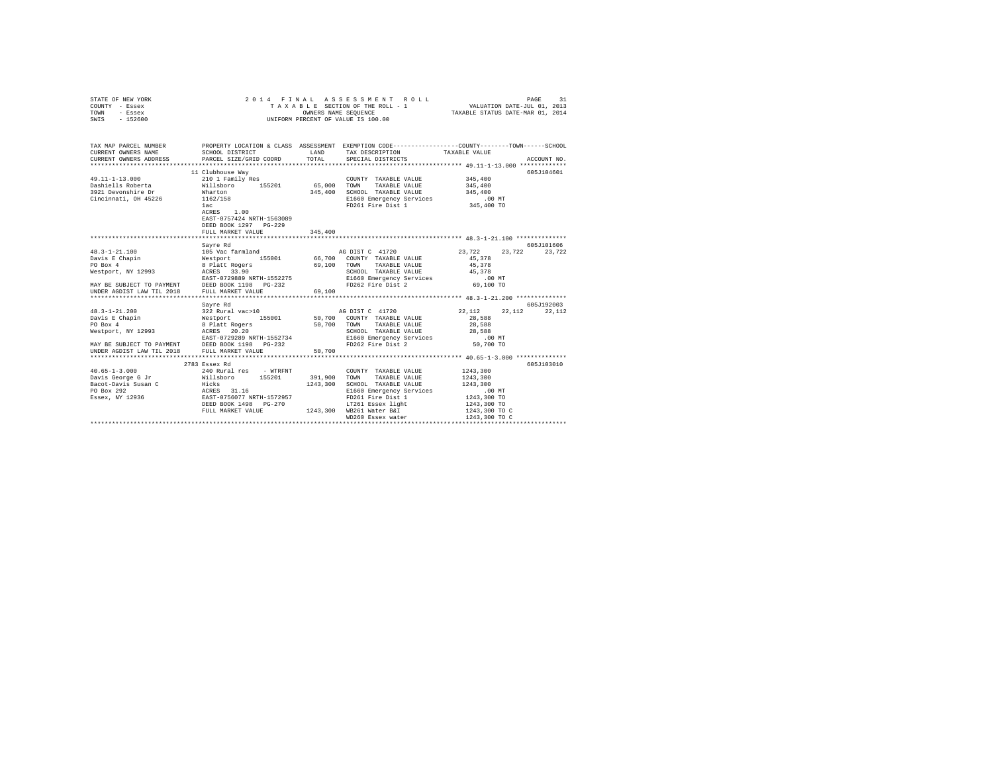| STATE OF NEW YORK<br>COUNTY - Essex<br>TOWN<br>- Essex<br>$-152600$<br>SWIS                                                                                                                                                                            | 2014 FINAL                                                                                                                                                            | OWNERS NAME SEQUENCE | ASSESSMENT ROLL<br>TAXABLE SECTION OF THE ROLL - 1<br>UNIFORM PERCENT OF VALUE IS 100.00 | VALUATION DATE-JUL 01, 2013<br>TAXABLE STATUS DATE-MAR 01, 2014 | 31<br>PAGE  |
|--------------------------------------------------------------------------------------------------------------------------------------------------------------------------------------------------------------------------------------------------------|-----------------------------------------------------------------------------------------------------------------------------------------------------------------------|----------------------|------------------------------------------------------------------------------------------|-----------------------------------------------------------------|-------------|
| TAX MAP PARCEL NUMBER                                                                                                                                                                                                                                  | PROPERTY LOCATION & CLASS ASSESSMENT EXEMPTION CODE---------------COUNTY-------TOWN------SCHOOL                                                                       |                      |                                                                                          |                                                                 |             |
| CURRENT OWNERS NAME                                                                                                                                                                                                                                    | SCHOOL DISTRICT                                                                                                                                                       | LAND                 | TAX DESCRIPTION                                                                          | TAXABLE VALUE                                                   |             |
| CURRENT OWNERS ADDRESS                                                                                                                                                                                                                                 | PARCEL SIZE/GRID COORD                                                                                                                                                | TOTAL                | SPECIAL DISTRICTS                                                                        |                                                                 | ACCOUNT NO. |
|                                                                                                                                                                                                                                                        |                                                                                                                                                                       |                      |                                                                                          |                                                                 |             |
|                                                                                                                                                                                                                                                        | 11 Clubhouse Way                                                                                                                                                      |                      |                                                                                          |                                                                 | 605J104601  |
| 49.11-1-13.000                                                                                                                                                                                                                                         | 210 1 Family Res                                                                                                                                                      |                      | COUNTY TAXABLE VALUE                                                                     | 345,400                                                         |             |
| Dashiells Roberta<br>3921 Devonshire Dr                                                                                                                                                                                                                | Willsboro 155201                                                                                                                                                      | 65,000               | TAXABLE VALUE<br>TOWN                                                                    | 345,400                                                         |             |
|                                                                                                                                                                                                                                                        | Wharton                                                                                                                                                               | 345,400              | SCHOOL TAXABLE VALUE                                                                     | 345,400                                                         |             |
| Cincinnati, OH 45226                                                                                                                                                                                                                                   | 1162/158                                                                                                                                                              |                      | E1660 Emergency Services                                                                 | $.00$ MT                                                        |             |
|                                                                                                                                                                                                                                                        | 1ac                                                                                                                                                                   |                      | FD261 Fire Dist 1                                                                        | 345,400 TO                                                      |             |
|                                                                                                                                                                                                                                                        | ACRES 1.00                                                                                                                                                            |                      |                                                                                          |                                                                 |             |
|                                                                                                                                                                                                                                                        | EAST-0757424 NRTH-1563089                                                                                                                                             |                      |                                                                                          |                                                                 |             |
|                                                                                                                                                                                                                                                        | DEED BOOK 1297 PG-229                                                                                                                                                 |                      |                                                                                          |                                                                 |             |
|                                                                                                                                                                                                                                                        | FULL MARKET VALUE                                                                                                                                                     | 345,400              |                                                                                          |                                                                 |             |
|                                                                                                                                                                                                                                                        |                                                                                                                                                                       |                      |                                                                                          |                                                                 |             |
|                                                                                                                                                                                                                                                        | Savre Rd                                                                                                                                                              |                      |                                                                                          |                                                                 | 605J101606  |
| $48.3 - 1 - 21.100$                                                                                                                                                                                                                                    | 105 Vac farmland                                                                                                                                                      |                      | AG DIST C 41720                                                                          | 23,722<br>23,722                                                | 23,722      |
| Davis E Chapin<br>PO Box 4                                                                                                                                                                                                                             |                                                                                                                                                                       |                      |                                                                                          | 45,378                                                          |             |
| Westport, NY 12993                                                                                                                                                                                                                                     | 109 Vac Iarmiana (155001 – 66,700 COUNTY TAXABLE VALUE (1599)<br>8 Platt Rogers – 69,100 TOUNTY TAXABLE VALUE (1599)<br>8 ACRES – 33.90 – 69,100 SCHOOL TAXABLE VALUE |                      | SCHOOL TAXABLE VALUE                                                                     | 45,378<br>45,378                                                |             |
|                                                                                                                                                                                                                                                        | EAST-0729889 NRTH-1552275                                                                                                                                             |                      | E1660 Emergency Services                                                                 | $.00$ MT                                                        |             |
|                                                                                                                                                                                                                                                        |                                                                                                                                                                       |                      | FD262 Fire Dist 2                                                                        | 69,100 TO                                                       |             |
| MAY BE SUBJECT TO PAYMENT<br>UNDER AGDIST LAW TIL 2018 FULL MARKET VALUE                                                                                                                                                                               |                                                                                                                                                                       | 69,100               |                                                                                          |                                                                 |             |
|                                                                                                                                                                                                                                                        |                                                                                                                                                                       |                      |                                                                                          |                                                                 |             |
|                                                                                                                                                                                                                                                        | Savre Rd                                                                                                                                                              |                      |                                                                                          |                                                                 | 605J192003  |
| $48.3 - 1 - 21.200$                                                                                                                                                                                                                                    | 322 Rural vac>10 50 AG DIST C 41720                                                                                                                                   |                      |                                                                                          | 22,112<br>22.112                                                | 22,112      |
| Davis E Chapin                                                                                                                                                                                                                                         |                                                                                                                                                                       |                      | 50,700 COUNTY TAXABLE VALUE                                                              | 28,588                                                          |             |
| PO Box 4                                                                                                                                                                                                                                               | Westport 155001<br>8 Platt Rogers                                                                                                                                     | 50,700               | TAXABLE VALUE<br>TOWN                                                                    | 28,588                                                          |             |
|                                                                                                                                                                                                                                                        |                                                                                                                                                                       |                      | SCHOOL TAXABLE VALUE                                                                     | 28,588                                                          |             |
| PO Box 4<br>Westport, NY 12993                                                                                                                                                                                                                         |                                                                                                                                                                       |                      | E1660 Emergency Services                                                                 | $.00$ MT                                                        |             |
|                                                                                                                                                                                                                                                        |                                                                                                                                                                       |                      | FD262 Fire Dist 2                                                                        | 50,700 TO                                                       |             |
| Westport, NY 12993<br>RASEN 20.20<br>EAST-0729289 NRTH-1552734<br>MAY BE SUBJECT TO PAYMENT<br>UNDER AGDIST LAW TIL 2018<br>DED BOOK 1198<br>FULL MARKET VALUE<br>UNDER AGDIST LAW TIL 2018                                                            |                                                                                                                                                                       | 50,700               |                                                                                          |                                                                 |             |
|                                                                                                                                                                                                                                                        |                                                                                                                                                                       |                      |                                                                                          |                                                                 |             |
|                                                                                                                                                                                                                                                        | 2783 Essex Rd                                                                                                                                                         |                      |                                                                                          |                                                                 | 605-1103010 |
| $40.65 - 1 - 3.000$                                                                                                                                                                                                                                    | 240 Rural res - WTRFNT                                                                                                                                                |                      | COUNTY TAXABLE VALUE                                                                     | 1243,300                                                        |             |
| Davis George G Jr                                                                                                                                                                                                                                      | Willsboro 155201                                                                                                                                                      | 391,900              | TAXABLE VALUE<br>TOWN                                                                    | 1243,300                                                        |             |
|                                                                                                                                                                                                                                                        |                                                                                                                                                                       | 1243,300             | SCHOOL TAXABLE VALUE                                                                     | 1243,300                                                        |             |
| Bacot-Davis Susan C<br>Po Box 292<br>Essex, NY 12936<br>Bacot-Davis Susan C<br>Bacot-Davis Susan C<br>Bacot-Davis Susan C<br>Bacot Davis Carpenter Carpenter Carpenter<br>Po Box 292<br>Po Box 292<br>Po Box 292<br>Po Box 292<br>Po Box 292<br>Po Box |                                                                                                                                                                       |                      | E1660 Emergency Services                                                                 | $.00$ MT                                                        |             |
|                                                                                                                                                                                                                                                        |                                                                                                                                                                       |                      | FD261 Fire Dist 1<br>LT261 Essex light                                                   | 1243,300 TO                                                     |             |
|                                                                                                                                                                                                                                                        | DEED BOOK 1498 PG-270                                                                                                                                                 |                      |                                                                                          | 1243,300 TO                                                     |             |
|                                                                                                                                                                                                                                                        | FULL MARKET VALUE 1243,300 WB261 Water B&I                                                                                                                            |                      |                                                                                          | 1243,300 TO C                                                   |             |
|                                                                                                                                                                                                                                                        |                                                                                                                                                                       |                      | WD260 Essex water                                                                        | 1243,300 TO C                                                   |             |
|                                                                                                                                                                                                                                                        |                                                                                                                                                                       |                      |                                                                                          |                                                                 |             |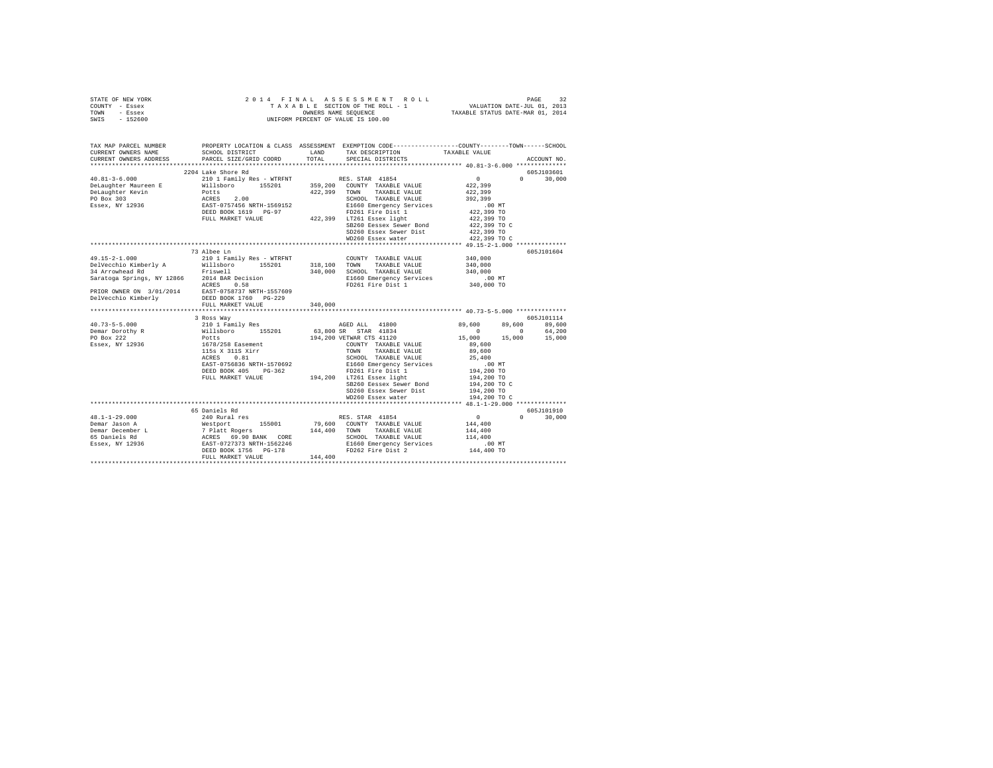| STATE OF NEW YORK<br>COUNTY - Essex<br>TOWN - Essex<br>SWIS - 152600                                                                                                                                                                                                                                                                                                                                                                                      |                                                                                                                           |                |                                                                                                                                        |                                                          |               |             |
|-----------------------------------------------------------------------------------------------------------------------------------------------------------------------------------------------------------------------------------------------------------------------------------------------------------------------------------------------------------------------------------------------------------------------------------------------------------|---------------------------------------------------------------------------------------------------------------------------|----------------|----------------------------------------------------------------------------------------------------------------------------------------|----------------------------------------------------------|---------------|-------------|
| TAX MAP PARCEL NUMBER<br>CURRENT OWNERS NAME<br>CURRENT OWNERS ADDRESS                                                                                                                                                                                                                                                                                                                                                                                    | PROPERTY LOCATION & CLASS ASSESSMENT EXEMPTION CODE----------------COUNTY-------TOWN-----SCHOOL<br>PARCEL SIZE/GRID COORD | $_{\tt TOTAL}$ |                                                                                                                                        |                                                          |               | ACCOUNT NO. |
|                                                                                                                                                                                                                                                                                                                                                                                                                                                           |                                                                                                                           |                |                                                                                                                                        |                                                          |               |             |
| $\begin{tabular}{l c c c c c} \multicolumn{1}{c}{\textbf{40.81--3-6.000}} & \multicolumn{1}{c}{2101} & \multicolumn{1}{c}{2101} & \multicolumn{1}{c}{\textbf{RBS}} & \multicolumn{1}{c}{\textbf{RBS}} & \multicolumn{1}{c}{\textbf{ERS}} & \multicolumn{1}{c}{\textbf{ERS}} & \multicolumn{1}{c}{\textbf{ERS}} & \multicolumn{1}{c}{\textbf{ERS}} & \multicolumn{1}{c}{\textbf{ERS}} & \multicolumn{1}{c}{\textbf{ERS}} & \multicolumn{1}{c}{\textbf{ERS$ | 2204 Lake Shore Rd                                                                                                        |                |                                                                                                                                        |                                                          | $0 \t 30.000$ | 605J103601  |
|                                                                                                                                                                                                                                                                                                                                                                                                                                                           |                                                                                                                           |                |                                                                                                                                        | $\begin{smallmatrix}&&0\\&&22\\422,399\end{smallmatrix}$ |               |             |
|                                                                                                                                                                                                                                                                                                                                                                                                                                                           |                                                                                                                           |                |                                                                                                                                        | 422,399                                                  |               |             |
|                                                                                                                                                                                                                                                                                                                                                                                                                                                           |                                                                                                                           |                |                                                                                                                                        | 392,399                                                  |               |             |
|                                                                                                                                                                                                                                                                                                                                                                                                                                                           |                                                                                                                           |                |                                                                                                                                        | $.00$ MT                                                 |               |             |
|                                                                                                                                                                                                                                                                                                                                                                                                                                                           |                                                                                                                           |                |                                                                                                                                        | 422,399 TO<br>422,399 TO                                 |               |             |
|                                                                                                                                                                                                                                                                                                                                                                                                                                                           |                                                                                                                           |                |                                                                                                                                        |                                                          |               |             |
|                                                                                                                                                                                                                                                                                                                                                                                                                                                           |                                                                                                                           |                | SB260 Eessex Sewer Bond                                                                                                                | 422,399 TO C                                             |               |             |
|                                                                                                                                                                                                                                                                                                                                                                                                                                                           |                                                                                                                           |                | SD260 Essex Sewer Dist<br>WD260 Essex water                                                                                            | 422,399 TO                                               |               |             |
|                                                                                                                                                                                                                                                                                                                                                                                                                                                           |                                                                                                                           |                |                                                                                                                                        | 422,399 TO C                                             |               |             |
|                                                                                                                                                                                                                                                                                                                                                                                                                                                           |                                                                                                                           |                |                                                                                                                                        |                                                          |               | 605J101604  |
|                                                                                                                                                                                                                                                                                                                                                                                                                                                           |                                                                                                                           |                | COUNTY TAXABLE VALUE                                                                                                                   | 340,000                                                  |               |             |
|                                                                                                                                                                                                                                                                                                                                                                                                                                                           |                                                                                                                           |                | TAXABLE VALUE                                                                                                                          | 340,000                                                  |               |             |
|                                                                                                                                                                                                                                                                                                                                                                                                                                                           |                                                                                                                           |                |                                                                                                                                        |                                                          |               |             |
|                                                                                                                                                                                                                                                                                                                                                                                                                                                           |                                                                                                                           |                |                                                                                                                                        | .00 MT                                                   |               |             |
|                                                                                                                                                                                                                                                                                                                                                                                                                                                           |                                                                                                                           |                | 340,000 SCHOOL TAXABLE VALUE 340,000<br>E1660 Emergency Services .00<br>FD261 Fire Dist 1 340,000                                      | 340,000 TO                                               |               |             |
|                                                                                                                                                                                                                                                                                                                                                                                                                                                           |                                                                                                                           |                |                                                                                                                                        |                                                          |               |             |
|                                                                                                                                                                                                                                                                                                                                                                                                                                                           |                                                                                                                           |                |                                                                                                                                        |                                                          |               |             |
|                                                                                                                                                                                                                                                                                                                                                                                                                                                           |                                                                                                                           |                |                                                                                                                                        |                                                          |               |             |
|                                                                                                                                                                                                                                                                                                                                                                                                                                                           | 3 Ross Way                                                                                                                |                |                                                                                                                                        |                                                          |               | 605J101114  |
|                                                                                                                                                                                                                                                                                                                                                                                                                                                           |                                                                                                                           |                |                                                                                                                                        |                                                          | 89,600 89,600 |             |
|                                                                                                                                                                                                                                                                                                                                                                                                                                                           |                                                                                                                           |                | AGED ALL 41800 89,600<br>3.800 SP STAR 41834                                                                                           | $0$ 0 64,200<br>15,000 15,000 15,000                     |               |             |
|                                                                                                                                                                                                                                                                                                                                                                                                                                                           |                                                                                                                           |                |                                                                                                                                        |                                                          |               |             |
|                                                                                                                                                                                                                                                                                                                                                                                                                                                           |                                                                                                                           |                |                                                                                                                                        | 89,600                                                   |               |             |
|                                                                                                                                                                                                                                                                                                                                                                                                                                                           |                                                                                                                           |                |                                                                                                                                        | 89,600                                                   |               |             |
|                                                                                                                                                                                                                                                                                                                                                                                                                                                           |                                                                                                                           |                |                                                                                                                                        |                                                          |               |             |
|                                                                                                                                                                                                                                                                                                                                                                                                                                                           | EAST-0756836 NRTH-1570692                                                                                                 |                | SCHOOL TAXABLE VALUE 25,400<br>E1660 Emergency Services 200 MT<br>FD261 Fire Dist 1 194,200 TO<br>194,200 LT261 Essex light 194,200 TO |                                                          |               |             |
|                                                                                                                                                                                                                                                                                                                                                                                                                                                           | DEED BOOK 405 PG-362                                                                                                      |                |                                                                                                                                        |                                                          |               |             |
|                                                                                                                                                                                                                                                                                                                                                                                                                                                           | FULL MARKET VALUE                                                                                                         |                |                                                                                                                                        |                                                          |               |             |
|                                                                                                                                                                                                                                                                                                                                                                                                                                                           |                                                                                                                           |                | SB260 Eessex Sewer Bond<br>SD260 Essex Sewer Dist                                                                                      | $194,200$ TO C<br>194,200 TO                             |               |             |
|                                                                                                                                                                                                                                                                                                                                                                                                                                                           |                                                                                                                           |                | WD260 Essex water                                                                                                                      | 194,200 TO C                                             |               |             |
|                                                                                                                                                                                                                                                                                                                                                                                                                                                           |                                                                                                                           |                |                                                                                                                                        |                                                          |               |             |
|                                                                                                                                                                                                                                                                                                                                                                                                                                                           |                                                                                                                           |                |                                                                                                                                        |                                                          |               | 605J101910  |
| $48.1 - 1 - 29.000$<br>Demar Jason A<br>Demar December L                                                                                                                                                                                                                                                                                                                                                                                                  |                                                                                                                           |                |                                                                                                                                        |                                                          | $0 \t 30,000$ |             |
|                                                                                                                                                                                                                                                                                                                                                                                                                                                           |                                                                                                                           |                |                                                                                                                                        | 144,400                                                  |               |             |
|                                                                                                                                                                                                                                                                                                                                                                                                                                                           |                                                                                                                           |                |                                                                                                                                        | 144,400                                                  |               |             |
|                                                                                                                                                                                                                                                                                                                                                                                                                                                           |                                                                                                                           |                |                                                                                                                                        | 114,400                                                  |               |             |
|                                                                                                                                                                                                                                                                                                                                                                                                                                                           |                                                                                                                           |                |                                                                                                                                        | $.00$ MT                                                 |               |             |
| To the stress of the stress of the stress of the stress of the stress of the stress of the stress of the stress of the stress of the stress of the stress of the stress of the stress of the stress of the stress of the stres                                                                                                                                                                                                                            |                                                                                                                           |                |                                                                                                                                        | 144,400 TO                                               |               |             |
|                                                                                                                                                                                                                                                                                                                                                                                                                                                           |                                                                                                                           |                |                                                                                                                                        |                                                          |               |             |
|                                                                                                                                                                                                                                                                                                                                                                                                                                                           |                                                                                                                           |                |                                                                                                                                        |                                                          |               |             |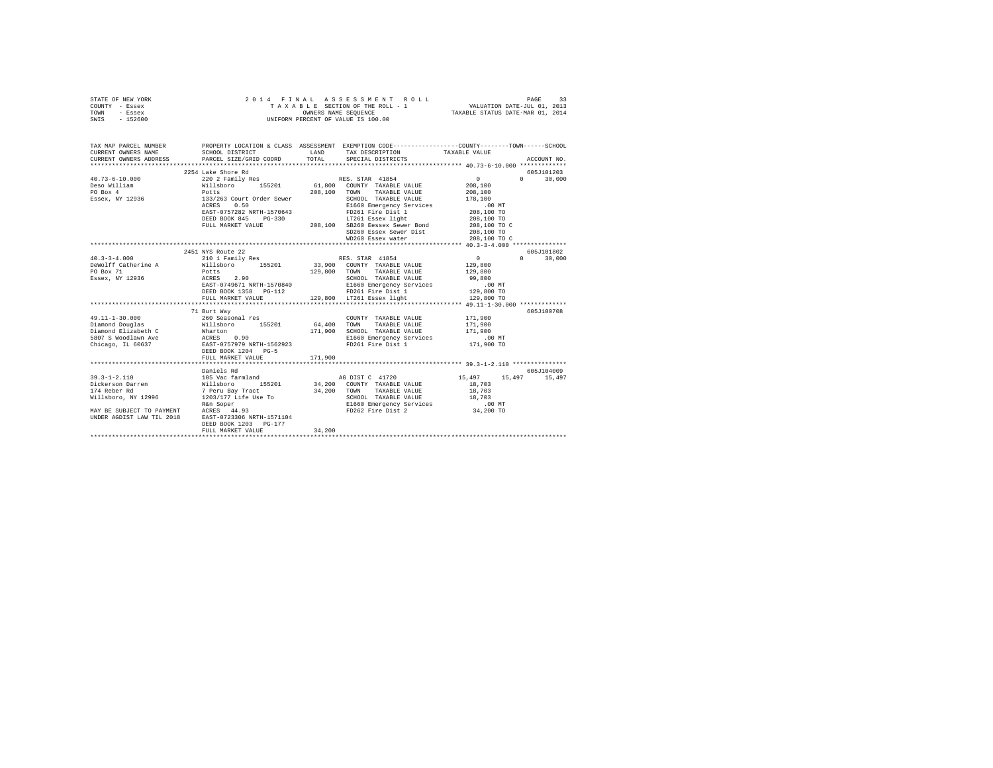| STATE OF NEW YORK<br>COUNTY - Essex<br>TOWN - Essex<br>SWIS - 152600                                                                                                                                                                                                                                                                                                                                |                                                                                                                                                                                                       |                   | 2014 FINAL ASSESSMENT ROLL<br>TAXABLE SECTION OF THE ROLL - 1 VALUATION DATE-JUL 01, 2013<br>OWNERS NAME SEQUENCE TAXABLE STATUS DATE-MAR 01, 2014<br>UNIFORM PERCENT OF VALUE IS 100.00 |                                                                                                                                 | PAGE<br>33                  |
|-----------------------------------------------------------------------------------------------------------------------------------------------------------------------------------------------------------------------------------------------------------------------------------------------------------------------------------------------------------------------------------------------------|-------------------------------------------------------------------------------------------------------------------------------------------------------------------------------------------------------|-------------------|------------------------------------------------------------------------------------------------------------------------------------------------------------------------------------------|---------------------------------------------------------------------------------------------------------------------------------|-----------------------------|
| TAX MAP PARCEL NUMBER PROPERTY LOCATION & CLASS ASSESSMENT EXEMPTION CODE--------------COUNTY-------TOWN------SCHOOL<br>CURRENT OWNERS NAME<br>CURRENT OWNERS ADDRESS                                                                                                                                                                                                                               | SCHOOL DISTRICT<br>PARCEL SIZE/GRID COORD                                                                                                                                                             | LAND<br>TOTAL     | TAX DESCRIPTION<br>SPECIAL DISTRICTS                                                                                                                                                     | TAXABLE VALUE                                                                                                                   | ACCOUNT NO.                 |
|                                                                                                                                                                                                                                                                                                                                                                                                     |                                                                                                                                                                                                       |                   |                                                                                                                                                                                          |                                                                                                                                 |                             |
|                                                                                                                                                                                                                                                                                                                                                                                                     | 2254 Lake Shore Rd                                                                                                                                                                                    |                   |                                                                                                                                                                                          |                                                                                                                                 | 605J101203                  |
| $40.73 - 6 - 10.000$<br>$[1.73-0-10. {\footnotesize\sc {\it U.10}}$ {\it E.200}$ {\it D.200}$ {\it D.200}$ {\it D.200}$ {\it D.200}$ {\it D.200}$ {\it D.200}$ {\it D.200}$ {\it D.200}$ {\it D.200}$ {\it D.200}$ {\it D.200}$ {\it D.200}$ {\it D.200}$ {\it D.200}$ {\it D.200}$ {\it D.200}$ {\it D.200}$ {\it D.200}$ {\it D.200}$ {\it D.200}$ {\it D.200}$ {\it D.200}$ {\it D.200}$ {\it D$ | 220 2 Family Res<br>ACRES 0.50 E1660 Emergency Services<br>EAST-0757282 NRTH-1570643 FD261 Fire Dist 1<br>DEED BOOK 845 PG-330 IT261 Essex light<br>PULL MARKET VALUE 208,100 SB260 Eessex Sewer Bond |                   | RES. STAR 41854<br>SD260 Essex Sewer Dist<br>WD260 Essex water                                                                                                                           | $\sim$ 0<br>208,100<br>208,100<br>178,100<br>$.00$ MT<br>208,100 TO<br>208,100 TO<br>208,100 TO C<br>208,100 TO<br>208,100 TO C | 0 <sup>1</sup><br>30,000    |
|                                                                                                                                                                                                                                                                                                                                                                                                     | 2451 NYS Route 22                                                                                                                                                                                     |                   |                                                                                                                                                                                          |                                                                                                                                 | 605J101802                  |
| $40.3 - 3 - 4.000$<br>DeWolff Catherine A<br>PO Box 71<br>Essex, NY 12936                                                                                                                                                                                                                                                                                                                           | 210 1 Family Res<br>Willsboro 155201<br>Potts<br>ACRES 2.90<br>EAST-0749671 NRTH-1570840<br>DEED BOOK 1358 PG-112<br>FULL MARKET VALUE                                                                |                   | RES. STAR 41854<br>33,900 COUNTY TAXABLE VALUE<br>129,800 TOWN TAXABLE VALUE<br>SCHOOL TAXABLE VALUE<br>E1660 Emergency Services<br>FD261 Fire Dist 1<br>129,800 LT261 Essex light       | $\sim$ 0 $\sim$<br>129,800<br>129,800<br>99,800<br>00 MT.<br>129,800 TO<br>129,800 TO                                           | $0 \t 30.000$               |
|                                                                                                                                                                                                                                                                                                                                                                                                     |                                                                                                                                                                                                       |                   |                                                                                                                                                                                          |                                                                                                                                 |                             |
| $\begin{tabular}{lllllllllllll} \textbf{49.11--1-30.000} & & \textbf{1.011} & \textbf{m31} & \textbf{1.02} & \textbf{1.03} & \textbf{1.04} & \textbf{1.05} & \textbf{1.05} & \textbf{1.05} & \textbf{1.07} & \textbf{1.07} & \textbf{1.07} & \textbf{1.07} & \textbf{1.07} & \textbf{1.07} & \textbf{1.07} & \textbf{1.07} & \textbf{1.07} & \textbf{1.07} & \textbf{1$                             | 71 Burt Way<br>DEED BOOK 1204 PG-5<br>FULL MARKET VALUE                                                                                                                                               | 64,400<br>171,900 | COUNTY TAXABLE VALUE<br>TOWN TAXABLE VALUE<br>171,900 SCHOOL TAXABLE VALUE<br>E1660 Emergency Services<br>FD261 Fire Dist 1                                                              | 171,900<br>171,900<br>171,900<br>$.00$ MT<br>171,900 TO                                                                         | 605-7100708                 |
|                                                                                                                                                                                                                                                                                                                                                                                                     |                                                                                                                                                                                                       |                   |                                                                                                                                                                                          |                                                                                                                                 |                             |
| UNDER AGDIST LAW TIL 2018 EAST-0723306 NRTH-1571104                                                                                                                                                                                                                                                                                                                                                 | Daniels Rd                                                                                                                                                                                            |                   | AG DIST C 41720<br>34,200 COUNTY TAXABLE VALUE<br>34,200 TOWN TAXABLE VALUE<br>SCHOOL TAXABLE VALUE<br>E1660 Emergency Services<br>FD262 Fire Dist 2                                     | 15,497<br>18,703<br>18,703<br>18,703<br>.00 MT.<br>34,200 TO                                                                    | 605J104009<br>15,497 15,497 |
|                                                                                                                                                                                                                                                                                                                                                                                                     | DEED BOOK 1203 PG-177<br>FULL MARKET VALUE                                                                                                                                                            | 34,200            |                                                                                                                                                                                          |                                                                                                                                 |                             |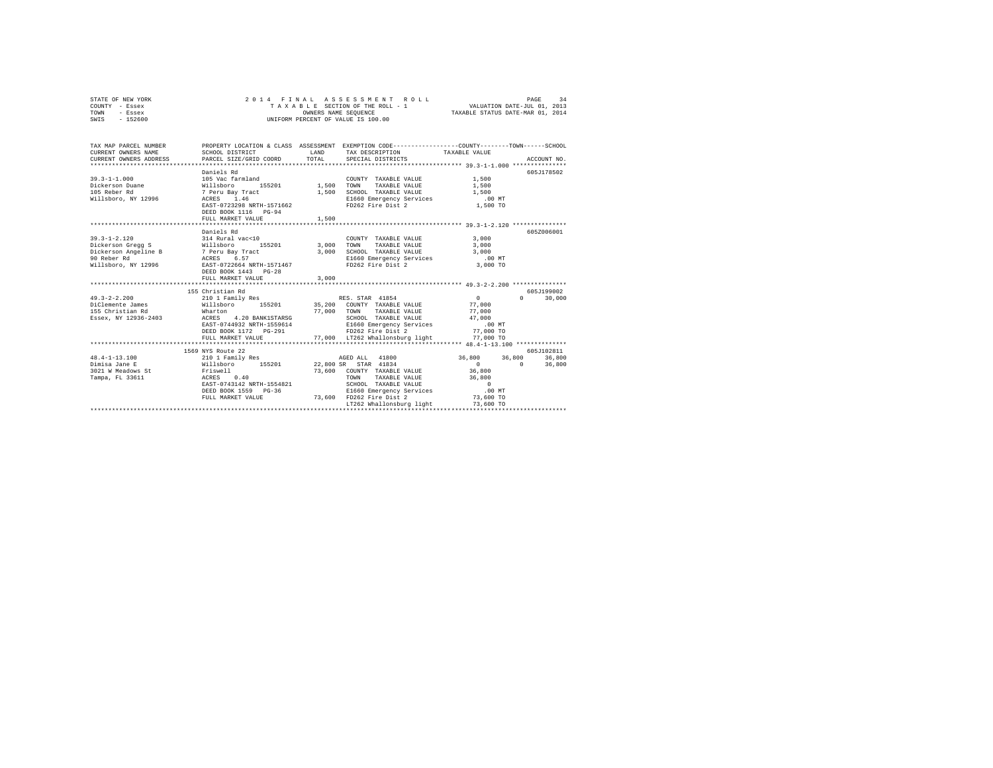| - Essex<br>TOWN<br>SWIS<br>$-152600$                            | OWNERS NAME SEQUENCE<br>UNIFORM PERCENT OF VALUE IS 100.00                                      |                     |                                                                | TAXABLE STATUS DATE-MAR 01, 2014 |                                 |  |
|-----------------------------------------------------------------|-------------------------------------------------------------------------------------------------|---------------------|----------------------------------------------------------------|----------------------------------|---------------------------------|--|
|                                                                 |                                                                                                 |                     |                                                                |                                  |                                 |  |
| TAX MAP PARCEL NUMBER                                           | PROPERTY LOCATION & CLASS ASSESSMENT EXEMPTION CODE---------------COUNTY-------TOWN------SCHOOL |                     |                                                                |                                  |                                 |  |
| CURRENT OWNERS NAME                                             | SCHOOL DISTRICT                                                                                 | LAND                | TAX DESCRIPTION                                                | TAXABLE VALUE                    |                                 |  |
| CURRENT OWNERS ADDRESS                                          | PARCEL SIZE/GRID COORD                                                                          | TOTAL               | SPECIAL DISTRICTS                                              |                                  | ACCOUNT NO.                     |  |
|                                                                 |                                                                                                 |                     |                                                                |                                  |                                 |  |
|                                                                 | Daniels Rd                                                                                      |                     |                                                                |                                  | 605J178502                      |  |
| $39.3 - 1 - 1.000$                                              | 105 Vac farmland                                                                                | COUNT<br>1,500 TOWN | COUNTY TAXABLE VALUE                                           | 1,500<br>1,500                   |                                 |  |
| Dickerson Duane                                                 | 155201<br>Willsboro                                                                             |                     | TAXABLE VALUE                                                  |                                  |                                 |  |
| 105 Reber Rd                                                    | 7 Peru Bay Tract<br>ACRES 1.46                                                                  | 1,500               | SCHOOL TAXABLE VALUE                                           | 1,500                            |                                 |  |
| Willsboro, NY 12996                                             | ACRES 1.46                                                                                      |                     | E1660 Emergency Services<br>FD262 Fire Dist 2                  | $.00$ MT                         |                                 |  |
|                                                                 | EAST-0723298 NRTH-1571662                                                                       |                     |                                                                | 1,500 TO                         |                                 |  |
|                                                                 | DEED BOOK 1116 PG-94                                                                            |                     |                                                                |                                  |                                 |  |
|                                                                 | FULL MARKET VALUE                                                                               | 1,500               |                                                                |                                  |                                 |  |
|                                                                 |                                                                                                 |                     |                                                                |                                  |                                 |  |
|                                                                 | Daniels Rd                                                                                      |                     |                                                                |                                  | 605Z006001                      |  |
| $39.3 - 1 - 2.120$                                              | 314 Rural vac<10                                                                                |                     | COUNTY TAXABLE VALUE                                           | 3,000                            |                                 |  |
| Dickerson Gregg S Willsboro                                     | 155201 3,000                                                                                    |                     | TOWN<br>TAXABLE VALUE                                          | 3,000                            |                                 |  |
| Dickerson Angeline B 7 Peru Bay Tract<br>90 Reber Rd ACRES 6.57 |                                                                                                 | 3,000               | SCHOOL TAXABLE VALUE<br>E1660 Emergency Services               | 3,000<br>.00 MT                  |                                 |  |
|                                                                 |                                                                                                 |                     |                                                                |                                  |                                 |  |
| Willsboro, NY 12996 EAST-0722664 NRTH-1571467                   |                                                                                                 |                     | FD262 Fire Dist 2                                              | 3,000 TO                         |                                 |  |
|                                                                 | DEED BOOK 1443 PG-28<br>FULL MARKET VALUE                                                       | 3,000               |                                                                |                                  |                                 |  |
|                                                                 |                                                                                                 |                     |                                                                |                                  |                                 |  |
|                                                                 | 155 Christian Rd                                                                                |                     |                                                                |                                  | 605J199002                      |  |
| $49.3 - 2 - 2.200$                                              | 210 1 Family Res                                                                                |                     | RES. STAR 41854                                                | $\sim$ 0                         | $\Omega$ and $\Omega$<br>30,000 |  |
|                                                                 |                                                                                                 |                     | 35,200 COUNTY TAXABLE VALUE                                    | 77,000                           |                                 |  |
| 49.3-2-2.2.<br>DiClemente James                                 | Willsboro 155201<br>Wharton                                                                     |                     | 77,000 TOWN<br>TAXABLE VALUE                                   | 77,000                           |                                 |  |
| Essex, NY 12936-2403                                            | 4.20 BANK1STARSG<br>ACRES                                                                       |                     | SCHOOL TAXABLE VALUE                                           | 47,000                           |                                 |  |
|                                                                 | EAST-0744932 NRTH-1559614                                                                       |                     |                                                                |                                  |                                 |  |
|                                                                 | DEED BOOK 1172  PG-291    FD262    Fire Dist 2                                                  |                     | E1660 Emergency Services .00 MT<br>FD262 Fire Dist 2 77,000 TO |                                  |                                 |  |
|                                                                 | FULL MARKET VALUE                                                                               |                     | 77,000 LT262 Whallonsburg light 577,000 TO                     |                                  |                                 |  |
|                                                                 |                                                                                                 |                     |                                                                |                                  |                                 |  |
|                                                                 | 1569 NYS Route 22                                                                               |                     |                                                                |                                  | 605J102811                      |  |
| $48.4 - 1 - 13.100$                                             |                                                                                                 |                     | AGED ALL 41800                                                 |                                  | 36,800 36,800 36,800            |  |
| Dimisa Jane E                                                   | 210 1 Family Res<br>Willsboro 155201                                                            |                     | 22,800 SR STAR 41834                                           | $\sim$ 0                         | $\sim$ 0<br>36,800              |  |
| 3021 W Meadows St                                               |                                                                                                 |                     | 73,600 COUNTY TAXABLE VALUE                                    | 36,800                           |                                 |  |
| Tampa, FL 33611                                                 | Friswell<br>ACRES 0.40                                                                          |                     | TOWN<br>TAXABLE VALUE                                          | 36,800                           |                                 |  |
|                                                                 | EAST-0743142 NRTH-1554821                                                                       |                     | SCHOOL TAXABLE VALUE                                           | $\sim$ 0                         |                                 |  |
|                                                                 | DEED BOOK 1559 PG-36                                                                            |                     | E1660 Emergency Services                                       | .00 MT                           |                                 |  |
|                                                                 | FULL MARKET VALUE                                                                               |                     | 73,600 FD262 Fire Dist 2                                       | 73,600 TO                        |                                 |  |
|                                                                 |                                                                                                 |                     | LT262 Whallonsburg light                                       | 73,600 TO                        |                                 |  |
|                                                                 |                                                                                                 |                     |                                                                |                                  |                                 |  |

STATE OF NEW YORK 2 0 1 4 F I N A L A S S E S S M E N T R O L L PAGE 34 COUNTY - Essex T A X A B L E SECTION OF THE ROLL - 1 VALUATION DATE-JUL 01, 2013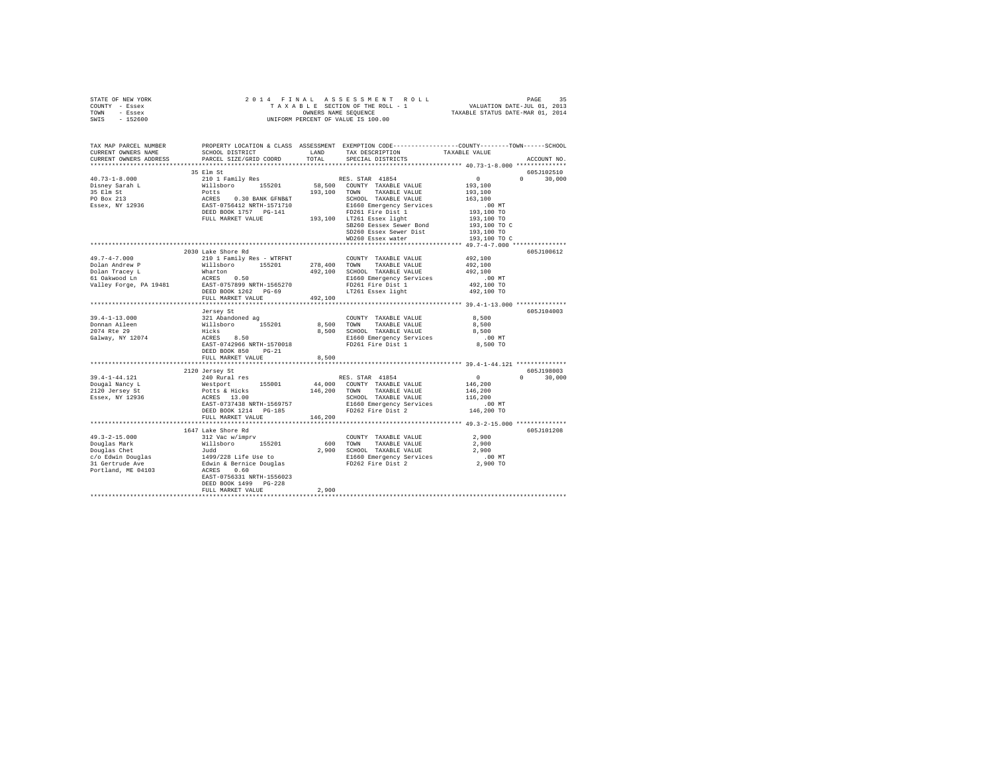| STATE OF NEW YORK                                                                                                                                                                                                                                                                                                                                                                                                                                 |                           |                      |                        |                                                       |                             |
|---------------------------------------------------------------------------------------------------------------------------------------------------------------------------------------------------------------------------------------------------------------------------------------------------------------------------------------------------------------------------------------------------------------------------------------------------|---------------------------|----------------------|------------------------|-------------------------------------------------------|-----------------------------|
| COUNTY - Essex                                                                                                                                                                                                                                                                                                                                                                                                                                    |                           |                      |                        |                                                       |                             |
| TOWN - Essex                                                                                                                                                                                                                                                                                                                                                                                                                                      |                           |                      |                        |                                                       |                             |
| SWIS - 152600                                                                                                                                                                                                                                                                                                                                                                                                                                     |                           |                      |                        |                                                       |                             |
|                                                                                                                                                                                                                                                                                                                                                                                                                                                   |                           |                      |                        |                                                       |                             |
|                                                                                                                                                                                                                                                                                                                                                                                                                                                   |                           |                      |                        |                                                       |                             |
|                                                                                                                                                                                                                                                                                                                                                                                                                                                   |                           |                      |                        |                                                       |                             |
| TAX MAP PARCEL NUMBER PROPERTY LOCATION & CLASS ASSESSMENT EXEMPTION CODE--------------COUNTY-------TOWN------SCHOOL<br>CURRENT OWNERS NAME                                                                                                                                                                                                                                                                                                       |                           |                      |                        |                                                       |                             |
|                                                                                                                                                                                                                                                                                                                                                                                                                                                   |                           |                      |                        |                                                       |                             |
| CURRENT OWNERS ADDRESS                                                                                                                                                                                                                                                                                                                                                                                                                            | PARCEL SIZE/GRID COORD    | TOTAL                | SPECIAL DISTRICTS      |                                                       | ACCOUNT NO.                 |
|                                                                                                                                                                                                                                                                                                                                                                                                                                                   |                           |                      |                        |                                                       |                             |
| $\begin{tabular}{l c c c c c} \multicolumn{4}{c}{\textbf{101} Fami1y Res} & \multicolumn{4}{c}{\textbf{RES. STAR}} & \multicolumn{4}{c}{\textbf{RES. STAR}} & \multicolumn{4}{c}{\textbf{101} Fami1y Res} & \multicolumn{4}{c}{\textbf{RES. STAR}} & \multicolumn{4}{c}{\textbf{101} Fion} & \multicolumn{4}{c}{\textbf{101} Fion} & \multicolumn{4}{c}{\textbf{102} Fion} & \multicolumn{4}{c}{\textbf{102} Fion} & \multicolumn{4}{c}{\textbf{$ | 35 Elm St                 |                      |                        |                                                       | 605J102510<br>$0 \t 30,000$ |
|                                                                                                                                                                                                                                                                                                                                                                                                                                                   |                           |                      |                        |                                                       |                             |
|                                                                                                                                                                                                                                                                                                                                                                                                                                                   |                           |                      |                        |                                                       |                             |
|                                                                                                                                                                                                                                                                                                                                                                                                                                                   |                           |                      |                        |                                                       |                             |
|                                                                                                                                                                                                                                                                                                                                                                                                                                                   |                           |                      |                        |                                                       |                             |
|                                                                                                                                                                                                                                                                                                                                                                                                                                                   |                           |                      |                        |                                                       |                             |
|                                                                                                                                                                                                                                                                                                                                                                                                                                                   |                           |                      |                        |                                                       |                             |
|                                                                                                                                                                                                                                                                                                                                                                                                                                                   |                           |                      |                        |                                                       |                             |
|                                                                                                                                                                                                                                                                                                                                                                                                                                                   |                           |                      |                        | 193,100 TO C                                          |                             |
|                                                                                                                                                                                                                                                                                                                                                                                                                                                   |                           |                      | SD260 Essex Sewer Dist | 193,100 TO                                            |                             |
|                                                                                                                                                                                                                                                                                                                                                                                                                                                   |                           |                      | WD260 Essex water      | 193,100 TO C                                          |                             |
|                                                                                                                                                                                                                                                                                                                                                                                                                                                   |                           |                      |                        |                                                       |                             |
|                                                                                                                                                                                                                                                                                                                                                                                                                                                   | 2030 Lake Shore Rd        |                      |                        |                                                       | 605J100612                  |
| $49.7 - 4 - 7.000$                                                                                                                                                                                                                                                                                                                                                                                                                                |                           |                      |                        | 492,100                                               |                             |
|                                                                                                                                                                                                                                                                                                                                                                                                                                                   |                           |                      |                        | 492,100<br>492,100                                    |                             |
|                                                                                                                                                                                                                                                                                                                                                                                                                                                   |                           |                      |                        |                                                       |                             |
| <i>asistration</i><br>Dolan Andrew P<br>Dolan Tracey L<br>61 Oakwood Ln<br>Valley Forge, PA 19481                                                                                                                                                                                                                                                                                                                                                 |                           |                      |                        | .00 MT                                                |                             |
|                                                                                                                                                                                                                                                                                                                                                                                                                                                   |                           |                      |                        | 492,100 TO                                            |                             |
|                                                                                                                                                                                                                                                                                                                                                                                                                                                   |                           |                      |                        | 492,100 TO                                            |                             |
|                                                                                                                                                                                                                                                                                                                                                                                                                                                   | FULL MARKET VALUE 492.100 |                      |                        |                                                       |                             |
|                                                                                                                                                                                                                                                                                                                                                                                                                                                   |                           |                      |                        |                                                       |                             |
|                                                                                                                                                                                                                                                                                                                                                                                                                                                   | Jersey St                 |                      |                        |                                                       | 605J104003                  |
|                                                                                                                                                                                                                                                                                                                                                                                                                                                   |                           |                      |                        | 8,500                                                 |                             |
|                                                                                                                                                                                                                                                                                                                                                                                                                                                   |                           |                      |                        | 8,500                                                 |                             |
|                                                                                                                                                                                                                                                                                                                                                                                                                                                   |                           |                      |                        | 8,500                                                 |                             |
|                                                                                                                                                                                                                                                                                                                                                                                                                                                   |                           |                      |                        | .00MT                                                 |                             |
|                                                                                                                                                                                                                                                                                                                                                                                                                                                   |                           |                      | FD261 Fire Dist 1      | 8,500 TO                                              |                             |
|                                                                                                                                                                                                                                                                                                                                                                                                                                                   | DEED BOOK 850 PG-21       |                      |                        |                                                       |                             |
|                                                                                                                                                                                                                                                                                                                                                                                                                                                   | FULL MARKET VALUE         | 8,500                |                        |                                                       |                             |
|                                                                                                                                                                                                                                                                                                                                                                                                                                                   |                           |                      |                        |                                                       |                             |
|                                                                                                                                                                                                                                                                                                                                                                                                                                                   | 2120 Jersey St            |                      |                        | 605J198003                                            |                             |
| 39.4-1-44.121                                                                                                                                                                                                                                                                                                                                                                                                                                     | 240 Rural res             |                      | RES. STAR 41854        | $\begin{smallmatrix}&&0\\&&146\\1&1\end{smallmatrix}$ | $0 \t 30,000$               |
|                                                                                                                                                                                                                                                                                                                                                                                                                                                   |                           |                      |                        |                                                       |                             |
| Dougal Nancy L<br>2120 Jersey St                                                                                                                                                                                                                                                                                                                                                                                                                  |                           |                      |                        |                                                       |                             |
| Essex, NY 12936                                                                                                                                                                                                                                                                                                                                                                                                                                   |                           |                      |                        |                                                       |                             |
|                                                                                                                                                                                                                                                                                                                                                                                                                                                   |                           |                      |                        |                                                       |                             |
|                                                                                                                                                                                                                                                                                                                                                                                                                                                   |                           |                      |                        |                                                       |                             |
|                                                                                                                                                                                                                                                                                                                                                                                                                                                   | FULL MARKET VALUE         |                      |                        |                                                       |                             |
|                                                                                                                                                                                                                                                                                                                                                                                                                                                   |                           | 146,200              |                        |                                                       |                             |
|                                                                                                                                                                                                                                                                                                                                                                                                                                                   | 1647 Lake Shore Rd        |                      |                        |                                                       | 605J101208                  |
|                                                                                                                                                                                                                                                                                                                                                                                                                                                   |                           |                      |                        |                                                       |                             |
|                                                                                                                                                                                                                                                                                                                                                                                                                                                   |                           |                      |                        |                                                       |                             |
|                                                                                                                                                                                                                                                                                                                                                                                                                                                   |                           |                      |                        |                                                       |                             |
|                                                                                                                                                                                                                                                                                                                                                                                                                                                   |                           |                      |                        |                                                       |                             |
|                                                                                                                                                                                                                                                                                                                                                                                                                                                   |                           |                      |                        |                                                       |                             |
|                                                                                                                                                                                                                                                                                                                                                                                                                                                   |                           |                      |                        |                                                       |                             |
|                                                                                                                                                                                                                                                                                                                                                                                                                                                   |                           |                      |                        |                                                       |                             |
|                                                                                                                                                                                                                                                                                                                                                                                                                                                   |                           |                      |                        |                                                       |                             |
|                                                                                                                                                                                                                                                                                                                                                                                                                                                   | DEED BOOK 1499 PG-228     |                      |                        |                                                       |                             |
|                                                                                                                                                                                                                                                                                                                                                                                                                                                   | FULL MARKET VALUE         | 2,900<br>*********** |                        |                                                       |                             |
|                                                                                                                                                                                                                                                                                                                                                                                                                                                   |                           |                      |                        |                                                       |                             |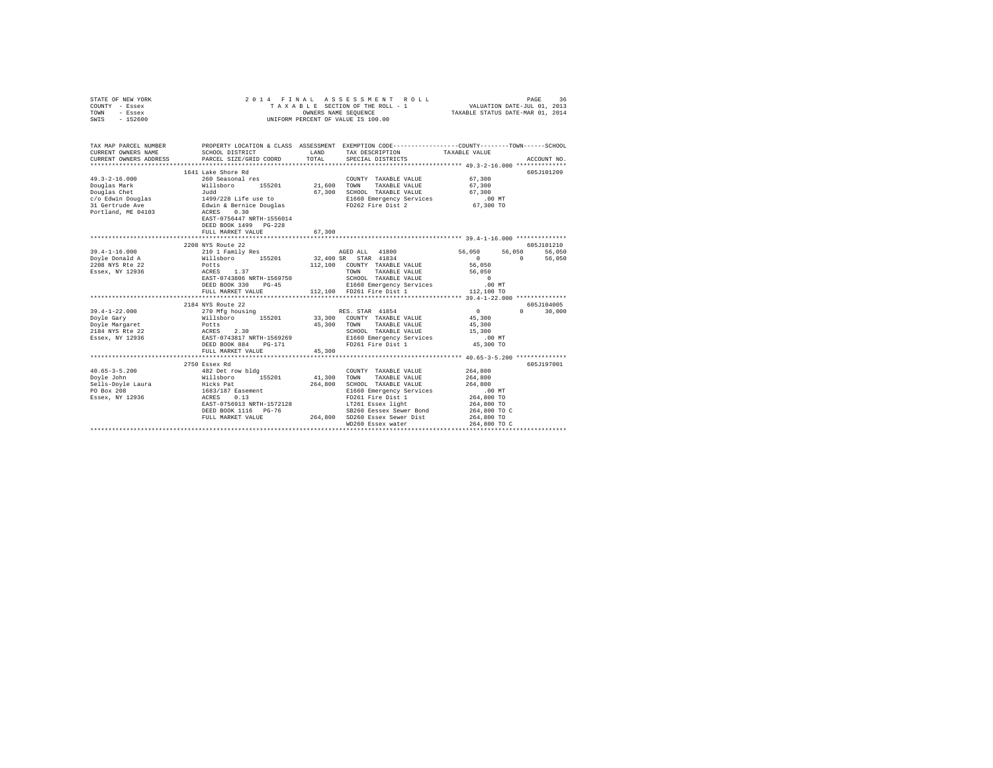| STATE OF NEW YORK<br>COUNTY - Essex<br>TOWN<br>- Essex<br>$-152600$<br>SWIS                                                                 | 2014 FINAL                                                                                                                             |             | PAGE 36 & PINAL ASSESSMENT ROLL<br>TAXABLE SECTION OF THE ROLL - 1 WALUATION DATE-JUL 01, 2013<br>OWNERS NAME SEQUENCE 4 TAXABLE STATUS DATE-MAR 01, 2014<br>UNIFORM PERCENT OF VALUE IS 100.00 |                                  |               |
|---------------------------------------------------------------------------------------------------------------------------------------------|----------------------------------------------------------------------------------------------------------------------------------------|-------------|-------------------------------------------------------------------------------------------------------------------------------------------------------------------------------------------------|----------------------------------|---------------|
| TAX MAP PARCEL NUMBER PROPERTY LOCATION & CLASS ASSESSMENT EXEMPTION CODE--------------COUNTY-------TOWN------SCHOOL<br>CURRENT OWNERS NAME | SCHOOL DISTRICT                                                                                                                        |             | LAND TAX DESCRIPTION                                                                                                                                                                            | TAXABLE VALUE                    |               |
| CURRENT OWNERS ADDRESS                                                                                                                      | PARCEL SIZE/GRID COORD                                                                                                                 | TOTAL       | SPECIAL DISTRICTS                                                                                                                                                                               |                                  | ACCOUNT NO.   |
|                                                                                                                                             |                                                                                                                                        |             |                                                                                                                                                                                                 |                                  |               |
|                                                                                                                                             | 1641 Lake Shore Rd                                                                                                                     |             |                                                                                                                                                                                                 |                                  | 605-T101209   |
| $49.3 - 2 - 16.000$                                                                                                                         | 260 Seasonal res<br>Willsboro 155201                                                                                                   |             | COUNTY TAXABLE VALUE                                                                                                                                                                            | 67.300                           |               |
| Douglas Mark                                                                                                                                |                                                                                                                                        | 21,600 TOWN | TAXABLE VALUE                                                                                                                                                                                   | 67,300                           |               |
|                                                                                                                                             |                                                                                                                                        |             | 67,300 SCHOOL TAXABLE VALUE                                                                                                                                                                     | 67,300                           |               |
|                                                                                                                                             |                                                                                                                                        |             | E1660 Emergency Services                                                                                                                                                                        | .00 MT                           |               |
| Douglas Chet<br>c/o Edwin Douglas<br>31 Gertrude Ave<br>Portland, ME 04103                                                                  | 3.1, and<br>1499/228 Life use to 67,300<br>Edwin & Bernice Douglas<br>ACRES 0.30<br>EAST-0756447 NRTH-1556014<br>DEED BOOK 1499 PG-228 |             | FD262 Fire Dist 2                                                                                                                                                                               | 67,300 TO                        |               |
|                                                                                                                                             | FULL MARKET VALUE                                                                                                                      | 67,300      |                                                                                                                                                                                                 |                                  |               |
|                                                                                                                                             |                                                                                                                                        |             |                                                                                                                                                                                                 |                                  |               |
|                                                                                                                                             | 2208 NYS Route 22                                                                                                                      |             |                                                                                                                                                                                                 |                                  | 605J101210    |
| $39.4 - 1 - 16.000$                                                                                                                         | 210 1 Family Res<br>Willsboro 155201                                                                                                   |             | AGED ALL 41800                                                                                                                                                                                  | 56,050<br>56,050                 | 56,050        |
| Dovle Donald A<br>2208 NYS Rte 22                                                                                                           | Potts                                                                                                                                  | 112,100     | 32,400 SR STAR 41834<br>COUNTY TAXABLE VALUE                                                                                                                                                    | $\Omega$<br>$\Omega$<br>56,050   | 56,050        |
| Essex, NY 12936                                                                                                                             | ACRES 1.37                                                                                                                             |             | TOWN<br>TAXABLE VALUE                                                                                                                                                                           | 56,050                           |               |
|                                                                                                                                             | EAST-0743806 NRTH-1569750                                                                                                              |             | SCHOOL TAXABLE VALUE                                                                                                                                                                            | $\sim$ 0                         |               |
|                                                                                                                                             | DEED BOOK 330 PG-45                                                                                                                    |             |                                                                                                                                                                                                 | $.00$ MT                         |               |
|                                                                                                                                             | FULL MARKET VALUE                                                                                                                      |             | E1660 Emergency Services<br>112,100 FD261 Fire Dist 1                                                                                                                                           | 112,100 TO                       |               |
|                                                                                                                                             |                                                                                                                                        |             |                                                                                                                                                                                                 |                                  |               |
|                                                                                                                                             | 2184 NYS Route 22                                                                                                                      |             |                                                                                                                                                                                                 |                                  | 605J104005    |
| $39.4 - 1 - 22.000$                                                                                                                         |                                                                                                                                        |             | RES. STAR 41854                                                                                                                                                                                 | $\sim$ 0                         | $0 \t 30.000$ |
| Doyle Gary                                                                                                                                  |                                                                                                                                        |             | 33,300 COUNTY TAXABLE VALUE                                                                                                                                                                     | 45,300                           |               |
| Doyle Margaret                                                                                                                              |                                                                                                                                        |             | 45,300 TOWN TAXABLE VALUE                                                                                                                                                                       | 45,300                           |               |
| 2184 NYS Rte 22                                                                                                                             |                                                                                                                                        |             | SCHOOL TAXABLE VALUE                                                                                                                                                                            | 15,300                           |               |
| Essex, NY 12936                                                                                                                             | 270 Mfg housing<br>Willsboro 155201<br>Potts 2.30<br>EAST-0743817 NRTH-1569269                                                         |             | E1660 Emergency Services                                                                                                                                                                        | $.00$ MT                         |               |
|                                                                                                                                             | DEED BOOK 884 PG-171                                                                                                                   |             | FD261 Fire Dist 1                                                                                                                                                                               | 45,300 TO                        |               |
|                                                                                                                                             | FULL MARKET VALUE                                                                                                                      | 45,300      |                                                                                                                                                                                                 |                                  |               |
|                                                                                                                                             |                                                                                                                                        |             |                                                                                                                                                                                                 |                                  |               |
|                                                                                                                                             | 2750 Essex Rd                                                                                                                          |             |                                                                                                                                                                                                 |                                  | 605J197001    |
| $40.65 - 3 - 5.200$                                                                                                                         | 482 Det row bldg                                                                                                                       |             | COUNTY TAXABLE VALUE                                                                                                                                                                            | 264,800                          |               |
| Dovle John                                                                                                                                  | 155201                                                                                                                                 | 41,300      | TOWN<br>TAXABLE VALUE                                                                                                                                                                           | 264,800                          |               |
| Sells-Doyle Laura                                                                                                                           | Willsboro 15<br>Hicks Pat<br>1683/187 Easement<br>ACRES 0.13                                                                           | 264,800     | SCHOOL TAXABLE VALUE                                                                                                                                                                            | 264,800                          |               |
| PO Box 208<br>Essex, NY 12936                                                                                                               |                                                                                                                                        |             | E1660 Emergency Services<br>FD261 Fire Dist 1                                                                                                                                                   | $.00$ MT<br>264,800 TO           |               |
|                                                                                                                                             | EAST-0756913 NRTH-1572128                                                                                                              |             | LT261 Essex light                                                                                                                                                                               | 264,800 TO                       |               |
|                                                                                                                                             | DEED BOOK 1116 PG-76                                                                                                                   |             | SB260 Eessex Sewer Bond                                                                                                                                                                         | 264,800 TO C                     |               |
|                                                                                                                                             | FULL MARKET VALUE 264,800 SD260 Essex Sewer Dist                                                                                       |             |                                                                                                                                                                                                 | 264,800 TO                       |               |
|                                                                                                                                             |                                                                                                                                        |             | WD260 Essex water                                                                                                                                                                               | 264,800 TO C                     |               |
|                                                                                                                                             |                                                                                                                                        |             |                                                                                                                                                                                                 | ******************************** |               |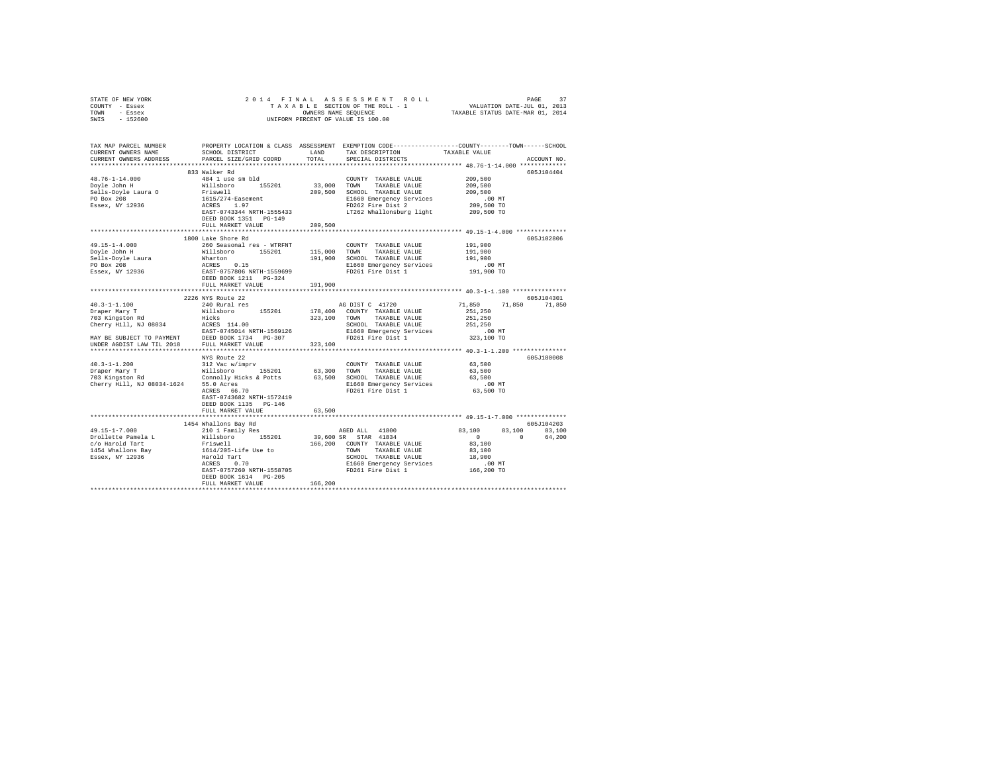| STATE OF NEW YORK                                                                                                                                                                                                                    |                                                                 |         |                                                                           |                                                    |               |  |  |  |
|--------------------------------------------------------------------------------------------------------------------------------------------------------------------------------------------------------------------------------------|-----------------------------------------------------------------|---------|---------------------------------------------------------------------------|----------------------------------------------------|---------------|--|--|--|
| COUNTY - Essex                                                                                                                                                                                                                       |                                                                 |         |                                                                           |                                                    |               |  |  |  |
| TOWN - Essex                                                                                                                                                                                                                         |                                                                 |         |                                                                           |                                                    |               |  |  |  |
| SWIS - 152600                                                                                                                                                                                                                        |                                                                 |         |                                                                           |                                                    |               |  |  |  |
|                                                                                                                                                                                                                                      |                                                                 |         |                                                                           |                                                    |               |  |  |  |
|                                                                                                                                                                                                                                      |                                                                 |         |                                                                           |                                                    |               |  |  |  |
| TAX MAP PARCEL NUMBER PROPERTY LOCATION & CLASS ASSESSMENT EXEMPTION CODE--------------COUNTY-------TOWN------SCHOOL                                                                                                                 |                                                                 |         |                                                                           |                                                    |               |  |  |  |
| CURRENT OWNERS NAME                                                                                                                                                                                                                  | SCHOOL DISTRICT                                                 | LAND    | TAX DESCRIPTION                                                           | TAXABLE VALUE                                      |               |  |  |  |
| CURRENT OWNERS ADDRESS                                                                                                                                                                                                               | PARCEL SIZE/GRID COORD                                          | TOTAL   | SPECIAL DISTRICTS                                                         |                                                    | ACCOUNT NO.   |  |  |  |
|                                                                                                                                                                                                                                      |                                                                 |         |                                                                           |                                                    |               |  |  |  |
|                                                                                                                                                                                                                                      | 833 Walker Rd                                                   |         |                                                                           |                                                    | 605J104404    |  |  |  |
|                                                                                                                                                                                                                                      | 484 1 use sm bld                                                |         | COUNTY TAXABLE VALUE 209,500                                              |                                                    |               |  |  |  |
| 48.76-1-14.000<br>Doyle John H                                                                                                                                                                                                       |                                                                 |         | 33,000 TOWN TAXABLE VALUE                                                 | 209,500                                            |               |  |  |  |
|                                                                                                                                                                                                                                      |                                                                 |         | 209,500 SCHOOL TAXABLE VALUE                                              | 209,500                                            |               |  |  |  |
|                                                                                                                                                                                                                                      |                                                                 |         | E1660 Emergency Services                                                  | .00 MT                                             |               |  |  |  |
| Sells-Doyle Laura O<br>PO Box 208<br>Essex, NY 12936                                                                                                                                                                                 | villsboro 155201<br>Friswell<br>1615/274-Easement<br>ACRES 1.97 |         |                                                                           | 209,500 TO                                         |               |  |  |  |
|                                                                                                                                                                                                                                      | EAST-0743344 NRTH-1555433                                       |         | E1660 Emergency Services<br>FD262 Fire Dist 2<br>LT262 Whallonsburg light | 209,500 TO                                         |               |  |  |  |
|                                                                                                                                                                                                                                      | DEED BOOK 1351 PG-149                                           |         |                                                                           |                                                    |               |  |  |  |
|                                                                                                                                                                                                                                      | FULL MARKET VALUE                                               | 209,500 |                                                                           |                                                    |               |  |  |  |
|                                                                                                                                                                                                                                      |                                                                 |         |                                                                           |                                                    |               |  |  |  |
|                                                                                                                                                                                                                                      | 1800 Lake Shore Rd                                              |         |                                                                           |                                                    | 605J102806    |  |  |  |
| $49.15 - 1 - 4.000$                                                                                                                                                                                                                  | 260 Seasonal res - WTRFNT                                       |         | COUNTY TAXABLE VALUE                                                      | 191,900                                            |               |  |  |  |
|                                                                                                                                                                                                                                      |                                                                 |         |                                                                           |                                                    |               |  |  |  |
|                                                                                                                                                                                                                                      |                                                                 |         |                                                                           | 191,900<br>191,900                                 |               |  |  |  |
|                                                                                                                                                                                                                                      |                                                                 |         |                                                                           | .00 MT                                             |               |  |  |  |
|                                                                                                                                                                                                                                      |                                                                 |         | E1660 Emergency Services<br>FD261 Fire Dist 1                             | 191,900 TO                                         |               |  |  |  |
|                                                                                                                                                                                                                                      |                                                                 |         |                                                                           |                                                    |               |  |  |  |
|                                                                                                                                                                                                                                      | FULL MARKET VALUE                                               | 191,900 |                                                                           |                                                    |               |  |  |  |
|                                                                                                                                                                                                                                      |                                                                 |         |                                                                           |                                                    |               |  |  |  |
|                                                                                                                                                                                                                                      | 2226 NYS Route 22                                               |         |                                                                           |                                                    | 605J104301    |  |  |  |
| $40.3 - 1 - 1.100$                                                                                                                                                                                                                   | 240 Rural res                                                   |         | AG DIST C 41720                                                           | 71,850                                             | 71,850 71,850 |  |  |  |
|                                                                                                                                                                                                                                      |                                                                 |         |                                                                           | 251,250                                            |               |  |  |  |
|                                                                                                                                                                                                                                      |                                                                 |         |                                                                           | 251,250                                            |               |  |  |  |
|                                                                                                                                                                                                                                      |                                                                 |         |                                                                           | 251,250                                            |               |  |  |  |
|                                                                                                                                                                                                                                      |                                                                 |         |                                                                           | .00 MT                                             |               |  |  |  |
|                                                                                                                                                                                                                                      |                                                                 |         |                                                                           |                                                    |               |  |  |  |
|                                                                                                                                                                                                                                      |                                                                 |         |                                                                           | 323,100 TO                                         |               |  |  |  |
|                                                                                                                                                                                                                                      |                                                                 |         |                                                                           |                                                    |               |  |  |  |
|                                                                                                                                                                                                                                      |                                                                 |         |                                                                           |                                                    |               |  |  |  |
|                                                                                                                                                                                                                                      | NYS Route 22                                                    |         |                                                                           |                                                    | 605J180008    |  |  |  |
|                                                                                                                                                                                                                                      |                                                                 |         | COUNTY TAXABLE VALUE 63,500                                               |                                                    |               |  |  |  |
|                                                                                                                                                                                                                                      |                                                                 |         |                                                                           | 63,500                                             |               |  |  |  |
|                                                                                                                                                                                                                                      |                                                                 |         |                                                                           | 63,500                                             |               |  |  |  |
|                                                                                                                                                                                                                                      |                                                                 |         |                                                                           | $.00$ MT                                           |               |  |  |  |
|                                                                                                                                                                                                                                      |                                                                 |         |                                                                           | 63,500 TO                                          |               |  |  |  |
|                                                                                                                                                                                                                                      | EAST-0743682 NRTH-1572419                                       |         |                                                                           |                                                    |               |  |  |  |
|                                                                                                                                                                                                                                      | DEED BOOK 1135 PG-146                                           |         |                                                                           |                                                    |               |  |  |  |
|                                                                                                                                                                                                                                      | FULL MARKET VALUE                                               | 63,500  |                                                                           |                                                    |               |  |  |  |
|                                                                                                                                                                                                                                      |                                                                 |         |                                                                           |                                                    |               |  |  |  |
|                                                                                                                                                                                                                                      | 1454 Whallons Bay Rd                                            |         |                                                                           |                                                    | 605J104203    |  |  |  |
| $49.15 - 1 - 7.000$                                                                                                                                                                                                                  | 210 1 Family Res                                                |         | AGED ALL 41800<br>39,600 SR STAR 41834                                    | 83,100                                             | 83,100 83,100 |  |  |  |
| 1991 - 1992 - 1993 - 1994 - 1994 - 1994 - 1994 - 1994 - 1994 - 1994 - 1994 - 1994 - 1994 - 1994 - 1994 - 1994<br>1994 - 1994 - 1994 - 1994 - 1994 - 1994 - 1994 - 1994 - 1994 - 1994 - 1994 - 1994 - 1994 - 1994 - 1994 - 1994<br>19 |                                                                 |         |                                                                           | $\begin{array}{ccccccc}\n0 & & & & 0\n\end{array}$ | 64,200        |  |  |  |
|                                                                                                                                                                                                                                      |                                                                 |         | 166,200 COUNTY TAXABLE VALUE                                              | 83,100                                             |               |  |  |  |
| 1454 Whallons Bay<br>Essex, NY 12936                                                                                                                                                                                                 |                                                                 |         | TOWN<br>TAXABLE VALUE                                                     | 83,100                                             |               |  |  |  |
|                                                                                                                                                                                                                                      |                                                                 |         | SCHOOL TAXABLE VALUE<br>E1660 Emergency Services                          | 18,900                                             |               |  |  |  |
|                                                                                                                                                                                                                                      |                                                                 |         |                                                                           | .00 MT.<br>166,200 TO                              |               |  |  |  |
|                                                                                                                                                                                                                                      |                                                                 |         | EAST-0757260 NRTH-1558705 FD261 Fire Dist 1                               |                                                    |               |  |  |  |
|                                                                                                                                                                                                                                      | DEED BOOK 1614 PG-205                                           |         |                                                                           |                                                    |               |  |  |  |
|                                                                                                                                                                                                                                      | FULL MARKET VALUE                                               | 166,200 |                                                                           |                                                    |               |  |  |  |
|                                                                                                                                                                                                                                      |                                                                 |         |                                                                           |                                                    |               |  |  |  |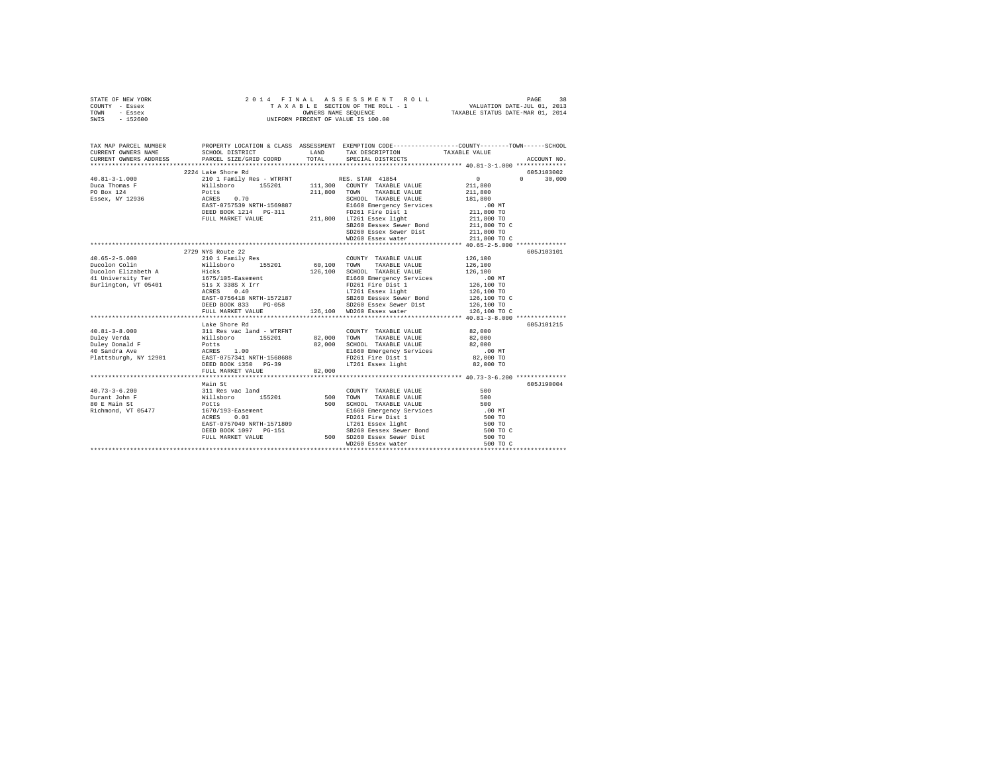| STATE OF NEW YORK<br>COUNTY - Essex<br>TOWN - Essex<br>SWIS - 152600                                                                                                                                                                                                                                                                                                                                                              |                                                                                                                                                                                                                                                                                                                                                                                                           |                       |                                                                                                                                                                         |                                                                                   |               |
|-----------------------------------------------------------------------------------------------------------------------------------------------------------------------------------------------------------------------------------------------------------------------------------------------------------------------------------------------------------------------------------------------------------------------------------|-----------------------------------------------------------------------------------------------------------------------------------------------------------------------------------------------------------------------------------------------------------------------------------------------------------------------------------------------------------------------------------------------------------|-----------------------|-------------------------------------------------------------------------------------------------------------------------------------------------------------------------|-----------------------------------------------------------------------------------|---------------|
| TAX MAP PARCEL NUMBER PROPERTY LOCATION & CLASS ASSESSMENT EXEMPTION CORE--------------COUNT-------SCHOOL DER<br>CURRENT OWNERS NAME SCHOOL DISTRICT CONTENTS LAND TAX DESCRIPTION TAXABLE VALUE VALUE<br>CURRENT OWNERS ADDRESS PARCEL SIZE/GRID COORD                                                                                                                                                                           |                                                                                                                                                                                                                                                                                                                                                                                                           | TOTAL                 | LAND TAX DESCRIPTION TAXABLE VALUE<br>SPECIAL DISTRICTS                                                                                                                 |                                                                                   | ACCOUNT NO.   |
|                                                                                                                                                                                                                                                                                                                                                                                                                                   |                                                                                                                                                                                                                                                                                                                                                                                                           |                       |                                                                                                                                                                         |                                                                                   |               |
|                                                                                                                                                                                                                                                                                                                                                                                                                                   | 2224 Lake Shore Rd                                                                                                                                                                                                                                                                                                                                                                                        |                       |                                                                                                                                                                         |                                                                                   | 605J103002    |
| ${\small \begin{tabular}{lcccc} 40.81-3-1.000 & \textit{214 L4E SIOPE K1D} & \textit{215} & \textit{216 S.} \\ \textit{Duca Thomas F} & & & & & & & & & & & & & \\ \textit{Duca Thomas F} & & & & & & & & & & & & \\ \textit{D0 Box 124} & & & & & & & & & & & & & \\ \textit{D0 Box 124} & & & & & & & & & & & & & \\ \textit{D0 Box 124} & & & & & & & & & & & & & & \\ \textit{D0 Max 12936} & & & & & & & & & & & & & & & \\$ |                                                                                                                                                                                                                                                                                                                                                                                                           |                       | SCHOOL TAXABLE VALUE 181,800                                                                                                                                            | $\mathbf{0}$<br>211,800<br>211,800                                                | $0 \t 30,000$ |
|                                                                                                                                                                                                                                                                                                                                                                                                                                   |                                                                                                                                                                                                                                                                                                                                                                                                           |                       | SB260 Eessex Sewer Bond<br>SD260 Essex Sewer Dist<br>WD260 Essex water                                                                                                  | 00 MT.<br>211,800 TO<br>211,800 TO<br>211,800 TO C<br>211,800 TO<br>211,800 TO C  |               |
|                                                                                                                                                                                                                                                                                                                                                                                                                                   |                                                                                                                                                                                                                                                                                                                                                                                                           |                       |                                                                                                                                                                         |                                                                                   |               |
|                                                                                                                                                                                                                                                                                                                                                                                                                                   | 2729 NYS Route 22                                                                                                                                                                                                                                                                                                                                                                                         |                       |                                                                                                                                                                         |                                                                                   | 605J103101    |
| $40.65 - 2 - 5.000$<br>Ducolon Colin<br>Ducolon Elizabeth A<br>41 University Ter<br>Burlington, VT 05401<br>$40.81 - 3 - 8.000$<br>Duley Verda                                                                                                                                                                                                                                                                                    | 210 1 Family Res<br>Lake Shore Rd<br>311 Res vac land - WTRFNT<br>Willsboro 155201<br>Potts 1.00<br>ACRES 1.00<br>EAST-0757341 NRTH-1568688                                                                                                                                                                                                                                                               | 82,000 TOWN<br>82,000 | COUNTY TAXABLE VALUE<br>FULL MARKET VALUE 126,100 WD260 Essex water<br>COUNTY TAXABLE VALUE 82,000<br>TAXABLE VALUE<br>SCHOOL TAXABLE VALUE<br>E1660 Emergency Services | 126,100<br>126,100 TO C<br>82,000<br>82,000                                       | 605J101215    |
| Duley Donald F<br>40 Sandra Ave<br>Plattsburgh, NY 12901                                                                                                                                                                                                                                                                                                                                                                          | DEED BOOK 1350 PG-39<br>FULL MARKET VALUE                                                                                                                                                                                                                                                                                                                                                                 | 82,000                | E1660 Emergency Services<br>FD261 Fire Dist 1<br>LT261 Essex light                                                                                                      | .00 MT<br>82,000 TO<br>82,000 TO                                                  |               |
|                                                                                                                                                                                                                                                                                                                                                                                                                                   |                                                                                                                                                                                                                                                                                                                                                                                                           |                       |                                                                                                                                                                         |                                                                                   |               |
| $40.73 - 3 - 6.200$<br>Durant John F<br>80 E Main St<br>Richmond, VT 05477                                                                                                                                                                                                                                                                                                                                                        | Main St<br>Amazone State Card Nillsboro<br>Willsboro 155201<br>Potts<br>1670/193-Easement<br>ACRES 0.03<br>1670/193-Easement<br>20070193-Easement<br>20070193-Easement<br>20071261 EAST-0757049<br>20081093 RTH-1571809<br>20081260 EAST-0757049<br>20081260 ESPA EAST-075704<br>20081260 ESPA EAST-075704<br>20081260 ESPA EAST-075704<br>20081260 ESPA EA<br>DEED BOOK 1097 PG-151<br>FULL MARKET VALUE |                       | COUNTY TAXABLE VALUE<br>500 TOWN TAXABLE VALUE<br>500 SCHOOL TAXABLE VALUE<br>WD260 Essex water                                                                         | 500<br>500<br>500<br>.00 MT<br>500 TO<br>500 TO<br>500 TO C<br>500 TO<br>500 TO C | 605J190004    |
|                                                                                                                                                                                                                                                                                                                                                                                                                                   |                                                                                                                                                                                                                                                                                                                                                                                                           |                       |                                                                                                                                                                         |                                                                                   |               |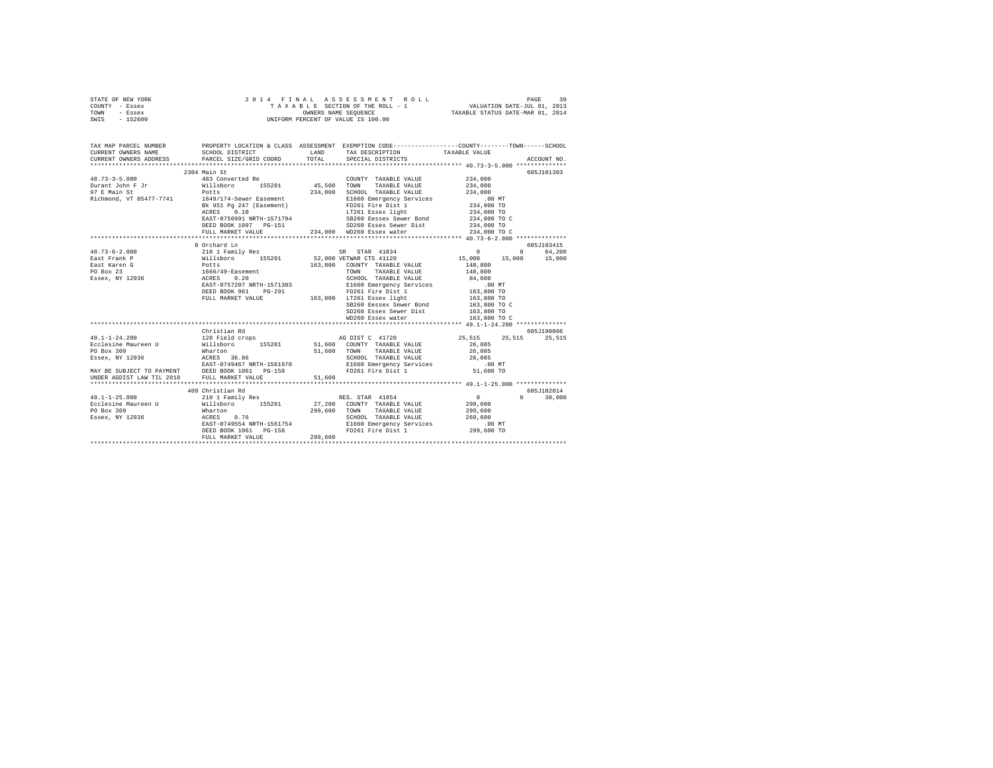| STATE OF NEW YORK | 2014 FINAL ASSESSMENT ROLL         | 39<br>PAGE                       |
|-------------------|------------------------------------|----------------------------------|
| COUNTY - Essex    | TAXABLE SECTION OF THE ROLL - 1    | VALUATION DATE-JUL 01, 2013      |
| TOWN<br>- Essex   | OWNERS NAME SEOUENCE               | TAXABLE STATUS DATE-MAR 01, 2014 |
| $-152600$<br>SWIS | UNIFORM PERCENT OF VALUE IS 100.00 |                                  |

| TAX MAP PARCEL NUMBER<br>CURRENT OWNERS NAME SCHOOL DISTRICT LAND TAX DESCRIPTION CODE--------------COUNTY--------TOWN------SCHOOL<br>CURRENT OWNERS AMBER PARCEL SIZE/GRID COORD TOTAL SPECIAL DISTRICTS ACCOUNT NO.<br>**************                                                                                                                                                                       |                              |                    |                                 |
|---------------------------------------------------------------------------------------------------------------------------------------------------------------------------------------------------------------------------------------------------------------------------------------------------------------------------------------------------------------------------------------------------------------|------------------------------|--------------------|---------------------------------|
|                                                                                                                                                                                                                                                                                                                                                                                                               |                              |                    |                                 |
| 2304 Main St                                                                                                                                                                                                                                                                                                                                                                                                  |                              |                    | 605J101303                      |
|                                                                                                                                                                                                                                                                                                                                                                                                               | COUNTY TAXABLE VALUE 234,000 |                    |                                 |
|                                                                                                                                                                                                                                                                                                                                                                                                               |                              | 234,000<br>234,000 |                                 |
|                                                                                                                                                                                                                                                                                                                                                                                                               |                              |                    |                                 |
|                                                                                                                                                                                                                                                                                                                                                                                                               |                              |                    |                                 |
|                                                                                                                                                                                                                                                                                                                                                                                                               |                              |                    |                                 |
| $\begin{tabular}{l c c c c c} \hline \texttt{NicInmodl}, & \texttt{VP 054179} & \texttt{1649} / 174- \texttt{Sewer Easement} & \texttt{2514,000} & \texttt{non-nou} & \texttt{non-nou} & \texttt{1649} / 174- \texttt{Sewer Easement} & \texttt{E1660 Emergency Services} & \texttt{0.00 MT} \\ & \texttt{Rk951 Fg 247} & \texttt{1649} / 174- \texttt{Sewer Easement} & \texttt{E1660 Emergency Services} &$ |                              |                    |                                 |
|                                                                                                                                                                                                                                                                                                                                                                                                               |                              |                    |                                 |
|                                                                                                                                                                                                                                                                                                                                                                                                               |                              |                    |                                 |
|                                                                                                                                                                                                                                                                                                                                                                                                               |                              |                    |                                 |
|                                                                                                                                                                                                                                                                                                                                                                                                               |                              |                    |                                 |
| 8 Orchard Ln                                                                                                                                                                                                                                                                                                                                                                                                  |                              |                    | 605J103415                      |
| $\begin{tabular}{l c c c c} \multicolumn{3}{c}{\textbf{A0.73--6-2.000}} & \multicolumn{3}{c}{\textbf{3.830} Crccln1 Fami1y Res} & \multicolumn{3}{c}{\textbf{S0.73-6-2.000}} & \multicolumn{3}{c}{\textbf{6.65.1131}415} & \multicolumn{3}{c}{\textbf{6.65.113}415} \\ \multicolumn{3}{c}{\textbf{Ea1.85} Frank & \multicolumn{3}{c}{\textbf{8.85} C} & \multicolumn{3}{c}{\textbf{8.85$                      |                              |                    |                                 |
|                                                                                                                                                                                                                                                                                                                                                                                                               |                              |                    |                                 |
|                                                                                                                                                                                                                                                                                                                                                                                                               |                              |                    |                                 |
|                                                                                                                                                                                                                                                                                                                                                                                                               |                              |                    |                                 |
|                                                                                                                                                                                                                                                                                                                                                                                                               |                              |                    |                                 |
|                                                                                                                                                                                                                                                                                                                                                                                                               |                              |                    |                                 |
|                                                                                                                                                                                                                                                                                                                                                                                                               |                              |                    |                                 |
|                                                                                                                                                                                                                                                                                                                                                                                                               |                              |                    |                                 |
|                                                                                                                                                                                                                                                                                                                                                                                                               |                              |                    |                                 |
|                                                                                                                                                                                                                                                                                                                                                                                                               |                              |                    |                                 |
|                                                                                                                                                                                                                                                                                                                                                                                                               |                              |                    |                                 |
|                                                                                                                                                                                                                                                                                                                                                                                                               |                              |                    |                                 |
| Christian Rd                                                                                                                                                                                                                                                                                                                                                                                                  |                              |                    | 605J190006                      |
|                                                                                                                                                                                                                                                                                                                                                                                                               |                              |                    |                                 |
|                                                                                                                                                                                                                                                                                                                                                                                                               |                              |                    |                                 |
|                                                                                                                                                                                                                                                                                                                                                                                                               |                              |                    |                                 |
|                                                                                                                                                                                                                                                                                                                                                                                                               |                              |                    |                                 |
|                                                                                                                                                                                                                                                                                                                                                                                                               |                              |                    |                                 |
|                                                                                                                                                                                                                                                                                                                                                                                                               |                              |                    |                                 |
|                                                                                                                                                                                                                                                                                                                                                                                                               |                              |                    |                                 |
|                                                                                                                                                                                                                                                                                                                                                                                                               |                              |                    |                                 |
|                                                                                                                                                                                                                                                                                                                                                                                                               |                              |                    | 605J102014                      |
|                                                                                                                                                                                                                                                                                                                                                                                                               |                              |                    | $\Omega$ and $\Omega$<br>30,000 |
|                                                                                                                                                                                                                                                                                                                                                                                                               |                              |                    |                                 |
|                                                                                                                                                                                                                                                                                                                                                                                                               |                              |                    |                                 |
|                                                                                                                                                                                                                                                                                                                                                                                                               |                              |                    |                                 |
|                                                                                                                                                                                                                                                                                                                                                                                                               |                              |                    |                                 |
|                                                                                                                                                                                                                                                                                                                                                                                                               |                              |                    |                                 |
|                                                                                                                                                                                                                                                                                                                                                                                                               |                              |                    |                                 |
|                                                                                                                                                                                                                                                                                                                                                                                                               |                              |                    |                                 |
|                                                                                                                                                                                                                                                                                                                                                                                                               |                              |                    |                                 |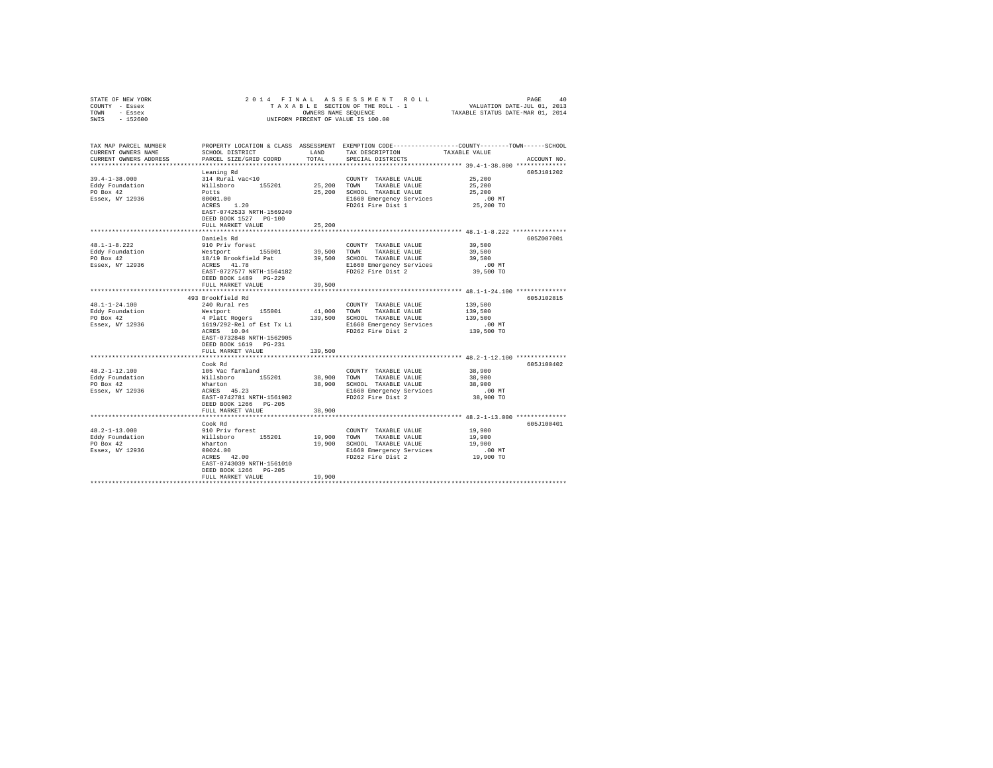| STATE OF NEW YORK      | 2014 FINAL                                                 |               |                                    |                                                                                                                  |  |
|------------------------|------------------------------------------------------------|---------------|------------------------------------|------------------------------------------------------------------------------------------------------------------|--|
| COUNTY - Essex         |                                                            |               |                                    |                                                                                                                  |  |
| TOWN - Essex           |                                                            |               |                                    |                                                                                                                  |  |
| $-152600$<br>SWIS      |                                                            |               | UNIFORM PERCENT OF VALUE IS 100.00 |                                                                                                                  |  |
|                        |                                                            |               |                                    |                                                                                                                  |  |
|                        |                                                            |               |                                    |                                                                                                                  |  |
|                        |                                                            |               |                                    |                                                                                                                  |  |
| TAX MAP PARCEL NUMBER  |                                                            |               |                                    | PROPERTY LOCATION & CLASS ASSESSMENT EXEMPTION CODE---------------COUNTY-------TOWN------SCHOOL<br>TAXABLE VALUE |  |
| CURRENT OWNERS NAME    | SCHOOL DISTRICT                                            | LAND<br>TOTAL | TAX DESCRIPTION                    |                                                                                                                  |  |
| CURRENT OWNERS ADDRESS | PARCEL SIZE/GRID COORD                                     |               | SPECIAL DISTRICTS                  | ACCOUNT NO.                                                                                                      |  |
|                        |                                                            |               |                                    |                                                                                                                  |  |
|                        | Leaning Rd                                                 |               |                                    | 605J101202                                                                                                       |  |
| 39.4-1-38.000          | 314 Rural vac<10                                           |               | COUNTY TAXABLE VALUE               | 25,200                                                                                                           |  |
| Eddy Foundation        | Willsboro 155201                                           |               | 25,200 TOWN TAXABLE VALUE          | 25,200                                                                                                           |  |
| PO Box 42              | Potts                                                      |               | 25,200 SCHOOL TAXABLE VALUE        | 25,200                                                                                                           |  |
| Essex, NY 12936        | 00001.00<br>$\text{ACRES}$ 1.20                            |               | E1660 Emergency Services           | $.00$ MT                                                                                                         |  |
|                        |                                                            |               | FD261 Fire Dist 1                  | 25,200 TO                                                                                                        |  |
|                        | EAST-0742533 NRTH-1569240                                  |               |                                    |                                                                                                                  |  |
|                        | DEED BOOK 1527 PG-100                                      |               |                                    |                                                                                                                  |  |
|                        | FULL MARKET VALUE                                          | 25,200        |                                    |                                                                                                                  |  |
|                        |                                                            |               |                                    |                                                                                                                  |  |
|                        | Daniels Rd                                                 |               |                                    | 605Z007001                                                                                                       |  |
| $48.1 - 1 - 8.222$     | 910 Priv forest                                            |               | COUNTY TAXABLE VALUE               | 39,500                                                                                                           |  |
| Eddy Foundation        | Westport 155001<br>18/19 Brookfield Pat<br>ACRES 41.78     |               | 39,500 TOWN TAXABLE VALUE          | 39,500                                                                                                           |  |
| PO Box 42              |                                                            |               | 39,500 SCHOOL TAXABLE VALUE        | 39,500                                                                                                           |  |
| Essex, NY 12936        |                                                            |               | E1660 Emergency Services           | .00MT                                                                                                            |  |
|                        | EAST-0727577 NRTH-1564182                                  |               | FD262 Fire Dist 2                  | 39,500 TO                                                                                                        |  |
|                        | DEED BOOK 1489 PG-229                                      |               |                                    |                                                                                                                  |  |
|                        | FULL MARKET VALUE                                          | 39,500        |                                    |                                                                                                                  |  |
|                        |                                                            |               |                                    |                                                                                                                  |  |
|                        | 493 Brookfield Rd                                          |               |                                    | 605J102815                                                                                                       |  |
| 48.1-1-24.100          | 240 Rural res                                              |               | COUNTY TAXABLE VALUE               | 139,500                                                                                                          |  |
| Eddy Foundation        | Westport 155001                                            | 41,000        | TOWN TAXABLE VALUE                 | 139,500                                                                                                          |  |
| PO Box 42              | 4 Platt Rogers                                             |               | 139,500 SCHOOL TAXABLE VALUE       | 139,500                                                                                                          |  |
| Essex, NY 12936        | 1619/292-Rel of Est Tx Li                                  |               | E1660 Emergency Services           | $.00$ MT                                                                                                         |  |
|                        | ACRES 10.04                                                |               | FD262 Fire Dist 2                  | 139,500 TO                                                                                                       |  |
|                        | EAST-0732848 NRTH-1562905                                  |               |                                    |                                                                                                                  |  |
|                        | DEED BOOK 1619 PG-231                                      |               |                                    |                                                                                                                  |  |
|                        | FULL MARKET VALUE                                          | 139,500       |                                    |                                                                                                                  |  |
|                        |                                                            |               |                                    |                                                                                                                  |  |
|                        | Cook Rd                                                    |               |                                    | 605J100402                                                                                                       |  |
| $48.2 - 1 - 12.100$    | 105 Vac farmland                                           |               | COUNTY TAXABLE VALUE               | 38,900                                                                                                           |  |
| Eddy Foundation        | Willsboro 155201<br>Wharton                                | 38,900 TOWN   | TAXABLE VALUE                      | 38,900                                                                                                           |  |
| PO Box 42              |                                                            |               | 38,900 SCHOOL TAXABLE VALUE        | 38,900                                                                                                           |  |
| Essex, NY 12936        | wnarton<br>ACRES 45.23                                     |               | E1660 Emergency Services           | $.00$ MT                                                                                                         |  |
|                        | EAST-0742781 NRTH-1561982                                  |               | FD262 Fire Dist 2                  | 38,900 TO                                                                                                        |  |
|                        | DEED BOOK 1266 PG-205                                      |               |                                    |                                                                                                                  |  |
|                        | FULL MARKET VALUE                                          | 38,900        |                                    |                                                                                                                  |  |
|                        |                                                            |               |                                    |                                                                                                                  |  |
|                        | Cook Rd                                                    |               |                                    | 605J100401                                                                                                       |  |
| $48.2 - 1 - 13.000$    | 910 Priv forest                                            |               | COUNTY TAXABLE VALUE               | 19,900                                                                                                           |  |
| Eddy Foundation        |                                                            |               | 19,900 TOWN TAXABLE VALUE          | 19,900                                                                                                           |  |
| PO Box 42              | yiu Friv rorest<br>Willsboro 155201<br>Wharton<br>00024.00 |               | 19,900 SCHOOL TAXABLE VALUE        | 19,900                                                                                                           |  |
| Essex, NY 12936        |                                                            |               | E1660 Emergency Services           | $.00$ MT                                                                                                         |  |
|                        | ACRES 42.00                                                |               | FD262 Fire Dist 2                  | 19,900 TO                                                                                                        |  |
|                        | EAST-0743039 NRTH-1561010                                  |               |                                    |                                                                                                                  |  |
|                        | DEED BOOK 1266 PG-205                                      |               |                                    |                                                                                                                  |  |
|                        | FULL MARKET VALUE                                          | 19,900        |                                    |                                                                                                                  |  |
|                        |                                                            |               |                                    |                                                                                                                  |  |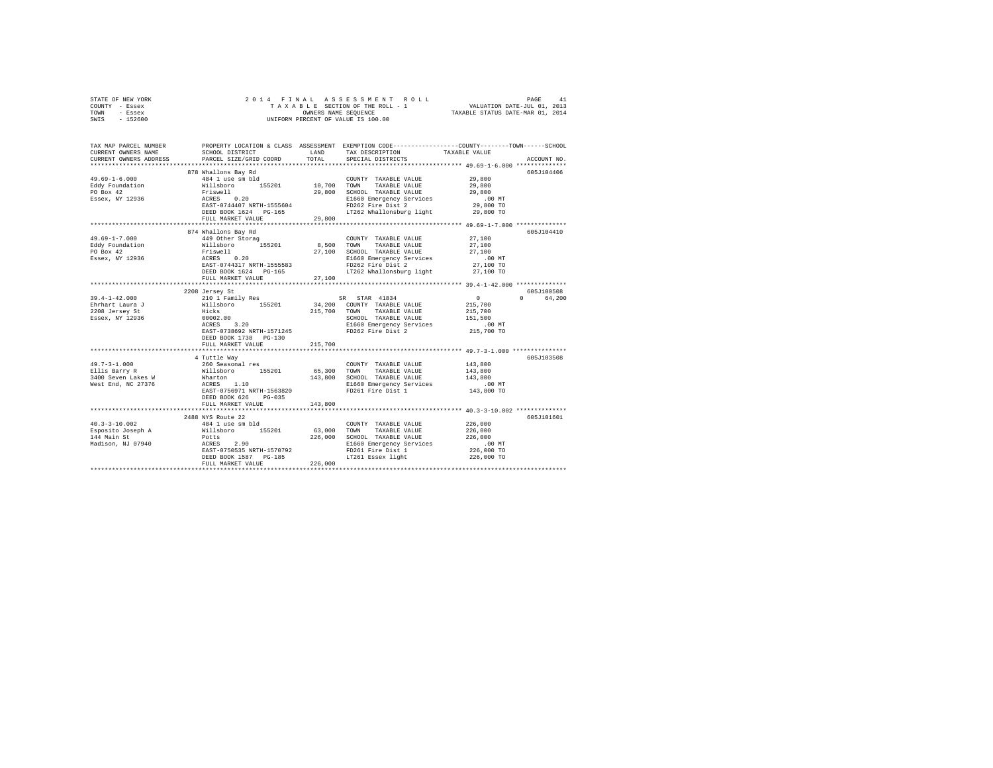| STATE OF NEW YORK                                                                                                                                                                                                                 | 2014 FINAL                                                                                     |             |                                                                                                 |               |             |  |
|-----------------------------------------------------------------------------------------------------------------------------------------------------------------------------------------------------------------------------------|------------------------------------------------------------------------------------------------|-------------|-------------------------------------------------------------------------------------------------|---------------|-------------|--|
| COUNTY - Essex                                                                                                                                                                                                                    |                                                                                                |             |                                                                                                 |               |             |  |
| TOWN<br>- Essex                                                                                                                                                                                                                   | OWNERS NAME SEQUENCE<br>UNIFORM PERCENT OF VALUE IS 100.00<br>TAXABLE STATUS DATE-MAR 01, 2014 |             |                                                                                                 |               |             |  |
| SWIS - 152600                                                                                                                                                                                                                     |                                                                                                |             |                                                                                                 |               |             |  |
|                                                                                                                                                                                                                                   |                                                                                                |             |                                                                                                 |               |             |  |
|                                                                                                                                                                                                                                   |                                                                                                |             |                                                                                                 |               |             |  |
|                                                                                                                                                                                                                                   |                                                                                                |             |                                                                                                 |               |             |  |
| TAX MAP PARCEL NUMBER                                                                                                                                                                                                             |                                                                                                |             | PROPERTY LOCATION & CLASS ASSESSMENT EXEMPTION CODE---------------COUNTY-------TOWN------SCHOOL |               |             |  |
| CURRENT OWNERS NAME                                                                                                                                                                                                               | SCHOOL DISTRICT                                                                                | LAND        | TAX DESCRIPTION                                                                                 | TAXABLE VALUE |             |  |
| CURRENT OWNERS ADDRESS                                                                                                                                                                                                            | PARCEL SIZE/GRID COORD                                                                         | TOTAL       | SPECIAL DISTRICTS                                                                               |               | ACCOUNT NO. |  |
|                                                                                                                                                                                                                                   |                                                                                                |             |                                                                                                 |               |             |  |
|                                                                                                                                                                                                                                   |                                                                                                |             |                                                                                                 |               | 605J104406  |  |
|                                                                                                                                                                                                                                   | 878 Whallons Bay Rd<br>484 1 use sm bld                                                        |             |                                                                                                 | 29,800        |             |  |
| $49.69 - 1 - 6.000$                                                                                                                                                                                                               |                                                                                                | 10.700 TOWN | COUNTY TAXABLE VALUE                                                                            |               |             |  |
| Eddy Foundation                                                                                                                                                                                                                   |                                                                                                |             | TAXABLE VALUE                                                                                   | 29,800        |             |  |
| PO Box 42                                                                                                                                                                                                                         |                                                                                                | 29,800      | SCHOOL TAXABLE VALUE                                                                            | 29,800        |             |  |
| Essex, NY 12936                                                                                                                                                                                                                   | Willsboro<br>Friswell<br>ACRES 0.20                                                            |             | E1660 Emergency Services                                                                        | .00MT         |             |  |
|                                                                                                                                                                                                                                   | EAST-0744407 NRTH-1555604                                                                      |             |                                                                                                 | 29,800 TO     |             |  |
|                                                                                                                                                                                                                                   | DEED BOOK 1624 PG-165                                                                          |             | LT262 Whallonsburg light                                                                        | 29,800 TO     |             |  |
|                                                                                                                                                                                                                                   | FULL MARKET VALUE                                                                              | 29,800      |                                                                                                 |               |             |  |
|                                                                                                                                                                                                                                   |                                                                                                |             |                                                                                                 |               |             |  |
|                                                                                                                                                                                                                                   | 874 Whallons Bay Rd                                                                            |             |                                                                                                 |               | 605J104410  |  |
| $49.69 - 1 - 7.000$                                                                                                                                                                                                               | 449 Other Storag                                                                               |             | COUNTY TAXABLE VALUE                                                                            | 27,100        |             |  |
| Eddy Foundation                                                                                                                                                                                                                   | Willsboro 155201                                                                               | 8,500 TOWN  | TAXABLE VALUE                                                                                   | 27,100        |             |  |
| PO Box 42                                                                                                                                                                                                                         |                                                                                                |             | 27,100 SCHOOL TAXABLE VALUE                                                                     | 27,100        |             |  |
| Essex, NY 12936                                                                                                                                                                                                                   | Friswell<br>ACRES 0.20                                                                         |             | E1660 Emergency Services                                                                        | $.00$ MT      |             |  |
|                                                                                                                                                                                                                                   | EAST-0744317 NRTH-1555583                                                                      |             | FD262 Fire Dist 2                                                                               | 27,100 TO     |             |  |
|                                                                                                                                                                                                                                   |                                                                                                |             |                                                                                                 |               |             |  |
|                                                                                                                                                                                                                                   | DEED BOOK 1624 PG-165                                                                          |             | LT262 Whallonsburg light                                                                        | 27,100 TO     |             |  |
|                                                                                                                                                                                                                                   | FULL MARKET VALUE                                                                              | 27,100      |                                                                                                 |               |             |  |
|                                                                                                                                                                                                                                   |                                                                                                |             |                                                                                                 |               |             |  |
|                                                                                                                                                                                                                                   | 2208 Jersey St                                                                                 |             |                                                                                                 |               | 605J100508  |  |
| 39.4-1-42.000                                                                                                                                                                                                                     | 210 1 Family Res                                                                               |             | SR STAR 41834                                                                                   | $\mathbf{0}$  | 0 64,200    |  |
| Ehrhart Laura J                                                                                                                                                                                                                   |                                                                                                |             | 34,200 COUNTY TAXABLE VALUE                                                                     | 215,700       |             |  |
| 2208 Jersey St                                                                                                                                                                                                                    |                                                                                                |             | 215,700 TOWN<br>TAXABLE VALUE                                                                   | 215,700       |             |  |
| Essex, NY 12936                                                                                                                                                                                                                   | Willisboro 155201 34,200<br>Hicks 155201 34,200<br>00002.00<br>ACRES 3.20                      |             | SCHOOL TAXABLE VALUE                                                                            | 151,500       |             |  |
|                                                                                                                                                                                                                                   |                                                                                                |             | E1660 Emergency Services                                                                        | .00 MT        |             |  |
|                                                                                                                                                                                                                                   | EAST-0738692 NRTH-1571245                                                                      |             | FD262 Fire Dist 2                                                                               | 215,700 TO    |             |  |
|                                                                                                                                                                                                                                   | DEED BOOK 1738 PG-130                                                                          |             |                                                                                                 |               |             |  |
|                                                                                                                                                                                                                                   | FULL MARKET VALUE                                                                              | 215,700     |                                                                                                 |               |             |  |
|                                                                                                                                                                                                                                   |                                                                                                |             |                                                                                                 |               |             |  |
|                                                                                                                                                                                                                                   | 4 Tuttle Way                                                                                   |             |                                                                                                 |               | 605J103508  |  |
| $49.7 - 3 - 1.000$                                                                                                                                                                                                                | 260 Seasonal res                                                                               |             | COUNTY TAXABLE VALUE                                                                            | 143,800       |             |  |
| 49.7-3-1.000<br>Ellis Barry R                                                                                                                                                                                                     | Willsboro 155201 65,300 TOWN                                                                   |             | TAXABLE VALUE                                                                                   | 143,800       |             |  |
| 3400 Seven Lakes W                                                                                                                                                                                                                | Wharton                                                                                        |             | 143,800 SCHOOL TAXABLE VALUE                                                                    | 143,800       |             |  |
| West End, NC 27376                                                                                                                                                                                                                | ACRES 1.10                                                                                     |             | E1660 Emergency Services                                                                        | $.00$ MT      |             |  |
|                                                                                                                                                                                                                                   | EAST-0756971 NRTH-1563820                                                                      |             | FD261 Fire Dist 1                                                                               | 143,800 TO    |             |  |
|                                                                                                                                                                                                                                   | DEED BOOK 626 PG-035                                                                           |             |                                                                                                 |               |             |  |
|                                                                                                                                                                                                                                   |                                                                                                |             |                                                                                                 |               |             |  |
|                                                                                                                                                                                                                                   | FULL MARKET VALUE                                                                              | 143,800     |                                                                                                 |               |             |  |
|                                                                                                                                                                                                                                   |                                                                                                |             |                                                                                                 |               |             |  |
|                                                                                                                                                                                                                                   | 2488 NYS Route 22                                                                              |             |                                                                                                 |               | 605J101601  |  |
|                                                                                                                                                                                                                                   |                                                                                                |             | COUNTY TAXABLE VALUE                                                                            | 226,000       |             |  |
| $\texttt{Esposition 10.002} \begin{tabular}{lcccc} 40.3-3-10.002 & 484 & 113e & 84 \\ \texttt{Esposition 20.001} & 155201 & 63,000 & 70\text{NN} \\ \texttt{Esposition 3.226,000} & 226 & 0.000 & 5\text{CHOOL} \\ \end{tabular}$ |                                                                                                |             | TAXABLE VALUE                                                                                   | 226,000       |             |  |
|                                                                                                                                                                                                                                   |                                                                                                |             | 226,000 SCHOOL TAXABLE VALUE                                                                    | 226,000       |             |  |
| Madison, NJ 07940                                                                                                                                                                                                                 |                                                                                                |             | E1660 Emergency Services                                                                        | $.00$ MT      |             |  |
|                                                                                                                                                                                                                                   | Potts<br>ACRES 2.90<br>EAST-0750535 NRTH-1570792                                               |             | FD261 Fire Dist 1                                                                               | 226,000 TO    |             |  |
|                                                                                                                                                                                                                                   | DEED BOOK 1587 PG-185                                                                          |             | LT261 Essex light                                                                               | 226,000 TO    |             |  |
|                                                                                                                                                                                                                                   | FULL MARKET VALUE                                                                              | 226,000     |                                                                                                 |               |             |  |
|                                                                                                                                                                                                                                   |                                                                                                |             |                                                                                                 |               |             |  |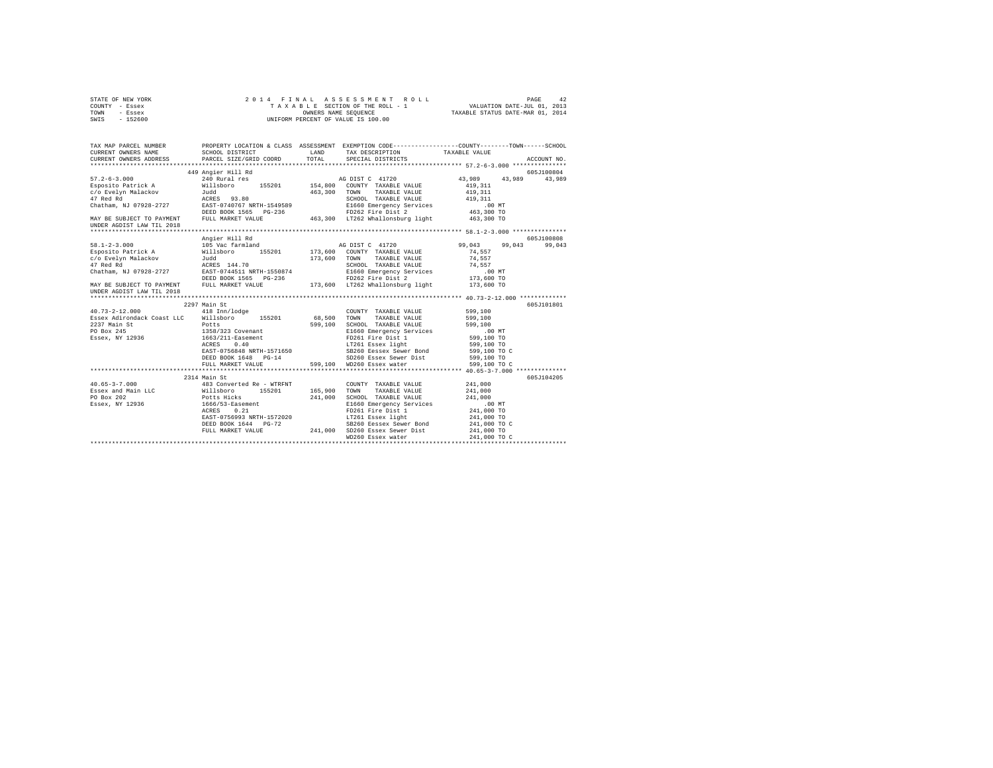| STATE OF NEW YORK<br>COUNTY<br>- Essex<br>TOWN<br>- Essex<br>$-152600$<br>SWIS                                          |                                                                                                                                                                                                                                |         | 2014 FINAL ASSESSMENT ROLL<br>TAXABLE SECTION OF THE ROLL - 1<br>OWNERS NAME SEQUENCE<br>UNIFORM PERCENT OF VALUE IS 100.00 | 42<br>PAGE<br>VALUATION DATE-JUL 01, 2013<br>TAXABLE STATUS DATE-MAR 01, 2014                |
|-------------------------------------------------------------------------------------------------------------------------|--------------------------------------------------------------------------------------------------------------------------------------------------------------------------------------------------------------------------------|---------|-----------------------------------------------------------------------------------------------------------------------------|----------------------------------------------------------------------------------------------|
| TAX MAP PARCEL NUMBER<br>CURRENT OWNERS NAME<br>CURRENT OWNERS ADDRESS . PARCEL SIZE/GRID COORD TOTAL SPECIAL DISTRICTS | PROPERTY LOCATION & CLASS ASSESSMENT<br>SCHOOL DISTRICT<br><b>LAND</b>                                                                                                                                                         |         | TAX DESCRIPTION                                                                                                             | EXEMPTION CODE-----------------COUNTY-------TOWN------SCHOOL<br>TAXABLE VALUE<br>ACCOUNT NO. |
|                                                                                                                         | 449 Angier Hill Rd                                                                                                                                                                                                             |         |                                                                                                                             | 605J100804                                                                                   |
| $57.2 - 6 - 3.000$                                                                                                      | 240 Rural res                                                                                                                                                                                                                  |         |                                                                                                                             | AG DIST C 41720 43,989 43,989 43,989                                                         |
| Esposito Patrick A                                                                                                      | Willsboro 155201                                                                                                                                                                                                               | 154,800 | COUNTY TAXABLE VALUE                                                                                                        | 419,311                                                                                      |
| c/o Evelyn Malackov                                                                                                     | Juddham and the state of the state of the state of the state of the state of the state of the state of the state of the state of the state of the state of the state of the state of the state of the state of the state of th | 463,300 | TOWN<br>TAXABLE VALUE                                                                                                       | 419.311                                                                                      |
| ACRES 93.80<br>47 Red Rd                                                                                                |                                                                                                                                                                                                                                |         | SCHOOL<br>TAXABLE VALUE                                                                                                     | 419.311                                                                                      |
| Chatham, NJ 07928-2727                                                                                                  | EAST-0740767 NRTH-1549589                                                                                                                                                                                                      |         | E1660 Emergency Services                                                                                                    | $.00$ MT                                                                                     |
|                                                                                                                         | DEED BOOK 1565 PG-236                                                                                                                                                                                                          |         | FD262 Fire Dist 2 463,300 TO                                                                                                |                                                                                              |
| MAY BE SUBJECT TO PAYMENT                                                                                               | FULL MARKET VALUE                                                                                                                                                                                                              | 463,300 | LT262 Whallonsburg light 463.300 TO                                                                                         |                                                                                              |
| IINDER AGDIST LAW TIL 2018                                                                                              |                                                                                                                                                                                                                                |         |                                                                                                                             |                                                                                              |

| MAY BE SUBJECT TO PAYMENT<br>UNDER AGDIST LAW TIL 2018 | FULL MARKET VALUE         |         | 463.300 LT262 Whallonsburg light 463.300 TO |              |                  |
|--------------------------------------------------------|---------------------------|---------|---------------------------------------------|--------------|------------------|
|                                                        | Angier Hill Rd            |         |                                             |              | 605-7100808      |
| $58.1 - 2 - 3.000$                                     | 105 Vac farmland          |         | AG DIST C 41720                             | 99,043       | 99,043<br>99.043 |
| Esposito Patrick A Willsboro                           |                           |         | 155201 173,600 COUNTY TAXABLE VALUE         | 74.557       |                  |
| c/o Evelyn Malackov                                    | Judd                      | 173,600 | TAXABLE VALUE<br>TOWN                       | 74.557       |                  |
| 47 Red Rd<br>ACRES 144.70                              |                           |         | SCHOOL TAXABLE VALUE                        | 74.557       |                  |
| Chatham, NJ 07928-2727 EAST-0744511 NRTH-1550874       |                           |         | E1660 Emergency Services                    | .00MT        |                  |
|                                                        | DEED BOOK 1565 PG-236     |         | FD262 Fire Dist 2 173,600 TO                |              |                  |
| MAY BE SUBJECT TO PAYMENT<br>UNDER AGDIST LAW TIL 2018 | FULL MARKET VALUE         |         | 173,600 LT262 Whallonsburg light 173,600 TO |              |                  |
|                                                        |                           |         |                                             |              |                  |
|                                                        | 2297 Main St              |         |                                             |              | 605J101801       |
| $40.73 - 2 - 12.000$                                   | 418 Inn/lodge             |         | COUNTY TAXABLE VALUE                        | 599,100      |                  |
| Essex Adirondack Coast LLC Willsboro                   | 155201                    | 68,500  | TOWN<br>TAXABLE VALUE                       | 599,100      |                  |
| 2237 Main St                                           | Potts                     | 599,100 | SCHOOL TAXABLE VALUE                        | 599,100      |                  |
| PO Box 245                                             | 1358/323 Covenant         |         | E1660 Emergency Services                    | .00MT        |                  |
| Essex, NY 12936                                        | 1663/211-Easement         |         | FD261 Fire Dist 1                           | 599,100 TO   |                  |
|                                                        | ACRES 0.40                |         | LT261 Essex light                           | 599,100 TO   |                  |
|                                                        | EAST-0756848 NRTH-1571650 |         | SB260 Eessex Sewer Bond                     | 599,100 TO C |                  |
|                                                        | DEED BOOK 1648 PG-14      |         | SD260 Essex Sewer Dist                      | 599,100 TO   |                  |
|                                                        | FULL MARKET VALUE         |         | 599,100 WD260 Essex water 599,100 TO C      |              |                  |
|                                                        |                           |         |                                             |              |                  |
|                                                        | 2314 Main St              |         |                                             |              | 605J104205       |
| $40.65 - 3 - 7.000$                                    | 483 Converted Re - WTRFNT |         | COUNTY TAXABLE VALUE                        | 241,000      |                  |
| Essex and Main LLC (Willsboro 155201)<br>PO Box 202    |                           | 165,900 | TOWN<br>TAXABLE VALUE                       | 241,000      |                  |
| PO Box 202                                             | Potts Hicks               | 241,000 | SCHOOL TAXABLE VALUE                        | 241,000      |                  |
| Essex, NY 12936                                        | 1666/53-Easement          |         | E1660 Emergency Services                    | $.00$ MT     |                  |
|                                                        | 0.21<br>ACRES             |         | FD261 Fire Dist 1                           | 241,000 TO   |                  |
|                                                        | EAST-0756993 NRTH-1572020 |         | LT261 Essex light 6 241,000 TO              |              |                  |
|                                                        | DEED BOOK 1644 PG-72      |         | SB260 Eessex Sewer Bond 241,000 TO C        |              |                  |
|                                                        | FULL MARKET VALUE         | 241,000 | SD260 Essex Sewer Dist                      | 241,000 TO   |                  |
|                                                        |                           |         | WD260 Essex water                           | 241,000 TO C |                  |
|                                                        |                           |         |                                             |              |                  |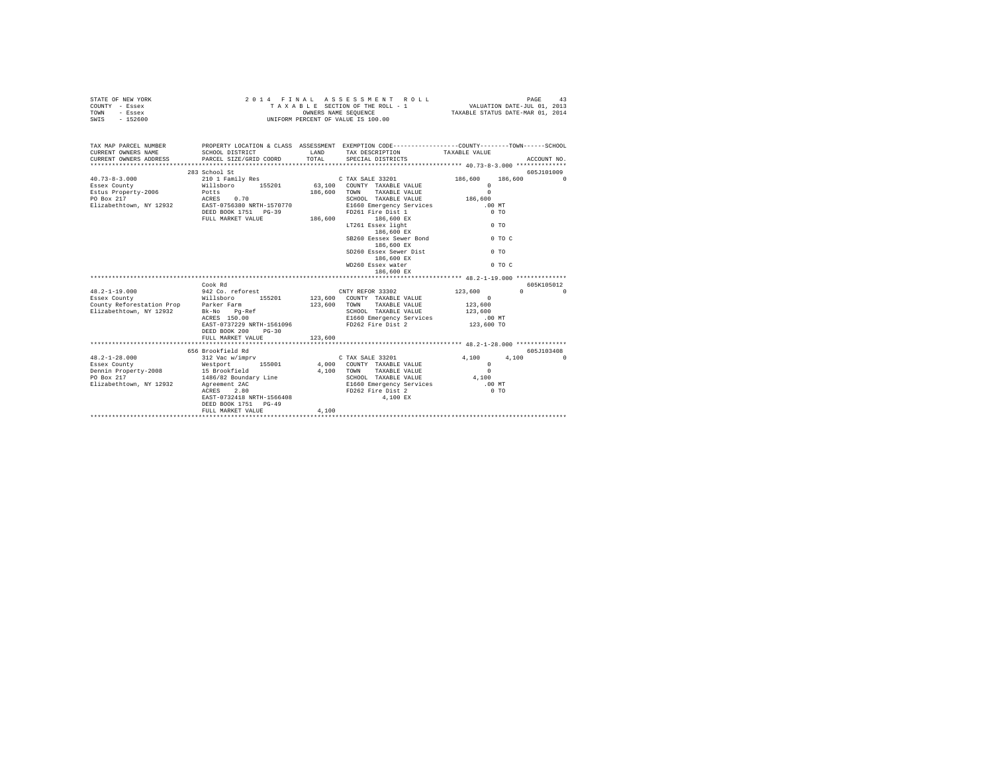| STATE OF NEW YORK<br>COUNTY - Essex<br>TOWN<br>- Essex<br>$-152600$<br>SWIS                                                                                           |                                                                                                                                                                                                                           |                         | 2014 FINAL ASSESSMENT ROLL<br>TAXABLE SECTION OF THE ROLL - 1<br>OWNERS NAME SEQUENCE<br>UNIFORM PERCENT OF VALUE IS 100.00                                           |                                                                                                      | PAGE<br>43<br>VALUATION DATE-JUL 01, 2013<br>TAXABLE STATUS DATE-MAR 01, 2014 |
|-----------------------------------------------------------------------------------------------------------------------------------------------------------------------|---------------------------------------------------------------------------------------------------------------------------------------------------------------------------------------------------------------------------|-------------------------|-----------------------------------------------------------------------------------------------------------------------------------------------------------------------|------------------------------------------------------------------------------------------------------|-------------------------------------------------------------------------------|
| TAX MAP PARCEL NUMBER PROPERTY LOCATION & CLASS ASSESSMENT EXEMPTION CODE--------------COUNTY-------TOWN------SCHOOL<br>CURRENT OWNERS NAME<br>CURRENT OWNERS ADDRESS | SCHOOL DISTRICT<br>PARCEL SIZE/GRID COORD                                                                                                                                                                                 | LAND<br>TOTAL           | TAX DESCRIPTION<br>SPECIAL DISTRICTS                                                                                                                                  | TAXABLE VALUE                                                                                        | ACCOUNT NO.                                                                   |
| $40.73 - 8 - 3.000$<br>Essex County<br>Estus Property-2006<br>PO Box 217<br>Elizabethtown, NY 12932 EAST-0756380 NRTH-1570770                                         | 283 School St<br>210 1 Family Res<br>210 1 Family Res 155201 63,100 COUNTY TAXABLE VALUE<br>POtts 155201 186,600 TOWN TAXABLE VALUE<br>RCTES 0.70 186,600 TOWN TAXABLE VALUE<br>DEED BOOK 1751 PG-39<br>FULL MARKET VALUE | 186,600                 | C TAX SALE 33201<br>SCHOOL TAXABLE VALUE<br>E1660 Emergency Services<br>FD261 Fire Dist 1<br>186,600 EX<br>LT261 Essex light<br>186,600 EX<br>SB260 Eessex Sewer Bond | 186,600<br>$\Omega$<br>$\Omega$<br>186,600<br>.00MT<br>$0$ TO<br>$0$ TO                              | 605J101009<br>186,600<br>$\Omega$<br>$0$ TO C                                 |
|                                                                                                                                                                       |                                                                                                                                                                                                                           |                         | 186,600 EX<br>SD260 Essex Sewer Dist<br>186,600 EX<br>WD260 Essex water<br>186,600 EX                                                                                 | $0$ TO                                                                                               | $0$ TO C<br>605K105012                                                        |
|                                                                                                                                                                       | EAST-0737229 NRTH-1561096<br>DEED BOOK 200<br>$PG-30$<br>FULL MARKET VALUE                                                                                                                                                | 123,600 TOWN<br>123,600 | CNTY REFOR 33302<br>123,600 COUNTY TAXABLE VALUE<br>TAXABLE VALUE<br>SCHOOL TAXABLE VALUE<br>E1660 Emergency Services<br>FD262 Fire Dist 2                            | 123,600<br>$\sim$ 000 $\sim$ 000 $\sim$ 000 $\sim$<br>123,600<br>123,600<br>$.00$ MT<br>$123,600$ TO | $\mathbf{0}$ and $\mathbf{0}$<br>$\Omega$                                     |
| $48.2 - 1 - 28.000$<br>Essex County<br>Essex County<br>Dennin Property-2008<br>PO Box 217<br>Elizabethtown, NY 12932 Agreement 2AC                                    | 656 Brookfield Rd<br>312 Vac w/imprv<br>Westport 155001<br>15 Brookfield<br>1486/82 Boundary Line<br>in 1999.<br>Prima politika<br>ACRES 2.80<br>EAST-0732418 NRTH-1566408<br>DEED BOOK 1751 PG-49<br>FULL MARKET VALUE   | 4,100                   | C TAX SALE 33201<br>4,000 COUNTY TAXABLE VALUE<br>4.100 TOWN TAXABLE VALUE<br>SCHOOL TAXABLE VALUE<br>E1660 Emergency Services<br>FD262 Fire Dist 2<br>4,100 EX       | 4,100<br>$\Omega$<br>$\Omega$<br>$4,100$<br>.00 MT<br>$0$ TO                                         | 605J103408<br>4,100<br>$\Omega$                                               |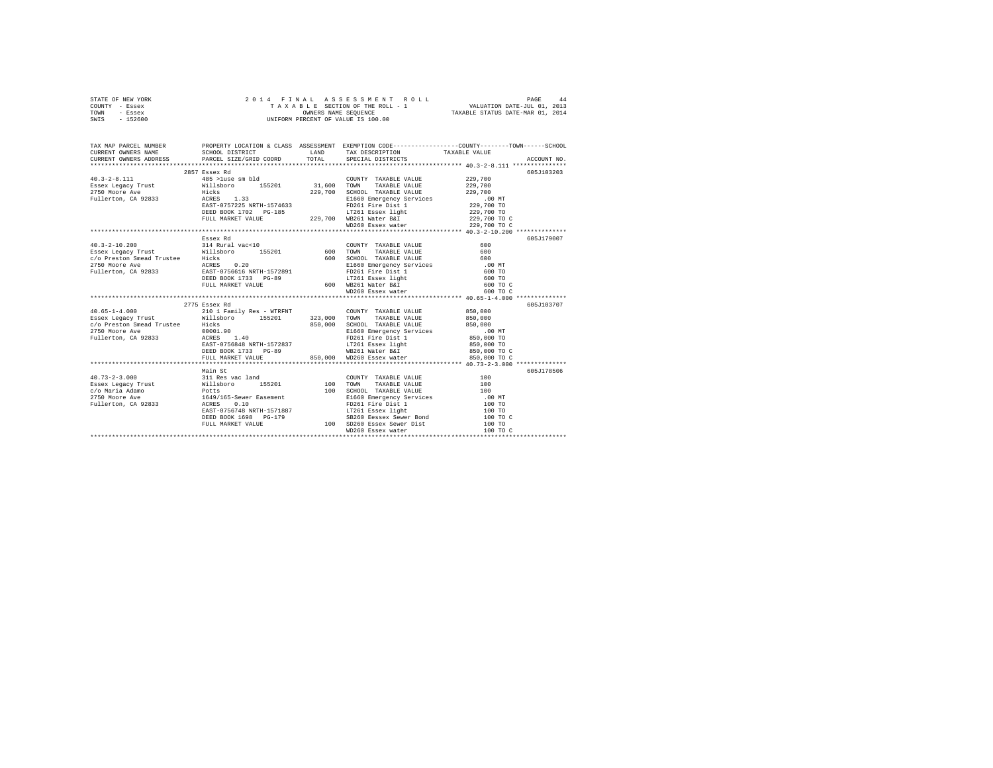| STATE OF NEW YORK<br>COUNTY - Essex<br>TOWN - Essex<br>SWIS - 152600                                                                                                                                                                                                                                                                                                                                                                   | 2014 FINAL ASSESSMENT R<br>TAXABLE SECTION OF THE ROLL - 1<br>OWNERS NAME SEQUENCE<br>UNIFORM PERCENT OF VALUE IS 100.00 |                                               | PAGE 44 PINAL ASSESSMENT ROLL PAGE 44<br>TAXABLE SECTION OF THE ROLL - 1 VALUATION DATE-JUL 01, 2013<br>OWNERS NAME SEQUENCE TAXABLE STATUS DATE-MAR 01, 2014 |
|----------------------------------------------------------------------------------------------------------------------------------------------------------------------------------------------------------------------------------------------------------------------------------------------------------------------------------------------------------------------------------------------------------------------------------------|--------------------------------------------------------------------------------------------------------------------------|-----------------------------------------------|---------------------------------------------------------------------------------------------------------------------------------------------------------------|
|                                                                                                                                                                                                                                                                                                                                                                                                                                        |                                                                                                                          |                                               |                                                                                                                                                               |
|                                                                                                                                                                                                                                                                                                                                                                                                                                        |                                                                                                                          |                                               |                                                                                                                                                               |
|                                                                                                                                                                                                                                                                                                                                                                                                                                        |                                                                                                                          |                                               |                                                                                                                                                               |
|                                                                                                                                                                                                                                                                                                                                                                                                                                        | 2857 Essex Rd                                                                                                            |                                               | 605J103203                                                                                                                                                    |
|                                                                                                                                                                                                                                                                                                                                                                                                                                        |                                                                                                                          | COUNTY TAXABLE VALUE                          | 229,700                                                                                                                                                       |
|                                                                                                                                                                                                                                                                                                                                                                                                                                        |                                                                                                                          | TAXABLE VALUE                                 | 229,700                                                                                                                                                       |
|                                                                                                                                                                                                                                                                                                                                                                                                                                        |                                                                                                                          | 229,700 SCHOOL TAXABLE VALUE                  | 229,700                                                                                                                                                       |
|                                                                                                                                                                                                                                                                                                                                                                                                                                        |                                                                                                                          |                                               |                                                                                                                                                               |
|                                                                                                                                                                                                                                                                                                                                                                                                                                        |                                                                                                                          | FD261 Fire Dist 1                             |                                                                                                                                                               |
|                                                                                                                                                                                                                                                                                                                                                                                                                                        |                                                                                                                          |                                               | 229,700 TO                                                                                                                                                    |
|                                                                                                                                                                                                                                                                                                                                                                                                                                        |                                                                                                                          | WD260 Essex water                             | 229,700 TO C<br>229,700 TO C                                                                                                                                  |
|                                                                                                                                                                                                                                                                                                                                                                                                                                        |                                                                                                                          |                                               |                                                                                                                                                               |
|                                                                                                                                                                                                                                                                                                                                                                                                                                        | Essex Rd                                                                                                                 |                                               | 605J179007                                                                                                                                                    |
|                                                                                                                                                                                                                                                                                                                                                                                                                                        |                                                                                                                          |                                               | 600                                                                                                                                                           |
|                                                                                                                                                                                                                                                                                                                                                                                                                                        |                                                                                                                          |                                               | 600                                                                                                                                                           |
|                                                                                                                                                                                                                                                                                                                                                                                                                                        |                                                                                                                          |                                               | 600                                                                                                                                                           |
|                                                                                                                                                                                                                                                                                                                                                                                                                                        |                                                                                                                          |                                               | $.00$ MT                                                                                                                                                      |
|                                                                                                                                                                                                                                                                                                                                                                                                                                        |                                                                                                                          |                                               | 600 TO                                                                                                                                                        |
|                                                                                                                                                                                                                                                                                                                                                                                                                                        |                                                                                                                          |                                               | 600 TO                                                                                                                                                        |
|                                                                                                                                                                                                                                                                                                                                                                                                                                        |                                                                                                                          |                                               | 600 TO C                                                                                                                                                      |
|                                                                                                                                                                                                                                                                                                                                                                                                                                        |                                                                                                                          |                                               | 600 TO C                                                                                                                                                      |
|                                                                                                                                                                                                                                                                                                                                                                                                                                        |                                                                                                                          |                                               |                                                                                                                                                               |
|                                                                                                                                                                                                                                                                                                                                                                                                                                        | 2775 Essex Rd                                                                                                            |                                               | 605J103707                                                                                                                                                    |
| $40.65 - 1 - 4.000$                                                                                                                                                                                                                                                                                                                                                                                                                    | 210 1 Family Res - WTRFNT                                                                                                | COUNTY TAXABLE VALUE                          | 850,000                                                                                                                                                       |
| $\texttt{Esesex Legacy Trust} \begin{tabular}{lcccccc} \texttt{Esesex Legacy Trust} & \texttt{Willsboro} & \texttt{155201} & \texttt{323,000} & \texttt{TORM} & \texttt{TAKABLE VALUE} & \texttt{850,000} \\ \texttt{c/o Presenton Smead Trustee} & \texttt{Hicks} & & & \texttt{850,000} & \texttt{SCHOOL TAKABLE VALUE} & \texttt{050,000} & \texttt{050,000} & \texttt{050,000} & \texttt{050,000} & \texttt{050,000} & \texttt{05$ |                                                                                                                          |                                               |                                                                                                                                                               |
| 2750 Moore Ave                                                                                                                                                                                                                                                                                                                                                                                                                         |                                                                                                                          |                                               |                                                                                                                                                               |
| Fullerton, CA 92833                                                                                                                                                                                                                                                                                                                                                                                                                    | Hicks<br>00001.90<br>ACRES 1.40                                                                                          | E1660 Emergency Services<br>FD261 Fire Dist 1 | MT.<br>850,000 TO                                                                                                                                             |
|                                                                                                                                                                                                                                                                                                                                                                                                                                        |                                                                                                                          |                                               | 850,000 TO                                                                                                                                                    |
|                                                                                                                                                                                                                                                                                                                                                                                                                                        | DEED BOOK 1733 PG-89                                                                                                     | WB261 Water B&I                               | 850,000 TO C                                                                                                                                                  |
|                                                                                                                                                                                                                                                                                                                                                                                                                                        |                                                                                                                          | FULL MARKET VALUE 850,000 WD260 Essex water   | 850,000 TO C                                                                                                                                                  |
|                                                                                                                                                                                                                                                                                                                                                                                                                                        |                                                                                                                          |                                               |                                                                                                                                                               |
|                                                                                                                                                                                                                                                                                                                                                                                                                                        |                                                                                                                          |                                               | 605J178506                                                                                                                                                    |
|                                                                                                                                                                                                                                                                                                                                                                                                                                        |                                                                                                                          |                                               |                                                                                                                                                               |
|                                                                                                                                                                                                                                                                                                                                                                                                                                        |                                                                                                                          |                                               |                                                                                                                                                               |
|                                                                                                                                                                                                                                                                                                                                                                                                                                        |                                                                                                                          |                                               |                                                                                                                                                               |
|                                                                                                                                                                                                                                                                                                                                                                                                                                        |                                                                                                                          |                                               |                                                                                                                                                               |
|                                                                                                                                                                                                                                                                                                                                                                                                                                        |                                                                                                                          |                                               |                                                                                                                                                               |
|                                                                                                                                                                                                                                                                                                                                                                                                                                        |                                                                                                                          |                                               |                                                                                                                                                               |
|                                                                                                                                                                                                                                                                                                                                                                                                                                        |                                                                                                                          |                                               |                                                                                                                                                               |
|                                                                                                                                                                                                                                                                                                                                                                                                                                        |                                                                                                                          |                                               |                                                                                                                                                               |
| $\begin{tabular}{l c c c c c} \multicolumn{3}{c}{\textbf{40.73--2-3.000}} & \multicolumn{3}{c}{Main St} & \multicolumn{3}{c}{\textbf{5201}} & \multicolumn{3}{c}{Main St} & \multicolumn{3}{c}{\textbf{5201}} & \multicolumn{3}{c}{\textbf{5201}} & \multicolumn{3}{c}{\textbf{5201}} & \multicolumn{3}{c}{\textbf{5202}} & \multicolumn{3}{c}{\textbf{5201}} & \multicolumn{3}{c}{\textbf{5202}} & \multicolumn{3}{c}{\textbf{5$      |                                                                                                                          |                                               |                                                                                                                                                               |
|                                                                                                                                                                                                                                                                                                                                                                                                                                        |                                                                                                                          |                                               |                                                                                                                                                               |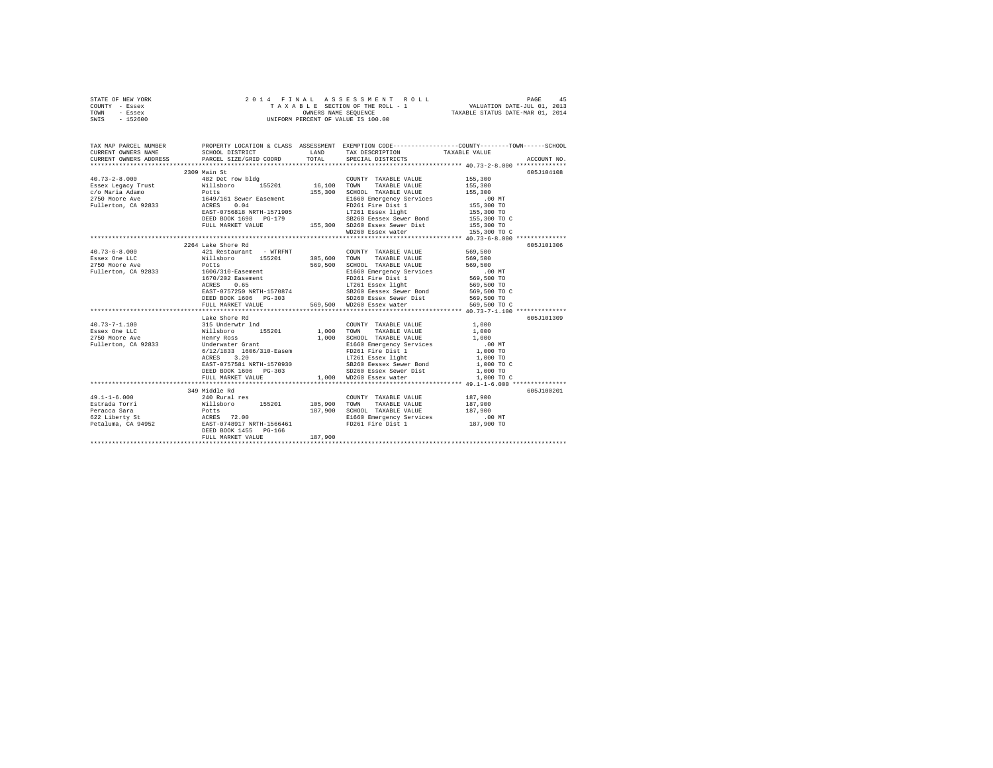| STATE OF NEW YORK | 2014 FINAL ASSESSMENT ROLL         | 45<br>PAGE                       |
|-------------------|------------------------------------|----------------------------------|
| COUNTY - Essex    | TAXABLE SECTION OF THE ROLL - 1    | VALUATION DATE-JUL 01, 2013      |
| TOWN<br>- Essex   | OWNERS NAME SEOUENCE               | TAXABLE STATUS DATE-MAR 01, 2014 |
| $-152600$<br>SWIS | UNIFORM PERCENT OF VALUE IS 100.00 |                                  |

|                     | 2309 Main St                                                                                                                                                                                                                                                                                                                                                                                                                       |                              | 605J104108                                                                                                                                                                                                                       |
|---------------------|------------------------------------------------------------------------------------------------------------------------------------------------------------------------------------------------------------------------------------------------------------------------------------------------------------------------------------------------------------------------------------------------------------------------------------|------------------------------|----------------------------------------------------------------------------------------------------------------------------------------------------------------------------------------------------------------------------------|
|                     |                                                                                                                                                                                                                                                                                                                                                                                                                                    |                              |                                                                                                                                                                                                                                  |
|                     |                                                                                                                                                                                                                                                                                                                                                                                                                                    |                              |                                                                                                                                                                                                                                  |
|                     |                                                                                                                                                                                                                                                                                                                                                                                                                                    |                              |                                                                                                                                                                                                                                  |
|                     |                                                                                                                                                                                                                                                                                                                                                                                                                                    |                              |                                                                                                                                                                                                                                  |
|                     |                                                                                                                                                                                                                                                                                                                                                                                                                                    |                              |                                                                                                                                                                                                                                  |
|                     |                                                                                                                                                                                                                                                                                                                                                                                                                                    |                              |                                                                                                                                                                                                                                  |
|                     |                                                                                                                                                                                                                                                                                                                                                                                                                                    |                              |                                                                                                                                                                                                                                  |
|                     |                                                                                                                                                                                                                                                                                                                                                                                                                                    |                              |                                                                                                                                                                                                                                  |
|                     |                                                                                                                                                                                                                                                                                                                                                                                                                                    |                              |                                                                                                                                                                                                                                  |
|                     |                                                                                                                                                                                                                                                                                                                                                                                                                                    |                              |                                                                                                                                                                                                                                  |
|                     | 2264 Lake Shore Rd<br>$\begin{tabular}{lcccc} 421 & Restant & - \text{ WTRFRT} & & \text{COUNTY TAXABLE VALUE} & 569,500 \\ \texttt{Nilisboro} & 155201 & 305,600 & \texttt{TONNT} & \texttt{TXABLE VALUE} & 569,500 \\ \texttt{Potes} & & 155201 & 569,500 & \texttt{SCITOVTAXABLE VALUE} & 569,500 \\ \texttt{Potes} & & 569,500 & \texttt{SICHOOL} & \texttt{XACIDE} & \texttt{VALVE} \\ \end{tabular}$                         |                              | 605J101306                                                                                                                                                                                                                       |
| $40.73 - 6 - 8.000$ |                                                                                                                                                                                                                                                                                                                                                                                                                                    |                              |                                                                                                                                                                                                                                  |
| Essex One LLC       |                                                                                                                                                                                                                                                                                                                                                                                                                                    |                              |                                                                                                                                                                                                                                  |
|                     |                                                                                                                                                                                                                                                                                                                                                                                                                                    |                              |                                                                                                                                                                                                                                  |
|                     |                                                                                                                                                                                                                                                                                                                                                                                                                                    |                              |                                                                                                                                                                                                                                  |
|                     |                                                                                                                                                                                                                                                                                                                                                                                                                                    |                              |                                                                                                                                                                                                                                  |
|                     |                                                                                                                                                                                                                                                                                                                                                                                                                                    |                              |                                                                                                                                                                                                                                  |
|                     |                                                                                                                                                                                                                                                                                                                                                                                                                                    |                              |                                                                                                                                                                                                                                  |
|                     |                                                                                                                                                                                                                                                                                                                                                                                                                                    |                              |                                                                                                                                                                                                                                  |
|                     |                                                                                                                                                                                                                                                                                                                                                                                                                                    |                              |                                                                                                                                                                                                                                  |
|                     | $\begin{tabular}{c c c c} \multicolumn{1}{c}{\textbf{Take Shore }\textbf{R} & \textbf{L} & \textbf{L} & \textbf{L} & \textbf{L} & \textbf{L} & \textbf{L} & \textbf{L} & \textbf{L} & \textbf{L} & \textbf{L} & \textbf{L} & \textbf{L} & \textbf{L} & \textbf{L} & \textbf{L} & \textbf{L} & \textbf{L} & \textbf{L} & \textbf{L} & \textbf{L} & \textbf{L} & \textbf{L} & \textbf{L} & \textbf{L} & \textbf{L} & \textbf{L} & \$ |                              | 39368 COM TONIBLE AND 1990 COND TO TANABLE VALUE 569,500 COND TAXABLE VALUE 569,500 SCHOOL TAXABLE VALUE 569,500 SCHOOL TAXABLE VALUE 569,500 SCHOOL TAXABLE VALUE SEPPICY SEVERES 0.65 FOR THE SECTION TO A SURFACE SURFACE A   |
|                     |                                                                                                                                                                                                                                                                                                                                                                                                                                    |                              | 605J101309                                                                                                                                                                                                                       |
|                     |                                                                                                                                                                                                                                                                                                                                                                                                                                    |                              |                                                                                                                                                                                                                                  |
|                     |                                                                                                                                                                                                                                                                                                                                                                                                                                    |                              |                                                                                                                                                                                                                                  |
|                     |                                                                                                                                                                                                                                                                                                                                                                                                                                    |                              |                                                                                                                                                                                                                                  |
|                     |                                                                                                                                                                                                                                                                                                                                                                                                                                    |                              |                                                                                                                                                                                                                                  |
|                     |                                                                                                                                                                                                                                                                                                                                                                                                                                    |                              |                                                                                                                                                                                                                                  |
|                     |                                                                                                                                                                                                                                                                                                                                                                                                                                    |                              |                                                                                                                                                                                                                                  |
|                     |                                                                                                                                                                                                                                                                                                                                                                                                                                    |                              |                                                                                                                                                                                                                                  |
|                     |                                                                                                                                                                                                                                                                                                                                                                                                                                    |                              |                                                                                                                                                                                                                                  |
|                     |                                                                                                                                                                                                                                                                                                                                                                                                                                    |                              |                                                                                                                                                                                                                                  |
|                     |                                                                                                                                                                                                                                                                                                                                                                                                                                    |                              | 605J100201                                                                                                                                                                                                                       |
| $49.1 - 1 - 6.000$  | 349 Middle Rd<br>240 Rural res                                                                                                                                                                                                                                                                                                                                                                                                     | COUNTY TAXABLE VALUE 187,900 |                                                                                                                                                                                                                                  |
|                     |                                                                                                                                                                                                                                                                                                                                                                                                                                    |                              |                                                                                                                                                                                                                                  |
|                     |                                                                                                                                                                                                                                                                                                                                                                                                                                    |                              |                                                                                                                                                                                                                                  |
|                     |                                                                                                                                                                                                                                                                                                                                                                                                                                    |                              |                                                                                                                                                                                                                                  |
|                     |                                                                                                                                                                                                                                                                                                                                                                                                                                    |                              |                                                                                                                                                                                                                                  |
|                     |                                                                                                                                                                                                                                                                                                                                                                                                                                    |                              |                                                                                                                                                                                                                                  |
|                     |                                                                                                                                                                                                                                                                                                                                                                                                                                    |                              |                                                                                                                                                                                                                                  |
|                     |                                                                                                                                                                                                                                                                                                                                                                                                                                    |                              | 19.1-10.000 19.300 105.900 105.900 108.900 108.900 108.900 108.900 108.900 108.900 108.900 108.900 108.900 108<br>Extrad Torri 19.900 108.900 108.900 108.900 108.900 108.900 108.900 108.900 108.900 108.900 108.900 108.900 10 |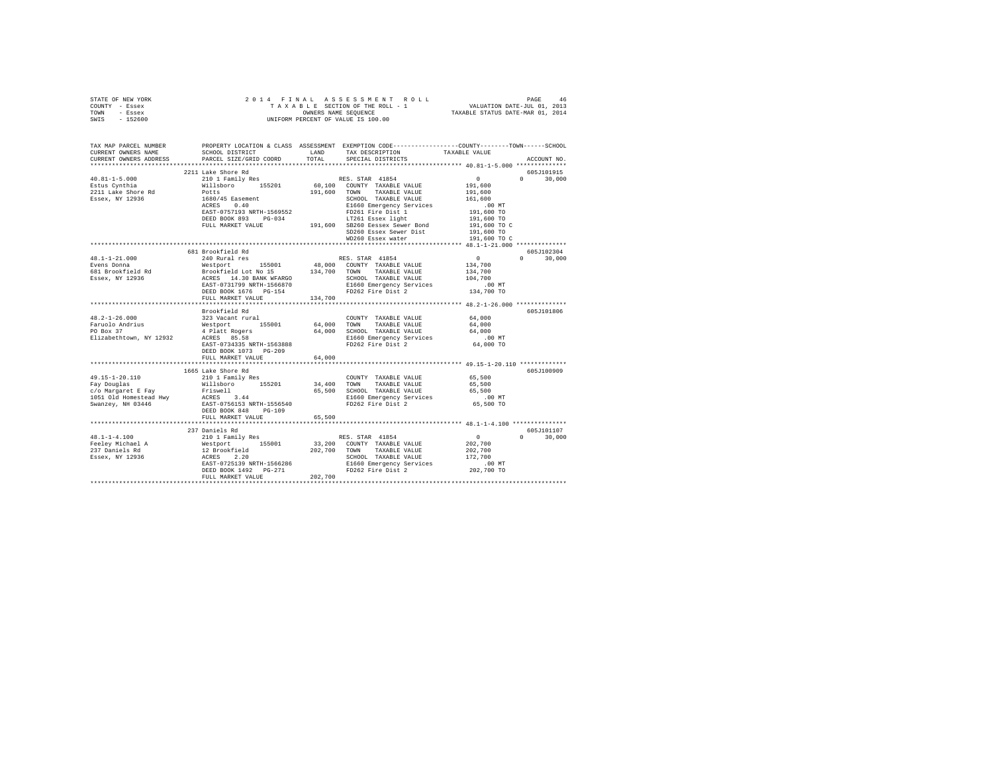| STATE OF NEW YORK                                                                                                                                                                                                                                                                                                                                                                                              |                                                                                                                                                                                                 |                             |                     |               |
|----------------------------------------------------------------------------------------------------------------------------------------------------------------------------------------------------------------------------------------------------------------------------------------------------------------------------------------------------------------------------------------------------------------|-------------------------------------------------------------------------------------------------------------------------------------------------------------------------------------------------|-----------------------------|---------------------|---------------|
| COUNTY - Essex                                                                                                                                                                                                                                                                                                                                                                                                 |                                                                                                                                                                                                 |                             |                     |               |
| TOWN - Essex                                                                                                                                                                                                                                                                                                                                                                                                   |                                                                                                                                                                                                 |                             |                     |               |
| SWIS - 152600                                                                                                                                                                                                                                                                                                                                                                                                  |                                                                                                                                                                                                 |                             |                     |               |
|                                                                                                                                                                                                                                                                                                                                                                                                                |                                                                                                                                                                                                 |                             |                     |               |
|                                                                                                                                                                                                                                                                                                                                                                                                                |                                                                                                                                                                                                 |                             |                     |               |
|                                                                                                                                                                                                                                                                                                                                                                                                                |                                                                                                                                                                                                 |                             |                     |               |
|                                                                                                                                                                                                                                                                                                                                                                                                                | TAX MAP PARCEL NUMBER PROPERTY LOCATION & CLASS ASSESSMENT EXEMPTION CODE---------------COUNTY-------TOWN------SCHOOL<br>CURRENT OWNERS NAME SCHOOL DISTRICT LAND TAX DESCRIPTION TAXABLE VALUE |                             |                     |               |
|                                                                                                                                                                                                                                                                                                                                                                                                                | SCHOOL DISTRICT LAND TAX DESCRIPTION TAXABLE VALUE                                                                                                                                              |                             |                     |               |
|                                                                                                                                                                                                                                                                                                                                                                                                                | CURRENT OWNERS ADDRESS PARCEL SIZE/GRID COORD TOTAL                                                                                                                                             | SPECIAL DISTRICTS           |                     | ACCOUNT NO.   |
|                                                                                                                                                                                                                                                                                                                                                                                                                |                                                                                                                                                                                                 |                             |                     |               |
| $\begin{tabular}{l c c c c c} \multicolumn{3}{c c c c} \multicolumn{3}{c c c} \multicolumn{3}{c c c} \multicolumn{3}{c c c} \multicolumn{3}{c c c} \multicolumn{3}{c c c} \multicolumn{3}{c c c} \multicolumn{3}{c c c} \multicolumn{3}{c c c} \multicolumn{3}{c c c} \multicolumn{3}{c c c} \multicolumn{3}{c c c} \multicolumn{3}{c c c} \multicolumn{3}{c c c} \multicolumn{3}{c c c} \multicolumn{$        | 2211 Lake Shore Rd                                                                                                                                                                              |                             |                     | 605J101915    |
|                                                                                                                                                                                                                                                                                                                                                                                                                |                                                                                                                                                                                                 |                             |                     | $0 \t 30,000$ |
|                                                                                                                                                                                                                                                                                                                                                                                                                |                                                                                                                                                                                                 |                             |                     |               |
|                                                                                                                                                                                                                                                                                                                                                                                                                |                                                                                                                                                                                                 |                             |                     |               |
|                                                                                                                                                                                                                                                                                                                                                                                                                |                                                                                                                                                                                                 |                             |                     |               |
|                                                                                                                                                                                                                                                                                                                                                                                                                |                                                                                                                                                                                                 |                             |                     |               |
|                                                                                                                                                                                                                                                                                                                                                                                                                |                                                                                                                                                                                                 |                             |                     |               |
|                                                                                                                                                                                                                                                                                                                                                                                                                |                                                                                                                                                                                                 |                             |                     |               |
|                                                                                                                                                                                                                                                                                                                                                                                                                |                                                                                                                                                                                                 |                             |                     |               |
|                                                                                                                                                                                                                                                                                                                                                                                                                |                                                                                                                                                                                                 |                             |                     |               |
|                                                                                                                                                                                                                                                                                                                                                                                                                |                                                                                                                                                                                                 |                             |                     |               |
|                                                                                                                                                                                                                                                                                                                                                                                                                |                                                                                                                                                                                                 |                             |                     |               |
|                                                                                                                                                                                                                                                                                                                                                                                                                |                                                                                                                                                                                                 |                             |                     |               |
|                                                                                                                                                                                                                                                                                                                                                                                                                |                                                                                                                                                                                                 |                             |                     |               |
|                                                                                                                                                                                                                                                                                                                                                                                                                |                                                                                                                                                                                                 |                             |                     |               |
|                                                                                                                                                                                                                                                                                                                                                                                                                |                                                                                                                                                                                                 |                             |                     |               |
|                                                                                                                                                                                                                                                                                                                                                                                                                |                                                                                                                                                                                                 |                             |                     |               |
|                                                                                                                                                                                                                                                                                                                                                                                                                |                                                                                                                                                                                                 |                             |                     |               |
|                                                                                                                                                                                                                                                                                                                                                                                                                |                                                                                                                                                                                                 |                             |                     |               |
|                                                                                                                                                                                                                                                                                                                                                                                                                |                                                                                                                                                                                                 |                             |                     |               |
|                                                                                                                                                                                                                                                                                                                                                                                                                |                                                                                                                                                                                                 |                             |                     |               |
| $\begin{tabular}{l cccc} 48.1-1-21.000 & 681 {\text{{\sc R}}\mbox{\sc B}} & 681 {\text{{\sc P}}\mbox{\sc D}} & 681 {\text{{\sc P}}\mbox{\sc D}} & 681 {\text{{\sc P}}\mbox{\sc D}} & 681 {\text{{\sc P}}\mbox{\sc D}} & 681 {\text{{\sc P}}\mbox{\sc D}} & 681 {\text{{\sc P}}\mbox{\sc D}} & 681 {\text{{\sc P}}\mbox{\sc D}} & 681 {\text{{\sc P}}\mbox{\sc D}} & 681 {\text{{\sc P}}\mbox{\sc D}} & 681 {\$ |                                                                                                                                                                                                 |                             |                     |               |
|                                                                                                                                                                                                                                                                                                                                                                                                                |                                                                                                                                                                                                 |                             |                     |               |
|                                                                                                                                                                                                                                                                                                                                                                                                                | Brookfield Rd                                                                                                                                                                                   |                             |                     | 605J101806    |
|                                                                                                                                                                                                                                                                                                                                                                                                                |                                                                                                                                                                                                 |                             |                     |               |
|                                                                                                                                                                                                                                                                                                                                                                                                                |                                                                                                                                                                                                 |                             |                     |               |
|                                                                                                                                                                                                                                                                                                                                                                                                                |                                                                                                                                                                                                 |                             |                     |               |
|                                                                                                                                                                                                                                                                                                                                                                                                                |                                                                                                                                                                                                 |                             |                     |               |
|                                                                                                                                                                                                                                                                                                                                                                                                                |                                                                                                                                                                                                 |                             |                     |               |
|                                                                                                                                                                                                                                                                                                                                                                                                                | DEED BOOK 1073 PG-209                                                                                                                                                                           |                             |                     |               |
|                                                                                                                                                                                                                                                                                                                                                                                                                | FULL MARKET VALUE 64,000                                                                                                                                                                        |                             |                     |               |
|                                                                                                                                                                                                                                                                                                                                                                                                                |                                                                                                                                                                                                 |                             |                     |               |
|                                                                                                                                                                                                                                                                                                                                                                                                                | 1665 Lake Shore Rd                                                                                                                                                                              |                             |                     | 605J100909    |
|                                                                                                                                                                                                                                                                                                                                                                                                                | 210 1 Family Res                                                                                                                                                                                |                             |                     |               |
| 49.15-1-20.110                                                                                                                                                                                                                                                                                                                                                                                                 |                                                                                                                                                                                                 | COUNTY TAXABLE VALUE 65,500 |                     |               |
| $\begin{tabular}{l c c c c c} \hline $\ast_1,\ast_2,\ast_3,\ast_4$ & $2.10$ & $1.401$ & $2.000$ & $1.400$ & $1.400$ & $1.400$ & $1.400$ & $1.400$ & $1.400$ & $1.400$ & $1.400$ & $1.400$ & $1.400$ & $1.400$ & $1.400$ & $1.400$ & $1.400$ & $1.400$ & $1.400$ & $1.400$ & $1.400$ & $1.400$ & $1.400$                                                                                                        |                                                                                                                                                                                                 |                             |                     |               |
|                                                                                                                                                                                                                                                                                                                                                                                                                |                                                                                                                                                                                                 |                             |                     |               |
|                                                                                                                                                                                                                                                                                                                                                                                                                |                                                                                                                                                                                                 |                             | 00 MT.<br>65,500 TO |               |
|                                                                                                                                                                                                                                                                                                                                                                                                                |                                                                                                                                                                                                 |                             |                     |               |
|                                                                                                                                                                                                                                                                                                                                                                                                                |                                                                                                                                                                                                 |                             |                     |               |
|                                                                                                                                                                                                                                                                                                                                                                                                                |                                                                                                                                                                                                 |                             |                     |               |
|                                                                                                                                                                                                                                                                                                                                                                                                                |                                                                                                                                                                                                 |                             |                     |               |
|                                                                                                                                                                                                                                                                                                                                                                                                                | 237 Daniels Rd                                                                                                                                                                                  |                             | 605J101107          |               |
|                                                                                                                                                                                                                                                                                                                                                                                                                |                                                                                                                                                                                                 |                             |                     |               |
|                                                                                                                                                                                                                                                                                                                                                                                                                |                                                                                                                                                                                                 |                             |                     |               |
|                                                                                                                                                                                                                                                                                                                                                                                                                |                                                                                                                                                                                                 |                             |                     |               |
|                                                                                                                                                                                                                                                                                                                                                                                                                |                                                                                                                                                                                                 |                             |                     |               |
|                                                                                                                                                                                                                                                                                                                                                                                                                |                                                                                                                                                                                                 |                             |                     |               |
|                                                                                                                                                                                                                                                                                                                                                                                                                |                                                                                                                                                                                                 |                             |                     |               |
|                                                                                                                                                                                                                                                                                                                                                                                                                |                                                                                                                                                                                                 |                             |                     |               |
| $\begin{tabular}{l c c c c c} \multicolumn{3}{c c c c} \multicolumn{3}{c c c} \multicolumn{3}{c c c} \multicolumn{3}{c c c} \multicolumn{3}{c c c} \multicolumn{3}{c c c} \multicolumn{3}{c c c} \multicolumn{3}{c c c} \multicolumn{3}{c c c} \multicolumn{3}{c c c} \multicolumn{3}{c c c} \multicolumn{3}{c c c} \multicolumn{3}{c c c} \multicolumn{3}{c c c} \multicolumn{3}{c c c} \multicolumn{$        |                                                                                                                                                                                                 |                             |                     |               |
|                                                                                                                                                                                                                                                                                                                                                                                                                |                                                                                                                                                                                                 |                             |                     |               |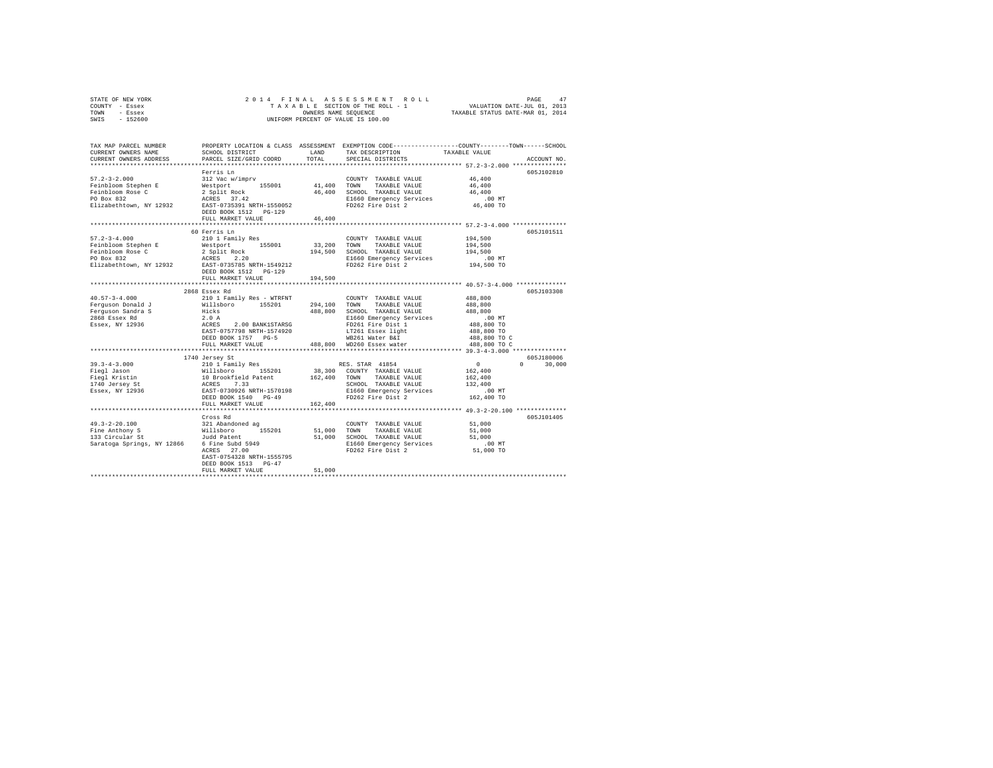| COUNTY<br>- Essex<br>TOWN<br>- Essex                                  |                           |        |                                    | TAXABLE SECTION OF THE ROLL - 1 VALUATION DATE-JUL 01, 2013<br>OWNERS NAME SEQUENCE TAXABLE STATUS DATE-MAR 01, 2014 |  |
|-----------------------------------------------------------------------|---------------------------|--------|------------------------------------|----------------------------------------------------------------------------------------------------------------------|--|
| $-152600$<br>SWIS                                                     |                           |        | UNIFORM PERCENT OF VALUE IS 100.00 |                                                                                                                      |  |
|                                                                       |                           |        |                                    |                                                                                                                      |  |
|                                                                       |                           |        |                                    |                                                                                                                      |  |
|                                                                       |                           |        |                                    | TAX MAP PARCEL NUMBER PROPERTY LOCATION & CLASS ASSESSMENT EXEMPTION CODE--------------COUNTY-------TOWN------SCHOOL |  |
| CURRENT OWNERS NAME                                                   | SCHOOL DISTRICT LAND      |        | TAX DESCRIPTION TAXABLE VALUE      |                                                                                                                      |  |
| CURRENT OWNERS ADDRESS PARCEL SIZE/GRID COORD TOTAL SPECIAL DISTRICTS |                           |        |                                    | ACCOUNT NO.                                                                                                          |  |
|                                                                       |                           |        |                                    |                                                                                                                      |  |
|                                                                       | Ferris In                 |        |                                    | 605J102810                                                                                                           |  |
| $57.2 - 3 - 2.000$                                                    | 312 Vac w/imprv           |        | COUNTY TAXABLE VALUE               | 46,400                                                                                                               |  |
| Feinbloom Stephen E                                                   | Westport 155001 41,400    |        | TAXABLE VALUE<br>TOWN              | 46,400                                                                                                               |  |
| Feinbloom Rose C                                                      | 2 Split Rock 46,400       |        | SCHOOL TAXABLE VALUE 46,400        |                                                                                                                      |  |
| PO Box 832                                                            | ACRES 37.42               |        | E1660 Emergency Services .00 MT    |                                                                                                                      |  |
| Elizabethtown, NY 12932                                               | EAST-0735391 NRTH-1550052 |        | FD262 Fire Dist 2                  | 46,400 TO                                                                                                            |  |
|                                                                       | DEED BOOK 1512 PG-129     |        |                                    |                                                                                                                      |  |
|                                                                       | FULL MARKET VALUE         | 46,400 |                                    |                                                                                                                      |  |
|                                                                       |                           |        |                                    |                                                                                                                      |  |
|                                                                       | 60 Ferris Ln              |        |                                    | 605J101511                                                                                                           |  |
| $57.2 - 3 - 4.000$                                                    | 210 1 Family Res          |        | COUNTY TAXABLE VALUE               | 194,500                                                                                                              |  |
| Feinbloom Stephen E                                                   | Westport 155001 33,200    |        | TOWN<br>TAXABLE VALUE              | 194,500                                                                                                              |  |
| Feinbloom Rose C                                                      | 2 Split Rock 194,500      |        | SCHOOL TAXABLE VALUE               | 194,500                                                                                                              |  |
| PO Box 832                                                            | ACRES 2.20                |        | E1660 Emergency Services           | .00 MT                                                                                                               |  |
| Elizabethtown, NY 12932                                               | EAST-0735785 NRTH-1549212 |        | FD262 Fire Dist 2 194,500 TO       |                                                                                                                      |  |
|                                                                       |                           |        |                                    |                                                                                                                      |  |

STATE OF NEW YORK 2 0 1 4 F I N A L A S S E S S M E N T R O L L PAGE 47

| Elizabethtown, NY 12932    | DEED BOOK 1512 PG-129<br>FULL MARKET VALUE | EAST-0735785 NRTH-1549212 FD262 Fire Dist 2<br>194,500 | 194,500 TO                     |
|----------------------------|--------------------------------------------|--------------------------------------------------------|--------------------------------|
|                            | 2868 Essex Rd                              |                                                        | 605-7103308                    |
| $40.57 - 3 - 4.000$        | 210 1 Family Res - WTRFNT                  | COUNTY TAXABLE VALUE                                   | 488,800                        |
| Ferguson Donald J          | Willsboro 155201                           | 294.100 TOWN<br>TAXABLE VALUE                          | 488,800                        |
| Ferguson Sandra S          | Hicks                                      | 488,800 SCHOOL TAXABLE VALUE                           | 488,800                        |
| 2868 Essex Rd              | 2.0 A                                      | E1660 Emergency Services                               | $.00$ MT                       |
| Essex, NY 12936            | ACRES 2.00 BANK1STARSG                     | FD261 Fire Dist 1                                      | 488,800 TO                     |
|                            | EAST-0757798 NRTH-1574920                  | LT261 Essex light 488,800 TO                           |                                |
|                            | DEED BOOK 1757 PG-5                        | WB261 Water B&I                                        | 488,800 TO C                   |
|                            |                                            | FULL MARKET VALUE 488,800 WD260 Essex water            | 488,800 TO C                   |
|                            |                                            |                                                        |                                |
|                            | 1740 Jersey St                             |                                                        | 605J180006                     |
| $39.3 - 4 - 3.000$         | 210 1 Family Res                           | RES. STAR 41854                                        | 30,000<br>$\sim$ 0<br>$\Omega$ |
| Fiegl Jason                |                                            | Willsboro 155201 38,300 COUNTY TAXABLE VALUE           | 162,400                        |
| Fiegl Kristin              |                                            | 10 Brookfield Patent 162,400 TOWN TAXABLE VALUE        | 162,400                        |
| 1740 Jersey St             | ACRES 7.33                                 | SCHOOL TAXABLE VALUE                                   | 132,400                        |
| Essex, NY 12936            |                                            | EAST-0730926 NRTH-1570198 E1660 Emergency Services     | $.00$ MT                       |
|                            | DEED BOOK 1540 PG-49                       | FD262 Fire Dist 2                                      | 162,400 TO                     |
|                            | FULL MARKET VALUE 162,400                  |                                                        |                                |
|                            |                                            |                                                        |                                |
|                            | Cross Rd                                   |                                                        | 605J101405                     |
| 49.3-2-20.100              | 321 Abandoned ag                           | COUNTY TAXABLE VALUE                                   | 51,000                         |
| Fine Anthony S             | Willsboro<br>155201                        | 51,000 TOWN<br>TAXABLE VALUE                           | 51,000                         |
| 133 Circular St            | Judd Patent                                | 51,000 SCHOOL TAXABLE VALUE                            | 51,000                         |
| Saratoga Springs, NY 12866 | 6 Fine Subd 5949                           | E1660 Emergency Services                               | $.00$ MT                       |
|                            | ACRES 27.00                                | FD262 Fire Dist 2                                      | 51,000 TO                      |
|                            | EAST-0754328 NRTH-1555795                  |                                                        |                                |
|                            | DEED BOOK 1513 PG-47                       |                                                        |                                |
|                            | FULL MARKET VALUE                          | 51,000                                                 |                                |
|                            |                                            |                                                        |                                |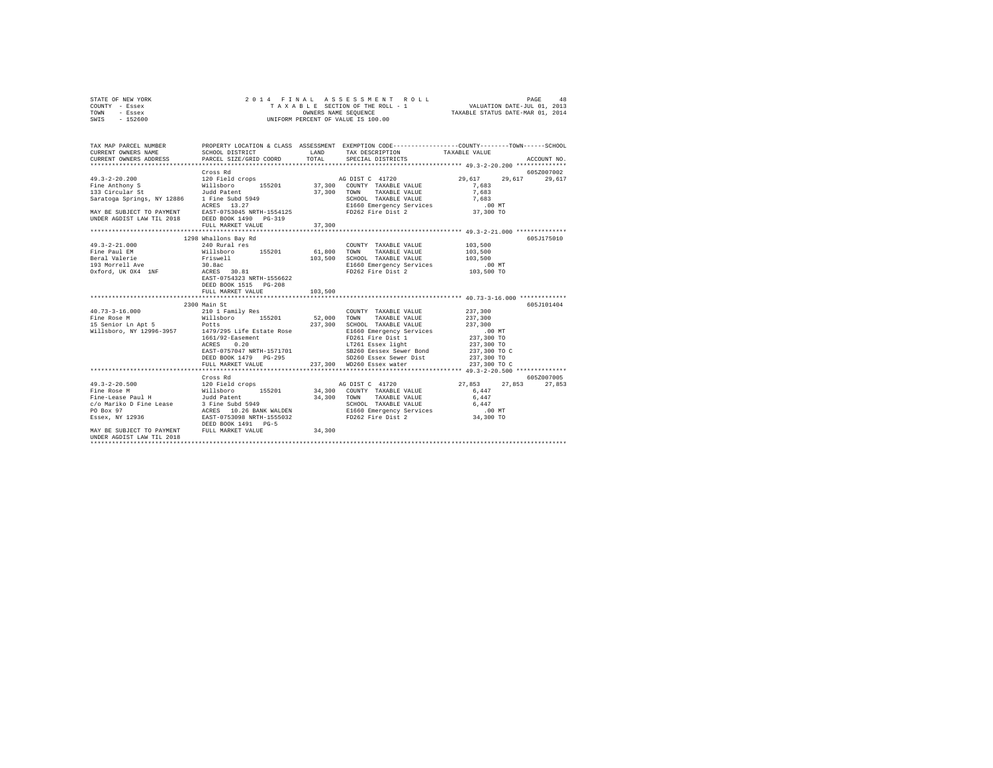| STATE OF NEW YORK |  |  |  | 2014 FINAL ASSESSMENT ROLL         |                                  | PAGE                        | 48 |
|-------------------|--|--|--|------------------------------------|----------------------------------|-----------------------------|----|
| COUNTY - Essex    |  |  |  | TAXABLE SECTION OF THE ROLL - 1    |                                  | VALUATION DATE-JUL 01, 2013 |    |
| TOWN<br>- Essex   |  |  |  | OWNERS NAME SEOUENCE               | TAXABLE STATUS DATE-MAR 01, 2014 |                             |    |
| $-152600$<br>SWIS |  |  |  | UNIFORM PERCENT OF VALUE IS 100.00 |                                  |                             |    |

| TAX MAP PARCEL NUMBER<br>CURRENT OWNERS NAME<br>CURRENT OWNERS ADDRESS                       | SCHOOL DISTRICT<br>PARCEL SIZE/GRID COORD | LAND<br>TOTAL | PROPERTY LOCATION & CLASS ASSESSMENT EXEMPTION CODE----------------COUNTY-------TOWN------SCHOOL<br>TAX DESCRIPTION TAXABLE VALUE<br>SPECIAL DISTRICTS |                    | ACCOUNT NO. |
|----------------------------------------------------------------------------------------------|-------------------------------------------|---------------|--------------------------------------------------------------------------------------------------------------------------------------------------------|--------------------|-------------|
|                                                                                              |                                           |               |                                                                                                                                                        |                    |             |
|                                                                                              | Cross Rd                                  |               |                                                                                                                                                        |                    | 605Z007002  |
| $49.3 - 2 - 20.200$                                                                          | 120 Field crops                           |               | AG DIST C 41720                                                                                                                                        | 29,617<br>29.617   | 29,617      |
|                                                                                              |                                           |               |                                                                                                                                                        | 7.683              |             |
| 133 Circular St               Judd Patent<br>Saratoga Springs, NY 12886     1 Fine Subd 5949 |                                           |               |                                                                                                                                                        | 7.683              |             |
|                                                                                              |                                           |               | SCHOOL TAXABLE VALUE 7,683                                                                                                                             |                    |             |
| MAY BE SUBJECT TO PAYMENT EAST-0753045 NRTH-1554125                                          | ACRES 13.27                               |               | E1660 Emergency Services 6 100 MT<br>FD262 Fire Dist 2 37,300 TO                                                                                       |                    |             |
|                                                                                              |                                           |               |                                                                                                                                                        |                    |             |
| UNDER AGDIST LAW TIL 2018 DEED BOOK 1490 PG-319                                              |                                           |               |                                                                                                                                                        |                    |             |
|                                                                                              | FULL MARKET VALUE                         | 37,300        |                                                                                                                                                        |                    |             |
|                                                                                              |                                           |               |                                                                                                                                                        |                    | 605J175010  |
| $49.3 - 2 - 21.000$                                                                          | 1298 Whallons Bay Rd<br>240 Rural res     |               | COUNTY TAXABLE VALUE                                                                                                                                   | 103,500            |             |
|                                                                                              |                                           |               | <b>TOWN</b><br>TAXABLE VALUE                                                                                                                           |                    |             |
|                                                                                              |                                           |               |                                                                                                                                                        | 103,500<br>103,500 |             |
|                                                                                              |                                           |               | SCHOOL TAXABLE VALUE<br>E1660 Emergency Services                                                                                                       | .00MT              |             |
| Oxford, UK OX4 1NF ACRES 30.81                                                               |                                           |               | FD262 Fire Dist 2 103,500 TO                                                                                                                           |                    |             |
|                                                                                              | EAST-0754323 NRTH-1556622                 |               |                                                                                                                                                        |                    |             |
|                                                                                              | DEED BOOK 1515 PG-208                     |               |                                                                                                                                                        |                    |             |
|                                                                                              | FULL MARKET VALUE                         | 103,500       |                                                                                                                                                        |                    |             |
|                                                                                              |                                           |               |                                                                                                                                                        |                    |             |
|                                                                                              | 2300 Main St                              |               |                                                                                                                                                        |                    | 605J101404  |
|                                                                                              |                                           |               | COUNTY TAXABLE VALUE                                                                                                                                   | 237,300            |             |
|                                                                                              |                                           |               | TAXABLE VALUE                                                                                                                                          | 237,300            |             |
|                                                                                              |                                           |               |                                                                                                                                                        | 237,300            |             |
|                                                                                              |                                           |               | 237,300 SCHOOL TAXABLE VALUE<br>E1660 Emergency Services                                                                                               | 237,300<br>.00 MT  |             |
|                                                                                              |                                           |               | FD261 Fire Dist 1 237,300 TO                                                                                                                           |                    |             |
|                                                                                              |                                           |               |                                                                                                                                                        |                    |             |
|                                                                                              |                                           |               |                                                                                                                                                        |                    |             |
|                                                                                              |                                           |               |                                                                                                                                                        |                    |             |
|                                                                                              |                                           |               |                                                                                                                                                        | 237,300 TO C       |             |
|                                                                                              |                                           |               |                                                                                                                                                        |                    |             |
|                                                                                              | Cross Rd                                  |               |                                                                                                                                                        |                    | 605Z007005  |
|                                                                                              |                                           |               |                                                                                                                                                        | 27.853<br>27.853   | 27,853      |
|                                                                                              |                                           |               |                                                                                                                                                        | 6,447              |             |
|                                                                                              |                                           |               |                                                                                                                                                        | 6,447              |             |
|                                                                                              |                                           |               |                                                                                                                                                        |                    |             |
|                                                                                              |                                           |               |                                                                                                                                                        |                    |             |
|                                                                                              |                                           |               |                                                                                                                                                        |                    |             |
| MAY BE SUBJECT TO PAYMENT FULL MARKET VALUE                                                  | DEED BOOK 1491 PG-5                       | 34,300        |                                                                                                                                                        |                    |             |
| UNDER AGDIST LAW TIL 2018                                                                    |                                           |               |                                                                                                                                                        |                    |             |
|                                                                                              |                                           |               |                                                                                                                                                        |                    |             |
|                                                                                              |                                           |               |                                                                                                                                                        |                    |             |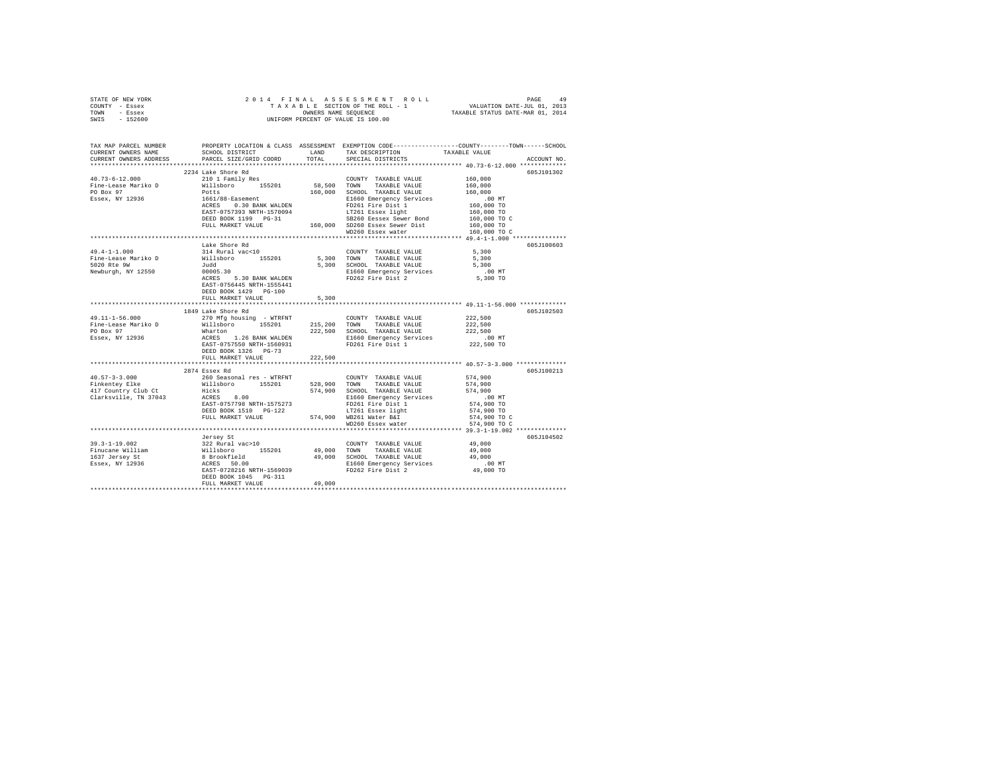| STATE OF NEW YORK                                                                                                                                                                                                                                                                                                                                                                                                                                                   |                                                                                                                                                                                                                                                                   |                |                   |                                                                                                                                                                                                                                                                                                                                                                                                            |
|---------------------------------------------------------------------------------------------------------------------------------------------------------------------------------------------------------------------------------------------------------------------------------------------------------------------------------------------------------------------------------------------------------------------------------------------------------------------|-------------------------------------------------------------------------------------------------------------------------------------------------------------------------------------------------------------------------------------------------------------------|----------------|-------------------|------------------------------------------------------------------------------------------------------------------------------------------------------------------------------------------------------------------------------------------------------------------------------------------------------------------------------------------------------------------------------------------------------------|
| COUNTY - Essex                                                                                                                                                                                                                                                                                                                                                                                                                                                      |                                                                                                                                                                                                                                                                   |                |                   | $\begin{tabular}{ccccc} 2 & 0 & 1 & 4 & F & I & N & A & S & S & E & S & S & M & E & N & T & R & O & L & L & P \end{tabular} \begin{tabular}{ccccc} PAGE & PAGE & 49 \\ T & A & X & A & B & I & E & E & F \end{tabular} \begin{tabular}{ccccc} PAGE & 49 \\ \hline \texttt{V A V L UATION DATE-JUL 01, 2013} \\ \texttt{OWNERS NAME SEQUENCE} \\ \texttt{UNIFORM PERCENT OF VALUE 1S 100.00} \end{tabular}$ |
| TOWN - Essex                                                                                                                                                                                                                                                                                                                                                                                                                                                        |                                                                                                                                                                                                                                                                   |                |                   |                                                                                                                                                                                                                                                                                                                                                                                                            |
| SWIS - 152600                                                                                                                                                                                                                                                                                                                                                                                                                                                       |                                                                                                                                                                                                                                                                   |                |                   |                                                                                                                                                                                                                                                                                                                                                                                                            |
|                                                                                                                                                                                                                                                                                                                                                                                                                                                                     |                                                                                                                                                                                                                                                                   |                |                   |                                                                                                                                                                                                                                                                                                                                                                                                            |
|                                                                                                                                                                                                                                                                                                                                                                                                                                                                     |                                                                                                                                                                                                                                                                   |                |                   |                                                                                                                                                                                                                                                                                                                                                                                                            |
|                                                                                                                                                                                                                                                                                                                                                                                                                                                                     |                                                                                                                                                                                                                                                                   |                |                   | TAX MAP PARCEL NUMBER THE PROPERTY LOCATION & CLASS ASSESSMENT EXEMPTION CODE--------------COUNTY-------TOWN------SCHOOL                                                                                                                                                                                                                                                                                   |
| CURRENT OWNERS NAME                                                                                                                                                                                                                                                                                                                                                                                                                                                 | SCHOOL DISTRICT LAND TAX DESCRIPTION                                                                                                                                                                                                                              |                |                   | TAXABLE VALUE                                                                                                                                                                                                                                                                                                                                                                                              |
| CURRENT OWNERS ADDRESS                                                                                                                                                                                                                                                                                                                                                                                                                                              | PARCEL SIZE/GRID COORD                                                                                                                                                                                                                                            | TOTAL          | SPECIAL DISTRICTS | ACCOUNT NO.                                                                                                                                                                                                                                                                                                                                                                                                |
|                                                                                                                                                                                                                                                                                                                                                                                                                                                                     |                                                                                                                                                                                                                                                                   |                |                   |                                                                                                                                                                                                                                                                                                                                                                                                            |
| $\begin{tabular}{l c c c c c} \multicolumn{3}{c c c c} \multicolumn{3}{c c c} \multicolumn{3}{c c c} \multicolumn{3}{c c c} \multicolumn{3}{c c c} \multicolumn{3}{c c c} \multicolumn{3}{c c c} \multicolumn{3}{c c c} \multicolumn{3}{c c c} \multicolumn{3}{c c c} \multicolumn{3}{c c c} \multicolumn{3}{c c c} \multicolumn{3}{c c c} \multicolumn{3}{c c c} \multicolumn{3}{c c c} \multicolumn{$                                                             | 2234 Lake Shore Rd                                                                                                                                                                                                                                                |                |                   | 605J101302                                                                                                                                                                                                                                                                                                                                                                                                 |
|                                                                                                                                                                                                                                                                                                                                                                                                                                                                     |                                                                                                                                                                                                                                                                   |                |                   |                                                                                                                                                                                                                                                                                                                                                                                                            |
|                                                                                                                                                                                                                                                                                                                                                                                                                                                                     |                                                                                                                                                                                                                                                                   |                |                   |                                                                                                                                                                                                                                                                                                                                                                                                            |
|                                                                                                                                                                                                                                                                                                                                                                                                                                                                     |                                                                                                                                                                                                                                                                   |                |                   |                                                                                                                                                                                                                                                                                                                                                                                                            |
|                                                                                                                                                                                                                                                                                                                                                                                                                                                                     |                                                                                                                                                                                                                                                                   |                |                   |                                                                                                                                                                                                                                                                                                                                                                                                            |
|                                                                                                                                                                                                                                                                                                                                                                                                                                                                     |                                                                                                                                                                                                                                                                   |                |                   |                                                                                                                                                                                                                                                                                                                                                                                                            |
|                                                                                                                                                                                                                                                                                                                                                                                                                                                                     |                                                                                                                                                                                                                                                                   |                |                   |                                                                                                                                                                                                                                                                                                                                                                                                            |
|                                                                                                                                                                                                                                                                                                                                                                                                                                                                     |                                                                                                                                                                                                                                                                   |                |                   |                                                                                                                                                                                                                                                                                                                                                                                                            |
|                                                                                                                                                                                                                                                                                                                                                                                                                                                                     |                                                                                                                                                                                                                                                                   |                |                   |                                                                                                                                                                                                                                                                                                                                                                                                            |
|                                                                                                                                                                                                                                                                                                                                                                                                                                                                     |                                                                                                                                                                                                                                                                   |                | WD260 Essex water | 160,000 TO C                                                                                                                                                                                                                                                                                                                                                                                               |
|                                                                                                                                                                                                                                                                                                                                                                                                                                                                     |                                                                                                                                                                                                                                                                   |                |                   |                                                                                                                                                                                                                                                                                                                                                                                                            |
|                                                                                                                                                                                                                                                                                                                                                                                                                                                                     | Lake Shore Rd                                                                                                                                                                                                                                                     |                |                   | 605J100603                                                                                                                                                                                                                                                                                                                                                                                                 |
| $\begin{tabular}{lllllllllllll} \multicolumn{3}{c }{49.4-1-1.000} & \multicolumn{3}{c }{\multicolumn{3}{c }{\multicolumn{3}{c}{\multicolumn{3}{c}{\multicolumn{3}{c}{\multicolumn{3}{c}{\multicolumn{3}{c}{\multicolumn{3}{c}{\multicolumn{3}{c}{\multicolumn{3}{c}{\multicolumn{3}{c}{\multicolumn{3}{c}{\multicolumn{3}{c}{\multicolumn{3}{c}{\multicolumn{3}{c}{\multicolumn{3}{c}{\multicolumn{3}{c}{\multicolumn{3}{c}{\multicolumn{3}{c}{\multicolumn{3}{c}{$ |                                                                                                                                                                                                                                                                   |                |                   |                                                                                                                                                                                                                                                                                                                                                                                                            |
|                                                                                                                                                                                                                                                                                                                                                                                                                                                                     |                                                                                                                                                                                                                                                                   |                |                   |                                                                                                                                                                                                                                                                                                                                                                                                            |
|                                                                                                                                                                                                                                                                                                                                                                                                                                                                     |                                                                                                                                                                                                                                                                   |                |                   |                                                                                                                                                                                                                                                                                                                                                                                                            |
|                                                                                                                                                                                                                                                                                                                                                                                                                                                                     |                                                                                                                                                                                                                                                                   |                |                   |                                                                                                                                                                                                                                                                                                                                                                                                            |
|                                                                                                                                                                                                                                                                                                                                                                                                                                                                     |                                                                                                                                                                                                                                                                   |                |                   |                                                                                                                                                                                                                                                                                                                                                                                                            |
|                                                                                                                                                                                                                                                                                                                                                                                                                                                                     |                                                                                                                                                                                                                                                                   |                |                   |                                                                                                                                                                                                                                                                                                                                                                                                            |
|                                                                                                                                                                                                                                                                                                                                                                                                                                                                     |                                                                                                                                                                                                                                                                   |                |                   |                                                                                                                                                                                                                                                                                                                                                                                                            |
|                                                                                                                                                                                                                                                                                                                                                                                                                                                                     |                                                                                                                                                                                                                                                                   |                |                   |                                                                                                                                                                                                                                                                                                                                                                                                            |
|                                                                                                                                                                                                                                                                                                                                                                                                                                                                     | FULL MARKET VALUE                                                                                                                                                                                                                                                 | 5,300          |                   |                                                                                                                                                                                                                                                                                                                                                                                                            |
|                                                                                                                                                                                                                                                                                                                                                                                                                                                                     |                                                                                                                                                                                                                                                                   | ************** |                   | ************** 49.11-1-56.000 *************                                                                                                                                                                                                                                                                                                                                                                |
|                                                                                                                                                                                                                                                                                                                                                                                                                                                                     | 1849 Lake Shore Rd<br>1849 Lake Shore Rd<br>270 Mfg housing - WTRFNT<br>215,200 TOWN TAXABLE VALUE<br>215,200 TOWN TAXABLE VALUE<br>Marton 155201 215,200 SCHOOL TAXABLE VALUE<br>ACRES 1.26 BANK WALDEN<br>EAST-0757550 RRTH-1560931 FOR FD261 Fire Dist 1<br>TR |                |                   | 605J102503                                                                                                                                                                                                                                                                                                                                                                                                 |
| 49.11-1-56.000                                                                                                                                                                                                                                                                                                                                                                                                                                                      |                                                                                                                                                                                                                                                                   |                |                   | 222,500                                                                                                                                                                                                                                                                                                                                                                                                    |
|                                                                                                                                                                                                                                                                                                                                                                                                                                                                     |                                                                                                                                                                                                                                                                   |                |                   |                                                                                                                                                                                                                                                                                                                                                                                                            |
| Fine-Lease Mariko D<br>PO Box 97<br>Essex, NY 12936                                                                                                                                                                                                                                                                                                                                                                                                                 |                                                                                                                                                                                                                                                                   |                |                   | 222,500<br>222,500<br>222,500 MT<br>222,500 TO                                                                                                                                                                                                                                                                                                                                                             |
|                                                                                                                                                                                                                                                                                                                                                                                                                                                                     |                                                                                                                                                                                                                                                                   |                |                   |                                                                                                                                                                                                                                                                                                                                                                                                            |
|                                                                                                                                                                                                                                                                                                                                                                                                                                                                     |                                                                                                                                                                                                                                                                   |                |                   |                                                                                                                                                                                                                                                                                                                                                                                                            |
|                                                                                                                                                                                                                                                                                                                                                                                                                                                                     | DEED BOOK 1326 PG-73                                                                                                                                                                                                                                              |                |                   |                                                                                                                                                                                                                                                                                                                                                                                                            |
|                                                                                                                                                                                                                                                                                                                                                                                                                                                                     | FULL MARKET VALUE                                                                                                                                                                                                                                                 | 222,500        |                   |                                                                                                                                                                                                                                                                                                                                                                                                            |
|                                                                                                                                                                                                                                                                                                                                                                                                                                                                     |                                                                                                                                                                                                                                                                   |                |                   |                                                                                                                                                                                                                                                                                                                                                                                                            |
|                                                                                                                                                                                                                                                                                                                                                                                                                                                                     | 2874 Essex Rd                                                                                                                                                                                                                                                     |                |                   | 605J100213                                                                                                                                                                                                                                                                                                                                                                                                 |
|                                                                                                                                                                                                                                                                                                                                                                                                                                                                     |                                                                                                                                                                                                                                                                   |                |                   |                                                                                                                                                                                                                                                                                                                                                                                                            |
| $\begin{tabular}{l c c c c c} \multicolumn{3}{c c c c} \multicolumn{3}{c c c} \multicolumn{3}{c c c} \multicolumn{3}{c c c} \multicolumn{3}{c c c} \multicolumn{3}{c c c} \multicolumn{3}{c c c} \multicolumn{3}{c c c} \multicolumn{3}{c c c} \multicolumn{3}{c c c} \multicolumn{3}{c c c} \multicolumn{3}{c c c} \multicolumn{3}{c c c} \multicolumn{3}{c c c} \multicolumn{3}{c c c} \multicolumn{$                                                             |                                                                                                                                                                                                                                                                   |                |                   |                                                                                                                                                                                                                                                                                                                                                                                                            |
|                                                                                                                                                                                                                                                                                                                                                                                                                                                                     |                                                                                                                                                                                                                                                                   |                |                   |                                                                                                                                                                                                                                                                                                                                                                                                            |
|                                                                                                                                                                                                                                                                                                                                                                                                                                                                     |                                                                                                                                                                                                                                                                   |                |                   |                                                                                                                                                                                                                                                                                                                                                                                                            |
|                                                                                                                                                                                                                                                                                                                                                                                                                                                                     |                                                                                                                                                                                                                                                                   |                |                   | 00 MT.<br>574,900 TO                                                                                                                                                                                                                                                                                                                                                                                       |
|                                                                                                                                                                                                                                                                                                                                                                                                                                                                     |                                                                                                                                                                                                                                                                   |                |                   | 574,900 TO                                                                                                                                                                                                                                                                                                                                                                                                 |
|                                                                                                                                                                                                                                                                                                                                                                                                                                                                     |                                                                                                                                                                                                                                                                   |                |                   | 574,900 TO C                                                                                                                                                                                                                                                                                                                                                                                               |
|                                                                                                                                                                                                                                                                                                                                                                                                                                                                     |                                                                                                                                                                                                                                                                   |                | WD260 Essex water | 574,900 TO C                                                                                                                                                                                                                                                                                                                                                                                               |
|                                                                                                                                                                                                                                                                                                                                                                                                                                                                     |                                                                                                                                                                                                                                                                   |                |                   |                                                                                                                                                                                                                                                                                                                                                                                                            |
|                                                                                                                                                                                                                                                                                                                                                                                                                                                                     | Jersey St                                                                                                                                                                                                                                                         |                |                   | 605J104502                                                                                                                                                                                                                                                                                                                                                                                                 |
| $39.3 - 1 - 19.002$                                                                                                                                                                                                                                                                                                                                                                                                                                                 |                                                                                                                                                                                                                                                                   |                |                   |                                                                                                                                                                                                                                                                                                                                                                                                            |
| Finucane William                                                                                                                                                                                                                                                                                                                                                                                                                                                    |                                                                                                                                                                                                                                                                   |                |                   |                                                                                                                                                                                                                                                                                                                                                                                                            |
| 1637 Jersey St                                                                                                                                                                                                                                                                                                                                                                                                                                                      |                                                                                                                                                                                                                                                                   |                |                   |                                                                                                                                                                                                                                                                                                                                                                                                            |
| Essex, NY 12936                                                                                                                                                                                                                                                                                                                                                                                                                                                     |                                                                                                                                                                                                                                                                   |                |                   |                                                                                                                                                                                                                                                                                                                                                                                                            |
|                                                                                                                                                                                                                                                                                                                                                                                                                                                                     | 322 Rural vac>10<br>822 Rural vac>10<br>832 Rural vac>10<br>8 Brooffield<br>8 Brooffield<br>29,000<br>29,000 SIGO TAXABLE VALUE<br>29,000<br>29,000 SIGO EMPERENCE VALUE<br>29,000<br>2000 ELGO EMPERENCE VALUE<br>29,000<br>2000 ELGO EMPERENCE SERVI            |                |                   |                                                                                                                                                                                                                                                                                                                                                                                                            |
|                                                                                                                                                                                                                                                                                                                                                                                                                                                                     | DEED BOOK 1045 PG-311                                                                                                                                                                                                                                             |                |                   |                                                                                                                                                                                                                                                                                                                                                                                                            |
|                                                                                                                                                                                                                                                                                                                                                                                                                                                                     | FULL MARKET VALUE                                                                                                                                                                                                                                                 | 49,000         |                   |                                                                                                                                                                                                                                                                                                                                                                                                            |
|                                                                                                                                                                                                                                                                                                                                                                                                                                                                     |                                                                                                                                                                                                                                                                   |                |                   |                                                                                                                                                                                                                                                                                                                                                                                                            |
|                                                                                                                                                                                                                                                                                                                                                                                                                                                                     |                                                                                                                                                                                                                                                                   |                |                   |                                                                                                                                                                                                                                                                                                                                                                                                            |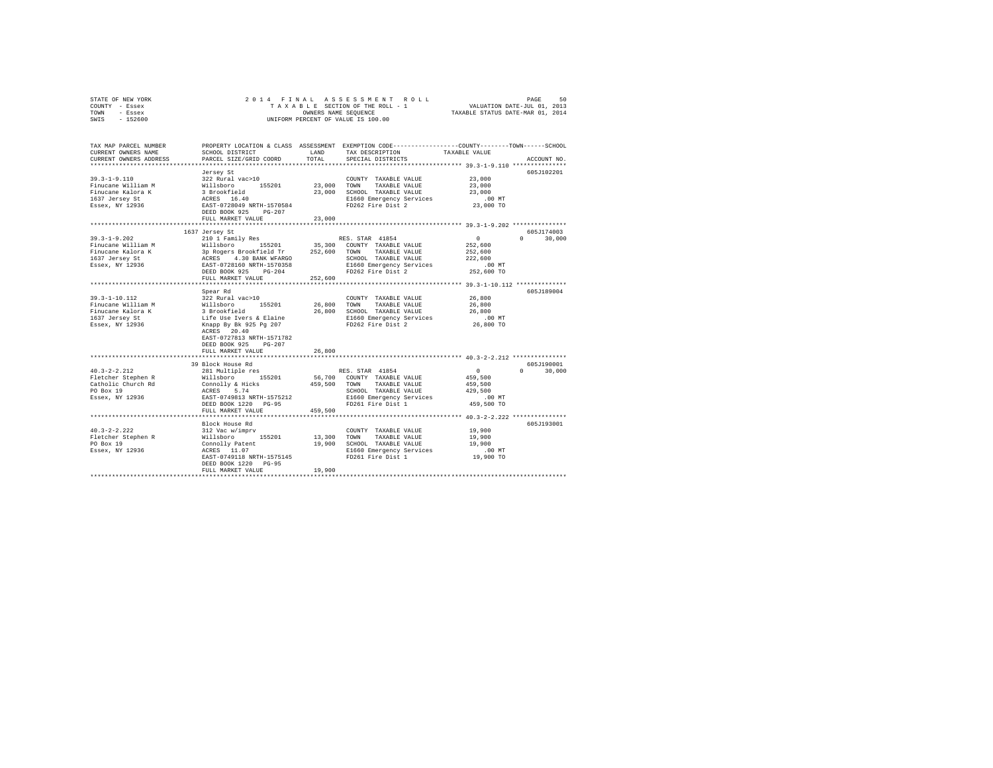| TOWN - Essex<br>UNIFORM PERCENT OF VALUE IS 100.00<br>SWIS - 152600                                                                                                                                       |                                      |  |
|-----------------------------------------------------------------------------------------------------------------------------------------------------------------------------------------------------------|--------------------------------------|--|
| TAX MAP PARCEL NUMBER<br>PROPERTY LOCATION & CLASS ASSESSMENT EXEMPTION CODE----------------COUNTY-------TOWN------SCHOOL                                                                                 |                                      |  |
| SCHOOL DISTRICT LAND<br>TAX DESCRIPTION<br>CURRENT OWNERS NAME                                                                                                                                            | TAXABLE VALUE                        |  |
| PARCEL SIZE/GRID COORD<br>TOTAL<br>CURRENT OWNERS ADDRESS<br>SPECIAL DISTRICTS                                                                                                                            | ACCOUNT NO.                          |  |
|                                                                                                                                                                                                           | 605J102201                           |  |
| Jersey St<br>$39.3 - 1 - 9.110$<br>322 Rural vac>10<br>COUNTY TAXABLE VALUE                                                                                                                               | 23,000                               |  |
| TAXABLE VALUE<br>Finucane William M                                                                                                                                                                       | 23,000                               |  |
| 23.000 SCHOOL TAXABLE VALUE<br>Finucane Kalora K                                                                                                                                                          | 23,000                               |  |
| 155201 23,000 TOWN<br>3 Brookfield 23,000 SCHOC<br>3 ACRES 16.40 23,000 ECHOC<br>1637 Jersey St                                                                                                           |                                      |  |
| E1660 Emergency Services .00 MT<br>FD262 Fire Dist 2 23,000 TO<br>Essex, NY 12936<br>EAST-0728049 NRTH-1570584                                                                                            |                                      |  |
| DEED BOOK 925 PG-207                                                                                                                                                                                      |                                      |  |
| FULL MARKET VALUE<br>23,000                                                                                                                                                                               |                                      |  |
|                                                                                                                                                                                                           |                                      |  |
| 1637 Jersey St                                                                                                                                                                                            | 605J174003                           |  |
| $39.3 - 1 - 9.202$<br>RES. STAR 41854<br>210 1 Family Res<br>Finucane William M                                                                                                                           | $\sim$ 0<br>$0 \t 30.000$<br>252,600 |  |
| Willsboro 155201 35,300 COUNTY TAXABLE VALUE<br>3p Rogers Brookfield Tr 252,600 TOWN TAXABLE VALUE<br>Finucane Kalora K                                                                                   | 252,600                              |  |
| 1637 Jersey St<br>SCHOOL TAXABLE VALUE                                                                                                                                                                    | 222,600                              |  |
| ACRES 4.30 BANK WFARGO<br>EAST-0728160 NRTH-1570358                                                                                                                                                       |                                      |  |
| Essex, NY 12936<br>E1660 Emergency Services<br>FD262 Fire Dist 2<br>DEED BOOK 925 PG-204                                                                                                                  | 00 MT.<br>252,600 TO                 |  |
| FULL MARKET VALUE<br>252,600                                                                                                                                                                              |                                      |  |
|                                                                                                                                                                                                           |                                      |  |
| Spear Rd                                                                                                                                                                                                  | 605J189004                           |  |
| COUNTY TAXABLE VALUE 26,800                                                                                                                                                                               |                                      |  |
|                                                                                                                                                                                                           | 26,800                               |  |
| 26,800 SCHOOL TAXABLE VALUE                                                                                                                                                                               | 26,800                               |  |
| E1660 Emergency Services<br>FD262 Fire Dist 2                                                                                                                                                             | 00 MT.<br>26,800 TO                  |  |
|                                                                                                                                                                                                           |                                      |  |
| EAST-0727813 NRTH-1571782                                                                                                                                                                                 |                                      |  |
| DEED BOOK 925 PG-207                                                                                                                                                                                      |                                      |  |
| 26,800<br>FULL MARKET VALUE                                                                                                                                                                               |                                      |  |
|                                                                                                                                                                                                           |                                      |  |
| 39 Block House Rd                                                                                                                                                                                         | 605J190001                           |  |
| 281 Multiple res<br>RES. STAR 41854<br>$40.3 - 2 - 2.212$                                                                                                                                                 | $\sim$ 0<br>$0 \t 30,000$            |  |
| Williaboro - 155201 56,700 COUNTY TAXABLE VALUE<br>COINTO EXABLE VALUE<br>ACRES 5.74 459,500 TOWN TAXABLE VALUE<br>ACRES 5.74<br>Fletcher Stephen R<br>Catholic Church Rd<br>PO Box 19<br>Essex, NY 12936 | 459,500                              |  |
| SCHOOL TAXABLE VALUE 429,500                                                                                                                                                                              | 459,500                              |  |
| SCHOOL TAXABLE VALUE<br>E1660 Emergency Services<br>FD261 Fire Dist 1<br>EAST-0749813 NRTH-1575212                                                                                                        |                                      |  |
| DEED BOOK 1220 PG-95                                                                                                                                                                                      | 00 MT.<br>459,500 TO                 |  |
| FULL MARKET VALUE 459,500                                                                                                                                                                                 |                                      |  |
|                                                                                                                                                                                                           |                                      |  |
| Block House Rd                                                                                                                                                                                            | 605J193001                           |  |
| 312 Vac w/imprv<br>COUNTY TAXABLE VALUE                                                                                                                                                                   | 19,900                               |  |
| 40.3-2-2.222<br>Fletcher Stephen R<br>PO Box 19<br>Willsboro 155201 13,300 TOWN TAXABLE VALUE                                                                                                             | 19,900                               |  |
|                                                                                                                                                                                                           | 19,900                               |  |
| Essex, NY 12936                                                                                                                                                                                           | 00 MT.<br>19,900 TO                  |  |
| DEED BOOK 1220 PG-95                                                                                                                                                                                      |                                      |  |
| 19,900<br>FULL MARKET VALUE                                                                                                                                                                               |                                      |  |
|                                                                                                                                                                                                           |                                      |  |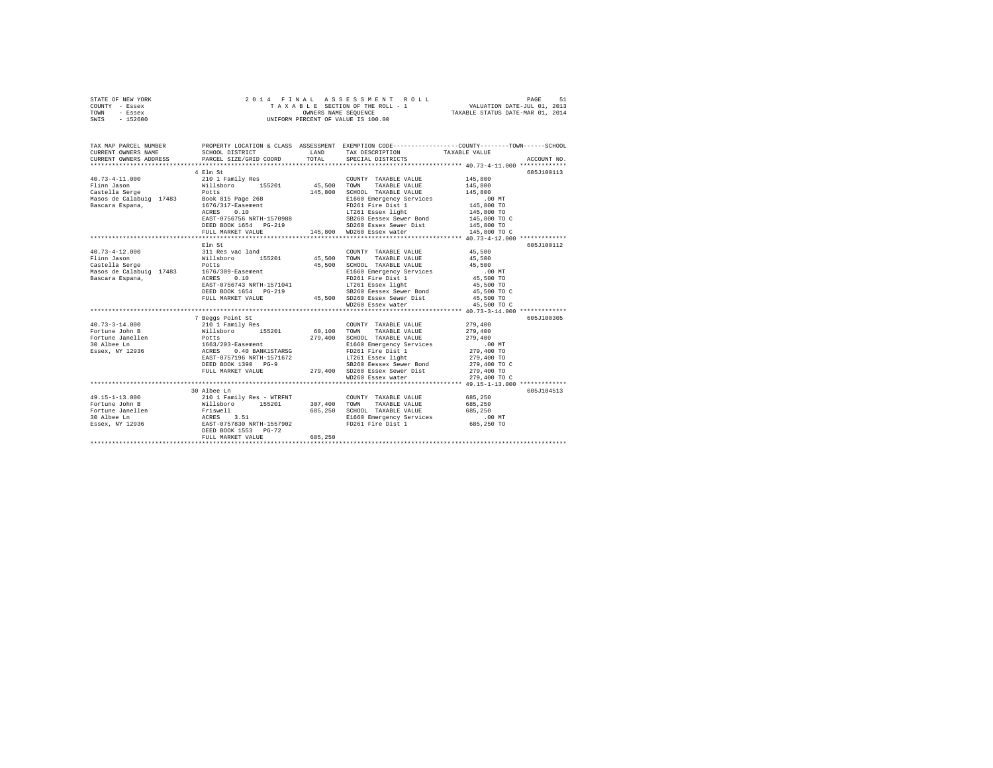| STATE OF NEW YORK | 2014 FINAL ASSESSMENT ROLL         | 51<br>PAGE                       |
|-------------------|------------------------------------|----------------------------------|
| COUNTY - Essex    | TAXABLE SECTION OF THE ROLL - 1    | VALUATION DATE-JUL 01, 2013      |
| TOWN<br>- Essex   | OWNERS NAME SEOUENCE               | TAXABLE STATUS DATE-MAR 01, 2014 |
| $-152600$<br>SWIS | UNIFORM PERCENT OF VALUE IS 100.00 |                                  |

| TAX MAP PARCEL NUMBER<br>CURRENT OWNERS NAME<br>CURRENT OWNERS ADDRESS                                                                                                                                                               | PROPERTY LOCATION & CLASS ASSESSMENT EXEMPTION CODE---------------COUNTY-------TOWN------SCHOOL<br>SCHOOL DISTRICT<br>PARCEL SIZE/GRID COORD                                                                                         | LAND<br>TOTAL | TAX DESCRIPTION TAXABLE VALUE SPECIAL DISTRICTS                 |                    | ACCOUNT NO. |
|--------------------------------------------------------------------------------------------------------------------------------------------------------------------------------------------------------------------------------------|--------------------------------------------------------------------------------------------------------------------------------------------------------------------------------------------------------------------------------------|---------------|-----------------------------------------------------------------|--------------------|-------------|
|                                                                                                                                                                                                                                      |                                                                                                                                                                                                                                      |               |                                                                 |                    |             |
|                                                                                                                                                                                                                                      | 4 Elm St                                                                                                                                                                                                                             |               |                                                                 |                    | 605J100113  |
| $40.73 - 4 - 11.000$                                                                                                                                                                                                                 | 210 1 Family Res                                                                                                                                                                                                                     |               | COUNTY TAXABLE VALUE 145,800                                    |                    |             |
| Flinn Jason                                                                                                                                                                                                                          | Willsboro 155201 45,500 TOWN<br>Potts 145,800 SCHOO                                                                                                                                                                                  |               | TAXABLE VALUE                                                   |                    |             |
| vason<br>Castella Serge                                                                                                                                                                                                              |                                                                                                                                                                                                                                      |               |                                                                 | 145,800<br>145,800 |             |
|                                                                                                                                                                                                                                      |                                                                                                                                                                                                                                      |               |                                                                 |                    |             |
|                                                                                                                                                                                                                                      |                                                                                                                                                                                                                                      |               |                                                                 |                    |             |
|                                                                                                                                                                                                                                      |                                                                                                                                                                                                                                      |               |                                                                 |                    |             |
|                                                                                                                                                                                                                                      |                                                                                                                                                                                                                                      |               |                                                                 |                    |             |
|                                                                                                                                                                                                                                      |                                                                                                                                                                                                                                      |               |                                                                 |                    |             |
|                                                                                                                                                                                                                                      |                                                                                                                                                                                                                                      |               |                                                                 |                    |             |
|                                                                                                                                                                                                                                      |                                                                                                                                                                                                                                      |               |                                                                 |                    |             |
|                                                                                                                                                                                                                                      | Elm St                                                                                                                                                                                                                               |               |                                                                 |                    | 605J100112  |
|                                                                                                                                                                                                                                      |                                                                                                                                                                                                                                      |               | COUNTY TAXABLE VALUE 45,500                                     |                    |             |
|                                                                                                                                                                                                                                      |                                                                                                                                                                                                                                      |               |                                                                 | 45,500             |             |
|                                                                                                                                                                                                                                      |                                                                                                                                                                                                                                      |               | 45,500 SCHOOL TAXABLE VALUE                                     | 45,500             |             |
|                                                                                                                                                                                                                                      |                                                                                                                                                                                                                                      |               | E1660 Emergency Services .00 MT<br>FD261 Fire Dist 1 45,500 TO  |                    |             |
|                                                                                                                                                                                                                                      |                                                                                                                                                                                                                                      |               |                                                                 |                    |             |
|                                                                                                                                                                                                                                      | EAST-0756743 NRTH-1571041 LT261 Essex light                                                                                                                                                                                          |               |                                                                 | 45,500 TO          |             |
|                                                                                                                                                                                                                                      |                                                                                                                                                                                                                                      |               |                                                                 |                    |             |
|                                                                                                                                                                                                                                      |                                                                                                                                                                                                                                      |               |                                                                 |                    |             |
|                                                                                                                                                                                                                                      |                                                                                                                                                                                                                                      |               |                                                                 |                    |             |
|                                                                                                                                                                                                                                      |                                                                                                                                                                                                                                      |               |                                                                 |                    |             |
|                                                                                                                                                                                                                                      | 7 Beggs Point St                                                                                                                                                                                                                     |               |                                                                 |                    | 605J100305  |
| $40.73 - 3 - 14.000$                                                                                                                                                                                                                 |                                                                                                                                                                                                                                      |               | COUNTY TAXABLE VALUE                                            | 279,400<br>279,400 |             |
| Fortune John B                                                                                                                                                                                                                       |                                                                                                                                                                                                                                      |               |                                                                 |                    |             |
|                                                                                                                                                                                                                                      |                                                                                                                                                                                                                                      |               |                                                                 |                    |             |
|                                                                                                                                                                                                                                      |                                                                                                                                                                                                                                      |               |                                                                 |                    |             |
|                                                                                                                                                                                                                                      |                                                                                                                                                                                                                                      |               |                                                                 |                    |             |
|                                                                                                                                                                                                                                      |                                                                                                                                                                                                                                      |               |                                                                 |                    |             |
|                                                                                                                                                                                                                                      | ARAST-0757196 NRTH-1571672<br>DEED BOOK 1390 PG-9 279,400 DEED BOOK 1390 PG-9 279,400 DEED BOOK 1390 PG-9 279,400 DEED BOOK 1390 PG-9 279,400 DC<br>PULL MARKET VALUE 279,400 DD250 ESSex Sewer Dist 279,400 TO<br>PULL MARKET VALUE |               |                                                                 |                    |             |
|                                                                                                                                                                                                                                      |                                                                                                                                                                                                                                      |               |                                                                 |                    |             |
|                                                                                                                                                                                                                                      |                                                                                                                                                                                                                                      |               |                                                                 |                    |             |
|                                                                                                                                                                                                                                      |                                                                                                                                                                                                                                      |               |                                                                 |                    |             |
|                                                                                                                                                                                                                                      | 30 Albee Ln                                                                                                                                                                                                                          |               |                                                                 |                    | 605J104513  |
| $\begin{array}{cccccc} 49.15 - 1 - 13.000 & 210 & 1 Family Res - WITH & 307,400 & TOMN & TAXABLE VALUE & 685,250 \\ \textbf{Fortune John B} & \textbf{Willsboro} & 155201 & 307,400 & TOMN & TAXABLE VALUE & 685,250 \\ \end{array}$ |                                                                                                                                                                                                                                      |               |                                                                 |                    |             |
|                                                                                                                                                                                                                                      |                                                                                                                                                                                                                                      |               |                                                                 |                    |             |
|                                                                                                                                                                                                                                      |                                                                                                                                                                                                                                      |               | 685,250 SCHOOL TAXABLE VALUE 685,250                            |                    |             |
|                                                                                                                                                                                                                                      |                                                                                                                                                                                                                                      |               | E1660 Emergency Services .00 MT<br>FD261 Fire Dist 1 685,250 TO |                    |             |
|                                                                                                                                                                                                                                      | DEED BOOK 1553 PG-72                                                                                                                                                                                                                 |               |                                                                 |                    |             |
|                                                                                                                                                                                                                                      | FULL MARKET VALUE                                                                                                                                                                                                                    | 685,250       |                                                                 |                    |             |
|                                                                                                                                                                                                                                      |                                                                                                                                                                                                                                      |               |                                                                 |                    |             |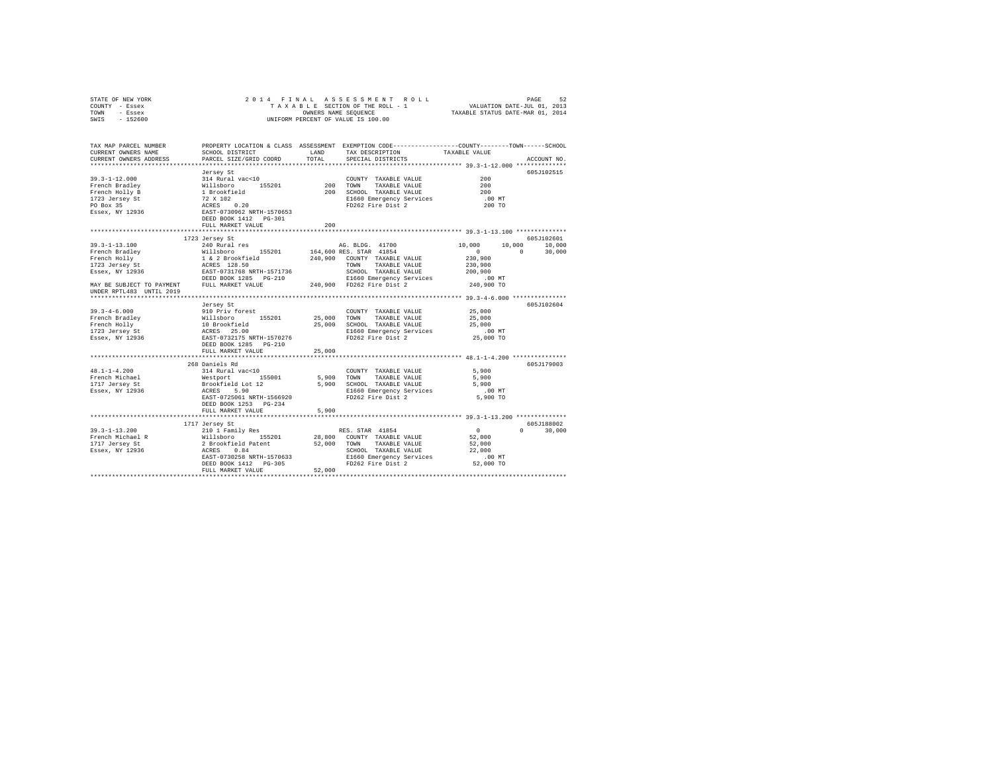| STATE OF NEW YORK<br>COUNTY - Essex<br>TOWN - Essex<br>$-152600$<br>SWIS                                                                                                                                                                                                                                                                                                                                       | 2014 FINAL                                                                                                  |            | OWNERS NAME SEQUENCE<br>UNIFORM PERCENT OF VALUE IS 100.00                                                         |                    |               |
|----------------------------------------------------------------------------------------------------------------------------------------------------------------------------------------------------------------------------------------------------------------------------------------------------------------------------------------------------------------------------------------------------------------|-------------------------------------------------------------------------------------------------------------|------------|--------------------------------------------------------------------------------------------------------------------|--------------------|---------------|
| TAX MAP PARCEL NUMBER<br>CURRENT OWNERS NAME                                                                                                                                                                                                                                                                                                                                                                   | SCHOOL DISTRICT LAND                                                                                        |            | PROPERTY LOCATION & CLASS ASSESSMENT EXEMPTION CODE---------------COUNTY-------TOWN------SCHOOL<br>TAX DESCRIPTION | TAXABLE VALUE      |               |
| CURRENT OWNERS ADDRESS                                                                                                                                                                                                                                                                                                                                                                                         | PARCEL SIZE/GRID COORD                                                                                      | TOTAL      | SPECIAL DISTRICTS                                                                                                  |                    | ACCOUNT NO.   |
|                                                                                                                                                                                                                                                                                                                                                                                                                |                                                                                                             |            |                                                                                                                    |                    |               |
|                                                                                                                                                                                                                                                                                                                                                                                                                | Jersey St                                                                                                   |            |                                                                                                                    |                    | 605J102515    |
|                                                                                                                                                                                                                                                                                                                                                                                                                |                                                                                                             |            | COUNTY TAXABLE VALUE<br>TAXABLE VALUE                                                                              | 200<br>200         |               |
|                                                                                                                                                                                                                                                                                                                                                                                                                |                                                                                                             | $200$ TOWN | 200 SCHOOL TAXABLE VALUE                                                                                           | 200                |               |
|                                                                                                                                                                                                                                                                                                                                                                                                                |                                                                                                             |            |                                                                                                                    | .00MT              |               |
|                                                                                                                                                                                                                                                                                                                                                                                                                |                                                                                                             |            | E1660 Emergency Services<br>FD262 Fire Dist 2                                                                      | 200 TO             |               |
| $\begin{tabular}{lllllllllll} 39.3-1-12.000 & \rule{0pt}{0pt} \texttt{314 Rural vac} & \rule{0pt}{0pt} \texttt{325201} \\ \texttt{French Bradley} & \rule{0pt}{0pt} \texttt{816P} & \rule{0pt}{0pt} \texttt{618P} & \rule{0pt}{0pt} \texttt{618P} & \rule{0pt}{0pt} \texttt{818P} & \rule{0pt}{0pt} \texttt{155201} \\ \texttt{French Bradley} & \rule{0pt}{0pt} \texttt{818P} & \rule{0pt}{0pt} \texttt{818P$ | DEED BOOK 1412    PG-301                                                                                    |            |                                                                                                                    |                    |               |
|                                                                                                                                                                                                                                                                                                                                                                                                                | FULL MARKET VALUE                                                                                           | 200        |                                                                                                                    |                    |               |
|                                                                                                                                                                                                                                                                                                                                                                                                                | 1723 Jersey St                                                                                              |            |                                                                                                                    |                    | 605J102601    |
| $39.3 - 1 - 13.100$                                                                                                                                                                                                                                                                                                                                                                                            | 240 Rural res                                                                                               |            | AG. BLDG. 41700                                                                                                    | 10,000             | 10,000 10,000 |
|                                                                                                                                                                                                                                                                                                                                                                                                                |                                                                                                             |            |                                                                                                                    | $0 \t 0 \t 30,000$ |               |
|                                                                                                                                                                                                                                                                                                                                                                                                                |                                                                                                             |            |                                                                                                                    | 230,900            |               |
|                                                                                                                                                                                                                                                                                                                                                                                                                |                                                                                                             |            |                                                                                                                    | 230,900            |               |
|                                                                                                                                                                                                                                                                                                                                                                                                                |                                                                                                             |            |                                                                                                                    | 200,900            |               |
|                                                                                                                                                                                                                                                                                                                                                                                                                |                                                                                                             |            |                                                                                                                    | .00 MT             |               |
| $\begin{tabular}{l c c c c c} \hline $39$, $-1-1.51.100$ & $240$ Will sklor & $480$ & $400$ & $400$ & $400$ & $400$ & $4100$ \\ \hline French Braidley & $1 & $4 & $2 & $40,900$ & $164,600$ & $885$ & $578$ & $41854$ \\ \hline \end{tabular} \begin{tabular}{l c c c} \hline $240$ & $164$ & $240,900$ & $164,600$ & $885$ & $578$ & $41854$ \\$<br>UNDER RPTL483 UNTIL 2019                                 |                                                                                                             |            |                                                                                                                    | 240,900 TO         |               |
|                                                                                                                                                                                                                                                                                                                                                                                                                |                                                                                                             |            |                                                                                                                    |                    |               |
|                                                                                                                                                                                                                                                                                                                                                                                                                | Jersey St                                                                                                   |            |                                                                                                                    |                    | 605J102604    |
| $39.3 - 4 - 6.000$                                                                                                                                                                                                                                                                                                                                                                                             | 910 Priv forest                                                                                             |            | COUNTY TAXABLE VALUE                                                                                               | 25,000<br>25,000   |               |
| French Bradley<br>French Holly                                                                                                                                                                                                                                                                                                                                                                                 |                                                                                                             |            | 25,000 TOWN TAXABLE VALUE<br>25,000 SCHOOL TAXABLE VALUE                                                           | 25,000             |               |
| 1723 Jersey St                                                                                                                                                                                                                                                                                                                                                                                                 |                                                                                                             |            |                                                                                                                    |                    |               |
| Essex, NY 12936                                                                                                                                                                                                                                                                                                                                                                                                | %<br>Willshoro 155201<br>10 Brookfield<br>ACRES 25.00<br>EAST-0732175 NRTH-1570276<br>DEED BOOK 1285 PG-210 |            | E1660 Emergency Services .00 MT<br>FD262 Fire Dist 2 25,000 TO                                                     |                    |               |
|                                                                                                                                                                                                                                                                                                                                                                                                                |                                                                                                             |            |                                                                                                                    |                    |               |
|                                                                                                                                                                                                                                                                                                                                                                                                                | FULL MARKET VALUE                                                                                           | 25,000     |                                                                                                                    |                    |               |
|                                                                                                                                                                                                                                                                                                                                                                                                                |                                                                                                             |            |                                                                                                                    |                    |               |
|                                                                                                                                                                                                                                                                                                                                                                                                                | 268 Daniels Rd                                                                                              |            |                                                                                                                    |                    | 605J179003    |
| $48.1 - 1 - 4.200$                                                                                                                                                                                                                                                                                                                                                                                             | 314 Rural vac<10                                                                                            |            | COUNTY TAXABLE VALUE 5,900                                                                                         |                    |               |
| French Michael<br>1717 Jersey St<br>Essex, NY 12936                                                                                                                                                                                                                                                                                                                                                            |                                                                                                             |            | 5,900 TOWN TAXABLE VALUE                                                                                           | 5,900<br>5,900     |               |
|                                                                                                                                                                                                                                                                                                                                                                                                                |                                                                                                             |            | 5,900 SCHOOL TAXABLE VALUE<br>E1660 Emergency Services                                                             |                    |               |
|                                                                                                                                                                                                                                                                                                                                                                                                                | EAST-0725061 NRTH-1566920                                                                                   |            | FD262 Fire Dist 2                                                                                                  | $5,900$ TO         |               |
|                                                                                                                                                                                                                                                                                                                                                                                                                | DEED BOOK 1253 PG-234                                                                                       |            |                                                                                                                    |                    |               |
|                                                                                                                                                                                                                                                                                                                                                                                                                | FULL MARKET VALUE                                                                                           | 5,900      |                                                                                                                    |                    |               |
|                                                                                                                                                                                                                                                                                                                                                                                                                |                                                                                                             |            |                                                                                                                    |                    |               |
|                                                                                                                                                                                                                                                                                                                                                                                                                | 1717 Jersey St                                                                                              |            |                                                                                                                    |                    | 605J188002    |
| $39.3 - 1 - 13.200$                                                                                                                                                                                                                                                                                                                                                                                            | 210 1 Family Res                                                                                            |            |                                                                                                                    | $\sim$ 0           | $0 \t 30,000$ |
| French Michael R                                                                                                                                                                                                                                                                                                                                                                                               |                                                                                                             |            |                                                                                                                    | 52,000             |               |
| 1717 Jersey St                                                                                                                                                                                                                                                                                                                                                                                                 |                                                                                                             |            |                                                                                                                    | 52,000             |               |
| Essex, NY 12936                                                                                                                                                                                                                                                                                                                                                                                                |                                                                                                             |            |                                                                                                                    | 22,000<br>$.00$ MT |               |
|                                                                                                                                                                                                                                                                                                                                                                                                                |                                                                                                             |            |                                                                                                                    | 52,000 TO          |               |
|                                                                                                                                                                                                                                                                                                                                                                                                                | FULL MARKET VALUE                                                                                           | 52,000     |                                                                                                                    |                    |               |
|                                                                                                                                                                                                                                                                                                                                                                                                                |                                                                                                             |            |                                                                                                                    |                    |               |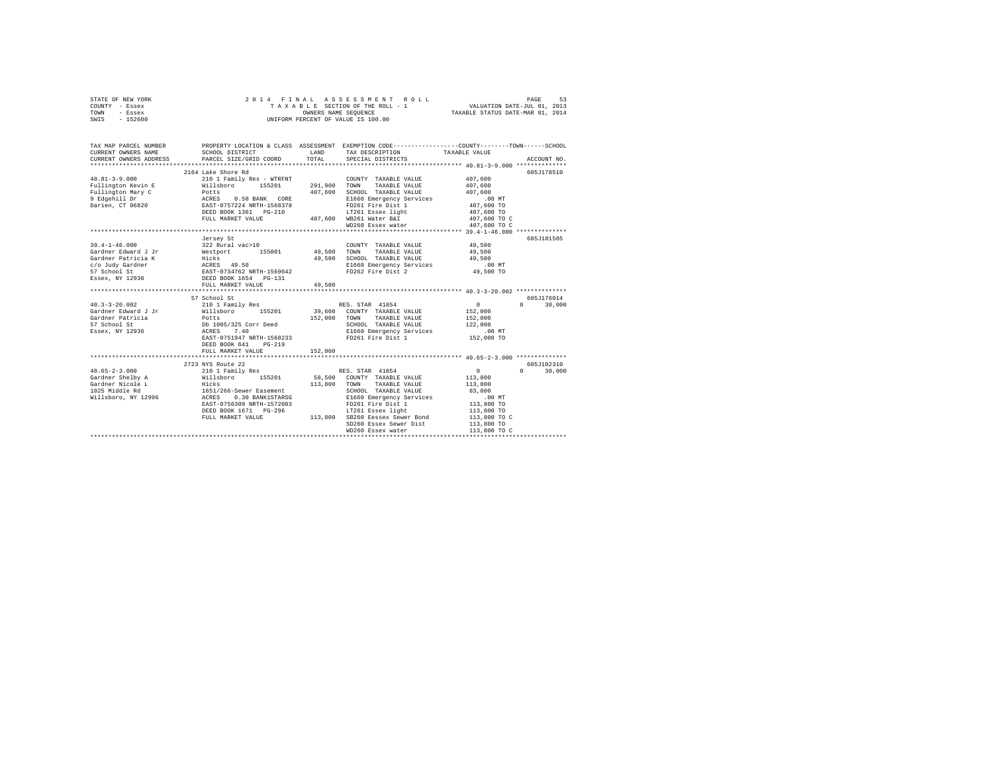| STATE OF NEW YORK<br>COUNTY - Essex<br>TOWN<br>- Essex<br>SWIS - 152600                                                                                                                                                                                                                                                                                                                                          | 2014 FINAL                                                                     |                   | 4 FINAL ASSESSMENT ROLL TAXABLE FINAL PAGE 51 SABLE SECTION OF THE ROLL - 1 VALUATION DATE-JUL 01, 2013<br>TAXABLE SECTION OF THE ROLL - 1 VALUATION DATE-JUL 01, 2014<br>OWNERS NAME SEQUENCE  TAXABLE STATUS DATE-MAR 01, 2014<br>UNIFORM PERCENT OF VALUE IS 100.00                                                                                                                                                                                                                           |                                                                                                                              |                                           |
|------------------------------------------------------------------------------------------------------------------------------------------------------------------------------------------------------------------------------------------------------------------------------------------------------------------------------------------------------------------------------------------------------------------|--------------------------------------------------------------------------------|-------------------|--------------------------------------------------------------------------------------------------------------------------------------------------------------------------------------------------------------------------------------------------------------------------------------------------------------------------------------------------------------------------------------------------------------------------------------------------------------------------------------------------|------------------------------------------------------------------------------------------------------------------------------|-------------------------------------------|
| TAX MAP PARCEL NUMBER PROPERTY LOCATION & CLASS ASSESSMENT EXEMPTION CODE---------------COUNTY-------TOWN-----SCHOOL<br>CURRENT OWNERS NAME<br>CURRENT OWNERS ADDRESS PARCEL SIZE/GRID COORD                                                                                                                                                                                                                     | SCHOOL DISTRICT                                                                | LAND<br>TOTAL     | TAX DESCRIPTION<br>SPECIAL DISTRICTS                                                                                                                                                                                                                                                                                                                                                                                                                                                             | TAXABLE VALUE                                                                                                                | ACCOUNT NO.                               |
|                                                                                                                                                                                                                                                                                                                                                                                                                  | 2164 Lake Shore Rd                                                             |                   | E1660 Emergency Services .00 MT<br>FD261 Fire Dist 1 407,600 TO<br>WD260 Essex water                                                                                                                                                                                                                                                                                                                                                                                                             | 407,600<br>407,600<br>407,600<br>407,600 TO<br>407,600 TO C<br>407,600 TO C                                                  | 605J178510                                |
| $40.3 - 3 - 20.002$<br>Gardner Edward J Jr<br>Gardner Patricia<br>57 School St<br>Essex, NY 12936                                                                                                                                                                                                                                                                                                                | FULL MARKET VALUE<br>57 School St<br>DEED BOOK 641 PG-219<br>FULL MARKET VALUE | 49,500<br>152,000 | $\begin{tabular}{lllllll} \multicolumn{2}{l}{{\text{COUNTY}}} & \multicolumn{2}{l}{\text{TAXABLE VALUE}} & \multicolumn{2}{l}{\text{YALUE}} & \multicolumn{2}{l}{\text{49,500}} \\ \multicolumn{2}{l}{\text{COUNTY}} & \multicolumn{2}{l}{\text{TAXABLE VALUE}} & \multicolumn{2}{l}{\text{YALUE}} & \multicolumn{2}{l}{\text{TUS}} & \multicolumn{2}{l}{\text{TUS}} \\ \multicolumn{2}{l}{\text{TUS}} & \multicolumn{2}{l}{\text{TAXABLE}} & \multicolumn{2}{l}{\text{VALUE}} & \multicolumn{2$ | 49,500<br>49,500<br>.00 MT<br>49,500 TO<br>$\sim$ 0<br>152,000<br>152,000<br>122,000<br>$.00$ MT<br>152,000 TO               | 605J101505<br>605J176014<br>$0 \t 30,000$ |
| $\begin{tabular}{l c c c} \multicolumn{4}{c}{\textbf{40.65--2-3.000}} & \multicolumn{4}{c}{2723} & \multicolumn{4}{c}{2723} & \multicolumn{4}{c}{RES. STAK} & \multicolumn{4}{c}{3723} & \multicolumn{4}{c}{RES. STAK} & \multicolumn{4}{c}{40.65--2-3.000} \\ \multicolumn{4}{c}{\textbf{Gardner N} = G.000} & \multicolumn{4}{c}{211} & \multicolumn{4}{c}{P.000} & \multicolumn{4}{c}{15201} & \multicolumn{$ |                                                                                |                   |                                                                                                                                                                                                                                                                                                                                                                                                                                                                                                  | $\sim$ 0<br>113,800<br>113,800<br>83,800<br>.00 MT<br>113,800 TO<br>113,800 TO<br>113,800 TO C<br>113,800 TO<br>113,800 TO C | 605J102310<br>$0 \t 30.000$               |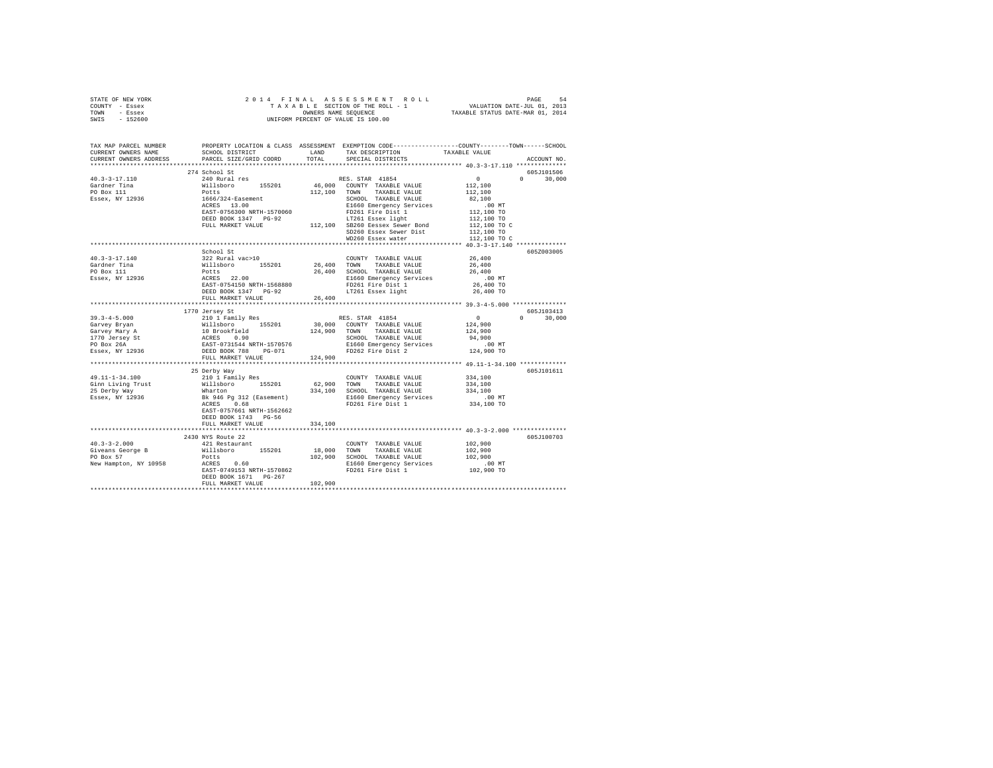| STATE OF NEW YORK                             |                                                                                                                                                                                                                                                                                                                                                                                                            |         |                                                         |                                         |               |
|-----------------------------------------------|------------------------------------------------------------------------------------------------------------------------------------------------------------------------------------------------------------------------------------------------------------------------------------------------------------------------------------------------------------------------------------------------------------|---------|---------------------------------------------------------|-----------------------------------------|---------------|
| COUNTY - Essex                                |                                                                                                                                                                                                                                                                                                                                                                                                            |         |                                                         |                                         |               |
| TOWN - Essex                                  |                                                                                                                                                                                                                                                                                                                                                                                                            |         |                                                         |                                         |               |
| SWIS - 152600                                 |                                                                                                                                                                                                                                                                                                                                                                                                            |         |                                                         |                                         |               |
|                                               |                                                                                                                                                                                                                                                                                                                                                                                                            |         |                                                         |                                         |               |
|                                               |                                                                                                                                                                                                                                                                                                                                                                                                            |         |                                                         |                                         |               |
|                                               |                                                                                                                                                                                                                                                                                                                                                                                                            |         |                                                         |                                         |               |
| CURRENT OWNERS ADDRESS                        | PARCEL SIZE/GRID COORD                                                                                                                                                                                                                                                                                                                                                                                     | TOTAL   | SPECIAL DISTRICTS                                       |                                         | ACCOUNT NO.   |
|                                               |                                                                                                                                                                                                                                                                                                                                                                                                            |         |                                                         |                                         |               |
|                                               |                                                                                                                                                                                                                                                                                                                                                                                                            |         |                                                         |                                         | 605J101506    |
|                                               |                                                                                                                                                                                                                                                                                                                                                                                                            |         |                                                         |                                         | $0 \t 30.000$ |
|                                               |                                                                                                                                                                                                                                                                                                                                                                                                            |         |                                                         |                                         |               |
|                                               |                                                                                                                                                                                                                                                                                                                                                                                                            |         |                                                         |                                         |               |
|                                               |                                                                                                                                                                                                                                                                                                                                                                                                            |         |                                                         |                                         |               |
|                                               |                                                                                                                                                                                                                                                                                                                                                                                                            |         |                                                         |                                         |               |
|                                               |                                                                                                                                                                                                                                                                                                                                                                                                            |         |                                                         |                                         |               |
|                                               |                                                                                                                                                                                                                                                                                                                                                                                                            |         |                                                         |                                         |               |
|                                               |                                                                                                                                                                                                                                                                                                                                                                                                            |         |                                                         |                                         |               |
|                                               |                                                                                                                                                                                                                                                                                                                                                                                                            |         |                                                         |                                         |               |
|                                               |                                                                                                                                                                                                                                                                                                                                                                                                            |         |                                                         |                                         |               |
|                                               |                                                                                                                                                                                                                                                                                                                                                                                                            |         |                                                         |                                         |               |
|                                               | ${\small \begin{tabular}{lcccc} \textbf{CUEKRE} & \textbf{RUE} & \textbf{MUE} & \textbf{RUE} & \textbf{RUE} & \textbf{WALUE} \\ \textbf{40.3-3-17.110} & 240 \text{ Rural res} & 155201 & 46,000 \text{ TOWN} & \textbf{TAXABLE VALUE} & 112,100 \\ \textbf{Gardner } \texttt{Time} & \textbf{W11B} & 112,100 & 155201 & 46,000 \text{ TOWN} & \textbf{TAXABLE VALUE} & 112,100 \\ \textbf{FOB} & \textbf$ |         |                                                         |                                         | 605Z003005    |
| $40.3 - 3 - 17.140$                           | School St<br>26,400 TAXABLE VALUE<br>Willaboro 155201 26,400 TOWNT TAXABLE VALUE<br>POLES<br>POLES 22.00 26,400 SCHOOL TAXABLE VALUE<br>RCRES 22.00 POLES<br>EAST-O754150 NRTH-1568880 PDED DOOK 1347 PO-92 POLES<br>POLES POOK 1347 PG-92                                                                                                                                                                 |         | COUNTY TAXABLE VALUE 26,400                             |                                         |               |
|                                               |                                                                                                                                                                                                                                                                                                                                                                                                            |         |                                                         | 26,400                                  |               |
| Gardner Tina<br>PO Box 111<br>Essex, NY 12936 |                                                                                                                                                                                                                                                                                                                                                                                                            |         | 26,400 SCHOOL TAXABLE VALUE<br>E1660 Emergency Services | 26,400                                  |               |
|                                               |                                                                                                                                                                                                                                                                                                                                                                                                            |         |                                                         | $.00$ MT                                |               |
|                                               |                                                                                                                                                                                                                                                                                                                                                                                                            |         |                                                         | 26,400 TO                               |               |
|                                               |                                                                                                                                                                                                                                                                                                                                                                                                            |         |                                                         | 26,400 TO                               |               |
|                                               | FULL MARKET VALUE                                                                                                                                                                                                                                                                                                                                                                                          | 26,400  |                                                         |                                         |               |
|                                               |                                                                                                                                                                                                                                                                                                                                                                                                            |         |                                                         |                                         |               |
|                                               | 1770 Jersey St                                                                                                                                                                                                                                                                                                                                                                                             |         |                                                         | $\begin{array}{c}0\\124,900\end{array}$ | 605J103413    |
|                                               |                                                                                                                                                                                                                                                                                                                                                                                                            |         |                                                         |                                         | $0 \t 30.000$ |
|                                               |                                                                                                                                                                                                                                                                                                                                                                                                            |         |                                                         |                                         |               |
|                                               |                                                                                                                                                                                                                                                                                                                                                                                                            |         |                                                         | 124,900                                 |               |
|                                               |                                                                                                                                                                                                                                                                                                                                                                                                            |         |                                                         | 94,900                                  |               |
|                                               |                                                                                                                                                                                                                                                                                                                                                                                                            |         |                                                         | .00 MT                                  |               |
|                                               |                                                                                                                                                                                                                                                                                                                                                                                                            |         |                                                         | 124,900 TO                              |               |
|                                               | FULL MARKET VALUE 124,900                                                                                                                                                                                                                                                                                                                                                                                  |         |                                                         |                                         |               |
|                                               |                                                                                                                                                                                                                                                                                                                                                                                                            |         |                                                         |                                         |               |
|                                               | 25 Derby Way                                                                                                                                                                                                                                                                                                                                                                                               |         |                                                         |                                         | 605J101611    |
|                                               |                                                                                                                                                                                                                                                                                                                                                                                                            |         |                                                         | 334,100                                 |               |
|                                               |                                                                                                                                                                                                                                                                                                                                                                                                            |         |                                                         | 334,100                                 |               |
|                                               |                                                                                                                                                                                                                                                                                                                                                                                                            |         |                                                         | 334,100                                 |               |
|                                               |                                                                                                                                                                                                                                                                                                                                                                                                            |         |                                                         | 00 MT.<br>334,100 TO                    |               |
|                                               |                                                                                                                                                                                                                                                                                                                                                                                                            |         |                                                         |                                         |               |
|                                               | EAST-0757661 NRTH-1562662                                                                                                                                                                                                                                                                                                                                                                                  |         |                                                         |                                         |               |
|                                               | DEED BOOK 1743 PG-56                                                                                                                                                                                                                                                                                                                                                                                       |         |                                                         |                                         |               |
|                                               | FULL MARKET VALUE                                                                                                                                                                                                                                                                                                                                                                                          | 334,100 |                                                         |                                         |               |
|                                               |                                                                                                                                                                                                                                                                                                                                                                                                            |         |                                                         |                                         |               |
|                                               | 2430 NYS Route 22                                                                                                                                                                                                                                                                                                                                                                                          |         |                                                         |                                         | 605J100703    |
| $40.3 - 3 - 2.000$                            | 421 Restaurant                                                                                                                                                                                                                                                                                                                                                                                             |         | COUNTY TAXABLE VALUE 102,900                            |                                         |               |
|                                               |                                                                                                                                                                                                                                                                                                                                                                                                            |         |                                                         | 102,900                                 |               |
|                                               |                                                                                                                                                                                                                                                                                                                                                                                                            |         |                                                         | 102,900                                 |               |
|                                               |                                                                                                                                                                                                                                                                                                                                                                                                            |         |                                                         | 00 MT.<br>102,900 TO                    |               |
|                                               | Civens George B<br>FORM TAXABLE VALUE<br>PO Box 57<br>New Hampton, NY 10958<br>New Hampton, NY 10958<br>New Hampton, NY 10958<br>New Hampton, NY 10958<br>New Hampton, NY 10958<br>New Hampton, NY 10958<br>New Hampton, NY 10958<br>New Hampton,                                                                                                                                                          |         |                                                         |                                         |               |
|                                               | DEED BOOK 1671 PG-267                                                                                                                                                                                                                                                                                                                                                                                      |         |                                                         |                                         |               |
|                                               | FULL MARKET VALUE                                                                                                                                                                                                                                                                                                                                                                                          | 102,900 |                                                         |                                         |               |
|                                               |                                                                                                                                                                                                                                                                                                                                                                                                            |         |                                                         |                                         |               |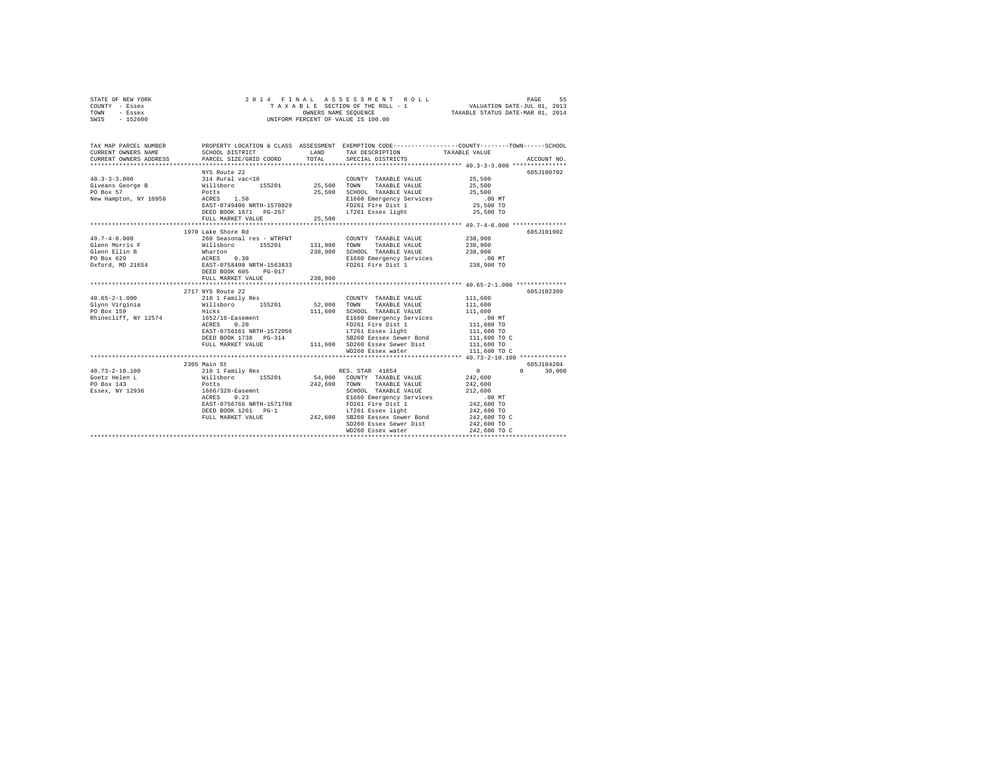| STATE OF NEW YORK |  |  | 2014 FINAL ASSESSMENT ROLL         | 55<br>PAGE                       |
|-------------------|--|--|------------------------------------|----------------------------------|
| COUNTY - Essex    |  |  | TAXABLE SECTION OF THE ROLL - 1    | VALUATION DATE-JUL 01, 2013      |
| TOWN<br>- Essex   |  |  | OWNERS NAME SEOUENCE               | TAXABLE STATUS DATE-MAR 01, 2014 |
| $-152600$<br>SWIS |  |  | UNIFORM PERCENT OF VALUE IS 100.00 |                                  |

| TAX MAP PARCEL NUMBER |                                                                                                                                                                                                                                                           |         | PROPERTY LOCATION & CLASS ASSESSMENT EXEMPTION CODE----------------COUNTY-------TOWN-----SCHOOL<br>TAX DESCRIPTION TAXABLE VALUE<br>SPECIAL DISTRICTS |                                                  | ACCOUNT NO.                 |
|-----------------------|-----------------------------------------------------------------------------------------------------------------------------------------------------------------------------------------------------------------------------------------------------------|---------|-------------------------------------------------------------------------------------------------------------------------------------------------------|--------------------------------------------------|-----------------------------|
| $40.3 - 3 - 3.000$    | NYS Route 22                                                                                                                                                                                                                                              |         |                                                                                                                                                       |                                                  | 605J100702                  |
|                       | 1970 Lake Shore Rd<br>FULL MARKET VALUE                                                                                                                                                                                                                   | 238,900 |                                                                                                                                                       |                                                  | 605J101902                  |
|                       | 2717 NYS Route 22                                                                                                                                                                                                                                         |         |                                                                                                                                                       |                                                  | 605J102309                  |
|                       |                                                                                                                                                                                                                                                           |         | COUNTY TAXABLE VALUE 111,600<br>SB260 Eessex Sewer Bond 111,600 TO C                                                                                  | 111,600<br>111,600<br>111,600 TO<br>111,600 TO C |                             |
|                       | 2305 Main St<br>EAST-0756766 NRTH-1571795<br>DEED BOOK 1261 PG-1 242,600 DEED BOOK 1261 PG-1 242,600 TO C<br>FULL MARKET VALUE 242,600 DEED 242,600 TO C<br>MD260 Essex Sewer Dist 242,600 TO C<br>MD260 Essex water<br>242,600 TO C<br>MD260 Essex water |         |                                                                                                                                                       | $\sim$ 0.000 $\sim$ 0.000 $\sim$ 0.000 $\sim$    | 605J104204<br>$0 \t 30,000$ |
|                       |                                                                                                                                                                                                                                                           |         |                                                                                                                                                       |                                                  |                             |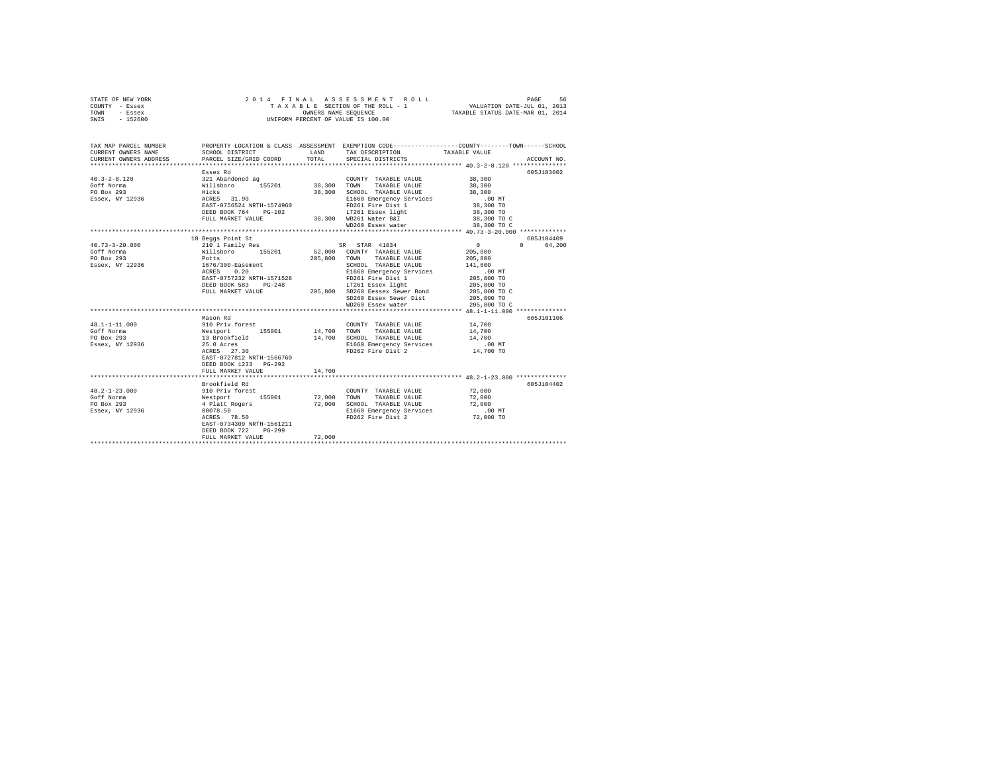| STATE OF NEW YORK<br>COUNTY - Essex<br>TOWN<br>- Essex<br>SWIS - 152600 |                                               |        | 2014 FINAL ASSESSMENT ROLL<br>TAXABLE SECTION OF THE ROLL - 1<br>UNIFORM PERCENT OF VALUE IS 100.00 | PAGE<br>56                                                                                                                             |
|-------------------------------------------------------------------------|-----------------------------------------------|--------|-----------------------------------------------------------------------------------------------------|----------------------------------------------------------------------------------------------------------------------------------------|
|                                                                         |                                               |        |                                                                                                     |                                                                                                                                        |
| CURRENT OWNERS NAME                                                     | SCHOOL DISTRICT                               |        | LAND TAX DESCRIPTION                                                                                | TAX MAP PARCEL NUMBER PROPERTY LOCATION & CLASS ASSESSMENT EXEMPTION CODE---------------COUNTY-------TOWN------SCHOOL<br>TAXABLE VALUE |
| CURRENT OWNERS ADDRESS                                                  | PARCEL SIZE/GRID COORD                        | TOTAL  | SPECIAL DISTRICTS                                                                                   | ACCOUNT NO.                                                                                                                            |
|                                                                         |                                               |        |                                                                                                     |                                                                                                                                        |
|                                                                         | Essex Rd                                      |        |                                                                                                     | 605J183002                                                                                                                             |
| $40.3 - 2 - 8.120$                                                      | 321 Abandoned ag                              |        | COUNTY TAXABLE VALUE 38,300                                                                         |                                                                                                                                        |
| Goff Norma<br>PO Box 293                                                | yzi Abandoned ag<br>Willsboro 155201<br>Hicks |        | 38,300 TOWN TAXABLE VALUE<br>38,300 SCHOOL TAXABLE VALUE                                            | 38,300<br>38,300                                                                                                                       |
| Essex, NY 12936                                                         | $Hicks$<br>ACRES 31.90                        |        | E1660 Emergency Services                                                                            | $.00$ MT                                                                                                                               |
|                                                                         | EAST-0756524 NRTH-1574960                     |        | FD261 Fire Dist 1                                                                                   | 38,300 TO                                                                                                                              |
|                                                                         | DEED BOOK 764 PG-102                          |        | LT261 Essex light                                                                                   | 38,300 TO                                                                                                                              |
|                                                                         | FULL MARKET VALUE                             |        | 38,300 WB261 Water B&I                                                                              | 38,300 TO C                                                                                                                            |
|                                                                         |                                               |        | WD260 Essex water                                                                                   | 38,300 TO C                                                                                                                            |
|                                                                         |                                               |        |                                                                                                     |                                                                                                                                        |
|                                                                         | 10 Beggs Point St                             |        |                                                                                                     | 605J104409                                                                                                                             |
| $40.73 - 3 - 20.000$                                                    | 210 1 Family Res                              |        | SR STAR 41834                                                                                       | $\sim$ 0<br>0 64.200                                                                                                                   |
| Goff Norma                                                              | Willsboro 155201                              |        | 52,000 COUNTY TAXABLE VALUE                                                                         | 205,800                                                                                                                                |
| PO Box 293                                                              | Potts                                         |        | 205,800 TOWN TAXABLE VALUE                                                                          | 205,800                                                                                                                                |
| Essex, NY 12936                                                         | 1676/300-Easement                             |        | SCHOOL TAXABLE VALUE                                                                                | 141,600                                                                                                                                |
|                                                                         | ACRES<br>0.20                                 |        | E1660 Emergency Services                                                                            | $.00$ MT                                                                                                                               |
|                                                                         | EAST-0757232 NRTH-1571528                     |        | FD261 Fire Dist 1                                                                                   | 205,800 TO                                                                                                                             |
|                                                                         | DEED BOOK 583 PG-248                          |        | LT261 Essex light                                                                                   | 205,800 TO                                                                                                                             |
|                                                                         | FULL MARKET VALUE                             |        | 205,800 SB260 Eessex Sewer Bond                                                                     | 205,800 TO C                                                                                                                           |
|                                                                         |                                               |        | SD260 Essex Sewer Dist                                                                              | 205,800 TO                                                                                                                             |
|                                                                         |                                               |        | WD260 Essex water                                                                                   | 205,800 TO C                                                                                                                           |
|                                                                         |                                               |        |                                                                                                     |                                                                                                                                        |
| 48.1-1-11.000                                                           | Mason Rd<br>910 Priv forest                   |        |                                                                                                     | 605J101106                                                                                                                             |
| Goff Norma                                                              | Westport 155001                               |        | COUNTY TAXABLE VALUE<br>14,700 TOWN TAXABLE VALUE                                                   | 14,700<br>14,700                                                                                                                       |
| PO Box 293                                                              | 13 Brookfield                                 |        | 14,700 SCHOOL TAXABLE VALUE                                                                         | 14,700                                                                                                                                 |
| Essex, NY 12936                                                         | 25.0 Acres                                    |        | E1660 Emergency Services                                                                            | $.00$ MT                                                                                                                               |
|                                                                         | ACRES 27.30                                   |        | FD262 Fire Dist 2                                                                                   | 14,700 TO                                                                                                                              |
|                                                                         | EAST-0727812 NRTH-1566760                     |        |                                                                                                     |                                                                                                                                        |
|                                                                         | DEED BOOK 1233 PG-292                         |        |                                                                                                     |                                                                                                                                        |
|                                                                         | FULL MARKET VALUE                             | 14,700 |                                                                                                     |                                                                                                                                        |
|                                                                         |                                               |        |                                                                                                     |                                                                                                                                        |
|                                                                         | Brookfield Rd                                 |        |                                                                                                     | 605J104402                                                                                                                             |
| $48.2 - 1 - 23.000$                                                     | 910 Priv forest                               |        | COUNTY TAXABLE VALUE                                                                                | 72,000                                                                                                                                 |
| Goff Norma                                                              | Westport 155001                               |        | 72,000 TOWN TAXABLE VALUE                                                                           | 72,000                                                                                                                                 |
| PO Box 293                                                              | 4 Platt Rogers                                |        | 72,000 SCHOOL TAXABLE VALUE                                                                         | 72,000                                                                                                                                 |
| Essex, NY 12936                                                         | 00078.50<br>ACRES 78.50                       |        | E1660 Emergency Services<br>FD262 Fire Dist 2                                                       | $.00$ MT                                                                                                                               |
|                                                                         |                                               |        |                                                                                                     | 72,000 TO                                                                                                                              |
|                                                                         | EAST-0734309 NRTH-1561211                     |        |                                                                                                     |                                                                                                                                        |
|                                                                         | $PG-299$<br>DEED BOOK 722                     |        |                                                                                                     |                                                                                                                                        |
|                                                                         | FULL MARKET VALUE                             | 72,000 |                                                                                                     |                                                                                                                                        |
|                                                                         |                                               |        |                                                                                                     |                                                                                                                                        |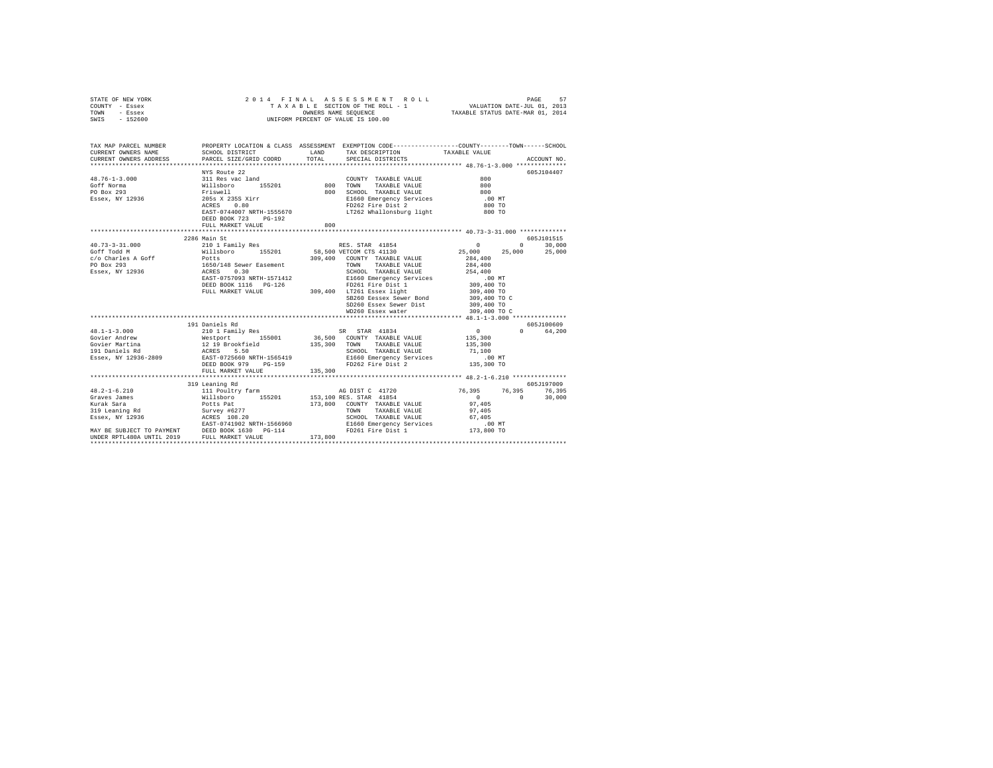| STATE OF NEW YORK                                                                                                     | 2014 FINAL ASSESSMENT I<br>TAXABLE SCCTION OF THE ROLL -<br>UNIFORM PERCENT OF VALUE IS 100.00 |     | 4 FINAL ASSESSMENT ROLL<br>TAXABLE SECTION OF THE ROLL - 1 VALUATION DATE-JUL 01, 2013<br>TAXABLE STATUS ONNES SECURE CORRECT TAXABLE STATUS DATE-MAR 01, 2014<br>2014 FINAL ASSESSMENT ROLL                                                                                                                                                                                                                                                          |                                      |             |
|-----------------------------------------------------------------------------------------------------------------------|------------------------------------------------------------------------------------------------|-----|-------------------------------------------------------------------------------------------------------------------------------------------------------------------------------------------------------------------------------------------------------------------------------------------------------------------------------------------------------------------------------------------------------------------------------------------------------|--------------------------------------|-------------|
| COUNTY - Essex                                                                                                        |                                                                                                |     |                                                                                                                                                                                                                                                                                                                                                                                                                                                       |                                      |             |
| TOWN - Essex                                                                                                          |                                                                                                |     |                                                                                                                                                                                                                                                                                                                                                                                                                                                       |                                      |             |
| SWIS - 152600                                                                                                         |                                                                                                |     |                                                                                                                                                                                                                                                                                                                                                                                                                                                       |                                      |             |
|                                                                                                                       |                                                                                                |     |                                                                                                                                                                                                                                                                                                                                                                                                                                                       |                                      |             |
|                                                                                                                       |                                                                                                |     |                                                                                                                                                                                                                                                                                                                                                                                                                                                       |                                      |             |
| TAX MAP PARCEL NUMBER PROPERTY LOCATION & CLASS ASSESSMENT EXEMPTION CODE---------------COUNTY-------TOWN------SCHOOL |                                                                                                |     |                                                                                                                                                                                                                                                                                                                                                                                                                                                       |                                      |             |
| CURRENT OWNERS NAME                                                                                                   | SCHOOL DISTRICT TAX DESCRIPTION                                                                |     |                                                                                                                                                                                                                                                                                                                                                                                                                                                       | TAXABLE VALUE                        |             |
| CURRENT OWNERS ADDRESS PARCEL SIZE/GRID COORD TOTAL                                                                   |                                                                                                |     | SPECIAL DISTRICTS                                                                                                                                                                                                                                                                                                                                                                                                                                     |                                      | ACCOUNT NO. |
|                                                                                                                       |                                                                                                |     |                                                                                                                                                                                                                                                                                                                                                                                                                                                       |                                      |             |
|                                                                                                                       | NYS Route 22                                                                                   |     |                                                                                                                                                                                                                                                                                                                                                                                                                                                       |                                      | 605J104407  |
| $48.76 - 1 - 3.000$                                                                                                   |                                                                                                |     | $\begin{tabular}{lllllll} \multicolumn{2}{c}{\textbf{COUNTY}} & \textbf{TAXABLE} & \textbf{VALUE} & \textbf{0} & \textbf{0} & \textbf{0} \\ \multicolumn{2}{c}{\textbf{COUNTY}} & \textbf{TAXABLE} & \textbf{VALUE} & \textbf{0} & \textbf{0} & \textbf{0} & \textbf{0} & \textbf{0} \\ \multicolumn{2}{c}{\textbf{COUNTY}} & \textbf{A} & \textbf{A} & \textbf{B} & \textbf{B} & \textbf{B} & \textbf{0} & \textbf{0} & \textbf{0} & \textbf{0} & \$ |                                      |             |
| Goff Norma                                                                                                            |                                                                                                |     |                                                                                                                                                                                                                                                                                                                                                                                                                                                       | 800                                  |             |
| PO Box 293                                                                                                            |                                                                                                |     |                                                                                                                                                                                                                                                                                                                                                                                                                                                       | 800<br>.00 MT                        |             |
| Essex, NY 12936                                                                                                       |                                                                                                |     | E1660 Emergency Services - 00 MT<br>FD262 Fire Dist 2 - 800 TO<br>LT262 Whallonsburg light - 800 TO                                                                                                                                                                                                                                                                                                                                                   |                                      |             |
|                                                                                                                       |                                                                                                |     |                                                                                                                                                                                                                                                                                                                                                                                                                                                       |                                      |             |
|                                                                                                                       | EAST-0744007 NRTH-1555670                                                                      |     |                                                                                                                                                                                                                                                                                                                                                                                                                                                       |                                      |             |
|                                                                                                                       | DEED BOOK 723 PG-192                                                                           |     |                                                                                                                                                                                                                                                                                                                                                                                                                                                       |                                      |             |
|                                                                                                                       | FULL MARKET VALUE                                                                              | 800 |                                                                                                                                                                                                                                                                                                                                                                                                                                                       |                                      |             |
|                                                                                                                       |                                                                                                |     |                                                                                                                                                                                                                                                                                                                                                                                                                                                       |                                      |             |
|                                                                                                                       | 2286 Main St                                                                                   |     |                                                                                                                                                                                                                                                                                                                                                                                                                                                       |                                      | 605J101515  |
|                                                                                                                       |                                                                                                |     |                                                                                                                                                                                                                                                                                                                                                                                                                                                       | $0$ 0 30,000<br>25,000 25,000 25,000 |             |
|                                                                                                                       |                                                                                                |     |                                                                                                                                                                                                                                                                                                                                                                                                                                                       |                                      |             |
|                                                                                                                       |                                                                                                |     |                                                                                                                                                                                                                                                                                                                                                                                                                                                       |                                      |             |
|                                                                                                                       |                                                                                                |     |                                                                                                                                                                                                                                                                                                                                                                                                                                                       |                                      |             |
|                                                                                                                       |                                                                                                |     |                                                                                                                                                                                                                                                                                                                                                                                                                                                       |                                      |             |
|                                                                                                                       |                                                                                                |     |                                                                                                                                                                                                                                                                                                                                                                                                                                                       |                                      |             |
|                                                                                                                       |                                                                                                |     |                                                                                                                                                                                                                                                                                                                                                                                                                                                       |                                      |             |
|                                                                                                                       |                                                                                                |     |                                                                                                                                                                                                                                                                                                                                                                                                                                                       | 309,400 TO C                         |             |
|                                                                                                                       |                                                                                                |     | SB260 Eessex Sewer Bond                                                                                                                                                                                                                                                                                                                                                                                                                               |                                      |             |
|                                                                                                                       |                                                                                                |     | SD260 Essex Sewer Dist                                                                                                                                                                                                                                                                                                                                                                                                                                | 309,400 TO<br>309,400 TO C           |             |
|                                                                                                                       |                                                                                                |     | WD260 Essex water                                                                                                                                                                                                                                                                                                                                                                                                                                     |                                      |             |
|                                                                                                                       | 191 Daniels Rd                                                                                 |     |                                                                                                                                                                                                                                                                                                                                                                                                                                                       |                                      | 605J100609  |
|                                                                                                                       |                                                                                                |     |                                                                                                                                                                                                                                                                                                                                                                                                                                                       |                                      | 0 64,200    |
|                                                                                                                       |                                                                                                |     |                                                                                                                                                                                                                                                                                                                                                                                                                                                       |                                      |             |
|                                                                                                                       |                                                                                                |     |                                                                                                                                                                                                                                                                                                                                                                                                                                                       |                                      |             |
|                                                                                                                       |                                                                                                |     |                                                                                                                                                                                                                                                                                                                                                                                                                                                       |                                      |             |
|                                                                                                                       |                                                                                                |     |                                                                                                                                                                                                                                                                                                                                                                                                                                                       |                                      |             |
|                                                                                                                       |                                                                                                |     |                                                                                                                                                                                                                                                                                                                                                                                                                                                       |                                      |             |
|                                                                                                                       |                                                                                                |     |                                                                                                                                                                                                                                                                                                                                                                                                                                                       |                                      |             |
|                                                                                                                       |                                                                                                |     |                                                                                                                                                                                                                                                                                                                                                                                                                                                       |                                      |             |
|                                                                                                                       | 319 Leaning Rd                                                                                 |     |                                                                                                                                                                                                                                                                                                                                                                                                                                                       |                                      | 605J197009  |
|                                                                                                                       |                                                                                                |     |                                                                                                                                                                                                                                                                                                                                                                                                                                                       |                                      |             |
|                                                                                                                       |                                                                                                |     |                                                                                                                                                                                                                                                                                                                                                                                                                                                       |                                      |             |
|                                                                                                                       |                                                                                                |     |                                                                                                                                                                                                                                                                                                                                                                                                                                                       |                                      |             |
|                                                                                                                       |                                                                                                |     |                                                                                                                                                                                                                                                                                                                                                                                                                                                       |                                      |             |
|                                                                                                                       |                                                                                                |     |                                                                                                                                                                                                                                                                                                                                                                                                                                                       |                                      |             |
|                                                                                                                       |                                                                                                |     |                                                                                                                                                                                                                                                                                                                                                                                                                                                       |                                      |             |
|                                                                                                                       |                                                                                                |     |                                                                                                                                                                                                                                                                                                                                                                                                                                                       |                                      |             |
|                                                                                                                       |                                                                                                |     |                                                                                                                                                                                                                                                                                                                                                                                                                                                       |                                      |             |
|                                                                                                                       |                                                                                                |     |                                                                                                                                                                                                                                                                                                                                                                                                                                                       |                                      |             |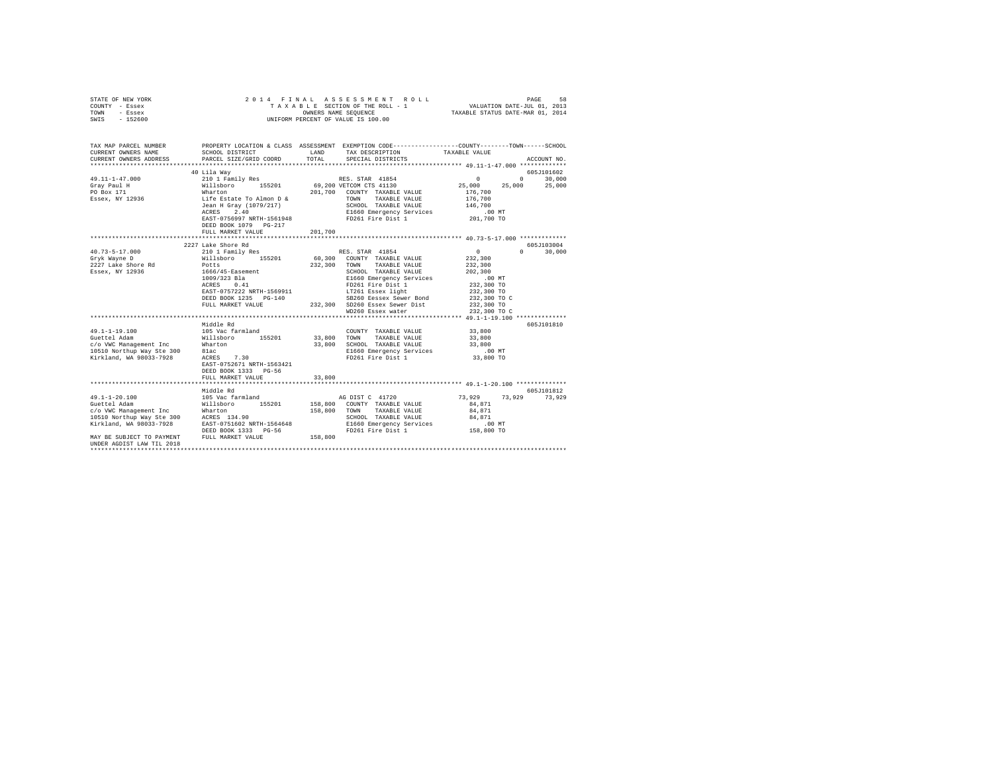| STATE OF NEW YORK<br>COUNTY - Essex<br>TOWN - Essex<br>SWIS - 152600               | 2014 FINAL ASSESSMENT<br>TAXABLE SCTION OF THE ROLL -<br>UNIFORM PERCENT OF VALUE IS 100.00                                                                      |               |                                                                                        |                                                               |               |
|------------------------------------------------------------------------------------|------------------------------------------------------------------------------------------------------------------------------------------------------------------|---------------|----------------------------------------------------------------------------------------|---------------------------------------------------------------|---------------|
| TAX MAP PARCEL NUMBER                                                              | PROPERTY LOCATION & CLASS ASSESSMENT EXEMPTION CODE----------------COUNTY-------TOWN-----SCHOOL                                                                  |               |                                                                                        |                                                               |               |
| CURRENT OWNERS NAME<br>CURRENT OWNERS ADDRESS                                      | SCHOOL DISTRICT<br>PARCEL SIZE/GRID COORD                                                                                                                        | LAND<br>TOTAL | TAX DESCRIPTION<br>SPECIAL DISTRICTS                                                   | TAXABLE VALUE                                                 | ACCOUNT NO.   |
|                                                                                    |                                                                                                                                                                  |               |                                                                                        |                                                               |               |
|                                                                                    | 40 Lila Way                                                                                                                                                      |               |                                                                                        |                                                               | 605J101602    |
|                                                                                    |                                                                                                                                                                  |               |                                                                                        |                                                               |               |
|                                                                                    |                                                                                                                                                                  |               |                                                                                        |                                                               |               |
|                                                                                    |                                                                                                                                                                  |               | 201,700 COUNTY TAXABLE VALUE                                                           | 176,700                                                       |               |
|                                                                                    |                                                                                                                                                                  |               | TOWN TAXABLE VALUE                                                                     | 176,700                                                       |               |
|                                                                                    |                                                                                                                                                                  |               | SCHOOL TAXABLE VALUE                                                                   | 146,700                                                       |               |
|                                                                                    |                                                                                                                                                                  |               | E1660 Emergency Services                                                               | .00 MT                                                        |               |
|                                                                                    | EAST-0756997 NRTH-1561948 PD261 Fire Dist 1                                                                                                                      |               |                                                                                        | 201,700 TO                                                    |               |
|                                                                                    | DEED BOOK 1079 PG-217                                                                                                                                            |               |                                                                                        |                                                               |               |
|                                                                                    | FULL MARKET VALUE                                                                                                                                                | 201,700       |                                                                                        |                                                               |               |
|                                                                                    | 2227 Lake Shore Rd                                                                                                                                               |               |                                                                                        |                                                               | 605J103004    |
| 40.73-5-17.000                                                                     | 210 1 Family Res                                                                                                                                                 |               | RES. STAR 41854                                                                        | $\mathbf{0}$                                                  | $0 \t 30,000$ |
| Gryk Wayne D                                                                       | Willsboro 155201                                                                                                                                                 |               | 60,300 COUNTY TAXABLE VALUE                                                            | 232,300                                                       |               |
| 2227 Lake Shore Rd<br>Essex, NY 12936 1666/45-Easement                             |                                                                                                                                                                  |               | 232,300 TOWN TAXABLE VALUE                                                             | 232,300                                                       |               |
|                                                                                    |                                                                                                                                                                  |               |                                                                                        | 202,300                                                       |               |
|                                                                                    | 1009/323 Bla<br>ACRES 0.41                                                                                                                                       |               | SCHOOL TAXABLE VALUE<br>E1660 Emergency Services<br>FD261 Fire Dist 1<br>--- ---- Naht | $.00$ MT                                                      |               |
|                                                                                    |                                                                                                                                                                  |               |                                                                                        | 232,300 TO                                                    |               |
|                                                                                    |                                                                                                                                                                  |               |                                                                                        | 232,300 TO                                                    |               |
|                                                                                    |                                                                                                                                                                  |               |                                                                                        | 232,300 TO C<br>232,300 TO                                    |               |
|                                                                                    | ACRES 0.41<br>EAST-0757222 NRTH-1569911 1.7261 Easex iigut<br>DEED BOOK 1235 PG-140 232,300 SD260 Easex Sewer Dist<br>""" WARKET VALUE 232,300 SD260 Easex Water |               |                                                                                        | 232,300 TO C                                                  |               |
|                                                                                    |                                                                                                                                                                  |               |                                                                                        |                                                               |               |
|                                                                                    |                                                                                                                                                                  |               |                                                                                        |                                                               | 605J101810    |
|                                                                                    |                                                                                                                                                                  |               | COUNTY TAXABLE VALUE                                                                   | 33,800                                                        |               |
|                                                                                    |                                                                                                                                                                  |               | 33,800 TOWN TAXABLE VALUE                                                              | 33,800                                                        |               |
|                                                                                    |                                                                                                                                                                  |               | 33,800 SCHOOL TAXABLE VALUE                                                            | 33,800                                                        |               |
|                                                                                    |                                                                                                                                                                  |               | E1660 Emergency Services                                                               | .00 MT<br>33,800 TO                                           |               |
|                                                                                    | $ACRES$ 7.30                                                                                                                                                     |               | FD261 Fire Dist 1                                                                      |                                                               |               |
|                                                                                    |                                                                                                                                                                  |               |                                                                                        |                                                               |               |
|                                                                                    |                                                                                                                                                                  |               |                                                                                        |                                                               |               |
|                                                                                    | FULL MARKET VALUE                                                                                                                                                | 33,800        |                                                                                        | ******************************** 49.1-1-20.100 ************** |               |
|                                                                                    | Middle Rd                                                                                                                                                        |               |                                                                                        |                                                               | 605J101812    |
| $49.1 - 1 - 20.100$                                                                | 105 Vac farmland                                                                                                                                                 |               | AG DIST C 41720                                                                        | 73,929                                                        | 73.929 73.929 |
|                                                                                    |                                                                                                                                                                  |               |                                                                                        | 84.871                                                        |               |
|                                                                                    |                                                                                                                                                                  |               |                                                                                        | 84,871                                                        |               |
|                                                                                    |                                                                                                                                                                  |               | SCHOOL TAXABLE VALUE                                                                   | 84,871                                                        |               |
|                                                                                    |                                                                                                                                                                  |               | E1660 Emergency Services                                                               | $.00$ MT                                                      |               |
|                                                                                    | DEED BOOK 1333 PG-56                                                                                                                                             |               | FD261 Fire Dist 1                                                                      | 158,800 TO                                                    |               |
| MAY BE SUBJECT TO PAYMENT FULL MARKET VALUE $158,800$<br>UNDER AGDIST LAW TIL 2018 |                                                                                                                                                                  |               |                                                                                        |                                                               |               |
|                                                                                    |                                                                                                                                                                  |               |                                                                                        |                                                               |               |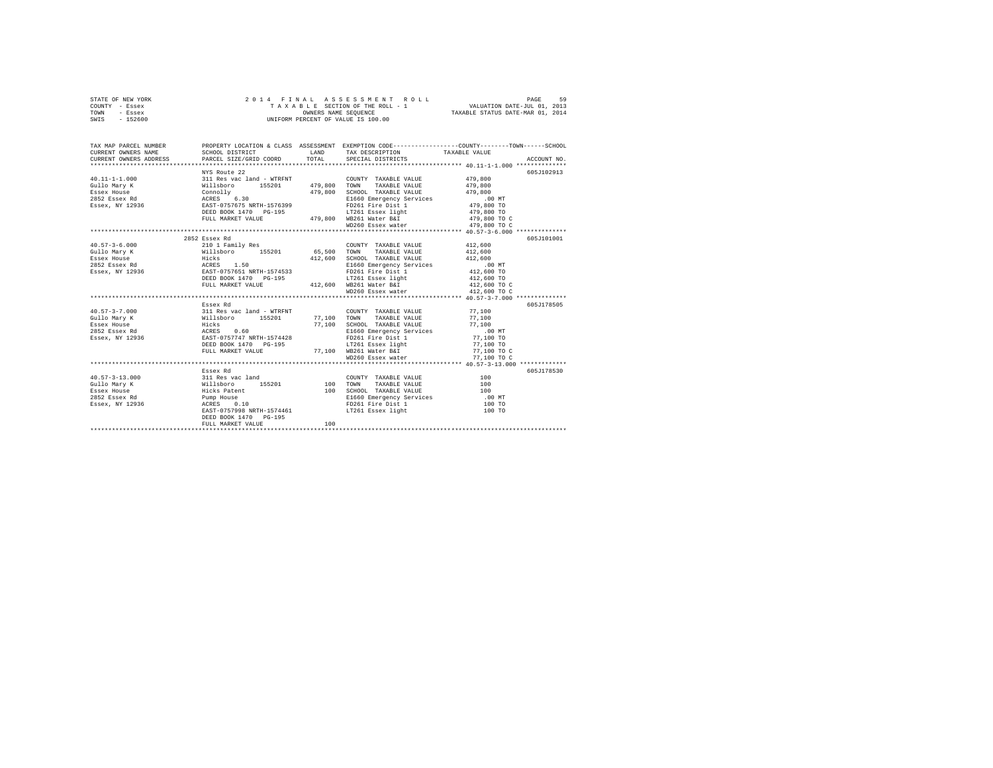| STATE OF NEW YORK<br>COUNTY - Essex<br>TOWN<br>- Essex<br>SWIS - 152600 |                                                                                                                            |             | 2014 FINAL ASSESSMENT ROLL<br>UNIFORM PERCENT OF VALUE IS 100.00 | PAGE<br>59<br>TAXABLE SECTION OF THE ROLL - 1 VALUATION DATE-JUL 01, 2013<br>OWNERS NAME SEQUENCE TAXABLE STATUS DATE-MAR 01, 2014 |
|-------------------------------------------------------------------------|----------------------------------------------------------------------------------------------------------------------------|-------------|------------------------------------------------------------------|------------------------------------------------------------------------------------------------------------------------------------|
|                                                                         |                                                                                                                            |             |                                                                  |                                                                                                                                    |
|                                                                         |                                                                                                                            |             |                                                                  | TAX MAP PARCEL NUMBER PROPERTY LOCATION & CLASS ASSESSMENT EXEMPTION CODE--------------COUNTY-------TOWN------SCHOOL               |
| CURRENT OWNERS NAME                                                     | SCHOOL DISTRICT                                                                                                            |             | LAND TAX DESCRIPTION TAXABLE VALUE                               |                                                                                                                                    |
| CURRENT OWNERS ADDRESS                                                  | PARCEL SIZE/GRID COORD                                                                                                     | TOTAL       | SPECIAL DISTRICTS                                                | ACCOUNT NO.                                                                                                                        |
|                                                                         |                                                                                                                            |             |                                                                  |                                                                                                                                    |
| $40.11 - 1 - 1.000$                                                     | NYS Route 22                                                                                                               |             |                                                                  | 605J102913<br>479,800                                                                                                              |
|                                                                         |                                                                                                                            |             | COUNTY TAXABLE VALUE                                             |                                                                                                                                    |
| Gullo Mary K<br>Essex House                                             |                                                                                                                            |             | 479.800 SCHOOL TAXABLE VALUE                                     | 479,800<br>479,800                                                                                                                 |
| 2852 Essex Rd                                                           |                                                                                                                            |             | E1660 Emergency Services                                         | .00 MT                                                                                                                             |
| Essex, NY 12936                                                         |                                                                                                                            |             | FD261 Fire Dist 1                                                | 479,800 TO                                                                                                                         |
|                                                                         |                                                                                                                            |             |                                                                  | 479,800 TO                                                                                                                         |
|                                                                         | FULL MARKET VALUE 479,800 WB261 Water B&I                                                                                  |             |                                                                  | 479,800 TO C                                                                                                                       |
|                                                                         |                                                                                                                            |             | WD260 Essex water                                                | 479,800 TO C                                                                                                                       |
|                                                                         |                                                                                                                            |             |                                                                  |                                                                                                                                    |
|                                                                         | 2852 Essex Rd                                                                                                              |             |                                                                  | 605J101001                                                                                                                         |
| $40.57 - 3 - 6.000$                                                     | 210 1 Family Res                                                                                                           |             | COUNTY TAXABLE VALUE                                             | 412,600                                                                                                                            |
| Gullo Mary K                                                            |                                                                                                                            |             | 65,500 TOWN TAXABLE VALUE                                        | 412,600                                                                                                                            |
| Essex House                                                             | Willsboro 155201<br>Hicks                                                                                                  |             | 412,600 SCHOOL TAXABLE VALUE                                     | 412,600                                                                                                                            |
| 2852 Essex Rd                                                           | Hicks<br>ACRES 1.50<br>EAST-0757651 NRTH-1574533<br>DEED BOOK 1470 PG-195                                                  |             | E1660 Emergency Services                                         | .00 MT                                                                                                                             |
| Essex, NY 12936                                                         |                                                                                                                            |             | FD261 Fire Dist 1                                                | 412,600 TO                                                                                                                         |
|                                                                         |                                                                                                                            |             | LT261 Essex light                                                | 412,600 TO                                                                                                                         |
|                                                                         | FULL MARKET VALUE                                                                                                          |             | 412,600 WB261 Water B&I                                          | 412,600 TO C                                                                                                                       |
|                                                                         |                                                                                                                            |             | WD260 Essex water                                                | 412,600 TO C                                                                                                                       |
|                                                                         |                                                                                                                            |             |                                                                  |                                                                                                                                    |
|                                                                         | Essex Rd                                                                                                                   |             |                                                                  | 605J178505                                                                                                                         |
| $40.57 - 3 - 7.000$                                                     |                                                                                                                            |             | COUNTY TAXABLE VALUE                                             | 77,100                                                                                                                             |
| Gullo Mary K                                                            |                                                                                                                            | 77,100 TOWN | TAXABLE VALUE                                                    | 77,100                                                                                                                             |
| Essex House                                                             |                                                                                                                            |             | 77,100 SCHOOL TAXABLE VALUE                                      | 77,100                                                                                                                             |
| 2852 Essex Rd                                                           |                                                                                                                            |             | E1660 Emergency Services                                         | $.00$ MT                                                                                                                           |
| Essex, NY 12936                                                         |                                                                                                                            |             | FD261 Fire Dist 1                                                | 77,100 TO                                                                                                                          |
|                                                                         | 311 Res vac land - WTRFNT<br>Willsboro 155201<br>Hicks<br>ERES 0.50<br>EREST-0757747 NRTH-1574428<br>DEED BOOK 1470 PG-195 |             | LT261 Essex light                                                | 77,100 TO                                                                                                                          |
|                                                                         | FULL MARKET VALUE                                                                                                          |             | 77,100 WB261 Water B&I                                           | 77,100 TO C                                                                                                                        |
|                                                                         |                                                                                                                            |             | WD260 Essex water                                                | 77,100 TO C                                                                                                                        |
|                                                                         |                                                                                                                            |             |                                                                  |                                                                                                                                    |
|                                                                         | Essex Rd                                                                                                                   |             |                                                                  | 605J178530                                                                                                                         |
| $40.57 - 3 - 13.000$                                                    | 311 Res vac land                                                                                                           |             | COUNTY TAXABLE VALUE                                             | 100                                                                                                                                |
| Gullo Mary K                                                            | Willsboro 155201<br>Hicks Patent<br>Pump House<br>ACRES 0.10                                                               |             | COUNTY TAXABLE VALUE<br>100 TOWN TAXABLE VALUE                   | 100                                                                                                                                |
| Essex House                                                             |                                                                                                                            |             | 100 SCHOOL TAXABLE VALUE                                         | 100                                                                                                                                |
| 2852 Essex Rd                                                           |                                                                                                                            |             | E1660 Emergency Services<br>FD261 Fire Dist 1                    | $.00$ MT                                                                                                                           |
| Essex, NY 12936                                                         |                                                                                                                            |             |                                                                  | 100 TO                                                                                                                             |
|                                                                         | EAST-0757998 NRTH-1574461                                                                                                  |             | LT261 Essex light                                                | 100 TO                                                                                                                             |
|                                                                         | DEED BOOK 1470 PG-195                                                                                                      |             |                                                                  |                                                                                                                                    |
|                                                                         | FULL MARKET VALUE                                                                                                          | 100         |                                                                  |                                                                                                                                    |
|                                                                         |                                                                                                                            |             |                                                                  |                                                                                                                                    |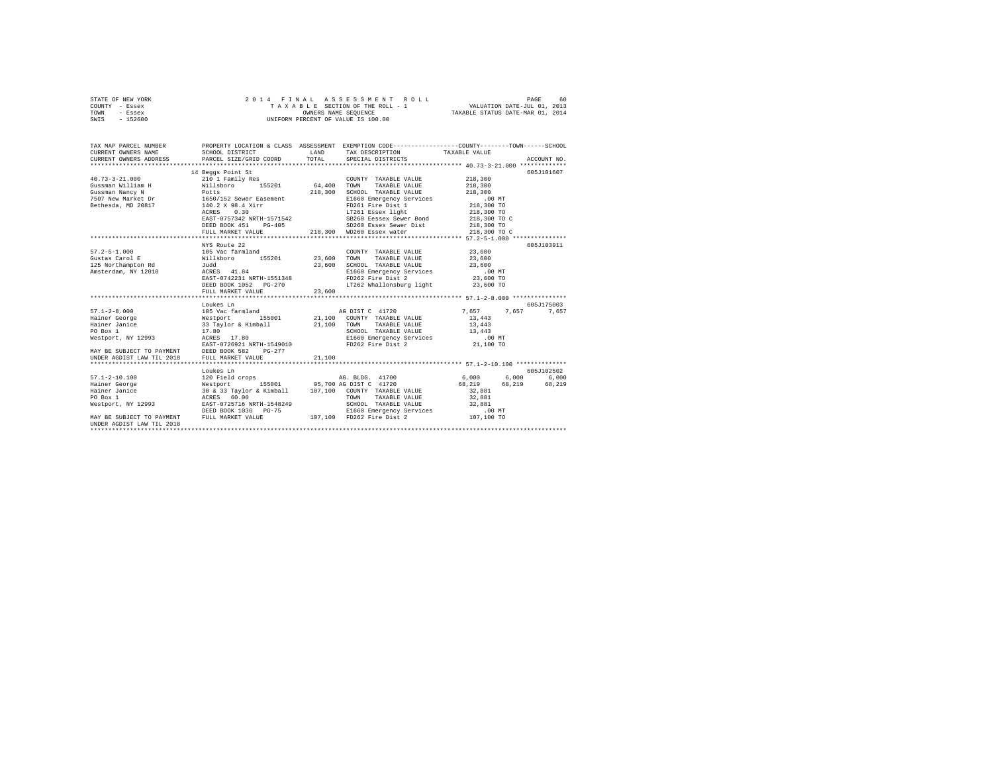| STATE OF NEW YORK | 2014 FINAL ASSESSMENT ROLL         | 60<br>PAGE                       |
|-------------------|------------------------------------|----------------------------------|
| COUNTY - Essex    | TAXABLE SECTION OF THE ROLL - 1    | VALUATION DATE-JUL 01, 2013      |
| TOWN<br>- Essex   | OWNERS NAME SEOUENCE               | TAXABLE STATUS DATE-MAR 01, 2014 |
| - 152600<br>SWIS  | UNIFORM PERCENT OF VALUE IS 100.00 |                                  |

| TAX MAP PARCEL NUMBER<br>CURRENT OWNERS NAME                                                                                                                                                                                       | PROPERTY LOCATION & CLASS ASSESSMENT EXEMPTION CODE----------------COUNTY-------TOWN------SCHOOL<br>SCHOOL DISTRICT | LAND   | TAX DESCRIPTION TAXABLE VALUE                                                                  |                   |            |
|------------------------------------------------------------------------------------------------------------------------------------------------------------------------------------------------------------------------------------|---------------------------------------------------------------------------------------------------------------------|--------|------------------------------------------------------------------------------------------------|-------------------|------------|
|                                                                                                                                                                                                                                    |                                                                                                                     |        |                                                                                                |                   |            |
|                                                                                                                                                                                                                                    | 14 Beggs Point St                                                                                                   |        |                                                                                                |                   | 605J101607 |
|                                                                                                                                                                                                                                    |                                                                                                                     |        | COUNTY TAXABLE VALUE                                                                           | 218,300           |            |
|                                                                                                                                                                                                                                    |                                                                                                                     |        | TAXABLE VALUE 218,300                                                                          |                   |            |
|                                                                                                                                                                                                                                    |                                                                                                                     |        | SCHOOL TAXABLE VALUE 218,300<br>E1660 Emergency Services 00 MT<br>FD261 Fire Dist 1 218,300 TO |                   |            |
|                                                                                                                                                                                                                                    |                                                                                                                     |        |                                                                                                |                   |            |
|                                                                                                                                                                                                                                    |                                                                                                                     |        |                                                                                                |                   |            |
|                                                                                                                                                                                                                                    |                                                                                                                     |        | LT261 Essex light 218,300 TO<br>SB260 Eessex Sewer Bond 218,300 TO C                           |                   |            |
|                                                                                                                                                                                                                                    |                                                                                                                     |        |                                                                                                |                   |            |
|                                                                                                                                                                                                                                    |                                                                                                                     |        |                                                                                                |                   |            |
|                                                                                                                                                                                                                                    |                                                                                                                     |        | FULL MARKET VALUE 218,300 WD260 Essex water                                                    | 218,300 TO C      |            |
|                                                                                                                                                                                                                                    |                                                                                                                     |        |                                                                                                |                   |            |
|                                                                                                                                                                                                                                    | NYS Route 22                                                                                                        |        |                                                                                                |                   | 605J103911 |
|                                                                                                                                                                                                                                    |                                                                                                                     |        |                                                                                                |                   |            |
|                                                                                                                                                                                                                                    |                                                                                                                     |        |                                                                                                |                   |            |
|                                                                                                                                                                                                                                    |                                                                                                                     |        |                                                                                                |                   |            |
|                                                                                                                                                                                                                                    |                                                                                                                     |        |                                                                                                |                   |            |
|                                                                                                                                                                                                                                    |                                                                                                                     |        | FD262 Fire Dist 2 23,600 TO<br>LT262 Whallonsburg light 23,600 TO                              |                   |            |
|                                                                                                                                                                                                                                    |                                                                                                                     |        |                                                                                                |                   |            |
|                                                                                                                                                                                                                                    | FULL MARKET VALUE                                                                                                   | 23,600 |                                                                                                |                   |            |
|                                                                                                                                                                                                                                    |                                                                                                                     |        |                                                                                                |                   |            |
|                                                                                                                                                                                                                                    | Loukes Ln                                                                                                           |        |                                                                                                |                   | 605-175003 |
|                                                                                                                                                                                                                                    |                                                                                                                     |        |                                                                                                | 7,657 7,657 7,657 |            |
|                                                                                                                                                                                                                                    |                                                                                                                     |        | 155001 21,100 COUNTY TAXABLE VALUE                                                             | 13,443            |            |
|                                                                                                                                                                                                                                    |                                                                                                                     |        | SCHOOL TAXABLE VALUE 13,443                                                                    | 13,443            |            |
|                                                                                                                                                                                                                                    |                                                                                                                     |        |                                                                                                |                   |            |
|                                                                                                                                                                                                                                    |                                                                                                                     |        | E1660 Emergency Services .00 MT<br>FD262 Fire Dist 2                                           |                   |            |
|                                                                                                                                                                                                                                    |                                                                                                                     |        |                                                                                                | 21,100 TO         |            |
| Westport, NY 12993<br>MAY BE SUBJECT TO PAYMENT<br>MAY BE SUBJECT TO PAYMENT<br>UNDER AGDIST LAW TIL 2018<br>UNDER AGDIST LAW TIL 2018<br>PULL MARKET VALUE<br>21                                                                  |                                                                                                                     | 21,100 |                                                                                                |                   |            |
|                                                                                                                                                                                                                                    |                                                                                                                     |        |                                                                                                |                   |            |
|                                                                                                                                                                                                                                    |                                                                                                                     |        |                                                                                                |                   |            |
| 1971-2-10.100 (105-1012)<br>Hainer George (105-102502) (106-2012) (107-2012) (108-2012) (108-2012) (108-2012) (108-2012) (108-2012) (108-2012)<br>Hainer Jancice (108-219 (108-219 (108-219 (108-219 (108-219 (108-219 (108-219 (1 |                                                                                                                     |        |                                                                                                |                   |            |
|                                                                                                                                                                                                                                    |                                                                                                                     |        |                                                                                                |                   |            |
|                                                                                                                                                                                                                                    |                                                                                                                     |        |                                                                                                |                   |            |
|                                                                                                                                                                                                                                    |                                                                                                                     |        |                                                                                                |                   |            |
| ACKES 00.00<br>Westport, NY 12993 EAST-0725716 NRTH-1548249                                                                                                                                                                        |                                                                                                                     |        | SCHOOL TAXABLE VALUE 32,881                                                                    |                   |            |
|                                                                                                                                                                                                                                    |                                                                                                                     |        |                                                                                                | $.00$ MT          |            |
| DEED BOOK 1036 PG-75 E1660 Emergency Services<br>MAY BE SUBJECT TO PAYMENT FULL MARKET VALUE 107,100 FD262 Fire Dist 2                                                                                                             |                                                                                                                     |        |                                                                                                | 107,100 TO        |            |
| UNDER AGDIST LAW TIL 2018                                                                                                                                                                                                          |                                                                                                                     |        |                                                                                                |                   |            |
|                                                                                                                                                                                                                                    |                                                                                                                     |        |                                                                                                |                   |            |
|                                                                                                                                                                                                                                    |                                                                                                                     |        |                                                                                                |                   |            |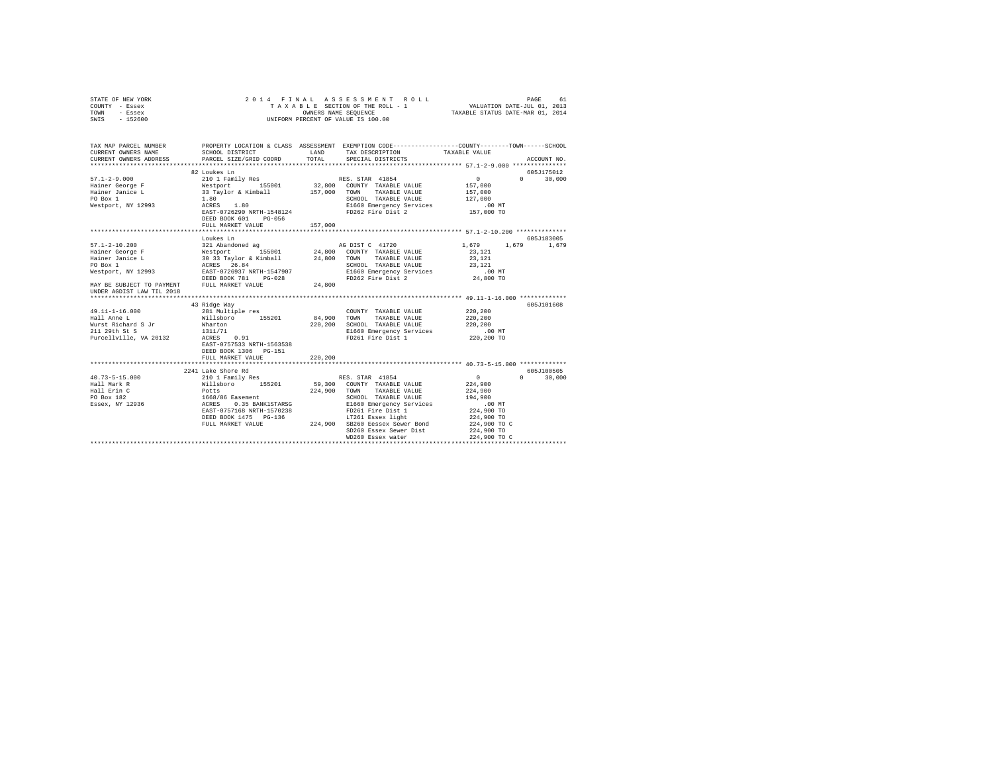| STATE OF NEW YORK<br>COUNTY - Essex<br>TOWN<br>- Essex<br>SWIS - 152600                                                                     |                                                                                                                 |         | 2014 FINAL ASSESSMENT ROLL<br>T A X A B L E SECTION OF THE ROLL - 1<br>OWNERS NAME SEQUENCE<br>UNIFORM PERCENT OF VALUE IS 100.00 | VALUATION DATE-JUL 01, 2013<br>TAXABLE STATUS DATE-MAR 01, 2014 | PAGE<br>61                      |
|---------------------------------------------------------------------------------------------------------------------------------------------|-----------------------------------------------------------------------------------------------------------------|---------|-----------------------------------------------------------------------------------------------------------------------------------|-----------------------------------------------------------------|---------------------------------|
| TAX MAP PARCEL NUMBER PROPERTY LOCATION & CLASS ASSESSMENT EXEMPTION CODE---------------COUNTY-------TOWN-----SCHOOL<br>CURRENT OWNERS NAME | SCHOOL DISTRICT                                                                                                 | LAND    | TAX DESCRIPTION                                                                                                                   | TAXABLE VALUE                                                   |                                 |
| CURRENT OWNERS ADDRESS                                                                                                                      | PARCEL SIZE/GRID COORD                                                                                          | TOTAL   | SPECIAL DISTRICTS                                                                                                                 |                                                                 | ACCOUNT NO.                     |
|                                                                                                                                             | 82 Loukes Ln                                                                                                    |         |                                                                                                                                   |                                                                 | 605J175012                      |
| $57.1 - 2 - 9.000$                                                                                                                          | 210 1 Family Res                                                                                                |         | RES. STAR 41854                                                                                                                   | $\Omega$                                                        | $\Omega$ and $\Omega$<br>30,000 |
| Hainer George F<br>Hainer Janice L                                                                                                          | Westport 155001 32,800 COUNTY TAXABLE VALUE<br>33 Taylor & Kimball 157,000 TOWN TAXABLE VALUE<br>1.80 1.80      |         |                                                                                                                                   | 157,000                                                         |                                 |
|                                                                                                                                             |                                                                                                                 |         |                                                                                                                                   | 157,000                                                         |                                 |
| PO Box 1<br>Westport, NY 12993                                                                                                              |                                                                                                                 |         | E1660 Emergency Services                                                                                                          | 127,000<br>.00 MT                                               |                                 |
|                                                                                                                                             | 1.00<br>ACRES 1.80<br>EAST-0726290 NRTH-1548124                                                                 |         | FD262 Fire Dist 2                                                                                                                 | 157,000 TO                                                      |                                 |
|                                                                                                                                             | DEED BOOK 601 PG-056                                                                                            |         |                                                                                                                                   |                                                                 |                                 |
|                                                                                                                                             | FULL MARKET VALUE                                                                                               | 157,000 |                                                                                                                                   |                                                                 |                                 |
|                                                                                                                                             |                                                                                                                 |         |                                                                                                                                   |                                                                 |                                 |
|                                                                                                                                             | Loukes Ln                                                                                                       |         |                                                                                                                                   |                                                                 | 605J183005                      |
| $57.1 - 2 - 10.200$                                                                                                                         |                                                                                                                 |         |                                                                                                                                   | 1,679                                                           | 1,679 1,679                     |
| Hainer George F<br>Hainer Janice L                                                                                                          |                                                                                                                 |         |                                                                                                                                   | 23,121<br>23,121                                                |                                 |
|                                                                                                                                             |                                                                                                                 |         |                                                                                                                                   | 23,121                                                          |                                 |
|                                                                                                                                             |                                                                                                                 |         | SCHOOL TAXABLE VALUE<br>E1660 Emergency Services                                                                                  | $.00$ MT                                                        |                                 |
| Hainer Jean-<br>PO Box 1<br>Westport, NY 12993<br>DEED BOOK 781<br>DEED BOOK 781<br>DEED BOOK 781<br>DEED BOOK 781<br>POOK 791<br>POOK 781  |                                                                                                                 |         | FD262 Fire Dist 2                                                                                                                 | $24,800$ TO                                                     |                                 |
| MAY BE SUBJECT TO PAYMENT FULL MARKET VALUE                                                                                                 |                                                                                                                 | 24,800  |                                                                                                                                   |                                                                 |                                 |
| UNDER AGDIST LAW TIL 2018                                                                                                                   |                                                                                                                 |         |                                                                                                                                   |                                                                 |                                 |
|                                                                                                                                             | 43 Ridge Way                                                                                                    |         |                                                                                                                                   |                                                                 | 605J101608                      |
| $49.11 - 1 - 16.000$                                                                                                                        | 281 Multiple res                                                                                                |         | COUNTY TAXABLE VALUE                                                                                                              | 220,200                                                         |                                 |
| Hall Anne L                                                                                                                                 |                                                                                                                 |         | 84,900 TOWN TAXABLE VALUE                                                                                                         | 220,200                                                         |                                 |
| Wurst Richard S Jr                                                                                                                          |                                                                                                                 |         | 220,200 SCHOOL TAXABLE VALUE                                                                                                      | 220,200                                                         |                                 |
| 211 29th St S                                                                                                                               | Willsboro 155201<br>Wharton<br>1311/71<br>ACRES 0.91                                                            |         | E1660 Emergency Services                                                                                                          | $.00$ MT                                                        |                                 |
| Purcellville, VA 20132                                                                                                                      |                                                                                                                 |         | FD261 Fire Dist 1                                                                                                                 | 220,200 TO                                                      |                                 |
|                                                                                                                                             | EAST-0757533 NRTH-1563538<br>DEED BOOK 1306 PG-151                                                              |         |                                                                                                                                   |                                                                 |                                 |
|                                                                                                                                             | FULL MARKET VALUE                                                                                               | 220,200 |                                                                                                                                   |                                                                 |                                 |
|                                                                                                                                             | *******************************                                                                                 |         |                                                                                                                                   |                                                                 |                                 |
|                                                                                                                                             | 2241 Lake Shore Rd                                                                                              |         |                                                                                                                                   |                                                                 | 605J100505                      |
| $40.73 - 5 - 15.000$                                                                                                                        | 210 1 Family Res                                                                                                |         | RES. STAR 41854                                                                                                                   | $\sim$ 0                                                        | $\mathsf{n}$<br>30,000          |
| Hall Mark R                                                                                                                                 |                                                                                                                 |         | 59,300 COUNTY TAXABLE VALUE                                                                                                       | 224,900                                                         |                                 |
| Hall Erin C                                                                                                                                 |                                                                                                                 |         | 224,900 TOWN TAXABLE VALUE<br>SCHOOL TAXABLE VALUE                                                                                | 224,900<br>194,900                                              |                                 |
| Rail Efin C<br>PO Box 182<br>Essex, NY 12936                                                                                                |                                                                                                                 |         | E1660 Emergency Services                                                                                                          | $.00$ MT                                                        |                                 |
|                                                                                                                                             | %10 1 ranily Res<br>Nillsboro 155201<br>1668/86 Easement<br>ACRES 0.35 BANK1STARSG<br>EAST-0757168 NRTH-1570238 |         |                                                                                                                                   | 224,900 TO                                                      |                                 |
|                                                                                                                                             | DEED BOOK 1475 PG-136                                                                                           |         | FD261 Fire Dist 1<br>LT261 Essex light                                                                                            | 224,900 TO                                                      |                                 |
|                                                                                                                                             | FULL MARKET VALUE                                                                                               |         | 224,900 SB260 Eessex Sewer Bond                                                                                                   | 224,900 TO C                                                    |                                 |
|                                                                                                                                             |                                                                                                                 |         | SD260 Essex Sewer Dist                                                                                                            | 224,900 TO                                                      |                                 |
|                                                                                                                                             |                                                                                                                 |         | WD260 Essex water<br>****************************                                                                                 | 224,900 TO C<br>****************************                    |                                 |
|                                                                                                                                             |                                                                                                                 |         |                                                                                                                                   |                                                                 |                                 |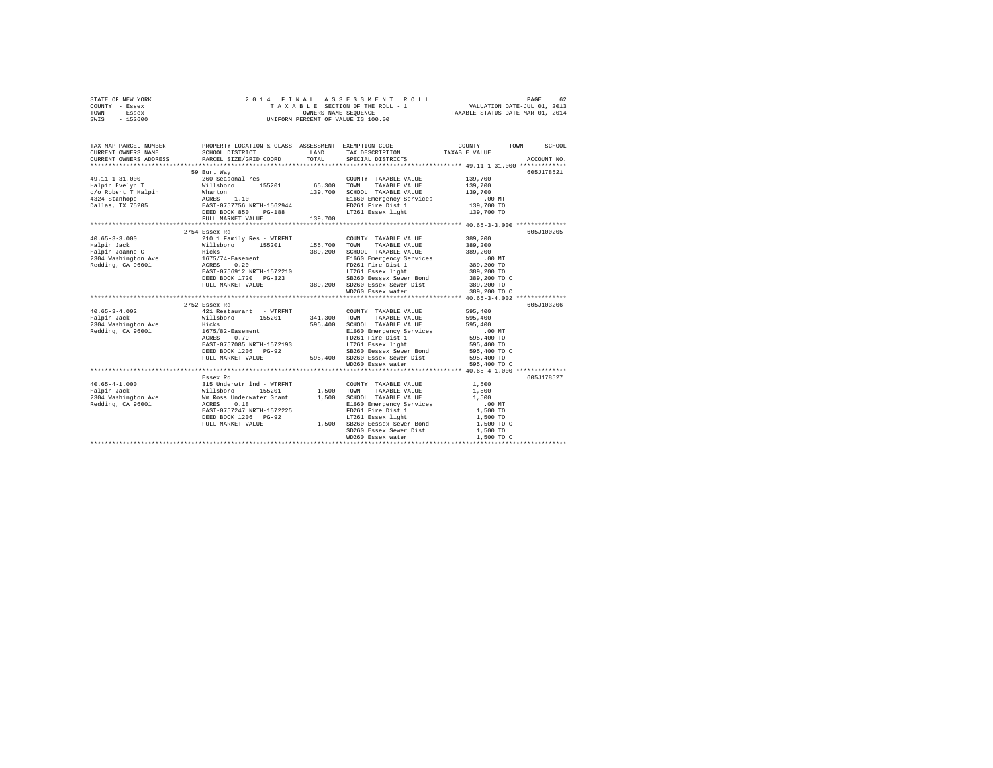| STATE OF NEW YORK |  |  | 2014 FINAL ASSESSMENT ROLL         | PAGE                             | 62 |
|-------------------|--|--|------------------------------------|----------------------------------|----|
| COUNTY - Essex    |  |  | TAXABLE SECTION OF THE ROLL - 1    | VALUATION DATE-JUL 01, 2013      |    |
| TOWN<br>- Essex   |  |  | OWNERS NAME SEOUENCE               | TAXABLE STATUS DATE-MAR 01, 2014 |    |
| $-152600$<br>SWIS |  |  | UNIFORM PERCENT OF VALUE IS 100.00 |                                  |    |

| TAX MAP PARCEL NUMBER<br>CURRENT OWNERS NAME<br>CURRENT OWNERS ADDRESS PARCEL SIZE/GRID COORD                                                                                                                                                                                                                                                                                                                              | SCHOOL DISTRICT           | LAND<br>TOTAL | PROPERTY LOCATION & CLASS ASSESSMENT EXEMPTION CODE---------------COUNTY-------TOWN------SCHOOL<br>${\small \begin{tabular}{ll} \bf{TAX} \textit{DESCRIPITION} \end{tabular}} \begin{tabular}{ll} \bf{TAXABLE} \textit{VALUE} \end{tabular}$                                                                                                                                                                   |                   | ACCOUNT NO. |
|----------------------------------------------------------------------------------------------------------------------------------------------------------------------------------------------------------------------------------------------------------------------------------------------------------------------------------------------------------------------------------------------------------------------------|---------------------------|---------------|----------------------------------------------------------------------------------------------------------------------------------------------------------------------------------------------------------------------------------------------------------------------------------------------------------------------------------------------------------------------------------------------------------------|-------------------|-------------|
|                                                                                                                                                                                                                                                                                                                                                                                                                            |                           |               |                                                                                                                                                                                                                                                                                                                                                                                                                |                   |             |
|                                                                                                                                                                                                                                                                                                                                                                                                                            | 59 Burt Way               |               |                                                                                                                                                                                                                                                                                                                                                                                                                |                   | 605J178521  |
| 49.11-1-31.000                                                                                                                                                                                                                                                                                                                                                                                                             | 260 Seasonal res          |               | COUNTY TAXABLE VALUE 139,700                                                                                                                                                                                                                                                                                                                                                                                   |                   |             |
|                                                                                                                                                                                                                                                                                                                                                                                                                            |                           |               |                                                                                                                                                                                                                                                                                                                                                                                                                |                   |             |
|                                                                                                                                                                                                                                                                                                                                                                                                                            |                           |               |                                                                                                                                                                                                                                                                                                                                                                                                                |                   |             |
|                                                                                                                                                                                                                                                                                                                                                                                                                            |                           |               |                                                                                                                                                                                                                                                                                                                                                                                                                |                   |             |
|                                                                                                                                                                                                                                                                                                                                                                                                                            |                           |               |                                                                                                                                                                                                                                                                                                                                                                                                                |                   |             |
|                                                                                                                                                                                                                                                                                                                                                                                                                            |                           |               |                                                                                                                                                                                                                                                                                                                                                                                                                |                   |             |
|                                                                                                                                                                                                                                                                                                                                                                                                                            |                           |               |                                                                                                                                                                                                                                                                                                                                                                                                                |                   |             |
|                                                                                                                                                                                                                                                                                                                                                                                                                            |                           |               |                                                                                                                                                                                                                                                                                                                                                                                                                |                   |             |
| $\begin{tabular}{l c c c c c} \hline \texttt{X-0+3-3-3.000} & \texttt{2754 E8sec} & \texttt{Rd} & \texttt{2101 I family Res - WTRFINT} & \texttt{COUNT TAXABLE VALUE} & \texttt{389,200} \\ \hline \texttt{Halpin Jocak} & \texttt{2101 I family Res - WTRFINT} & \texttt{155,700 TOWN TAXABLE VALUE} & \texttt{389,200} \\ \texttt{Halpin Jocam} & \texttt{1675/14-Easement} & \texttt{389,200 SCHOLD TAXABLE VALUE} & \$ |                           |               |                                                                                                                                                                                                                                                                                                                                                                                                                |                   | 605J100205  |
|                                                                                                                                                                                                                                                                                                                                                                                                                            |                           |               |                                                                                                                                                                                                                                                                                                                                                                                                                |                   |             |
|                                                                                                                                                                                                                                                                                                                                                                                                                            |                           |               |                                                                                                                                                                                                                                                                                                                                                                                                                |                   |             |
|                                                                                                                                                                                                                                                                                                                                                                                                                            |                           |               |                                                                                                                                                                                                                                                                                                                                                                                                                |                   |             |
|                                                                                                                                                                                                                                                                                                                                                                                                                            |                           |               |                                                                                                                                                                                                                                                                                                                                                                                                                |                   |             |
|                                                                                                                                                                                                                                                                                                                                                                                                                            |                           |               |                                                                                                                                                                                                                                                                                                                                                                                                                |                   |             |
|                                                                                                                                                                                                                                                                                                                                                                                                                            |                           |               |                                                                                                                                                                                                                                                                                                                                                                                                                |                   |             |
|                                                                                                                                                                                                                                                                                                                                                                                                                            |                           |               |                                                                                                                                                                                                                                                                                                                                                                                                                |                   |             |
|                                                                                                                                                                                                                                                                                                                                                                                                                            |                           |               |                                                                                                                                                                                                                                                                                                                                                                                                                |                   |             |
|                                                                                                                                                                                                                                                                                                                                                                                                                            |                           |               |                                                                                                                                                                                                                                                                                                                                                                                                                |                   |             |
|                                                                                                                                                                                                                                                                                                                                                                                                                            |                           |               |                                                                                                                                                                                                                                                                                                                                                                                                                |                   |             |
|                                                                                                                                                                                                                                                                                                                                                                                                                            | 2752 Essex Rd             |               |                                                                                                                                                                                                                                                                                                                                                                                                                |                   | 605J103206  |
|                                                                                                                                                                                                                                                                                                                                                                                                                            |                           |               | COUNTY TAXABLE VALUE 595.400                                                                                                                                                                                                                                                                                                                                                                                   |                   |             |
|                                                                                                                                                                                                                                                                                                                                                                                                                            |                           |               | TAXABLE VALUE 595,400                                                                                                                                                                                                                                                                                                                                                                                          |                   |             |
|                                                                                                                                                                                                                                                                                                                                                                                                                            |                           |               | 00 SCHOOL TAXABLE VALUE 595,400<br>FIG60 Emergency Services 595,400 TO<br>FIG61 Exterport Services 595,400 TO<br>IT261 Exter bist 1 595,400 TO<br>IT261 Essex Sever Bond 555,400 TO C<br>SB240 Essex Sever Bond 555,400 TO C                                                                                                                                                                                   |                   |             |
|                                                                                                                                                                                                                                                                                                                                                                                                                            |                           |               |                                                                                                                                                                                                                                                                                                                                                                                                                |                   |             |
|                                                                                                                                                                                                                                                                                                                                                                                                                            |                           |               |                                                                                                                                                                                                                                                                                                                                                                                                                |                   |             |
|                                                                                                                                                                                                                                                                                                                                                                                                                            |                           |               |                                                                                                                                                                                                                                                                                                                                                                                                                |                   |             |
|                                                                                                                                                                                                                                                                                                                                                                                                                            |                           |               |                                                                                                                                                                                                                                                                                                                                                                                                                |                   |             |
|                                                                                                                                                                                                                                                                                                                                                                                                                            |                           |               |                                                                                                                                                                                                                                                                                                                                                                                                                |                   |             |
|                                                                                                                                                                                                                                                                                                                                                                                                                            |                           |               | ${\small \begin{tabular}{lcccc} \texttt{ACFS} & \texttt{R9} & \texttt{R9} & \texttt{R9} & \texttt{P1} & \texttt{R0} & \texttt{R0} & \texttt{R0} & \texttt{R0} & \texttt{R0} & \texttt{R0} & \texttt{R0} & \texttt{R0} & \texttt{R0} & \texttt{R0} & \texttt{R0} & \texttt{R0} & \texttt{R0} & \texttt{R0} & \texttt{R0} & \texttt{R0} & \texttt{R0} & \texttt{R0} & \texttt{R0} & \texttt{R0} & \texttt{R0} &$ |                   |             |
|                                                                                                                                                                                                                                                                                                                                                                                                                            |                           |               |                                                                                                                                                                                                                                                                                                                                                                                                                |                   |             |
|                                                                                                                                                                                                                                                                                                                                                                                                                            | Essex Rd                  |               |                                                                                                                                                                                                                                                                                                                                                                                                                |                   | 605J178527  |
|                                                                                                                                                                                                                                                                                                                                                                                                                            |                           |               | COUNTY TAXABLE VALUE                                                                                                                                                                                                                                                                                                                                                                                           | 1,500             |             |
|                                                                                                                                                                                                                                                                                                                                                                                                                            |                           |               | TAXABLE VALUE                                                                                                                                                                                                                                                                                                                                                                                                  | 1,500             |             |
|                                                                                                                                                                                                                                                                                                                                                                                                                            |                           |               | SCHOOL TAXABLE VALUE<br>E1660 Emergency Services                                                                                                                                                                                                                                                                                                                                                               | 1,500<br>$.00$ MT |             |
|                                                                                                                                                                                                                                                                                                                                                                                                                            | EAST-0757247 NRTH-1572225 |               |                                                                                                                                                                                                                                                                                                                                                                                                                | 1,500 TO          |             |
|                                                                                                                                                                                                                                                                                                                                                                                                                            |                           |               | FD261 Fire Dist 1<br>LT261 Essex light                                                                                                                                                                                                                                                                                                                                                                         |                   |             |
|                                                                                                                                                                                                                                                                                                                                                                                                                            |                           |               |                                                                                                                                                                                                                                                                                                                                                                                                                |                   |             |
|                                                                                                                                                                                                                                                                                                                                                                                                                            |                           |               |                                                                                                                                                                                                                                                                                                                                                                                                                | 1,500 TO          |             |
|                                                                                                                                                                                                                                                                                                                                                                                                                            |                           |               | SD260 Essex Sewer Dist<br>WD260 Essex water<br>WD260 Essex water                                                                                                                                                                                                                                                                                                                                               | 1,500 TO C        |             |
|                                                                                                                                                                                                                                                                                                                                                                                                                            |                           |               |                                                                                                                                                                                                                                                                                                                                                                                                                |                   |             |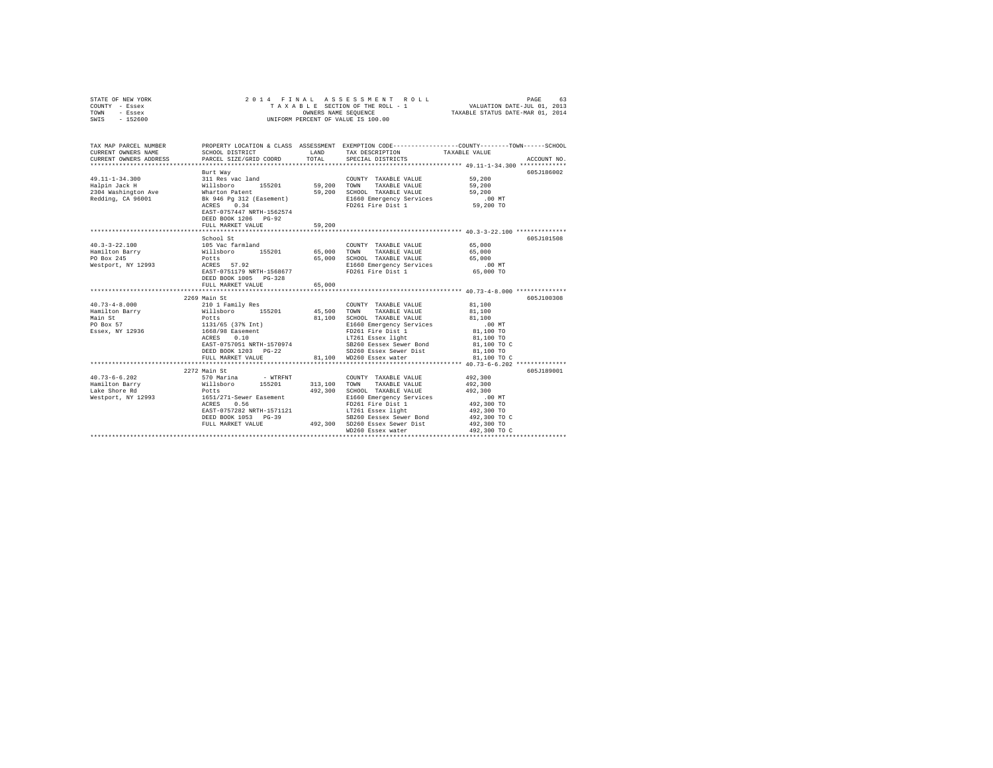| STATE OF NEW YORK<br>COUNTY - Essex<br>TOWN<br>- Essex<br>SWIS - 152600 |                                                     |               | 2014 FINAL ASSESSMENT ROLL<br>TAXABLE SECTION OF THE ROLL - 1<br>OWNERS NAME SEQUENCE<br>UNIFORM PERCENT OF VALUE IS 100.00 | PAGE<br>63<br>VALUATION DATE-JUL 01, 2013<br>TAXABLE STATUS DATE-MAR 01, 2014                                    |
|-------------------------------------------------------------------------|-----------------------------------------------------|---------------|-----------------------------------------------------------------------------------------------------------------------------|------------------------------------------------------------------------------------------------------------------|
| TAX MAP PARCEL NUMBER<br>CURRENT OWNERS NAME                            | SCHOOL DISTRICT                                     | LAND          | TAX DESCRIPTION                                                                                                             | PROPERTY LOCATION & CLASS ASSESSMENT EXEMPTION CODE---------------COUNTY-------TOWN------SCHOOL<br>TAXABLE VALUE |
| CURRENT OWNERS ADDRESS                                                  | PARCEL SIZE/GRID COORD                              | TOTAL         | SPECIAL DISTRICTS                                                                                                           | ACCOUNT NO.                                                                                                      |
|                                                                         |                                                     |               |                                                                                                                             |                                                                                                                  |
|                                                                         | Burt Way                                            |               |                                                                                                                             | 605J186002                                                                                                       |
| $49.11 - 1 - 34.300$                                                    | 311 Res vac land                                    |               | COUNTY TAXABLE VALUE                                                                                                        | 59,200                                                                                                           |
| Halpin Jack H                                                           | Willsboro 155201<br>Wharton Patent                  | 59,200 TOWN   | TAXABLE VALUE                                                                                                               | 59,200                                                                                                           |
| 2304 Washington Ave                                                     |                                                     |               | 59,200 SCHOOL TAXABLE VALUE                                                                                                 | 59,200                                                                                                           |
| Redding, CA 96001                                                       | Bk 946 Pg 312 (Easement)                            |               | E1660 Emergency Services                                                                                                    | .00 MT                                                                                                           |
|                                                                         | ACRES 0.34<br>EAST-0757447 NRTH-1562574             |               | FD261 Fire Dist 1                                                                                                           | 59,200 TO                                                                                                        |
|                                                                         | DEED BOOK 1206 PG-92                                |               |                                                                                                                             |                                                                                                                  |
|                                                                         | FULL MARKET VALUE                                   | 59,200        |                                                                                                                             |                                                                                                                  |
|                                                                         |                                                     | ************* |                                                                                                                             | ************************************* 40.3-3-22.100 **************                                               |
|                                                                         | School St                                           |               |                                                                                                                             | 605J101508                                                                                                       |
| $40.3 - 3 - 22.100$                                                     | 105 Vac farmland                                    |               | COUNTY TAXABLE VALUE                                                                                                        | 65,000                                                                                                           |
| Hamilton Barry                                                          |                                                     |               | 65,000 TOWN TAXABLE VALUE                                                                                                   | 65,000                                                                                                           |
| PO Box 245                                                              | Willsboro 155201<br>Potts<br>ACRES 57.92            |               | 65,000 SCHOOL TAXABLE VALUE                                                                                                 | 65,000                                                                                                           |
| Westport, NY 12993                                                      |                                                     |               | E1660 Emergency Services                                                                                                    | $.00$ MT                                                                                                         |
|                                                                         | EAST-0751179 NRTH-1568677                           |               | FD261 Fire Dist 1                                                                                                           | 65,000 TO                                                                                                        |
|                                                                         | DEED BOOK 1005 PG-328                               |               |                                                                                                                             |                                                                                                                  |
|                                                                         | FULL MARKET VALUE                                   | 65,000        |                                                                                                                             |                                                                                                                  |
|                                                                         |                                                     |               |                                                                                                                             |                                                                                                                  |
| $40.73 - 4 - 8.000$                                                     | 2269 Main St<br>210 1 Family Res                    |               | COUNTY TAXABLE VALUE                                                                                                        | 605J100308<br>81,100                                                                                             |
| Hamilton Barry                                                          | Willsboro 155201                                    |               | 45,500 TOWN TAXABLE VALUE                                                                                                   | 81,100                                                                                                           |
| Main St                                                                 | Potts                                               |               | 81,100 SCHOOL TAXABLE VALUE                                                                                                 | 81,100                                                                                                           |
| PO Box 57                                                               | 1131/65 (37% Int)<br>1668/98 Easement<br>ACRES 0.10 |               | E1660 Emergency Services                                                                                                    | .00 MT                                                                                                           |
| Essex, NY 12936                                                         |                                                     |               |                                                                                                                             | 81,100 TO                                                                                                        |
|                                                                         |                                                     |               | FD261 Fire Dist 1<br>LT261 Essex light                                                                                      | 81,100 TO                                                                                                        |
|                                                                         | EAST-0757051 NRTH-1570974                           |               | SB260 Eessex Sewer Bond                                                                                                     | 81,100 TO C                                                                                                      |
|                                                                         | DEED BOOK 1203 PG-22                                |               | SD260 Essex Sewer Dist                                                                                                      | 81,100 TO                                                                                                        |
|                                                                         | FULL MARKET VALUE                                   |               | 81.100 WD260 Essex water                                                                                                    | 81,100 TO C                                                                                                      |
|                                                                         | **************************                          |               |                                                                                                                             | ******************************** 40.73-6-6.202 **************                                                    |
|                                                                         | 2272 Main St                                        |               |                                                                                                                             | 605J189001                                                                                                       |
| $40.73 - 6 - 6.202$                                                     | 570 Marina<br>- WTRFNT                              |               | COUNTY TAXABLE VALUE                                                                                                        | 492.300                                                                                                          |
| Hamilton Barry                                                          | Willsboro<br>155201                                 |               | 313,100 TOWN TAXABLE VALUE                                                                                                  | 492.300                                                                                                          |
| Lake Shore Rd                                                           | Potts                                               |               | 492,300 SCHOOL TAXABLE VALUE                                                                                                | 492,300                                                                                                          |
| Westport, NY 12993                                                      | 1651/271-Sewer Easement<br>ACRES 0.56               |               | E1660 Emergency Services                                                                                                    | $.00$ MT                                                                                                         |
|                                                                         | EAST-0757282 NRTH-1571121                           |               | FD261 Fire Dist 1<br>LT261 Essex light                                                                                      | 492,300 TO<br>492,300 TO                                                                                         |
|                                                                         | DEED BOOK 1053 PG-39                                |               | SB260 Eessex Sewer Bond                                                                                                     | 492,300 TO C                                                                                                     |
|                                                                         | FULL MARKET VALUE                                   |               | 492.300 SD260 Essex Sewer Dist                                                                                              | 492,300 TO                                                                                                       |
|                                                                         |                                                     |               | WD260 Essex water                                                                                                           | 492,300 TO C                                                                                                     |
|                                                                         |                                                     |               |                                                                                                                             | ********************************                                                                                 |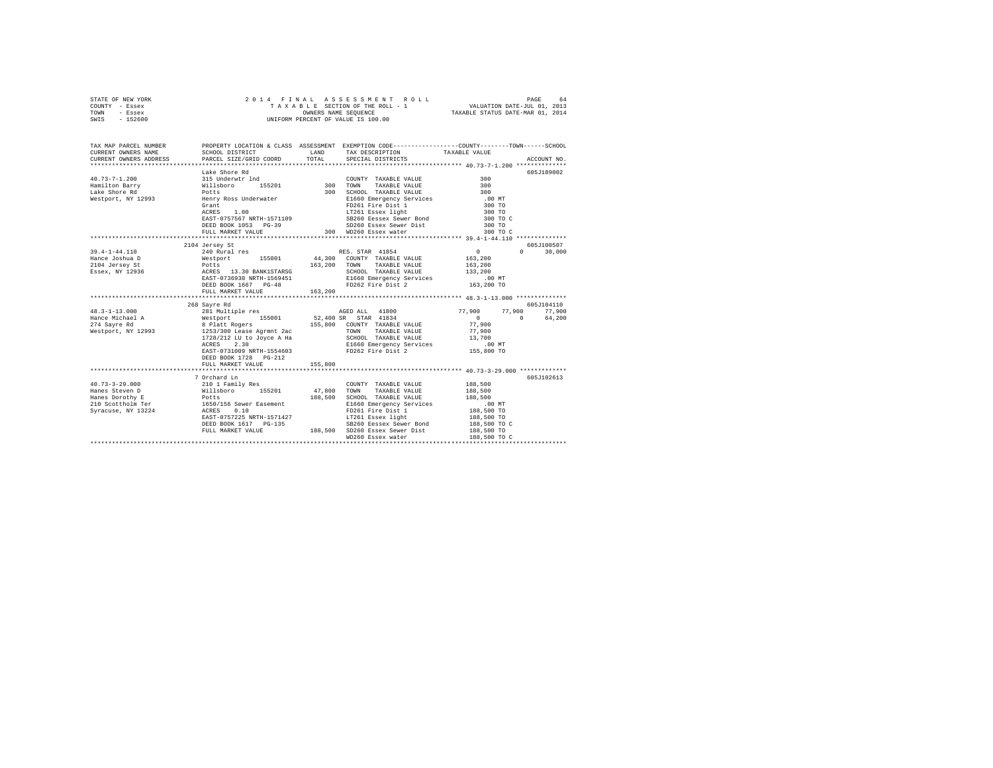|      | STATE OF NEW YORK |  | 2014 FINAL ASSESSMENT ROLL         |                                  | PAGE                        | 64 |
|------|-------------------|--|------------------------------------|----------------------------------|-----------------------------|----|
|      | COUNTY - Essex    |  | TAXABLE SECTION OF THE ROLL - 1    |                                  | VALUATION DATE-JUL 01, 2013 |    |
| TOWN | - Essex           |  | OWNERS NAME SEOUENCE               | TAXABLE STATUS DATE-MAR 01, 2014 |                             |    |
| SWIS | - 152600          |  | UNIFORM PERCENT OF VALUE IS 100.00 |                                  |                             |    |

| TAX MAP PARCEL NUMBER<br>CURRENT OWNERS NAME<br>CURRENT OWNERS ADDRESS PARCEL SIZE/GRID COORD                                                                                                                                                                                                                                                                                                                                                                           | SCHOOL DISTRICT                            | LAND<br><b>TOTAL</b> | TAX DESCRIPTION TAXABLE VALUE SPECIAL DISTRICTS                                                                                                                                                                                        | PROPERTY LOCATION & CLASS ASSESSMENT EXEMPTION CODE---------------COUNTY-------TOWN------SCHOOL<br>ACCOUNT NO. |
|-------------------------------------------------------------------------------------------------------------------------------------------------------------------------------------------------------------------------------------------------------------------------------------------------------------------------------------------------------------------------------------------------------------------------------------------------------------------------|--------------------------------------------|----------------------|----------------------------------------------------------------------------------------------------------------------------------------------------------------------------------------------------------------------------------------|----------------------------------------------------------------------------------------------------------------|
| $\begin{tabular}{lllllllllllll} \multicolumn{4}{c}{\textbf{40.73--7--1.200}} & \multicolumn{4}{c}{\textbf{Take Shore Rd}} & \multicolumn{4}{c}{\textbf{50.8}} & \multicolumn{4}{c}{\textbf{Ca}} & \multicolumn{4}{c}{\textbf{COMN}} \\ \multicolumn{4}{c}{\textbf{Hamilton Barry}} & \multicolumn{4}{c}{\textbf{315 Torro}} & \multicolumn{4}{c}{\textbf{5201}} & \multicolumn{4}{c}{\textbf{300}} & \multicolumn{4}{c}{\textbf{COMN}} \\ \multicolumn{4}{c}{\textbf{L$ | $\overline{a}$ .00                         |                      | COUNTY TAXABLE VALUE<br>39 SD260 Essex Sewer Dist<br>300 WD260 Essex water                                                                                                                                                             | 605J189002<br>300                                                                                              |
|                                                                                                                                                                                                                                                                                                                                                                                                                                                                         | FULL MARKET VALUE                          |                      |                                                                                                                                                                                                                                        | 300 TO C                                                                                                       |
|                                                                                                                                                                                                                                                                                                                                                                                                                                                                         | 2104 Jersey St                             |                      |                                                                                                                                                                                                                                        | 605-7100507<br>$\sim$ 0.000 $\sim$                                                                             |
|                                                                                                                                                                                                                                                                                                                                                                                                                                                                         |                                            |                      |                                                                                                                                                                                                                                        | $\Omega$<br>30,000                                                                                             |
|                                                                                                                                                                                                                                                                                                                                                                                                                                                                         | 268 Sayre Rd                               |                      | $1728/212$ LU to Joyce A Ha SCHOOL TAXABLE VALUE $13,700$                                                                                                                                                                              | 605J104110<br>77,900 77,900 77,900<br>$\overline{0}$<br>$\sim$ 0<br>64,200                                     |
|                                                                                                                                                                                                                                                                                                                                                                                                                                                                         | DEED BOOK 1728 PG-212<br>FULL MARKET VALUE | 155,800              |                                                                                                                                                                                                                                        |                                                                                                                |
|                                                                                                                                                                                                                                                                                                                                                                                                                                                                         | 7 Orchard Ln                               |                      |                                                                                                                                                                                                                                        | 605J102613                                                                                                     |
| 40.73-1-29.000 2101 Family Res<br>Hanes Steven D Millsboro 155201 47,800 TOWN<br>Hanes Borothy E Millsboro 155201 47,800 SCHOO<br>210 Schotlolm Ter 165/7156 Sewer Easement 188,500 SCHOO<br>21160 201201 18224 ACRES 0.10                                                                                                                                                                                                                                              |                                            |                      | COUNTY TAXABLE VALUE<br>TAXABLE VALUE<br>188,500 SCHOOL TAXABLE VALUE 188,500 NO E1660 Emergency Services 188,500 TRN 261 FD261 Fire District 188,500 TRN 2018<br>LT261 Essex light 188,500 TO<br>SB260 Eessex Sewer Bond 188,500 TO C | 188,500<br>188,500                                                                                             |
|                                                                                                                                                                                                                                                                                                                                                                                                                                                                         |                                            |                      | WD260 Essex water                                                                                                                                                                                                                      | 188,500 TO C                                                                                                   |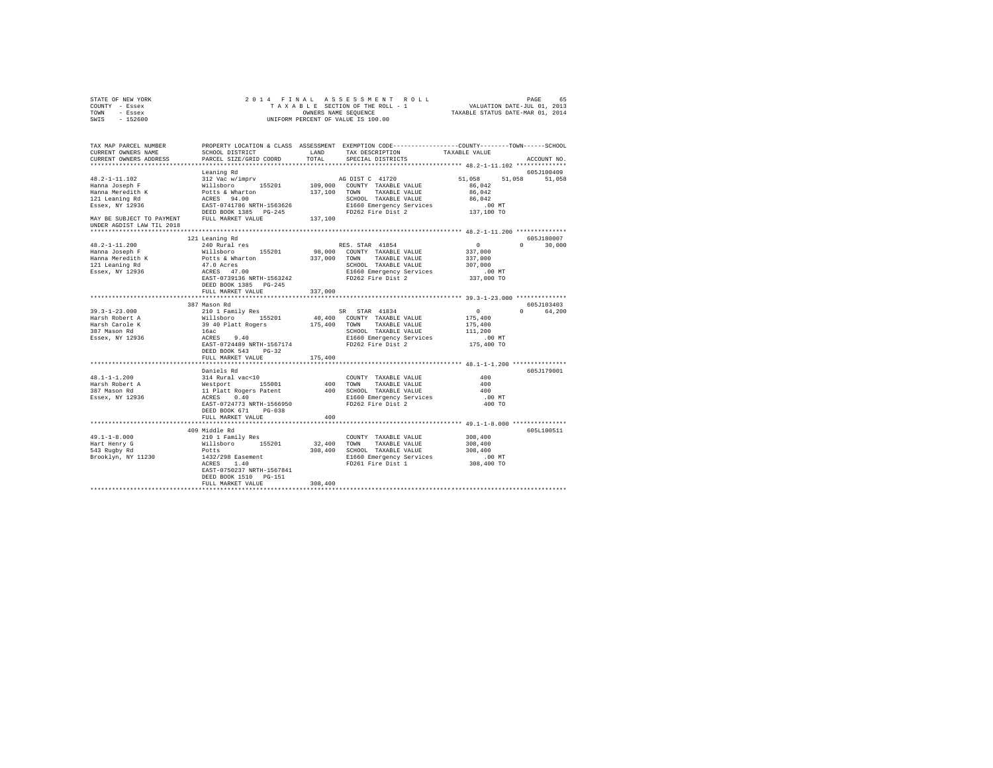| STATE OF NEW YORK                                                                                     |                                                                                                                                                                                                                                                       |         |                   |                                                        |               |
|-------------------------------------------------------------------------------------------------------|-------------------------------------------------------------------------------------------------------------------------------------------------------------------------------------------------------------------------------------------------------|---------|-------------------|--------------------------------------------------------|---------------|
| COUNTY - Essex                                                                                        |                                                                                                                                                                                                                                                       |         |                   |                                                        |               |
| TOWN - Essex                                                                                          |                                                                                                                                                                                                                                                       |         |                   |                                                        |               |
| SWIS - 152600                                                                                         |                                                                                                                                                                                                                                                       |         |                   |                                                        |               |
|                                                                                                       |                                                                                                                                                                                                                                                       |         |                   |                                                        |               |
|                                                                                                       |                                                                                                                                                                                                                                                       |         |                   |                                                        |               |
| CURRENT OWNERS NAME                                                                                   | SCHOOL DISTRICT LAND TAX DESCRIPTION TAXABLE VALUE                                                                                                                                                                                                    |         |                   |                                                        |               |
| CURRENT OWNERS ADDRESS                                                                                | PARCEL SIZE/GRID COORD                                                                                                                                                                                                                                | TOTAL   | SPECIAL DISTRICTS |                                                        | ACCOUNT NO.   |
|                                                                                                       |                                                                                                                                                                                                                                                       |         |                   |                                                        |               |
|                                                                                                       | Leaning Rd                                                                                                                                                                                                                                            |         |                   |                                                        | 605J100409    |
|                                                                                                       |                                                                                                                                                                                                                                                       |         |                   | 51,058 51,058 51,058                                   |               |
| 48.2-1-11.102<br>Hanna Joseph F                                                                       |                                                                                                                                                                                                                                                       |         |                   | 86,042                                                 |               |
| *o.z<br>Hanna Joseph F<br>Hanna Meredith K<br>121 Leaning Rd<br>Essex, NY 12936                       |                                                                                                                                                                                                                                                       |         |                   | 86,042                                                 |               |
|                                                                                                       |                                                                                                                                                                                                                                                       |         |                   | 86,042                                                 |               |
|                                                                                                       |                                                                                                                                                                                                                                                       |         |                   | .00 MT                                                 |               |
|                                                                                                       |                                                                                                                                                                                                                                                       |         |                   |                                                        |               |
|                                                                                                       |                                                                                                                                                                                                                                                       |         |                   | 137,100 TO                                             |               |
|                                                                                                       | $\verb MAX BE SUBJECT TO PAYMENT \hspace{1.5cm} FULL MARKET VALUE \label{thm:un}$ UNDER AGDIST LAW TIL 2018                                                                                                                                           |         |                   |                                                        |               |
|                                                                                                       |                                                                                                                                                                                                                                                       |         |                   |                                                        |               |
|                                                                                                       | 121 Leaning Rd                                                                                                                                                                                                                                        |         |                   | 605.7180007                                            |               |
| 48.2-1-11.200<br>48.2-1-1.<br>Hanna Joseph F<br>Hanna Meredith K<br>121 Leaning Rd<br>Essex, NY 12936 | 240 Rural res                                                                                                                                                                                                                                         |         | RES. STAR 41854   | $\sim$ 0                                               | $0 \t 30,000$ |
|                                                                                                       |                                                                                                                                                                                                                                                       |         |                   | 337,000                                                |               |
|                                                                                                       |                                                                                                                                                                                                                                                       |         |                   | 337,000                                                |               |
|                                                                                                       |                                                                                                                                                                                                                                                       |         |                   | 307,000                                                |               |
|                                                                                                       | Nillsboro 155201 98,000 COUNTY TAXABLE VALUE<br>Potts & Mharton 337,000 TOWN TAXABLE VALUE<br>Potts & Mharton 337,000 TOWN TAXABLE VALUE<br>47.0 Acres<br>47.0 Acres<br>47.0 Acres<br>47.0 Acres<br>2000 SCHOOL TAXABLE VALUE<br>EAST-0739136         |         |                   | .00 MT                                                 |               |
|                                                                                                       |                                                                                                                                                                                                                                                       |         |                   | 337,000 TO                                             |               |
|                                                                                                       |                                                                                                                                                                                                                                                       |         |                   |                                                        |               |
|                                                                                                       | FULL MARKET VALUE                                                                                                                                                                                                                                     | 337,000 |                   |                                                        |               |
|                                                                                                       |                                                                                                                                                                                                                                                       |         |                   |                                                        |               |
|                                                                                                       | 387 Mason Rd                                                                                                                                                                                                                                          |         |                   |                                                        | 605J103403    |
|                                                                                                       |                                                                                                                                                                                                                                                       |         |                   | $\begin{array}{c} 0 \\ 175,400 \\ 175,400 \end{array}$ | 0 64,200      |
|                                                                                                       |                                                                                                                                                                                                                                                       |         |                   |                                                        |               |
|                                                                                                       |                                                                                                                                                                                                                                                       |         |                   |                                                        |               |
|                                                                                                       |                                                                                                                                                                                                                                                       |         |                   | 111,200                                                |               |
|                                                                                                       |                                                                                                                                                                                                                                                       |         |                   |                                                        |               |
|                                                                                                       |                                                                                                                                                                                                                                                       |         |                   | .00 MT.<br>175,400 TO                                  |               |
|                                                                                                       | DEED BOOK 543 PG-32                                                                                                                                                                                                                                   |         |                   |                                                        |               |
|                                                                                                       | FULL MARKET VALUE 175,400                                                                                                                                                                                                                             |         |                   |                                                        |               |
|                                                                                                       |                                                                                                                                                                                                                                                       |         |                   |                                                        |               |
|                                                                                                       | Daniels Rd                                                                                                                                                                                                                                            |         |                   |                                                        | 605J179001    |
| 48.1-1-1.200                                                                                          |                                                                                                                                                                                                                                                       |         |                   | 400                                                    |               |
|                                                                                                       |                                                                                                                                                                                                                                                       |         |                   | 400                                                    |               |
|                                                                                                       |                                                                                                                                                                                                                                                       |         |                   | 400                                                    |               |
| Harsh Robert A<br>387 Mason Rd<br>Essex, NY 12936                                                     |                                                                                                                                                                                                                                                       |         |                   | .00 MT                                                 |               |
|                                                                                                       |                                                                                                                                                                                                                                                       |         |                   | 400 TO                                                 |               |
|                                                                                                       | DEED BOOK 671 PG-038                                                                                                                                                                                                                                  |         |                   |                                                        |               |
|                                                                                                       | FULL MARKET VALUE                                                                                                                                                                                                                                     | 400     |                   |                                                        |               |
|                                                                                                       |                                                                                                                                                                                                                                                       |         |                   |                                                        |               |
|                                                                                                       |                                                                                                                                                                                                                                                       |         |                   |                                                        | 605L100511    |
|                                                                                                       | 409 Middle Rd<br>409 Middle Rd<br>210 1 Family Res $22,400$ TOWNY TAXABLE VALUE $308,400$<br>210 1 Family Res $32,400$ TOWN TAXABLE VALUE $308,400$<br>Potts $1432/298$ Easement $1432/298$ Easement $1432/298$ Easement $1432/298$ Easement $1432/2$ |         |                   |                                                        |               |
|                                                                                                       |                                                                                                                                                                                                                                                       |         |                   |                                                        |               |
| 49.1-1-8.000<br>Hart Henry G<br>543 Rugby Rd<br>Brooklyn, NY 11230                                    |                                                                                                                                                                                                                                                       |         |                   |                                                        |               |
|                                                                                                       |                                                                                                                                                                                                                                                       |         |                   |                                                        |               |
|                                                                                                       |                                                                                                                                                                                                                                                       |         |                   |                                                        |               |
|                                                                                                       | EAST-0750237 NRTH-1567841                                                                                                                                                                                                                             |         |                   |                                                        |               |
|                                                                                                       | DEED BOOK 1510    PG-151                                                                                                                                                                                                                              |         |                   |                                                        |               |
|                                                                                                       |                                                                                                                                                                                                                                                       | 308,400 |                   |                                                        |               |
|                                                                                                       | FULL MARKET VALUE                                                                                                                                                                                                                                     |         |                   |                                                        |               |
|                                                                                                       |                                                                                                                                                                                                                                                       |         |                   |                                                        |               |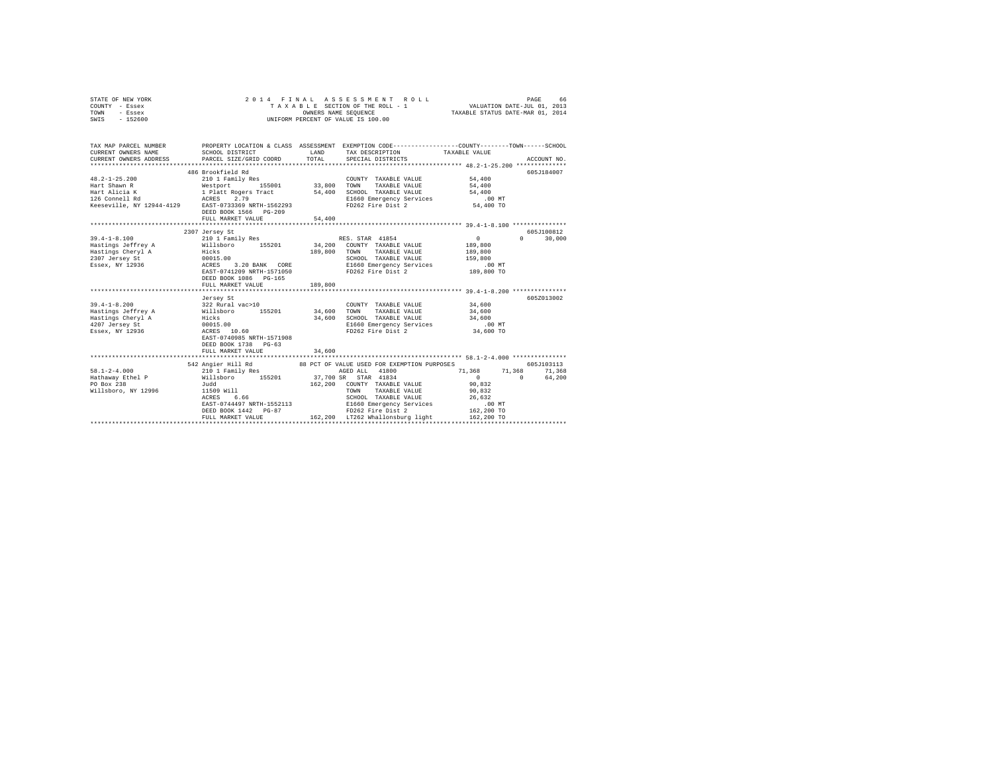| COUNTY - Essex                                                                                                                                                                                                                                                                                                          |                                                                |              |                                                                                                                                                                                                                                     |                                                                                                                                                                                                                                                                                               |                                  |
|-------------------------------------------------------------------------------------------------------------------------------------------------------------------------------------------------------------------------------------------------------------------------------------------------------------------------|----------------------------------------------------------------|--------------|-------------------------------------------------------------------------------------------------------------------------------------------------------------------------------------------------------------------------------------|-----------------------------------------------------------------------------------------------------------------------------------------------------------------------------------------------------------------------------------------------------------------------------------------------|----------------------------------|
| TOWN - Essex<br>SWIS - 152600                                                                                                                                                                                                                                                                                           |                                                                |              | UNIFORM PERCENT OF VALUE IS 100.00                                                                                                                                                                                                  |                                                                                                                                                                                                                                                                                               |                                  |
|                                                                                                                                                                                                                                                                                                                         |                                                                |              |                                                                                                                                                                                                                                     |                                                                                                                                                                                                                                                                                               |                                  |
|                                                                                                                                                                                                                                                                                                                         |                                                                |              |                                                                                                                                                                                                                                     |                                                                                                                                                                                                                                                                                               |                                  |
|                                                                                                                                                                                                                                                                                                                         |                                                                |              |                                                                                                                                                                                                                                     |                                                                                                                                                                                                                                                                                               |                                  |
| TAX MAP PARCEL NUMBER                                                                                                                                                                                                                                                                                                   |                                                                |              | PROPERTY LOCATION & CLASS ASSESSMENT EXEMPTION CODE---------------COUNTY-------TOWN------SCHOOL                                                                                                                                     |                                                                                                                                                                                                                                                                                               |                                  |
| CURRENT OWNERS NAME                                                                                                                                                                                                                                                                                                     | SCHOOL DISTRICT                                                | LAND         | TAX DESCRIPTION TAXABLE VALUE<br>LAND TAX DESCRIPTION<br>TOTAL SPECIAL DISTRICTS                                                                                                                                                    |                                                                                                                                                                                                                                                                                               |                                  |
| CURRENT OWNERS ADDRESS                                                                                                                                                                                                                                                                                                  | SCHOOL DISTRICT<br>PARCEL SIZE/GRID COORD                      |              |                                                                                                                                                                                                                                     |                                                                                                                                                                                                                                                                                               | ACCOUNT NO.                      |
|                                                                                                                                                                                                                                                                                                                         |                                                                |              |                                                                                                                                                                                                                                     |                                                                                                                                                                                                                                                                                               |                                  |
|                                                                                                                                                                                                                                                                                                                         | 486 Brookfield Rd                                              |              |                                                                                                                                                                                                                                     |                                                                                                                                                                                                                                                                                               | 605J184007                       |
| $48.2 - 1 - 25.200$                                                                                                                                                                                                                                                                                                     | 210 1 Family Res                                               |              | COUNTY TAXABLE VALUE 54,400                                                                                                                                                                                                         |                                                                                                                                                                                                                                                                                               |                                  |
|                                                                                                                                                                                                                                                                                                                         |                                                                |              |                                                                                                                                                                                                                                     |                                                                                                                                                                                                                                                                                               |                                  |
| Hart Shawn R<br>$14.400$ Hart Alicia K (1991) 155001 - 1980 10000 17 2000 10000 18 2000 17 2000 18 2000 18 2000 18 2000 18 2000 18 2000 18 2000 18 2000 19 2000 18 2000 18 2000 18 2000 19 2000 19 2000 19 2000 19 2000 12 20                                                                                           |                                                                |              |                                                                                                                                                                                                                                     |                                                                                                                                                                                                                                                                                               |                                  |
|                                                                                                                                                                                                                                                                                                                         |                                                                |              |                                                                                                                                                                                                                                     |                                                                                                                                                                                                                                                                                               |                                  |
|                                                                                                                                                                                                                                                                                                                         |                                                                |              |                                                                                                                                                                                                                                     |                                                                                                                                                                                                                                                                                               |                                  |
|                                                                                                                                                                                                                                                                                                                         | DEED BOOK 1566 PG-209                                          |              |                                                                                                                                                                                                                                     |                                                                                                                                                                                                                                                                                               |                                  |
|                                                                                                                                                                                                                                                                                                                         | FULL MARKET VALUE                                              | 54,400       |                                                                                                                                                                                                                                     |                                                                                                                                                                                                                                                                                               |                                  |
|                                                                                                                                                                                                                                                                                                                         |                                                                |              |                                                                                                                                                                                                                                     |                                                                                                                                                                                                                                                                                               |                                  |
|                                                                                                                                                                                                                                                                                                                         | 2307 Jersey St                                                 |              |                                                                                                                                                                                                                                     | $\sim$ 0 $\sim$ 0 $\sim$ 0 $\sim$ 0 $\sim$ 0 $\sim$ 0 $\sim$ 0 $\sim$ 0 $\sim$ 0 $\sim$ 0 $\sim$ 0 $\sim$ 0 $\sim$ 0 $\sim$ 0 $\sim$ 0 $\sim$ 0 $\sim$ 0 $\sim$ 0 $\sim$ 0 $\sim$ 0 $\sim$ 0 $\sim$ 0 $\sim$ 0 $\sim$ 0 $\sim$ 0 $\sim$ 0 $\sim$ 0 $\sim$ 0 $\sim$ 0 $\sim$ 0 $\sim$ 0 $\sim$ | 605J100812<br>30,000<br>$\Omega$ |
| $\begin{array}{lllllllll} 39.4\mbox{--}1-8.100 & \hspace{1.5cm} 210 & 1 & \text{Family Res} & \hspace{1.5cm} \text{RES. STAR} & 41854 \\ \text{Hastings Jeffrey A} & \hspace{1.5cm} \text{Willsboro} & \hspace{1.5cm} 155201 & \hspace{1.5cm} 34,200 & \hspace{1.5cm} \text{COUNTY} & \text{TAXABLE VALUE} \end{array}$ |                                                                |              |                                                                                                                                                                                                                                     | 189,800                                                                                                                                                                                                                                                                                       |                                  |
| Mastings other a material contract and the material control of the material control of the material of the material control of the material control of the material control of the material control of the material control of                                                                                          |                                                                |              |                                                                                                                                                                                                                                     |                                                                                                                                                                                                                                                                                               |                                  |
|                                                                                                                                                                                                                                                                                                                         |                                                                | 189,800 TOWN | TAXABLE VALUE 189,800<br>TAXABLE VALUE 159,800                                                                                                                                                                                      |                                                                                                                                                                                                                                                                                               |                                  |
|                                                                                                                                                                                                                                                                                                                         |                                                                |              |                                                                                                                                                                                                                                     |                                                                                                                                                                                                                                                                                               |                                  |
|                                                                                                                                                                                                                                                                                                                         | EAST-0741209 NRTH-1571050                                      |              | 00 SCHOOL TAXABLE VALUE<br>3.20 BANK CORE E1660 Emergency Services<br>741209 NRTH-1571050 FD262 Fire Dist 2                                                                                                                         | 00 MT.<br>189,800 TO                                                                                                                                                                                                                                                                          |                                  |
|                                                                                                                                                                                                                                                                                                                         | DEED BOOK 1086 PG-165                                          |              |                                                                                                                                                                                                                                     |                                                                                                                                                                                                                                                                                               |                                  |
|                                                                                                                                                                                                                                                                                                                         | FULL MARKET VALUE                                              | 189,800      |                                                                                                                                                                                                                                     |                                                                                                                                                                                                                                                                                               |                                  |
|                                                                                                                                                                                                                                                                                                                         |                                                                |              |                                                                                                                                                                                                                                     |                                                                                                                                                                                                                                                                                               |                                  |
|                                                                                                                                                                                                                                                                                                                         | Jersey St                                                      |              |                                                                                                                                                                                                                                     |                                                                                                                                                                                                                                                                                               | 605Z013002                       |
|                                                                                                                                                                                                                                                                                                                         |                                                                |              | COUNTY TAXABLE VALUE 34,600                                                                                                                                                                                                         |                                                                                                                                                                                                                                                                                               |                                  |
|                                                                                                                                                                                                                                                                                                                         |                                                                |              |                                                                                                                                                                                                                                     |                                                                                                                                                                                                                                                                                               |                                  |
| 39.4-1-8.200<br>Haatings Jeffrey A Millaboro 155201<br>Haatings Jeffrey A Millaboro 155201<br>Haatings Cheryl A 11.1<br>20015.00<br>20015.00<br>20015.00<br>20015.00<br>20015.00<br>20015.00<br>20015.00<br>20015.00<br>20015.00                                                                                        |                                                                |              | $34,600 \quad \text{TOWN} \qquad \text{TAXABLE VALUE} \qquad \qquad 34,600 \\ 34,600 \quad \text{SCHOOL} \quad \text{TAXABLE VALUE} \qquad \qquad 34,600$                                                                           |                                                                                                                                                                                                                                                                                               |                                  |
|                                                                                                                                                                                                                                                                                                                         |                                                                |              |                                                                                                                                                                                                                                     | .00 MT                                                                                                                                                                                                                                                                                        |                                  |
|                                                                                                                                                                                                                                                                                                                         |                                                                |              | E1660 Emergency Services .00 MT<br>FD262 Fire Dist 2 34,600 TO                                                                                                                                                                      |                                                                                                                                                                                                                                                                                               |                                  |
|                                                                                                                                                                                                                                                                                                                         | EAST-0740985 NRTH-1571908                                      |              |                                                                                                                                                                                                                                     |                                                                                                                                                                                                                                                                                               |                                  |
|                                                                                                                                                                                                                                                                                                                         | DEED BOOK 1738 PG-63                                           |              |                                                                                                                                                                                                                                     |                                                                                                                                                                                                                                                                                               |                                  |
|                                                                                                                                                                                                                                                                                                                         | FULL MARKET VALUE                                              | 34,600       |                                                                                                                                                                                                                                     |                                                                                                                                                                                                                                                                                               |                                  |
|                                                                                                                                                                                                                                                                                                                         |                                                                |              |                                                                                                                                                                                                                                     |                                                                                                                                                                                                                                                                                               |                                  |
|                                                                                                                                                                                                                                                                                                                         | 542 Angier Hill Rd 88 PCT OF VALUE USED FOR EXEMPTION PURPOSES |              |                                                                                                                                                                                                                                     |                                                                                                                                                                                                                                                                                               | 605J103113                       |
|                                                                                                                                                                                                                                                                                                                         |                                                                |              |                                                                                                                                                                                                                                     |                                                                                                                                                                                                                                                                                               |                                  |
|                                                                                                                                                                                                                                                                                                                         |                                                                |              |                                                                                                                                                                                                                                     |                                                                                                                                                                                                                                                                                               |                                  |
|                                                                                                                                                                                                                                                                                                                         |                                                                |              | 162,200 COUNTY TAXABLE VALUE                                                                                                                                                                                                        | $\begin{array}{cccc} \texttt{0.05,1103113} \\ \texttt{71,368} & \texttt{71,368} & \texttt{71,368} \\ \texttt{0} & \texttt{0} & \texttt{64,200} \\ \texttt{90,832} & \texttt{0} & \texttt{64,200} \end{array}$                                                                                 |                                  |
| Willsboro, NY 12996                                                                                                                                                                                                                                                                                                     |                                                                |              |                                                                                                                                                                                                                                     |                                                                                                                                                                                                                                                                                               |                                  |
|                                                                                                                                                                                                                                                                                                                         |                                                                |              | 012109 Will MacDon Taxable 11509 Will 11509 Will Solemont School Taxable Value 26,632<br>ACRES 6.66 EAST-0744497 NRTH-1552113 B1660 Emergency Services 00 NT<br>FRST-0744497 NRTH-1552113 PD262 Fire Dist 2 142 162,200 TO<br>PD262 |                                                                                                                                                                                                                                                                                               |                                  |
|                                                                                                                                                                                                                                                                                                                         |                                                                |              |                                                                                                                                                                                                                                     |                                                                                                                                                                                                                                                                                               |                                  |
|                                                                                                                                                                                                                                                                                                                         |                                                                |              |                                                                                                                                                                                                                                     |                                                                                                                                                                                                                                                                                               |                                  |
|                                                                                                                                                                                                                                                                                                                         | FULL MARKET VALUE                                              |              | 162,200 LT262 Whallonsburg light 162,200 TO                                                                                                                                                                                         |                                                                                                                                                                                                                                                                                               |                                  |
|                                                                                                                                                                                                                                                                                                                         |                                                                |              |                                                                                                                                                                                                                                     |                                                                                                                                                                                                                                                                                               |                                  |

STATE OF NEW YORK 66 2014 FINAL ASSESSMENT ROLL PAGE 66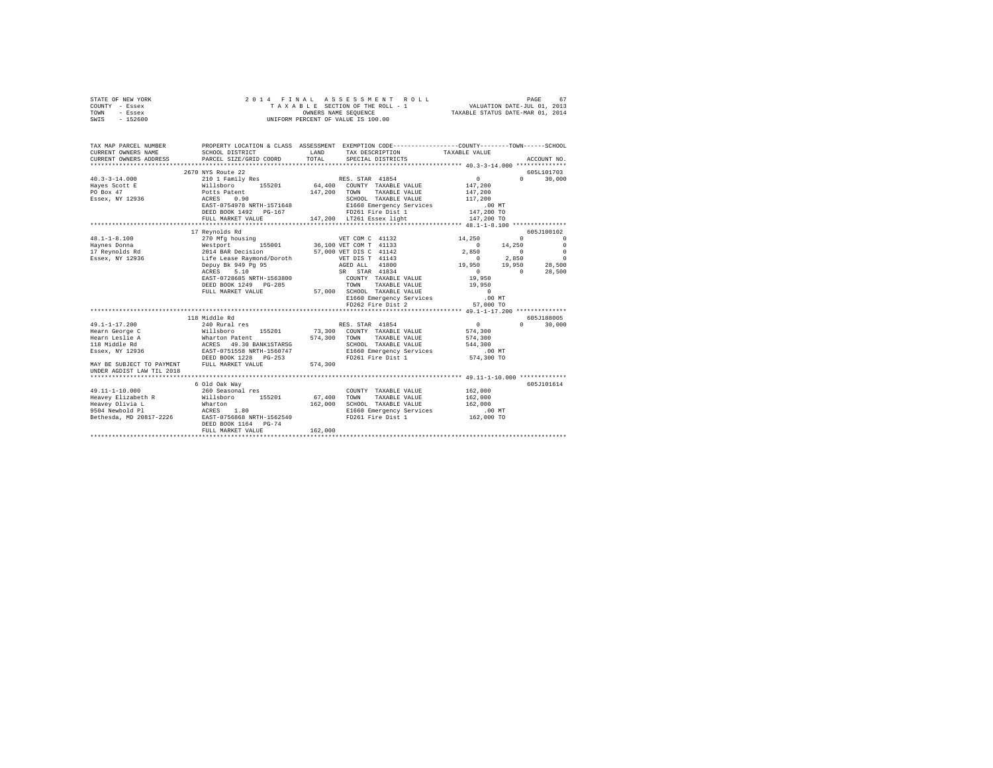| STATE OF NEW YORK |  |  |  | 2014 FINAL ASSESSMENT ROLL         |                                  | PAGE                        | 67 |
|-------------------|--|--|--|------------------------------------|----------------------------------|-----------------------------|----|
| COUNTY - Essex    |  |  |  | TAXABLE SECTION OF THE ROLL - 1    |                                  | VALUATION DATE-JUL 01, 2013 |    |
| TOWN<br>- Essex   |  |  |  | OWNERS NAME SEOUENCE               | TAXABLE STATUS DATE-MAR 01, 2014 |                             |    |
| $-152600$<br>SWIS |  |  |  | UNIFORM PERCENT OF VALUE IS 100.00 |                                  |                             |    |

| TAX MAP PARCEL NUMBER<br>CURRENT OWNERS NAME<br>CURRENT OWNERS ADDRESS                                                                                                                                                      | SCHOOL DISTRICT<br>PARCEL SIZE/GRID COORD                                                                                                         | LAND<br>TOTAL.          | PROPERTY LOCATION & CLASS ASSESSMENT EXEMPTION CODE-----------------COUNTY-------TOWN------SCHOOL<br>TAX DESCRIPTION TAXABLE VALUE<br>SPECIAL DISTRICTS                                |                                                                                                                        | ACCOUNT NO.                                                                  |
|-----------------------------------------------------------------------------------------------------------------------------------------------------------------------------------------------------------------------------|---------------------------------------------------------------------------------------------------------------------------------------------------|-------------------------|----------------------------------------------------------------------------------------------------------------------------------------------------------------------------------------|------------------------------------------------------------------------------------------------------------------------|------------------------------------------------------------------------------|
| $40.3 - 3 - 14.000$<br>$\verb Hayes Scott E  \qquad \qquad \verb Willsboro  \qquad \qquad 155201 \qquad \qquad 64,400 \quad \text{COUNTY} \qquad \verb TXABLE VALUE  \qquad \qquad 147,200$<br>PO Box 47<br>Essex, NY 12936 | 2670 NYS Route 22<br>210 1 Family Res<br>Potts Patent<br>ACRES 0.90<br>EAST-0754978 NRTH-1571648<br>DEED BOOK 1492    PG-167<br>FULL MARKET VALUE |                         | RES. STAR 41854<br>147,200 TOWN TAXABLE VALUE<br>SCHOOL TAXABLE VALUE<br>E1660 Emergency Services .00 MT<br>FD261 Fire Dist 1 147,200 TO<br>147,200 LT261 Essex light                  | $\sim$ 0<br>147,200<br>117,200<br>147,200 TO                                                                           | 605L101703<br>30,000<br>$\Omega$                                             |
| $48.1 - 1 - 8.100$<br>Haynes Donna (Mestport 155001 36,100 VET COM T 41133<br>Haynes Donna (Mestport 155001 57,000 VET COM T 41132<br>Essex, NY 12936 1.1fe Lease Raymond/Doroth VET DIS T 41142                            | 17 Revnolds Rd<br>270 Mfg housing WET COM C 41132<br>Depuy Bk 949 Pg 95<br>ACRES 5.10<br>DEED BOOK 1249 PG-285<br>FULL MARKET VALUE               |                         | AGED ALL 41800<br>SR STAR 41834<br>EAST-0728685 NRTH-1563800 COUNTY TAXABLE VALUE 19,950<br>TOWN TAXABLE VALUE 19,950<br>57,000 SCHOOL TAXABLE VALUE<br>E1660 Emergency Services 00 MT | 14,250<br>14,250<br>$\sim$ 0<br>$\sim$ 0<br>2,850<br>2,850<br>$\sim$ 0<br>19,950 19,950 28,500<br>$\sim$ 0<br>$\sim$ 0 | 605J100102<br>$\circ$<br>$\Omega$<br>$\circ$<br>$\circ$<br>$\circ$<br>28,500 |
|                                                                                                                                                                                                                             |                                                                                                                                                   |                         | FD262 Fire Dist 2                                                                                                                                                                      | 57,000 TO                                                                                                              |                                                                              |
| $49.1 - 1 - 17.200$<br>Hearn George C<br>DEED BOOK 1228 PG-253<br>MAY BE SUBJECT TO PAYMENT FULL MARKET VALUE                                                                                                               | 118 Middle Rd<br>240 Rural res<br>Willsboro 155201 73,300 COUNTY TAXABLE VALUE                                                                    | 574,300 TOWN<br>574,300 | RES. STAR 41854<br>TAXABLE VALUE 574,300<br>SCHOOL TAXABLE VALUE 544,300<br>E1660 Emergency Services .00 MT<br>FD261 Fire Dist 1                                                       | $\sim$ 0<br>574,300<br>574,300 TO                                                                                      | 605J188005<br>30,000<br>$\Omega$                                             |
| UNDER AGDIST LAW TIL 2018<br>$49.11 - 1 - 10.000$<br>9504 Newbold Pl<br>Bethesda, MD 20817-2226                                                                                                                             | 6 Old Oak Way<br>260 Seasonal res<br>ACRES 1.80<br>EAST-0756868 NRTH-1562540                                                                      |                         | COUNTY TAXABLE VALUE 162,000<br>67,400 TOWN TAXABLE VALUE<br>162,000 SCHOOL TAXABLE VALUE<br>E1660 Emergency Services .00 MT<br>FD261 Fire Dist 1                                      | 162,000<br>162,000<br>162,000 TO                                                                                       | 605-7101614                                                                  |
|                                                                                                                                                                                                                             | DEED BOOK 1164 PG-74<br>FULL MARKET VALUE                                                                                                         | 162,000                 |                                                                                                                                                                                        |                                                                                                                        |                                                                              |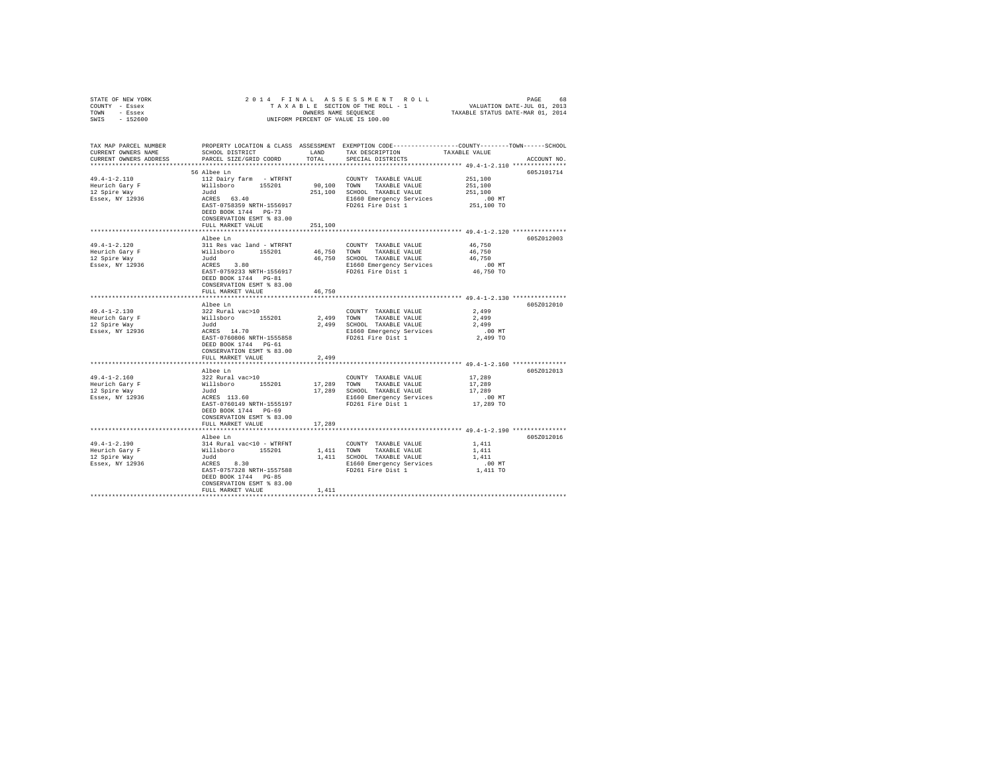| STATE OF NEW YORK              |                                           |            |                                                                                                   |                     |             |
|--------------------------------|-------------------------------------------|------------|---------------------------------------------------------------------------------------------------|---------------------|-------------|
| COUNTY - Essex                 |                                           |            |                                                                                                   |                     |             |
| TOWN - Essex                   |                                           |            |                                                                                                   |                     |             |
| SWIS - 152600                  |                                           |            |                                                                                                   |                     |             |
|                                |                                           |            |                                                                                                   |                     |             |
|                                |                                           |            |                                                                                                   |                     |             |
|                                |                                           |            |                                                                                                   |                     |             |
|                                |                                           |            |                                                                                                   |                     |             |
| TAX MAP PARCEL NUMBER          |                                           |            | PROPERTY LOCATION & CLASS ASSESSMENT EXEMPTION CODE-----------------COUNTY-------TOWN------SCHOOL |                     |             |
| CURRENT OWNERS NAME            | SCHOOL DISTRICT                           | LAND       | TAX DESCRIPTION                                                                                   | TAXABLE VALUE       |             |
| CURRENT OWNERS ADDRESS         | PARCEL SIZE/GRID COORD                    | TOTAL      | SPECIAL DISTRICTS                                                                                 |                     | ACCOUNT NO. |
|                                |                                           |            |                                                                                                   |                     |             |
|                                | 56 Albee Ln                               |            |                                                                                                   |                     | 605J101714  |
| $49.4 - 1 - 2.110$             | 112 Dairy farm - WTRFNT                   |            | COUNTY TAXABLE VALUE                                                                              | 251,100             |             |
|                                | Willsboro 155201                          |            | 90,100 TOWN TAXABLE VALUE                                                                         | 251,100             |             |
| Heurich Gary F<br>12 Spire Way |                                           |            | 251,100 SCHOOL TAXABLE VALUE                                                                      | 251,100             |             |
|                                |                                           |            |                                                                                                   |                     |             |
| Essex, NY 12936                | Judd<br>ACRES 63.40                       |            | E1660 Emergency Services                                                                          | $.00$ MT            |             |
|                                | EAST-0758359 NRTH-1556917                 |            | FD261 Fire Dist 1                                                                                 | 251,100 TO          |             |
|                                | DEED BOOK 1744 PG-73                      |            |                                                                                                   |                     |             |
|                                | CONSERVATION ESMT % 83.00                 |            |                                                                                                   |                     |             |
|                                | FULL MARKET VALUE                         | 251,100    |                                                                                                   |                     |             |
|                                |                                           |            |                                                                                                   |                     |             |
|                                | Albee Ln                                  |            |                                                                                                   |                     | 605Z012003  |
| $49.4 - 1 - 2.120$             | 311 Res vac land - WTRFNT                 |            | COUNTY TAXABLE VALUE                                                                              | 46,750              |             |
|                                |                                           |            |                                                                                                   |                     |             |
| Heurich Gary F                 | willsboro 155201<br>Judd                  |            | 46.750 TOWN TAXABLE VALUE                                                                         | 46,750              |             |
| 12 Spire Way                   |                                           |            | 46,750 SCHOOL TAXABLE VALUE                                                                       | 46,750              |             |
| Essex, NY 12936                | 3.80<br>ACRES 3.80<br>EAST-0759233 NRTH-1 |            | E1660 Emergency Services                                                                          | 00 MT.<br>46,750 TO |             |
|                                |                                           |            | EAST-0759233 NRTH-1556917 FD261 Fire Dist 1                                                       |                     |             |
|                                | DEED BOOK 1744 PG-81                      |            |                                                                                                   |                     |             |
|                                | CONSERVATION ESMT % 83.00                 |            |                                                                                                   |                     |             |
|                                | FULL MARKET VALUE                         | 46,750     |                                                                                                   |                     |             |
|                                |                                           |            |                                                                                                   |                     |             |
|                                |                                           |            |                                                                                                   |                     | 605Z012010  |
|                                | Albee Ln                                  |            |                                                                                                   |                     |             |
| $49.4 - 1 - 2.130$             |                                           |            | COUNTY TAXABLE VALUE                                                                              | 2,499               |             |
| Heurich Gary F<br>12 Spire Way |                                           |            | 2,499 TOWN TAXABLE VALUE                                                                          | 2,499               |             |
|                                |                                           |            | 2,499 SCHOOL TAXABLE VALUE                                                                        | 2,499               |             |
| Essex, NY 12936                |                                           |            | E1660 Emergency Services                                                                          | $.00$ MT            |             |
|                                | EAST-0760806 NRTH-1555858                 |            | FD261 Fire Dist 1                                                                                 | 2,499 TO            |             |
|                                | DEED BOOK 1744 PG-61                      |            |                                                                                                   |                     |             |
|                                | CONSERVATION ESMT % 83.00                 |            |                                                                                                   |                     |             |
|                                |                                           |            |                                                                                                   |                     |             |
|                                | FULL MARKET VALUE                         | 2,499      |                                                                                                   |                     |             |
|                                |                                           |            | ********************************* 49.4-1-2.160 ***************                                    |                     |             |
|                                | Albee Ln                                  |            |                                                                                                   |                     | 605Z012013  |
| $49.4 - 1 - 2.160$             |                                           |            | COUNTY TAXABLE VALUE                                                                              | 17,289              |             |
| Heurich Gary F                 |                                           |            | 17,289 TOWN TAXABLE VALUE                                                                         | 17,289              |             |
| 12 Spire Way                   |                                           |            | 17,289 SCHOOL TAXABLE VALUE                                                                       | 17,289              |             |
| Essex, NY 12936                |                                           |            | E1660 Emergency Services                                                                          | $.00$ MT            |             |
|                                | EAST-0760149 NRTH-1555197                 |            | FD261 Fire Dist 1                                                                                 | 17,289 TO           |             |
|                                | DEED BOOK 1744 PG-69                      |            |                                                                                                   |                     |             |
|                                |                                           |            |                                                                                                   |                     |             |
|                                | CONSERVATION ESMT % 83.00                 |            |                                                                                                   |                     |             |
|                                | FULL MARKET VALUE                         | 17,289     |                                                                                                   |                     |             |
|                                |                                           |            |                                                                                                   |                     |             |
|                                | Albee Ln                                  |            |                                                                                                   |                     | 605Z012016  |
| $49.4 - 1 - 2.190$             | 314 Rural vac<10 - WTRFNT                 |            | COUNTY TAXABLE VALUE                                                                              | 1.411               |             |
| Heurich Gary F                 |                                           |            |                                                                                                   | 1,411               |             |
| 12 Spire Way                   |                                           |            |                                                                                                   | 1,411               |             |
| Essex, NY 12936                |                                           |            |                                                                                                   |                     |             |
|                                |                                           |            | E1660 Emergency Services                                                                          | $.00$ MT            |             |
|                                |                                           |            |                                                                                                   | 1,411 TO            |             |
|                                | DEED BOOK 1744 PG-85                      |            |                                                                                                   |                     |             |
|                                | CONSERVATION ESMT % 83.00                 |            |                                                                                                   |                     |             |
|                                | FULL MARKET VALUE                         | 1,411      |                                                                                                   |                     |             |
|                                |                                           | ********** |                                                                                                   |                     |             |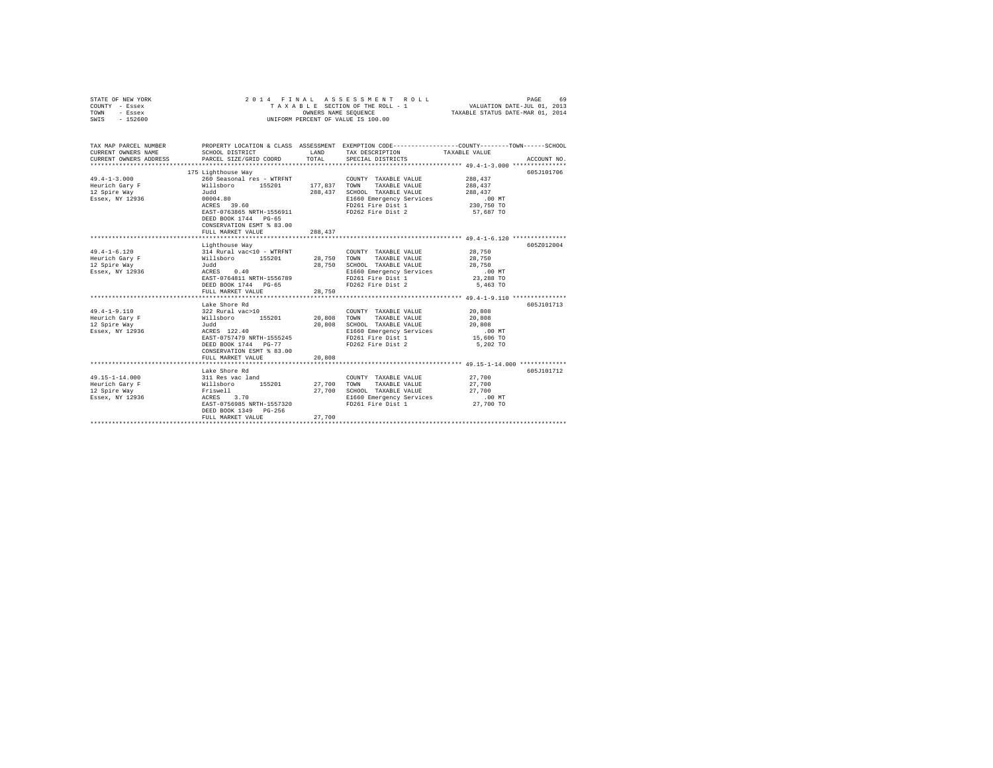| STATE OF NEW YORK<br>COUNTY - Essex<br>TOWN<br>- Essex<br>$-152600$<br>SWIS | 2014 FINAL                                                                                                                                                                                                    | OWNERS NAME SEQUENCE       | ASSESSMENT ROLL<br>TAXABLE SECTION OF THE ROLL - 1<br>UNIFORM PERCENT OF VALUE IS 100.00                                                        | VALUATION DATE-JUL 01, 2013<br>TAXABLE STATUS DATE-MAR 01, 2014    | 69<br>PAGE  |
|-----------------------------------------------------------------------------|---------------------------------------------------------------------------------------------------------------------------------------------------------------------------------------------------------------|----------------------------|-------------------------------------------------------------------------------------------------------------------------------------------------|--------------------------------------------------------------------|-------------|
| TAX MAP PARCEL NUMBER<br>CURRENT OWNERS NAME<br>CURRENT OWNERS ADDRESS      | SCHOOL DISTRICT<br>PARCEL SIZE/GRID COORD                                                                                                                                                                     | LAND<br>TOTAL              | PROPERTY LOCATION & CLASS ASSESSMENT EXEMPTION CODE---------------COUNTY-------TOWN-----SCHOOL<br>TAX DESCRIPTION<br>SPECIAL DISTRICTS          | TAXABLE VALUE                                                      | ACCOUNT NO. |
|                                                                             |                                                                                                                                                                                                               |                            |                                                                                                                                                 |                                                                    |             |
| $49.4 - 1 - 3.000$<br>Heurich Gary F<br>12 Spire Way<br>Essex, NY 12936     | 175 Lighthouse Way<br>260 Seasonal res - WTRFNT<br>Willsboro 155201<br>Judd<br>00004.80<br>ACRES 39.60<br>EAST-0763865 NRTH-1556911<br>DEED BOOK 1744 PG-65<br>CONSERVATION ESMT % 83.00<br>FULL MARKET VALUE | 177,837 TOWN               | COUNTY TAXABLE VALUE<br>TAXABLE VALUE<br>288.437 SCHOOL TAXABLE VALUE<br>E1660 Emergency Services<br>FD261 Fire Dist 1<br>FD262 Fire Dist 2     | 288,437<br>288,437<br>288,437<br>.00 MT<br>230,750 TO<br>57,687 TO | 605J101706  |
|                                                                             |                                                                                                                                                                                                               | 288,437                    |                                                                                                                                                 |                                                                    |             |
|                                                                             | Lighthouse Way                                                                                                                                                                                                |                            |                                                                                                                                                 |                                                                    | 605Z012004  |
| $49.4 - 1 - 6.120$<br>Heurich Gary F<br>12 Spire Way<br>Essex, NY 12936     | 314 Rural vac<10 - WTRFNT<br>314 Rural vac<10 - WTRF1<br>Willsboro - 155201<br>Judd<br>ACRES - 0.40<br>$dudd$<br>ACRES $0.40$<br>EAST-0764811 NRTH-1556789<br>DEED BOOK 1744 PG-65                            | 28,750                     | COUNTY TAXABLE VALUE<br>28,750 TOWN TAXABLE VALUE<br>SCHOOL TAXABLE VALUE<br>E1660 Emergency Services<br>FD261 Fire Dist 1<br>FD262 Fire Dist 2 | 28,750<br>28,750<br>28,750<br>$.00$ MT<br>23,288 TO<br>5,463 TO    |             |
|                                                                             | FULL MARKET VALUE                                                                                                                                                                                             | 28,750                     |                                                                                                                                                 |                                                                    |             |
| $49.4 - 1 - 9.110$<br>Heurich Gary F<br>12 Spire Way<br>Essex, NY 12936     | Lake Shore Rd<br>322 Rural vac>10<br>Willsboro 155201<br>Judd<br>ACRES 122.40<br>EAST-0757479 NRTH-1555245<br>DEED BOOK 1744 PG-77<br>CONSERVATION ESMT % 83.00                                               | 20,808 TOWN<br>20,808      | COUNTY TAXABLE VALUE<br>TAXABLE VALUE<br>SCHOOL TAXABLE VALUE<br>E1660 Emergency Services<br>FD261 Fire Dist 1<br>FD262 Fire Dist 2             | 20,808<br>20,808<br>20,808<br>$.00$ MT<br>15,606 TO<br>5,202 TO    | 605J101713  |
|                                                                             | FULL MARKET VALUE                                                                                                                                                                                             | 20,808                     |                                                                                                                                                 |                                                                    |             |
| $49.15 - 1 - 14.000$<br>Heurich Gary F<br>12 Spire Way<br>Essex, NY 12936   | Lake Shore Rd<br>311 Res vac land<br>Willsboro 155201<br>Friswell<br>ACRES 3.70<br>EAST-0756985 NRTH-1557320<br>DEED BOOK 1349 PG-256<br>FULL MARKET VALUE                                                    | 27,700<br>27,700<br>27,700 | COUNTY TAXABLE VALUE<br>TOWN<br>TAXABLE VALUE<br>SCHOOL TAXABLE VALUE<br>E1660 Emergency Services<br>FD261 Fire Dist 1                          | 27,700<br>27,700<br>27,700<br>$.00$ MT<br>27,700 TO                | 605J101712  |
|                                                                             | *************************                                                                                                                                                                                     |                            |                                                                                                                                                 |                                                                    |             |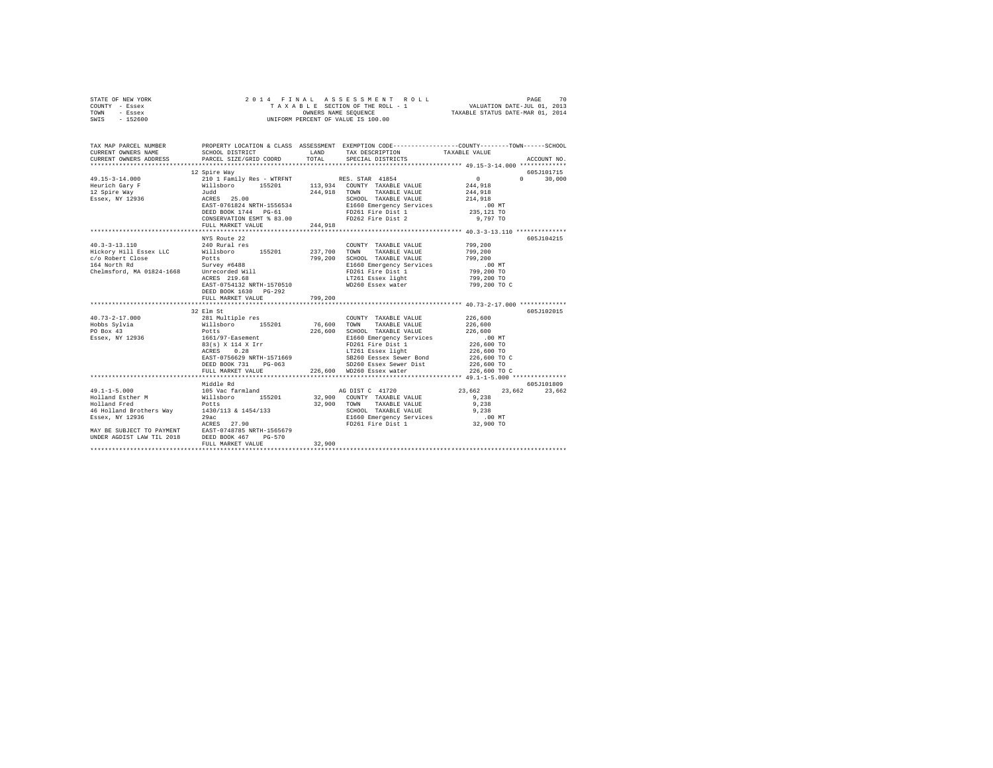| STATE OF NEW YORK                                                                                                                                                                                                              |                                                                               |         |                                                                                   |                                 |               |
|--------------------------------------------------------------------------------------------------------------------------------------------------------------------------------------------------------------------------------|-------------------------------------------------------------------------------|---------|-----------------------------------------------------------------------------------|---------------------------------|---------------|
| COUNTY - Essex                                                                                                                                                                                                                 |                                                                               |         |                                                                                   |                                 |               |
| TOWN - Essex                                                                                                                                                                                                                   |                                                                               |         |                                                                                   |                                 |               |
| SWIS - 152600                                                                                                                                                                                                                  |                                                                               |         |                                                                                   |                                 |               |
|                                                                                                                                                                                                                                |                                                                               |         |                                                                                   |                                 |               |
|                                                                                                                                                                                                                                |                                                                               |         |                                                                                   |                                 |               |
|                                                                                                                                                                                                                                |                                                                               |         |                                                                                   |                                 |               |
| TAX MAP PARCEL NUMBER<br>CURRENT ONNERS NAME SCHOOL DISTRICT & CLASS ASSESSMENT EXEMPTION CODE-----------------COUNTY--------TOWN------SCHOOL                                                                                  |                                                                               |         |                                                                                   |                                 |               |
|                                                                                                                                                                                                                                |                                                                               |         |                                                                                   |                                 |               |
| CURRENT OWNERS ADDRESS                                                                                                                                                                                                         | PARCEL SIZE/GRID COORD                                                        | TOTAL   | SPECIAL DISTRICTS                                                                 |                                 | ACCOUNT NO.   |
|                                                                                                                                                                                                                                |                                                                               |         |                                                                                   |                                 |               |
|                                                                                                                                                                                                                                | 12 Spire Way                                                                  |         |                                                                                   |                                 | 605J101715    |
|                                                                                                                                                                                                                                |                                                                               |         |                                                                                   | $\sim$ 0                        | $0 \t 30,000$ |
|                                                                                                                                                                                                                                |                                                                               |         |                                                                                   | 244.918                         |               |
|                                                                                                                                                                                                                                |                                                                               |         |                                                                                   | 244,918                         |               |
|                                                                                                                                                                                                                                |                                                                               |         | SCHOOL TAXABLE VALUE                                                              | 214,918                         |               |
|                                                                                                                                                                                                                                |                                                                               |         |                                                                                   | .00 MT                          |               |
|                                                                                                                                                                                                                                |                                                                               |         |                                                                                   | 235,121 TO                      |               |
| $12.5-3-14.000$ $12.5-3-14.000$ $12.5-3-14.000$ $12.5-3-14.000$ $12.5-3-14.000$ $12.5-3-14.000$ $12.5-3-14.000$ $12.5-3-14.000$ $12.5-3-14.000$ $12.5-3-14.000$ $12.5-3-14.000$ $12.5-3-14.000$ $12.5-3-14.000$ $12.5-3-14.00$ |                                                                               |         |                                                                                   | 9,797 TO                        |               |
|                                                                                                                                                                                                                                | FULL MARKET VALUE 244,918                                                     |         |                                                                                   |                                 |               |
|                                                                                                                                                                                                                                |                                                                               |         |                                                                                   |                                 |               |
|                                                                                                                                                                                                                                | NYS Route 22                                                                  |         |                                                                                   |                                 | 605J104215    |
| $40.3 - 3 - 13.110$                                                                                                                                                                                                            | 240 Rural res                                                                 |         | COUNTY TAXABLE VALUE                                                              | 799,200                         |               |
|                                                                                                                                                                                                                                |                                                                               |         |                                                                                   |                                 |               |
|                                                                                                                                                                                                                                |                                                                               |         |                                                                                   |                                 |               |
|                                                                                                                                                                                                                                |                                                                               |         |                                                                                   |                                 |               |
|                                                                                                                                                                                                                                |                                                                               |         |                                                                                   |                                 |               |
|                                                                                                                                                                                                                                |                                                                               |         |                                                                                   |                                 |               |
|                                                                                                                                                                                                                                |                                                                               |         |                                                                                   |                                 |               |
|                                                                                                                                                                                                                                |                                                                               |         |                                                                                   | 799,200 TO C                    |               |
|                                                                                                                                                                                                                                | DEED BOOK 1630 PG-292                                                         |         |                                                                                   |                                 |               |
|                                                                                                                                                                                                                                | FULL MARKET VALUE                                                             | 799,200 |                                                                                   |                                 |               |
|                                                                                                                                                                                                                                |                                                                               |         |                                                                                   |                                 |               |
|                                                                                                                                                                                                                                | 32 Elm St                                                                     |         |                                                                                   |                                 | 605J102015    |
| $40.73 - 2 - 17.000$                                                                                                                                                                                                           |                                                                               |         | COUNTY TAXABLE VALUE<br>76,600 TOWN TAXABLE VALUE<br>COUNTY TAXABLE VALUE 226,600 |                                 |               |
| Hobbs Sylvia<br>PO Box 43                                                                                                                                                                                                      | ----- --<br>281 Multiple res<br>Willsboro 155201<br>Potts<br>1661/97-Easement |         |                                                                                   | 226,600                         |               |
|                                                                                                                                                                                                                                |                                                                               |         |                                                                                   |                                 |               |
| Essex, NY 12936                                                                                                                                                                                                                |                                                                               |         |                                                                                   |                                 |               |
|                                                                                                                                                                                                                                | 83(s) X 114 X Irr<br>ACRES 0.28                                               |         |                                                                                   | 226,600<br>00 MT.<br>226,600 TO |               |
|                                                                                                                                                                                                                                |                                                                               |         |                                                                                   | 226,600 TO                      |               |
|                                                                                                                                                                                                                                |                                                                               |         |                                                                                   | 226,600 то с                    |               |
|                                                                                                                                                                                                                                |                                                                               |         |                                                                                   | 226,600 TO                      |               |
|                                                                                                                                                                                                                                |                                                                               |         |                                                                                   | 226,600 TO C                    |               |
|                                                                                                                                                                                                                                |                                                                               |         |                                                                                   |                                 |               |
|                                                                                                                                                                                                                                | Middle Rd                                                                     |         |                                                                                   |                                 | 605J101809    |
|                                                                                                                                                                                                                                |                                                                               |         |                                                                                   | 23,662 23,662 23,662            |               |
|                                                                                                                                                                                                                                |                                                                               |         |                                                                                   | 9,238                           |               |
|                                                                                                                                                                                                                                |                                                                               |         |                                                                                   | 9,238                           |               |
|                                                                                                                                                                                                                                |                                                                               |         | SCHOOL TAXABLE VALUE                                                              | 9,238                           |               |
|                                                                                                                                                                                                                                |                                                                               |         |                                                                                   |                                 |               |
|                                                                                                                                                                                                                                |                                                                               |         | E1660 Emergency Services .00 MT<br>FD261 Fire Dist 1 32,900 TO                    |                                 |               |
|                                                                                                                                                                                                                                |                                                                               |         |                                                                                   |                                 |               |
|                                                                                                                                                                                                                                |                                                                               |         |                                                                                   |                                 |               |
|                                                                                                                                                                                                                                | FULL MARKET VALUE                                                             | 32,900  |                                                                                   |                                 |               |
|                                                                                                                                                                                                                                |                                                                               |         |                                                                                   |                                 |               |
|                                                                                                                                                                                                                                |                                                                               |         |                                                                                   |                                 |               |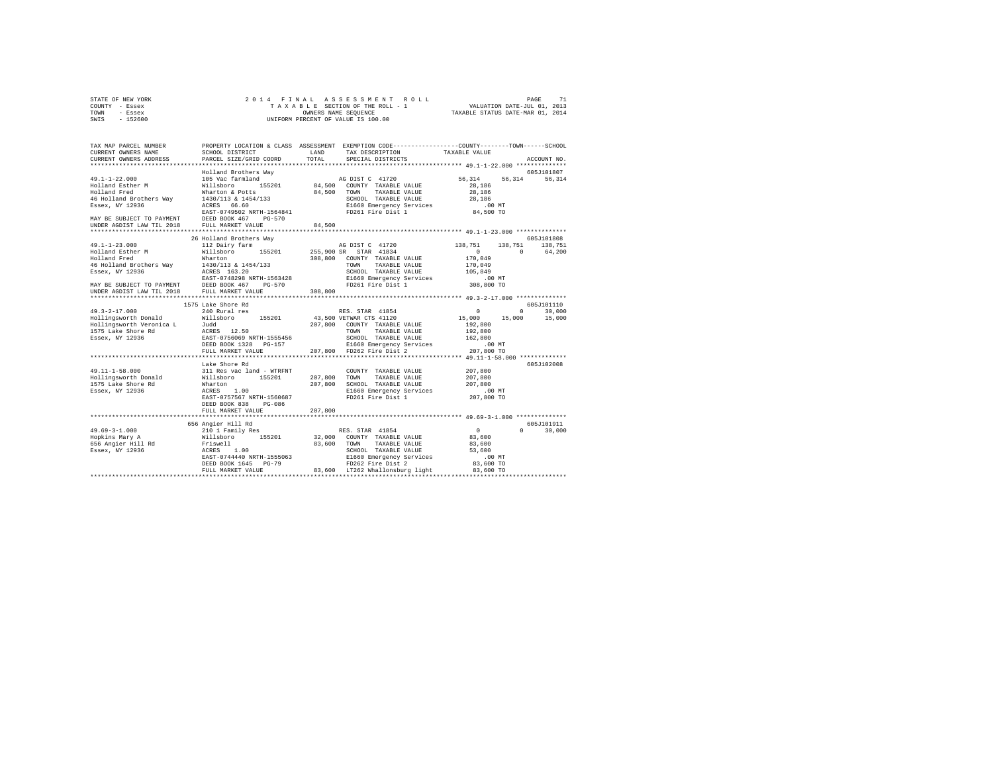| STATE OF NEW YORK | 2014 FINAL ASSESSMENT ROLL         | 71<br>PAGE                       |
|-------------------|------------------------------------|----------------------------------|
| COUNTY - Essex    | TAXABLE SECTION OF THE ROLL - 1    | VALUATION DATE-JUL 01, 2013      |
| TOWN<br>- Essex   | OWNERS NAME SEOUENCE               | TAXABLE STATUS DATE-MAR 01, 2014 |
| $-152600$<br>SWIS | UNIFORM PERCENT OF VALUE IS 100.00 |                                  |

| TAX MAP PARCEL NUMBER                                                               |                                                                             |              | PROPERTY LOCATION & CLASS ASSESSMENT EXEMPTION CODE----------------COUNTY-------TOWN------SCHOOL |                       |                    |
|-------------------------------------------------------------------------------------|-----------------------------------------------------------------------------|--------------|--------------------------------------------------------------------------------------------------|-----------------------|--------------------|
| CURRENT OWNERS NAME                                                                 | SCHOOL DISTRICT                                                             | LAND         | TAX DESCRIPTION TAXABLE VALUE                                                                    |                       |                    |
| CURRENT OWNERS ADDRESS                                                              | PARCEL SIZE/GRID COORD                                                      | TOTAL.       | SPECIAL DISTRICTS                                                                                |                       | ACCOUNT NO.        |
|                                                                                     |                                                                             |              |                                                                                                  |                       |                    |
|                                                                                     | Holland Brothers Way                                                        |              |                                                                                                  |                       | 605J101807         |
| $49.1 - 1 - 22.000$                                                                 | 105 Vac farmland                                                            |              | AG DIST C 41720                                                                                  | 56.314 56.314 56.314  |                    |
| Holland Esther M                                                                    | Willsboro<br>155201                                                         |              | 84.500 COUNTY TAXABLE VALUE                                                                      | 28,186                |                    |
| Holland Fred                                                                        | Wharton & Potts                                                             |              | 84,500 TOWN TAXABLE VALUE                                                                        | 28,186                |                    |
| 46 Holland Brothers Way                                                             | 1430/113 & 1454/133                                                         |              | SCHOOL TAXABLE VALUE                                                                             | 28,186                |                    |
| Essex, NY 12936                                                                     | ACRES 66.60<br>EAST-0749502 NRTH-1564841                                    |              | E1660 Emergency Services<br>FD261 Fire Dist 1                                                    | $.00$ MT<br>84,500 TO |                    |
| MAY BE SUBJECT TO PAYMENT DEED BOOK 467 PG-570                                      |                                                                             |              |                                                                                                  |                       |                    |
| UNDER AGDIST LAW TIL 2018                                                           | FULL MARKET VALUE                                                           | 84,500       |                                                                                                  |                       |                    |
|                                                                                     |                                                                             |              |                                                                                                  |                       |                    |
|                                                                                     | 26 Holland Brothers Way                                                     |              |                                                                                                  |                       | 605J101808         |
| $49.1 - 1 - 23.000$                                                                 | 112 Dairy farm                                                              |              | AG DIST C 41720                                                                                  | 138,751<br>138,751    | 138,751            |
| Holland Esther M<br>"alland Fred                                                    | Willsboro 155201 255,900 SR STAR 41834                                      |              |                                                                                                  | $\Omega$<br>$\sim$ 0  | 64,200             |
|                                                                                     | Wharton                                                                     |              | 308,800 COUNTY TAXABLE VALUE                                                                     | 170,049               |                    |
| 46 Holland Brothers Way                                                             | 1430/113 & 1454/133                                                         |              | TOWN<br>TAXABLE VALUE                                                                            | 170,049               |                    |
| Essex, NY 12936                                                                     |                                                                             |              | SCHOOL TAXABLE VALUE                                                                             | 105,849               |                    |
|                                                                                     | ACRES 163.20<br>EAST-0748298 NRTH-1563428                                   |              | E1660 Emergency Services                                                                         | .00 MT                |                    |
|                                                                                     | PG-570                                                                      |              | FD261 Fire Dist 1                                                                                | 308,800 TO            |                    |
| MAY BE SUBJECT TO PAYMENT DEED BOOK 467<br>UNDER AGDIST LAW TIL 2018 FULL MARKET VA | FULL MARKET VALUE                                                           | 308,800      |                                                                                                  |                       |                    |
|                                                                                     |                                                                             |              |                                                                                                  |                       |                    |
|                                                                                     | 1575 Lake Shore Rd                                                          |              |                                                                                                  |                       | 605J101110         |
| $49.3 - 2 - 17.000$                                                                 | 240 Rural res                                                               |              | RES. STAR 41854                                                                                  | $\Omega$              | $\Omega$<br>30,000 |
| Hollingsworth Donald                                                                | Willsboro<br>155201                                                         |              | 43,500 VETWAR CTS 41120                                                                          | 15,000<br>15,000      | 15,000             |
| Hollingsworth Veronica L Judd                                                       |                                                                             |              | 207,800 COUNTY TAXABLE VALUE                                                                     | 192,800               |                    |
| 1575 Lake Shore Rd                                                                  | ACRES 12.50                                                                 |              | TOWN TAXABLE VALUE                                                                               | 192,800               |                    |
| Essex, NY 12936                                                                     | EAST-0756069 NRTH-1555456                                                   |              | SCHOOL TAXABLE VALUE                                                                             | 162,800               |                    |
|                                                                                     | DEED BOOK 1328 PG-157                                                       |              | E1660 Emergency Services                                                                         | .00 MT                |                    |
|                                                                                     | FULL MARKET VALUE                                                           |              | 207,800 FD262 Fire Dist 2                                                                        | 207,800 TO            |                    |
|                                                                                     |                                                                             |              |                                                                                                  |                       |                    |
|                                                                                     | Lake Shore Rd                                                               |              |                                                                                                  |                       | 605J102008         |
| $49.11 - 1 - 58.000$                                                                | 311 Res vac land - WTRFNT                                                   |              | COUNTY TAXABLE VALUE                                                                             | 207,800               |                    |
| Hollingsworth Donald                                                                | Willsboro 155201                                                            | 207,800 TOWN | TAXABLE VALUE                                                                                    | 207,800               |                    |
| 1575 Lake Shore Rd                                                                  | Wharton                                                                     |              | 207,800 SCHOOL TAXABLE VALUE                                                                     | 207,800               |                    |
| Essex, NY 12936                                                                     | ACRES<br>1.00                                                               |              | E1660 Emergency Services                                                                         | $.00$ MT              |                    |
|                                                                                     | EAST-0757567 NRTH-1560687                                                   |              | FD261 Fire Dist 1                                                                                | 207,800 TO            |                    |
|                                                                                     | PG-086<br>DEED BOOK 838                                                     |              |                                                                                                  |                       |                    |
|                                                                                     | FULL MARKET VALUE                                                           | 207,800      |                                                                                                  |                       |                    |
|                                                                                     |                                                                             |              |                                                                                                  |                       | 605-7101911        |
| $49.69 - 3 - 1.000$                                                                 | 656 Angier Hill Rd                                                          |              | RES. STAR 41854                                                                                  | $\sim$ 0<br>$\Omega$  | 30,000             |
|                                                                                     | 210 1 Family Res<br>Willsboro 155201                                        |              | 32,000 COUNTY TAXABLE VALUE                                                                      | 83,600                |                    |
|                                                                                     |                                                                             |              | 83,600 TOWN TAXABLE VALUE                                                                        | 83,600                |                    |
|                                                                                     |                                                                             |              | SCHOOL TAXABLE VALUE                                                                             | 53,600                |                    |
|                                                                                     |                                                                             |              |                                                                                                  | .00 MT                |                    |
|                                                                                     | EAST-0744440 NRTH-1555063<br>DEED BOOK 1645 - DG-79<br>DEED BOOK 1645 PG-79 |              | E1660 Emergency Services<br>FD262 Fire Dist 2                                                    | 83,600 TO             |                    |
|                                                                                     | FULL MARKET VALUE                                                           |              | 83,600 LT262 Whallonsburg light 83,600 TO                                                        |                       |                    |
|                                                                                     |                                                                             |              |                                                                                                  |                       |                    |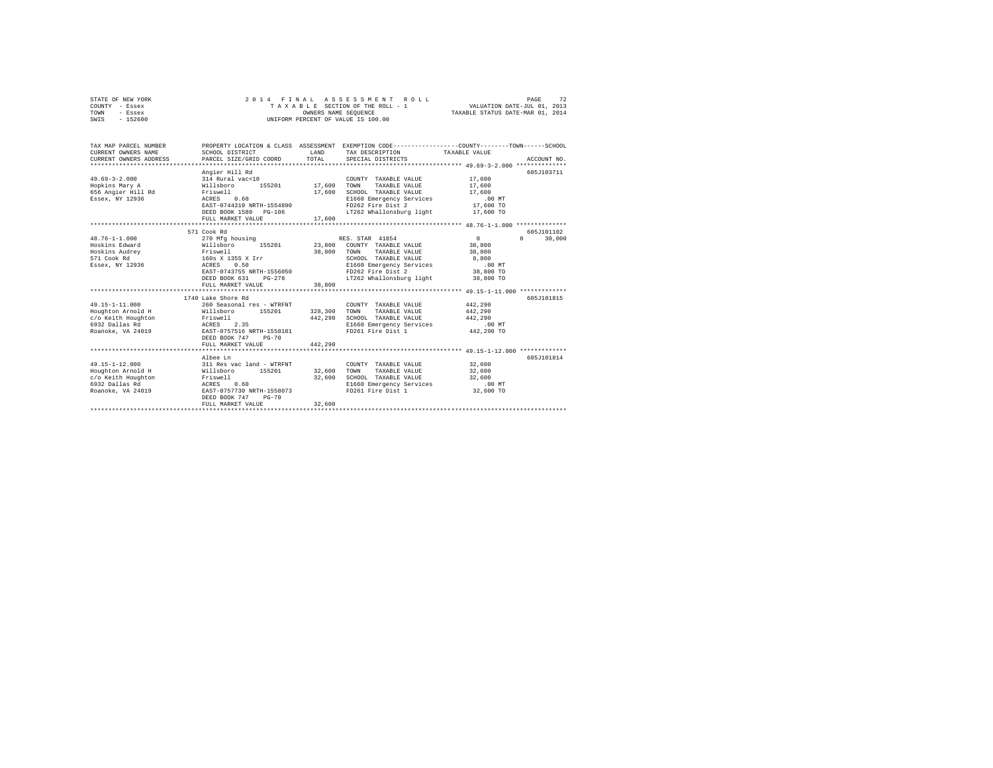| STATE OF NEW YORK                                                                                                       |                                                                                                                                                                                                                                                                                                                                                                                                           |         | 2014 FINAL ASSESSMENT ROLL                                                                                                                                                                                                                                                                                                                                   |         | PAGE<br>72             |  |
|-------------------------------------------------------------------------------------------------------------------------|-----------------------------------------------------------------------------------------------------------------------------------------------------------------------------------------------------------------------------------------------------------------------------------------------------------------------------------------------------------------------------------------------------------|---------|--------------------------------------------------------------------------------------------------------------------------------------------------------------------------------------------------------------------------------------------------------------------------------------------------------------------------------------------------------------|---------|------------------------|--|
| COUNTY - Essex                                                                                                          |                                                                                                                                                                                                                                                                                                                                                                                                           |         |                                                                                                                                                                                                                                                                                                                                                              |         |                        |  |
| TOWN<br>- Essex                                                                                                         |                                                                                                                                                                                                                                                                                                                                                                                                           |         |                                                                                                                                                                                                                                                                                                                                                              |         |                        |  |
| SWIS<br>$-152600$                                                                                                       | UNIFORM PERCENT OF VALUE IS 100.00                                                                                                                                                                                                                                                                                                                                                                        |         |                                                                                                                                                                                                                                                                                                                                                              |         |                        |  |
|                                                                                                                         |                                                                                                                                                                                                                                                                                                                                                                                                           |         |                                                                                                                                                                                                                                                                                                                                                              |         |                        |  |
|                                                                                                                         |                                                                                                                                                                                                                                                                                                                                                                                                           |         |                                                                                                                                                                                                                                                                                                                                                              |         |                        |  |
|                                                                                                                         |                                                                                                                                                                                                                                                                                                                                                                                                           |         |                                                                                                                                                                                                                                                                                                                                                              |         |                        |  |
| TAX MAP PARCEL NUMBER                                                                                                   |                                                                                                                                                                                                                                                                                                                                                                                                           |         | PROPERTY LOCATION & CLASS ASSESSMENT EXEMPTION CODE---------------COUNTY-------TOWN------SCHOOL                                                                                                                                                                                                                                                              |         |                        |  |
| CURRENT OWNERS NAME                                                                                                     | SCHOOL DISTRICT                                                                                                                                                                                                                                                                                                                                                                                           |         | LAND TAX DESCRIPTION TAXABLE VALUE                                                                                                                                                                                                                                                                                                                           |         |                        |  |
| CURRENT OWNERS ADDRESS                                                                                                  | PARCEL SIZE/GRID COORD TOTAL SPECIAL DISTRICTS                                                                                                                                                                                                                                                                                                                                                            |         |                                                                                                                                                                                                                                                                                                                                                              |         | ACCOUNT NO.            |  |
|                                                                                                                         |                                                                                                                                                                                                                                                                                                                                                                                                           |         |                                                                                                                                                                                                                                                                                                                                                              |         |                        |  |
|                                                                                                                         | Angier Hill Rd                                                                                                                                                                                                                                                                                                                                                                                            |         |                                                                                                                                                                                                                                                                                                                                                              |         | 605J103711             |  |
| $49.69 - 3 - 2.000$                                                                                                     | 314 Rural vac<10 000NTY<br>Willsboro 155201 17,600 TOWN<br>Friswell 17,600 SCHOOL                                                                                                                                                                                                                                                                                                                         |         | COUNTY TAXABLE VALUE 17,600                                                                                                                                                                                                                                                                                                                                  |         |                        |  |
| Hopkins Mary A                                                                                                          |                                                                                                                                                                                                                                                                                                                                                                                                           |         | TAXABLE VALUE                                                                                                                                                                                                                                                                                                                                                | 17,600  |                        |  |
| Hopkins Mary A<br>656 Angier Hill Rd                                                                                    |                                                                                                                                                                                                                                                                                                                                                                                                           |         |                                                                                                                                                                                                                                                                                                                                                              | 17,600  |                        |  |
| Essex, NY 12936                                                                                                         |                                                                                                                                                                                                                                                                                                                                                                                                           |         | $\begin{tabular}{lcccc} {\tt Friswell} & & & & & & \\ {\tt Friswell} & & & & & \\ {\tt ACRES} & & & & 17,600 & {\tt SCHOOL} & {\tt TAXABLE} & {\tt VALUE} & & & 17,600 \\ {\tt ACRES} & & & & & & 100 ~{\tt MT} \\ {\tt EXRES} & & & & & 100 ~{\tt MT} \\ {\tt EXST-0744310} & {\tt NRTH-1554890} & & & & {\tt FD262~F1re} & {\tt Dist 2} & \\\end{tabular}$ |         |                        |  |
|                                                                                                                         |                                                                                                                                                                                                                                                                                                                                                                                                           |         |                                                                                                                                                                                                                                                                                                                                                              |         |                        |  |
|                                                                                                                         | DEED BOOK 1580 PG-106                                                                                                                                                                                                                                                                                                                                                                                     |         |                                                                                                                                                                                                                                                                                                                                                              |         |                        |  |
|                                                                                                                         | FULL MARKET VALUE                                                                                                                                                                                                                                                                                                                                                                                         |         | $LT262$ Whallonsburg light $17,600$ TO<br>17,600                                                                                                                                                                                                                                                                                                             |         |                        |  |
|                                                                                                                         |                                                                                                                                                                                                                                                                                                                                                                                                           |         |                                                                                                                                                                                                                                                                                                                                                              |         |                        |  |
|                                                                                                                         | 571 Cook Rd                                                                                                                                                                                                                                                                                                                                                                                               |         |                                                                                                                                                                                                                                                                                                                                                              |         | 605J101102             |  |
| $48.76 - 1 - 1.000$                                                                                                     |                                                                                                                                                                                                                                                                                                                                                                                                           |         |                                                                                                                                                                                                                                                                                                                                                              |         | $\mathbf{r}$<br>30,000 |  |
| Hoskins Edward                                                                                                          |                                                                                                                                                                                                                                                                                                                                                                                                           |         |                                                                                                                                                                                                                                                                                                                                                              |         |                        |  |
| Hoskins Audrey                                                                                                          |                                                                                                                                                                                                                                                                                                                                                                                                           |         |                                                                                                                                                                                                                                                                                                                                                              |         |                        |  |
| 571 Cook Rd                                                                                                             |                                                                                                                                                                                                                                                                                                                                                                                                           |         |                                                                                                                                                                                                                                                                                                                                                              |         |                        |  |
| Essex, NY 12936                                                                                                         |                                                                                                                                                                                                                                                                                                                                                                                                           |         |                                                                                                                                                                                                                                                                                                                                                              |         |                        |  |
|                                                                                                                         |                                                                                                                                                                                                                                                                                                                                                                                                           |         |                                                                                                                                                                                                                                                                                                                                                              |         |                        |  |
|                                                                                                                         |                                                                                                                                                                                                                                                                                                                                                                                                           |         |                                                                                                                                                                                                                                                                                                                                                              |         |                        |  |
|                                                                                                                         | $\begin{tabular}{l c c} \multicolumn{1}{c}{270.\hspace{1cm}M1 \&50.0cm} \multicolumn{1}{c}{270. \hspace{1cm}M2 \& 155.01} & \multicolumn{1}{c}{38,800} & \multicolumn{1}{c}{\text{RES. STAR 416} \& \multicolumn{1}{c}{\text{RES. STAR 416} \& \multicolumn{1}{c}{\text{N11} \& \multicolumn{1}{c}{\text{N11} \& \multicolumn{1}{c}{\text{N11} \& \multicolumn{1}{c}{\text{N$<br>FULL MARKET VALUE 38,800 |         |                                                                                                                                                                                                                                                                                                                                                              |         |                        |  |
|                                                                                                                         |                                                                                                                                                                                                                                                                                                                                                                                                           |         |                                                                                                                                                                                                                                                                                                                                                              |         |                        |  |
|                                                                                                                         | 1740 Lake Shore Rd                                                                                                                                                                                                                                                                                                                                                                                        |         |                                                                                                                                                                                                                                                                                                                                                              |         | 605J101815             |  |
| 49.15-1-11.000                                                                                                          | 260 Seasonal res - WTRFNT                                                                                                                                                                                                                                                                                                                                                                                 |         | COUNTY TAXABLE VALUE                                                                                                                                                                                                                                                                                                                                         | 442,290 |                        |  |
| Houghton Arnold H Millsboro 155201 328,300 TOWN                                                                         |                                                                                                                                                                                                                                                                                                                                                                                                           |         | TAXABLE VALUE                                                                                                                                                                                                                                                                                                                                                | 442,290 |                        |  |
|                                                                                                                         |                                                                                                                                                                                                                                                                                                                                                                                                           | 442,290 | SCHOOL TAXABLE VALUE                                                                                                                                                                                                                                                                                                                                         | 442.290 |                        |  |
|                                                                                                                         |                                                                                                                                                                                                                                                                                                                                                                                                           |         |                                                                                                                                                                                                                                                                                                                                                              |         |                        |  |
| C/o Keith Houghton<br>6932 Dallas Rd<br>6932 Dallas Roano Romano 2.35<br>Roanoke, VA 24019<br>RAST-0757516 NRTH-1558181 |                                                                                                                                                                                                                                                                                                                                                                                                           |         | E1660 Emergency Services .00 MT<br>FD261 Fire Dist 1 442,290 TO                                                                                                                                                                                                                                                                                              |         |                        |  |
|                                                                                                                         | DEED BOOK 747 PG-70                                                                                                                                                                                                                                                                                                                                                                                       |         |                                                                                                                                                                                                                                                                                                                                                              |         |                        |  |
|                                                                                                                         | FULL MARKET VALUE                                                                                                                                                                                                                                                                                                                                                                                         | 442.290 |                                                                                                                                                                                                                                                                                                                                                              |         |                        |  |
|                                                                                                                         |                                                                                                                                                                                                                                                                                                                                                                                                           |         |                                                                                                                                                                                                                                                                                                                                                              |         |                        |  |
|                                                                                                                         | Albee Ln                                                                                                                                                                                                                                                                                                                                                                                                  |         |                                                                                                                                                                                                                                                                                                                                                              |         | 605J101814             |  |
| $49.15 - 1 - 12.000$                                                                                                    |                                                                                                                                                                                                                                                                                                                                                                                                           |         | COUNTY TAXABLE VALUE                                                                                                                                                                                                                                                                                                                                         | 32,600  |                        |  |
| Houghton Arnold H                                                                                                       |                                                                                                                                                                                                                                                                                                                                                                                                           |         | TAXABLE VALUE                                                                                                                                                                                                                                                                                                                                                | 32,600  |                        |  |
|                                                                                                                         |                                                                                                                                                                                                                                                                                                                                                                                                           |         |                                                                                                                                                                                                                                                                                                                                                              |         |                        |  |
|                                                                                                                         |                                                                                                                                                                                                                                                                                                                                                                                                           |         |                                                                                                                                                                                                                                                                                                                                                              |         |                        |  |
|                                                                                                                         |                                                                                                                                                                                                                                                                                                                                                                                                           |         |                                                                                                                                                                                                                                                                                                                                                              |         |                        |  |
|                                                                                                                         | DEED BOOK 747 PG-70                                                                                                                                                                                                                                                                                                                                                                                       |         |                                                                                                                                                                                                                                                                                                                                                              |         |                        |  |
|                                                                                                                         | FULL MARKET VALUE                                                                                                                                                                                                                                                                                                                                                                                         | 32,600  |                                                                                                                                                                                                                                                                                                                                                              |         |                        |  |
|                                                                                                                         |                                                                                                                                                                                                                                                                                                                                                                                                           |         |                                                                                                                                                                                                                                                                                                                                                              |         |                        |  |
|                                                                                                                         |                                                                                                                                                                                                                                                                                                                                                                                                           |         |                                                                                                                                                                                                                                                                                                                                                              |         |                        |  |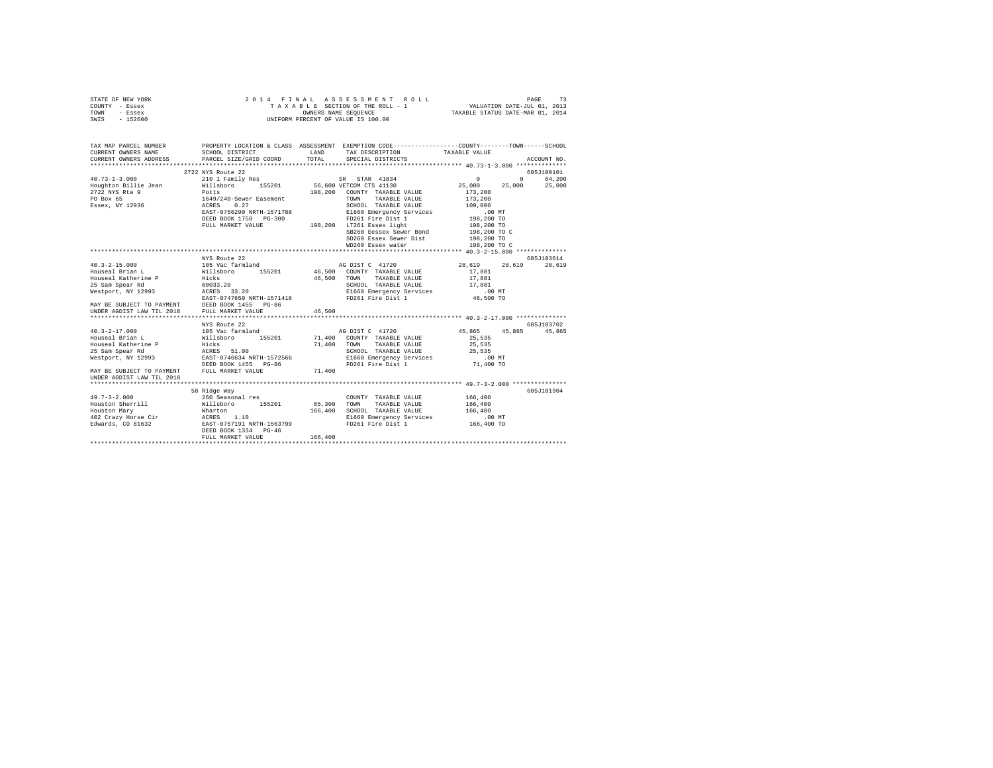| STATE OF NEW YORK<br>COUNTY - Essex<br>TOWN - Essex<br>SWIS - 152600 |                                           | 2014 FINAL ASSESSMENT ROLL<br>T A X A B L E SECTION OF THE ROLL - 1<br>OWNERS NAME SEQUENCE<br>UNIFORM PERCENT OF VALUE IS 100.00 | VALUATION DATE-JUL 01, 2013<br>TAXABLE STATUS DATE-MAR 01, 2014 | 73<br>PAGE    |
|----------------------------------------------------------------------|-------------------------------------------|-----------------------------------------------------------------------------------------------------------------------------------|-----------------------------------------------------------------|---------------|
|                                                                      |                                           |                                                                                                                                   |                                                                 |               |
| TAX MAP PARCEL NUMBER                                                |                                           | PROPERTY LOCATION & CLASS ASSESSMENT EXEMPTION CODE----------------COUNTY-------TOWN-----SCHOOL                                   |                                                                 |               |
| CURRENT OWNERS NAME                                                  | SCHOOL DISTRICT                           | LAND<br>TAX DESCRIPTION                                                                                                           | TAXABLE VALUE                                                   |               |
| CURRENT OWNERS ADDRESS                                               | PARCEL SIZE/GRID COORD                    | TOTAL<br>SPECIAL DISTRICTS                                                                                                        |                                                                 | ACCOUNT NO.   |
|                                                                      | 2722 NYS Route 22                         |                                                                                                                                   |                                                                 | 605J100101    |
| $40.73 - 1 - 3.000$                                                  | 210 1 Family Res                          | SR STAR 41834                                                                                                                     | $\Omega$<br>$0 \qquad \qquad$                                   | 64,200        |
| Houghton Billie Jean                                                 | Willsboro 155201                          | 56,600 VETCOM CTS 41130                                                                                                           | 25,000<br>25,000                                                | 25,000        |
| 2722 NYS Rte 9                                                       | Potts                                     | 198,200 COUNTY TAXABLE VALUE                                                                                                      | 173,200                                                         |               |
| PO Box 65                                                            | 1649/240-Sewer Easement                   | TOWN TAXABLE VALUE                                                                                                                | 173,200                                                         |               |
| Essex, NY 12936                                                      | ACRES 0.27                                | SCHOOL TAXABLE VALUE                                                                                                              | 109,000                                                         |               |
|                                                                      | EAST-0756290 NRTH-1571788                 | E1660 Emergency Services                                                                                                          | $.00$ MT                                                        |               |
|                                                                      | DEED BOOK 1758 PG-300                     | FD261 Fire Dist 1                                                                                                                 | 198,200 TO                                                      |               |
|                                                                      |                                           | FULL MARKET VALUE 198,200 LT261 Essex light                                                                                       | 198,200 TO                                                      |               |
|                                                                      |                                           | SB260 Eessex Sewer Bond                                                                                                           | 198,200 TO C                                                    |               |
|                                                                      |                                           | SD260 Essex Sewer Dist                                                                                                            | 198,200 TO                                                      |               |
|                                                                      |                                           | WD260 Essex water                                                                                                                 | 198,200 TO C                                                    |               |
|                                                                      | NYS Route 22                              |                                                                                                                                   |                                                                 | 605J103614    |
| $40.3 - 2 - 15.000$                                                  | 105 Vac farmland                          | AG DIST C 41720                                                                                                                   | 28,619<br>28,619                                                | 28,619        |
| Houseal Brian L                                                      | Willsboro 155201                          | 46,500 COUNTY TAXABLE VALUE                                                                                                       | 17,881                                                          |               |
| Houseal Katherine P                                                  | Hicks                                     | 46.500 TOWN<br>TAXABLE VALUE                                                                                                      | 17,881                                                          |               |
| 25 Sam Spear Rd                                                      |                                           | SCHOOL TAXABLE VALUE                                                                                                              | 17,881                                                          |               |
| Westport, NY 12993                                                   | 00033.20<br>ACRES 33.20                   | E1660 Emergency Services                                                                                                          | $.00$ MT                                                        |               |
|                                                                      | EAST-0747650 NRTH-1571416                 | FD261 Fire Dist 1                                                                                                                 | 46,500 TO                                                       |               |
| MAY BE SUBJECT TO PAYMENT                                            | DEED BOOK 1455 PG-86                      |                                                                                                                                   |                                                                 |               |
| UNDER AGDIST LAW TIL 2018                                            | FULL MARKET VALUE                         | 46,500                                                                                                                            |                                                                 |               |
|                                                                      |                                           | ************                                                                                                                      | ********************** 40.3-2-17.000 **************             |               |
|                                                                      | NYS Route 22                              |                                                                                                                                   | 45,865                                                          | 605-7103702   |
| $40.3 - 2 - 17.000$                                                  | 105 Vac farmland                          | AG DIST C 41720                                                                                                                   |                                                                 | 45,865 45,865 |
| Houseal Brian L<br>Houseal Katherine P                               | Willsboro 155201<br>Hicks                 | 71,400 COUNTY TAXABLE VALUE<br>TAXABLE VALUE<br>71,400 TOWN                                                                       | 25,535<br>25,535                                                |               |
| 25 Sam Spear Rd                                                      | ACRES 51.00                               | SCHOOL TAXABLE VALUE                                                                                                              | 25,535                                                          |               |
| Westport, NY 12993                                                   | EAST-0746634 NRTH-1572566                 | E1660 Emergency Services                                                                                                          | $.00$ MT                                                        |               |
|                                                                      | DEED BOOK 1455 PG-86                      | FD261 Fire Dist 1                                                                                                                 | 71,400 TO                                                       |               |
| MAY BE SUBJECT TO PAYMENT                                            | FULL MARKET VALUE                         | 71,400                                                                                                                            |                                                                 |               |
| UNDER AGDIST LAW TIL 2018                                            |                                           |                                                                                                                                   |                                                                 |               |
|                                                                      |                                           |                                                                                                                                   |                                                                 |               |
|                                                                      | 58 Ridge Way                              |                                                                                                                                   |                                                                 | 605-7101904   |
| $49.7 - 3 - 2.000$                                                   | 260 Seasonal res                          | COUNTY TAXABLE VALUE                                                                                                              | 166,400                                                         |               |
| Houston Sherrill                                                     | Willsboro 155201                          | 65,300<br>TOWN<br>TAXABLE VALUE                                                                                                   | 166,400                                                         |               |
| Houston Mary                                                         | Wharton                                   | 166,400 SCHOOL TAXABLE VALUE                                                                                                      | 166,400                                                         |               |
| 402 Crazy Horse Cir                                                  | ACRES 1.10                                | E1660 Emergency Services                                                                                                          | .00 MT                                                          |               |
| Edwards, CO 81632                                                    | EAST-0757191 NRTH-1563799                 | FD261 Fire Dist 1                                                                                                                 | 166,400 TO                                                      |               |
|                                                                      | DEED BOOK 1334 PG-46<br>FULL MARKET VALUE | 166,400                                                                                                                           |                                                                 |               |
|                                                                      |                                           |                                                                                                                                   |                                                                 |               |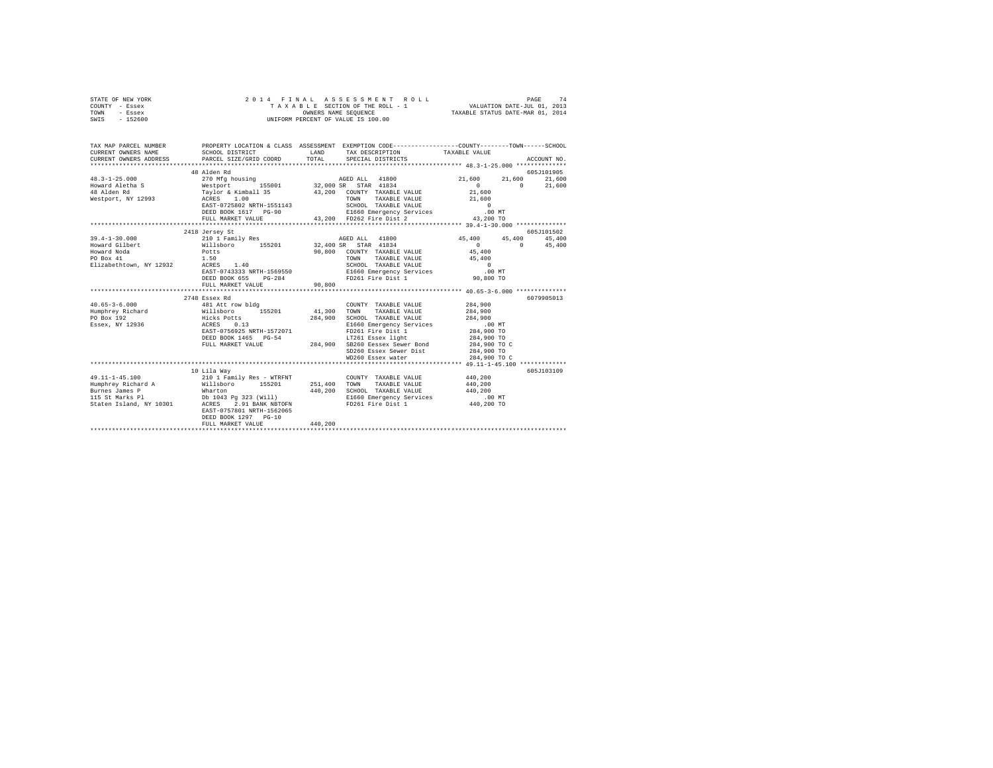| STATE OF NEW YORK<br>COUNTY - Essex<br>TOWN - Essex<br>SWIS - 152600 | 2014 FINAL ASSESSION OF THE ROLL - 1<br>TAXABLE SECTION OF THE ROLL - 1<br>OWNERS NAME SEQUENCE<br>UNIFORM PERCENT OF VALUE IS 100.00                      |                      | PAGE 74 PINAL ASSESSMENT ROLL PAGE 74<br>TAXABLE SECTION OF THE ROLL - 1 VALUATION DATE-JUL 01, 2013<br>OWNERS NAME SEQUENCE 7TAXABLE STATUS DATE-MAR 01, 2014 |                                                     |                           |             |
|----------------------------------------------------------------------|------------------------------------------------------------------------------------------------------------------------------------------------------------|----------------------|----------------------------------------------------------------------------------------------------------------------------------------------------------------|-----------------------------------------------------|---------------------------|-------------|
| CURRENT OWNERS NAME                                                  | TAX MAP PARCEL NUMBER THE PROPERTY LOCATION & CLASS ASSESSMENT EXEMPTION CODE--------------COUNTY-------TOWN------SCHOOL<br>SCHOOL DISTRICT<br><b>LAND</b> |                      | TAX DESCRIPTION                                                                                                                                                | TAXABLE VALUE                                       |                           |             |
| CURRENT OWNERS ADDRESS                                               | PARCEL SIZE/GRID COORD                                                                                                                                     | TOTAL                | SPECIAL DISTRICTS                                                                                                                                              |                                                     |                           | ACCOUNT NO. |
|                                                                      |                                                                                                                                                            |                      |                                                                                                                                                                |                                                     |                           | 605J101905  |
| $48.3 - 1 - 25.000$                                                  |                                                                                                                                                            |                      |                                                                                                                                                                | 21,600                                              | $21,600$ $21,600$         |             |
| Howard Aletha S                                                      |                                                                                                                                                            |                      |                                                                                                                                                                | $\mathbf{0}$                                        | $\sim$ 0 $\sim$           | 21,600      |
| 48 Alden Rd                                                          |                                                                                                                                                            |                      |                                                                                                                                                                | 21,600                                              |                           |             |
| Westport, NY 12993                                                   |                                                                                                                                                            |                      |                                                                                                                                                                | 21,600                                              |                           |             |
|                                                                      | EAST-0725802 NRTH-1551143                                                                                                                                  |                      | SCHOOL TAXABLE VALUE<br>E1660 Emergency Services (00 MT                                                                                                        |                                                     |                           |             |
|                                                                      | DEED BOOK 1617 PG-90                                                                                                                                       |                      |                                                                                                                                                                |                                                     |                           |             |
|                                                                      | FULL MARKET VALUE                                                                                                                                          |                      | 43,200 FD262 Fire Dist 2                                                                                                                                       | 43,200 TO                                           |                           |             |
|                                                                      |                                                                                                                                                            |                      |                                                                                                                                                                |                                                     |                           |             |
|                                                                      | 2418 Jersey St                                                                                                                                             |                      |                                                                                                                                                                |                                                     |                           | 605J101502  |
| $39.4 - 1 - 30.000$                                                  | 210 1 Family Res                                                                                                                                           |                      | AGED ALL 41800<br>32,400 SR STAR 41834                                                                                                                         | 45,400<br>$\sim$ 0                                  | 45,400 45,400<br>$\sim$ 0 |             |
| Howard Gilbert<br>Howard Noda                                        | Willsboro 155201                                                                                                                                           |                      | 90,800 COUNTY TAXABLE VALUE                                                                                                                                    | 45,400                                              |                           | 45,400      |
| PO Box 41                                                            |                                                                                                                                                            |                      | TOWN TAXABLE VALUE                                                                                                                                             | 45,400                                              |                           |             |
| Elizabethtown, NY 12932                                              | Potts<br>1.50<br>ACRES 1.40                                                                                                                                |                      | SCHOOL TAXABLE VALUE                                                                                                                                           | $\sim$ 0                                            |                           |             |
|                                                                      | EAST-0743333 NRTH-1569550                                                                                                                                  |                      | E1660 Emergency Services                                                                                                                                       | $.00$ MT                                            |                           |             |
|                                                                      | DEED BOOK 655<br>$PG-284$                                                                                                                                  |                      | FD261 Fire Dist 1                                                                                                                                              | 90,800 TO                                           |                           |             |
|                                                                      | FULL MARKET VALUE                                                                                                                                          | 90,800               |                                                                                                                                                                |                                                     |                           |             |
|                                                                      | **************************                                                                                                                                 | *************        |                                                                                                                                                                | ********************** 40.65-3-6.000 ************** |                           |             |
|                                                                      | 2748 Essex Rd                                                                                                                                              |                      |                                                                                                                                                                |                                                     |                           | 6079905013  |
| $40.65 - 3 - 6.000$                                                  |                                                                                                                                                            | COUNT<br>41,300 TOWN | COUNTY TAXABLE VALUE                                                                                                                                           | 284,900                                             |                           |             |
| Humphrey Richard                                                     |                                                                                                                                                            |                      | TAXABLE VALUE                                                                                                                                                  | 284,900                                             |                           |             |
| PO Box 192                                                           | 481 Att row bldg<br>Willsboro 155201<br>Hicks Potts<br>ACRES 0.13                                                                                          |                      | 284,900 SCHOOL TAXABLE VALUE                                                                                                                                   | 284,900                                             |                           |             |
| Essex, NY 12936                                                      |                                                                                                                                                            |                      | E1660 Emergency Services                                                                                                                                       | .00 MT                                              |                           |             |
|                                                                      | EAST-0756925 NRTH-1572071                                                                                                                                  |                      | FD261 Fire Dist 1<br>LT261 Essex light                                                                                                                         | 284,900 TO                                          |                           |             |
|                                                                      | DEED BOOK 1465 PG-54<br>FULL MARKET VALUE                                                                                                                  |                      | 284,900 SB260 Eessex Sewer Bond                                                                                                                                | 284,900 TO<br>284,900 TO C                          |                           |             |
|                                                                      |                                                                                                                                                            |                      | SD260 Essex Sewer Dist                                                                                                                                         | 284,900 TO                                          |                           |             |
|                                                                      |                                                                                                                                                            |                      | WD260 Essex water                                                                                                                                              | 284,900 TO C                                        |                           |             |
|                                                                      |                                                                                                                                                            |                      |                                                                                                                                                                |                                                     |                           |             |
|                                                                      | 10 Lila Wav                                                                                                                                                |                      |                                                                                                                                                                |                                                     |                           | 605J103109  |
|                                                                      |                                                                                                                                                            |                      | COUNTY TAXABLE VALUE                                                                                                                                           | 440,200                                             |                           |             |
|                                                                      |                                                                                                                                                            |                      | 251,400 TOWN TAXABLE VALUE                                                                                                                                     | 440,200                                             |                           |             |
|                                                                      |                                                                                                                                                            |                      | 440,200 SCHOOL TAXABLE VALUE                                                                                                                                   | 440,200                                             |                           |             |
|                                                                      |                                                                                                                                                            |                      | E1660 Emergency Services                                                                                                                                       | .00 MT                                              |                           |             |
|                                                                      | Staten Island, NY 10301 ACRES 2.91 BANK NBTOFN                                                                                                             |                      | FD261 Fire Dist 1                                                                                                                                              | 440,200 TO                                          |                           |             |
|                                                                      | EAST-0757801 NRTH-1562065                                                                                                                                  |                      |                                                                                                                                                                |                                                     |                           |             |
|                                                                      | DEED BOOK 1297 PG-10                                                                                                                                       | 440.200              |                                                                                                                                                                |                                                     |                           |             |
|                                                                      | FULL MARKET VALUE                                                                                                                                          |                      |                                                                                                                                                                |                                                     |                           |             |
|                                                                      |                                                                                                                                                            |                      |                                                                                                                                                                |                                                     |                           |             |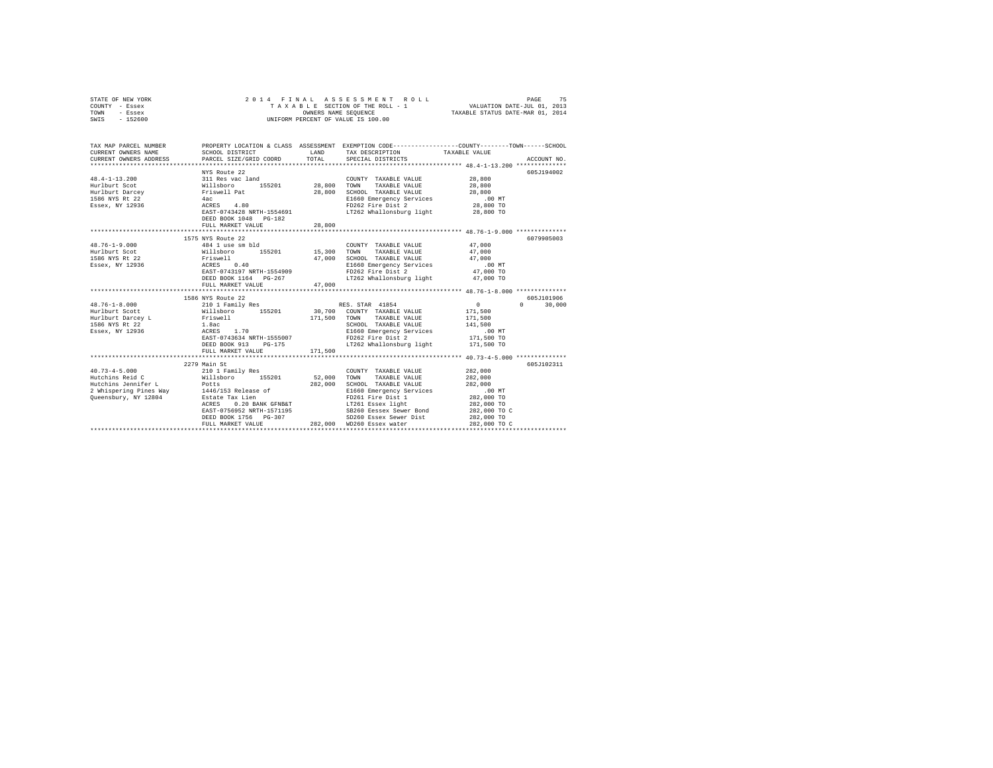| STATE OF NEW YORK<br>COUNTY - Essex<br>TOWN<br>- Essex<br>SWIS - 152600 | 2014 FINAL                                                                                           |                      | UNIFORM PERCENT OF VALUE IS 100.00                                                  |                                                                                                                  |  |
|-------------------------------------------------------------------------|------------------------------------------------------------------------------------------------------|----------------------|-------------------------------------------------------------------------------------|------------------------------------------------------------------------------------------------------------------|--|
| TAX MAP PARCEL NUMBER<br>CURRENT OWNERS NAME                            | SCHOOL DISTRICT                                                                                      |                      | LAND TAX DESCRIPTION                                                                | PROPERTY LOCATION & CLASS ASSESSMENT EXEMPTION CODE----------------COUNTY-------TOWN-----SCHOOL<br>TAXABLE VALUE |  |
| CURRENT OWNERS ADDRESS                                                  | PARCEL SIZE/GRID COORD                                                                               | TOTAL                | SPECIAL DISTRICTS                                                                   | ACCOUNT NO.                                                                                                      |  |
|                                                                         |                                                                                                      |                      |                                                                                     |                                                                                                                  |  |
|                                                                         | NYS Route 22                                                                                         |                      |                                                                                     | 605J194002                                                                                                       |  |
|                                                                         |                                                                                                      |                      | COUNTY TAXABLE VALUE                                                                | 28,800                                                                                                           |  |
|                                                                         |                                                                                                      | 28,800 TOWN          | TAXABLE VALUE                                                                       | 28,800                                                                                                           |  |
|                                                                         |                                                                                                      |                      | 28,800 SCHOOL TAXABLE VALUE                                                         | 28,800                                                                                                           |  |
|                                                                         |                                                                                                      |                      | E1660 Emergency Services                                                            | $.00$ MT                                                                                                         |  |
|                                                                         |                                                                                                      |                      | FD262 Fire Dist 2                                                                   | 28,800 TO                                                                                                        |  |
|                                                                         | EAST-0743428 NRTH-1554691<br>DEED BOOK 1048    PG-182                                                |                      | LT262 Whallonsburg light                                                            | 28,800 TO                                                                                                        |  |
|                                                                         | FULL MARKET VALUE                                                                                    | 28,800               |                                                                                     |                                                                                                                  |  |
|                                                                         | 1575 NYS Route 22                                                                                    |                      |                                                                                     | 6079905003                                                                                                       |  |
| $48.76 - 1 - 9.000$                                                     | 484 1 use sm bld                                                                                     |                      | COUNTY TAXABLE VALUE                                                                | 47,000                                                                                                           |  |
| Hurlburt Scot                                                           |                                                                                                      |                      |                                                                                     | 47,000                                                                                                           |  |
| 1586 NYS Rt 22                                                          |                                                                                                      |                      |                                                                                     | 47.000                                                                                                           |  |
| Essex, NY 12936                                                         |                                                                                                      |                      |                                                                                     |                                                                                                                  |  |
|                                                                         | 1115.011<br>ACRES 0.40<br>EAST-0743197 NRTH-1554909                                                  |                      | E1660 Emergency Services .00 MT<br>FD262 Fire Dist 2 47,000 TO<br>FD262 Fire Dist 2 |                                                                                                                  |  |
|                                                                         | DEED BOOK 1164 PG-267                                                                                |                      | LT262 Whallonsburg light 47,000 TO                                                  |                                                                                                                  |  |
|                                                                         | FULL MARKET VALUE                                                                                    | 47,000               |                                                                                     |                                                                                                                  |  |
|                                                                         | *************************                                                                            | ******************** |                                                                                     | ********************* 48.76-1-8.000 **************                                                               |  |
|                                                                         | 1586 NYS Route 22                                                                                    |                      |                                                                                     | 605J101906                                                                                                       |  |
| $48.76 - 1 - 8.000$                                                     | 210 1 Family Res<br>Willsboro 155201<br>Friswell<br>1.8ac<br>ACRES 1.70<br>EAST-0743634 NRTH-1555007 |                      | RES. STAR 41854                                                                     | $\sim$ 0<br>30,000<br>$\Omega$                                                                                   |  |
| Hurlburt Scott                                                          |                                                                                                      |                      | 30,700 COUNTY TAXABLE VALUE                                                         | 171,500                                                                                                          |  |
| Hurlburt Darcey L<br>1586 NYS Rt 22                                     |                                                                                                      |                      | 171,500 TOWN TAXABLE VALUE                                                          | 171,500                                                                                                          |  |
|                                                                         |                                                                                                      |                      | SCHOOL TAXABLE VALUE                                                                | 141,500                                                                                                          |  |
| Essex, NY 12936                                                         |                                                                                                      |                      | E1660 Emergency Services                                                            | $.00$ MT                                                                                                         |  |
|                                                                         | EAST-0743634 NRTH-1555007                                                                            |                      | FD262 Fire Dist 2                                                                   | 171,500 TO                                                                                                       |  |
|                                                                         | DEED BOOK 913 PG-175                                                                                 |                      | LT262 Whallonsburg light 171,500 TO                                                 |                                                                                                                  |  |
|                                                                         | FULL MARKET VALUE                                                                                    | 171,500              |                                                                                     |                                                                                                                  |  |
|                                                                         |                                                                                                      |                      |                                                                                     |                                                                                                                  |  |
|                                                                         | 2279 Main St                                                                                         |                      |                                                                                     | 605J102311                                                                                                       |  |
| $40.73 - 4 - 5.000$                                                     | 210 1 Family Res                                                                                     |                      | COUNTY TAXABLE VALUE                                                                | 282,000                                                                                                          |  |
| Hutchins Reid C                                                         | Willsboro 155201                                                                                     | 52,000               | TOWN<br>TAXABLE VALUE                                                               | 282,000                                                                                                          |  |
| Hutchins Jennifer L                                                     | Potts                                                                                                | 282,000              | SCHOOL TAXABLE VALUE<br>E1660 Emergency Services                                    | 282,000                                                                                                          |  |
| 2 Whispering Pines Way 1446/153 Release of<br>Queensbury, NY 12804      | Estate Tax Lien                                                                                      |                      | FD261 Fire Dist 1                                                                   | 00 MT.<br>282,000 TO                                                                                             |  |
|                                                                         | ACRES                                                                                                |                      |                                                                                     | 282,000 TO                                                                                                       |  |
|                                                                         | EAST-0756952 NRTH-1571195                                                                            |                      |                                                                                     | 282,000 TO C                                                                                                     |  |
|                                                                         | DEED BOOK 1756 PG-307                                                                                |                      | SD260 Essex Sewer Dist                                                              | 282,000 TO                                                                                                       |  |
|                                                                         | FULL MARKET VALUE                                                                                    |                      | 282,000 WD260 Essex water                                                           | 282,000 TO C                                                                                                     |  |
|                                                                         |                                                                                                      |                      |                                                                                     |                                                                                                                  |  |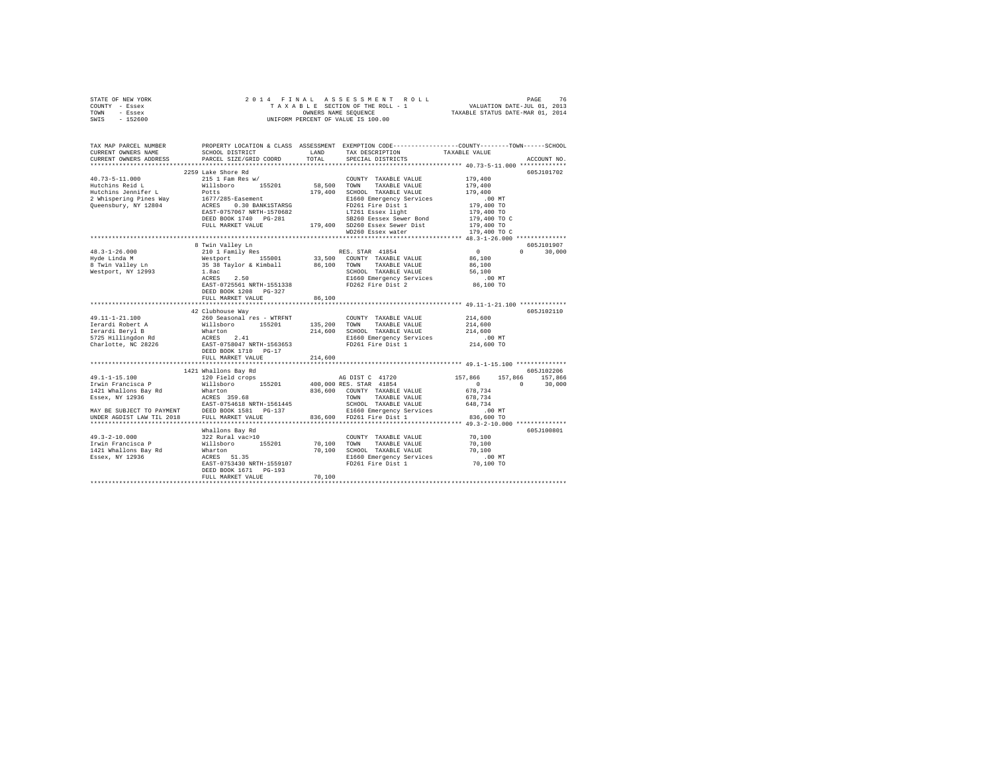|      | STATE OF NEW YORK |  | 2014 FINAL ASSESSMENT ROLL         |                                  | PAGE                        | 76 |
|------|-------------------|--|------------------------------------|----------------------------------|-----------------------------|----|
|      | COUNTY - Essex    |  | TAXABLE SECTION OF THE ROLL - 1    |                                  | VALUATION DATE-JUL 01, 2013 |    |
| TOWN | - Essex           |  | OWNERS NAME SEOUENCE               | TAXABLE STATUS DATE-MAR 01, 2014 |                             |    |
| SWIS | - 152600          |  | UNIFORM PERCENT OF VALUE IS 100.00 |                                  |                             |    |

| TAX MAP PARCEL NUMBER<br>CURRENT OWNERS NAME                                                                                                                                                                                               | SCHOOL DISTRICT                                                                | LAND        | TAX DESCRIPTION                                                                                 | PROPERTY LOCATION & CLASS ASSESSMENT EXEMPTION CODE---------------COUNTY-------TOWN------SCHOOL<br>TAXABLE VALUE |
|--------------------------------------------------------------------------------------------------------------------------------------------------------------------------------------------------------------------------------------------|--------------------------------------------------------------------------------|-------------|-------------------------------------------------------------------------------------------------|------------------------------------------------------------------------------------------------------------------|
| CURRENT OWNERS ADDRESS                                                                                                                                                                                                                     | PARCEL SIZE/GRID COORD                                                         | TOTAL       | SPECIAL DISTRICTS                                                                               | ACCOUNT NO.                                                                                                      |
|                                                                                                                                                                                                                                            |                                                                                |             |                                                                                                 |                                                                                                                  |
|                                                                                                                                                                                                                                            | 2259 Lake Shore Rd                                                             |             |                                                                                                 | 605J101702                                                                                                       |
| $40.73 - 5 - 11.000$                                                                                                                                                                                                                       | 215 1 Fam Res w/                                                               |             | COUNTY TAXABLE VALUE                                                                            | 179,400                                                                                                          |
| 40.73-5-1.000<br>Hutchins Reid Leman Millsboro 155201 58,500 TOUNN<br>Hutchins Renifer Leman Millsboro 155201 58,500 TOWN<br>2 Whispering Pines Way 1677/285-Easement 179,400 SCHOC<br>2 Queensbury, NY 12804 ACRES 0.30 BANKISTARSG PD261 |                                                                                |             | TAXABLE VALUE                                                                                   | 179,400                                                                                                          |
|                                                                                                                                                                                                                                            |                                                                                |             | 179,400 SCHOOL TAXABLE VALUE                                                                    | 179,400                                                                                                          |
|                                                                                                                                                                                                                                            |                                                                                |             | E1660 Emergency Services                                                                        | .00 MT                                                                                                           |
|                                                                                                                                                                                                                                            |                                                                                |             | FD261 Fire Dist 1                                                                               | 179,400 TO                                                                                                       |
|                                                                                                                                                                                                                                            |                                                                                |             | LT261 Essex light                                                                               |                                                                                                                  |
|                                                                                                                                                                                                                                            |                                                                                |             | SB260 Eessex Sewer Bond                                                                         | 179,400 TO<br>179,400 TO C                                                                                       |
|                                                                                                                                                                                                                                            | FULL MARKET VALUE                                                              |             | 179,400 SD260 Essex Sewer Dist                                                                  | 179,400 TO                                                                                                       |
|                                                                                                                                                                                                                                            |                                                                                |             | WD260 Essex water                                                                               | 179,400 TO C                                                                                                     |
|                                                                                                                                                                                                                                            |                                                                                |             |                                                                                                 |                                                                                                                  |
|                                                                                                                                                                                                                                            | 8 Twin Valley Ln                                                               |             |                                                                                                 | 605J101907                                                                                                       |
| $48.3 - 1 - 26.000$                                                                                                                                                                                                                        | 210 1 Family Res                                                               |             | RES. STAR 41854                                                                                 | $\sim$ 0<br>$n \sim$<br>30,000                                                                                   |
| Hyde Linda M<br>8 Twin Valley Ln                                                                                                                                                                                                           |                                                                                |             | Westport 155001 33,500 COUNTY TAXABLE VALUE<br>35 38 Taylor & Kimball 86,100 TOWN TAXABLE VALUE | 86,100                                                                                                           |
|                                                                                                                                                                                                                                            |                                                                                |             |                                                                                                 | 86,100                                                                                                           |
| Westport, NY 12993                                                                                                                                                                                                                         | 1.8ac                                                                          |             | SCHOOL TAXABLE VALUE                                                                            | 56,100                                                                                                           |
|                                                                                                                                                                                                                                            | 2.50<br>ACRES                                                                  |             |                                                                                                 | $.00$ MT                                                                                                         |
|                                                                                                                                                                                                                                            | EAST-0725561 NRTH-1551338                                                      |             | E1660 Emergency Services<br>FD262 Fire Dist 2                                                   | 86,100 TO                                                                                                        |
|                                                                                                                                                                                                                                            | DEED BOOK 1208<br>$PG-327$                                                     |             |                                                                                                 |                                                                                                                  |
|                                                                                                                                                                                                                                            | FULL MARKET VALUE                                                              | 86,100      |                                                                                                 |                                                                                                                  |
|                                                                                                                                                                                                                                            |                                                                                |             |                                                                                                 |                                                                                                                  |
|                                                                                                                                                                                                                                            | 42 Clubhouse Way                                                               |             |                                                                                                 | 605J102110                                                                                                       |
|                                                                                                                                                                                                                                            |                                                                                |             |                                                                                                 | 214,600                                                                                                          |
|                                                                                                                                                                                                                                            |                                                                                |             |                                                                                                 | 214,600                                                                                                          |
|                                                                                                                                                                                                                                            |                                                                                |             |                                                                                                 | 214,600                                                                                                          |
|                                                                                                                                                                                                                                            |                                                                                |             |                                                                                                 | .00 MT                                                                                                           |
|                                                                                                                                                                                                                                            |                                                                                |             |                                                                                                 | 214,600 TO                                                                                                       |
|                                                                                                                                                                                                                                            |                                                                                |             |                                                                                                 |                                                                                                                  |
|                                                                                                                                                                                                                                            | FULL MARKET VALUE                                                              | 214,600     |                                                                                                 |                                                                                                                  |
|                                                                                                                                                                                                                                            |                                                                                |             |                                                                                                 |                                                                                                                  |
|                                                                                                                                                                                                                                            | 1421 Whallons Bay Rd                                                           |             |                                                                                                 | 605J102206                                                                                                       |
| $49.1 - 1 - 15.100$                                                                                                                                                                                                                        |                                                                                |             |                                                                                                 | 157,866 157,866 157,866                                                                                          |
| Irwin Francisca P                                                                                                                                                                                                                          |                                                                                |             |                                                                                                 | $\sim$ 0<br>$\Omega$<br>30,000                                                                                   |
|                                                                                                                                                                                                                                            |                                                                                |             |                                                                                                 | 678.734                                                                                                          |
| 1421 Whallons Bay Rd<br>Essex, NY 12936                                                                                                                                                                                                    |                                                                                |             |                                                                                                 | 678,734                                                                                                          |
|                                                                                                                                                                                                                                            |                                                                                |             |                                                                                                 | 648.734                                                                                                          |
| EAST-0754618 NRTH-1561445 SCHOOL TAXABLE VALUE<br>MAY BE SUBJECT TO PAYMENT DEED BOOK 1581 PG-137 S1660 Emergency Services                                                                                                                 |                                                                                |             |                                                                                                 | .00 MT                                                                                                           |
| UNDER AGDIST LAW TIL 2018                                                                                                                                                                                                                  | FULL MARKET VALUE                                                              |             | 836,600 FD261 Fire Dist 1                                                                       | 836,600 TO                                                                                                       |
|                                                                                                                                                                                                                                            |                                                                                |             |                                                                                                 |                                                                                                                  |
|                                                                                                                                                                                                                                            | Whallons Bay Rd                                                                |             |                                                                                                 | 605J100801                                                                                                       |
| $49.3 - 2 - 10.000$                                                                                                                                                                                                                        | 322 Rural vac>10<br>Willsboro 155201                                           |             | COUNTY TAXABLE VALUE                                                                            | 70,100                                                                                                           |
| Irwin Francisca P                                                                                                                                                                                                                          |                                                                                | 70,100 TOWN | TAXABLE VALUE                                                                                   | 70,100                                                                                                           |
| 1421 Whallons Bay Rd                                                                                                                                                                                                                       |                                                                                |             |                                                                                                 | 70,100                                                                                                           |
| Essex, NY 12936                                                                                                                                                                                                                            | Wharton 70,100 SCHOOL TAXABLE VALUE<br>ACRES 51.35 2006 E1660 Emergency Servic |             | SCHOOL TAXABLE VALUE<br>E1660 Emergency Services                                                | $.00$ MT                                                                                                         |
|                                                                                                                                                                                                                                            |                                                                                |             | EAST-0753430 NRTH-1559107 FD261 Fire Dist 1                                                     | 70,100 TO                                                                                                        |
|                                                                                                                                                                                                                                            | DEED BOOK 1671 PG-193                                                          |             |                                                                                                 |                                                                                                                  |
|                                                                                                                                                                                                                                            | FULL MARKET VALUE                                                              | 70,100      |                                                                                                 |                                                                                                                  |
|                                                                                                                                                                                                                                            |                                                                                |             |                                                                                                 |                                                                                                                  |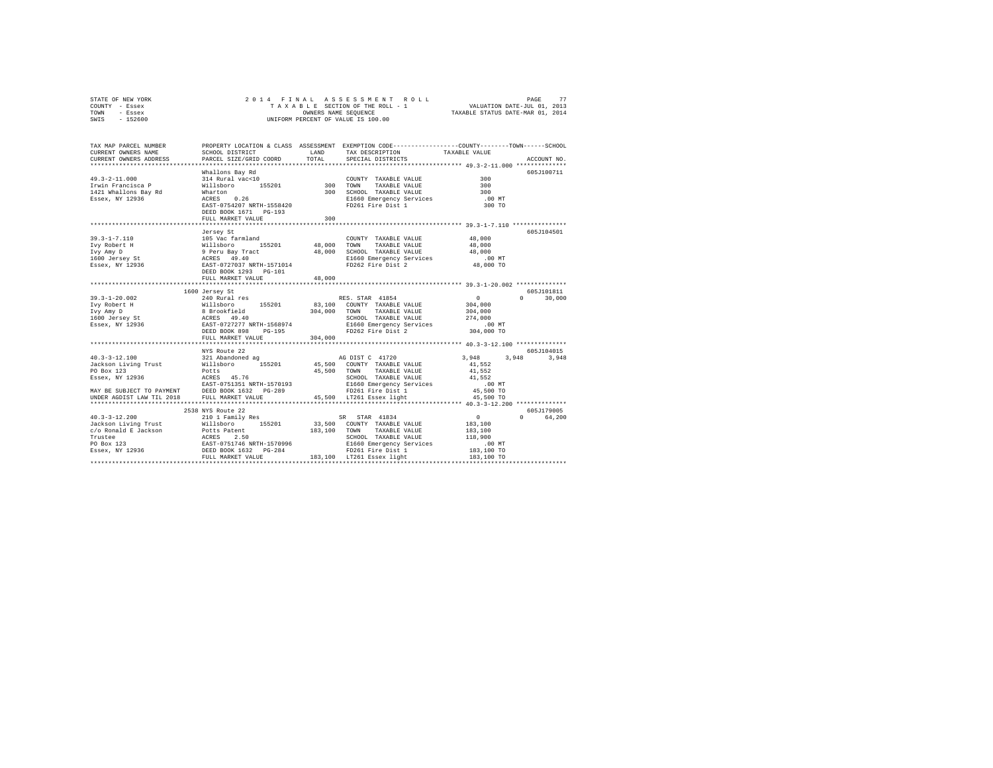| STATE OF NEW YORK                                                                                                                                                                                                                                                                             | 2014 FINAL                            |         |                                                                                                                              |                                                           |               |
|-----------------------------------------------------------------------------------------------------------------------------------------------------------------------------------------------------------------------------------------------------------------------------------------------|---------------------------------------|---------|------------------------------------------------------------------------------------------------------------------------------|-----------------------------------------------------------|---------------|
| COUNTY - Essex                                                                                                                                                                                                                                                                                |                                       |         |                                                                                                                              |                                                           |               |
| TOWN - Essex                                                                                                                                                                                                                                                                                  |                                       |         |                                                                                                                              |                                                           |               |
| SWIS - 152600                                                                                                                                                                                                                                                                                 |                                       |         |                                                                                                                              |                                                           |               |
|                                                                                                                                                                                                                                                                                               |                                       |         |                                                                                                                              |                                                           |               |
|                                                                                                                                                                                                                                                                                               |                                       |         |                                                                                                                              |                                                           |               |
|                                                                                                                                                                                                                                                                                               |                                       |         |                                                                                                                              |                                                           |               |
| TAX MAP PARCEL NUMBER                                                                                                                                                                                                                                                                         |                                       |         | PROPERTY LOCATION & CLASS ASSESSMENT EXEMPTION CODE---------------COUNTY-------TOWN------SCHOOL                              |                                                           |               |
| CURRENT OWNERS NAME                                                                                                                                                                                                                                                                           |                                       |         | ${\tt SCHOOL\ DISTRICT} \hspace{2.5cm} {\tt LAND} \hspace{1.5cm} {\tt TAX\ DESCRIPTION} \hspace{2.5cm} {\tt TAXABLE\ VALUE}$ |                                                           |               |
| CURRENT OWNERS ADDRESS                                                                                                                                                                                                                                                                        | PARCEL SIZE/GRID COORD TOTAL          |         | SPECIAL DISTRICTS                                                                                                            |                                                           | ACCOUNT NO.   |
|                                                                                                                                                                                                                                                                                               |                                       |         |                                                                                                                              |                                                           |               |
|                                                                                                                                                                                                                                                                                               | Whallons Bay Rd                       |         |                                                                                                                              |                                                           | 605J100711    |
| $149.3-2-11.000 \mbox{mms}$ $149.3-2-11.000 \mbox{mms}$ $149.3-2-11.000 \mbox{mms}$ $149.3-2-11.000 \mbox{mms}$ $141.8-10.000 \mbox{mms}$ $142.1 \mbox{Walions}$ $142.1 \mbox{Walions}$ $142.1 \mbox{Walions}$ $142.1 \mbox{Walions}$ $142.1 \mbox{Walions}$ $142.1 \mbox{Walions}$ $142.1 \$ | whattons bay Au<br>314 Rural vac<10   |         | COUNTY TAXABLE VALUE                                                                                                         | $\frac{300}{300}$                                         |               |
|                                                                                                                                                                                                                                                                                               |                                       |         |                                                                                                                              |                                                           |               |
|                                                                                                                                                                                                                                                                                               |                                       |         |                                                                                                                              |                                                           |               |
|                                                                                                                                                                                                                                                                                               |                                       |         |                                                                                                                              | $.00$ MT                                                  |               |
|                                                                                                                                                                                                                                                                                               |                                       |         |                                                                                                                              | 300 TO                                                    |               |
|                                                                                                                                                                                                                                                                                               | DEED BOOK 1671 PG-193                 |         |                                                                                                                              |                                                           |               |
|                                                                                                                                                                                                                                                                                               | FULL MARKET VALUE                     | 300     |                                                                                                                              |                                                           |               |
|                                                                                                                                                                                                                                                                                               |                                       |         |                                                                                                                              |                                                           |               |
|                                                                                                                                                                                                                                                                                               |                                       |         |                                                                                                                              |                                                           | 605J104501    |
|                                                                                                                                                                                                                                                                                               |                                       |         | COUNTY TAXABLE VALUE 48,000                                                                                                  |                                                           |               |
|                                                                                                                                                                                                                                                                                               |                                       |         |                                                                                                                              | 48,000                                                    |               |
|                                                                                                                                                                                                                                                                                               |                                       |         |                                                                                                                              | 48,000                                                    |               |
|                                                                                                                                                                                                                                                                                               |                                       |         |                                                                                                                              | .00 MT                                                    |               |
|                                                                                                                                                                                                                                                                                               |                                       |         |                                                                                                                              | 48,000 TO                                                 |               |
|                                                                                                                                                                                                                                                                                               |                                       |         |                                                                                                                              |                                                           |               |
|                                                                                                                                                                                                                                                                                               |                                       |         |                                                                                                                              |                                                           |               |
|                                                                                                                                                                                                                                                                                               |                                       |         |                                                                                                                              |                                                           |               |
|                                                                                                                                                                                                                                                                                               |                                       |         |                                                                                                                              |                                                           |               |
| 1600 Jersey St<br>39.3-1-20.002<br>1600 Jersey St<br>TVY Robert H Willsboro<br>155201 83,100 COUNTY TAXABLE VALUE<br>IVY ROBERT MILLSDON BEEN ACRES 49.400<br>204,000 TOWN TAXABLE VALUE<br>1600 Jersey St<br>204,000 TOWN NAXABLE VALUE<br>204,                                              |                                       |         | RES. STAR 41854 0<br>- Torritory Taxaric VALUE 304,000                                                                       |                                                           | 605J101811    |
|                                                                                                                                                                                                                                                                                               |                                       |         |                                                                                                                              |                                                           | $0 \t 30.000$ |
|                                                                                                                                                                                                                                                                                               |                                       |         |                                                                                                                              |                                                           |               |
|                                                                                                                                                                                                                                                                                               |                                       |         |                                                                                                                              | 304,000                                                   |               |
|                                                                                                                                                                                                                                                                                               |                                       |         |                                                                                                                              | 274,000                                                   |               |
|                                                                                                                                                                                                                                                                                               |                                       |         |                                                                                                                              | .00 MT                                                    |               |
|                                                                                                                                                                                                                                                                                               |                                       |         |                                                                                                                              | 304,000 TO                                                |               |
|                                                                                                                                                                                                                                                                                               | FULL MARKET VALUE                     | 304,000 |                                                                                                                              |                                                           |               |
|                                                                                                                                                                                                                                                                                               |                                       |         |                                                                                                                              |                                                           |               |
|                                                                                                                                                                                                                                                                                               |                                       |         |                                                                                                                              |                                                           | 605J104015    |
|                                                                                                                                                                                                                                                                                               |                                       |         |                                                                                                                              |                                                           | 3,948 3,948   |
|                                                                                                                                                                                                                                                                                               |                                       |         |                                                                                                                              |                                                           |               |
|                                                                                                                                                                                                                                                                                               |                                       |         |                                                                                                                              |                                                           |               |
|                                                                                                                                                                                                                                                                                               |                                       |         |                                                                                                                              |                                                           |               |
|                                                                                                                                                                                                                                                                                               |                                       |         |                                                                                                                              |                                                           |               |
|                                                                                                                                                                                                                                                                                               |                                       |         |                                                                                                                              |                                                           |               |
|                                                                                                                                                                                                                                                                                               |                                       |         |                                                                                                                              |                                                           |               |
|                                                                                                                                                                                                                                                                                               |                                       |         |                                                                                                                              |                                                           |               |
|                                                                                                                                                                                                                                                                                               |                                       |         |                                                                                                                              |                                                           | 605J179005    |
|                                                                                                                                                                                                                                                                                               | 2538 NYS Route 22<br>210 1 Family Res |         | $SR$ $STR$ $41834$                                                                                                           | $\begin{smallmatrix}&&0\183,100\183,100\end{smallmatrix}$ | 0 64,200      |
| $40.3 - 3 - 12.200$                                                                                                                                                                                                                                                                           |                                       |         |                                                                                                                              |                                                           |               |
|                                                                                                                                                                                                                                                                                               |                                       |         |                                                                                                                              |                                                           |               |
|                                                                                                                                                                                                                                                                                               |                                       |         |                                                                                                                              |                                                           |               |
|                                                                                                                                                                                                                                                                                               |                                       |         |                                                                                                                              |                                                           |               |
|                                                                                                                                                                                                                                                                                               |                                       |         |                                                                                                                              |                                                           |               |
|                                                                                                                                                                                                                                                                                               |                                       |         |                                                                                                                              |                                                           |               |
|                                                                                                                                                                                                                                                                                               |                                       |         |                                                                                                                              |                                                           |               |
|                                                                                                                                                                                                                                                                                               |                                       |         |                                                                                                                              |                                                           |               |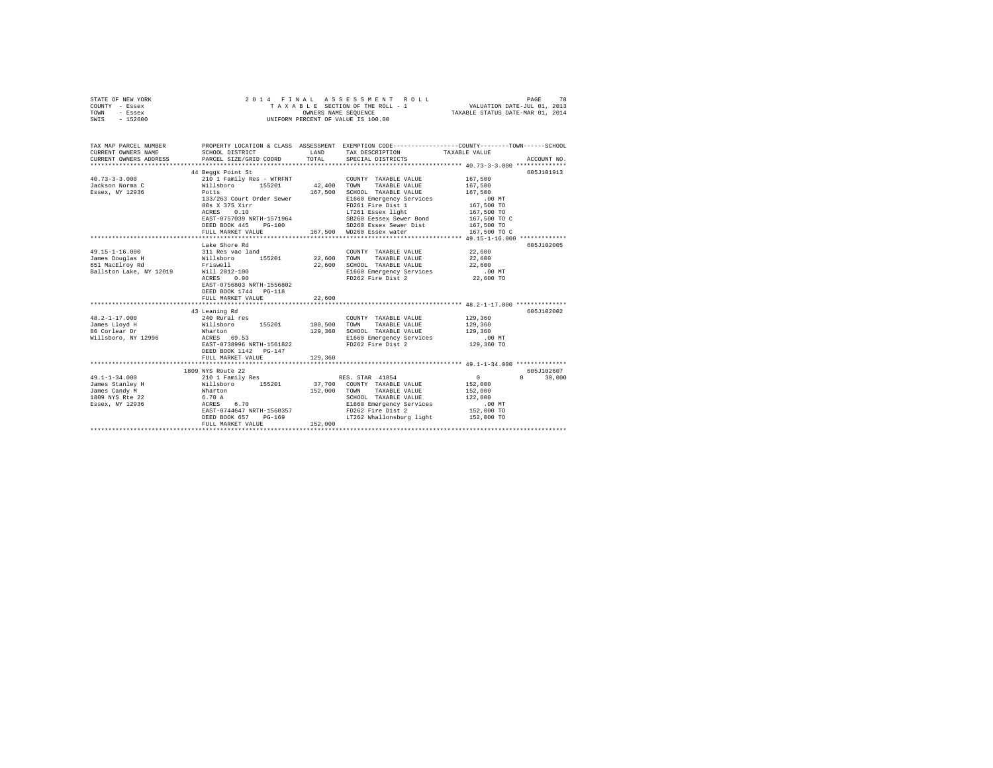| STATE OF NEW YORK<br>COUNTY - Essex<br>TOWN<br>- Essex<br>$-152600$<br>SWIS                           | 2014 FINAL                                                                                                                                                                                            | OWNERS NAME SEQUENCE          | ASSESSMENT<br>ROLL<br>TAXABLE SECTION OF THE ROLL - 1<br>UNIFORM PERCENT OF VALUE IS 100.00                                                                                              | VALUATION DATE-JUL 01, 2013<br>TAXABLE STATUS DATE-MAR 01, 2014                                     | PAGE<br>78                       |
|-------------------------------------------------------------------------------------------------------|-------------------------------------------------------------------------------------------------------------------------------------------------------------------------------------------------------|-------------------------------|------------------------------------------------------------------------------------------------------------------------------------------------------------------------------------------|-----------------------------------------------------------------------------------------------------|----------------------------------|
| TAX MAP PARCEL NUMBER<br>CURRENT OWNERS NAME<br>CURRENT OWNERS ADDRESS<br>*************************** | SCHOOL DISTRICT<br>PARCEL SIZE/GRID COORD                                                                                                                                                             | LAND<br>TOTAL                 | PROPERTY LOCATION & CLASS ASSESSMENT EXEMPTION CODE---------------COUNTY-------TOWN------SCHOOL<br>TAX DESCRIPTION<br>SPECIAL DISTRICTS                                                  | TAXABLE VALUE                                                                                       | ACCOUNT NO.                      |
| $40.73 - 3 - 3.000$<br>Jackson Norma C<br>Essex, NY 12936                                             | 44 Beggs Point St<br>210 1 Family Res - WTRFNT<br>Willsboro 155201<br>Potts<br>133/263 Court Order Sewer<br>88s X 37S Xirr<br>0.10<br>ACRES<br>EAST-0757039 NRTH-1571964<br>DEED BOOK 445<br>$PG-100$ | 42,400 TOWN<br>167.500        | COUNTY TAXABLE VALUE<br>TAXABLE VALUE<br>SCHOOL TAXABLE VALUE<br>E1660 Emergency Services<br>FD261 Fire Dist 1<br>LT261 Essex light<br>SB260 Eessex Sewer Bond<br>SD260 Essex Sewer Dist | 167,500<br>167,500<br>167.500<br>$.00$ MT<br>167,500 TO<br>167,500 TO<br>167,500 TO C<br>167,500 TO | 605J101913                       |
|                                                                                                       | FULL MARKET VALUE                                                                                                                                                                                     |                               | 167,500 WD260 Essex water                                                                                                                                                                | 167,500 TO C                                                                                        |                                  |
| $49.15 - 1 - 16.000$<br>James Douglas H<br>651 MacElroy Rd<br>Ballston Lake, NY 12019                 | Lake Shore Rd<br>311 Res vac land<br>Willsboro 155201<br>Friswell<br>Will 2012-100<br>ACRES<br>0.90<br>EAST-0756803 NRTH-1556802<br>DEED BOOK 1744 PG-118<br>FULL MARKET VALUE                        | 22,600<br>22,600<br>22,600    | COUNTY TAXABLE VALUE<br>TOWN<br>TAXABLE VALUE<br>SCHOOL TAXABLE VALUE<br>E1660 Emergency Services<br>FD262 Fire Dist 2                                                                   | 22,600<br>22,600<br>22,600<br>.00MT<br>22,600 TO                                                    | 605J102005                       |
| $48.2 - 1 - 17.000$<br>James Lloyd H<br>86 Corlear Dr<br>Willsboro, NY 12996                          | 43 Leaning Rd<br>240 Rural res<br>155201<br>Willsboro<br>Wharton<br>ACRES 69.53<br>EAST-0738996 NRTH-1561822<br>DEED BOOK 1142 PG-147<br>FULL MARKET VALUE                                            | 100,500<br>129,360<br>129,360 | COUNTY TAXABLE VALUE<br>TOWN<br>TAXABLE VALUE<br>SCHOOL TAXABLE VALUE<br>E1660 Emergency Services<br>FD262 Fire Dist 2                                                                   | 129,360<br>129,360<br>129,360<br>$.00$ MT<br>129,360 TO                                             | 605J102002                       |
|                                                                                                       | *********************************                                                                                                                                                                     |                               |                                                                                                                                                                                          |                                                                                                     |                                  |
| $49.1 - 1 - 34.000$<br>James Stanley H<br>James Candy M<br>1809 NYS Rte 22<br>Essex, NY 12936         | 1809 NYS Route 22<br>210 1 Family Res<br>Willsboro 155201<br>Wharton<br>6.70 A<br>ACRES<br>6.70<br>EAST-0744647 NRTH-1560357<br>$PG-169$<br>DEED BOOK 657<br>FULL MARKET VALUE                        | 37,700<br>152,000<br>152,000  | RES. STAR 41854<br>COUNTY TAXABLE VALUE<br>TOWN<br>TAXABLE VALUE<br>SCHOOL TAXABLE VALUE<br>E1660 Emergency Services<br>FD262 Fire Dist 2<br>LT262 Whallonsburg light 152,000 TO         | $\mathbf{0}$<br>152,000<br>152,000<br>122,000<br>.00MT<br>152,000 TO                                | 605J102607<br>$\Omega$<br>30,000 |
|                                                                                                       |                                                                                                                                                                                                       |                               |                                                                                                                                                                                          |                                                                                                     |                                  |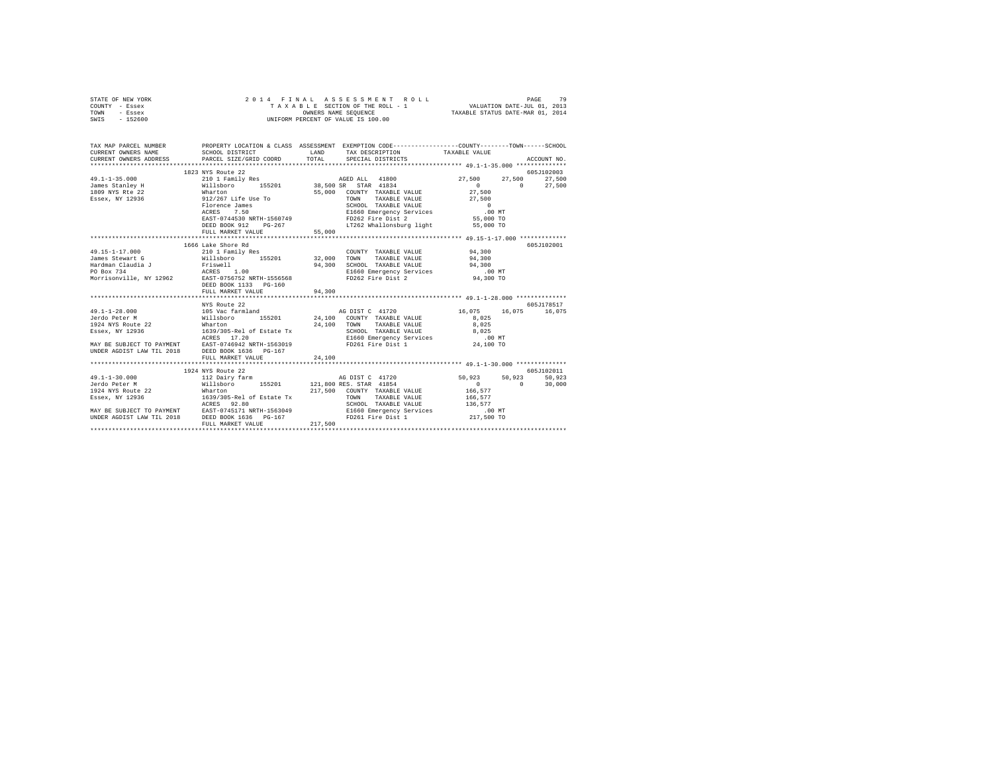| STATE OF NEW YORK<br>COUNTY - Essex<br>TOWN<br>- Essex<br>SWIS - 152600 |                    | 2014 FINAL ASSESSMENT R<br>TAXABLE SECTION OF THE ROLL - 1<br>ONNERS NAME SEQUENCE<br>UNIFORM PERCENT OF VALUE IS 100.00 |                            |             |
|-------------------------------------------------------------------------|--------------------|--------------------------------------------------------------------------------------------------------------------------|----------------------------|-------------|
|                                                                         |                    | TAX MAP PARCEL NUMBER PROPERTY LOCATION & CLASS ASSESSMENT EXEMPTION CODE--------------COUNTY-------TOWN------SCHOOL     |                            | ACCOUNT NO. |
|                                                                         |                    |                                                                                                                          |                            |             |
|                                                                         | 1823 NYS Route 22  |                                                                                                                          |                            | 605-7102003 |
|                                                                         |                    |                                                                                                                          | $27,500$ $27,500$ $27,500$ |             |
|                                                                         |                    |                                                                                                                          | $\sim$ 0 $\sim$            | 27,500      |
|                                                                         |                    |                                                                                                                          |                            |             |
|                                                                         |                    |                                                                                                                          |                            |             |
|                                                                         |                    |                                                                                                                          |                            |             |
|                                                                         |                    |                                                                                                                          |                            |             |
|                                                                         |                    |                                                                                                                          |                            |             |
|                                                                         | FULL MARKET VALUE  | 55,000                                                                                                                   |                            |             |
|                                                                         |                    |                                                                                                                          |                            |             |
|                                                                         | 1666 Lake Shore Rd |                                                                                                                          |                            | 605J102001  |
|                                                                         |                    |                                                                                                                          |                            |             |
|                                                                         |                    |                                                                                                                          |                            |             |
|                                                                         |                    |                                                                                                                          |                            |             |
|                                                                         |                    |                                                                                                                          |                            |             |
|                                                                         |                    |                                                                                                                          |                            |             |
|                                                                         |                    |                                                                                                                          |                            |             |
|                                                                         | FULL MARKET VALUE  | 94,300                                                                                                                   |                            |             |
|                                                                         |                    |                                                                                                                          |                            |             |
|                                                                         | NYS Route 22       |                                                                                                                          |                            | 605J178517  |
|                                                                         |                    |                                                                                                                          | 16,075 16,075 16,075       |             |
|                                                                         |                    |                                                                                                                          | 8,025<br>8,025             |             |
|                                                                         |                    |                                                                                                                          |                            |             |
|                                                                         |                    |                                                                                                                          | 8,025                      |             |
|                                                                         |                    |                                                                                                                          | $.00$ MT                   |             |
|                                                                         |                    |                                                                                                                          | س بن.<br>24,100 TO         |             |
|                                                                         |                    |                                                                                                                          |                            |             |
|                                                                         | FULL MARKET VALUE  | 24,100                                                                                                                   |                            |             |
|                                                                         |                    |                                                                                                                          |                            |             |
|                                                                         |                    |                                                                                                                          |                            |             |
|                                                                         |                    |                                                                                                                          |                            |             |
|                                                                         |                    |                                                                                                                          |                            |             |
|                                                                         |                    |                                                                                                                          |                            |             |
|                                                                         |                    |                                                                                                                          |                            |             |
|                                                                         |                    |                                                                                                                          |                            |             |
|                                                                         |                    |                                                                                                                          |                            |             |
|                                                                         | FULL MARKET VALUE  | 217,500                                                                                                                  |                            |             |
|                                                                         |                    |                                                                                                                          |                            |             |
|                                                                         |                    |                                                                                                                          |                            |             |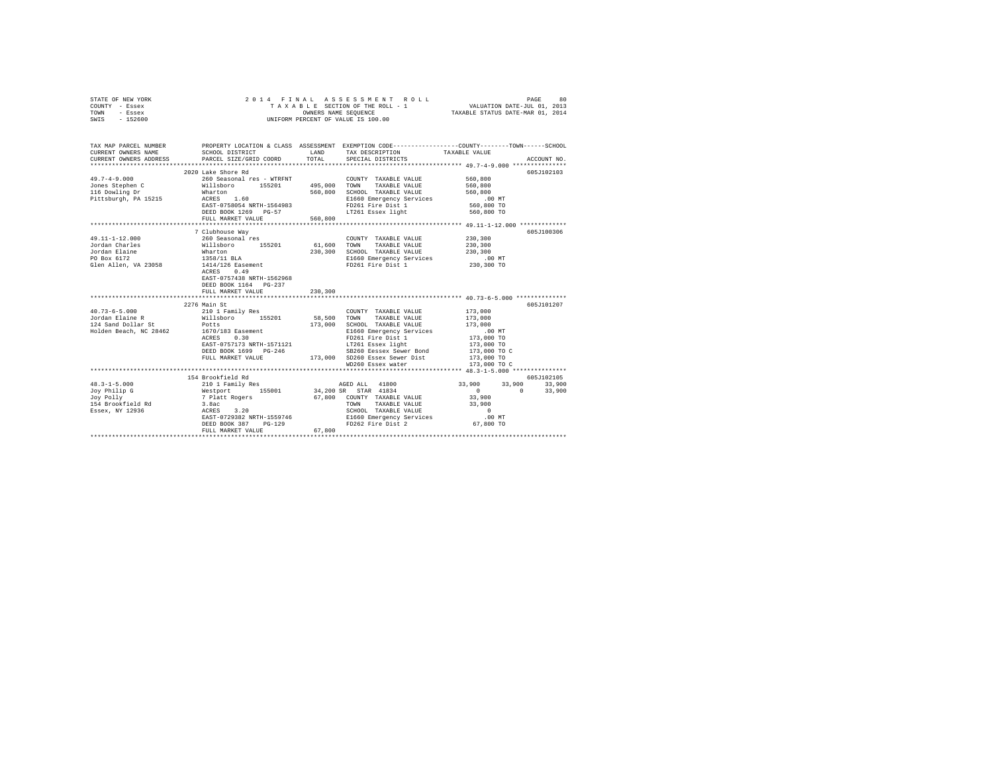| STATE OF NEW YORK<br>COUNTY - Essex<br>TOWN<br>- Essex<br>SWIS - 152600                                                                                                                                                                                                                                              | 2014 FINAL<br>UNIFORM PERCENT OF VALUE IS 100.00                              |             | ASSESSMENT ROLL                                                  | VALUATION DATE-JUL 01, 2013              | 80<br>PAGE  |
|----------------------------------------------------------------------------------------------------------------------------------------------------------------------------------------------------------------------------------------------------------------------------------------------------------------------|-------------------------------------------------------------------------------|-------------|------------------------------------------------------------------|------------------------------------------|-------------|
| TAX MAP PARCEL NUMBER PROPERTY LOCATION & CLASS ASSESSMENT EXEMPTION CODE--------------COUNTY-------TOWN------SCHOOL<br>CURRENT OWNERS NAME                                                                                                                                                                          | SCHOOL DISTRICT                                                               | LAND        | TAX DESCRIPTION                                                  | TAXABLE VALUE                            |             |
| CURRENT OWNERS ADDRESS                                                                                                                                                                                                                                                                                               | PARCEL SIZE/GRID COORD                                                        | TOTAL       | SPECIAL DISTRICTS                                                |                                          | ACCOUNT NO. |
|                                                                                                                                                                                                                                                                                                                      |                                                                               |             |                                                                  |                                          |             |
|                                                                                                                                                                                                                                                                                                                      | 2020 Lake Shore Rd                                                            |             |                                                                  |                                          | 605J102103  |
| $49.7 - 4 - 9.000$                                                                                                                                                                                                                                                                                                   | 260 Seasonal res - WTRFNT                                                     |             | COUNTY TAXABLE VALUE                                             | 560,800                                  |             |
|                                                                                                                                                                                                                                                                                                                      |                                                                               |             | TAXABLE VALUE                                                    | 560,800                                  |             |
|                                                                                                                                                                                                                                                                                                                      |                                                                               |             | 560,800 SCHOOL TAXABLE VALUE                                     | 560,800                                  |             |
|                                                                                                                                                                                                                                                                                                                      | EAST-0758054 NRTH-1564983                                                     |             | E1660 Emergency Services<br>E1660 Emeryency<br>FD261 Fire Dist 1 | $.00$ MT<br>560,800 TO                   |             |
|                                                                                                                                                                                                                                                                                                                      | DEED BOOK 1269 PG-57                                                          |             | LT261 Essex light                                                | 560,800 TO                               |             |
|                                                                                                                                                                                                                                                                                                                      | FULL MARKET VALUE                                                             | 560,800     |                                                                  |                                          |             |
|                                                                                                                                                                                                                                                                                                                      |                                                                               |             |                                                                  |                                          |             |
|                                                                                                                                                                                                                                                                                                                      | 7 Clubhouse Way                                                               |             |                                                                  |                                          | 605J100306  |
| 49.11-1-12.000                                                                                                                                                                                                                                                                                                       | 260 Seasonal res                                                              |             | COUNTY TAXABLE VALUE                                             | 230,300                                  |             |
| Jordan Charles                                                                                                                                                                                                                                                                                                       |                                                                               | 61,600 TOWN | TAXABLE VALUE                                                    | 230,300                                  |             |
| Jordan Elaine<br>20 Boy 6172                                                                                                                                                                                                                                                                                         |                                                                               |             | 230,300 SCHOOL TAXABLE VALUE                                     | 230,300                                  |             |
|                                                                                                                                                                                                                                                                                                                      |                                                                               |             | E1660 Emergency Services                                         |                                          |             |
| Glen Allen, VA 23058                                                                                                                                                                                                                                                                                                 | Willsboro 155201<br>Wharton<br>1358/11 BLA<br>1414/126 Easement<br>ACRES 0.49 |             | FD261 Fire Dist 1                                                | 00 MT.<br>230,300 TO                     |             |
|                                                                                                                                                                                                                                                                                                                      | ACRES 0.49                                                                    |             |                                                                  |                                          |             |
|                                                                                                                                                                                                                                                                                                                      | EAST-0757438 NRTH-1562968                                                     |             |                                                                  |                                          |             |
|                                                                                                                                                                                                                                                                                                                      | DEED BOOK 1164 PG-237                                                         |             |                                                                  |                                          |             |
|                                                                                                                                                                                                                                                                                                                      | FULL MARKET VALUE                                                             | 230,300     |                                                                  |                                          |             |
|                                                                                                                                                                                                                                                                                                                      |                                                                               |             |                                                                  |                                          |             |
|                                                                                                                                                                                                                                                                                                                      | 2276 Main St                                                                  |             |                                                                  |                                          | 605J101207  |
|                                                                                                                                                                                                                                                                                                                      |                                                                               | 58,500 TOWN | COUNTY TAXABLE VALUE<br>TAXABLE VALUE                            | 173,000<br>173,000                       |             |
| $\begin{tabular}{lllllllllllll} \multicolumn{4}{c}{40.73-6-5.000} & & & 210 & \text{Family Res} \\ \multicolumn{4}{c}{Jordan Balance R} & & \multicolumn{4}{c}{William B1} & & 155201 \\ \multicolumn{4}{c}{124\space Sand Dollar St} & & \multicolumn{4}{c}{Potts} & & 155201 \\ \multicolumn{4}{c}{\end{tabular}}$ |                                                                               |             | 173,000 SCHOOL TAXABLE VALUE                                     | 173,000                                  |             |
| Holden Beach, NC 28462                                                                                                                                                                                                                                                                                               |                                                                               |             | E1660 Emergency Services                                         | $.00$ MT                                 |             |
|                                                                                                                                                                                                                                                                                                                      | 1670/183 Easement<br>ACRES 0.30                                               |             | FD261 Fire Dist 1                                                |                                          |             |
|                                                                                                                                                                                                                                                                                                                      | EAST-0757173 NRTH-1571121                                                     |             | LT261 Essex light                                                |                                          |             |
|                                                                                                                                                                                                                                                                                                                      | DEED BOOK 1699 PG-246                                                         |             | SB260 Eessex Sewer Bond                                          | 173,000 TO<br>173,000 TO<br>173,000 TO C |             |
|                                                                                                                                                                                                                                                                                                                      | FULL MARKET VALUE 473,000 SD260 Essex Sewer Dist                              |             |                                                                  | 173,000 TO                               |             |
|                                                                                                                                                                                                                                                                                                                      |                                                                               |             | WD260 Essex water                                                | 173,000 TO C                             |             |
|                                                                                                                                                                                                                                                                                                                      |                                                                               |             |                                                                  |                                          |             |
|                                                                                                                                                                                                                                                                                                                      | 154 Brookfield Rd                                                             |             |                                                                  |                                          | 605J102105  |
| $48.3 - 1 - 5.000$                                                                                                                                                                                                                                                                                                   |                                                                               |             |                                                                  | 33,900 33,900 33,900                     |             |
| Joy Philip G<br>Joy Polly<br>15:                                                                                                                                                                                                                                                                                     |                                                                               |             | 34,200 SR STAR 41834                                             | $\sim$ 0<br>$\sim$ 0                     | 33,900      |
|                                                                                                                                                                                                                                                                                                                      |                                                                               |             | 67,800 COUNTY TAXABLE VALUE                                      | 33,900                                   |             |
| 154 Brookfield Rd                                                                                                                                                                                                                                                                                                    | 1<br>3.8acc Access 3.20                                                       |             | TOWN<br>TAXABLE VALUE                                            | 33,900                                   |             |
| Essex, NY 12936                                                                                                                                                                                                                                                                                                      |                                                                               |             | SCHOOL TAXABLE VALUE                                             | $\sim$ 0                                 |             |
|                                                                                                                                                                                                                                                                                                                      | EAST-0729382 NRTH-1559746                                                     |             |                                                                  |                                          |             |
|                                                                                                                                                                                                                                                                                                                      | DEED BOOK 387 PG-129                                                          |             |                                                                  |                                          |             |
|                                                                                                                                                                                                                                                                                                                      | FULL MARKET VALUE                                                             | 67,800<br>  |                                                                  |                                          |             |
|                                                                                                                                                                                                                                                                                                                      |                                                                               |             |                                                                  |                                          |             |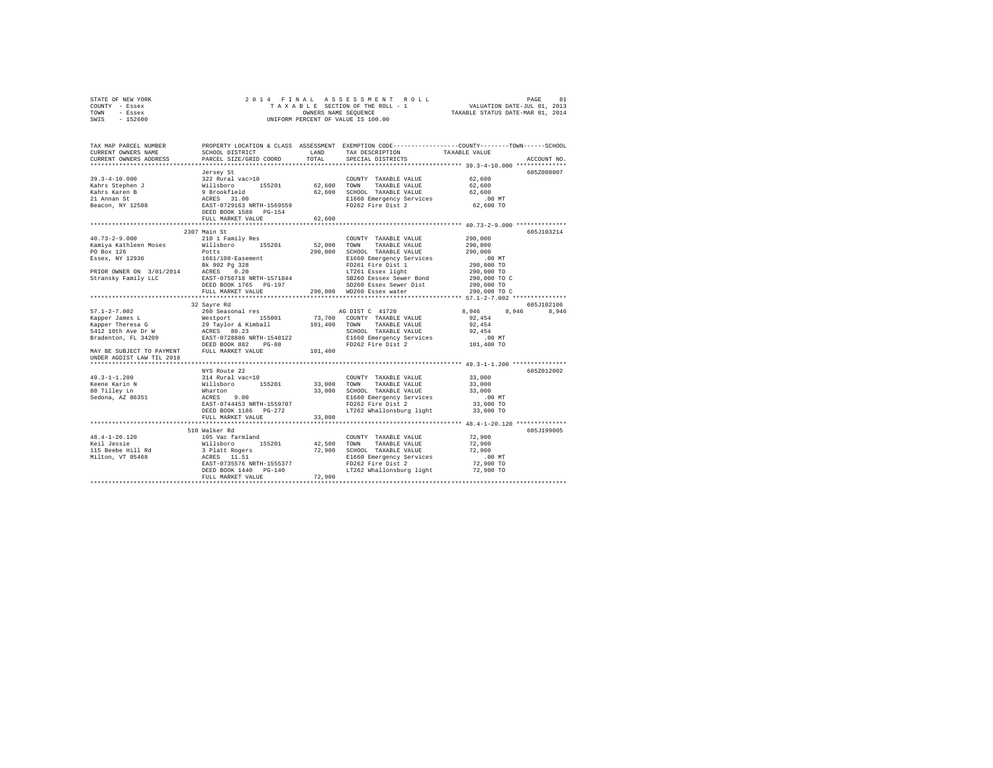| STATE OF NEW YORK | 2014 FINAL ASSESSMENT ROLL         | 81<br>PAGE                       |
|-------------------|------------------------------------|----------------------------------|
| COUNTY - Essex    | TAXABLE SECTION OF THE ROLL - 1    | VALUATION DATE-JUL 01, 2013      |
| TOWN<br>- Essex   | OWNERS NAME SEOUENCE               | TAXABLE STATUS DATE-MAR 01, 2014 |
| $-152600$<br>SWIS | UNIFORM PERCENT OF VALUE IS 100.00 |                                  |

| ***************************<br>Jersey St<br>62,600<br>COUNTY TAXABLE VALUE<br>62.600 TOWN TAXABLE VALUE<br>62,600<br>62,600 SCHOOL TAXABLE VALUE<br>62,600<br>E1660 Emergency Services<br>$.00$ MT<br>FD262 Fire Dist 2<br>62,600 TO<br>62,600<br>FULL MARKET VALUE<br>2307 Main St<br>$40.73 - 2 - 9.000$<br>210 1 Family Res<br>COUNTY TAXABLE VALUE<br>290,000<br>Willsboro 155201<br>52,000<br>Kamiya Kathleen Moses<br>TOWN<br>TAXABLE VALUE<br>290,000<br>290,000<br>PO Box 126<br>Potts<br>SCHOOL TAXABLE VALUE<br>290,000<br>Essex, NY 12936<br>1661/108-Easement<br>E1660 Emergency Services<br>.00 MT<br>Bk 902 Pg 328<br>PRIOR OWER ON 3/01/2014 ACRES 0.20<br>Stransky Family LLC – EAST-0756718 NRTH-1571844<br>FD261 Fire Dist 1<br>LT261 Essex light<br>290,000 TO<br>290,000 TO<br>SB260 Eessex Sewer Bond<br>SD260 Fessex Sewer Bond<br>290,000 TO C<br>290,000 TO<br>DEED BOOK 1765 PG-197<br>SD260 Essex Sewer Dist<br>290,000 WD260 Essex water<br>290,000 TO C<br>FULL MARKET VALUE<br>32 Sayre Rd<br>605J102106<br>260 Seasonal res<br>$57.1 - 2 - 7.002$<br>8,946<br>8,946 8,946<br>AG DIST C 41720<br>999 - 2000 - 2000 - 2000 - 2000 - 2010<br>Kapper Theresa G 2012 - 2012 - 2013 - 2014 - 2014 - 2014 - 2014 - 2014 - 2014 - 2014 - 2014 - 2014 - 2014 - 20<br>2014 - 2014 - 2014 - 2014 - 2014 - 2014 - 2014 - 2014 - 2014 - 2014 - 20<br>73,700 COUNTY TAXABLE VALUE<br>92.454<br>101,400 TOWN TAXABLE VALUE<br>92.454<br>SCHOOL TAXABLE VALUE<br>92.454<br>E1660 Emergency Services<br>$.00$ MT<br>101,400 TO<br>FD262 Fire Dist 2<br>DEED BOOK 882<br>$PG-88$<br>MAY BE SUBJECT TO PAYMENT FULL MARKET VALUE<br>101,400<br>UNDER AGDIST LAW TIL 2018<br>NYS Route 22<br>605Z012002<br>$49.3 - 1 - 1.200$<br>314 Rural vac<10<br>Willsboro 155201<br>Wharton<br>ACRES 9.00<br>33,000<br>COUNTY TAXABLE VALUE<br>33,000 TOWN<br>Keene Karin N<br>TAXABLE VALUE<br>33,000<br>33,000 SCHOOL TAXABLE VALUE<br>80 Tilley Ln<br>33,000<br>Sedona, AZ 86351<br>E1660 Emergency Services<br>.00 MT<br>FD262 Fire Dist 2<br>EAST-0744453 NRTH-1559707<br>33,000 TO<br>LT262 Whallonsburg light<br>DEED BOOK 1186    PG-272<br>33,000 TO<br>33,000<br>FULL MARKET VALUE<br>******************************<br>605J199005<br>510 Walker Rd<br>$48.4 - 1 - 20.120$<br>105 Vac farmland<br>72,900<br>COUNTY TAXABLE VALUE<br>42.500 TOWN<br>Keil Jessie<br>TAXABLE VALUE<br>72,900<br>115 Beebe Hill Rd<br>Milton, VT 05468<br>72,900 SCHOOL TAXABLE VALUE<br>72,900<br>E1660 Emergency Services<br>.00MT<br>72,900 TO<br>FD262 Fire Dist 2<br>EAST-0735576 NRTH-1555377<br>LT262 Whallonsburg light 72,900 TO<br>DEED BOOK 1440 PG-140<br>72,900<br>FULL MARKET VALUE | TAX MAP PARCEL NUMBER<br>CURRENT OWNERS NAME<br>CURRENT OWNERS ADDRESS | SCHOOL DISTRICT<br>PARCEL SIZE/GRID COORD | LAND<br>TOTAL | TAX DESCRIPTION<br>SPECIAL DISTRICTS | PROPERTY LOCATION & CLASS ASSESSMENT EXEMPTION CODE---------------COUNTY-------TOWN-----SCHOOL<br>TAXABLE VALUE<br>ACCOUNT NO. |
|----------------------------------------------------------------------------------------------------------------------------------------------------------------------------------------------------------------------------------------------------------------------------------------------------------------------------------------------------------------------------------------------------------------------------------------------------------------------------------------------------------------------------------------------------------------------------------------------------------------------------------------------------------------------------------------------------------------------------------------------------------------------------------------------------------------------------------------------------------------------------------------------------------------------------------------------------------------------------------------------------------------------------------------------------------------------------------------------------------------------------------------------------------------------------------------------------------------------------------------------------------------------------------------------------------------------------------------------------------------------------------------------------------------------------------------------------------------------------------------------------------------------------------------------------------------------------------------------------------------------------------------------------------------------------------------------------------------------------------------------------------------------------------------------------------------------------------------------------------------------------------------------------------------------------------------------------------------------------------------------------------------------------------------------------------------------------------------------------------------------------------------------------------------------------------------------------------------------------------------------------------------------------------------------------------------------------------------------------------------------------------------------------------------------------------------------------------------------------------------------------------------------------------------------------------------------------------------------------------------------------------------------------------------------------------------|------------------------------------------------------------------------|-------------------------------------------|---------------|--------------------------------------|--------------------------------------------------------------------------------------------------------------------------------|
|                                                                                                                                                                                                                                                                                                                                                                                                                                                                                                                                                                                                                                                                                                                                                                                                                                                                                                                                                                                                                                                                                                                                                                                                                                                                                                                                                                                                                                                                                                                                                                                                                                                                                                                                                                                                                                                                                                                                                                                                                                                                                                                                                                                                                                                                                                                                                                                                                                                                                                                                                                                                                                                                                        |                                                                        |                                           |               |                                      |                                                                                                                                |
|                                                                                                                                                                                                                                                                                                                                                                                                                                                                                                                                                                                                                                                                                                                                                                                                                                                                                                                                                                                                                                                                                                                                                                                                                                                                                                                                                                                                                                                                                                                                                                                                                                                                                                                                                                                                                                                                                                                                                                                                                                                                                                                                                                                                                                                                                                                                                                                                                                                                                                                                                                                                                                                                                        |                                                                        |                                           |               |                                      | 605Z008007                                                                                                                     |
|                                                                                                                                                                                                                                                                                                                                                                                                                                                                                                                                                                                                                                                                                                                                                                                                                                                                                                                                                                                                                                                                                                                                                                                                                                                                                                                                                                                                                                                                                                                                                                                                                                                                                                                                                                                                                                                                                                                                                                                                                                                                                                                                                                                                                                                                                                                                                                                                                                                                                                                                                                                                                                                                                        |                                                                        |                                           |               |                                      |                                                                                                                                |
|                                                                                                                                                                                                                                                                                                                                                                                                                                                                                                                                                                                                                                                                                                                                                                                                                                                                                                                                                                                                                                                                                                                                                                                                                                                                                                                                                                                                                                                                                                                                                                                                                                                                                                                                                                                                                                                                                                                                                                                                                                                                                                                                                                                                                                                                                                                                                                                                                                                                                                                                                                                                                                                                                        |                                                                        |                                           |               |                                      |                                                                                                                                |
|                                                                                                                                                                                                                                                                                                                                                                                                                                                                                                                                                                                                                                                                                                                                                                                                                                                                                                                                                                                                                                                                                                                                                                                                                                                                                                                                                                                                                                                                                                                                                                                                                                                                                                                                                                                                                                                                                                                                                                                                                                                                                                                                                                                                                                                                                                                                                                                                                                                                                                                                                                                                                                                                                        |                                                                        |                                           |               |                                      |                                                                                                                                |
|                                                                                                                                                                                                                                                                                                                                                                                                                                                                                                                                                                                                                                                                                                                                                                                                                                                                                                                                                                                                                                                                                                                                                                                                                                                                                                                                                                                                                                                                                                                                                                                                                                                                                                                                                                                                                                                                                                                                                                                                                                                                                                                                                                                                                                                                                                                                                                                                                                                                                                                                                                                                                                                                                        |                                                                        |                                           |               |                                      |                                                                                                                                |
|                                                                                                                                                                                                                                                                                                                                                                                                                                                                                                                                                                                                                                                                                                                                                                                                                                                                                                                                                                                                                                                                                                                                                                                                                                                                                                                                                                                                                                                                                                                                                                                                                                                                                                                                                                                                                                                                                                                                                                                                                                                                                                                                                                                                                                                                                                                                                                                                                                                                                                                                                                                                                                                                                        |                                                                        |                                           |               |                                      |                                                                                                                                |
|                                                                                                                                                                                                                                                                                                                                                                                                                                                                                                                                                                                                                                                                                                                                                                                                                                                                                                                                                                                                                                                                                                                                                                                                                                                                                                                                                                                                                                                                                                                                                                                                                                                                                                                                                                                                                                                                                                                                                                                                                                                                                                                                                                                                                                                                                                                                                                                                                                                                                                                                                                                                                                                                                        |                                                                        |                                           |               |                                      |                                                                                                                                |
|                                                                                                                                                                                                                                                                                                                                                                                                                                                                                                                                                                                                                                                                                                                                                                                                                                                                                                                                                                                                                                                                                                                                                                                                                                                                                                                                                                                                                                                                                                                                                                                                                                                                                                                                                                                                                                                                                                                                                                                                                                                                                                                                                                                                                                                                                                                                                                                                                                                                                                                                                                                                                                                                                        |                                                                        |                                           |               |                                      |                                                                                                                                |
|                                                                                                                                                                                                                                                                                                                                                                                                                                                                                                                                                                                                                                                                                                                                                                                                                                                                                                                                                                                                                                                                                                                                                                                                                                                                                                                                                                                                                                                                                                                                                                                                                                                                                                                                                                                                                                                                                                                                                                                                                                                                                                                                                                                                                                                                                                                                                                                                                                                                                                                                                                                                                                                                                        |                                                                        |                                           |               |                                      |                                                                                                                                |
|                                                                                                                                                                                                                                                                                                                                                                                                                                                                                                                                                                                                                                                                                                                                                                                                                                                                                                                                                                                                                                                                                                                                                                                                                                                                                                                                                                                                                                                                                                                                                                                                                                                                                                                                                                                                                                                                                                                                                                                                                                                                                                                                                                                                                                                                                                                                                                                                                                                                                                                                                                                                                                                                                        |                                                                        |                                           |               |                                      | 605J103214                                                                                                                     |
|                                                                                                                                                                                                                                                                                                                                                                                                                                                                                                                                                                                                                                                                                                                                                                                                                                                                                                                                                                                                                                                                                                                                                                                                                                                                                                                                                                                                                                                                                                                                                                                                                                                                                                                                                                                                                                                                                                                                                                                                                                                                                                                                                                                                                                                                                                                                                                                                                                                                                                                                                                                                                                                                                        |                                                                        |                                           |               |                                      |                                                                                                                                |
|                                                                                                                                                                                                                                                                                                                                                                                                                                                                                                                                                                                                                                                                                                                                                                                                                                                                                                                                                                                                                                                                                                                                                                                                                                                                                                                                                                                                                                                                                                                                                                                                                                                                                                                                                                                                                                                                                                                                                                                                                                                                                                                                                                                                                                                                                                                                                                                                                                                                                                                                                                                                                                                                                        |                                                                        |                                           |               |                                      |                                                                                                                                |
|                                                                                                                                                                                                                                                                                                                                                                                                                                                                                                                                                                                                                                                                                                                                                                                                                                                                                                                                                                                                                                                                                                                                                                                                                                                                                                                                                                                                                                                                                                                                                                                                                                                                                                                                                                                                                                                                                                                                                                                                                                                                                                                                                                                                                                                                                                                                                                                                                                                                                                                                                                                                                                                                                        |                                                                        |                                           |               |                                      |                                                                                                                                |
|                                                                                                                                                                                                                                                                                                                                                                                                                                                                                                                                                                                                                                                                                                                                                                                                                                                                                                                                                                                                                                                                                                                                                                                                                                                                                                                                                                                                                                                                                                                                                                                                                                                                                                                                                                                                                                                                                                                                                                                                                                                                                                                                                                                                                                                                                                                                                                                                                                                                                                                                                                                                                                                                                        |                                                                        |                                           |               |                                      |                                                                                                                                |
|                                                                                                                                                                                                                                                                                                                                                                                                                                                                                                                                                                                                                                                                                                                                                                                                                                                                                                                                                                                                                                                                                                                                                                                                                                                                                                                                                                                                                                                                                                                                                                                                                                                                                                                                                                                                                                                                                                                                                                                                                                                                                                                                                                                                                                                                                                                                                                                                                                                                                                                                                                                                                                                                                        |                                                                        |                                           |               |                                      |                                                                                                                                |
|                                                                                                                                                                                                                                                                                                                                                                                                                                                                                                                                                                                                                                                                                                                                                                                                                                                                                                                                                                                                                                                                                                                                                                                                                                                                                                                                                                                                                                                                                                                                                                                                                                                                                                                                                                                                                                                                                                                                                                                                                                                                                                                                                                                                                                                                                                                                                                                                                                                                                                                                                                                                                                                                                        |                                                                        |                                           |               |                                      |                                                                                                                                |
|                                                                                                                                                                                                                                                                                                                                                                                                                                                                                                                                                                                                                                                                                                                                                                                                                                                                                                                                                                                                                                                                                                                                                                                                                                                                                                                                                                                                                                                                                                                                                                                                                                                                                                                                                                                                                                                                                                                                                                                                                                                                                                                                                                                                                                                                                                                                                                                                                                                                                                                                                                                                                                                                                        |                                                                        |                                           |               |                                      |                                                                                                                                |
|                                                                                                                                                                                                                                                                                                                                                                                                                                                                                                                                                                                                                                                                                                                                                                                                                                                                                                                                                                                                                                                                                                                                                                                                                                                                                                                                                                                                                                                                                                                                                                                                                                                                                                                                                                                                                                                                                                                                                                                                                                                                                                                                                                                                                                                                                                                                                                                                                                                                                                                                                                                                                                                                                        |                                                                        |                                           |               |                                      |                                                                                                                                |
|                                                                                                                                                                                                                                                                                                                                                                                                                                                                                                                                                                                                                                                                                                                                                                                                                                                                                                                                                                                                                                                                                                                                                                                                                                                                                                                                                                                                                                                                                                                                                                                                                                                                                                                                                                                                                                                                                                                                                                                                                                                                                                                                                                                                                                                                                                                                                                                                                                                                                                                                                                                                                                                                                        |                                                                        |                                           |               |                                      |                                                                                                                                |
|                                                                                                                                                                                                                                                                                                                                                                                                                                                                                                                                                                                                                                                                                                                                                                                                                                                                                                                                                                                                                                                                                                                                                                                                                                                                                                                                                                                                                                                                                                                                                                                                                                                                                                                                                                                                                                                                                                                                                                                                                                                                                                                                                                                                                                                                                                                                                                                                                                                                                                                                                                                                                                                                                        |                                                                        |                                           |               |                                      |                                                                                                                                |
|                                                                                                                                                                                                                                                                                                                                                                                                                                                                                                                                                                                                                                                                                                                                                                                                                                                                                                                                                                                                                                                                                                                                                                                                                                                                                                                                                                                                                                                                                                                                                                                                                                                                                                                                                                                                                                                                                                                                                                                                                                                                                                                                                                                                                                                                                                                                                                                                                                                                                                                                                                                                                                                                                        |                                                                        |                                           |               |                                      |                                                                                                                                |
|                                                                                                                                                                                                                                                                                                                                                                                                                                                                                                                                                                                                                                                                                                                                                                                                                                                                                                                                                                                                                                                                                                                                                                                                                                                                                                                                                                                                                                                                                                                                                                                                                                                                                                                                                                                                                                                                                                                                                                                                                                                                                                                                                                                                                                                                                                                                                                                                                                                                                                                                                                                                                                                                                        |                                                                        |                                           |               |                                      |                                                                                                                                |
|                                                                                                                                                                                                                                                                                                                                                                                                                                                                                                                                                                                                                                                                                                                                                                                                                                                                                                                                                                                                                                                                                                                                                                                                                                                                                                                                                                                                                                                                                                                                                                                                                                                                                                                                                                                                                                                                                                                                                                                                                                                                                                                                                                                                                                                                                                                                                                                                                                                                                                                                                                                                                                                                                        |                                                                        |                                           |               |                                      |                                                                                                                                |
|                                                                                                                                                                                                                                                                                                                                                                                                                                                                                                                                                                                                                                                                                                                                                                                                                                                                                                                                                                                                                                                                                                                                                                                                                                                                                                                                                                                                                                                                                                                                                                                                                                                                                                                                                                                                                                                                                                                                                                                                                                                                                                                                                                                                                                                                                                                                                                                                                                                                                                                                                                                                                                                                                        |                                                                        |                                           |               |                                      |                                                                                                                                |
|                                                                                                                                                                                                                                                                                                                                                                                                                                                                                                                                                                                                                                                                                                                                                                                                                                                                                                                                                                                                                                                                                                                                                                                                                                                                                                                                                                                                                                                                                                                                                                                                                                                                                                                                                                                                                                                                                                                                                                                                                                                                                                                                                                                                                                                                                                                                                                                                                                                                                                                                                                                                                                                                                        |                                                                        |                                           |               |                                      |                                                                                                                                |
|                                                                                                                                                                                                                                                                                                                                                                                                                                                                                                                                                                                                                                                                                                                                                                                                                                                                                                                                                                                                                                                                                                                                                                                                                                                                                                                                                                                                                                                                                                                                                                                                                                                                                                                                                                                                                                                                                                                                                                                                                                                                                                                                                                                                                                                                                                                                                                                                                                                                                                                                                                                                                                                                                        |                                                                        |                                           |               |                                      |                                                                                                                                |
|                                                                                                                                                                                                                                                                                                                                                                                                                                                                                                                                                                                                                                                                                                                                                                                                                                                                                                                                                                                                                                                                                                                                                                                                                                                                                                                                                                                                                                                                                                                                                                                                                                                                                                                                                                                                                                                                                                                                                                                                                                                                                                                                                                                                                                                                                                                                                                                                                                                                                                                                                                                                                                                                                        |                                                                        |                                           |               |                                      |                                                                                                                                |
|                                                                                                                                                                                                                                                                                                                                                                                                                                                                                                                                                                                                                                                                                                                                                                                                                                                                                                                                                                                                                                                                                                                                                                                                                                                                                                                                                                                                                                                                                                                                                                                                                                                                                                                                                                                                                                                                                                                                                                                                                                                                                                                                                                                                                                                                                                                                                                                                                                                                                                                                                                                                                                                                                        |                                                                        |                                           |               |                                      |                                                                                                                                |
|                                                                                                                                                                                                                                                                                                                                                                                                                                                                                                                                                                                                                                                                                                                                                                                                                                                                                                                                                                                                                                                                                                                                                                                                                                                                                                                                                                                                                                                                                                                                                                                                                                                                                                                                                                                                                                                                                                                                                                                                                                                                                                                                                                                                                                                                                                                                                                                                                                                                                                                                                                                                                                                                                        |                                                                        |                                           |               |                                      |                                                                                                                                |
|                                                                                                                                                                                                                                                                                                                                                                                                                                                                                                                                                                                                                                                                                                                                                                                                                                                                                                                                                                                                                                                                                                                                                                                                                                                                                                                                                                                                                                                                                                                                                                                                                                                                                                                                                                                                                                                                                                                                                                                                                                                                                                                                                                                                                                                                                                                                                                                                                                                                                                                                                                                                                                                                                        |                                                                        |                                           |               |                                      |                                                                                                                                |
|                                                                                                                                                                                                                                                                                                                                                                                                                                                                                                                                                                                                                                                                                                                                                                                                                                                                                                                                                                                                                                                                                                                                                                                                                                                                                                                                                                                                                                                                                                                                                                                                                                                                                                                                                                                                                                                                                                                                                                                                                                                                                                                                                                                                                                                                                                                                                                                                                                                                                                                                                                                                                                                                                        |                                                                        |                                           |               |                                      |                                                                                                                                |
|                                                                                                                                                                                                                                                                                                                                                                                                                                                                                                                                                                                                                                                                                                                                                                                                                                                                                                                                                                                                                                                                                                                                                                                                                                                                                                                                                                                                                                                                                                                                                                                                                                                                                                                                                                                                                                                                                                                                                                                                                                                                                                                                                                                                                                                                                                                                                                                                                                                                                                                                                                                                                                                                                        |                                                                        |                                           |               |                                      |                                                                                                                                |
|                                                                                                                                                                                                                                                                                                                                                                                                                                                                                                                                                                                                                                                                                                                                                                                                                                                                                                                                                                                                                                                                                                                                                                                                                                                                                                                                                                                                                                                                                                                                                                                                                                                                                                                                                                                                                                                                                                                                                                                                                                                                                                                                                                                                                                                                                                                                                                                                                                                                                                                                                                                                                                                                                        |                                                                        |                                           |               |                                      |                                                                                                                                |
|                                                                                                                                                                                                                                                                                                                                                                                                                                                                                                                                                                                                                                                                                                                                                                                                                                                                                                                                                                                                                                                                                                                                                                                                                                                                                                                                                                                                                                                                                                                                                                                                                                                                                                                                                                                                                                                                                                                                                                                                                                                                                                                                                                                                                                                                                                                                                                                                                                                                                                                                                                                                                                                                                        |                                                                        |                                           |               |                                      |                                                                                                                                |
|                                                                                                                                                                                                                                                                                                                                                                                                                                                                                                                                                                                                                                                                                                                                                                                                                                                                                                                                                                                                                                                                                                                                                                                                                                                                                                                                                                                                                                                                                                                                                                                                                                                                                                                                                                                                                                                                                                                                                                                                                                                                                                                                                                                                                                                                                                                                                                                                                                                                                                                                                                                                                                                                                        |                                                                        |                                           |               |                                      |                                                                                                                                |
|                                                                                                                                                                                                                                                                                                                                                                                                                                                                                                                                                                                                                                                                                                                                                                                                                                                                                                                                                                                                                                                                                                                                                                                                                                                                                                                                                                                                                                                                                                                                                                                                                                                                                                                                                                                                                                                                                                                                                                                                                                                                                                                                                                                                                                                                                                                                                                                                                                                                                                                                                                                                                                                                                        |                                                                        |                                           |               |                                      |                                                                                                                                |
|                                                                                                                                                                                                                                                                                                                                                                                                                                                                                                                                                                                                                                                                                                                                                                                                                                                                                                                                                                                                                                                                                                                                                                                                                                                                                                                                                                                                                                                                                                                                                                                                                                                                                                                                                                                                                                                                                                                                                                                                                                                                                                                                                                                                                                                                                                                                                                                                                                                                                                                                                                                                                                                                                        |                                                                        |                                           |               |                                      |                                                                                                                                |
|                                                                                                                                                                                                                                                                                                                                                                                                                                                                                                                                                                                                                                                                                                                                                                                                                                                                                                                                                                                                                                                                                                                                                                                                                                                                                                                                                                                                                                                                                                                                                                                                                                                                                                                                                                                                                                                                                                                                                                                                                                                                                                                                                                                                                                                                                                                                                                                                                                                                                                                                                                                                                                                                                        |                                                                        |                                           |               |                                      |                                                                                                                                |
|                                                                                                                                                                                                                                                                                                                                                                                                                                                                                                                                                                                                                                                                                                                                                                                                                                                                                                                                                                                                                                                                                                                                                                                                                                                                                                                                                                                                                                                                                                                                                                                                                                                                                                                                                                                                                                                                                                                                                                                                                                                                                                                                                                                                                                                                                                                                                                                                                                                                                                                                                                                                                                                                                        |                                                                        |                                           |               |                                      |                                                                                                                                |
|                                                                                                                                                                                                                                                                                                                                                                                                                                                                                                                                                                                                                                                                                                                                                                                                                                                                                                                                                                                                                                                                                                                                                                                                                                                                                                                                                                                                                                                                                                                                                                                                                                                                                                                                                                                                                                                                                                                                                                                                                                                                                                                                                                                                                                                                                                                                                                                                                                                                                                                                                                                                                                                                                        |                                                                        |                                           |               |                                      |                                                                                                                                |
|                                                                                                                                                                                                                                                                                                                                                                                                                                                                                                                                                                                                                                                                                                                                                                                                                                                                                                                                                                                                                                                                                                                                                                                                                                                                                                                                                                                                                                                                                                                                                                                                                                                                                                                                                                                                                                                                                                                                                                                                                                                                                                                                                                                                                                                                                                                                                                                                                                                                                                                                                                                                                                                                                        |                                                                        |                                           |               |                                      |                                                                                                                                |
|                                                                                                                                                                                                                                                                                                                                                                                                                                                                                                                                                                                                                                                                                                                                                                                                                                                                                                                                                                                                                                                                                                                                                                                                                                                                                                                                                                                                                                                                                                                                                                                                                                                                                                                                                                                                                                                                                                                                                                                                                                                                                                                                                                                                                                                                                                                                                                                                                                                                                                                                                                                                                                                                                        |                                                                        |                                           |               |                                      |                                                                                                                                |
|                                                                                                                                                                                                                                                                                                                                                                                                                                                                                                                                                                                                                                                                                                                                                                                                                                                                                                                                                                                                                                                                                                                                                                                                                                                                                                                                                                                                                                                                                                                                                                                                                                                                                                                                                                                                                                                                                                                                                                                                                                                                                                                                                                                                                                                                                                                                                                                                                                                                                                                                                                                                                                                                                        |                                                                        |                                           |               |                                      |                                                                                                                                |
|                                                                                                                                                                                                                                                                                                                                                                                                                                                                                                                                                                                                                                                                                                                                                                                                                                                                                                                                                                                                                                                                                                                                                                                                                                                                                                                                                                                                                                                                                                                                                                                                                                                                                                                                                                                                                                                                                                                                                                                                                                                                                                                                                                                                                                                                                                                                                                                                                                                                                                                                                                                                                                                                                        |                                                                        |                                           |               |                                      |                                                                                                                                |
|                                                                                                                                                                                                                                                                                                                                                                                                                                                                                                                                                                                                                                                                                                                                                                                                                                                                                                                                                                                                                                                                                                                                                                                                                                                                                                                                                                                                                                                                                                                                                                                                                                                                                                                                                                                                                                                                                                                                                                                                                                                                                                                                                                                                                                                                                                                                                                                                                                                                                                                                                                                                                                                                                        |                                                                        |                                           |               |                                      |                                                                                                                                |
|                                                                                                                                                                                                                                                                                                                                                                                                                                                                                                                                                                                                                                                                                                                                                                                                                                                                                                                                                                                                                                                                                                                                                                                                                                                                                                                                                                                                                                                                                                                                                                                                                                                                                                                                                                                                                                                                                                                                                                                                                                                                                                                                                                                                                                                                                                                                                                                                                                                                                                                                                                                                                                                                                        |                                                                        |                                           |               |                                      |                                                                                                                                |
|                                                                                                                                                                                                                                                                                                                                                                                                                                                                                                                                                                                                                                                                                                                                                                                                                                                                                                                                                                                                                                                                                                                                                                                                                                                                                                                                                                                                                                                                                                                                                                                                                                                                                                                                                                                                                                                                                                                                                                                                                                                                                                                                                                                                                                                                                                                                                                                                                                                                                                                                                                                                                                                                                        |                                                                        |                                           |               |                                      |                                                                                                                                |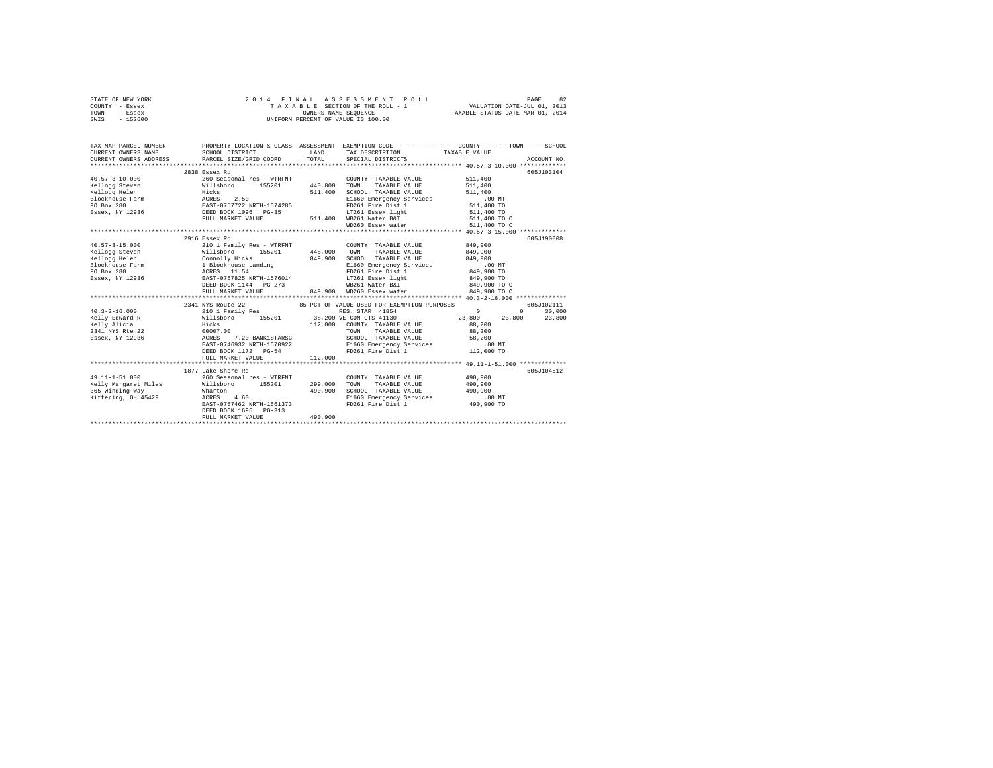|      | STATE OF NEW YORK |  |  | 2014 FINAL ASSESSMENT ROLL         | PAGE                             | 82 |
|------|-------------------|--|--|------------------------------------|----------------------------------|----|
|      | COUNTY - Essex    |  |  | TAXABLE SECTION OF THE ROLL - 1    | VALUATION DATE-JUL 01, 2013      |    |
| TOWN | - Essex           |  |  | OWNERS NAME SEOUENCE               | TAXABLE STATUS DATE-MAR 01, 2014 |    |
| SWIS | - 152600          |  |  | UNIFORM PERCENT OF VALUE IS 100.00 |                                  |    |

| 2838 Essex Rd<br>605J103104<br>$\texttt{k0.57-3-10.000} \begin{minipage}{0.9\textwidth} \begin{minipage}{0.9\textwidth} \begin{minipage}{0.9\textwidth} \begin{minipage}{0.9\textwidth} \begin{minipage}{0.9\textwidth} \begin{minipage}{0.9\textwidth} \begin{minipage}{0.9\textwidth} \begin{minipage}{0.9\textwidth} \begin{minipage}{0.9\textwidth} \begin{minipage}{0.9\textwidth} \begin{minipage}{0.9\textwidth} \begin{minipage}{0.9\textwidth} \begin{minipage}{0.9\textwidth} \begin{minipage}{0.9\textwidth} \begin{minip$<br>511,400<br>COUNTY TAXABLE VALUE<br>511,400<br>SCHOOL TAXABLE VALUE<br>511,400<br>E1660 Emergency Services .00 MT<br>FD261 Fire Dist 1 511,400 TO<br>LT261 Essex light 511,400 TO<br>FD261 Fire Dist 1<br>LT261 Essex light<br>511,400 WB261 Water B&I 511,400 TO C<br>FULL MARKET VALUE<br>605J190008<br>2916 Essex Rd<br>210 1 Family Res - WTRFNT<br>COUNTY TAXABLE VALUE 849,900<br>155201 448,000 TOWN<br>Example 2011 2012<br>Example 2012 2014<br>Example 2012 2014<br>Example 2012 2014<br>Example 2013<br>PO Box 280<br>2013 2014<br>2014<br>2014 2021<br>2014<br>2014<br>2014<br>2014<br>2014<br>2014<br>2014<br>2014<br>2014<br>2014<br>2014<br>2014<br>2014<br>2014<br>2014<br>20<br>TAXABLE VALUE<br>849,900<br>849,900<br>SCHOOL TAXABLE VALUE<br>849,900<br>LT261 Essex light<br>849,900 TO<br>849,900 TO C<br>WB261 Water B&I<br>849,900 WD260 Essex water 849,900 TO C<br>FULL MARKET VALUE<br>2341 NYS Route 22 65 PCT OF VALUE USED FOR EXEMPTION PURPOSES<br>605J102111<br>210 1 Family Res<br>$\sim$ 0 $\sim$ 0 $\sim$ 0 $\sim$ 0 $\sim$ 0 $\sim$ 0 $\sim$ 0 $\sim$ 0 $\sim$ 0 $\sim$ 0 $\sim$ 0 $\sim$ 0 $\sim$ 0 $\sim$ 0 $\sim$ 0 $\sim$ 0 $\sim$ 0 $\sim$ 0 $\sim$ 0 $\sim$ 0 $\sim$ 0 $\sim$ 0 $\sim$ 0 $\sim$ 0 $\sim$ 0 $\sim$ 0 $\sim$ 0 $\sim$ 0 $\sim$ 0 $\sim$ 0 $\sim$ 0 $\sim$<br>30,000<br>$40.3 - 2 - 16.000$<br>RES. STAR 41854<br>$\Omega$<br>Willsboro 155201 38,200 VETCOM CTS 41130 23,800 23,800<br>Kelly Edward R<br>23,800<br>Hicks<br>00007.00<br>112,000 COUNTY TAXABLE VALUE<br>TOWN TAXABLE VALUE<br>Kelly Alicia L<br>2241 NVS Rte 22<br>88,200<br>88,200<br><b>ACRES</b><br>7.20 BANK1STARSG<br>SCHOOL TAXABLE VALUE 58,200<br>Essex, NY 12936<br>$\tt \t\tt{EAST-0746932 NRTH-1570922} \hspace{3.2cm} \t\tt E1660 Energy Services \hspace{3.2cm} \t\tt{SPT20 172 172 173 174.000 TO}$<br>1877 Lake Shore Rd<br>605J104512<br>$49.11 - 1 - 51.000$<br>260 Seasonal res - WTRFNT<br>490,900<br>490,900<br>490,900<br>SCHOOL TAXABLE VALUE 490,900<br>365 Winding Way<br>Wharton<br>Kittering, OH 45429 ACRES 4.60<br>E1660 Emergency Services .00 MT<br>FD261 Fire Dist 1 490,900 TO<br>EAST-0757462 NRTH-1561373<br>DEED BOOK 1695 PG-313<br>490,900<br>FULL MARKET VALUE | TAX MAP PARCEL NUMBER<br>$\begin{tabular}{lllllllll} \textbf{CURRENT} & \textbf{ONRETS} & \textbf{SCHODL DISTRICT} & \textbf{LAND} & \textbf{TA} \textbf{B} \textbf{SCRIPTION} & \textbf{TA} \textbf{X} \textbf{A} \textbf{B} \textbf{B} & \textbf{TA} \textbf{X} \textbf{A} \textbf{B} \textbf{B} & \textbf{NA} \textbf{B} \textbf{B} & \textbf{NA} \textbf{B} \textbf{B} \textbf{B} & \textbf{NA} \textbf{B} \textbf{B} \textbf{B} & \textbf{NA} \textbf{B} \$ |  | PROPERTY LOCATION & CLASS ASSESSMENT EXEMPTION CODE---------------COUNTY-------TOWN------SCHOOL |  |
|---------------------------------------------------------------------------------------------------------------------------------------------------------------------------------------------------------------------------------------------------------------------------------------------------------------------------------------------------------------------------------------------------------------------------------------------------------------------------------------------------------------------------------------------------------------------------------------------------------------------------------------------------------------------------------------------------------------------------------------------------------------------------------------------------------------------------------------------------------------------------------------------------------------------------------------------------------------------------------------------------------------------------------------------------------------------------------------------------------------------------------------------------------------------------------------------------------------------------------------------------------------------------------------------------------------------------------------------------------------------------------------------------------------------------------------------------------------------------------------------------------------------------------------------------------------------------------------------------------------------------------------------------------------------------------------------------------------------------------------------------------------------------------------------------------------------------------------------------------------------------------------------------------------------------------------------------------------------------------------------------------------------------------------------------------------------------------------------------------------------------------------------------------------------------------------------------------------------------------------------------------------------------------------------------------------------------------------------------------------------------------------------------------------------------------------------------------------------------------------------------------------------------------------------------------------------------------------------------------------------------------------------------------------------------------------------------------------------------------------------------------------------|------------------------------------------------------------------------------------------------------------------------------------------------------------------------------------------------------------------------------------------------------------------------------------------------------------------------------------------------------------------------------------------------------------------------------------------------------------------|--|-------------------------------------------------------------------------------------------------|--|
|                                                                                                                                                                                                                                                                                                                                                                                                                                                                                                                                                                                                                                                                                                                                                                                                                                                                                                                                                                                                                                                                                                                                                                                                                                                                                                                                                                                                                                                                                                                                                                                                                                                                                                                                                                                                                                                                                                                                                                                                                                                                                                                                                                                                                                                                                                                                                                                                                                                                                                                                                                                                                                                                                                                                                                     |                                                                                                                                                                                                                                                                                                                                                                                                                                                                  |  |                                                                                                 |  |
|                                                                                                                                                                                                                                                                                                                                                                                                                                                                                                                                                                                                                                                                                                                                                                                                                                                                                                                                                                                                                                                                                                                                                                                                                                                                                                                                                                                                                                                                                                                                                                                                                                                                                                                                                                                                                                                                                                                                                                                                                                                                                                                                                                                                                                                                                                                                                                                                                                                                                                                                                                                                                                                                                                                                                                     |                                                                                                                                                                                                                                                                                                                                                                                                                                                                  |  |                                                                                                 |  |
|                                                                                                                                                                                                                                                                                                                                                                                                                                                                                                                                                                                                                                                                                                                                                                                                                                                                                                                                                                                                                                                                                                                                                                                                                                                                                                                                                                                                                                                                                                                                                                                                                                                                                                                                                                                                                                                                                                                                                                                                                                                                                                                                                                                                                                                                                                                                                                                                                                                                                                                                                                                                                                                                                                                                                                     |                                                                                                                                                                                                                                                                                                                                                                                                                                                                  |  |                                                                                                 |  |
|                                                                                                                                                                                                                                                                                                                                                                                                                                                                                                                                                                                                                                                                                                                                                                                                                                                                                                                                                                                                                                                                                                                                                                                                                                                                                                                                                                                                                                                                                                                                                                                                                                                                                                                                                                                                                                                                                                                                                                                                                                                                                                                                                                                                                                                                                                                                                                                                                                                                                                                                                                                                                                                                                                                                                                     |                                                                                                                                                                                                                                                                                                                                                                                                                                                                  |  |                                                                                                 |  |
|                                                                                                                                                                                                                                                                                                                                                                                                                                                                                                                                                                                                                                                                                                                                                                                                                                                                                                                                                                                                                                                                                                                                                                                                                                                                                                                                                                                                                                                                                                                                                                                                                                                                                                                                                                                                                                                                                                                                                                                                                                                                                                                                                                                                                                                                                                                                                                                                                                                                                                                                                                                                                                                                                                                                                                     |                                                                                                                                                                                                                                                                                                                                                                                                                                                                  |  |                                                                                                 |  |
|                                                                                                                                                                                                                                                                                                                                                                                                                                                                                                                                                                                                                                                                                                                                                                                                                                                                                                                                                                                                                                                                                                                                                                                                                                                                                                                                                                                                                                                                                                                                                                                                                                                                                                                                                                                                                                                                                                                                                                                                                                                                                                                                                                                                                                                                                                                                                                                                                                                                                                                                                                                                                                                                                                                                                                     |                                                                                                                                                                                                                                                                                                                                                                                                                                                                  |  |                                                                                                 |  |
|                                                                                                                                                                                                                                                                                                                                                                                                                                                                                                                                                                                                                                                                                                                                                                                                                                                                                                                                                                                                                                                                                                                                                                                                                                                                                                                                                                                                                                                                                                                                                                                                                                                                                                                                                                                                                                                                                                                                                                                                                                                                                                                                                                                                                                                                                                                                                                                                                                                                                                                                                                                                                                                                                                                                                                     |                                                                                                                                                                                                                                                                                                                                                                                                                                                                  |  |                                                                                                 |  |
|                                                                                                                                                                                                                                                                                                                                                                                                                                                                                                                                                                                                                                                                                                                                                                                                                                                                                                                                                                                                                                                                                                                                                                                                                                                                                                                                                                                                                                                                                                                                                                                                                                                                                                                                                                                                                                                                                                                                                                                                                                                                                                                                                                                                                                                                                                                                                                                                                                                                                                                                                                                                                                                                                                                                                                     |                                                                                                                                                                                                                                                                                                                                                                                                                                                                  |  |                                                                                                 |  |
|                                                                                                                                                                                                                                                                                                                                                                                                                                                                                                                                                                                                                                                                                                                                                                                                                                                                                                                                                                                                                                                                                                                                                                                                                                                                                                                                                                                                                                                                                                                                                                                                                                                                                                                                                                                                                                                                                                                                                                                                                                                                                                                                                                                                                                                                                                                                                                                                                                                                                                                                                                                                                                                                                                                                                                     |                                                                                                                                                                                                                                                                                                                                                                                                                                                                  |  |                                                                                                 |  |
|                                                                                                                                                                                                                                                                                                                                                                                                                                                                                                                                                                                                                                                                                                                                                                                                                                                                                                                                                                                                                                                                                                                                                                                                                                                                                                                                                                                                                                                                                                                                                                                                                                                                                                                                                                                                                                                                                                                                                                                                                                                                                                                                                                                                                                                                                                                                                                                                                                                                                                                                                                                                                                                                                                                                                                     |                                                                                                                                                                                                                                                                                                                                                                                                                                                                  |  |                                                                                                 |  |
|                                                                                                                                                                                                                                                                                                                                                                                                                                                                                                                                                                                                                                                                                                                                                                                                                                                                                                                                                                                                                                                                                                                                                                                                                                                                                                                                                                                                                                                                                                                                                                                                                                                                                                                                                                                                                                                                                                                                                                                                                                                                                                                                                                                                                                                                                                                                                                                                                                                                                                                                                                                                                                                                                                                                                                     |                                                                                                                                                                                                                                                                                                                                                                                                                                                                  |  |                                                                                                 |  |
|                                                                                                                                                                                                                                                                                                                                                                                                                                                                                                                                                                                                                                                                                                                                                                                                                                                                                                                                                                                                                                                                                                                                                                                                                                                                                                                                                                                                                                                                                                                                                                                                                                                                                                                                                                                                                                                                                                                                                                                                                                                                                                                                                                                                                                                                                                                                                                                                                                                                                                                                                                                                                                                                                                                                                                     | $40.57 - 3 - 15.000$                                                                                                                                                                                                                                                                                                                                                                                                                                             |  |                                                                                                 |  |
|                                                                                                                                                                                                                                                                                                                                                                                                                                                                                                                                                                                                                                                                                                                                                                                                                                                                                                                                                                                                                                                                                                                                                                                                                                                                                                                                                                                                                                                                                                                                                                                                                                                                                                                                                                                                                                                                                                                                                                                                                                                                                                                                                                                                                                                                                                                                                                                                                                                                                                                                                                                                                                                                                                                                                                     |                                                                                                                                                                                                                                                                                                                                                                                                                                                                  |  |                                                                                                 |  |
|                                                                                                                                                                                                                                                                                                                                                                                                                                                                                                                                                                                                                                                                                                                                                                                                                                                                                                                                                                                                                                                                                                                                                                                                                                                                                                                                                                                                                                                                                                                                                                                                                                                                                                                                                                                                                                                                                                                                                                                                                                                                                                                                                                                                                                                                                                                                                                                                                                                                                                                                                                                                                                                                                                                                                                     |                                                                                                                                                                                                                                                                                                                                                                                                                                                                  |  |                                                                                                 |  |
|                                                                                                                                                                                                                                                                                                                                                                                                                                                                                                                                                                                                                                                                                                                                                                                                                                                                                                                                                                                                                                                                                                                                                                                                                                                                                                                                                                                                                                                                                                                                                                                                                                                                                                                                                                                                                                                                                                                                                                                                                                                                                                                                                                                                                                                                                                                                                                                                                                                                                                                                                                                                                                                                                                                                                                     |                                                                                                                                                                                                                                                                                                                                                                                                                                                                  |  |                                                                                                 |  |
|                                                                                                                                                                                                                                                                                                                                                                                                                                                                                                                                                                                                                                                                                                                                                                                                                                                                                                                                                                                                                                                                                                                                                                                                                                                                                                                                                                                                                                                                                                                                                                                                                                                                                                                                                                                                                                                                                                                                                                                                                                                                                                                                                                                                                                                                                                                                                                                                                                                                                                                                                                                                                                                                                                                                                                     |                                                                                                                                                                                                                                                                                                                                                                                                                                                                  |  |                                                                                                 |  |
|                                                                                                                                                                                                                                                                                                                                                                                                                                                                                                                                                                                                                                                                                                                                                                                                                                                                                                                                                                                                                                                                                                                                                                                                                                                                                                                                                                                                                                                                                                                                                                                                                                                                                                                                                                                                                                                                                                                                                                                                                                                                                                                                                                                                                                                                                                                                                                                                                                                                                                                                                                                                                                                                                                                                                                     |                                                                                                                                                                                                                                                                                                                                                                                                                                                                  |  |                                                                                                 |  |
|                                                                                                                                                                                                                                                                                                                                                                                                                                                                                                                                                                                                                                                                                                                                                                                                                                                                                                                                                                                                                                                                                                                                                                                                                                                                                                                                                                                                                                                                                                                                                                                                                                                                                                                                                                                                                                                                                                                                                                                                                                                                                                                                                                                                                                                                                                                                                                                                                                                                                                                                                                                                                                                                                                                                                                     |                                                                                                                                                                                                                                                                                                                                                                                                                                                                  |  |                                                                                                 |  |
|                                                                                                                                                                                                                                                                                                                                                                                                                                                                                                                                                                                                                                                                                                                                                                                                                                                                                                                                                                                                                                                                                                                                                                                                                                                                                                                                                                                                                                                                                                                                                                                                                                                                                                                                                                                                                                                                                                                                                                                                                                                                                                                                                                                                                                                                                                                                                                                                                                                                                                                                                                                                                                                                                                                                                                     |                                                                                                                                                                                                                                                                                                                                                                                                                                                                  |  |                                                                                                 |  |
|                                                                                                                                                                                                                                                                                                                                                                                                                                                                                                                                                                                                                                                                                                                                                                                                                                                                                                                                                                                                                                                                                                                                                                                                                                                                                                                                                                                                                                                                                                                                                                                                                                                                                                                                                                                                                                                                                                                                                                                                                                                                                                                                                                                                                                                                                                                                                                                                                                                                                                                                                                                                                                                                                                                                                                     |                                                                                                                                                                                                                                                                                                                                                                                                                                                                  |  |                                                                                                 |  |
|                                                                                                                                                                                                                                                                                                                                                                                                                                                                                                                                                                                                                                                                                                                                                                                                                                                                                                                                                                                                                                                                                                                                                                                                                                                                                                                                                                                                                                                                                                                                                                                                                                                                                                                                                                                                                                                                                                                                                                                                                                                                                                                                                                                                                                                                                                                                                                                                                                                                                                                                                                                                                                                                                                                                                                     |                                                                                                                                                                                                                                                                                                                                                                                                                                                                  |  |                                                                                                 |  |
|                                                                                                                                                                                                                                                                                                                                                                                                                                                                                                                                                                                                                                                                                                                                                                                                                                                                                                                                                                                                                                                                                                                                                                                                                                                                                                                                                                                                                                                                                                                                                                                                                                                                                                                                                                                                                                                                                                                                                                                                                                                                                                                                                                                                                                                                                                                                                                                                                                                                                                                                                                                                                                                                                                                                                                     |                                                                                                                                                                                                                                                                                                                                                                                                                                                                  |  |                                                                                                 |  |
|                                                                                                                                                                                                                                                                                                                                                                                                                                                                                                                                                                                                                                                                                                                                                                                                                                                                                                                                                                                                                                                                                                                                                                                                                                                                                                                                                                                                                                                                                                                                                                                                                                                                                                                                                                                                                                                                                                                                                                                                                                                                                                                                                                                                                                                                                                                                                                                                                                                                                                                                                                                                                                                                                                                                                                     |                                                                                                                                                                                                                                                                                                                                                                                                                                                                  |  |                                                                                                 |  |
|                                                                                                                                                                                                                                                                                                                                                                                                                                                                                                                                                                                                                                                                                                                                                                                                                                                                                                                                                                                                                                                                                                                                                                                                                                                                                                                                                                                                                                                                                                                                                                                                                                                                                                                                                                                                                                                                                                                                                                                                                                                                                                                                                                                                                                                                                                                                                                                                                                                                                                                                                                                                                                                                                                                                                                     |                                                                                                                                                                                                                                                                                                                                                                                                                                                                  |  |                                                                                                 |  |
|                                                                                                                                                                                                                                                                                                                                                                                                                                                                                                                                                                                                                                                                                                                                                                                                                                                                                                                                                                                                                                                                                                                                                                                                                                                                                                                                                                                                                                                                                                                                                                                                                                                                                                                                                                                                                                                                                                                                                                                                                                                                                                                                                                                                                                                                                                                                                                                                                                                                                                                                                                                                                                                                                                                                                                     |                                                                                                                                                                                                                                                                                                                                                                                                                                                                  |  |                                                                                                 |  |
|                                                                                                                                                                                                                                                                                                                                                                                                                                                                                                                                                                                                                                                                                                                                                                                                                                                                                                                                                                                                                                                                                                                                                                                                                                                                                                                                                                                                                                                                                                                                                                                                                                                                                                                                                                                                                                                                                                                                                                                                                                                                                                                                                                                                                                                                                                                                                                                                                                                                                                                                                                                                                                                                                                                                                                     |                                                                                                                                                                                                                                                                                                                                                                                                                                                                  |  |                                                                                                 |  |
|                                                                                                                                                                                                                                                                                                                                                                                                                                                                                                                                                                                                                                                                                                                                                                                                                                                                                                                                                                                                                                                                                                                                                                                                                                                                                                                                                                                                                                                                                                                                                                                                                                                                                                                                                                                                                                                                                                                                                                                                                                                                                                                                                                                                                                                                                                                                                                                                                                                                                                                                                                                                                                                                                                                                                                     |                                                                                                                                                                                                                                                                                                                                                                                                                                                                  |  |                                                                                                 |  |
|                                                                                                                                                                                                                                                                                                                                                                                                                                                                                                                                                                                                                                                                                                                                                                                                                                                                                                                                                                                                                                                                                                                                                                                                                                                                                                                                                                                                                                                                                                                                                                                                                                                                                                                                                                                                                                                                                                                                                                                                                                                                                                                                                                                                                                                                                                                                                                                                                                                                                                                                                                                                                                                                                                                                                                     |                                                                                                                                                                                                                                                                                                                                                                                                                                                                  |  |                                                                                                 |  |
|                                                                                                                                                                                                                                                                                                                                                                                                                                                                                                                                                                                                                                                                                                                                                                                                                                                                                                                                                                                                                                                                                                                                                                                                                                                                                                                                                                                                                                                                                                                                                                                                                                                                                                                                                                                                                                                                                                                                                                                                                                                                                                                                                                                                                                                                                                                                                                                                                                                                                                                                                                                                                                                                                                                                                                     |                                                                                                                                                                                                                                                                                                                                                                                                                                                                  |  |                                                                                                 |  |
|                                                                                                                                                                                                                                                                                                                                                                                                                                                                                                                                                                                                                                                                                                                                                                                                                                                                                                                                                                                                                                                                                                                                                                                                                                                                                                                                                                                                                                                                                                                                                                                                                                                                                                                                                                                                                                                                                                                                                                                                                                                                                                                                                                                                                                                                                                                                                                                                                                                                                                                                                                                                                                                                                                                                                                     |                                                                                                                                                                                                                                                                                                                                                                                                                                                                  |  |                                                                                                 |  |
|                                                                                                                                                                                                                                                                                                                                                                                                                                                                                                                                                                                                                                                                                                                                                                                                                                                                                                                                                                                                                                                                                                                                                                                                                                                                                                                                                                                                                                                                                                                                                                                                                                                                                                                                                                                                                                                                                                                                                                                                                                                                                                                                                                                                                                                                                                                                                                                                                                                                                                                                                                                                                                                                                                                                                                     |                                                                                                                                                                                                                                                                                                                                                                                                                                                                  |  |                                                                                                 |  |
|                                                                                                                                                                                                                                                                                                                                                                                                                                                                                                                                                                                                                                                                                                                                                                                                                                                                                                                                                                                                                                                                                                                                                                                                                                                                                                                                                                                                                                                                                                                                                                                                                                                                                                                                                                                                                                                                                                                                                                                                                                                                                                                                                                                                                                                                                                                                                                                                                                                                                                                                                                                                                                                                                                                                                                     |                                                                                                                                                                                                                                                                                                                                                                                                                                                                  |  |                                                                                                 |  |
|                                                                                                                                                                                                                                                                                                                                                                                                                                                                                                                                                                                                                                                                                                                                                                                                                                                                                                                                                                                                                                                                                                                                                                                                                                                                                                                                                                                                                                                                                                                                                                                                                                                                                                                                                                                                                                                                                                                                                                                                                                                                                                                                                                                                                                                                                                                                                                                                                                                                                                                                                                                                                                                                                                                                                                     |                                                                                                                                                                                                                                                                                                                                                                                                                                                                  |  |                                                                                                 |  |
|                                                                                                                                                                                                                                                                                                                                                                                                                                                                                                                                                                                                                                                                                                                                                                                                                                                                                                                                                                                                                                                                                                                                                                                                                                                                                                                                                                                                                                                                                                                                                                                                                                                                                                                                                                                                                                                                                                                                                                                                                                                                                                                                                                                                                                                                                                                                                                                                                                                                                                                                                                                                                                                                                                                                                                     |                                                                                                                                                                                                                                                                                                                                                                                                                                                                  |  |                                                                                                 |  |
|                                                                                                                                                                                                                                                                                                                                                                                                                                                                                                                                                                                                                                                                                                                                                                                                                                                                                                                                                                                                                                                                                                                                                                                                                                                                                                                                                                                                                                                                                                                                                                                                                                                                                                                                                                                                                                                                                                                                                                                                                                                                                                                                                                                                                                                                                                                                                                                                                                                                                                                                                                                                                                                                                                                                                                     |                                                                                                                                                                                                                                                                                                                                                                                                                                                                  |  |                                                                                                 |  |
|                                                                                                                                                                                                                                                                                                                                                                                                                                                                                                                                                                                                                                                                                                                                                                                                                                                                                                                                                                                                                                                                                                                                                                                                                                                                                                                                                                                                                                                                                                                                                                                                                                                                                                                                                                                                                                                                                                                                                                                                                                                                                                                                                                                                                                                                                                                                                                                                                                                                                                                                                                                                                                                                                                                                                                     |                                                                                                                                                                                                                                                                                                                                                                                                                                                                  |  |                                                                                                 |  |
|                                                                                                                                                                                                                                                                                                                                                                                                                                                                                                                                                                                                                                                                                                                                                                                                                                                                                                                                                                                                                                                                                                                                                                                                                                                                                                                                                                                                                                                                                                                                                                                                                                                                                                                                                                                                                                                                                                                                                                                                                                                                                                                                                                                                                                                                                                                                                                                                                                                                                                                                                                                                                                                                                                                                                                     |                                                                                                                                                                                                                                                                                                                                                                                                                                                                  |  |                                                                                                 |  |
|                                                                                                                                                                                                                                                                                                                                                                                                                                                                                                                                                                                                                                                                                                                                                                                                                                                                                                                                                                                                                                                                                                                                                                                                                                                                                                                                                                                                                                                                                                                                                                                                                                                                                                                                                                                                                                                                                                                                                                                                                                                                                                                                                                                                                                                                                                                                                                                                                                                                                                                                                                                                                                                                                                                                                                     |                                                                                                                                                                                                                                                                                                                                                                                                                                                                  |  |                                                                                                 |  |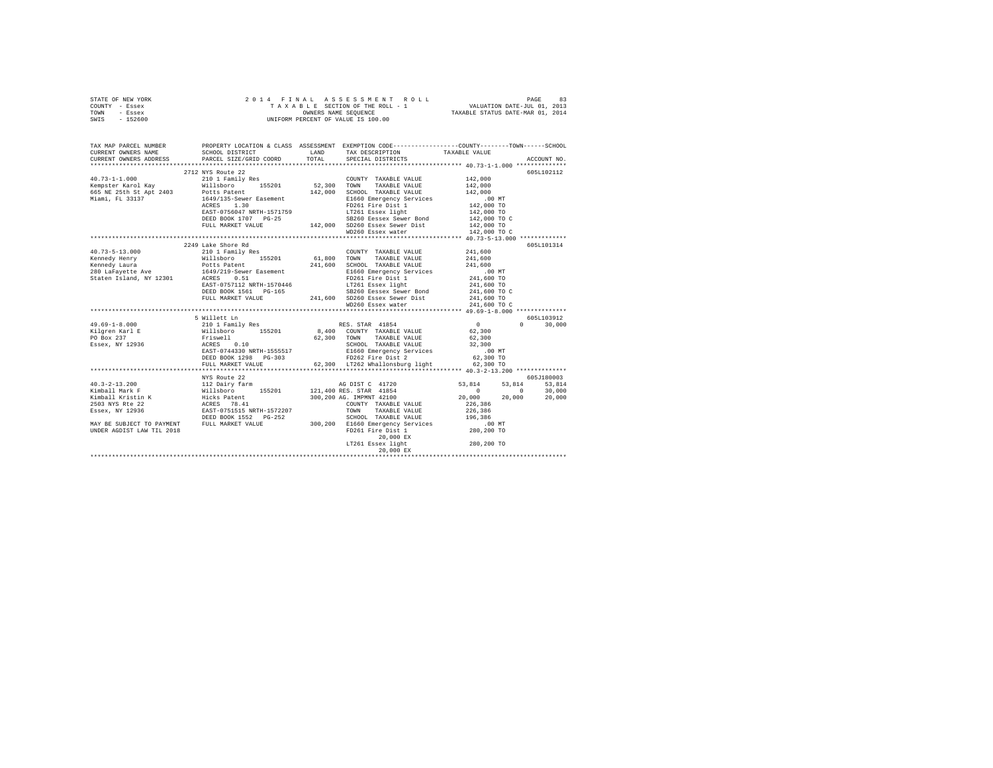|      | STATE OF NEW YORK |  | 2014 FINAL ASSESSMENT ROLL         | 83<br>PAGE                       |
|------|-------------------|--|------------------------------------|----------------------------------|
|      | COUNTY - Essex    |  | TAXABLE SECTION OF THE ROLL - 1    | VALUATION DATE-JUL 01, 2013      |
| TOWN | - Essex           |  | OWNERS NAME SEOUENCE               | TAXABLE STATUS DATE-MAR 01, 2014 |
| SWIS | - 152600          |  | UNIFORM PERCENT OF VALUE IS 100.00 |                                  |

| TAX MAP PARCEL NUMBER<br>CURRENT OWNERS NAME<br>CURRENT OWNERS ADDRESS | SCHOOL DISTRICT<br>PARCEL SIZE/GRID COORD                                                                                                                                             | TOTAL | PROPERTY LOCATION & CLASS ASSESSMENT EXEMPTION CODE---------------COUNTY-------TOWN-----SCHOOL<br>LAND TAX DESCRIPTION<br>SPECIAL DISTRICTS                                                                                             | TAXABLE VALUE                                | ACCOUNT NO.                                                  |
|------------------------------------------------------------------------|---------------------------------------------------------------------------------------------------------------------------------------------------------------------------------------|-------|-----------------------------------------------------------------------------------------------------------------------------------------------------------------------------------------------------------------------------------------|----------------------------------------------|--------------------------------------------------------------|
|                                                                        |                                                                                                                                                                                       |       |                                                                                                                                                                                                                                         |                                              |                                                              |
|                                                                        | 2712 NYS Route 22                                                                                                                                                                     |       |                                                                                                                                                                                                                                         |                                              | 605L102112                                                   |
|                                                                        | 40.73-1-1.000 2/12 NYS KOUE 22<br>40.73-1-1.000 2/12 NYS 210 1 Family Res COUNTY TAXABLE VALUE 142,000<br>26.300 TOWN TAXABLE VALUE 142,000 2012 142,000 2014                         |       |                                                                                                                                                                                                                                         | 142,000                                      |                                                              |
|                                                                        |                                                                                                                                                                                       |       |                                                                                                                                                                                                                                         |                                              |                                                              |
|                                                                        |                                                                                                                                                                                       |       |                                                                                                                                                                                                                                         |                                              |                                                              |
|                                                                        | 665 NE 25th St Apt 2403 Potts Patent<br>Miami, FL 33137 1649/135-Sewer Easement<br>Miami, FL 33137 1649/135-Sewer Easement                                                            |       | 142,000 SCHOOL TAXABLE VALUE<br>E1660 Emergency Services                                                                                                                                                                                |                                              |                                                              |
|                                                                        |                                                                                                                                                                                       |       |                                                                                                                                                                                                                                         |                                              |                                                              |
|                                                                        | EAST-0756047 NRTH-1571759                                                                                                                                                             |       | FD261 Fire Dist 1<br>LT261 Essex light                                                                                                                                                                                                  | 142,000<br>00 MT<br>142,000 TO<br>142,000 TO |                                                              |
|                                                                        |                                                                                                                                                                                       |       | EXED BOOK 1707 PG-25<br>DEED BOOK 1707 PG-25<br>TULL MARKET VALUE 142,000 SD260 Essex Sewer Bond<br>SD260 Essex water                                                                                                                   | 142,000 TO C<br>142,000 TO                   |                                                              |
|                                                                        |                                                                                                                                                                                       |       |                                                                                                                                                                                                                                         |                                              |                                                              |
|                                                                        |                                                                                                                                                                                       |       |                                                                                                                                                                                                                                         | 142,000 TO C                                 |                                                              |
|                                                                        |                                                                                                                                                                                       |       |                                                                                                                                                                                                                                         |                                              |                                                              |
|                                                                        | 2249 Lake Shore Rd                                                                                                                                                                    |       |                                                                                                                                                                                                                                         |                                              | 605L101314                                                   |
|                                                                        |                                                                                                                                                                                       |       | COUNTY TAXABLE VALUE                                                                                                                                                                                                                    | 241,600                                      |                                                              |
|                                                                        |                                                                                                                                                                                       |       | TAXABLE VALUE                                                                                                                                                                                                                           | 241,600                                      |                                                              |
|                                                                        |                                                                                                                                                                                       |       |                                                                                                                                                                                                                                         |                                              |                                                              |
|                                                                        |                                                                                                                                                                                       |       |                                                                                                                                                                                                                                         |                                              |                                                              |
|                                                                        | EAST-0757112 NRTH-1570446                                                                                                                                                             |       |                                                                                                                                                                                                                                         |                                              |                                                              |
|                                                                        |                                                                                                                                                                                       |       |                                                                                                                                                                                                                                         |                                              |                                                              |
|                                                                        |                                                                                                                                                                                       |       |                                                                                                                                                                                                                                         |                                              |                                                              |
|                                                                        |                                                                                                                                                                                       |       |                                                                                                                                                                                                                                         |                                              |                                                              |
|                                                                        |                                                                                                                                                                                       |       | EAST-0757112 NRTH-1570440<br>DEED BOOK 1561 PG-165<br>PULL MARKET VALUE 241,600 SD260 Essex Sewer Dist<br>MD260 Essex water (241,600 TO C<br>MD260 Essex water (241,600 TO C 241,600 TO C<br>MD260 Essex water (241,600 TO C 241,600 TO |                                              |                                                              |
|                                                                        | 5 Willett Ln                                                                                                                                                                          |       |                                                                                                                                                                                                                                         |                                              | 605L103912                                                   |
| $49.69 - 1 - 8.000$                                                    |                                                                                                                                                                                       |       |                                                                                                                                                                                                                                         |                                              | $0 \t 30.000$                                                |
| Kilgren Karl E                                                         |                                                                                                                                                                                       |       |                                                                                                                                                                                                                                         |                                              |                                                              |
| PO Box 237                                                             |                                                                                                                                                                                       |       |                                                                                                                                                                                                                                         |                                              |                                                              |
| Essex, NY 12936                                                        | $\begin{tabular}{lcccccc} Friswell & & & & & & & 62,300 & TOWN & TAXABLE VALUE & & & & & 62,300 \\ ACRES & 0.10 & & & & & & & SCHOOL & TAXABLE VALUE & & & & 32,300 \\ \end{tabular}$ |       |                                                                                                                                                                                                                                         |                                              |                                                              |
|                                                                        | EAST-0744330 NRTH-1555517                                                                                                                                                             |       |                                                                                                                                                                                                                                         |                                              |                                                              |
|                                                                        | DEED BOOK 1298 PG-303                                                                                                                                                                 |       |                                                                                                                                                                                                                                         |                                              |                                                              |
|                                                                        | FULL MARKET VALUE                                                                                                                                                                     |       | SCHOOL TAXABLE VALUE<br>E1660 Emergency Services<br>FD262 Fire Dist 2 300 TO<br>FD262 Fire Dist 2 300 TO<br>62,300 LT262 Whallonsburg light 62,300 TO                                                                                   |                                              |                                                              |
|                                                                        |                                                                                                                                                                                       |       |                                                                                                                                                                                                                                         |                                              |                                                              |
|                                                                        | NYS Route 22                                                                                                                                                                          |       |                                                                                                                                                                                                                                         |                                              | 605J180003                                                   |
|                                                                        |                                                                                                                                                                                       |       |                                                                                                                                                                                                                                         | $53,814$<br>0                                | 53,814<br>$53,814$ $\begin{smallmatrix} 0 \end{smallmatrix}$ |
|                                                                        |                                                                                                                                                                                       |       |                                                                                                                                                                                                                                         |                                              | 30,000                                                       |
|                                                                        |                                                                                                                                                                                       |       |                                                                                                                                                                                                                                         | 20,000                                       | 20,000<br>20,000                                             |
|                                                                        |                                                                                                                                                                                       |       |                                                                                                                                                                                                                                         | 226,386                                      |                                                              |
|                                                                        |                                                                                                                                                                                       |       | TAXABLE VALUE                                                                                                                                                                                                                           | 226,386                                      |                                                              |
|                                                                        |                                                                                                                                                                                       |       |                                                                                                                                                                                                                                         |                                              |                                                              |
| MAY BE SUBJECT TO PAYMENT FULL MARKET VALUE                            |                                                                                                                                                                                       |       |                                                                                                                                                                                                                                         |                                              |                                                              |
| UNDER AGDIST LAW TIL 2018                                              |                                                                                                                                                                                       |       |                                                                                                                                                                                                                                         |                                              |                                                              |
|                                                                        |                                                                                                                                                                                       |       | 20,000 EX                                                                                                                                                                                                                               |                                              |                                                              |
|                                                                        |                                                                                                                                                                                       |       | LT261 Essex light                                                                                                                                                                                                                       |                                              |                                                              |
|                                                                        |                                                                                                                                                                                       |       |                                                                                                                                                                                                                                         |                                              |                                                              |
|                                                                        |                                                                                                                                                                                       |       |                                                                                                                                                                                                                                         |                                              |                                                              |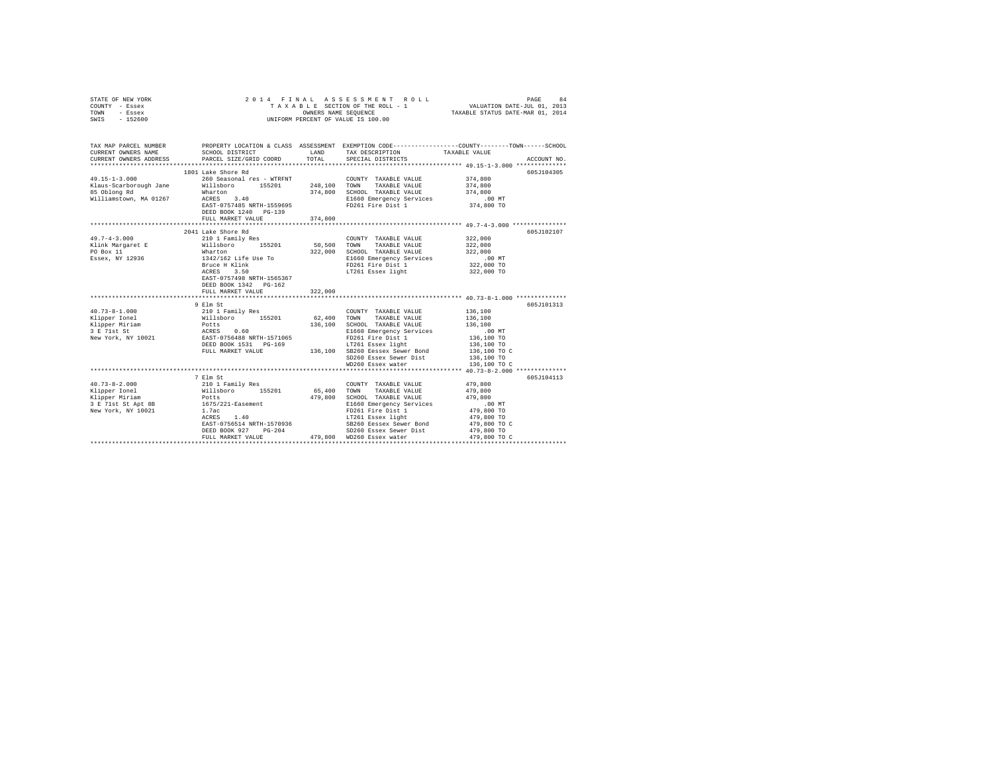| STATE OF NEW YORK<br>COUNTY - Essex<br>TOWN<br>- Essex<br>SWIS - 152600 |                                                                                                      |                        | 2014 FINAL ASSESSMENT ROLL<br>UNIFORM PERCENT OF VALUE IS 100.00                                                                                                             | PAGE<br>84<br>VALUATION DATE-JUL 01, 2013                                                                                                             |
|-------------------------------------------------------------------------|------------------------------------------------------------------------------------------------------|------------------------|------------------------------------------------------------------------------------------------------------------------------------------------------------------------------|-------------------------------------------------------------------------------------------------------------------------------------------------------|
| CURRENT OWNERS NAME<br>CURRENT OWNERS ADDRESS                           | SCHOOL DISTRICT<br>PARCEL SIZE/GRID COORD                                                            | TOTAL                  | LAND TAX DESCRIPTION<br>SPECIAL DISTRICTS                                                                                                                                    | TAX MAP PARCEL NUMBER PROPERTY LOCATION & CLASS ASSESSMENT EXEMPTION CODE---------------COUNTY-------TOWN------SCHOOL<br>TAXABLE VALUE<br>ACCOUNT NO. |
|                                                                         |                                                                                                      |                        |                                                                                                                                                                              |                                                                                                                                                       |
|                                                                         | 1801 Lake Shore Rd                                                                                   |                        |                                                                                                                                                                              | 605J104305                                                                                                                                            |
| $49.15 - 1 - 3.000$<br>Klaus-Scarborough Jane<br>85 Oblong Rd           | 260 Seasonal res - WTRFNT<br>Willsboro 155201<br>Wharton                                             | 248,100 TOWN           | COUNTY TAXABLE VALUE<br>TAXABLE VALUE<br>374,800 SCHOOL TAXABLE VALUE                                                                                                        | 374,800<br>374,800<br>374,800                                                                                                                         |
| Williamstown, MA 01267                                                  | ACRES 3.40<br>EAST-0757485 NRTH-1559695<br>DEED BOOK 1240 PG-139                                     |                        | E1660 Emergency Services<br>FD261 Fire Dist 1                                                                                                                                | .00 MT<br>374,800 TO                                                                                                                                  |
|                                                                         | FULL MARKET VALUE                                                                                    | 374,800                |                                                                                                                                                                              |                                                                                                                                                       |
|                                                                         |                                                                                                      |                        |                                                                                                                                                                              |                                                                                                                                                       |
| $49.7 - 4 - 3.000$                                                      | 2041 Lake Shore Rd<br>210 1 Family Res<br>Willsboro 155201                                           |                        | COUNTY TAXABLE VALUE                                                                                                                                                         | 605J102107<br>322,000                                                                                                                                 |
| Klink Margaret E<br>PO Box 11                                           |                                                                                                      | 50,500 TOWN<br>322,000 | TAXABLE VALUE<br>SCHOOL TAXABLE VALUE                                                                                                                                        | 322,000<br>322,000                                                                                                                                    |
| Essex, NY 12936                                                         | Wharton<br>1342/162 Life Use To                                                                      |                        | E1660 Emergency Services                                                                                                                                                     | .00 MT                                                                                                                                                |
|                                                                         | Bruce H Klink                                                                                        |                        | FD261 Fire Dist 1                                                                                                                                                            | 322,000 TO                                                                                                                                            |
|                                                                         | ACRES 3.50<br>EAST-0757498 NRTH-1565367<br>DEED BOOK 1342 PG-162<br>FULL MARKET VALUE                | 322,000                | LT261 Essex light                                                                                                                                                            | 322,000 TO                                                                                                                                            |
|                                                                         |                                                                                                      |                        |                                                                                                                                                                              |                                                                                                                                                       |
|                                                                         | 9 Elm St                                                                                             |                        |                                                                                                                                                                              | 605J101313                                                                                                                                            |
| $40.73 - 8 - 1.000$                                                     | 210 1 Family Res                                                                                     |                        | COUNTY TAXABLE VALUE                                                                                                                                                         | 136,100                                                                                                                                               |
| Klipper Ionel                                                           | x10<br>Willsboro 155201<br>Potts<br>ACRES 0.60<br>ERST-0756488 NRTH-1571065<br>DEED BOOK 1531 PG-169 | 62.400 TOWN            | TAXABLE VALUE                                                                                                                                                                | 136,100                                                                                                                                               |
| Klipper Miriam<br>3 E 71st St                                           |                                                                                                      |                        | 136,100 SCHOOL TAXABLE VALUE                                                                                                                                                 | 136,100                                                                                                                                               |
|                                                                         |                                                                                                      |                        | E1660 Emergency Services                                                                                                                                                     | .00 MT                                                                                                                                                |
| New York, NY 10021                                                      |                                                                                                      |                        | FD261 Fire Dist 1                                                                                                                                                            | 136,100 TO                                                                                                                                            |
|                                                                         | FULL MARKET VALUE                                                                                    |                        | LT261 Essex light<br>136,100 SB260 Eessex Sewer Bond                                                                                                                         | 136,100 TO<br>136,100 TO C                                                                                                                            |
|                                                                         |                                                                                                      |                        | SD260 Essex Sewer Dist                                                                                                                                                       | 136,100 TO                                                                                                                                            |
|                                                                         |                                                                                                      |                        | WD260 Essex water                                                                                                                                                            | 136,100 TO C                                                                                                                                          |
|                                                                         |                                                                                                      |                        |                                                                                                                                                                              |                                                                                                                                                       |
|                                                                         | 7 Elm St                                                                                             |                        |                                                                                                                                                                              | 605J104113                                                                                                                                            |
| $40.73 - 8 - 2.000$                                                     | 210 1 Family Res<br>Willsboro 155201                                                                 |                        | COUNTY TAXABLE VALUE                                                                                                                                                         | 479,800                                                                                                                                               |
| Klipper Ionel                                                           |                                                                                                      | 65,400 TOWN            | TAXABLE VALUE                                                                                                                                                                | 479,800                                                                                                                                               |
| Klipper Miriam                                                          | Potts<br>1675/221-Easement                                                                           |                        | 479,800 SCHOOL TAXABLE VALUE                                                                                                                                                 | 479,800                                                                                                                                               |
| 3 E 71st St Apt 8B                                                      |                                                                                                      |                        |                                                                                                                                                                              | $.00$ MT                                                                                                                                              |
| New York, NY 10021                                                      | 1.7ac                                                                                                |                        | NAMELE VALUE TRANSILE VALUE E1660 Emergency Services<br>FD261 Fire Dist 1<br>IT261 Essex light<br>SB260 Essex Sever Bond<br>SD260 Essex Sever Bond<br>SD260 Essex Sever Pict | 479,800 TO                                                                                                                                            |
|                                                                         | ACRES 1.40                                                                                           |                        |                                                                                                                                                                              | 479,800 TO                                                                                                                                            |
|                                                                         | EAST-0756514 NRTH-1570936                                                                            |                        |                                                                                                                                                                              | 479,800 TO C                                                                                                                                          |
|                                                                         | DEED BOOK 927 PG-204                                                                                 |                        |                                                                                                                                                                              | 479,800 TO<br>479,800 TO C                                                                                                                            |
|                                                                         | FULL MARKET VALUE                                                                                    |                        | 479,800 WD260 Essex water                                                                                                                                                    |                                                                                                                                                       |
|                                                                         |                                                                                                      |                        |                                                                                                                                                                              |                                                                                                                                                       |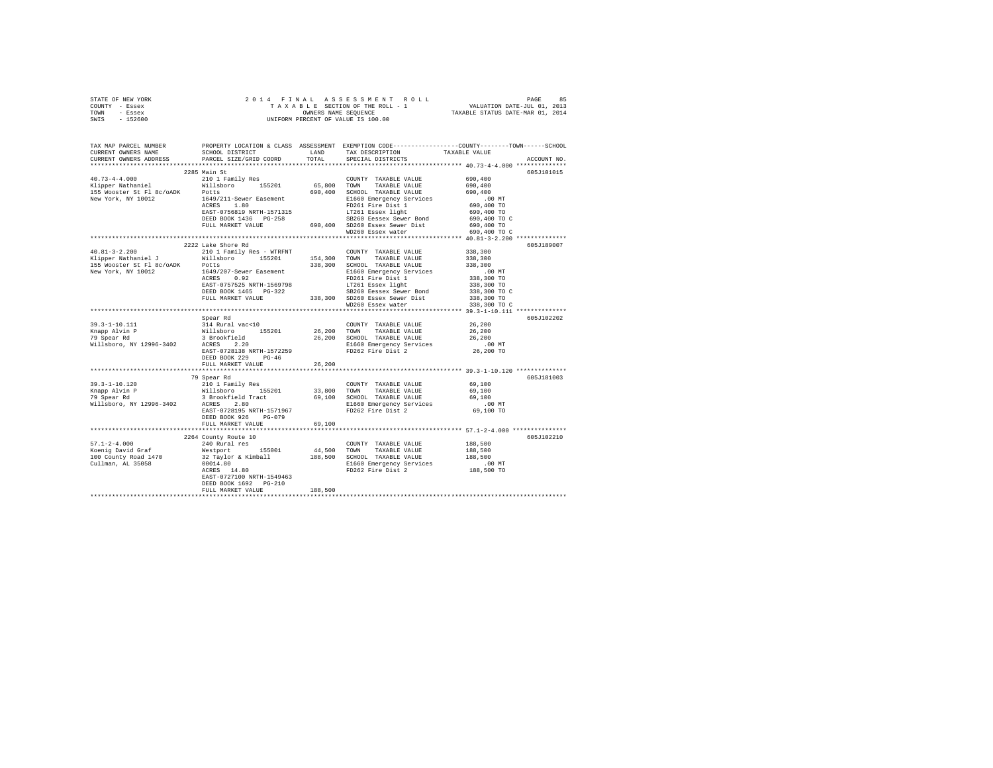|      | STATE OF NEW YORK |  | 2014 FINAL ASSESSMENT ROLL         |                                  | PAGE                        | 85 |
|------|-------------------|--|------------------------------------|----------------------------------|-----------------------------|----|
|      | COUNTY - Essex    |  | TAXABLE SECTION OF THE ROLL - 1    |                                  | VALUATION DATE-JUL 01, 2013 |    |
| TOWN | - Essex           |  | OWNERS NAME SEOUENCE               | TAXABLE STATUS DATE-MAR 01, 2014 |                             |    |
| SWIS | - 152600          |  | UNIFORM PERCENT OF VALUE IS 100.00 |                                  |                             |    |

| TAX MAP PARCEL NUMBER<br>CURRENT OWNERS NAME<br>CURRENT OWNERS ADDRESS | PROPERTY LOCATION & CLASS ASSESSMENT EXEMPTION CODE---------------COUNTY-------TOWN------SCHOOL<br>SCHOOL DISTRICT<br>PARCEL SIZE/GRID COORD                                                                                                                                                                                                                                                                                                                                                           |         | LAND TAX DESCRIPTION<br>TOTAL SPECIAL DISTRICTS                                    | TAXABLE VALUE | ACCOUNT NO. |
|------------------------------------------------------------------------|--------------------------------------------------------------------------------------------------------------------------------------------------------------------------------------------------------------------------------------------------------------------------------------------------------------------------------------------------------------------------------------------------------------------------------------------------------------------------------------------------------|---------|------------------------------------------------------------------------------------|---------------|-------------|
|                                                                        |                                                                                                                                                                                                                                                                                                                                                                                                                                                                                                        |         |                                                                                    |               |             |
|                                                                        | 2285 Main St                                                                                                                                                                                                                                                                                                                                                                                                                                                                                           |         |                                                                                    |               | 605J101015  |
|                                                                        |                                                                                                                                                                                                                                                                                                                                                                                                                                                                                                        |         |                                                                                    |               |             |
|                                                                        |                                                                                                                                                                                                                                                                                                                                                                                                                                                                                                        |         | WD260 Essex water<br>********************************** 40.81-3-2.200 ************ | 690,400 TO C  |             |
|                                                                        | 2222 Lake Shore Rd                                                                                                                                                                                                                                                                                                                                                                                                                                                                                     |         |                                                                                    |               | 605J189007  |
|                                                                        |                                                                                                                                                                                                                                                                                                                                                                                                                                                                                                        |         |                                                                                    |               |             |
|                                                                        |                                                                                                                                                                                                                                                                                                                                                                                                                                                                                                        |         |                                                                                    |               |             |
|                                                                        | Spear Rd                                                                                                                                                                                                                                                                                                                                                                                                                                                                                               |         |                                                                                    |               | 605J102202  |
|                                                                        | DEED BOOK 229 PG-46                                                                                                                                                                                                                                                                                                                                                                                                                                                                                    |         |                                                                                    |               |             |
|                                                                        | FULL MARKET VALUE                                                                                                                                                                                                                                                                                                                                                                                                                                                                                      | 26,200  |                                                                                    |               |             |
|                                                                        | 79 Spear Rd<br>$\begin{array}{lcccc} \texttt{39.3-1-10.120} & \texttt{79 Spectral&TAMABLE VALUE} & \texttt{69.100} \\ \texttt{Knapp} \texttt{Alvin P} & \texttt{2101 Family Res} & \texttt{1010} \\ \texttt{Knapp} \texttt{Alvin P} & \texttt{31.800 TOMN} & \texttt{TAKABLE VALUE} & \texttt{69.100} \\ \texttt{79 Spectral&S. B rootclied Trace} & \texttt{31.800 TOMN} & \texttt{TAKABLE VALUE} & \texttt{69.100} \\ \texttt{79 Spectral&S. B rootclied Trace$<br>DEED BOOK 926 PG-079              |         |                                                                                    |               | 605J181003  |
|                                                                        | FULL MARKET VALUE 69,100                                                                                                                                                                                                                                                                                                                                                                                                                                                                               |         |                                                                                    |               |             |
|                                                                        | 2264 County Route 10                                                                                                                                                                                                                                                                                                                                                                                                                                                                                   |         |                                                                                    |               | 605J102210  |
|                                                                        | $\begin{tabular}{lcccc} 57.1-2-4.000 & & & 240~\texttt{Rural red} & & & 200\texttt{OPT} & \texttt{TAKABLE VALUES} & 188,500\\ \texttt{Koenig David Graf} & & 240~\texttt{Rural red} & & 155001 & & 44,500 & \texttt{TONNT} & \texttt{TAKABLE VALUES} & 188,500\\ \texttt{Koenig David Graf} & & 32~\texttt{Taylor & Kimball1} & 188,500 & \texttt{TAKABLE VALUES} & 188,500\\ \texttt{100 County Road 1470} & & 32~\texttt$<br>EAST-0727100 NRTH-1549463<br>DEED BOOK 1692 PG-210<br>FULL MARKET VALUE | 188,500 |                                                                                    |               |             |
|                                                                        |                                                                                                                                                                                                                                                                                                                                                                                                                                                                                                        |         |                                                                                    |               |             |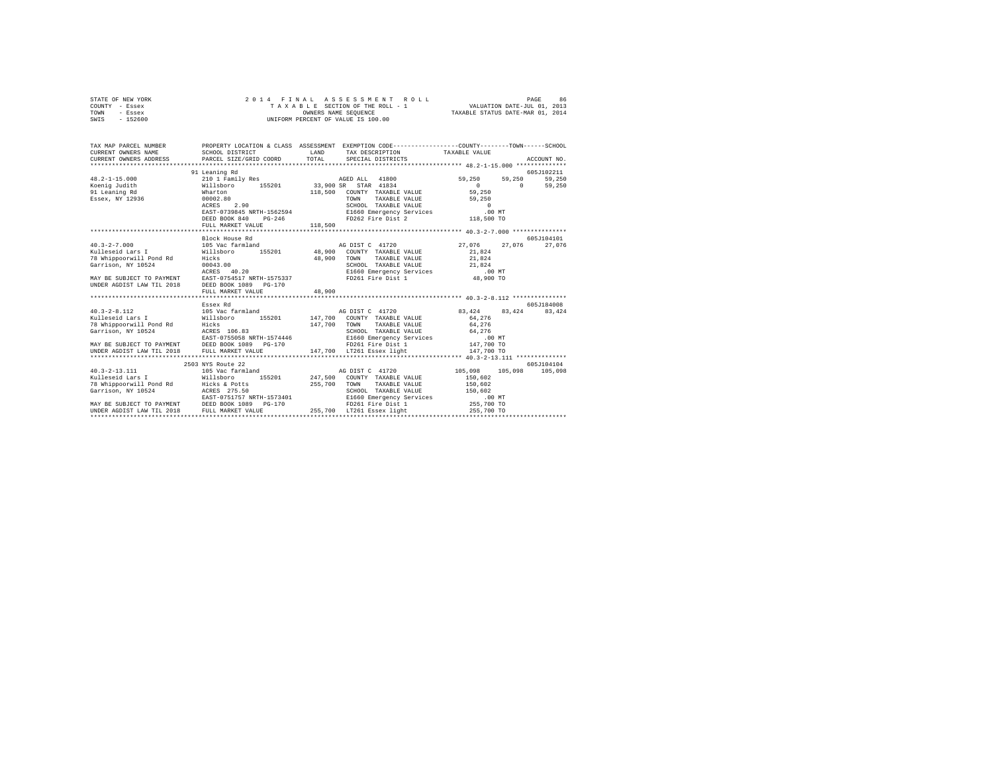| STATE OF NEW YORK                               |                                                                                                 |              | 2014 FINAL ASSESSMENT ROLL                                  |                                                            | PAGE<br>86  |
|-------------------------------------------------|-------------------------------------------------------------------------------------------------|--------------|-------------------------------------------------------------|------------------------------------------------------------|-------------|
| COUNTY - Essex                                  |                                                                                                 |              | TAXABLE SECTION OF THE ROLL - 1 VALUATION DATE-JUL 01, 2013 |                                                            |             |
| TOWN<br>- Essex                                 |                                                                                                 |              | OWNERS NAME SEQUENCE TAXABLE STATUS DATE-MAR 01, 2014       |                                                            |             |
| $SWTS = 152600$                                 |                                                                                                 |              | UNIFORM PERCENT OF VALUE IS 100.00                          |                                                            |             |
|                                                 |                                                                                                 |              |                                                             |                                                            |             |
|                                                 |                                                                                                 |              |                                                             |                                                            |             |
|                                                 |                                                                                                 |              |                                                             |                                                            |             |
| TAX MAP PARCEL NUMBER                           | PROPERTY LOCATION & CLASS ASSESSMENT EXEMPTION CODE----------------COUNTY-------TOWN-----SCHOOL |              |                                                             |                                                            |             |
| CURRENT OWNERS NAME                             | SCHOOL DISTRICT                                                                                 | LAND         | TAX DESCRIPTION TAXABLE VALUE                               |                                                            |             |
| CURRENT OWNERS ADDRESS                          | PARCEL SIZE/GRID COORD TOTAL                                                                    |              | SPECIAL DISTRICTS                                           |                                                            | ACCOUNT NO. |
|                                                 |                                                                                                 |              |                                                             |                                                            |             |
|                                                 | 91 Leaning Rd                                                                                   |              |                                                             |                                                            | 605J102211  |
| $48.2 - 1 - 15.000$                             | 210 1 Family Res AGED ALL 41800                                                                 |              |                                                             | 59,250 59,250                                              | 59,250      |
| Koenig Judith                                   | Willsboro 155201 33,900 SR STAR 41834                                                           |              |                                                             | $\begin{array}{ccc} & 0 & & 0 \\ 59,250 & & & \end{array}$ | 59,250      |
| 91 Leaning Rd                                   | Wharton                                                                                         |              | 118,500 COUNTY TAXABLE VALUE                                |                                                            |             |
| Essex, NY 12936                                 | 00002.80                                                                                        |              | TOWN<br>TAXABLE VALUE                                       | 59,250                                                     |             |
|                                                 | ACRES 2.90                                                                                      |              | SCHOOL TAXABLE VALUE                                        | $\sim$ 0                                                   |             |
|                                                 | EAST-0739845 NRTH-1562594 E1660 Emergency Services                                              |              |                                                             | $.00$ MT                                                   |             |
|                                                 | DEED BOOK 840                                                                                   |              |                                                             |                                                            |             |
|                                                 | FULL MARKET VALUE 118,500                                                                       |              |                                                             |                                                            |             |
|                                                 |                                                                                                 |              |                                                             |                                                            |             |
|                                                 | Block House Rd                                                                                  |              |                                                             |                                                            | 605J104101  |
| $40.3 - 2 - 7.000$                              | 105 Vac farmland                                                                                |              | AG DIST C 41720 27.076 27.076 27.076                        |                                                            |             |
| Kulleseid Lars I                                | Willsboro 155201 48,900 COUNTY TAXABLE VALUE 21,824                                             |              |                                                             |                                                            |             |
| 78 Whippoorwill Pond Rd                         | Hicks                                                                                           | 48,900 TOWN  | TAXABLE VALUE 21,824                                        |                                                            |             |
| Garrison, NY 10524                              | 00043.00                                                                                        |              | SCHOOL TAXABLE VALUE 21,824                                 |                                                            |             |
|                                                 | ACRES 40.20                                                                                     |              | E1660 Emergency Services .00 MT                             |                                                            |             |
| MAY BE SUBJECT TO PAYMENT                       | EAST-0754517 NRTH-1575337 FD261 Fire Dist 1                                                     |              |                                                             | 48,900 TO                                                  |             |
| UNDER AGDIST LAW TIL 2018                       | DEED BOOK 1089 PG-170                                                                           |              |                                                             |                                                            |             |
|                                                 | FULL MARKET VALUE                                                                               | 48,900       |                                                             |                                                            |             |
|                                                 |                                                                                                 |              |                                                             |                                                            |             |
|                                                 | Essex Rd                                                                                        |              |                                                             |                                                            | 605J184008  |
| $40.3 - 2 - 8.112$                              | 105 Vac farmland                                                                                |              | AG DIST C 41720 83.424 83.424                               |                                                            | 83.424      |
| Kulleseid Lars I                                | Willsboro 155201 147,700 COUNTY TAXABLE VALUE                                                   |              |                                                             | 64,276                                                     |             |
| 78 Whippoorwill Pond Rd                         | Hicks                                                                                           | 147.700 TOWN | TAXABLE VALUE                                               | 64,276                                                     |             |
| Garrison, NY 10524                              | Hicks<br>ACRES 106.83                                                                           |              | SCHOOL TAXABLE VALUE                                        | 64,276                                                     |             |
|                                                 | EAST-0755058 NRTH-1574446                                                                       |              |                                                             | .00MT                                                      |             |
| MAY BE SUBJECT TO PAYMENT DEED BOOK 1089 PG-170 |                                                                                                 |              | E1660 Emergency Services<br>FD261 Fire Dist 1               |                                                            |             |
|                                                 |                                                                                                 |              |                                                             | 147,700 TO                                                 |             |
| UNDER AGDIST LAW TIL 2018                       | FULL MARKET VALUE                                                                               |              | 147,700 LT261 Essex light                                   | 147,700 TO                                                 |             |
|                                                 |                                                                                                 |              |                                                             |                                                            |             |

| UNDER AGDIST LAW TIL 2018 --- FULL MARKET VALUE |                           | 147.700 LT261 Essex light        | 147,700 TO         |            |
|-------------------------------------------------|---------------------------|----------------------------------|--------------------|------------|
|                                                 |                           |                                  |                    |            |
|                                                 | 2503 NYS Route 22         |                                  |                    | 605J104104 |
| $40.3 - 2 - 13.111$                             | 105 Vac farmland          | AG DIST C 41720                  | 105,098<br>105,098 | 105,098    |
| Kulleseid Lars I                                | 155201<br>Willsboro       | 247,500<br>COUNTY TAXABLE VALUE  | 150,602            |            |
| 78 Whippoorwill Pond Rd                         | Hicks & Potts             | 255,700<br>TOWN<br>TAXABLE VALUE | 150,602            |            |
| Garrison, NY 10524                              | ACRES 275.50              | SCHOOL TAXABLE VALUE             | 150,602            |            |
|                                                 | EAST-0751757 NRTH-1573401 | E1660 Emergency Services         | .00 MT             |            |
| MAY BE SUBJECT TO PAYMENT                       | DEED BOOK 1089 PG-170     | FD261 Fire Dist 1                | 255,700 TO         |            |
| UNDER AGDIST LAW TIL 2018                       | FULL MARKET VALUE         | LT261 Essex light<br>255,700     | 255,700 TO         |            |
|                                                 |                           |                                  |                    |            |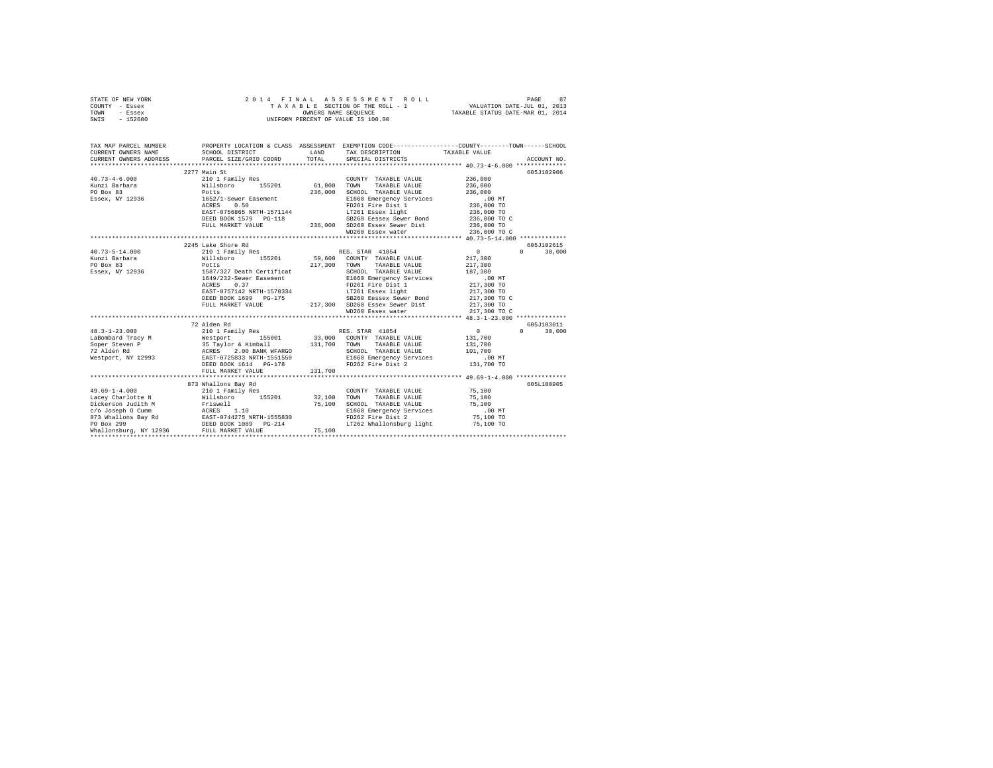|      | STATE OF NEW YORK |  | 2014 FINAL ASSESSMENT ROLL         |                                  | PAGE                        | 87 |
|------|-------------------|--|------------------------------------|----------------------------------|-----------------------------|----|
|      | COUNTY - Essex    |  | TAXABLE SECTION OF THE ROLL - 1    |                                  | VALUATION DATE-JUL 01, 2013 |    |
| TOWN | - Essex           |  | OWNERS NAME SEOUENCE               | TAXABLE STATUS DATE-MAR 01, 2014 |                             |    |
| SWIS | - 152600          |  | UNIFORM PERCENT OF VALUE IS 100.00 |                                  |                             |    |

| TAX MAP PARCEL NUMBER                                                                                                                                                                                                         |                                         |         | PROPERTY LOCATION & CLASS ASSESSMENT EXEMPTION CODE---------------COUNTY-------TOWN------SCHOOL                                                                                                                                                    |                |                        |
|-------------------------------------------------------------------------------------------------------------------------------------------------------------------------------------------------------------------------------|-----------------------------------------|---------|----------------------------------------------------------------------------------------------------------------------------------------------------------------------------------------------------------------------------------------------------|----------------|------------------------|
|                                                                                                                                                                                                                               | 2277 Main St                            |         | COUNTY TAXABLE VALUE 236,000                                                                                                                                                                                                                       |                | 605J102906             |
|                                                                                                                                                                                                                               |                                         |         | TOWN<br>TAXABLE VALUE                                                                                                                                                                                                                              | 236,000        |                        |
|                                                                                                                                                                                                                               |                                         |         | SCHOOL TAXABLE VALUE                                                                                                                                                                                                                               | 236,000        |                        |
| Essex, NY 12936 1652/1-Sewer Easement                                                                                                                                                                                         |                                         |         | Example of the mergency Services<br>FI660 Emergency Services<br>FI660 Emergency Services<br>236,000 TO<br>LT261 Essex light<br>236,000 TO                                                                                                          |                |                        |
|                                                                                                                                                                                                                               | ACRES 0.50                              |         |                                                                                                                                                                                                                                                    |                |                        |
|                                                                                                                                                                                                                               | ACRES 0.50<br>EAST-0756865 NRTH-1571144 |         |                                                                                                                                                                                                                                                    |                |                        |
|                                                                                                                                                                                                                               |                                         |         |                                                                                                                                                                                                                                                    |                |                        |
|                                                                                                                                                                                                                               |                                         |         |                                                                                                                                                                                                                                                    |                |                        |
|                                                                                                                                                                                                                               |                                         |         |                                                                                                                                                                                                                                                    |                |                        |
|                                                                                                                                                                                                                               |                                         |         |                                                                                                                                                                                                                                                    |                |                        |
|                                                                                                                                                                                                                               | 2245 Lake Shore Rd                      |         |                                                                                                                                                                                                                                                    |                | 605J102615             |
| $40.73 - 5 - 14.000$                                                                                                                                                                                                          | 210 1 Family Res RES. STAR 41854        |         |                                                                                                                                                                                                                                                    | $\overline{0}$ | 30,000<br>$\mathbf{a}$ |
|                                                                                                                                                                                                                               |                                         |         |                                                                                                                                                                                                                                                    |                |                        |
|                                                                                                                                                                                                                               |                                         |         | 217,300 TOWN TAXABLE VALUE                                                                                                                                                                                                                         |                |                        |
| PO Box 83 217,300<br>Essex, NY 12936 1587/327 Death Certificat 217,300                                                                                                                                                        |                                         |         | SCHOOL TAXABLE VALUE                                                                                                                                                                                                                               | 217,300        |                        |
|                                                                                                                                                                                                                               | 1649/232-Sewer Easement                 |         | Chrom Indianapolis (1994)<br>Eliso Emergency Services<br>FD261 Fire Dist 1 217,300 TO<br>LT261 Essex light 217,300 TO                                                                                                                              |                |                        |
|                                                                                                                                                                                                                               |                                         |         | ACRES 0.37<br>EAST-0757142 NRTH-1570334<br>LT261 Essex light                                                                                                                                                                                       |                |                        |
|                                                                                                                                                                                                                               |                                         |         |                                                                                                                                                                                                                                                    |                |                        |
|                                                                                                                                                                                                                               |                                         |         |                                                                                                                                                                                                                                                    |                |                        |
|                                                                                                                                                                                                                               |                                         |         |                                                                                                                                                                                                                                                    |                |                        |
|                                                                                                                                                                                                                               |                                         |         |                                                                                                                                                                                                                                                    |                |                        |
|                                                                                                                                                                                                                               |                                         |         | 217,300 TO DEED BOOK 1699 PG-175<br>DEED BOOK 1699 PG-175<br>PULL MARKET VALUE<br>PULL MARKET VALUE<br>PULL MARKET VALUE<br>PULL MARKET VALUE<br>PULL MARKET VALUE<br>PULL MARKET VALUE<br>PULL MARKET VALUE<br>PULL MARKET VALUE<br>PULL MARKET V |                |                        |
|                                                                                                                                                                                                                               | 72 Alden Rd                             |         |                                                                                                                                                                                                                                                    |                | 605J103011             |
| $48.3 - 1 - 23.000$                                                                                                                                                                                                           |                                         |         | 210 1 Family Res RES. STAR 41854                                                                                                                                                                                                                   | $\sim$ 0       | $\Omega$<br>30,000     |
|                                                                                                                                                                                                                               |                                         |         |                                                                                                                                                                                                                                                    |                |                        |
|                                                                                                                                                                                                                               |                                         |         |                                                                                                                                                                                                                                                    |                |                        |
|                                                                                                                                                                                                                               |                                         |         |                                                                                                                                                                                                                                                    |                |                        |
|                                                                                                                                                                                                                               |                                         |         |                                                                                                                                                                                                                                                    |                |                        |
|                                                                                                                                                                                                                               |                                         |         |                                                                                                                                                                                                                                                    |                |                        |
|                                                                                                                                                                                                                               |                                         | 131,700 |                                                                                                                                                                                                                                                    |                |                        |
|                                                                                                                                                                                                                               |                                         |         |                                                                                                                                                                                                                                                    |                |                        |
|                                                                                                                                                                                                                               | 873 Whallons Bay Rd                     |         |                                                                                                                                                                                                                                                    |                | 605L100905             |
| $49.69 - 1 - 4.000$                                                                                                                                                                                                           | 210 1 Family Res                        |         | COUNTY TAXABLE VALUE 75,100                                                                                                                                                                                                                        |                |                        |
|                                                                                                                                                                                                                               |                                         |         |                                                                                                                                                                                                                                                    |                |                        |
| Machine Matthew Millsboro 155201<br>Dickerson Judith Millsboro 155201<br>Dickerson Judith Millsboro 155201<br>20 Joseph O Cumm ACRES 1.10<br>873 Whallons Bay Rd EAST-074475 NRTH-1555830<br>PO Box 299 DEED BOOK 1089 PG-214 |                                         |         | 32,100 TOWN TAXABLE VALUE 75,100<br>75,100 SCHOOL TAXABLE VALUE 75,100<br>E1660 Emergency Services 00 MT                                                                                                                                           |                |                        |
|                                                                                                                                                                                                                               |                                         |         |                                                                                                                                                                                                                                                    |                |                        |
|                                                                                                                                                                                                                               |                                         |         | FD262 Fire Dist 2                                                                                                                                                                                                                                  | 75,100 TO      |                        |
|                                                                                                                                                                                                                               |                                         |         | LT262 Whallonsburg light 75,100 TO                                                                                                                                                                                                                 |                |                        |
| Whallonsburg, NY 12936 FULL MARKET VALUE                                                                                                                                                                                      |                                         | 75,100  |                                                                                                                                                                                                                                                    |                |                        |
|                                                                                                                                                                                                                               |                                         |         |                                                                                                                                                                                                                                                    |                |                        |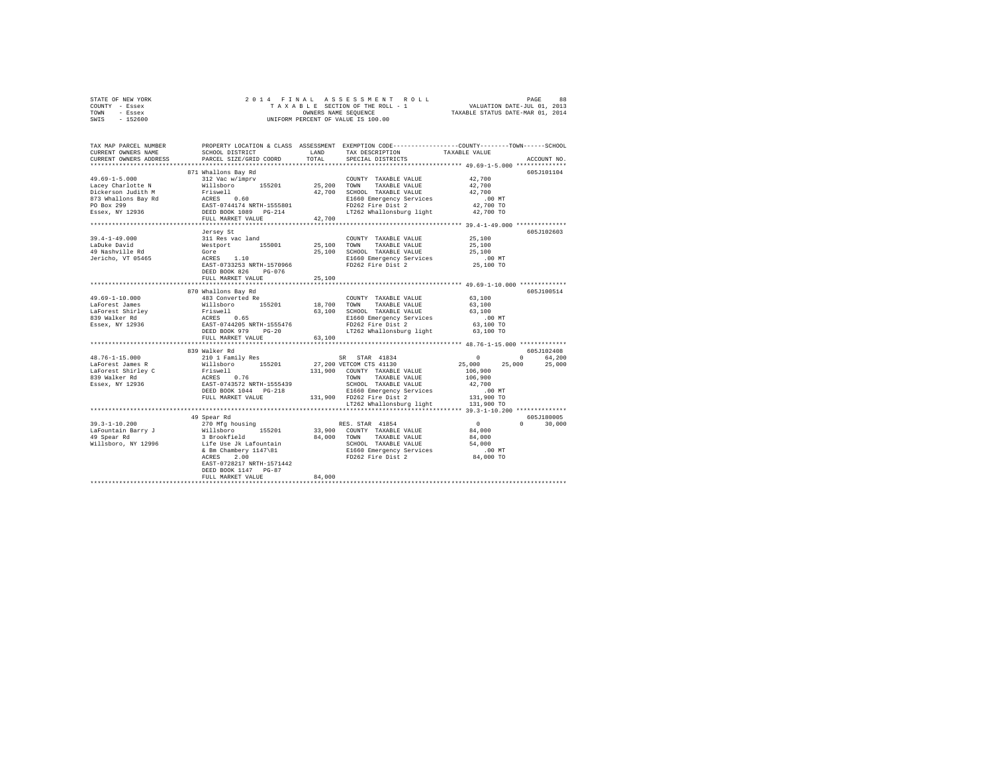|      | STATE OF NEW YORK |                      |  |  |  | 2014 FINAL ASSESSMENT ROLL         | PAGE                        |                                  | 88 |
|------|-------------------|----------------------|--|--|--|------------------------------------|-----------------------------|----------------------------------|----|
|      | COUNTY - Essex    |                      |  |  |  | TAXABLE SECTION OF THE ROLL - 1    | VALUATION DATE-JUL 01, 2013 |                                  |    |
| TOWN | - Essex           | OWNERS NAME SEOUENCE |  |  |  |                                    |                             | TAXABLE STATUS DATE-MAR 01, 2014 |    |
| SWIS | - 152600          |                      |  |  |  | UNIFORM PERCENT OF VALUE IS 100.00 |                             |                                  |    |

| TAX MAP PARCEL NUMBER<br>CURRENT OWNERS NAME<br>CURRENT OWNERS ADDRESS                                                                                                                                                                                                     | SCHOOL DISTRICT<br>PARCEL SIZE/GRID COORD                                                                                                         | LAND<br>TOTAL | TAX DESCRIPTION<br>SPECIAL DISTRICTS                                                                                                                                                                                                                                                               | PROPERTY LOCATION & CLASS ASSESSMENT EXEMPTION CODE----------------COUNTY-------TOWN------SCHOOL<br>TAXABLE VALUE<br>ACCOUNT NO. |        |
|----------------------------------------------------------------------------------------------------------------------------------------------------------------------------------------------------------------------------------------------------------------------------|---------------------------------------------------------------------------------------------------------------------------------------------------|---------------|----------------------------------------------------------------------------------------------------------------------------------------------------------------------------------------------------------------------------------------------------------------------------------------------------|----------------------------------------------------------------------------------------------------------------------------------|--------|
|                                                                                                                                                                                                                                                                            |                                                                                                                                                   |               |                                                                                                                                                                                                                                                                                                    |                                                                                                                                  |        |
|                                                                                                                                                                                                                                                                            | 871 Whallons Bay Rd                                                                                                                               |               |                                                                                                                                                                                                                                                                                                    | 605J101104                                                                                                                       |        |
|                                                                                                                                                                                                                                                                            |                                                                                                                                                   |               | COUNTY TAXABLE VALUE 42,700                                                                                                                                                                                                                                                                        |                                                                                                                                  |        |
|                                                                                                                                                                                                                                                                            |                                                                                                                                                   |               |                                                                                                                                                                                                                                                                                                    | 42,700                                                                                                                           |        |
|                                                                                                                                                                                                                                                                            |                                                                                                                                                   |               | 42,700 SCHOOL TAXABLE VALUE                                                                                                                                                                                                                                                                        | 42,700                                                                                                                           |        |
|                                                                                                                                                                                                                                                                            |                                                                                                                                                   |               |                                                                                                                                                                                                                                                                                                    |                                                                                                                                  |        |
|                                                                                                                                                                                                                                                                            |                                                                                                                                                   |               |                                                                                                                                                                                                                                                                                                    | 00 MT.<br>42,700 TO                                                                                                              |        |
|                                                                                                                                                                                                                                                                            |                                                                                                                                                   |               | LT262 Whallonsburg light 42,700 TO                                                                                                                                                                                                                                                                 |                                                                                                                                  |        |
|                                                                                                                                                                                                                                                                            | FULL MARKET VALUE                                                                                                                                 | 42,700        |                                                                                                                                                                                                                                                                                                    |                                                                                                                                  |        |
|                                                                                                                                                                                                                                                                            |                                                                                                                                                   |               |                                                                                                                                                                                                                                                                                                    |                                                                                                                                  |        |
|                                                                                                                                                                                                                                                                            | COUNTY (COUNTY)<br>311 Res vac land<br>Mestport 155001 25,100 TOWN<br>Gore 25,100 SCHOOL<br>ACRES 1.10 25,100 SCHOOL<br>EAST-0733253 NRTH-1570466 |               |                                                                                                                                                                                                                                                                                                    | 605J102603                                                                                                                       |        |
| $39.4 - 1 - 49.000$                                                                                                                                                                                                                                                        |                                                                                                                                                   |               | COUNTY TAXABLE VALUE                                                                                                                                                                                                                                                                               | 25,100                                                                                                                           |        |
| LaDuke David                                                                                                                                                                                                                                                               |                                                                                                                                                   |               | TAXABLE VALUE                                                                                                                                                                                                                                                                                      | 25,100                                                                                                                           |        |
|                                                                                                                                                                                                                                                                            |                                                                                                                                                   |               | 25,100 SCHOOL TAXABLE VALUE                                                                                                                                                                                                                                                                        | 25,100                                                                                                                           |        |
| 49 Nashville Rd<br>Jericho, VT 05465                                                                                                                                                                                                                                       |                                                                                                                                                   |               |                                                                                                                                                                                                                                                                                                    | .00 MT                                                                                                                           |        |
|                                                                                                                                                                                                                                                                            |                                                                                                                                                   |               | E1660 Emergency Services<br>FD262 Fire Dist 2                                                                                                                                                                                                                                                      | 25,100 TO                                                                                                                        |        |
|                                                                                                                                                                                                                                                                            | PG-076<br>DEED BOOK 826                                                                                                                           |               |                                                                                                                                                                                                                                                                                                    |                                                                                                                                  |        |
|                                                                                                                                                                                                                                                                            | FULL MARKET VALUE                                                                                                                                 | 25,100        |                                                                                                                                                                                                                                                                                                    |                                                                                                                                  |        |
|                                                                                                                                                                                                                                                                            | *************************                                                                                                                         | **********    |                                                                                                                                                                                                                                                                                                    | ************ 49.69-1-10.000 ************                                                                                         |        |
|                                                                                                                                                                                                                                                                            | 870 Whallons Bay Rd                                                                                                                               |               |                                                                                                                                                                                                                                                                                                    | 605J100514                                                                                                                       |        |
| 49.69-1-10.000                                                                                                                                                                                                                                                             | 483 Converted Re                                                                                                                                  |               |                                                                                                                                                                                                                                                                                                    | 63,100                                                                                                                           |        |
|                                                                                                                                                                                                                                                                            |                                                                                                                                                   |               | COUNTY TAXABLE VALUE<br>18,700 TOWN TAXABLE VALUE                                                                                                                                                                                                                                                  |                                                                                                                                  |        |
|                                                                                                                                                                                                                                                                            |                                                                                                                                                   |               |                                                                                                                                                                                                                                                                                                    |                                                                                                                                  |        |
| 49.69-1-10.000<br>1AForest James Millsboro 155201<br>1AForest James Willsboro 155201<br>1AForest Shirley Friswell<br>839 Walker Rd<br>839 Walker Rd<br>838ex, NY 12936<br>2AFORED BOOK 979 PG-20                                                                           |                                                                                                                                                   |               | $\begin{tabular}{lllllllllll} 18,700&\texttt{TONN} & \texttt{InADAL} &  &  & 63,100 \\ 63,100&\texttt{SCHOOL} & \texttt{TAXABLE} & 63,100 & \texttt{MT} \\ &\texttt{E1660} & \texttt{Energy} & \texttt{Services} & .00 & \texttt{MT} \\ &&&& \texttt{C4} & 2 & .00 & \texttt{TO} \\ \end{tabular}$ |                                                                                                                                  |        |
|                                                                                                                                                                                                                                                                            |                                                                                                                                                   |               |                                                                                                                                                                                                                                                                                                    |                                                                                                                                  |        |
|                                                                                                                                                                                                                                                                            |                                                                                                                                                   |               | LT262 Whallonsburg light 63,100 TO                                                                                                                                                                                                                                                                 |                                                                                                                                  |        |
|                                                                                                                                                                                                                                                                            | FULL MARKET VALUE                                                                                                                                 | 63,100        |                                                                                                                                                                                                                                                                                                    |                                                                                                                                  |        |
|                                                                                                                                                                                                                                                                            |                                                                                                                                                   |               |                                                                                                                                                                                                                                                                                                    |                                                                                                                                  |        |
|                                                                                                                                                                                                                                                                            | 839 Walker Rd                                                                                                                                     |               |                                                                                                                                                                                                                                                                                                    | 605J102408                                                                                                                       |        |
| $48.76 - 1 - 15.000$                                                                                                                                                                                                                                                       | 210 1 Family Res                                                                                                                                  |               | SR STAR 41834                                                                                                                                                                                                                                                                                      | $\sim$ 0<br>0 64.200                                                                                                             |        |
|                                                                                                                                                                                                                                                                            |                                                                                                                                                   |               |                                                                                                                                                                                                                                                                                                    | 25,000 25,000 25,000                                                                                                             |        |
|                                                                                                                                                                                                                                                                            |                                                                                                                                                   |               |                                                                                                                                                                                                                                                                                                    | 106,900                                                                                                                          |        |
|                                                                                                                                                                                                                                                                            |                                                                                                                                                   |               | TOWN TAXABLE VALUE                                                                                                                                                                                                                                                                                 | 106,900                                                                                                                          |        |
|                                                                                                                                                                                                                                                                            |                                                                                                                                                   |               | SCHOOL TAXABLE VALUE                                                                                                                                                                                                                                                                               | 42,700                                                                                                                           |        |
|                                                                                                                                                                                                                                                                            |                                                                                                                                                   |               |                                                                                                                                                                                                                                                                                                    |                                                                                                                                  |        |
| $\begin{tabular}{l c c c c c} \hline 48.70-1-10.0001 & 24.01 & 143011 & 28.01 & 28.01 & 28.01 & 41844 & 4184 & 4184 & 4184 & 4184 & 4184 & 4184 & 4184 & 4184 & 4184 & 4184 & 4184 & 4184 & 4184 & 4184 & 4184 & 4184 & 4184 & 4184 & 4184 & 4184 & 4184 & 4184 & 4184 & $ |                                                                                                                                                   |               | E1660 Emergency Services 131,900 FD262 Fire Dist 2 131,900 TO                                                                                                                                                                                                                                      |                                                                                                                                  |        |
|                                                                                                                                                                                                                                                                            |                                                                                                                                                   |               | LT262 Whallonsburg light                                                                                                                                                                                                                                                                           | 131,900 TO                                                                                                                       |        |
|                                                                                                                                                                                                                                                                            |                                                                                                                                                   |               |                                                                                                                                                                                                                                                                                                    |                                                                                                                                  |        |
|                                                                                                                                                                                                                                                                            | 49 Spear Rd                                                                                                                                       |               |                                                                                                                                                                                                                                                                                                    | 605J180005                                                                                                                       |        |
|                                                                                                                                                                                                                                                                            |                                                                                                                                                   |               | RES. STAR 41854                                                                                                                                                                                                                                                                                    | $\sim$ 0<br>$0 \qquad \qquad$                                                                                                    | 30,000 |
|                                                                                                                                                                                                                                                                            |                                                                                                                                                   |               | 33,900 COUNTY TAXABLE VALUE                                                                                                                                                                                                                                                                        | 84,000                                                                                                                           |        |
|                                                                                                                                                                                                                                                                            |                                                                                                                                                   |               | 84,000 TOWN TAXABLE VALUE                                                                                                                                                                                                                                                                          | 84,000                                                                                                                           |        |
|                                                                                                                                                                                                                                                                            |                                                                                                                                                   |               |                                                                                                                                                                                                                                                                                                    |                                                                                                                                  |        |
|                                                                                                                                                                                                                                                                            |                                                                                                                                                   |               |                                                                                                                                                                                                                                                                                                    |                                                                                                                                  |        |
|                                                                                                                                                                                                                                                                            |                                                                                                                                                   |               | SCHOOL TAXABLE VALUE 54,000<br>E1660 Emergency Services 00 MT<br>FD262 Fire Dist 2 84,000 TO                                                                                                                                                                                                       |                                                                                                                                  |        |
|                                                                                                                                                                                                                                                                            | EAST-0728217 NRTH-1571442                                                                                                                         |               |                                                                                                                                                                                                                                                                                                    |                                                                                                                                  |        |
|                                                                                                                                                                                                                                                                            | DEED BOOK 1147 PG-87                                                                                                                              |               |                                                                                                                                                                                                                                                                                                    |                                                                                                                                  |        |
|                                                                                                                                                                                                                                                                            | FULL MARKET VALUE                                                                                                                                 | 84,000        |                                                                                                                                                                                                                                                                                                    |                                                                                                                                  |        |
|                                                                                                                                                                                                                                                                            |                                                                                                                                                   |               |                                                                                                                                                                                                                                                                                                    |                                                                                                                                  |        |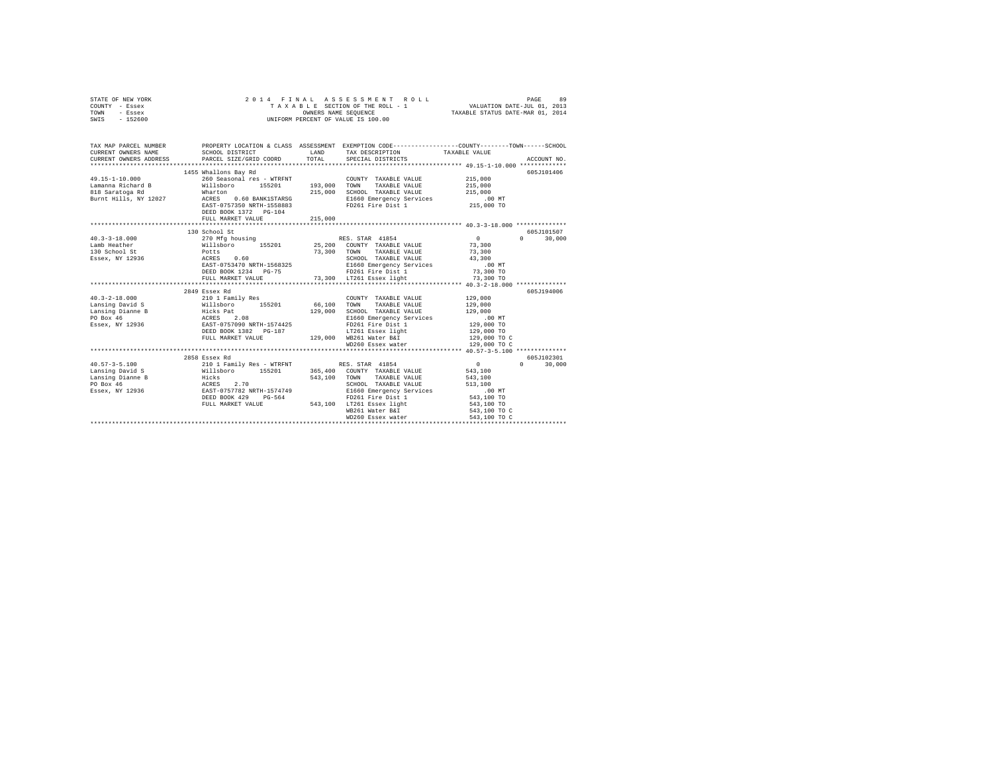| STATE OF NEW YORK<br>COUNTY - Essex<br>TOWN<br>- Essex<br>SWIS - 152600 | 2014 FINAL                                                                                                                                                                                                                                                                                                                                                              |         | ASSESSMENT ROLL<br>T A X A B L E SECTION OF THE ROLL - 1<br>OWNERS NAME SEQUENCE<br>UNIFORM PERCENT OF VALUE IS 100.00                                                                                                               | VALUATION DATE-JUL 01, 2013<br>TAXABLE STATUS DATE-MAR 01, 2014 | 89<br>PAGE                      |
|-------------------------------------------------------------------------|-------------------------------------------------------------------------------------------------------------------------------------------------------------------------------------------------------------------------------------------------------------------------------------------------------------------------------------------------------------------------|---------|--------------------------------------------------------------------------------------------------------------------------------------------------------------------------------------------------------------------------------------|-----------------------------------------------------------------|---------------------------------|
| CURRENT OWNERS NAME                                                     | SCHOOL DISTRICT                                                                                                                                                                                                                                                                                                                                                         |         | TAX MAP PARCEL NUMBER PROPERTY LOCATION & CLASS ASSESSMENT EXEMPTION CODE--------------COUNTY-------TOWN------SCHOOL<br>LAND TAX DESCRIPTION                                                                                         | TAXABLE VALUE                                                   |                                 |
| CURRENT OWNERS ADDRESS                                                  | PARCEL SIZE/GRID COORD                                                                                                                                                                                                                                                                                                                                                  | TOTAL   | SPECIAL DISTRICTS                                                                                                                                                                                                                    |                                                                 | ACCOUNT NO.                     |
|                                                                         |                                                                                                                                                                                                                                                                                                                                                                         |         |                                                                                                                                                                                                                                      |                                                                 |                                 |
|                                                                         | 1455 Whallons Bay Rd                                                                                                                                                                                                                                                                                                                                                    |         |                                                                                                                                                                                                                                      |                                                                 | 605J101406                      |
| 49.15-1-10.000                                                          | 260 Seasonal res - WTRFNT                                                                                                                                                                                                                                                                                                                                               |         | COUNTY TAXABLE VALUE                                                                                                                                                                                                                 | 215,000                                                         |                                 |
|                                                                         |                                                                                                                                                                                                                                                                                                                                                                         |         | 193,000 TOWN TAXABLE VALUE                                                                                                                                                                                                           | 215,000                                                         |                                 |
|                                                                         |                                                                                                                                                                                                                                                                                                                                                                         |         | 215,000 SCHOOL TAXABLE VALUE                                                                                                                                                                                                         | 215,000                                                         |                                 |
|                                                                         |                                                                                                                                                                                                                                                                                                                                                                         |         | E1660 Emergency Services<br>FD261 Fire Dist 1                                                                                                                                                                                        | $.00$ MT                                                        |                                 |
|                                                                         | EAST-0757350 NRTH-1558883<br>DEED BOOK 1372 PG-104                                                                                                                                                                                                                                                                                                                      |         |                                                                                                                                                                                                                                      | 215,000 TO                                                      |                                 |
|                                                                         | FULL MARKET VALUE                                                                                                                                                                                                                                                                                                                                                       | 215,000 |                                                                                                                                                                                                                                      |                                                                 |                                 |
|                                                                         |                                                                                                                                                                                                                                                                                                                                                                         |         |                                                                                                                                                                                                                                      |                                                                 |                                 |
|                                                                         | 130 School St                                                                                                                                                                                                                                                                                                                                                           |         |                                                                                                                                                                                                                                      |                                                                 | 605J101507                      |
| $40.3 - 3 - 18.000$                                                     | 270 Mfg housing                                                                                                                                                                                                                                                                                                                                                         |         | RES. STAR 41854                                                                                                                                                                                                                      | $\sim$ 0                                                        | $\Omega$ and $\Omega$<br>30,000 |
| Lamb Heather                                                            |                                                                                                                                                                                                                                                                                                                                                                         |         |                                                                                                                                                                                                                                      | 73,300                                                          |                                 |
| 130 School St                                                           |                                                                                                                                                                                                                                                                                                                                                                         |         |                                                                                                                                                                                                                                      | 73,300                                                          |                                 |
| Essex, NY 12936                                                         | 270 Mfg nousing $\begin{array}{cccc} 270 \text{ MHz} & \text{arcu} & \text{arcu} & \text{arcu} \\ \text{Willsboro} & 155201 & 25,200 & \text{COUNTY} & \text{TAXABLE VALUE} \\ \text{Potts} & 0.60 & 73,300 & \text{TOMN} & \text{TAXABLE VALUE} \\ \text{ACRES} & 0.6 & 0.7 & 0.7 & 0.7 & 0.7 & 0.7 \\ \text{CRES} & 0.6 & 0.7 & 0.7 & 0.7 & 0.7 & 0.7 \\ \end{array}$ |         |                                                                                                                                                                                                                                      | 43,300                                                          |                                 |
|                                                                         |                                                                                                                                                                                                                                                                                                                                                                         |         |                                                                                                                                                                                                                                      | $.00$ MT                                                        |                                 |
|                                                                         |                                                                                                                                                                                                                                                                                                                                                                         |         |                                                                                                                                                                                                                                      | $73,300$ TO                                                     |                                 |
|                                                                         |                                                                                                                                                                                                                                                                                                                                                                         |         | FULL MARKET VALUE 73,300 LT261 Essex light                                                                                                                                                                                           | 73,300 TO                                                       |                                 |
|                                                                         |                                                                                                                                                                                                                                                                                                                                                                         |         |                                                                                                                                                                                                                                      |                                                                 |                                 |
|                                                                         | 2849 Essex Rd                                                                                                                                                                                                                                                                                                                                                           |         |                                                                                                                                                                                                                                      |                                                                 | 605J194006                      |
| $40.3 - 2 - 18.000$                                                     |                                                                                                                                                                                                                                                                                                                                                                         | 66,100  | COUNTY TAXABLE VALUE                                                                                                                                                                                                                 | 129,000                                                         |                                 |
| Lansing David S<br>Lansing Dianne B                                     |                                                                                                                                                                                                                                                                                                                                                                         | 129,000 | TOWN<br>TAXABLE VALUE<br>SCHOOL TAXABLE VALUE                                                                                                                                                                                        | 129,000<br>129,000                                              |                                 |
| PO Box 46                                                               |                                                                                                                                                                                                                                                                                                                                                                         |         | E1660 Emergency Services                                                                                                                                                                                                             | $.00$ MT                                                        |                                 |
| Essex, NY 12936                                                         |                                                                                                                                                                                                                                                                                                                                                                         |         | FD261 Fire Dist 1                                                                                                                                                                                                                    | 129,000 TO                                                      |                                 |
|                                                                         | 2002 1 1 Family Res<br>Willsboro<br>Willsboro<br>Hicks Pat<br>RACRES<br>DEED DOOK 1382 PG-187<br>DEED BOOK 1382 PG-187                                                                                                                                                                                                                                                  |         | LT261 Essex light                                                                                                                                                                                                                    | 129,000 TO                                                      |                                 |
|                                                                         | FULL MARKET VALUE                                                                                                                                                                                                                                                                                                                                                       |         | 129,000 WB261 Water B&I                                                                                                                                                                                                              | 129,000 TO C                                                    |                                 |
|                                                                         |                                                                                                                                                                                                                                                                                                                                                                         |         | WD260 Essex water                                                                                                                                                                                                                    | 129,000 TO C                                                    |                                 |
|                                                                         |                                                                                                                                                                                                                                                                                                                                                                         |         |                                                                                                                                                                                                                                      |                                                                 |                                 |
|                                                                         | 2858 Essex Rd                                                                                                                                                                                                                                                                                                                                                           |         |                                                                                                                                                                                                                                      |                                                                 | 605J102301                      |
| $40.57 - 3 - 5.100$                                                     |                                                                                                                                                                                                                                                                                                                                                                         |         |                                                                                                                                                                                                                                      | $\sim$ 0                                                        | $0 \t 30,000$                   |
| Lansing David S                                                         |                                                                                                                                                                                                                                                                                                                                                                         |         |                                                                                                                                                                                                                                      | 543,100                                                         |                                 |
| Lansing Dianne B                                                        |                                                                                                                                                                                                                                                                                                                                                                         |         |                                                                                                                                                                                                                                      | 543,100                                                         |                                 |
| PO Box 46                                                               |                                                                                                                                                                                                                                                                                                                                                                         |         |                                                                                                                                                                                                                                      | 513,100                                                         |                                 |
| Essex, NY 12936                                                         |                                                                                                                                                                                                                                                                                                                                                                         |         | 210 1 Family Res - WTRFNT<br>210 1 Family Res - WTRFNT<br>365,400 COUNTY TAXABLE VALUE<br>Hicks<br>2.70 543,100 TOWN TAXABLE VALUE<br>RATER 2.70 50HOLD TAXABLE VALUE<br>RATER 2.70 50HOLD RESPONS<br>DEED BOOK 429PG-564 FD261 Fire | $.00$ MT                                                        |                                 |
|                                                                         | DEED BOOK 429 PG-564 FD261 Fire Dist 1<br>FULL MARKET VALUE 543,100 LT261 Essex light                                                                                                                                                                                                                                                                                   |         |                                                                                                                                                                                                                                      | 543,100 TO<br>543,100 TO                                        |                                 |
|                                                                         |                                                                                                                                                                                                                                                                                                                                                                         |         | WB261 Water B&I                                                                                                                                                                                                                      | 543,100 TO C                                                    |                                 |
|                                                                         |                                                                                                                                                                                                                                                                                                                                                                         |         | WD260 Essex water                                                                                                                                                                                                                    | 543,100 TO C                                                    |                                 |
|                                                                         |                                                                                                                                                                                                                                                                                                                                                                         |         |                                                                                                                                                                                                                                      |                                                                 |                                 |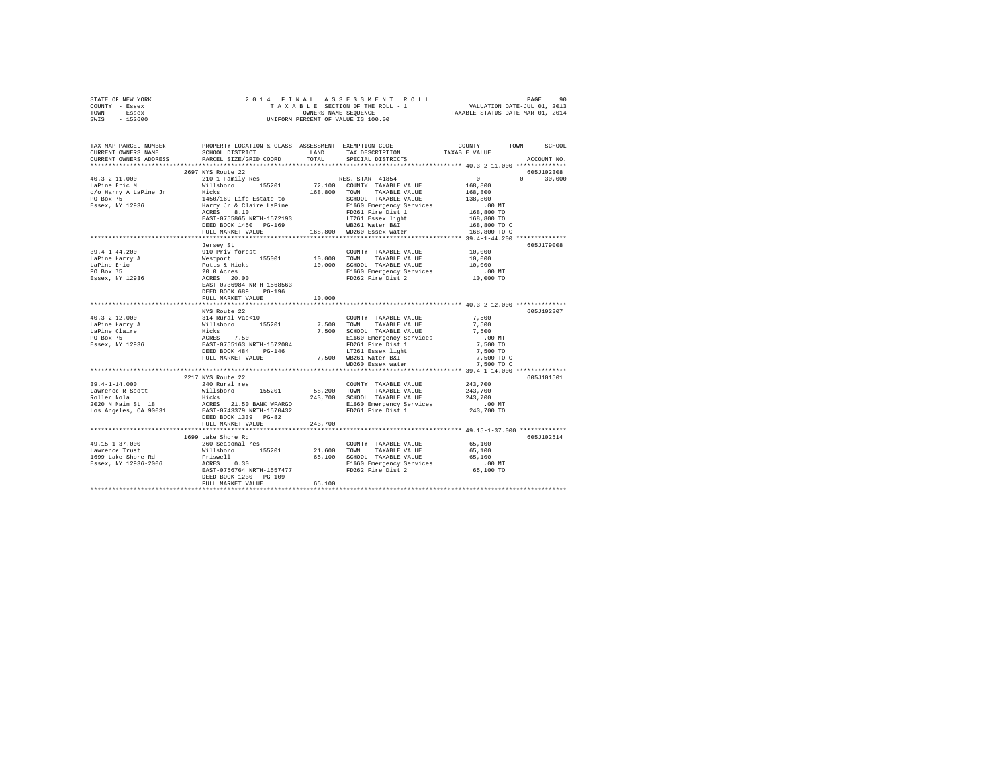| STATE OF NEW YORK                                                                                                                                                                                        |                       |         |  |                                                |             |
|----------------------------------------------------------------------------------------------------------------------------------------------------------------------------------------------------------|-----------------------|---------|--|------------------------------------------------|-------------|
| COUNTY - Essex                                                                                                                                                                                           |                       |         |  |                                                |             |
| TOWN - Essex                                                                                                                                                                                             |                       |         |  |                                                |             |
| SWIS - 152600                                                                                                                                                                                            |                       |         |  |                                                |             |
|                                                                                                                                                                                                          |                       |         |  |                                                |             |
|                                                                                                                                                                                                          |                       |         |  |                                                |             |
|                                                                                                                                                                                                          |                       |         |  |                                                |             |
| TAX MAP PARCEL NUMBER PROPERTY LOCATION & CLASS ASSESSMENT EXEMPTION CODE-------------COUNT-------SCHOOL DERECO<br>CURRENT ONNERS NAME SCHOOL DISTRICT NATELLE LAND TAX DESCRIPTION TAXIABLE VALUE VALUE |                       |         |  |                                                |             |
| CURRENT OWNERS ADDRESS                                                                                                                                                                                   |                       |         |  |                                                | ACCOUNT NO. |
|                                                                                                                                                                                                          |                       |         |  |                                                |             |
|                                                                                                                                                                                                          | 2697 NYS Route 22     |         |  |                                                | 605J102308  |
|                                                                                                                                                                                                          |                       |         |  |                                                |             |
|                                                                                                                                                                                                          |                       |         |  |                                                |             |
|                                                                                                                                                                                                          |                       |         |  |                                                |             |
|                                                                                                                                                                                                          |                       |         |  |                                                |             |
|                                                                                                                                                                                                          |                       |         |  |                                                |             |
|                                                                                                                                                                                                          |                       |         |  |                                                |             |
|                                                                                                                                                                                                          |                       |         |  |                                                |             |
|                                                                                                                                                                                                          |                       |         |  |                                                |             |
|                                                                                                                                                                                                          |                       |         |  |                                                |             |
|                                                                                                                                                                                                          |                       |         |  |                                                |             |
|                                                                                                                                                                                                          |                       |         |  |                                                |             |
|                                                                                                                                                                                                          | Jersey St             |         |  |                                                | 605J179008  |
|                                                                                                                                                                                                          |                       |         |  |                                                |             |
|                                                                                                                                                                                                          |                       |         |  |                                                |             |
|                                                                                                                                                                                                          |                       |         |  |                                                |             |
|                                                                                                                                                                                                          |                       |         |  |                                                |             |
|                                                                                                                                                                                                          |                       |         |  |                                                |             |
|                                                                                                                                                                                                          |                       |         |  |                                                |             |
|                                                                                                                                                                                                          | DEED BOOK 689 PG-196  |         |  |                                                |             |
|                                                                                                                                                                                                          | FULL MARKET VALUE     | 10,000  |  |                                                |             |
|                                                                                                                                                                                                          |                       |         |  | ***************** 40.3-2-12.000 ************** |             |
|                                                                                                                                                                                                          |                       |         |  |                                                | 605J102307  |
|                                                                                                                                                                                                          |                       |         |  |                                                |             |
|                                                                                                                                                                                                          |                       |         |  |                                                |             |
|                                                                                                                                                                                                          |                       |         |  |                                                |             |
|                                                                                                                                                                                                          |                       |         |  |                                                |             |
|                                                                                                                                                                                                          |                       |         |  |                                                |             |
|                                                                                                                                                                                                          |                       |         |  |                                                |             |
|                                                                                                                                                                                                          |                       |         |  |                                                |             |
|                                                                                                                                                                                                          |                       |         |  |                                                |             |
|                                                                                                                                                                                                          |                       |         |  |                                                |             |
|                                                                                                                                                                                                          | 2217 NYS Route 22     |         |  |                                                | 605J101501  |
|                                                                                                                                                                                                          |                       |         |  |                                                |             |
|                                                                                                                                                                                                          |                       |         |  |                                                |             |
|                                                                                                                                                                                                          |                       |         |  |                                                |             |
|                                                                                                                                                                                                          |                       |         |  |                                                |             |
|                                                                                                                                                                                                          |                       |         |  |                                                |             |
|                                                                                                                                                                                                          |                       |         |  |                                                |             |
|                                                                                                                                                                                                          | DEED BOOK 1339 PG-82  |         |  |                                                |             |
|                                                                                                                                                                                                          | FULL MARKET VALUE     | 243,700 |  |                                                |             |
|                                                                                                                                                                                                          |                       |         |  |                                                |             |
|                                                                                                                                                                                                          | 1699 Lake Shore Rd    |         |  |                                                | 605J102514  |
|                                                                                                                                                                                                          |                       |         |  |                                                |             |
|                                                                                                                                                                                                          |                       |         |  |                                                |             |
|                                                                                                                                                                                                          |                       |         |  |                                                |             |
|                                                                                                                                                                                                          |                       |         |  |                                                |             |
|                                                                                                                                                                                                          |                       |         |  |                                                |             |
|                                                                                                                                                                                                          | DEED BOOK 1230 PG-109 |         |  |                                                |             |
|                                                                                                                                                                                                          | FULL MARKET VALUE     | 65,100  |  |                                                |             |
|                                                                                                                                                                                                          |                       |         |  |                                                |             |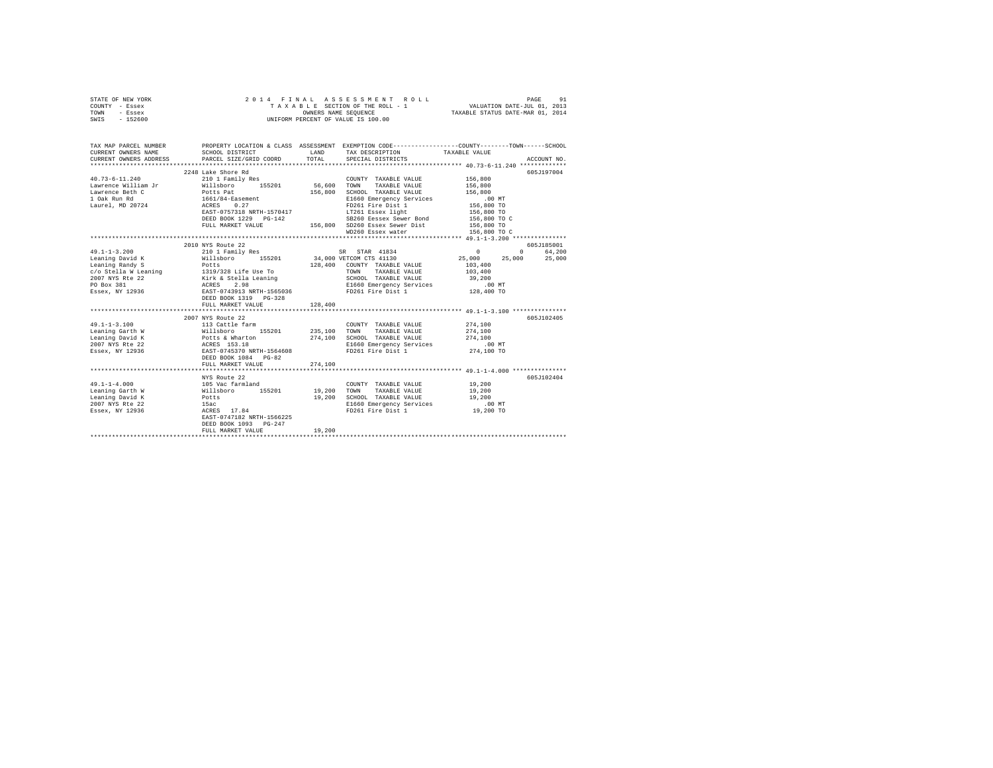|      | STATE OF NEW YORK |  | 2014 FINAL ASSESSMENT ROLL         | 91<br>PAGE                       |  |
|------|-------------------|--|------------------------------------|----------------------------------|--|
|      | COUNTY - Essex    |  | TAXABLE SECTION OF THE ROLL - 1    | VALUATION DATE-JUL 01, 2013      |  |
| TOWN | - Essex           |  | OWNERS NAME SEOUENCE               | TAXABLE STATUS DATE-MAR 01, 2014 |  |
| SWIS | - 152600          |  | UNIFORM PERCENT OF VALUE IS 100.00 |                                  |  |

| TAX MAP PARCEL NUMBER<br>CURRENT OWNERS NAME |                           |         | LAND TAX DESCRIPTION TAXABLE VALUE                                                                                                                                                                                                                                                                                                                                                                                                                                             |            |
|----------------------------------------------|---------------------------|---------|--------------------------------------------------------------------------------------------------------------------------------------------------------------------------------------------------------------------------------------------------------------------------------------------------------------------------------------------------------------------------------------------------------------------------------------------------------------------------------|------------|
|                                              |                           |         |                                                                                                                                                                                                                                                                                                                                                                                                                                                                                |            |
|                                              | 2248 Lake Shore Rd        |         |                                                                                                                                                                                                                                                                                                                                                                                                                                                                                | 605J197004 |
| 40.73-6-11.240 210 1 Family Res              |                           |         | COUNTY TAXABLE VALUE 156,800                                                                                                                                                                                                                                                                                                                                                                                                                                                   |            |
|                                              |                           |         |                                                                                                                                                                                                                                                                                                                                                                                                                                                                                |            |
|                                              |                           |         |                                                                                                                                                                                                                                                                                                                                                                                                                                                                                |            |
|                                              |                           |         |                                                                                                                                                                                                                                                                                                                                                                                                                                                                                |            |
|                                              |                           |         |                                                                                                                                                                                                                                                                                                                                                                                                                                                                                |            |
|                                              |                           |         |                                                                                                                                                                                                                                                                                                                                                                                                                                                                                |            |
|                                              |                           |         |                                                                                                                                                                                                                                                                                                                                                                                                                                                                                |            |
|                                              |                           |         |                                                                                                                                                                                                                                                                                                                                                                                                                                                                                |            |
|                                              |                           |         |                                                                                                                                                                                                                                                                                                                                                                                                                                                                                |            |
|                                              |                           |         |                                                                                                                                                                                                                                                                                                                                                                                                                                                                                |            |
|                                              | 2010 NYS Route 22         |         |                                                                                                                                                                                                                                                                                                                                                                                                                                                                                | 605J185001 |
|                                              |                           |         |                                                                                                                                                                                                                                                                                                                                                                                                                                                                                |            |
|                                              |                           |         |                                                                                                                                                                                                                                                                                                                                                                                                                                                                                |            |
|                                              |                           |         |                                                                                                                                                                                                                                                                                                                                                                                                                                                                                |            |
|                                              |                           |         |                                                                                                                                                                                                                                                                                                                                                                                                                                                                                |            |
|                                              |                           |         |                                                                                                                                                                                                                                                                                                                                                                                                                                                                                |            |
|                                              |                           |         |                                                                                                                                                                                                                                                                                                                                                                                                                                                                                |            |
|                                              |                           |         |                                                                                                                                                                                                                                                                                                                                                                                                                                                                                |            |
|                                              | DEED BOOK 1319 PG-328     |         |                                                                                                                                                                                                                                                                                                                                                                                                                                                                                |            |
|                                              |                           |         |                                                                                                                                                                                                                                                                                                                                                                                                                                                                                |            |
|                                              |                           |         |                                                                                                                                                                                                                                                                                                                                                                                                                                                                                |            |
|                                              | 2007 NYS Route 22         |         |                                                                                                                                                                                                                                                                                                                                                                                                                                                                                | 605J102405 |
|                                              |                           |         |                                                                                                                                                                                                                                                                                                                                                                                                                                                                                |            |
|                                              |                           |         |                                                                                                                                                                                                                                                                                                                                                                                                                                                                                |            |
|                                              |                           |         |                                                                                                                                                                                                                                                                                                                                                                                                                                                                                |            |
|                                              |                           |         |                                                                                                                                                                                                                                                                                                                                                                                                                                                                                |            |
|                                              |                           |         |                                                                                                                                                                                                                                                                                                                                                                                                                                                                                |            |
|                                              | DEED BOOK 1084 PG-82      |         |                                                                                                                                                                                                                                                                                                                                                                                                                                                                                |            |
|                                              | FULL MARKET VALUE         | 274,100 |                                                                                                                                                                                                                                                                                                                                                                                                                                                                                |            |
|                                              |                           |         |                                                                                                                                                                                                                                                                                                                                                                                                                                                                                |            |
|                                              |                           |         |                                                                                                                                                                                                                                                                                                                                                                                                                                                                                | 605J102404 |
| $49.1 - 1 - 4.000$                           |                           |         |                                                                                                                                                                                                                                                                                                                                                                                                                                                                                |            |
| Leaning Garth W                              |                           |         |                                                                                                                                                                                                                                                                                                                                                                                                                                                                                |            |
| Leaning David K                              |                           |         |                                                                                                                                                                                                                                                                                                                                                                                                                                                                                |            |
| 2007 NYS Rte 22                              |                           |         |                                                                                                                                                                                                                                                                                                                                                                                                                                                                                |            |
| Essex, NY 12936                              |                           |         | MYS Route 22<br>19, 200 TOWN TAXABLE VALUE 19, 200<br>21 ON SALE VALUE 19, 200 TOWN TAXABLE VALUE 19, 200<br>219, 200 TOWN TAXABLE VALUE 19, 200<br>219, 200 TOWN TAXABLE VALUE 19, 200<br>21540 E1560 EMPLOYS POST PRESS 17.84<br>200 ECR<br>19,200 SCHOOL TAXABLE VALUE 19,200 ISLAGO EMETER PORT TO ESSAY AND THE POST TO EXAMPLE 200 TO THE POST TO A LA<br>FRAME POST THE POST TO THE POST TO A LAMP TO THE POST TO THE POST TO THE POST TO THE POST TO THE POST TO THE P |            |
|                                              | EAST-0747182 NRTH-1566225 |         |                                                                                                                                                                                                                                                                                                                                                                                                                                                                                |            |
|                                              | DEED BOOK 1093 PG-247     |         |                                                                                                                                                                                                                                                                                                                                                                                                                                                                                |            |
|                                              | FULL MARKET VALUE         | 19,200  |                                                                                                                                                                                                                                                                                                                                                                                                                                                                                |            |
|                                              |                           |         |                                                                                                                                                                                                                                                                                                                                                                                                                                                                                |            |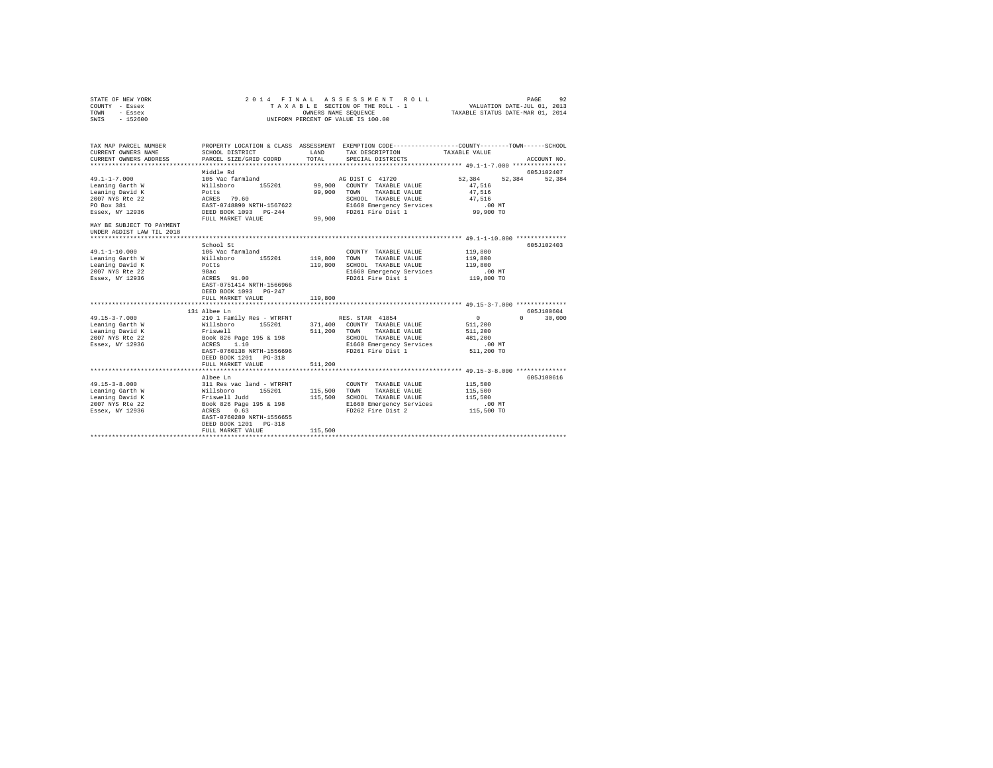| STATE OF NEW YORK<br>COUNTY - Essex<br>TOWN - Essex<br>SWIS - 152600                            | 2014 FINAL ASSESSMENT ROLL<br>PAGE<br>92<br>TAXABLE SECTION OF THE ROLL - 1 VALUATION DATE-JUL 01, 2013<br>TAXABLE STATUS DATE-MAR 01, 2014<br>OWNERS NAME SEQUENCE<br>UNIFORM PERCENT OF VALUE IS 100.00                                                                                                 |         |                                                                                                                                                        |                                                                                                               |  |  |
|-------------------------------------------------------------------------------------------------|-----------------------------------------------------------------------------------------------------------------------------------------------------------------------------------------------------------------------------------------------------------------------------------------------------------|---------|--------------------------------------------------------------------------------------------------------------------------------------------------------|---------------------------------------------------------------------------------------------------------------|--|--|
| TAX MAP PARCEL NUMBER<br>CURRENT OWNERS NAME<br>CURRENT OWNERS ADDRESS                          | LAND<br>SCHOOL DISTRICT<br>PARCEL SIZE/GRID COORD TOTAL                                                                                                                                                                                                                                                   |         | TAX DESCRIPTION TAXABLE VALUE<br>SPECIAL DISTRICTS                                                                                                     | PROPERTY LOCATION & CLASS ASSESSMENT EXEMPTION CODE---------------COUNTY-------TOWN-----SCHOOL<br>ACCOUNT NO. |  |  |
| MAY BE SUBJECT TO PAYMENT<br>UNDER AGDIST LAW TIL 2018                                          | Middle Rd                                                                                                                                                                                                                                                                                                 |         |                                                                                                                                                        | 605J102407<br>52.384<br>52.384                                                                                |  |  |
| $49.1 - 1 - 10.000$<br>Leaning Garth W<br>Leaning David K<br>2007 NYS Rte 22<br>Essex, NY 12936 | School St<br>105 Vac farmland<br>Willsboro 155201<br>Potts<br>98ac<br>ACRES 91.00<br>EAST-0751414 NRTH-1566966<br>DEED BOOK 1093 PG-247<br>FULL MARKET VALUE                                                                                                                                              | 119,800 | COUNTY TAXABLE VALUE<br>119,800 TOWN TAXABLE VALUE<br>119,800 SCHOOL TAXABLE VALUE 119,800<br>E1660 Emergency Services<br>FD261 Fire Dist 1 119,800 TO | 605J102403<br>119,800<br>119,800<br>$.00$ MT                                                                  |  |  |
| 2007 NYS Rte 22<br>Essex, NY 12936                                                              | 131 Albee Ln<br>Book 826 Page 195 & 198<br>ACRES 1.10<br>EAST-0760138 NRTH-1556696<br>DEED BOOK 1201 PG-318<br>FULL MARKET VALUE 511,200                                                                                                                                                                  |         | SCHOOL TAXABLE VALUE 481,200<br>E1660 Emergency Services .00 MT<br>FD261 Fire Dist 1                                                                   | 605J100604<br>$0 \t 30,000$<br>$\sim$ 0<br>511,200<br>511,200<br>511,200 TO                                   |  |  |
| $49.15 - 3 - 8.000$<br>Leaning Garth W<br>Leaning David K<br>2007 NYS Rte 22<br>Essex, NY 12936 | Albee Ln<br>COUNTY TAXABLE VALUE (1991)<br>Milleboro 195201 115,500 TOWN TAXABLE VALUE<br>Milleboro 195201 115,500 SCHOOL TAXABLE VALUE<br>Friswell Judd 115,500 EL660 Energency Service<br>Nook 262 Fire Dist 2<br>ACRES 0.63<br>EAST-0760280 NRTH-1556655<br>DEED BOOK 1201 PG-318<br>FULL MARKET VALUE | 115,500 | COUNTY TAXABLE VALUE<br>115,500 SCHOOL TAXABLE VALUE                                                                                                   | 605J100616<br>115,500<br>115,500<br>115,500                                                                   |  |  |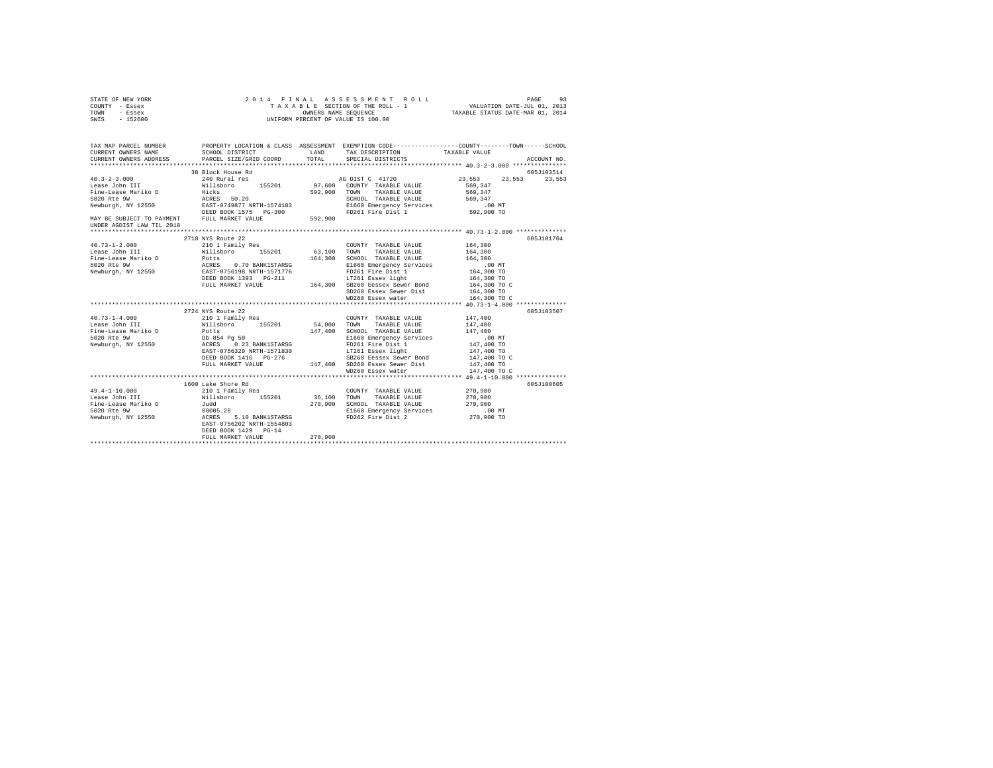| COUNTY - Essex<br>TOWN<br>- Essex<br>SWIS - 152600                                                                                                                                                                                                                                                             | UNIFORM PERCENT OF VALUE IS 100.00               |                      |                                                                                             |                          |                             |  |
|----------------------------------------------------------------------------------------------------------------------------------------------------------------------------------------------------------------------------------------------------------------------------------------------------------------|--------------------------------------------------|----------------------|---------------------------------------------------------------------------------------------|--------------------------|-----------------------------|--|
| TAX MAP PARCEL NUMBER PROPERTY LOCATION & CLASS ASSESSMENT EXEMPTION CODE----------------COUNTY-------TOWN------SCHOOL<br>CURRENT OWNERS NAME<br>CURRENT OWNERS ADDRESS                                                                                                                                        | SCHOOL DISTRICT<br>PARCEL SIZE/GRID COORD        | <b>LAND</b><br>TOTAL | TAX DESCRIPTION<br>SPECIAL DISTRICTS                                                        | TAXABLE VALUE            | ACCOUNT NO.                 |  |
|                                                                                                                                                                                                                                                                                                                |                                                  |                      |                                                                                             |                          |                             |  |
| $40.3 - 2 - 3.000$                                                                                                                                                                                                                                                                                             | 38 Block House Rd                                |                      |                                                                                             |                          | 605J103514<br>23.553 23.553 |  |
| Lease John III                                                                                                                                                                                                                                                                                                 |                                                  |                      |                                                                                             | 23,553<br>569,347        |                             |  |
|                                                                                                                                                                                                                                                                                                                |                                                  |                      |                                                                                             |                          |                             |  |
|                                                                                                                                                                                                                                                                                                                |                                                  |                      |                                                                                             |                          |                             |  |
|                                                                                                                                                                                                                                                                                                                |                                                  |                      |                                                                                             |                          |                             |  |
|                                                                                                                                                                                                                                                                                                                |                                                  |                      |                                                                                             |                          |                             |  |
|                                                                                                                                                                                                                                                                                                                |                                                  |                      |                                                                                             |                          |                             |  |
| $\begin{tabular}{lllllllllll} \texttt{MAX} & \texttt{BE} & \texttt{SUBJECT TO} & \texttt{PAYMENT} & & \texttt{FULL} & \texttt{MAXET} & \texttt{VALUE} & & \texttt{592,900} \\ \texttt{UNDER AGDIST LAW TIL 2018} & & & \texttt{FULL} & \texttt{MARKET} & \texttt{VALUE} & & \texttt{592,900} \\ \end{tabular}$ |                                                  |                      |                                                                                             |                          |                             |  |
|                                                                                                                                                                                                                                                                                                                |                                                  |                      |                                                                                             |                          |                             |  |
|                                                                                                                                                                                                                                                                                                                | 2718 NYS Route 22                                |                      |                                                                                             |                          | 605J101704                  |  |
| $40.73 - 1 - 2.000$                                                                                                                                                                                                                                                                                            | 210 1 Family Res                                 |                      | COUNTY TAXABLE VALUE                                                                        | 164,300                  |                             |  |
|                                                                                                                                                                                                                                                                                                                |                                                  |                      |                                                                                             | 164,300                  |                             |  |
|                                                                                                                                                                                                                                                                                                                |                                                  |                      |                                                                                             | 164,300                  |                             |  |
|                                                                                                                                                                                                                                                                                                                |                                                  |                      |                                                                                             |                          |                             |  |
|                                                                                                                                                                                                                                                                                                                |                                                  |                      | FD261 Fire Dist 1<br>LT261 Essex light                                                      |                          |                             |  |
|                                                                                                                                                                                                                                                                                                                |                                                  |                      |                                                                                             |                          |                             |  |
|                                                                                                                                                                                                                                                                                                                |                                                  |                      |                                                                                             |                          |                             |  |
|                                                                                                                                                                                                                                                                                                                |                                                  |                      | SD260 Essex Sewer Dist                                                                      | 164,300 TO               |                             |  |
|                                                                                                                                                                                                                                                                                                                |                                                  |                      | WD260 Essex water                                                                           | 164,300 TO C             |                             |  |
|                                                                                                                                                                                                                                                                                                                | 2724 NYS Route 22                                |                      |                                                                                             |                          | 605J103507                  |  |
| $40.73 - 1 - 4.000$                                                                                                                                                                                                                                                                                            | $2124$ mis koute 22<br>210 1 Family Res          |                      | COUNTY TAXABLE VALUE                                                                        | 147,400                  |                             |  |
|                                                                                                                                                                                                                                                                                                                |                                                  | 54,000 TOWN          | TAXABLE VALUE                                                                               | 147,400                  |                             |  |
|                                                                                                                                                                                                                                                                                                                |                                                  | 147,400              | SCHOOL TAXABLE VALUE                                                                        | 147,400                  |                             |  |
|                                                                                                                                                                                                                                                                                                                |                                                  |                      | E1660 Emergency Services                                                                    | $.00$ MT                 |                             |  |
|                                                                                                                                                                                                                                                                                                                |                                                  |                      |                                                                                             |                          |                             |  |
| 10.10 111 11 111 111 111 111<br>Fine-Lease Mariko D<br>Fine-Lease Mariko D<br>Db 854 Pg 50<br>Newburgh, NY 12550 123 BANK1STARSG<br>Newburgh, NY 12550 1235 1237 1256329 NRTH-1571830                                                                                                                          |                                                  |                      |                                                                                             | 147,400 TO<br>147,400 TO |                             |  |
|                                                                                                                                                                                                                                                                                                                | DEED BOOK 1416 PG-276                            |                      | E1660 Emergency Services<br>FD261 Fire Dist 1<br>LT261 Essex light<br>SB260 Eessex Services | 147,400 TO C             |                             |  |
|                                                                                                                                                                                                                                                                                                                | FULL MARKET VALUE 147,400 SD260 Essex Sewer Dist |                      |                                                                                             | 147,400 TO               |                             |  |
|                                                                                                                                                                                                                                                                                                                |                                                  |                      | WD260 Essex water                                                                           | 147,400 TO C             |                             |  |
|                                                                                                                                                                                                                                                                                                                |                                                  |                      |                                                                                             |                          |                             |  |
|                                                                                                                                                                                                                                                                                                                | 1600 Lake Shore Rd                               |                      |                                                                                             |                          | 605J100605                  |  |
|                                                                                                                                                                                                                                                                                                                |                                                  |                      | COUNTY TAXABLE VALUE 270.900                                                                |                          |                             |  |
|                                                                                                                                                                                                                                                                                                                |                                                  | 36.100 TOWN          | TAXABLE VALUE                                                                               | 270,900                  |                             |  |
|                                                                                                                                                                                                                                                                                                                |                                                  | 270,900              | SCHOOL TAXABLE VALUE                                                                        | 270,900                  |                             |  |
|                                                                                                                                                                                                                                                                                                                |                                                  |                      | E1660 Emergency Services                                                                    | $.00$ MT<br>270,900 TO   |                             |  |
|                                                                                                                                                                                                                                                                                                                | 5.10 BANK1STARSG                                 |                      | FD262 Fire Dist 2                                                                           |                          |                             |  |
|                                                                                                                                                                                                                                                                                                                | DEED BOOK 1429 PG-14                             |                      |                                                                                             |                          |                             |  |
|                                                                                                                                                                                                                                                                                                                | FULL MARKET VALUE                                | 270,900              |                                                                                             |                          |                             |  |
|                                                                                                                                                                                                                                                                                                                |                                                  |                      |                                                                                             |                          |                             |  |

STATE OF NEW YORK 2 0 1 4 F I N A L A S S E S S M E N T R O L L PAGE 93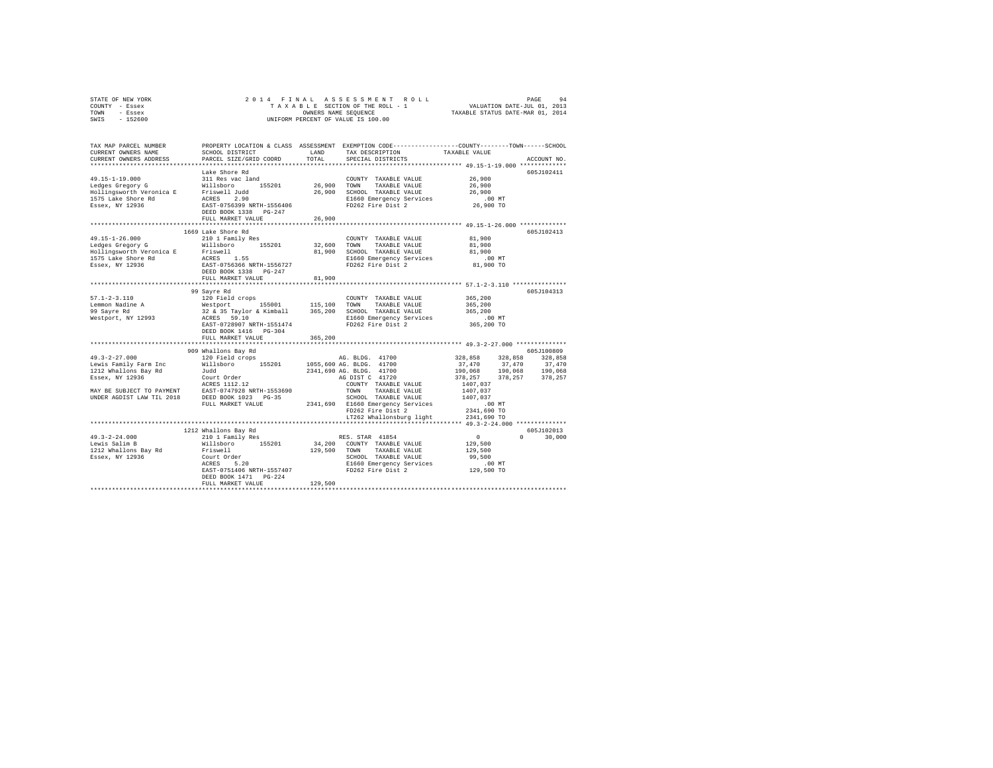| STATE OF NEW YORK | 2014 FINAL ASSESSMENT ROLL         | 94<br>PAGE                       |
|-------------------|------------------------------------|----------------------------------|
| COUNTY - Essex    | TAXABLE SECTION OF THE ROLL - 1    | VALUATION DATE-JUL 01, 2013      |
| TOWN<br>- Essex   | OWNERS NAME SEOUENCE               | TAXABLE STATUS DATE-MAR 01, 2014 |
| - 152600<br>SWIS  | UNIFORM PERCENT OF VALUE IS 100.00 |                                  |

| TAX MAP PARCEL NUMBER<br>CURRENT OWNERS NAME<br>CURRENT OWNERS ADDRESS                                                                            | SCHOOL DISTRICT<br>PARCEL SIZE/GRID COORD                                                                                                               | LAND<br>TOTAL         | TAX DESCRIPTION<br>SPECIAL DISTRICTS                                                                                                                                | PROPERTY LOCATION & CLASS ASSESSMENT EXEMPTION CODE---------------COUNTY-------TOWN-----SCHOOL<br>TAXABLE VALUE<br>ACCOUNT NO.                                        |
|---------------------------------------------------------------------------------------------------------------------------------------------------|---------------------------------------------------------------------------------------------------------------------------------------------------------|-----------------------|---------------------------------------------------------------------------------------------------------------------------------------------------------------------|-----------------------------------------------------------------------------------------------------------------------------------------------------------------------|
|                                                                                                                                                   |                                                                                                                                                         |                       |                                                                                                                                                                     |                                                                                                                                                                       |
| $49.15 - 1 - 19.000$<br>Ledges Gregory G<br>Hollingsworth Veronica E Friswell Judd<br>1575 Lake Shore Rd<br>Essex, NY 12936                       | Lake Shore Rd<br>311 Res vac land<br>Willsboro 155201<br>ACRES 2.90<br>EAST-0756399 NRTH-1556406                                                        |                       | COUNTY TAXABLE VALUE<br>26,900 TOWN TAXABLE VALUE<br>26,900 SCHOOL TAXABLE VALUE<br>E1660 Emergency Services<br>FD262 Fire Dist 2                                   | 605J102411<br>26,900<br>26,900<br>26,900<br>$.00$ MT<br>26,900 TO                                                                                                     |
|                                                                                                                                                   | DEED BOOK 1338 PG-247<br>FULL MARKET VALUE                                                                                                              | 26,900                |                                                                                                                                                                     |                                                                                                                                                                       |
|                                                                                                                                                   |                                                                                                                                                         |                       |                                                                                                                                                                     | ***************************** 49.15-1-26.000 *************                                                                                                            |
| $49.15 - 1 - 26.000$<br>Ledges Gregory G<br>Hollingsworth Veronica E Friswell<br>1575 Lake Shore Rd<br>Essex, NY 12936                            | 1669 Lake Shore Rd<br>210 1 Family Res<br>155201<br>Willsboro<br>ACRES 1.55<br>EAST-0756366 NRTH-1556727<br>DEED BOOK 1338 PG-247                       | 32,600 TOWN<br>81,900 | COUNTY TAXABLE VALUE<br>TAXABLE VALUE<br>SCHOOL TAXABLE VALUE<br>E1660 Emergency Services<br>FD262 Fire Dist 2                                                      | 605J102413<br>81,900<br>81,900<br>81,900<br>$.00$ MT<br>81,900 TO                                                                                                     |
|                                                                                                                                                   | FULL MARKET VALUE                                                                                                                                       | 81,900                |                                                                                                                                                                     |                                                                                                                                                                       |
|                                                                                                                                                   |                                                                                                                                                         |                       |                                                                                                                                                                     |                                                                                                                                                                       |
| $57.1 - 2 - 3.110$<br>Lemmon Nadine A<br>99 Sayre Rd<br>Westport, NY 12993                                                                        | 99 Sayre Rd<br>120 Field crops<br>Westport 155001<br>32 & 35 Taylor & Kimball<br>ACRES 59.10<br>EAST-0728907 NRTH-1551474<br>DEED BOOK 1416 PG-304      | 115,100               | COUNTY TAXABLE VALUE<br>TOWN<br>TAXABLE VALUE<br>365,200 SCHOOL TAXABLE VALUE<br>E1660 Emergency Services<br>FD262 Fire Dist 2                                      | 605J104313<br>365,200<br>365,200<br>365,200<br>$.00$ MT<br>365,200 TO                                                                                                 |
|                                                                                                                                                   | FULL MARKET VALUE                                                                                                                                       | 365,200               |                                                                                                                                                                     |                                                                                                                                                                       |
|                                                                                                                                                   |                                                                                                                                                         |                       |                                                                                                                                                                     |                                                                                                                                                                       |
| $49.3 - 2 - 27.000$<br>Lewis Family Farm Inc<br>1212 Whallons Bay Rd<br>Essex, NY 12936<br>MAY BE SUBJECT TO PAYMENT<br>UNDER AGDIST LAW TIL 2018 | 909 Whallons Bay Rd<br>120 Field crops<br>Willsboro 155201<br>Judd<br>Court Order<br>ACRES 1112.12<br>EAST-0747928 NRTH-1553690<br>DEED BOOK 1023 PG-35 |                       | AG. BLDG. 41700<br>1055,600 AG. BLDG. 41700<br>2341,690 AG, BLDG, 41700<br>AG DIST C 41720<br>COUNTY TAXABLE VALUE<br>TAXABLE VALUE<br>TOWN<br>SCHOOL TAXABLE VALUE | 605J100809<br>328,858<br>328,858 328,858<br>37,470<br>37,470<br>37,470<br>190,068 190,068 190,068<br>378,257<br>378, 257 378, 257<br>1407.037<br>1407,037<br>1407.037 |
|                                                                                                                                                   | FULL MARKET VALUE                                                                                                                                       |                       | 2341,690 E1660 Emergency Services<br>FD262 Fire Dist 2<br>LT262 Whallonsburg light                                                                                  | $.00$ MT<br>2341,690 TO<br>2341,690 TO                                                                                                                                |
|                                                                                                                                                   |                                                                                                                                                         |                       |                                                                                                                                                                     |                                                                                                                                                                       |
| $49.3 - 2 - 24.000$<br>Lewis Salim B<br>1212 Whallons Bay Rd<br>Essex, NY 12936                                                                   | 1212 Whallons Bay Rd<br>210 1 Family Res<br>Willsboro 155201<br>Friswell<br>ACRES 5.20<br>EAST-0751406 NRTH-1557407                                     |                       | RES. STAR 41854<br>34,200 COUNTY TAXABLE VALUE<br>129,500 TOWN TAXABLE VALUE<br>SCHOOL TAXABLE VALUE<br>E1660 Emergency Services<br>FD262 Fire Dist 2               | 605J102013<br>$^{\circ}$<br>$\Omega$<br>30,000<br>129,500<br>129,500<br>99,500<br>.00 MT<br>129,500 TO                                                                |
|                                                                                                                                                   | DEED BOOK 1471 PG-224<br>FULL MARKET VALUE                                                                                                              | 129,500               |                                                                                                                                                                     |                                                                                                                                                                       |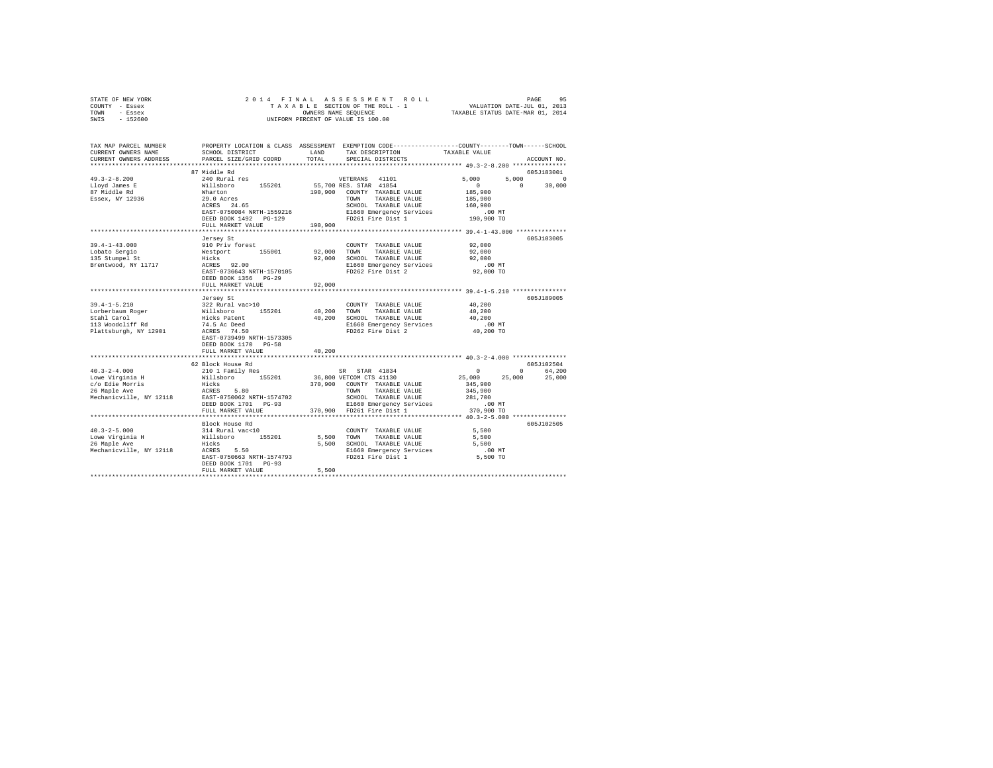| STATE OF NEW YORK<br>COUNTY - Essex<br>TOWN - Essex<br>$-152600$<br>SWIS                                                                                              | 2014 FINAL                                                                          |         | PAGE 95 - PAGE 95 - PAGE 95 - PAGE 95 - PAGE 95 - PAGE 95 - PAGE 95 - PAGE 95 - PAGE 95 - PAGE 95 - PAGE 95 - PAGE 95 - PAGE 95 - PAGE 95 - PAGE 95 - PAGE 95 - PAGE 95 - PAGE 96 - PAGE 96 - PAKABLE STATUS DATE-NAR 01, 2014<br>OWNERS NAME SEQUENCE<br>UNIFORM PERCENT OF VALUE IS 100.00 |                                            |                                    |
|-----------------------------------------------------------------------------------------------------------------------------------------------------------------------|-------------------------------------------------------------------------------------|---------|----------------------------------------------------------------------------------------------------------------------------------------------------------------------------------------------------------------------------------------------------------------------------------------------|--------------------------------------------|------------------------------------|
| TAX MAP PARCEL NUMBER PROPERTY LOCATION & CLASS ASSESSMENT EXEMPTION CODE--------------COUNTY-------TOWN------SCHOOL<br>CURRENT OWNERS NAME<br>CURRENT OWNERS ADDRESS | SCHOOL DISTRICT LAND<br>PARCEL SIZE/GRID COORD                                      | TOTAL   | TAX DESCRIPTION<br>SPECIAL DISTRICTS                                                                                                                                                                                                                                                         | TAXABLE VALUE                              | ACCOUNT NO.                        |
|                                                                                                                                                                       | 87 Middle Rd                                                                        |         |                                                                                                                                                                                                                                                                                              |                                            | 605J183001                         |
| $49.3 - 2 - 8.200$<br>Lloyd James E<br>87 Middle Rd                                                                                                                   | 240 Rural res<br>Willsboro 155201                                                   |         | VETERANS 41101<br>55,700 RES. STAR 41854<br>190,900 COUNTY TAXABLE VALUE                                                                                                                                                                                                                     | 5,000<br>$\sim$ 0<br>185,900               | 5.000<br>$\Omega$<br>$0 \t 30,000$ |
| Essex, NY 12936                                                                                                                                                       | Wharton<br>29.0 Acres<br>ACRES 24.65<br>DEED BOOK 1492 PG-129                       |         | TOWN TAXABLE VALUE<br>FD261 Fire Dist 1                                                                                                                                                                                                                                                      | 185,900<br>160,900<br>.00 MT<br>190,900 TO |                                    |
|                                                                                                                                                                       | FULL MARKET VALUE                                                                   | 190,900 |                                                                                                                                                                                                                                                                                              |                                            |                                    |
|                                                                                                                                                                       | Jersey St                                                                           |         |                                                                                                                                                                                                                                                                                              |                                            | 605J103005                         |
| $39.4 - 1 - 43.000$                                                                                                                                                   | 910 Priv forest                                                                     |         | COUNTY TAXABLE VALUE                                                                                                                                                                                                                                                                         | 92,000                                     |                                    |
| Lobato Sergio<br>135 Stumpel St                                                                                                                                       |                                                                                     |         |                                                                                                                                                                                                                                                                                              | 92,000                                     |                                    |
|                                                                                                                                                                       |                                                                                     |         |                                                                                                                                                                                                                                                                                              | 92,000<br>$.00$ MT                         |                                    |
| Brentwood, NY 11717                                                                                                                                                   | DEED BOOK 1356 PG-29                                                                |         | % Westport 155001 92,000 TOWN TAXABLE VALUE<br>Hicks 92.00 92,000 SCHOOL TAXABLE VALUE<br>ACRES 92.00 EL660 Emergency Services<br>EAST-0736643 NRTH-1570105 FD262 Fire Dist 2<br>TO262 Fire Dist 2<br>E1660 Emergency Services                                                               | 92,000 TO                                  |                                    |
|                                                                                                                                                                       | FULL MARKET VALUE                                                                   | 92,000  |                                                                                                                                                                                                                                                                                              |                                            |                                    |
|                                                                                                                                                                       |                                                                                     |         |                                                                                                                                                                                                                                                                                              |                                            |                                    |
|                                                                                                                                                                       | Jersey St                                                                           |         |                                                                                                                                                                                                                                                                                              |                                            | 605J189005                         |
| $39.4 - 1 - 5.210$                                                                                                                                                    | 322 Rural vac>10                                                                    |         | COUNTY TAXABLE VALUE                                                                                                                                                                                                                                                                         | 40.200                                     |                                    |
|                                                                                                                                                                       |                                                                                     |         | 40,200 TOWN TAXABLE VALUE                                                                                                                                                                                                                                                                    | 40,200<br>40,200                           |                                    |
| Lorberbaum Roger<br>Stahl Carol<br>113 Woodcliff Rd                                                                                                                   |                                                                                     |         | 40,200 SCHOOL TAXABLE VALUE<br>E1660 Emergency Services                                                                                                                                                                                                                                      | .00 MT                                     |                                    |
| Plattsburgh, NY 12901                                                                                                                                                 | 322 Rural vac>10<br>Willsboro 155201<br>Hicks Patent<br>74.5 Ac Deed<br>ACRES 74.50 |         | FD262 Fire Dist 2                                                                                                                                                                                                                                                                            | 40,200 TO                                  |                                    |
|                                                                                                                                                                       | EAST-0739499 NRTH-1573305<br>DEED BOOK 1170 PG-58                                   |         |                                                                                                                                                                                                                                                                                              |                                            |                                    |
|                                                                                                                                                                       | FULL MARKET VALUE                                                                   | 40,200  |                                                                                                                                                                                                                                                                                              |                                            |                                    |
|                                                                                                                                                                       |                                                                                     |         |                                                                                                                                                                                                                                                                                              |                                            |                                    |
|                                                                                                                                                                       | 62 Block House Rd                                                                   |         |                                                                                                                                                                                                                                                                                              |                                            | 605J102504                         |
| $40.3 - 2 - 4.000$                                                                                                                                                    | 210 1 Family Res                                                                    |         | SR STAR 41834                                                                                                                                                                                                                                                                                | $\sim$ 0.000 $\sim$                        | 0 64,200                           |
| Lowe Virginia H<br>c/o Edie Morris<br>26 Maple Ave                                                                                                                    | Willsboro 155201                                                                    |         | 36,800 VETCOM CTS 41130<br>370,900 COUNTY TAXABLE VALUE                                                                                                                                                                                                                                      | 25,000<br>25,000                           | 25,000                             |
|                                                                                                                                                                       | Hicks<br>ACRES 5.80                                                                 |         | TOWN TAXABLE VALUE                                                                                                                                                                                                                                                                           | 345,900<br>345,900                         |                                    |
| Mechanicville, NY 12118                                                                                                                                               | EAST-0750062 NRTH-1574702                                                           |         |                                                                                                                                                                                                                                                                                              |                                            |                                    |
|                                                                                                                                                                       | DEED BOOK 1701 PG-93                                                                |         |                                                                                                                                                                                                                                                                                              |                                            |                                    |
|                                                                                                                                                                       | FULL MARKET VALUE                                                                   |         |                                                                                                                                                                                                                                                                                              |                                            |                                    |
|                                                                                                                                                                       |                                                                                     |         |                                                                                                                                                                                                                                                                                              |                                            |                                    |
|                                                                                                                                                                       | Block House Rd                                                                      |         |                                                                                                                                                                                                                                                                                              |                                            | 605J102505                         |
|                                                                                                                                                                       |                                                                                     |         | COUNTY TAXABLE VALUE                                                                                                                                                                                                                                                                         | 5,500                                      |                                    |
|                                                                                                                                                                       |                                                                                     |         | 5,500 TOWN TAXABLE VALUE                                                                                                                                                                                                                                                                     | 5,500                                      |                                    |
|                                                                                                                                                                       |                                                                                     |         | 5,500 SCHOOL TAXABLE VALUE                                                                                                                                                                                                                                                                   | 5,500                                      |                                    |
|                                                                                                                                                                       |                                                                                     |         | ACRES 5.50 E1660 Emergency Services<br>EAST-0750663 NRTH-1574793 FD261 Fire Dist 1                                                                                                                                                                                                           | $.00$ MT                                   |                                    |
|                                                                                                                                                                       | DEED BOOK 1701 PG-93                                                                |         |                                                                                                                                                                                                                                                                                              | $5,500$ TO                                 |                                    |
|                                                                                                                                                                       | FULL MARKET VALUE                                                                   | 5,500   |                                                                                                                                                                                                                                                                                              |                                            |                                    |
|                                                                                                                                                                       |                                                                                     |         |                                                                                                                                                                                                                                                                                              |                                            |                                    |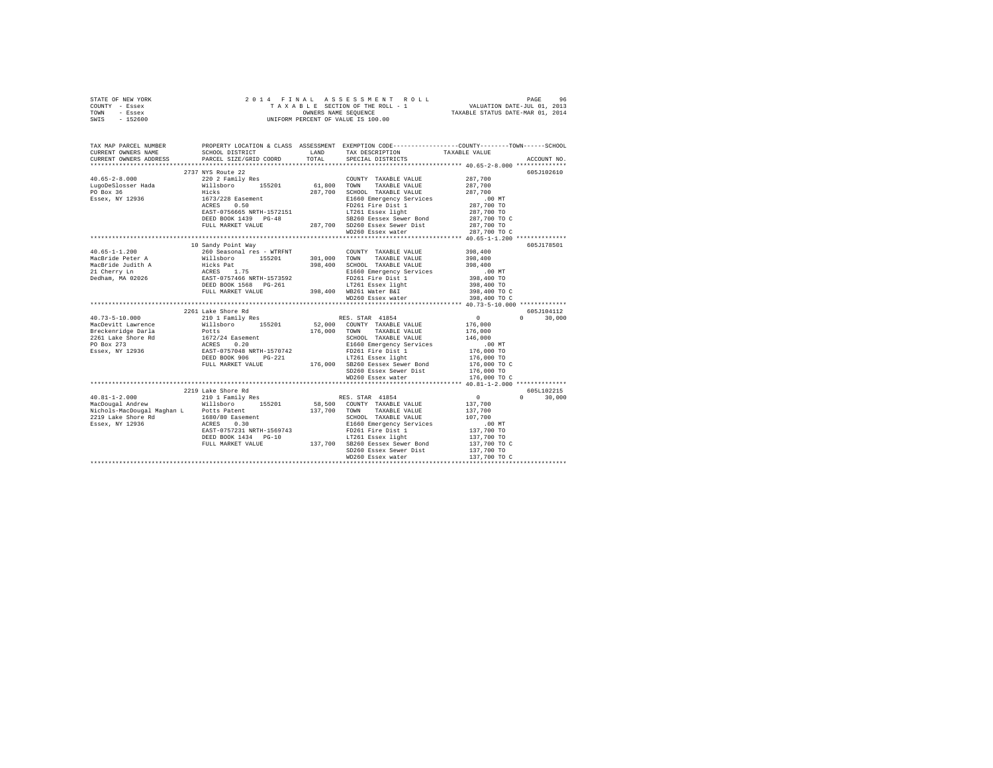| STATE OF NEW YORK                                                                                                                                                                                                                                                                                                                                                                                                                         |                                                                               |              |                                                                                                                |              |               |
|-------------------------------------------------------------------------------------------------------------------------------------------------------------------------------------------------------------------------------------------------------------------------------------------------------------------------------------------------------------------------------------------------------------------------------------------|-------------------------------------------------------------------------------|--------------|----------------------------------------------------------------------------------------------------------------|--------------|---------------|
| COUNTY - Essex                                                                                                                                                                                                                                                                                                                                                                                                                            |                                                                               |              |                                                                                                                |              |               |
| TOWN<br>- Essex                                                                                                                                                                                                                                                                                                                                                                                                                           |                                                                               |              |                                                                                                                |              |               |
| $-152600$<br>SWIS                                                                                                                                                                                                                                                                                                                                                                                                                         |                                                                               |              |                                                                                                                |              |               |
|                                                                                                                                                                                                                                                                                                                                                                                                                                           |                                                                               |              |                                                                                                                |              |               |
|                                                                                                                                                                                                                                                                                                                                                                                                                                           |                                                                               |              |                                                                                                                |              |               |
| TAX MAP PARCEL NUMBER                                                                                                                                                                                                                                                                                                                                                                                                                     |                                                                               |              | PROPERTY LOCATION & CLASS ASSESSMENT EXEMPTION CODE---------------COUNTY-------TOWN-----SCHOOL                 |              |               |
| CURRENT OWNERS NAME                                                                                                                                                                                                                                                                                                                                                                                                                       | SCHOOL DISTRICT LAND                                                          |              | TAX DESCRIPTION TAXABLE VALUE                                                                                  |              |               |
| CURRENT OWNERS ADDRESS                                                                                                                                                                                                                                                                                                                                                                                                                    | PARCEL SIZE/GRID COORD                                                        | TOTAL        | SPECIAL DISTRICTS                                                                                              |              | ACCOUNT NO.   |
|                                                                                                                                                                                                                                                                                                                                                                                                                                           |                                                                               |              |                                                                                                                |              |               |
|                                                                                                                                                                                                                                                                                                                                                                                                                                           | 2737 NYS Route 22                                                             |              |                                                                                                                |              | 605J102610    |
| $40.65 - 2 - 8.000$                                                                                                                                                                                                                                                                                                                                                                                                                       | 220 2 Family Res                                                              |              | COUNTY TAXABLE VALUE                                                                                           | 287,700      |               |
| LugoDeSlosser Hada<br>PO Box 36<br>Essex, NY 12936                                                                                                                                                                                                                                                                                                                                                                                        | Willsboro 155201<br>Hicks                                                     | 61,800 TOWN  | TAXABLE VALUE                                                                                                  | 287,700      |               |
|                                                                                                                                                                                                                                                                                                                                                                                                                                           |                                                                               |              | 287,700 SCHOOL TAXABLE VALUE                                                                                   | 287,700      |               |
|                                                                                                                                                                                                                                                                                                                                                                                                                                           | 1673/228 Easement                                                             |              | E1660 Emergency Seads<br>E1660 Emergency Services                                                              | .00 MT       |               |
|                                                                                                                                                                                                                                                                                                                                                                                                                                           | ACRES 0.50                                                                    |              |                                                                                                                | 287,700 TO   |               |
|                                                                                                                                                                                                                                                                                                                                                                                                                                           | EAST-0756665 NRTH-1572151                                                     |              | LT261 Essex light                                                                                              | 287,700 TO   |               |
|                                                                                                                                                                                                                                                                                                                                                                                                                                           | DEED BOOK 1439 PG-48                                                          |              | SB260 Eessex Sewer Bond                                                                                        | 287,700 TO C |               |
|                                                                                                                                                                                                                                                                                                                                                                                                                                           | FULL MARKET VALUE                                                             |              | 287,700 SD260 Essex Sewer Dist                                                                                 | 287,700 TO   |               |
|                                                                                                                                                                                                                                                                                                                                                                                                                                           |                                                                               |              | WD260 Essex water                                                                                              | 287,700 TO C |               |
|                                                                                                                                                                                                                                                                                                                                                                                                                                           |                                                                               |              |                                                                                                                |              |               |
|                                                                                                                                                                                                                                                                                                                                                                                                                                           | 10 Sandy Point Way                                                            |              |                                                                                                                |              | 605J178501    |
| $40.65 - 1 - 1.200$                                                                                                                                                                                                                                                                                                                                                                                                                       | 260 Seasonal res - WTRFNT                                                     |              | COUNTY TAXABLE VALUE                                                                                           | 398,400      |               |
| MacBride Peter A                                                                                                                                                                                                                                                                                                                                                                                                                          | Willsboro 155201                                                              | 301,000 TOWN | TAXABLE VALUE                                                                                                  | 398,400      |               |
|                                                                                                                                                                                                                                                                                                                                                                                                                                           |                                                                               |              | 398,400 SCHOOL TAXABLE VALUE                                                                                   | 398,400      |               |
| MacBride Judith A<br>21 Cherry Ln<br>Dedham, MA 02026                                                                                                                                                                                                                                                                                                                                                                                     | Hicks Pat<br>RCRES 1.75<br>EAST-0757466 NRTH-1573592<br>DEED BOOK 1568 PG-261 |              | E1660 Emergency Services                                                                                       | $.00$ MT     |               |
|                                                                                                                                                                                                                                                                                                                                                                                                                                           |                                                                               |              | FD261 Fire Dist 1                                                                                              | 398,400 TO   |               |
|                                                                                                                                                                                                                                                                                                                                                                                                                                           |                                                                               |              | DEED BOOK 1568 PG-261 1988 LT261 Essex light<br>FULL MARKET VALUE 398,400 WB261 Water B&I<br>WD260 Essex water | 398,400 TO   |               |
|                                                                                                                                                                                                                                                                                                                                                                                                                                           |                                                                               |              |                                                                                                                | 398,400 TO C |               |
|                                                                                                                                                                                                                                                                                                                                                                                                                                           |                                                                               |              |                                                                                                                | 398,400 TO C |               |
|                                                                                                                                                                                                                                                                                                                                                                                                                                           |                                                                               |              |                                                                                                                |              | 605J104112    |
| $\begin{tabular}{l c c c c} \multicolumn{3}{c }{40.73-5-10.000} & $\hspace{0.1cm}$\multicolumn{3}{c }{\textbf{M}aCDevitt Lawrence}} & $\hspace{0.1cm}$\multicolumn{3}{c }{\textbf{M}aCDevitt Lawrence}} & $\hspace{0.1cm}$\multicolumn{3}{c }{\textbf{M}aCDevitt Lawrence}} & $\hspace{0.1cm}$\multicolumn{3}{c }{\textbf{M}aCDevitt Lawďer} & $\hspace{0.1cm}$\multicolumn{3}{c }{\textbf{M}aCDevit Law} & $\hspace{0.1cm}$\multicolumn$ |                                                                               |              |                                                                                                                | $\sim$ 0     | $0 \t 30.000$ |
|                                                                                                                                                                                                                                                                                                                                                                                                                                           |                                                                               |              |                                                                                                                | 176,000      |               |
|                                                                                                                                                                                                                                                                                                                                                                                                                                           |                                                                               |              |                                                                                                                | 176,000      |               |
|                                                                                                                                                                                                                                                                                                                                                                                                                                           |                                                                               |              |                                                                                                                | 146,000      |               |
|                                                                                                                                                                                                                                                                                                                                                                                                                                           |                                                                               |              | E1660 Emergency Services                                                                                       | .00 MT       |               |
|                                                                                                                                                                                                                                                                                                                                                                                                                                           |                                                                               |              |                                                                                                                | 176,000 TO   |               |
|                                                                                                                                                                                                                                                                                                                                                                                                                                           |                                                                               |              |                                                                                                                | 176,000 TO   |               |
|                                                                                                                                                                                                                                                                                                                                                                                                                                           |                                                                               |              |                                                                                                                | 176,000 то с |               |
|                                                                                                                                                                                                                                                                                                                                                                                                                                           |                                                                               |              |                                                                                                                | 176,000 TO   |               |
|                                                                                                                                                                                                                                                                                                                                                                                                                                           |                                                                               |              | WD260 Essex water                                                                                              | 176,000 TO C |               |
|                                                                                                                                                                                                                                                                                                                                                                                                                                           |                                                                               |              |                                                                                                                |              |               |
|                                                                                                                                                                                                                                                                                                                                                                                                                                           | 2219 Lake Shore Rd                                                            |              |                                                                                                                |              | 605L102215    |
| $40.81 - 1 - 2.000$                                                                                                                                                                                                                                                                                                                                                                                                                       | 9 Lake Shore Rd<br>210 1 Family Res                                           |              | RES. STAR 41854                                                                                                | $\sim$ 0     | $0 \t 30,000$ |
| MacDougal Andrew                                                                                                                                                                                                                                                                                                                                                                                                                          | Willsboro 155201                                                              |              | 58,500 COUNTY TAXABLE VALUE                                                                                    | 137,700      |               |
| Nichols-MacDougal Maghan L Potts Patent                                                                                                                                                                                                                                                                                                                                                                                                   |                                                                               |              | 137,700 TOWN TAXABLE VALUE                                                                                     | 137,700      |               |
|                                                                                                                                                                                                                                                                                                                                                                                                                                           |                                                                               |              |                                                                                                                | 107,700      |               |
|                                                                                                                                                                                                                                                                                                                                                                                                                                           |                                                                               |              | SCHOOL TAXABLE value<br>E1660 Emergency Services<br>FD261 Fire Dist 1<br>------ measy light                    | $.00$ MT     |               |
|                                                                                                                                                                                                                                                                                                                                                                                                                                           | EAST-0757231 NRTH-1569743                                                     |              |                                                                                                                | 137,700 TO   |               |
|                                                                                                                                                                                                                                                                                                                                                                                                                                           | DEED BOOK 1434 PG-10                                                          |              |                                                                                                                | 137,700 TO   |               |
|                                                                                                                                                                                                                                                                                                                                                                                                                                           | FULL MARKET VALUE                                                             |              | -10 LT261 Essex light<br>137,700 SB260 Eessex Sewer Bond                                                       | 137,700 TO C |               |
|                                                                                                                                                                                                                                                                                                                                                                                                                                           |                                                                               |              | SD260 Essex Sewer Dist                                                                                         | 137,700 TO   |               |
|                                                                                                                                                                                                                                                                                                                                                                                                                                           |                                                                               |              | WD260 Essex water                                                                                              | 137,700 TO C |               |
|                                                                                                                                                                                                                                                                                                                                                                                                                                           |                                                                               |              |                                                                                                                |              |               |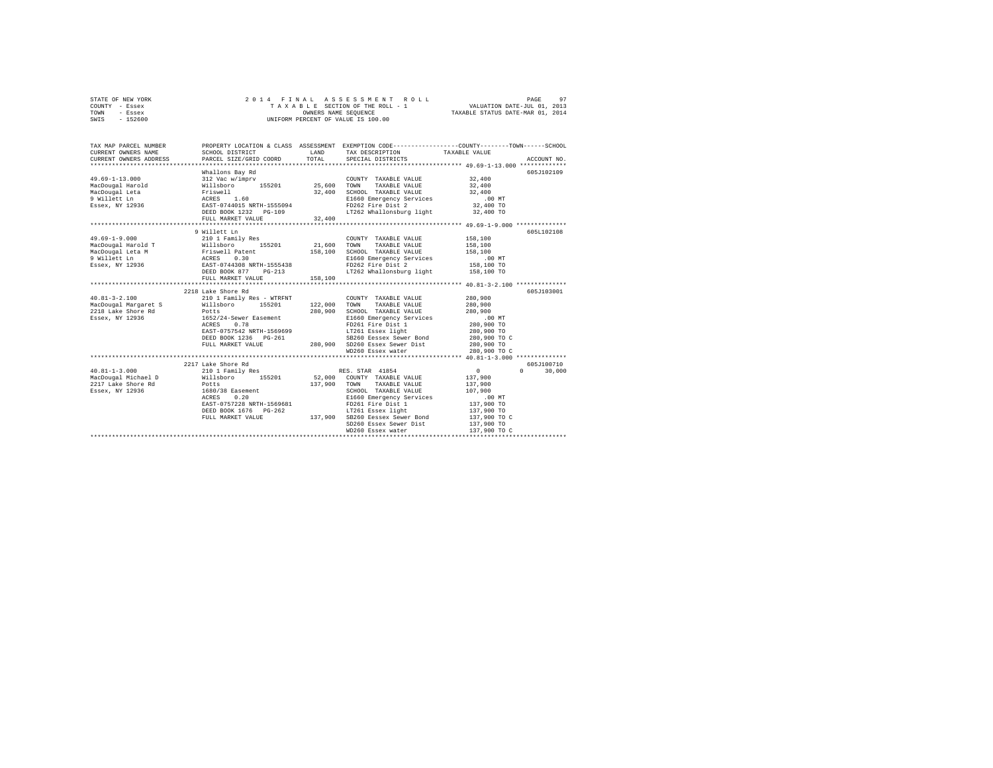| STATE OF NEW YORK | 2014 FINAL ASSESSMENT ROLL         | PAGE                             |
|-------------------|------------------------------------|----------------------------------|
| COUNTY - Essex    | TAXABLE SECTION OF THE ROLL - 1    | VALUATION DATE-JUL 01, 2013      |
| TOWN<br>- Essex   | OWNERS NAME SEOUENCE               | TAXABLE STATUS DATE-MAR 01, 2014 |
| $-152600$<br>SWIS | UNIFORM PERCENT OF VALUE IS 100.00 |                                  |

| SCHOOL DISTRICT<br>PARCEL SIZE/GRID COORD | LAND               | SPECIAL DISTRICTS |                                                                                                                                                                                                                                                                                                                                             | ACCOUNT NO.                                                                                                                                                                                                                                                                                                                                                                                                                                                                                                                                                                                                                                                                                                                                                                                                                                                                                                                                                     |
|-------------------------------------------|--------------------|-------------------|---------------------------------------------------------------------------------------------------------------------------------------------------------------------------------------------------------------------------------------------------------------------------------------------------------------------------------------------|-----------------------------------------------------------------------------------------------------------------------------------------------------------------------------------------------------------------------------------------------------------------------------------------------------------------------------------------------------------------------------------------------------------------------------------------------------------------------------------------------------------------------------------------------------------------------------------------------------------------------------------------------------------------------------------------------------------------------------------------------------------------------------------------------------------------------------------------------------------------------------------------------------------------------------------------------------------------|
| Whallons Bay Rd                           |                    |                   |                                                                                                                                                                                                                                                                                                                                             | 605J102109                                                                                                                                                                                                                                                                                                                                                                                                                                                                                                                                                                                                                                                                                                                                                                                                                                                                                                                                                      |
| 9 Willett Ln<br>FULL MARKET VALUE         |                    |                   |                                                                                                                                                                                                                                                                                                                                             | 605L102108                                                                                                                                                                                                                                                                                                                                                                                                                                                                                                                                                                                                                                                                                                                                                                                                                                                                                                                                                      |
|                                           |                    |                   |                                                                                                                                                                                                                                                                                                                                             |                                                                                                                                                                                                                                                                                                                                                                                                                                                                                                                                                                                                                                                                                                                                                                                                                                                                                                                                                                 |
| ACRES 0.78                                |                    |                   | 900, ں۔۔۔<br>280, 900<br>290                                                                                                                                                                                                                                                                                                                | 605J103001                                                                                                                                                                                                                                                                                                                                                                                                                                                                                                                                                                                                                                                                                                                                                                                                                                                                                                                                                      |
| 2217 Lake Shore Rd                        |                    |                   | $\sim$ 0 $\sim$ 0 $\sim$ 0 $\sim$ 0 $\sim$ 0 $\sim$ 0 $\sim$ 0 $\sim$ 0 $\sim$ 0 $\sim$ 0 $\sim$ 0 $\sim$ 0 $\sim$ 0 $\sim$ 0 $\sim$ 0 $\sim$ 0 $\sim$ 0 $\sim$ 0 $\sim$ 0 $\sim$ 0 $\sim$ 0 $\sim$ 0 $\sim$ 0 $\sim$ 0 $\sim$ 0 $\sim$ 0 $\sim$ 0 $\sim$ 0 $\sim$ 0 $\sim$ 0 $\sim$ 0 $\sim$<br>137,900 TO C<br>137,900 TO<br>137,900 TO C | 605J100710<br>$\Omega$<br>30,000                                                                                                                                                                                                                                                                                                                                                                                                                                                                                                                                                                                                                                                                                                                                                                                                                                                                                                                                |
|                                           | 2218 Lake Shore Rd |                   | TOTAL<br>DEED BOOK 1232 PG-109<br>FULL MARKET VALUE 32,400<br>210 1 Family Res<br>158,100                                                                                                                                                                                                                                                   | PROPERTY LOCATION & CLASS ASSESSMENT EXEMPTION CODE----------------COUNTY-------TOWN-----SCHOOL<br>TAX DESCRIPTION TAXABLE VALUE<br>LT262 Whallonsburg light 32,400 TO<br>COUNTY TAXABLE VALUE 158,100<br>19.0001 21,600 TOWN TAXABLE VALUE 159,100<br>MacDougal Beta M Priswell Patent 158,100 TOWN TAXABLE VALUE 158,100<br>MacDougal Beta M Priswell Patent 158,100 SCHOOL TAXABLE VALUE<br>MacDougal Beta Priswell Packs 0.30<br>Patent RESS<br>COUNTY TAXABLE VALUE 280,900<br>1652/24-Sewer Easement 1999-1990 Emergency Services<br>ACRES 0.78 FOR FORD FOR FORE 1992 FOR FORES 0.78 FACE 0.79 FOR FORES 0.79 FOR FORES 0.79 FOR FORE 280,900 TO<br>EAST-0757542 NRLn=12000000<br>DEED BOOK 1236 PG-261 280,900 SD260 Essex Sewer Dist 280,900 TO C<br>FULL MARKET VALUE 280,900 SD260 Essex water 280,900 TO C<br>COLLECTION CONTROL CONTRACT 2000 SD260 ESSEX water<br>210 1 Family Res RES. STAR 41854<br>SD260 Essex Sewer Dist<br>WD260 Essex water |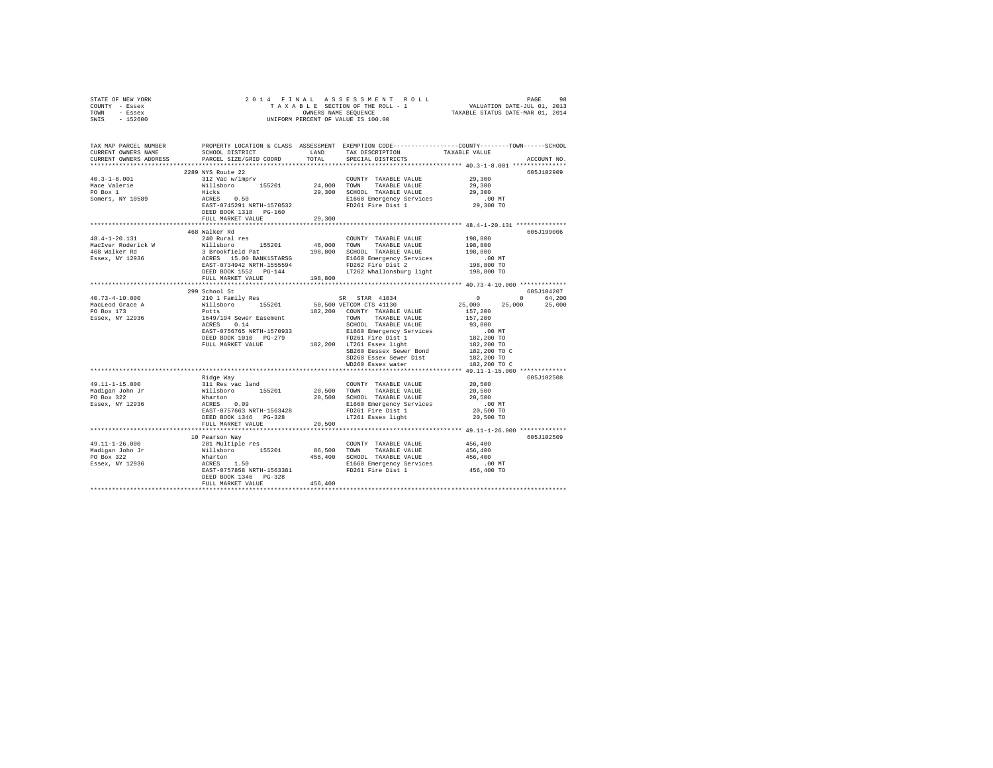| STATE OF NEW YORK                               |                                                                                                                                                                                                                                                |         |                                                                                                                                                                                                                                                                                                                                                                                                                                                           |                                                 |             |
|-------------------------------------------------|------------------------------------------------------------------------------------------------------------------------------------------------------------------------------------------------------------------------------------------------|---------|-----------------------------------------------------------------------------------------------------------------------------------------------------------------------------------------------------------------------------------------------------------------------------------------------------------------------------------------------------------------------------------------------------------------------------------------------------------|-------------------------------------------------|-------------|
| COUNTY - Essex                                  |                                                                                                                                                                                                                                                |         |                                                                                                                                                                                                                                                                                                                                                                                                                                                           |                                                 |             |
| TOWN - Essex                                    |                                                                                                                                                                                                                                                |         |                                                                                                                                                                                                                                                                                                                                                                                                                                                           |                                                 |             |
| SWIS - 152600                                   |                                                                                                                                                                                                                                                |         |                                                                                                                                                                                                                                                                                                                                                                                                                                                           |                                                 |             |
|                                                 |                                                                                                                                                                                                                                                |         |                                                                                                                                                                                                                                                                                                                                                                                                                                                           |                                                 |             |
|                                                 |                                                                                                                                                                                                                                                |         |                                                                                                                                                                                                                                                                                                                                                                                                                                                           |                                                 |             |
|                                                 | TAX MAP PARCEL NUMBER PROPERTY LOCATION & CLASS ASSESSMENT EXEMPTION CODE---------------COUNTY-------TOWN-----SCHOOL                                                                                                                           |         |                                                                                                                                                                                                                                                                                                                                                                                                                                                           |                                                 |             |
| CURRENT OWNERS NAME                             | SCHOOL DISTRICT                                                                                                                                                                                                                                | LAND    | TAX DESCRIPTION                                                                                                                                                                                                                                                                                                                                                                                                                                           | TAXABLE VALUE                                   |             |
| CURRENT OWNERS ADDRESS                          | PARCEL SIZE/GRID COORD                                                                                                                                                                                                                         | TOTAL   | SPECIAL DISTRICTS                                                                                                                                                                                                                                                                                                                                                                                                                                         |                                                 | ACCOUNT NO. |
|                                                 |                                                                                                                                                                                                                                                |         |                                                                                                                                                                                                                                                                                                                                                                                                                                                           |                                                 |             |
|                                                 | 2289 NYS Route 22                                                                                                                                                                                                                              |         |                                                                                                                                                                                                                                                                                                                                                                                                                                                           |                                                 | 605J102909  |
| $40.3 - 1 - 8.001$                              | 312 Vac w/imprv                                                                                                                                                                                                                                |         | COUNTY TAXABLE VALUE 29,300                                                                                                                                                                                                                                                                                                                                                                                                                               |                                                 |             |
|                                                 |                                                                                                                                                                                                                                                |         |                                                                                                                                                                                                                                                                                                                                                                                                                                                           | 29,300                                          |             |
| Mace Valerie<br>PO Box 1<br>Somers, NY 10589    | Williaboro 155201 24,000 TOWN TAXABLE VALUE<br>Milliaboro 155201 24,000 TOWN TAXABLE VALUE<br>Hicks 0.50 29,300 SCHOOL TAXABLE VALUE<br>RACRES 0.50 E1660 Emergency Services<br>PEED BOOK 1318 PG-160 PD261 Fire Dist 1                        |         |                                                                                                                                                                                                                                                                                                                                                                                                                                                           | 29,300                                          |             |
|                                                 |                                                                                                                                                                                                                                                |         |                                                                                                                                                                                                                                                                                                                                                                                                                                                           |                                                 |             |
|                                                 |                                                                                                                                                                                                                                                |         |                                                                                                                                                                                                                                                                                                                                                                                                                                                           | 00 MT.<br>29,300 TO                             |             |
|                                                 |                                                                                                                                                                                                                                                |         |                                                                                                                                                                                                                                                                                                                                                                                                                                                           |                                                 |             |
|                                                 |                                                                                                                                                                                                                                                |         |                                                                                                                                                                                                                                                                                                                                                                                                                                                           |                                                 |             |
|                                                 | FULL MARKET VALUE                                                                                                                                                                                                                              | 29,300  |                                                                                                                                                                                                                                                                                                                                                                                                                                                           |                                                 |             |
|                                                 |                                                                                                                                                                                                                                                |         |                                                                                                                                                                                                                                                                                                                                                                                                                                                           |                                                 |             |
|                                                 | 468 Walker Rd                                                                                                                                                                                                                                  |         |                                                                                                                                                                                                                                                                                                                                                                                                                                                           |                                                 | 605J199006  |
| 48.4-1-20.131                                   | 240 Rural res                                                                                                                                                                                                                                  |         | COUNTY TAXABLE VALUE                                                                                                                                                                                                                                                                                                                                                                                                                                      | 198,800                                         |             |
|                                                 |                                                                                                                                                                                                                                                |         |                                                                                                                                                                                                                                                                                                                                                                                                                                                           |                                                 |             |
|                                                 |                                                                                                                                                                                                                                                |         |                                                                                                                                                                                                                                                                                                                                                                                                                                                           |                                                 |             |
|                                                 |                                                                                                                                                                                                                                                |         |                                                                                                                                                                                                                                                                                                                                                                                                                                                           |                                                 |             |
|                                                 |                                                                                                                                                                                                                                                |         |                                                                                                                                                                                                                                                                                                                                                                                                                                                           |                                                 |             |
|                                                 |                                                                                                                                                                                                                                                |         |                                                                                                                                                                                                                                                                                                                                                                                                                                                           |                                                 |             |
|                                                 |                                                                                                                                                                                                                                                |         |                                                                                                                                                                                                                                                                                                                                                                                                                                                           |                                                 |             |
|                                                 |                                                                                                                                                                                                                                                |         |                                                                                                                                                                                                                                                                                                                                                                                                                                                           |                                                 |             |
|                                                 | 299 School St                                                                                                                                                                                                                                  |         |                                                                                                                                                                                                                                                                                                                                                                                                                                                           | 605J104207                                      |             |
| $40.73 - 4 - 10.000$                            | 299 School Strainly Res SR STAR 41834<br>2010 1 Family Res 1130,000 VETCOM CTS 41130<br>Potts 164/194 Sever Easement 182,200 COUNTY TAXABLE VALUE<br>Potts 164/194 Sever Easement TAXABLE VALUE<br>RATER SCHOOL TAXABLE VALUE<br>RATER 1       |         |                                                                                                                                                                                                                                                                                                                                                                                                                                                           |                                                 |             |
|                                                 |                                                                                                                                                                                                                                                |         |                                                                                                                                                                                                                                                                                                                                                                                                                                                           | $0$ 0 64,200<br>25,000 25,000 25,000<br>157,200 |             |
| MacLeod Grace A<br>PO Box 173                   |                                                                                                                                                                                                                                                |         |                                                                                                                                                                                                                                                                                                                                                                                                                                                           |                                                 |             |
|                                                 |                                                                                                                                                                                                                                                |         |                                                                                                                                                                                                                                                                                                                                                                                                                                                           |                                                 |             |
| Essex, NY 12936                                 |                                                                                                                                                                                                                                                |         |                                                                                                                                                                                                                                                                                                                                                                                                                                                           |                                                 |             |
|                                                 |                                                                                                                                                                                                                                                |         |                                                                                                                                                                                                                                                                                                                                                                                                                                                           |                                                 |             |
|                                                 |                                                                                                                                                                                                                                                |         |                                                                                                                                                                                                                                                                                                                                                                                                                                                           |                                                 |             |
|                                                 |                                                                                                                                                                                                                                                |         |                                                                                                                                                                                                                                                                                                                                                                                                                                                           |                                                 |             |
|                                                 |                                                                                                                                                                                                                                                |         |                                                                                                                                                                                                                                                                                                                                                                                                                                                           |                                                 |             |
|                                                 | FULL MARKET VALUE                                                                                                                                                                                                                              |         | SB260 Eessex Sewer Bond                                                                                                                                                                                                                                                                                                                                                                                                                                   | 182,200 TO C                                    |             |
|                                                 |                                                                                                                                                                                                                                                |         |                                                                                                                                                                                                                                                                                                                                                                                                                                                           | 182,200 TO                                      |             |
|                                                 |                                                                                                                                                                                                                                                |         | SD260 Essex Sewer Dist<br>WD260 Essex water                                                                                                                                                                                                                                                                                                                                                                                                               | 182,200 TO C                                    |             |
|                                                 |                                                                                                                                                                                                                                                |         |                                                                                                                                                                                                                                                                                                                                                                                                                                                           |                                                 |             |
|                                                 | Ridge Way<br>311 Res vac land<br>311 Res vac land<br>20,500 TOWN TAXABLE VALUE<br>20,500 SCHOOL TAXABLE VALUE<br>20,500 SCHOOL TAXABLE VALUE<br>20,500 SCHOOL TAXABLE VALUE<br>20,500 E1660 Emergency Services<br>20,500 E1660 Emergency Servi |         |                                                                                                                                                                                                                                                                                                                                                                                                                                                           |                                                 | 605J102508  |
|                                                 |                                                                                                                                                                                                                                                |         | $\begin{tabular}{lllllllll} \multicolumn{4}{c}{\textbf{COUNTY}} & \textbf{TAXABLE VALUE} & & & & 20,500 \\ \multicolumn{4}{c}{20,500} & \textbf{TOWN} & \textbf{TAXABLE VALUE} & & & 20,500 \\ \multicolumn{4}{c}{\textbf{20,500}} & & & \multicolumn{4}{c}{\textbf{TAYABLE VALUE}} & & & \multicolumn{4}{c}{\textbf{20,500}} \\ \multicolumn{4}{c}{\textbf{500}} & & & \multicolumn{4}{c}{\textbf{500}} & & & \multicolumn{4}{c}{\textbf{500}} \\ \mult$ |                                                 |             |
| 49.11-1-15.000<br>Madigan John Jr<br>PO Box 322 |                                                                                                                                                                                                                                                |         |                                                                                                                                                                                                                                                                                                                                                                                                                                                           |                                                 |             |
|                                                 |                                                                                                                                                                                                                                                |         |                                                                                                                                                                                                                                                                                                                                                                                                                                                           | 20,500                                          |             |
|                                                 |                                                                                                                                                                                                                                                |         |                                                                                                                                                                                                                                                                                                                                                                                                                                                           |                                                 |             |
| Essex, NY 12936                                 |                                                                                                                                                                                                                                                |         |                                                                                                                                                                                                                                                                                                                                                                                                                                                           | $.00$ MT                                        |             |
|                                                 |                                                                                                                                                                                                                                                |         |                                                                                                                                                                                                                                                                                                                                                                                                                                                           | 20,500 TO                                       |             |
|                                                 |                                                                                                                                                                                                                                                |         |                                                                                                                                                                                                                                                                                                                                                                                                                                                           | 20,500 TO                                       |             |
|                                                 |                                                                                                                                                                                                                                                |         |                                                                                                                                                                                                                                                                                                                                                                                                                                                           |                                                 |             |
|                                                 |                                                                                                                                                                                                                                                |         |                                                                                                                                                                                                                                                                                                                                                                                                                                                           |                                                 |             |
|                                                 | 10 Pearson Way                                                                                                                                                                                                                                 |         |                                                                                                                                                                                                                                                                                                                                                                                                                                                           |                                                 | 605J102509  |
|                                                 |                                                                                                                                                                                                                                                |         | COUNTY TAXABLE VALUE<br>86,500 TOWN TAXABLE VALUE<br>COUNTY TAXABLE VALUE 456,400                                                                                                                                                                                                                                                                                                                                                                         |                                                 |             |
|                                                 |                                                                                                                                                                                                                                                |         |                                                                                                                                                                                                                                                                                                                                                                                                                                                           | 456,400                                         |             |
|                                                 |                                                                                                                                                                                                                                                |         |                                                                                                                                                                                                                                                                                                                                                                                                                                                           | 456,400                                         |             |
|                                                 |                                                                                                                                                                                                                                                |         |                                                                                                                                                                                                                                                                                                                                                                                                                                                           |                                                 |             |
|                                                 |                                                                                                                                                                                                                                                |         |                                                                                                                                                                                                                                                                                                                                                                                                                                                           | 00 MT.<br>456,400 TO                            |             |
|                                                 | DEED BOOK 1346 PG-328                                                                                                                                                                                                                          |         |                                                                                                                                                                                                                                                                                                                                                                                                                                                           |                                                 |             |
|                                                 | FULL MARKET VALUE                                                                                                                                                                                                                              | 456,400 |                                                                                                                                                                                                                                                                                                                                                                                                                                                           |                                                 |             |
|                                                 |                                                                                                                                                                                                                                                |         |                                                                                                                                                                                                                                                                                                                                                                                                                                                           |                                                 |             |
|                                                 |                                                                                                                                                                                                                                                |         |                                                                                                                                                                                                                                                                                                                                                                                                                                                           |                                                 |             |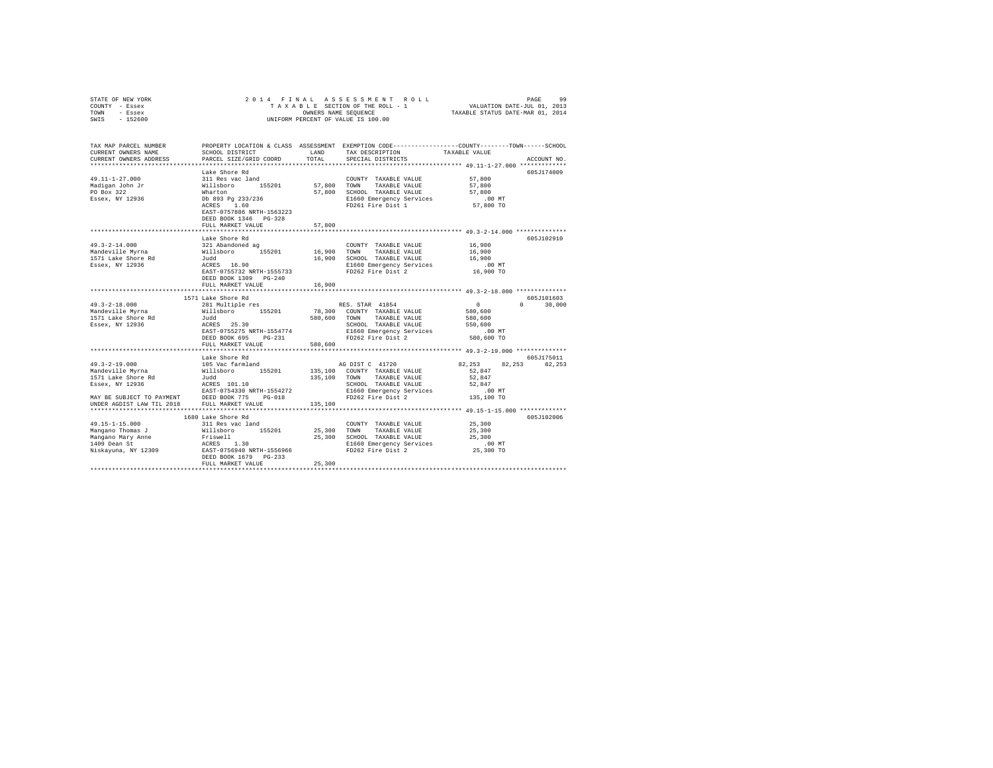| STATE OF NEW YORK<br>COUNTY - Essex                         | 2014 FINAL<br>ASSESSMENT ROLL<br>PAGE<br>99<br>TAXABLE SECTION OF THE ROLL - 1                                                |         |                                                                                                |                    |                 |  |
|-------------------------------------------------------------|-------------------------------------------------------------------------------------------------------------------------------|---------|------------------------------------------------------------------------------------------------|--------------------|-----------------|--|
| - Essex<br>TOWN                                             | VALUATION DATE-JUL 01, 2013<br>TAXABLE STATUS DATE-MAR 01, 2014<br>OWNERS NAME SEQUENCE<br>UNIFORM PERCENT OF VALUE IS 100.00 |         |                                                                                                |                    |                 |  |
| SWIS<br>$-152600$                                           |                                                                                                                               |         |                                                                                                |                    |                 |  |
|                                                             |                                                                                                                               |         |                                                                                                |                    |                 |  |
| TAX MAP PARCEL NUMBER                                       |                                                                                                                               |         | PROPERTY LOCATION & CLASS ASSESSMENT EXEMPTION CODE---------------COUNTY-------TOWN-----SCHOOL |                    |                 |  |
| CURRENT OWNERS NAME                                         | SCHOOL DISTRICT                                                                                                               | LAND    | TAX DESCRIPTION                                                                                | TAXABLE VALUE      |                 |  |
| CURRENT OWNERS ADDRESS                                      | PARCEL SIZE/GRID COORD                                                                                                        | TOTAL   | SPECIAL DISTRICTS                                                                              |                    | ACCOUNT NO.     |  |
|                                                             |                                                                                                                               |         |                                                                                                |                    |                 |  |
|                                                             | Lake Shore Rd                                                                                                                 |         |                                                                                                |                    | 605J174009      |  |
| 49.11-1-27.000                                              | 311 Res vac land                                                                                                              |         | COUNTY TAXABLE VALUE                                                                           | 57,800             |                 |  |
| Madigan John Jr                                             |                                                                                                                               |         | 57.800 TOWN TAXABLE VALUE                                                                      | 57,800             |                 |  |
| PO Box 322                                                  | Willsboro 155201<br>Wharton                                                                                                   |         | 57,800 SCHOOL TAXABLE VALUE                                                                    | 57,800             |                 |  |
| Essex, NY 12936                                             | Db 893 Pg 233/236<br>ACRES 1.60                                                                                               |         | E1660 Emergency Services                                                                       | .00MT              |                 |  |
|                                                             |                                                                                                                               |         | FD261 Fire Dist 1                                                                              | 57,800 TO          |                 |  |
|                                                             | EAST-0757886 NRTH-1563223                                                                                                     |         |                                                                                                |                    |                 |  |
|                                                             | DEED BOOK 1346 PG-328                                                                                                         |         |                                                                                                |                    |                 |  |
|                                                             | FULL MARKET VALUE                                                                                                             | 57,800  |                                                                                                |                    |                 |  |
|                                                             |                                                                                                                               |         | ********************************** 49.3-2-14.000 **************                                |                    |                 |  |
|                                                             | Lake Shore Rd                                                                                                                 |         |                                                                                                |                    | 605J102910      |  |
| $49.3 - 2 - 14.000$                                         | 321 Abandoned ag                                                                                                              |         | COUNTY TAXABLE VALUE                                                                           | 16,900             |                 |  |
| Mandeville Myrna                                            | Willsboro 155201                                                                                                              | 16,900  | TOWN TAXABLE VALUE                                                                             | 16,900             |                 |  |
| 1571 Lake Shore Rd                                          | Judd<br>$ACRES$ 16.90                                                                                                         | 16,900  | SCHOOL TAXABLE VALUE                                                                           | 16,900             |                 |  |
| Essex, NY 12936                                             |                                                                                                                               |         | E1660 Emergency Services                                                                       | $.00$ MT           |                 |  |
|                                                             | EAST-0755732 NRTH-1555733<br>DEED BOOK 1309 PG-240                                                                            |         | FD262 Fire Dist 2                                                                              | 16,900 TO          |                 |  |
|                                                             | FULL MARKET VALUE                                                                                                             | 16,900  |                                                                                                |                    |                 |  |
|                                                             |                                                                                                                               |         |                                                                                                |                    |                 |  |
|                                                             | 1571 Lake Shore Rd                                                                                                            |         |                                                                                                |                    | 605J101603      |  |
| $49.3 - 2 - 18.000$                                         | 281 Multiple res                                                                                                              |         | RES. STAR 41854                                                                                | $\sim$ 0           | $0 \t 30,000$   |  |
| Mandeville Myrna                                            | Willsboro 155201                                                                                                              |         | 78,300 COUNTY TAXABLE VALUE                                                                    | 580,600            |                 |  |
| 1571 Lake Shore Rd                                          | Judd                                                                                                                          |         | 580,600 TOWN TAXABLE VALUE                                                                     | 580,600            |                 |  |
| Essex, NY 12936                                             | ACRES 25.30                                                                                                                   |         | SCHOOL TAXABLE VALUE                                                                           | 550,600            |                 |  |
|                                                             | EAST-0755275 NRTH-1554774                                                                                                     |         | E1660 Emergency Services                                                                       | $.00$ MT           |                 |  |
|                                                             | DEED BOOK 695 PG-231                                                                                                          |         | FD262 Fire Dist 2                                                                              | 580,600 TO         |                 |  |
|                                                             | FULL MARKET VALUE                                                                                                             | 580,600 |                                                                                                |                    |                 |  |
|                                                             |                                                                                                                               |         |                                                                                                |                    |                 |  |
|                                                             | Lake Shore Rd                                                                                                                 |         |                                                                                                |                    | 605J175011      |  |
| $49.3 - 2 - 19.000$                                         | 105 Vac farmland                                                                                                              |         | AG DIST C 41720                                                                                | 82,253             | 82, 253 82, 253 |  |
| Mandeville Myrna                                            | Willsboro 155201                                                                                                              |         | 135,100 COUNTY TAXABLE VALUE                                                                   | 52,847             |                 |  |
| 1571 Lake Shore Rd<br>1571 Lake Snore Aw<br>Essex, NY 12936 | Judd                                                                                                                          |         | 135,100 TOWN TAXABLE VALUE                                                                     | 52,847             |                 |  |
|                                                             |                                                                                                                               |         | SCHOOL TAXABLE VALUE                                                                           | 52.847             |                 |  |
|                                                             | EAST-0754330 NRTH-1554272                                                                                                     |         | E1660 Emergency Services                                                                       | $.00$ MT           |                 |  |
|                                                             |                                                                                                                               |         | FD262 Fire Dist 2                                                                              | 135,100 TO         |                 |  |
|                                                             |                                                                                                                               | 135,100 |                                                                                                |                    |                 |  |
|                                                             |                                                                                                                               |         |                                                                                                |                    |                 |  |
|                                                             | 1680 Lake Shore Rd                                                                                                            |         |                                                                                                |                    | 605J102006      |  |
| $49.15 - 1 - 15.000$                                        | 311 Res vac land                                                                                                              |         | COUNTY TAXABLE VALUE                                                                           | 25,300             |                 |  |
|                                                             |                                                                                                                               |         | TOWN TAXABLE VALUE                                                                             | 25,300             |                 |  |
|                                                             |                                                                                                                               |         | 25,300 SCHOOL TAXABLE VALUE                                                                    | 25,300<br>$.00$ MT |                 |  |
|                                                             |                                                                                                                               |         | E1660 Emergency Services<br>FD262 Fire Dist 2                                                  | 25,300 TO          |                 |  |
|                                                             | DEED BOOK 1679 PG-233                                                                                                         |         |                                                                                                |                    |                 |  |
|                                                             | FULL MARKET VALUE                                                                                                             | 25,300  |                                                                                                |                    |                 |  |
|                                                             |                                                                                                                               |         |                                                                                                |                    |                 |  |
|                                                             |                                                                                                                               |         |                                                                                                |                    |                 |  |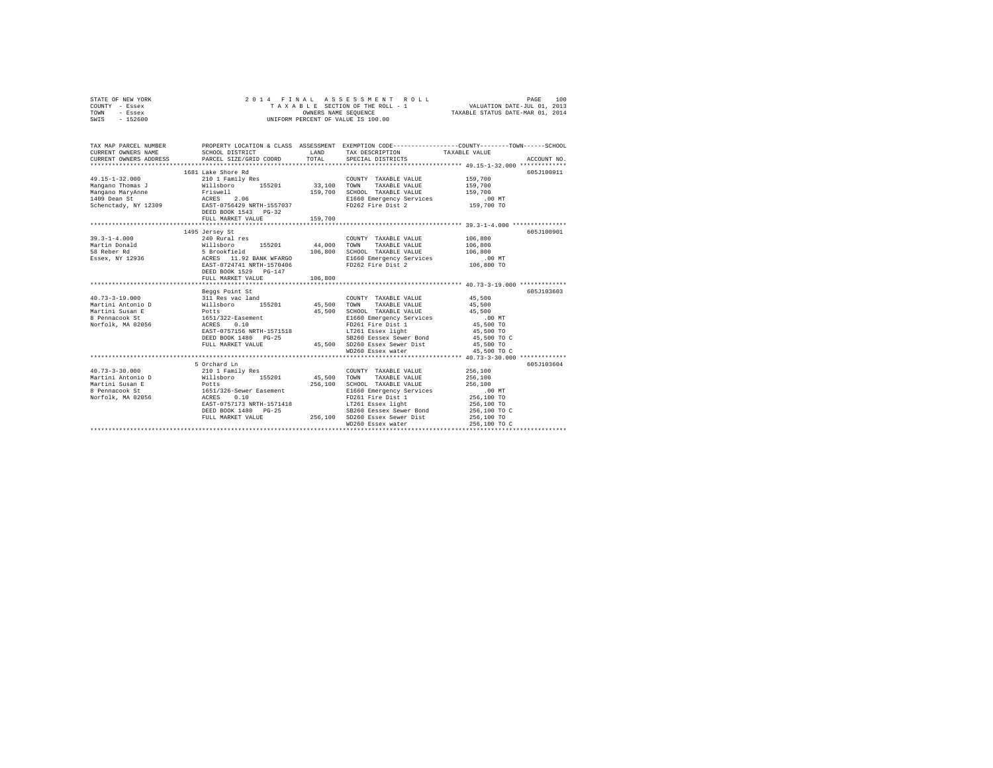| STATE OF NEW YORK<br>COUNTY - Essex<br>TOWN<br>- Essex<br>SWIS - 152600                                                                                                                  | TAXABLE SECTION OF IRE NOW THE WALK ON STRUCK THAT CONSERN THE SECTION OF THE RESPONSE TO A SECTION OF THE SECTION OF THE SECTION OF THE SECTION OF THE SECTION OF THE SECTION OF THE SECTION OF THE SECTION OF THE SECTION OF                                  |                   | ASSESSMENT ROLL                                                                                                                                                                                                           | PAGE<br>100<br>TAXABLE SECTION OF THE ROLL - 1 VALUATION DATE-JUL 01, 2013<br>OWNERS NAME SEQUENCE TAXABLE STATUS DATE-MAR 01, 2014                    |
|------------------------------------------------------------------------------------------------------------------------------------------------------------------------------------------|-----------------------------------------------------------------------------------------------------------------------------------------------------------------------------------------------------------------------------------------------------------------|-------------------|---------------------------------------------------------------------------------------------------------------------------------------------------------------------------------------------------------------------------|--------------------------------------------------------------------------------------------------------------------------------------------------------|
| CURRENT OWNERS NAME<br>CURRENT OWNERS ADDRESS                                                                                                                                            | SCHOOL DISTRICT<br>PARCEL SIZE/GRID COORD                                                                                                                                                                                                                       |                   |                                                                                                                                                                                                                           | TAX MAP PARCEL NUMBER THE PROPERTY LOCATION & CLASS ASSESSMENT EXEMPTION CODE-------------COUNTY-------TOWN-----SCHOOL<br>TAXABLE VALUE<br>ACCOUNT NO. |
|                                                                                                                                                                                          | 1681 Lake Shore Rd<br>DEED BOOK 1543    PG-32                                                                                                                                                                                                                   |                   | COUNTY TAXABLE VALUE<br>TAXABLE VALUE<br>SCHOOL TAXABLE VALUE<br>E1660 Emergency Services<br>FD262 Fire Dist 2                                                                                                            | 605-7100911<br>159,700<br>159,700<br>159,700<br>$.00$ MT<br>159,700 TO                                                                                 |
|                                                                                                                                                                                          | FULL MARKET VALUE                                                                                                                                                                                                                                               | 159,700           |                                                                                                                                                                                                                           | 605J100901                                                                                                                                             |
| $39.3 - 1 - 4.000$<br>Martin Donald<br>58 Reber Rd<br>Essex, NY 12936                                                                                                                    | 1495 Jersey St<br>240 Rural res<br>Willsboro 155201 44,000 TOWN TAXABLE VALUE<br>5 Brookfield 106,800 SCHOOL TAXABLE VALUE<br>ACRES 11.92 BANK WFARGO BLOGO EMOTOR FORES 11.92 BANK WFARGO BAST-0724741 NRTH-1570406 FD262 Fire Dist 2<br>DEED BOOK 1529 PG-147 |                   | COUNTY TAXABLE VALUE                                                                                                                                                                                                      | 106,800<br>106,800<br>106,800<br>.00 MT<br>106,800 TO                                                                                                  |
|                                                                                                                                                                                          | FULL MARKET VALUE                                                                                                                                                                                                                                               | 106,800           |                                                                                                                                                                                                                           | ********************** 40.73-3-19.000 *************                                                                                                    |
| 40.73-3-19.000<br>Martini Antonio D 311 Res vac land<br>Martini Susan E Potts<br>Martini Susan B Potts<br>8 Pennacook St 1651/322-Easement<br>Norfolk, MA 02056 ACRES 0.10               | Beggs Point St<br>EAST-0757156 NRTH-1571518<br>DEED BOOK 1480 PG-25<br>FULL MARKET VALUE                                                                                                                                                                        | 45,500<br>45,500  | COUNTY TAXABLE VALUE<br>TOWN TAXABLE VALUE<br>SCHOOL TAXABLE VALUE<br>E1660 Emergency Services<br>FD261 Fire Dist 1<br>LT261 Essex light<br>SB260 Eessex Sewer Bond<br>45,500 SD260 Essex Sewer Dist<br>WD260 Essex water | 605J103603<br>45,500<br>45,500<br>45,500<br>.00 MT<br>00 MT.<br>45,500 TO<br>45,500 TO<br>45,500 TO C<br>45,500 TO<br>45,500 TO C                      |
|                                                                                                                                                                                          | 5 Orchard Ln                                                                                                                                                                                                                                                    |                   |                                                                                                                                                                                                                           | 605J103604                                                                                                                                             |
| $40.73 - 3 - 30.000$<br>Martini Antonio D<br>Martini Australian B<br>Martini Australian B<br>Martini Australian B<br>Potts<br>1651/326-Sever Easement<br>Norfolk, MA 02056<br>ACRES 0.10 | 210 1 Family Res<br>EAST-0757173 NRTH-1571418<br>DEED BOOK 1480 PG-25<br>FULL MARKET VALUE                                                                                                                                                                      | 45,500<br>256,100 | COUNTY TAXABLE VALUE<br>TOWN<br>TAXABLE VALUE<br>SCHOOL TAXABLE VALUE<br>E1660 Emergency Services<br>FD261 Fire Dist 1<br>LT261 Essex light<br>SB260 Eessex Sewer Bond<br>256,100 SD260 Essex Sewer Dist                  | 256,100<br>256,100<br>256,100<br>.00 MT<br>256,100 TO<br>256,100 TO<br>256,100 TO C<br>256,100 TO                                                      |
|                                                                                                                                                                                          |                                                                                                                                                                                                                                                                 |                   | WD260 Essex water                                                                                                                                                                                                         | 256,100 TO C                                                                                                                                           |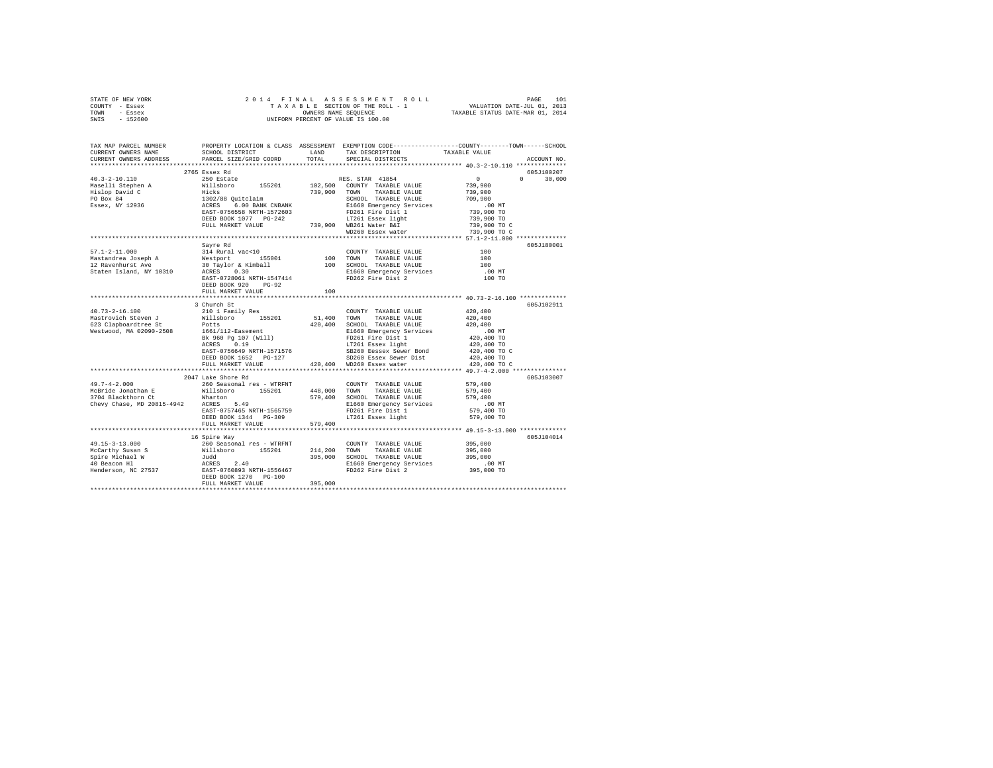|      | STATE OF NEW YORK |  |  | 2014 FINAL ASSESSMENT ROLL         |                                  | PAGE                        | 101 |
|------|-------------------|--|--|------------------------------------|----------------------------------|-----------------------------|-----|
|      | COUNTY - Essex    |  |  | TAXABLE SECTION OF THE ROLL - 1    |                                  | VALUATION DATE-JUL 01, 2013 |     |
| TOWN | - Essex           |  |  | OWNERS NAME SEOUENCE               | TAXABLE STATUS DATE-MAR 01, 2014 |                             |     |
| SWIS | $-152600$         |  |  | UNIFORM PERCENT OF VALUE IS 100.00 |                                  |                             |     |

| TAX MAP PARCEL NUMBER<br>CURRENT OWNERS NAME                        | SCHOOL DISTRICT                                                    | LAND                 | TAX DESCRIPTION                                                                                                                                                                                                                                      | PROPERTY LOCATION & CLASS ASSESSMENT EXEMPTION CODE---------------COUNTY-------TOWN------SCHOOL<br>TAXABLE VALUE |
|---------------------------------------------------------------------|--------------------------------------------------------------------|----------------------|------------------------------------------------------------------------------------------------------------------------------------------------------------------------------------------------------------------------------------------------------|------------------------------------------------------------------------------------------------------------------|
| CURRENT OWNERS ADDRESS                                              | PARCEL SIZE/GRID COORD                                             | TOTAL                | SPECIAL DISTRICTS                                                                                                                                                                                                                                    | ACCOUNT NO.                                                                                                      |
|                                                                     |                                                                    |                      |                                                                                                                                                                                                                                                      | 605J100207                                                                                                       |
|                                                                     |                                                                    |                      |                                                                                                                                                                                                                                                      | $\sim$ 0<br>$\Omega$<br>30,000                                                                                   |
|                                                                     |                                                                    |                      |                                                                                                                                                                                                                                                      | 739,900                                                                                                          |
|                                                                     |                                                                    |                      |                                                                                                                                                                                                                                                      | 739,900                                                                                                          |
|                                                                     |                                                                    |                      |                                                                                                                                                                                                                                                      | 709,900                                                                                                          |
|                                                                     |                                                                    |                      |                                                                                                                                                                                                                                                      | .00 MT                                                                                                           |
|                                                                     |                                                                    |                      |                                                                                                                                                                                                                                                      | 739,900 TO                                                                                                       |
|                                                                     |                                                                    |                      |                                                                                                                                                                                                                                                      | 739,900 TO                                                                                                       |
|                                                                     |                                                                    |                      |                                                                                                                                                                                                                                                      | 739,900 TO C                                                                                                     |
|                                                                     |                                                                    |                      | WD260 Essex water                                                                                                                                                                                                                                    | 739,900 TO C                                                                                                     |
|                                                                     |                                                                    |                      |                                                                                                                                                                                                                                                      |                                                                                                                  |
|                                                                     | Savre Rd                                                           |                      |                                                                                                                                                                                                                                                      | 605J180001                                                                                                       |
| $57.1 - 2 - 11.000$                                                 |                                                                    |                      |                                                                                                                                                                                                                                                      | 100                                                                                                              |
| Mastandrea Joseph A                                                 |                                                                    |                      |                                                                                                                                                                                                                                                      | 100                                                                                                              |
| 12 Ravenhurst Ave                                                   |                                                                    |                      |                                                                                                                                                                                                                                                      | 100                                                                                                              |
| Staten Island, NY 10310                                             |                                                                    |                      |                                                                                                                                                                                                                                                      | $.00$ MT                                                                                                         |
|                                                                     |                                                                    |                      |                                                                                                                                                                                                                                                      | 100 TO                                                                                                           |
|                                                                     | DEED BOOK 920 PG-92                                                |                      |                                                                                                                                                                                                                                                      |                                                                                                                  |
|                                                                     | FULL MARKET VALUE                                                  | 100                  |                                                                                                                                                                                                                                                      |                                                                                                                  |
|                                                                     |                                                                    |                      |                                                                                                                                                                                                                                                      |                                                                                                                  |
|                                                                     | 3 Church St                                                        |                      |                                                                                                                                                                                                                                                      | 605J102911                                                                                                       |
| 40.73-2-16.100<br>Mastrovich Steven J                               |                                                                    | COUNT<br>51,400 TOWN | COUNTY TAXABLE VALUE<br>TAXABLE VALUE                                                                                                                                                                                                                | 420,400<br>420,400                                                                                               |
| 623 Clapboardtree St                                                |                                                                    |                      |                                                                                                                                                                                                                                                      | 420,400                                                                                                          |
| Westwood, MA 02090-2508                                             | 210 1 Family Res<br>Willsboro 155201<br>Potts<br>1661/112-Easement |                      | 420,400 SCHOOL TAXABLE VALUE<br>E1660 Emergency Services                                                                                                                                                                                             | .00MT                                                                                                            |
|                                                                     |                                                                    |                      |                                                                                                                                                                                                                                                      | 420,400 TO                                                                                                       |
|                                                                     |                                                                    |                      |                                                                                                                                                                                                                                                      | 420,400 TO                                                                                                       |
|                                                                     |                                                                    |                      |                                                                                                                                                                                                                                                      | 420,400 TO C                                                                                                     |
|                                                                     |                                                                    |                      |                                                                                                                                                                                                                                                      | 420,400 TO                                                                                                       |
|                                                                     |                                                                    |                      | 1661/112-Easement<br>Response 10.1 (Will)<br>Response 1.1 (Will)<br>RESE 0.19<br>RESE 1.1 (Will)<br>RESE 1.1 (Will)<br>RESE 1.1 (Will)<br>12261 Essex light<br>DEED BOOK 1652 PG-127<br>120,400 SD260 Essex Sewer Dist<br>DEED BOOK 1652 PG-127<br>1 | 420,400 TO C                                                                                                     |
|                                                                     |                                                                    |                      |                                                                                                                                                                                                                                                      |                                                                                                                  |
|                                                                     | 2047 Lake Shore Rd                                                 |                      |                                                                                                                                                                                                                                                      | 605J103007                                                                                                       |
| $49.7 - 4 - 2.000$                                                  | 260 Seasonal res - WTRFNT                                          |                      | COUNTY TAXABLE VALUE                                                                                                                                                                                                                                 | 579,400                                                                                                          |
|                                                                     |                                                                    |                      |                                                                                                                                                                                                                                                      | 579,400                                                                                                          |
|                                                                     |                                                                    |                      | 448,000 TOWN TAXABLE VALUE<br>579,400 SCHOOL TAXABLE VALUE                                                                                                                                                                                           | 579,400                                                                                                          |
| 3704 Blackthorn Ct Wharton<br>Chevy Chase, MD 20815-4942 ACRES 5.49 |                                                                    |                      | E1660 Emergency Services                                                                                                                                                                                                                             | $.00$ MT                                                                                                         |
|                                                                     | EAST-0757465 NRTH-1565759                                          |                      | FD261 Fire Dist 1                                                                                                                                                                                                                                    | 579,400 TO                                                                                                       |
|                                                                     | DEED BOOK 1344 PG-309                                              |                      | LT261 Essex light                                                                                                                                                                                                                                    | 579,400 TO                                                                                                       |
|                                                                     | FULL MARKET VALUE                                                  | 579,400              |                                                                                                                                                                                                                                                      |                                                                                                                  |
|                                                                     |                                                                    |                      |                                                                                                                                                                                                                                                      |                                                                                                                  |
|                                                                     | 16 Spire Way                                                       |                      |                                                                                                                                                                                                                                                      | 605J104014                                                                                                       |
|                                                                     |                                                                    |                      | COUNTY TAXABLE VALUE 395,000                                                                                                                                                                                                                         |                                                                                                                  |
|                                                                     |                                                                    |                      | 214,200 TOWN TAXABLE VALUE                                                                                                                                                                                                                           | 395,000                                                                                                          |
|                                                                     |                                                                    |                      | 395,000 SCHOOL TAXABLE VALUE                                                                                                                                                                                                                         | 395,000                                                                                                          |
|                                                                     |                                                                    |                      | E1660 Emergency Services                                                                                                                                                                                                                             | $.00$ MT                                                                                                         |
|                                                                     |                                                                    |                      | FD262 Fire Dist 2                                                                                                                                                                                                                                    | 395,000 TO                                                                                                       |
|                                                                     |                                                                    |                      |                                                                                                                                                                                                                                                      |                                                                                                                  |
|                                                                     | FULL MARKET VALUE                                                  | 395,000              |                                                                                                                                                                                                                                                      |                                                                                                                  |
|                                                                     |                                                                    |                      |                                                                                                                                                                                                                                                      |                                                                                                                  |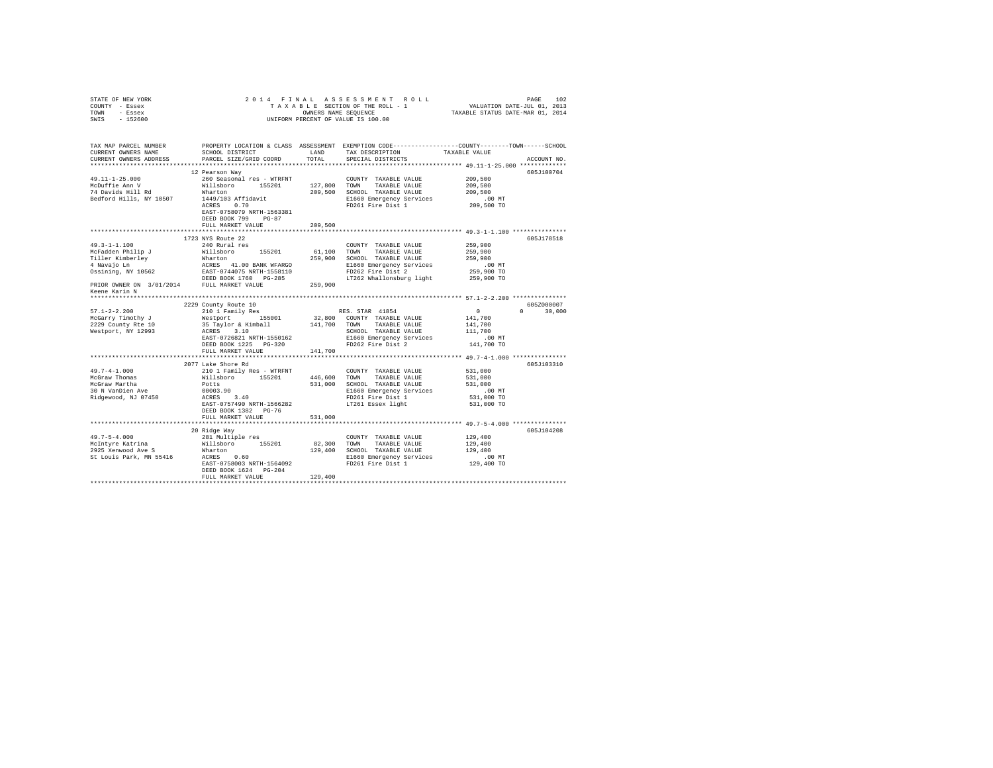| STATE OF NEW YORK<br>COUNTY - Essex<br>TOWN - Essex                                                                                                                                                                                                                                                                                                                                                             | 4 FINAL ASSESSMENT ROLL TAXABLE SECTION OF THE ROLL TAXABLE SECTION OF THE ROLL - 1<br>TAXABLE SECTION OF THE ROLL - 1 WALUATION DATE-JUL 01, 2013<br>OWNERS NAME SEQUENCE  TAXABLE STATUS DATE-MAR 01, 2014<br>2014 FINAL<br>OWNERS NAME SEQUENCE<br>UNIFORM PERCENT OF VALUE IS 100.00 |         |                                                                                                                                                                                        |                          |               |
|-----------------------------------------------------------------------------------------------------------------------------------------------------------------------------------------------------------------------------------------------------------------------------------------------------------------------------------------------------------------------------------------------------------------|------------------------------------------------------------------------------------------------------------------------------------------------------------------------------------------------------------------------------------------------------------------------------------------|---------|----------------------------------------------------------------------------------------------------------------------------------------------------------------------------------------|--------------------------|---------------|
| SWIS - 152600                                                                                                                                                                                                                                                                                                                                                                                                   |                                                                                                                                                                                                                                                                                          |         |                                                                                                                                                                                        |                          |               |
| TAX MAP PARCEL NUMBER PROPERTY LOCATION & CLASS ASSESSMENT EXEMPTION CODE--------------COUNTY-------TOWN------SCHOOL<br>CURRENT OWNERS NAME                                                                                                                                                                                                                                                                     | SCHOOL DISTRICT                                                                                                                                                                                                                                                                          | LAND    | TAX DESCRIPTION                                                                                                                                                                        | TAXABLE VALUE            |               |
| CURRENT OWNERS ADDRESS                                                                                                                                                                                                                                                                                                                                                                                          | PARCEL SIZE/GRID COORD                                                                                                                                                                                                                                                                   | TOTAL   | SPECIAL DISTRICTS                                                                                                                                                                      |                          | ACCOUNT NO.   |
|                                                                                                                                                                                                                                                                                                                                                                                                                 |                                                                                                                                                                                                                                                                                          |         |                                                                                                                                                                                        |                          |               |
|                                                                                                                                                                                                                                                                                                                                                                                                                 | 12 Pearson Way                                                                                                                                                                                                                                                                           |         |                                                                                                                                                                                        |                          | 605J100704    |
| $49.11 - 1 - 25.000$                                                                                                                                                                                                                                                                                                                                                                                            | 260 Seasonal res - WTRFNT                                                                                                                                                                                                                                                                |         | COUNTY TAXABLE VALUE                                                                                                                                                                   | 209,500                  |               |
| McDuffie Ann V                                                                                                                                                                                                                                                                                                                                                                                                  | Willsboro 155201<br>Wharton                                                                                                                                                                                                                                                              |         | 127,800 TOWN TAXABLE VALUE<br>209,500 SCHOOL TAXABLE VALUE                                                                                                                             | 209,500<br>209,500       |               |
| Bedford Hills, NY 10507                                                                                                                                                                                                                                                                                                                                                                                         | 1449/103 Affidavit                                                                                                                                                                                                                                                                       |         | E1660 Emergency Services                                                                                                                                                               | .00 MT                   |               |
|                                                                                                                                                                                                                                                                                                                                                                                                                 | ACRES 0.70                                                                                                                                                                                                                                                                               |         | FD261 Fire Dist 1                                                                                                                                                                      | 209,500 TO               |               |
|                                                                                                                                                                                                                                                                                                                                                                                                                 | EAST-0758079 NRTH-1563381                                                                                                                                                                                                                                                                |         |                                                                                                                                                                                        |                          |               |
|                                                                                                                                                                                                                                                                                                                                                                                                                 | DEED BOOK 799 PG-87                                                                                                                                                                                                                                                                      |         |                                                                                                                                                                                        |                          |               |
|                                                                                                                                                                                                                                                                                                                                                                                                                 | FULL MARKET VALUE                                                                                                                                                                                                                                                                        | 209,500 |                                                                                                                                                                                        |                          |               |
|                                                                                                                                                                                                                                                                                                                                                                                                                 |                                                                                                                                                                                                                                                                                          |         |                                                                                                                                                                                        |                          |               |
| $49.3 - 1 - 1.100$                                                                                                                                                                                                                                                                                                                                                                                              | 1723 NYS Route 22<br>240 Rural res                                                                                                                                                                                                                                                       |         |                                                                                                                                                                                        |                          | 605J178518    |
|                                                                                                                                                                                                                                                                                                                                                                                                                 |                                                                                                                                                                                                                                                                                          |         | COUNTY TAXABLE VALUE<br>61,100 TOWN TAXABLE VALUE                                                                                                                                      | 259,900<br>259,900       |               |
|                                                                                                                                                                                                                                                                                                                                                                                                                 |                                                                                                                                                                                                                                                                                          |         | 259,900 SCHOOL TAXABLE VALUE                                                                                                                                                           | 259,900                  |               |
|                                                                                                                                                                                                                                                                                                                                                                                                                 |                                                                                                                                                                                                                                                                                          |         | E1660 Emergency Services                                                                                                                                                               | $.00$ MT                 |               |
|                                                                                                                                                                                                                                                                                                                                                                                                                 |                                                                                                                                                                                                                                                                                          |         | FD262 Fire Dist 2                                                                                                                                                                      | 259,900 TO               |               |
|                                                                                                                                                                                                                                                                                                                                                                                                                 |                                                                                                                                                                                                                                                                                          |         | LT262 Whallonsburg light                                                                                                                                                               | 259,900 TO               |               |
| $\begin{tabular}{lllllllllll} \texttt{A9.5--1--1}.\texttt{10} & \texttt{William 1} & \texttt{Willsboro} & \texttt{259.900} \\ \texttt{Mefaden Philip J} & \texttt{What} & \texttt{Marton} & \texttt{259.900} \\ \texttt{4 Naval In} & \texttt{Max10.5} & \texttt{259.900} & \texttt{259.900} \\ \texttt{4 Naval In} & \texttt{2582--0744075 NRTH--1558110} \\ \texttt{Ossining, NY 10562} & \texttt{259.900} &$ |                                                                                                                                                                                                                                                                                          |         |                                                                                                                                                                                        |                          |               |
| Keene Karin N                                                                                                                                                                                                                                                                                                                                                                                                   |                                                                                                                                                                                                                                                                                          |         |                                                                                                                                                                                        |                          |               |
|                                                                                                                                                                                                                                                                                                                                                                                                                 | 2229 County Route 10                                                                                                                                                                                                                                                                     |         |                                                                                                                                                                                        |                          | 605Z000007    |
| $57.1 - 2 - 2.200$                                                                                                                                                                                                                                                                                                                                                                                              | 223 Councy Route 10<br>210 1 Family Res                                                                                                                                                                                                                                                  |         | RES. STAR 41854                                                                                                                                                                        | $\sim$ 0                 | $0 \t 30.000$ |
| McGarry Timothy J                                                                                                                                                                                                                                                                                                                                                                                               | Westport 155001                                                                                                                                                                                                                                                                          |         | 32,800 COUNTY TAXABLE VALUE                                                                                                                                                            | 141,700                  |               |
| 2229 County Rte 10                                                                                                                                                                                                                                                                                                                                                                                              | 35 Taylor & Kimball                                                                                                                                                                                                                                                                      |         | 141,700 TOWN TAXABLE VALUE                                                                                                                                                             | 141,700                  |               |
| Westport, NY 12993                                                                                                                                                                                                                                                                                                                                                                                              | ACRES 3.10                                                                                                                                                                                                                                                                               |         |                                                                                                                                                                                        | 111,700                  |               |
|                                                                                                                                                                                                                                                                                                                                                                                                                 |                                                                                                                                                                                                                                                                                          |         |                                                                                                                                                                                        | .00 MT                   |               |
|                                                                                                                                                                                                                                                                                                                                                                                                                 | FULL MARKET VALUE                                                                                                                                                                                                                                                                        |         | 33 Taylor and the SCHOOL TAXABLE VALUE<br>ACRES 3.10<br>EAST-0726821 NRTH-1550162<br>PERST-0726821 NRTH-1550162<br>PERST PORT PO-320<br>PERST PERST PORT PORT PORT PORT PORT PORT PORT | 141,700 TO               |               |
|                                                                                                                                                                                                                                                                                                                                                                                                                 |                                                                                                                                                                                                                                                                                          | 141,700 |                                                                                                                                                                                        |                          |               |
|                                                                                                                                                                                                                                                                                                                                                                                                                 | 2077 Lake Shore Rd                                                                                                                                                                                                                                                                       |         |                                                                                                                                                                                        |                          | 605J103310    |
| $49.7 - 4 - 1.000$                                                                                                                                                                                                                                                                                                                                                                                              | 210 1 Family Res - WTRFNT                                                                                                                                                                                                                                                                |         | COUNTY TAXABLE VALUE                                                                                                                                                                   | 531,000                  |               |
| McGraw Thomas                                                                                                                                                                                                                                                                                                                                                                                                   | Willsboro 155201                                                                                                                                                                                                                                                                         |         | 446,600 TOWN TAXABLE VALUE                                                                                                                                                             | 531,000                  |               |
| McGraw Martha<br>30 N VanDien Ave                                                                                                                                                                                                                                                                                                                                                                               | Potts<br>00003.90<br>ACRES ___ 3.40                                                                                                                                                                                                                                                      |         | 531,000 SCHOOL TAXABLE VALUE<br>E1660 Emergency Services                                                                                                                               | 531,000                  |               |
|                                                                                                                                                                                                                                                                                                                                                                                                                 |                                                                                                                                                                                                                                                                                          |         |                                                                                                                                                                                        | .00 MT                   |               |
| Ridgewood, NJ 07450                                                                                                                                                                                                                                                                                                                                                                                             | EAST-0757490 NRTH-1566282                                                                                                                                                                                                                                                                |         | FD261 Fire Dist 1                                                                                                                                                                      | 531,000 TO<br>531,000 TO |               |
|                                                                                                                                                                                                                                                                                                                                                                                                                 | DEED BOOK 1382 PG-76                                                                                                                                                                                                                                                                     |         | LT261 Essex light                                                                                                                                                                      |                          |               |
|                                                                                                                                                                                                                                                                                                                                                                                                                 | FULL MARKET VALUE                                                                                                                                                                                                                                                                        | 531,000 |                                                                                                                                                                                        |                          |               |
|                                                                                                                                                                                                                                                                                                                                                                                                                 |                                                                                                                                                                                                                                                                                          |         |                                                                                                                                                                                        |                          |               |
|                                                                                                                                                                                                                                                                                                                                                                                                                 | 20 Ridge Way                                                                                                                                                                                                                                                                             |         |                                                                                                                                                                                        |                          | 605J104208    |
| 49.7-5-4.000<br>McIntyre Katrina<br>2925 Xenwood Ave S                                                                                                                                                                                                                                                                                                                                                          | 281 Multiple res                                                                                                                                                                                                                                                                         |         | COUNTY TAXABLE VALUE                                                                                                                                                                   | 129,400                  |               |
|                                                                                                                                                                                                                                                                                                                                                                                                                 | Willsboro 155201                                                                                                                                                                                                                                                                         |         | 82,300 TOWN TAXABLE VALUE                                                                                                                                                              | 129,400                  |               |
| St Louis Park, MN 55416 ACRES 0.60                                                                                                                                                                                                                                                                                                                                                                              | Wharton                                                                                                                                                                                                                                                                                  |         | 129,400 SCHOOL TAXABLE VALUE<br>E1660 Emergency Services<br>FD261 Fire Dist 1                                                                                                          | 129,400                  |               |
|                                                                                                                                                                                                                                                                                                                                                                                                                 | EAST-0758003 NRTH-1564092                                                                                                                                                                                                                                                                |         |                                                                                                                                                                                        | 00 MT.<br>129,400 TO     |               |
|                                                                                                                                                                                                                                                                                                                                                                                                                 | DEED BOOK 1624 PG-204                                                                                                                                                                                                                                                                    |         |                                                                                                                                                                                        |                          |               |
|                                                                                                                                                                                                                                                                                                                                                                                                                 | FULL MARKET VALUE                                                                                                                                                                                                                                                                        | 129,400 |                                                                                                                                                                                        |                          |               |
|                                                                                                                                                                                                                                                                                                                                                                                                                 |                                                                                                                                                                                                                                                                                          |         |                                                                                                                                                                                        |                          |               |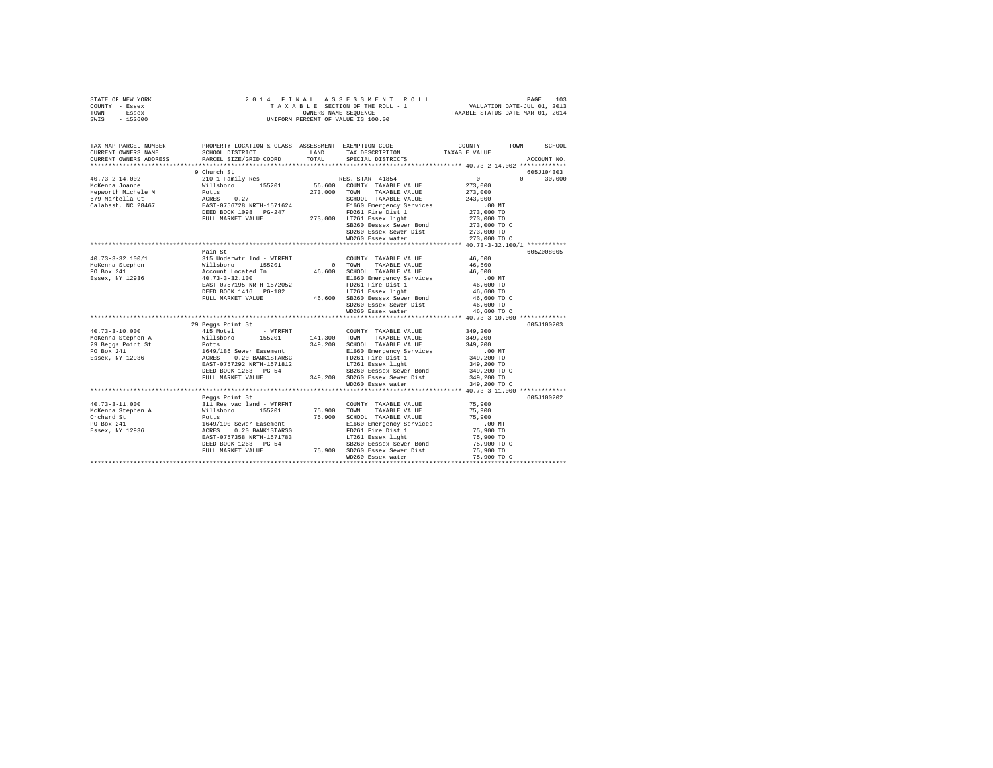| STATE OF NEW YORK | 2014 FINAL ASSESSMENT ROLL         | 103<br>PAGE                      |
|-------------------|------------------------------------|----------------------------------|
| COUNTY - Essex    | TAXABLE SECTION OF THE ROLL - 1    | VALUATION DATE-JUL 01, 2013      |
| TOWN<br>- Essex   | OWNERS NAME SEOUENCE               | TAXABLE STATUS DATE-MAR 01, 2014 |
| $-152600$<br>SWIS | UNIFORM PERCENT OF VALUE IS 100.00 |                                  |

| TAX MAP PARCEL NUMBER<br>CURRENT OWNERS NAME<br>CURRENT OWNERS ADDRESS                                                                                                                                                                                                                                                                                                                                                                                                 | SCHOOL DISTRICT<br>PARCEL SIZE/GRID COORD                                                                | LAND<br>TOTAL | TAX DESCRIPTION<br>SPECIAL DISTRICTS                                           | PROPERTY LOCATION & CLASS ASSESSMENT EXEMPTION CODE---------------COUNTY-------TOWN------SCHOOL<br>TAXABLE VALUE<br>ACCOUNT NO. |  |
|------------------------------------------------------------------------------------------------------------------------------------------------------------------------------------------------------------------------------------------------------------------------------------------------------------------------------------------------------------------------------------------------------------------------------------------------------------------------|----------------------------------------------------------------------------------------------------------|---------------|--------------------------------------------------------------------------------|---------------------------------------------------------------------------------------------------------------------------------|--|
|                                                                                                                                                                                                                                                                                                                                                                                                                                                                        |                                                                                                          |               |                                                                                |                                                                                                                                 |  |
|                                                                                                                                                                                                                                                                                                                                                                                                                                                                        | 9 Church St                                                                                              |               |                                                                                | 605J104303                                                                                                                      |  |
| 40.73-2-14.002                                                                                                                                                                                                                                                                                                                                                                                                                                                         | 210 1 Family Res RES. STAR 41854                                                                         |               |                                                                                | $0 \t 30,000$<br>$\sim$ 0                                                                                                       |  |
|                                                                                                                                                                                                                                                                                                                                                                                                                                                                        |                                                                                                          |               |                                                                                | 273,000                                                                                                                         |  |
|                                                                                                                                                                                                                                                                                                                                                                                                                                                                        |                                                                                                          |               |                                                                                | 273,000                                                                                                                         |  |
|                                                                                                                                                                                                                                                                                                                                                                                                                                                                        |                                                                                                          |               | SCHOOL TAXABLE VALUE                                                           | 243,000                                                                                                                         |  |
|                                                                                                                                                                                                                                                                                                                                                                                                                                                                        |                                                                                                          |               |                                                                                | .00 MT                                                                                                                          |  |
|                                                                                                                                                                                                                                                                                                                                                                                                                                                                        |                                                                                                          |               |                                                                                | 273,000 TO                                                                                                                      |  |
| $\begin{tabular}{l c c c c} \multicolumn{1}{c}{\textbf{\emph{McRenna Jcanne}}} & \multicolumn{1}{c}{\textbf{\emph{McRenna Jcanne}}} & \multicolumn{1}{c}{\textbf{\emph{McRenna Jcame}}} & \multicolumn{1}{c}{\textbf{\emph{McRenna Jcame}}}& \multicolumn{1}{c}{\textbf{\emph{McRenna Jcame}}}& \multicolumn{1}{c}{\textbf{\emph{McRiena Jcame}}}& \multicolumn{1}{c}{\textbf{\emph{McRiena Jcame}}}& \multicolumn{1}{c}{\textbf{\emph{McRiena Jcame}}}& \multicolumn$ |                                                                                                          |               |                                                                                | 273,000 TO                                                                                                                      |  |
|                                                                                                                                                                                                                                                                                                                                                                                                                                                                        |                                                                                                          |               | SB260 Eessex Sewer Bond 273,000 TO C                                           |                                                                                                                                 |  |
|                                                                                                                                                                                                                                                                                                                                                                                                                                                                        |                                                                                                          |               | SD260 Essex Sewer Dist 273,000 TO<br>WD260 Essex water 273,000 TO C            |                                                                                                                                 |  |
|                                                                                                                                                                                                                                                                                                                                                                                                                                                                        |                                                                                                          |               |                                                                                |                                                                                                                                 |  |
|                                                                                                                                                                                                                                                                                                                                                                                                                                                                        |                                                                                                          |               |                                                                                |                                                                                                                                 |  |
|                                                                                                                                                                                                                                                                                                                                                                                                                                                                        | Main St                                                                                                  |               |                                                                                | 605Z008005                                                                                                                      |  |
| $\begin{tabular}{lllllllllll} \multicolumn{4}{c}{\textbf{40.73--3-32.100/1}} & & & & & \multicolumn{4}{c}{\textbf{315 Underwtr}~\textbf{Ind}~\textbf{- WTRFT}} \\ \multicolumn{4}{c}{\textbf{MCKenna~Steplen}} & & & & \multicolumn{4}{c}{\textbf{M1Biboro}} & & & \multicolumn{4}{c}{\textbf{155201}} \\ \multicolumn{4}{c}{\textbf{FO Box~241}} & & & & \multicolumn{4}{c}{\textbf{M1Biboro}} & & & \multicolumn{4}{c}{\textbf{15201}} \\ \$                         |                                                                                                          |               | COUNTY TAXABLE VALUE                                                           | 46,600                                                                                                                          |  |
|                                                                                                                                                                                                                                                                                                                                                                                                                                                                        |                                                                                                          | $0$ TOWN      | TAXABLE VALUE                                                                  | 46,600                                                                                                                          |  |
|                                                                                                                                                                                                                                                                                                                                                                                                                                                                        |                                                                                                          |               | 46,600 SCHOOL TAXABLE VALUE<br>E1660 Emergency Services                        | 46,600                                                                                                                          |  |
|                                                                                                                                                                                                                                                                                                                                                                                                                                                                        |                                                                                                          |               |                                                                                | $.00$ MT                                                                                                                        |  |
|                                                                                                                                                                                                                                                                                                                                                                                                                                                                        | EAST-0757195 NRTH-1572052<br>DEED BOOK 1416 PG-182                                                       |               | FD261 Fire Dist 1<br>LT261 Essex light                                         | 46,600 TO<br>$46,600$ TO                                                                                                        |  |
|                                                                                                                                                                                                                                                                                                                                                                                                                                                                        |                                                                                                          |               |                                                                                |                                                                                                                                 |  |
|                                                                                                                                                                                                                                                                                                                                                                                                                                                                        | FULL MARKET VALUE                                                                                        |               |                                                                                | 46,600 TO C<br>46,600 TO                                                                                                        |  |
|                                                                                                                                                                                                                                                                                                                                                                                                                                                                        |                                                                                                          |               | 46,600 SB260 Eessex Sewer Bond<br>SD260 Eessex Sewer Dist<br>WD260 Essex water |                                                                                                                                 |  |
|                                                                                                                                                                                                                                                                                                                                                                                                                                                                        |                                                                                                          |               |                                                                                | 46,600 TO C                                                                                                                     |  |
|                                                                                                                                                                                                                                                                                                                                                                                                                                                                        | 29 Beggs Point St                                                                                        |               |                                                                                | 605J100203                                                                                                                      |  |
| $40.73 - 3 - 10.000$                                                                                                                                                                                                                                                                                                                                                                                                                                                   | 415 Motel<br>- WTRFNT                                                                                    |               | COUNTY TAXABLE VALUE 349,200                                                   |                                                                                                                                 |  |
|                                                                                                                                                                                                                                                                                                                                                                                                                                                                        |                                                                                                          |               |                                                                                |                                                                                                                                 |  |
|                                                                                                                                                                                                                                                                                                                                                                                                                                                                        |                                                                                                          |               |                                                                                |                                                                                                                                 |  |
|                                                                                                                                                                                                                                                                                                                                                                                                                                                                        |                                                                                                          |               |                                                                                |                                                                                                                                 |  |
|                                                                                                                                                                                                                                                                                                                                                                                                                                                                        |                                                                                                          |               |                                                                                |                                                                                                                                 |  |
|                                                                                                                                                                                                                                                                                                                                                                                                                                                                        |                                                                                                          |               |                                                                                |                                                                                                                                 |  |
|                                                                                                                                                                                                                                                                                                                                                                                                                                                                        |                                                                                                          |               |                                                                                | 349,200 TO C                                                                                                                    |  |
|                                                                                                                                                                                                                                                                                                                                                                                                                                                                        |                                                                                                          |               |                                                                                |                                                                                                                                 |  |
|                                                                                                                                                                                                                                                                                                                                                                                                                                                                        |                                                                                                          |               | WD260 Essex water                                                              | 349,200 TO C                                                                                                                    |  |
|                                                                                                                                                                                                                                                                                                                                                                                                                                                                        |                                                                                                          |               |                                                                                |                                                                                                                                 |  |
|                                                                                                                                                                                                                                                                                                                                                                                                                                                                        | Beggs Point St                                                                                           |               |                                                                                | 605J100202                                                                                                                      |  |
| $40.73 - 3 - 11.000$                                                                                                                                                                                                                                                                                                                                                                                                                                                   | 311 Res vac land - WTRFNT                                                                                |               | COUNTY TAXABLE VALUE 75,900                                                    |                                                                                                                                 |  |
|                                                                                                                                                                                                                                                                                                                                                                                                                                                                        |                                                                                                          |               | 75,900 TOWN TAXABLE VALUE                                                      | 75,900                                                                                                                          |  |
| McKenna Stephen A<br>Orchard St                                                                                                                                                                                                                                                                                                                                                                                                                                        |                                                                                                          |               | 75,900 SCHOOL TAXABLE VALUE                                                    | 75,900                                                                                                                          |  |
| PO Box 241                                                                                                                                                                                                                                                                                                                                                                                                                                                             |                                                                                                          |               | E1660 Emergency Services                                                       | $.00$ MT                                                                                                                        |  |
| -- ---- ---<br>Essex, NY 12936                                                                                                                                                                                                                                                                                                                                                                                                                                         | willsboro 155201<br>Potts 15201<br>1649/190 Sewer Easement<br>ACRES 0.20 BANK1STARSG<br>0.20 BANK1STARSG |               | FD261 Fire Dist 1                                                              | 75,900 TO                                                                                                                       |  |
|                                                                                                                                                                                                                                                                                                                                                                                                                                                                        | EAST-0757358 NRTH-1571783                                                                                |               | LT261 Essex light                                                              | 75,900 TO                                                                                                                       |  |
|                                                                                                                                                                                                                                                                                                                                                                                                                                                                        | DEED BOOK 1263 PG-54                                                                                     |               | SB260 Eessex Sewer Bond                                                        | 75,900 то с                                                                                                                     |  |
|                                                                                                                                                                                                                                                                                                                                                                                                                                                                        | FULL MARKET VALUE                                                                                        |               |                                                                                | 75,900 TO                                                                                                                       |  |
|                                                                                                                                                                                                                                                                                                                                                                                                                                                                        |                                                                                                          |               | 75,900 SD260 Essex Sewer Dist<br>WD260 Essex water                             | 75,900 TO C                                                                                                                     |  |
|                                                                                                                                                                                                                                                                                                                                                                                                                                                                        |                                                                                                          |               |                                                                                |                                                                                                                                 |  |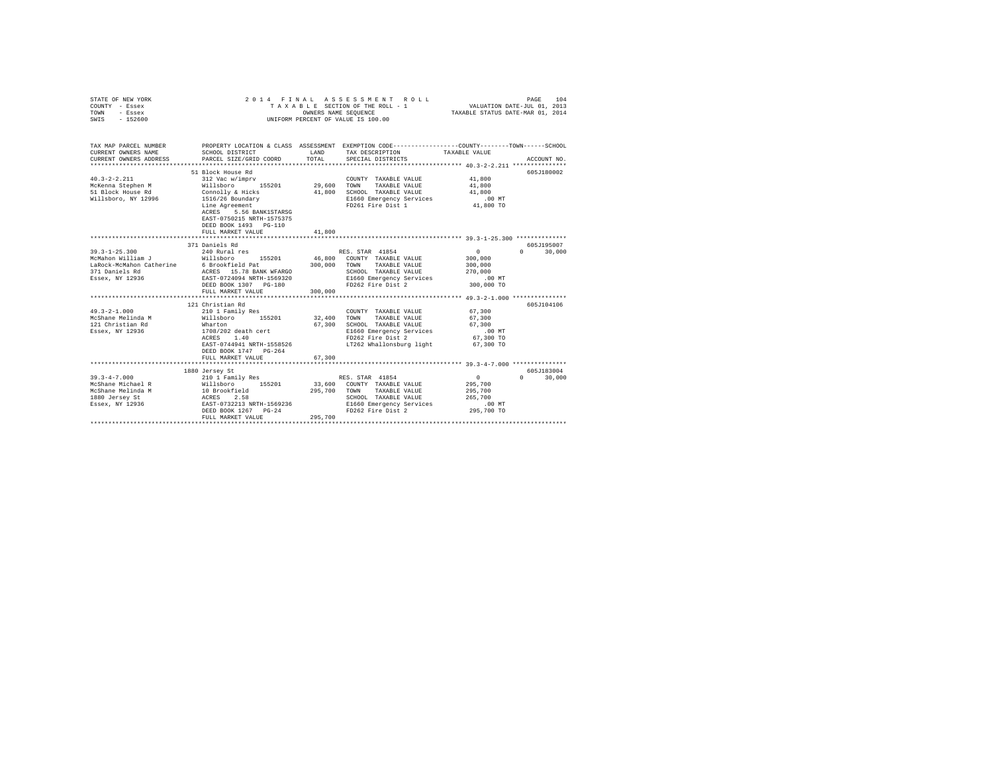| COUNTY - Essex<br>TOWN<br>- Essex<br>$-152600$<br>SWTS                                                                                       | UNIFORM PERCENT OF VALUE IS 100.00                                                                                                                                                                                                                                                                             |                         |                                                                                                                                                                                                                                                                                                               |                                                                                                                                    |                                           |
|----------------------------------------------------------------------------------------------------------------------------------------------|----------------------------------------------------------------------------------------------------------------------------------------------------------------------------------------------------------------------------------------------------------------------------------------------------------------|-------------------------|---------------------------------------------------------------------------------------------------------------------------------------------------------------------------------------------------------------------------------------------------------------------------------------------------------------|------------------------------------------------------------------------------------------------------------------------------------|-------------------------------------------|
| TAX MAP PARCEL NUMBER<br>CURRENT OWNERS NAME<br>CURRENT OWNERS ADDRESS                                                                       | SCHOOL DISTRICT<br>PARCEL SIZE/GRID COORD                                                                                                                                                                                                                                                                      | LAND<br>TOTAL           | PROPERTY LOCATION & CLASS ASSESSMENT EXEMPTION CODE---------------COUNTY-------TOWN------SCHOOL<br>TAX DESCRIPTION TAXABLE VALUE<br>SPECIAL DISTRICTS                                                                                                                                                         |                                                                                                                                    | ACCOUNT NO.                               |
| Willsboro, NY 12996                                                                                                                          | 51 Block House Rd<br>1516/26 Boundary<br>Line Agreement<br>ACRES     5.56 BANK1STARSG<br>EAST-0750215 NRTH-1575375<br>DEED BOOK 1493 PG-110<br>FULL MARKET VALUE                                                                                                                                               | 41,800                  | COUNTY TAXABLE VALUE 41,800<br>TAXABLE VALUE<br>SCHOOL TAXABLE VALUE<br>E1660 Emergency Services<br>FD261 Fire Dist 1                                                                                                                                                                                         | 41,800<br>41,800<br>.00 MT<br>41,800 TO                                                                                            | 605J180002                                |
|                                                                                                                                              |                                                                                                                                                                                                                                                                                                                |                         |                                                                                                                                                                                                                                                                                                               |                                                                                                                                    |                                           |
| $39.3 - 1 - 25.300$<br>McMahon William J<br>371 Daniels Rd<br>$49.3 - 2 - 1.000$<br>McShane Melinda M<br>121 Christian Rd<br>Essex, NY 12936 | 371 Daniels Rd<br>240 Rural res<br>Willsboro 155201<br>LaRock-McMahon Catherine 6 Brookfield Pat 300,000<br>371 Daniels Rd ACRES 15.78 BANK WFARGO<br>Essex, NY 12936 EAST-0724094 NRTH-1569320<br>DEED BOOK 1307 PG-180<br>FULL MARKET VALUE<br>121 Christian Rd<br>210 1 Family Res<br>DEED BOOK 1747 PG-264 | 300,000                 | RES. STAR 41854<br>46,800 COUNTY TAXABLE VALUE<br>TAXABLE VALUE<br>TOWN<br>SCHOOL TAXABLE VALUE<br>E1660 Emergency Services .00 MT<br>FD262 Fire Dist 2<br>COUNTY TAXABLE VALUE<br>TAXABLE VALUE<br>TOWN<br>SCHOOL TAXABLE VALUE<br>E1660 Emergency Services<br>FD262 Fire Dist 2<br>LT262 Whallonsburg light | $0 \qquad \qquad$<br>300,000<br>300,000<br>270,000<br>300,000 TO<br>67,300<br>67,300<br>67,300<br>.00 MT<br>67,300 TO<br>67,300 TO | 605-195007<br>$0 \t 30.000$<br>605J104106 |
|                                                                                                                                              | FULL MARKET VALUE                                                                                                                                                                                                                                                                                              | 67,300                  |                                                                                                                                                                                                                                                                                                               |                                                                                                                                    |                                           |
| $39.3 - 4 - 7.000$<br>McShane Michael R                                                                                                      | 1880 Jersey St<br>210 1 Family Res<br>Willsboro 155201<br>MCShane Melinda M<br>McShane Melinda M<br>10 Brookfield<br>1880 Jersey St<br>ESSEX, NY 12936<br>EAST-0732213 NRTH-1569236<br>DEED BOOK 1267 PG-24<br>FULL MARKET VALUE                                                                               | 295,700 TOWN<br>295,700 | RES. STAR 41854<br>33,600 COUNTY TAXABLE VALUE<br>TAXABLE VALUE<br>SCHOOL TAXABLE VALUE<br>$\text{SCHOOL}$ TAAADLE VALUE<br>$\text{E1660}$ Emergency Services 00 MT<br>$\text{SFR}$ 295,700 TO<br>FD262 Fire Dist 2                                                                                           | $\sim$ 0<br>295,700<br>295,700<br>265,700<br>295,700 TO                                                                            | 605J183004<br>$0 \t 30,000$               |

STATE OF NEW YORK 2014 FINAL ASSESSMENT ROLL PAGE 104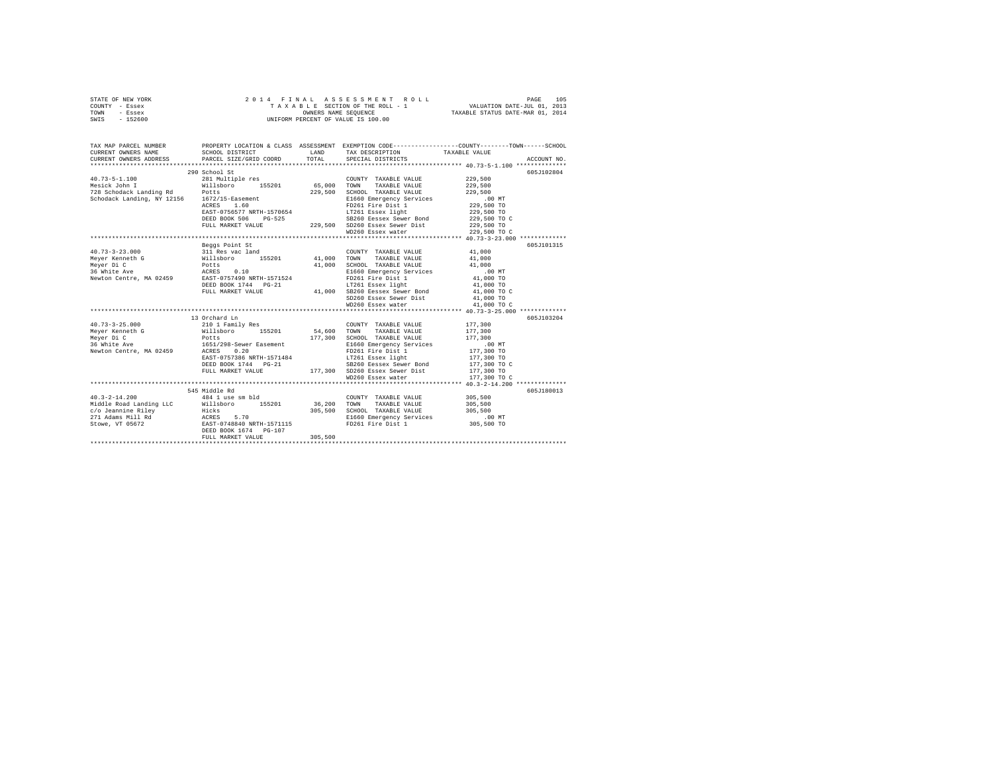| STATE OF NEW YORK | 2014 FINAL ASSESSMENT ROLL         | 105<br>PAGE                      |
|-------------------|------------------------------------|----------------------------------|
| COUNTY - Essex    | TAXABLE SECTION OF THE ROLL - 1    | VALUATION DATE-JUL 01, 2013      |
| TOWN<br>- Essex   | OWNERS NAME SEOUENCE               | TAXABLE STATUS DATE-MAR 01, 2014 |
| $-152600$<br>SWIS | UNIFORM PERCENT OF VALUE IS 100.00 |                                  |

| TAX MAP PARCEL NUMBER<br>CURRENT OWNERS NAME<br>CURRENT OWNERS ADDRESS                                                                                                                                                       | SCHOOL DISTRICT<br>PARCEL SIZE/GRID COORD                   | <b>EXAMPLE AND STATE OF A STATE OF A STATE OF A STATE OF A STATE OF A STATE OF A STATE OF A STATE OF A STATE OF A</b><br>TOTAL | TAX DESCRIPTION<br>SPECIAL DISTRICTS                                                                                                                                                                                                                                                                                                                                                                      | PROPERTY LOCATION & CLASS ASSESSMENT EXEMPTION CODE----------------COUNTY-------TOWN------SCHOOL<br>TAXABLE VALUE<br>ACCOUNT NO. |
|------------------------------------------------------------------------------------------------------------------------------------------------------------------------------------------------------------------------------|-------------------------------------------------------------|--------------------------------------------------------------------------------------------------------------------------------|-----------------------------------------------------------------------------------------------------------------------------------------------------------------------------------------------------------------------------------------------------------------------------------------------------------------------------------------------------------------------------------------------------------|----------------------------------------------------------------------------------------------------------------------------------|
|                                                                                                                                                                                                                              |                                                             |                                                                                                                                |                                                                                                                                                                                                                                                                                                                                                                                                           |                                                                                                                                  |
|                                                                                                                                                                                                                              | 290 School St                                               |                                                                                                                                |                                                                                                                                                                                                                                                                                                                                                                                                           | 605J102804                                                                                                                       |
| $40.73 - 5 - 1.100$ 281 Multiple res $281$ Multiple res $281$ Multiple res $5,000$ TOWN<br>$40.73 - 5 - 1.100$                                                                                                               |                                                             |                                                                                                                                | COUNTY TAXABLE VALUE                                                                                                                                                                                                                                                                                                                                                                                      | 229,500                                                                                                                          |
|                                                                                                                                                                                                                              |                                                             |                                                                                                                                | TAXABLE VALUE                                                                                                                                                                                                                                                                                                                                                                                             | 229,500                                                                                                                          |
| 728 Schodack Landing Rd Potts                                                                                                                                                                                                |                                                             | 229,500                                                                                                                        | SCHOOL TAXABLE VALUE                                                                                                                                                                                                                                                                                                                                                                                      | 229,500                                                                                                                          |
| $128$ Schodack Landing, NY 12156 $1672/15$ -Easement<br>Schodack Landing, NY 12156 $1672/15$ -Easement                                                                                                                       |                                                             |                                                                                                                                | E1660 Emergency Services                                                                                                                                                                                                                                                                                                                                                                                  | $.00$ MT                                                                                                                         |
|                                                                                                                                                                                                                              |                                                             |                                                                                                                                | FD261 Fire Dist 1                                                                                                                                                                                                                                                                                                                                                                                         | ىسى.<br>229,500 TO                                                                                                               |
|                                                                                                                                                                                                                              |                                                             |                                                                                                                                | LT261 Essex light<br>$\begin{tabular}{lllllllllllll} $\text{m.u.} & $\text{m.u.} & $\text{m.u.} & $\text{m.u.} & $\text{m.u.} & $\text{m.u.} & $\text{m.u.} & $\text{m.u.} & $\text{m.u.} \\ \text{DED BONC S06} & $\text{PG}-525$ & $\text{S3260 } $83260 $ $88688 $ $68898 $ $29$, $500 $ $70$ \\ \text{FULL MARREF VALUB} & $\text{Q29,500} & $\text{SD260 } $88260 $ $8888 $ $68898 $ $229,500 $ $70$ |                                                                                                                                  |
|                                                                                                                                                                                                                              |                                                             |                                                                                                                                |                                                                                                                                                                                                                                                                                                                                                                                                           |                                                                                                                                  |
|                                                                                                                                                                                                                              |                                                             |                                                                                                                                |                                                                                                                                                                                                                                                                                                                                                                                                           |                                                                                                                                  |
|                                                                                                                                                                                                                              |                                                             |                                                                                                                                |                                                                                                                                                                                                                                                                                                                                                                                                           |                                                                                                                                  |
|                                                                                                                                                                                                                              |                                                             |                                                                                                                                |                                                                                                                                                                                                                                                                                                                                                                                                           |                                                                                                                                  |
|                                                                                                                                                                                                                              | Beggs Point St                                              |                                                                                                                                |                                                                                                                                                                                                                                                                                                                                                                                                           | 605J101315                                                                                                                       |
| $40.73 - 3 - 23.000$                                                                                                                                                                                                         | 311 Res vac land<br>Willsboro 155201<br>Potts<br>ACRES 0.10 |                                                                                                                                | COUNTY TAXABLE VALUE                                                                                                                                                                                                                                                                                                                                                                                      | $41,000$<br>$41,000$                                                                                                             |
| Mever Kenneth G                                                                                                                                                                                                              |                                                             |                                                                                                                                | 41,000 TOWN TAXABLE VALUE                                                                                                                                                                                                                                                                                                                                                                                 |                                                                                                                                  |
| Meyer Di C                                                                                                                                                                                                                   |                                                             |                                                                                                                                | 41,000 SCHOOL TAXABLE VALUE 41,000                                                                                                                                                                                                                                                                                                                                                                        |                                                                                                                                  |
|                                                                                                                                                                                                                              |                                                             |                                                                                                                                | E1660 Emergency Services .00 MT<br>FD261 Fire Dist 1 41,000 TO                                                                                                                                                                                                                                                                                                                                            |                                                                                                                                  |
|                                                                                                                                                                                                                              | DEED BOOK 1744 PG-21                                        |                                                                                                                                |                                                                                                                                                                                                                                                                                                                                                                                                           |                                                                                                                                  |
|                                                                                                                                                                                                                              | FULL MARKET VALUE                                           |                                                                                                                                |                                                                                                                                                                                                                                                                                                                                                                                                           | 41,000 TO<br>41,000 TO C                                                                                                         |
|                                                                                                                                                                                                                              |                                                             |                                                                                                                                | $5D260$ Essex Sewer Dist $41,000$ TO                                                                                                                                                                                                                                                                                                                                                                      |                                                                                                                                  |
|                                                                                                                                                                                                                              |                                                             |                                                                                                                                | WD260 Essex water                                                                                                                                                                                                                                                                                                                                                                                         | 41,000 TO C                                                                                                                      |
|                                                                                                                                                                                                                              |                                                             |                                                                                                                                |                                                                                                                                                                                                                                                                                                                                                                                                           |                                                                                                                                  |
|                                                                                                                                                                                                                              | 13 Orchard Ln                                               |                                                                                                                                |                                                                                                                                                                                                                                                                                                                                                                                                           | 605J103204                                                                                                                       |
| $40.73 - 3 - 25.000$                                                                                                                                                                                                         | 210 1 Family Res                                            |                                                                                                                                | COUNTY TAXABLE VALUE                                                                                                                                                                                                                                                                                                                                                                                      | 177,300                                                                                                                          |
|                                                                                                                                                                                                                              |                                                             |                                                                                                                                |                                                                                                                                                                                                                                                                                                                                                                                                           |                                                                                                                                  |
| Mever Di C                                                                                                                                                                                                                   | Potts<br>1651/298-Sewer Easement<br>----- 0.20              |                                                                                                                                |                                                                                                                                                                                                                                                                                                                                                                                                           | 177,300                                                                                                                          |
| 36 White Ave                                                                                                                                                                                                                 |                                                             |                                                                                                                                | 177,300 SCHOOL TAXABLE VALUE<br>E1660 Emergency Services                                                                                                                                                                                                                                                                                                                                                  | $.00$ MT                                                                                                                         |
| Newton Centre, MA 02459 ACRES                                                                                                                                                                                                |                                                             |                                                                                                                                | FD261 Fire Dist 1                                                                                                                                                                                                                                                                                                                                                                                         | 177,300 TO                                                                                                                       |
|                                                                                                                                                                                                                              |                                                             |                                                                                                                                |                                                                                                                                                                                                                                                                                                                                                                                                           |                                                                                                                                  |
|                                                                                                                                                                                                                              |                                                             |                                                                                                                                |                                                                                                                                                                                                                                                                                                                                                                                                           |                                                                                                                                  |
|                                                                                                                                                                                                                              |                                                             |                                                                                                                                |                                                                                                                                                                                                                                                                                                                                                                                                           |                                                                                                                                  |
|                                                                                                                                                                                                                              |                                                             |                                                                                                                                | ${\tt EAST-0757386\ NRTH-1571484}\begin{array}{l} \tt-177.300\ T0\\ \tt-178.15\ T261\ F25260\ F25360\ F25460\ F25460\ F2550\ F255700\ F2560\ F2560\ F257700\ T2580\ F25870\ F25870\ F25870\ F25870\ F25870\ F25870\ F25870\ F25870\ F25870\ F25870\ F25870\ F25870\ F25870\ F$                                                                                                                            |                                                                                                                                  |
|                                                                                                                                                                                                                              |                                                             |                                                                                                                                |                                                                                                                                                                                                                                                                                                                                                                                                           |                                                                                                                                  |
|                                                                                                                                                                                                                              | 545 Middle Rd                                               |                                                                                                                                |                                                                                                                                                                                                                                                                                                                                                                                                           | 605J180013                                                                                                                       |
| $40.3 - 2 - 14.200$                                                                                                                                                                                                          | 484 1 use sm bld                                            |                                                                                                                                | COUNTY TAXABLE VALUE 305,500                                                                                                                                                                                                                                                                                                                                                                              |                                                                                                                                  |
|                                                                                                                                                                                                                              |                                                             |                                                                                                                                | TOWN<br>TAXABLE VALUE 305,500                                                                                                                                                                                                                                                                                                                                                                             |                                                                                                                                  |
|                                                                                                                                                                                                                              |                                                             |                                                                                                                                | 305,500 SCHOOL TAXABLE VALUE<br>E1660 Emergency Services                                                                                                                                                                                                                                                                                                                                                  | 305,500<br>.00 MT                                                                                                                |
|                                                                                                                                                                                                                              |                                                             |                                                                                                                                |                                                                                                                                                                                                                                                                                                                                                                                                           |                                                                                                                                  |
| Middle Road Landing LLC $\begin{array}{r} \text{Willsboro} \\ \text{Millsboro} \end{array}$ 155201 36,200<br>271 Adams Riley Hicks 5.70 305,500<br>271 Adams Mill Rd ACRES 5.70<br>Stowe, VT 05672 BAST-0748840 NRTH-1571115 |                                                             |                                                                                                                                | FD261 Fire Dist 1 305,500 TO                                                                                                                                                                                                                                                                                                                                                                              |                                                                                                                                  |
|                                                                                                                                                                                                                              | DEED BOOK 1674 PG-107                                       | 305,500                                                                                                                        |                                                                                                                                                                                                                                                                                                                                                                                                           |                                                                                                                                  |
|                                                                                                                                                                                                                              | FULL MARKET VALUE                                           |                                                                                                                                |                                                                                                                                                                                                                                                                                                                                                                                                           |                                                                                                                                  |
|                                                                                                                                                                                                                              |                                                             |                                                                                                                                |                                                                                                                                                                                                                                                                                                                                                                                                           |                                                                                                                                  |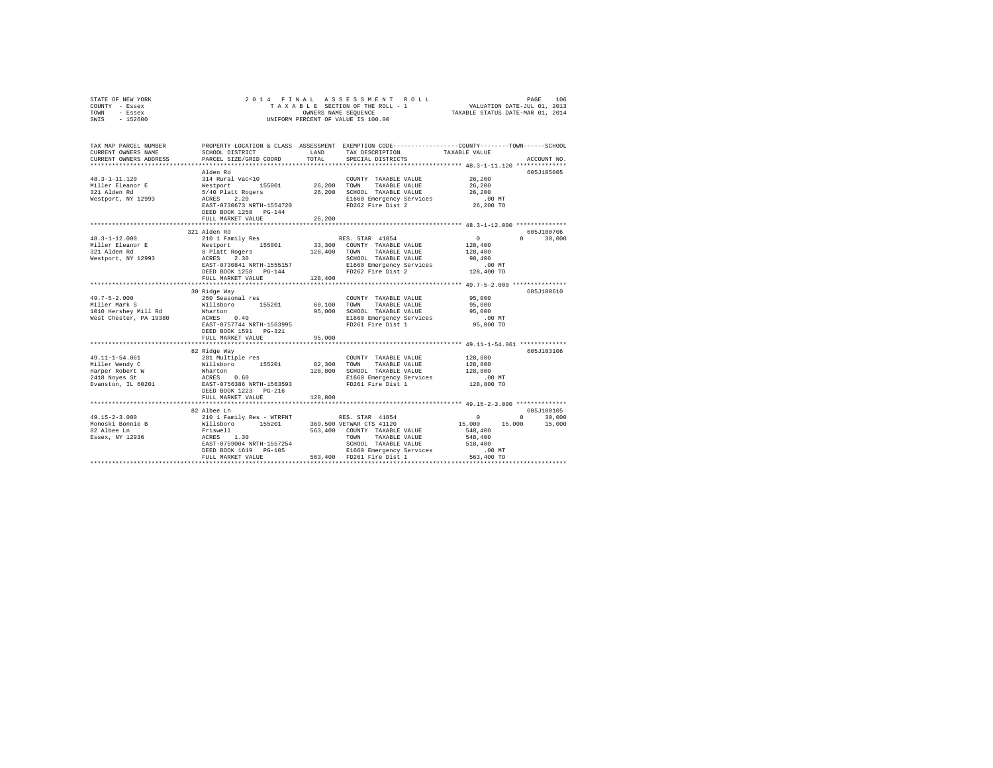| STATE OF NEW YORK | 2014 FINAL ASSESSMENT ROLL         | 106<br>PAGE                      |
|-------------------|------------------------------------|----------------------------------|
| COUNTY - Essex    | TAXABLE SECTION OF THE ROLL - 1    | VALUATION DATE-JUL 01, 2013      |
| TOWN<br>- Essex   | OWNERS NAME SEOUENCE               | TAXABLE STATUS DATE-MAR 01, 2014 |
| $-152600$<br>SWIS | UNIFORM PERCENT OF VALUE IS 100.00 |                                  |

| TAX MAP PARCEL NUMBER<br>CURRENT OWNERS NAME<br>CURRENT OWNERS ADDRESS | SCHOOL DISTRICT<br>PARCEL SIZE/GRID COORD                                                                                                                                                                                             | LAND<br>TOTAL         | TAX DESCRIPTION<br>SPECIAL DISTRICTS                                                                                                                                                                                                                                                                                               | PROPERTY LOCATION & CLASS ASSESSMENT EXEMPTION CODE----------------COUNTY-------TOWN-----SCHOOL<br>TAXABLE VALUE<br>ACCOUNT NO.                                                                                                                                                                                                                    |  |
|------------------------------------------------------------------------|---------------------------------------------------------------------------------------------------------------------------------------------------------------------------------------------------------------------------------------|-----------------------|------------------------------------------------------------------------------------------------------------------------------------------------------------------------------------------------------------------------------------------------------------------------------------------------------------------------------------|----------------------------------------------------------------------------------------------------------------------------------------------------------------------------------------------------------------------------------------------------------------------------------------------------------------------------------------------------|--|
|                                                                        | Alden Rd                                                                                                                                                                                                                              |                       |                                                                                                                                                                                                                                                                                                                                    | 605J185005                                                                                                                                                                                                                                                                                                                                         |  |
|                                                                        | EAST-0730673 NRTH-1554720<br>DEED BOOK 1258 PG-144<br>FULL MARKET VALUE                                                                                                                                                               | 26,200                | FD262 Fire Dist 2                                                                                                                                                                                                                                                                                                                  | 26,200<br>26,200<br>.00 MT<br>26,200 TO                                                                                                                                                                                                                                                                                                            |  |
|                                                                        | 321 Alden Rd                                                                                                                                                                                                                          |                       |                                                                                                                                                                                                                                                                                                                                    | 605J100706                                                                                                                                                                                                                                                                                                                                         |  |
|                                                                        | EAST-0730841 NRTH-1555157<br>DEED BOOK 1258 PG-144<br>FULL MARKET VALUE                                                                                                                                                               | 128,400               | RES. STAR 41854<br>33,300 COUNTY TAXABLE VALUE<br>128,400 TOWN TAXABLE VALUE<br>SCHOOL TAXABLE VALUE 98,400<br>E1660 Emergency Services 00 MT<br>FD262 Fire Dist 2 128,400 TO                                                                                                                                                      | $\sim$ 0 $\sim$ 0 $\sim$ 0 $\sim$ 0 $\sim$ 0 $\sim$ 0 $\sim$ 0 $\sim$ 0 $\sim$ 0 $\sim$ 0 $\sim$ 0 $\sim$ 0 $\sim$ 0 $\sim$ 0 $\sim$ 0 $\sim$ 0 $\sim$ 0 $\sim$ 0 $\sim$ 0 $\sim$ 0 $\sim$ 0 $\sim$ 0 $\sim$ 0 $\sim$ 0 $\sim$ 0 $\sim$ 0 $\sim$ 0 $\sim$ 0 $\sim$ 0 $\sim$ 0 $\sim$ 0 $\sim$<br>$0 \qquad \qquad$<br>30,000<br>128,400<br>128,400 |  |
|                                                                        | ***************************                                                                                                                                                                                                           | ********************* |                                                                                                                                                                                                                                                                                                                                    | ******************** 49.7-5-2.000 ***************                                                                                                                                                                                                                                                                                                  |  |
|                                                                        | 30 Ridge Way<br>DEED BOOK 1591    PG-321                                                                                                                                                                                              |                       | COUNTY TAXABLE VALUE 95,000<br>$\begin{array}{ccccccccc} 60,100 & & & & & \text{TOMN} & & & \text{TAXABLE} & \text{YALUE} & & & & & \text{---} \ 95,000 & & & & & \text{SCHODL} & & & \text{TAXABLE} & \text{VALUE} & & & & \text{---} & \text{---} \ 95,000 & & & & & \text{---} & & \text{---} \end{array}$<br>FD261 Fire Dist 1 | 605J100610<br>$.00$ MT<br>95,000 TO                                                                                                                                                                                                                                                                                                                |  |
|                                                                        | FULL MARKET VALUE                                                                                                                                                                                                                     | 95,000                |                                                                                                                                                                                                                                                                                                                                    |                                                                                                                                                                                                                                                                                                                                                    |  |
|                                                                        | 82 Ridge Way                                                                                                                                                                                                                          |                       |                                                                                                                                                                                                                                                                                                                                    | 605J103106                                                                                                                                                                                                                                                                                                                                         |  |
|                                                                        | FULL MARKET VALUE                                                                                                                                                                                                                     | 128,800               |                                                                                                                                                                                                                                                                                                                                    |                                                                                                                                                                                                                                                                                                                                                    |  |
|                                                                        |                                                                                                                                                                                                                                       |                       |                                                                                                                                                                                                                                                                                                                                    | 605J100105                                                                                                                                                                                                                                                                                                                                         |  |
|                                                                        | 1:<br>Friewell 563,400 COUNTY TAXABLE VALUE 548,400<br>ACRES 1.30<br>ESP-0759004 NRTH-1557254 TOWN TAXABLE VALUE 548,400<br>ENST-0759004 NRTH-1557254 SCHOOL TAXABLE VALUE 548,400<br>FULL MARKE VALUE 563,400 FD261 Fire pist 1  563 |                       |                                                                                                                                                                                                                                                                                                                                    | $\sim$ 0 $\sim$<br>$\sim$ 0<br>30,000<br>15,000 15,000 15,000                                                                                                                                                                                                                                                                                      |  |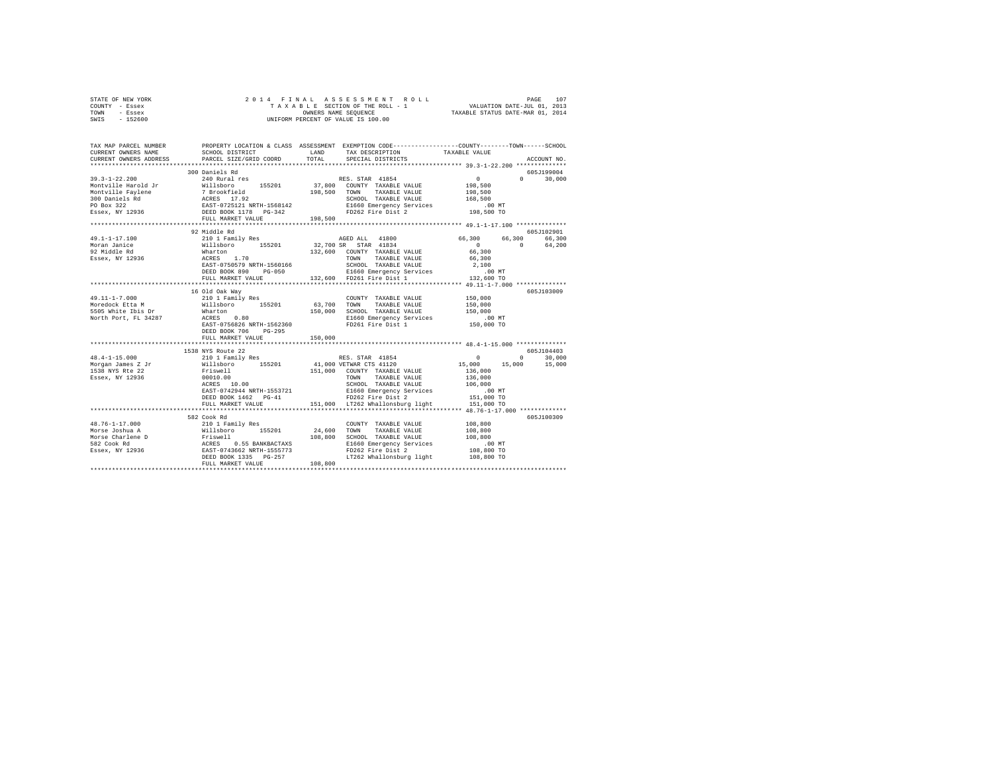| STATE OF NEW YORK | 2014 FINAL ASSESSMENT ROLL         | 107<br>PAGE                      |
|-------------------|------------------------------------|----------------------------------|
| COUNTY - Essex    | TAXABLE SECTION OF THE ROLL - 1    | VALUATION DATE-JUL 01, 2013      |
| TOWN<br>- Essex   | OWNERS NAME SEOUENCE               | TAXABLE STATUS DATE-MAR 01, 2014 |
| - 152600<br>SWIS  | UNIFORM PERCENT OF VALUE IS 100.00 |                                  |

| TAX MAP PARCEL NUMBER<br>CURRENT OWNERS NAME<br>CURRENT OWNERS ADDRESS                                                                                                                                                                                                                                                                                                                                  | SCHOOL DISTRICT<br>PARCEL SIZE/GRID COORD |         | PROPERTY LOCATION & CLASS ASSESSMENT EXEMPTION CODE----------------COUNTY-------TOWN-----SCHOOL<br>LAND TAX DESCRIPTION<br>TOTAL SPECIAL DISTRICTS                                                                                                                                                                                                                                                               | TAXABLE VALUE                                            | ACCOUNT NO.   |
|---------------------------------------------------------------------------------------------------------------------------------------------------------------------------------------------------------------------------------------------------------------------------------------------------------------------------------------------------------------------------------------------------------|-------------------------------------------|---------|------------------------------------------------------------------------------------------------------------------------------------------------------------------------------------------------------------------------------------------------------------------------------------------------------------------------------------------------------------------------------------------------------------------|----------------------------------------------------------|---------------|
|                                                                                                                                                                                                                                                                                                                                                                                                         |                                           |         |                                                                                                                                                                                                                                                                                                                                                                                                                  |                                                          |               |
|                                                                                                                                                                                                                                                                                                                                                                                                         | 300 Daniels Rd                            |         |                                                                                                                                                                                                                                                                                                                                                                                                                  |                                                          | 605J199004    |
|                                                                                                                                                                                                                                                                                                                                                                                                         |                                           |         |                                                                                                                                                                                                                                                                                                                                                                                                                  |                                                          | $0 \t 30,000$ |
|                                                                                                                                                                                                                                                                                                                                                                                                         |                                           |         |                                                                                                                                                                                                                                                                                                                                                                                                                  |                                                          |               |
|                                                                                                                                                                                                                                                                                                                                                                                                         |                                           |         |                                                                                                                                                                                                                                                                                                                                                                                                                  |                                                          |               |
|                                                                                                                                                                                                                                                                                                                                                                                                         |                                           |         |                                                                                                                                                                                                                                                                                                                                                                                                                  |                                                          |               |
|                                                                                                                                                                                                                                                                                                                                                                                                         |                                           |         |                                                                                                                                                                                                                                                                                                                                                                                                                  |                                                          |               |
|                                                                                                                                                                                                                                                                                                                                                                                                         | FULL MARKET VALUE                         | 198,500 |                                                                                                                                                                                                                                                                                                                                                                                                                  |                                                          |               |
|                                                                                                                                                                                                                                                                                                                                                                                                         |                                           |         |                                                                                                                                                                                                                                                                                                                                                                                                                  |                                                          |               |
|                                                                                                                                                                                                                                                                                                                                                                                                         | 92 Middle Rd                              |         |                                                                                                                                                                                                                                                                                                                                                                                                                  |                                                          | 605J102901    |
| $49.1 - 1 - 17.100$                                                                                                                                                                                                                                                                                                                                                                                     |                                           |         |                                                                                                                                                                                                                                                                                                                                                                                                                  |                                                          |               |
| Moran Janice                                                                                                                                                                                                                                                                                                                                                                                            |                                           |         |                                                                                                                                                                                                                                                                                                                                                                                                                  | 66,300 66,300 66,300<br>0 0 64,200<br>$\sim$ 0           |               |
|                                                                                                                                                                                                                                                                                                                                                                                                         |                                           |         |                                                                                                                                                                                                                                                                                                                                                                                                                  |                                                          |               |
| - Princip Rd<br>Essex, NY 12936                                                                                                                                                                                                                                                                                                                                                                         |                                           |         | 132,600 COUNTY TAXABLE VALUE<br>TOWN TAXABLE VALUE                                                                                                                                                                                                                                                                                                                                                               | 66,300<br>66,300                                         |               |
|                                                                                                                                                                                                                                                                                                                                                                                                         |                                           |         | $\begin{tabular}{lllllllllllll} \textsc{ACRES} & 1.70 & \textsc{TONN} & \textsc{TAXABLE VALUE} & 66,300 \\ \textsc{EAST}-0755579\textrm{NRTH}-1560166 & \textsc{SCHOML} & \textsc{TAZALE VALUE} & 2,100 \\ \textsc{DEED BOOK 890} & \textsc{PG}-050 & \textsc{E1660} & \textsc{Energy} & \textsc{Sevives} & 0.0 \text{ MT} \\ \textsc{FULL} \textsc{MARKET VALUE} & 132,600 & \textsc{FD261} & \textsc{F1c} & 1$ |                                                          |               |
|                                                                                                                                                                                                                                                                                                                                                                                                         |                                           |         |                                                                                                                                                                                                                                                                                                                                                                                                                  |                                                          |               |
|                                                                                                                                                                                                                                                                                                                                                                                                         |                                           |         |                                                                                                                                                                                                                                                                                                                                                                                                                  |                                                          |               |
|                                                                                                                                                                                                                                                                                                                                                                                                         |                                           |         |                                                                                                                                                                                                                                                                                                                                                                                                                  | ****************** 49.11-1-7.000 *************           |               |
|                                                                                                                                                                                                                                                                                                                                                                                                         | 16 Old Oak Way                            |         |                                                                                                                                                                                                                                                                                                                                                                                                                  |                                                          | 605J103009    |
| 49.11-1-7.000                                                                                                                                                                                                                                                                                                                                                                                           |                                           |         |                                                                                                                                                                                                                                                                                                                                                                                                                  |                                                          |               |
|                                                                                                                                                                                                                                                                                                                                                                                                         |                                           |         |                                                                                                                                                                                                                                                                                                                                                                                                                  |                                                          |               |
|                                                                                                                                                                                                                                                                                                                                                                                                         |                                           |         |                                                                                                                                                                                                                                                                                                                                                                                                                  |                                                          |               |
|                                                                                                                                                                                                                                                                                                                                                                                                         |                                           |         |                                                                                                                                                                                                                                                                                                                                                                                                                  | 00 MT.<br>150,000 TO                                     |               |
|                                                                                                                                                                                                                                                                                                                                                                                                         |                                           |         |                                                                                                                                                                                                                                                                                                                                                                                                                  |                                                          |               |
|                                                                                                                                                                                                                                                                                                                                                                                                         | DEED BOOK 706 PG-295                      |         |                                                                                                                                                                                                                                                                                                                                                                                                                  |                                                          |               |
|                                                                                                                                                                                                                                                                                                                                                                                                         | FULL MARKET VALUE                         | 150,000 |                                                                                                                                                                                                                                                                                                                                                                                                                  |                                                          |               |
|                                                                                                                                                                                                                                                                                                                                                                                                         |                                           |         |                                                                                                                                                                                                                                                                                                                                                                                                                  |                                                          |               |
|                                                                                                                                                                                                                                                                                                                                                                                                         | 1538 NYS Route 22<br>210 1 Family Res     |         |                                                                                                                                                                                                                                                                                                                                                                                                                  |                                                          | 605J104403    |
| $48.4 - 1 - 15.000$                                                                                                                                                                                                                                                                                                                                                                                     |                                           |         | RES. STAR 41854                                                                                                                                                                                                                                                                                                                                                                                                  | $\sim$ 0                                                 | $0 \t 30,000$ |
|                                                                                                                                                                                                                                                                                                                                                                                                         |                                           |         |                                                                                                                                                                                                                                                                                                                                                                                                                  |                                                          |               |
| Essex, NY 12936                                                                                                                                                                                                                                                                                                                                                                                         |                                           |         | 151,000 COUNTY TAXABLE VALUE<br>TOWN                                                                                                                                                                                                                                                                                                                                                                             |                                                          |               |
|                                                                                                                                                                                                                                                                                                                                                                                                         | Friswell<br>00010.00<br>ACRES 10.00       |         | TAXABLE VALUE 136,000                                                                                                                                                                                                                                                                                                                                                                                            |                                                          |               |
|                                                                                                                                                                                                                                                                                                                                                                                                         |                                           |         |                                                                                                                                                                                                                                                                                                                                                                                                                  |                                                          |               |
|                                                                                                                                                                                                                                                                                                                                                                                                         |                                           |         |                                                                                                                                                                                                                                                                                                                                                                                                                  |                                                          |               |
|                                                                                                                                                                                                                                                                                                                                                                                                         |                                           |         | DEED BOOK 1462 PG-41 FD262 Fire Dist 2 151,000 TO<br>FULL MARKET VALUE 151,000 LT262 Whallonsburg light 151,000 TO                                                                                                                                                                                                                                                                                               |                                                          |               |
|                                                                                                                                                                                                                                                                                                                                                                                                         |                                           |         |                                                                                                                                                                                                                                                                                                                                                                                                                  | ***************************** 48.76-1-17.000 *********** |               |
|                                                                                                                                                                                                                                                                                                                                                                                                         | 582 Cook Rd                               |         |                                                                                                                                                                                                                                                                                                                                                                                                                  |                                                          | 605J100309    |
|                                                                                                                                                                                                                                                                                                                                                                                                         |                                           |         | COUNTY TAXABLE VALUE                                                                                                                                                                                                                                                                                                                                                                                             | 108,800                                                  |               |
|                                                                                                                                                                                                                                                                                                                                                                                                         |                                           |         | TAXABLE VALUE 108,800                                                                                                                                                                                                                                                                                                                                                                                            |                                                          |               |
|                                                                                                                                                                                                                                                                                                                                                                                                         |                                           |         |                                                                                                                                                                                                                                                                                                                                                                                                                  |                                                          |               |
|                                                                                                                                                                                                                                                                                                                                                                                                         |                                           |         |                                                                                                                                                                                                                                                                                                                                                                                                                  |                                                          |               |
|                                                                                                                                                                                                                                                                                                                                                                                                         |                                           |         | 108,800<br>108,800<br>E1660 Emergency Services<br>FD262 Fire Dist 2 108,800 TO<br>108,800 TO<br>108,800 TO                                                                                                                                                                                                                                                                                                       |                                                          |               |
|                                                                                                                                                                                                                                                                                                                                                                                                         |                                           |         | LT262 Whallonsburg light 108,800 TO                                                                                                                                                                                                                                                                                                                                                                              |                                                          |               |
| $\begin{tabular}{l c c c c c} \multicolumn{1}{c}{\textbf{48.76--1--17.000}} & \multicolumn{1}{c}{\textbf{59.64~nm} & \multicolumn{1}{c}{\textbf{59.65~nm}} & \multicolumn{1}{c}{\textbf{59.66~nm}} & \multicolumn{1}{c}{\textbf{10.67~nm}} & \multicolumn{1}{c}{\textbf{10.67~nm}} & \multicolumn{1}{c}{\textbf{10.67~nm}} & \multicolumn{1}{c}{\textbf{10.67~nm}} & \multicolumn{1}{c}{\textbf{10.67~$ |                                           |         |                                                                                                                                                                                                                                                                                                                                                                                                                  |                                                          |               |
|                                                                                                                                                                                                                                                                                                                                                                                                         |                                           |         |                                                                                                                                                                                                                                                                                                                                                                                                                  |                                                          |               |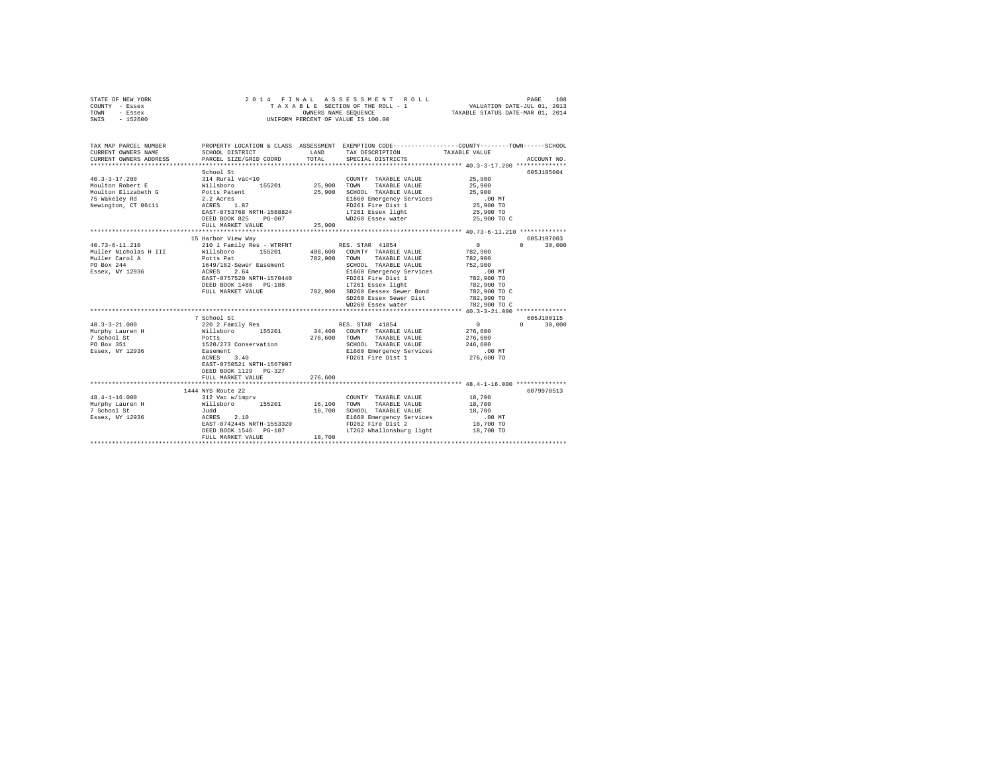|      | STATE OF NEW YORK |  | 2014 FINAL ASSESSMENT ROLL         | 108<br>PAGE                      |  |
|------|-------------------|--|------------------------------------|----------------------------------|--|
|      | COUNTY - Essex    |  | TAXABLE SECTION OF THE ROLL - 1    | VALUATION DATE-JUL 01, 2013      |  |
| TOWN | - Essex           |  | OWNERS NAME SEOUENCE               | TAXABLE STATUS DATE-MAR 01, 2014 |  |
| SWIS | - 152600          |  | UNIFORM PERCENT OF VALUE IS 100.00 |                                  |  |

| TAX MAP PARCEL NUMBER<br>CURRENT OWNERS NAME<br>CURRENT OWNERS ADDRESS                                                                                                                                                                                                   | SCHOOL DISTRICT<br>PARCEL SIZE/GRID COORD                                                                                                  | LAND<br>TOTAL    | PROPERTY LOCATION & CLASS ASSESSMENT EXEMPTION CODE---------------COUNTY-------TOWN------SCHOOL<br>TAX DESCRIPTION TAXABLE VALUE<br>SPECIAL DISTRICTS                                                                                                                             |                                                         | ACCOUNT NO.                               |
|--------------------------------------------------------------------------------------------------------------------------------------------------------------------------------------------------------------------------------------------------------------------------|--------------------------------------------------------------------------------------------------------------------------------------------|------------------|-----------------------------------------------------------------------------------------------------------------------------------------------------------------------------------------------------------------------------------------------------------------------------------|---------------------------------------------------------|-------------------------------------------|
| $40.3 - 3 - 17.200$<br>Moulton Robert E<br>Moulton Robert E<br>Moulton Elizabeth G<br>75 Wakeley Rd<br>2.2 Acres<br>Newington, CT 06111 ACRES 1.87                                                                                                                       | School St<br>314 Rural vac<10<br>155201 25,900<br>EAST-0753768 NRTH-1568824<br>DEED BOOK 825<br>$PG-007$<br>FULL MARKET VALUE              | 25,900<br>25,900 | COUNTY TAXABLE VALUE<br>TAXABLE VALUE<br>TOWN<br>SCHOOL TAXABLE VALUE<br>E1660 Emergency Services .00 MT<br>FD261 Fire Dist 1<br>LT261 Essex light<br>WD260 Essex water 25,900 TO C                                                                                               | 25,900<br>25,900<br>25,900<br>25,900 TO<br>25,900 TO    | 605J185004                                |
| $40.73 - 6 - 11.210$                                                                                                                                                                                                                                                     | 15 Harbor View Way<br>210 1 Family Res - WTRFNT RES. STAR 41854<br>EAST-0757520 NRTH-1570440<br>DEED BOOK 1486 PG-188<br>FULL MARKET VALUE | 782,900          | TOWN<br>TAXABLE VALUE<br>SCHOOL TAXABLE VALUE<br>E1660 Emergency Services .00 MT<br>FD261 Fire Dist 1 782,900 TO<br>FD261 Fire Dist 1<br>LT261 Essex light<br>782,900 SB260 Eessex Sewer Bond 782,900 TO C<br>SD260 Essex Sewer Dist 782,900 TO<br>WD260 Essex water 782,900 TO C | $\sim$ 0<br>782,900<br>782,900<br>752,900<br>782,900 TO | 605J197003<br>$0 \qquad \qquad$<br>30,000 |
| $40.3 - 3 - 21.000$<br>Murphy Lauren H Millsboro 155201 34,400 COUNTY TAXABLE VALUE 7 School St Potts 276,600 TOWN TAXABLE VALUE 7 School St Potts 276,600 TOWN TAXABLE VALUE 7 School St Potts 276,600 TOWN TAXABLE VALUE 7 SERIES 251 SERIES 28 SER<br>Murphy Lauren H | 7 School St<br>220 2 Family Res<br>3.40<br>ACRES<br>EAST-0750521 NRTH-1567997<br>DEED BOOK 1129 PG-327<br>FULL MARKET VALUE                | 276,600          | RES. STAR 41854<br>SCHOOL TAXABLE VALUE 246,600<br>E1660 Emergency Services .00 MT<br>FD261 Fire Dist 1 276,600 TO                                                                                                                                                                | $\sim$ 0<br>276,600<br>276,600                          | 605J100115<br>30,000<br>$\Omega$          |
| $48.4 - 1 - 16.000$<br>Murphy Lauren H<br>7 School St<br>Essex, NY 12936    ACRES    2.10                                                                                                                                                                                | 1444 NYS Route 22<br>Judd<br>EAST-0742445 NRTH-1553320<br>DEED BOOK 1546 PG-107<br>FULL MARKET VALUE                                       | 18,700           | COUNTY TAXABLE VALUE<br>TAXABLE VALUE<br>18.700 SCHOOL TAXABLE VALUE 18.700<br>E1660 Emergency Services .00 MT<br>FD262 Fire Dist 2 18,700 TO<br>LT262 Whallonsburg light 18,700 TO                                                                                               | 18,700<br>18,700                                        | 6079978513                                |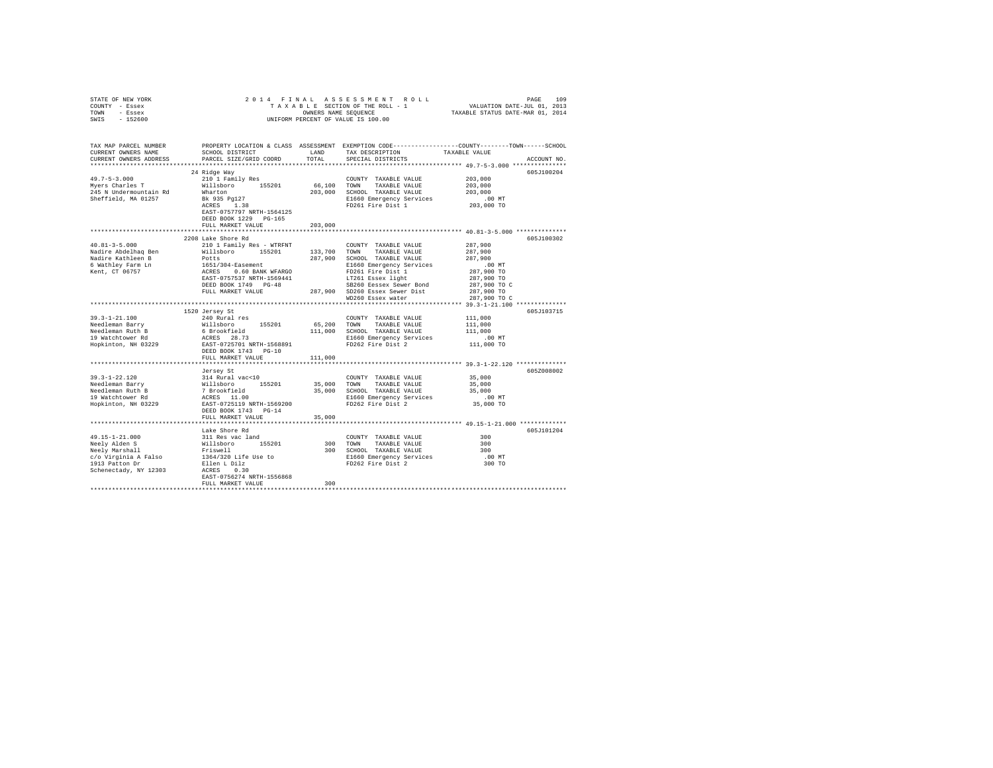| STATE OF NEW YORK                                                                                  |                                                                                                                                                                                                                                            |         |                                               |                                                                                                                         |
|----------------------------------------------------------------------------------------------------|--------------------------------------------------------------------------------------------------------------------------------------------------------------------------------------------------------------------------------------------|---------|-----------------------------------------------|-------------------------------------------------------------------------------------------------------------------------|
| COUNTY - Essex                                                                                     |                                                                                                                                                                                                                                            |         |                                               |                                                                                                                         |
| TOWN - Essex                                                                                       |                                                                                                                                                                                                                                            |         |                                               |                                                                                                                         |
| SWIS - 152600                                                                                      |                                                                                                                                                                                                                                            |         | UNIFORM PERCENT OF VALUE IS 100.00            |                                                                                                                         |
|                                                                                                    |                                                                                                                                                                                                                                            |         |                                               |                                                                                                                         |
|                                                                                                    |                                                                                                                                                                                                                                            |         |                                               | TAX MAP PARCEL NUMBER THE PROPERTY LOCATION & CLASS ASSESSMENT EXEMPTION CODE--------------COUNTY-------TOWN-----SCHOOL |
| CURRENT OWNERS NAME                                                                                | SCHOOL DISTRICT                                                                                                                                                                                                                            |         | LAND TAX DESCRIPTION                          | TAXABLE VALUE                                                                                                           |
| CURRENT OWNERS ADDRESS                                                                             | PARCEL SIZE/GRID COORD                                                                                                                                                                                                                     | TOTAL   | SPECIAL DISTRICTS                             | ACCOUNT NO.                                                                                                             |
|                                                                                                    |                                                                                                                                                                                                                                            |         |                                               |                                                                                                                         |
|                                                                                                    | 24 Ridge Way                                                                                                                                                                                                                               |         |                                               | 605J100204                                                                                                              |
| $49.7 - 5 - 3.000$                                                                                 | 210 1 Family Res                                                                                                                                                                                                                           |         | COUNTY TAXABLE VALUE                          | 203,000                                                                                                                 |
| 49.7-5-3.000<br>Myers Charles T                                                                    |                                                                                                                                                                                                                                            |         | 66,100 TOWN TAXABLE VALUE                     | 203,000                                                                                                                 |
| 245 N Undermountain Rd                                                                             | Willsboro 155201                                                                                                                                                                                                                           |         | 203,000 SCHOOL TAXABLE VALUE                  | 203,000                                                                                                                 |
|                                                                                                    |                                                                                                                                                                                                                                            |         |                                               |                                                                                                                         |
| Sheffield, MA 01257                                                                                | Wharton<br>Bk 935 Pg127<br>ACRES 1.38                                                                                                                                                                                                      |         | E1660 Emergency Services<br>FD261 Fire Dist 1 | $.00$ MT<br>203,000 TO                                                                                                  |
|                                                                                                    | EAST-0757797 NRTH-1564125                                                                                                                                                                                                                  |         | FD261 Fire Dist 1                             |                                                                                                                         |
|                                                                                                    | DEED BOOK 1229 PG-165                                                                                                                                                                                                                      |         |                                               |                                                                                                                         |
|                                                                                                    |                                                                                                                                                                                                                                            |         |                                               |                                                                                                                         |
|                                                                                                    | FULL MARKET VALUE                                                                                                                                                                                                                          | 203,000 |                                               |                                                                                                                         |
|                                                                                                    |                                                                                                                                                                                                                                            |         |                                               |                                                                                                                         |
|                                                                                                    | 2208 Lake Shore Rd                                                                                                                                                                                                                         |         |                                               | 605J100302                                                                                                              |
| $40.81 - 3 - 5.000$                                                                                | 210 1 Family Res - WTRFNT                                                                                                                                                                                                                  |         | COUNTY TAXABLE VALUE                          | 287,900                                                                                                                 |
| Nadire Abdelhaq Ben                                                                                |                                                                                                                                                                                                                                            |         |                                               | 287,900                                                                                                                 |
| Nadire Kathleen B                                                                                  |                                                                                                                                                                                                                                            |         |                                               | 287,900                                                                                                                 |
| 6 Wathley Farm Ln<br>Kent, CT 06757                                                                |                                                                                                                                                                                                                                            |         |                                               | $.00$ MT                                                                                                                |
|                                                                                                    | Willishoro 155201 133,700 TOWN TAKABLE VAUUE<br>Potts 1651/304-Easement 287,900 SCHOLD TAKABLE VAUUE<br>1651/304-Easement 287,900 SCHOLD TAKABLE VAUUE<br>1651/304-Easement E1660 Emergency Services<br>2025-057537 NRTH-1569441 17261 Ein |         |                                               | 287,900 TO                                                                                                              |
|                                                                                                    |                                                                                                                                                                                                                                            |         |                                               | 287,900 TO                                                                                                              |
|                                                                                                    |                                                                                                                                                                                                                                            |         |                                               | 287,900 TO C                                                                                                            |
|                                                                                                    | FULL MARKET VALUE                                                                                                                                                                                                                          |         | 287,900 SD260 Essex Sewer Dist                | 287,900 TO                                                                                                              |
|                                                                                                    |                                                                                                                                                                                                                                            |         | WD260 Essex water                             | 287,900 TO C                                                                                                            |
|                                                                                                    |                                                                                                                                                                                                                                            |         |                                               | ******* 39.3-1-21.100 *************                                                                                     |
|                                                                                                    | 1520 Jersey St                                                                                                                                                                                                                             |         |                                               | 605J103715                                                                                                              |
| 39.3-1-21.100                                                                                      | 240 Rural res                                                                                                                                                                                                                              |         | COUNTY TAXABLE VALUE                          | 111,000                                                                                                                 |
| Needleman Barry                                                                                    | Willsboro 155201                                                                                                                                                                                                                           |         | 65,200 TOWN TAXABLE VALUE                     | 111,000                                                                                                                 |
| Needleman Ruth B<br>19 Watchtower Rd                                                               | 6 Brookfield<br>ACRES 28.73                                                                                                                                                                                                                |         | 111,000 SCHOOL TAXABLE VALUE                  | 111,000                                                                                                                 |
|                                                                                                    |                                                                                                                                                                                                                                            |         | E1660 Emergency Services                      | .00 MT                                                                                                                  |
| Hopkinton, NH 03229                                                                                | EAST-0725701 NRTH-1568891                                                                                                                                                                                                                  |         | FD262 Fire Dist 2                             | 111,000 TO                                                                                                              |
|                                                                                                    | DEED BOOK 1743 PG-10                                                                                                                                                                                                                       |         |                                               |                                                                                                                         |
|                                                                                                    | FULL MARKET VALUE                                                                                                                                                                                                                          | 111,000 |                                               |                                                                                                                         |
|                                                                                                    |                                                                                                                                                                                                                                            |         |                                               |                                                                                                                         |
|                                                                                                    | Jersey St                                                                                                                                                                                                                                  |         |                                               | 605Z008002                                                                                                              |
|                                                                                                    |                                                                                                                                                                                                                                            |         | COUNTY TAXABLE VALUE                          | 35,000                                                                                                                  |
|                                                                                                    |                                                                                                                                                                                                                                            |         | 35,000 TOWN TAXABLE VALUE                     | 35,000                                                                                                                  |
|                                                                                                    |                                                                                                                                                                                                                                            |         | 35,000 SCHOOL TAXABLE VALUE                   | 35,000                                                                                                                  |
|                                                                                                    |                                                                                                                                                                                                                                            |         | E1660 Emergency Services<br>FD262 Fire Dist 2 | .00 MT                                                                                                                  |
|                                                                                                    |                                                                                                                                                                                                                                            |         |                                               | 35,000 TO                                                                                                               |
|                                                                                                    | DEED BOOK 1743 PG-14                                                                                                                                                                                                                       |         |                                               |                                                                                                                         |
|                                                                                                    | FULL MARKET VALUE                                                                                                                                                                                                                          | 35,000  |                                               |                                                                                                                         |
|                                                                                                    |                                                                                                                                                                                                                                            |         |                                               |                                                                                                                         |
|                                                                                                    | Lake Shore Rd                                                                                                                                                                                                                              |         |                                               | 605J101204                                                                                                              |
| 49.15-1-21.000<br>Neely Alden S<br>Neely Marshall<br>$c/\sigma$ Virginia A Falso<br>1913 Patton Dr | 311 Res vac land                                                                                                                                                                                                                           |         | COUNTY TAXABLE VALUE                          | 300                                                                                                                     |
|                                                                                                    | Willsboro 155201<br>Friswell                                                                                                                                                                                                               |         | 300 TOWN TAXABLE VALUE                        | 300                                                                                                                     |
|                                                                                                    |                                                                                                                                                                                                                                            |         | 300 SCHOOL TAXABLE VALUE                      | 300                                                                                                                     |
|                                                                                                    | 1364/320 Life Use to                                                                                                                                                                                                                       |         | E1660 Emergency Services<br>FD262 Fire Dist 2 | .00 MT<br>300 TO                                                                                                        |
|                                                                                                    | Ellen L Dilz                                                                                                                                                                                                                               |         |                                               |                                                                                                                         |
| Schenectady, NY 12303                                                                              | ACRES 0.30                                                                                                                                                                                                                                 |         |                                               |                                                                                                                         |
|                                                                                                    | EAST-0756274 NRTH-1556868                                                                                                                                                                                                                  |         |                                               |                                                                                                                         |
|                                                                                                    | FULL MARKET VALUE                                                                                                                                                                                                                          | 300     |                                               |                                                                                                                         |
|                                                                                                    |                                                                                                                                                                                                                                            |         |                                               |                                                                                                                         |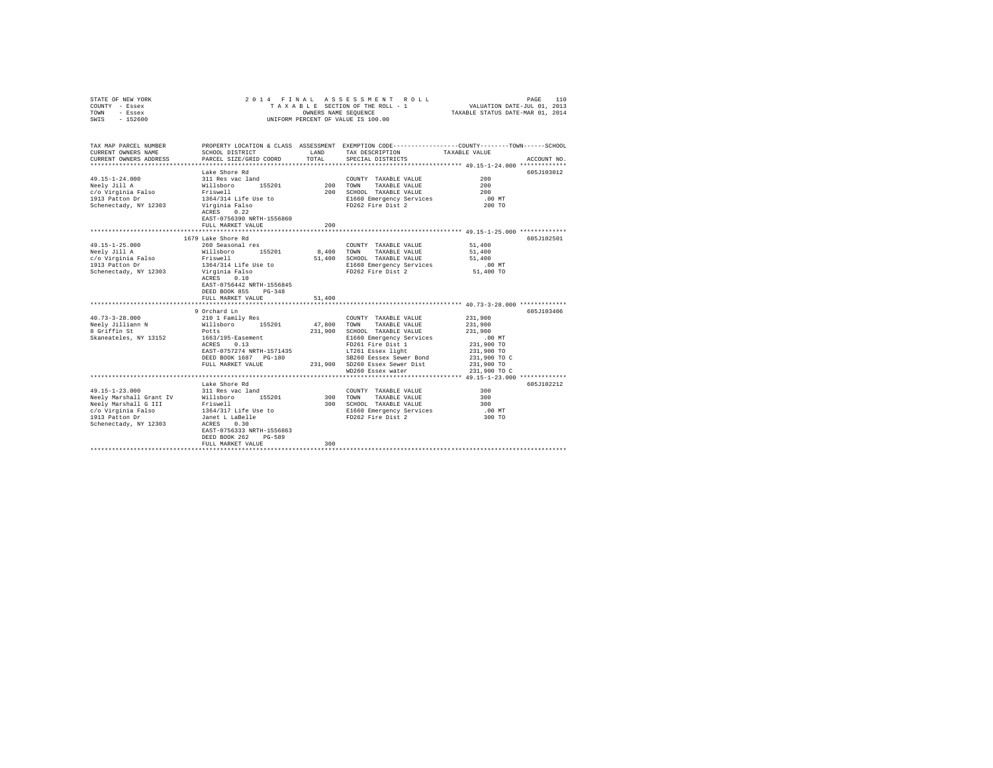| COUNTY - Essex<br>TOWN<br>- Essex<br>SWIS<br>$-152600$                 |                                                      | OWNERS NAME SEQUENCE | TAXABLE SECTION OF THE ROLL - 1<br>UNIFORM PERCENT OF VALUE IS 100.00                                                                   | VALUATION DATE-JUL 01, 2013<br>TAXABLE STATUS DATE-MAR 01, 2014 |             |
|------------------------------------------------------------------------|------------------------------------------------------|----------------------|-----------------------------------------------------------------------------------------------------------------------------------------|-----------------------------------------------------------------|-------------|
| TAX MAP PARCEL NUMBER<br>CURRENT OWNERS NAME<br>CURRENT OWNERS ADDRESS | SCHOOL DISTRICT<br>PARCEL SIZE/GRID COORD            | LAND<br>TOTAL        | PROPERTY LOCATION & CLASS ASSESSMENT EXEMPTION CODE---------------COUNTY-------TOWN------SCHOOL<br>TAX DESCRIPTION<br>SPECIAL DISTRICTS | TAXABLE VALUE                                                   | ACCOUNT NO. |
|                                                                        |                                                      |                      |                                                                                                                                         |                                                                 |             |
|                                                                        | Lake Shore Rd                                        |                      |                                                                                                                                         |                                                                 | 605J103012  |
| 49.15-1-24.000                                                         | 311 Res vac land<br>Willsboro 155201<br>Friswell     | 200 TOWN             | COUNTY TAXABLE VALUE                                                                                                                    | 200<br>200                                                      |             |
| Neely Jill A<br>c/o Virginia Falso                                     |                                                      |                      | TAXABLE VALUE<br>200 SCHOOL TAXABLE VALUE                                                                                               | 200                                                             |             |
| 1913 Patton Dr                                                         | 1364/314 Life Use to                                 |                      | E1660 Emergency Services                                                                                                                | $.00$ MT                                                        |             |
| Schenectady, NY 12303                                                  | Virginia Falso                                       |                      | FD262 Fire Dist 2                                                                                                                       | 200 TO                                                          |             |
|                                                                        | ACRES 0.22                                           |                      |                                                                                                                                         |                                                                 |             |
|                                                                        | EAST-0756390 NRTH-1556860                            |                      |                                                                                                                                         |                                                                 |             |
|                                                                        | FULL MARKET VALUE                                    | 200                  |                                                                                                                                         |                                                                 |             |
|                                                                        |                                                      |                      |                                                                                                                                         |                                                                 |             |
|                                                                        | 1679 Lake Shore Rd                                   |                      |                                                                                                                                         |                                                                 | 605J102501  |
| 49.15-1-25.000                                                         | 260 Seasonal res<br>Willsboro 155201                 |                      | COUNTY TAXABLE VALUE                                                                                                                    | 51,400                                                          |             |
| Neelv Jill A<br>c/o Virginia Falso                                     | Friswell                                             | 8,400                | TOWN TAXABLE VALUE<br>51,400 SCHOOL TAXABLE VALUE                                                                                       | 51,400<br>51,400                                                |             |
| 1913 Patton Dr                                                         | 1364/314 Life Use to                                 |                      | E1660 Emergency Services                                                                                                                | $.00$ MT                                                        |             |
| Schenectady, NY 12303                                                  | Virginia Falso                                       |                      | FD262 Fire Dist 2                                                                                                                       | 51,400 TO                                                       |             |
|                                                                        | ACRES 0.10                                           |                      |                                                                                                                                         |                                                                 |             |
|                                                                        | EAST-0756442 NRTH-1556845                            |                      |                                                                                                                                         |                                                                 |             |
|                                                                        | DEED BOOK 855<br>$PG-348$                            |                      |                                                                                                                                         |                                                                 |             |
|                                                                        | FULL MARKET VALUE                                    | 51,400               |                                                                                                                                         |                                                                 |             |
|                                                                        | 9 Orchard Ln                                         |                      |                                                                                                                                         |                                                                 | 605J103406  |
| $40.73 - 3 - 28.000$                                                   | 210 1 Family Res                                     |                      | COUNTY TAXABLE VALUE                                                                                                                    | 231,900                                                         |             |
| Neely Jilliann N                                                       | Willsboro 155201                                     | 47,800               | TOWN<br>TAXABLE VALUE                                                                                                                   | 231,900                                                         |             |
| 8 Griffin St                                                           | Potts                                                |                      | 231,900 SCHOOL TAXABLE VALUE                                                                                                            | 231,900                                                         |             |
| Skaneateles, NY 13152                                                  | $1663/195$ -Easement<br>ACRES 0.13                   |                      | E1660 Emergency Services                                                                                                                | $.00$ MT                                                        |             |
|                                                                        |                                                      |                      | FD261 Fire Dist 1                                                                                                                       | 231,900 TO                                                      |             |
|                                                                        | EAST-0757274 NRTH-1571435                            |                      | LT261 Essex light                                                                                                                       | 231,900 TO                                                      |             |
|                                                                        | DEED BOOK 1687    PG-180                             |                      | SB260 Eessex Sewer Bond                                                                                                                 | 231,900 TO C                                                    |             |
|                                                                        | FULL MARKET VALUE                                    |                      | 231.900 SD260 Essex Sewer Dist<br>WD260 Essex water                                                                                     | 231,900 TO<br>231,900 TO C                                      |             |
|                                                                        |                                                      |                      |                                                                                                                                         |                                                                 |             |
|                                                                        | Lake Shore Rd                                        |                      |                                                                                                                                         |                                                                 | 605J102212  |
| $49.15 - 1 - 23.000$                                                   | 311 Res vac land                                     |                      | COUNTY TAXABLE VALUE                                                                                                                    | 300                                                             |             |
| Neely Marshall Grant IV                                                | Willsboro 155201                                     | 300 TOWN             | TAXABLE VALUE                                                                                                                           | 300                                                             |             |
| Neely Marshall G III                                                   | Friswell<br>1364/317 Life Use to                     |                      | 300 SCHOOL TAXABLE VALUE                                                                                                                | 300                                                             |             |
| c/o Virginia Falso                                                     |                                                      |                      | E1660 Emergency Services                                                                                                                | $.00$ MT                                                        |             |
| 1913 Patton Dr                                                         | Janet L LaBelle<br>ACRES 0 30                        |                      | FD262 Fire Dist 2                                                                                                                       | 300 TO                                                          |             |
| Schenectady, NY 12303                                                  | ACRES 0.30                                           |                      |                                                                                                                                         |                                                                 |             |
|                                                                        | EAST-0756333 NRTH-1556863<br>DEED BOOK 262<br>PG-589 |                      |                                                                                                                                         |                                                                 |             |
|                                                                        | FULL MARKET VALUE                                    | 300                  |                                                                                                                                         |                                                                 |             |
|                                                                        |                                                      |                      |                                                                                                                                         |                                                                 |             |

STATE OF NEW YORK 2014 FINAL ASSESSMENT ROLL PAGE 110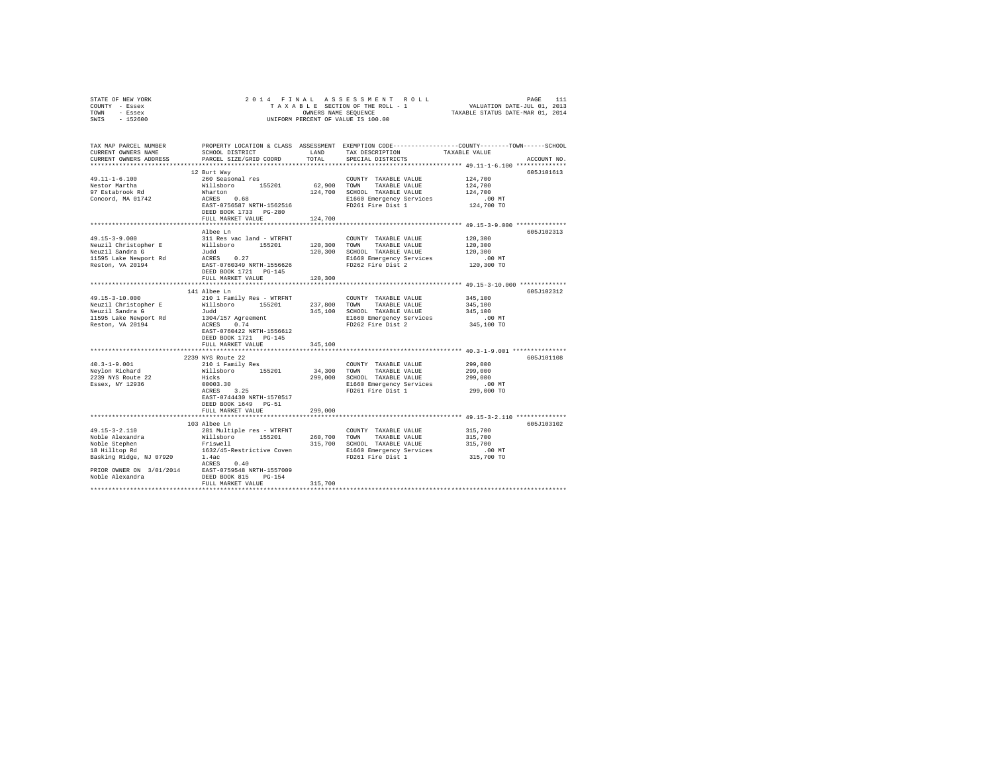| STATE OF NEW YORK                                  |                                       |              |                               |                                                                                                 |
|----------------------------------------------------|---------------------------------------|--------------|-------------------------------|-------------------------------------------------------------------------------------------------|
| COUNTY - Essex                                     |                                       |              |                               |                                                                                                 |
| TOWN - Essex                                       |                                       |              |                               |                                                                                                 |
| SWIS - 152600                                      |                                       |              |                               |                                                                                                 |
|                                                    |                                       |              |                               |                                                                                                 |
| TAX MAP PARCEL NUMBER                              |                                       |              |                               | PROPERTY LOCATION & CLASS ASSESSMENT EXEMPTION CODE---------------COUNTY-------TOWN------SCHOOL |
| CURRENT OWNERS NAME                                | SCHOOL DISTRICT                       | LAND         | TAX DESCRIPTION               | TAXABLE VALUE                                                                                   |
| CURRENT OWNERS ADDRESS                             | PARCEL SIZE/GRID COORD                | TOTAL        | SPECIAL DISTRICTS             | ACCOUNT NO.                                                                                     |
|                                                    |                                       |              |                               |                                                                                                 |
|                                                    | 12 Burt Way                           |              |                               | 605J101613                                                                                      |
| $49.11 - 1 - 6.100$                                | 260 Seasonal res                      |              | COUNTY TAXABLE VALUE          | 124,700                                                                                         |
| Nestor Martha                                      | Willsboro 155201<br>Wharton           | 62,900 TOWN  | TAXABLE VALUE                 | 124,700                                                                                         |
| nestor marcha<br>97 Estabrook Rd                   |                                       |              | 124,700 SCHOOL TAXABLE VALUE  | 124,700                                                                                         |
| Concord, MA 01742                                  | ACRES 0.68                            |              | E1660 Emergency Services      | $.00$ MT                                                                                        |
|                                                    | EAST-0756587 NRTH-1562516             |              | FD261 Fire Dist 1             | 124,700 TO                                                                                      |
|                                                    | DEED BOOK 1733 PG-280                 |              |                               |                                                                                                 |
|                                                    | FULL MARKET VALUE                     | 124,700      |                               |                                                                                                 |
|                                                    |                                       |              |                               | ************************************ 49.15-3-9.000 **************                               |
|                                                    | Albee Ln                              |              |                               | 605J102313                                                                                      |
| $49.15 - 3 - 9.000$                                | 311 Res vac land - WTRFNT             |              | COUNTY TAXABLE VALUE          | 120,300                                                                                         |
| Neuzil Christopher E                               | Willsboro 155201                      | 120,300 TOWN | TAXABLE VALUE                 | 120,300                                                                                         |
| Neuzil Sandra G                                    |                                       |              | 120,300 SCHOOL TAXABLE VALUE  | 120,300                                                                                         |
| 11595 Lake Newport Rd                              | $\frac{\text{d}u}{\text{ACRES}}$ 0.27 |              | E1660 Emergency Services      | $.00$ MT                                                                                        |
| Reston, VA 20194                                   | EAST-0760349 NRTH-1556626             |              | FD262 Fire Dist 2             | 120,300 TO                                                                                      |
|                                                    | DEED BOOK 1721 PG-145                 |              |                               |                                                                                                 |
|                                                    | FULL MARKET VALUE                     | 120,300      |                               |                                                                                                 |
|                                                    |                                       |              |                               |                                                                                                 |
|                                                    | 141 Albee Ln                          |              |                               | 605J102312                                                                                      |
| 49.15-3-10.000                                     | 210 1 Family Res - WTRFNT             |              | COUNTY TAXABLE VALUE          | 345,100                                                                                         |
| Neuzil Christopher E                               | Willsboro 155201 237,800              |              | TOWN<br>TAXABLE VALUE         | 345,100                                                                                         |
| Neuzil Sandra G                                    | Judd                                  |              | 345,100 SCHOOL TAXABLE VALUE  | 345,100                                                                                         |
|                                                    | 1304/157 Agreement<br>ACRES 0.74      |              | E1660 Emergency Services      | .00 MT                                                                                          |
| 11595 Lake Newport Rd<br>Reston, VA 20194          |                                       |              | FD262 Fire Dist 2             | 345,100 TO                                                                                      |
|                                                    | EAST-0760422 NRTH-1556612             |              |                               |                                                                                                 |
|                                                    | DEED BOOK 1721 PG-145                 |              |                               |                                                                                                 |
|                                                    | FULL MARKET VALUE                     | 345,100      |                               |                                                                                                 |
|                                                    |                                       |              |                               |                                                                                                 |
|                                                    | 2239 NYS Route 22                     |              |                               | 605J101108                                                                                      |
| $40.3 - 1 - 9.001$                                 | 210 1 Family Res                      |              | COUNTY TAXABLE VALUE          | 299,000                                                                                         |
| Nevlon Richard                                     | Willsboro 155201                      | 34,300 TOWN  | TAXABLE VALUE                 | 299,000                                                                                         |
| 2239 NYS Route 22                                  | $Hicks$ 00003.30                      |              | 299,000 SCHOOL TAXABLE VALUE  | 299,000                                                                                         |
| Essex, NY 12936                                    |                                       |              | E1660 Emergency Services      | $.00$ MT                                                                                        |
|                                                    | $ACRES$ 3.25                          |              | FD261 Fire Dist 1             | 299,000 TO                                                                                      |
|                                                    | EAST-0744430 NRTH-1570517             |              |                               |                                                                                                 |
|                                                    | DEED BOOK 1649 PG-51                  |              |                               |                                                                                                 |
|                                                    | FULL MARKET VALUE                     | 299,000      |                               |                                                                                                 |
|                                                    |                                       |              |                               |                                                                                                 |
|                                                    | 103 Albee Ln                          |              |                               | 605J103102                                                                                      |
| $49.15 - 3 - 2.110$                                | 281 Multiple res - WTRFNT             |              | COUNTY TAXABLE VALUE          | 315,700                                                                                         |
| Noble Alexandra<br>Noble Stephen<br>18 Hilltop Rd  | Willsboro 155201                      |              | 260,700 TOWN<br>TAXABLE VALUE | 315,700                                                                                         |
|                                                    | Friswell                              |              | 315,700 SCHOOL TAXABLE VALUE  | 315,700                                                                                         |
|                                                    | 1632/45-Restrictive Coven             |              | E1660 Emergency Services      | $.00$ MT                                                                                        |
| Basking Ridge, NJ 07920                            | 1.4ac                                 |              | FD261 Fire Dist 1             | 315,700 TO                                                                                      |
|                                                    | ACRES 0.40                            |              |                               |                                                                                                 |
| PRIOR OWNER ON 3/01/2014 EAST-0759548 NRTH-1557009 |                                       |              |                               |                                                                                                 |
| Noble Alexandra                                    | DEED BOOK 815 PG-154                  |              |                               |                                                                                                 |
|                                                    | FULL MARKET VALUE                     | 315,700      |                               |                                                                                                 |
|                                                    |                                       |              |                               |                                                                                                 |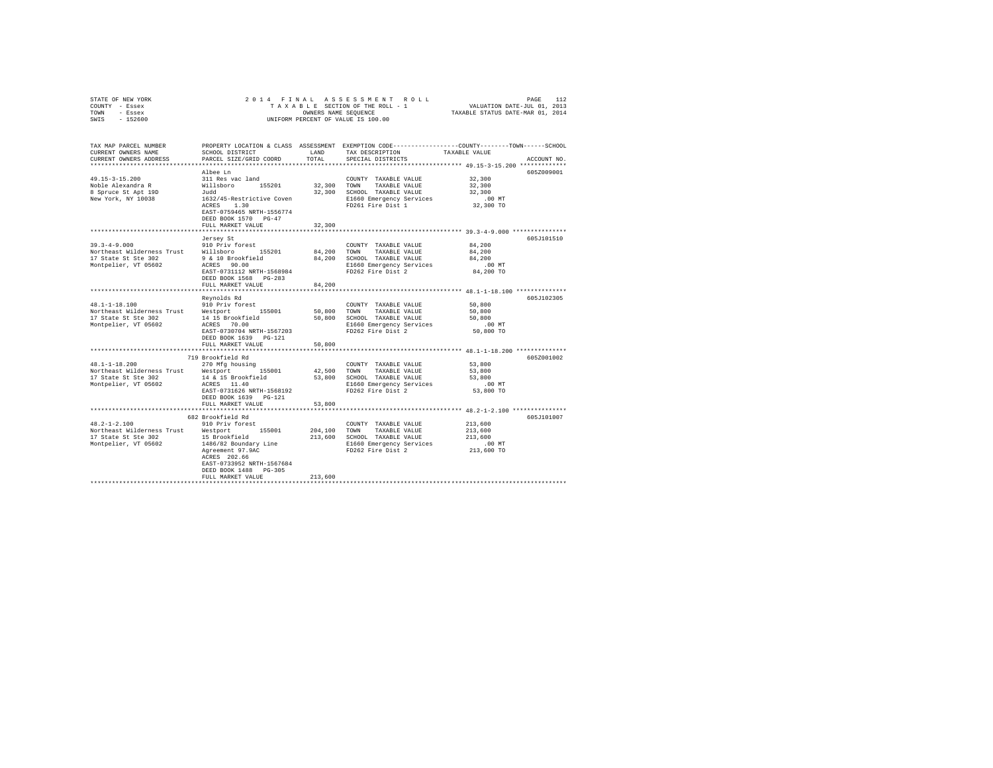| STATE OF NEW YORK                                                                                                        | 2014 FINAL                                                                  |              |                                    |                                                                                                 |  |
|--------------------------------------------------------------------------------------------------------------------------|-----------------------------------------------------------------------------|--------------|------------------------------------|-------------------------------------------------------------------------------------------------|--|
| COUNTY - Essex                                                                                                           |                                                                             |              |                                    |                                                                                                 |  |
| TOWN - Essex                                                                                                             |                                                                             |              | OWNERS NAME SEQUENCE               |                                                                                                 |  |
| SWIS - 152600                                                                                                            |                                                                             |              | UNIFORM PERCENT OF VALUE IS 100.00 |                                                                                                 |  |
|                                                                                                                          |                                                                             |              |                                    |                                                                                                 |  |
|                                                                                                                          |                                                                             |              |                                    |                                                                                                 |  |
|                                                                                                                          |                                                                             |              |                                    | PROPERTY LOCATION & CLASS ASSESSMENT EXEMPTION CODE---------------COUNTY-------TOWN------SCHOOL |  |
| TAX MAP PARCEL NUMBER<br>CURRENT OWNERS NAME                                                                             | SCHOOL DISTRICT                                                             | LAND         | TAX DESCRIPTION                    | TAXABLE VALUE                                                                                   |  |
| CURRENT OWNERS ADDRESS                                                                                                   | PARCEL SIZE/GRID COORD                                                      | TOTAL        | SPECIAL DISTRICTS                  | ACCOUNT NO.                                                                                     |  |
|                                                                                                                          |                                                                             |              |                                    |                                                                                                 |  |
|                                                                                                                          |                                                                             |              |                                    |                                                                                                 |  |
|                                                                                                                          | Albee Ln                                                                    |              |                                    | 605Z009001                                                                                      |  |
| $49.15 - 3 - 15.200$                                                                                                     | 311 Res vac land                                                            |              | COUNTY TAXABLE VALUE               | 32,300                                                                                          |  |
| Noble Alexandra R                                                                                                        | sii kes vac iand<br>Willsboro – 155201<br>Judd<br>1632/45-Restrictive Coven | 32,300 TOWN  | TAXABLE VALUE                      | 32,300                                                                                          |  |
| 8 Spruce St Apt 19D                                                                                                      |                                                                             |              | 32,300 SCHOOL TAXABLE VALUE        | 32,300                                                                                          |  |
| New York, NY 10038                                                                                                       |                                                                             |              | E1660 Emergency Services           | $.00$ MT                                                                                        |  |
|                                                                                                                          | ACRES 1.30                                                                  |              | FD261 Fire Dist 1                  | 32,300 TO                                                                                       |  |
|                                                                                                                          | EAST-0759465 NRTH-1556774                                                   |              |                                    |                                                                                                 |  |
|                                                                                                                          | DEED BOOK 1570 PG-47                                                        |              |                                    |                                                                                                 |  |
|                                                                                                                          | FULL MARKET VALUE                                                           | 32,300       |                                    |                                                                                                 |  |
|                                                                                                                          |                                                                             |              |                                    |                                                                                                 |  |
|                                                                                                                          | Jersey St                                                                   |              |                                    | 605J101510                                                                                      |  |
| $39.3 - 4 - 9.000$                                                                                                       | 910 Priv forest                                                             |              | COUNTY TAXABLE VALUE               | 84,200                                                                                          |  |
| Northeast Wilderness Trust Millsboro 155201<br>17 State St Ste 302 9 & 10 Brookfield<br>Montpelier, VT 05602 ACRES 90.00 |                                                                             |              | 84,200 TOWN TAXABLE VALUE          | 84,200                                                                                          |  |
|                                                                                                                          |                                                                             |              | 84,200 SCHOOL TAXABLE VALUE        | 84,200                                                                                          |  |
|                                                                                                                          |                                                                             |              | E1660 Emergency Services           | $.00$ MT                                                                                        |  |
|                                                                                                                          | EAST-0731112 NRTH-1568984                                                   |              | FD262 Fire Dist 2                  | 84,200 TO                                                                                       |  |
|                                                                                                                          | DEED BOOK 1568 PG-283                                                       |              |                                    |                                                                                                 |  |
|                                                                                                                          | FULL MARKET VALUE                                                           | 84,200       |                                    |                                                                                                 |  |
|                                                                                                                          |                                                                             |              |                                    |                                                                                                 |  |
|                                                                                                                          | Reynolds Rd                                                                 |              |                                    | 605J102305                                                                                      |  |
| 48.1-1-18.100                                                                                                            | 910 Priv forest                                                             |              | COUNTY TAXABLE VALUE               | 50,800                                                                                          |  |
| Northeast Wilderness Trust Westport 155001                                                                               |                                                                             | 50,800       | TOWN<br>TAXABLE VALUE              | 50,800                                                                                          |  |
| 17 State St Ste 302                                                                                                      |                                                                             |              | 50,800 SCHOOL TAXABLE VALUE        | 50,800                                                                                          |  |
| Montpelier, VT 05602                                                                                                     | 14 15 Brookfield<br>ACRES 70.00                                             |              | E1660 Emergency Services           | $.00$ MT                                                                                        |  |
|                                                                                                                          | EAST-0730704 NRTH-1567203                                                   |              | FD262 Fire Dist 2                  | 50,800 TO                                                                                       |  |
|                                                                                                                          | DEED BOOK 1639 PG-121                                                       |              |                                    |                                                                                                 |  |
|                                                                                                                          | FULL MARKET VALUE                                                           | 50,800       |                                    |                                                                                                 |  |
|                                                                                                                          |                                                                             |              |                                    |                                                                                                 |  |
|                                                                                                                          | 719 Brookfield Rd                                                           |              |                                    | 605Z001002                                                                                      |  |
| $48.1 - 1 - 18.200$                                                                                                      | 270 Mfg housing                                                             |              | COUNTY TAXABLE VALUE               | 53,800                                                                                          |  |
| Northeast Wilderness Trust Westport 155001                                                                               |                                                                             | 42.500 TOWN  | TAXABLE VALUE                      | 53,800                                                                                          |  |
| 17 State St Ste 302                                                                                                      | 14 & 15 Brookfield                                                          |              | 53,800 SCHOOL TAXABLE VALUE        | 53,800                                                                                          |  |
| Montpelier, VT 05602                                                                                                     | ACRES 11.40                                                                 |              | E1660 Emergency Services           | $.00$ MT                                                                                        |  |
|                                                                                                                          | EAST-0731626 NRTH-1568192                                                   |              | FD262 Fire Dist 2                  | 53,800 TO                                                                                       |  |
|                                                                                                                          | DEED BOOK 1639 PG-121                                                       |              |                                    |                                                                                                 |  |
|                                                                                                                          | FULL MARKET VALUE                                                           | 53,800       |                                    |                                                                                                 |  |
|                                                                                                                          |                                                                             |              |                                    | *************** 48.2-1-2.100 ***************                                                    |  |
|                                                                                                                          | 682 Brookfield Rd                                                           |              |                                    | 605J101007                                                                                      |  |
| $48.2 - 1 - 2.100$                                                                                                       |                                                                             |              |                                    | 213,600                                                                                         |  |
|                                                                                                                          | 910 Priv forest                                                             |              | COUNTY TAXABLE VALUE               |                                                                                                 |  |
| Northeast Wilderness Trust Westport 155001                                                                               | 15 Brookfield                                                               | 204,100 TOWN | TAXABLE VALUE                      | 213,600<br>213,600                                                                              |  |
| 17 State St Ste 302                                                                                                      |                                                                             |              | 213,600 SCHOOL TAXABLE VALUE       |                                                                                                 |  |
| Montpelier, VT 05602                                                                                                     | 1486/82 Boundary Line                                                       |              | E1660 Emergency Services           | .00 MT                                                                                          |  |
|                                                                                                                          | Agreement 97.9AC                                                            |              | FD262 Fire Dist 2                  | 213,600 TO                                                                                      |  |
|                                                                                                                          | ACRES 202.66                                                                |              |                                    |                                                                                                 |  |
|                                                                                                                          | EAST-0733952 NRTH-1567684                                                   |              |                                    |                                                                                                 |  |
|                                                                                                                          | DEED BOOK 1488 PG-305                                                       |              |                                    |                                                                                                 |  |
|                                                                                                                          | FULL MARKET VALUE                                                           | 213,600      |                                    |                                                                                                 |  |
|                                                                                                                          |                                                                             |              |                                    |                                                                                                 |  |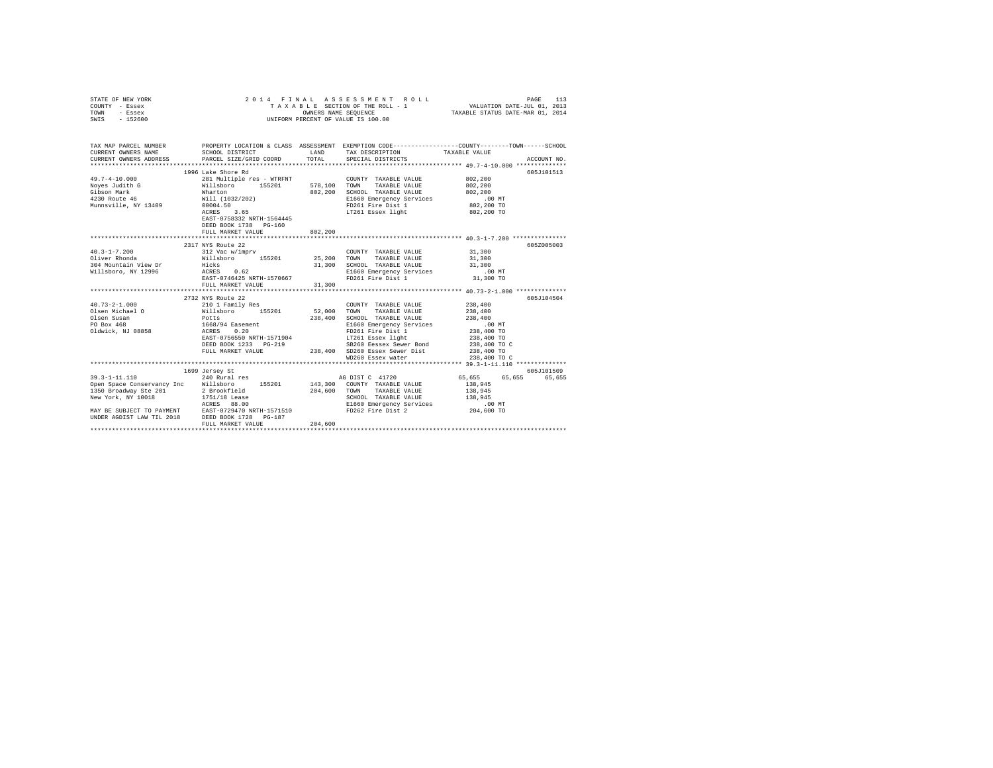| STATE OF NEW YORK<br>COUNTY - Essex<br>TOWN<br>- Essex<br>SWIS - 152600                                                                                                                                                                       | 2014 FINAL ASSESSMENT I<br>TAXABLE SECTION OF THE ROLL -<br>UNIFORM PERCENT OF VALUE IS 100.00                                                                                                                                                                                                       |              |                                                                 |                                                                                                                          |             |
|-----------------------------------------------------------------------------------------------------------------------------------------------------------------------------------------------------------------------------------------------|------------------------------------------------------------------------------------------------------------------------------------------------------------------------------------------------------------------------------------------------------------------------------------------------------|--------------|-----------------------------------------------------------------|--------------------------------------------------------------------------------------------------------------------------|-------------|
| CURRENT OWNERS NAME                                                                                                                                                                                                                           | SCHOOL DISTRICT                                                                                                                                                                                                                                                                                      |              |                                                                 | TAX MAP PARCEL NUMBER THE PROPERTY LOCATION & CLASS ASSESSMENT EXEMPTION CODE-------------COUNTY--------TOWN------SCHOOL |             |
|                                                                                                                                                                                                                                               |                                                                                                                                                                                                                                                                                                      |              |                                                                 |                                                                                                                          |             |
|                                                                                                                                                                                                                                               | 1996 Lake Shore Rd                                                                                                                                                                                                                                                                                   |              |                                                                 |                                                                                                                          | 605.T101513 |
| $49.7 - 4 - 10.000$                                                                                                                                                                                                                           |                                                                                                                                                                                                                                                                                                      |              |                                                                 | 802,200                                                                                                                  |             |
| Noyes Judith G                                                                                                                                                                                                                                |                                                                                                                                                                                                                                                                                                      |              |                                                                 | 802,200                                                                                                                  |             |
| Gibson Mark<br>4230 Route 46                                                                                                                                                                                                                  |                                                                                                                                                                                                                                                                                                      |              | SCHOOL TAXABLE VALUE                                            | 802,200                                                                                                                  |             |
|                                                                                                                                                                                                                                               |                                                                                                                                                                                                                                                                                                      |              |                                                                 | .00 MT                                                                                                                   |             |
| Munnsville, NY 13409                                                                                                                                                                                                                          |                                                                                                                                                                                                                                                                                                      |              |                                                                 | 802,200 TO                                                                                                               |             |
|                                                                                                                                                                                                                                               | 281 Multiple res - WTRFNT<br>281 Multiple res - WTRFNT<br>281 Multiple res - WTRFNT<br>281 Multiple res - WTRFNT<br>281 Multiple res - 578,100<br>281 Multiple res 2024 PD 261 MARIE VALUE<br>2024 DIGO14.50<br>21660 Emergency Services<br>21<br>EAST-0758332 NRTH-1564445<br>DEED BOOK 1738 PG-160 |              |                                                                 | 802,200 TO                                                                                                               |             |
|                                                                                                                                                                                                                                               | FULL MARKET VALUE                                                                                                                                                                                                                                                                                    | 802,200      |                                                                 |                                                                                                                          |             |
|                                                                                                                                                                                                                                               |                                                                                                                                                                                                                                                                                                      |              |                                                                 |                                                                                                                          |             |
|                                                                                                                                                                                                                                               | 2317 NYS Route 22                                                                                                                                                                                                                                                                                    |              |                                                                 |                                                                                                                          | 605Z005003  |
|                                                                                                                                                                                                                                               |                                                                                                                                                                                                                                                                                                      |              | COUNTY TAXABLE VALUE 31,300                                     |                                                                                                                          |             |
|                                                                                                                                                                                                                                               |                                                                                                                                                                                                                                                                                                      | 31,300       | TOWN<br>TAXABLE VALUE<br>SCHOOL TAXABLE VALUE                   | 31,300<br>31,300                                                                                                         |             |
|                                                                                                                                                                                                                                               |                                                                                                                                                                                                                                                                                                      |              |                                                                 | $.00$ MT                                                                                                                 |             |
|                                                                                                                                                                                                                                               | ACRES 0.62 E1660 Emergency Services<br>EAST-0746425 NRTH-1570667 FD261 Fire Dist 1                                                                                                                                                                                                                   |              |                                                                 | 31,300 TO                                                                                                                |             |
|                                                                                                                                                                                                                                               | FULL MARKET VALUE                                                                                                                                                                                                                                                                                    | 31,300       |                                                                 |                                                                                                                          |             |
|                                                                                                                                                                                                                                               | ****************************                                                                                                                                                                                                                                                                         |              |                                                                 |                                                                                                                          |             |
|                                                                                                                                                                                                                                               | 2732 NYS Route 22                                                                                                                                                                                                                                                                                    |              |                                                                 |                                                                                                                          | 605-7104504 |
| $40.73 - 2 - 1.000$                                                                                                                                                                                                                           | 2/22 A10 AUGLE 22<br>210 1 Family Res<br>Willaboro 155201<br>Potts<br>1668/94 Easement<br>ACRES 0.20<br>RAST-0756550 NRTH-1571904                                                                                                                                                                    |              | COUNTY TAXABLE VALUE                                            | 238,400                                                                                                                  |             |
| Olsen Michael O                                                                                                                                                                                                                               |                                                                                                                                                                                                                                                                                                      | 52,000 TOWN  | TAXABLE VALUE                                                   | 238,400                                                                                                                  |             |
| Olsen Susan<br>PO Box 468                                                                                                                                                                                                                     |                                                                                                                                                                                                                                                                                                      | 238,400      | SCHOOL TAXABLE VALUE<br>E1660 Emergency Services                | 238,400                                                                                                                  |             |
|                                                                                                                                                                                                                                               |                                                                                                                                                                                                                                                                                                      |              |                                                                 | .00 MT.<br>238,400 TO                                                                                                    |             |
| Oldwick, NJ 08858                                                                                                                                                                                                                             |                                                                                                                                                                                                                                                                                                      |              | FD261 Fire Dist 1<br>LT261 Essex light                          | 238,400 TO                                                                                                               |             |
|                                                                                                                                                                                                                                               | DEED BOOK 1233 PG-219                                                                                                                                                                                                                                                                                |              | SB260 Eessex Sewer Bond                                         |                                                                                                                          |             |
|                                                                                                                                                                                                                                               | FULL MARKET VALUE                                                                                                                                                                                                                                                                                    |              | 238,400 SD260 Essex Sewer Dist                                  | 238,400 TO C<br>238,400 TO                                                                                               |             |
|                                                                                                                                                                                                                                               |                                                                                                                                                                                                                                                                                                      |              | WD260 Essex water                                               | 238,400 TO C                                                                                                             |             |
|                                                                                                                                                                                                                                               |                                                                                                                                                                                                                                                                                                      |              |                                                                 |                                                                                                                          |             |
|                                                                                                                                                                                                                                               | 1699 Jersev St                                                                                                                                                                                                                                                                                       |              |                                                                 |                                                                                                                          | 605J101509  |
|                                                                                                                                                                                                                                               |                                                                                                                                                                                                                                                                                                      |              | AG DIST C 41720                                                 | 65,655 65,655 65,655                                                                                                     |             |
|                                                                                                                                                                                                                                               |                                                                                                                                                                                                                                                                                                      |              | 143,300 COUNTY TAXABLE VALUE                                    | 138,945                                                                                                                  |             |
|                                                                                                                                                                                                                                               |                                                                                                                                                                                                                                                                                                      | 204.600 TOWN | TAXABLE VALUE                                                   | 138,945                                                                                                                  |             |
|                                                                                                                                                                                                                                               |                                                                                                                                                                                                                                                                                                      |              | SCHOOL TAXABLE VALUE                                            | 138,945                                                                                                                  |             |
|                                                                                                                                                                                                                                               |                                                                                                                                                                                                                                                                                                      |              | E1660 Emergency Services .00 MT<br>FD262 Fire Dist 2 204,600 TO |                                                                                                                          |             |
|                                                                                                                                                                                                                                               |                                                                                                                                                                                                                                                                                                      |              |                                                                 |                                                                                                                          |             |
| 39.3-1-11.110<br>240 Rural res<br>Open Space Conservancy Inc Willsboro<br>155201<br>1350 Broadway Ste 201 2 Brookfield<br>New York, NY 10018<br>NAY BE SUBJECT TO PAYMENT RAGES 88.00<br>NAY BE SUBJECT TO PAYMENT RAGES 88.00<br>NAY BE SUBJ |                                                                                                                                                                                                                                                                                                      |              |                                                                 |                                                                                                                          |             |
|                                                                                                                                                                                                                                               | FULL MARKET VALUE                                                                                                                                                                                                                                                                                    | 204,600      |                                                                 |                                                                                                                          |             |
|                                                                                                                                                                                                                                               |                                                                                                                                                                                                                                                                                                      |              |                                                                 |                                                                                                                          |             |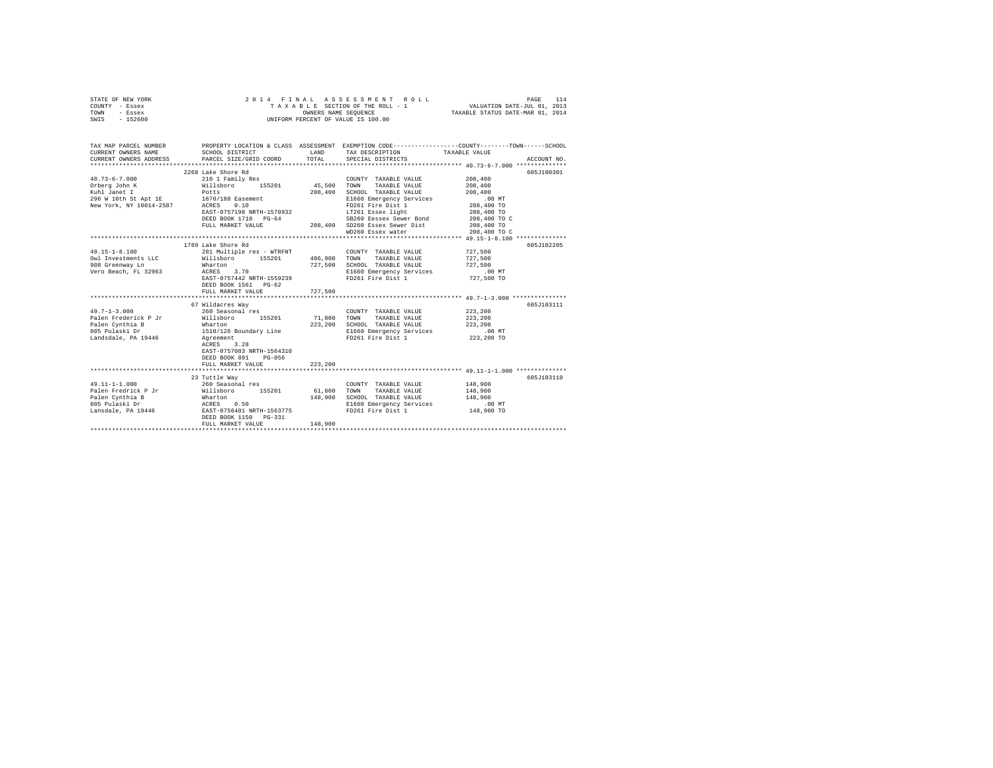| STATE OF NEW YORK |                      |  |  |  |  |  | 2014 FINAL ASSESSMENT ROLL         |                                  | PAGE                        | 114 |
|-------------------|----------------------|--|--|--|--|--|------------------------------------|----------------------------------|-----------------------------|-----|
| COUNTY - Essex    |                      |  |  |  |  |  | TAXABLE SECTION OF THE ROLL - 1    |                                  | VALUATION DATE-JUL 01, 2013 |     |
| TOWN<br>- Essex   | OWNERS NAME SEOUENCE |  |  |  |  |  |                                    | TAXABLE STATUS DATE-MAR 01, 2014 |                             |     |
| $-152600$<br>SWIS |                      |  |  |  |  |  | UNIFORM PERCENT OF VALUE IS 100.00 |                                  |                             |     |

| TAX MAP PARCEL NUMBER<br>CURRENT OWNERS NAME              | SCHOOL DISTRICT                                                                                                                                                                              | LAND <b>LAND</b>                    | TAX DESCRIPTION TAXABLE VALUE                                                                                                                                                 | PROPERTY LOCATION & CLASS ASSESSMENT EXEMPTION CODE----------------COUNTY-------TOWN-----SCHOOL |
|-----------------------------------------------------------|----------------------------------------------------------------------------------------------------------------------------------------------------------------------------------------------|-------------------------------------|-------------------------------------------------------------------------------------------------------------------------------------------------------------------------------|-------------------------------------------------------------------------------------------------|
| $40.73 - 6 - 7.000$<br>New York, NY 10014-2587 ACRES 0.10 | 2268 Lake Shore Rd<br>210 1 Family Res<br>Orberg John K (1989)<br>Kuhl Janet I (1989)<br>296 W 10th St Apt 1E (1970/188 Easement 1989)<br>1670/188 Easement 1690                             |                                     | COUNTY TAXABLE VALUE 208,400<br>TOWN<br>TAXABLE VALUE 208,400<br>SCHOOL TAXABLE VALUE<br>E1660 Emergency Services .00 MT<br>FD261 Fire Dist 1 208,400 TO<br>WD260 Essex water | 605J100301<br>208,400<br>208,400 TO<br>208,400 TO C<br>208,400 TO C                             |
| Vero Beach, FL 32963 ACRES                                | 1789 Lake Shore Rd<br>3.70 000<br>EAST-0757442 NRTH-1559239<br>DEED BOOK 1561 PG-62<br>FULL MARKET VALUE                                                                                     | 727,500                             | E1660 Emergency Services .00 MT<br>FD261 Fire Dist 1 727,500 TO<br>FD261 Fire Dist 1                                                                                          | 605J102205                                                                                      |
| $49.7 - 1 - 3.000$<br>Landsdale, PA 19446 Agreement       | 67 Wildacres Way<br>260 Seasonal res<br>Palen Frederick P Jr             Willsboro       155201             71,800   TOWN<br>ACRES 3.28<br>EAST-0757083 NRTH-1564310<br>DEED BOOK 891 PG-056 |                                     | COUNTY TAXABLE VALUE 223, 200<br>TAXABLE VALUE 223, 200<br>223,200 SCHOOL TAXABLE VALUE 223,200<br>E1660 Emergency Services .00 MT<br>FD261 Fire Dist 1 223.200 TO            | 605J103111                                                                                      |
|                                                           | 23 Tuttle Way<br>FULL MARKET VALUE                                                                                                                                                           | 148,900<br>************************ | COUNTY TAXABLE VALUE<br>148,900 SCHOOL TAXABLE VALUE 148,900<br>E1660 Emergency Services .00 MT<br>FD261 Fire Dist 1 148,900 TO<br>FD261 Fire Dist 1                          | 605J103110<br>148,900<br>148,900                                                                |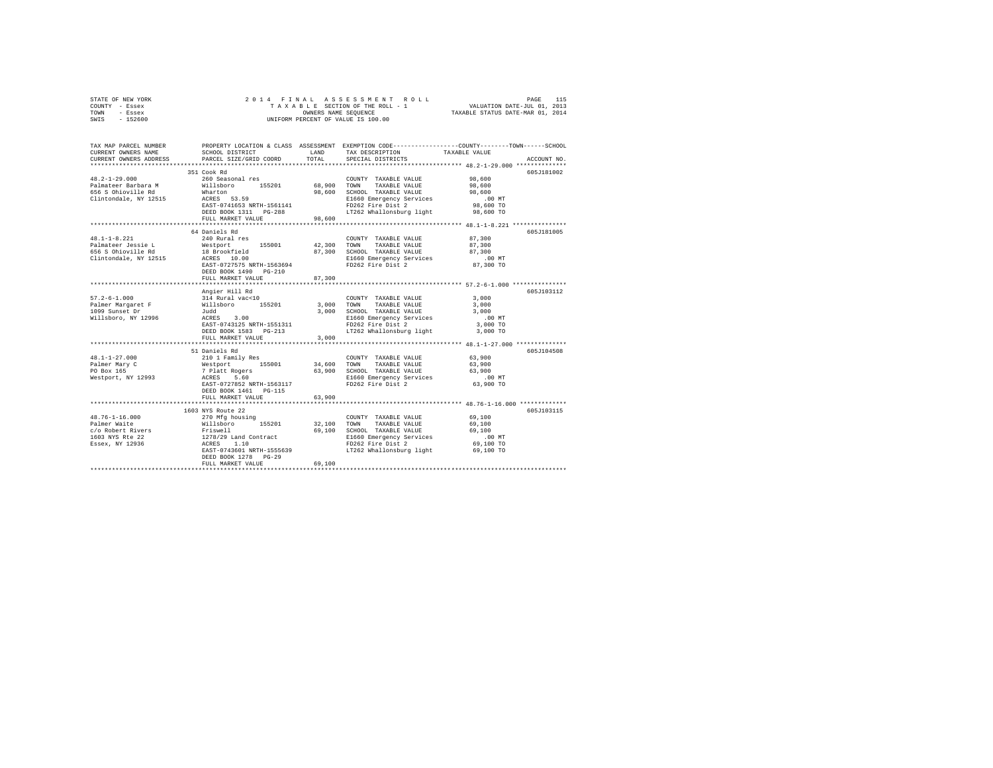|      | STATE OF NEW YORK |  | 2014 FINAL ASSESSMENT ROLL         | 115<br>PAGE                      |  |
|------|-------------------|--|------------------------------------|----------------------------------|--|
|      | COUNTY - Essex    |  | TAXABLE SECTION OF THE ROLL - 1    | VALUATION DATE-JUL 01, 2013      |  |
| TOWN | - Essex           |  | OWNERS NAME SEOUENCE               | TAXABLE STATUS DATE-MAR 01, 2014 |  |
| SWIS | - 152600          |  | UNIFORM PERCENT OF VALUE IS 100.00 |                                  |  |

| TAX MAP PARCEL NUMBER<br>CURRENT OWNERS NAME                                                                                                                                                                                                        | SCHOOL DISTRICT                                                                                                                                                                                                | LAND<br>TOTAL | TAX DESCRIPTION                                         | PROPERTY LOCATION & CLASS ASSESSMENT EXEMPTION CODE---------------COUNTY-------TOWN-----SCHOOL<br>TAXABLE VALUE |
|-----------------------------------------------------------------------------------------------------------------------------------------------------------------------------------------------------------------------------------------------------|----------------------------------------------------------------------------------------------------------------------------------------------------------------------------------------------------------------|---------------|---------------------------------------------------------|-----------------------------------------------------------------------------------------------------------------|
| CURRENT OWNERS ADDRESS                                                                                                                                                                                                                              | PARCEL SIZE/GRID COORD                                                                                                                                                                                         |               | SPECIAL DISTRICTS                                       | ACCOUNT NO.                                                                                                     |
|                                                                                                                                                                                                                                                     | 351 Cook Rd                                                                                                                                                                                                    |               |                                                         | 605J181002                                                                                                      |
| $48.2 - 1 - 29.000$                                                                                                                                                                                                                                 | 260 Seasonal res                                                                                                                                                                                               |               | COUNTY TAXABLE VALUE                                    | 98,600                                                                                                          |
| Palmateer Barbara M                                                                                                                                                                                                                                 | Willsboro 155201<br>Wharton                                                                                                                                                                                    | 68,900 TOWN   | TAXABLE VALUE                                           | 98,600                                                                                                          |
| 656 S Ohioville Rd                                                                                                                                                                                                                                  |                                                                                                                                                                                                                |               | 98,600 SCHOOL TAXABLE VALUE                             | 98,600                                                                                                          |
| Clintondale, NY 12515                                                                                                                                                                                                                               | Wharton<br>ACRES 53.59                                                                                                                                                                                         |               | E1660 Emergency Services                                | $.00$ MT                                                                                                        |
|                                                                                                                                                                                                                                                     | EAST-0741653 NRTH-1561141                                                                                                                                                                                      |               | FD262 Fire Dist 2                                       | 98,600 TO                                                                                                       |
|                                                                                                                                                                                                                                                     | DEED BOOK 1311 PG-288                                                                                                                                                                                          |               | LT262 Whallonsburg light 98,600 TO                      |                                                                                                                 |
|                                                                                                                                                                                                                                                     | FULL MARKET VALUE                                                                                                                                                                                              | 98,600        |                                                         |                                                                                                                 |
|                                                                                                                                                                                                                                                     |                                                                                                                                                                                                                |               |                                                         |                                                                                                                 |
|                                                                                                                                                                                                                                                     | 64 Daniels Rd                                                                                                                                                                                                  |               |                                                         | 605J181005                                                                                                      |
| $48.1 - 1 - 8.221$                                                                                                                                                                                                                                  | 240 Rural res                                                                                                                                                                                                  |               | COUNTY TAXABLE VALUE                                    | 87,300                                                                                                          |
| Palmateer Jessie L                                                                                                                                                                                                                                  | Westport 155001 42,300 TOWN                                                                                                                                                                                    |               | TAXABLE VALUE                                           | 87,300                                                                                                          |
|                                                                                                                                                                                                                                                     |                                                                                                                                                                                                                |               | 87,300 SCHOOL TAXABLE VALUE<br>E1660 Emergency Services | 87,300                                                                                                          |
|                                                                                                                                                                                                                                                     |                                                                                                                                                                                                                |               |                                                         | .00 MT                                                                                                          |
|                                                                                                                                                                                                                                                     | EAST-0727575 NRTH-1563694                                                                                                                                                                                      |               | FD262 Fire Dist 2                                       | 87,300 TO                                                                                                       |
|                                                                                                                                                                                                                                                     | DEED BOOK 1490 PG-210                                                                                                                                                                                          |               |                                                         |                                                                                                                 |
|                                                                                                                                                                                                                                                     | FULL MARKET VALUE                                                                                                                                                                                              | 87,300        |                                                         |                                                                                                                 |
|                                                                                                                                                                                                                                                     | Angier Hill Rd                                                                                                                                                                                                 |               |                                                         | 605J103112                                                                                                      |
| $57.2 - 6 - 1.000$                                                                                                                                                                                                                                  |                                                                                                                                                                                                                |               | COUNTY TAXABLE VALUE                                    | 3.000                                                                                                           |
|                                                                                                                                                                                                                                                     |                                                                                                                                                                                                                | 3,000 TOWN    | TAXABLE VALUE                                           | 3,000                                                                                                           |
| Palmer Margaret F<br>1099 Sunset Dr                                                                                                                                                                                                                 | 314 Rural vac<10<br>Willsboro 155201<br>Judd<br>ACRES 3.00                                                                                                                                                     |               | 3,000 SCHOOL TAXABLE VALUE                              | 3,000                                                                                                           |
| Willsboro, NY 12996                                                                                                                                                                                                                                 |                                                                                                                                                                                                                |               |                                                         | $.00$ MT                                                                                                        |
|                                                                                                                                                                                                                                                     | EAST-0743125 NRTH-1551311                                                                                                                                                                                      |               | E1660 Emergency Services<br>FD262 Fire Dist 2           | 3,000 TO                                                                                                        |
|                                                                                                                                                                                                                                                     | DEED BOOK 1583 PG-213                                                                                                                                                                                          |               | LT262 Whallonsburg light                                | 3,000 TO                                                                                                        |
|                                                                                                                                                                                                                                                     | FULL MARKET VALUE                                                                                                                                                                                              | 3,000         |                                                         |                                                                                                                 |
|                                                                                                                                                                                                                                                     |                                                                                                                                                                                                                |               |                                                         |                                                                                                                 |
|                                                                                                                                                                                                                                                     | 51 Daniels Rd                                                                                                                                                                                                  |               |                                                         | 605J104508                                                                                                      |
| $48.1 - 1 - 27.000$                                                                                                                                                                                                                                 | 210 1 Family Res                                                                                                                                                                                               |               | COUNTY TAXABLE VALUE                                    | 63,900                                                                                                          |
| Palmer Mary C                                                                                                                                                                                                                                       | 11-1 - 11-11-12 - 155001 - 14,600 - 10-11-11-12<br>7 Platt Rogers - 155001 - 163,900 - 1516001<br>1993 - 20081 - 20081 - 11660 Briefol Briefol Briefol Briefol Briefol Briefol Briefol Briefol Briefol Briefol |               | TAXABLE VALUE 63,900                                    |                                                                                                                 |
| PO Box 165                                                                                                                                                                                                                                          |                                                                                                                                                                                                                |               | 63,900 SCHOOL TAXABLE VALUE                             | 63,900                                                                                                          |
| Westport, NY 12993                                                                                                                                                                                                                                  |                                                                                                                                                                                                                |               | E1660 Emergency Services<br>FD262 Fire Dist 2           | $.00$ MT                                                                                                        |
|                                                                                                                                                                                                                                                     | EAST-0727852 NRTH-1563117                                                                                                                                                                                      |               |                                                         | 63,900 TO                                                                                                       |
|                                                                                                                                                                                                                                                     | DEED BOOK 1461 PG-115                                                                                                                                                                                          |               |                                                         |                                                                                                                 |
|                                                                                                                                                                                                                                                     | FULL MARKET VALUE                                                                                                                                                                                              | 63,900        |                                                         | **************** 48.76-1-16.000 ************                                                                    |
|                                                                                                                                                                                                                                                     | 1603 NYS Route 22                                                                                                                                                                                              |               |                                                         | 605J103115                                                                                                      |
|                                                                                                                                                                                                                                                     |                                                                                                                                                                                                                |               | COUNTY TAXABLE VALUE                                    | 69,100                                                                                                          |
|                                                                                                                                                                                                                                                     |                                                                                                                                                                                                                | 32,100 TOWN   | TAXABLE VALUE                                           | 69,100                                                                                                          |
| 48.76-1-16.000<br>Palmer Waite Millsboro 155201<br>$C/O$ Robert Rivers Friewell<br>$1003$ NYS Rte 22<br>$1278/29$ Land Contract<br>$15603$ NYS Rte 22<br>$1278/29$ Land Contract<br>$15603$ NYS Rte 22<br>$1278/29$ Land Contract<br>$1560$<br>$15$ |                                                                                                                                                                                                                |               | 69,100 SCHOOL TAXABLE VALUE                             | 69,100                                                                                                          |
|                                                                                                                                                                                                                                                     |                                                                                                                                                                                                                |               | E1660 Emergency Services                                | $.00$ MT                                                                                                        |
|                                                                                                                                                                                                                                                     |                                                                                                                                                                                                                |               | FD262 Fire Dist 2                                       | 69,100 TO                                                                                                       |
|                                                                                                                                                                                                                                                     | EAST-0743601 NRTH-1555639                                                                                                                                                                                      |               | LT262 Whallonsburg light                                | 69,100 TO                                                                                                       |
|                                                                                                                                                                                                                                                     | DEED BOOK 1278 PG-29                                                                                                                                                                                           |               |                                                         |                                                                                                                 |
|                                                                                                                                                                                                                                                     | FULL MARKET VALUE                                                                                                                                                                                              | 69,100        |                                                         |                                                                                                                 |
|                                                                                                                                                                                                                                                     |                                                                                                                                                                                                                |               |                                                         |                                                                                                                 |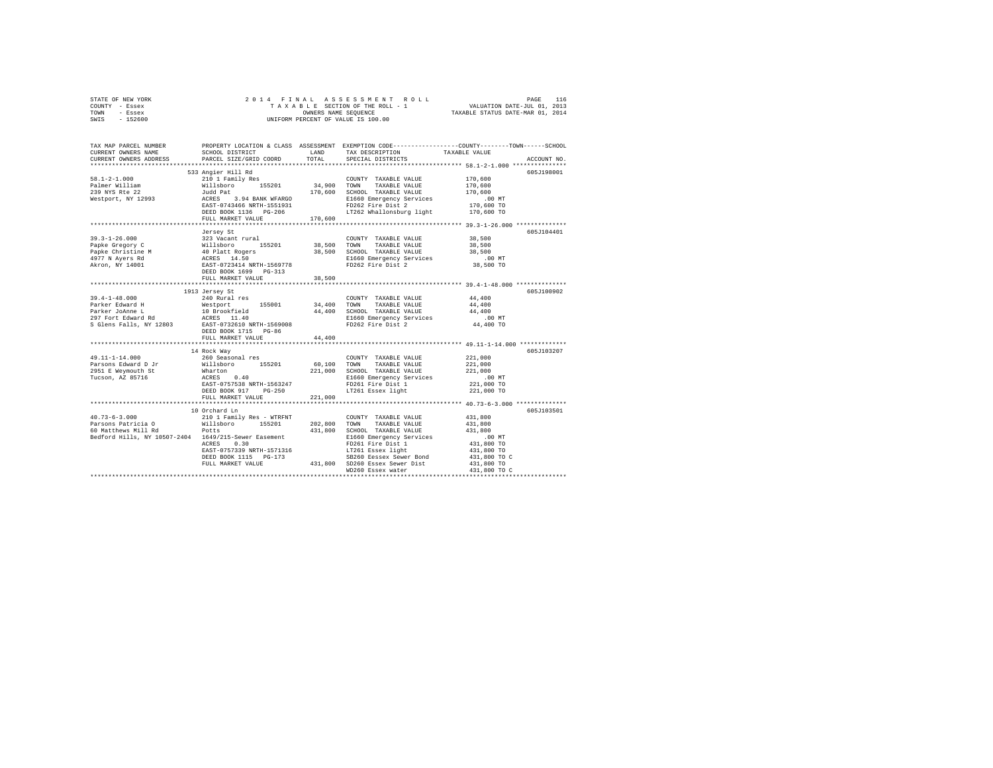| STATE OF NEW YORK<br>COUNTY - Essex                                                                                                                                                                                                  |                              |              |                                                                                                                                                                                                                                                                                                                                                                                                               |                                                                                                                      |
|--------------------------------------------------------------------------------------------------------------------------------------------------------------------------------------------------------------------------------------|------------------------------|--------------|---------------------------------------------------------------------------------------------------------------------------------------------------------------------------------------------------------------------------------------------------------------------------------------------------------------------------------------------------------------------------------------------------------------|----------------------------------------------------------------------------------------------------------------------|
| TOWN - Essex                                                                                                                                                                                                                         |                              |              |                                                                                                                                                                                                                                                                                                                                                                                                               |                                                                                                                      |
| SWIS - 152600                                                                                                                                                                                                                        |                              |              |                                                                                                                                                                                                                                                                                                                                                                                                               |                                                                                                                      |
|                                                                                                                                                                                                                                      |                              |              |                                                                                                                                                                                                                                                                                                                                                                                                               |                                                                                                                      |
|                                                                                                                                                                                                                                      |                              |              |                                                                                                                                                                                                                                                                                                                                                                                                               | TAX MAP PARCEL NUMBER PROPERTY LOCATION & CLASS ASSESSMENT EXEMPTION CODE---------------COUNTY-------TOWN-----SCHOOL |
| CURRENT OWNERS NAME                                                                                                                                                                                                                  |                              |              | SCHOOL DISTRICT                    LAND       TAX DESCRIPTION                 TAXABLE VALUE                                                                                                                                                                                                                                                                                                                   |                                                                                                                      |
| CURRENT OWNERS ADDRESS                                                                                                                                                                                                               | PARCEL SIZE/GRID COORD TOTAL |              | SPECIAL DISTRICTS                                                                                                                                                                                                                                                                                                                                                                                             | ACCOUNT NO.                                                                                                          |
|                                                                                                                                                                                                                                      |                              |              |                                                                                                                                                                                                                                                                                                                                                                                                               |                                                                                                                      |
|                                                                                                                                                                                                                                      | 533 Angier Hill Rd           |              |                                                                                                                                                                                                                                                                                                                                                                                                               | 605J198001                                                                                                           |
| $58.1 - 2 - 1.000$                                                                                                                                                                                                                   |                              |              |                                                                                                                                                                                                                                                                                                                                                                                                               |                                                                                                                      |
|                                                                                                                                                                                                                                      |                              |              |                                                                                                                                                                                                                                                                                                                                                                                                               |                                                                                                                      |
| Palmer William<br>239 NYS Rte 22                                                                                                                                                                                                     |                              |              |                                                                                                                                                                                                                                                                                                                                                                                                               |                                                                                                                      |
| Westport, NY 12993                                                                                                                                                                                                                   |                              |              | $\begin{tabular}{l c c c c} \texttt{53.4 M9E1F} & \texttt{R1.4 M} & \texttt{C} & \texttt{C} & \texttt{C} & \texttt{C} & \texttt{M1.4 M} & \texttt{R2.4 M} & \texttt{D} & \texttt{D} & \texttt{D} & \texttt{D} & \texttt{D} & \texttt{D} & \texttt{D} & \texttt{D} & \texttt{D} & \texttt{D} \\ \texttt{0} & \texttt{0} & \texttt{1} & \texttt{1} & \texttt{1} & \texttt{1} & \texttt{1} & \texttt{1} & \text$ |                                                                                                                      |
|                                                                                                                                                                                                                                      |                              |              |                                                                                                                                                                                                                                                                                                                                                                                                               |                                                                                                                      |
|                                                                                                                                                                                                                                      |                              |              |                                                                                                                                                                                                                                                                                                                                                                                                               |                                                                                                                      |
|                                                                                                                                                                                                                                      |                              |              |                                                                                                                                                                                                                                                                                                                                                                                                               |                                                                                                                      |
|                                                                                                                                                                                                                                      |                              |              |                                                                                                                                                                                                                                                                                                                                                                                                               | 605J104401                                                                                                           |
|                                                                                                                                                                                                                                      |                              |              | COUNTY TAXABLE VALUE 38,500                                                                                                                                                                                                                                                                                                                                                                                   |                                                                                                                      |
|                                                                                                                                                                                                                                      |                              |              |                                                                                                                                                                                                                                                                                                                                                                                                               | 38,500                                                                                                               |
|                                                                                                                                                                                                                                      |                              |              |                                                                                                                                                                                                                                                                                                                                                                                                               | 38,500                                                                                                               |
|                                                                                                                                                                                                                                      |                              |              |                                                                                                                                                                                                                                                                                                                                                                                                               |                                                                                                                      |
|                                                                                                                                                                                                                                      |                              |              |                                                                                                                                                                                                                                                                                                                                                                                                               | 00 MT.<br>38,500 TO                                                                                                  |
|                                                                                                                                                                                                                                      | DEED BOOK 1699 PG-313        |              |                                                                                                                                                                                                                                                                                                                                                                                                               |                                                                                                                      |
|                                                                                                                                                                                                                                      | FULL MARKET VALUE            | 38,500       |                                                                                                                                                                                                                                                                                                                                                                                                               |                                                                                                                      |
|                                                                                                                                                                                                                                      |                              |              |                                                                                                                                                                                                                                                                                                                                                                                                               |                                                                                                                      |
|                                                                                                                                                                                                                                      | 1913 Jersey St               |              |                                                                                                                                                                                                                                                                                                                                                                                                               | 605J100902                                                                                                           |
| $39.4 - 1 - 48.000$                                                                                                                                                                                                                  | 240 Rural res                |              | COUNTY TAXABLE VALUE 44,400                                                                                                                                                                                                                                                                                                                                                                                   |                                                                                                                      |
|                                                                                                                                                                                                                                      |                              |              |                                                                                                                                                                                                                                                                                                                                                                                                               | 44,400                                                                                                               |
|                                                                                                                                                                                                                                      |                              |              |                                                                                                                                                                                                                                                                                                                                                                                                               | 44,400                                                                                                               |
| Parker Johanne L Mestport 155001 34,400 COMM TAXABLE VALUE<br>Parker Johanne L 10 Brookfield 44,400 SCHOOL TAXABLE VALUE<br>Parker Johanne L 10 Brookfield 8160 Bmergency Services<br>297 Fort Edward Rd RAERS 11.40 11660 Bmergency |                              |              |                                                                                                                                                                                                                                                                                                                                                                                                               | .00 MT<br>44,400 TO                                                                                                  |
|                                                                                                                                                                                                                                      | DEED BOOK 1715 PG-86         |              |                                                                                                                                                                                                                                                                                                                                                                                                               |                                                                                                                      |
|                                                                                                                                                                                                                                      | FULL MARKET VALUE            | 44,400       |                                                                                                                                                                                                                                                                                                                                                                                                               |                                                                                                                      |
|                                                                                                                                                                                                                                      |                              |              |                                                                                                                                                                                                                                                                                                                                                                                                               |                                                                                                                      |
|                                                                                                                                                                                                                                      | 14 Rock Way                  |              |                                                                                                                                                                                                                                                                                                                                                                                                               | 605J103207                                                                                                           |
| 49.11-1-14.000                                                                                                                                                                                                                       | 260 Seasonal res             |              | COUNTY TAXABLE VALUE                                                                                                                                                                                                                                                                                                                                                                                          | 221,000                                                                                                              |
|                                                                                                                                                                                                                                      |                              |              |                                                                                                                                                                                                                                                                                                                                                                                                               |                                                                                                                      |
|                                                                                                                                                                                                                                      |                              |              |                                                                                                                                                                                                                                                                                                                                                                                                               |                                                                                                                      |
|                                                                                                                                                                                                                                      |                              |              |                                                                                                                                                                                                                                                                                                                                                                                                               | .00 MT                                                                                                               |
|                                                                                                                                                                                                                                      |                              |              |                                                                                                                                                                                                                                                                                                                                                                                                               | 221,000 TO                                                                                                           |
|                                                                                                                                                                                                                                      |                              |              |                                                                                                                                                                                                                                                                                                                                                                                                               | 221,000 TO                                                                                                           |
|                                                                                                                                                                                                                                      |                              |              |                                                                                                                                                                                                                                                                                                                                                                                                               |                                                                                                                      |
|                                                                                                                                                                                                                                      | 10 Orchard Ln                |              |                                                                                                                                                                                                                                                                                                                                                                                                               | 605J103501                                                                                                           |
| $40.73 - 6 - 3.000$                                                                                                                                                                                                                  |                              |              | COUNTY TAXABLE VALUE 431,800                                                                                                                                                                                                                                                                                                                                                                                  |                                                                                                                      |
|                                                                                                                                                                                                                                      |                              | 202,800 TOWN | TAXABLE VALUE                                                                                                                                                                                                                                                                                                                                                                                                 | 431,800                                                                                                              |
|                                                                                                                                                                                                                                      |                              |              |                                                                                                                                                                                                                                                                                                                                                                                                               |                                                                                                                      |
| Bedford Hills, NY 10507-2404 1649/215-Sewer Easement                                                                                                                                                                                 |                              |              |                                                                                                                                                                                                                                                                                                                                                                                                               |                                                                                                                      |
|                                                                                                                                                                                                                                      |                              |              |                                                                                                                                                                                                                                                                                                                                                                                                               |                                                                                                                      |
|                                                                                                                                                                                                                                      |                              |              |                                                                                                                                                                                                                                                                                                                                                                                                               |                                                                                                                      |
|                                                                                                                                                                                                                                      |                              |              |                                                                                                                                                                                                                                                                                                                                                                                                               |                                                                                                                      |
|                                                                                                                                                                                                                                      |                              |              | WILLIBOUT 199201 1992<br>POLES 2021 100 SCHOOL TAXABLE VALUE 431,800<br>1649/215-Sewer Easement 431,800 SCHOOL TAXABLE VALUE<br>16490 SCHOOL TAXABLE VALUE 431,800 TO<br>2026 FIPE 154 1<br>20260 FIPE 154 1<br>20260 FIPE 154 1200 TO 431                                                                                                                                                                    |                                                                                                                      |
|                                                                                                                                                                                                                                      |                              |              | WD260 Essex water                                                                                                                                                                                                                                                                                                                                                                                             | 431,800 TO C                                                                                                         |
|                                                                                                                                                                                                                                      |                              |              |                                                                                                                                                                                                                                                                                                                                                                                                               |                                                                                                                      |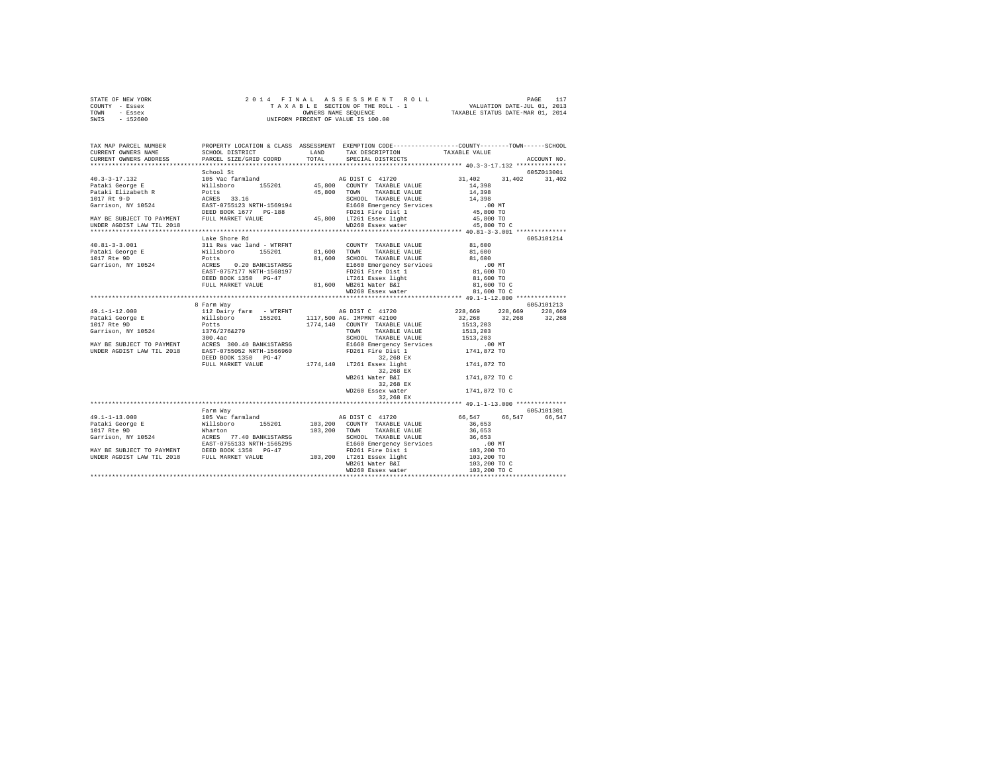| STATE OF NEW YORK<br>COUNTY - Essex<br>TOWN - Essex<br>SWIS - 152600                                                                                                                                                                                                                                                                                                                                                                  | 2014 FINAL ASSESSMENT ROLL PAGE 117<br>TAXABLE SECTION OF THE ROLL - 1 VALUATION DATE-JUL 01, 2013<br>ONNERS NAME SEQUENCE TAXABLE STATUS DATE-MAR 01, 2014<br>UNIFORM PERCENT OF VALUE IS 100.00 |  |                      |                          |
|---------------------------------------------------------------------------------------------------------------------------------------------------------------------------------------------------------------------------------------------------------------------------------------------------------------------------------------------------------------------------------------------------------------------------------------|---------------------------------------------------------------------------------------------------------------------------------------------------------------------------------------------------|--|----------------------|--------------------------|
| TAX MAP PARCEL NUMBER PROPERTY LOCATION & CLASS ASSESSMENT EXEMPTION CODE--------------COUNTY-------TOWN------SCHOOL<br>CURRENT OWNERS NAME<br>CURRENT OWNERS ADDRESS                                                                                                                                                                                                                                                                 |                                                                                                                                                                                                   |  |                      | ACCOUNT NO.              |
|                                                                                                                                                                                                                                                                                                                                                                                                                                       | School St                                                                                                                                                                                         |  |                      | 605Z013001               |
|                                                                                                                                                                                                                                                                                                                                                                                                                                       |                                                                                                                                                                                                   |  | 31,402 31,402 31,402 |                          |
|                                                                                                                                                                                                                                                                                                                                                                                                                                       |                                                                                                                                                                                                   |  | 45,800 TO C          |                          |
|                                                                                                                                                                                                                                                                                                                                                                                                                                       |                                                                                                                                                                                                   |  |                      |                          |
| $\begin{tabular}{l c c c c c} \hline \texttt{1013--3.001} & \texttt{Lake Short Rd} \\ \hline \texttt{113} & \texttt{Lake Short Rd} \\ \hline \texttt{111} & \texttt{Re} & \texttt{vac land - WTRFNT} \\ \texttt{111} & \texttt{311} & \texttt{Res vac land - WTRFNT} \\ \texttt{111} & \texttt{311} & \texttt{Res vac land - WTRFNT} \\ \texttt{111} & \texttt{211} & \texttt{211} & \texttt{211} & \texttt{211} & \texttt{211} \\ \$ | 8 Farm Way                                                                                                                                                                                        |  |                      | 605J101214<br>605J101213 |
| WB261 Water B&I (1741,872 TO C)<br>MD260 Essex water and the sex water the limit of the sex water distance the control of the control of the control of the control of the control of the control of the control of the control o                                                                                                                                                                                                     |                                                                                                                                                                                                   |  |                      |                          |
|                                                                                                                                                                                                                                                                                                                                                                                                                                       | Farm Way                                                                                                                                                                                          |  |                      | 605J101301               |
| $\begin{tabular}{l c c c c c} \multicolumn{1}{c}{\textbf{49.1--1-13.000}} & \multicolumn{1}{c}{\textbf{50.5101301}} & \multicolumn{1}{c}{\textbf{50.5101301}} & \multicolumn{1}{c}{\textbf{50.5101301}} & \multicolumn{1}{c}{\textbf{50.5101301}} & \multicolumn{1}{c}{\textbf{50.5101301}} & \multicolumn{1}{c}{\textbf{50.547}} & \multicolumn{1}{c}{\textbf{50.547}} & \multicolumn{1}{$                                           |                                                                                                                                                                                                   |  |                      |                          |
|                                                                                                                                                                                                                                                                                                                                                                                                                                       |                                                                                                                                                                                                   |  |                      |                          |
|                                                                                                                                                                                                                                                                                                                                                                                                                                       |                                                                                                                                                                                                   |  |                      |                          |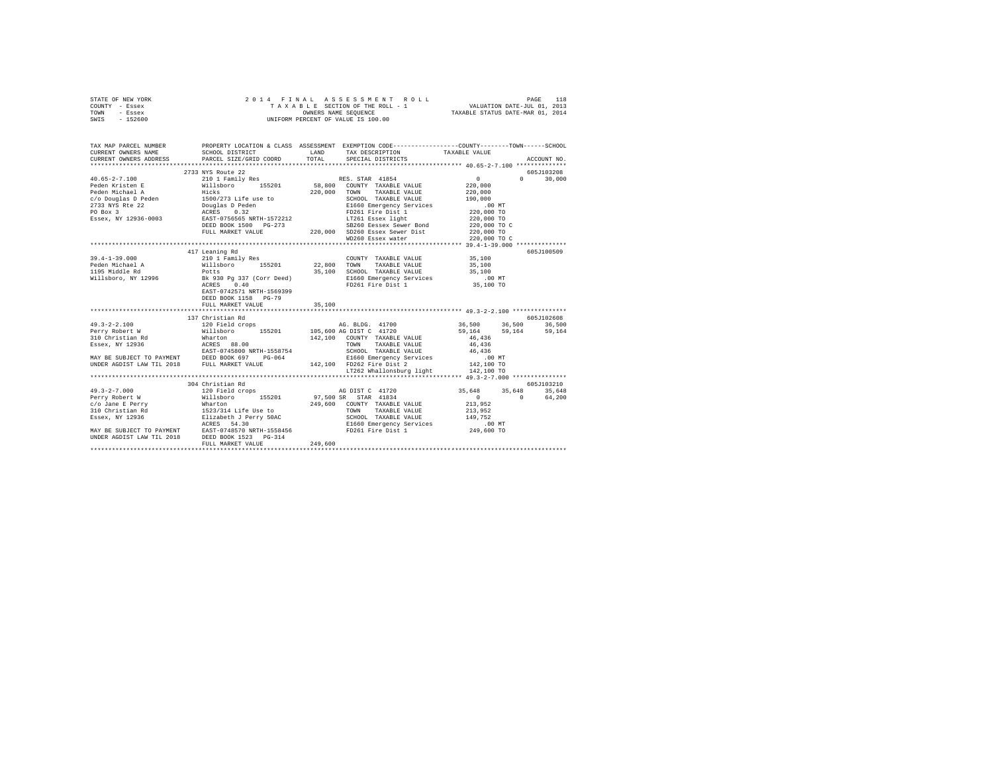|      | STATE OF NEW YORK |  | 2014 FINAL ASSESSMENT ROLL         | 118<br>PAGE                      |  |
|------|-------------------|--|------------------------------------|----------------------------------|--|
|      | COUNTY - Essex    |  | TAXABLE SECTION OF THE ROLL - 1    | VALUATION DATE-JUL 01, 2013      |  |
| TOWN | - Essex           |  | OWNERS NAME SEOUENCE               | TAXABLE STATUS DATE-MAR 01, 2014 |  |
| SWIS | - 152600          |  | UNIFORM PERCENT OF VALUE IS 100.00 |                                  |  |

| TAX MAP PARCEL NUMBER<br>CURRENT OWNERS NAME | SCHOOL DISTRICT<br>CURRENT OWNERS ADDRESS PARCEL SIZE/GRID COORD | PROPERTY LOCATION & CLASS ASSESSMENT EXEMPTION CODE----------------COUNTY-------TOWN------SCHOOL<br>LAND<br>TAX DESCRIPTION TAXABLE VALUE<br>SERCIAL DISTRICTS<br>TOTAL<br>SPECIAL DISTRICTS                         | ACCOUNT NO.                                                                                                                                         |
|----------------------------------------------|------------------------------------------------------------------|----------------------------------------------------------------------------------------------------------------------------------------------------------------------------------------------------------------------|-----------------------------------------------------------------------------------------------------------------------------------------------------|
|                                              | 2733 NYS Route 22                                                | TAXABLE VALUE<br>SB260 Eessex Sewer Bond 220,000 TO C<br>WD260 Essex water                                                                                                                                           | 605J103208<br>$\sim$ 0 $\sim$<br>$0 \t 30.000$<br>220,000<br>220,000<br>190,000<br>00 MT.<br>220,000 TO<br>220,000 TO<br>220,000 TO<br>220,000 TO C |
|                                              |                                                                  |                                                                                                                                                                                                                      |                                                                                                                                                     |
| $39.4 - 1 - 39.000$                          | 417 Leaning Rd<br>DEED BOOK 1158 PG-79                           | COUNTY TAXABLE VALUE 35,100<br>TAXABLE VALUE<br>35,100 SCHOOL TAXABLE VALUE 35,100<br>E1660 Emergency Services .00 MT<br>FD261 Fire Dist 1 35,100 TO                                                                 | 605J100509<br>35,100                                                                                                                                |
|                                              | FULL MARKET VALUE                                                | 35,100                                                                                                                                                                                                               |                                                                                                                                                     |
|                                              |                                                                  |                                                                                                                                                                                                                      |                                                                                                                                                     |
|                                              | 137 Christian Rd                                                 | LT262 Whallonsburg light 142,100 TO                                                                                                                                                                                  | 605J102608<br>36,500 36,500 36,500<br>59,164 59,164 59,164                                                                                          |
|                                              |                                                                  |                                                                                                                                                                                                                      |                                                                                                                                                     |
|                                              | 304 Christian Rd                                                 | ACRES 54.30<br>MAY BE SUBJECT TO PAYMENT RAST-0748570 NRTH-1558456 E1660 E1660 Energency Services (19.00 NT<br>UNDER AGDIST LAW TIL 2018 DEED BOOK 1523 PG-314<br>DEED BOOK 1523 PG-314 PD261 Fire Dist 1 249,600 TO | 605J103210<br>35,648 35,648 35,648<br>$0 \t 64.200$                                                                                                 |
|                                              |                                                                  |                                                                                                                                                                                                                      |                                                                                                                                                     |
|                                              |                                                                  |                                                                                                                                                                                                                      |                                                                                                                                                     |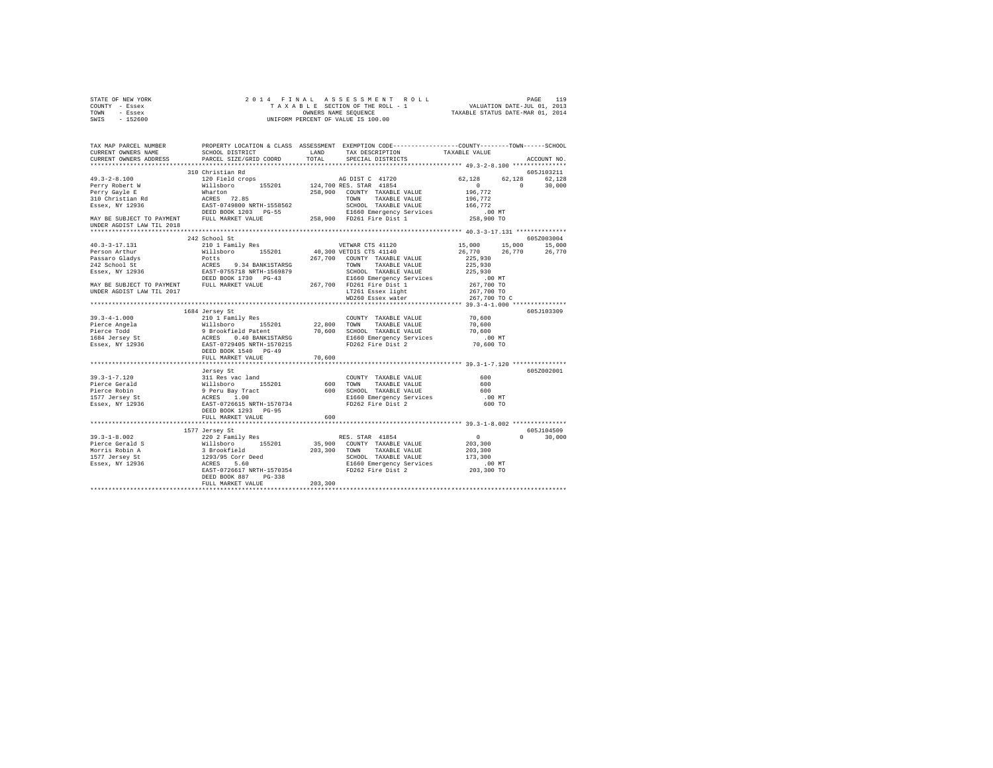| STATE OF NEW YORK                                                                   |                                                                                                                           |         |                                              |               |
|-------------------------------------------------------------------------------------|---------------------------------------------------------------------------------------------------------------------------|---------|----------------------------------------------|---------------|
| COUNTY - Essex                                                                      |                                                                                                                           |         |                                              |               |
| TOWN - Essex<br>SWIS - 152600                                                       |                                                                                                                           |         |                                              |               |
|                                                                                     |                                                                                                                           |         |                                              |               |
| TAX MAP PARCEL NUMBER                                                               | PROPERTY LOCATION & CLASS ASSESSMENT EXEMPTION CODE---------------COUNTY-------TOWN------SCHOOL                           |         |                                              |               |
| CURRENT OWNERS NAME                                                                 |                                                                                                                           |         |                                              |               |
| CURRENT OWNERS ADDRESS                                                              | PARCEL SIZE/GRID COORD                                                                                                    |         |                                              | ACCOUNT NO.   |
|                                                                                     |                                                                                                                           |         |                                              |               |
|                                                                                     | 310 Christian Rd                                                                                                          |         |                                              | 605J103211    |
|                                                                                     |                                                                                                                           |         |                                              |               |
|                                                                                     |                                                                                                                           |         |                                              |               |
|                                                                                     |                                                                                                                           |         |                                              |               |
|                                                                                     |                                                                                                                           |         |                                              |               |
|                                                                                     |                                                                                                                           |         |                                              |               |
|                                                                                     |                                                                                                                           |         |                                              |               |
| UNDER AGDIST LAW TIL 2018                                                           |                                                                                                                           |         |                                              |               |
|                                                                                     |                                                                                                                           |         |                                              |               |
|                                                                                     | 242 School St                                                                                                             |         |                                              | 6057003004    |
| 40.3-3-17.131                                                                       |                                                                                                                           |         |                                              |               |
|                                                                                     | 210 1 Family Res (1120 VETWAR CTS 41120<br>Willaboro 155201 40,300 VETBIS CTS 41440<br>Potts 267,700 COUNTY TAXABLE VALUE |         | 15,000 15,000 15,000<br>26,770 26,770 26,770 |               |
|                                                                                     |                                                                                                                           |         |                                              |               |
|                                                                                     |                                                                                                                           |         |                                              |               |
|                                                                                     |                                                                                                                           |         |                                              |               |
|                                                                                     |                                                                                                                           |         |                                              |               |
|                                                                                     |                                                                                                                           |         |                                              |               |
|                                                                                     |                                                                                                                           |         |                                              |               |
|                                                                                     |                                                                                                                           |         |                                              |               |
|                                                                                     |                                                                                                                           |         |                                              |               |
|                                                                                     | 1684 Jersey St                                                                                                            |         |                                              | 605J103309    |
| $39.3 - 4 - 1.000$                                                                  |                                                                                                                           |         |                                              |               |
| <sub>33.</sub><br>Pierce Angela<br>Pierce Todd<br>1684 Jersey St<br>Essex, NY 12936 |                                                                                                                           |         |                                              |               |
|                                                                                     |                                                                                                                           |         |                                              |               |
|                                                                                     |                                                                                                                           |         |                                              |               |
|                                                                                     |                                                                                                                           |         |                                              |               |
|                                                                                     | DEED BOOK 1540 PG-49                                                                                                      |         |                                              |               |
|                                                                                     | FULL MARKET VALUE 70,600                                                                                                  |         |                                              |               |
|                                                                                     |                                                                                                                           |         |                                              |               |
|                                                                                     |                                                                                                                           |         |                                              |               |
|                                                                                     | Jersey St                                                                                                                 |         |                                              | 605Z002001    |
|                                                                                     |                                                                                                                           |         |                                              |               |
|                                                                                     |                                                                                                                           |         |                                              |               |
|                                                                                     |                                                                                                                           |         |                                              |               |
|                                                                                     |                                                                                                                           |         |                                              |               |
|                                                                                     |                                                                                                                           |         |                                              |               |
|                                                                                     | DEED BOOK 1293 PG-95<br>FULL MARKET VALUE                                                                                 |         |                                              |               |
|                                                                                     |                                                                                                                           | 600     |                                              |               |
|                                                                                     |                                                                                                                           |         |                                              |               |
|                                                                                     | 1577 Jersey St                                                                                                            |         |                                              | 605J104509    |
|                                                                                     |                                                                                                                           |         |                                              | $0 \t 30.000$ |
|                                                                                     |                                                                                                                           |         |                                              |               |
|                                                                                     |                                                                                                                           |         |                                              |               |
|                                                                                     |                                                                                                                           |         |                                              |               |
|                                                                                     |                                                                                                                           |         |                                              |               |
|                                                                                     |                                                                                                                           |         |                                              |               |
|                                                                                     | DEED BOOK 887 PG-338                                                                                                      |         |                                              |               |
|                                                                                     | FULL MARKET VALUE                                                                                                         | 203,300 |                                              |               |
|                                                                                     |                                                                                                                           |         |                                              |               |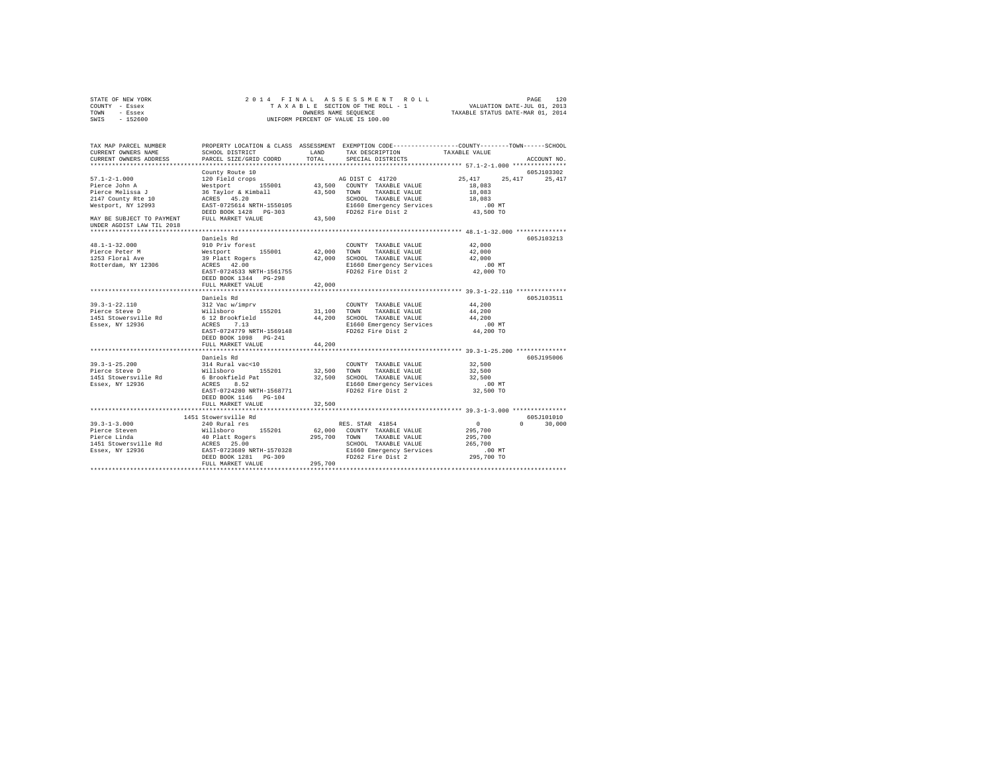| COUNTY - Essex<br>TOWN<br>- Essex            |                                                   |             |                                                                                                                    |                                                  |                             |
|----------------------------------------------|---------------------------------------------------|-------------|--------------------------------------------------------------------------------------------------------------------|--------------------------------------------------|-----------------------------|
| SWIS - 152600                                |                                                   |             | UNIFORM PERCENT OF VALUE IS 100.00                                                                                 |                                                  |                             |
| TAX MAP PARCEL NUMBER<br>CURRENT OWNERS NAME | SCHOOL DISTRICT                                   | LAND        | PROPERTY LOCATION & CLASS ASSESSMENT EXEMPTION CODE---------------COUNTY-------TOWN------SCHOOL<br>TAX DESCRIPTION | TAXABLE VALUE                                    |                             |
| CURRENT OWNERS ADDRESS                       | PARCEL SIZE/GRID COORD                            | TOTAL       | SPECIAL DISTRICTS                                                                                                  |                                                  | ACCOUNT NO.                 |
| ********************                         |                                                   |             |                                                                                                                    | ******************* 57.1-2-1.000 *************** |                             |
| $57.1 - 2 - 1.000$                           | County Route 10<br>120 Field crops                |             | AG DIST C 41720                                                                                                    | 25,417                                           | 605J103302<br>25.417 25.417 |
| Pierce John A                                |                                                   |             | 43,500 COUNTY TAXABLE VALUE                                                                                        | 18,083                                           |                             |
| Pierce Melissa J                             | Westport 155001<br>36 Taylor & Kimball            | 43,500 TOWN | TAXABLE VALUE                                                                                                      | 18,083                                           |                             |
| 2147 County Rte 10                           |                                                   |             | SCHOOL TAXABLE VALUE                                                                                               | 18,083                                           |                             |
| Westport, NY 12993                           | ACRES 45.20<br>EAST-0725614 NRTH-1550105          |             | E1660 Emergency Services                                                                                           | $.00$ MT                                         |                             |
|                                              | DEED BOOK 1428 PG-303                             |             | FD262 Fire Dist 2                                                                                                  | 43,500 TO                                        |                             |
| MAY BE SUBJECT TO PAYMENT                    | FULL MARKET VALUE 43.500                          |             |                                                                                                                    |                                                  |                             |
| UNDER AGDIST LAW TIL 2018                    |                                                   |             |                                                                                                                    |                                                  |                             |
|                                              | Daniels Rd                                        |             |                                                                                                                    |                                                  | 605J103213                  |
| $48.1 - 1 - 32.000$                          | 910 Priv forest                                   |             | COUNTY TAXABLE VALUE                                                                                               | 42,000                                           |                             |
| Pierce Peter M                               |                                                   | 42,000      | TOWN<br>TAXABLE VALUE                                                                                              | 42,000                                           |                             |
| 1253 Floral Ave                              |                                                   |             | 42,000 SCHOOL TAXABLE VALUE                                                                                        | 42,000                                           |                             |
| Rotterdam, NY 12306                          | Westport 155001<br>39 Platt Rogers<br>ACRES 42.00 |             | E1660 Emergency Services                                                                                           | $.00$ MT                                         |                             |
|                                              | EAST-0724533 NRTH-1561755                         |             | FD262 Fire Dist 2                                                                                                  | 42,000 TO                                        |                             |
|                                              | DEED BOOK 1344 PG-298                             |             |                                                                                                                    |                                                  |                             |
|                                              | FULL MARKET VALUE                                 | 42,000      |                                                                                                                    |                                                  |                             |
|                                              | Daniels Rd                                        |             |                                                                                                                    |                                                  | 605J103511                  |
| $39.3 - 1 - 22.110$                          | 312 Vac w/imprv                                   |             | COUNTY TAXABLE VALUE                                                                                               | 44,200                                           |                             |
| Pierce Steve D                               | Willsboro 155201                                  | 31,100 TOWN | TAXABLE VALUE                                                                                                      | 44,200                                           |                             |
| 1451 Stowersville Rd                         | 6 12 Brookfield                                   |             | 44,200 SCHOOL TAXABLE VALUE                                                                                        | 44,200                                           |                             |
| Essex, NY 12936                              | ACRES 7.13                                        |             | E1660 Emergency Services                                                                                           | $.00$ MT                                         |                             |
|                                              | EAST-0724779 NRTH-1569148                         |             | FD262 Fire Dist 2                                                                                                  | 44,200 TO                                        |                             |
|                                              | DEED BOOK 1098 PG-241                             |             |                                                                                                                    |                                                  |                             |
|                                              | FULL MARKET VALUE                                 | 44,200      |                                                                                                                    |                                                  |                             |
|                                              | Daniels Rd                                        |             |                                                                                                                    |                                                  | 605J195006                  |
| $39.3 - 1 - 25.200$                          | 314 Rural vac<10                                  |             | COUNTY TAXABLE VALUE                                                                                               | 32,500                                           |                             |
| Pierce Steve D                               |                                                   |             | 32,500 TOWN TAXABLE VALUE                                                                                          | 32,500                                           |                             |
| 1451 Stowersville Rd                         | Willsboro 155201<br>6 Brookfield Pat              |             | 32,500 SCHOOL TAXABLE VALUE                                                                                        | 32,500                                           |                             |
| Essex, NY 12936                              | ACRES 8.52                                        |             | E1660 Emergency Services                                                                                           | $.00$ MT                                         |                             |
|                                              | EAST-0724280 NRTH-1568771                         |             | FD262 Fire Dist 2                                                                                                  | 32,500 TO                                        |                             |
|                                              | DEED BOOK 1146    PG-104                          |             |                                                                                                                    |                                                  |                             |
|                                              | FULL MARKET VALUE                                 | 32,500      |                                                                                                                    |                                                  |                             |
|                                              | 1451 Stowersville Rd                              |             |                                                                                                                    |                                                  | 605J101010                  |
| $39.3 - 1 - 3.000$                           | 240 Rural res                                     |             | RES. STAR 41854                                                                                                    | $\sim$ 0                                         | $0 \t 30,000$               |
|                                              | Willsboro 155201                                  |             | 62,000 COUNTY TAXABLE VALUE                                                                                        | 295,700                                          |                             |
| Pierce Steven<br>Pierce Linda                | 40 Platt Rogers                                   |             | 295,700 TOWN TAXABLE VALUE                                                                                         | 295,700                                          |                             |
| 1451 Stowersville Rd                         |                                                   |             | SCHOOL TAXABLE VALUE                                                                                               | 265,700                                          |                             |
| Essex, NY 12936                              | ACRES 25.00<br>EAST-0723689 NRTH-1570328          |             | E1660 Emergency Services<br>FD262 Fire Dist 2                                                                      | $.00$ MT                                         |                             |
|                                              | DEED BOOK 1281    PG-309                          |             | FD262 Fire Dist 2                                                                                                  | 295,700 TO                                       |                             |
|                                              | FULL MARKET VALUE                                 | 295,700     |                                                                                                                    |                                                  |                             |
|                                              |                                                   |             |                                                                                                                    |                                                  |                             |

STATE OF NEW YORK 2 0 1 4 F I N A L A S S E S S M E N T R O L L PAGE 120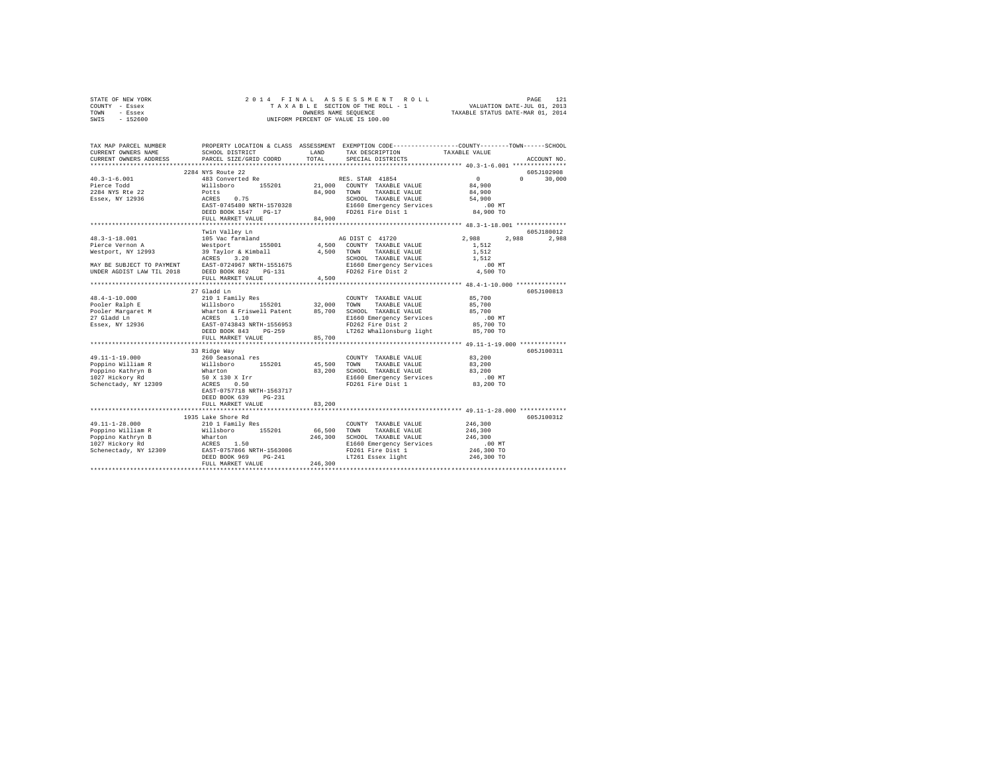|      | STATE OF NEW YORK |  | 2014 FINAL ASSESSMENT ROLL         |                                  | PAGE                        |  |
|------|-------------------|--|------------------------------------|----------------------------------|-----------------------------|--|
|      | COUNTY - Essex    |  | TAXABLE SECTION OF THE ROLL - 1    |                                  | VALUATION DATE-JUL 01, 2013 |  |
| TOWN | - Essex           |  | OWNERS NAME SEOUENCE               | TAXABLE STATUS DATE-MAR 01, 2014 |                             |  |
| SWIS | $-152600$         |  | UNIFORM PERCENT OF VALUE IS 100.00 |                                  |                             |  |

| TAX MAP PARCEL NUMBER<br>CURRENT OWNERS NAME<br>CURRENT OWNERS ADDRESS                                                                                                 | SCHOOL DISTRICT<br>PARCEL SIZE/GRID COORD                                                                                                                                                                                             | LAND<br>TOTAL. | PROPERTY LOCATION & CLASS ASSESSMENT EXEMPTION CODE---------------COUNTY-------TOWN-----SCHOOL<br>TAX DESCRIPTION<br>SPECIAL DISTRICTS | TAXABLE VALUE         | ACCOUNT NO.        |
|------------------------------------------------------------------------------------------------------------------------------------------------------------------------|---------------------------------------------------------------------------------------------------------------------------------------------------------------------------------------------------------------------------------------|----------------|----------------------------------------------------------------------------------------------------------------------------------------|-----------------------|--------------------|
|                                                                                                                                                                        |                                                                                                                                                                                                                                       |                |                                                                                                                                        |                       |                    |
|                                                                                                                                                                        | 2284 NYS Route 22                                                                                                                                                                                                                     |                |                                                                                                                                        |                       | 605J102908         |
| $40.3 - 1 - 6.001$                                                                                                                                                     | 483 Converted Re                                                                                                                                                                                                                      |                | RES. STAR 41854                                                                                                                        | $\sim$ 0              | 30,000<br>$\Omega$ |
| Pierce Todd                                                                                                                                                            |                                                                                                                                                                                                                                       |                | Willsboro 155201 21,000 COUNTY TAXABLE VALUE                                                                                           | 84,900<br>84,900      |                    |
| 2284 NYS Rte 22                                                                                                                                                        | Potts                                                                                                                                                                                                                                 |                | 84,900 TOWN TAXABLE VALUE                                                                                                              |                       |                    |
| Essex, NY 12936                                                                                                                                                        | ACRES 0.75                                                                                                                                                                                                                            |                | SCHOOL TAXABLE VALUE                                                                                                                   | 54,900                |                    |
|                                                                                                                                                                        | EAST-0745480 NRTH-1570328                                                                                                                                                                                                             |                | E1660 Emergency Services                                                                                                               | .00 MT                |                    |
|                                                                                                                                                                        | DEED BOOK 1547 PG-17                                                                                                                                                                                                                  |                | FD261 Fire Dist 1                                                                                                                      | 84,900 TO             |                    |
|                                                                                                                                                                        | FULL MARKET VALUE                                                                                                                                                                                                                     | 84,900         |                                                                                                                                        |                       |                    |
|                                                                                                                                                                        | Twin Valley Ln                                                                                                                                                                                                                        |                |                                                                                                                                        |                       | 605J180012         |
| $48.3 - 1 - 18.001$                                                                                                                                                    | 105 Vac farmland                                                                                                                                                                                                                      |                | AG DIST C 41720                                                                                                                        | 2,988<br>2,988        | 2,988              |
| Pierce Vernon A                                                                                                                                                        | Westport 155001 4,500 COUNTY TAXABLE VALUE                                                                                                                                                                                            |                |                                                                                                                                        | 1,512                 |                    |
| Westport, NY 12993                                                                                                                                                     |                                                                                                                                                                                                                                       |                | TAXABLE VALUE                                                                                                                          | 1,512                 |                    |
|                                                                                                                                                                        |                                                                                                                                                                                                                                       |                | SCHOOL TAXABLE VALUE                                                                                                                   | 1,512                 |                    |
|                                                                                                                                                                        |                                                                                                                                                                                                                                       |                |                                                                                                                                        | $.00$ MT              |                    |
| MAY BE SUBJECT TO PAYMENT EAST-0724967 NRTH-1551675<br>UNDER AGDIST LAW TIL 2018 DEED BOOK 862 PG-131                                                                  | $\begin{tabular}{lllll} 39 & Taylor & $\&$ Kimball & & & 4,500 & TOMN \\ ACRES & 3.20 & & & SCHOO \\ EAST & 0724967 & NRTH-1551675 & & & E1660 \\ DEST & 0704967 & & & E1660 \\ DEED & BOOK & 862 & PG-131 & & & FD262 \end{tabular}$ |                | E1660 Emergency Services<br>FD262 Fire Dist 2                                                                                          | 4,500 TO              |                    |
|                                                                                                                                                                        | FULL MARKET VALUE                                                                                                                                                                                                                     | 4,500          |                                                                                                                                        |                       |                    |
|                                                                                                                                                                        |                                                                                                                                                                                                                                       |                |                                                                                                                                        |                       |                    |
|                                                                                                                                                                        | 27 Gladd Ln                                                                                                                                                                                                                           |                |                                                                                                                                        |                       | 605J100813         |
|                                                                                                                                                                        |                                                                                                                                                                                                                                       |                |                                                                                                                                        | 85,700                |                    |
|                                                                                                                                                                        |                                                                                                                                                                                                                                       |                |                                                                                                                                        | 85,700                |                    |
|                                                                                                                                                                        |                                                                                                                                                                                                                                       |                |                                                                                                                                        | 85,700                |                    |
|                                                                                                                                                                        |                                                                                                                                                                                                                                       |                | E1660 Emergency Services<br>FD262 Fire Dist 2                                                                                          | $.00$ MT<br>85,700 TO |                    |
|                                                                                                                                                                        | DEED BOOK 843 PG-259                                                                                                                                                                                                                  |                | LT262 Whallonsburg light                                                                                                               | 85,700 TO             |                    |
|                                                                                                                                                                        | FULL MARKET VALUE                                                                                                                                                                                                                     | 85,700         |                                                                                                                                        |                       |                    |
|                                                                                                                                                                        |                                                                                                                                                                                                                                       |                |                                                                                                                                        |                       |                    |
|                                                                                                                                                                        | 33 Ridge Way                                                                                                                                                                                                                          |                |                                                                                                                                        |                       | 605J100311         |
| $49.11 - 1 - 19.000$                                                                                                                                                   | 260 Seasonal res                                                                                                                                                                                                                      |                | COUNTY TAXABLE VALUE                                                                                                                   | 83,200                |                    |
|                                                                                                                                                                        |                                                                                                                                                                                                                                       |                | TOWN<br>TAXABLE VALUE 83,200                                                                                                           |                       |                    |
| Poppino William R Millsboro 155201 45,500<br>Poppino Kathryn B Wharton 83,200<br>Poppino nili<br>Poppino Kathryn B<br>1003 Bickory Rd                                  |                                                                                                                                                                                                                                       |                | 83,200 SCHOOL TAXABLE VALUE                                                                                                            | 83,200                |                    |
|                                                                                                                                                                        | 50 x 130 x Irr<br>ACRES 0.50                                                                                                                                                                                                          |                | SCHOOL TAXABLE VALUE<br>E1660 Emergency Services                                                                                       | $.00$ MT              |                    |
| Schenctady, NY 12309                                                                                                                                                   |                                                                                                                                                                                                                                       |                | FD261 Fire Dist 1                                                                                                                      | 83,200 TO             |                    |
|                                                                                                                                                                        | EAST-0757718 NRTH-1563717                                                                                                                                                                                                             |                |                                                                                                                                        |                       |                    |
|                                                                                                                                                                        | DEED BOOK 639<br>$PG-231$                                                                                                                                                                                                             |                |                                                                                                                                        |                       |                    |
|                                                                                                                                                                        | FULL MARKET VALUE                                                                                                                                                                                                                     | 83,200         | ********************************** 49.11-1-28.000 ***********                                                                          |                       |                    |
|                                                                                                                                                                        | 1935 Lake Shore Rd                                                                                                                                                                                                                    |                |                                                                                                                                        |                       | 605J100312         |
| 49.11-1-28.000                                                                                                                                                         | 210 1 Family Res                                                                                                                                                                                                                      |                | COUNTY TAXABLE VALUE                                                                                                                   | 246,300               |                    |
|                                                                                                                                                                        |                                                                                                                                                                                                                                       | 66,500         | TOWN<br>TAXABLE VALUE                                                                                                                  | 246,300               |                    |
| Poppino William R<br>Poppino Kathryn B Whatron 155201 66<br>Poppino Kathryn B Whatron 155201 246<br>1027 Hickory Rd<br>Schenectady, NY 12309 BAST-0757866 NRTH-1563086 |                                                                                                                                                                                                                                       | 246,300        | SCHOOL TAXABLE VALUE                                                                                                                   | 246,300               |                    |
|                                                                                                                                                                        |                                                                                                                                                                                                                                       |                | E1660 Emergency Services                                                                                                               | $.00$ MT              |                    |
|                                                                                                                                                                        |                                                                                                                                                                                                                                       |                | FD261 Fire Dist 1                                                                                                                      | 246,300 TO            |                    |
|                                                                                                                                                                        | $PG-241$<br>TITR 246,300<br>DEED BOOK 969                                                                                                                                                                                             |                | LT261 Essex light                                                                                                                      | 246,300 TO            |                    |
|                                                                                                                                                                        | FULL MARKET VALUE                                                                                                                                                                                                                     |                |                                                                                                                                        |                       |                    |
|                                                                                                                                                                        |                                                                                                                                                                                                                                       |                |                                                                                                                                        |                       |                    |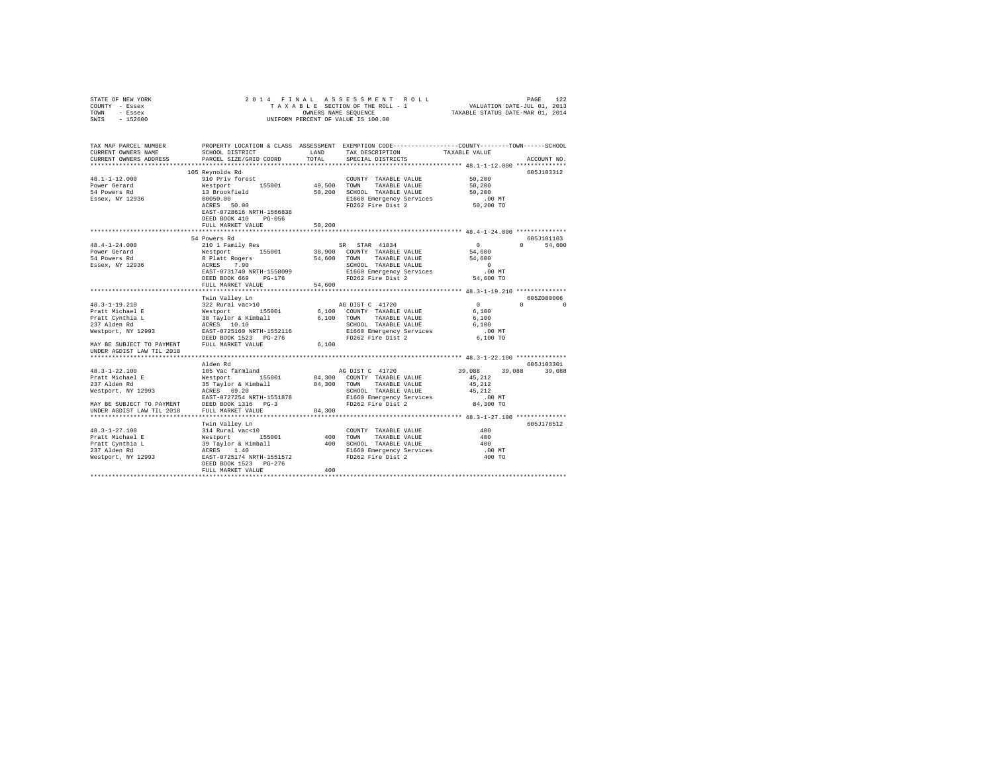| STATE OF NEW YORK<br>COUNTY - Essex<br>TOWN - Essex<br>$-152600$<br>SWIS                                              | OWNERS NAME SEQUENCE<br>UNIFORM PERCENT OF VALUE IS 100.00                            | PAGE 122 PAGE 122<br>TAXABLE SECTION OF THE ROLL - 1<br>ONNERS NAME SEQUENCE 1 TAXABLE STATE-JUL 1, 2013<br>ONNERS NAME SEQUENCE 12 TAXABLE STATUS DATE-MAR 01, 2014 |                                                                 |                      |                  |
|-----------------------------------------------------------------------------------------------------------------------|---------------------------------------------------------------------------------------|----------------------------------------------------------------------------------------------------------------------------------------------------------------------|-----------------------------------------------------------------|----------------------|------------------|
| TAX MAP PARCEL NUMBER PROPERTY LOCATION & CLASS ASSESSMENT EXEMPTION CODE---------------COUNTY-------TOWN------SCHOOL |                                                                                       |                                                                                                                                                                      |                                                                 |                      |                  |
| CURRENT OWNERS NAME                                                                                                   | SCHOOL DISTRICT LAND                                                                  | TOTAL                                                                                                                                                                | TAX DESCRIPTION                                                 | TAXABLE VALUE        |                  |
| CURRENT OWNERS ADDRESS<br>************************                                                                    | PARCEL SIZE/GRID COORD                                                                |                                                                                                                                                                      | SPECIAL DISTRICTS                                               |                      | ACCOUNT NO.      |
|                                                                                                                       | 105 Reynolds Rd                                                                       |                                                                                                                                                                      |                                                                 |                      | 605J103312       |
| $48.1 - 1 - 12.000$                                                                                                   | 910 Priv forest                                                                       |                                                                                                                                                                      | COUNTY TAXABLE VALUE                                            | 50,200               |                  |
| Power Gerard                                                                                                          | Westport 155001                                                                       |                                                                                                                                                                      | 49,500 TOWN TAXABLE VALUE                                       | 50,200               |                  |
| 54 Powers Rd                                                                                                          | 13 Brookfield                                                                         |                                                                                                                                                                      | 50,200 SCHOOL TAXABLE VALUE                                     | 50,200               |                  |
| Essex, NY 12936                                                                                                       | 00050.00                                                                              |                                                                                                                                                                      | E1660 Emergency Services                                        | $.00$ MT             |                  |
|                                                                                                                       | ACRES 50.00<br>EAST-0728616 NRTH-1566838<br>DEED BOOK 410 PG-056<br>FULL MARKET VALUE | 50,200                                                                                                                                                               | FD262 Fire Dist 2                                               | 50,200 TO            |                  |
|                                                                                                                       |                                                                                       |                                                                                                                                                                      |                                                                 |                      |                  |
|                                                                                                                       | 54 Powers Rd                                                                          |                                                                                                                                                                      |                                                                 |                      | 605J101103       |
| 48.4-1-24.000                                                                                                         | 210 1 Family Res                                                                      |                                                                                                                                                                      | SR STAR 41834                                                   | $\sim$ 0             | 0 54,600         |
| Power Gerard                                                                                                          | Westport 155001                                                                       |                                                                                                                                                                      | 38,900 COUNTY TAXABLE VALUE                                     | 54,600               |                  |
| 54 Powers Rd                                                                                                          | 8 Platt Rogers                                                                        |                                                                                                                                                                      | 54,600 TOWN TAXABLE VALUE                                       | 54,600               |                  |
| Essex, NY 12936                                                                                                       | ACRES 7.90                                                                            |                                                                                                                                                                      | SCHOOL TAXABLE VALUE                                            | $\sim$ 0             |                  |
|                                                                                                                       | EAST-0731740 NRTH-1558099                                                             |                                                                                                                                                                      |                                                                 | .00 MT               |                  |
|                                                                                                                       | DEED BOOK 669 PG-176<br>FULL MARKET VALUE                                             | 54,600                                                                                                                                                               | SCHOOL TAAADDE<br>E1660 Emergency Services<br>FD262 Fire Dist 2 | 54,600 TO            |                  |
|                                                                                                                       |                                                                                       |                                                                                                                                                                      |                                                                 |                      |                  |
|                                                                                                                       | Twin Valley Ln                                                                        |                                                                                                                                                                      |                                                                 |                      | 605Z000006       |
| 48.3-1-19.210                                                                                                         | 322 Rural vac>10                                                                      |                                                                                                                                                                      | AG DIST C 41720                                                 | $\sim$ 0             | $\cap$<br>$\cap$ |
| Pratt Michael E                                                                                                       |                                                                                       |                                                                                                                                                                      | 6,100 COUNTY TAXABLE VALUE                                      | 6,100                |                  |
| Pratt Cynthia L<br>237 Alden Rd                                                                                       | %22 kulai Val/10<br>38 Taylor & Kimball<br>ACRES 10.10<br>EAST-0725160 NRTH-1552116   |                                                                                                                                                                      | 6,100 TOWN TAXABLE VALUE                                        | 6,100                |                  |
|                                                                                                                       |                                                                                       |                                                                                                                                                                      | SCHOOL TAXABLE VALUE                                            | 6,100                |                  |
| Westport, NY 12993                                                                                                    | DEED BOOK 1523 PG-276                                                                 |                                                                                                                                                                      | E1660 Emergency Services<br>FD262 Fire Dist 2                   | $.00$ MT<br>6,100 TO |                  |
| MAY BE SUBJECT TO PAYMENT                                                                                             | FULL MARKET VALUE                                                                     | 6,100                                                                                                                                                                |                                                                 |                      |                  |
| UNDER AGDIST LAW TIL 2018                                                                                             |                                                                                       |                                                                                                                                                                      |                                                                 |                      |                  |
|                                                                                                                       |                                                                                       |                                                                                                                                                                      |                                                                 |                      |                  |
|                                                                                                                       | Alden Rd                                                                              |                                                                                                                                                                      |                                                                 |                      | 605J103301       |
| $48.3 - 1 - 22.100$                                                                                                   | 105 Vac farmland                                                                      |                                                                                                                                                                      | AG DIST C 41720                                                 | 39,088               | 39,088 39,088    |
| Pratt Michael E                                                                                                       |                                                                                       |                                                                                                                                                                      |                                                                 | 45.212               |                  |
| 237 Alden Rd<br>Westport, NY 12993                                                                                    |                                                                                       |                                                                                                                                                                      | SCHOOL TAXABLE VALUE                                            | 45.212<br>45.212     |                  |
|                                                                                                                       | EAST-0727254 NRTH-1551878                                                             |                                                                                                                                                                      | E1660 Emergency Services                                        | .00MT                |                  |
|                                                                                                                       | DEED BOOK 1316 PG-3                                                                   |                                                                                                                                                                      | FD262 Fire Dist 2                                               | 84,300 TO            |                  |
| MAY BE SUBJECT TO PAYMENT<br>UNDER AGDIST LAW TIL 2018                                                                | FULL MARKET VALUE                                                                     | 84,300                                                                                                                                                               |                                                                 |                      |                  |
|                                                                                                                       |                                                                                       |                                                                                                                                                                      |                                                                 |                      |                  |
|                                                                                                                       | Twin Valley Ln                                                                        |                                                                                                                                                                      |                                                                 |                      | 605J178512       |
| $48.3 - 1 - 27.100$                                                                                                   | 314 Rural vac<10                                                                      |                                                                                                                                                                      | COUNTY TAXABLE VALUE                                            | 400                  |                  |
|                                                                                                                       |                                                                                       |                                                                                                                                                                      |                                                                 | 400                  |                  |
|                                                                                                                       |                                                                                       |                                                                                                                                                                      |                                                                 | 400                  |                  |
|                                                                                                                       |                                                                                       |                                                                                                                                                                      |                                                                 | .00 MT<br>400 TO     |                  |
|                                                                                                                       | DEED BOOK 1523 PG-276                                                                 |                                                                                                                                                                      |                                                                 |                      |                  |
|                                                                                                                       | FULL MARKET VALUE                                                                     | 400                                                                                                                                                                  |                                                                 |                      |                  |
|                                                                                                                       |                                                                                       |                                                                                                                                                                      |                                                                 |                      |                  |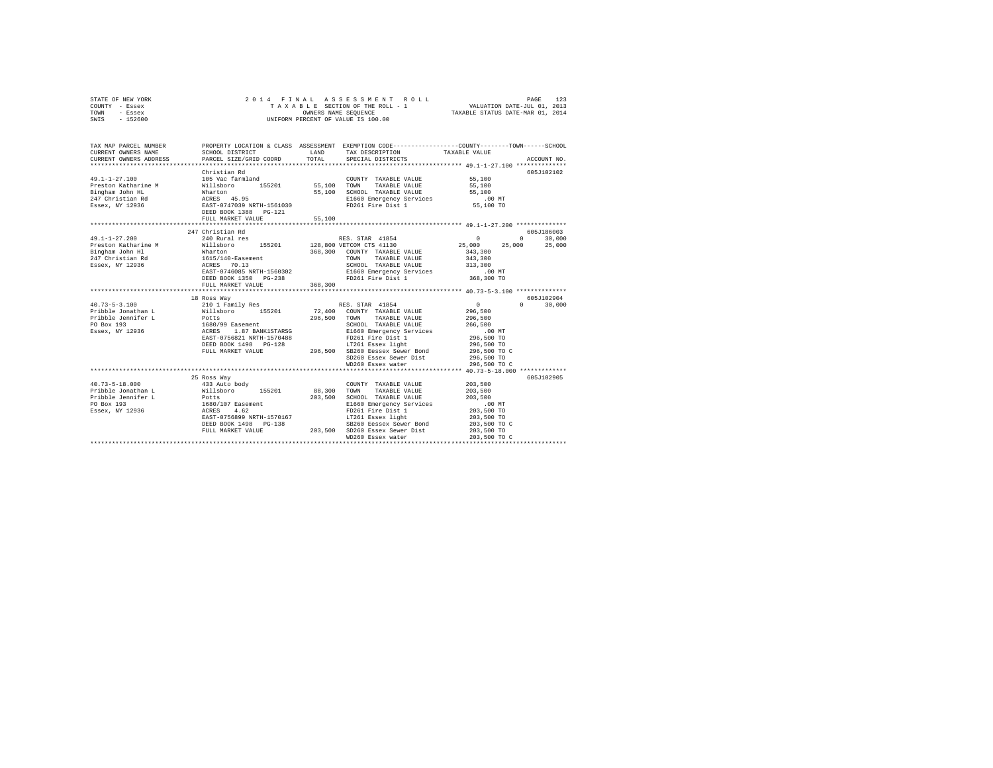| COUNTY - Essex<br>TOWN - Essex<br>SWIS - 152600 |                                                                                                                    | OWNERS NAME SEOUENCE | TAXABLE SECTION OF THE ROLL - 1<br>UNIFORM PERCENT OF VALUE IS 100.00 | VALUATION DATE-JUL 01, 2013<br>TAXABLE STATUS DATE-MAR 01, 2014 |              |               |
|-------------------------------------------------|--------------------------------------------------------------------------------------------------------------------|----------------------|-----------------------------------------------------------------------|-----------------------------------------------------------------|--------------|---------------|
| TAX MAP PARCEL NUMBER<br>CURRENT OWNERS NAME    | PROPERTY LOCATION & CLASS ASSESSMENT EXEMPTION CODE---------------COUNTY-------TOWN------SCHOOL<br>SCHOOL DISTRICT | LAND                 | TAX DESCRIPTION                                                       | TAXABLE VALUE                                                   |              |               |
| CURRENT OWNERS ADDRESS                          | PARCEL SIZE/GRID COORD                                                                                             | TOTAL                | SPECIAL DISTRICTS                                                     |                                                                 |              | ACCOUNT NO.   |
|                                                 |                                                                                                                    |                      |                                                                       |                                                                 |              |               |
|                                                 | Christian Rd<br>105 Vac farmland                                                                                   |                      |                                                                       |                                                                 |              | 605J102102    |
| $49.1 - 1 - 27.100$                             |                                                                                                                    |                      | COUNTY TAXABLE VALUE 55,100                                           |                                                                 |              |               |
| Preston Katharine M                             | Willsboro 155201 55,100 TOWN                                                                                       |                      | TAXABLE VALUE                                                         | 55,100                                                          |              |               |
| Bingham John HL<br>247 Christian Rd             | Wharton<br>ACRES 45.95                                                                                             |                      | 55,100 SCHOOL TAXABLE VALUE                                           | 55,100<br>.00 MT                                                |              |               |
| Essex, NY 12936                                 |                                                                                                                    |                      | E1660 Emergency Services<br>FD261 Fire Dist 1                         | 55,100 TO                                                       |              |               |
|                                                 | EAST-0747039 NRTH-1561030<br>DEED BOOK 1388 PG-121                                                                 |                      |                                                                       |                                                                 |              |               |
|                                                 | FULL MARKET VALUE                                                                                                  | 55,100               |                                                                       |                                                                 |              |               |
|                                                 |                                                                                                                    |                      |                                                                       |                                                                 |              |               |
|                                                 | 247 Christian Rd                                                                                                   |                      |                                                                       |                                                                 |              | 605J186003    |
| $49.1 - 1 - 27.200$                             |                                                                                                                    |                      |                                                                       | $\sim$ 0 $\sim$ 0                                               |              | $0 \t 30,000$ |
| Preston Katharine M                             |                                                                                                                    |                      |                                                                       | 25,000                                                          | 25,000       | 25,000        |
| Bingham John Hl                                 | Wharton                                                                                                            |                      | 368,300 COUNTY TAXABLE VALUE                                          | 343,300                                                         |              |               |
| 247 Christian Rd                                | 1615/140-Easement                                                                                                  |                      | <b>TOWN</b><br>TAXABLE VALUE                                          | 343,300                                                         |              |               |
| Essex, NY 12936                                 | ACRES 70.13                                                                                                        |                      | SCHOOL TAXABLE VALUE                                                  |                                                                 |              |               |
|                                                 | EAST-0746085 NRTH-1560302                                                                                          |                      | E1660 Emergency Services                                              | 313,300<br>.00 MT                                               |              |               |
|                                                 | DEED BOOK 1350 PG-238                                                                                              |                      | FD261 Fire Dist 1                                                     | 368,300 TO                                                      |              |               |
|                                                 | FULL MARKET VALUE                                                                                                  | 368,300              |                                                                       |                                                                 |              |               |
|                                                 |                                                                                                                    |                      |                                                                       |                                                                 |              |               |
|                                                 | 18 Ross Way                                                                                                        |                      |                                                                       |                                                                 |              | 605-7102904   |
| $40.73 - 5 - 3.100$                             | 210 1 Family Res                                                                                                   |                      | RES. STAR 41854                                                       | $\sim$ 0                                                        | $\mathbf{0}$ | 30,000        |
| Pribble Jonathan L<br>Pribble Jennifer L        | Willsboro 155201                                                                                                   |                      | 72,400 COUNTY TAXABLE VALUE                                           | 296,500                                                         |              |               |
| PO Box 193                                      | Potts                                                                                                              |                      | 296,500 TOWN TAXABLE VALUE                                            | 296,500<br>266,500                                              |              |               |
| Essex, NY 12936                                 | 1680/99 Easement<br>ACRES 1.87 BANK1STARSG                                                                         |                      |                                                                       | $.00$ MT                                                        |              |               |
|                                                 |                                                                                                                    |                      | SCHOOL TRAMBLE<br>E1660 Emergency Services                            | 296,500 TO                                                      |              |               |
|                                                 |                                                                                                                    |                      |                                                                       | 296,500 TO                                                      |              |               |
|                                                 | EAST-0756821 NRTH-1570488<br>DEED BOOK 1498 PO-128 17261 Easex light proper book 1498 FULL MARKET VALUE            |                      |                                                                       | 296,500 TO C                                                    |              |               |
|                                                 |                                                                                                                    |                      | SD260 Essex Sewer Dist                                                | 296,500 TO                                                      |              |               |
|                                                 |                                                                                                                    |                      | WD260 Essex water                                                     | 296,500 TO C                                                    |              |               |
|                                                 |                                                                                                                    |                      |                                                                       |                                                                 |              |               |
|                                                 | 25 Ross Way                                                                                                        |                      |                                                                       |                                                                 |              | 605J102905    |
| $40.73 - 5 - 18.000$                            | 433 Auto body                                                                                                      |                      | COUNTY TAXABLE VALUE                                                  | 203,500                                                         |              |               |
| Pribble Jonathan L                              | Willsboro 155201                                                                                                   | 88,300 TOWN          | TAXABLE VALUE                                                         | 203,500                                                         |              |               |
| Pribble Jennifer L                              | Potts                                                                                                              | 203,500              | SCHOOL TAXABLE VALUE                                                  | 203,500                                                         |              |               |
| PO Box 193                                      | 1680/107 Easement                                                                                                  |                      | E1660 Emergency Services                                              | $.00$ MT                                                        |              |               |
| Essex, NY 12936                                 | ACRES 4.62                                                                                                         |                      | FD261 Fire Dist 1<br>LT261 Essex light                                | 203,500 TO                                                      |              |               |
|                                                 | EAST-0756899 NRTH-1570167                                                                                          |                      |                                                                       | 203,500 TO                                                      |              |               |
|                                                 | DEED BOOK 1498    PG-138<br>FULL MARKET VALUE                                                                      |                      | SB260 Eessex Sewer Bond                                               | 203,500 TO C                                                    |              |               |
|                                                 |                                                                                                                    |                      | 203.500 SD260 Essex Sewer Dist                                        | 203,500 TO                                                      |              |               |
|                                                 |                                                                                                                    |                      | WD260 Essex water                                                     | 203,500 TO C                                                    |              |               |

STATE OF NEW YORK 2 0 1 4 F I N A L A S S E S S M E N T R O L L PAGE 123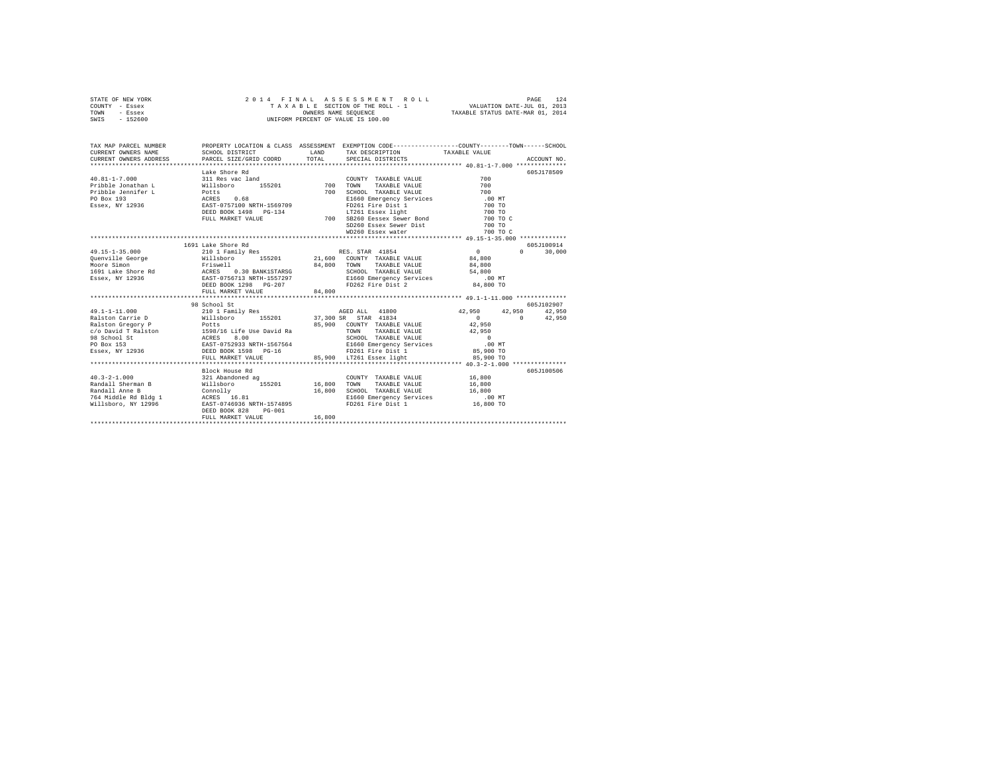| STATE OF NEW YORK | 2014 FINAL ASSESSMENT ROLL         | 124<br>PAGE                      |
|-------------------|------------------------------------|----------------------------------|
| COUNTY - Essex    | TAXABLE SECTION OF THE ROLL - 1    | VALUATION DATE-JUL 01, 2013      |
| TOWN<br>- Essex   | OWNERS NAME SEOUENCE               | TAXABLE STATUS DATE-MAR 01, 2014 |
| - 152600<br>SWIS  | UNIFORM PERCENT OF VALUE IS 100.00 |                                  |

| TAX MAP PARCEL NUMBER                                                                                                                                                                                                                                                                       |                                                                |        | PROPERTY LOCATION & CLASS ASSESSMENT EXEMPTION CODE----------------COUNTY-------TOWN-----SCHOOL |                         |                                           |
|---------------------------------------------------------------------------------------------------------------------------------------------------------------------------------------------------------------------------------------------------------------------------------------------|----------------------------------------------------------------|--------|-------------------------------------------------------------------------------------------------|-------------------------|-------------------------------------------|
|                                                                                                                                                                                                                                                                                             | Lake Shore Rd                                                  |        | SD260 Essex Sewer Dist 700 TO                                                                   |                         | 605J178509                                |
| 49.15-1-35.000 210 1 Family Res RES. STAR 41854<br>VALLEY-SOLUTION 21,600 COUNTY TAXABLE VALUE 34,800<br>MODER SINCE SINCE 2012 21,600 COUNTY TAXABLE VALUE 34,800<br>MODER SINCE SINCE 2012 21,600 COUNTY TAXABLE VALUE 34,800<br>MODER SINCE 34,800<br>1691 Lake Shore Rd<br>25 BESE POLY | 1691 Lake Shore Rd                                             |        |                                                                                                 | $0$<br>84,800<br>84,800 | 605J100914<br>30,000<br>$0 \qquad \qquad$ |
| Ralston Carrie D<br>Ralston Gregory P<br>Potts B59/16 Life Use David Ra<br>C/O David T Ralston 1598/16 Life Use David Ra<br>26 School St RCRES 8.00 COUNTY TAXABLE VALUE<br>PO Box 153 REST-0752933 NRTH-1567564 RI660 Emergency Service                                                    | 98 School St                                                   |        |                                                                                                 |                         | 605J102907                                |
|                                                                                                                                                                                                                                                                                             | Block House Rd<br>DEED BOOK 828<br>PG-001<br>FULL MARKET VALUE | 16,800 |                                                                                                 |                         | 605J100506                                |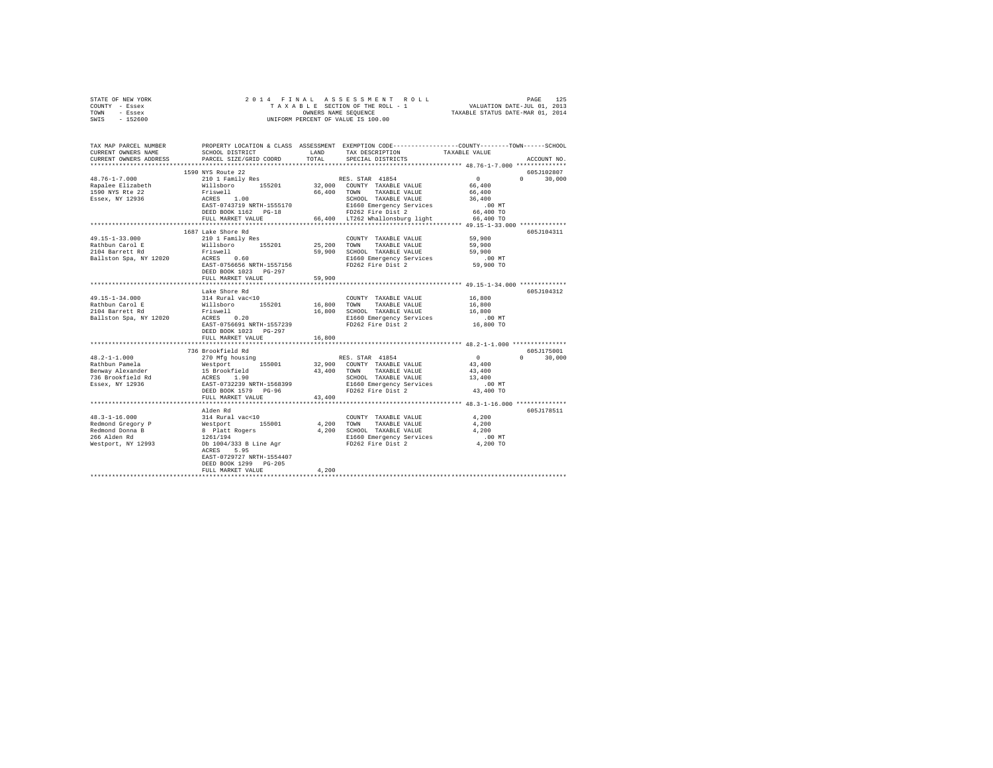| STATE OF NEW YORK                                                                                                                                                                                                                                                                                                                                                                                                                                                            |                                                                                                                                           |        |                                                                                                               |                                                                                                                      |  |
|------------------------------------------------------------------------------------------------------------------------------------------------------------------------------------------------------------------------------------------------------------------------------------------------------------------------------------------------------------------------------------------------------------------------------------------------------------------------------|-------------------------------------------------------------------------------------------------------------------------------------------|--------|---------------------------------------------------------------------------------------------------------------|----------------------------------------------------------------------------------------------------------------------|--|
| COUNTY - Essex                                                                                                                                                                                                                                                                                                                                                                                                                                                               |                                                                                                                                           |        |                                                                                                               |                                                                                                                      |  |
| TOWN - Essex<br>SWIS - 152600                                                                                                                                                                                                                                                                                                                                                                                                                                                |                                                                                                                                           |        |                                                                                                               |                                                                                                                      |  |
|                                                                                                                                                                                                                                                                                                                                                                                                                                                                              |                                                                                                                                           |        | OWNERS NAME SEQUENCE<br>UNIFORM PERCENT OF VALUE IS 100.00                                                    |                                                                                                                      |  |
|                                                                                                                                                                                                                                                                                                                                                                                                                                                                              |                                                                                                                                           |        |                                                                                                               |                                                                                                                      |  |
|                                                                                                                                                                                                                                                                                                                                                                                                                                                                              |                                                                                                                                           |        |                                                                                                               |                                                                                                                      |  |
|                                                                                                                                                                                                                                                                                                                                                                                                                                                                              |                                                                                                                                           |        |                                                                                                               | TAX MAP PARCEL NUMBER PROPERTY LOCATION & CLASS ASSESSMENT EXEMPTION CODE--------------COUNTY-------TOWN------SCHOOL |  |
| CURRENT OWNERS NAME                                                                                                                                                                                                                                                                                                                                                                                                                                                          | SCHOOL DISTRICT                                                                                                                           | LAND   | TAX DESCRIPTION                                                                                               | TAXABLE VALUE                                                                                                        |  |
| CURRENT OWNERS ADDRESS                                                                                                                                                                                                                                                                                                                                                                                                                                                       | PARCEL SIZE/GRID COORD                                                                                                                    | TOTAL  | SPECIAL DISTRICTS                                                                                             | ACCOUNT NO.                                                                                                          |  |
|                                                                                                                                                                                                                                                                                                                                                                                                                                                                              |                                                                                                                                           |        |                                                                                                               |                                                                                                                      |  |
| 48.76-1-7.000                                                                                                                                                                                                                                                                                                                                                                                                                                                                | 1590 NYS Route 22<br>210 1 Family Res                                                                                                     |        |                                                                                                               | 605J102807<br>$\sim$ 0<br>$0 \t 30.000$                                                                              |  |
| Rapalee Elizabeth                                                                                                                                                                                                                                                                                                                                                                                                                                                            | - --/<br>Williaboro 155201 32,000 COUNTY TAXABLE VALUE<br>Priswell 1.00 66,400 TOWN TAXABLE VALUE<br>ACRES 1.00 66,400 TOWN TAXABLE VALUE |        | RES. STAR 41854                                                                                               | 66,400                                                                                                               |  |
| 1590 NYS Rte 22                                                                                                                                                                                                                                                                                                                                                                                                                                                              |                                                                                                                                           |        |                                                                                                               | 66,400                                                                                                               |  |
| Essex, NY 12936                                                                                                                                                                                                                                                                                                                                                                                                                                                              |                                                                                                                                           |        |                                                                                                               | 36,400                                                                                                               |  |
|                                                                                                                                                                                                                                                                                                                                                                                                                                                                              |                                                                                                                                           |        | ACRES 1.00<br>EAST-043719 NRTH-1555170 - EL660 Emergency Services<br>DEED BOOK 1162 PG-18 - FD262 Fire Dist 2 | $.00$ MT                                                                                                             |  |
|                                                                                                                                                                                                                                                                                                                                                                                                                                                                              |                                                                                                                                           |        |                                                                                                               | 66,400 TO                                                                                                            |  |
|                                                                                                                                                                                                                                                                                                                                                                                                                                                                              | FULL MARKET VALUE                                                                                                                         |        | 66,400 LT262 Whallonsburg light 66,400 TO                                                                     |                                                                                                                      |  |
|                                                                                                                                                                                                                                                                                                                                                                                                                                                                              |                                                                                                                                           |        |                                                                                                               |                                                                                                                      |  |
|                                                                                                                                                                                                                                                                                                                                                                                                                                                                              | 1687 Lake Shore Rd                                                                                                                        |        |                                                                                                               | 605J104311                                                                                                           |  |
| $49.15 - 1 - 33.000$                                                                                                                                                                                                                                                                                                                                                                                                                                                         | 210 1 Family Res                                                                                                                          |        | COUNTY TAXABLE VALUE 59,900                                                                                   |                                                                                                                      |  |
| Rathbun Carol E                                                                                                                                                                                                                                                                                                                                                                                                                                                              | Willsboro 155201                                                                                                                          |        | 25,200 TOWN TAXABLE VALUE                                                                                     | 59,900                                                                                                               |  |
| 2104 Barrett Rd                                                                                                                                                                                                                                                                                                                                                                                                                                                              | Friswell<br>ACRES 0.60                                                                                                                    |        | 59,900 SCHOOL TAXABLE VALUE                                                                                   | 59,900                                                                                                               |  |
| Ballston Spa, NY 12020                                                                                                                                                                                                                                                                                                                                                                                                                                                       |                                                                                                                                           |        | E1660 Emergency Services                                                                                      | .00 MT                                                                                                               |  |
|                                                                                                                                                                                                                                                                                                                                                                                                                                                                              | EAST-0756656 NRTH-1557156                                                                                                                 |        | FD262 Fire Dist 2                                                                                             | 59,900 TO                                                                                                            |  |
|                                                                                                                                                                                                                                                                                                                                                                                                                                                                              | DEED BOOK 1023 PG-297                                                                                                                     |        |                                                                                                               |                                                                                                                      |  |
|                                                                                                                                                                                                                                                                                                                                                                                                                                                                              | FULL MARKET VALUE                                                                                                                         | 59,900 |                                                                                                               |                                                                                                                      |  |
|                                                                                                                                                                                                                                                                                                                                                                                                                                                                              | *************************                                                                                                                 |        |                                                                                                               | ************************ 49.15-1-34.000 *************                                                                |  |
|                                                                                                                                                                                                                                                                                                                                                                                                                                                                              | Lake Shore Rd                                                                                                                             |        |                                                                                                               | 605J104312                                                                                                           |  |
| $49.15 - 1 - 34.000$                                                                                                                                                                                                                                                                                                                                                                                                                                                         | 314 Rural vac<10                                                                                                                          |        | COUNTY TAXABLE VALUE 16,800                                                                                   |                                                                                                                      |  |
| 49.15-1-34.000<br>Rathbun Carol E<br>2104 Barrett Rd<br>Rathbun Carol E<br>Millsboro 155201<br>2014 Barrett Rd Friswell<br>Ballston Spa, NY 12020<br>ACRES 0.20                                                                                                                                                                                                                                                                                                              |                                                                                                                                           |        | 16,800 TOWN TAXABLE VALUE                                                                                     | 16,800<br>16,800                                                                                                     |  |
|                                                                                                                                                                                                                                                                                                                                                                                                                                                                              |                                                                                                                                           |        | 16,800 SCHOOL TAXABLE VALUE                                                                                   |                                                                                                                      |  |
|                                                                                                                                                                                                                                                                                                                                                                                                                                                                              | EAST-0756691 NRTH-1557239                                                                                                                 |        | E1660 Emergency Services<br>FD262 Fire Dist 2                                                                 | 00 MT.<br>16,800 TO                                                                                                  |  |
|                                                                                                                                                                                                                                                                                                                                                                                                                                                                              | DEED BOOK 1023 PG-297                                                                                                                     |        |                                                                                                               |                                                                                                                      |  |
|                                                                                                                                                                                                                                                                                                                                                                                                                                                                              | FULL MARKET VALUE                                                                                                                         | 16,800 |                                                                                                               |                                                                                                                      |  |
|                                                                                                                                                                                                                                                                                                                                                                                                                                                                              |                                                                                                                                           |        |                                                                                                               |                                                                                                                      |  |
|                                                                                                                                                                                                                                                                                                                                                                                                                                                                              | 736 Brookfield Rd                                                                                                                         |        |                                                                                                               | 605J175001                                                                                                           |  |
| $48.2 - 1 - 1.000$                                                                                                                                                                                                                                                                                                                                                                                                                                                           | 270 Mfg housing                                                                                                                           |        | RES. STAR 41854                                                                                               | $0 \t 30,000$<br>$\sim$ 0                                                                                            |  |
|                                                                                                                                                                                                                                                                                                                                                                                                                                                                              |                                                                                                                                           |        |                                                                                                               | 43,400                                                                                                               |  |
|                                                                                                                                                                                                                                                                                                                                                                                                                                                                              |                                                                                                                                           |        |                                                                                                               | 43,400                                                                                                               |  |
| $\begin{tabular}{lcccc} \texttt{Rathbun Panela} & \texttt{new}\texttt{mug moving} & \texttt{RES}, \texttt{STRR} & 41854 \\ \texttt{Benway Alexander} & \texttt{Meastport} & 155001 & 32,900 & \texttt{COMINT} & \texttt{TXABLE} \texttt{ VAJUE} \\ \texttt{Benway Alexander} & 15 \texttt{ Brookfield} & 43,400 & \texttt{COMNT} & \texttt{TXABLE} \texttt{VALUE} \\ 736 \texttt{ Brookfield Red} & \texttt{ACRES} & 1,90 & \texttt{SCHON} & \texttt{TXABLE} \texttt{VALUE}$ |                                                                                                                                           |        | SCHOOL TAXABLE VALULE<br>E1660 Emergency Services<br>FD262 Fire Dist 2                                        | 13,400                                                                                                               |  |
|                                                                                                                                                                                                                                                                                                                                                                                                                                                                              |                                                                                                                                           |        |                                                                                                               | $.00$ MT                                                                                                             |  |
|                                                                                                                                                                                                                                                                                                                                                                                                                                                                              |                                                                                                                                           |        |                                                                                                               | 43,400 TO                                                                                                            |  |
|                                                                                                                                                                                                                                                                                                                                                                                                                                                                              | FULL MARKET VALUE                                                                                                                         |        |                                                                                                               |                                                                                                                      |  |
|                                                                                                                                                                                                                                                                                                                                                                                                                                                                              |                                                                                                                                           |        |                                                                                                               |                                                                                                                      |  |
|                                                                                                                                                                                                                                                                                                                                                                                                                                                                              | Alden Rd                                                                                                                                  |        |                                                                                                               | 605J178511                                                                                                           |  |
|                                                                                                                                                                                                                                                                                                                                                                                                                                                                              |                                                                                                                                           |        |                                                                                                               | 4,200                                                                                                                |  |
|                                                                                                                                                                                                                                                                                                                                                                                                                                                                              |                                                                                                                                           |        |                                                                                                               | 4,200                                                                                                                |  |
|                                                                                                                                                                                                                                                                                                                                                                                                                                                                              |                                                                                                                                           |        |                                                                                                               | 4,200                                                                                                                |  |
|                                                                                                                                                                                                                                                                                                                                                                                                                                                                              |                                                                                                                                           |        |                                                                                                               | 00 MT.<br>4,200 TO                                                                                                   |  |
|                                                                                                                                                                                                                                                                                                                                                                                                                                                                              | ACRES 5.95                                                                                                                                |        |                                                                                                               |                                                                                                                      |  |
|                                                                                                                                                                                                                                                                                                                                                                                                                                                                              | EAST-0729727 NRTH-1554407                                                                                                                 |        |                                                                                                               |                                                                                                                      |  |
|                                                                                                                                                                                                                                                                                                                                                                                                                                                                              | DEED BOOK 1299 PG-205                                                                                                                     |        |                                                                                                               |                                                                                                                      |  |
|                                                                                                                                                                                                                                                                                                                                                                                                                                                                              | FULL MARKET VALUE                                                                                                                         | 4.200  |                                                                                                               |                                                                                                                      |  |
|                                                                                                                                                                                                                                                                                                                                                                                                                                                                              |                                                                                                                                           |        |                                                                                                               |                                                                                                                      |  |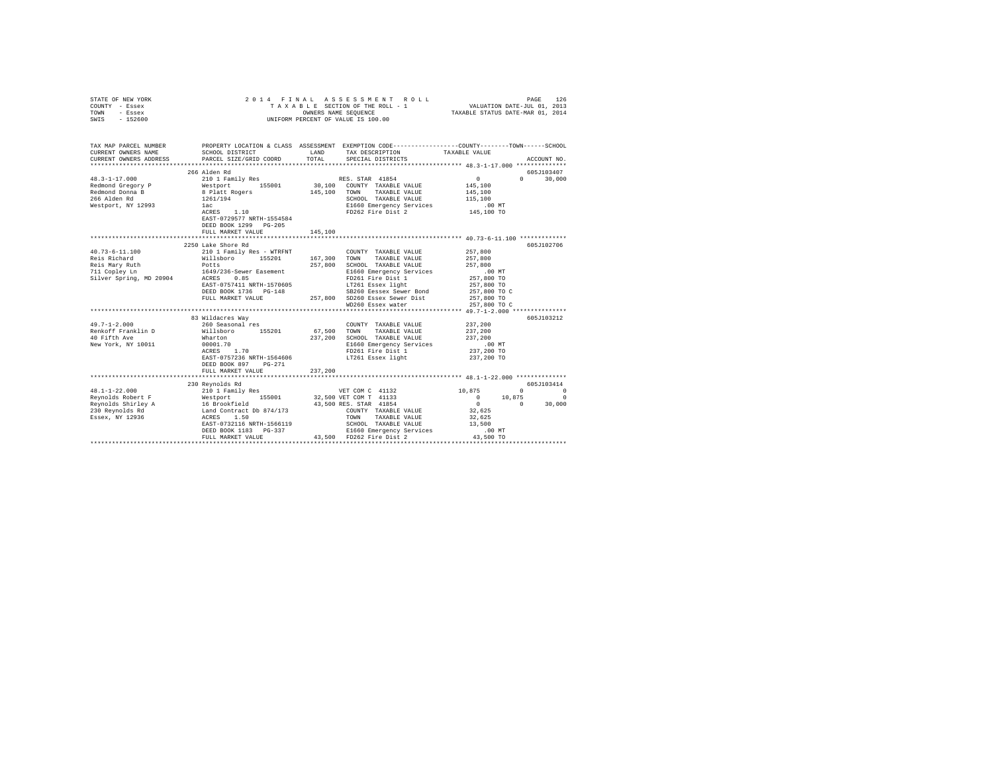| STATE OF NEW YORK<br>COUNTY - Essex<br>TOWN<br>- Essex<br>SWIS - 152600                                                                                                                                                                               |                                       |         | 2014 FINAL ASSESSMENT ROLL<br>UNIFORM PERCENT OF VALUE IS 100.00 |                                                            |                                              |
|-------------------------------------------------------------------------------------------------------------------------------------------------------------------------------------------------------------------------------------------------------|---------------------------------------|---------|------------------------------------------------------------------|------------------------------------------------------------|----------------------------------------------|
| TAX MAP PARCEL NUMBER PROPERTY LOCATION & CLASS ASSESSMENT EXEMPTION CODE--------------COUNTY-------TOWN------SCHOOL<br>CURRENT OWNERS NAME                                                                                                           | SCHOOL DISTRICT                       |         | LAND TAX DESCRIPTION                                             | TAXABLE VALUE                                              |                                              |
| CURRENT OWNERS ADDRESS PARCEL SIZE/GRID COORD                                                                                                                                                                                                         |                                       | TOTAL   | SPECIAL DISTRICTS                                                |                                                            | ACCOUNT NO.                                  |
|                                                                                                                                                                                                                                                       | 266 Alden Rd                          |         |                                                                  |                                                            | 605J103407                                   |
| 48.3-1-17.000                                                                                                                                                                                                                                         | 210 1 Family Res                      |         | RES. STAR 41854                                                  | $0 \qquad \qquad$                                          | $0 \t 30,000$                                |
|                                                                                                                                                                                                                                                       |                                       |         | 30,100 COUNTY TAXABLE VALUE                                      | 145,100                                                    |                                              |
|                                                                                                                                                                                                                                                       |                                       |         | 145,100 TOWN TAXABLE VALUE                                       | 145,100                                                    |                                              |
|                                                                                                                                                                                                                                                       |                                       |         | SCHOOL TAXABLE VALUE                                             | 115,100                                                    |                                              |
| Westport, NY 12993                                                                                                                                                                                                                                    | 1ac                                   |         | E1660 Emergency Services                                         | .00 MT.<br>145,100 TO                                      |                                              |
|                                                                                                                                                                                                                                                       | 1261/194<br>1ac<br>ACRES 1.10         |         | FD262 Fire Dist 2                                                |                                                            |                                              |
|                                                                                                                                                                                                                                                       | EAST-0729577 NRTH-1554584             |         |                                                                  |                                                            |                                              |
|                                                                                                                                                                                                                                                       | DEED BOOK 1299 PG-205                 |         |                                                                  |                                                            |                                              |
|                                                                                                                                                                                                                                                       | FULL MARKET VALUE                     | 145,100 |                                                                  |                                                            |                                              |
|                                                                                                                                                                                                                                                       | ****************************          |         |                                                                  | ***************************** 40.73-6-11.100 ************* |                                              |
|                                                                                                                                                                                                                                                       | 2250 Lake Shore Rd                    |         |                                                                  |                                                            | 605J102706                                   |
| $40.73 - 6 - 11.100$                                                                                                                                                                                                                                  | 210 1 Family Res - WTRFNT             |         | COUNTY TAXABLE VALUE                                             | 257,800                                                    |                                              |
| Reis Richard                                                                                                                                                                                                                                          | Willsboro 155201<br>Potts             |         | 167,300 TOWN TAXABLE VALUE                                       | 257,800                                                    |                                              |
| Reis Mary Ruth<br>711 Copley Ln                                                                                                                                                                                                                       |                                       |         | 257,800 SCHOOL TAXABLE VALUE<br>E1660 Emergency Services         | 257,800<br>.00MT                                           |                                              |
| Silver Spring, MD 20904                                                                                                                                                                                                                               | 1649/236-Sewer Easement<br>ACRES 0.85 |         | FD261 Fire Dist 1                                                | 257,800 TO                                                 |                                              |
|                                                                                                                                                                                                                                                       | EAST-0757411 NRTH-1570605             |         | LT261 Essex light                                                | 257,800 TO                                                 |                                              |
|                                                                                                                                                                                                                                                       | DEED BOOK 1736 PG-148                 |         | SB260 Eessex Sewer Bond                                          | 257,800 TO C                                               |                                              |
|                                                                                                                                                                                                                                                       | FULL MARKET VALUE                     |         | 257,800 SD260 Essex Sewer Dist                                   | 257,800 TO                                                 |                                              |
|                                                                                                                                                                                                                                                       |                                       |         | WD260 Essex water                                                | 257,800 TO C                                               |                                              |
|                                                                                                                                                                                                                                                       |                                       |         |                                                                  |                                                            |                                              |
|                                                                                                                                                                                                                                                       | 83 Wildacres Way                      |         |                                                                  |                                                            | 605J103212                                   |
| $49.7 - 1 - 2.000$                                                                                                                                                                                                                                    | 260 Seasonal res                      |         | COUNTY TAXABLE VALUE 237, 200                                    |                                                            |                                              |
| Renkoff Franklin D                                                                                                                                                                                                                                    | Willsboro 155201                      |         | 67.500 TOWN TAXABLE VALUE                                        | 237,200                                                    |                                              |
| 40 Fifth Ave                                                                                                                                                                                                                                          | Wharton                               |         | 237,200 SCHOOL TAXABLE VALUE                                     | 237,200                                                    |                                              |
| New York, NY 10011                                                                                                                                                                                                                                    | 00001.70                              |         | E1660 Emergency Services                                         | $.00$ MT                                                   |                                              |
|                                                                                                                                                                                                                                                       | ACRES 1.70                            |         | FD261 Fire Dist 1                                                | 237,200 TO                                                 |                                              |
|                                                                                                                                                                                                                                                       | EAST-0757236 NRTH-1564606             |         | LT261 Essex light                                                | 237,200 TO                                                 |                                              |
|                                                                                                                                                                                                                                                       | DEED BOOK 897 PG-271                  |         |                                                                  |                                                            |                                              |
|                                                                                                                                                                                                                                                       | FULL MARKET VALUE                     | 237,200 |                                                                  |                                                            |                                              |
|                                                                                                                                                                                                                                                       | 230 Revnolds Rd                       |         |                                                                  |                                                            | 605J103414                                   |
| $48.1 - 1 - 22.000$                                                                                                                                                                                                                                   | 210 1 Family Res                      |         | VET COM C 41132                                                  | 10,875                                                     | $\begin{array}{ccc}\n0 & & & 0\n\end{array}$ |
|                                                                                                                                                                                                                                                       |                                       |         |                                                                  | $0 \t 10,875$                                              | $\sim$ 0                                     |
| Reynolds Robert F<br>Reynolds Robert F<br>Reynolds Robert F<br>Reynolds Robert F<br>155001 32,500 VET COM T<br>14153<br>230 Reynolds Rd<br>230 Reynolds Rd<br>230 Reynolds Rd<br>230 Reynolds Rd<br>230 Reynolds Rd<br>241 COMNY TAXABLE VALUE<br>259 |                                       |         |                                                                  | $\sim$ 0                                                   | $0 \t 30,000$                                |
|                                                                                                                                                                                                                                                       |                                       |         |                                                                  | 32,625                                                     |                                              |
|                                                                                                                                                                                                                                                       |                                       |         |                                                                  | 32,625                                                     |                                              |
|                                                                                                                                                                                                                                                       | EAST-0732116 NRTH-1566119             |         | SCHOOL TAXABLE VALUE                                             | 13,500                                                     |                                              |
|                                                                                                                                                                                                                                                       | DEED BOOK 1183 PG-337                 |         | E1660 Emergency Services                                         | $.00$ MT                                                   |                                              |
|                                                                                                                                                                                                                                                       | FULL MARKET VALUE                     |         | 43.500 FD262 Fire Dist 2                                         | 43,500 TO                                                  |                                              |
|                                                                                                                                                                                                                                                       |                                       |         |                                                                  |                                                            |                                              |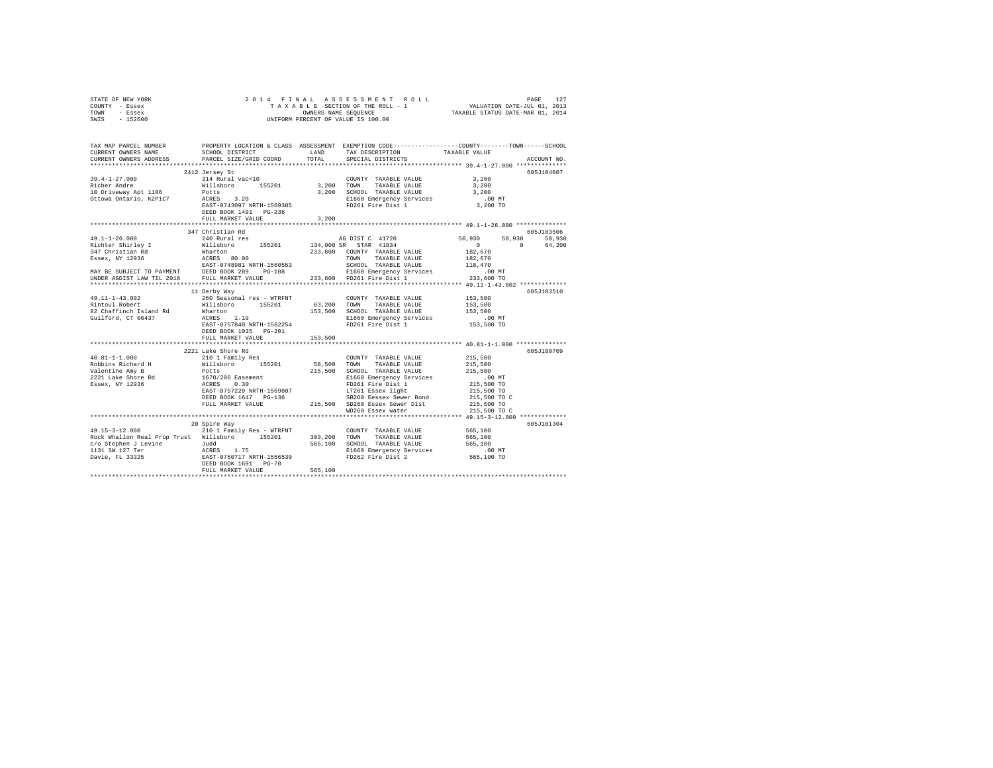|      | STATE OF NEW YORK |  | 2014 FINAL ASSESSMENT ROLL         |                                  | PAGE                        | 127 |
|------|-------------------|--|------------------------------------|----------------------------------|-----------------------------|-----|
|      | COUNTY - Essex    |  | TAXABLE SECTION OF THE ROLL - 1    |                                  | VALUATION DATE-JUL 01, 2013 |     |
| TOWN | - Essex           |  | OWNERS NAME SEOUENCE               | TAXABLE STATUS DATE-MAR 01, 2014 |                             |     |
| SWIS | $-152600$         |  | UNIFORM PERCENT OF VALUE IS 100.00 |                                  |                             |     |

| TAX MAP PARCEL NUMBER<br>CURRENT OWNERS NAME                                                                                                                                                                                                           | SCHOOL DISTRICT TAND TAX DESCRIPTION |         |                            | PROPERTY LOCATION & CLASS ASSESSMENT EXEMPTION CODE----------------COUNTY-------TOWN-----SCHOOL<br>TAXABLE VALUE |             |
|--------------------------------------------------------------------------------------------------------------------------------------------------------------------------------------------------------------------------------------------------------|--------------------------------------|---------|----------------------------|------------------------------------------------------------------------------------------------------------------|-------------|
| CURRENT OWNERS ADDRESS PARCEL SIZE/GRID COORD                                                                                                                                                                                                          |                                      | TOTAL   | SPECIAL DISTRICTS          |                                                                                                                  | ACCOUNT NO. |
|                                                                                                                                                                                                                                                        |                                      |         |                            |                                                                                                                  |             |
| 39.4-1-27.000<br>All Aural vac<10<br>Richer Andre Millsboro<br>Willisboro 155201<br>3,200 SCHOOL TAXABLE VALUE<br>10 Driveway Apt 1106<br>Millsboro 155201<br>2,200 SCHOOL TAXABLE VALUE<br>2,200 SCHOOL TAXABLE VALUE<br>2,200 SCHOOL TAXABLE         | 2412 Jersey St                       |         | COUNTY TAXABLE VALUE 3,200 |                                                                                                                  | 605J104007  |
|                                                                                                                                                                                                                                                        |                                      |         |                            | 3,200                                                                                                            |             |
|                                                                                                                                                                                                                                                        |                                      |         |                            | 3,200                                                                                                            |             |
|                                                                                                                                                                                                                                                        |                                      |         |                            | $.00$ MT                                                                                                         |             |
|                                                                                                                                                                                                                                                        |                                      |         |                            | 3,200 TO                                                                                                         |             |
|                                                                                                                                                                                                                                                        |                                      |         |                            |                                                                                                                  |             |
|                                                                                                                                                                                                                                                        | FULL MARKET VALUE                    | 3,200   |                            |                                                                                                                  |             |
|                                                                                                                                                                                                                                                        |                                      |         |                            |                                                                                                                  |             |
|                                                                                                                                                                                                                                                        | 347 Christian Rd                     |         |                            |                                                                                                                  | 605J103506  |
| $49.1 - 1 - 26.000$                                                                                                                                                                                                                                    | 240 Rural res                        |         |                            | 50,930 50,930<br>50,930                                                                                          |             |
|                                                                                                                                                                                                                                                        |                                      |         |                            | $0 \t 0 \t 64,200$                                                                                               |             |
|                                                                                                                                                                                                                                                        |                                      |         |                            | 182,670                                                                                                          |             |
|                                                                                                                                                                                                                                                        |                                      |         |                            | 182,670<br>118,470                                                                                               |             |
|                                                                                                                                                                                                                                                        |                                      |         |                            |                                                                                                                  |             |
|                                                                                                                                                                                                                                                        |                                      |         |                            | 00 MT.<br>233,600 TO                                                                                             |             |
|                                                                                                                                                                                                                                                        |                                      |         |                            |                                                                                                                  |             |
|                                                                                                                                                                                                                                                        |                                      |         |                            |                                                                                                                  |             |
|                                                                                                                                                                                                                                                        | 11 Derby Way                         |         |                            |                                                                                                                  | 605J103510  |
|                                                                                                                                                                                                                                                        |                                      |         |                            |                                                                                                                  |             |
|                                                                                                                                                                                                                                                        |                                      |         |                            |                                                                                                                  |             |
|                                                                                                                                                                                                                                                        |                                      |         |                            |                                                                                                                  |             |
|                                                                                                                                                                                                                                                        |                                      |         |                            |                                                                                                                  |             |
|                                                                                                                                                                                                                                                        |                                      |         |                            |                                                                                                                  |             |
|                                                                                                                                                                                                                                                        | DEED BOOK 1035 PG-201                |         |                            |                                                                                                                  |             |
|                                                                                                                                                                                                                                                        | FULL MARKET VALUE                    | 153,500 |                            |                                                                                                                  |             |
|                                                                                                                                                                                                                                                        | 2221 Lake Shore Rd                   |         |                            |                                                                                                                  | 605J100709  |
|                                                                                                                                                                                                                                                        |                                      |         |                            |                                                                                                                  |             |
|                                                                                                                                                                                                                                                        |                                      |         |                            |                                                                                                                  |             |
|                                                                                                                                                                                                                                                        |                                      |         |                            |                                                                                                                  |             |
|                                                                                                                                                                                                                                                        |                                      |         |                            |                                                                                                                  |             |
|                                                                                                                                                                                                                                                        |                                      |         |                            |                                                                                                                  |             |
|                                                                                                                                                                                                                                                        |                                      |         |                            |                                                                                                                  |             |
|                                                                                                                                                                                                                                                        |                                      |         |                            |                                                                                                                  |             |
|                                                                                                                                                                                                                                                        |                                      |         |                            |                                                                                                                  |             |
|                                                                                                                                                                                                                                                        |                                      |         |                            |                                                                                                                  |             |
|                                                                                                                                                                                                                                                        |                                      |         |                            |                                                                                                                  |             |
|                                                                                                                                                                                                                                                        | 20 Spire Way                         |         |                            |                                                                                                                  | 605J101304  |
| $\begin{array}{cccccc} 49.15-3-12.000 & 210 & 1\tanh 1y\text{ Res - WTRINT} & \text{COUNTY TAXABLE VALUE} & 565,100\\ \text{Rock Whallon Real Prop Trust & \textit{Willsboro} & 155201 & 303,200 & \text{TONNT TAXABLE VALUE} & 565,100\\ \end{array}$ |                                      |         |                            |                                                                                                                  |             |
|                                                                                                                                                                                                                                                        |                                      |         |                            |                                                                                                                  |             |
|                                                                                                                                                                                                                                                        |                                      |         |                            |                                                                                                                  |             |
| Note that the state of the state of the state of the state of the state of the state of the state of the states and the state of the state of the state of the state of the states and the state of the state of the state of                          |                                      |         |                            |                                                                                                                  |             |
|                                                                                                                                                                                                                                                        |                                      |         |                            |                                                                                                                  |             |
|                                                                                                                                                                                                                                                        |                                      | 565,100 |                            |                                                                                                                  |             |
|                                                                                                                                                                                                                                                        | FULL MARKET VALUE                    |         |                            |                                                                                                                  |             |
|                                                                                                                                                                                                                                                        |                                      |         |                            |                                                                                                                  |             |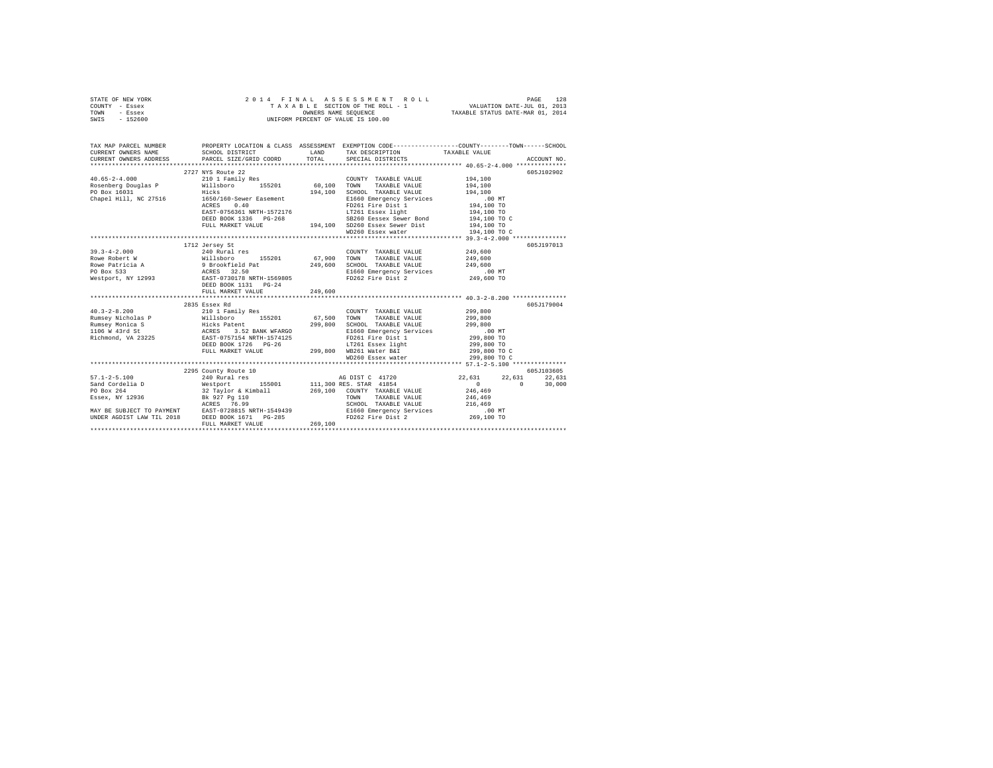| STATE OF NEW YORK |           |                      |  |  |  |  |  | 2014 FINAL ASSESSMENT ROLL         |                                  | PAGE                        | 128 |
|-------------------|-----------|----------------------|--|--|--|--|--|------------------------------------|----------------------------------|-----------------------------|-----|
| COUNTY - Essex    |           |                      |  |  |  |  |  | TAXABLE SECTION OF THE ROLL - 1    |                                  | VALUATION DATE-JUL 01, 2013 |     |
| TOWN              | - Essex   | OWNERS NAME SEOUENCE |  |  |  |  |  |                                    | TAXABLE STATUS DATE-MAR 01, 2014 |                             |     |
| SWIS              | $-152600$ |                      |  |  |  |  |  | UNIFORM PERCENT OF VALUE IS 100.00 |                                  |                             |     |

| TAX MAP PARCEL NUMBER<br>CURRENT OWNERS NAME |                                                                                                                                                                                                                                                                                                                                                                  |         | LAND TAX DESCRIPTION TAXABLE VALUE                                                                     |                            |  |
|----------------------------------------------|------------------------------------------------------------------------------------------------------------------------------------------------------------------------------------------------------------------------------------------------------------------------------------------------------------------------------------------------------------------|---------|--------------------------------------------------------------------------------------------------------|----------------------------|--|
|                                              | 2727 NYS Route 22<br>40.65-2-4.000 $210$ I Family Res $\begin{array}{ccc}\n 210 & 1 & \text{Family Res} \\  \text{Rosehberg Douglas P} & \text{will sboro} & 155201 & 60,100 & \text{TONN} \\  \text{no P.} & \text{P.} & \text{P.} & \text{P.} & \text{P.} \\  \text{P.} & \text{P.} & \text{P.} & \text{P.} & \text{P.} \\  \end{array}$                       |         | COUNTY TAXABLE VALUE 194.100                                                                           | 605J102902                 |  |
|                                              |                                                                                                                                                                                                                                                                                                                                                                  |         | TAXABLE VALUE 194.100                                                                                  |                            |  |
|                                              | PO Box 16031<br>Chapel Hill, NC 27516 1650/160-Sewer Easement<br><u>in die Staatsbeskilder in die Staatsbeskilder in die Staatsbeskilder in die Staatsbeskilder in die Staatsbeski</u> ld<br>Die Staatsbeskilder in die Staatsbeskilder in die Staatsbeskilder in die Staatsbeskilder in die Staatsbeski                                                         |         | 194,100 SCHOOL TAXABLE VALUE 194,100<br>E1660 Emergency Services 00 MT<br>FD261 Fire Dist 1 194,100 TO |                            |  |
|                                              |                                                                                                                                                                                                                                                                                                                                                                  |         |                                                                                                        |                            |  |
|                                              | ACRES<br>0.40                                                                                                                                                                                                                                                                                                                                                    |         |                                                                                                        |                            |  |
|                                              |                                                                                                                                                                                                                                                                                                                                                                  |         |                                                                                                        |                            |  |
|                                              |                                                                                                                                                                                                                                                                                                                                                                  |         |                                                                                                        |                            |  |
|                                              |                                                                                                                                                                                                                                                                                                                                                                  |         |                                                                                                        |                            |  |
|                                              |                                                                                                                                                                                                                                                                                                                                                                  |         | WD260 Essex water                                                                                      | 194,100 TO C               |  |
|                                              |                                                                                                                                                                                                                                                                                                                                                                  |         |                                                                                                        |                            |  |
|                                              | 39.3-4-2.000<br>Rowe Robert W (111sboro 155201 67,900 TOWNT TAXABLE VALUE 249,600<br>Rowe Robert W (111sboro 155201 67,900 TOWN TAXABLE VALUE 249,600<br>ROBOX 533 ACRES 32.50 249,600 ECHOLO TAXABLE VALUE 249,600<br>PO Box 533 BACR                                                                                                                           |         |                                                                                                        | 605J197013                 |  |
|                                              |                                                                                                                                                                                                                                                                                                                                                                  |         |                                                                                                        |                            |  |
|                                              |                                                                                                                                                                                                                                                                                                                                                                  |         |                                                                                                        |                            |  |
|                                              |                                                                                                                                                                                                                                                                                                                                                                  |         |                                                                                                        |                            |  |
|                                              |                                                                                                                                                                                                                                                                                                                                                                  |         |                                                                                                        |                            |  |
|                                              |                                                                                                                                                                                                                                                                                                                                                                  |         |                                                                                                        |                            |  |
|                                              |                                                                                                                                                                                                                                                                                                                                                                  |         |                                                                                                        |                            |  |
|                                              | FULL MARKET VALUE                                                                                                                                                                                                                                                                                                                                                | 249,600 |                                                                                                        |                            |  |
|                                              |                                                                                                                                                                                                                                                                                                                                                                  |         |                                                                                                        |                            |  |
|                                              | $\begin{tabular}{lcccc} 40.3-2-8.200 & 2835 Esecx Rd & 000NTY TAXABLE VALUE & 299, 800\nRumney Michael & 2101 Family Res & 155201 & 67,500 TOWN TAXABLE VALUE & 299, 800\nRumsey Michael S & Hick Patt. & 299, 800\nRumsey Montca S & Hick Patt. & 299, 800 TOMS\nRumsey M3mica S & Hick Patt. & 299, 800 TOMS\nRumley M3mica S & 152 BANK WPARGO & 299, 800 T\$ |         |                                                                                                        | 605-179004                 |  |
|                                              |                                                                                                                                                                                                                                                                                                                                                                  |         |                                                                                                        |                            |  |
|                                              |                                                                                                                                                                                                                                                                                                                                                                  |         |                                                                                                        |                            |  |
|                                              |                                                                                                                                                                                                                                                                                                                                                                  |         |                                                                                                        |                            |  |
|                                              |                                                                                                                                                                                                                                                                                                                                                                  |         |                                                                                                        |                            |  |
|                                              |                                                                                                                                                                                                                                                                                                                                                                  |         | LT261 Essex light                                                                                      |                            |  |
|                                              |                                                                                                                                                                                                                                                                                                                                                                  |         |                                                                                                        | 299,800 TO<br>299,800 TO C |  |
|                                              |                                                                                                                                                                                                                                                                                                                                                                  |         | WD260 Essex water                                                                                      | 299,800 TO C               |  |
|                                              |                                                                                                                                                                                                                                                                                                                                                                  |         |                                                                                                        |                            |  |
|                                              |                                                                                                                                                                                                                                                                                                                                                                  |         |                                                                                                        |                            |  |
|                                              |                                                                                                                                                                                                                                                                                                                                                                  |         |                                                                                                        |                            |  |
|                                              |                                                                                                                                                                                                                                                                                                                                                                  |         |                                                                                                        |                            |  |
|                                              |                                                                                                                                                                                                                                                                                                                                                                  |         |                                                                                                        |                            |  |
|                                              |                                                                                                                                                                                                                                                                                                                                                                  |         |                                                                                                        |                            |  |
|                                              |                                                                                                                                                                                                                                                                                                                                                                  |         |                                                                                                        |                            |  |
|                                              | ACRES 76.99<br>MAY BE SUBJECT TO PAYMENT BAST-0728815 NRTH-1549439<br>UNDER AGDIST LAW TIL 2018 DEED BOOK 1671 PG-285                                                                                                                                                                                                                                            |         |                                                                                                        | .00 MT                     |  |
|                                              |                                                                                                                                                                                                                                                                                                                                                                  |         | E1660 Emergency Services<br>FD262 Fire Dist 2                                                          | 269,100 TO                 |  |
|                                              | FULL MARKET VALUE                                                                                                                                                                                                                                                                                                                                                | 269,100 |                                                                                                        |                            |  |
|                                              |                                                                                                                                                                                                                                                                                                                                                                  |         |                                                                                                        |                            |  |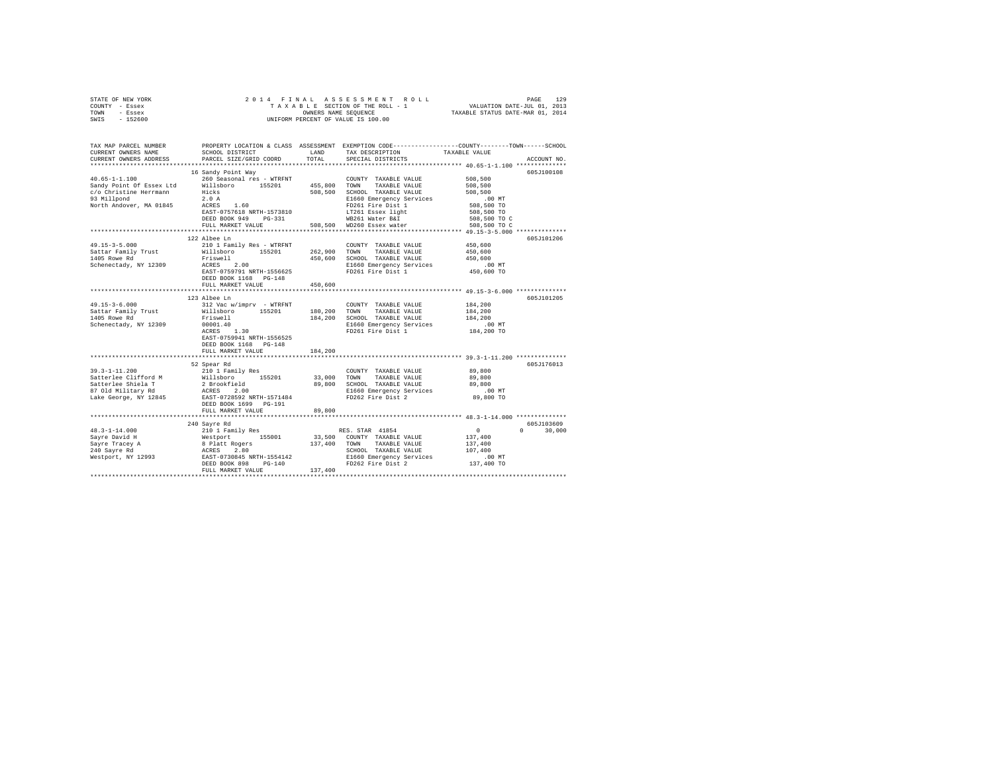| STATE OF NEW YORK<br>COUNTY - Essex | 2014 FINAL ASSESSMENT ROL<br>TAXABLE SECTION OF THE ROLL - 1<br>ONNERS NAME SEQUENCE<br>UNIFORM PERCENT OF VALUE IS 100.00                                                                                                                                                                                                                                        |         | PAGE 129 PAGE 129<br>TAXABLE SECTION OF THE ROLL - 1 VALUATION DATE-JUL 01, 2013<br>OWNERS NAME SEQUENCE TRIABLE STATUS DATE-MAR 01, 2014 |                  |               |
|-------------------------------------|-------------------------------------------------------------------------------------------------------------------------------------------------------------------------------------------------------------------------------------------------------------------------------------------------------------------------------------------------------------------|---------|-------------------------------------------------------------------------------------------------------------------------------------------|------------------|---------------|
| TOWN - Essex                        |                                                                                                                                                                                                                                                                                                                                                                   |         |                                                                                                                                           |                  |               |
| SWIS - 152600                       |                                                                                                                                                                                                                                                                                                                                                                   |         |                                                                                                                                           |                  |               |
|                                     |                                                                                                                                                                                                                                                                                                                                                                   |         |                                                                                                                                           |                  |               |
|                                     | TAX MAP PARCEL NUMBER PROPERTY LOCATION & CLASS ASSESSMENT EXEMPTION CODE--------------COUNTY-------TOWN-----SCHOOL                                                                                                                                                                                                                                               |         |                                                                                                                                           |                  |               |
| CURRENT OWNERS NAME                 | SCHOOL DISTRICT LAND TAX DESCRIPTION                                                                                                                                                                                                                                                                                                                              |         |                                                                                                                                           | TAXABLE VALUE    |               |
| CURRENT OWNERS ADDRESS              | PARCEL SIZE/GRID COORD                                                                                                                                                                                                                                                                                                                                            | TOTAL   | SPECIAL DISTRICTS                                                                                                                         |                  | ACCOUNT NO.   |
|                                     |                                                                                                                                                                                                                                                                                                                                                                   |         |                                                                                                                                           |                  |               |
|                                     | 16 Sandy Point Way                                                                                                                                                                                                                                                                                                                                                |         |                                                                                                                                           |                  | 605J100108    |
| $40.65 - 1 - 1.100$                 | 260 Seasonal res - WTRFNT                                                                                                                                                                                                                                                                                                                                         |         | COUNTY TAXABLE VALUE                                                                                                                      | 508,500          |               |
|                                     | Sandy Point Of Essex Ltd Willsboro 155201 455,800 TOWN<br>c/o Christine Herrmann Hicks 508,500 SCHOC                                                                                                                                                                                                                                                              |         | TAXABLE VALUE                                                                                                                             | 508,500          |               |
|                                     |                                                                                                                                                                                                                                                                                                                                                                   |         |                                                                                                                                           | 508,500          |               |
|                                     | 93 Millpond<br>2007 POINT BEET TRAINING STAND 1998<br>2008, SOO SCHOOL TAXABLE VALUE<br>2018 Millpond<br>2018 Millpond<br>2018 PD261 Fire Dist 1<br>2020 PD261 Fire Dist 1<br>2020 FIRED BOX 949 PG-331<br>PULL MARKET VALUE<br>PD261 EAST 1.0<br>                                                                                                                |         |                                                                                                                                           | $.00$ MT         |               |
|                                     |                                                                                                                                                                                                                                                                                                                                                                   |         |                                                                                                                                           | 508,500 TO       |               |
|                                     |                                                                                                                                                                                                                                                                                                                                                                   |         |                                                                                                                                           | 508,500 TO       |               |
|                                     |                                                                                                                                                                                                                                                                                                                                                                   |         |                                                                                                                                           | 508,500 TO C     |               |
|                                     |                                                                                                                                                                                                                                                                                                                                                                   |         |                                                                                                                                           | 508,500 TO C     |               |
|                                     | 122 Albee Ln                                                                                                                                                                                                                                                                                                                                                      |         |                                                                                                                                           |                  | 605J101206    |
| $49.15 - 3 - 5.000$                 | 210 1 Family Res - WTRFNT                                                                                                                                                                                                                                                                                                                                         |         | COUNTY TAXABLE VALUE                                                                                                                      | 450,600          |               |
|                                     |                                                                                                                                                                                                                                                                                                                                                                   |         |                                                                                                                                           | 450,600          |               |
|                                     | Sattar Family Trust Millsboro 155201 262,900<br>1405 Rowe Rd Priswell 155201 450,600<br>Schenectady, NY 12309 ACRES 2.00 450,600<br>Willsboro 155201 262,900 TOWN TAXABLE VALUE<br>Friswell 450,600 SCHOOL TAXABLE VALUE<br>ACRES 2.00 450,600 E1660 Emergency Services<br>EAST-0759791 NRTH-1556625 FD261 Fire Dist 1<br>DEED BOOK 1168 PO-148 FD261 Fire Dist 1 |         |                                                                                                                                           | 450,600          |               |
|                                     |                                                                                                                                                                                                                                                                                                                                                                   |         |                                                                                                                                           | $.00$ MT         |               |
|                                     |                                                                                                                                                                                                                                                                                                                                                                   |         |                                                                                                                                           | 450,600 TO       |               |
|                                     | DEED BOOK 1168 PG-148                                                                                                                                                                                                                                                                                                                                             |         |                                                                                                                                           |                  |               |
|                                     | FULL MARKET VALUE                                                                                                                                                                                                                                                                                                                                                 | 450,600 |                                                                                                                                           |                  |               |
|                                     |                                                                                                                                                                                                                                                                                                                                                                   |         |                                                                                                                                           |                  |               |
|                                     | 123 Albee Ln                                                                                                                                                                                                                                                                                                                                                      |         |                                                                                                                                           |                  | 605J101205    |
| $49.15 - 3 - 6.000$                 | 312 Vac w/imprv - WTRFNT                                                                                                                                                                                                                                                                                                                                          |         | COUNTY TAXABLE VALUE                                                                                                                      | 184,200          |               |
|                                     |                                                                                                                                                                                                                                                                                                                                                                   |         | 180,200 TOWN TAXABLE VALUE                                                                                                                | 184,200          |               |
|                                     |                                                                                                                                                                                                                                                                                                                                                                   |         | 184,200 SCHOOL TAXABLE VALUE 184,200<br>E1660 Emergency Services .00 MT                                                                   |                  |               |
|                                     | Sattar Family Trust and Millsboro 155201<br>1405 Rowe Rd Friswell<br>20101140<br>Schenectady, NY 12309 0001140<br>ACRES 1.30                                                                                                                                                                                                                                      |         |                                                                                                                                           |                  |               |
|                                     |                                                                                                                                                                                                                                                                                                                                                                   |         | FD261 Fire Dist 1                                                                                                                         | 184,200 TO       |               |
|                                     | EAST-0759941 NRTH-1556525                                                                                                                                                                                                                                                                                                                                         |         |                                                                                                                                           |                  |               |
|                                     | DEED BOOK 1168 PG-148                                                                                                                                                                                                                                                                                                                                             |         |                                                                                                                                           |                  |               |
|                                     | FULL MARKET VALUE                                                                                                                                                                                                                                                                                                                                                 | 184,200 |                                                                                                                                           |                  |               |
|                                     |                                                                                                                                                                                                                                                                                                                                                                   |         |                                                                                                                                           |                  |               |
| $39.3 - 1 - 11.200$                 | 52 Spear Rd<br>210 1 Family Res                                                                                                                                                                                                                                                                                                                                   |         |                                                                                                                                           |                  | 605J176013    |
|                                     |                                                                                                                                                                                                                                                                                                                                                                   |         | COUNTY TAXABLE VALUE                                                                                                                      | 89,800<br>89,800 |               |
|                                     | $\begin{tabular}{l c c c c c c c c} \hline $3,000$ & $200$ & $100$ & $100$ & $100$ \\ \hline $3,001$ & $1000$ & $1000$ & $1000$ & $1000$ & $1000$ \\ \hline \hline $3,001$ & $1000$ & $1000$ & $1000$ & $1000$ & $1000$ \\ \hline $4$ & $1000$ & $1000$ & $1000$ & $1000$ & $1000$ & $1000$ \\ \hline $5$ & $010$ & $101$                                         |         |                                                                                                                                           | 89,800           |               |
|                                     |                                                                                                                                                                                                                                                                                                                                                                   |         |                                                                                                                                           |                  |               |
|                                     |                                                                                                                                                                                                                                                                                                                                                                   |         |                                                                                                                                           | MT.<br>89,800 TO |               |
|                                     |                                                                                                                                                                                                                                                                                                                                                                   |         |                                                                                                                                           |                  |               |
|                                     | FULL MARKET VALUE                                                                                                                                                                                                                                                                                                                                                 | 89,800  |                                                                                                                                           |                  |               |
|                                     |                                                                                                                                                                                                                                                                                                                                                                   |         |                                                                                                                                           |                  |               |
|                                     | 240 Sayre Rd                                                                                                                                                                                                                                                                                                                                                      |         |                                                                                                                                           |                  | 605J103609    |
|                                     |                                                                                                                                                                                                                                                                                                                                                                   |         |                                                                                                                                           | $\sim$ 0         | $0 \t 30,000$ |
|                                     |                                                                                                                                                                                                                                                                                                                                                                   |         |                                                                                                                                           | 137,400          |               |
|                                     |                                                                                                                                                                                                                                                                                                                                                                   |         |                                                                                                                                           | 137,400          |               |
|                                     |                                                                                                                                                                                                                                                                                                                                                                   |         |                                                                                                                                           | 107,400          |               |
|                                     |                                                                                                                                                                                                                                                                                                                                                                   |         |                                                                                                                                           | .00 MT           |               |
|                                     |                                                                                                                                                                                                                                                                                                                                                                   |         |                                                                                                                                           | 137,400 TO       |               |
|                                     |                                                                                                                                                                                                                                                                                                                                                                   |         |                                                                                                                                           |                  |               |
|                                     |                                                                                                                                                                                                                                                                                                                                                                   |         |                                                                                                                                           |                  |               |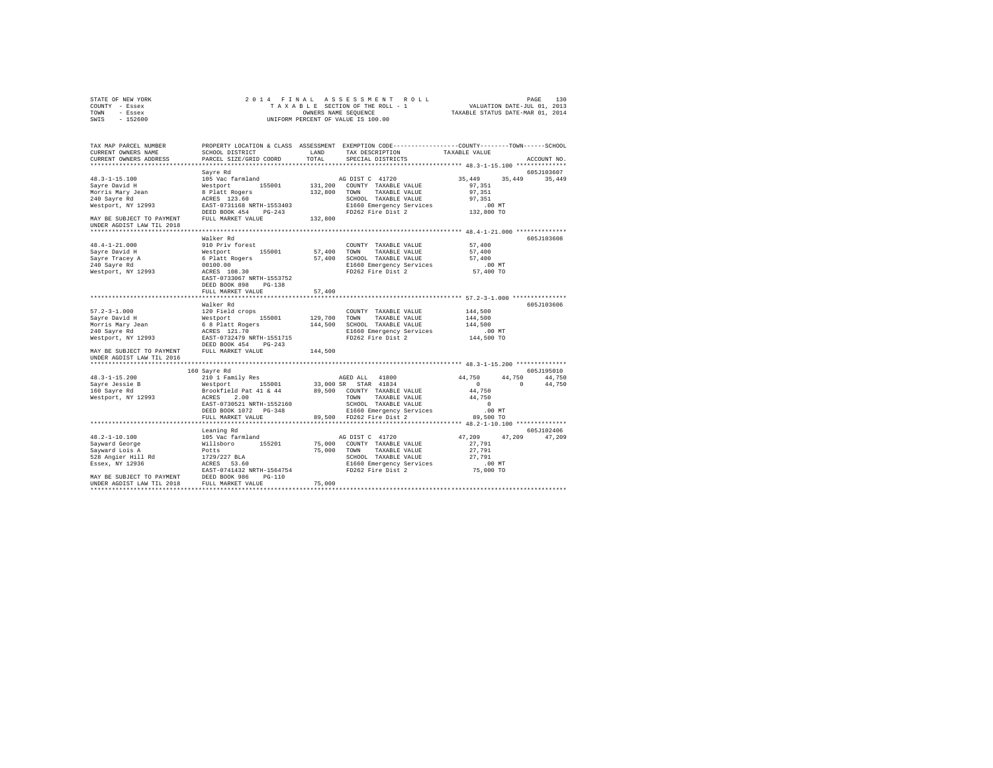| STATE OF NEW YORK                                                                                                                                                                                                                                                                                           | 2014 FINAL                                                                                                                                |         |                                                                       |                                                                                                                                                    |                    |
|-------------------------------------------------------------------------------------------------------------------------------------------------------------------------------------------------------------------------------------------------------------------------------------------------------------|-------------------------------------------------------------------------------------------------------------------------------------------|---------|-----------------------------------------------------------------------|----------------------------------------------------------------------------------------------------------------------------------------------------|--------------------|
| COUNTY - Essex                                                                                                                                                                                                                                                                                              |                                                                                                                                           |         |                                                                       | PAGE 130 PAGE 130 PAGE 130<br>TAXABLE SECTION OF THE ROLL - 1 VALUATION DATE-JUL 01, 2013<br>OWNERS NAME SEQUENCE TRXABLE STATUS DATE-MAR 01, 2014 |                    |
| TOWN - Essex                                                                                                                                                                                                                                                                                                |                                                                                                                                           |         |                                                                       |                                                                                                                                                    |                    |
| SWIS - 152600                                                                                                                                                                                                                                                                                               |                                                                                                                                           |         | OWNERS NAME SEQUENCE<br>UNIFORM PERCENT OF VALUE IS 100.00            |                                                                                                                                                    |                    |
|                                                                                                                                                                                                                                                                                                             |                                                                                                                                           |         |                                                                       |                                                                                                                                                    |                    |
|                                                                                                                                                                                                                                                                                                             |                                                                                                                                           |         |                                                                       |                                                                                                                                                    |                    |
| TAX MAP PARCEL NUMBER                                                                                                                                                                                                                                                                                       | PROPERTY LOCATION & CLASS ASSESSMENT EXEMPTION CODE---------------COUNTY-------TOWN------SCHOOL                                           |         |                                                                       |                                                                                                                                                    |                    |
| CURRENT OWNERS NAME                                                                                                                                                                                                                                                                                         | SCHOOL DISTRICT                                                                                                                           | LAND    | TAX DESCRIPTION                                                       | TAXABLE VALUE                                                                                                                                      |                    |
| CURRENT OWNERS ADDRESS                                                                                                                                                                                                                                                                                      | PARCEL SIZE/GRID COORD                                                                                                                    | TOTAL   | SPECIAL DISTRICTS                                                     |                                                                                                                                                    | ACCOUNT NO.        |
|                                                                                                                                                                                                                                                                                                             |                                                                                                                                           |         |                                                                       |                                                                                                                                                    |                    |
|                                                                                                                                                                                                                                                                                                             | Sayre Rd                                                                                                                                  |         |                                                                       |                                                                                                                                                    | 605J103607         |
| $48.3 - 1 - 15.100$                                                                                                                                                                                                                                                                                         |                                                                                                                                           |         | AG DIST C 41720                                                       | 35,449                                                                                                                                             | 35, 449 35, 449    |
| Sayre David H                                                                                                                                                                                                                                                                                               |                                                                                                                                           |         |                                                                       | 97.351                                                                                                                                             |                    |
|                                                                                                                                                                                                                                                                                                             |                                                                                                                                           |         | 131,200 COUNTY TAXABLE VALUE<br>132,800 TOWN TAXABLE VALUE            | 97.351                                                                                                                                             |                    |
| Morris Mary Jean<br>240 Sayre Rd                                                                                                                                                                                                                                                                            |                                                                                                                                           |         |                                                                       | 97.351                                                                                                                                             |                    |
| Westport, NY 12993                                                                                                                                                                                                                                                                                          | ----- m<br>105 Vac farmland<br>8 Platt Rogers<br>8 Platt Rogers<br>ACRES 123.60<br>EAST-0731168 NRTH-1553403<br>RAST-0731168 NRTH-1553403 |         | SCHOOL TAXABLE VALUE<br>E1660 Emergency Services<br>FD262 Fire Dist 2 | .00 MT                                                                                                                                             |                    |
|                                                                                                                                                                                                                                                                                                             | DEED BOOK 454 PG-243                                                                                                                      |         |                                                                       | 132,800 TO                                                                                                                                         |                    |
| MAY BE SUBJECT TO PAYMENT                                                                                                                                                                                                                                                                                   | FULL MARKET VALUE                                                                                                                         | 132,800 |                                                                       |                                                                                                                                                    |                    |
| UNDER AGDIST LAW TIL 2018                                                                                                                                                                                                                                                                                   |                                                                                                                                           |         |                                                                       |                                                                                                                                                    |                    |
|                                                                                                                                                                                                                                                                                                             |                                                                                                                                           |         |                                                                       |                                                                                                                                                    |                    |
|                                                                                                                                                                                                                                                                                                             | Walker Rd                                                                                                                                 |         |                                                                       |                                                                                                                                                    | 605J103608         |
| 48.4-1-21.000                                                                                                                                                                                                                                                                                               | 910 Priv forest                                                                                                                           |         | COUNTY TAXABLE VALUE                                                  | 57,400                                                                                                                                             |                    |
| Sayre David H                                                                                                                                                                                                                                                                                               |                                                                                                                                           |         | 57,400 TOWN TAXABLE VALUE                                             | 57,400                                                                                                                                             |                    |
|                                                                                                                                                                                                                                                                                                             |                                                                                                                                           |         | 57,400 SCHOOL TAXABLE VALUE                                           | 57,400                                                                                                                                             |                    |
|                                                                                                                                                                                                                                                                                                             |                                                                                                                                           |         |                                                                       | $.00$ MT                                                                                                                                           |                    |
| Sayre Tracey A<br>240 Sayre Rd<br>Westport, NY 12993                                                                                                                                                                                                                                                        | Westport 155001 57,4<br>6 Platt Rogers 57,4<br>00100.00<br>ACRES 108.30<br>RAST-0733067 NRTH-1553752                                      |         | E1660 Emergency Services<br>FD262 Fire Dist 2                         | 57,400 TO                                                                                                                                          |                    |
|                                                                                                                                                                                                                                                                                                             |                                                                                                                                           |         |                                                                       |                                                                                                                                                    |                    |
|                                                                                                                                                                                                                                                                                                             | DEED BOOK 898 PG-138                                                                                                                      |         |                                                                       |                                                                                                                                                    |                    |
|                                                                                                                                                                                                                                                                                                             | FULL MARKET VALUE                                                                                                                         | 57,400  |                                                                       |                                                                                                                                                    |                    |
|                                                                                                                                                                                                                                                                                                             |                                                                                                                                           |         |                                                                       |                                                                                                                                                    |                    |
|                                                                                                                                                                                                                                                                                                             | Walker Rd                                                                                                                                 |         |                                                                       |                                                                                                                                                    | 605J103606         |
| $57.2 - 3 - 1.000$                                                                                                                                                                                                                                                                                          | 120 Field crops                                                                                                                           |         | COUNTY TAXABLE VALUE                                                  | 144,500                                                                                                                                            |                    |
|                                                                                                                                                                                                                                                                                                             |                                                                                                                                           |         | COUNTY TAXABLE VALUE<br>129,700 TOWN TAXABLE VALUE                    | 144,500                                                                                                                                            |                    |
|                                                                                                                                                                                                                                                                                                             |                                                                                                                                           |         |                                                                       | 144,500                                                                                                                                            |                    |
|                                                                                                                                                                                                                                                                                                             |                                                                                                                                           |         |                                                                       |                                                                                                                                                    |                    |
|                                                                                                                                                                                                                                                                                                             |                                                                                                                                           |         | E1660 Emergency Services                                              | .00 MT                                                                                                                                             |                    |
| $\begin{tabular}{l c c c c c} \hline $57.2-3-1.000$ & $140$ & $140$ & $140$ & $140$ & $140$ & $140$ & $140$ & $140$ & $140$ & $140$ & $140$ & $140$ & $140$ & $140$ & $140$ & $140$ & $140$ & $140$ & $140$ & $140$ & $140$ & $140$ & $140$ & $140$ & $140$ & $140$ & $140$ & $140$ & $140$ & $140$ & $140$ |                                                                                                                                           |         |                                                                       | 144,500 TO                                                                                                                                         |                    |
|                                                                                                                                                                                                                                                                                                             |                                                                                                                                           |         |                                                                       |                                                                                                                                                    |                    |
| MAY BE SUBJECT TO PAYMENT                                                                                                                                                                                                                                                                                   | FULL MARKET VALUE                                                                                                                         | 144,500 |                                                                       |                                                                                                                                                    |                    |
| UNDER AGDIST LAW TIL 2016                                                                                                                                                                                                                                                                                   |                                                                                                                                           |         |                                                                       |                                                                                                                                                    |                    |
|                                                                                                                                                                                                                                                                                                             |                                                                                                                                           |         |                                                                       |                                                                                                                                                    |                    |
|                                                                                                                                                                                                                                                                                                             | 160 Sayre Rd                                                                                                                              |         |                                                                       |                                                                                                                                                    | 605J195010         |
|                                                                                                                                                                                                                                                                                                             |                                                                                                                                           |         |                                                                       | 44,750                                                                                                                                             | 44,750 44,750      |
|                                                                                                                                                                                                                                                                                                             |                                                                                                                                           |         |                                                                       |                                                                                                                                                    | $0 \t 0 \t 44,750$ |
|                                                                                                                                                                                                                                                                                                             |                                                                                                                                           |         |                                                                       | 44,750                                                                                                                                             |                    |
|                                                                                                                                                                                                                                                                                                             |                                                                                                                                           |         |                                                                       | 44,750                                                                                                                                             |                    |
|                                                                                                                                                                                                                                                                                                             |                                                                                                                                           |         |                                                                       | $\sim$ 0                                                                                                                                           |                    |
|                                                                                                                                                                                                                                                                                                             | DEED BOOK 1072    PG-348                                                                                                                  |         |                                                                       | .00 MT                                                                                                                                             |                    |
|                                                                                                                                                                                                                                                                                                             |                                                                                                                                           |         |                                                                       | 89,500 TO                                                                                                                                          |                    |
|                                                                                                                                                                                                                                                                                                             |                                                                                                                                           |         |                                                                       |                                                                                                                                                    |                    |
|                                                                                                                                                                                                                                                                                                             | Leaning Rd                                                                                                                                |         |                                                                       |                                                                                                                                                    | 605J102406         |
|                                                                                                                                                                                                                                                                                                             |                                                                                                                                           |         |                                                                       | 47,209 47,209                                                                                                                                      | 47,209             |
|                                                                                                                                                                                                                                                                                                             |                                                                                                                                           |         |                                                                       | 27,791                                                                                                                                             |                    |
|                                                                                                                                                                                                                                                                                                             |                                                                                                                                           |         |                                                                       | 27,791                                                                                                                                             |                    |
|                                                                                                                                                                                                                                                                                                             |                                                                                                                                           |         |                                                                       | 27,791                                                                                                                                             |                    |
|                                                                                                                                                                                                                                                                                                             |                                                                                                                                           |         |                                                                       | 00 MT.<br>75,000 TO                                                                                                                                |                    |
|                                                                                                                                                                                                                                                                                                             |                                                                                                                                           |         |                                                                       |                                                                                                                                                    |                    |
|                                                                                                                                                                                                                                                                                                             |                                                                                                                                           |         |                                                                       |                                                                                                                                                    |                    |
|                                                                                                                                                                                                                                                                                                             |                                                                                                                                           |         |                                                                       |                                                                                                                                                    |                    |
|                                                                                                                                                                                                                                                                                                             |                                                                                                                                           |         |                                                                       |                                                                                                                                                    |                    |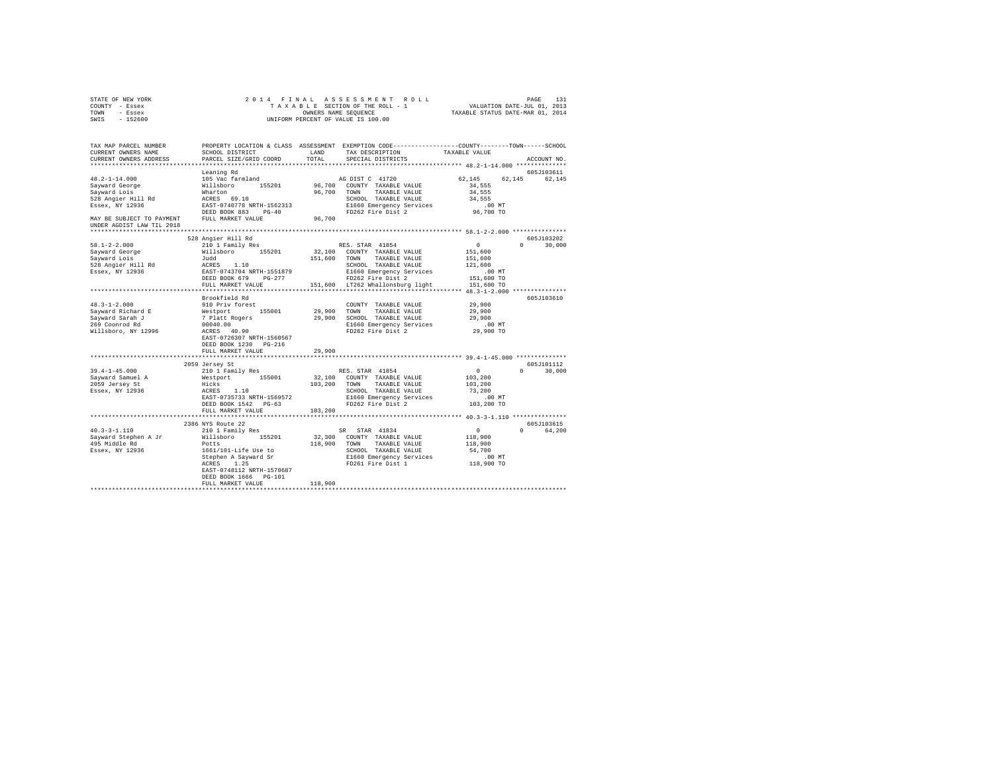| STATE OF NEW YORK                                     | 2014 FINAL                                                                                                                             |         |                                                                                                 |                      |               |
|-------------------------------------------------------|----------------------------------------------------------------------------------------------------------------------------------------|---------|-------------------------------------------------------------------------------------------------|----------------------|---------------|
| COUNTY - Essex                                        |                                                                                                                                        |         |                                                                                                 |                      |               |
| TOWN - Essex                                          |                                                                                                                                        |         |                                                                                                 |                      |               |
| SWIS - 152600                                         |                                                                                                                                        |         | OWNERS NAME SEQUENCE<br>UNIFORM PERCENT OF VALUE IS 100.00                                      |                      |               |
|                                                       |                                                                                                                                        |         |                                                                                                 |                      |               |
|                                                       |                                                                                                                                        |         |                                                                                                 |                      |               |
| TAX MAP PARCEL NUMBER                                 |                                                                                                                                        |         | PROPERTY LOCATION & CLASS ASSESSMENT EXEMPTION CODE----------------COUNTY-------TOWN-----SCHOOL |                      |               |
| CURRENT OWNERS NAME                                   | SCHOOL DISTRICT                                                                                                                        | LAND    | TAX DESCRIPTION TAXABLE VALUE                                                                   |                      |               |
| CURRENT OWNERS ADDRESS                                | PARCEL SIZE/GRID COORD                                                                                                                 | TOTAL   | SPECIAL DISTRICTS                                                                               |                      | ACCOUNT NO.   |
|                                                       |                                                                                                                                        |         |                                                                                                 |                      |               |
|                                                       | Leaning Rd                                                                                                                             |         |                                                                                                 |                      | 605J103611    |
| 48.2-1-14.000                                         |                                                                                                                                        |         | AG DIST C 41720                                                                                 | 62,145 62,145 62,145 |               |
|                                                       |                                                                                                                                        |         | 96,700 COUNTY TAXABLE VALUE                                                                     | 34,555               |               |
| Sayward George<br>Sayward Lois                        |                                                                                                                                        |         | 96,700 TOWN TAXABLE VALUE                                                                       | 34,555               |               |
|                                                       |                                                                                                                                        |         |                                                                                                 | 34,555               |               |
| 528 Angier Hill Rd<br>Essex, NY 12936                 | Easing Actor<br>105 Vac farmland<br>Willsbroom<br>Marton<br>ERSS 69.10<br>ERST-0740778 NRTH-1562313<br>DEED BOOK 883 PG-40             |         | SCHOOL TAAABLE VADOR<br>E1660 Emergency Services<br>FD262 Fire Dist 2                           | $.00$ MT             |               |
|                                                       |                                                                                                                                        |         |                                                                                                 | 96,700 TO            |               |
| MAY BE SUBJECT TO PAYMENT FULL MARKET VALUE           |                                                                                                                                        | 96,700  |                                                                                                 |                      |               |
| UNDER AGDIST LAW TIL 2018                             |                                                                                                                                        |         |                                                                                                 |                      |               |
|                                                       |                                                                                                                                        |         |                                                                                                 |                      |               |
|                                                       | 528 Angier Hill Rd                                                                                                                     |         |                                                                                                 |                      | 605-103202    |
| $58.1 - 2 - 2.000$                                    | 210 1 Family Res                                                                                                                       |         | RES. STAR 41854                                                                                 | $\sim$ 0             | $0 \t 30,000$ |
|                                                       |                                                                                                                                        |         | 32,100 COUNTY TAXABLE VALUE                                                                     |                      |               |
| Sayward George<br>Sayward Lois                        |                                                                                                                                        |         |                                                                                                 | 151,600              |               |
|                                                       |                                                                                                                                        |         | 151,600 TOWN TAXABLE VALUE                                                                      | 151,600              |               |
| 528 Angier Hill Rd<br>Essex, NY 12936                 | 210 1 Family kes<br>Willsboro 155201 32,100<br>Judd 151,600<br>ACRES 1.10 151,600<br>EAST-0743704 NRTH-1551879<br>PRED BOOK 679 PG-277 |         | SCHOOL TAXABLE VALUE                                                                            | 121,600              |               |
|                                                       |                                                                                                                                        |         | E1660 Emergency Services                                                                        | $.00$ MT             |               |
|                                                       |                                                                                                                                        |         | FD262 Fire Dist 2                                                                               | 151,600 TO           |               |
|                                                       | FULL MARKET VALUE                                                                                                                      |         | 151,600 LT262 Whallonsburg light                                                                | 151,600 TO           |               |
|                                                       |                                                                                                                                        |         |                                                                                                 |                      |               |
|                                                       | Brookfield Rd                                                                                                                          |         |                                                                                                 |                      | 605J103610    |
| $48.3 - 1 - 2.000$                                    | 910 Priv forest                                                                                                                        |         | COUNTY TAXABLE VALUE                                                                            | 29,900               |               |
| Sayward Richard E                                     |                                                                                                                                        |         | 29,900 TOWN TAXABLE VALUE                                                                       | 29,900               |               |
| Sayward Sarah J                                       | Nestport 155001<br>7 Platt Rogers<br>00040.00<br>ACRES 40.90                                                                           |         | 29,900 SCHOOL TAXABLE VALUE                                                                     | 29,900               |               |
| 269 Coonrod Rd                                        |                                                                                                                                        |         | E1660 Emergency Services<br>FD262 Fire Dist 2                                                   | .00 MT               |               |
| Willsboro, NY 12996                                   |                                                                                                                                        |         |                                                                                                 | 29,900 TO            |               |
|                                                       | EAST-0726307 NRTH-1560567                                                                                                              |         |                                                                                                 |                      |               |
|                                                       | DEED BOOK 1230 PG-216                                                                                                                  |         |                                                                                                 |                      |               |
|                                                       | FULL MARKET VALUE                                                                                                                      | 29,900  |                                                                                                 |                      |               |
|                                                       | ***************************                                                                                                            |         |                                                                                                 |                      |               |
|                                                       | 2059 Jersey St                                                                                                                         |         |                                                                                                 |                      | 605J101112    |
| $39.4 - 1 - 45.000$                                   | 210 1 Family Res                                                                                                                       |         | RES. STAR 41854                                                                                 | $\sim$ 0             | $0 \t 30,000$ |
|                                                       |                                                                                                                                        |         |                                                                                                 | 103,200              |               |
|                                                       |                                                                                                                                        |         | 32,100 COUNTY TAXABLE VALUE<br>103,200 TOWN TAXABLE VALUE                                       | 103,200              |               |
| Sayward Samuel A<br>2059 Jersey St<br>Essex, NY 12936 | Westport 155001<br>Hicks<br>ACRES 1.10<br>EAST-0735733 NRTH-1569572                                                                    |         | SCHOOL TAXABLE VALUE                                                                            | 73,200               |               |
|                                                       |                                                                                                                                        |         | E1660 Emergency Services                                                                        | $.00$ MT             |               |
|                                                       | DEED BOOK 1542 PG-63                                                                                                                   |         | FD262 Fire Dist 2                                                                               | 103,200 TO           |               |
|                                                       | FULL MARKET VALUE                                                                                                                      | 103,200 |                                                                                                 |                      |               |
|                                                       |                                                                                                                                        |         |                                                                                                 |                      |               |
|                                                       | 2386 NYS Route 22                                                                                                                      |         |                                                                                                 |                      | 605J103615    |
| $40.3 - 3 - 1.110$                                    | 210 1 Family Res                                                                                                                       |         |                                                                                                 | $\sim$ 0             | 0 64,200      |
|                                                       |                                                                                                                                        |         | SR STAR 41834<br>32,300 COUNTY TAXABLE VALUE                                                    | 118,900              |               |
| Sayward Stephen A Jr Willsboro 155201                 |                                                                                                                                        |         |                                                                                                 | 118,900              |               |
| 495 Middle Rd                                         | Potts                                                                                                                                  |         | 118,900 TOWN TAXABLE VALUE                                                                      |                      |               |
| Essex, NY 12936                                       |                                                                                                                                        |         |                                                                                                 |                      |               |
|                                                       |                                                                                                                                        |         |                                                                                                 |                      |               |
|                                                       |                                                                                                                                        |         |                                                                                                 |                      |               |
|                                                       | EAST-0748112 NRTH-1570687                                                                                                              |         |                                                                                                 |                      |               |
|                                                       | DEED BOOK 1666 PG-101                                                                                                                  |         |                                                                                                 |                      |               |
|                                                       | FULL MARKET VALUE                                                                                                                      | 118,900 |                                                                                                 |                      |               |
|                                                       |                                                                                                                                        |         |                                                                                                 |                      |               |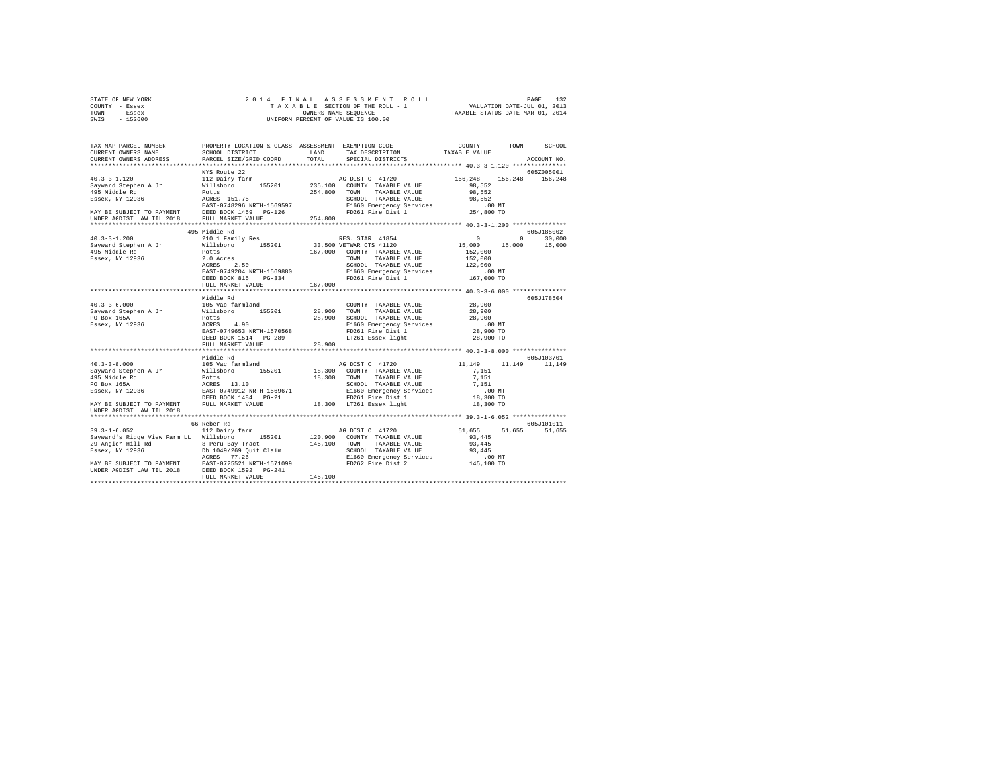| STATE OF NEW YORK | 2014 FINAL ASSESSMENT ROLL         | 132<br>PAGE                      |
|-------------------|------------------------------------|----------------------------------|
| - Essex<br>COUNTY | TAXABLE SECTION OF THE ROLL - 1    | VALUATION DATE-JUL 01, 2013      |
| TOWN<br>- Essex   | OWNERS NAME SEOUENCE               | TAXABLE STATUS DATE-MAR 01, 2014 |
| $-152600$<br>SWIS | UNIFORM PERCENT OF VALUE IS 100.00 |                                  |
|                   |                                    |                                  |

| TAX MAP PARCEL NUMBER                                                                                                                                                                                                                            |                                                                                         |         | PROPERTY LOCATION & CLASS ASSESSMENT EXEMPTION CODE---------------COUNTY-------TOWN-----SCHOOL |                                 |               |
|--------------------------------------------------------------------------------------------------------------------------------------------------------------------------------------------------------------------------------------------------|-----------------------------------------------------------------------------------------|---------|------------------------------------------------------------------------------------------------|---------------------------------|---------------|
| CURRENT OWNERS NAME<br>CURRENT OWNERS ADDRESS                                                                                                                                                                                                    | SCHOOL DISTRICT<br>PARCEL SIZE/GRID COORD                                               | TOTAL   | LAND TAX DESCRIPTION<br>SPECIAL DISTRICTS                                                      | TAXABLE VALUE                   | ACCOUNT NO    |
|                                                                                                                                                                                                                                                  |                                                                                         |         |                                                                                                |                                 |               |
|                                                                                                                                                                                                                                                  | NYS Route 22                                                                            |         |                                                                                                |                                 | 605Z005001    |
|                                                                                                                                                                                                                                                  |                                                                                         |         |                                                                                                | 156,248 156,248 156,248         |               |
|                                                                                                                                                                                                                                                  |                                                                                         |         |                                                                                                |                                 |               |
|                                                                                                                                                                                                                                                  |                                                                                         |         |                                                                                                |                                 |               |
|                                                                                                                                                                                                                                                  |                                                                                         |         |                                                                                                |                                 |               |
|                                                                                                                                                                                                                                                  |                                                                                         |         |                                                                                                |                                 |               |
|                                                                                                                                                                                                                                                  |                                                                                         |         |                                                                                                |                                 |               |
|                                                                                                                                                                                                                                                  |                                                                                         |         |                                                                                                |                                 |               |
|                                                                                                                                                                                                                                                  |                                                                                         |         |                                                                                                |                                 |               |
|                                                                                                                                                                                                                                                  | 495 Middle Rd                                                                           |         |                                                                                                |                                 | 605J185002    |
| $40.3 - 3 - 1.200$                                                                                                                                                                                                                               | 210 1 Family Res                                                                        |         | RES. STAR 41854<br>15,000 15,000 15,000 15,000                                                 |                                 |               |
| Sayward Stephen A Jr<br>495 Middle Rd                                                                                                                                                                                                            | Willsboro 155201 33,500 VETWAR CTS 41120                                                |         |                                                                                                |                                 |               |
|                                                                                                                                                                                                                                                  | Potts<br>Potts 167,0<br>2.0 Acres 2.50 167,0<br>ACRES 2.50<br>EAST-0749204 NRTH-1569880 |         | 167,000 COUNTY TAXABLE VALUE                                                                   | 152,000                         |               |
| Essex, NY 12936                                                                                                                                                                                                                                  |                                                                                         |         | TOWN TAXABLE VALUE                                                                             | 152,000                         |               |
|                                                                                                                                                                                                                                                  |                                                                                         |         | SCHOOL TAXABLE VALUE                                                                           |                                 |               |
|                                                                                                                                                                                                                                                  |                                                                                         |         | E1660 Emergency Services                                                                       | 122,000<br>00 MT.<br>167,000 TO |               |
|                                                                                                                                                                                                                                                  | DEED BOOK 815 PG-334                                                                    |         | FD261 Fire Dist 1                                                                              |                                 |               |
|                                                                                                                                                                                                                                                  | FULL MARKET VALUE                                                                       | 167,000 |                                                                                                |                                 |               |
|                                                                                                                                                                                                                                                  |                                                                                         |         |                                                                                                |                                 |               |
|                                                                                                                                                                                                                                                  | Middle Rd                                                                               |         | COUNTY TAXABLE VALUE                                                                           | 28,900                          | 605J178504    |
|                                                                                                                                                                                                                                                  | 155201 28,900 TOWN                                                                      |         |                                                                                                |                                 |               |
|                                                                                                                                                                                                                                                  |                                                                                         |         | TAXABLE VALUE<br>28,900 SCHOOL TAXABLE VALUE                                                   | 28,900<br>28,900                |               |
|                                                                                                                                                                                                                                                  |                                                                                         |         |                                                                                                | $.00$ MT                        |               |
|                                                                                                                                                                                                                                                  |                                                                                         |         | E1660 Emergency Services<br>FD261 Fire Dist 1                                                  | 28,900 TO                       |               |
|                                                                                                                                                                                                                                                  | DEED BOOK 1514 PG-289                                                                   |         | LT261 Essex light                                                                              | 28,900 TO                       |               |
|                                                                                                                                                                                                                                                  | FULL MARKET VALUE                                                                       | 28,900  |                                                                                                |                                 |               |
|                                                                                                                                                                                                                                                  |                                                                                         |         |                                                                                                |                                 |               |
|                                                                                                                                                                                                                                                  | Middle Rd                                                                               |         |                                                                                                |                                 | 605J103701    |
| $40.3 - 3 - 8.000$                                                                                                                                                                                                                               | 105 Vac farmland                                                                        |         | AG DIST C 41720                                                                                | 11,149                          | 11,149 11,149 |
|                                                                                                                                                                                                                                                  |                                                                                         |         |                                                                                                |                                 |               |
|                                                                                                                                                                                                                                                  |                                                                                         |         |                                                                                                |                                 |               |
|                                                                                                                                                                                                                                                  |                                                                                         |         |                                                                                                |                                 |               |
|                                                                                                                                                                                                                                                  |                                                                                         |         |                                                                                                |                                 |               |
|                                                                                                                                                                                                                                                  |                                                                                         |         |                                                                                                |                                 |               |
| MAY BE SUBJECT TO PAYMENT FULL MARKET VALUE 18,300 LT261 Essex light                                                                                                                                                                             |                                                                                         |         |                                                                                                | 18,300 TO                       |               |
| UNDER AGDIST LAW TIL 2018                                                                                                                                                                                                                        |                                                                                         |         |                                                                                                |                                 |               |
|                                                                                                                                                                                                                                                  |                                                                                         |         |                                                                                                |                                 |               |
|                                                                                                                                                                                                                                                  | 66 Reber Rd                                                                             |         |                                                                                                |                                 | 605J101011    |
| $39.3 - 1 - 6.052$                                                                                                                                                                                                                               | 112 Dairy farm                                                                          |         | AG DIST C 41720                                                                                | 51,655 51,655 51,655            |               |
| Sayward's Ridge View Farm LL Willsboro 155201 120,900 COUNTY TAXABLE VALUE                                                                                                                                                                       |                                                                                         |         |                                                                                                | 93,445                          |               |
|                                                                                                                                                                                                                                                  |                                                                                         |         |                                                                                                |                                 |               |
| 29 Angler Hill Rd<br>29 Angler Hill Rd<br>29 Angler Hill Rd<br>29 Angler Hill Rd<br>29 Angler Hill Rd<br>29 Angler Top Districts of the Same CHOLOGY TAXABLE VALUE<br>29 Angler Hill Rd<br>29 Angler Hill Rd<br>29 Angler Hill Rd<br>29 Angler H |                                                                                         |         |                                                                                                |                                 |               |
|                                                                                                                                                                                                                                                  |                                                                                         |         |                                                                                                |                                 |               |
|                                                                                                                                                                                                                                                  |                                                                                         |         |                                                                                                |                                 |               |
|                                                                                                                                                                                                                                                  |                                                                                         |         |                                                                                                |                                 |               |
|                                                                                                                                                                                                                                                  | FULL MARKET VALUE<br>*********************                                              | 145,100 |                                                                                                |                                 |               |
|                                                                                                                                                                                                                                                  |                                                                                         |         |                                                                                                |                                 |               |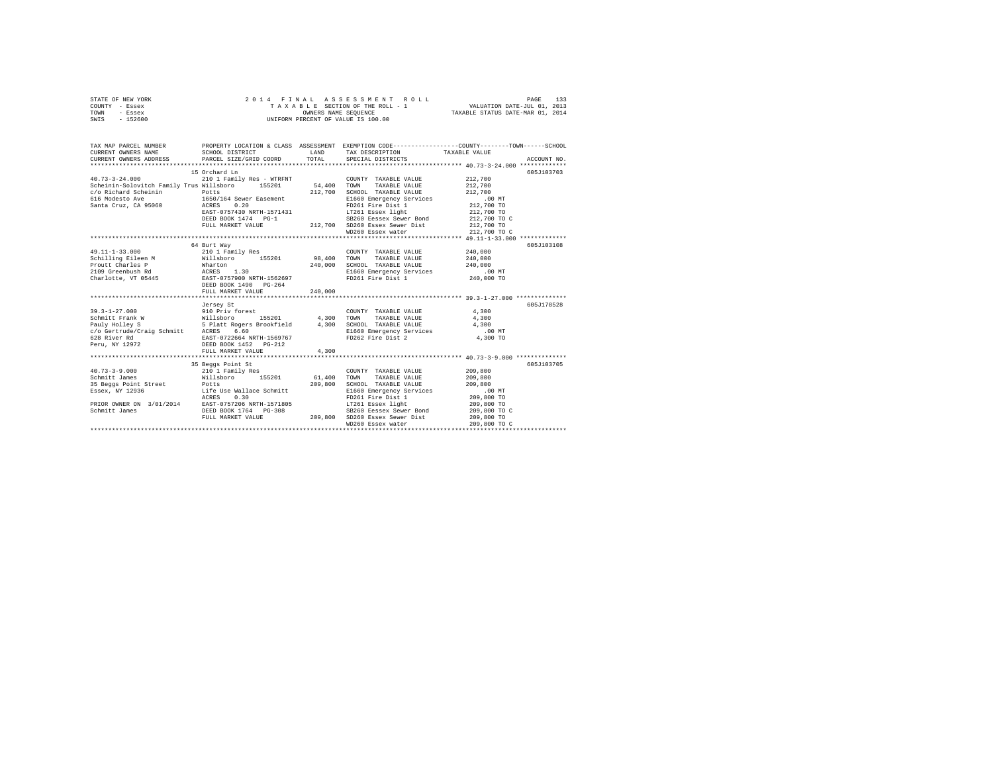| STATE OF NEW YORK | 2014 FINAL ASSESSMENT ROLL         | 133<br>PAGE                      |
|-------------------|------------------------------------|----------------------------------|
| COUNTY - Essex    | TAXABLE SECTION OF THE ROLL - 1    | VALUATION DATE-JUL 01, 2013      |
| TOWN<br>- Essex   | OWNERS NAME SEOUENCE               | TAXABLE STATUS DATE-MAR 01, 2014 |
| $-152600$<br>SWIS | UNIFORM PERCENT OF VALUE IS 100.00 |                                  |

| TAX MAP PARCEL NUMBER                                                                                                                                                                                                                      |                                                                                                               |         |                                                                                                                                                                                                                                                                                                                      | PROPERTY LOCATION & CLASS ASSESSMENT EXEMPTION CODE----------------COUNTY-------TOWN------SCHOOL |
|--------------------------------------------------------------------------------------------------------------------------------------------------------------------------------------------------------------------------------------------|---------------------------------------------------------------------------------------------------------------|---------|----------------------------------------------------------------------------------------------------------------------------------------------------------------------------------------------------------------------------------------------------------------------------------------------------------------------|--------------------------------------------------------------------------------------------------|
| $40.73 - 3 - 24.000$                                                                                                                                                                                                                       | 15 Orchard Ln<br>210 1 Family Res - WTRFNT                                                                    |         | COUNTY TAXABLE VALUE                                                                                                                                                                                                                                                                                                 | 605J103703<br>212,700                                                                            |
| Scheinin-Solovitch Family Trus Willsboro 155201 54,400                                                                                                                                                                                     |                                                                                                               | 212,700 | TAXABLE VALUE<br>TOWN<br>SCHOOL TAXABLE VALUE<br>E1660 Emergency Services                                                                                                                                                                                                                                            | 212,700<br>212,700<br>.00MT                                                                      |
|                                                                                                                                                                                                                                            |                                                                                                               |         | 1650/104 sew-<br>RATE-0757430 NRTH-1571431 LT261 Essex 11gm<br>RATE-0757430 NRTH-1571431 DEED BOX 1474 PG-1<br>DEED BOOK 1474 PG-1<br>PETITL MARKET VALUE 212,700 SD260 Essex Sewer Dist<br>WD260 Essex Sewer Dist<br>WD260 Essex water<br>W<br>LT261 Essex light 212,700 TO<br>SB260 Eessex Sewer Bond 212,700 TO C | 212,700 TO C                                                                                     |
|                                                                                                                                                                                                                                            |                                                                                                               |         |                                                                                                                                                                                                                                                                                                                      |                                                                                                  |
| 49.11-1-33.000<br>Colling Bileen M Willshoro 155201<br>Proutt Charles P (Anarton 155201<br>Proutt Charles P (Anarton 130<br>Charlotte, VT 05445 EAST-0757900 NRTH-1562697<br>Charlotte, VT 05445 EAST-0757900 N49<br>DEED BOOK 1490 PG-264 | 64 Burt Way<br>210 1 Family Res<br>FULL MARKET VALUE<br>Jersey St                                             | 240,000 | COUNTY TAXABLE VALUE<br>98,400 TOWN TAXABLE VALUE<br>240,000 SCHOOL TAXABLE VALUE<br>E1660 Emergency Services .00 MT<br>FD261 Fire Dist 1 240,000 TO                                                                                                                                                                 | 605J103108<br>240,000<br>240,000<br>240,000<br>605.T178528                                       |
| $39.3 - 1 - 27.000$                                                                                                                                                                                                                        | 910 Priv forest<br>orest<br>155201 4,300 TOWN<br>FULL MARKET VALUE                                            | 4.300   | COUNTY TAXABLE VALUE                                                                                                                                                                                                                                                                                                 | 4,300<br>4,300<br>4,300<br>$.00$ MT<br>4,300 TO                                                  |
|                                                                                                                                                                                                                                            | 35 Beggs Point St                                                                                             |         |                                                                                                                                                                                                                                                                                                                      | 605J103705                                                                                       |
| $40.73 - 3 - 9.000$<br>Schmitt James<br>35 Beggs Point Street Potts<br>Essex, NY 12936 116e Jacker 112.<br>ACRES 0.30<br>PRIOR OWNER ON 3/01/2014 EAST-0757206 NRTH-1571805<br>Schmitt James DEED BOOK 1764 PG-308                         | 35 Beggs Point St<br>210 1 Family Res<br>Willsboro 155201 61,400 TOWN<br>209,800 209,800<br>e Wallace Schmitt |         | COUNTY TAXABLE VALUE<br>TAXABLE VALUE<br>SCHOOL TAXABLE VALUE<br>E1660 Emergency Services<br>FD261 Fire Dist 1<br>LT261 Essex light                                                                                                                                                                                  | 209,800<br>209,800<br>209,800<br>.00MT<br>209,800 TO                                             |
|                                                                                                                                                                                                                                            | FULL MARKET VALUE                                                                                             |         | 3-308 SB260 Eessex Sewer Bond<br>209,800 SD260 Essex Sewer Dist<br>WD260 Essex water                                                                                                                                                                                                                                 | 209,800 TO<br>209,800 TO C<br>209,800 TO<br>209,800 TO C                                         |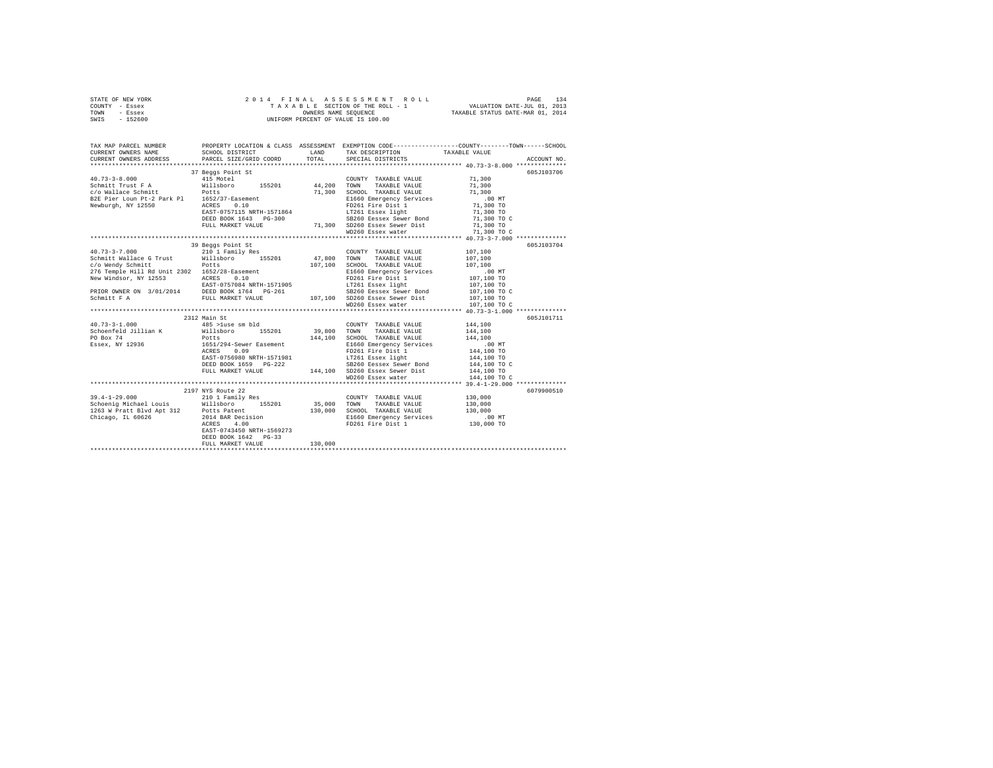| STATE OF NEW YORK | 2014 FINAL ASSESSMENT ROLL         | 134<br>PAGE                      |
|-------------------|------------------------------------|----------------------------------|
| COUNTY - Essex    | TAXABLE SECTION OF THE ROLL - 1    | VALUATION DATE-JUL 01, 2013      |
| TOWN<br>- Essex   | OWNERS NAME SEOUENCE               | TAXABLE STATUS DATE-MAR 01, 2014 |
| $-152600$<br>SWIS | UNIFORM PERCENT OF VALUE IS 100.00 |                                  |

|                                                                                                                                                                                                                                                           | 37 Beggs Point St                                                                                                                                                                                                              |         | 605J103706 |  |
|-----------------------------------------------------------------------------------------------------------------------------------------------------------------------------------------------------------------------------------------------------------|--------------------------------------------------------------------------------------------------------------------------------------------------------------------------------------------------------------------------------|---------|------------|--|
|                                                                                                                                                                                                                                                           |                                                                                                                                                                                                                                |         |            |  |
|                                                                                                                                                                                                                                                           |                                                                                                                                                                                                                                |         |            |  |
|                                                                                                                                                                                                                                                           |                                                                                                                                                                                                                                |         |            |  |
|                                                                                                                                                                                                                                                           |                                                                                                                                                                                                                                |         |            |  |
|                                                                                                                                                                                                                                                           |                                                                                                                                                                                                                                |         |            |  |
|                                                                                                                                                                                                                                                           |                                                                                                                                                                                                                                |         |            |  |
|                                                                                                                                                                                                                                                           |                                                                                                                                                                                                                                |         |            |  |
|                                                                                                                                                                                                                                                           |                                                                                                                                                                                                                                |         |            |  |
|                                                                                                                                                                                                                                                           |                                                                                                                                                                                                                                |         |            |  |
|                                                                                                                                                                                                                                                           |                                                                                                                                                                                                                                |         |            |  |
|                                                                                                                                                                                                                                                           |                                                                                                                                                                                                                                |         | 605J103704 |  |
|                                                                                                                                                                                                                                                           |                                                                                                                                                                                                                                |         |            |  |
|                                                                                                                                                                                                                                                           |                                                                                                                                                                                                                                |         |            |  |
|                                                                                                                                                                                                                                                           |                                                                                                                                                                                                                                |         |            |  |
|                                                                                                                                                                                                                                                           |                                                                                                                                                                                                                                |         |            |  |
|                                                                                                                                                                                                                                                           |                                                                                                                                                                                                                                |         |            |  |
|                                                                                                                                                                                                                                                           |                                                                                                                                                                                                                                |         |            |  |
|                                                                                                                                                                                                                                                           |                                                                                                                                                                                                                                |         |            |  |
|                                                                                                                                                                                                                                                           |                                                                                                                                                                                                                                |         |            |  |
|                                                                                                                                                                                                                                                           |                                                                                                                                                                                                                                |         |            |  |
| 39 Beggs Point St<br>47,800 TONNY TAXABLE VALUE 107,100<br>2017-11 Vallace G Trust Willshoro 155201 47,800 TONN TAXABLE VALUE 107,100<br>276 Temple Hill Rd Unit 2302 1652/28-Easement 107,100 SCHOOL TAXABLE VALUE 2002<br>276 Temple                    |                                                                                                                                                                                                                                |         |            |  |
|                                                                                                                                                                                                                                                           | 2312 Main St                                                                                                                                                                                                                   |         | 605J101711 |  |
| $\begin{array}{cccccccc} 40.73 - 3 - 1.000 & & & 485 & > \text{luse sm bld} & & & & \text{COUNTY TAXABLE VALUE} & & & 144,100 \\ & & & & 485 & > \text{luse sm bld} & & & & 39,800 & & \text{TOMN} & & \text{TAXABLE VALUE} & & & 144,100 \\ \end{array}$ |                                                                                                                                                                                                                                |         |            |  |
|                                                                                                                                                                                                                                                           |                                                                                                                                                                                                                                |         |            |  |
| PO Box 74<br>Essex, NY 12936                                                                                                                                                                                                                              |                                                                                                                                                                                                                                |         |            |  |
|                                                                                                                                                                                                                                                           |                                                                                                                                                                                                                                |         |            |  |
|                                                                                                                                                                                                                                                           |                                                                                                                                                                                                                                |         |            |  |
|                                                                                                                                                                                                                                                           |                                                                                                                                                                                                                                |         |            |  |
|                                                                                                                                                                                                                                                           |                                                                                                                                                                                                                                |         |            |  |
|                                                                                                                                                                                                                                                           |                                                                                                                                                                                                                                |         |            |  |
|                                                                                                                                                                                                                                                           | POLISOTOL 193201 144,100 SCHOOL TAXABLE VALUE 144,100 TOCL 1651/294-Sever Easement 144,100 SCHOOL TAXABLE VALUE 144,100 TO 1651/294-Sever Easement 146,100 SCHOOL TAXABLE VALUE 146,100 TO 1651/294-Sever Easement 1650 Emprop |         |            |  |
|                                                                                                                                                                                                                                                           |                                                                                                                                                                                                                                |         |            |  |
|                                                                                                                                                                                                                                                           | 2197 NYS Route 22                                                                                                                                                                                                              |         | 6079900510 |  |
|                                                                                                                                                                                                                                                           |                                                                                                                                                                                                                                |         |            |  |
|                                                                                                                                                                                                                                                           |                                                                                                                                                                                                                                |         |            |  |
|                                                                                                                                                                                                                                                           |                                                                                                                                                                                                                                |         |            |  |
|                                                                                                                                                                                                                                                           |                                                                                                                                                                                                                                |         |            |  |
| 19.4-1-29.000<br>Schoenig Michael Louis 210 1 Family Res COUNTY TAXABLE VALUE 130,000<br>Schoenig Michael Louis Willsboro 155201 35,000 TOWN TAXABLE VALUE 130,000<br>136,000 SCHOOL TAXABLE VALUE 130,000<br>Chicago, IL 60626 201 BA                    |                                                                                                                                                                                                                                |         |            |  |
|                                                                                                                                                                                                                                                           | EAST-0743450 NRTH-1569273                                                                                                                                                                                                      |         |            |  |
|                                                                                                                                                                                                                                                           | DEED BOOK 1642 PG-33<br>FULL MARKET VALUE                                                                                                                                                                                      |         |            |  |
|                                                                                                                                                                                                                                                           |                                                                                                                                                                                                                                | 130,000 |            |  |
|                                                                                                                                                                                                                                                           |                                                                                                                                                                                                                                |         |            |  |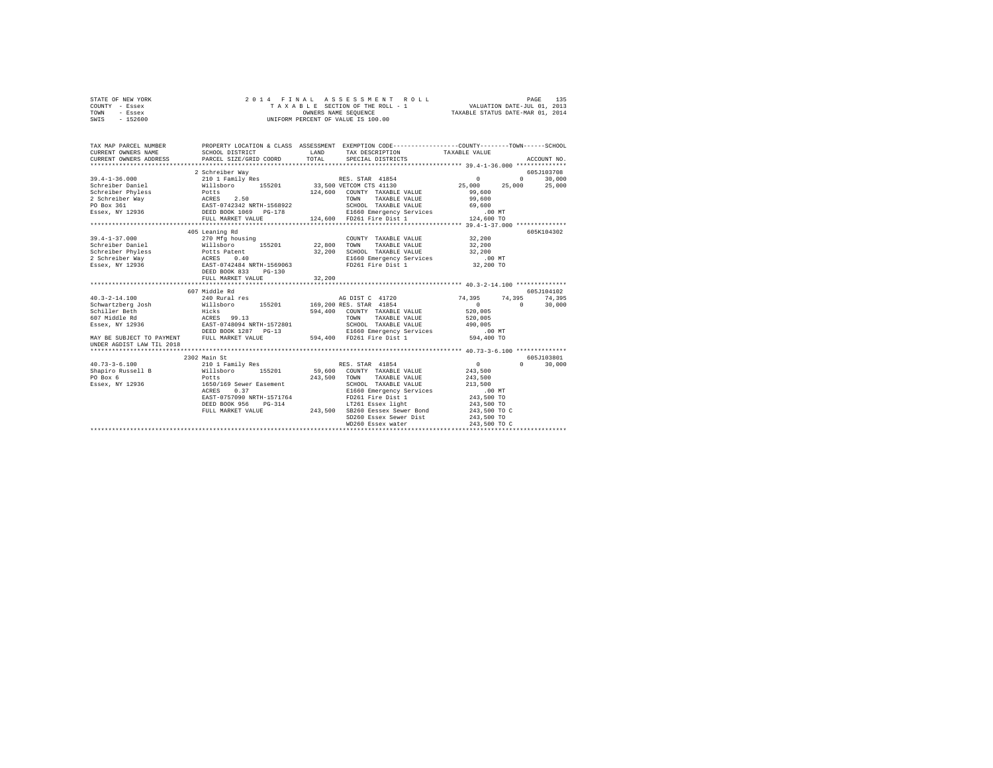| STATE OF NEW YORK | 2014 FINAL ASSESSMENT ROLL         | 135<br>PAGE                      |
|-------------------|------------------------------------|----------------------------------|
| COUNTY - Essex    | TAXABLE SECTION OF THE ROLL - 1    | VALUATION DATE-JUL 01, 2013      |
| TOWN<br>- Essex   | OWNERS NAME SEOUENCE               | TAXABLE STATUS DATE-MAR 01, 2014 |
| $-152600$<br>SWIS | UNIFORM PERCENT OF VALUE IS 100.00 |                                  |

| TAX MAP PARCEL NUMBER     |                                                                                                                                                                                                         | LAND<br>TAX DESCRIPTION TAXABLE VALUE<br>TOTAL SPECIAL DISTRICTS                                                                                                                                                                                                                                                                                                                                                                                                                                                                                    | PROPERTY LOCATION & CLASS ASSESSMENT EXEMPTION CODE----------------COUNTY-------TOWN-----SCHOOL<br>ACCOUNT NO. |
|---------------------------|---------------------------------------------------------------------------------------------------------------------------------------------------------------------------------------------------------|-----------------------------------------------------------------------------------------------------------------------------------------------------------------------------------------------------------------------------------------------------------------------------------------------------------------------------------------------------------------------------------------------------------------------------------------------------------------------------------------------------------------------------------------------------|----------------------------------------------------------------------------------------------------------------|
|                           | 2 Schreiber Way                                                                                                                                                                                         | Contractive During Policy (1990)<br>Scheen Barry 2,50 (2000)<br>2 124,600 COUNTY TAXABLE VALUE 99,600<br>2 2.50 TOWN TAXABLE VALUE 99,600<br>2 2.50 TORO TAXABLE VALUE 99,600<br>2 2000 DEED BOX 109 POLICY SCHOL TAXABLE VALUE 9,000<br>2                                                                                                                                                                                                                                                                                                          | 605J103708<br>$\sim$ 0 $\sim$ 0 $\sim$                                                                         |
|                           | 405 Leaning Rd<br>Schreiber Phyless and Potts Patent and 2,200<br>2 Schreiber Way ACRES 0.40<br>Essex, NY 12936 BASET-0742484 NRTH-1569063<br>ESSEX, NY 12936 BEED BOOK 833 PG-130<br>FULL MARKET VALUE | $\texttt{39.4-1-37.000}\quad \texttt{22.00}\quad \texttt{270 Mfg housing}\quad \texttt{CONTNY} \quad \texttt{TXABLE VALUE}\quad \texttt{32.200}\quad \texttt{22.800} \quad \texttt{TONNY} \quad \texttt{TXABLE VALUE}\quad \texttt{32.200}\quad \texttt{23.200}\quad \texttt{24.800} \quad \texttt{26.800} \quad \texttt{58.800} \quad \texttt{59.800} \quad \texttt{59.800} \quad \texttt{59.800} \quad \texttt{59.800} \quad \$<br>32,200 SCHOOL TAXABLE VALUE 32,200<br>E1660 Emergency Services .00 MT<br>FD261 Fire Dist 1 32,200 TO<br>32.200 | 605K104302                                                                                                     |
| UNDER AGDIST LAW TIL 2018 | 607 Middle Rd                                                                                                                                                                                           | $594,400$ COUNTY TAXABLE VALUE $520,005$<br>TOWN TAXABLE VALUE $520,005$<br>SCHOOL TAXABLE VALUE 490,005<br>E1660 Emergency Services .00 MT<br>MAY BE SUBJECT TO PAYMENT FULL MARKET VALUE 594,400 FD261 Fire Dist 1 594,400 TO                                                                                                                                                                                                                                                                                                                     | 605J104102<br>AG DIST C 41720 74,395 74,395 74,395<br>$\sim$ 0<br>$0 \t 30,000$<br>TAXABLE VALUE 520,005       |
|                           | 2302 Main St<br>ACRES 0.37                                                                                                                                                                              | WD260 Essex water                                                                                                                                                                                                                                                                                                                                                                                                                                                                                                                                   | 605J103801<br>$\sim$ 0<br>$0 \qquad \qquad$<br>30,000<br>243.500<br>243,500 TO C                               |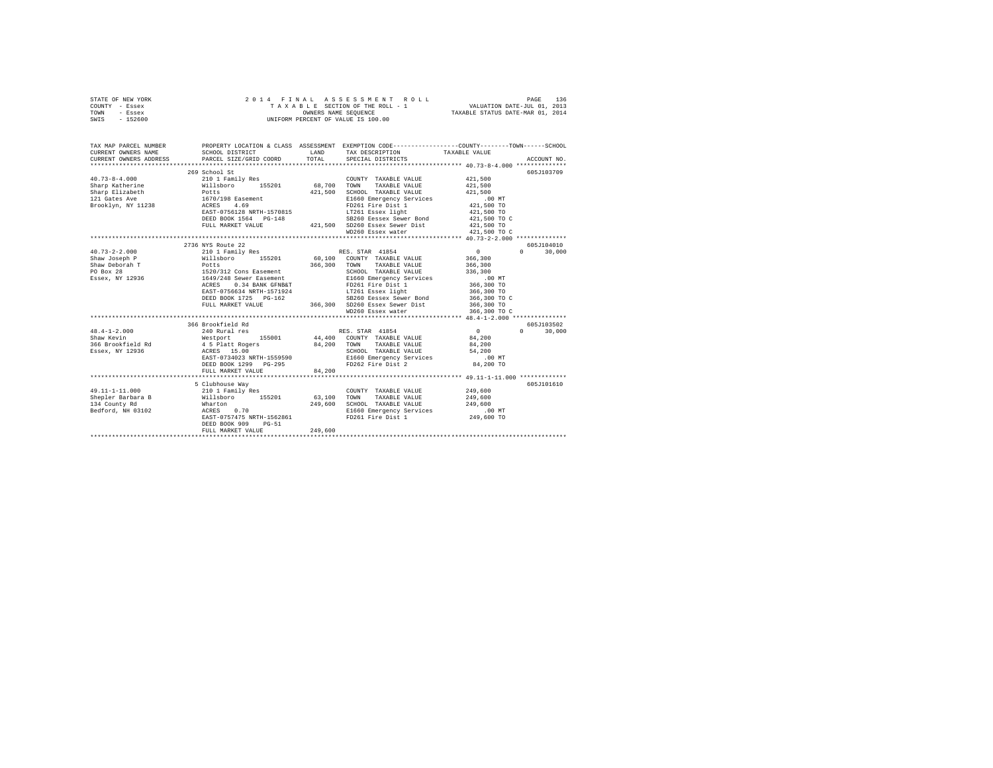|      | STATE OF NEW YORK |  |  | 2014 FINAL ASSESSMENT ROLL         | PAGE                             | 136 |
|------|-------------------|--|--|------------------------------------|----------------------------------|-----|
|      | COUNTY - Essex    |  |  | TAXABLE SECTION OF THE ROLL - 1    | VALUATION DATE-JUL 01, 2013      |     |
| TOWN | - Essex           |  |  | OWNERS NAME SEOUENCE               | TAXABLE STATUS DATE-MAR 01, 2014 |     |
| SWIS | - 152600          |  |  | UNIFORM PERCENT OF VALUE IS 100.00 |                                  |     |

| TAX MAP PARCEL NUMBER                                                                                                                                                                                                                     |                           |         | PROPERTY LOCATION & CLASS ASSESSMENT EXEMPTION CODE----------------COUNTY-------TOWN-----SCHOOL                                                                                                                                        |                                                                                                                                                                                                                                                                                               |                                 |
|-------------------------------------------------------------------------------------------------------------------------------------------------------------------------------------------------------------------------------------------|---------------------------|---------|----------------------------------------------------------------------------------------------------------------------------------------------------------------------------------------------------------------------------------------|-----------------------------------------------------------------------------------------------------------------------------------------------------------------------------------------------------------------------------------------------------------------------------------------------|---------------------------------|
|                                                                                                                                                                                                                                           |                           |         |                                                                                                                                                                                                                                        |                                                                                                                                                                                                                                                                                               |                                 |
|                                                                                                                                                                                                                                           | 269 School St             |         |                                                                                                                                                                                                                                        |                                                                                                                                                                                                                                                                                               | 605J103709                      |
| 40.73-8-4.000 210 1 Family Res                                                                                                                                                                                                            |                           |         | COUNTY TAXABLE VALUE 421,500                                                                                                                                                                                                           |                                                                                                                                                                                                                                                                                               |                                 |
| Chrys (and the milliplorary of the milliplorary 15201 68,700 TOWN<br>Sharp Katherine Milliplorary 15201 68,700 TOWN<br>21 Gates Ave 1670/198 Easement 421,500 SCHOO<br>Brooklyn, NY 11238 ACRES 4.69<br>Brooklyn, NY 11238 ACRES 4.69<br> |                           |         | TAXABLE VALUE                                                                                                                                                                                                                          | 421,500                                                                                                                                                                                                                                                                                       |                                 |
|                                                                                                                                                                                                                                           |                           |         | SCHOOL TAXABLE VALUE                                                                                                                                                                                                                   | 421,500                                                                                                                                                                                                                                                                                       |                                 |
|                                                                                                                                                                                                                                           |                           |         | CONCORRESIDED AND ELECTRICITY SETTICES<br>FILE OF EXECUTIVE SETTICES<br>FILE OF THE DIST 1 421,500 TO                                                                                                                                  |                                                                                                                                                                                                                                                                                               |                                 |
|                                                                                                                                                                                                                                           |                           |         | FD261 Fire Dist 1<br>LT261 Essex light                                                                                                                                                                                                 |                                                                                                                                                                                                                                                                                               |                                 |
|                                                                                                                                                                                                                                           |                           |         |                                                                                                                                                                                                                                        | 421,500 TO                                                                                                                                                                                                                                                                                    |                                 |
|                                                                                                                                                                                                                                           |                           |         |                                                                                                                                                                                                                                        |                                                                                                                                                                                                                                                                                               |                                 |
|                                                                                                                                                                                                                                           |                           |         |                                                                                                                                                                                                                                        |                                                                                                                                                                                                                                                                                               |                                 |
|                                                                                                                                                                                                                                           |                           |         | EAST-0756128 NRTH-1570813<br>DEED BOOK 1564 PG-148 SB260 Eessex Sewer Dist 421,500 TO C<br>FULL MARKET VALUE 421,500 SD260 Essex water Dist 421,500 TO C<br>MD260 Essex water New 401,500 TO C<br>WD260 Essex water New ALUE 40,73-2-2 |                                                                                                                                                                                                                                                                                               |                                 |
|                                                                                                                                                                                                                                           |                           |         |                                                                                                                                                                                                                                        |                                                                                                                                                                                                                                                                                               |                                 |
|                                                                                                                                                                                                                                           | 2736 NYS Route 22         |         |                                                                                                                                                                                                                                        |                                                                                                                                                                                                                                                                                               | 605J104010                      |
| $40.73 - 2 - 2.000$                                                                                                                                                                                                                       |                           |         | 210 1 Family Res 60 RES. STAR 41854                                                                                                                                                                                                    | $\sim$ 0                                                                                                                                                                                                                                                                                      | $\mathbf{r}$<br>30,000          |
| Shaw Joseph P 366,300 Willsboro 155201 60,100 COUNTY TAXABLE VALUE 366,300                                                                                                                                                                |                           |         |                                                                                                                                                                                                                                        |                                                                                                                                                                                                                                                                                               |                                 |
|                                                                                                                                                                                                                                           |                           |         |                                                                                                                                                                                                                                        |                                                                                                                                                                                                                                                                                               |                                 |
| CHE CONTROLLER POLICE SERVICE PRODUCED AND DESCRIPTION OF PROPERTY AND POLICE SERVICE SERVICE SERVICE SERVICE<br>TO Box 28 (1997) 1998 (1997) 1999 (1998) 1999 (1998) 1999 (1999) 1999 (1999) 1999 (1999) 1999 (1999) 1999 (1999)         |                           |         |                                                                                                                                                                                                                                        |                                                                                                                                                                                                                                                                                               |                                 |
|                                                                                                                                                                                                                                           |                           |         |                                                                                                                                                                                                                                        |                                                                                                                                                                                                                                                                                               |                                 |
|                                                                                                                                                                                                                                           |                           |         |                                                                                                                                                                                                                                        |                                                                                                                                                                                                                                                                                               |                                 |
|                                                                                                                                                                                                                                           |                           |         |                                                                                                                                                                                                                                        |                                                                                                                                                                                                                                                                                               |                                 |
|                                                                                                                                                                                                                                           |                           |         |                                                                                                                                                                                                                                        |                                                                                                                                                                                                                                                                                               |                                 |
|                                                                                                                                                                                                                                           |                           |         |                                                                                                                                                                                                                                        |                                                                                                                                                                                                                                                                                               |                                 |
|                                                                                                                                                                                                                                           |                           |         |                                                                                                                                                                                                                                        |                                                                                                                                                                                                                                                                                               |                                 |
|                                                                                                                                                                                                                                           |                           |         |                                                                                                                                                                                                                                        |                                                                                                                                                                                                                                                                                               |                                 |
|                                                                                                                                                                                                                                           | 366 Brookfield Rd         |         |                                                                                                                                                                                                                                        |                                                                                                                                                                                                                                                                                               | 605J103502                      |
| $48.4 - 1 - 2.000$                                                                                                                                                                                                                        | 240 Rural res             |         | RES. STAR 41854                                                                                                                                                                                                                        | $\sim$ 0 $\sim$ 0 $\sim$ 0 $\sim$ 0 $\sim$ 0 $\sim$ 0 $\sim$ 0 $\sim$ 0 $\sim$ 0 $\sim$ 0 $\sim$ 0 $\sim$ 0 $\sim$ 0 $\sim$ 0 $\sim$ 0 $\sim$ 0 $\sim$ 0 $\sim$ 0 $\sim$ 0 $\sim$ 0 $\sim$ 0 $\sim$ 0 $\sim$ 0 $\sim$ 0 $\sim$ 0 $\sim$ 0 $\sim$ 0 $\sim$ 0 $\sim$ 0 $\sim$ 0 $\sim$ 0 $\sim$ | $\Omega$ and $\Omega$<br>30,000 |
|                                                                                                                                                                                                                                           |                           |         |                                                                                                                                                                                                                                        |                                                                                                                                                                                                                                                                                               |                                 |
|                                                                                                                                                                                                                                           |                           |         |                                                                                                                                                                                                                                        |                                                                                                                                                                                                                                                                                               |                                 |
|                                                                                                                                                                                                                                           |                           |         |                                                                                                                                                                                                                                        |                                                                                                                                                                                                                                                                                               |                                 |
|                                                                                                                                                                                                                                           |                           |         | EAST-0734023 NRTH-1559590 E1660 Emergency Services .00 MT<br>DEED BOOK 1299 PG-295 FD262 Fire Dist 2 84,200 TO                                                                                                                         |                                                                                                                                                                                                                                                                                               |                                 |
|                                                                                                                                                                                                                                           |                           |         |                                                                                                                                                                                                                                        |                                                                                                                                                                                                                                                                                               |                                 |
|                                                                                                                                                                                                                                           | FULL MARKET VALUE         | 84,200  |                                                                                                                                                                                                                                        |                                                                                                                                                                                                                                                                                               |                                 |
|                                                                                                                                                                                                                                           |                           |         |                                                                                                                                                                                                                                        |                                                                                                                                                                                                                                                                                               |                                 |
|                                                                                                                                                                                                                                           | 5 Clubhouse Way           |         |                                                                                                                                                                                                                                        |                                                                                                                                                                                                                                                                                               | 605J101610                      |
| 49.11-1-11.000 210 1 Family Res                                                                                                                                                                                                           |                           |         | COUNTY TAXABLE VALUE 249,600                                                                                                                                                                                                           |                                                                                                                                                                                                                                                                                               |                                 |
|                                                                                                                                                                                                                                           |                           |         |                                                                                                                                                                                                                                        |                                                                                                                                                                                                                                                                                               |                                 |
|                                                                                                                                                                                                                                           |                           |         |                                                                                                                                                                                                                                        |                                                                                                                                                                                                                                                                                               |                                 |
|                                                                                                                                                                                                                                           |                           |         | E1660 Emergency Services .00 MT                                                                                                                                                                                                        |                                                                                                                                                                                                                                                                                               |                                 |
|                                                                                                                                                                                                                                           | EAST-0757475 NRTH-1562861 |         | FD261 Fire Dist 1 249,600 TO                                                                                                                                                                                                           |                                                                                                                                                                                                                                                                                               |                                 |
|                                                                                                                                                                                                                                           | DEED BOOK 909<br>$PG-51$  |         |                                                                                                                                                                                                                                        |                                                                                                                                                                                                                                                                                               |                                 |
|                                                                                                                                                                                                                                           | FULL MARKET VALUE         | 249,600 |                                                                                                                                                                                                                                        |                                                                                                                                                                                                                                                                                               |                                 |
|                                                                                                                                                                                                                                           |                           |         |                                                                                                                                                                                                                                        |                                                                                                                                                                                                                                                                                               |                                 |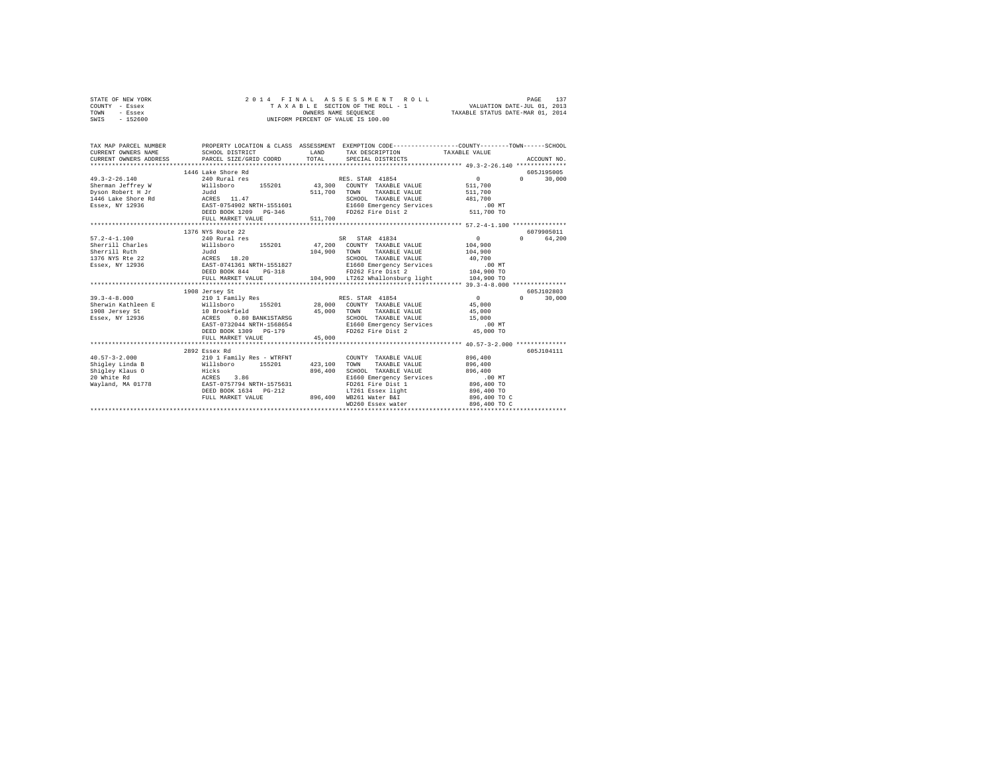| STATE OF NEW YORK | 2014 FINAL ASSESSMENT ROLL         | PAGE                             |
|-------------------|------------------------------------|----------------------------------|
| COUNTY - Essex    | TAXABLE SECTION OF THE ROLL - 1    | VALUATION DATE-JUL 01, 2013      |
| TOWN<br>- Essex   | OWNERS NAME SEOUENCE               | TAXABLE STATUS DATE-MAR 01, 2014 |
| $-152600$<br>SWIS | UNIFORM PERCENT OF VALUE IS 100.00 |                                  |

| TAX MAP PARCEL NUMBER<br>CURRENT OWNERS NAME                                                    | SCHOOL DISTRICT<br>CURRENT OWNERS ADDRESS PARCEL SIZE/GRID COORD TOTAL                                                                                                | LAND               | TAX DESCRIPTION TAXABLE VALUE<br>SPECIAL DISTRICTS                                                                                                                                                                                | PROPERTY LOCATION & CLASS ASSESSMENT EXEMPTION CODE----------------COUNTY-------TOWN-----SCHOOL<br>ACCOUNT NO. |  |
|-------------------------------------------------------------------------------------------------|-----------------------------------------------------------------------------------------------------------------------------------------------------------------------|--------------------|-----------------------------------------------------------------------------------------------------------------------------------------------------------------------------------------------------------------------------------|----------------------------------------------------------------------------------------------------------------|--|
| $49.3 - 2 - 26.140$                                                                             | 1446 Lake Shore Rd<br>240 Rural res<br>Sherman Jeffrey W 6111sboro 155201 43,300 COUNTY TAXABLE VALUE 511,700<br>DEED BOOK 1209 PG-346<br>FULL MARKET VALUE           | 511,700            | RES. STAR 41854<br>511,700 TOWN TAXABLE VALUE 511,700<br>SCHOOL TAXABLE VALUE<br>E1660 Emergency Services .00 MT<br>FD262 Fire Dist 2 511,700 TO                                                                                  | 605J195005<br>$\sim$ 0 $\sim$ 0<br>30,000<br>$\Omega$<br>481,700                                               |  |
|                                                                                                 | 1376 NYS Route 22                                                                                                                                                     |                    |                                                                                                                                                                                                                                   | 6079905011                                                                                                     |  |
| $57.2 - 4 - 1.100$<br>Sherrill Ruth<br>1376 NYS Rte 22<br>Essex, NY 12936<br>$39.3 - 4 - 8.000$ | 240 Rural res<br>Judd<br>ACRES 18.20<br>EAST-0741361 NRTH-1551827<br>DEED BOOK 844 PG-318<br>FULL MARKET VALUE<br>1908 Jersey St<br>210 1 Family Res                  |                    | SR STAR 41834<br>104.900 TOWN TAXABLE VALUE 104.900<br>SCHOOL TAXABLE VALUE 40.700<br>E1660 Emergency Services 100 MT<br>FD262 Fire Dist 2 104,900 TO<br>FD262 Fire Dist 2<br>104,900 LT262 Whallonsburg light<br>RES. STAR 41854 | $\sim$ 0<br>0 64.200<br>104,900<br>104,900 TO<br>605J102803<br>$\sim$ 0<br>30,000<br>$\Omega$                  |  |
|                                                                                                 | EAST-0732044 NRTH-1568654<br>DEED BOOK 1309 PG-179<br>FULL MARKET VALUE                                                                                               | 45,000             | SCHOOL TAXABLE VALUE 15,000<br>E1660 Emergency Services .00 MT<br>FD262 Fire Dist 2                                                                                                                                               | 45,000<br>45,000<br>45,000 TO                                                                                  |  |
|                                                                                                 | 2892 Essex Rd                                                                                                                                                         |                    |                                                                                                                                                                                                                                   | 605J104111                                                                                                     |  |
| Shigley Linda B<br>Shigley Klaus O<br>20 White Rd<br>Wayland, MA 01778                          | 40.57-3-2.000 210 1 Family Res - WTRFNT<br>Willsboro 155201 423,100<br>Hicks<br>ACRES 3.86<br>BAST-0757794 NRTH-1575631<br>DEED BOOK 1634 PG-212<br>FULL MARKET VALUE | 896,400<br>896,400 | COUNTY TAXABLE VALUE<br>TOWN<br>TAXABLE VALUE<br>SCHOOL TAXABLE VALUE<br>E1660 Emergency Services<br>FD261 Fire Dist 1<br>LT261 Essex light<br>WB261 Water B&I<br>WD260 Essex water                                               | 896,400<br>896,400<br>896,400<br>$.00$ MT<br>$896,400$ TO<br>896,400 TO<br>896,400 TO C<br>896,400 TO C        |  |
|                                                                                                 |                                                                                                                                                                       |                    |                                                                                                                                                                                                                                   |                                                                                                                |  |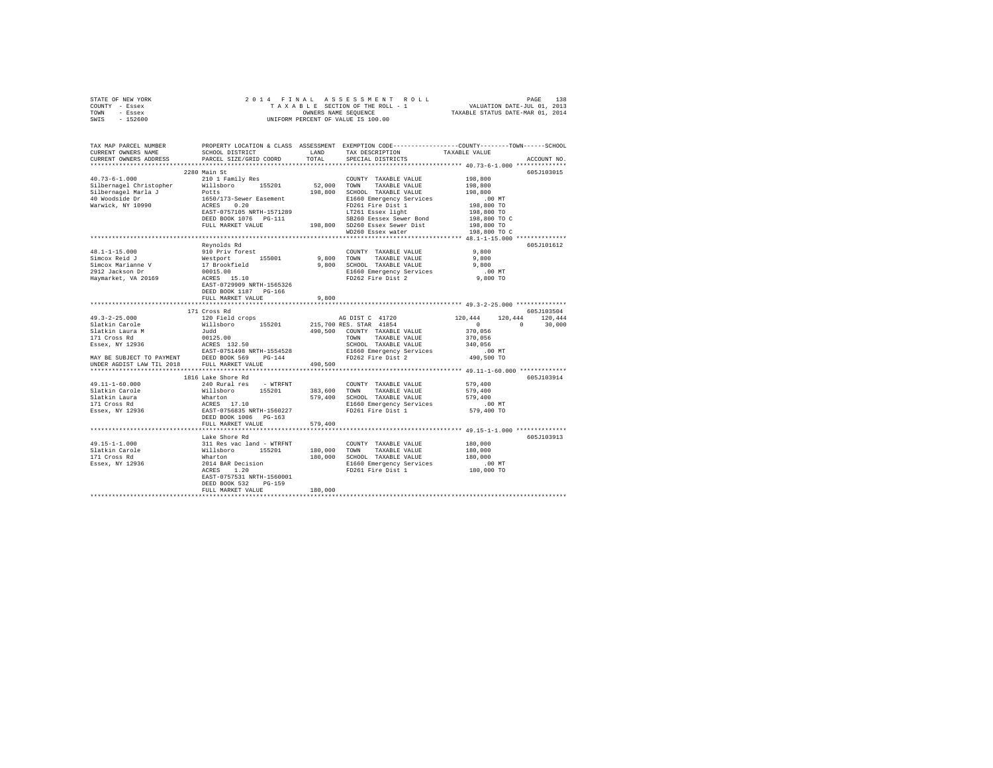| STATE OF NEW YORK | 2014 FINAL ASSESSMENT ROLL         | 138<br>PAGE                      |
|-------------------|------------------------------------|----------------------------------|
| COUNTY - Essex    | TAXABLE SECTION OF THE ROLL - 1    | VALUATION DATE-JUL 01, 2013      |
| TOWN<br>- Essex   | OWNERS NAME SEOUENCE               | TAXABLE STATUS DATE-MAR 01, 2014 |
| $-152600$<br>SWIS | UNIFORM PERCENT OF VALUE IS 100.00 |                                  |

| TAX MAP PARCEL NUMBER<br>CURRENT OWNERS NAME                                                                                                                                                                                                                                                                                                                                                                                                                         | SCHOOL DISTRICT                                                                                                                  | LAND        | PROPERTY LOCATION & CLASS ASSESSMENT EXEMPTION CODE---------------COUNTY-------TOWN-----SCHOOL<br>TAX DESCRIPTION                                    | TAXABLE VALUE                                       |             |
|----------------------------------------------------------------------------------------------------------------------------------------------------------------------------------------------------------------------------------------------------------------------------------------------------------------------------------------------------------------------------------------------------------------------------------------------------------------------|----------------------------------------------------------------------------------------------------------------------------------|-------------|------------------------------------------------------------------------------------------------------------------------------------------------------|-----------------------------------------------------|-------------|
| CURRENT OWNERS ADDRESS<br>*********************                                                                                                                                                                                                                                                                                                                                                                                                                      | PARCEL SIZE/GRID COORD<br>***************************                                                                            | TOTAL       | SPECIAL DISTRICTS                                                                                                                                    |                                                     | ACCOUNT NO. |
|                                                                                                                                                                                                                                                                                                                                                                                                                                                                      | 2280 Main St                                                                                                                     |             |                                                                                                                                                      |                                                     |             |
|                                                                                                                                                                                                                                                                                                                                                                                                                                                                      |                                                                                                                                  |             |                                                                                                                                                      |                                                     | 605J103015  |
| $40.73 - 6 - 1.000$                                                                                                                                                                                                                                                                                                                                                                                                                                                  | 210 1 Family Res                                                                                                                 | 52,000 TOWN | COUNTY TAXABLE VALUE                                                                                                                                 | 198,800                                             |             |
|                                                                                                                                                                                                                                                                                                                                                                                                                                                                      |                                                                                                                                  |             | TAXABLE VALUE                                                                                                                                        | 198,800                                             |             |
|                                                                                                                                                                                                                                                                                                                                                                                                                                                                      |                                                                                                                                  |             | 198,800 SCHOOL TAXABLE VALUE                                                                                                                         | 198,800                                             |             |
|                                                                                                                                                                                                                                                                                                                                                                                                                                                                      |                                                                                                                                  |             | E1660 Emergency Services                                                                                                                             | 00 MT.<br>198,800 TO<br>198,800 TO                  |             |
|                                                                                                                                                                                                                                                                                                                                                                                                                                                                      |                                                                                                                                  |             | FD261 Fire Dist 1                                                                                                                                    |                                                     |             |
|                                                                                                                                                                                                                                                                                                                                                                                                                                                                      |                                                                                                                                  |             | LT261 Essex light                                                                                                                                    |                                                     |             |
|                                                                                                                                                                                                                                                                                                                                                                                                                                                                      |                                                                                                                                  |             | SB260 Eessex Sewer Bond<br>SB260 Eessex Sewer Bond<br>SD260 Essex Sewer Dist 198,800 TO<br>SB260 Eessex Sewer Bond<br>198,800 SD260 Essex Sewer Dist |                                                     |             |
|                                                                                                                                                                                                                                                                                                                                                                                                                                                                      | FULL MARKET VALUE                                                                                                                |             |                                                                                                                                                      |                                                     |             |
|                                                                                                                                                                                                                                                                                                                                                                                                                                                                      |                                                                                                                                  |             | WD260 Essex water                                                                                                                                    | 198,800 TO C                                        |             |
|                                                                                                                                                                                                                                                                                                                                                                                                                                                                      |                                                                                                                                  |             |                                                                                                                                                      |                                                     |             |
|                                                                                                                                                                                                                                                                                                                                                                                                                                                                      | Reynolds Rd                                                                                                                      |             |                                                                                                                                                      |                                                     | 605J101612  |
| $48.1 - 1 - 15.000$                                                                                                                                                                                                                                                                                                                                                                                                                                                  |                                                                                                                                  |             | COUNTY TAXABLE VALUE                                                                                                                                 | 9,800                                               |             |
| Simcox Reid J                                                                                                                                                                                                                                                                                                                                                                                                                                                        |                                                                                                                                  |             | 9,800 TOWN TAXABLE VALUE                                                                                                                             | 9,800                                               |             |
| Simcox Marianne V<br>2912 Jackson Dr                                                                                                                                                                                                                                                                                                                                                                                                                                 |                                                                                                                                  |             | 9,800 SCHOOL TAXABLE VALUE                                                                                                                           | 9,800                                               |             |
|                                                                                                                                                                                                                                                                                                                                                                                                                                                                      |                                                                                                                                  |             | E1660 Emergency Services                                                                                                                             |                                                     |             |
| Haymarket, VA 20169                                                                                                                                                                                                                                                                                                                                                                                                                                                  | A: J. D. D. The State Corporation of Marsher<br>155001<br>17 Brookfield<br>100015.00<br>ACRES 15.10<br>EAST-0729909 NRTH-1565326 |             | FD262 Fire Dist 2                                                                                                                                    | 00 MT.<br>9,800 TO                                  |             |
|                                                                                                                                                                                                                                                                                                                                                                                                                                                                      |                                                                                                                                  |             |                                                                                                                                                      |                                                     |             |
|                                                                                                                                                                                                                                                                                                                                                                                                                                                                      | DEED BOOK 1187 PG-166                                                                                                            |             |                                                                                                                                                      |                                                     |             |
|                                                                                                                                                                                                                                                                                                                                                                                                                                                                      | FULL MARKET VALUE                                                                                                                | 9,800       |                                                                                                                                                      |                                                     |             |
|                                                                                                                                                                                                                                                                                                                                                                                                                                                                      | **************************                                                                                                       |             |                                                                                                                                                      | ********************* 49.3-2-25.000 *************** |             |
|                                                                                                                                                                                                                                                                                                                                                                                                                                                                      | 171 Cross Rd                                                                                                                     |             |                                                                                                                                                      |                                                     | 605J103504  |
| $49.3 - 2 - 25.000$                                                                                                                                                                                                                                                                                                                                                                                                                                                  | 120 Field crops                                                                                                                  |             | AG DIST C 41720                                                                                                                                      | 120,444 120,444 120,444                             |             |
| Slatkin Carole                                                                                                                                                                                                                                                                                                                                                                                                                                                       |                                                                                                                                  |             |                                                                                                                                                      | $\begin{array}{cccccccc}\n0 & & & & 0\n\end{array}$ | 30,000      |
| Slatkin Laura M<br>171 Cross Rd<br>Essex, NY 12936                                                                                                                                                                                                                                                                                                                                                                                                                   |                                                                                                                                  |             |                                                                                                                                                      | 370,056                                             |             |
|                                                                                                                                                                                                                                                                                                                                                                                                                                                                      | Judd<br>00125.00<br>ACRES 132.50<br>EAST-0751498 NRTH-1554528                                                                    |             | TOWN<br>TAXABLE VALUE                                                                                                                                | 370,056                                             |             |
|                                                                                                                                                                                                                                                                                                                                                                                                                                                                      |                                                                                                                                  |             | SCHOOL TAXABLE VALUE                                                                                                                                 | 340,056                                             |             |
|                                                                                                                                                                                                                                                                                                                                                                                                                                                                      |                                                                                                                                  |             |                                                                                                                                                      |                                                     |             |
|                                                                                                                                                                                                                                                                                                                                                                                                                                                                      |                                                                                                                                  |             | E1660 Emergency Services .00 MT<br>FD262 Fire Dist 2 490,500 TO                                                                                      |                                                     |             |
| MAY BE SUBJECT TO PAYMENT DEED BOOK 569 PG-144<br>UNDER AGDIST LAW TIL 2018 FULL MARKET VALUE                                                                                                                                                                                                                                                                                                                                                                        |                                                                                                                                  | 490,500     |                                                                                                                                                      |                                                     |             |
|                                                                                                                                                                                                                                                                                                                                                                                                                                                                      |                                                                                                                                  |             |                                                                                                                                                      |                                                     |             |
|                                                                                                                                                                                                                                                                                                                                                                                                                                                                      | 1816 Lake Shore Rd                                                                                                               |             |                                                                                                                                                      |                                                     | 605J103914  |
| 49.11-1-60.000                                                                                                                                                                                                                                                                                                                                                                                                                                                       | 240 Rural res - WTRFNT                                                                                                           |             | COUNTY TAXABLE VALUE                                                                                                                                 | 579,400                                             |             |
|                                                                                                                                                                                                                                                                                                                                                                                                                                                                      |                                                                                                                                  |             |                                                                                                                                                      |                                                     |             |
|                                                                                                                                                                                                                                                                                                                                                                                                                                                                      |                                                                                                                                  |             |                                                                                                                                                      | 579,400<br>579,400                                  |             |
|                                                                                                                                                                                                                                                                                                                                                                                                                                                                      |                                                                                                                                  |             | 383,600 TOWN TAXABLE VALUE<br>579,400 SCHOOL TAXABLE VALUE<br>E1660 Emergency Services                                                               |                                                     |             |
| $\begin{tabular}{lcccc} S1akkin Carole & & & & & & & & & \\ S1akkin Carole & & & & & & & & & & \\ S2A:kin Laura & & & & & & & & & & \\ S3A:kin Laura & & & & & & & & & & \\ S1A:Choss Rd & & & & & & & & & & \\ S2A:KBS & & & & & & & & & & \\ IS1A:Cross Rd & & & & & & & & & & \\ AS1A:Crass & & & & & & & & & & \\ IS1A:Crass & & & & & & & & & & \\ IS1A:Crass & & & & & & & & & & \\ ES2A:Choss & & & & & & & & & & \\ ES2A:Choss & & & & & & & & & & \\ ES2A:$ |                                                                                                                                  |             |                                                                                                                                                      | $.00$ MT<br>579,400 TO                              |             |
|                                                                                                                                                                                                                                                                                                                                                                                                                                                                      |                                                                                                                                  |             |                                                                                                                                                      |                                                     |             |
|                                                                                                                                                                                                                                                                                                                                                                                                                                                                      | DEED BOOK 1006 PG-163                                                                                                            |             |                                                                                                                                                      |                                                     |             |
|                                                                                                                                                                                                                                                                                                                                                                                                                                                                      | FULL MARKET VALUE                                                                                                                | 579,400     |                                                                                                                                                      |                                                     |             |
|                                                                                                                                                                                                                                                                                                                                                                                                                                                                      |                                                                                                                                  |             |                                                                                                                                                      |                                                     |             |
|                                                                                                                                                                                                                                                                                                                                                                                                                                                                      | Lake Shore Rd                                                                                                                    |             |                                                                                                                                                      |                                                     | 605J103913  |
|                                                                                                                                                                                                                                                                                                                                                                                                                                                                      |                                                                                                                                  |             | COUNTY TAXABLE VALUE                                                                                                                                 | 180,000                                             |             |
|                                                                                                                                                                                                                                                                                                                                                                                                                                                                      |                                                                                                                                  |             | 180,000 TOWN TAXABLE VALUE                                                                                                                           | 180,000                                             |             |
|                                                                                                                                                                                                                                                                                                                                                                                                                                                                      |                                                                                                                                  |             | 180,000 SCHOOL TAXABLE VALUE                                                                                                                         | 180,000                                             |             |
| 49.15-1-1.000 and MTRFNT<br>Slackin Carole (Millaboro 155201)<br>171 Cross Rd (Millaboro 155201)<br>171 Cross Rd (Marton 2014 Bars pecision<br>2014 Basex, NY 12936 2014 BARs pecision                                                                                                                                                                                                                                                                               |                                                                                                                                  |             | E1660 Emergency Services                                                                                                                             | $180,000$ TO                                        |             |
|                                                                                                                                                                                                                                                                                                                                                                                                                                                                      |                                                                                                                                  |             | FD261 Fire Dist 1                                                                                                                                    |                                                     |             |
|                                                                                                                                                                                                                                                                                                                                                                                                                                                                      | EAST-0757531 NRTH-1560001                                                                                                        |             |                                                                                                                                                      |                                                     |             |
|                                                                                                                                                                                                                                                                                                                                                                                                                                                                      | DEED BOOK 532<br>PG-159                                                                                                          |             |                                                                                                                                                      |                                                     |             |
|                                                                                                                                                                                                                                                                                                                                                                                                                                                                      | FULL MARKET VALUE                                                                                                                | 180,000     |                                                                                                                                                      |                                                     |             |
|                                                                                                                                                                                                                                                                                                                                                                                                                                                                      |                                                                                                                                  |             |                                                                                                                                                      |                                                     |             |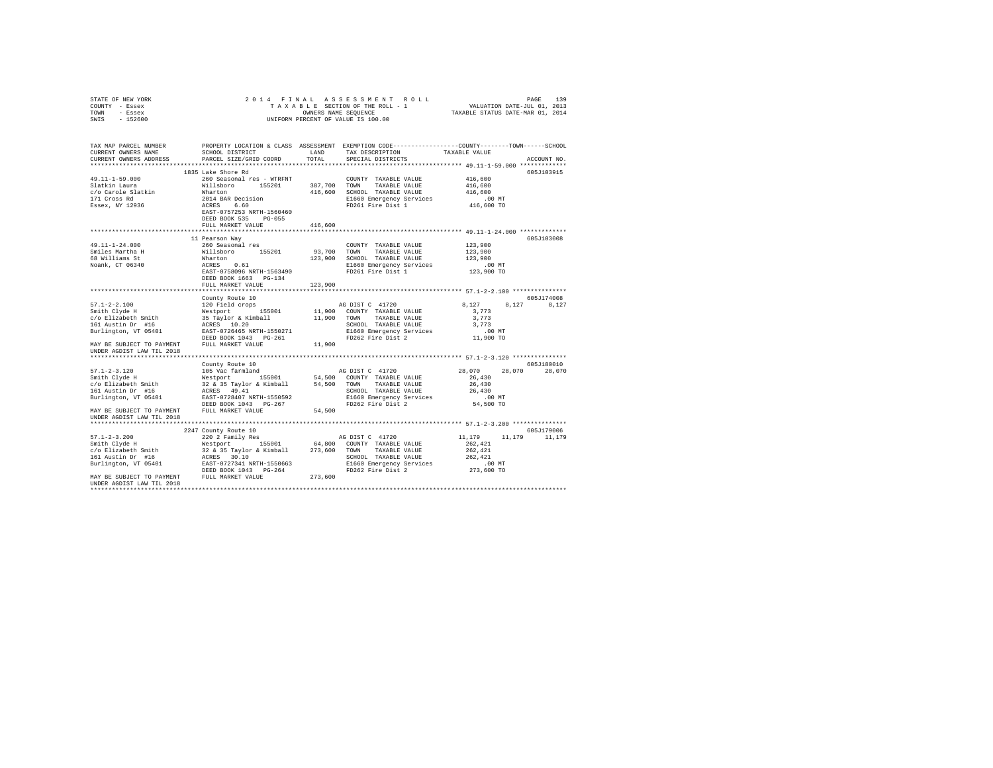| STATE OF NEW YORK                                                                                                     |                                                                                                                    |         |                                                            |                      |
|-----------------------------------------------------------------------------------------------------------------------|--------------------------------------------------------------------------------------------------------------------|---------|------------------------------------------------------------|----------------------|
| COUNTY - Essex                                                                                                        |                                                                                                                    |         |                                                            |                      |
| TOWN - Essex                                                                                                          |                                                                                                                    |         | OWNERS NAME SEQUENCE<br>UNIFORM PERCENT OF VALUE IS 100.00 |                      |
| SWIS - 152600                                                                                                         |                                                                                                                    |         |                                                            |                      |
|                                                                                                                       |                                                                                                                    |         |                                                            |                      |
| TAX MAP PARCEL NUMBER PROPERTY LOCATION & CLASS ASSESSMENT EXEMPTION CODE----------------COUNTY-------TOWN-----SCHOOL |                                                                                                                    |         |                                                            |                      |
| CURRENT OWNERS NAME                                                                                                   | SCHOOL DISTRICT LAND TAX DESCRIPTION TAXABLE VALUE<br>PARCEL SIZE/GRID COORD TOTAL SPECIAL DISTRICTS TAXABLE VALUE |         |                                                            |                      |
| CURRENT OWNERS ADDRESS                                                                                                |                                                                                                                    |         |                                                            | ACCOUNT NO.          |
|                                                                                                                       |                                                                                                                    |         |                                                            |                      |
|                                                                                                                       |                                                                                                                    |         |                                                            | 605J103915           |
|                                                                                                                       |                                                                                                                    |         |                                                            |                      |
|                                                                                                                       |                                                                                                                    |         |                                                            |                      |
|                                                                                                                       |                                                                                                                    |         |                                                            |                      |
|                                                                                                                       |                                                                                                                    |         |                                                            |                      |
|                                                                                                                       |                                                                                                                    |         |                                                            |                      |
|                                                                                                                       |                                                                                                                    |         |                                                            |                      |
|                                                                                                                       |                                                                                                                    |         |                                                            |                      |
|                                                                                                                       | FULL MARKET VALUE                                                                                                  | 416,600 |                                                            |                      |
|                                                                                                                       |                                                                                                                    |         |                                                            |                      |
|                                                                                                                       | 11 Pearson Wav                                                                                                     |         |                                                            | 605J103008           |
|                                                                                                                       |                                                                                                                    |         |                                                            |                      |
|                                                                                                                       |                                                                                                                    |         |                                                            |                      |
|                                                                                                                       |                                                                                                                    |         |                                                            |                      |
|                                                                                                                       |                                                                                                                    |         |                                                            |                      |
|                                                                                                                       |                                                                                                                    |         |                                                            |                      |
|                                                                                                                       |                                                                                                                    |         |                                                            |                      |
|                                                                                                                       | DEED BOOK 1663 PG-134                                                                                              |         |                                                            |                      |
|                                                                                                                       | FULL MARKET VALUE                                                                                                  | 123,900 |                                                            |                      |
|                                                                                                                       |                                                                                                                    |         |                                                            |                      |
|                                                                                                                       | County Route 10                                                                                                    |         |                                                            | 605J174008           |
|                                                                                                                       |                                                                                                                    |         | AG DIST C 41720 8,127 8,127 8,127                          |                      |
|                                                                                                                       |                                                                                                                    |         |                                                            |                      |
|                                                                                                                       |                                                                                                                    |         |                                                            |                      |
|                                                                                                                       |                                                                                                                    |         |                                                            |                      |
|                                                                                                                       |                                                                                                                    |         |                                                            |                      |
|                                                                                                                       |                                                                                                                    |         |                                                            |                      |
| MAY BE SUBJECT TO PAYMENT FULL MARKET VALUE 11,900                                                                    |                                                                                                                    |         |                                                            |                      |
| UNDER AGDIST LAW TIL 2018                                                                                             |                                                                                                                    |         |                                                            |                      |
|                                                                                                                       |                                                                                                                    |         |                                                            |                      |
|                                                                                                                       |                                                                                                                    |         |                                                            | 605J180010           |
|                                                                                                                       |                                                                                                                    |         |                                                            | 28,070 28,070 28,070 |
|                                                                                                                       |                                                                                                                    |         |                                                            |                      |
|                                                                                                                       |                                                                                                                    |         |                                                            |                      |
|                                                                                                                       |                                                                                                                    |         |                                                            |                      |
|                                                                                                                       |                                                                                                                    |         |                                                            |                      |
|                                                                                                                       |                                                                                                                    |         |                                                            |                      |
|                                                                                                                       |                                                                                                                    |         |                                                            |                      |
| UNDER AGDIST LAW TIL 2018                                                                                             |                                                                                                                    |         |                                                            |                      |
|                                                                                                                       |                                                                                                                    |         |                                                            |                      |
|                                                                                                                       |                                                                                                                    |         |                                                            | 605J179006           |
|                                                                                                                       |                                                                                                                    |         |                                                            | 11,179 11,179 11,179 |
|                                                                                                                       |                                                                                                                    |         |                                                            |                      |
|                                                                                                                       |                                                                                                                    |         |                                                            |                      |
|                                                                                                                       |                                                                                                                    |         |                                                            |                      |
|                                                                                                                       |                                                                                                                    |         |                                                            |                      |
|                                                                                                                       |                                                                                                                    |         |                                                            |                      |
|                                                                                                                       |                                                                                                                    |         |                                                            |                      |
| UNDER AGDIST LAW TIL 2018                                                                                             |                                                                                                                    |         |                                                            |                      |
|                                                                                                                       |                                                                                                                    |         |                                                            |                      |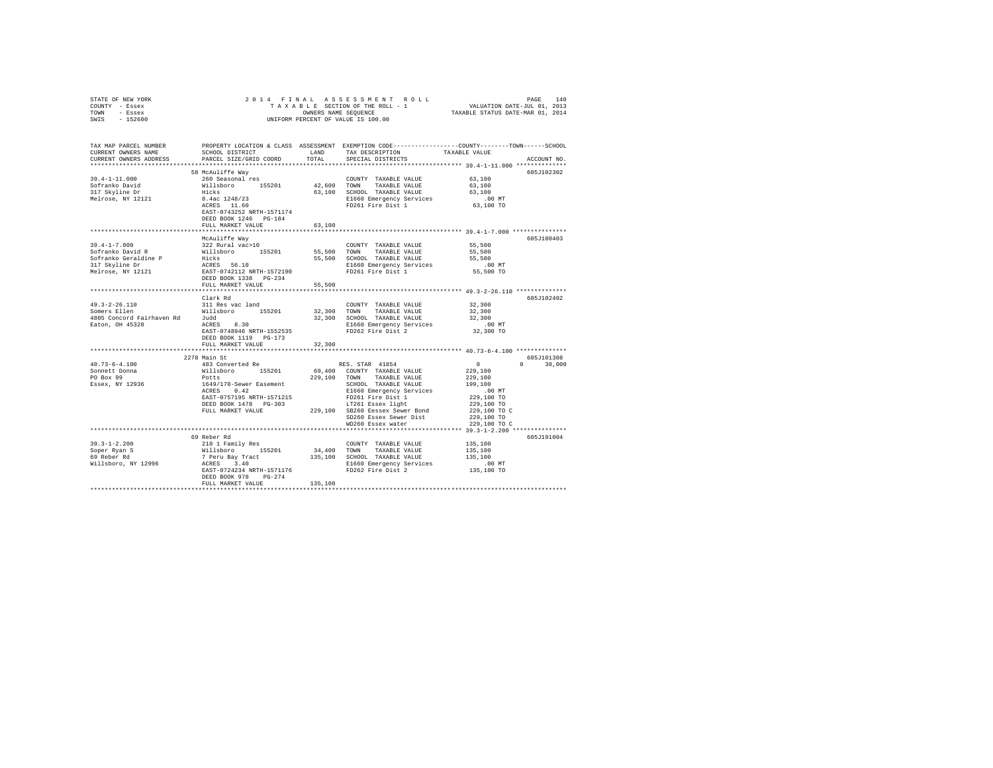| STATE OF NEW YORK                                                                                                                                                                                                                                                                                                                                                     |                           |         |                                                                |                                                         |               |
|-----------------------------------------------------------------------------------------------------------------------------------------------------------------------------------------------------------------------------------------------------------------------------------------------------------------------------------------------------------------------|---------------------------|---------|----------------------------------------------------------------|---------------------------------------------------------|---------------|
| COUNTY - Essex                                                                                                                                                                                                                                                                                                                                                        |                           |         |                                                                |                                                         |               |
| TOWN - Essex                                                                                                                                                                                                                                                                                                                                                          |                           |         |                                                                |                                                         |               |
| SWIS - 152600                                                                                                                                                                                                                                                                                                                                                         |                           |         |                                                                |                                                         |               |
|                                                                                                                                                                                                                                                                                                                                                                       |                           |         |                                                                |                                                         |               |
| TAX MAP PARCEL NUMBER PROPERTY LOCATION & CLASS ASSESSMENT EXEMPTION CODE---------------COUNTY-------TOWN-----SCHOOL                                                                                                                                                                                                                                                  |                           |         |                                                                |                                                         |               |
| CURRENT OWNERS NAME                                                                                                                                                                                                                                                                                                                                                   | SCHOOL DISTRICT           | LAND    | TAX DESCRIPTION                                                | TAXABLE VALUE                                           |               |
| CURRENT OWNERS ADDRESS                                                                                                                                                                                                                                                                                                                                                | PARCEL SIZE/GRID COORD    | TOTAL   | SPECIAL DISTRICTS                                              |                                                         | ACCOUNT NO.   |
|                                                                                                                                                                                                                                                                                                                                                                       |                           |         |                                                                |                                                         |               |
|                                                                                                                                                                                                                                                                                                                                                                       |                           |         |                                                                |                                                         |               |
|                                                                                                                                                                                                                                                                                                                                                                       | 58 McAuliffe Way          |         |                                                                |                                                         | 605J102302    |
| $39.4 - 1 - 11.000$                                                                                                                                                                                                                                                                                                                                                   | 260 Seasonal res          |         | COUNTY TAXABLE VALUE 63,100                                    |                                                         |               |
|                                                                                                                                                                                                                                                                                                                                                                       |                           |         |                                                                | 63,100                                                  |               |
|                                                                                                                                                                                                                                                                                                                                                                       |                           |         | 63,100 SCHOOL TAXABLE VALUE                                    | 63,100                                                  |               |
|                                                                                                                                                                                                                                                                                                                                                                       |                           |         | E1660 Emergency Services<br>FD261 Fire Dist 1                  | .00 MT<br>63,100 TO                                     |               |
|                                                                                                                                                                                                                                                                                                                                                                       |                           |         |                                                                |                                                         |               |
|                                                                                                                                                                                                                                                                                                                                                                       | EAST-0743252 NRTH-1571174 |         |                                                                |                                                         |               |
|                                                                                                                                                                                                                                                                                                                                                                       | DEED BOOK 1246 PG-184     |         |                                                                |                                                         |               |
|                                                                                                                                                                                                                                                                                                                                                                       | FULL MARKET VALUE         | 63,100  |                                                                |                                                         |               |
|                                                                                                                                                                                                                                                                                                                                                                       |                           |         |                                                                |                                                         |               |
|                                                                                                                                                                                                                                                                                                                                                                       | McAuliffe Way             |         |                                                                |                                                         | 605J100403    |
| $39.4 - 1 - 7.000$                                                                                                                                                                                                                                                                                                                                                    | 322 Rural vac>10          |         | COUNTY TAXABLE VALUE                                           | 55,500                                                  |               |
|                                                                                                                                                                                                                                                                                                                                                                       |                           |         |                                                                | 55,500                                                  |               |
|                                                                                                                                                                                                                                                                                                                                                                       |                           |         |                                                                | 55,500                                                  |               |
|                                                                                                                                                                                                                                                                                                                                                                       |                           |         | E1660 Emergency Services .00 MT<br>FD261 Fire Dist 1 55,500 TO |                                                         |               |
|                                                                                                                                                                                                                                                                                                                                                                       |                           |         |                                                                |                                                         |               |
|                                                                                                                                                                                                                                                                                                                                                                       |                           |         |                                                                |                                                         |               |
|                                                                                                                                                                                                                                                                                                                                                                       | FULL MARKET VALUE         | 55,500  |                                                                |                                                         |               |
|                                                                                                                                                                                                                                                                                                                                                                       |                           |         | ******************************* 49.3-2-26.110 **************   |                                                         |               |
|                                                                                                                                                                                                                                                                                                                                                                       | Clark Rd                  |         |                                                                |                                                         | 605J102402    |
|                                                                                                                                                                                                                                                                                                                                                                       |                           |         |                                                                | 32,300                                                  |               |
|                                                                                                                                                                                                                                                                                                                                                                       |                           |         |                                                                | 32,300                                                  |               |
|                                                                                                                                                                                                                                                                                                                                                                       |                           |         |                                                                | 32,300                                                  |               |
|                                                                                                                                                                                                                                                                                                                                                                       |                           |         |                                                                | .00MT                                                   |               |
|                                                                                                                                                                                                                                                                                                                                                                       |                           |         |                                                                | 32,300 TO                                               |               |
|                                                                                                                                                                                                                                                                                                                                                                       | DEED BOOK 1119 PG-173     |         |                                                                |                                                         |               |
|                                                                                                                                                                                                                                                                                                                                                                       | FULL MARKET VALUE         | 32,300  |                                                                |                                                         |               |
|                                                                                                                                                                                                                                                                                                                                                                       |                           |         |                                                                |                                                         |               |
|                                                                                                                                                                                                                                                                                                                                                                       |                           |         |                                                                |                                                         | 605J101308    |
|                                                                                                                                                                                                                                                                                                                                                                       |                           |         |                                                                | $\begin{smallmatrix}&&0\\2&2&9&,1&0&0\end{smallmatrix}$ | $0 \t 30.000$ |
|                                                                                                                                                                                                                                                                                                                                                                       |                           |         |                                                                |                                                         |               |
|                                                                                                                                                                                                                                                                                                                                                                       |                           |         |                                                                |                                                         |               |
|                                                                                                                                                                                                                                                                                                                                                                       |                           |         |                                                                | 229,100<br>199,100                                      |               |
|                                                                                                                                                                                                                                                                                                                                                                       |                           |         |                                                                | .00MT                                                   |               |
|                                                                                                                                                                                                                                                                                                                                                                       |                           |         |                                                                | 229,100 TO                                              |               |
| $\begin{tabular}{l c c c c c} \hline \texttt{REV} & \texttt{REV} & \texttt{REV} & \texttt{R11} & \texttt{S1} & \texttt{S278 Main St} \\ \hline 40.73 & 483 & 50merted Re & 83 & 00mert Donna & 483 & 00mert Donna & 483 & 00mert Donna & 483 & 00mert Donna & 483 & 00mert Doma & 229,100 & 000NTY TAXAELE VALUE & 483 & 229,100 & 000NTY TAXAELE VALUE & 483 & 229,$ |                           |         |                                                                | 229,100 TO                                              |               |
|                                                                                                                                                                                                                                                                                                                                                                       |                           |         |                                                                | 229,100 TO C                                            |               |
|                                                                                                                                                                                                                                                                                                                                                                       |                           |         |                                                                | 229,100 TO                                              |               |
|                                                                                                                                                                                                                                                                                                                                                                       |                           |         | SD260 Essex Sewer Dist<br>WD260 Essex water                    | 229,100 TO C                                            |               |
|                                                                                                                                                                                                                                                                                                                                                                       |                           |         |                                                                |                                                         |               |
|                                                                                                                                                                                                                                                                                                                                                                       | 69 Reber Rd               |         |                                                                |                                                         | 605J191004    |
|                                                                                                                                                                                                                                                                                                                                                                       |                           |         |                                                                | 135,100                                                 |               |
|                                                                                                                                                                                                                                                                                                                                                                       |                           |         |                                                                | 135,100                                                 |               |
|                                                                                                                                                                                                                                                                                                                                                                       |                           |         |                                                                | 135,100                                                 |               |
|                                                                                                                                                                                                                                                                                                                                                                       |                           |         |                                                                |                                                         |               |
|                                                                                                                                                                                                                                                                                                                                                                       |                           |         |                                                                | 00 MT.<br>135,100 TO                                    |               |
|                                                                                                                                                                                                                                                                                                                                                                       | DEED BOOK 978 PG-274      |         |                                                                |                                                         |               |
|                                                                                                                                                                                                                                                                                                                                                                       | FULL MARKET VALUE         | 135,100 |                                                                |                                                         |               |
|                                                                                                                                                                                                                                                                                                                                                                       |                           |         |                                                                |                                                         |               |
|                                                                                                                                                                                                                                                                                                                                                                       |                           |         |                                                                |                                                         |               |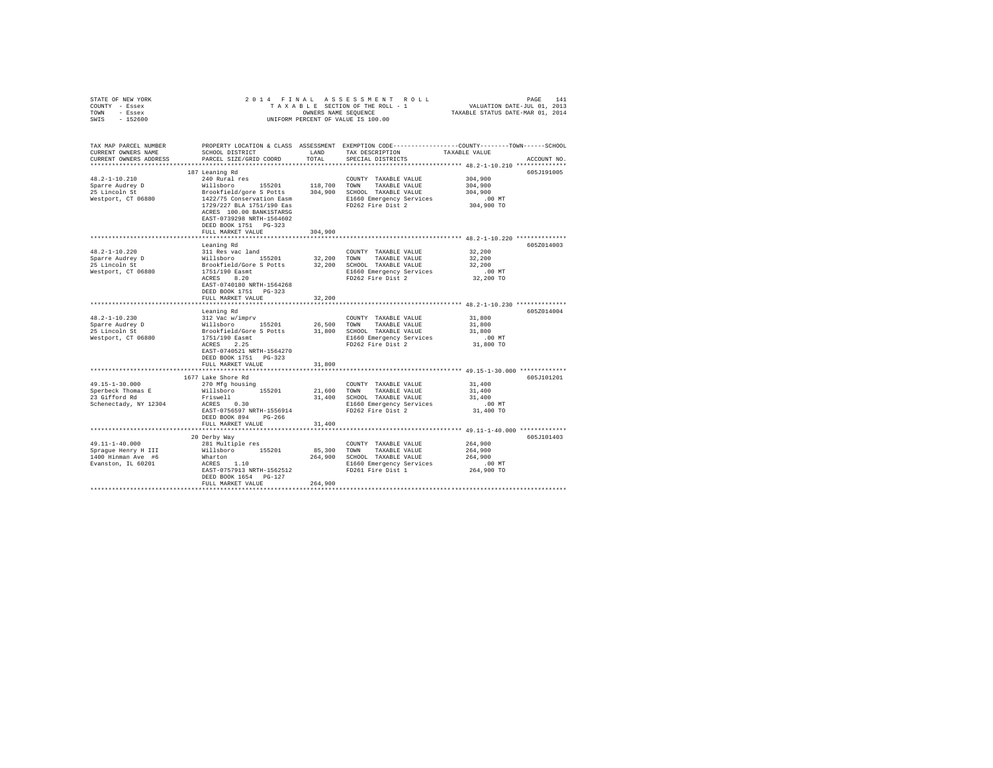| STATE OF NEW YORK                | 2014 FINAL                                                                                                                               |                          |                                                                                                                                                                            |                                            |             |
|----------------------------------|------------------------------------------------------------------------------------------------------------------------------------------|--------------------------|----------------------------------------------------------------------------------------------------------------------------------------------------------------------------|--------------------------------------------|-------------|
| COUNTY - Essex                   |                                                                                                                                          |                          | PAGE 141 A S S E S S M E N T R O L L PROE 141<br>T A X A B LE SECTION OF THE ROLL - 1 VALUATION DATE-JUL 01, 2013<br>OWNERS NAME SEQUENCE TAXABLE STATUS DATE-MAR 01, 2014 |                                            |             |
| TOWN - Essex                     |                                                                                                                                          |                          | OWNERS NAME SEQUENCE                                                                                                                                                       |                                            |             |
| SWIS - 152600                    |                                                                                                                                          |                          | UNIFORM PERCENT OF VALUE IS 100.00                                                                                                                                         |                                            |             |
|                                  |                                                                                                                                          |                          |                                                                                                                                                                            |                                            |             |
|                                  |                                                                                                                                          |                          |                                                                                                                                                                            |                                            |             |
| TAX MAP PARCEL NUMBER            |                                                                                                                                          |                          | PROPERTY LOCATION & CLASS ASSESSMENT EXEMPTION CODE---------------COUNTY-------TOWN------SCHOOL                                                                            |                                            |             |
| CURRENT OWNERS NAME              | SCHOOL DISTRICT                                                                                                                          | LAND                     | TAX DESCRIPTION                                                                                                                                                            | TAXABLE VALUE                              |             |
| CURRENT OWNERS ADDRESS           | PARCEL SIZE/GRID COORD                                                                                                                   | TOTAL                    | SPECIAL DISTRICTS                                                                                                                                                          |                                            | ACCOUNT NO. |
|                                  |                                                                                                                                          |                          |                                                                                                                                                                            |                                            |             |
|                                  | 187 Leaning Rd                                                                                                                           |                          |                                                                                                                                                                            |                                            | 605J191005  |
| $48.2 - 1 - 10.210$              | 240 Rural res                                                                                                                            |                          | COUNTY TAXABLE VALUE                                                                                                                                                       | 304,900                                    |             |
|                                  | Willsboro 155201                                                                                                                         |                          | 118,700 TOWN TAXABLE VALUE                                                                                                                                                 | 304,900                                    |             |
| Sparre Audrey D<br>25 Lincoln St | Brookfield/gore S Potts                                                                                                                  |                          | 304,900 SCHOOL TAXABLE VALUE                                                                                                                                               | 304,900                                    |             |
| Westport, CT 06880               | 1422/75 Conservation Easm                                                                                                                |                          |                                                                                                                                                                            | $.00$ MT                                   |             |
|                                  | 1729/227 BLA 1751/190 Eas                                                                                                                |                          | E1660 Emergency Services<br>FD262 Fire Dist 2                                                                                                                              | 304,900 TO                                 |             |
|                                  | ACRES 100.00 BANK1STARSG                                                                                                                 |                          |                                                                                                                                                                            |                                            |             |
|                                  | EAST-0739298 NRTH-1564602                                                                                                                |                          |                                                                                                                                                                            |                                            |             |
|                                  | DEED BOOK 1751 PG-323                                                                                                                    |                          |                                                                                                                                                                            |                                            |             |
|                                  | FULL MARKET VALUE                                                                                                                        |                          |                                                                                                                                                                            |                                            |             |
|                                  |                                                                                                                                          | 304,900<br>************* | ***************************** 48.2-1-10.220 *************                                                                                                                  |                                            |             |
|                                  |                                                                                                                                          |                          |                                                                                                                                                                            |                                            |             |
|                                  | Leaning Rd                                                                                                                               |                          |                                                                                                                                                                            |                                            | 605Z014003  |
| 48.2-1-10.220                    | 311 Res vac land                                                                                                                         |                          | COUNTY TAXABLE VALUE                                                                                                                                                       | 32,200                                     |             |
| Sparre Audrey D<br>25 Lincoln St |                                                                                                                                          |                          | 32,200 TOWN TAXABLE VALUE                                                                                                                                                  | 32,200                                     |             |
|                                  |                                                                                                                                          |                          | 32,200 SCHOOL TAXABLE VALUE                                                                                                                                                | 32,200                                     |             |
| Westport, CT 06880               | willsboro 155201<br>Brookfield/Gore 5 Potts<br>1751/190 Easmt                                                                            |                          | E1660 Emergency Services                                                                                                                                                   | $.00$ MT                                   |             |
|                                  | ACRES 8.20                                                                                                                               |                          | FD262 Fire Dist 2                                                                                                                                                          | 32,200 TO                                  |             |
|                                  | EAST-0740180 NRTH-1564268                                                                                                                |                          |                                                                                                                                                                            |                                            |             |
|                                  | DEED BOOK 1751 PG-323                                                                                                                    |                          |                                                                                                                                                                            |                                            |             |
|                                  | FULL MARKET VALUE                                                                                                                        | 32,200                   |                                                                                                                                                                            |                                            |             |
|                                  |                                                                                                                                          | **********               |                                                                                                                                                                            | ************ 48.2-1-10.230 *************** |             |
|                                  | Leaning Rd                                                                                                                               |                          |                                                                                                                                                                            |                                            | 605Z014004  |
| $48.2 - 1 - 10.230$              | 312 Vac w/imprv                                                                                                                          |                          | COUNTY TAXABLE VALUE                                                                                                                                                       | 31,800                                     |             |
|                                  | Willsboro 155201                                                                                                                         |                          | 26,500 TOWN TAXABLE VALUE                                                                                                                                                  | 31,800                                     |             |
| Sparre Audrey D<br>25 Lincoln St | $\frac{1751/190}{1751/190}$ External and $\frac{31}{1660}$ ECHOL TAXABLE VALUE<br>1751/190 Easnt and $\frac{1760}{1000}$ Europe Services |                          |                                                                                                                                                                            | 31,800                                     |             |
| Westport, CT 06880               |                                                                                                                                          |                          | E1660 Emergency Services                                                                                                                                                   | $.00$ MT                                   |             |
|                                  | ACRES 2.25                                                                                                                               |                          | FD262 Fire Dist 2                                                                                                                                                          | 31,800 TO                                  |             |
|                                  | EAST-0740521 NRTH-1564270                                                                                                                |                          |                                                                                                                                                                            |                                            |             |
|                                  | DEED BOOK 1751 PG-323                                                                                                                    |                          |                                                                                                                                                                            |                                            |             |
|                                  | FULL MARKET VALUE                                                                                                                        | 31,800                   |                                                                                                                                                                            |                                            |             |
|                                  | *********************                                                                                                                    |                          | ***************************** 49.15-1-30.000 *************                                                                                                                 |                                            |             |
|                                  | 1677 Lake Shore Rd                                                                                                                       |                          |                                                                                                                                                                            |                                            | 605J101201  |
| 49.15-1-30.000                   | 270 Mfg housing                                                                                                                          |                          | COUNTY TAXABLE VALUE                                                                                                                                                       | 31,400                                     |             |
|                                  |                                                                                                                                          |                          |                                                                                                                                                                            |                                            |             |
| Sperbeck Thomas E                | Willsboro 155201                                                                                                                         |                          | 21,600 TOWN TAXABLE VALUE                                                                                                                                                  | 31,400                                     |             |
| 23 Gifford Rd                    | Friswell<br>ACRES 0.30<br>Friswell                                                                                                       |                          | 31,400 SCHOOL TAXABLE VALUE                                                                                                                                                | 31,400                                     |             |
| Schenectady, NY 12304            |                                                                                                                                          |                          | E1660 Emergency Services<br>FD262 Fire Dist 2                                                                                                                              | $.00$ MT                                   |             |
|                                  | EAST-0756597 NRTH-1556914                                                                                                                |                          |                                                                                                                                                                            | 31,400 TO                                  |             |
|                                  | DEED BOOK 894 PG-266                                                                                                                     |                          |                                                                                                                                                                            |                                            |             |
|                                  | FULL MARKET VALUE                                                                                                                        | 31,400                   |                                                                                                                                                                            |                                            |             |
|                                  |                                                                                                                                          |                          |                                                                                                                                                                            |                                            |             |
|                                  | 20 Derby Way                                                                                                                             |                          |                                                                                                                                                                            |                                            | 605J101403  |
| 49.11-1-40.000                   | 281 Multiple res                                                                                                                         |                          | COUNTY TAXABLE VALUE                                                                                                                                                       | 264,900                                    |             |
| Spraque Henry H III              | Willsboro 155201                                                                                                                         | 85,300 TOWN              | TAXABLE VALUE                                                                                                                                                              | 264,900                                    |             |
| 1400 Hinman Ave #6               | Wharton                                                                                                                                  |                          | 264,900 SCHOOL TAXABLE VALUE                                                                                                                                               | 264,900                                    |             |
| Evanston, IL 60201               | $ACRES$ 1.10                                                                                                                             |                          | E1660 Emergency Services                                                                                                                                                   | $.00$ MT                                   |             |
|                                  | EAST-0757913 NRTH-1562512                                                                                                                |                          | FD261 Fire Dist 1                                                                                                                                                          | 264,900 TO                                 |             |
|                                  | DEED BOOK 1654 PG-127                                                                                                                    |                          |                                                                                                                                                                            |                                            |             |
|                                  | FULL MARKET VALUE                                                                                                                        | 264,900                  |                                                                                                                                                                            |                                            |             |
|                                  |                                                                                                                                          |                          |                                                                                                                                                                            |                                            |             |
|                                  |                                                                                                                                          |                          |                                                                                                                                                                            |                                            |             |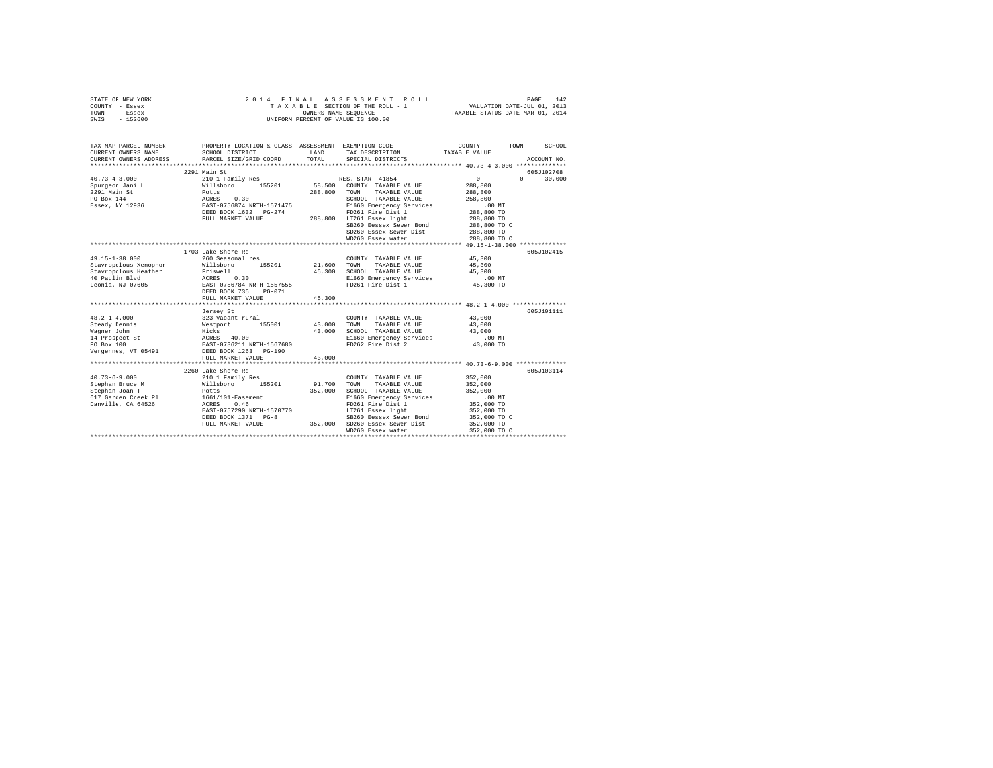| STATE OF NEW YORK<br>COUNTY - Essex<br>TOWN<br>- Essex<br>$-152600$<br>SWIS                                                                                                | 2014 FINAL                                                                                                                                                                           | OWNERS NAME SEOUENCE                           | ASSESSMENT ROLL<br>TAXABLE SECTION OF THE ROLL - 1<br>UNIFORM PERCENT OF VALUE IS 100.00                                                                                                                                      | PAGE<br>VALUATION DATE-JUL 01, 2013<br>TAXABLE STATUS DATE-MAR 01, 2014                                               | 142         |
|----------------------------------------------------------------------------------------------------------------------------------------------------------------------------|--------------------------------------------------------------------------------------------------------------------------------------------------------------------------------------|------------------------------------------------|-------------------------------------------------------------------------------------------------------------------------------------------------------------------------------------------------------------------------------|-----------------------------------------------------------------------------------------------------------------------|-------------|
| TAX MAP PARCEL NUMBER<br>CURRENT OWNERS NAME                                                                                                                               | SCHOOL DISTRICT                                                                                                                                                                      | LAND                                           | TAX DESCRIPTION                                                                                                                                                                                                               | PROPERTY LOCATION & CLASS ASSESSMENT EXEMPTION CODE-----------------COUNTY-------TOWN-----SCHOOL<br>TAXABLE VALUE     |             |
| CURRENT OWNERS ADDRESS                                                                                                                                                     | PARCEL SIZE/GRID COORD                                                                                                                                                               | TOTAL                                          | SPECIAL DISTRICTS                                                                                                                                                                                                             |                                                                                                                       | ACCOUNT NO. |
|                                                                                                                                                                            | 2291 Main St                                                                                                                                                                         |                                                |                                                                                                                                                                                                                               |                                                                                                                       | 605J102708  |
| $40.73 - 4 - 3.000$                                                                                                                                                        | 210 1 Family Res                                                                                                                                                                     |                                                | RES. STAR 41854                                                                                                                                                                                                               | 0<br>$\mathbf{r}$                                                                                                     | 30,000      |
| Spurgeon Jani L<br>2291 Main St<br>PO Box 144<br>Essex, NY 12936                                                                                                           | %10 1 Family Res<br>Nillsboro 155201<br>Potts 0.30<br>EAST-0756874 NRTH-1571475<br>DEED BOOK 1632 PG-274<br>FULL MARKET VALUE                                                        |                                                | 58.500 COUNTY TAXABLE VALUE<br>288,800 TOWN TAXABLE VALUE<br>SCHOOL TAXABLE VALUE<br>SCHOOL TAXABLE VALUE<br>E1660 Emergency Services<br>PG-274 FD261 Fire Dist 1<br>288,800 LT261 Essex light<br>SB260 Eessex Sewer Bond     | 288,800<br>288,800<br>258,800<br>$.00$ MT<br>288,800 TO<br>288,800 TO<br>288,800 TO C                                 |             |
|                                                                                                                                                                            |                                                                                                                                                                                      |                                                | SD260 Essex Sewer Dist                                                                                                                                                                                                        | 288,800 TO                                                                                                            |             |
|                                                                                                                                                                            |                                                                                                                                                                                      |                                                | WD260 Essex water                                                                                                                                                                                                             | 288,800 TO C                                                                                                          |             |
|                                                                                                                                                                            | 1703 Lake Shore Rd                                                                                                                                                                   |                                                |                                                                                                                                                                                                                               |                                                                                                                       | 605J102415  |
| 49.15-1-38.000<br>Stavropolous Xenophon<br>Stavropolous Heather<br>40 Paulin Blvd<br>Leonia, NJ 07605                                                                      | 260 Seasonal res<br>Willsboro 155201<br>Friswell<br>ACRES 0.30<br>EAST-0756784 NRTH-1557555<br>DEED BOOK 735<br>$PG-071$                                                             | 21,600<br>45,300                               | COUNTY TAXABLE VALUE<br>TOWN<br>TAXABLE VALUE<br>SCHOOL TAXABLE VALUE<br>E1660 Emergency Services<br>FD261 Fire Dist 1                                                                                                        | 45,300<br>45,300<br>45,300<br>$.00$ MT<br>45,300 TO                                                                   |             |
|                                                                                                                                                                            | FULL MARKET VALUE                                                                                                                                                                    | 45,300                                         |                                                                                                                                                                                                                               |                                                                                                                       |             |
|                                                                                                                                                                            | ************************                                                                                                                                                             |                                                |                                                                                                                                                                                                                               | **************** 48.2-1-4.000 ****************                                                                        |             |
| $48.2 - 1 - 4.000$<br>Steady Dennis<br>Wagner John<br>14 Prospect St<br>PO Box 100<br>Vergennes, VT 05491                                                                  | Jersey St<br>323 Vacant rural<br>Westport 155001<br>Hicks<br>ACRES 40.00<br>EAST-0736211 NRTH-1567680<br>DEED BOOK 1263 PG-190<br>FULL MARKET VALUE<br>***************************** | 43,000<br>43,000<br>43,000<br>**************** | COUNTY TAXABLE VALUE<br>TOWN<br>TAXABLE VALUE<br>SCHOOL TAXABLE VALUE<br>E1660 Emergency Services<br>FD262 Fire Dist 2                                                                                                        | 43,000<br>43,000<br>43,000<br>$.00$ MT<br>43,000 TO<br>********************************* 40.73-6-9.000 ************** | 605J101111  |
|                                                                                                                                                                            | 2260 Lake Shore Rd                                                                                                                                                                   |                                                |                                                                                                                                                                                                                               |                                                                                                                       | 605J103114  |
| $40.73 - 6 - 9.000$<br>Stephan Bruce M<br>Stephan Joan T<br>Stephan Joan T<br>617 Garden Creek Pl<br>Danville, CA 64526<br>Danville, CA 64526<br>EAST-0757290 NRTH-1570770 | 210 1 Family Res<br>willsboro 155201<br>Potts<br>DEED BOOK 1371 PG-8<br>FULL MARKET VALUE                                                                                            | 91,700<br>352,000                              | COUNTY TAXABLE VALUE<br>TAXABLE VALUE<br>TOWN<br>SCHOOL TAXABLE VALUE<br>E1660 Emergency Services<br>FD261 Fire Dist 1<br>LT261 Essex light<br>SB260 Eessex Sewer Bond<br>352,000 SD260 Essex Sewer Dist<br>WD260 Essex water | 352,000<br>352,000<br>352,000<br>.00 MT<br>352,000 TO<br>352,000 TO<br>352,000 TO C<br>352,000 TO<br>352,000 TO C     |             |
|                                                                                                                                                                            |                                                                                                                                                                                      |                                                |                                                                                                                                                                                                                               |                                                                                                                       |             |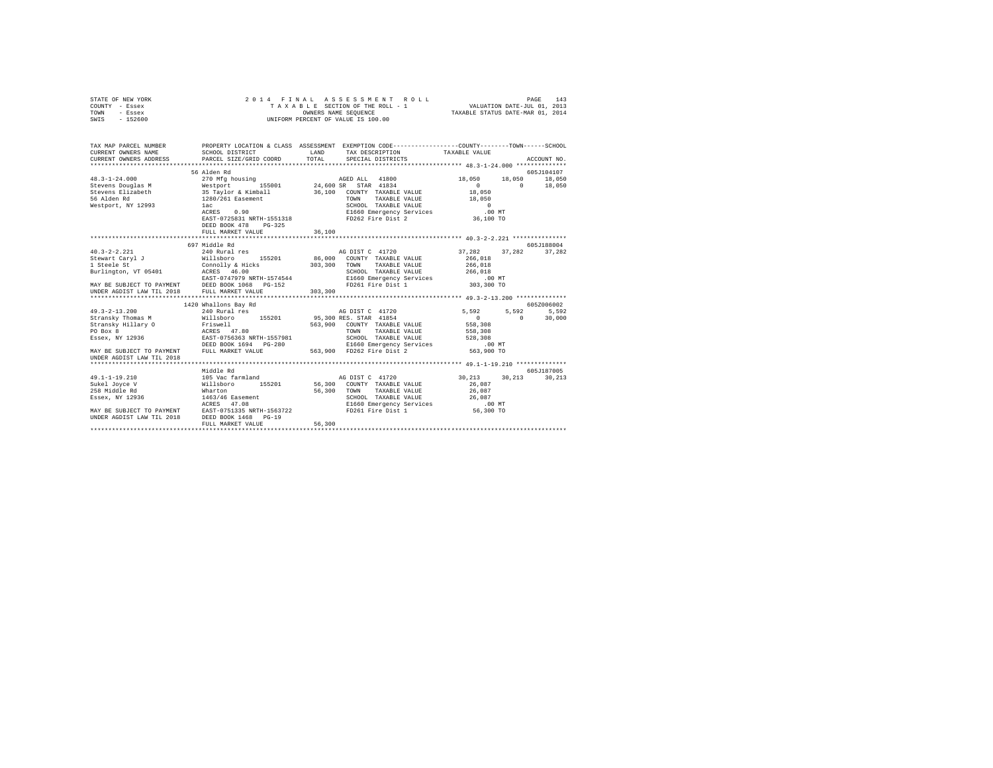| STATE OF NEW YORK | 2014 FINAL ASSESSMENT ROLL         | 143<br>PAGE                      |
|-------------------|------------------------------------|----------------------------------|
| COUNTY - Essex    | TAXABLE SECTION OF THE ROLL - 1    | VALUATION DATE-JUL 01, 2013      |
| TOWN<br>- Essex   | OWNERS NAME SEOUENCE               | TAXABLE STATUS DATE-MAR 01, 2014 |
| $-152600$<br>SWIS | UNIFORM PERCENT OF VALUE IS 100.00 |                                  |
|                   |                                    |                                  |

| TAX MAP PARCEL NUMBER<br>CURRENT OWNERS NAME | PROPERTY LOCATION & CLASS ASSESSMENT EXEMPTION CODE---------------COUNTY-------TOWN-----SCHOOL<br>SCHOOL DISTRICT                                                                                                                      |        | LAND TAX DESCRIPTION                                                                                          | TAXABLE VALUE                   |               |
|----------------------------------------------|----------------------------------------------------------------------------------------------------------------------------------------------------------------------------------------------------------------------------------------|--------|---------------------------------------------------------------------------------------------------------------|---------------------------------|---------------|
|                                              |                                                                                                                                                                                                                                        |        |                                                                                                               |                                 |               |
|                                              |                                                                                                                                                                                                                                        |        |                                                                                                               |                                 |               |
|                                              | 56 Alden Rd                                                                                                                                                                                                                            |        |                                                                                                               |                                 | 605J104107    |
| $48.3 - 1 - 24.000$                          | 270 Mfg housing                                                                                                                                                                                                                        |        | AGED ALL 41800                                                                                                | 18,050 18,050 18,050            |               |
|                                              | Contract District Contract (1990) 24,600 SR STAR 41834<br>Stevens Elizabeth (1990) 25 Tarylor & Ximball 36,100 COUNTY TAXABLE VALUE<br>56 Alden Rd (1990) 226/261 Easement 1260/201 TOWN TAXABLE VALUE                                 |        |                                                                                                               | $\overline{0}$                  | $0 \t 18,050$ |
|                                              |                                                                                                                                                                                                                                        |        | 36,100 COUNTY TAXABLE VALUE                                                                                   | 18,050                          |               |
|                                              |                                                                                                                                                                                                                                        |        | TAXABLE VALUE                                                                                                 | 18,050                          |               |
| Westport, NY 12993 1ac                       |                                                                                                                                                                                                                                        |        | SCHOOL TAXABLE VALUE<br>E1660 Emergency Services<br>FD262 Fire Dist 2                                         | $\qquad \qquad 0$               |               |
|                                              | 1ac<br>ACRES 0.90<br>EAST-0725831 NRTH-1551318                                                                                                                                                                                         |        |                                                                                                               | $.00$ MT<br>00 MT.<br>36,100 TO |               |
|                                              |                                                                                                                                                                                                                                        |        |                                                                                                               |                                 |               |
|                                              | DEED BOOK 478<br>PG-325                                                                                                                                                                                                                |        |                                                                                                               |                                 |               |
|                                              |                                                                                                                                                                                                                                        |        |                                                                                                               |                                 |               |
|                                              |                                                                                                                                                                                                                                        |        |                                                                                                               |                                 |               |
|                                              | 697 Middle Rd                                                                                                                                                                                                                          |        |                                                                                                               |                                 | 605J188004    |
| $40.3 - 2 - 2.221$                           |                                                                                                                                                                                                                                        |        |                                                                                                               | 37,282 37,282 37,282            |               |
| Stewart Caryl J<br>1 Steele St               |                                                                                                                                                                                                                                        |        | 86,000 COUNTY TAXABLE VALUE 266,018<br>303,300 TOWN TAXABLE VALUE 266,018                                     |                                 |               |
|                                              |                                                                                                                                                                                                                                        |        |                                                                                                               |                                 |               |
|                                              |                                                                                                                                                                                                                                        |        |                                                                                                               |                                 |               |
|                                              |                                                                                                                                                                                                                                        |        | TOWN TAXABLE VALUE<br>SCHOOL TAXABLE VALUE<br>E1660 Emergency Services 100 MT<br>FD261 Fire Dist 1 303,300 TO |                                 |               |
|                                              | - EXERCITY ACHIEF 11 ACRES 46.00<br>BIFINITY DESCRIPS ARE STRAINING MAY BE SCHOOL TAXABLE VALUE<br>MAY BE SUBJECT TO PAYMENT DEED BOOK 1068 POLA FOR PD261 Fire Dist 1<br>UNDER AGDIST LAW TIL 2018 FULL MARKET VALUE 303,300<br>UNDER |        |                                                                                                               |                                 |               |
|                                              |                                                                                                                                                                                                                                        |        |                                                                                                               |                                 |               |
|                                              | 1420 Whallons Bay Rd                                                                                                                                                                                                                   |        |                                                                                                               |                                 | 6057006002    |
| $49.3 - 2 - 13.200$                          | 240 Rural res                                                                                                                                                                                                                          |        | AG DIST C 41720                                                                                               | 5,592 5,592 5,592               |               |
|                                              |                                                                                                                                                                                                                                        |        |                                                                                                               | $\sim$ 0<br>$\sim$ 0            | 30,000        |
|                                              |                                                                                                                                                                                                                                        |        |                                                                                                               | 558,308                         |               |
|                                              |                                                                                                                                                                                                                                        |        | 563,900 COUNTY TAXABLE VALUE<br>TOWN TAXABLE VALUE<br>TAXABLE VALUE 558,308                                   |                                 |               |
|                                              | ESSex, NY 12936 68857-0756363 NRTH-1557981                                                                                                                                                                                             |        | SCHOOL TAXABLE VALUE 528,308                                                                                  |                                 |               |
|                                              |                                                                                                                                                                                                                                        |        |                                                                                                               |                                 |               |
|                                              | DEED BOOK 1694 PG-280 B1660 Emergency Services<br>MAY BE SUBJECT TO PAYMENT FULL MARKET VALUE 563,900 FD262 Fire Dist 2                                                                                                                |        |                                                                                                               | 00 MT.<br>563,900 TO            |               |
| UNDER AGDIST LAW TIL 2018                    |                                                                                                                                                                                                                                        |        |                                                                                                               |                                 |               |
|                                              |                                                                                                                                                                                                                                        |        |                                                                                                               |                                 |               |
|                                              | Middle Rd                                                                                                                                                                                                                              |        |                                                                                                               |                                 | 605J187005    |
| $49.1 - 1 - 19.210$                          | 105 Vac farmland <b>105</b> CHA AG DIST C 41720 30,213 30,213                                                                                                                                                                          |        |                                                                                                               |                                 | 30,213        |
| Sukel Jovce V                                | Willsboro 155201 56,300 COUNTY TAXABLE VALUE<br>Wharton 56,300 TOWN TAXABLE VALUE                                                                                                                                                      |        |                                                                                                               | $26$ , $087\,$                  |               |
| 258 Middle Rd                                |                                                                                                                                                                                                                                        |        |                                                                                                               | 26,087                          |               |
| Essex, NY 12936                              | 1463/46 Easement                                                                                                                                                                                                                       |        | SCHOOL TAXABLE VALUE 26,087                                                                                   |                                 |               |
|                                              |                                                                                                                                                                                                                                        |        |                                                                                                               |                                 |               |
|                                              | ACRES 47.08<br>MAY BE SUBJECT TO PAYMENT BAST-0751335 NRTH-1563722<br>UNDER AGDIST LAW TIL 2018 DEED BOOK 1468 PG-19                                                                                                                   |        | E1660 Emergency Services .00 MT<br>FD261 Fire Dist 1 56,300 TO                                                |                                 |               |
|                                              |                                                                                                                                                                                                                                        |        |                                                                                                               |                                 |               |
|                                              | FULL MARKET VALUE                                                                                                                                                                                                                      | 56,300 |                                                                                                               |                                 |               |
|                                              |                                                                                                                                                                                                                                        |        |                                                                                                               |                                 |               |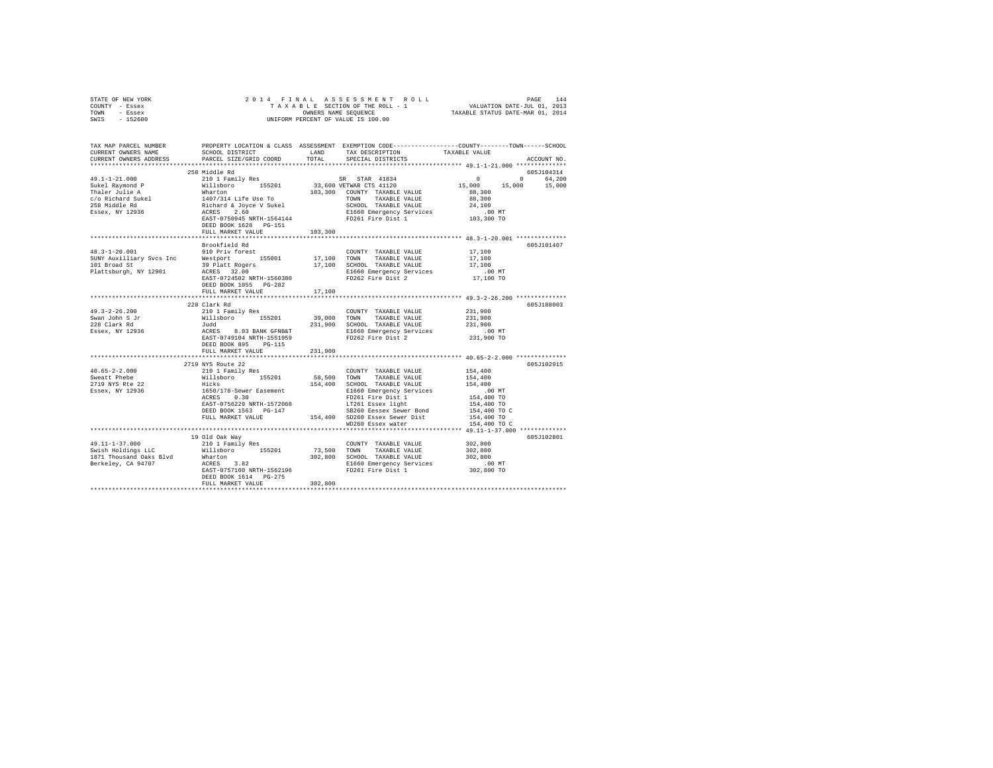| STATE OF NEW YORK      |                                      |         | 2014 FINAL ASSESSMENT ROLL                                   |                                  | 144<br>PAGE          |
|------------------------|--------------------------------------|---------|--------------------------------------------------------------|----------------------------------|----------------------|
| COUNTY<br>- Essex      |                                      |         | TAXABLE SECTION OF THE ROLL - 1                              | VALUATION DATE-JUL 01, 2013      |                      |
| TOWN<br>- Essex        |                                      |         | OWNERS NAME SEQUENCE                                         | TAXABLE STATUS DATE-MAR 01, 2014 |                      |
| $-152600$<br>SWIS      |                                      |         | UNIFORM PERCENT OF VALUE IS 100.00                           |                                  |                      |
|                        |                                      |         |                                                              |                                  |                      |
|                        |                                      |         |                                                              |                                  |                      |
|                        |                                      |         |                                                              |                                  |                      |
| TAX MAP PARCEL NUMBER  | PROPERTY LOCATION & CLASS ASSESSMENT |         | EXEMPTION CODE-----------------COUNTY-------TOWN------SCHOOL |                                  |                      |
| CURRENT OWNERS NAME    | SCHOOL DISTRICT                      |         | LAND TAX DESCRIPTION                                         | TAXABLE VALUE                    |                      |
| CURRENT OWNERS ADDRESS |                                      |         | PARCEL SIZE/GRID COORD TOTAL SPECIAL DISTRICTS               |                                  | ACCOUNT NO.          |
|                        |                                      |         |                                                              |                                  |                      |
|                        | 258 Middle Rd                        |         |                                                              |                                  | 605J104314           |
| $49.1 - 1 - 21.000$    | 210 1 Family Res                     |         | SR STAR 41834                                                |                                  | 64,200<br>$^{\circ}$ |
| Sukel Raymond P        |                                      |         | Willsboro 155201 33,600 VETWAR CTS 41120                     | 15,000 15,000                    | 15,000               |
| Thaler Julie A         | Wharton                              | 103,300 | COUNTY TAXABLE VALUE                                         | 88,300                           |                      |
| c/o Richard Sukel      | 1407/314 Life Use To                 |         | TOWN<br>TAXABLE VALUE                                        | 88,300                           |                      |
| 258 Middle Rd          | Richard & Joyce V Sukel              |         | SCHOOL TAXABLE VALUE                                         | 24,100                           |                      |
| Essex, NY 12936        | ACRES 2.60                           |         | E1660 Emergency Services .00 MT                              |                                  |                      |
|                        | EAST-0750945 NRTH-1564144            |         | FD261 Fire Dist 1                                            | 103,300 TO                       |                      |
|                        | DEED BOOK 1628 PG-151                |         |                                                              |                                  |                      |
|                        | FULL MARKET VALUE                    | 103,300 |                                                              |                                  |                      |
|                        |                                      |         |                                                              |                                  |                      |
|                        | Brookfield Rd                        |         |                                                              |                                  | 605J101407           |
|                        |                                      |         |                                                              |                                  |                      |

|                          | FULL MARKET VALUE                          | 103,300     |                                           |              |             |
|--------------------------|--------------------------------------------|-------------|-------------------------------------------|--------------|-------------|
|                          |                                            |             |                                           |              |             |
|                          | Brookfield Rd                              |             |                                           |              | 605-7101407 |
| $48.3 - 1 - 20.001$      | 910 Priv forest                            |             | COUNTY TAXABLE VALUE                      | 17,100       |             |
| SUNY Auxilliary Svcs Inc | Westport 155001 17,100 TOWN                |             | TAXABLE VALUE                             | 17,100       |             |
| 101 Broad St             | 39 Platt Rogers                            |             | 17,100 SCHOOL TAXABLE VALUE               | 17,100       |             |
| Plattsburgh, NY 12901    | ACRES 32.00                                |             | E1660 Emergency Services .00 MT           |              |             |
|                          | EAST-0724502 NRTH-1560380                  |             | FD262 Fire Dist 2 17.100 TO               |              |             |
|                          | DEED BOOK 1055 PG-282                      |             |                                           |              |             |
|                          |                                            |             |                                           |              |             |
|                          |                                            |             |                                           |              |             |
|                          | 228 Clark Rd                               |             |                                           |              | 605J188003  |
| $49.3 - 2 - 26.200$      | 210 1 Family Res                           |             | COUNTY TAXABLE VALUE                      | 231,900      |             |
| Swan John S Jr           | willsboro 155201 39,000 TOWN TAXABLE VALUE |             |                                           | 231,900      |             |
| 228 Clark Rd             | Judd                                       |             | 231,900 SCHOOL TAXABLE VALUE              | 231,900      |             |
|                          | Essex, NY 12936 6 ACRES 8.03 BANK GFNB&T   |             | E1660 Emergency Services .00 MT           |              |             |
|                          | EAST-0749104 NRTH-1551959                  |             | FD262 Fire Dist 2 231,900 TO              |              |             |
|                          | DEED BOOK 895<br>$PG-115$                  |             |                                           |              |             |
|                          | FULL MARKET VALUE                          | 231,900     |                                           |              |             |
|                          |                                            |             |                                           |              |             |
|                          | 2719 NYS Route 22                          |             |                                           |              | 605J102915  |
| $40.65 - 2 - 2.000$      | 210 1 Family Res                           |             | COUNTY TAXABLE VALUE                      | 154,400      |             |
| Sweatt Phebe             | 210 1 Family Res<br>Willsboro 155201       |             | 58,500 TOWN TAXABLE VALUE                 | 154,400      |             |
| 2719 NYS Rte 22          | Hicks                                      |             | 154,400 SCHOOL TAXABLE VALUE              | 154,400      |             |
| Essex, NY 12936          | 1650/178-Sewer Easement                    |             | E1660 Emergency Services .00 MT           |              |             |
|                          | 0.30<br>ACRES                              |             | FD261 Fire Dist 1 154,400 TO              |              |             |
|                          | EAST-0756229 NRTH-1572068                  |             | LT261 Essex light 154,400 TO              |              |             |
|                          | DEED BOOK 1563 PG-147                      |             | SB260 Eessex Sewer Bond 154,400 TO C      |              |             |
|                          | FULL MARKET VALUE                          |             | 154,400 SD260 Essex Sewer Dist 154,400 TO |              |             |
|                          |                                            |             | WD260 Essex water                         | 154,400 TO C |             |
|                          |                                            |             |                                           |              |             |
|                          | 19 Old Oak Way                             |             |                                           |              | 605J102801  |
| $49.11 - 1 - 37.000$     | 210 1 Family Res                           |             | COUNTY TAXABLE VALUE                      | 302,800      |             |
|                          | Swish Holdings LLC Millsboro 155201        | 73.500 TOWN | TAXABLE VALUE                             | 302,800      |             |
| 1871 Thousand Oaks Blvd  | Wharton                                    |             | 302,800 SCHOOL TAXABLE VALUE              | 302,800      |             |
| Berkelev, CA 94707       | ACRES 3.82                                 |             | E1660 Emergency Services .00 MT           |              |             |
|                          | EAST-0757160 NRTH-1562196                  |             | FD261 Fire Dist 1 302.800 TO              |              |             |
|                          | DEED BOOK 1614 PG-275                      |             |                                           |              |             |
|                          | FULL MARKET VALUE                          | 302,800     |                                           |              |             |
|                          |                                            |             |                                           |              |             |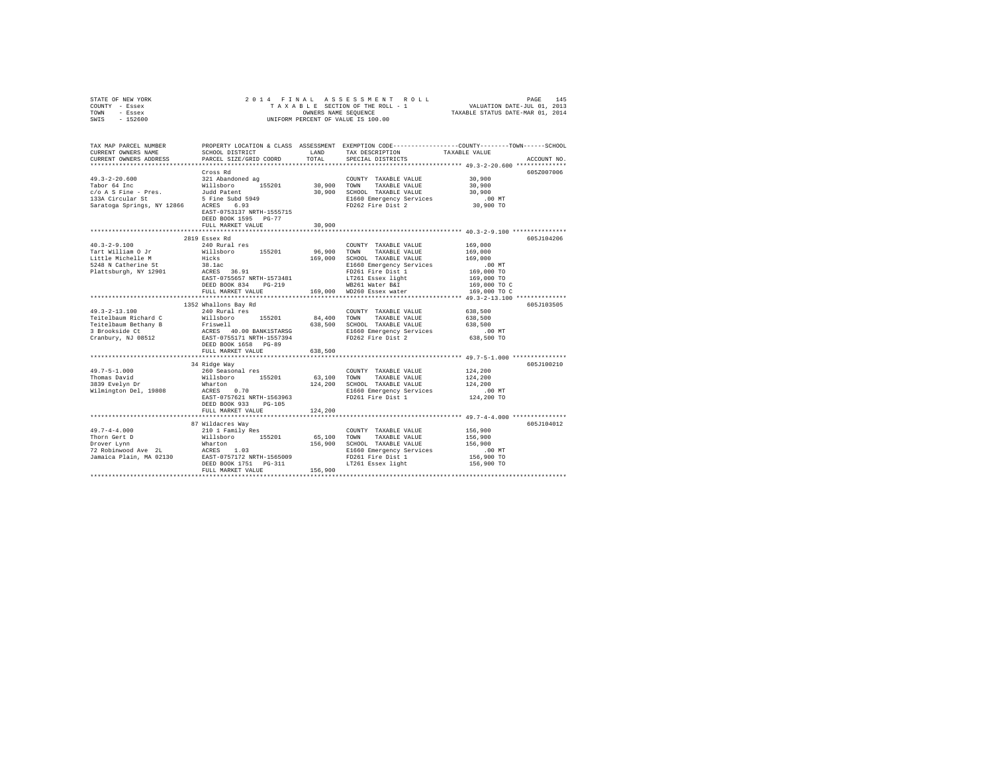| TOWN<br>- Essex<br>$-152600$<br>SWIS                      | UNIFORM PERCENT OF VALUE IS 100.00      | TAXABLE STATUS DATE-MAR 01, 2014 |                                               |                                                                                                 |  |
|-----------------------------------------------------------|-----------------------------------------|----------------------------------|-----------------------------------------------|-------------------------------------------------------------------------------------------------|--|
|                                                           |                                         |                                  |                                               |                                                                                                 |  |
| TAX MAP PARCEL NUMBER                                     |                                         |                                  |                                               | PROPERTY LOCATION & CLASS ASSESSMENT EXEMPTION CODE---------------COUNTY-------TOWN------SCHOOL |  |
| CURRENT OWNERS NAME                                       | SCHOOL DISTRICT                         | LAND                             | TAX DESCRIPTION                               | TAXABLE VALUE                                                                                   |  |
| CURRENT OWNERS ADDRESS                                    | PARCEL SIZE/GRID COORD                  | TOTAL                            | SPECIAL DISTRICTS                             | ACCOUNT NO.                                                                                     |  |
|                                                           |                                         |                                  |                                               |                                                                                                 |  |
|                                                           | Cross Rd                                |                                  |                                               | 605Z007006                                                                                      |  |
| $49.3 - 2 - 20.600$                                       | 321 Abandoned ag                        |                                  | COUNTY TAXABLE VALUE                          | 30,900                                                                                          |  |
| Tabor 64 Inc                                              | Willsboro 155201                        | 30,900<br>30,900                 | TOWN<br>TAXABLE VALUE                         | 30,900                                                                                          |  |
| $c/o$ A S Fine - Pres.                                    | Judd Patent<br>5 Fine Subd 5949         |                                  | SCHOOL TAXABLE VALUE                          | 30,900                                                                                          |  |
| 133A Circular St<br>Saratoga Springs, NY 12866 ACRES 6.93 |                                         |                                  | E1660 Emergency Services<br>FD262 Fire Dist 2 | $.00$ MT<br>30,900 TO                                                                           |  |
|                                                           | EAST-0753137 NRTH-1555715               |                                  |                                               |                                                                                                 |  |
|                                                           | DEED BOOK 1595 PG-77                    |                                  |                                               |                                                                                                 |  |
|                                                           | FULL MARKET VALUE                       | 30,900                           |                                               |                                                                                                 |  |
|                                                           |                                         |                                  |                                               |                                                                                                 |  |
|                                                           | 2819 Essex Rd                           |                                  |                                               | 605J104206                                                                                      |  |
| $40.3 - 2 - 9.100$                                        | 240 Rural res                           |                                  | COUNTY TAXABLE VALUE                          | 169,000                                                                                         |  |
| Tart William O Jr                                         | Willsboro 155201                        | 96,900                           | TOWN<br>TAXABLE VALUE                         | 169,000                                                                                         |  |
| Little Michelle M                                         | Hicks                                   | 169,000                          | SCHOOL TAXABLE VALUE                          | 169,000                                                                                         |  |
| 5248 N Catherine St                                       | 38.1ac                                  |                                  | E1660 Emergency Services                      | $.00$ MT                                                                                        |  |
| Plattsburgh, NY 12901                                     | ACRES 36.91                             |                                  | FD261 Fire Dist 1                             | 169,000 TO                                                                                      |  |
|                                                           | EAST-0755657 NRTH-1573481               |                                  | LT261 Essex light                             | 169,000 TO                                                                                      |  |
|                                                           | DEED BOOK 834 PG-219                    |                                  | WB261 Water B&I                               | 169,000 TO C                                                                                    |  |
|                                                           | FULL MARKET VALUE                       |                                  | 169,000 WD260 Essex water                     | 169,000 TO C                                                                                    |  |
|                                                           |                                         |                                  |                                               |                                                                                                 |  |
|                                                           | 1352 Whallons Bay Rd                    |                                  |                                               | 605J103505                                                                                      |  |
| $49.3 - 2 - 13.100$                                       | 240 Rural res                           |                                  | COUNTY TAXABLE VALUE                          | 638,500                                                                                         |  |
| Teitelbaum Richard C                                      | Willsboro<br>155201                     | 84,400                           | TOWN<br>TAXABLE VALUE                         | 638,500                                                                                         |  |
| Teitelbaum Bethany B                                      | Friswell                                | 638,500                          | SCHOOL TAXABLE VALUE                          | 638,500                                                                                         |  |
| 3 Brookside Ct                                            | ACRES 40.00 BANK1STARSG                 |                                  | E1660 Emergency Services                      | $.00$ MT                                                                                        |  |
| Cranbury, NJ 08512                                        | EAST-0755171 NRTH-1557394               |                                  | FD262 Fire Dist 2                             | 638,500 TO                                                                                      |  |
|                                                           | DEED BOOK 1658 PG-89                    |                                  |                                               |                                                                                                 |  |
|                                                           | FULL MARKET VALUE                       | 638,500                          |                                               |                                                                                                 |  |
|                                                           | 34 Ridge Way                            |                                  |                                               | 605J100210                                                                                      |  |
| $49.7 - 5 - 1.000$                                        | 260 Seasonal res                        |                                  | COUNTY TAXABLE VALUE                          | 124,200                                                                                         |  |
| Thomas David                                              | 155201<br>Willsboro                     | 63,100                           | TOWN<br>TAXABLE VALUE                         | 124,200                                                                                         |  |
| 3839 Evelyn Dr                                            | Wharton                                 | 124,200                          | SCHOOL TAXABLE VALUE                          | 124,200                                                                                         |  |
| Wilmington Del, 19808                                     | ACRES 0.70                              |                                  | E1660 Emergency Services                      | $.00$ MT                                                                                        |  |
|                                                           | EAST-0757621 NRTH-1563963               |                                  | FD261 Fire Dist 1                             | 124,200 TO                                                                                      |  |
|                                                           | DEED BOOK 933<br>PG-105                 |                                  |                                               |                                                                                                 |  |
|                                                           | FULL MARKET VALUE                       | 124,200                          |                                               |                                                                                                 |  |
|                                                           |                                         |                                  |                                               | ************* 49.7-4-4.000 ****************                                                     |  |
|                                                           | 87 Wildacres Way                        |                                  |                                               | 605J104012                                                                                      |  |
| $49.7 - 4 - 4.000$                                        | 210 1 Family Res                        |                                  | COUNTY TAXABLE VALUE                          | 156,900                                                                                         |  |
| Thorn Gert D                                              | Willsboro 155201                        | 65,100                           | TOWN<br>TAXABLE VALUE                         | 156,900                                                                                         |  |
| Drover Lynn                                               | Wharton                                 | 156,900                          | SCHOOL TAXABLE VALUE                          | 156,900                                                                                         |  |
| 72 Robinwood Ave 2L                                       | ACRES 1.03<br>EAST-0757172 NRTH-1565009 |                                  | E1660 Emergency Services                      | .00MT                                                                                           |  |
| Jamaica Plain, MA 02130                                   |                                         |                                  | FD261 Fire Dist 1                             | 156,900 TO                                                                                      |  |
|                                                           | DEED BOOK 1751    PG-311                |                                  | LT261 Essex light                             | 156,900 TO                                                                                      |  |
|                                                           | FULL MARKET VALUE                       | 156,900                          |                                               |                                                                                                 |  |
|                                                           |                                         |                                  |                                               |                                                                                                 |  |

STATE OF NEW YORK 2 0 1 4 F I N A L A S S E S S M E N T R O L L PAGE 145 COUNTY - Essex T A X A B L E SECTION OF THE ROLL - 1 VALUATION DATE-JUL 01, 2013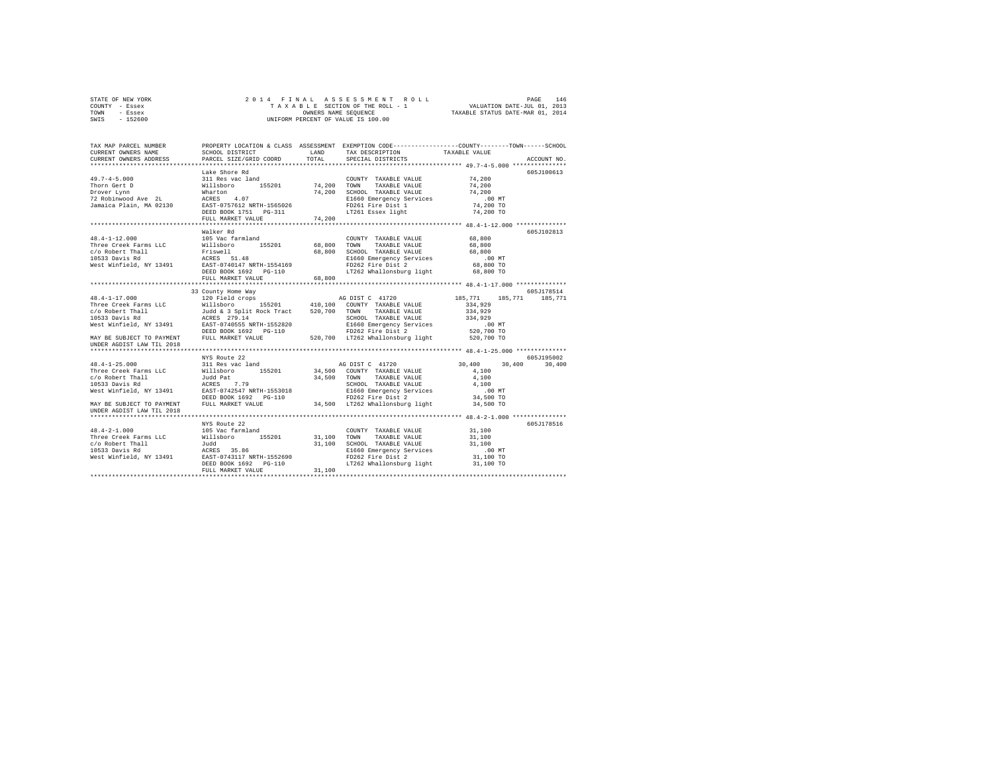| STATE OF NEW YORK | 2014 FINAL ASSESSMENT ROLL         | 146<br>PAGE                      |
|-------------------|------------------------------------|----------------------------------|
| COUNTY - Essex    | TAXABLE SECTION OF THE ROLL - 1    | VALUATION DATE-JUL 01, 2013      |
| TOWN<br>- Essex   | OWNERS NAME SEOUENCE               | TAXABLE STATUS DATE-MAR 01, 2014 |
| $-152600$<br>SWIS | UNIFORM PERCENT OF VALUE IS 100.00 |                                  |

| TAX MAP PARCEL NUMBER                                                                                                                                                                                                                                 | PROPERTY LOCATION & CLASS ASSESSMENT EXEMPTION CODE-----------------COUNTY-------TOWN------SCHOOL |                             |             |               |
|-------------------------------------------------------------------------------------------------------------------------------------------------------------------------------------------------------------------------------------------------------|---------------------------------------------------------------------------------------------------|-----------------------------|-------------|---------------|
|                                                                                                                                                                                                                                                       |                                                                                                   |                             |             |               |
|                                                                                                                                                                                                                                                       |                                                                                                   |                             |             | ACCOUNT NO.   |
|                                                                                                                                                                                                                                                       |                                                                                                   |                             |             | 605J100613    |
|                                                                                                                                                                                                                                                       |                                                                                                   | COUNTY TAXABLE VALUE 74,200 |             |               |
|                                                                                                                                                                                                                                                       |                                                                                                   |                             | 74,200      |               |
|                                                                                                                                                                                                                                                       |                                                                                                   |                             | 74,200      |               |
|                                                                                                                                                                                                                                                       |                                                                                                   |                             | $.00$ MT    |               |
|                                                                                                                                                                                                                                                       |                                                                                                   |                             | $74,200$ TO |               |
|                                                                                                                                                                                                                                                       |                                                                                                   |                             | 74,200 TO   |               |
|                                                                                                                                                                                                                                                       | FULL MARKET VALUE 74,200                                                                          |                             |             |               |
|                                                                                                                                                                                                                                                       |                                                                                                   |                             |             |               |
|                                                                                                                                                                                                                                                       | Walker Rd                                                                                         |                             |             | 605J102813    |
|                                                                                                                                                                                                                                                       |                                                                                                   |                             |             |               |
|                                                                                                                                                                                                                                                       |                                                                                                   |                             |             |               |
|                                                                                                                                                                                                                                                       |                                                                                                   |                             |             |               |
|                                                                                                                                                                                                                                                       |                                                                                                   |                             |             |               |
|                                                                                                                                                                                                                                                       |                                                                                                   |                             |             |               |
| 48.4-1-12.000 105 Walker Rd<br>Three Creek Farms LLC (1915 Wallsboro 155201 68,800 TOWN TAXABLE VALUE 68,800<br>105 Washer This (1920) 15201 68,800 TOWN TAXABLE VALUE 68,800<br>1053 Davis Rd<br>1053 Davis Rd<br>1053 Davis Rd<br>1053 D            |                                                                                                   |                             |             |               |
|                                                                                                                                                                                                                                                       |                                                                                                   |                             |             |               |
|                                                                                                                                                                                                                                                       |                                                                                                   |                             |             |               |
| 48.4-1-17.000 33 County Home Way<br>48.4-1-17.000 33 County Home Way<br>Three Creek Farms LLC Willisboro 155201 410,100 COUNTY TAXABLE VALUE 334,929<br>$(2)$ County TAXABLE VALUE 334,929<br>$(10)$ COUNTY TAXABLE VALUE 334,929<br>$(1$             |                                                                                                   |                             |             |               |
|                                                                                                                                                                                                                                                       |                                                                                                   |                             |             |               |
|                                                                                                                                                                                                                                                       |                                                                                                   |                             |             |               |
|                                                                                                                                                                                                                                                       |                                                                                                   |                             |             |               |
|                                                                                                                                                                                                                                                       |                                                                                                   |                             |             |               |
|                                                                                                                                                                                                                                                       |                                                                                                   |                             |             |               |
|                                                                                                                                                                                                                                                       |                                                                                                   |                             |             |               |
| UNDER AGDIST LAW TIL 2018                                                                                                                                                                                                                             |                                                                                                   |                             |             |               |
|                                                                                                                                                                                                                                                       |                                                                                                   |                             |             |               |
|                                                                                                                                                                                                                                                       | NYS Route 22                                                                                      |                             |             | 605J195002    |
|                                                                                                                                                                                                                                                       |                                                                                                   |                             |             | 30,400 30,400 |
|                                                                                                                                                                                                                                                       |                                                                                                   |                             |             |               |
|                                                                                                                                                                                                                                                       |                                                                                                   |                             |             |               |
|                                                                                                                                                                                                                                                       |                                                                                                   |                             |             |               |
|                                                                                                                                                                                                                                                       |                                                                                                   |                             |             |               |
|                                                                                                                                                                                                                                                       |                                                                                                   |                             |             |               |
| UNDER AGDIST LAW TIL 2018                                                                                                                                                                                                                             |                                                                                                   |                             |             |               |
|                                                                                                                                                                                                                                                       |                                                                                                   |                             |             |               |
|                                                                                                                                                                                                                                                       | NYS Route 22                                                                                      |                             |             | 605J178516    |
|                                                                                                                                                                                                                                                       |                                                                                                   |                             |             |               |
|                                                                                                                                                                                                                                                       |                                                                                                   |                             |             |               |
|                                                                                                                                                                                                                                                       |                                                                                                   |                             |             |               |
|                                                                                                                                                                                                                                                       |                                                                                                   |                             |             |               |
|                                                                                                                                                                                                                                                       |                                                                                                   |                             |             |               |
|                                                                                                                                                                                                                                                       |                                                                                                   |                             |             |               |
| 48.4-2-1.000<br>105 Vac farmland<br>105 Vac farmland<br>105 Vac farmland<br>105 Vac farmland<br>105201<br>105000 31,100 TOWIY TAXABLE VALUE<br>10513 Davis Rd<br>106533 Davis Rd<br>10533 Davis Rd<br>10533 Davis Rd<br>10533 Davis Rd<br>10533 Davis |                                                                                                   |                             |             |               |
|                                                                                                                                                                                                                                                       |                                                                                                   |                             |             |               |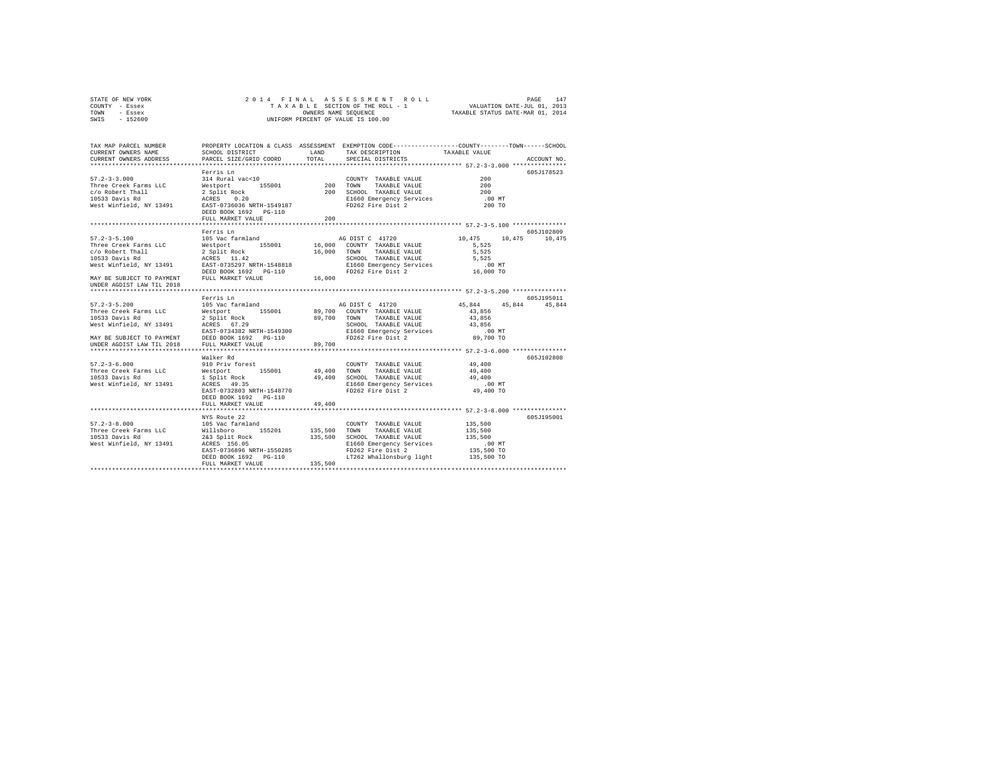| STATE OF NEW YORK | 2014 FINAL ASSESSMENT ROLL         | 147<br>PAGE                      |
|-------------------|------------------------------------|----------------------------------|
| COUNTY - Essex    | TAXABLE SECTION OF THE ROLL - 1    | VALUATION DATE-JUL 01, 2013      |
| TOWN<br>- Essex   | OWNERS NAME SEOUENCE               | TAXABLE STATUS DATE-MAR 01, 2014 |
| $-152600$<br>SWIS | UNIFORM PERCENT OF VALUE IS 100.00 |                                  |

| TAX MAP PARCEL NUMBER<br>CURRENT OWNERS NAME<br>CURRENT OWNERS ADDRESS                                                                                                                   | SCHOOL DISTRICT<br>PARCEL SIZE/GRID COORD                                                                                                                            | LAND<br>TOTAL           | TAX DESCRIPTION TAXABLE VALUE<br>SPECIAL DISTRICTS                                                                                                            | PROPERTY LOCATION & CLASS ASSESSMENT EXEMPTION CODE---------------COUNTY-------TOWN-----SCHOOL<br>ACCOUNT NO.     |
|------------------------------------------------------------------------------------------------------------------------------------------------------------------------------------------|----------------------------------------------------------------------------------------------------------------------------------------------------------------------|-------------------------|---------------------------------------------------------------------------------------------------------------------------------------------------------------|-------------------------------------------------------------------------------------------------------------------|
| $57.2 - 3 - 3.000$<br>Three Creek Farms LLC<br>c/o Robert Thall<br>10533 Davis Rd<br>West Winfield, NY 13491                                                                             | Ferris Ln<br>314 Rural vac<10<br>Westport 155001 200 TOWN<br>2 Split Rock<br>ACRES 0.20<br>EAST-0736036 NRTH-1549187<br>DEED BOOK 1692 PG-110<br>FULL MARKET VALUE   | 200                     | COUNTY TAXABLE VALUE<br>TAXABLE VALUE<br>200 SCHOOL TAXABLE VALUE<br>SCHOOL TAXABLE VALUE<br>E1660 Emergency Services<br>FD262 Fire Dist 2                    | 605J178523<br>200<br>200<br>200<br>.00 MT<br>200 TO<br>*************** 57.2-3-5.100 ****************              |
| $57.2 - 3 - 5.100$<br>Three Creek Farms LLC<br>c/o Robert Thall<br>10533 Davis Rd<br>West Winfield, NY 13491<br>MAY BE SUBJECT TO PAYMENT FULL MARKET VALUE<br>UNDER AGDIST LAW TIL 2018 | Ferris Ln<br>105 Vac farmland<br>155001<br>Westport<br>2 Split Rock<br>ACRES 11.42<br>EAST-0735297 NRTH-1548818<br>DEED BOOK 1692    PG-110                          | 16,000<br>16,000        | AG DIST C 41720<br>16,000 COUNTY TAXABLE VALUE<br>TOWN<br>TAXABLE VALUE<br>SCHOOL TAXABLE VALUE<br>E1660 Emergency Services<br>FD262 Fire Dist 2              | 605J102809<br>10,475 10,475<br>10,475<br>5.525<br>5.525<br>5,525<br>$.00$ MT<br>16,000 TO                         |
| $57.2 - 3 - 5.200$<br>Three Creek Farms LLC<br>10533 Davis Rd<br>West Winfield, NY 13491<br>MAY BE SUBJECT TO PAYMENT<br>UNDER AGDIST LAW TIL 2018                                       | Ferris Ln<br>105 Vac farmland<br>Westport 155001<br>2 Split Rock<br>ACRES 67.29<br>EAST-0734382 NRTH-1549300<br>DEED BOOK 1692 PG-110<br>FULL MARKET VALUE           | 89,700                  | AG DIST C 41720<br>89,700 COUNTY TAXABLE VALUE<br>89,700 TOWN TAXABLE VALUE<br>SCHOOL TAXABLE VALUE<br>E1660 Emergency Services<br>FD262 Fire Dist 2          | 605-195011<br>45,844<br>45,844 45,844<br>43,856<br>43,856<br>43,856<br>$.00$ MT<br>89,700 TO                      |
| $57.2 - 3 - 6.000$<br>Three Creek Farms LLC<br>10533 Davis Rd<br>West Winfield, NY 13491                                                                                                 | Walker Rd<br>910 Priv forest<br>Westport 155001<br>1 Split Rock<br>ACRES 49.35<br>EAST-0732803 NRTH-1548770<br>DEED BOOK 1692 PG-110<br>FULL MARKET VALUE            | 49,400                  | COUNTY TAXABLE VALUE 49,400<br>49.400 TOWN TAXABLE VALUE<br>49,400 SCHOOL TAXABLE VALUE<br>E1660 Emergency Services<br>FD262 Fire Dist 2                      | **************************** 57.2-3-6.000 **************<br>605J102808<br>49,400<br>49,400<br>.00 MT<br>49,400 TO |
| $57.2 - 3 - 8.000$<br>Three Creek Farms LLC<br>10533 Davis Rd<br>West Winfield, NY 13491                                                                                                 | NYS Route 22<br>105 Vac farmland<br>Willsboro<br>155201<br>2&3 Split Rock<br>ACRES 156.05<br>EAST-0736896 NRTH-1550285<br>DEED BOOK 1692 PG-110<br>FULL MARKET VALUE | 135,500 TOWN<br>135,500 | COUNTY TAXABLE VALUE<br>TAXABLE VALUE<br>135,500 SCHOOL TAXABLE VALUE<br>E1660 Emergency Services<br>FD262 Fire Dist 2<br>LT262 Whallonsburg light 135,500 TO | 605-7195001<br>135,500<br>135,500<br>135,500<br>.00 MT<br>135,500 TO                                              |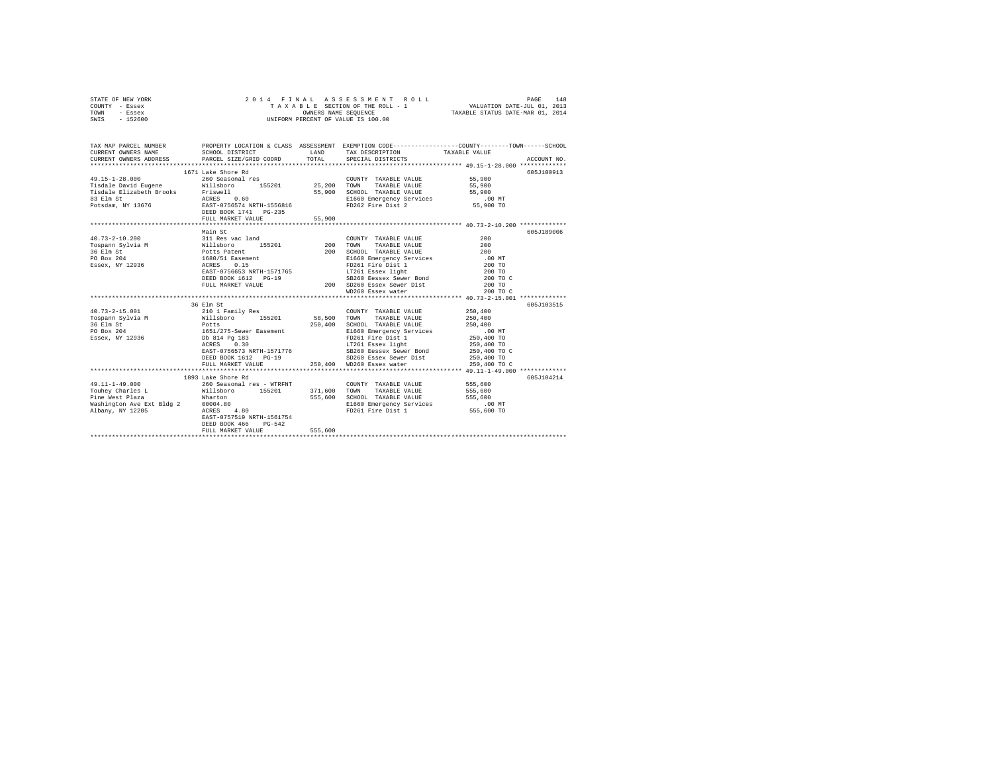|      | STATE OF NEW YORK |                      |  |  |  | 2014 FINAL ASSESSMENT ROLL         | PAGE                             | 148 |
|------|-------------------|----------------------|--|--|--|------------------------------------|----------------------------------|-----|
|      | COUNTY - Essex    |                      |  |  |  | TAXABLE SECTION OF THE ROLL - 1    | VALUATION DATE-JUL 01, 2013      |     |
| TOWN | - Essex           | OWNERS NAME SEOUENCE |  |  |  |                                    | TAXABLE STATUS DATE-MAR 01, 2014 |     |
| SWIS | - 152600          |                      |  |  |  | UNIFORM PERCENT OF VALUE IS 100.00 |                                  |     |

| TAX MAP PARCEL NUMBER                                                                                                                                                                                                                                                            |                                                                                                                                |         |                                                                                                                                                                                                                                                                                                                    | PROPERTY LOCATION & CLASS ASSESSMENT EXEMPTION CODE----------------COUNTY-------TOWN------SCHOOL |
|----------------------------------------------------------------------------------------------------------------------------------------------------------------------------------------------------------------------------------------------------------------------------------|--------------------------------------------------------------------------------------------------------------------------------|---------|--------------------------------------------------------------------------------------------------------------------------------------------------------------------------------------------------------------------------------------------------------------------------------------------------------------------|--------------------------------------------------------------------------------------------------|
| 49.15-1-28.000 260 Seasonal res                                                                                                                                                                                                                                                  | 1671 Lake Shore Rd<br>FULL MARKET VALUE                                                                                        | 55.900  | COUNTY TAXABLE VALUE 55,900                                                                                                                                                                                                                                                                                        | 605J100913                                                                                       |
|                                                                                                                                                                                                                                                                                  | FULL MARKET VALUE                                                                                                              |         | DEED BOOK 1612 PG-19 SB260 Eessex Sewer Bond 200 TO C<br>200 SD260 Essex Sewer Dist<br>WD260 Essex water                                                                                                                                                                                                           | 605J189006<br>200 TO<br>200 TO C                                                                 |
| $40.73 - 2 - 15.001$<br>To-box 250,400<br>Tospann Sylvia Millisboro 155201 58,500 TOWN TAXABLE VALUE 250,400<br>36 Elm St Ports Ports 250,400 SCHOOL TAXABLE VALUE 250,400<br>PO Box 204 1651/275-Sewer Easement E1660 Emergency Services 00 MT<br>Essex, NY 12936 Db 814 Pg 183 | 36 Elm St<br>210 1 Family Res<br>ACRES 0.30                                                                                    |         | COUNTY TAXABLE VALUE 250,400<br>$FD261$ Fire Dist 1 250,400 TO<br>LT261 Essex light<br>ACAST-0756573 NRTH-1571776 202260 ESSEX Sewer Bond 250,400 TO C<br>DEED BOOK 1612 PG-19 3D260 ESSEX Sewer Dist 250,400 TO C<br>DEED BOOK 1612 PG-19<br>PEED BOOK 1612 PG-19<br>PHILL MARKET VALUE 250,400 WD260 Essex water | 605J103515<br>250,400 TO<br>250,400 TO C                                                         |
| $49.11 - 1 - 49.000$<br>Touhey Charles L                                                                                                                                                                                                                                         | 1893 Lake Shore Rd<br>260 Seasonal res - WTRFNT<br>EAST-0757519 NRTH-1561754<br>DEED BOOK 466<br>$PG-542$<br>FULL MARKET VALUE | 555,600 | COUNTY TAXABLE VALUE 555,600<br>Willsboro 155201 371,600 TOWN TAXABLE VALUE 555,600<br>555,600 SCHOOL TAXABLE VALUE<br>E1660 Emergency Services (00 MT<br>FD261 Fire Dist 1 555,600 TO                                                                                                                             | 605J104214                                                                                       |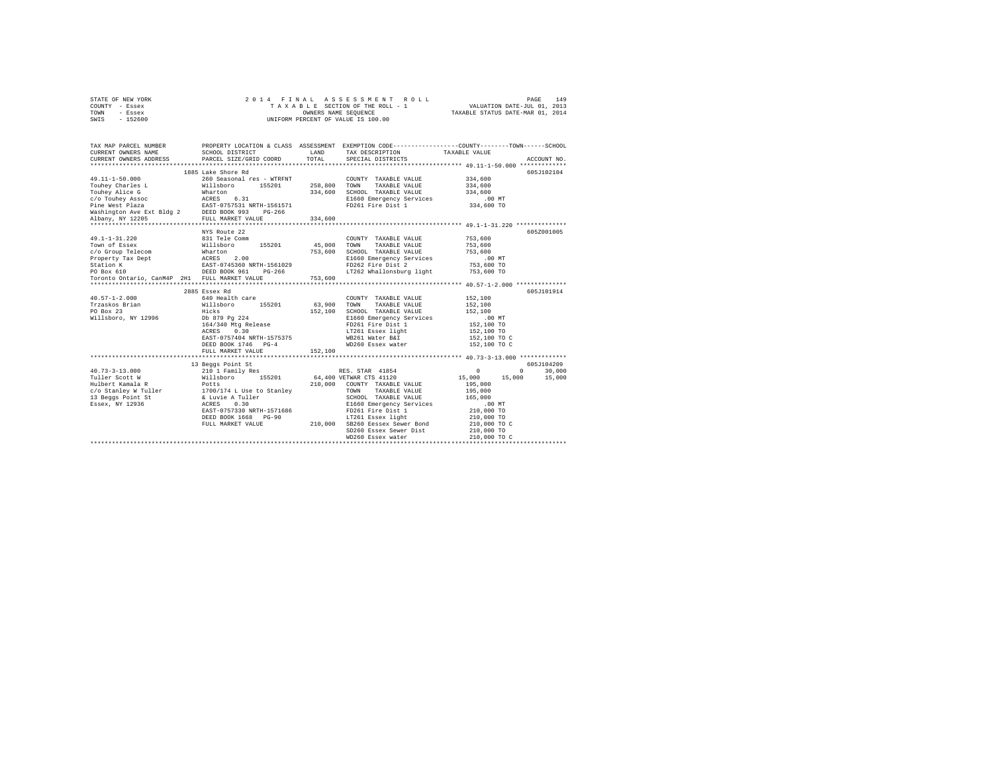| STATE OF NEW YORK | 2014 FINAL ASSESSMENT ROLL         | 149<br>PAGE                      |
|-------------------|------------------------------------|----------------------------------|
| COUNTY - Essex    | TAXABLE SECTION OF THE ROLL - 1    | VALUATION DATE-JUL 01, 2013      |
| TOWN<br>- Essex   | OWNERS NAME SEOUENCE               | TAXABLE STATUS DATE-MAR 01, 2014 |
| $-152600$<br>SWIS | UNIFORM PERCENT OF VALUE IS 100.00 |                                  |

| TAX MAP PARCEL NUMBER<br>CURRENT OWNERS NAME<br>CURRENT OWNERS ADDRESS PARCEL SIZE/GRID COORD                                                                                                                                                  | SCHOOL DISTRICT                   | LAND<br>TOTAL  | PROPERTY LOCATION & CLASS ASSESSMENT EXEMPTION CODE---------------COUNTY-------TOWN------SCHOOL<br>TAX DESCRIPTION TAXABLE VALUE SPECIAL DISTRICTS                                                                            |                      | ACCOUNT NO. |
|------------------------------------------------------------------------------------------------------------------------------------------------------------------------------------------------------------------------------------------------|-----------------------------------|----------------|-------------------------------------------------------------------------------------------------------------------------------------------------------------------------------------------------------------------------------|----------------------|-------------|
|                                                                                                                                                                                                                                                | 1885 Lake Shore Rd                |                |                                                                                                                                                                                                                               |                      | 605J102104  |
| 49.11-1-50.000                                                                                                                                                                                                                                 | 260 Seasonal res - WTRFNT         |                | COUNTY TAXABLE VALUE 334,600                                                                                                                                                                                                  |                      |             |
|                                                                                                                                                                                                                                                |                                   |                |                                                                                                                                                                                                                               | 334,600              |             |
|                                                                                                                                                                                                                                                |                                   |                |                                                                                                                                                                                                                               | 334,600              |             |
|                                                                                                                                                                                                                                                |                                   |                | E1660 Emergency Services                                                                                                                                                                                                      | $.00$ MT             |             |
|                                                                                                                                                                                                                                                |                                   |                |                                                                                                                                                                                                                               | 334,600 TO           |             |
| To The Company of the Millsboro and the Millsboro and the Millsboro and The Company Allies (2011)<br>Touhey Allies Company and the Millsboro and the SAS (314,600 STOWN TAXABLE VALUE<br>Touhey Allies (2011) The Mest Pass (2012)             |                                   |                |                                                                                                                                                                                                                               |                      |             |
|                                                                                                                                                                                                                                                |                                   |                |                                                                                                                                                                                                                               |                      |             |
|                                                                                                                                                                                                                                                |                                   |                |                                                                                                                                                                                                                               |                      |             |
|                                                                                                                                                                                                                                                | NYS Route 22                      |                |                                                                                                                                                                                                                               |                      | 605Z001005  |
|                                                                                                                                                                                                                                                |                                   |                | COUNTY TAXABLE VALUE                                                                                                                                                                                                          | 753,600              |             |
|                                                                                                                                                                                                                                                |                                   |                | TAXABLE VALUE                                                                                                                                                                                                                 | 753,600              |             |
|                                                                                                                                                                                                                                                |                                   |                | SCHOOL TAXABLE VALUE                                                                                                                                                                                                          | 753,600              |             |
| 1981 - 1982<br>1992 - Property Tax Dept<br>200 - Station K<br>200 - Station K<br>200 - 201 - 2012 - 2013 - 2014<br>2015 - 2014 - 2015 - 2016 - 2014<br>2015 - 2014 - 2015 - 2016 - 2014<br>2015 - 2014 - 2015 - 2016 - 2014 - 2014<br>2015 - 2 |                                   | 753,600        | E1660 Emergency Services                                                                                                                                                                                                      | .00 MT               |             |
|                                                                                                                                                                                                                                                |                                   |                | FD262 Fire Dist 2                                                                                                                                                                                                             | 753,600 TO           |             |
|                                                                                                                                                                                                                                                |                                   |                | LT262 Whallonsburg light 753,600 TO                                                                                                                                                                                           |                      |             |
| Toronto Ontario, CanM4P 2H1 FULL MARKET VALUE                                                                                                                                                                                                  |                                   | 753,600        |                                                                                                                                                                                                                               |                      |             |
|                                                                                                                                                                                                                                                |                                   | ************** | ************************************ 40.57-1-2.000 ***************                                                                                                                                                            |                      |             |
|                                                                                                                                                                                                                                                | 2885 Essex Rd                     |                |                                                                                                                                                                                                                               |                      | 605-7101914 |
| $40.57 - 1 - 2.000$                                                                                                                                                                                                                            | 640 Health care                   |                | COUNTY TAXABLE VALUE 152,100                                                                                                                                                                                                  |                      |             |
|                                                                                                                                                                                                                                                |                                   |                | 63,900 TOWN TAXABLE VALUE                                                                                                                                                                                                     | 152,100              |             |
|                                                                                                                                                                                                                                                |                                   | 152,100        | SCHOOL TAXABLE VALUE                                                                                                                                                                                                          | 152,100              |             |
|                                                                                                                                                                                                                                                |                                   |                | E1660 Emergency Services                                                                                                                                                                                                      |                      |             |
|                                                                                                                                                                                                                                                |                                   |                |                                                                                                                                                                                                                               | 00 MT.<br>152,100 TO |             |
|                                                                                                                                                                                                                                                | 164/340 Mtg Release<br>ACRES 0.30 |                | FD261 Fire Dist 1<br>LT261 Essex light                                                                                                                                                                                        | 152,100 TO           |             |
|                                                                                                                                                                                                                                                |                                   |                | EAST-0757404 NRTH-1575375 WB261 Water B&I                                                                                                                                                                                     | 152,100 TO C         |             |
|                                                                                                                                                                                                                                                | DEED BOOK 1746 PG-4               |                | WD260 Essex water                                                                                                                                                                                                             | 152,100 TO C         |             |
|                                                                                                                                                                                                                                                | FULL MARKET VALUE                 | 152,100        |                                                                                                                                                                                                                               |                      |             |
|                                                                                                                                                                                                                                                |                                   |                |                                                                                                                                                                                                                               |                      |             |
|                                                                                                                                                                                                                                                | 13 Beggs Point St                 |                |                                                                                                                                                                                                                               |                      | 605J104209  |
|                                                                                                                                                                                                                                                |                                   |                |                                                                                                                                                                                                                               | $\mathbf{r}$         | 30,000      |
|                                                                                                                                                                                                                                                |                                   |                |                                                                                                                                                                                                                               | 15,000               | 15,000      |
|                                                                                                                                                                                                                                                |                                   |                |                                                                                                                                                                                                                               |                      |             |
|                                                                                                                                                                                                                                                |                                   |                |                                                                                                                                                                                                                               |                      |             |
|                                                                                                                                                                                                                                                |                                   |                |                                                                                                                                                                                                                               |                      |             |
|                                                                                                                                                                                                                                                |                                   |                |                                                                                                                                                                                                                               |                      |             |
|                                                                                                                                                                                                                                                |                                   |                |                                                                                                                                                                                                                               |                      |             |
|                                                                                                                                                                                                                                                |                                   |                |                                                                                                                                                                                                                               |                      |             |
|                                                                                                                                                                                                                                                |                                   |                | دم 1.30 در 17AXABLE VALUE<br>216,000 EAST-0757330 NRTH-1571686 E1660 Emergency Services<br>210,000 TORED BOOK 1668 PG-90 17261 Exercise 1.00 MT<br>210,000 TO 17261 Essex light 210,000 TO<br>210,000 SB260 Eessex Sewar Pord | 210,000 TO C         |             |
|                                                                                                                                                                                                                                                |                                   |                |                                                                                                                                                                                                                               |                      |             |
|                                                                                                                                                                                                                                                |                                   |                | WD260 Essex water                                                                                                                                                                                                             | 210,000 TO C         |             |
|                                                                                                                                                                                                                                                |                                   |                |                                                                                                                                                                                                                               |                      |             |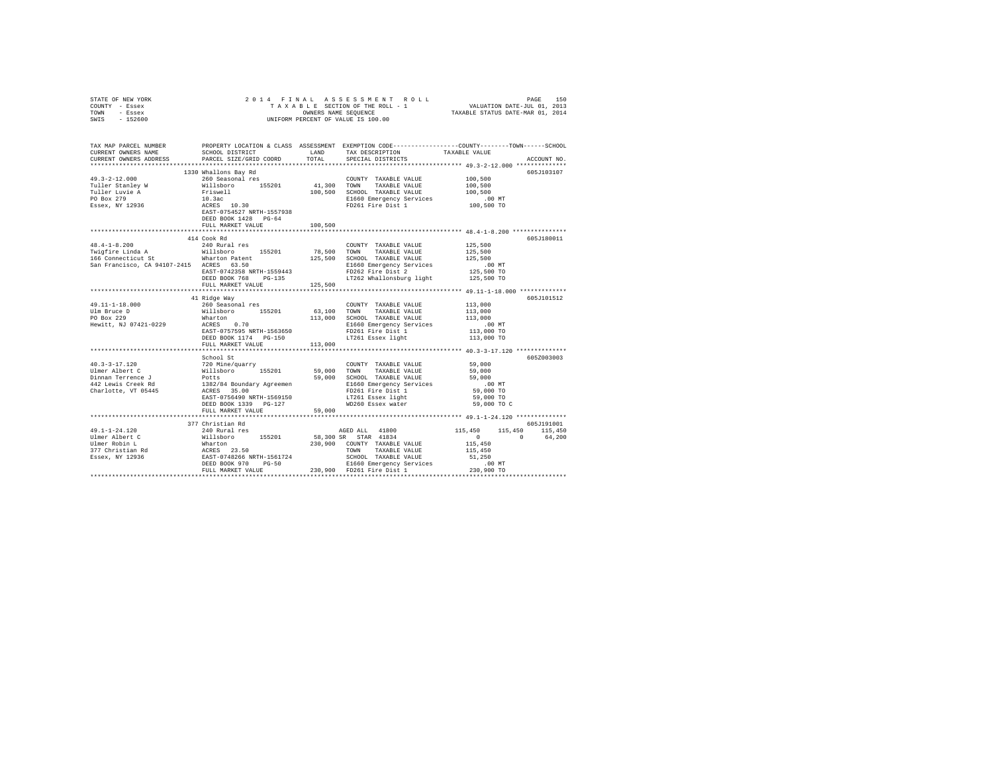| STATE OF NEW YORK<br>COUNTY - Essex<br>TOWN - Essex<br>$-152600$<br>SWIS                                                                                                                                                                                                                                                                                                                | OWNERS NAME SEQUENCE<br>UNIFORM PERCENT OF VALUE IS 100.00                                                                                                                                                                     |         |                                                                                                                                                                                                     |                                                |             |
|-----------------------------------------------------------------------------------------------------------------------------------------------------------------------------------------------------------------------------------------------------------------------------------------------------------------------------------------------------------------------------------------|--------------------------------------------------------------------------------------------------------------------------------------------------------------------------------------------------------------------------------|---------|-----------------------------------------------------------------------------------------------------------------------------------------------------------------------------------------------------|------------------------------------------------|-------------|
| TAX MAP PARCEL NUMBER PROPERTY LOCATION & CLASS ASSESSMENT EXEMPTION CODE---------------COUNTY-------TOWN------SCHOOL                                                                                                                                                                                                                                                                   |                                                                                                                                                                                                                                |         |                                                                                                                                                                                                     |                                                |             |
| CURRENT OWNERS NAME<br>CURRENT OWNERS ADDRESS                                                                                                                                                                                                                                                                                                                                           | SCHOOL DISTRICT LAND<br>PARCEL SIZE/GRID COORD                                                                                                                                                                                 | TOTAL   | TAX DESCRIPTION<br>SPECIAL DISTRICTS                                                                                                                                                                | TAXABLE VALUE                                  | ACCOUNT NO. |
|                                                                                                                                                                                                                                                                                                                                                                                         |                                                                                                                                                                                                                                |         |                                                                                                                                                                                                     |                                                |             |
|                                                                                                                                                                                                                                                                                                                                                                                         | 1330 Whallons Bay Rd                                                                                                                                                                                                           |         |                                                                                                                                                                                                     |                                                | 605J103107  |
| $49.3 - 2 - 12.000$                                                                                                                                                                                                                                                                                                                                                                     |                                                                                                                                                                                                                                |         | COUNTY TAXABLE VALUE                                                                                                                                                                                | 100,500                                        |             |
| Tuller Stanley W                                                                                                                                                                                                                                                                                                                                                                        |                                                                                                                                                                                                                                |         | 41,300 TOWN TAXABLE VALUE                                                                                                                                                                           | 100,500                                        |             |
| Tuller Luvie A<br>DO Box 279                                                                                                                                                                                                                                                                                                                                                            |                                                                                                                                                                                                                                |         | 100.500 SCHOOL TAXABLE VALUE                                                                                                                                                                        | 100,500                                        |             |
| PO Box 279<br>Essex, NY 12936                                                                                                                                                                                                                                                                                                                                                           |                                                                                                                                                                                                                                |         | E1660 Emergency Services<br>FD261 Fire Dist 1                                                                                                                                                       | $.00$ MT<br>100,500 TO                         |             |
|                                                                                                                                                                                                                                                                                                                                                                                         | 1990 Marianus Bay Axia<br>100 Seasonal res<br>1118boro 155201 11,30<br>10.30<br>200 ACRES 10.30<br>200 EAST-0754527 NRTH-1557938<br>2000 DEAST-0754527 NRTH-1557938<br>2000 DEAST-0754527 NRTH-1557938<br>2000 DEAST AND PO-64 |         |                                                                                                                                                                                                     |                                                |             |
|                                                                                                                                                                                                                                                                                                                                                                                         | FULL MARKET VALUE                                                                                                                                                                                                              | 100,500 |                                                                                                                                                                                                     |                                                |             |
|                                                                                                                                                                                                                                                                                                                                                                                         | 414 Cook Rd                                                                                                                                                                                                                    |         |                                                                                                                                                                                                     |                                                | 605J180011  |
| $48.4 - 1 - 8.200$                                                                                                                                                                                                                                                                                                                                                                      | 240 Rural res                                                                                                                                                                                                                  |         | COUNTY TAXABLE VALUE                                                                                                                                                                                | 125,500                                        |             |
|                                                                                                                                                                                                                                                                                                                                                                                         |                                                                                                                                                                                                                                |         | 78,500 TOWN TAXABLE VALUE                                                                                                                                                                           | 125,500                                        |             |
| Twigfire Linda A Willsboro 155201<br>156 Connecticut St What Connecticut St San Francisco, CA 94107-2415<br>San Francisco, CA 94107-2415 ACRES 63.50                                                                                                                                                                                                                                    |                                                                                                                                                                                                                                |         | 125,500 SCHOOL TAXABLE VALUE                                                                                                                                                                        | 125,500                                        |             |
|                                                                                                                                                                                                                                                                                                                                                                                         |                                                                                                                                                                                                                                |         |                                                                                                                                                                                                     |                                                |             |
|                                                                                                                                                                                                                                                                                                                                                                                         |                                                                                                                                                                                                                                |         |                                                                                                                                                                                                     |                                                |             |
|                                                                                                                                                                                                                                                                                                                                                                                         | FULL MARKET VALUE                                                                                                                                                                                                              | 125,500 |                                                                                                                                                                                                     |                                                |             |
|                                                                                                                                                                                                                                                                                                                                                                                         |                                                                                                                                                                                                                                |         |                                                                                                                                                                                                     |                                                |             |
|                                                                                                                                                                                                                                                                                                                                                                                         | 41 Ridge Way                                                                                                                                                                                                                   |         |                                                                                                                                                                                                     |                                                | 605J101512  |
| 49.11-1-18.000                                                                                                                                                                                                                                                                                                                                                                          | 260 Seasonal res                                                                                                                                                                                                               |         | COUNTY TAXABLE VALUE 113,000                                                                                                                                                                        | 113,000                                        |             |
|                                                                                                                                                                                                                                                                                                                                                                                         |                                                                                                                                                                                                                                |         |                                                                                                                                                                                                     | 113,000                                        |             |
|                                                                                                                                                                                                                                                                                                                                                                                         |                                                                                                                                                                                                                                |         |                                                                                                                                                                                                     | $.00$ MT                                       |             |
|                                                                                                                                                                                                                                                                                                                                                                                         |                                                                                                                                                                                                                                |         |                                                                                                                                                                                                     | 113,000 TO                                     |             |
|                                                                                                                                                                                                                                                                                                                                                                                         |                                                                                                                                                                                                                                |         | LT261 Essex light                                                                                                                                                                                   | 113,000 TO                                     |             |
|                                                                                                                                                                                                                                                                                                                                                                                         | FULL MARKET VALUE                                                                                                                                                                                                              | 113,000 |                                                                                                                                                                                                     |                                                |             |
|                                                                                                                                                                                                                                                                                                                                                                                         | School St                                                                                                                                                                                                                      |         |                                                                                                                                                                                                     |                                                | 605Z003003  |
|                                                                                                                                                                                                                                                                                                                                                                                         |                                                                                                                                                                                                                                |         | $\begin{tabular}{lllllllllll} \multicolumn{2}{c}{\textbf{COUNTY}} & \textbf{TAXABLE VALUE} & & & & 59,000 \\ \multicolumn{2}{c}{\textbf{TOWN}} & \textbf{TAXABLE VALUE} & & & 59,000 \end{tabular}$ |                                                |             |
|                                                                                                                                                                                                                                                                                                                                                                                         |                                                                                                                                                                                                                                |         |                                                                                                                                                                                                     |                                                |             |
|                                                                                                                                                                                                                                                                                                                                                                                         |                                                                                                                                                                                                                                |         |                                                                                                                                                                                                     | 59,000                                         |             |
|                                                                                                                                                                                                                                                                                                                                                                                         |                                                                                                                                                                                                                                |         |                                                                                                                                                                                                     | $.00$ MT<br>59,000 TO                          |             |
|                                                                                                                                                                                                                                                                                                                                                                                         |                                                                                                                                                                                                                                |         |                                                                                                                                                                                                     | 59,000 TO                                      |             |
|                                                                                                                                                                                                                                                                                                                                                                                         | DEED BOOK 1339 PG-127                                                                                                                                                                                                          |         | LT261 Essex light<br>WD260 Essex water                                                                                                                                                              | 59,000 TO C                                    |             |
|                                                                                                                                                                                                                                                                                                                                                                                         | FULL MARKET VALUE                                                                                                                                                                                                              | 59,000  |                                                                                                                                                                                                     |                                                |             |
|                                                                                                                                                                                                                                                                                                                                                                                         |                                                                                                                                                                                                                                |         |                                                                                                                                                                                                     |                                                |             |
|                                                                                                                                                                                                                                                                                                                                                                                         | 377 Christian Rd                                                                                                                                                                                                               |         |                                                                                                                                                                                                     | 115,450<br>115,450 115,450                     | 605J191001  |
| 49.1-1-24.120<br>Ulmer Albert C                                                                                                                                                                                                                                                                                                                                                         |                                                                                                                                                                                                                                |         |                                                                                                                                                                                                     | $\begin{array}{ccc} & & 0 & & & 0 \end{array}$ | 64,200      |
|                                                                                                                                                                                                                                                                                                                                                                                         |                                                                                                                                                                                                                                |         |                                                                                                                                                                                                     | 115,450                                        |             |
|                                                                                                                                                                                                                                                                                                                                                                                         |                                                                                                                                                                                                                                |         |                                                                                                                                                                                                     | 115,450                                        |             |
|                                                                                                                                                                                                                                                                                                                                                                                         |                                                                                                                                                                                                                                |         |                                                                                                                                                                                                     | 51,250                                         |             |
| $\begin{tabular}{l c c c c c} \multicolumn{1}{c}{\textbf{49.1--1--24.120}} & \multicolumn{1}{c}{\textbf{49.1--24.120}} & \multicolumn{1}{c}{\textbf{A9.1--24.120}} & \multicolumn{1}{c}{\textbf{A9.1--24.120}} & \multicolumn{1}{c}{\textbf{A9.1--24.120}} & \multicolumn{1}{c}{\textbf{A9.1--24.120}} & \multicolumn{1}{c}{\textbf{A9.1--24.120}} & \multicolumn{1}{c}{\textbf{A9.1--$ |                                                                                                                                                                                                                                |         |                                                                                                                                                                                                     | $.00$ MT<br>230,900 TO                         |             |
|                                                                                                                                                                                                                                                                                                                                                                                         |                                                                                                                                                                                                                                |         |                                                                                                                                                                                                     |                                                |             |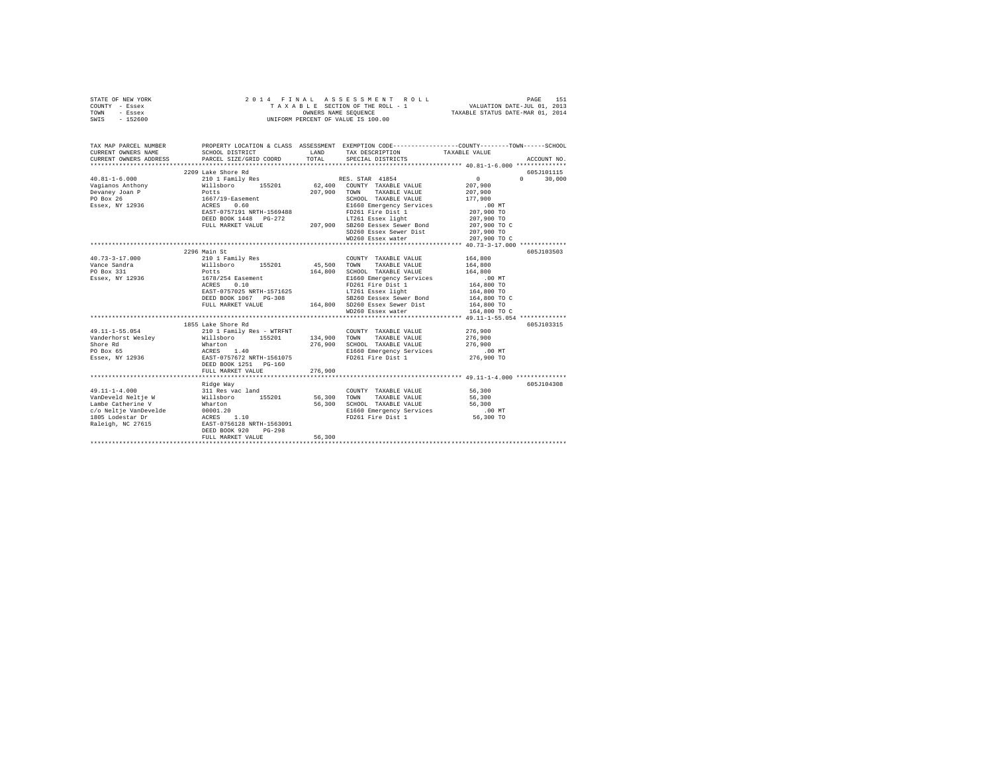| STATE OF NEW YORK |  | 2014 FINAL ASSESSMENT ROLL         | PAGE                             | 151 |
|-------------------|--|------------------------------------|----------------------------------|-----|
| COUNTY - Essex    |  | TAXABLE SECTION OF THE ROLL - 1    | VALUATION DATE-JUL 01, 2013      |     |
| TOWN<br>- Essex   |  | OWNERS NAME SEOUENCE               | TAXABLE STATUS DATE-MAR 01, 2014 |     |
| SWIS - 152600     |  | UNIFORM PERCENT OF VALUE IS 100.00 |                                  |     |

| TAX MAP PARCEL NUMBER                                                                                                                                                                                                                            | PROPERTY LOCATION & CLASS ASSESSMENT EXEMPTION CODE----------------COUNTY-------TOWN------SCHOOL                                                     |         |                                                                |                              |                                  |
|--------------------------------------------------------------------------------------------------------------------------------------------------------------------------------------------------------------------------------------------------|------------------------------------------------------------------------------------------------------------------------------------------------------|---------|----------------------------------------------------------------|------------------------------|----------------------------------|
|                                                                                                                                                                                                                                                  |                                                                                                                                                      |         |                                                                |                              |                                  |
| $40.81 - 1 - 6.000$                                                                                                                                                                                                                              | 2209 Lake Shore Rd<br>210 1 Family Res                                                                                                               |         | RES. STAR 41854                                                | $0 \qquad \qquad$<br>207,900 | 605J101115<br>$\Omega$<br>30,000 |
|                                                                                                                                                                                                                                                  |                                                                                                                                                      |         |                                                                |                              |                                  |
|                                                                                                                                                                                                                                                  |                                                                                                                                                      |         |                                                                | 207,900                      |                                  |
| Vagianos Anthony (1992)<br>Vagianos Anthony (1992)<br>Poemey Joan P (1992)<br>Poemey Vagianos Anthony (1992)<br>Poemey Joan P (1992)<br>Poemey Anthony (1993)<br>Poemey Anthony (1993)<br>Poemey Script (1994)<br>Poemey Script (1994)<br>Poemey |                                                                                                                                                      |         | SCHOOL TAXABLE VALUE                                           | 177,900                      |                                  |
|                                                                                                                                                                                                                                                  |                                                                                                                                                      |         |                                                                | .00 MT<br>207,900 TO         |                                  |
|                                                                                                                                                                                                                                                  |                                                                                                                                                      |         |                                                                |                              |                                  |
|                                                                                                                                                                                                                                                  | DEED BOOK 1448    PG-272                                                                                                                             |         | 3-272 LT261 Essex light<br>207,900 SB260 Eessex Sewer Bond     | 207,900 TO<br>207,900 TO C   |                                  |
|                                                                                                                                                                                                                                                  | FULL MARKET VALUE                                                                                                                                    |         |                                                                |                              |                                  |
|                                                                                                                                                                                                                                                  |                                                                                                                                                      |         | SD260 Essex Sewer Dist 207,900 TO                              |                              |                                  |
|                                                                                                                                                                                                                                                  |                                                                                                                                                      |         | WD260 Essex water                                              | 207,900 TO C                 |                                  |
|                                                                                                                                                                                                                                                  |                                                                                                                                                      |         |                                                                |                              |                                  |
|                                                                                                                                                                                                                                                  | 2296 Main St<br>210 1 Family Res                                                                                                                     |         |                                                                |                              | 605J103503                       |
| $40.73 - 3 - 17.000$                                                                                                                                                                                                                             |                                                                                                                                                      |         | COUNTY TAXABLE VALUE                                           | 164,800                      |                                  |
|                                                                                                                                                                                                                                                  |                                                                                                                                                      |         |                                                                | 164,800                      |                                  |
| PO Box 331<br>Essex, NY 12936                                                                                                                                                                                                                    |                                                                                                                                                      |         | 164,800 SCHOOL TAXABLE VALUE                                   | 164,800                      |                                  |
|                                                                                                                                                                                                                                                  |                                                                                                                                                      |         | E1660 Emergency Services                                       | $.00$ MT                     |                                  |
|                                                                                                                                                                                                                                                  |                                                                                                                                                      |         | $FD261$ Fire Dist 1                                            | 164,800 TO                   |                                  |
|                                                                                                                                                                                                                                                  | EAST-0757025 NRTH-1571625                                                                                                                            |         | LT261 Essex light                                              | 164,800 TO                   |                                  |
|                                                                                                                                                                                                                                                  |                                                                                                                                                      |         |                                                                |                              |                                  |
|                                                                                                                                                                                                                                                  | DEED BOOK 1067 PG-308<br>BE260 Eessex Sewer Bond<br>FULL MARKET VALUE 164,800 TO C<br>TULL MARKET VALUE 164,800 TO 20160 Essex Sewer Dist 164,800 TO |         |                                                                |                              |                                  |
|                                                                                                                                                                                                                                                  |                                                                                                                                                      |         | WD260 Essex water                                              | 164,800 TO C                 |                                  |
|                                                                                                                                                                                                                                                  |                                                                                                                                                      |         |                                                                |                              |                                  |
|                                                                                                                                                                                                                                                  | 1855 Lake Shore Rd<br>210 1 Family Res - WTRFNT COUNTY TAXABLE VALUE 276,900                                                                         |         |                                                                |                              | 605J103315                       |
| 49.11-1-55.054                                                                                                                                                                                                                                   |                                                                                                                                                      |         |                                                                |                              |                                  |
| Vanderhorst Wesley Millsboro 155201 134,900 TOWN TAXABLE VALUE 276,900                                                                                                                                                                           |                                                                                                                                                      |         |                                                                |                              |                                  |
|                                                                                                                                                                                                                                                  |                                                                                                                                                      |         | 276,900 SCHOOL TAXABLE VALUE                                   | 276,900                      |                                  |
|                                                                                                                                                                                                                                                  |                                                                                                                                                      |         | E1660 Emergency Services                                       | .00 MT                       |                                  |
|                                                                                                                                                                                                                                                  |                                                                                                                                                      |         | FD261 Fire Dist 1                                              | 276,900 TO                   |                                  |
|                                                                                                                                                                                                                                                  |                                                                                                                                                      |         |                                                                |                              |                                  |
|                                                                                                                                                                                                                                                  | FULL MARKET VALUE                                                                                                                                    | 276,900 |                                                                |                              |                                  |
|                                                                                                                                                                                                                                                  |                                                                                                                                                      |         |                                                                |                              |                                  |
|                                                                                                                                                                                                                                                  | Ridge Way                                                                                                                                            |         |                                                                |                              | 605J104308                       |
| $49.11 - 1 - 4.000$                                                                                                                                                                                                                              |                                                                                                                                                      |         | COUNTY TAXABLE VALUE                                           | 56,300                       |                                  |
| VanDeveld Neltie W                                                                                                                                                                                                                               |                                                                                                                                                      |         | TAXABLE VALUE                                                  | 56,300                       |                                  |
|                                                                                                                                                                                                                                                  |                                                                                                                                                      | 56,300  | SCHOOL TAXABLE VALUE 56,300                                    |                              |                                  |
|                                                                                                                                                                                                                                                  |                                                                                                                                                      |         | E1660 Emergency Services .00 MT<br>FD261 Fire Dist 1 56,300 TO |                              |                                  |
|                                                                                                                                                                                                                                                  |                                                                                                                                                      |         |                                                                |                              |                                  |
|                                                                                                                                                                                                                                                  |                                                                                                                                                      |         |                                                                |                              |                                  |
|                                                                                                                                                                                                                                                  | DEED BOOK 920<br>$PG-298$                                                                                                                            |         |                                                                |                              |                                  |
|                                                                                                                                                                                                                                                  | FULL MARKET VALUE                                                                                                                                    | 56,300  |                                                                |                              |                                  |
|                                                                                                                                                                                                                                                  |                                                                                                                                                      |         |                                                                |                              |                                  |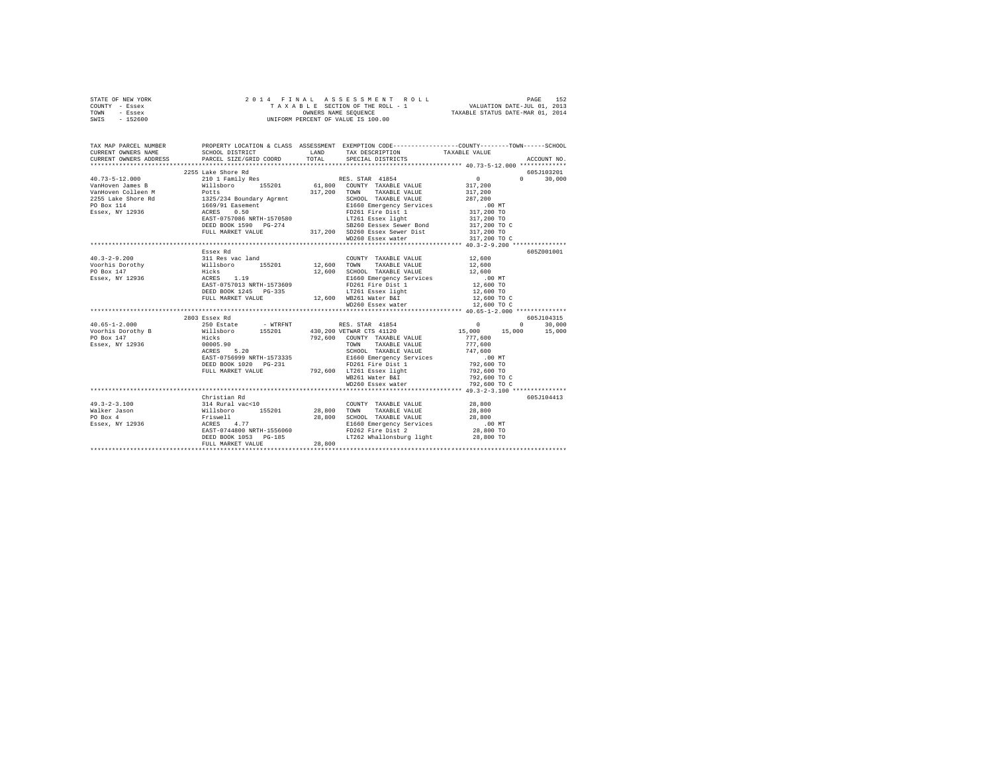| STATE OF NEW YORK | 2014 FINAL ASSESSMENT ROLL         | 152<br>PAGE                      |
|-------------------|------------------------------------|----------------------------------|
| COUNTY - Essex    | TAXABLE SECTION OF THE ROLL - 1    | VALUATION DATE-JUL 01, 2013      |
| TOWN<br>- Essex   | OWNERS NAME SEOUENCE               | TAXABLE STATUS DATE-MAR 01, 2014 |
| $-152600$<br>SWIS | UNIFORM PERCENT OF VALUE IS 100.00 |                                  |

| TAX MAP PARCEL NUMBER  |                                                                                                             |                                                                                                                                                                                                                                                                                                                                                                                                                                                                                             | PROPERTY LOCATION & CLASS ASSESSMENT EXEMPTION CODE----------------COUNTY-------TOWN-----SCHOOL |
|------------------------|-------------------------------------------------------------------------------------------------------------|---------------------------------------------------------------------------------------------------------------------------------------------------------------------------------------------------------------------------------------------------------------------------------------------------------------------------------------------------------------------------------------------------------------------------------------------------------------------------------------------|-------------------------------------------------------------------------------------------------|
| CURRENT OWNERS NAME    | SCHOOL DISTRICT                                                                                             | LAND TAX DESCRIPTION TAXABLE VALUE                                                                                                                                                                                                                                                                                                                                                                                                                                                          |                                                                                                 |
| CURRENT OWNERS ADDRESS | PARCEL SIZE/GRID COORD                                                                                      | TOTAL SPECIAL DISTRICTS                                                                                                                                                                                                                                                                                                                                                                                                                                                                     | ACCOUNT NO.                                                                                     |
|                        |                                                                                                             |                                                                                                                                                                                                                                                                                                                                                                                                                                                                                             |                                                                                                 |
|                        |                                                                                                             |                                                                                                                                                                                                                                                                                                                                                                                                                                                                                             | 605J103201                                                                                      |
|                        |                                                                                                             |                                                                                                                                                                                                                                                                                                                                                                                                                                                                                             | $0 \t 30,000$                                                                                   |
|                        |                                                                                                             |                                                                                                                                                                                                                                                                                                                                                                                                                                                                                             |                                                                                                 |
|                        |                                                                                                             |                                                                                                                                                                                                                                                                                                                                                                                                                                                                                             |                                                                                                 |
|                        |                                                                                                             |                                                                                                                                                                                                                                                                                                                                                                                                                                                                                             |                                                                                                 |
|                        |                                                                                                             |                                                                                                                                                                                                                                                                                                                                                                                                                                                                                             |                                                                                                 |
|                        |                                                                                                             |                                                                                                                                                                                                                                                                                                                                                                                                                                                                                             |                                                                                                 |
|                        |                                                                                                             |                                                                                                                                                                                                                                                                                                                                                                                                                                                                                             |                                                                                                 |
|                        |                                                                                                             |                                                                                                                                                                                                                                                                                                                                                                                                                                                                                             |                                                                                                 |
|                        |                                                                                                             |                                                                                                                                                                                                                                                                                                                                                                                                                                                                                             |                                                                                                 |
|                        |                                                                                                             | WD260 Essex water                                                                                                                                                                                                                                                                                                                                                                                                                                                                           | 317,200 TO C                                                                                    |
|                        |                                                                                                             |                                                                                                                                                                                                                                                                                                                                                                                                                                                                                             |                                                                                                 |
|                        | Essex Rd                                                                                                    |                                                                                                                                                                                                                                                                                                                                                                                                                                                                                             | 605Z001001                                                                                      |
| $40.3 - 2 - 9.200$     |                                                                                                             | COUNTY TAXABLE VALUE                                                                                                                                                                                                                                                                                                                                                                                                                                                                        | 12,600<br>12,600                                                                                |
| Voorhis Dorothy        |                                                                                                             |                                                                                                                                                                                                                                                                                                                                                                                                                                                                                             |                                                                                                 |
| PO Box 147             |                                                                                                             | 12,600 SCHOOL TAXABLE VALUE 12,600<br>E1660 Emergency Services .00 MT                                                                                                                                                                                                                                                                                                                                                                                                                       |                                                                                                 |
| Essex, NY 12936        |                                                                                                             | COUNTY TAXABLE VALUE WILL<br>SOLUTISON MILLE VALUE HICKS AND TOWN TAXABLE VALUE HICKS<br>HICKS 1.19 12,600 SCHOOL TAXABLE VALUE<br>ACRES 1.19 E1660 Emergency Services<br>E1660 Emergency Services                                                                                                                                                                                                                                                                                          |                                                                                                 |
|                        | EAST-0757013 NRTH-1573609                                                                                   | FD261 Fire Dist 1                                                                                                                                                                                                                                                                                                                                                                                                                                                                           | 12,600 TO                                                                                       |
|                        | DEED BOOK 1245 PG-335                                                                                       | LT261 Essex light                                                                                                                                                                                                                                                                                                                                                                                                                                                                           | 12,600 TO                                                                                       |
|                        | DEED BOOK 1245 PG-335 LT261 Essex light<br>FULL MARKET VALUE 12,600 WB261 Water B&I                         |                                                                                                                                                                                                                                                                                                                                                                                                                                                                                             | $12,600$ TO C                                                                                   |
|                        |                                                                                                             | WD260 Essex water                                                                                                                                                                                                                                                                                                                                                                                                                                                                           | 12,600 TO C                                                                                     |
|                        |                                                                                                             |                                                                                                                                                                                                                                                                                                                                                                                                                                                                                             |                                                                                                 |
|                        | 2803 Essex Rd                                                                                               |                                                                                                                                                                                                                                                                                                                                                                                                                                                                                             | 605J104315                                                                                      |
|                        |                                                                                                             |                                                                                                                                                                                                                                                                                                                                                                                                                                                                                             |                                                                                                 |
|                        |                                                                                                             |                                                                                                                                                                                                                                                                                                                                                                                                                                                                                             |                                                                                                 |
| PO Box 147             | Hicks<br>00005.90                                                                                           | $792,600 \qquad \text{COUNTY} \qquad \text{TXABLE VALUE} \qquad \qquad 777,600 \\ \text{TOWN} \qquad \text{TAXABLE VALUE} \qquad \qquad 777,600$                                                                                                                                                                                                                                                                                                                                            |                                                                                                 |
| Essex, NY 12936        |                                                                                                             |                                                                                                                                                                                                                                                                                                                                                                                                                                                                                             |                                                                                                 |
|                        | ACRES 5.20                                                                                                  | TOWN TAXABLE VALUE 777,600<br>SCHOOL TAXABLE VALUE 747,600                                                                                                                                                                                                                                                                                                                                                                                                                                  |                                                                                                 |
|                        |                                                                                                             |                                                                                                                                                                                                                                                                                                                                                                                                                                                                                             |                                                                                                 |
|                        |                                                                                                             |                                                                                                                                                                                                                                                                                                                                                                                                                                                                                             |                                                                                                 |
|                        |                                                                                                             |                                                                                                                                                                                                                                                                                                                                                                                                                                                                                             | 792,600 TO<br>792,600 TO C                                                                      |
|                        |                                                                                                             | WB261 Water B&I                                                                                                                                                                                                                                                                                                                                                                                                                                                                             |                                                                                                 |
|                        |                                                                                                             | WD260 Essex water                                                                                                                                                                                                                                                                                                                                                                                                                                                                           | 792,600 TO C                                                                                    |
|                        |                                                                                                             |                                                                                                                                                                                                                                                                                                                                                                                                                                                                                             |                                                                                                 |
|                        | Christian Rd                                                                                                |                                                                                                                                                                                                                                                                                                                                                                                                                                                                                             | 605J104413                                                                                      |
| $49.3 - 2 - 3.100$     | 314 Rural vac<10             COUNTY TAXABLE VALUE<br>Willsboro    155201      28,800   TOWN   TAXABLE VALUE | $\begin{tabular}{lllllll} \multicolumn{2}{c}{\textbf{COUNTY}} & \textbf{TAXABLE VALUE} & & \\ \multicolumn{2}{c}{\textbf{COUNTY}} & \textbf{TAXABLE VALUE} & & \\ \multicolumn{2}{c}{\textbf{COWTY}} & \textbf{TAXABLE VALUE} & & \\ \multicolumn{2}{c}{\textbf{COWTY}} & \textbf{SOD} & & \\ \multicolumn{2}{c}{\textbf{COWTY}} & \textbf{SOD} & & \\ \multicolumn{2}{c}{\textbf{COWTY}} & \textbf{SOD} & & \\ \multicolumn{2}{c}{\textbf{COWTY}} & \textbf{SOD} & & \\ \multicolumn{2}{c$ |                                                                                                 |
| Walker Jason           |                                                                                                             |                                                                                                                                                                                                                                                                                                                                                                                                                                                                                             | 28,800                                                                                          |
| PO Box 4               | .----------<br>Friswell 28,800<br>ACRES 4.77 EAST-0744800 NRTH-1556060                                      | 28,800 SCHOOL TAXABLE VALUE 28,800                                                                                                                                                                                                                                                                                                                                                                                                                                                          |                                                                                                 |
| Essex, NY 12936        |                                                                                                             | E1660 Emergency Services .00 MT<br>FD262 Fire Dist 2 .00 TO                                                                                                                                                                                                                                                                                                                                                                                                                                 |                                                                                                 |
|                        |                                                                                                             |                                                                                                                                                                                                                                                                                                                                                                                                                                                                                             |                                                                                                 |
|                        | DEED BOOK 1053 PG-185<br>FULL MARKET VALUE 28,800                                                           | LT262 Whallonsburg light 28,800 TO                                                                                                                                                                                                                                                                                                                                                                                                                                                          |                                                                                                 |
|                        |                                                                                                             |                                                                                                                                                                                                                                                                                                                                                                                                                                                                                             |                                                                                                 |
|                        |                                                                                                             |                                                                                                                                                                                                                                                                                                                                                                                                                                                                                             |                                                                                                 |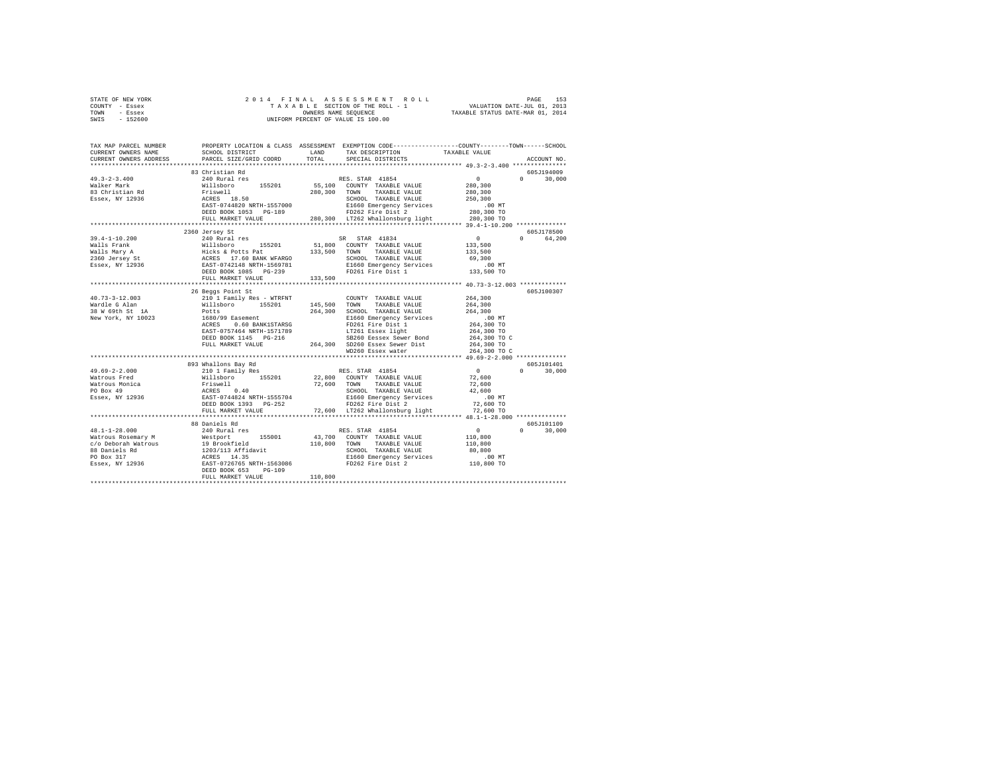|      | STATE OF NEW YORK |  | 2014 FINAL ASSESSMENT ROLL         | PAGE                             | 153 |
|------|-------------------|--|------------------------------------|----------------------------------|-----|
|      | COUNTY - Essex    |  | TAXABLE SECTION OF THE ROLL - 1    | VALUATION DATE-JUL 01, 2013      |     |
| TOWN | - Essex           |  | OWNERS NAME SEOUENCE               | TAXABLE STATUS DATE-MAR 01, 2014 |     |
| SWIS | - 152600          |  | UNIFORM PERCENT OF VALUE IS 100.00 |                                  |     |

| TAX MAP PARCEL NUMBER<br>CURRENT OWNERS NAME<br>CURRENT OWNERS ADDRESS | SCHOOL DISTRICT<br>PARCEL SIZE/GRID COORD                                               | LAND<br>TOTAL      | PROPERTY LOCATION & CLASS ASSESSMENT EXEMPTION CODE---------------COUNTY-------TOWN-----SCHOOL<br>TAX DESCRIPTION<br>SPECIAL DISTRICTS                                                                                                                                                                                                                                                                                                | TAXABLE VALUE                                            | ACCOUNT NO.            |
|------------------------------------------------------------------------|-----------------------------------------------------------------------------------------|--------------------|---------------------------------------------------------------------------------------------------------------------------------------------------------------------------------------------------------------------------------------------------------------------------------------------------------------------------------------------------------------------------------------------------------------------------------------|----------------------------------------------------------|------------------------|
|                                                                        |                                                                                         |                    |                                                                                                                                                                                                                                                                                                                                                                                                                                       |                                                          |                        |
|                                                                        |                                                                                         |                    |                                                                                                                                                                                                                                                                                                                                                                                                                                       |                                                          | 605J194009             |
| $49.3 - 2 - 3.400$                                                     |                                                                                         |                    | RES. STAR 41854<br>55,100 COUNTY TAXABLE VALUE                                                                                                                                                                                                                                                                                                                                                                                        | $\begin{smallmatrix}&&0\\&&280\,,\,300\end{smallmatrix}$ | $\Omega$<br>30,000     |
| Walker Mark                                                            |                                                                                         |                    |                                                                                                                                                                                                                                                                                                                                                                                                                                       |                                                          |                        |
| 83 Christian Rd                                                        |                                                                                         |                    |                                                                                                                                                                                                                                                                                                                                                                                                                                       | 280,300<br>250,300                                       |                        |
| Essex, NY 12936                                                        |                                                                                         |                    |                                                                                                                                                                                                                                                                                                                                                                                                                                       |                                                          |                        |
|                                                                        |                                                                                         |                    |                                                                                                                                                                                                                                                                                                                                                                                                                                       |                                                          |                        |
|                                                                        |                                                                                         |                    |                                                                                                                                                                                                                                                                                                                                                                                                                                       |                                                          |                        |
|                                                                        |                                                                                         |                    |                                                                                                                                                                                                                                                                                                                                                                                                                                       |                                                          |                        |
|                                                                        |                                                                                         |                    |                                                                                                                                                                                                                                                                                                                                                                                                                                       |                                                          |                        |
|                                                                        | 2360 Jersey St<br>240 Rural res                                                         |                    |                                                                                                                                                                                                                                                                                                                                                                                                                                       |                                                          | 605J178500             |
| $39.4 - 1 - 10.200$                                                    |                                                                                         |                    | SR STAR 41834<br>51,800 COUNTY TAXABLE VALUE                                                                                                                                                                                                                                                                                                                                                                                          | $\begin{array}{c} 0 \\ 133,500 \end{array}$              | 0 64,200               |
|                                                                        |                                                                                         |                    |                                                                                                                                                                                                                                                                                                                                                                                                                                       |                                                          |                        |
|                                                                        |                                                                                         |                    |                                                                                                                                                                                                                                                                                                                                                                                                                                       | 133,500                                                  |                        |
|                                                                        |                                                                                         |                    | SCHOOL TAXABLE VALUE                                                                                                                                                                                                                                                                                                                                                                                                                  | 69,300                                                   |                        |
|                                                                        |                                                                                         |                    | E1660 Emergency Services<br>FD261 Fire Dist 1                                                                                                                                                                                                                                                                                                                                                                                         | 00 MT.<br>133,500 TO                                     |                        |
|                                                                        | FULL MARKET VALUE                                                                       | 133,500            |                                                                                                                                                                                                                                                                                                                                                                                                                                       |                                                          |                        |
|                                                                        | *************************                                                               | ****************** |                                                                                                                                                                                                                                                                                                                                                                                                                                       | **************** 40.73-3-12.003 ***********              |                        |
|                                                                        | 26 Beggs Point St                                                                       |                    |                                                                                                                                                                                                                                                                                                                                                                                                                                       |                                                          | 605J100307             |
| $40.73 - 3 - 12.003$                                                   | 210 1 Family Res - WTRFNT COUNT<br>Willsboro 155201 145,500 TOWN<br>Potts 264,300 SCHOO |                    | COUNTY TAXABLE VALUE                                                                                                                                                                                                                                                                                                                                                                                                                  |                                                          |                        |
| Wardle G Alan                                                          |                                                                                         |                    |                                                                                                                                                                                                                                                                                                                                                                                                                                       | 264,300<br>264,300                                       |                        |
|                                                                        |                                                                                         |                    |                                                                                                                                                                                                                                                                                                                                                                                                                                       |                                                          |                        |
|                                                                        |                                                                                         |                    | 145,500 TOWN TAXABLE VALUE 264,300 SCHOOL TAXABLE VALUE 264,300 TO SECTION TAXABLE 264,300 TO SECTION TO SET A SAMPLE 2018 TO SECTION TO SET A SAMPLE 2018 TO SECTION TO SET A SAMPLE 2018 TO SECTION TO SECTION TO SECTION T<br>A SCHOOL TAXABLE VALUE (264,300 SCHOOL TAXABLE VALUE 28 M 69th Structure 2011 2012)<br>New York, NY 10023 1680/99 Easement (266 Smarrency Services 2014)<br>ACRES 0.60 BANK1STARSG PD261 Fire Dist 1 |                                                          |                        |
|                                                                        |                                                                                         |                    |                                                                                                                                                                                                                                                                                                                                                                                                                                       |                                                          |                        |
|                                                                        |                                                                                         |                    |                                                                                                                                                                                                                                                                                                                                                                                                                                       |                                                          |                        |
|                                                                        |                                                                                         |                    | $\begin{array}{cccccc} \texttt{ERST}-0^{\text{TOM}} & \texttt{J001} & \texttt{1.01} & \texttt{1.02} & \texttt{1.03} & \texttt{1.03} & \texttt{1.04} & \texttt{1.04} & \texttt{1.04} & \texttt{1.05} & \texttt{1.05} & \texttt{1.06} & \texttt{1.07} & \texttt{1.07} & \texttt{1.08} & \texttt{1.08} & \texttt{1.08} & \texttt{1.08} & \texttt{1.08} & \texttt{1.08} & \texttt{1.$                                                     |                                                          |                        |
|                                                                        |                                                                                         |                    |                                                                                                                                                                                                                                                                                                                                                                                                                                       |                                                          |                        |
|                                                                        |                                                                                         |                    |                                                                                                                                                                                                                                                                                                                                                                                                                                       |                                                          |                        |
|                                                                        |                                                                                         |                    | $\begin{tabular}{l c c c c c} \hline \texttt{FULL} \texttt{ PAL} \texttt{PAL} \texttt{RAL} \texttt{RAL} \texttt{RAL} \texttt{RAL} \texttt{RAL} \texttt{RAL} \texttt{RAL} \texttt{RAL} \texttt{RAL} \texttt{RAL} \texttt{RAL} \texttt{RAL} \texttt{RAL} \texttt{RAL} \texttt{RAL} \texttt{RAL} \texttt{RAL} \texttt{RAL} \texttt{RAL} \texttt{RAL} \texttt{RAL} \texttt{RAL} \texttt{RAL} \texttt{RAL} \texttt{RAL} \text$             |                                                          |                        |
|                                                                        | 893 Whallons Bay Rd                                                                     |                    |                                                                                                                                                                                                                                                                                                                                                                                                                                       |                                                          | 605J101401             |
| $49.69 - 2 - 2.000$                                                    | 210 1 Family Res                                                                        |                    |                                                                                                                                                                                                                                                                                                                                                                                                                                       |                                                          | $\mathbf{r}$<br>30,000 |
| Watrous Fred                                                           |                                                                                         |                    |                                                                                                                                                                                                                                                                                                                                                                                                                                       |                                                          |                        |
|                                                                        |                                                                                         |                    |                                                                                                                                                                                                                                                                                                                                                                                                                                       |                                                          |                        |
|                                                                        |                                                                                         |                    |                                                                                                                                                                                                                                                                                                                                                                                                                                       |                                                          |                        |
|                                                                        |                                                                                         |                    |                                                                                                                                                                                                                                                                                                                                                                                                                                       |                                                          |                        |
|                                                                        |                                                                                         |                    | DEED BOOK 1393 PG-252 PD262 Fire Dist 2 72,600 TO<br>FULL MARKET VALUE 72,600 TO 17262 Whallonsburg light 72,600 TO                                                                                                                                                                                                                                                                                                                   |                                                          |                        |
|                                                                        |                                                                                         |                    |                                                                                                                                                                                                                                                                                                                                                                                                                                       |                                                          |                        |
|                                                                        | 88 Daniels Rd                                                                           |                    |                                                                                                                                                                                                                                                                                                                                                                                                                                       |                                                          | 605J101109             |
|                                                                        |                                                                                         |                    |                                                                                                                                                                                                                                                                                                                                                                                                                                       |                                                          | $0 \t 30.000$          |
|                                                                        |                                                                                         |                    |                                                                                                                                                                                                                                                                                                                                                                                                                                       |                                                          |                        |
|                                                                        |                                                                                         |                    |                                                                                                                                                                                                                                                                                                                                                                                                                                       |                                                          |                        |
|                                                                        |                                                                                         |                    |                                                                                                                                                                                                                                                                                                                                                                                                                                       |                                                          |                        |
|                                                                        |                                                                                         |                    |                                                                                                                                                                                                                                                                                                                                                                                                                                       |                                                          |                        |
|                                                                        |                                                                                         |                    |                                                                                                                                                                                                                                                                                                                                                                                                                                       |                                                          |                        |
|                                                                        |                                                                                         |                    |                                                                                                                                                                                                                                                                                                                                                                                                                                       |                                                          |                        |
|                                                                        | FULL MARKET VALUE                                                                       | 110,800            |                                                                                                                                                                                                                                                                                                                                                                                                                                       |                                                          |                        |
|                                                                        |                                                                                         |                    |                                                                                                                                                                                                                                                                                                                                                                                                                                       |                                                          |                        |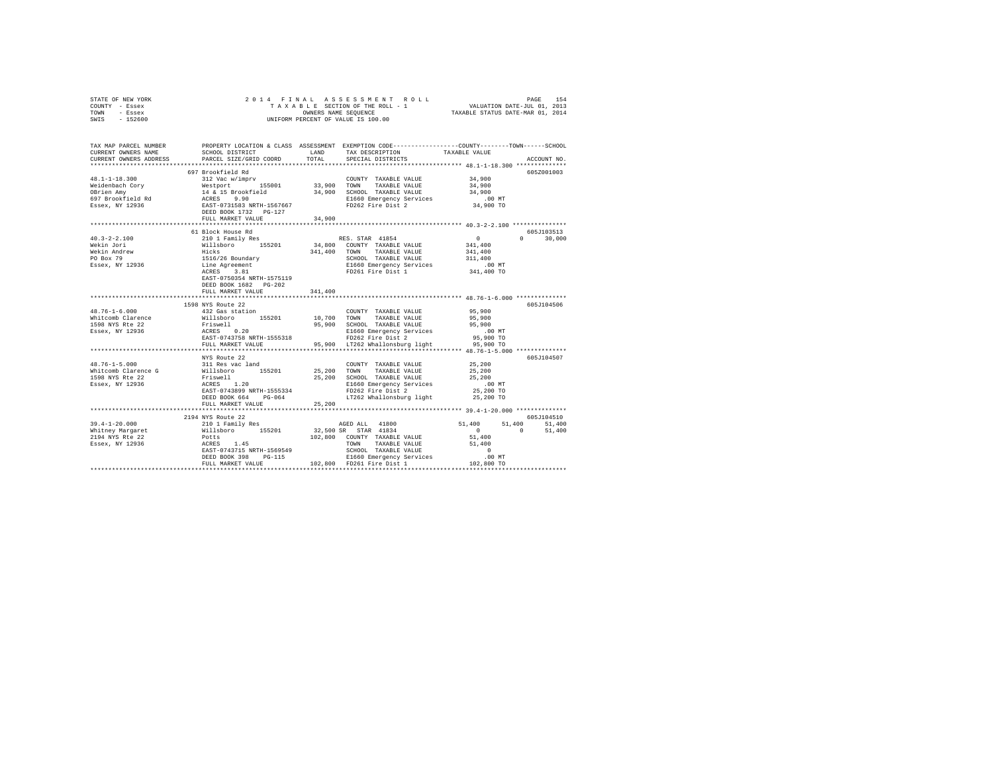| STATE OF NEW YORK | 2014 FINAL ASSESSMENT ROLL         | 154<br>PAGE                      |
|-------------------|------------------------------------|----------------------------------|
| COUNTY - Essex    | TAXABLE SECTION OF THE ROLL - 1    | VALUATION DATE-JUL 01, 2013      |
| TOWN<br>- Essex   | OWNERS NAME SEOUENCE               | TAXABLE STATUS DATE-MAR 01, 2014 |
| $-152600$<br>SWIS | UNIFORM PERCENT OF VALUE IS 100.00 |                                  |

| TAX MAP PARCEL NUMBER<br>CURRENT OWNERS NAME<br>CURRENT OWNERS ADDRESS | SCHOOL DISTRICT<br>PARCEL SIZE/GRID COORD | LAND<br>TOTAL | TAX DESCRIPTION<br>SPECIAL DISTRICTS                                                      | PROPERTY LOCATION & CLASS ASSESSMENT EXEMPTION CODE----------------COUNTY-------TOWN------SCHOOL<br>TAXABLE VALUE | ACCOUNT NO. |
|------------------------------------------------------------------------|-------------------------------------------|---------------|-------------------------------------------------------------------------------------------|-------------------------------------------------------------------------------------------------------------------|-------------|
|                                                                        | *****************************             |               |                                                                                           |                                                                                                                   |             |
|                                                                        | 697 Brookfield Rd                         |               |                                                                                           |                                                                                                                   | 605Z001003  |
|                                                                        |                                           |               |                                                                                           |                                                                                                                   |             |
|                                                                        |                                           |               |                                                                                           |                                                                                                                   |             |
|                                                                        |                                           |               |                                                                                           |                                                                                                                   |             |
|                                                                        |                                           |               | E1660 Emergency Services .00 MT<br>FD262 Fire Dist 2 34,900 TO                            |                                                                                                                   |             |
|                                                                        |                                           |               |                                                                                           |                                                                                                                   |             |
|                                                                        | FULL MARKET VALUE                         | 34,900        |                                                                                           |                                                                                                                   |             |
|                                                                        |                                           |               |                                                                                           |                                                                                                                   |             |
|                                                                        | 61 Block House Rd                         |               |                                                                                           |                                                                                                                   | 605.7103513 |
| $40.3 - 2 - 2.100$                                                     |                                           |               |                                                                                           | $\Omega$                                                                                                          | 30,000      |
| Wekin Jori                                                             |                                           |               |                                                                                           |                                                                                                                   |             |
| Wekin Andrew<br>PO Box 79                                              |                                           |               | 341,400 TOWN TAXABLE VALUE                                                                | 341,400                                                                                                           |             |
|                                                                        |                                           |               |                                                                                           |                                                                                                                   |             |
| Essex, NY 12936                                                        |                                           |               |                                                                                           |                                                                                                                   |             |
|                                                                        | EAST-0750354 NRTH-1575119                 |               | SCHOOL TAXABLE VALUE<br>E1660 Emergency Services - .00 MT<br>FD261 Fire Dist 1 341,400 TO |                                                                                                                   |             |
|                                                                        | DEED BOOK 1682 PG-202                     |               |                                                                                           |                                                                                                                   |             |
|                                                                        | FULL MARKET VALUE                         | 341,400       |                                                                                           |                                                                                                                   |             |
|                                                                        |                                           | ************* |                                                                                           |                                                                                                                   |             |
|                                                                        | 1598 NYS Route 22                         |               |                                                                                           |                                                                                                                   | 605J104506  |
|                                                                        |                                           |               | COUNTY TAXABLE VALUE 95,900                                                               |                                                                                                                   |             |
|                                                                        |                                           |               |                                                                                           | 95,900                                                                                                            |             |
|                                                                        |                                           |               | 95,900 SCHOOL TAXABLE VALUE                                                               | 95,900                                                                                                            |             |
|                                                                        |                                           |               | E1660 Emergency Services<br>FD262 Fire Dist 2                                             | $.00$ MT                                                                                                          |             |
|                                                                        | ACRES 0.20<br>EAST-0743758 NRTH-1555318   |               |                                                                                           | 95,900 TO                                                                                                         |             |
|                                                                        | FULL MARKET VALUE                         |               | 95,900 LT262 Whallonsburg light                                                           | 95,900 TO                                                                                                         |             |
|                                                                        |                                           |               |                                                                                           |                                                                                                                   |             |
|                                                                        | NYS Route 22                              |               |                                                                                           |                                                                                                                   | 605J104507  |
|                                                                        |                                           |               | COUNTY TAXABLE VALUE 25,200                                                               |                                                                                                                   |             |
|                                                                        |                                           |               |                                                                                           | 25,200                                                                                                            |             |
|                                                                        |                                           |               | 25,200 SCHOOL TAXABLE VALUE 25,200                                                        |                                                                                                                   |             |
|                                                                        |                                           |               | E1660 Emergency Services<br>FD262 Fire Dist 2                                             | $.00$ MT                                                                                                          |             |
|                                                                        |                                           |               |                                                                                           | 25,200 TO                                                                                                         |             |
|                                                                        | DEED BOOK 664 PG-064                      |               | LT262 Whallonsburg light                                                                  | 25,200 TO                                                                                                         |             |
|                                                                        | FULL MARKET VALUE                         | 25,200        |                                                                                           |                                                                                                                   |             |
|                                                                        | 2194 NYS Route 22                         |               |                                                                                           |                                                                                                                   | 605J104510  |
|                                                                        |                                           |               |                                                                                           | 51,400 51,400 51,400                                                                                              |             |
|                                                                        |                                           |               | AGED ALL 41800<br>00 SP STAR 41834                                                        | $0 \t 51,400$                                                                                                     |             |
|                                                                        |                                           |               |                                                                                           |                                                                                                                   |             |
|                                                                        |                                           |               |                                                                                           |                                                                                                                   |             |
|                                                                        |                                           |               |                                                                                           |                                                                                                                   |             |
|                                                                        |                                           |               |                                                                                           |                                                                                                                   |             |
|                                                                        |                                           |               |                                                                                           |                                                                                                                   |             |
|                                                                        |                                           |               |                                                                                           |                                                                                                                   |             |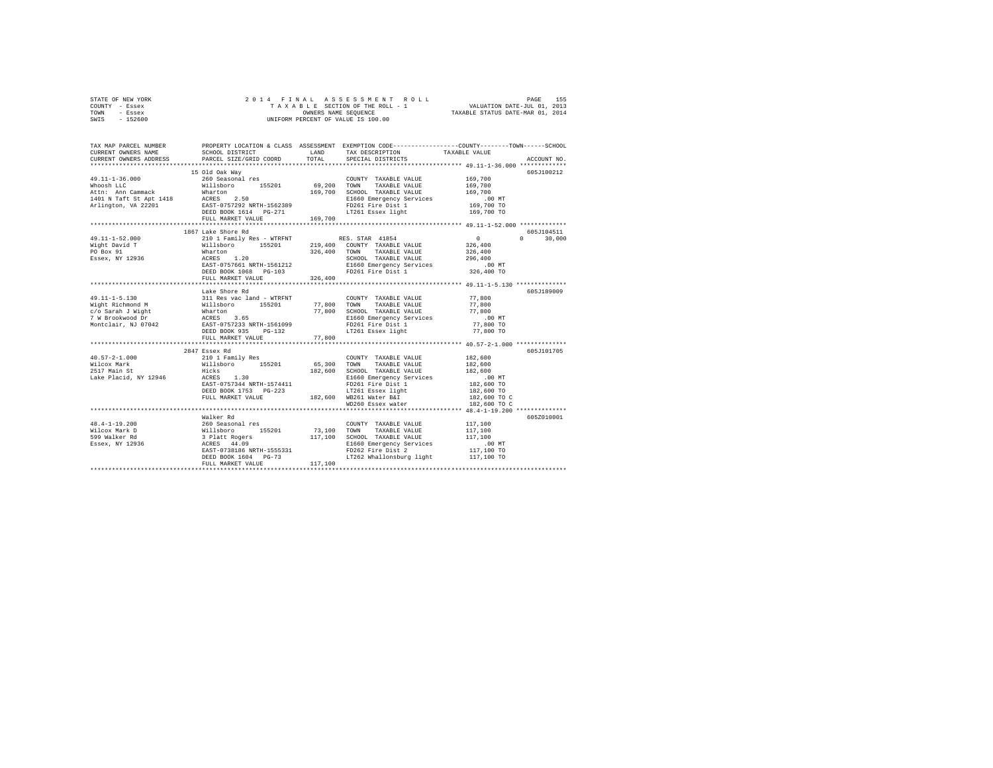| STATE OF NEW YORK | 2014 FINAL ASSESSMENT ROLL         | 155<br>PAGE                      |
|-------------------|------------------------------------|----------------------------------|
| COUNTY - Essex    | TAXABLE SECTION OF THE ROLL - 1    | VALUATION DATE-JUL 01, 2013      |
| TOWN<br>- Essex   | OWNERS NAME SEOUENCE               | TAXABLE STATUS DATE-MAR 01, 2014 |
| - 152600<br>SWIS  | UNIFORM PERCENT OF VALUE IS 100.00 |                                  |

| TAX MAP PARCEL NUMBER<br>CURRENT OWNERS NAME<br>CURRENT OWNERS ADDRESS                                                                                                                                                                                                                                                                                                                                          | SCHOOL DISTRICT<br><b>EAND</b><br>PARCEL SIZE/GRID COORD                                                                                                                                                                                                                                  | TOTAL  | TAX DESCRIPTION TAXABLE VALUE<br>SPECIAL DISTRICTS<br>SPECIAL DISTRICTS | PROPERTY LOCATION & CLASS ASSESSMENT EXEMPTION CODE---------------COUNTY-------TOWN-----SCHOOL<br>ACCOUNT NO. |
|-----------------------------------------------------------------------------------------------------------------------------------------------------------------------------------------------------------------------------------------------------------------------------------------------------------------------------------------------------------------------------------------------------------------|-------------------------------------------------------------------------------------------------------------------------------------------------------------------------------------------------------------------------------------------------------------------------------------------|--------|-------------------------------------------------------------------------|---------------------------------------------------------------------------------------------------------------|
|                                                                                                                                                                                                                                                                                                                                                                                                                 | 15 Old Oak Way                                                                                                                                                                                                                                                                            |        |                                                                         | 605J100212                                                                                                    |
| 49.11-1-52.000<br>Wight David T<br>PO Box 91<br>Essex, NY 12936                                                                                                                                                                                                                                                                                                                                                 | 1867 Lake Shore Rd<br>210 1 Family Res - WTREWT RES. STAR 41854 0<br>210 1 Family Res - WTREWT 219,400 COUNTY TAXABLE VALUE 326,400<br>226,400 2013 226,400 COUNTY TAXABLE VALUE 326,400<br>296,400 ACRES 1.20<br>EAST-0757661 NRTH-1561212 SIG60 EMBERT SPU<br>FULL MARKET VALUE 326,400 |        |                                                                         | 605.7104511<br>$\Omega$<br>30,000                                                                             |
|                                                                                                                                                                                                                                                                                                                                                                                                                 | Lake Shore Rd<br>FULL MARKET VALUE                                                                                                                                                                                                                                                        | 77,800 |                                                                         | 605J189009                                                                                                    |
| $\begin{tabular}{l c c c c c} \multicolumn{1}{c}{40.57-2-1.000} & \multicolumn{1}{c}{2844} & \multicolumn{1}{c}{2849} & \multicolumn{1}{c}{2849} & \multicolumn{1}{c}{C} & \multicolumn{1}{c}{2849} & \multicolumn{1}{c}{C} & \multicolumn{1}{c}{2849} & \multicolumn{1}{c}{C} & \multicolumn{1}{c}{2849} & \multicolumn{1}{c}{C} & \multicolumn{1}{c}{2849} & \multicolumn{1}{c}{C} & \multicolumn{1}{c}{2849$ | 2847 Essex Rd                                                                                                                                                                                                                                                                             |        | WD260 Essex water                                                       | 605J101705<br>182,600 TO C<br>182,600 TO C                                                                    |
|                                                                                                                                                                                                                                                                                                                                                                                                                 |                                                                                                                                                                                                                                                                                           |        |                                                                         | 605Z010001                                                                                                    |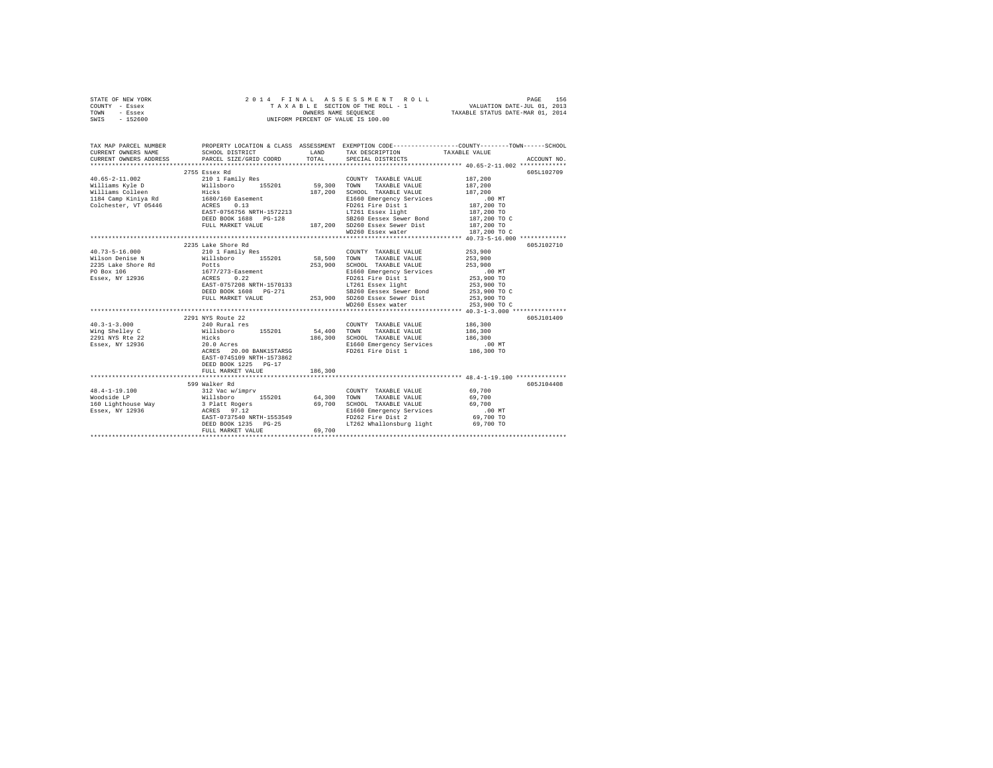|      | STATE OF NEW YORK |  |  | 2014 FINAL ASSESSMENT ROLL         | PAGE                             | 156 |
|------|-------------------|--|--|------------------------------------|----------------------------------|-----|
|      | COUNTY - Essex    |  |  | TAXABLE SECTION OF THE ROLL - 1    | VALUATION DATE-JUL 01, 2013      |     |
| TOWN | - Essex           |  |  | OWNERS NAME SEOUENCE               | TAXABLE STATUS DATE-MAR 01, 2014 |     |
| SWIS | - 152600          |  |  | UNIFORM PERCENT OF VALUE IS 100.00 |                                  |     |

| TAX MAP PARCEL NUMBER                                                                            |                                                                                                                                                                                                                                                                 |         |                                                                                                                                                                                                                                | PROPERTY LOCATION & CLASS ASSESSMENT EXEMPTION CODE---------------COUNTY-------TOWN-----SCHOOL<br>SCHOOL DISTRICT LAND TAX DESCRIPTION TAXABLE VALUE                                                                                     |
|--------------------------------------------------------------------------------------------------|-----------------------------------------------------------------------------------------------------------------------------------------------------------------------------------------------------------------------------------------------------------------|---------|--------------------------------------------------------------------------------------------------------------------------------------------------------------------------------------------------------------------------------|------------------------------------------------------------------------------------------------------------------------------------------------------------------------------------------------------------------------------------------|
|                                                                                                  |                                                                                                                                                                                                                                                                 |         |                                                                                                                                                                                                                                |                                                                                                                                                                                                                                          |
|                                                                                                  | 2755 Essex Rd                                                                                                                                                                                                                                                   |         |                                                                                                                                                                                                                                | 605L102709                                                                                                                                                                                                                               |
|                                                                                                  |                                                                                                                                                                                                                                                                 |         | COUNTY TAXABLE VALUE 187,200                                                                                                                                                                                                   |                                                                                                                                                                                                                                          |
|                                                                                                  |                                                                                                                                                                                                                                                                 |         |                                                                                                                                                                                                                                | 187,200                                                                                                                                                                                                                                  |
|                                                                                                  |                                                                                                                                                                                                                                                                 |         |                                                                                                                                                                                                                                | 187,200                                                                                                                                                                                                                                  |
|                                                                                                  |                                                                                                                                                                                                                                                                 |         |                                                                                                                                                                                                                                |                                                                                                                                                                                                                                          |
|                                                                                                  |                                                                                                                                                                                                                                                                 |         | SCHOOL TAAABLE value<br>E1660 Emergency Services<br>FD261 Fire Dist 1 187,200 TO<br>IT7261 Essex light 187,200 TO<br>187,200 TO                                                                                                |                                                                                                                                                                                                                                          |
|                                                                                                  |                                                                                                                                                                                                                                                                 |         |                                                                                                                                                                                                                                |                                                                                                                                                                                                                                          |
|                                                                                                  |                                                                                                                                                                                                                                                                 |         |                                                                                                                                                                                                                                |                                                                                                                                                                                                                                          |
|                                                                                                  |                                                                                                                                                                                                                                                                 |         |                                                                                                                                                                                                                                |                                                                                                                                                                                                                                          |
|                                                                                                  |                                                                                                                                                                                                                                                                 |         |                                                                                                                                                                                                                                | 3260 Eessex Sewer Bond<br>FULL MARKET VALUE 187,200 SD260 Essex Sewer Dist 187,200 TO<br>FULL MARKET VALUE 187,200 SD260 Essex Water<br>187,200 SD260 Essex Water Dist 187,200 TO C<br>FULL MARKET VALUE 187,200 TO C<br>187,200 SD260 E |
|                                                                                                  |                                                                                                                                                                                                                                                                 |         |                                                                                                                                                                                                                                |                                                                                                                                                                                                                                          |
|                                                                                                  | 2235 Lake Shore Rd                                                                                                                                                                                                                                              |         |                                                                                                                                                                                                                                | 605J102710                                                                                                                                                                                                                               |
| $40.73 - 5 - 16.000$                                                                             | 210 1 Family Res                                                                                                                                                                                                                                                |         | COUNTY TAXABLE VALUE 253.900                                                                                                                                                                                                   |                                                                                                                                                                                                                                          |
|                                                                                                  | Wilson Denise N Millsboro 155201 58,500 TOWN                                                                                                                                                                                                                    |         | TAXABLE VALUE 253,900                                                                                                                                                                                                          |                                                                                                                                                                                                                                          |
|                                                                                                  |                                                                                                                                                                                                                                                                 |         |                                                                                                                                                                                                                                |                                                                                                                                                                                                                                          |
|                                                                                                  |                                                                                                                                                                                                                                                                 |         |                                                                                                                                                                                                                                |                                                                                                                                                                                                                                          |
| 2235 Lake Shore Rd<br>PO Box 106 1677/273-Easement<br>Essex, NY 12936 2022<br>ACRES 0.22<br>2022 |                                                                                                                                                                                                                                                                 |         |                                                                                                                                                                                                                                |                                                                                                                                                                                                                                          |
|                                                                                                  |                                                                                                                                                                                                                                                                 |         |                                                                                                                                                                                                                                |                                                                                                                                                                                                                                          |
|                                                                                                  |                                                                                                                                                                                                                                                                 |         | 253,900 SCHOOL TAXABLE VALUE 253,900 NORTHOLD 253,900 NIGHT 253,900 TO FORE PRIOR 253,900 TO EXAMPLE 253,900 TO CHORE 253,900 TO CHORE 253,900 TO CHORE 253,900 TO CHORE 253,900 TO CHORE 253,900 TO CHORE 253,900 TO CHORE 25 |                                                                                                                                                                                                                                          |
|                                                                                                  |                                                                                                                                                                                                                                                                 |         |                                                                                                                                                                                                                                |                                                                                                                                                                                                                                          |
|                                                                                                  |                                                                                                                                                                                                                                                                 |         |                                                                                                                                                                                                                                | 253,900 TO C                                                                                                                                                                                                                             |
|                                                                                                  | Pocts<br>1677/273-Easement<br>1677/273-Easement<br>RERD BOOK 1608 PG-271 58260 Eessex Sever Bond<br>253,900 TO S2260 Eessex Sever Bond<br>253,900 TO S2260 Eessex Sever Bond<br>253,900 TO S2260 Eessex Sever Bond<br>253,900 TO S2260 Eess                     |         |                                                                                                                                                                                                                                |                                                                                                                                                                                                                                          |
|                                                                                                  | 2291 NYS Route 22                                                                                                                                                                                                                                               |         |                                                                                                                                                                                                                                | 605J101409                                                                                                                                                                                                                               |
|                                                                                                  | $\begin{array}{cccccccc} 40.3-1-3.000 & & & & 240 \text{ Rural res} & & & \text{COUNT TAXABLE VALUE} & & 186,300 \\ \text{Wing Shelley C} & \text{WillsBoro} & \text{155201} & \text{54,400} & \text{TOWN} & \text{TAXABLE VALUE} & \text{186,300} \end{array}$ |         | COUNTY TAXABLE VALUE 186,300                                                                                                                                                                                                   |                                                                                                                                                                                                                                          |
|                                                                                                  |                                                                                                                                                                                                                                                                 |         |                                                                                                                                                                                                                                |                                                                                                                                                                                                                                          |
|                                                                                                  |                                                                                                                                                                                                                                                                 |         |                                                                                                                                                                                                                                |                                                                                                                                                                                                                                          |
|                                                                                                  |                                                                                                                                                                                                                                                                 |         |                                                                                                                                                                                                                                |                                                                                                                                                                                                                                          |
|                                                                                                  | EAST-0745109 NRTH-1573862<br>DEED BOOK 1225 PG-17                                                                                                                                                                                                               |         |                                                                                                                                                                                                                                |                                                                                                                                                                                                                                          |
|                                                                                                  | FULL MARKET VALUE                                                                                                                                                                                                                                               | 186,300 |                                                                                                                                                                                                                                |                                                                                                                                                                                                                                          |
|                                                                                                  |                                                                                                                                                                                                                                                                 |         |                                                                                                                                                                                                                                |                                                                                                                                                                                                                                          |
|                                                                                                  | 599 Walker Rd                                                                                                                                                                                                                                                   |         |                                                                                                                                                                                                                                | 605J104408                                                                                                                                                                                                                               |
|                                                                                                  | $48.4 - 1 - 19.100$ 312 Vac w/imprv                                                                                                                                                                                                                             |         | COUNTY TAXABLE VALUE 69,700                                                                                                                                                                                                    |                                                                                                                                                                                                                                          |
|                                                                                                  | - 1991, 1992, 1992, 1992, 1993, 1994, 1994, 1994, 1994, 1994, 1994, 1994, 1994, 1994, 1994, 1994, 1994, 1994,<br>160 Lighthouse Way (1992), 1994, 1994, 1995, 1994, 1995, 1996, 1996, 1996, 1996, 1996, 1997, 1998, 1997, 1998<br>19                            |         |                                                                                                                                                                                                                                |                                                                                                                                                                                                                                          |
|                                                                                                  |                                                                                                                                                                                                                                                                 |         |                                                                                                                                                                                                                                |                                                                                                                                                                                                                                          |
|                                                                                                  |                                                                                                                                                                                                                                                                 |         |                                                                                                                                                                                                                                |                                                                                                                                                                                                                                          |
|                                                                                                  |                                                                                                                                                                                                                                                                 |         |                                                                                                                                                                                                                                | 69,700 TO                                                                                                                                                                                                                                |
|                                                                                                  |                                                                                                                                                                                                                                                                 |         | LT262 Whallonsburg light 69,700 TO                                                                                                                                                                                             |                                                                                                                                                                                                                                          |
|                                                                                                  |                                                                                                                                                                                                                                                                 |         |                                                                                                                                                                                                                                |                                                                                                                                                                                                                                          |
|                                                                                                  |                                                                                                                                                                                                                                                                 |         |                                                                                                                                                                                                                                |                                                                                                                                                                                                                                          |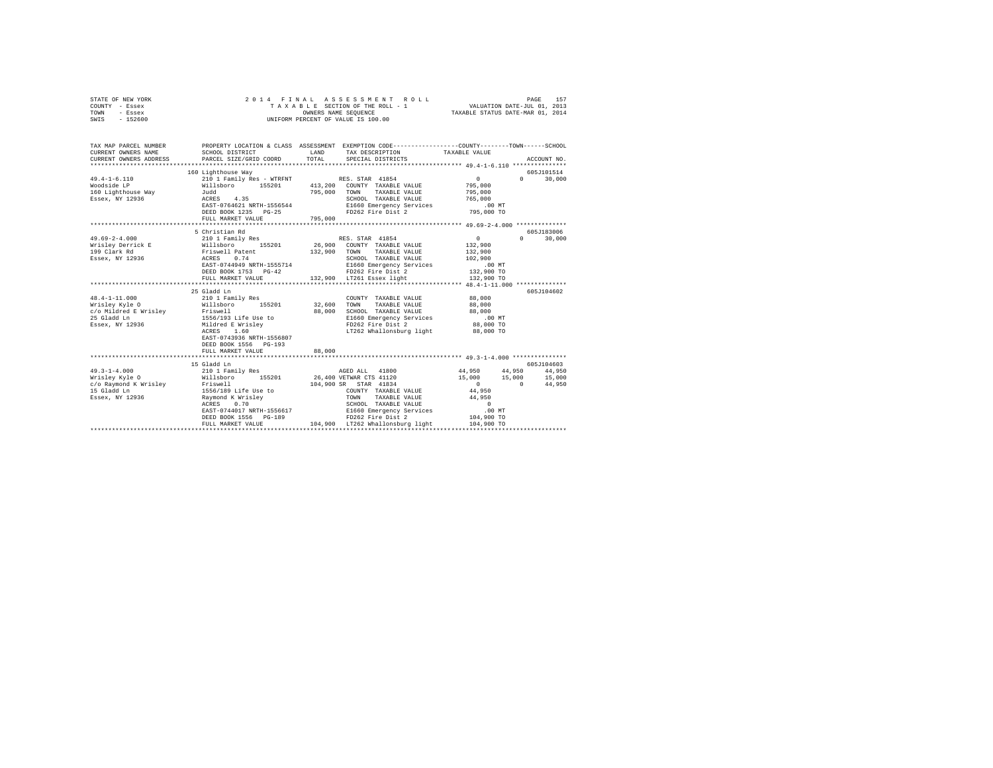| STATE OF NEW YORK |          |  |  |  |                      |  |                                    |  | 2014 FINAL ASSESSMENT ROLL |                                  |                             | PAGE | 157 |
|-------------------|----------|--|--|--|----------------------|--|------------------------------------|--|----------------------------|----------------------------------|-----------------------------|------|-----|
| COUNTY - Essex    |          |  |  |  |                      |  | TAXABLE SECTION OF THE ROLL - 1    |  |                            |                                  | VALUATION DATE-JUL 01, 2013 |      |     |
| TOWN              | - Essex  |  |  |  | OWNERS NAME SEOUENCE |  |                                    |  |                            | TAXABLE STATUS DATE-MAR 01, 2014 |                             |      |     |
| SWIS              | - 152600 |  |  |  |                      |  | UNIFORM PERCENT OF VALUE IS 100.00 |  |                            |                                  |                             |      |     |
|                   |          |  |  |  |                      |  |                                    |  |                            |                                  |                             |      |     |
|                   |          |  |  |  |                      |  |                                    |  |                            |                                  |                             |      |     |

| TAX MAP PARCEL NUMBER                                              |                                                                                                                       |        |                                                                                               | PROPERTY LOCATION & CLASS ASSESSMENT EXEMPTION CODE----------------COUNTY-------TOWN-----SCHOOL |             |
|--------------------------------------------------------------------|-----------------------------------------------------------------------------------------------------------------------|--------|-----------------------------------------------------------------------------------------------|-------------------------------------------------------------------------------------------------|-------------|
| CURRENT OWNERS NAME                                                | SCHOOL DISTRICT                                                                                                       | LAND   | TAX DESCRIPTION TAXABLE VALUE                                                                 |                                                                                                 |             |
| CURRENT OWNERS ADDRESS                                             | PARCEL SIZE/GRID COORD                                                                                                | TOTAL  | SPECIAL DISTRICTS                                                                             |                                                                                                 | ACCOUNT NO. |
|                                                                    |                                                                                                                       |        |                                                                                               |                                                                                                 |             |
|                                                                    | 160 Lighthouse Way                                                                                                    |        |                                                                                               |                                                                                                 | 605J101514  |
| $49.4 - 1 - 6.110$                                                 | 210 1 Family Res - WTRFNT RES. STAR 41854<br>Willsboro 155201 413,200 COUNTY TAXABLE VALUE                            |        |                                                                                               | $\sim$ 0<br>$0 \qquad \qquad$                                                                   | 30,000      |
| Woodside LP                                                        |                                                                                                                       |        |                                                                                               | 795,000                                                                                         |             |
| 160 Lighthouse Way 5udd                                            |                                                                                                                       |        |                                                                                               | 795,000                                                                                         |             |
| Essex, NY 12936                                                    | Ay Judd<br>ACRES 4.35 SCHOOL TAXABLE VALUE<br>EAST-0764621 NRTH-1556544 E1660 Emergency Services<br>FD262 Fire Dist 2 |        | ${\tt SCHOOL} \hspace{0.4cm} {\tt TAXABLE\hspace{0.1cm}VALUE} \hspace{0.4cm} 765 \, , \, 000$ |                                                                                                 |             |
|                                                                    |                                                                                                                       |        |                                                                                               | .00 MT                                                                                          |             |
|                                                                    |                                                                                                                       |        |                                                                                               | 795,000 TO                                                                                      |             |
|                                                                    | FULL MARKET VALUE 795,000                                                                                             |        |                                                                                               |                                                                                                 |             |
|                                                                    |                                                                                                                       |        |                                                                                               | *********************** 49.69-2-4.000 **************                                            |             |
|                                                                    | 5 Christian Rd                                                                                                        |        |                                                                                               |                                                                                                 | 605J183006  |
| $49.69 - 2 - 4.000$                                                | 210 1 Family Res                                                                                                      |        | RES. STAR 41854                                                                               | $\sim$ 0 $\sim$<br>$\mathbf{a}$                                                                 | 30,000      |
| Wrisley Derrick E                                                  | Willsboro 155201<br>Friswell Patent<br>ACRES 0.74                                                                     |        | 26,900 COUNTY TAXABLE VALUE                                                                   | 132,900                                                                                         |             |
| 199 Clark Rd                                                       |                                                                                                                       |        | 132,900 TOWN TAXABLE VALUE                                                                    | 132,900<br>102,900                                                                              |             |
| Essex, NY 12936                                                    |                                                                                                                       |        | SCHOOL TAXABLE VALUE                                                                          |                                                                                                 |             |
|                                                                    | EAST-0744949 NRTH-1555714                                                                                             |        | E1660 Emergency Services                                                                      | .00 MT<br>132,900 TO                                                                            |             |
|                                                                    | DEED BOOK 1753 PG-42                                                                                                  |        | FD262 Fire Dist 2<br>132,900 LT261 Essex light                                                |                                                                                                 |             |
|                                                                    | FULL MARKET VALUE                                                                                                     |        |                                                                                               | 132,900 TO                                                                                      |             |
|                                                                    |                                                                                                                       |        |                                                                                               |                                                                                                 |             |
|                                                                    | 25 Gladd Ln                                                                                                           |        |                                                                                               |                                                                                                 | 605J104602  |
|                                                                    |                                                                                                                       |        | COUNTY TAXABLE VALUE 88.000                                                                   |                                                                                                 |             |
|                                                                    | Wrisley Kyle 0 68,000 Willsboro 155201 32,600 TOWN TAXABLE VALUE 88,000                                               |        |                                                                                               |                                                                                                 |             |
|                                                                    |                                                                                                                       |        | 88,000 SCHOOL TAXABLE VALUE 88,000                                                            |                                                                                                 |             |
|                                                                    |                                                                                                                       |        | E1660 Emergency Services                                                                      | $.00$ MT                                                                                        |             |
|                                                                    |                                                                                                                       |        | FD262 Fire Dist 2                                                                             | 88,000 TO                                                                                       |             |
|                                                                    |                                                                                                                       |        | LT262 Whallonsburg light 88,000 TO                                                            |                                                                                                 |             |
|                                                                    | EAST-0743936 NRTH-1556807                                                                                             |        |                                                                                               |                                                                                                 |             |
|                                                                    | DEED BOOK 1556 PG-193                                                                                                 |        |                                                                                               |                                                                                                 |             |
|                                                                    | FULL MARKET VALUE                                                                                                     | 88,000 |                                                                                               |                                                                                                 |             |
|                                                                    |                                                                                                                       |        |                                                                                               |                                                                                                 |             |
|                                                                    | 15 Gladd Ln                                                                                                           |        |                                                                                               |                                                                                                 | 605J104603  |
| $49.3 - 1 - 4.000$                                                 | 210 1 Family Res                                                                                                      |        |                                                                                               | AGED ALL 41800 44,950 44,950 44,950                                                             |             |
| Wrisley Kyle O                                                     |                                                                                                                       |        | Willsboro 155201 26,400 VETWAR CTS 41120                                                      | 15,000 15,000 15,000                                                                            |             |
| c/o Raymond K Wrisley Friswell<br>15 Gladd Ln 1556/189 Life Use to |                                                                                                                       |        | 104,900 SR STAR 41834                                                                         | $\begin{array}{c}0\\44,950\end{array}$<br>$\sim$ 0 $\sim$                                       | 44,950      |
|                                                                    | Essex, NY 12936                        Raymond K Wrisley                                                              | TOWN   | COUNTY TAXABLE VALUE                                                                          |                                                                                                 |             |
|                                                                    |                                                                                                                       |        | TAXABLE VALUE                                                                                 | 44,950                                                                                          |             |
|                                                                    | ACRES 0.70                                                                                                            |        | SCHOOL TAXABLE VALUE<br>E1660 Emergency Services                                              | $\sim$ 0 $\,$                                                                                   |             |
|                                                                    | EAST-0744017 NRTH-1556617<br>DEED BOOK 1556 PG-189                                                                    |        |                                                                                               | .00MT                                                                                           |             |
|                                                                    |                                                                                                                       |        | FD262 Fire Dist 2                                                                             | 104,900 TO                                                                                      |             |
|                                                                    | FULL MARKET VALUE                                                                                                     |        | 104,900 LT262 Whallonsburg light                                                              | 104,900 TO                                                                                      |             |
|                                                                    |                                                                                                                       |        |                                                                                               |                                                                                                 |             |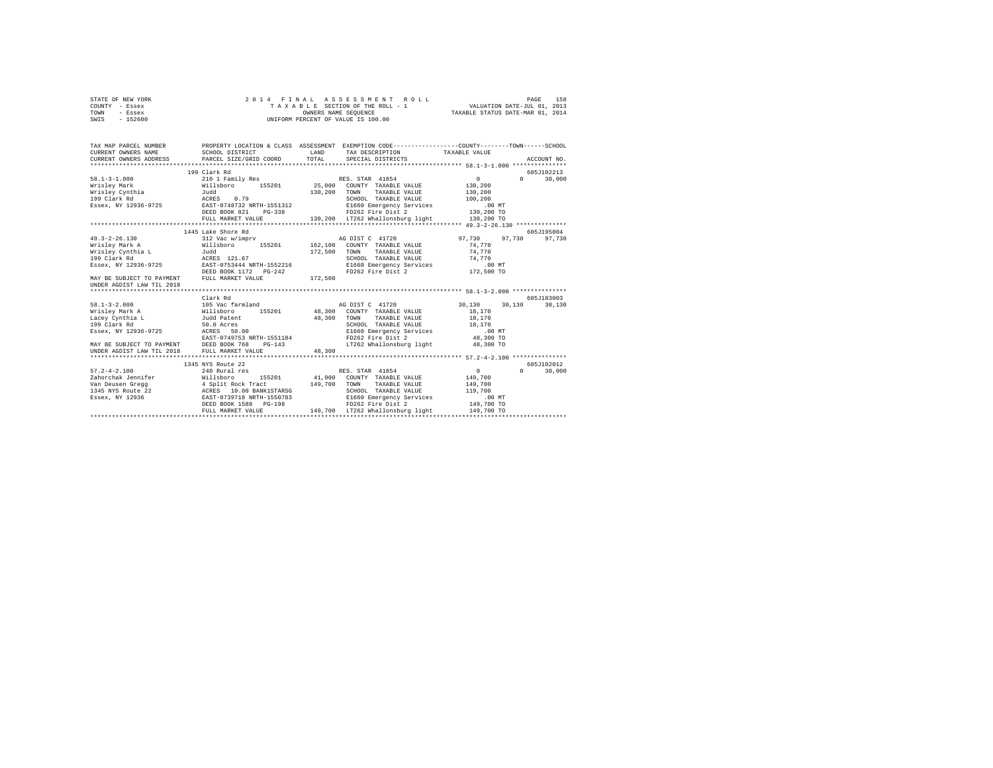|      | STATE OF NEW YORK |  |  | 2014 FINAL ASSESSMENT ROLL         |                                  | PAGE | 158 |
|------|-------------------|--|--|------------------------------------|----------------------------------|------|-----|
|      | COUNTY - Essex    |  |  | TAXABLE SECTION OF THE ROLL - 1    | VALUATION DATE-JUL 01, 2013      |      |     |
| TOWN | - Essex           |  |  | OWNERS NAME SEOUENCE               | TAXABLE STATUS DATE-MAR 01, 2014 |      |     |
| SWIS | - 152600          |  |  | UNIFORM PERCENT OF VALUE IS 100.00 |                                  |      |     |

|                                    |                                                                                                                                                                                                                                                                                                           |                                                                                                                                                                                                             | TAX DESCRIPTION TAXABLE VALUE                                                                                                                                                                                                                                              | ACCOUNT NO.                                                                                                                                                                                                                                                                                                                                                                                                                                                                                                                                                                                     |
|------------------------------------|-----------------------------------------------------------------------------------------------------------------------------------------------------------------------------------------------------------------------------------------------------------------------------------------------------------|-------------------------------------------------------------------------------------------------------------------------------------------------------------------------------------------------------------|----------------------------------------------------------------------------------------------------------------------------------------------------------------------------------------------------------------------------------------------------------------------------|-------------------------------------------------------------------------------------------------------------------------------------------------------------------------------------------------------------------------------------------------------------------------------------------------------------------------------------------------------------------------------------------------------------------------------------------------------------------------------------------------------------------------------------------------------------------------------------------------|
| 210 1 Family Res<br>$PG-338$       |                                                                                                                                                                                                                                                                                                           | SCHOOL TAXABLE VALUE                                                                                                                                                                                        | 0<br>130,200<br>130,200<br>100,200<br>$.00$ MT<br>130,200 TO                                                                                                                                                                                                               | 605J102213<br>$\Omega$<br>30,000                                                                                                                                                                                                                                                                                                                                                                                                                                                                                                                                                                |
|                                    |                                                                                                                                                                                                                                                                                                           | TAXABLE VALUE                                                                                                                                                                                               | 97,730<br>74.770<br>74.770<br>.00MT                                                                                                                                                                                                                                        | 605J195004<br>97.730<br>97,730                                                                                                                                                                                                                                                                                                                                                                                                                                                                                                                                                                  |
|                                    |                                                                                                                                                                                                                                                                                                           |                                                                                                                                                                                                             |                                                                                                                                                                                                                                                                            |                                                                                                                                                                                                                                                                                                                                                                                                                                                                                                                                                                                                 |
| $PG-143$                           |                                                                                                                                                                                                                                                                                                           |                                                                                                                                                                                                             | 30.130<br>30,130<br>18,170<br>18,170<br>$.00$ MT<br>48,300 TO<br>48,300 TO                                                                                                                                                                                                 | 605J183003<br>30,130                                                                                                                                                                                                                                                                                                                                                                                                                                                                                                                                                                            |
|                                    |                                                                                                                                                                                                                                                                                                           |                                                                                                                                                                                                             |                                                                                                                                                                                                                                                                            |                                                                                                                                                                                                                                                                                                                                                                                                                                                                                                                                                                                                 |
|                                    |                                                                                                                                                                                                                                                                                                           |                                                                                                                                                                                                             |                                                                                                                                                                                                                                                                            | 605J102012                                                                                                                                                                                                                                                                                                                                                                                                                                                                                                                                                                                      |
| 240 Rural res<br>FULL MARKET VALUE |                                                                                                                                                                                                                                                                                                           | TOWN<br>SCHOOL TAXABLE VALUE<br>FD262 Fire Dist 2                                                                                                                                                           | 149,700<br>119,700<br>.00MT                                                                                                                                                                                                                                                | $\Omega$<br>30,000                                                                                                                                                                                                                                                                                                                                                                                                                                                                                                                                                                              |
|                                    | 199 Clark Rd<br>DEED BOOK 821<br>1445 Lake Shore Rd<br>FULL MARKET VALUE<br>Clark Rd<br>Lacey Cynthia L Judd Patent<br>50.0 Acres<br>MAY BE SUBJECT TO PAYMENT DEED BOOK 768<br>UNDER AGDIST LAW TIL 2018 FULL MARKET VALUE<br>1345 NYS Route 22<br>zahorchak Jennifer Millsboro<br>DEED BOOK 1588 PG-198 | Essex, NY 12936-9725 EAST-0753444 NRTH-1552216<br>DEED BOOK 1172 PG-242<br>FULL MARKET VALUE 172,500<br>105 Vac farmland<br>Willsboro 155201<br>Essex, NY 12936-9725<br>EAST-0749753 NRTH-1551184<br>48,300 | 130,200 TOWN TAXABLE VALUE<br>FD262 Fire Dist 2<br>312 Vac w/imprv AG DIST C 41720<br>Willsboro 155201 162,100 COUNTY TAXABLE VALUE<br>Judd 172,500 TOWN TAXABLE VALUE<br>AG DIST C 41720<br>5201 48,300 COUNTY TAXABLE VALUE<br>48.300 TOWN<br>RES. STAR 41854<br>149,700 | RES. STAR 41854<br>Willsboro 155201 25,000 COUNTY TAXABLE VALUE<br>Judd 130,200 TOWN TAXABLE VALUE<br>E1660 Emergency Services<br>130,200 TO<br>FULL MARKET VALUE 130, 200 LT262 Whallonsburg light<br>SCHOOL TAXABLE VALUE 74.770<br>E1660 Emergency Services<br>FD262 Fire Dist 2 172,500 TO<br>TAXABLE VALUE<br>SCHOOL TAXABLE VALUE 18,170<br>E1660 Emergency Services<br>FD262 Fire Dist 2<br>LT262 Whallonsburg light<br>$\sim$ 0<br>155201 41,000 COUNTY TAXABLE VALUE 149,700<br>TAXABLE VALUE<br>E1660 Emergency Services<br>149,700 TO<br>149.700 LT262 Whallonsburg light 149.700 TO |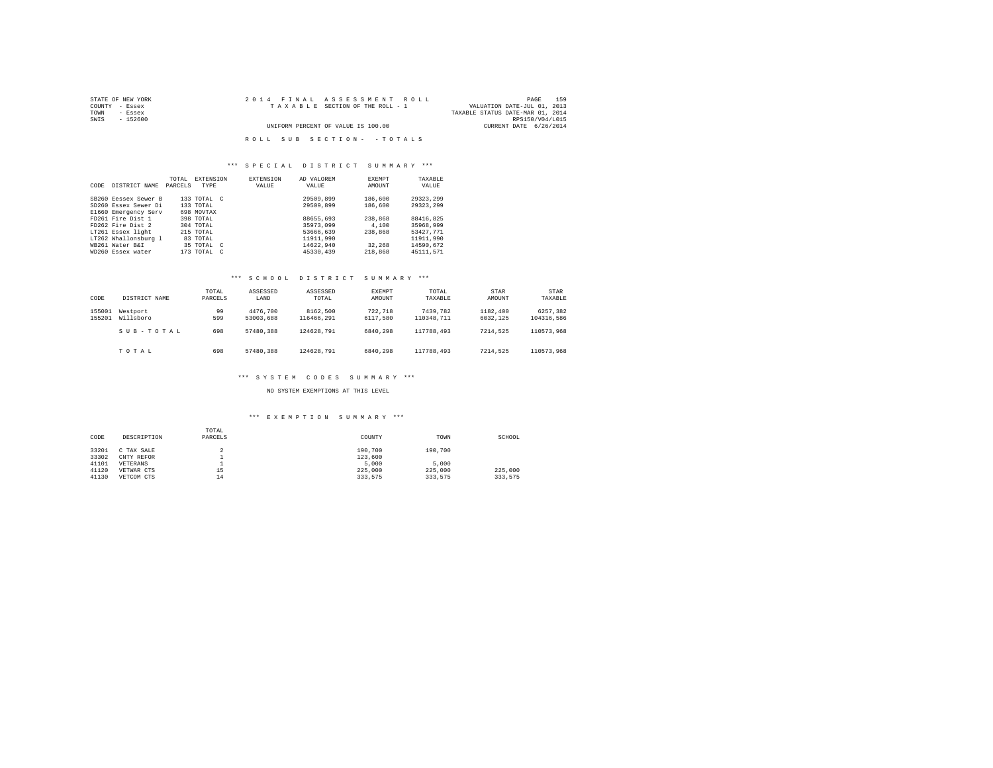| STATE OF NEW YORK | 2014 FINAL ASSESSMENT ROLL         | 159<br>PAGE                      |
|-------------------|------------------------------------|----------------------------------|
| COUNTY - Essex    | TAXABLE SECTION OF THE ROLL - 1    | VALUATION DATE-JUL 01, 2013      |
| TOWN<br>- Essex   |                                    | TAXABLE STATUS DATE-MAR 01, 2014 |
| SWIS<br>$-152600$ |                                    | RPS150/V04/L015                  |
|                   | UNIFORM PERCENT OF VALUE IS 100.00 | CURRENT DATE 6/26/2014           |
|                   |                                    |                                  |
|                   | ROLL SUB SECTION- - TOTALS         |                                  |

## \*\*\* S P E C I A L D I S T R I C T S U M M A R Y \*\*\*

| CODE | DISTRICT NAME        | TOTAL.<br>PARCELS | <b>EXTENSION</b><br><b>TYPE</b> | <b>EXTENSION</b><br>VALUE | AD VALOREM<br>VALUE | <b>EXEMPT</b><br>AMOUNT | TAXABLE<br>VALUE |
|------|----------------------|-------------------|---------------------------------|---------------------------|---------------------|-------------------------|------------------|
|      | SB260 Eessex Sewer B |                   | 133 TOTAL C                     |                           | 29509,899           | 186,600                 | 29323.299        |
|      | SD260 Essex Sewer Di |                   | 133 TOTAL                       |                           | 29509,899           | 186,600                 | 29323.299        |
|      | E1660 Emergency Serv |                   | 698 MOVTAX                      |                           |                     |                         |                  |
|      | FD261 Fire Dist 1    |                   | 398 TOTAL                       |                           | 88655.693           | 238,868                 | 88416.825        |
|      | FD262 Fire Dist 2    |                   | 304 TOTAL                       |                           | 35973,099           | 4,100                   | 35968.999        |
|      | LT261 Essex light    |                   | 215 TOTAL                       |                           | 53666,639           | 238,868                 | 53427.771        |
|      | LT262 Whallonsburg 1 |                   | 83 TOTAL                        |                           | 11911.990           |                         | 11911.990        |
|      | WB261 Water B&I      |                   | 35 TOTAL C                      |                           | 14622.940           | 32,268                  | 14590.672        |
|      | WD260 Essex water    |                   | $173$ TOTAL $C$                 |                           | 45330.439           | 218,868                 | 45111.571        |

# \*\*\* S C H O O L D I S T R I C T S U M M A R Y \*\*\*

| CODE             | DISTRICT NAME         | TOTAL<br>PARCELS | ASSESSED<br>LAND      | ASSESSED<br>TOTAL      | <b>EXEMPT</b><br>AMOUNT | TOTAL<br>TAXABLE       | STAR<br>AMOUNT       | STAR<br>TAXABLE        |
|------------------|-----------------------|------------------|-----------------------|------------------------|-------------------------|------------------------|----------------------|------------------------|
| 155001<br>155201 | Westport<br>Willsboro | 99<br>599        | 4476.700<br>53003.688 | 8162,500<br>116466.291 | 722.718<br>6117.580     | 7439.782<br>110348,711 | 1182,400<br>6032.125 | 6257.382<br>104316.586 |
|                  | SUB-TOTAL             | 698              | 57480.388             | 124628.791             | 6840.298                | 117788.493             | 7214.525             | 110573.968             |
|                  | TOTAL                 | 698              | 57480.388             | 124628.791             | 6840.298                | 117788,493             | 7214.525             | 110573.968             |

# \*\*\* S Y S T E M C O D E S S U M M A R Y \*\*\*

NO SYSTEM EXEMPTIONS AT THIS LEVEL

| CODE           | DESCRIPTION              | TOTAL<br>PARCELS | COUNTY             | TOWN    | SCHOOL  |
|----------------|--------------------------|------------------|--------------------|---------|---------|
| 33201<br>33302 | C TAX SALE<br>CNTY REFOR |                  | 190,700<br>123,600 | 190,700 |         |
| 41101          | VETERANS                 |                  | 5,000              | 5,000   |         |
| 41120          | VETWAR CTS               | 15               | 225,000            | 225,000 | 225,000 |
| 41130          | VETCOM CTS               | 14               | 333.575            | 333.575 | 333.575 |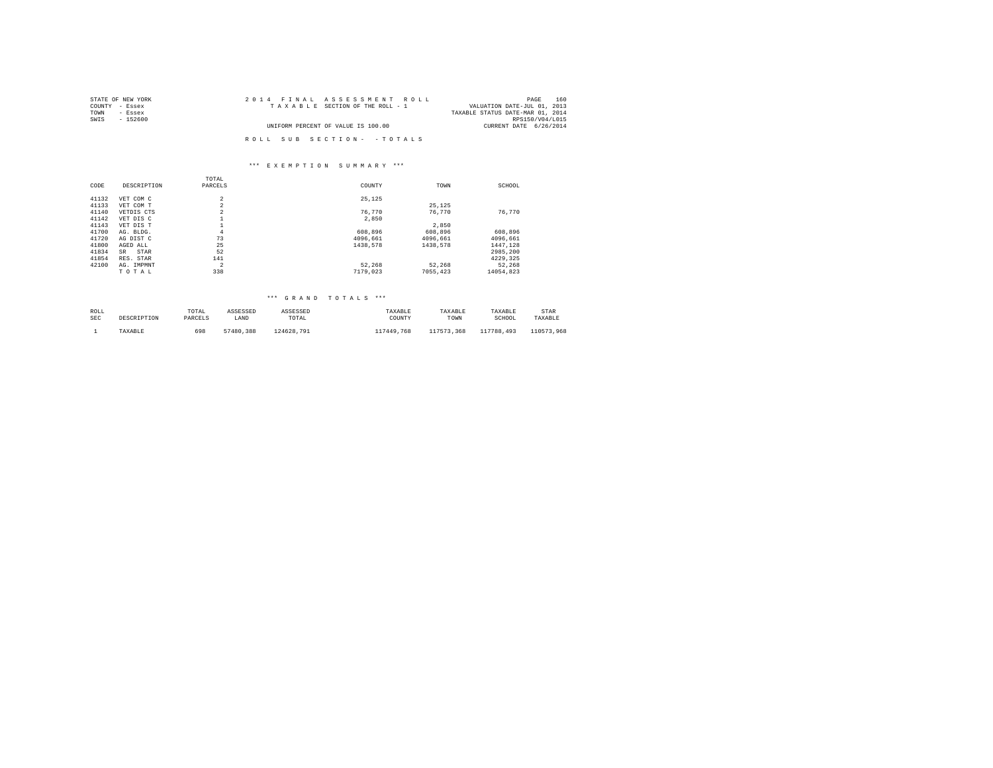| STATE OF NEW YORK | 2014 FINAL ASSESSMENT ROLL         | 160<br>PAGE                      |
|-------------------|------------------------------------|----------------------------------|
| COUNTY - Essex    | TAXABLE SECTION OF THE ROLL - 1    | VALUATION DATE-JUL 01, 2013      |
| TOWN<br>- Essex   |                                    | TAXABLE STATUS DATE-MAR 01, 2014 |
| SWIS<br>$-152600$ |                                    | RPS150/V04/L015                  |
|                   | UNIFORM PERCENT OF VALUE IS 100.00 | CURRENT DATE 6/26/2014           |
|                   |                                    |                                  |
|                   | ROLL SUB SECTION- - TOTALS         |                                  |

## \*\*\* E X E M P T I O N S U M M A R Y \*\*\*

|       |             | TOTAL          |          |          |           |
|-------|-------------|----------------|----------|----------|-----------|
| CODE  | DESCRIPTION | PARCELS        | COUNTY   | TOWN     | SCHOOL    |
|       |             |                |          |          |           |
| 41132 | VET COM C   | $\overline{c}$ | 25.125   |          |           |
| 41133 | VET COM T   | $\overline{c}$ |          | 25.125   |           |
| 41140 | VETDIS CTS  | $\overline{c}$ | 76.770   | 76.770   | 76.770    |
| 41142 | VET DIS C   |                | 2,850    |          |           |
| 41143 | VET DIS T   |                |          | 2,850    |           |
| 41700 | AG. BLDG.   | 4              | 608,896  | 608.896  | 608.896   |
| 41720 | AG DIST C   | 73             | 4096.661 | 4096.661 | 4096.661  |
| 41800 | AGED ALL    | 25             | 1438.578 | 1438.578 | 1447,128  |
| 41834 | SR<br>STAR  | 52             |          |          | 2985.200  |
| 41854 | RES. STAR   | 141            |          |          | 4229.325  |
| 42100 | AG. IMPMNT  | $\overline{a}$ | 52.268   | 52.268   | 52.268    |
|       | TOTAL       | 338            | 7179.023 | 7055,423 | 14054.823 |
|       |             |                |          |          |           |

| ROLL       | DESCRIPTION | TOTAL   | ASSESSED  | ASSESSED   | TAXABLE    | TAXARLE    | TAXABLE    | STAR       |
|------------|-------------|---------|-----------|------------|------------|------------|------------|------------|
| <b>SEC</b> |             | PARCELS | LAND      | TOTAL      | COUNTY     | TOWN       | SCHOOL     | TAXABLE    |
|            | TAXABLE     | 698     | 57480.388 | 124628.791 | 117449.768 | 117573.368 | 117788.493 | 110573.968 |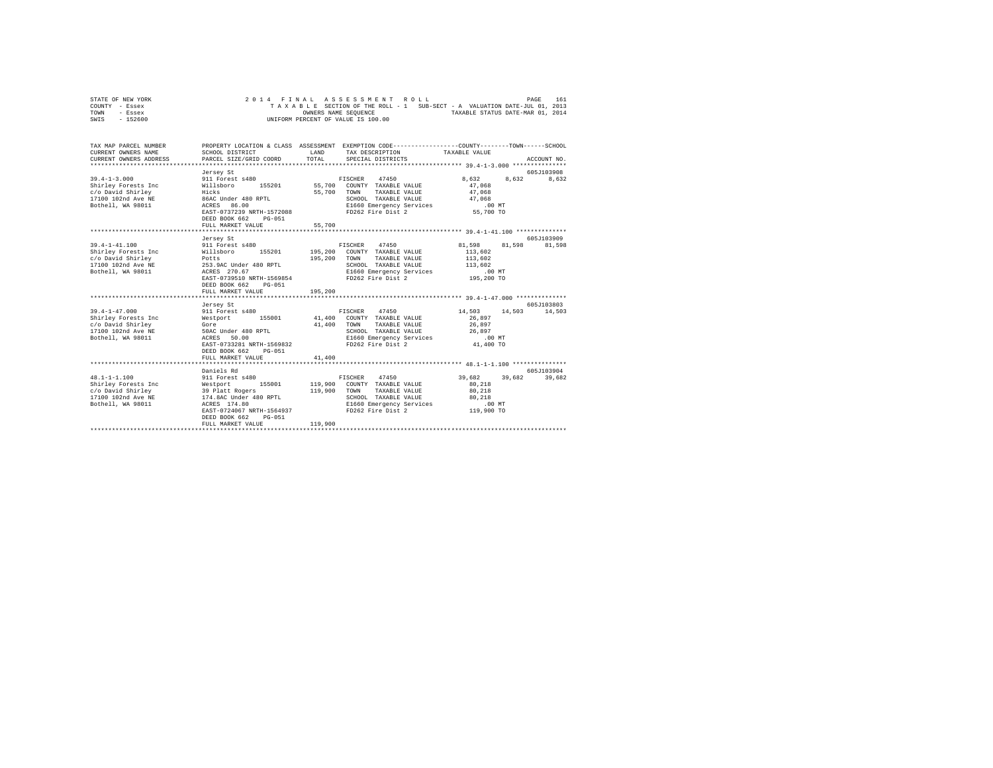|      | STATE OF NEW YORK |  |  |  | 2014 FINAL ASSESSMENT ROLL         |  |  |  |                                                                          | PAGE | 161 |
|------|-------------------|--|--|--|------------------------------------|--|--|--|--------------------------------------------------------------------------|------|-----|
|      | COUNTY - Essex    |  |  |  |                                    |  |  |  | TAXABLE SECTION OF THE ROLL - 1 SUB-SECT - A VALUATION DATE-JUL 01, 2013 |      |     |
| TOWN | - Essex           |  |  |  | OWNERS NAME SEOUENCE               |  |  |  | TAXABLE STATUS DATE-MAR 01, 2014                                         |      |     |
| SWIS | $-152600$         |  |  |  | UNIFORM PERCENT OF VALUE IS 100.00 |  |  |  |                                                                          |      |     |

| TAX MAP PARCEL NUMBER<br>CURRENT OWNERS NAME                                                                        | SCHOOL DISTRICT                                                                                                                                          | LAND                    | PROPERTY LOCATION & CLASS ASSESSMENT EXEMPTION CODE----------------COUNTY-------TOWN-----SCHOOL<br>TAX DESCRIPTION TAXABLE VALUE                               |                                                                          |                             |
|---------------------------------------------------------------------------------------------------------------------|----------------------------------------------------------------------------------------------------------------------------------------------------------|-------------------------|----------------------------------------------------------------------------------------------------------------------------------------------------------------|--------------------------------------------------------------------------|-----------------------------|
| $39.4 - 1 - 3.000$<br>Shirley Forests Inc Willsboro<br>c/o David Shirley<br>17100 102nd Ave NE<br>Bothell, WA 98011 | Jersey St<br>911 Forest s480<br>Hicks<br>86AC Under 480 RPTL<br>ACRES 86.00<br>EAST-0737239 NRTH-1572088<br>DEED BOOK 662<br>PG-051<br>FULL MARKET VALUE | 55,700 TOWN<br>55,700   | FISCHER 47450<br>155201 55,700 COUNTY TAXABLE VALUE<br>TAXABLE VALUE<br>SCHOOL TAXABLE VALUE<br>E1660 Emergency Services .00 MT<br>FD262 Fire Dist 2 55,700 TO | 8.632<br>8,632<br>47.068<br>47,068<br>47.068                             | 605J103908<br>8,632         |
|                                                                                                                     |                                                                                                                                                          |                         |                                                                                                                                                                |                                                                          |                             |
| $39.4 - 1 - 41.100$<br>Shirley Forests Inc Millsboro 155201                                                         | Jersey St<br>911 Forest s480<br>EAST-0739510 NRTH-1569854<br>DEED BOOK 662<br>PG-051<br>FULL MARKET VALUE                                                | 195,200 TOWN<br>195,200 | FISCHER 47450 81,598<br>195,200 COUNTY TAXABLE VALUE<br>TAXABLE VALUE<br>SCHOOL TAXABLE VALUE<br>E1660 Emergency Services<br>FD262 Fire Dist 2 195,200 TO      | 81,598<br>113,602<br>113,602<br>113,602<br>$.00$ MT                      | 605J103909<br>81,598        |
| $39.4 - 1 - 47.000$<br>Shirley Forests Inc Westport<br>ACRES<br>Bothell, WA 98011                                   | Jersey St<br>911 Forest s480<br>50.00<br>EAST-0733281 NRTH-1569832<br>DEED BOOK 662 PG-051<br>FULL MARKET VALUE                                          | 41,400 TOWN<br>41,400   | 47450<br>FISCHER<br>155001 41,400 COUNTY TAXABLE VALUE<br>TAXABLE VALUE<br>SCHOOL TAXABLE VALUE<br>E1660 Emergency Services .00 MT<br>FD262 Fire Dist 2        | 14,503<br>26,897<br>26,897<br>26,897<br>41,400 TO                        | 605J103803<br>14,503 14,503 |
| $48.1 - 1 - 1.100$<br>Bothell, WA 98011                                                                             | Daniels Rd<br>911 Forest s480<br>ACRES 174.80<br>EAST-0724067 NRTH-1564937<br>DEED BOOK 662<br>$PG-051$<br>FULL MARKET VALUE                             | 119,900                 | 47450<br>FISCHER<br>SCHOOL TAXABLE VALUE<br>E1660 Emergency Services<br>FD262 Fire Dist 2                                                                      | 39,682<br>39,682<br>80,218<br>80,218<br>80,218<br>$.00$ MT<br>119,900 TO | 605-7103904<br>39,682       |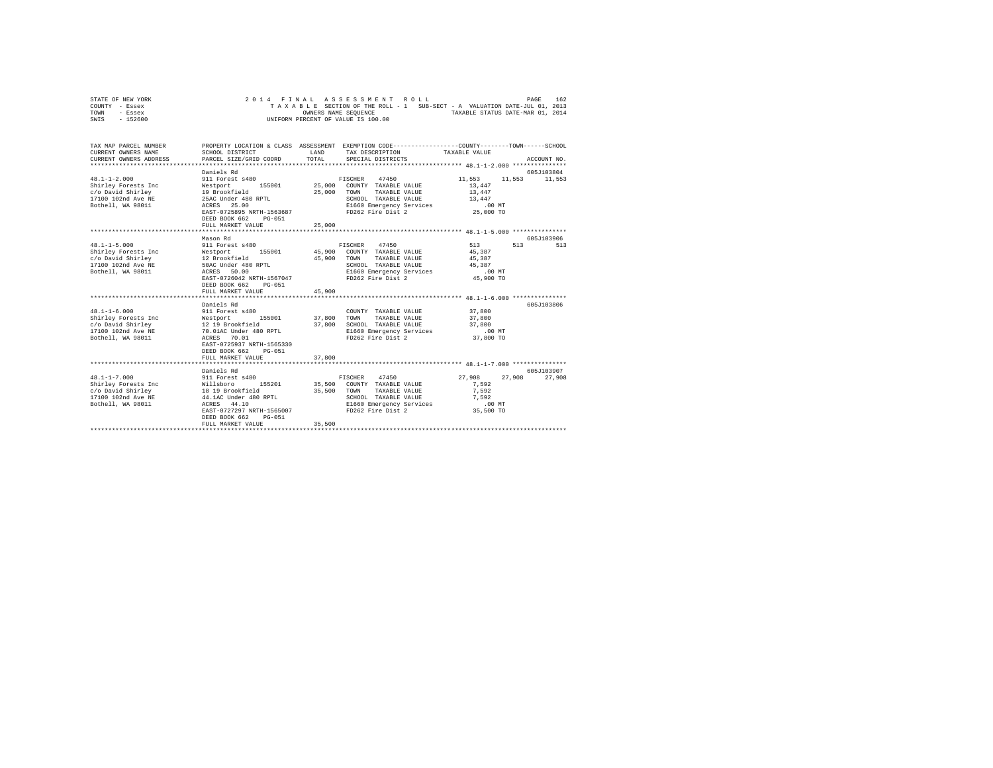|      | STATE OF NEW YORK |  |  |  | 2014 FINAL ASSESSMENT ROLL         |  |  |  |  |                                                                          | PAGE | 162 |
|------|-------------------|--|--|--|------------------------------------|--|--|--|--|--------------------------------------------------------------------------|------|-----|
|      | COUNTY - Essex    |  |  |  |                                    |  |  |  |  | TAXABLE SECTION OF THE ROLL - 1 SUB-SECT - A VALUATION DATE-JUL 01, 2013 |      |     |
| TOWN | - Essex           |  |  |  | OWNERS NAME SEOUENCE               |  |  |  |  | TAXABLE STATUS DATE-MAR 01, 2014                                         |      |     |
| SWIS | $-152600$         |  |  |  | UNIFORM PERCENT OF VALUE IS 100.00 |  |  |  |  |                                                                          |      |     |

| TAX MAP PARCEL NUMBER<br>CURRENT OWNERS NAME<br>CURRENT OWNERS ADDRESS                                                                                          | SCHOOL DISTRICT<br>PARCEL SIZE/GRID COORD                                                                                                                                                                        | <b>T.AND</b><br>TOTAL. | PROPERTY LOCATION & CLASS ASSESSMENT EXEMPTION CODE----------------COUNTY-------TOWN-----SCHOOL<br>TAX DESCRIPTION TAXABLE VALUE<br>SPECIAL DISTRICTS |                                                                      | ACCOUNT NO.               |
|-----------------------------------------------------------------------------------------------------------------------------------------------------------------|------------------------------------------------------------------------------------------------------------------------------------------------------------------------------------------------------------------|------------------------|-------------------------------------------------------------------------------------------------------------------------------------------------------|----------------------------------------------------------------------|---------------------------|
| $48.1 - 1 - 2.000$<br>Shirley Forests Inc<br>c/o David Shirley<br>17100 102nd Ave NE<br>Bothell, WA 98011                                                       | Daniels Rd<br>911 Forest s480<br>Westport 155001 25,000 COUNTY TAXABLE VALUE<br>19 Brookfield<br>25AC Under 480 RPTL<br>ACRES 25.00<br>EAST-0725895 NRTH-1563687<br>DEED BOOK 662<br>PG-051<br>FULL MARKET VALUE | 25,000<br>25,000       | FISCHER 47450<br>TOWN<br>TAXABLE VALUE<br>SCHOOL TAXABLE VALUE<br>E1660 Emergency Services<br>FD262 Fire Dist 2 25,000 TO                             | 11,553<br>11,553<br>13,447<br>13,447<br>13,447<br>.00MT              | 605J103804<br>11,553      |
|                                                                                                                                                                 |                                                                                                                                                                                                                  |                        |                                                                                                                                                       |                                                                      |                           |
| $48.1 - 1 - 5.000$<br>Shirley Forests Inc<br>c/o David Shirley<br>17100 102nd Ave NE<br>Bothell, WA 98011                                                       | Mason Rd<br>911 Forest s480<br>Westport 155001 45,900 COUNTY TAXABLE VALUE<br>12 Brookfield<br>50AC Under 480 RPTL<br>ACRES 50.00<br>EAST-0726042 NRTH-1567047<br>DEED BOOK 662<br>PG-051<br>FULL MARKET VALUE   | 45,900<br>45,900       | FISCHER 47450<br>TOWN<br>TAXABLE VALUE<br>SCHOOL TAXABLE VALUE<br>E1660 Emergency Services<br>FD262 Fire Dist 2                                       | 513<br>45,387<br>45,387<br>45.387<br>$.00$ MT<br>45,900 TO           | 605-7103906<br>513<br>513 |
|                                                                                                                                                                 | ************************                                                                                                                                                                                         |                        | ********************************** 48.1-1-6.000 ****************                                                                                      |                                                                      |                           |
| $48.1 - 1 - 6.000$<br>Shirley Forests Inc Westport<br>$c$ /o David Shirley $12$ 19 Brookfield<br>17100 102nd Ave NE 70.01AC Under 480 RPTL<br>Bothell, WA 98011 | Daniels Rd<br>911 Forest s480<br>155001 37,800<br>ACRES 70.01<br>EAST-0725937 NRTH-1565330<br>DEED BOOK 662<br>PG-051<br>FULL MARKET VALUE                                                                       | 37,800<br>37,800       | COUNTY TAXABLE VALUE<br>TOWN<br>TAXABLE VALUE<br>SCHOOL TAXABLE VALUE<br>E1660 Emergency Services<br>FD262 Fire Dist 2                                | 37,800<br>37,800<br>37,800<br>.00MT<br>37,800 TO                     | 605J103806                |
| $48.1 - 1 - 7.000$<br>Bothell, WA 98011                                                                                                                         | Daniels Rd<br>911 Forest s480<br>155201<br>ACRES 44.10<br>EAST-0727297 NRTH-1565007<br>DEED BOOK 662<br>$PG-051$<br>FULL MARKET VALUE                                                                            | 35,500                 | FISCHER 47450<br>35,500 COUNTY TAXABLE VALUE<br>35.500 TOWN<br>TAXABLE VALUE<br>SCHOOL TAXABLE VALUE<br>E1660 Emergency Services<br>FD262 Fire Dist 2 | 27,908<br>27,908<br>7.592<br>7.592<br>7,592<br>$.00$ MT<br>35,500 TO | 605J103907<br>27,908      |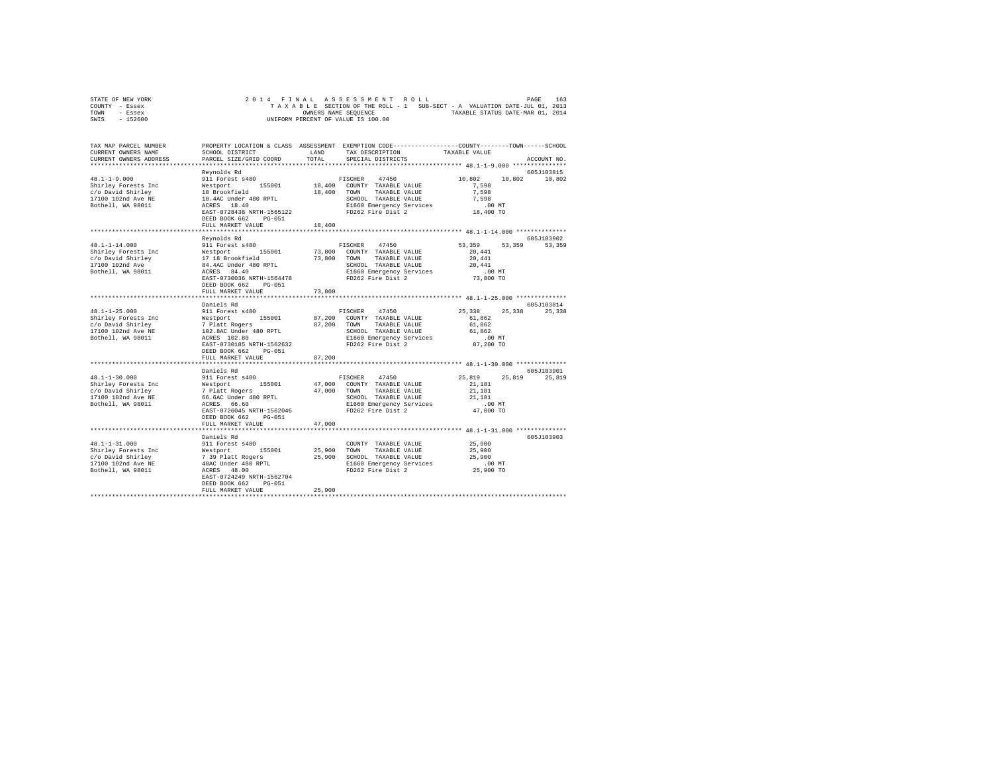| STATE OF NEW YORK | 2014 FINAL ASSESSMENT ROLL         | 163<br>PAGE                                                              |
|-------------------|------------------------------------|--------------------------------------------------------------------------|
| COUNTY - Essex    |                                    | TAXABLE SECTION OF THE ROLL - 1 SUB-SECT - A VALUATION DATE-JUL 01, 2013 |
| TOWN<br>- Essex   | OWNERS NAME SEOUENCE               | TAXABLE STATUS DATE-MAR 01, 2014                                         |
| $-152600$<br>SWIS | UNIFORM PERCENT OF VALUE IS 100.00 |                                                                          |

| TAX MAP PARCEL NUMBER<br>CURRENT OWNERS NAME                                                               | SCHOOL DISTRICT                                                                                                                                                          | T.AND  | PROPERTY LOCATION & CLASS ASSESSMENT EXEMPTION CODE----------------COUNTY-------TOWN-----SCHOOL<br>TAX DESCRIPTION                                 | TAXABLE VALUE                                                           |                      |
|------------------------------------------------------------------------------------------------------------|--------------------------------------------------------------------------------------------------------------------------------------------------------------------------|--------|----------------------------------------------------------------------------------------------------------------------------------------------------|-------------------------------------------------------------------------|----------------------|
| CURRENT OWNERS ADDRESS<br>************************                                                         | PARCEL SIZE/GRID COORD                                                                                                                                                   | TOTAL  | SPECIAL DISTRICTS                                                                                                                                  |                                                                         | ACCOUNT NO.          |
|                                                                                                            | Reynolds Rd                                                                                                                                                              |        |                                                                                                                                                    |                                                                         | 605J103815           |
| $48.1 - 1 - 9.000$<br>Shirley Forests Inc<br>c/o David Shirley<br>17100 102nd Ave NE<br>Bothell, WA 98011  | 911 Forest s480<br>Westport 155001<br>18 Brookfield<br>18.4AC Under 480 RPTL<br>ACRES 18.40                                                                              |        | FISCHER 47450<br>18,400 COUNTY TAXABLE VALUE<br>18,400 TOWN TAXABLE VALUE<br>SCHOOL TAXABLE VALUE<br>E1660 Emergency Services                      | 10,802<br>10,802<br>7.598<br>7,598<br>7.598<br>.00MT                    | 10,802               |
|                                                                                                            | EAST-0728438 NRTH-1565122<br>DEED BOOK 662<br>$PG-051$<br>FULL MARKET VALUE                                                                                              | 18,400 | FD262 Fire Dist 2                                                                                                                                  | 18,400 TO                                                               |                      |
|                                                                                                            |                                                                                                                                                                          |        |                                                                                                                                                    |                                                                         |                      |
| $48.1 - 1 - 14.000$<br>Shirley Forests Inc<br>c/o David Shirley<br>17100 102nd Ave<br>Bothell, WA 98011    | Reynolds Rd<br>911 Forest s480<br>Westport 155001<br>17 18 Brookfield<br>84.4AC Under 480 RPTL<br>ACRES 84.40                                                            | 73,800 | FISCHER 47450<br>COUNTY TAXABLE VALUE<br>73,800 TOWN TAXABLE VALUE<br>SCHOOL TAXABLE VALUE<br>E1660 Emergency Services                             | 53,359<br>53,359<br>20,441<br>20,441<br>20,441<br>$.00$ MT              | 605J103902<br>53,359 |
|                                                                                                            | EAST-0730036 NRTH-1564478<br>DEED BOOK 662<br>PG-051<br>FULL MARKET VALUE                                                                                                | 73,800 | FD262 Fire Dist 2                                                                                                                                  | 73,800 TO                                                               |                      |
|                                                                                                            |                                                                                                                                                                          |        |                                                                                                                                                    |                                                                         |                      |
|                                                                                                            | Daniels Rd                                                                                                                                                               |        |                                                                                                                                                    |                                                                         | 605J103814           |
| $48.1 - 1 - 25.000$<br>Shirley Forests Inc<br>c/o David Shirley<br>17100 102nd Ave NE<br>Bothell, WA 98011 | 911 Forest s480<br>Westport 155001<br>7 Platt Rogers<br>102.8AC Under 480 RPTL<br>ACRES 102.80<br>EAST-0730185 NRTH-1562632<br>DEED BOOK 662 PG-051                      |        | FISCHER 47450<br>87,200 COUNTY TAXABLE VALUE<br>87,200 TOWN TAXABLE VALUE<br>SCHOOL TAXABLE VALUE<br>E1660 Emergency Services<br>FD262 Fire Dist 2 | 25,338<br>25,338<br>61,862<br>61,862<br>61.862<br>$.00$ MT<br>87,200 TO | 25,338               |
|                                                                                                            | FULL MARKET VALUE<br>******************                                                                                                                                  | 87,200 |                                                                                                                                                    | ******************************* 48.1-1-30.000 ***************           |                      |
|                                                                                                            | Daniels Rd                                                                                                                                                               |        |                                                                                                                                                    |                                                                         | 605J103901           |
| $48.1 - 1 - 30.000$<br>Shirley Forests Inc<br>c/o David Shirley<br>17100 102nd Ave NE<br>Bothell, WA 98011 | 911 Forest s480<br>Westport 155001<br>7 Platt Rogers<br>66.6AC Under 480 RPTL<br>ACRES 66.60<br>EAST-0726045 NRTH-1562046<br>DEED BOOK 662 PG-051                        |        | FISCHER 47450<br>47,000 COUNTY TAXABLE VALUE<br>47,000 TOWN TAXABLE VALUE<br>SCHOOL TAXABLE VALUE<br>E1660 Emergency Services<br>FD262 Fire Dist 2 | 25,819<br>21,181<br>21,181<br>21,181<br>$.00$ MT<br>47,000 TO           | 25.819 25.819        |
|                                                                                                            | FULL MARKET VALUE                                                                                                                                                        | 47,000 |                                                                                                                                                    |                                                                         |                      |
| $48.1 - 1 - 31.000$<br>Shirley Forests Inc<br>c/o David Shirley<br>17100 102nd Ave NE<br>Bothell, WA 98011 | Daniels Rd<br>911 Forest s480<br>%<br>Westport 155001<br>7 39 Platt Rogers<br>48AC Under 480 RPTL<br>ACRES 48.00<br>EAST-0724249 NRTH-1562704<br>DEED BOOK 662<br>PG-051 |        | COUNTY TAXABLE VALUE<br>25,900 TOWN TAXABLE VALUE<br>25,900 SCHOOL TAXABLE VALUE<br>E1660 Emergency Services<br>FD262 Fire Dist 2                  | 25,900<br>25,900<br>25,900<br>$.00$ MT<br>25,900 TO                     | 605J103903           |
|                                                                                                            | FULL MARKET VALUE                                                                                                                                                        | 25,900 |                                                                                                                                                    |                                                                         |                      |
|                                                                                                            |                                                                                                                                                                          |        |                                                                                                                                                    |                                                                         |                      |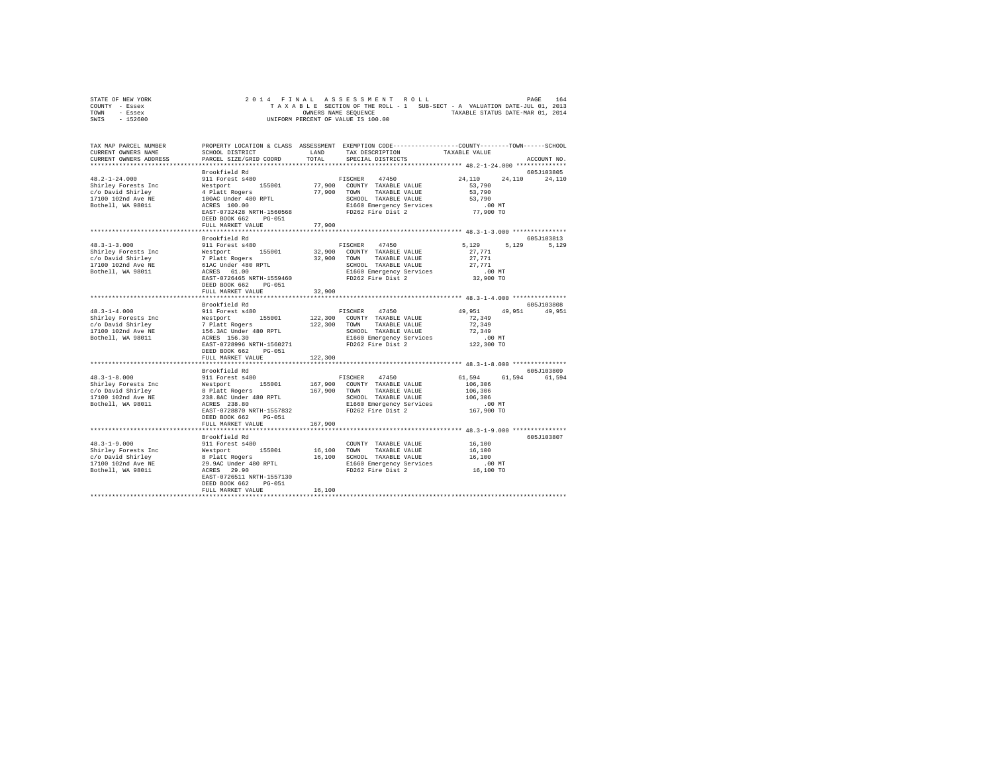| STATE OF NEW YORK |  |  | 2014 FINAL ASSESSMENT ROLL         |  |  |                                                                          |  | PAGE                             | 164 |
|-------------------|--|--|------------------------------------|--|--|--------------------------------------------------------------------------|--|----------------------------------|-----|
| COUNTY - Essex    |  |  |                                    |  |  | TAXABLE SECTION OF THE ROLL - 1 SUB-SECT - A VALUATION DATE-JUL 01, 2013 |  |                                  |     |
| TOWN<br>- Essex   |  |  | OWNERS NAME SEOUENCE               |  |  |                                                                          |  | TAXABLE STATUS DATE-MAR 01, 2014 |     |
| $-152600$<br>SWIS |  |  | UNIFORM PERCENT OF VALUE IS 100.00 |  |  |                                                                          |  |                                  |     |

| TAX MAP PARCEL NUMBER<br>CURRENT OWNERS NAME                                                               | SCHOOL DISTRICT                                                                                                                                      | LAND     | PROPERTY LOCATION & CLASS ASSESSMENT EXEMPTION CODE----------------COUNTY-------TOWN------SCHOOL<br>TAX DESCRIPTION                                   | TAXABLE VALUE                                                           |               |
|------------------------------------------------------------------------------------------------------------|------------------------------------------------------------------------------------------------------------------------------------------------------|----------|-------------------------------------------------------------------------------------------------------------------------------------------------------|-------------------------------------------------------------------------|---------------|
| CURRENT OWNERS ADDRESS<br>***********************                                                          | PARCEL SIZE/GRID COORD<br>****************************                                                                                               | TOTAL    | SPECIAL DISTRICTS                                                                                                                                     |                                                                         | ACCOUNT NO.   |
|                                                                                                            | Brookfield Rd                                                                                                                                        |          |                                                                                                                                                       |                                                                         | 605J103805    |
| $48.2 - 1 - 24.000$<br>Shirley Forests Inc<br>c/o David Shirley<br>17100 102nd Ave NE<br>Bothell, WA 98011 | 911 Forest s480<br>Westport 155001<br>4 Platt Rogers<br>100AC Under 480 RPTL<br>ACRES 100.00<br>EAST-0732428 NRTH-1560568<br>DEED BOOK 662<br>PG-051 |          | FISCHER<br>47450<br>77,900 COUNTY TAXABLE VALUE<br>77,900 TOWN TAXABLE VALUE<br>SCHOOL TAXABLE VALUE<br>E1660 Emergency Services<br>FD262 Fire Dist 2 | 24,110<br>24,110<br>53,790<br>53,790<br>53,790<br>$.00$ MT<br>77,900 TO | 24,110        |
|                                                                                                            | FULL MARKET VALUE                                                                                                                                    | 77,900   |                                                                                                                                                       |                                                                         |               |
|                                                                                                            |                                                                                                                                                      | ******** |                                                                                                                                                       | *************** 48.3-1-3.000 ****************                           |               |
|                                                                                                            |                                                                                                                                                      |          |                                                                                                                                                       |                                                                         | 605J103813    |
|                                                                                                            | Brookfield Rd                                                                                                                                        |          |                                                                                                                                                       |                                                                         |               |
| $48.3 - 1 - 3.000$                                                                                         | 911 Forest s480                                                                                                                                      |          | FISCHER 47450                                                                                                                                         | 5,129<br>5,129                                                          | 5,129         |
|                                                                                                            |                                                                                                                                                      | 32,900   | COUNTY TAXABLE VALUE                                                                                                                                  | 27.771                                                                  |               |
|                                                                                                            |                                                                                                                                                      |          | 32,900 TOWN TAXABLE VALUE                                                                                                                             | 27.771                                                                  |               |
|                                                                                                            |                                                                                                                                                      |          | SCHOOL TAXABLE VALUE                                                                                                                                  | 27.771                                                                  |               |
|                                                                                                            |                                                                                                                                                      |          | E1660 Emergency Services                                                                                                                              | .00 MT                                                                  |               |
|                                                                                                            | EAST-0726465 NRTH-1559460<br>DEED BOOK 662<br>PG-051                                                                                                 |          | FD262 Fire Dist 2                                                                                                                                     | 32,900 TO                                                               |               |
|                                                                                                            | FULL MARKET VALUE                                                                                                                                    | 32,900   |                                                                                                                                                       |                                                                         |               |
|                                                                                                            |                                                                                                                                                      |          |                                                                                                                                                       |                                                                         |               |
|                                                                                                            | Brookfield Rd                                                                                                                                        |          |                                                                                                                                                       |                                                                         | 605J103808    |
| $48.3 - 1 - 4.000$                                                                                         | 911 Forest s480                                                                                                                                      |          | FISCHER 47450                                                                                                                                         | 49,951                                                                  | 49.951 49.951 |
| Shirley Forests Inc                                                                                        | Westport 155001<br>7 Platt Rogers<br>156.3AC Under 480 RPTL                                                                                          |          | 122,300 COUNTY TAXABLE VALUE                                                                                                                          | 72,349                                                                  |               |
| c/o David Shirley                                                                                          |                                                                                                                                                      |          | 122,300 TOWN TAXABLE VALUE                                                                                                                            | 72.349                                                                  |               |
| 17100 102nd Ave NE                                                                                         |                                                                                                                                                      |          | SCHOOL TAXABLE VALUE                                                                                                                                  | 72,349                                                                  |               |
| Bothell, WA 98011                                                                                          | ACRES 156.30                                                                                                                                         |          | E1660 Emergency Services                                                                                                                              | $.00$ MT                                                                |               |
|                                                                                                            | EAST-0728996 NRTH-1560271<br>DEED BOOK 662 PG-051                                                                                                    |          | FD262 Fire Dist 2                                                                                                                                     | 122,300 TO                                                              |               |
|                                                                                                            | FULL MARKET VALUE                                                                                                                                    | 122,300  |                                                                                                                                                       |                                                                         |               |
|                                                                                                            |                                                                                                                                                      |          |                                                                                                                                                       |                                                                         |               |
|                                                                                                            | Brookfield Rd                                                                                                                                        |          |                                                                                                                                                       |                                                                         | 605-T103809   |
| $48.3 - 1 - 8.000$                                                                                         | 911 Forest s480                                                                                                                                      |          | FISCHER 47450                                                                                                                                         | 61.594                                                                  | 61,594 61,594 |
| Shirley Forests Inc                                                                                        |                                                                                                                                                      | 167,900  | COUNTY TAXABLE VALUE                                                                                                                                  | 106,306                                                                 |               |
| c/o David Shirley                                                                                          |                                                                                                                                                      |          | 167,900 TOWN TAXABLE VALUE                                                                                                                            | 106,306                                                                 |               |
| 17100 102nd Ave NE                                                                                         | Westport 155001<br>8 Platt Rogers<br>238.8AC Under 480 RPTL                                                                                          |          | SCHOOL TAXABLE VALUE                                                                                                                                  | 106,306                                                                 |               |
| Bothell, WA 98011                                                                                          | ACRES 238.80                                                                                                                                         |          | E1660 Emergency Services                                                                                                                              | .00 MT                                                                  |               |
|                                                                                                            | EAST-0728870 NRTH-1557832                                                                                                                            |          | FD262 Fire Dist 2                                                                                                                                     | 167,900 TO                                                              |               |
|                                                                                                            | DEED BOOK 662 PG-051                                                                                                                                 |          |                                                                                                                                                       |                                                                         |               |
|                                                                                                            | FULL MARKET VALUE                                                                                                                                    | 167,900  |                                                                                                                                                       |                                                                         |               |
|                                                                                                            |                                                                                                                                                      |          |                                                                                                                                                       |                                                                         |               |
|                                                                                                            | Brookfield Rd                                                                                                                                        |          |                                                                                                                                                       |                                                                         | 605J103807    |
| $48.3 - 1 - 9.000$                                                                                         | 911 Forest s480                                                                                                                                      |          | COUNTY TAXABLE VALUE                                                                                                                                  | 16,100                                                                  |               |
| Shirley Forests Inc                                                                                        |                                                                                                                                                      |          | 16,100 TOWN TAXABLE VALUE                                                                                                                             | 16,100                                                                  |               |
| c/o David Shirley                                                                                          |                                                                                                                                                      |          | 16,100 SCHOOL TAXABLE VALUE                                                                                                                           | 16,100                                                                  |               |
| 17100 102nd Ave NE                                                                                         |                                                                                                                                                      |          | E1660 Emergency Services                                                                                                                              | $.00$ MT                                                                |               |
| Bothell, WA 98011                                                                                          |                                                                                                                                                      |          | FD262 Fire Dist 2                                                                                                                                     | 16,100 TO                                                               |               |
|                                                                                                            | % Mestport<br>Westport<br>8 Platt Rogers<br>29.9AC Under 480 RPTL<br>ACRES 29.90<br>20.000613 NPTL<br>EAST-0726511 NRTH-1557130                      |          |                                                                                                                                                       |                                                                         |               |
|                                                                                                            | DEED BOOK 662<br>$PG-051$                                                                                                                            |          |                                                                                                                                                       |                                                                         |               |
|                                                                                                            | FULL MARKET VALUE                                                                                                                                    | 16,100   |                                                                                                                                                       |                                                                         |               |
|                                                                                                            |                                                                                                                                                      |          |                                                                                                                                                       |                                                                         |               |
|                                                                                                            |                                                                                                                                                      |          |                                                                                                                                                       |                                                                         |               |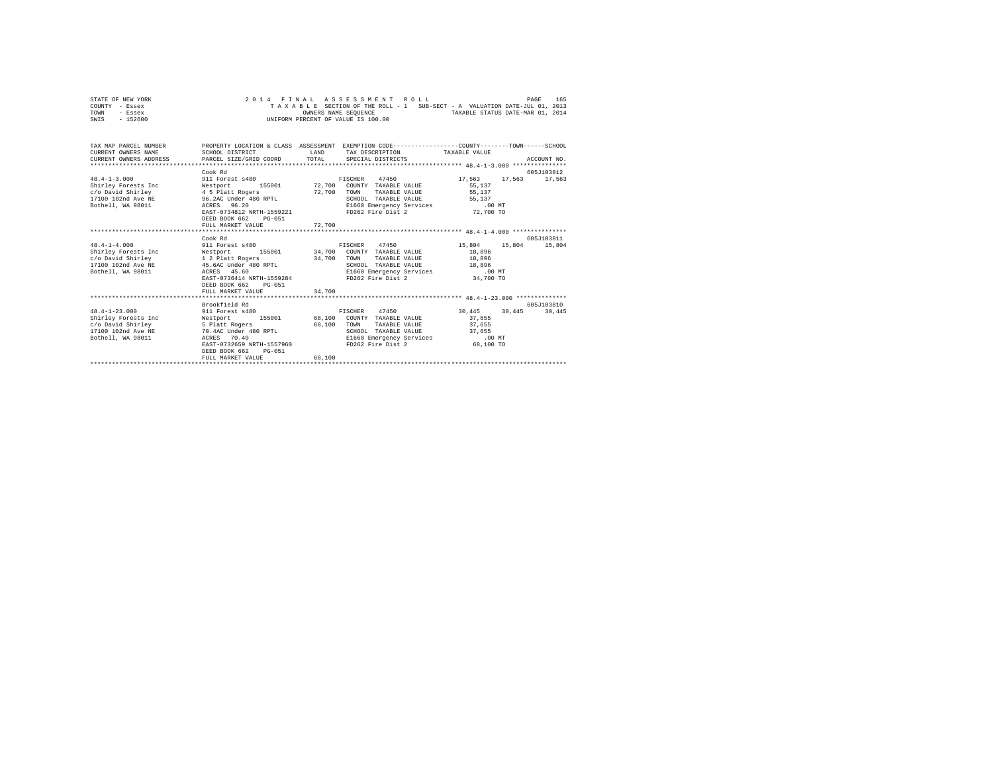|      | STATE OF NEW YORK |  | 2014 FINAL ASSESSMENT ROLL                                               |  |  | PAGE                             | 165 |
|------|-------------------|--|--------------------------------------------------------------------------|--|--|----------------------------------|-----|
|      | COUNTY - Essex    |  | TAXABLE SECTION OF THE ROLL - 1 SUB-SECT - A VALUATION DATE-JUL 01, 2013 |  |  |                                  |     |
| TOWN | - Essex           |  | OWNERS NAME SEOUENCE                                                     |  |  | TAXABLE STATUS DATE-MAR 01, 2014 |     |
| SWIS | - 152600          |  | UNIFORM PERCENT OF VALUE IS 100.00                                       |  |  |                                  |     |
|      |                   |  |                                                                          |  |  |                                  |     |

| TAX MAP PARCEL NUMBER                                                                                                                                                                                                                     |                      | PROPERTY LOCATION & CLASS ASSESSMENT EXEMPTION CODE---------------COUNTY-------TOWN------SCHOOL |  |                                                                                     |  |             |
|-------------------------------------------------------------------------------------------------------------------------------------------------------------------------------------------------------------------------------------------|----------------------|-------------------------------------------------------------------------------------------------|--|-------------------------------------------------------------------------------------|--|-------------|
| CURRENT OWNERS NAME                                                                                                                                                                                                                       | SCHOOL DISTRICT      | LAND TAX DESCRIPTION TAXABLE VALUE                                                              |  |                                                                                     |  |             |
|                                                                                                                                                                                                                                           |                      |                                                                                                 |  |                                                                                     |  |             |
| .CURRENT OWNERS ADDRESS PARCEL SIZE/GRID COORD TOTAL SPECIAL DISTRICTS (2011) ACCOUNT NO ACCOUNT NO COORD TEST AND RESERVE TO A SERVER A SERVER AND RESERVE A SERVER AND RESERVE A SERVER AND RESERVE A SERVER AND RESERVE A S            |                      |                                                                                                 |  |                                                                                     |  |             |
|                                                                                                                                                                                                                                           | Cook Rd              |                                                                                                 |  |                                                                                     |  | 605J103812  |
| 48.4-1-3.000 911 Forest s480 FISCHER 47450 17,563 17,563 17,563                                                                                                                                                                           |                      |                                                                                                 |  |                                                                                     |  |             |
| Shirley Forests Inc 65,137                                                                                                                                                                                                                |                      |                                                                                                 |  |                                                                                     |  |             |
|                                                                                                                                                                                                                                           |                      |                                                                                                 |  |                                                                                     |  |             |
|                                                                                                                                                                                                                                           |                      |                                                                                                 |  | SCHOOL TAXABLE VALUE 55,137<br>E1660 Emergency Services 65,137                      |  |             |
|                                                                                                                                                                                                                                           |                      |                                                                                                 |  |                                                                                     |  |             |
| 0211 11100 102nd Shirley (1990)<br>26.0 David Shirley (1990)<br>27.700 TOWN TAXABLE VALUE (1991)<br>27.700 TOWN TAXABLE VALUE (1991)<br>27.700 TOWN TAXABLE VALUE (1991)<br>27.700 TOWN TAXABLE VALUE (1991)<br>27.700 TOWN TAXABLE VALUE |                      |                                                                                                 |  | FD262 Fire Dist 2 72,700 TO                                                         |  |             |
|                                                                                                                                                                                                                                           | DEED BOOK 662 PG-051 |                                                                                                 |  |                                                                                     |  |             |
|                                                                                                                                                                                                                                           |                      |                                                                                                 |  |                                                                                     |  |             |
|                                                                                                                                                                                                                                           |                      |                                                                                                 |  |                                                                                     |  |             |
|                                                                                                                                                                                                                                           | Cook Rd              |                                                                                                 |  |                                                                                     |  | 605.T103811 |
| 48.4-1-4.000 911 Forest s480 FISCHER 47450 15,804 15,804 15,804                                                                                                                                                                           |                      |                                                                                                 |  |                                                                                     |  |             |
|                                                                                                                                                                                                                                           |                      |                                                                                                 |  |                                                                                     |  |             |
|                                                                                                                                                                                                                                           |                      |                                                                                                 |  |                                                                                     |  |             |
|                                                                                                                                                                                                                                           |                      |                                                                                                 |  | UWEN ARABLE VALUE<br>SCHOOL TAXABLE VALUE 18,996<br>E1660 Emergency Services 18,096 |  |             |
|                                                                                                                                                                                                                                           |                      |                                                                                                 |  |                                                                                     |  |             |
|                                                                                                                                                                                                                                           |                      |                                                                                                 |  | FD262 Fire Dist 2 34,700 TO                                                         |  |             |
|                                                                                                                                                                                                                                           | DEED BOOK 662 PG-051 |                                                                                                 |  |                                                                                     |  |             |
|                                                                                                                                                                                                                                           |                      | 34,700                                                                                          |  |                                                                                     |  |             |
|                                                                                                                                                                                                                                           |                      |                                                                                                 |  |                                                                                     |  |             |
|                                                                                                                                                                                                                                           | Brookfield Rd        |                                                                                                 |  |                                                                                     |  | 605J103810  |
| 48.4-1-23.000 911 Forest s480 FISCHER 47450 30,445 30,445 30,445                                                                                                                                                                          |                      |                                                                                                 |  |                                                                                     |  |             |
| Shirley Forests Inc 68,100 COUNTY TAXABLE VALUE 37,655                                                                                                                                                                                    |                      |                                                                                                 |  |                                                                                     |  |             |
| c/o David Shirley 5 Platt Rogers 68,100 TOWN                                                                                                                                                                                              |                      |                                                                                                 |  | TAXABLE VALUE 37,655                                                                |  |             |
| 17100 102nd Ave NE 70.4AC Under 480 RPTL                                                                                                                                                                                                  |                      |                                                                                                 |  | SCHOOL TAXABLE VALUE 37,655<br>E1660 Emergency Services .00 MT                      |  |             |
| Bothell, WA 98011 ACRES 70.40                                                                                                                                                                                                             |                      | ACRES 70.40<br>EAST-0732659 NRTH-1557960                                                        |  |                                                                                     |  |             |
|                                                                                                                                                                                                                                           |                      |                                                                                                 |  | FD262 Fire Dist 2 68,100 TO                                                         |  |             |
|                                                                                                                                                                                                                                           | DEED BOOK 662        | $PG-051$                                                                                        |  |                                                                                     |  |             |
|                                                                                                                                                                                                                                           | FULL MARKET VALUE    | 68.100                                                                                          |  |                                                                                     |  |             |
|                                                                                                                                                                                                                                           |                      |                                                                                                 |  |                                                                                     |  |             |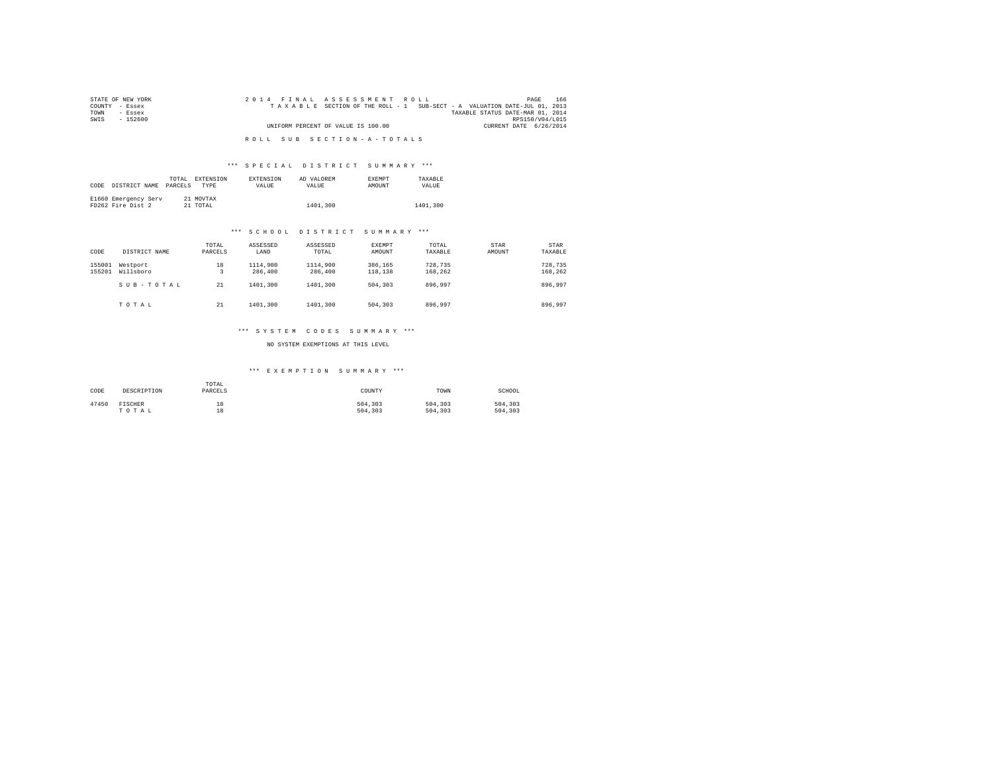| STATE OF NEW YORK | 2014 FINAL ASSESSMENT ROLL                                               | 166<br>PAGE            |
|-------------------|--------------------------------------------------------------------------|------------------------|
| COUNTY - Essex    | TAXABLE SECTION OF THE ROLL - 1 SUB-SECT - A VALUATION DATE-JUL 01, 2013 |                        |
| TOWN<br>- Essex   | TAXABLE STATUS DATE-MAR 01, 2014                                         |                        |
| SWTS<br>$-152600$ |                                                                          | RPS150/V04/L015        |
|                   | UNIFORM PERCENT OF VALUE IS 100.00                                       | CURRENT DATE 6/26/2014 |
|                   | ROLL SUB SECTION-A-TOTALS                                                |                        |

# \*\*\* S P E C I A L D I S T R I C T S U M M A R Y \*\*\*

| CODE | DISTRICT NAME                             | TOTAL<br>PARCELS | EXTENSION<br><b>TYPE</b> | <b>EXTENSION</b><br><b>VALUE</b> | AD VALOREM<br>VALUE. | <b>EXEMPT</b><br><b>AMOUNT</b> | TAXARLE<br>VALUE. |
|------|-------------------------------------------|------------------|--------------------------|----------------------------------|----------------------|--------------------------------|-------------------|
|      | E1660 Emergency Serv<br>FD262 Fire Dist 2 |                  | 21 MOVTAX<br>21 TOTAL    |                                  | 1401,300             |                                | 1401,300          |

## \*\*\* S C H O O L D I S T R I C T S U M M A R Y \*\*\*

| CODE             | DISTRICT NAME         | TOTAL<br>PARCELS | ASSESSED<br>LAND    | ASSESSED<br>TOTAL   | <b>EXEMPT</b><br>AMOUNT | TOTAL<br>TAXABLE   | STAR<br>AMOUNT | <b>STAR</b><br>TAXABLE |
|------------------|-----------------------|------------------|---------------------|---------------------|-------------------------|--------------------|----------------|------------------------|
| 155001<br>155201 | Westport<br>Willsboro | 18<br>3          | 1114,900<br>286,400 | 1114,900<br>286,400 | 386.165<br>118,138      | 728.735<br>168.262 |                | 728,735<br>168,262     |
|                  | SUB-TOTAL             | 21               | 1401,300            | 1401,300            | 504,303                 | 896.997            |                | 896.997                |
|                  | TOTAL                 | 21               | 1401.300            | 1401,300            | 504,303                 | 896.997            |                | 896,997                |

#### \*\*\* S Y S T E M C O D E S S U M M A R Y \*\*\*

NO SYSTEM EXEMPTIONS AT THIS LEVEL

| CODE  | DESCRIPTION | TOTAL<br>PARCELS | COUNTY  | TOWN    | SCHOOL  |
|-------|-------------|------------------|---------|---------|---------|
| 47450 | FISCHER     | 18               | 504,303 | 504,303 | 504,303 |
|       | TOTAL       | 18               | 504,303 | 504,303 | 504,303 |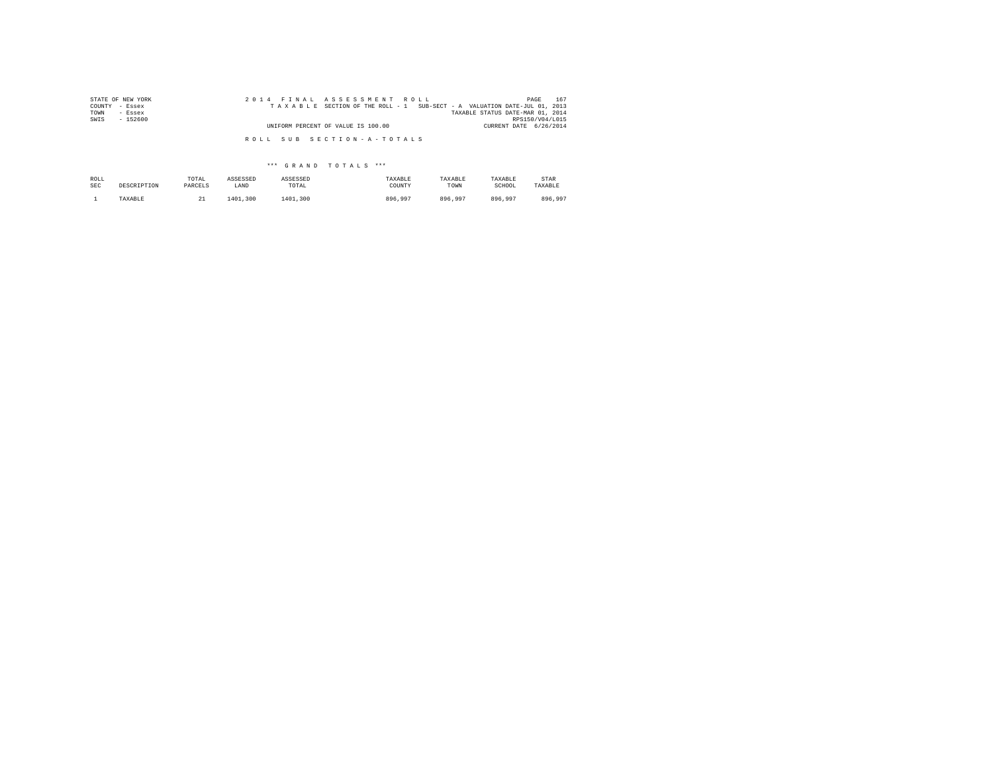| STATE OF NEW YORK | 2014 FINAL ASSESSMENT ROLL                                               | 167<br>PAGE                      |
|-------------------|--------------------------------------------------------------------------|----------------------------------|
| COUNTY - Essex    | TAXABLE SECTION OF THE ROLL - 1 SUB-SECT - A VALUATION DATE-JUL 01, 2013 |                                  |
| TOWN<br>- Essex   |                                                                          | TAXABLE STATUS DATE-MAR 01, 2014 |
| SWIS<br>$-152600$ |                                                                          | RPS150/V04/L015                  |
|                   | UNIFORM PERCENT OF VALUE IS 100.00                                       | CURRENT DATE 6/26/2014           |
|                   | ROLL SUB SECTION-A-TOTALS                                                |                                  |

| ROLL | DESCRIPTION | TOTAL   | ASSESSED | ASSESSED | TAXABLE | TAXABLE | TAXABLE | STAR    |
|------|-------------|---------|----------|----------|---------|---------|---------|---------|
| SEC  |             | PARCELS | LAND     | TOTAL    | COUNTY  | TOWN    | SCHOOL  | TAXABLE |
|      | TAXABLE     | --      | 1401,300 | 1401.300 | 896,997 | 896.997 | 896.997 | 896.997 |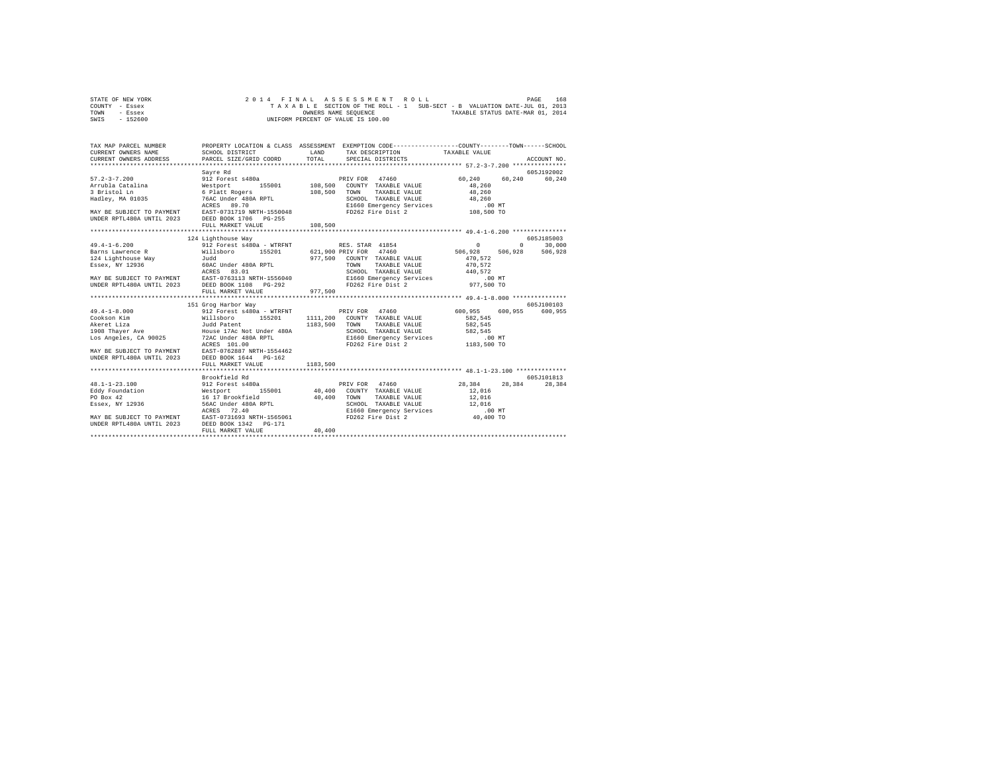|      | STATE OF NEW YORK |  |  |  | 2014 FINAL ASSESSMENT ROLL         |  |  |  |                                                                          | PAGE | 168 |
|------|-------------------|--|--|--|------------------------------------|--|--|--|--------------------------------------------------------------------------|------|-----|
|      | COUNTY - Essex    |  |  |  |                                    |  |  |  | TAXABLE SECTION OF THE ROLL - 1 SUB-SECT - B VALUATION DATE-JUL 01, 2013 |      |     |
| TOWN | - Essex           |  |  |  | OWNERS NAME SEOUENCE               |  |  |  | TAXABLE STATUS DATE-MAR 01, 2014                                         |      |     |
| SWIS | $-152600$         |  |  |  | UNIFORM PERCENT OF VALUE IS 100.00 |  |  |  |                                                                          |      |     |

| TAX MAP PARCEL NUMBER | PROPERTY LOCATION & CLASS ASSESSMENT EXEMPTION CODE----------------COUNTY-------TOWN------SCHOOL                                                                                                                               |  |            |
|-----------------------|--------------------------------------------------------------------------------------------------------------------------------------------------------------------------------------------------------------------------------|--|------------|
|                       |                                                                                                                                                                                                                                |  |            |
|                       | Sayre Rd                                                                                                                                                                                                                       |  | 605J192002 |
|                       |                                                                                                                                                                                                                                |  |            |
|                       |                                                                                                                                                                                                                                |  |            |
|                       |                                                                                                                                                                                                                                |  |            |
|                       |                                                                                                                                                                                                                                |  |            |
|                       |                                                                                                                                                                                                                                |  |            |
|                       |                                                                                                                                                                                                                                |  |            |
|                       |                                                                                                                                                                                                                                |  |            |
|                       |                                                                                                                                                                                                                                |  |            |
|                       | 124 Lighthouse Way                                                                                                                                                                                                             |  | 605J185003 |
|                       |                                                                                                                                                                                                                                |  |            |
|                       |                                                                                                                                                                                                                                |  |            |
|                       |                                                                                                                                                                                                                                |  |            |
|                       |                                                                                                                                                                                                                                |  |            |
|                       |                                                                                                                                                                                                                                |  |            |
|                       |                                                                                                                                                                                                                                |  |            |
|                       |                                                                                                                                                                                                                                |  |            |
|                       |                                                                                                                                                                                                                                |  |            |
|                       | 1913 (1993) Harbor Way (1994) Harbor Way (1994) Harbor Way (1994) Harbor Way (1994) Harbor Way (1994) (1994) Harbor Way (1994) (1994) Harbor (1994) (1994) Harbor (1994) (1994) Harbor (1994) (1994) (1994) (1994) (1994) (199 |  |            |
|                       |                                                                                                                                                                                                                                |  |            |
|                       |                                                                                                                                                                                                                                |  |            |
|                       |                                                                                                                                                                                                                                |  |            |
|                       |                                                                                                                                                                                                                                |  |            |
|                       |                                                                                                                                                                                                                                |  |            |
|                       |                                                                                                                                                                                                                                |  |            |
|                       | ACRES 101.00<br>MAY BE SUBJECT TO PAYMENT EAST-0762887 NRTH-1554462<br>UNDER RPTL480A UNTIL 2023 DEED BOOK 1644 PG-162                                                                                                         |  |            |
|                       |                                                                                                                                                                                                                                |  |            |
|                       |                                                                                                                                                                                                                                |  |            |
|                       |                                                                                                                                                                                                                                |  |            |
|                       |                                                                                                                                                                                                                                |  |            |
|                       |                                                                                                                                                                                                                                |  |            |
|                       |                                                                                                                                                                                                                                |  |            |
|                       |                                                                                                                                                                                                                                |  |            |
|                       |                                                                                                                                                                                                                                |  |            |
|                       |                                                                                                                                                                                                                                |  |            |
|                       |                                                                                                                                                                                                                                |  |            |
|                       |                                                                                                                                                                                                                                |  |            |
|                       |                                                                                                                                                                                                                                |  |            |
|                       |                                                                                                                                                                                                                                |  |            |
|                       |                                                                                                                                                                                                                                |  |            |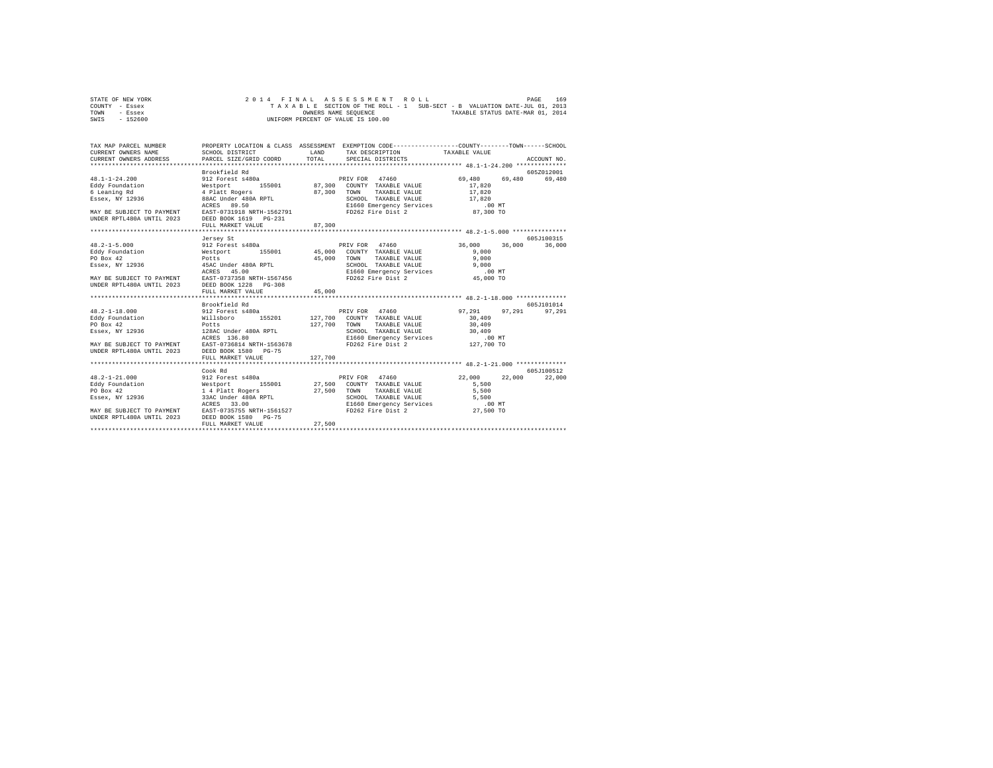| STATE OF NEW YORK |  |  | 2014 FINAL ASSESSMENT ROLL         |  |                                                                          |                                  | PAGE | 169 |
|-------------------|--|--|------------------------------------|--|--------------------------------------------------------------------------|----------------------------------|------|-----|
| COUNTY - Essex    |  |  |                                    |  | TAXABLE SECTION OF THE ROLL - 1 SUB-SECT - B VALUATION DATE-JUL 01, 2013 |                                  |      |     |
| TOWN<br>- Essex   |  |  | OWNERS NAME SEOUENCE               |  |                                                                          | TAXABLE STATUS DATE-MAR 01, 2014 |      |     |
| $-152600$<br>SWIS |  |  | UNIFORM PERCENT OF VALUE IS 100.00 |  |                                                                          |                                  |      |     |

| TAX MAP PARCEL NUMBER<br>CURRENT OWNERS NAME                                                                                                                                                | SCHOOL DISTRICT                                                                                               | LAND         | TAX DESCRIPTION TAXABLE VALUE                                                               | PROPERTY LOCATION & CLASS ASSESSMENT EXEMPTION CODE---------------COUNTY-------TOWN------SCHOOL |             |
|---------------------------------------------------------------------------------------------------------------------------------------------------------------------------------------------|---------------------------------------------------------------------------------------------------------------|--------------|---------------------------------------------------------------------------------------------|-------------------------------------------------------------------------------------------------|-------------|
| CURRENT OWNERS ADDRESS PARCEL SIZE/GRID COORD TOTAL                                                                                                                                         |                                                                                                               |              | SPECIAL DISTRICTS                                                                           |                                                                                                 | ACCOUNT NO. |
|                                                                                                                                                                                             |                                                                                                               |              |                                                                                             |                                                                                                 |             |
|                                                                                                                                                                                             | 912 Forest s480a<br>Westport 155001 87,300 COUNTY TAXABLE VALUE<br>4 Platt Rogers 87,300 COUNTY TAXABLE VALUE |              |                                                                                             |                                                                                                 | 6057012001  |
| $48.1 - 1 - 24.200$                                                                                                                                                                         |                                                                                                               |              |                                                                                             | 69,480 69,480                                                                                   | 69,480      |
| Eddy Foundation<br>6 Leaning Rd                                                                                                                                                             |                                                                                                               |              |                                                                                             | 17,820                                                                                          |             |
|                                                                                                                                                                                             |                                                                                                               |              |                                                                                             | 17,820                                                                                          |             |
| 6 Leaning Rue (1996)<br>Essex, NY 12936 (1988) 88AC Under 480A RPTL<br>--- 00 F0                                                                                                            |                                                                                                               |              | SCHOOL TAXABLE VALUE 17,820                                                                 |                                                                                                 |             |
| D.00 MT ACRES 89.50<br>MAY BE SUBJECT TO PAYMENT EAST-0731918 NRTH-1562791 FD262 Fire Dist 2 (87,300 TO                                                                                     |                                                                                                               |              |                                                                                             |                                                                                                 |             |
|                                                                                                                                                                                             |                                                                                                               |              |                                                                                             |                                                                                                 |             |
| UNDER RPTL480A UNTIL 2023 DEED BOOK 1619 PG-231                                                                                                                                             |                                                                                                               |              |                                                                                             |                                                                                                 |             |
|                                                                                                                                                                                             | FULL MARKET VALUE                                                                                             | 87,300       |                                                                                             |                                                                                                 |             |
|                                                                                                                                                                                             |                                                                                                               |              |                                                                                             |                                                                                                 |             |
|                                                                                                                                                                                             | Jersey St                                                                                                     |              |                                                                                             |                                                                                                 | 605J100315  |
| $48.2 - 1 - 5.000$                                                                                                                                                                          | 912 Forest s480a                                                                                              |              | PRIV FOR 47460                                                                              | 36,000 36,000                                                                                   | 36,000      |
| Eddy Foundation                                                                                                                                                                             | Westport 155001 45,000 COUNTY TAXABLE VALUE                                                                   |              |                                                                                             | 9.000                                                                                           |             |
| PO Box 42                                                                                                                                                                                   | Potts                                                                                                         | 45,000       | TOWN<br>TAXABLE VALUE                                                                       | 9,000                                                                                           |             |
|                                                                                                                                                                                             |                                                                                                               |              |                                                                                             |                                                                                                 |             |
|                                                                                                                                                                                             |                                                                                                               |              | SCHOOL TAXABLE VALUE 9,000<br>E1660 Emergency Services 00 MT<br>FD262 Fire Dist 2 45,000 TO |                                                                                                 |             |
|                                                                                                                                                                                             |                                                                                                               |              |                                                                                             |                                                                                                 |             |
| UNDER RPTL480A UNTIL 2023 DEED BOOK 1228 PG-308                                                                                                                                             |                                                                                                               |              |                                                                                             |                                                                                                 |             |
|                                                                                                                                                                                             | FULL MARKET VALUE                                                                                             | 45,000       |                                                                                             |                                                                                                 |             |
|                                                                                                                                                                                             |                                                                                                               |              |                                                                                             |                                                                                                 |             |
|                                                                                                                                                                                             | Brookfield Rd                                                                                                 |              |                                                                                             |                                                                                                 | 605-7101014 |
| $48.2 - 1 - 18.000$                                                                                                                                                                         | 912 Forest s480a                                                                                              |              | PRIV FOR 47460                                                                              | 97.291<br>97.291                                                                                | 97,291      |
| Eddy Foundation Willsboro                                                                                                                                                                   |                                                                                                               |              | 155201 127.700 COUNTY TAXABLE VALUE                                                         | 30,409                                                                                          |             |
|                                                                                                                                                                                             | Potts                                                                                                         | 127,700 TOWN | TAXABLE VALUE                                                                               | 30,409                                                                                          |             |
| PO Box 42<br>Essex, NY 12936                                                                                                                                                                | 128AC Under 480A RPTL<br>ACRES 136.80                                                                         |              |                                                                                             |                                                                                                 |             |
|                                                                                                                                                                                             |                                                                                                               |              | SCHOOL TAXABLE VALUE 30,409<br>E1660 Emergency Services .00 MT                              |                                                                                                 |             |
|                                                                                                                                                                                             |                                                                                                               |              | FD262 Fire Dist 2 127,700 TO                                                                |                                                                                                 |             |
| MAY BE SUBJECT TO PAYMENT EAST-0736814 NRTH-1563678<br>UNDER RPTL480A UNTIL 2023                                                                                                            | DEED BOOK 1580 PG-75                                                                                          |              |                                                                                             |                                                                                                 |             |
|                                                                                                                                                                                             |                                                                                                               |              |                                                                                             |                                                                                                 |             |
|                                                                                                                                                                                             | FULL MARKET VALUE<br>**************************                                                               | 127,700      |                                                                                             |                                                                                                 |             |
|                                                                                                                                                                                             |                                                                                                               |              |                                                                                             |                                                                                                 |             |
|                                                                                                                                                                                             | Cook Rd                                                                                                       |              |                                                                                             |                                                                                                 | 605J100512  |
| $48.2 - 1 - 21.000$                                                                                                                                                                         | 912 Forest s480a                                                                                              |              | PRIV FOR 47460                                                                              | 22,000<br>22,000                                                                                | 22,000      |
|                                                                                                                                                                                             |                                                                                                               |              |                                                                                             | 5,500                                                                                           |             |
|                                                                                                                                                                                             |                                                                                                               |              |                                                                                             | 5,500                                                                                           |             |
| Eddy Foundation Mestport 155001 27,500 COUNTY TAXABLE VALUE PO Box 42<br>PO Box 42 1 4 Platt Rogers 27,500 TOWN TAXABLE VALUE<br>14 33AC Under 400A RPTL SCHOOL TAXABLE VALUE<br>SESS 33.00 |                                                                                                               |              | SCHOOL TAXABLE VALUE                                                                        | 5,500                                                                                           |             |
|                                                                                                                                                                                             |                                                                                                               |              | E1660 Emergency Services<br>FD262 Fire Dist 2                                               | $.00$ MT                                                                                        |             |
| MAY BE SUBJECT TO PAYMENT EAST-0735755 NRTH-1561527<br>UNDER RPTL480A UNTIL 2023 DEED BOOK 1580 PG-75                                                                                       |                                                                                                               |              |                                                                                             | 27,500 TO                                                                                       |             |
|                                                                                                                                                                                             |                                                                                                               |              |                                                                                             |                                                                                                 |             |
|                                                                                                                                                                                             | FULL MARKET VALUE                                                                                             | 27,500       |                                                                                             |                                                                                                 |             |
|                                                                                                                                                                                             |                                                                                                               |              |                                                                                             |                                                                                                 |             |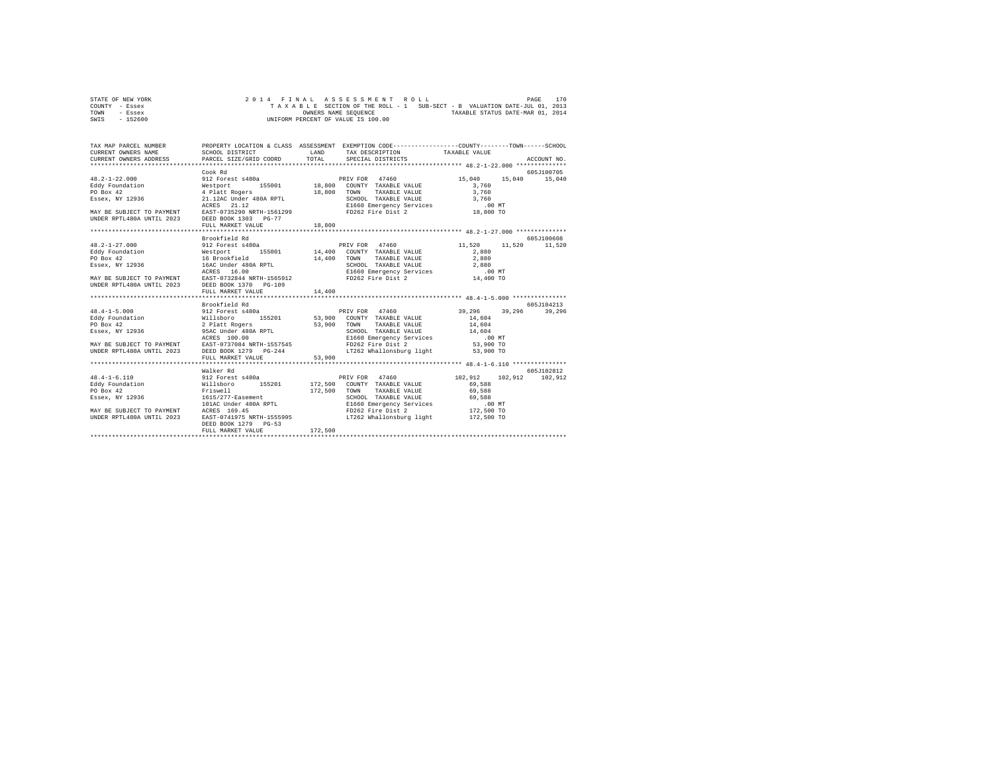| STATE OF NEW YORK |  |  |  |  | 2014 FINAL ASSESSMENT ROLL         |  |  |                                                                          |                                  | PAGE | 170 |
|-------------------|--|--|--|--|------------------------------------|--|--|--------------------------------------------------------------------------|----------------------------------|------|-----|
| COUNTY - Essex    |  |  |  |  |                                    |  |  | TAXABLE SECTION OF THE ROLL - 1 SUB-SECT - B VALUATION DATE-JUL 01, 2013 |                                  |      |     |
| TOWN<br>- Essex   |  |  |  |  | OWNERS NAME SEOUENCE               |  |  |                                                                          | TAXABLE STATUS DATE-MAR 01, 2014 |      |     |
| $-152600$<br>SWIS |  |  |  |  | UNIFORM PERCENT OF VALUE IS 100.00 |  |  |                                                                          |                                  |      |     |

| TAX MAP PARCEL NUMBER<br>CURRENT OWNERS NAME<br>CURRENT OWNERS ADDRESS PARCEL SIZE/GRID COORD                                                                                                                                                                                                                                                                                                                                                                                                                                                                                                                                                                                                                             | SCHOOL DISTRICT                                                                                 | LAND<br>TOTAL | PROPERTY LOCATION & CLASS ASSESSMENT EXEMPTION CODE-----------------COUNTY-------TOWN------SCHOOL<br>TAX DESCRIPTION TAXABLE VALUE<br>SPECIAL DISTRICTS |                                     | ACCOUNT NO.                  |
|---------------------------------------------------------------------------------------------------------------------------------------------------------------------------------------------------------------------------------------------------------------------------------------------------------------------------------------------------------------------------------------------------------------------------------------------------------------------------------------------------------------------------------------------------------------------------------------------------------------------------------------------------------------------------------------------------------------------------|-------------------------------------------------------------------------------------------------|---------------|---------------------------------------------------------------------------------------------------------------------------------------------------------|-------------------------------------|------------------------------|
| $48.2 - 1 - 22.000$<br>48.2-1-22.000<br>Edgy Foundation Mestport 155001 18,800 COUNTY TAXABLE VALUE<br>PO Box 42 4 Platt Rogers 18,800 TOWN TAXABLE VALUE<br>PO Box 42 4 Platt Rogers 18,800 TOWN TAXABLE VALUE<br>FISSEX, NY 12936 21.12<br>RORES 21.12<br>$\begin{tabular}{lllllllllllll} & $\,\,\ldots\,\, \text{---}\, & $\,\,\,\ldots\,\, & $\,\,\,\ldots\,\, & $\,\,\,\ldots\,\, & $\,\,\,\ldots\,\, & $\,\,\,\ldots\,\, & $\,\,\,\ldots\,\, & $\,\,\,\ldots\,\, & $\,\,\,\ldots\,\, & $\,\,\,\ldots\,\, & $\,\,\,\ldots\,\, & $\,\,\,\ldots\,\, & $\,\,\,\ldots\,\, & $\,\,\,\ldots\,\, & $\,\,\,\ldots\,\, & $\,\,\,\ldots\,\, & $\,\,\,\ldots\,\, & $\,\,\,\ldots\,\, & $\,\,\,\ldots\,\, & $\,\,\,\ldots\,\, &$ | Cook Rd<br>912 Forest s480a<br>FULL MARKET VALUE                                                | 18,800        | PRIV FOR 47460<br>TAXABLE VALUE                                                                                                                         | 15,040<br>3,760<br>3,760            | 605-7100705<br>15,040 15,040 |
| $48.2 - 1 - 27.000$<br>UNDER RPTL480A UNTIL 2023 DEED BOOK 1370 PG-109                                                                                                                                                                                                                                                                                                                                                                                                                                                                                                                                                                                                                                                    | Brookfield Rd<br>FULL MARKET VALUE                                                              | 14,400        | 912 Forest s480a <b>11,520</b> PRIV FOR 47460 11,520                                                                                                    | 11,520                              | 605J100608<br>11,520         |
| MAY BE SUBJECT TO PAYMENT BAST-0737084 NRTH-1557545<br>UNDER RPTL480A UNTIL 2023 DEED BOOK 1279 PG-244                                                                                                                                                                                                                                                                                                                                                                                                                                                                                                                                                                                                                    | Brookfield Rd<br>FULL MARKET VALUE                                                              | 53,900        | FD262 Fire Dist 2<br>LT262 Whallonsburg light                                                                                                           | 53,900 TO<br>53,900 TO              | 605J104213<br>39,296         |
| Essex, NY 12936 1615/277-Easement<br>MAY BE SUBJECT TO PAYMENT ACRES 169.45<br>UNDER RPTL480A UNTIL 2023                                                                                                                                                                                                                                                                                                                                                                                                                                                                                                                                                                                                                  | Walker Rd<br>101AC Under 480A RPTL<br>ACRES 169.45<br>DEED BOOK 1279 PG-53<br>FULL MARKET VALUE | 172,500       | TAXABLE VALUE<br>EAST-0741975 NRTH-1555995 LT262 Whallonsburg light 172,500 TO                                                                          | 102.912 102.912<br>69.588<br>69,588 | 605J102812<br>102,912        |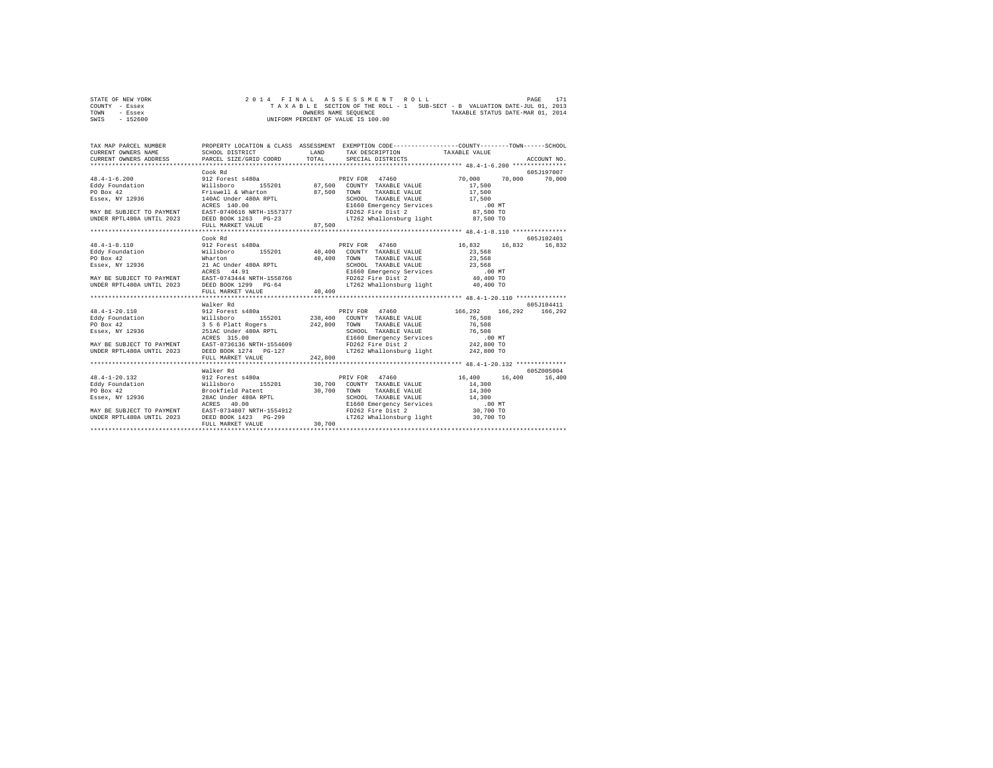| STATE OF NEW YORK | 2014 FINAL ASSESSMENT ROLL |  |  |                                    |  |  |  |  |                                                                          | PAGE | 171 |
|-------------------|----------------------------|--|--|------------------------------------|--|--|--|--|--------------------------------------------------------------------------|------|-----|
| COUNTY - Essex    |                            |  |  |                                    |  |  |  |  | TAXABLE SECTION OF THE ROLL - 1 SUB-SECT - B VALUATION DATE-JUL 01, 2013 |      |     |
| TOWN<br>- Essex   |                            |  |  | OWNERS NAME SEOUENCE               |  |  |  |  | TAXABLE STATUS DATE-MAR 01, 2014                                         |      |     |
| $-152600$<br>SWIS |                            |  |  | UNIFORM PERCENT OF VALUE IS 100.00 |  |  |  |  |                                                                          |      |     |

| TAX MAP PARCEL NUMBER |                                                                                                                                                                                                                                         |             | PROPERTY LOCATION & CLASS ASSESSMENT EXEMPTION CODE----------------COUNTY-------TOWN-----SCHOOL |                                       |                  |
|-----------------------|-----------------------------------------------------------------------------------------------------------------------------------------------------------------------------------------------------------------------------------------|-------------|-------------------------------------------------------------------------------------------------|---------------------------------------|------------------|
|                       |                                                                                                                                                                                                                                         |             |                                                                                                 |                                       |                  |
|                       | Cook Rd                                                                                                                                                                                                                                 |             |                                                                                                 |                                       | 605J197007       |
|                       |                                                                                                                                                                                                                                         |             |                                                                                                 |                                       | 70.000<br>70,000 |
|                       |                                                                                                                                                                                                                                         |             |                                                                                                 |                                       |                  |
|                       |                                                                                                                                                                                                                                         |             |                                                                                                 |                                       |                  |
|                       |                                                                                                                                                                                                                                         |             |                                                                                                 |                                       |                  |
|                       |                                                                                                                                                                                                                                         |             |                                                                                                 |                                       |                  |
|                       |                                                                                                                                                                                                                                         |             |                                                                                                 |                                       |                  |
|                       | UNDER RPTL480A UNTIL 2023 DEED BOOK 1263 PG-23                                                                                                                                                                                          |             | LT262 Whallonsburg light 87,500 TO                                                              |                                       |                  |
|                       | FULL MARKET VALUE                                                                                                                                                                                                                       | 87.500      |                                                                                                 |                                       |                  |
|                       |                                                                                                                                                                                                                                         |             |                                                                                                 |                                       |                  |
|                       | Cook Rd                                                                                                                                                                                                                                 |             |                                                                                                 |                                       | 605-7102401      |
| $48.4 - 1 - 8.110$    | 912 Forest s480a                                                                                                                                                                                                                        |             | PRIV FOR 47460                                                                                  | 16,832 16,832                         | 16,832           |
|                       | Eddy Foundation Millsboro 155201 40,400 COUNTY TAXABLE VALUE                                                                                                                                                                            |             |                                                                                                 | 23,568                                |                  |
|                       |                                                                                                                                                                                                                                         |             |                                                                                                 |                                       |                  |
|                       |                                                                                                                                                                                                                                         |             |                                                                                                 |                                       |                  |
|                       | Eddy Foundation<br>FO Box 42<br>Marton 21 AC Under 480A RPTL 40,400 TOWN TAXABLE VALUE<br>SEREX, NY 12936 21 AC Under 480A RPTL<br>MAY BE SUBJECT TO PAYMENT EAST-0743444 NRTH-1558766 ED262 Fire Dist 2 40,400 TO<br>MAY BE SUBJECT TO |             |                                                                                                 |                                       |                  |
|                       |                                                                                                                                                                                                                                         |             |                                                                                                 |                                       |                  |
|                       |                                                                                                                                                                                                                                         |             |                                                                                                 |                                       |                  |
|                       | FULL MARKET VALUE                                                                                                                                                                                                                       | $40\,, 400$ |                                                                                                 |                                       |                  |
|                       |                                                                                                                                                                                                                                         |             |                                                                                                 |                                       |                  |
|                       | Walker Rd                                                                                                                                                                                                                               |             |                                                                                                 |                                       | 605J104411       |
|                       |                                                                                                                                                                                                                                         |             |                                                                                                 | 166.292                               | 166,292          |
|                       |                                                                                                                                                                                                                                         |             |                                                                                                 |                                       |                  |
|                       |                                                                                                                                                                                                                                         |             |                                                                                                 |                                       |                  |
|                       |                                                                                                                                                                                                                                         |             |                                                                                                 |                                       |                  |
|                       |                                                                                                                                                                                                                                         |             |                                                                                                 |                                       |                  |
|                       |                                                                                                                                                                                                                                         |             |                                                                                                 |                                       |                  |
|                       |                                                                                                                                                                                                                                         |             |                                                                                                 |                                       |                  |
|                       | FULL MARKET VALUE                                                                                                                                                                                                                       | 242,800     |                                                                                                 |                                       |                  |
|                       | ***************************                                                                                                                                                                                                             |             |                                                                                                 |                                       |                  |
|                       | Walker Rd                                                                                                                                                                                                                               |             |                                                                                                 |                                       | 605Z005004       |
|                       |                                                                                                                                                                                                                                         |             |                                                                                                 | 16,400                                | 16,400           |
|                       |                                                                                                                                                                                                                                         |             |                                                                                                 |                                       |                  |
|                       |                                                                                                                                                                                                                                         |             |                                                                                                 |                                       |                  |
|                       |                                                                                                                                                                                                                                         |             |                                                                                                 |                                       |                  |
|                       |                                                                                                                                                                                                                                         |             |                                                                                                 |                                       |                  |
|                       |                                                                                                                                                                                                                                         |             |                                                                                                 |                                       |                  |
|                       |                                                                                                                                                                                                                                         |             | LT262 Whallonsburg light                                                                        | 30,700 TO                             |                  |
|                       | FULL MARKET VALUE                                                                                                                                                                                                                       | 30,700      |                                                                                                 |                                       |                  |
|                       |                                                                                                                                                                                                                                         |             |                                                                                                 | ************************************* |                  |
|                       |                                                                                                                                                                                                                                         |             |                                                                                                 |                                       |                  |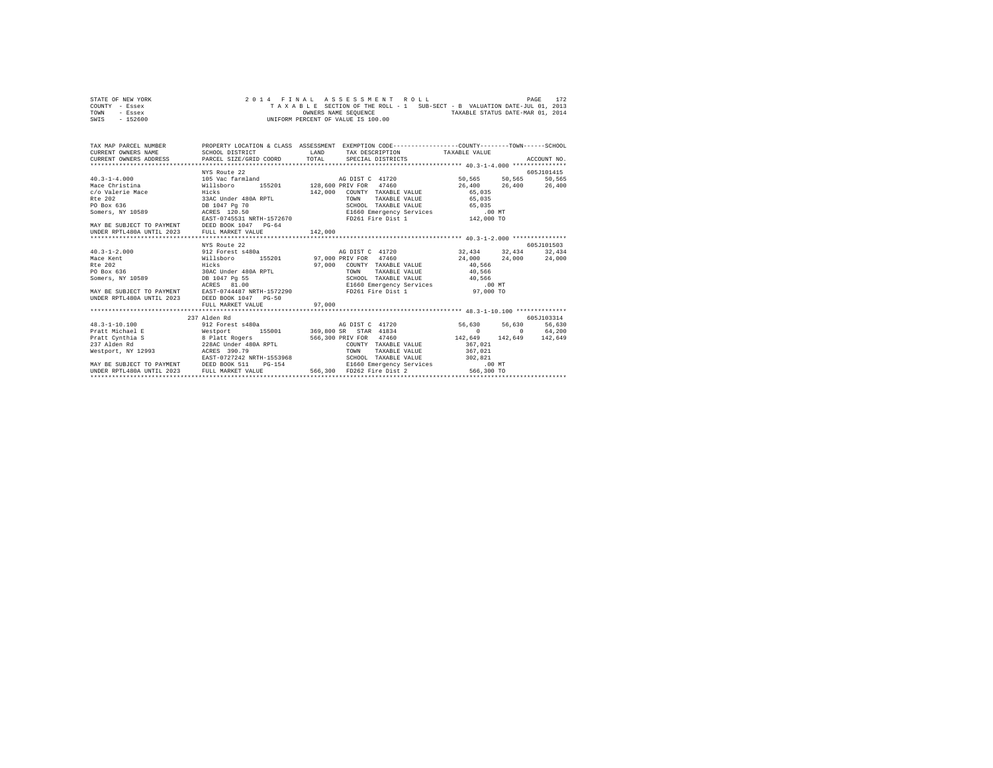| STATE OF NEW YORK | 2014 FINAL ASSESSMENT ROLL                                               | 172<br>PAGE                      |
|-------------------|--------------------------------------------------------------------------|----------------------------------|
| COUNTY - Essex    | TAXABLE SECTION OF THE ROLL - 1 SUB-SECT - B VALUATION DATE-JUL 01, 2013 |                                  |
| TOWN<br>- Essex   | OWNERS NAME SEOUENCE                                                     | TAXABLE STATUS DATE-MAR 01, 2014 |
| $-152600$<br>SWIS | UNIFORM PERCENT OF VALUE IS 100.00                                       |                                  |

| TAX MAP PARCEL NUMBER<br>CURRENT OWNERS NAME                                                                                                                                                         | PROPERTY LOCATION & CLASS ASSESSMENT EXEMPTION CODE----------------COUNTY-------TOWN-----SCHOOL<br>SCHOOL DISTRICT                                                                                                             |        |                                       | LAND TAX DESCRIPTION TAXABLE VALUE |                                                           |               |
|------------------------------------------------------------------------------------------------------------------------------------------------------------------------------------------------------|--------------------------------------------------------------------------------------------------------------------------------------------------------------------------------------------------------------------------------|--------|---------------------------------------|------------------------------------|-----------------------------------------------------------|---------------|
| CURRENT OWNERS ADDRESS PARCEL SIZE/GRID COORD TOTAL                                                                                                                                                  |                                                                                                                                                                                                                                |        | SPECIAL DISTRICTS                     |                                    |                                                           | ACCOUNT NO.   |
|                                                                                                                                                                                                      |                                                                                                                                                                                                                                |        |                                       |                                    |                                                           |               |
|                                                                                                                                                                                                      | woute 22<br>105 Vac farmland<br>Willsboro 155201<br>Hicks                                                                                                                                                                      |        |                                       |                                    |                                                           | 605J101415    |
| $40.3 - 1 - 4.000$                                                                                                                                                                                   |                                                                                                                                                                                                                                |        |                                       |                                    | $50\,, 565 \qquad \quad 50\,, 565 \qquad \quad 50\,, 565$ |               |
| Mace Christina                                                                                                                                                                                       |                                                                                                                                                                                                                                |        |                                       |                                    | 26,400                                                    | 26,400 26,400 |
| c/o Valerie Mace                                                                                                                                                                                     |                                                                                                                                                                                                                                |        | 142,000 COUNTY TAXABLE VALUE          |                                    | 65,035                                                    |               |
| Rte 202                                                                                                                                                                                              | 33AC Under 480A RPTL<br>DB 1047 Pg 70                                                                                                                                                                                          |        | TOWN                                  | TAXABLE VALUE                      | 65,035                                                    |               |
| PO Box 636                                                                                                                                                                                           |                                                                                                                                                                                                                                |        |                                       |                                    |                                                           |               |
| Somers, NY 10589 ACRES 120.50                                                                                                                                                                        |                                                                                                                                                                                                                                |        |                                       |                                    |                                                           |               |
|                                                                                                                                                                                                      |                                                                                                                                                                                                                                |        |                                       |                                    |                                                           |               |
| MAY BE SUBJECT TO PAYMENT DEED BOOK 1047 PG-64                                                                                                                                                       |                                                                                                                                                                                                                                |        |                                       |                                    |                                                           |               |
|                                                                                                                                                                                                      |                                                                                                                                                                                                                                |        |                                       |                                    |                                                           |               |
|                                                                                                                                                                                                      | NYS Route 22                                                                                                                                                                                                                   |        |                                       |                                    |                                                           | 605J101503    |
| $40.3 - 1 - 2.000$                                                                                                                                                                                   | 912 Forest s480a (a) AG DIST C 41720 (32,434 (32,434 (32,434 (32,434 (32,434 (32,434 (32,434 (32,434 (32,434 (32,434 (32,434 (32,434 (32,434 (32,434 (32,434 (32,434 (32,434 (32,434 (32,434 (32,434 (32,434 (32,434 (32,434 ( |        |                                       |                                    |                                                           |               |
| Mace Kent                                                                                                                                                                                            | Willsboro 155201 97,000 PRIV FOR 47460                                                                                                                                                                                         |        |                                       |                                    | 24,000                                                    | 24,000 24,000 |
| R <sub>0</sub> 202                                                                                                                                                                                   | Hicks                                                                                                                                                                                                                          |        | 97,000 COUNTY TAXABLE VALUE           |                                    | 40,566                                                    |               |
| PO Box 636                                                                                                                                                                                           | 30AC Under 480A RPTL                                                                                                                                                                                                           |        | TOWN                                  | TAXABLE VALUE                      | 40,566                                                    |               |
|                                                                                                                                                                                                      |                                                                                                                                                                                                                                |        |                                       | SCHOOL TAXABLE VALUE 40,566        |                                                           |               |
|                                                                                                                                                                                                      |                                                                                                                                                                                                                                |        |                                       |                                    | el660 Emergency Services<br>FD261 Fire Dist 1 97.000 π    |               |
|                                                                                                                                                                                                      |                                                                                                                                                                                                                                |        |                                       |                                    |                                                           |               |
|                                                                                                                                                                                                      |                                                                                                                                                                                                                                |        |                                       |                                    |                                                           |               |
| DB 1047 Pg 55<br>MAY BE SUBJECT TO PAYMENT ACRES 91.00<br>UNDER RPTL480A UNTIL 2023 DEED BOOK 1047 RFTH-1572290<br>UNDER RPTL480A UNTIL 2023 DEED BOOK 1047 PG-50<br>WILL MARGET 1028 PHTL MARGET 10 |                                                                                                                                                                                                                                | 97,000 |                                       |                                    |                                                           |               |
|                                                                                                                                                                                                      |                                                                                                                                                                                                                                |        |                                       |                                    |                                                           |               |
|                                                                                                                                                                                                      | 237 Alden Rd                                                                                                                                                                                                                   |        |                                       |                                    |                                                           | 605J103314    |
| $48.3 - 1 - 10.100$                                                                                                                                                                                  | 912 Forest s480a                                                                                                                                                                                                               |        | AG DIST C 41720                       |                                    | 56,630 56,630                                             | 56,630        |
| Pratt Michael E                                                                                                                                                                                      | Westport 155001 369,800 SR STAR 41834                                                                                                                                                                                          |        |                                       |                                    | $\sim$ 0                                                  | 0 64,200      |
| Pratt Cynthia S                                                                                                                                                                                      | S 300 B Platt Rogers 566,300 B 328AC Under 480A RPTL                                                                                                                                                                           |        | 566,300 PRIV FOR 47460                |                                    | 142,649 142,649 142,649                                   |               |
| 237 Alden Rd                                                                                                                                                                                         |                                                                                                                                                                                                                                |        |                                       | COUNTY TAXABLE VALUE               | 367.021                                                   |               |
| Westport, NY 12993 ACRES 390.79                                                                                                                                                                      | ACRES 390.79<br>EAST-0727242 NRTH-1553968                                                                                                                                                                                      |        | TOWN                                  | TAXABLE VALUE 367.021              |                                                           |               |
|                                                                                                                                                                                                      |                                                                                                                                                                                                                                |        |                                       | SCHOOL TAXABLE VALUE 302.821       |                                                           |               |
| MAY BE SUBJECT TO PAYMENT DEED BOOK 511                                                                                                                                                              |                                                                                                                                                                                                                                |        |                                       |                                    | PG-154 C1660 Emergency Services .00 MT                    |               |
| UNDER RPTL480A UNTIL 2023 FULL MARKET VALUE                                                                                                                                                          |                                                                                                                                                                                                                                |        | 566,300 FD262 Fire Dist 2             |                                    | 566,300 TO                                                |               |
|                                                                                                                                                                                                      |                                                                                                                                                                                                                                |        | ************************************* |                                    |                                                           |               |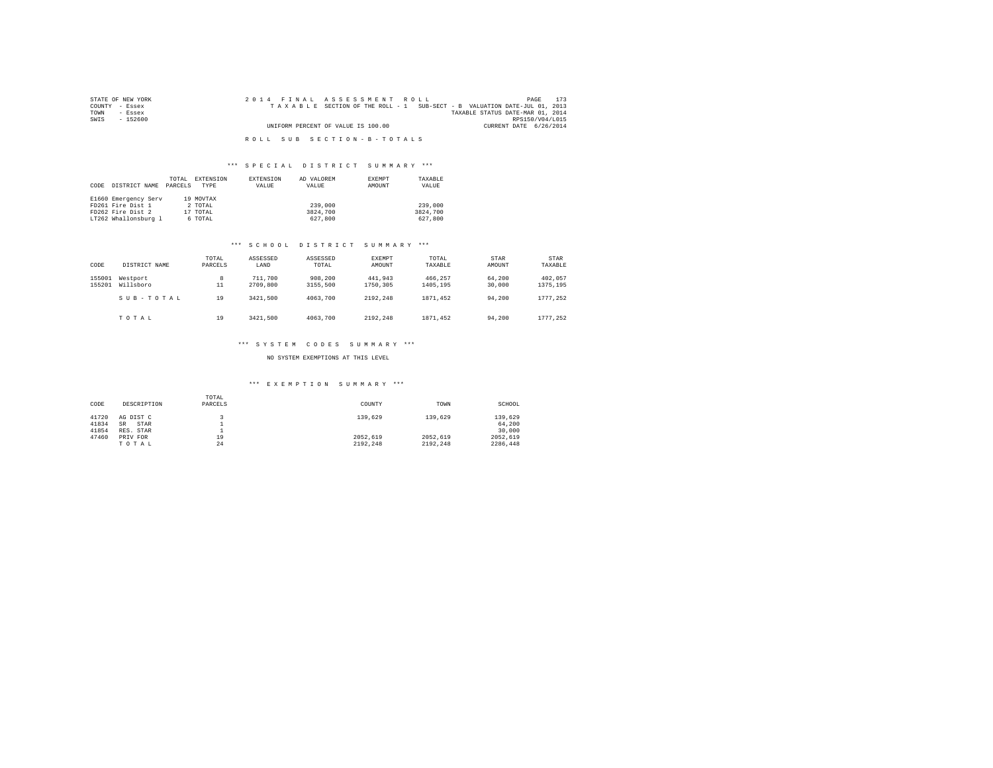| STATE OF NEW YORK | 2014 FINAL ASSESSMENT ROLL                                               | 173<br>PAGE                      |
|-------------------|--------------------------------------------------------------------------|----------------------------------|
| COUNTY - Essex    | TAXABLE SECTION OF THE ROLL - 1 SUB-SECT - B VALUATION DATE-JUL 01, 2013 |                                  |
| TOWN<br>- Essex   |                                                                          | TAXABLE STATUS DATE-MAR 01, 2014 |
| SWIS<br>- 152600  |                                                                          | RPS150/V04/L015                  |
|                   | UNIFORM PERCENT OF VALUE IS 100.00                                       | CURRENT DATE 6/26/2014           |
|                   |                                                                          |                                  |

R O L L S U B S E C T I O N - B - T O T A L S

## \*\*\* S P E C I A L D I S T R I C T S U M M A R Y \*\*\*

|      |                      | TOTAL   | EXTENSION | EXTENSION | AD VALOREM | EXEMPT | TAXABLE  |
|------|----------------------|---------|-----------|-----------|------------|--------|----------|
| CODE | DISTRICT NAME        | PARCELS | TYPE      | VALUE     | VALUE      | AMOUNT | VALUE    |
|      |                      |         |           |           |            |        |          |
|      | E1660 Emergency Serv |         | 19 MOVTAX |           |            |        |          |
|      | FD261 Fire Dist 1    |         | 2 TOTAL   |           | 239,000    |        | 239,000  |
|      | FD262 Fire Dist 2    |         | 17 TOTAL  |           | 3824,700   |        | 3824,700 |
|      | LT262 Whallonsburg 1 |         | 6 TOTAL   |           | 627,800    |        | 627,800  |

# \*\*\* S C H O O L D I S T R I C T S U M M A R Y \*\*\*

| CODE             | DISTRICT NAME         | TOTAL<br>PARCELS | ASSESSED<br>LAND    | ASSESSED<br>TOTAL   | <b>EXEMPT</b><br>AMOUNT | TOTAL<br>TAXABLE    | <b>STAR</b><br>AMOUNT | STAR<br>TAXABLE     |
|------------------|-----------------------|------------------|---------------------|---------------------|-------------------------|---------------------|-----------------------|---------------------|
| 155001<br>155201 | Westport<br>Willsboro | 8<br>11          | 711,700<br>2709,800 | 908,200<br>3155,500 | 441.943<br>1750.305     | 466.257<br>1405.195 | 64.200<br>30,000      | 402.057<br>1375.195 |
|                  | SUB-TOTAL             | 19               | 3421.500            | 4063,700            | 2192.248                | 1871.452            | 94,200                | 1777.252            |
|                  | TOTAL                 | 19               | 3421,500            | 4063,700            | 2192.248                | 1871.452            | 94,200                | 1777.252            |

## \*\*\* S Y S T E M C O D E S S U M M A R Y \*\*\*

## NO SYSTEM EXEMPTIONS AT THIS LEVEL

| CODE  | DESCRIPTION       | TOTAL<br>PARCELS | COUNTY   | TOWN     | SCHOOL   |
|-------|-------------------|------------------|----------|----------|----------|
| 41720 | AG DIST C         |                  | 139,629  | 139,629  | 139,629  |
| 41834 | STAR<br><b>SR</b> |                  |          |          | 64.200   |
| 41854 | RES. STAR         | ≖                |          |          | 30,000   |
| 47460 | PRIV FOR          | 19               | 2052.619 | 2052.619 | 2052.619 |
|       | TOTAL             | 24               | 2192.248 | 2192.248 | 2286.448 |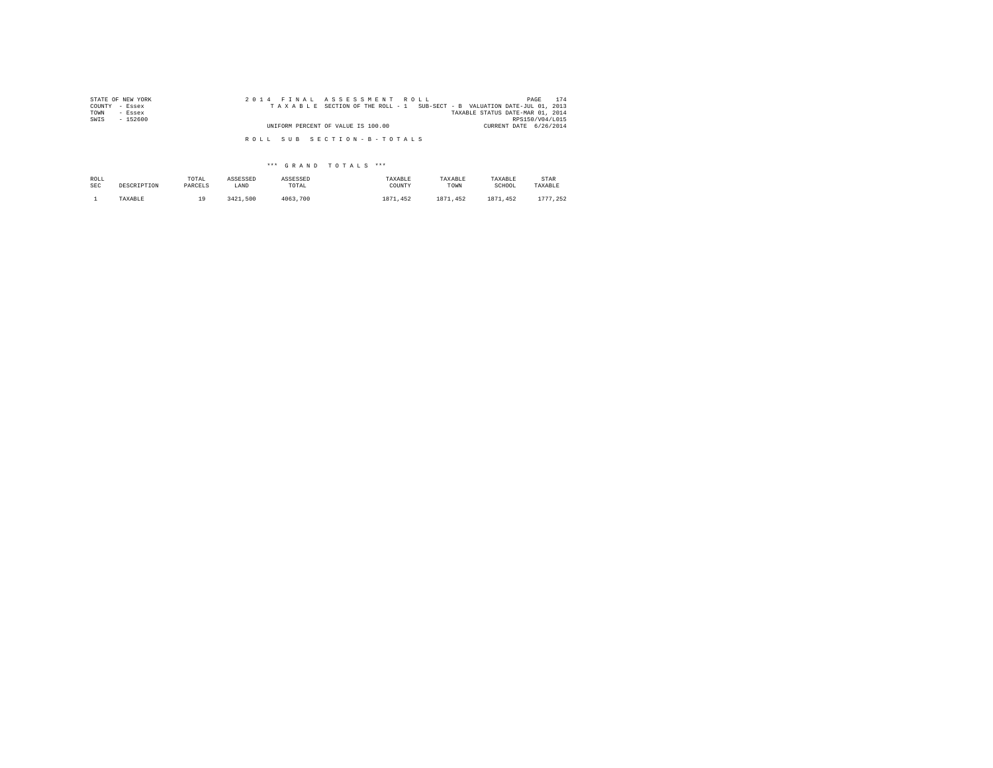| STATE OF NEW YORK | 2014 FINAL ASSESSMENT ROLL                                               | 174<br>PAGE                      |
|-------------------|--------------------------------------------------------------------------|----------------------------------|
| COUNTY - Essex    | TAXABLE SECTION OF THE ROLL - 1 SUB-SECT - B VALUATION DATE-JUL 01, 2013 |                                  |
| TOWN<br>- Essex   |                                                                          | TAXABLE STATUS DATE-MAR 01, 2014 |
| SWIS<br>$-152600$ |                                                                          | RPS150/V04/L015                  |
|                   | UNIFORM PERCENT OF VALUE IS 100.00                                       | CURRENT DATE 6/26/2014           |
|                   | ROLL SUB SECTION-B-TOTALS                                                |                                  |

| ROLL       | DESCRIPTION | TOTAL   | ASSESSED | ASSESSED | TAXABLE  | TAXABLE      | TAXABLE  | STAR     |
|------------|-------------|---------|----------|----------|----------|--------------|----------|----------|
| <b>SEC</b> |             | PARCELS | LAND     | TOTAL    | COUNTY   | TOWN         | SCHOOL   | TAXABLE  |
|            | TAXABLE     | ۰۵.     | 3421.500 | 4063,700 | 1871.452 | .452<br>1871 | 1871.452 | 1777.252 |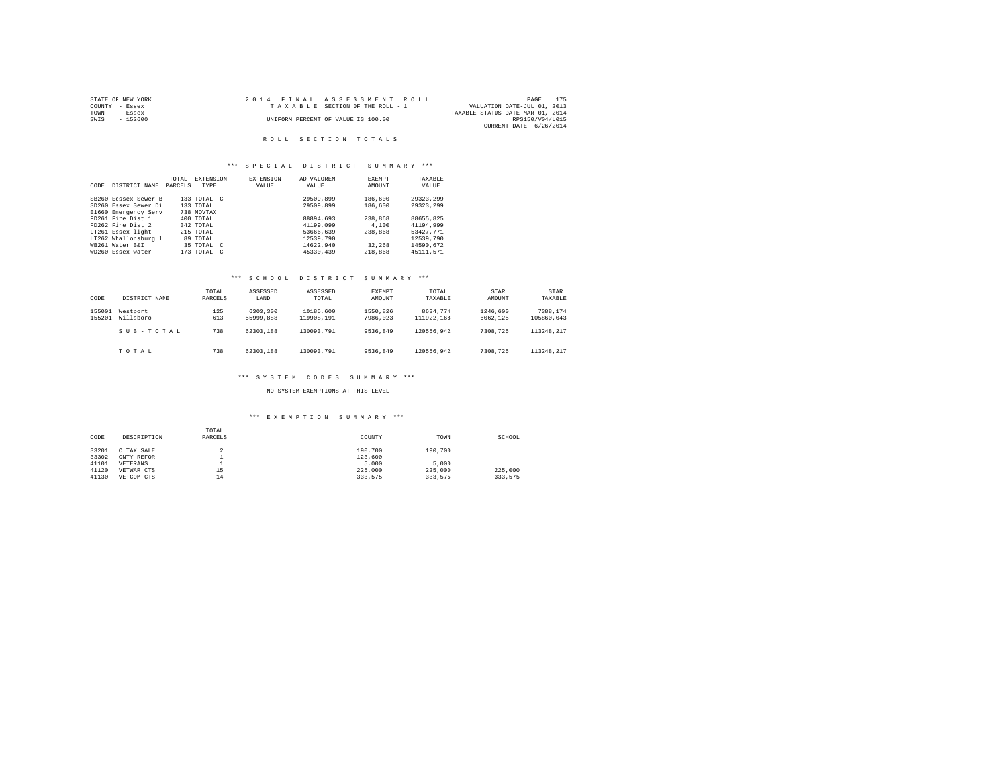| STATE OF NEW YORK |           |  | 2014 FINAL ASSESSMENT ROLL         |                                  | PAGE            | 175 |
|-------------------|-----------|--|------------------------------------|----------------------------------|-----------------|-----|
| COUNTY - Essex    |           |  | TAXABLE SECTION OF THE ROLL - 1    | VALUATION DATE-JUL 01, 2013      |                 |     |
| TOWN              | $-$ Essex |  |                                    | TAXABLE STATUS DATE-MAR 01, 2014 |                 |     |
| SWIS              | $-152600$ |  | UNIFORM PERCENT OF VALUE IS 100.00 |                                  | RPS150/V04/L015 |     |
|                   |           |  |                                    | CURRENT DATE 6/26/2014           |                 |     |

## ROLL SECTION TOTALS

## \*\*\* S P E C I A L D I S T R I C T S U M M A R Y \*\*\*

|      |                      | TOTAL   | <b>EXTENSION</b> | <b>EXTENSION</b> | AD VALOREM | <b>EXEMPT</b> | TAXABLE   |
|------|----------------------|---------|------------------|------------------|------------|---------------|-----------|
| CODE | DISTRICT NAME        | PARCELS | <b>TYPE</b>      | VALUE            | VALUE      | AMOUNT        | VALUE     |
|      |                      |         |                  |                  |            |               |           |
|      | SB260 Eessex Sewer B |         | 133 TOTAL C      |                  | 29509.899  | 186,600       | 29323.299 |
|      | SD260 Essex Sewer Di |         | 133 TOTAL        |                  | 29509.899  | 186,600       | 29323.299 |
|      | E1660 Emergency Serv |         | 738 MOVTAX       |                  |            |               |           |
|      | FD261 Fire Dist 1    |         | 400 TOTAL        |                  | 88894.693  | 238,868       | 88655.825 |
|      | FD262 Fire Dist 2    |         | 342 TOTAL        |                  | 41199,099  | 4,100         | 41194.999 |
|      | LT261 Essex light    |         | 215 TOTAL        |                  | 53666,639  | 238,868       | 53427.771 |
|      | LT262 Whallonsburg 1 |         | 89 TOTAL         |                  | 12539,790  |               | 12539,790 |
|      | WB261 Water B&I      |         | 35 TOTAL C       |                  | 14622.940  | 32,268        | 14590.672 |
|      | WD260 Essex water    |         | 173 TOTAL C      |                  | 45330.439  | 218,868       | 45111.571 |

# \*\*\* S C H O O L D I S T R I C T S U M M A R Y \*\*\*

| CODE             | DISTRICT NAME         | TOTAL<br>PARCELS | ASSESSED<br>LAND      | ASSESSED<br>TOTAL       | EXEMPT<br>AMOUNT     | TOTAL<br>TAXABLE       | STAR<br>AMOUNT       | STAR<br>TAXABLE        |
|------------------|-----------------------|------------------|-----------------------|-------------------------|----------------------|------------------------|----------------------|------------------------|
| 155001<br>155201 | Westport<br>Willsboro | 125<br>613       | 6303,300<br>55999,888 | 10185,600<br>119908.191 | 1550.826<br>7986.023 | 8634.774<br>111922.168 | 1246.600<br>6062.125 | 7388.174<br>105860.043 |
|                  | SUB-TOTAL             | 738              | 62303.188             | 130093.791              | 9536.849             | 120556.942             | 7308.725             | 113248.217             |
|                  | TOTAL                 | 738              | 62303.188             | 130093.791              | 9536.849             | 120556.942             | 7308,725             | 113248.217             |

# \*\*\* S Y S T E M C O D E S S U M M A R Y \*\*\*

## NO SYSTEM EXEMPTIONS AT THIS LEVEL

| CODE           | DESCRIPTION              | TOTAL<br>PARCELS | COUNTY             | TOWN    | SCHOOL  |
|----------------|--------------------------|------------------|--------------------|---------|---------|
| 33201<br>33302 | C TAX SALE<br>CNTY REFOR |                  | 190,700<br>123,600 | 190,700 |         |
| 41101          | VETERANS                 |                  | 5,000              | 5,000   |         |
| 41120          | VETWAR CTS               | 15               | 225,000            | 225,000 | 225,000 |
| 41130          | VETCOM CTS               | 14               | 333.575            | 333.575 | 333.575 |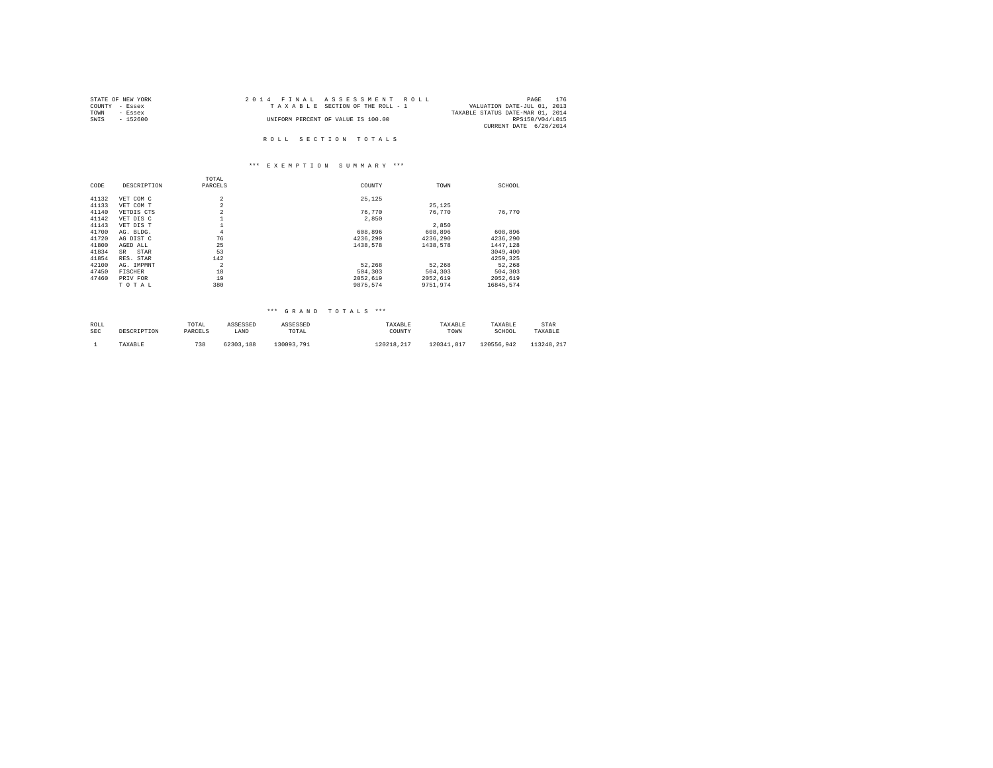| STATE OF NEW YORK | 2014 FINAL ASSESSMENT ROLL         | 176<br>PAGE                      |
|-------------------|------------------------------------|----------------------------------|
| COUNTY - Essex    | TAXABLE SECTION OF THE ROLL - 1    | VALUATION DATE-JUL 01, 2013      |
| TOWN<br>- Essex   |                                    | TAXABLE STATUS DATE-MAR 01, 2014 |
| SWIS<br>- 152600  | UNIFORM PERCENT OF VALUE IS 100.00 | RPS150/V04/L015                  |
|                   |                                    | CURRENT DATE 6/26/2014           |
|                   |                                    |                                  |
|                   | ROLL SECTION TOTALS                |                                  |

# \*\*\* E X E M P T I O N S U M M A R Y \*\*\*

|       |                | TOTAL          |          |          |           |
|-------|----------------|----------------|----------|----------|-----------|
| CODE  | DESCRIPTION    | PARCELS        | COUNTY   | TOWN     | SCHOOL    |
| 41132 | VET COM C      | 2              | 25.125   |          |           |
| 41133 | VET COM T      | $\overline{a}$ |          | 25.125   |           |
| 41140 | VETDIS CTS     | $\overline{a}$ | 76.770   | 76.770   | 76.770    |
| 41142 | VET DIS C      |                | 2,850    |          |           |
| 41143 | VET DIS T      | Ŧ              |          | 2.850    |           |
| 41700 | AG. BLDG.      | $\overline{4}$ | 608,896  | 608,896  | 608.896   |
| 41720 | AG DIST C      | 76             | 4236.290 | 4236.290 | 4236.290  |
| 41800 | AGED ALL       | 25             | 1438.578 | 1438.578 | 1447.128  |
| 41834 | SR.<br>STAR    | 53             |          |          | 3049,400  |
| 41854 | RES. STAR      | 142            |          |          | 4259.325  |
| 42100 | AG. IMPMNT     | $\overline{a}$ | 52.268   | 52.268   | 52.268    |
| 47450 | <b>FISCHER</b> | 18             | 504,303  | 504,303  | 504,303   |
| 47460 | PRIV FOR       | 19             | 2052.619 | 2052.619 | 2052.619  |
|       | TOTAL          | 380            | 9875.574 | 9751.974 | 16845.574 |

| ROLL | DESCRIPTION | TOTAL   | ASSESSED  | ASSESSED   | TAXABLE    | TAXABLE    | TAXABLE    | STAR       |
|------|-------------|---------|-----------|------------|------------|------------|------------|------------|
| SEC  |             | PARCELS | LAND      | TOTAL      | COUNTY     | TOWN       | SCHOOL     | TAXABLE    |
|      | TAXABLE     | 738     | 62303.188 | 130093.791 | 120218.217 | 120341.817 | 120556.942 | 113248.217 |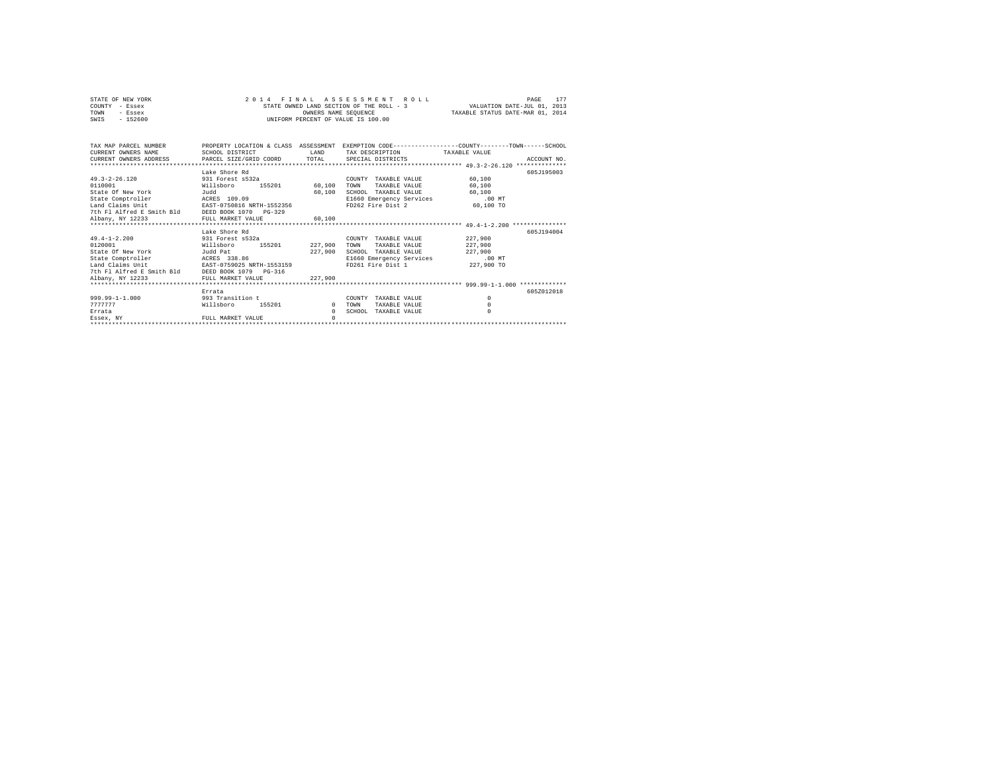| STATE OF NEW YORK |           |  |  |  | 2014 FINAL ASSESSMENT ROLL               |                                  | PAGE                        |  |
|-------------------|-----------|--|--|--|------------------------------------------|----------------------------------|-----------------------------|--|
| COUNTY - Essex    |           |  |  |  | STATE OWNED LAND SECTION OF THE ROLL - 3 |                                  | VALUATION DATE-JUL 01, 2013 |  |
| TOWN              | - Essex   |  |  |  | OWNERS NAME SEOUENCE                     | TAXABLE STATUS DATE-MAR 01, 2014 |                             |  |
| SWIS              | $-152600$ |  |  |  | UNIFORM PERCENT OF VALUE IS 100.00       |                                  |                             |  |

| CURRENT OWNERS NAME                             | SCHOOL DISTRICT             | LAND         | TAX DESCRIPTION TAXABLE VALUE   | TAX MAP PARCEL NUMBER THE PROPERTY LOCATION & CLASS ASSESSMENT EXEMPTION CODE--------------COUNTY-------TOWN------SCHOOL |  |  |  |  |  |
|-------------------------------------------------|-----------------------------|--------------|---------------------------------|--------------------------------------------------------------------------------------------------------------------------|--|--|--|--|--|
|                                                 |                             |              |                                 |                                                                                                                          |  |  |  |  |  |
|                                                 | Lake Shore Rd               |              |                                 | 605J195003                                                                                                               |  |  |  |  |  |
| $49.3 - 2 - 26.120$                             | 931 Forest s532a            |              | COUNTY TAXABLE VALUE            | 60,100                                                                                                                   |  |  |  |  |  |
| 0110001                                         | 155201 60,100<br>Willsboro  |              | TOWN<br>TAXABLE VALUE           | 60,100                                                                                                                   |  |  |  |  |  |
| State Of New York<br><b>Tudd</b>                |                             | 60,100       | SCHOOL TAXABLE VALUE            | 60,100                                                                                                                   |  |  |  |  |  |
| State Comptroller ACRES 109.09                  |                             |              | E1660 Emergency Services        | $.00$ MT                                                                                                                 |  |  |  |  |  |
| Land Claims Unit                                | EAST-0750816 NRTH-1552356   |              | FD262 Fire Dist 2               | 60,100 TO                                                                                                                |  |  |  |  |  |
| 7th Fl Alfred E Smith Bld DEED BOOK 1070 PG-329 |                             |              |                                 |                                                                                                                          |  |  |  |  |  |
| Albany, NY 12233                                | FULL MARKET VALUE           | 60,100       |                                 |                                                                                                                          |  |  |  |  |  |
|                                                 |                             |              |                                 |                                                                                                                          |  |  |  |  |  |
|                                                 | Lake Shore Rd               |              |                                 | 605J194004                                                                                                               |  |  |  |  |  |
| 49.4-1-2.200 931 Forest s532a                   |                             |              | COUNTY TAXABLE VALUE            | 227,900                                                                                                                  |  |  |  |  |  |
| 0120001                                         | 155201 227,900<br>Willsboro |              | TOWN<br>TAXABLE VALUE           | 227,900                                                                                                                  |  |  |  |  |  |
| State Of New York<br>Judd Pat                   |                             | 227,900      | SCHOOL TAXABLE VALUE            | 227,900                                                                                                                  |  |  |  |  |  |
| State Comptroller                               | ACRES 338.86                |              | E1660 Emergency Services .00 MT |                                                                                                                          |  |  |  |  |  |
| Land Claims Unit                                | EAST-0759025 NRTH-1553159   |              | FD261 Fire Dist 1               | 227,900 TO                                                                                                               |  |  |  |  |  |
| 7th Fl Alfred E Smith Bld DEED BOOK 1079 PG-316 |                             |              |                                 |                                                                                                                          |  |  |  |  |  |
| Albany, NY 12233                                | FULL MARKET VALUE           | 227,900      |                                 |                                                                                                                          |  |  |  |  |  |
|                                                 |                             |              |                                 |                                                                                                                          |  |  |  |  |  |
|                                                 | Errata                      |              |                                 | 6057012018                                                                                                               |  |  |  |  |  |
| $999.99 - 1 - 1.000$                            | 993 Transition t            |              | COUNTY TAXABLE VALUE            | $\Omega$                                                                                                                 |  |  |  |  |  |
| 7777777                                         | Willsboro<br>155201         | $\Omega$     | TOWN<br>TAXABLE VALUE           | $\circ$                                                                                                                  |  |  |  |  |  |
| Errata                                          |                             | $\mathbf{r}$ | TAXABLE VALUE<br>SCHOOL         | $\Omega$                                                                                                                 |  |  |  |  |  |
| Essex, NY                                       | FULL MARKET VALUE           |              |                                 |                                                                                                                          |  |  |  |  |  |
|                                                 |                             |              |                                 |                                                                                                                          |  |  |  |  |  |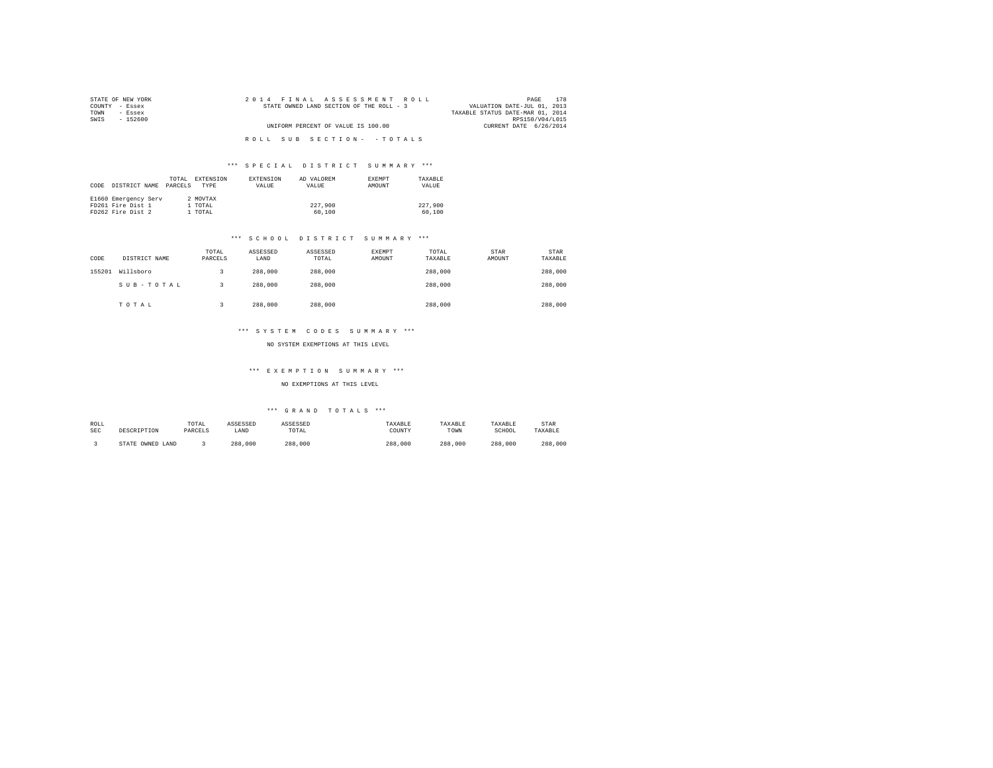| STATE OF NEW YORK | 2014 FINAL ASSESSMENT ROLL               | 178<br>PAGE                      |
|-------------------|------------------------------------------|----------------------------------|
| COUNTY - Essex    | STATE OWNED LAND SECTION OF THE ROLL - 3 | VALUATION DATE-JUL 01, 2013      |
| TOWN<br>- Essex   |                                          | TAXABLE STATUS DATE-MAR 01, 2014 |
| SWTS<br>- 152600  |                                          | RPS150/V04/L015                  |
|                   | UNIFORM PERCENT OF VALUE IS 100.00       | CURRENT DATE 6/26/2014           |
|                   |                                          |                                  |
|                   | ROLL SUB SECTION- - TOTALS               |                                  |

## \*\*\* S P E C I A L D I S T R I C T S U M M A R Y \*\*\*

| DISTRICT NAME<br>CODE                                          | EXTENSION<br>TOTAL.<br>PARCELS<br>TYPE | <b>EXTENSION</b><br>VALUE | AD VALOREM<br>VALUE | <b>EXEMPT</b><br><b>AMOUNT</b> | TAXARLE<br>VALUE  |
|----------------------------------------------------------------|----------------------------------------|---------------------------|---------------------|--------------------------------|-------------------|
| E1660 Emergency Serv<br>FD261 Fire Dist 1<br>FD262 Fire Dist 2 | 2 MOVTAX<br>1 TOTAL<br>1 TOTAL         |                           | 227,900<br>60,100   |                                | 227,900<br>60,100 |

#### \*\*\* S C H O O L D I S T R I C T S U M M A R Y \*\*\*

| CODE   | DISTRICT NAME | TOTAL<br>PARCELS | ASSESSED<br>LAND | ASSESSED<br>TOTAL | EXEMPT<br>AMOUNT | TOTAL<br>TAXABLE | STAR<br>AMOUNT | <b>STAR</b><br>TAXABLE |
|--------|---------------|------------------|------------------|-------------------|------------------|------------------|----------------|------------------------|
| 155201 | Willsboro     |                  | 288,000          | 288,000           |                  | 288,000          |                | 288,000                |
|        | SUB-TOTAL     |                  | 288,000          | 288,000           |                  | 288,000          |                | 288,000                |
|        | TOTAL         |                  | 288,000          | 288,000           |                  | 288,000          |                | 288,000                |

#### \*\*\* S Y S T E M C O D E S S U M M A R Y \*\*\*

NO SYSTEM EXEMPTIONS AT THIS LEVEL

## \*\*\* E X E M P T I O N S U M M A R Y \*\*\*

NO EXEMPTIONS AT THIS LEVEL

| ROLL<br>SEC | DESCRIPTION            | TOTAL<br>PARCELS | ASSESSED<br>LAND | ASSESSED<br>TOTAL | TAXABLE<br>COUNTY | TAXABLE<br>TOWN | TAXABLE<br>SCHOOL | STAR<br>TAXABLE |
|-------------|------------------------|------------------|------------------|-------------------|-------------------|-----------------|-------------------|-----------------|
|             | OWNED<br>LAND<br>STATE |                  | ,000<br>288      | 288,000           | 288,000           | 288,000         | 288,000           | 288<br>.000     |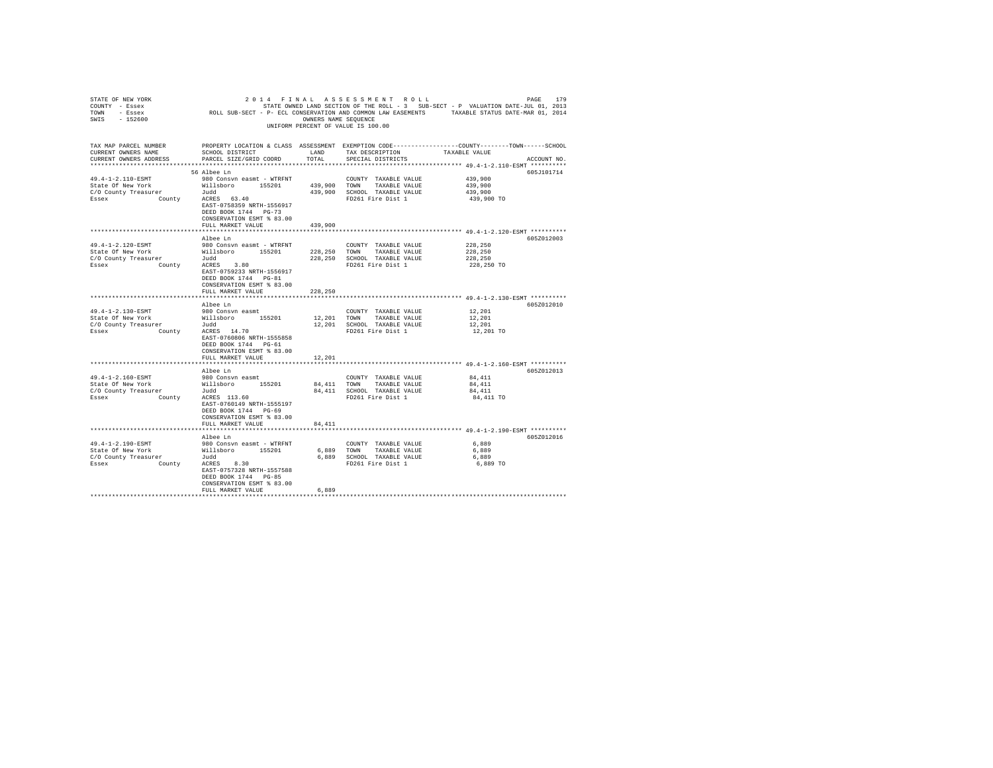| 2014 FINAL ASSESSMENT ROLL<br>STATE OF NEW YORK<br>PAGE<br>179<br>COUNTY - Essex<br>STATE OWNED LAND SECTION OF THE ROBE OF SUB-SECT - P- ECL CONSERVATION AND CONDERN LAW EASEMENTS TAXABLE STATUS DATE-MAR 01, 2014<br>TOWN - Essex<br>SWIS - 152600<br>UNIFORM PERCENT OF VALUE IS 100.00 |                                                                                                                                                     |                      |                                                                                                       |                                                                                                                                 |  |  |  |  |
|----------------------------------------------------------------------------------------------------------------------------------------------------------------------------------------------------------------------------------------------------------------------------------------------|-----------------------------------------------------------------------------------------------------------------------------------------------------|----------------------|-------------------------------------------------------------------------------------------------------|---------------------------------------------------------------------------------------------------------------------------------|--|--|--|--|
| TAX MAP PARCEL NUMBER<br>CURRENT OWNERS NAME<br>CURRENT OWNERS ADDRESS                                                                                                                                                                                                                       | SCHOOL DISTRICT<br>PARCEL SIZE/GRID COORD                                                                                                           | LAND<br>TOTAL        | TAX DESCRIPTION<br>SPECIAL DISTRICTS                                                                  | PROPERTY LOCATION & CLASS ASSESSMENT EXEMPTION CODE----------------COUNTY-------TOWN-----SCHOOL<br>TAXABLE VALUE<br>ACCOUNT NO. |  |  |  |  |
| 49.4-1-2.110-ESMT<br>State Of New York<br>C/O County Treasurer Judd<br>Essex County ACRES 63.40                                                                                                                                                                                              | 56 Albee Ln<br>980 Consvn easmt - WTRFNT<br>EAST-0758359 NRTH-1556917<br>DEED BOOK 1744 PG-73<br>CONSERVATION ESMT % 83.00                          |                      | COUNTY TAXABLE VALUE<br>FD261 Fire Dist 1                                                             | 605J101714<br>439,900<br>439,900<br>439,900<br>439,900 TO                                                                       |  |  |  |  |
|                                                                                                                                                                                                                                                                                              | FULL MARKET VALUE                                                                                                                                   | 439,900              |                                                                                                       |                                                                                                                                 |  |  |  |  |
| 49.4-1-2.120-ESMT<br>State Of New York Millsboro 155201 228,250 TOWN TAXABLE VALUE C/O County Treasurer Judici 228,250 SCHOOL TAXABLE VALUE VALUE                                                                                                                                            | Albee Ln<br>980 Consvn easmt - WTRFNT<br>EAST-0759233 NRTH-1556917<br>DEED BOOK 1744 PG-81<br>CONSERVATION ESMT % 83.00                             |                      | COUNTY TAXABLE VALUE                                                                                  | 605Z012003<br>228,250<br>228,250<br>228,250<br>228,250 TO                                                                       |  |  |  |  |
|                                                                                                                                                                                                                                                                                              | FULL MARKET VALUE                                                                                                                                   | 228,250              |                                                                                                       |                                                                                                                                 |  |  |  |  |
|                                                                                                                                                                                                                                                                                              |                                                                                                                                                     |                      |                                                                                                       |                                                                                                                                 |  |  |  |  |
| 49.4-1-2.130-ESMT<br>State Of New York<br>C/O County Treasurer<br>$C/O$ County Treasurer $Judd$<br>Essex $County$ ACRES 14.70                                                                                                                                                                | Albee Ln<br>980 Consvn easmt<br>Willsboro 155201<br>EAST-0760806 NRTH-1555858<br>DEED BOOK 1744 PG-61                                               |                      | COUNTY TAXABLE VALUE<br>12,201 TOWN TAXABLE VALUE<br>12,201 SCHOOL TAXABLE VALUE<br>FD261 Fire Dist 1 | 605Z012010<br>12,201<br>12,201<br>12,201<br>12,201 TO                                                                           |  |  |  |  |
|                                                                                                                                                                                                                                                                                              | CONSERVATION ESMT % 83.00                                                                                                                           |                      |                                                                                                       |                                                                                                                                 |  |  |  |  |
|                                                                                                                                                                                                                                                                                              | FULL MARKET VALUE                                                                                                                                   | 12,201               |                                                                                                       |                                                                                                                                 |  |  |  |  |
|                                                                                                                                                                                                                                                                                              | Albee Ln                                                                                                                                            |                      |                                                                                                       | 605Z012013                                                                                                                      |  |  |  |  |
| 49.4-1-2.160-ESMT<br>State Of New York<br>C/O County Treasurer<br>Essex County ACRES 113.60                                                                                                                                                                                                  | 980 Consvn easmt<br>Willsboro 155201<br>Judd<br>EAST-0760149 NRTH-1555197<br>DEED BOOK 1744 PG-69<br>CONSERVATION ESMT % 83.00<br>FULL MARKET VALUE | 84,411               | COUNTY TAXABLE VALUE<br>84.411 TOWN TAXABLE VALUE<br>84,411 SCHOOL TAXABLE VALUE<br>FD261 Fire Dist 1 | 84,411<br>84,411<br>84,411<br>84,411 TO                                                                                         |  |  |  |  |
|                                                                                                                                                                                                                                                                                              |                                                                                                                                                     |                      |                                                                                                       | ******************************** 49.4-1-2.190-ESMT **********                                                                   |  |  |  |  |
| 49.4-1-2.190-ESMT<br>State Of New York Willsboro 155201<br>C/O County Treasurer Judd<br>Essex County ACRES 8.30                                                                                                                                                                              | Albee Ln<br>980 Consvn easmt - WTRFNT<br>EAST-0757328 NRTH-1557588<br>DEED BOOK 1744 PG-85<br>CONSERVATION ESMT % 83.00<br>FULL MARKET VALUE        | 6,889<br>*********** | COUNTY TAXABLE VALUE<br>6,889 TOWN TAXABLE VALUE<br>6,889 SCHOOL TAXABLE VALUE<br>FD261 Fire Dist 1   | 605Z012016<br>6,889<br>6,889<br>6,889<br>6,889 TO                                                                               |  |  |  |  |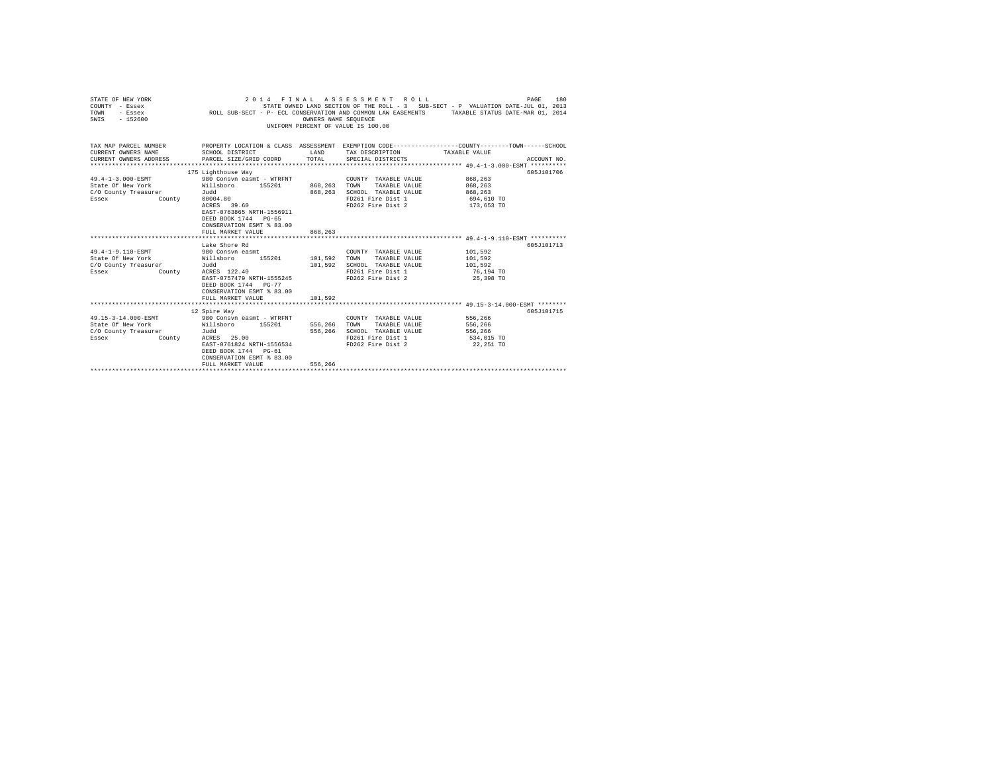| STATE OWNED LAND SECTION OF THE ROLL - 3 SUB-SECT - P VALUATION DATE-JUL 01, 2013<br>COUNTY - Essex<br>ROLL SUB-SECT - P- ECL CONSERVATION AND COMMON LAW EASEMENTS TAXABLE STATUS DATE-MAR 01, 2014<br>TOWN<br>- Essex<br>$-152600$<br>SWIS<br>OWNERS NAME SEQUENCE<br>UNIFORM PERCENT OF VALUE IS 100.00 |                                                                                                     |                          |                                                             |                         |             |  |  |  |
|------------------------------------------------------------------------------------------------------------------------------------------------------------------------------------------------------------------------------------------------------------------------------------------------------------|-----------------------------------------------------------------------------------------------------|--------------------------|-------------------------------------------------------------|-------------------------|-------------|--|--|--|
| TAX MAP PARCEL NUMBER THE PROPERTY LOCATION & CLASS ASSESSMENT EXEMPTION CODE--------------COUNTY-------TOWN------SCHOOL<br>CURRENT OWNERS NAME                                                                                                                                                            | SCHOOL DISTRICT                                                                                     | <b>LAND</b>              | TAX DESCRIPTION TAXABLE VALUE                               |                         |             |  |  |  |
| CURRENT OWNERS ADDRESS                                                                                                                                                                                                                                                                                     | PARCEL SIZE/GRID COORD                                                                              | TOTAL.                   | SPECIAL DISTRICTS                                           |                         | ACCOUNT NO. |  |  |  |
|                                                                                                                                                                                                                                                                                                            |                                                                                                     |                          |                                                             |                         |             |  |  |  |
|                                                                                                                                                                                                                                                                                                            | 175 Lighthouse Way                                                                                  |                          |                                                             |                         | 605J101706  |  |  |  |
| 49.4-1-3.000-ESMT                                                                                                                                                                                                                                                                                          | 980 Consyn easmt - WTRFNT                                                                           |                          | COUNTY TAXABLE VALUE                                        | 868,263                 |             |  |  |  |
| State Of New York<br>C/O County Treasurer                                                                                                                                                                                                                                                                  | Willsboro 155201                                                                                    | 868, 263 TOWN<br>868,263 | TAXABLE VALUE                                               | 868,263<br>868,263      |             |  |  |  |
| Essex                                                                                                                                                                                                                                                                                                      | Judd<br>County 00004.80                                                                             |                          | SCHOOL TAXABLE VALUE<br>FD261 Fire Dist 1                   | 694,610 TO              |             |  |  |  |
|                                                                                                                                                                                                                                                                                                            | ACRES 39.60                                                                                         |                          | FD262 Fire Dist 2 173,653 TO                                |                         |             |  |  |  |
|                                                                                                                                                                                                                                                                                                            | EAST-0763865 NRTH-1556911<br>DEED BOOK 1744 PG-65<br>CONSERVATION ESMT % 83.00<br>FULL MARKET VALUE | 868,263                  |                                                             |                         |             |  |  |  |
|                                                                                                                                                                                                                                                                                                            |                                                                                                     | *************            | ****************************** 49.4-1-9.110-ESMT ********** |                         |             |  |  |  |
|                                                                                                                                                                                                                                                                                                            | Lake Shore Rd                                                                                       |                          |                                                             |                         | 605J101713  |  |  |  |
| 49.4-1-9.110-ESMT                                                                                                                                                                                                                                                                                          | 980 Consvn easmt                                                                                    |                          | COUNTY TAXABLE VALUE                                        | 101,592                 |             |  |  |  |
| State Of New York                                                                                                                                                                                                                                                                                          | Willsboro 155201 101,592 TOWN                                                                       |                          | TAXABLE VALUE                                               | 101,592                 |             |  |  |  |
| C/O County Treasurer                                                                                                                                                                                                                                                                                       | Judd<br>ACRES 122.40                                                                                | 101,592                  | SCHOOL TAXABLE VALUE                                        | 101,592                 |             |  |  |  |
| County<br>Essex                                                                                                                                                                                                                                                                                            | EAST-0757479 NRTH-1555245                                                                           |                          | FD261 Fire Dist 1<br>FD262 Fire Dist 2                      | 76,194 TO<br>25,398 TO  |             |  |  |  |
|                                                                                                                                                                                                                                                                                                            | DEED BOOK 1744 PG-77<br>CONSERVATION ESMT % 83.00<br>FULL MARKET VALUE                              | 101,592                  |                                                             |                         |             |  |  |  |
|                                                                                                                                                                                                                                                                                                            |                                                                                                     |                          |                                                             |                         |             |  |  |  |
|                                                                                                                                                                                                                                                                                                            | 12 Spire Way                                                                                        |                          |                                                             |                         | 605J101715  |  |  |  |
| 49.15-3-14.000-ESMT                                                                                                                                                                                                                                                                                        | 980 Consyn easmt - WTRFNT                                                                           |                          | COUNTY TAXABLE VALUE 556,266                                |                         |             |  |  |  |
| State Of New York                                                                                                                                                                                                                                                                                          | Willsboro 155201<br>Judd                                                                            | 556,266                  | TAXABLE VALUE<br>TOWN<br>SCHOOL TAXABLE VALUE               | 556,266                 |             |  |  |  |
| C/O County Treasurer                                                                                                                                                                                                                                                                                       |                                                                                                     | 556,266                  | FD261 Fire Dist 1                                           | 556,266                 |             |  |  |  |
| Essex<br>County                                                                                                                                                                                                                                                                                            | ACRES 25.00<br>EAST-0761824 NRTH-1556534<br>DEED BOOK 1744 PG-61<br>CONSERVATION ESMT % 83.00       |                          | FD262 Fire Dist 2                                           | 534,015 TO<br>22,251 TO |             |  |  |  |
|                                                                                                                                                                                                                                                                                                            | FULL MARKET VALUE                                                                                   | 556,266                  |                                                             |                         |             |  |  |  |
|                                                                                                                                                                                                                                                                                                            |                                                                                                     |                          |                                                             |                         |             |  |  |  |

STATE OF NEW YORK 2 0 1 4 F I N A L A S S E S S M E N T R O L L PAGE 180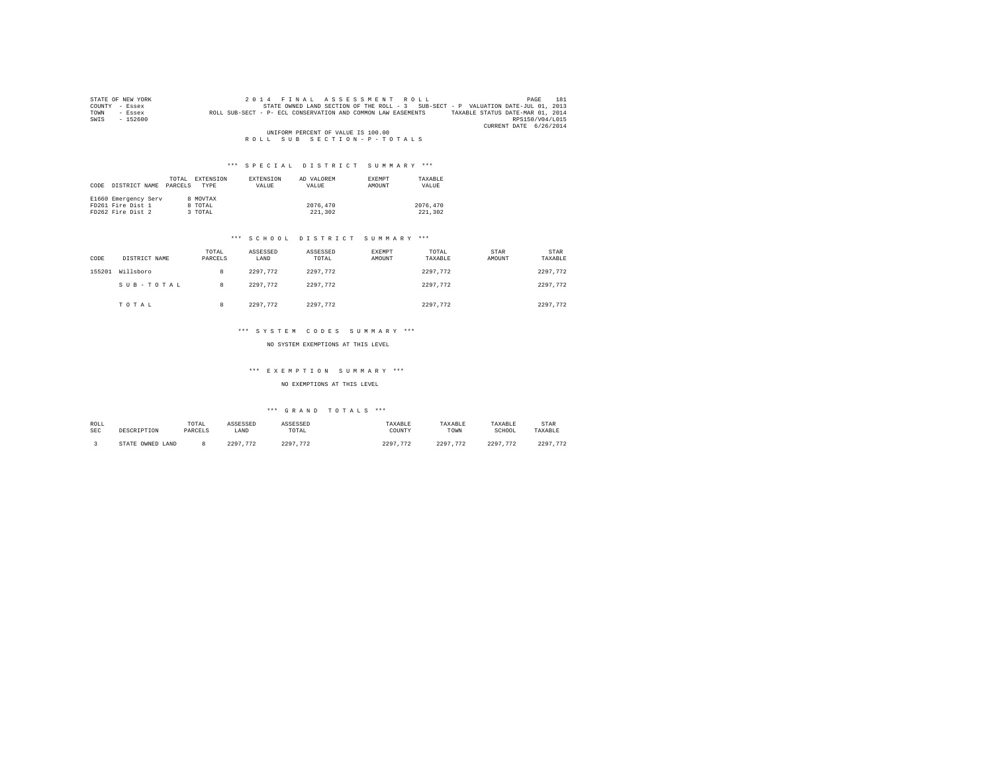| STATE OF NEW YORK   | 2014 FINAL ASSESSMENT ROLL<br>181<br>PAGE                                                        |
|---------------------|--------------------------------------------------------------------------------------------------|
| COUNTY<br>$-$ Essex | STATE OWNED LAND SECTION OF THE ROLL - 3 SUB-SECT - P VALUATION DATE-JUL 01, 2013                |
| TOWN<br>- Essex     | TAXABLE STATUS DATE-MAR 01, 2014<br>ROLL SUB-SECT - P- ECL CONSERVATION AND COMMON LAW EASEMENTS |
| $-152600$<br>SWIS   | RPS150/V04/L015                                                                                  |
|                     | CURRENT DATE 6/26/2014                                                                           |
|                     | UNIFORM PERCENT OF VALUE IS 100.00                                                               |
|                     | ROLL SUB SECTION-P-TOTALS                                                                        |

| CODE | DISTRICT NAME        | TOTAL.<br>PARCELS | EXTENSION<br><b>TYPE</b> | EXTENSION<br>VALUE | AD VALOREM<br>VALUE | <b>EXEMPT</b><br>AMOUNT | TAXARLE<br>VALUE |
|------|----------------------|-------------------|--------------------------|--------------------|---------------------|-------------------------|------------------|
|      | E1660 Emergency Serv |                   | 8 MOVTAX                 |                    |                     |                         |                  |
|      | FD261 Fire Dist 1    |                   | 8 TOTAL                  |                    | 2076,470            |                         | 2076.470         |
|      | FD262 Fire Dist 2    |                   | 3 TOTAL                  |                    | 221,302             |                         | 221,302          |

#### \*\*\* S C H O O L D I S T R I C T S U M M A R Y \*\*\*

| CODE   | DISTRICT NAME | TOTAL<br>PARCELS | ASSESSED<br>LAND | ASSESSED<br>TOTAL | EXEMPT<br>AMOUNT | TOTAL<br>TAXABLE | STAR<br>AMOUNT | STAR<br>TAXABLE |
|--------|---------------|------------------|------------------|-------------------|------------------|------------------|----------------|-----------------|
| 155201 | Willsboro     | 8                | 2297.772         | 2297.772          |                  | 2297.772         |                | 2297.772        |
|        | SUB-TOTAL     | 8                | 2297.772         | 2297.772          |                  | 2297.772         |                | 2297.772        |
|        | TOTAL         | 8                | 2297.772         | 2297.772          |                  | 2297.772         |                | 2297.772        |

#### \*\*\* S Y S T E M C O D E S S U M M A R Y \*\*\*

NO SYSTEM EXEMPTIONS AT THIS LEVEL

### \*\*\* E X E M P T I O N S U M M A R Y \*\*\*

#### NO EXEMPTIONS AT THIS LEVEL

| ROLL<br>SEC | DESCRIPTION            | TOTAL<br>PARCELS | ASSESSED<br>LAND | ASSESSED<br>TOTAL     | TAXABLE<br>COUNTY | TAXABLE<br>TOWN               | TAXABLE<br>SCHOOL | STAR<br>TAXABLE        |
|-------------|------------------------|------------------|------------------|-----------------------|-------------------|-------------------------------|-------------------|------------------------|
|             | OWNED<br>STATE<br>LAND |                  | 2297<br>773      | つつロワ<br>$\mathcal{L}$ | 2297<br>773       | 2297<br>773<br>$\overline{1}$ | 2297<br>772       | 2297<br>B <sub>n</sub> |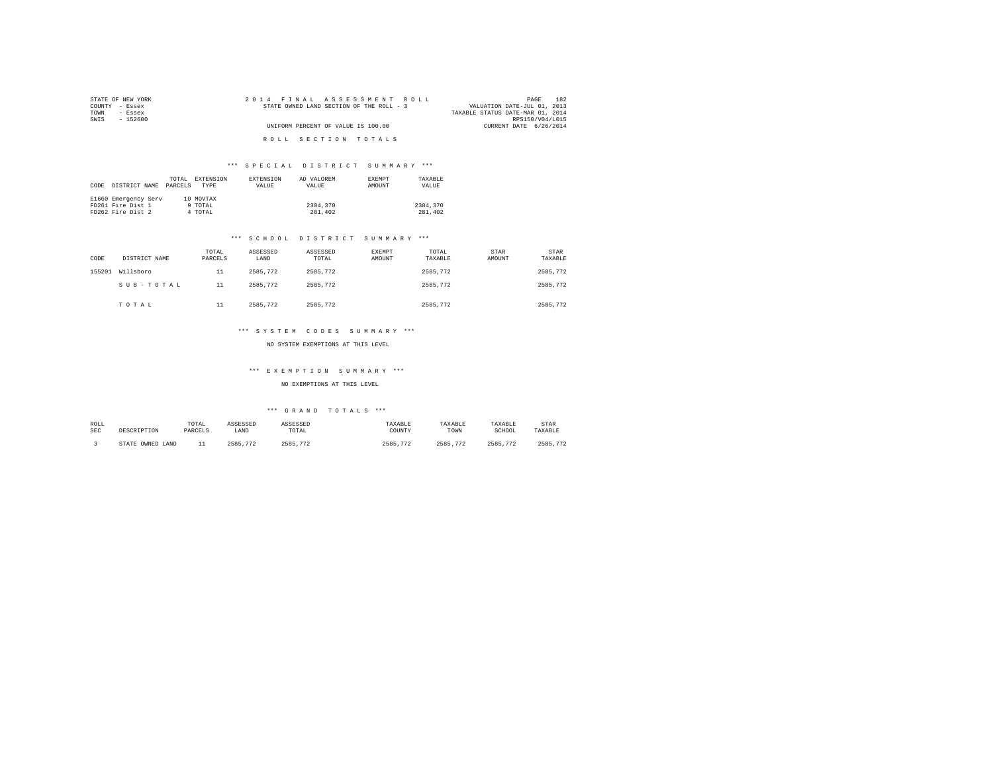| STATE OF NEW YORK | 2014 FINAL ASSESSMENT ROLL               | 182<br>PAGE                      |
|-------------------|------------------------------------------|----------------------------------|
| COUNTY - Essex    | STATE OWNED LAND SECTION OF THE ROLL - 3 | VALUATION DATE-JUL 01, 2013      |
| TOWN<br>- Essex   |                                          | TAXABLE STATUS DATE-MAR 01, 2014 |
| SWIS<br>- 152600  |                                          | RPS150/V04/L015                  |
|                   | UNIFORM PERCENT OF VALUE IS 100.00       | CURRENT DATE 6/26/2014           |
|                   | ROLL SECTION TOTALS                      |                                  |

| CODE | DISTRICT NAME                                                  | TOTAL<br>PARCELS | EXTENSION<br>TYPE               | <b>EXTENSION</b><br>VALUE | AD VALOREM<br>VALUE | <b>EXEMPT</b><br><b>AMOUNT</b> | TAXARLE<br>VALUE    |
|------|----------------------------------------------------------------|------------------|---------------------------------|---------------------------|---------------------|--------------------------------|---------------------|
|      | E1660 Emergency Serv<br>FD261 Fire Dist 1<br>FD262 Fire Dist 2 |                  | 10 MOVTAX<br>9 TOTAL<br>4 TOTAL |                           | 2304,370<br>281,402 |                                | 2304,370<br>281,402 |

#### \*\*\* S C H O O L D I S T R I C T S U M M A R Y \*\*\*

| CODE   | DISTRICT NAME | TOTAL<br>PARCELS | ASSESSED<br>LAND | ASSESSED<br>TOTAL | EXEMPT<br>AMOUNT | TOTAL<br>TAXABLE | STAR<br>AMOUNT | STAR<br>TAXABLE |
|--------|---------------|------------------|------------------|-------------------|------------------|------------------|----------------|-----------------|
| 155201 | Willsboro     | 11               | 2585.772         | 2585.772          |                  | 2585.772         |                | 2585.772        |
|        | SUB-TOTAL     | 11               | 2585.772         | 2585.772          |                  | 2585.772         |                | 2585.772        |
|        | TOTAL         | 11               | 2585.772         | 2585.772          |                  | 2585.772         |                | 2585.772        |

#### \*\*\* S Y S T E M C O D E S S U M M A R Y \*\*\*

NO SYSTEM EXEMPTIONS AT THIS LEVEL

### \*\*\* E X E M P T I O N S U M M A R Y \*\*\*

#### NO EXEMPTIONS AT THIS LEVEL

| ROLL<br>SEC | DESCRIPTION         | TOTAL<br>PARCELS | ASSESSED<br>LAND | ASSESSED<br>TOTAL<br>the contract of the contract of the | TAXABLE<br>COUNTY | TAXABLE<br>TOWN | TAXABLE<br>SCHOOL | STAR<br>TAXABLE |
|-------------|---------------------|------------------|------------------|----------------------------------------------------------|-------------------|-----------------|-------------------|-----------------|
|             | STATE OWNED<br>LAND | --               | 2585<br>772      | 2585<br>$\sim$                                           | 2585<br>772       | 773<br>2585     | 2585<br>772       | 2585<br>$\eta$  |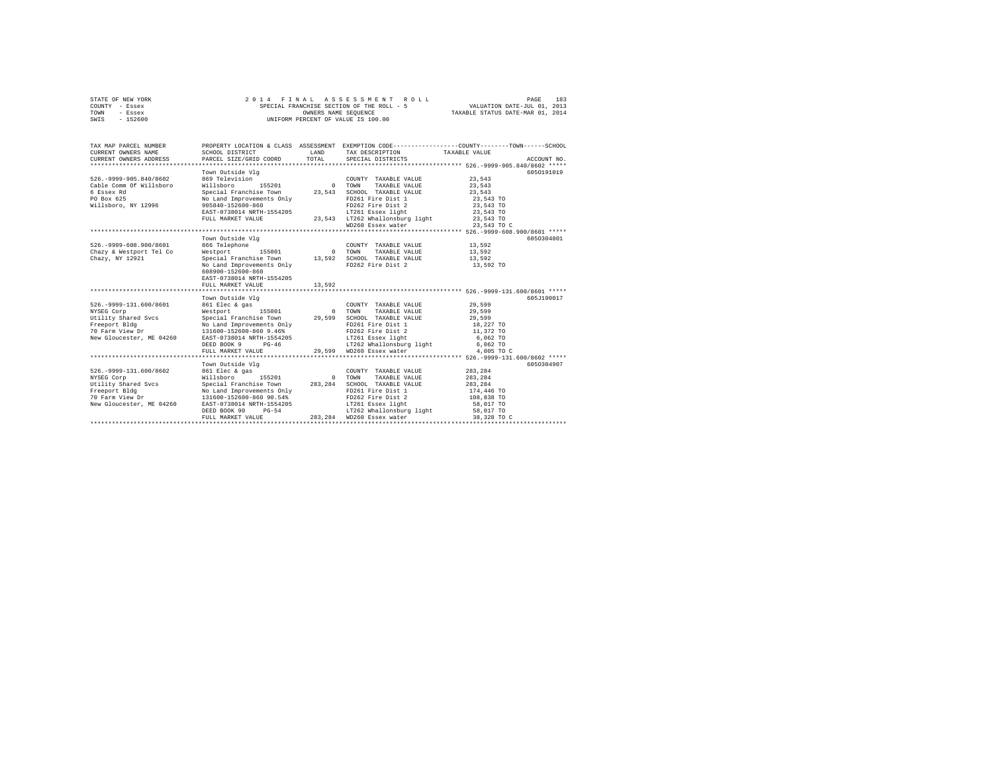| STATE OF NEW YORK<br>COUNTY - Essex<br>TOWN<br>- Essex<br>SWIS<br>$-152600$                                                   | 2 0 1 4<br>FINAL                                                                                                                                                                                                                                                                                                                                                                                                                   |                | ASSESSMENT ROLL<br>SPECIAL FRANCHISE SECTION OF THE ROLL - 5<br>OWNERS NAME SECUENCE<br>UNIFORM PERCENT OF VALUE IS 100.00                                                                   | 183<br>PAGE<br>VALUATION DATE-JUL 01, 2013<br>TAXABLE STATUS DATE-MAR 01, 2014                                   |             |  |
|-------------------------------------------------------------------------------------------------------------------------------|------------------------------------------------------------------------------------------------------------------------------------------------------------------------------------------------------------------------------------------------------------------------------------------------------------------------------------------------------------------------------------------------------------------------------------|----------------|----------------------------------------------------------------------------------------------------------------------------------------------------------------------------------------------|------------------------------------------------------------------------------------------------------------------|-------------|--|
| TAX MAP PARCEL NUMBER<br>CURRENT OWNERS NAME<br>CURRENT OWNERS ADDRESS                                                        | SCHOOL DISTRICT<br>PARCEL SIZE/GRID COORD                                                                                                                                                                                                                                                                                                                                                                                          | LAND<br>TOTAL  | TAX DESCRIPTION<br>SPECIAL DISTRICTS                                                                                                                                                         | PROPERTY LOCATION & CLASS ASSESSMENT EXEMPTION CODE---------------COUNTY-------TOWN------SCHOOL<br>TAXABLE VALUE | ACCOUNT NO. |  |
|                                                                                                                               |                                                                                                                                                                                                                                                                                                                                                                                                                                    |                |                                                                                                                                                                                              |                                                                                                                  |             |  |
| 526. - 9999 - 905.840/8602<br>Cable Comm Of Willsboro<br>6 Essex Rd<br>PO Box 625<br>Willsboro, NY 12996                      | Town Outside Vla<br>----- ------- ---<br>869 Television<br>155201<br>Willsboro<br>Special Franchise Town 23.543<br>No Land Improvements Only<br>905840-152600-860<br>${\tt EAST-0738014 \; NRTH-1554205} \qquad \qquad {\tt LT261 \; Eseex \; light} \qquad \qquad 23,543 \; {\tt TO} \\ {\tt FUL \; MARKET \; VALUE} \qquad \qquad 23,543 \; {\tt TO} \\ {\tt T262 \; Whallonsburg \; light} \qquad \qquad 23,543 \; {\tt TO} \\$ | $\overline{a}$ | COUNTY TAXABLE VALUE<br>TAXABLE VALUE<br>TOWN<br>SCHOOL TAXABLE VALUE<br>FD261 Fire Dist 1<br>FD262 Fire Dist 2                                                                              | 23.543<br>23,543<br>23,543<br>23,543 TO<br>23,543 TO                                                             | 6050191019  |  |
|                                                                                                                               |                                                                                                                                                                                                                                                                                                                                                                                                                                    |                | WD260 Essex water                                                                                                                                                                            | 23,543 TO C                                                                                                      |             |  |
|                                                                                                                               | Town Outside Vlg                                                                                                                                                                                                                                                                                                                                                                                                                   |                |                                                                                                                                                                                              |                                                                                                                  | 6050304801  |  |
| 526. - 9999-608.900/8601<br>Chazy & Westport Tel Co<br>Chazy, NY 12921                                                        | 866 Telephone<br>155001<br>Westport<br>Special Franchise Town 13,592<br>No Land Improvements Only<br>608900-152600-860<br>EAST-0738014 NRTH-1554205                                                                                                                                                                                                                                                                                | $\sim$ 0       | COUNTY TAXABLE VALUE<br>TAXABLE VALUE<br>TOWN<br>SCHOOL TAXABLE VALUE<br>FD262 Fire Dist 2                                                                                                   | 13,592<br>13,592<br>13,592<br>13,592 TO                                                                          |             |  |
|                                                                                                                               | FULL MARKET VALUE                                                                                                                                                                                                                                                                                                                                                                                                                  | 13,592         |                                                                                                                                                                                              |                                                                                                                  |             |  |
|                                                                                                                               | Town Outside Vlg                                                                                                                                                                                                                                                                                                                                                                                                                   |                |                                                                                                                                                                                              |                                                                                                                  | 605J190017  |  |
| 526. - 9999-131.600/8601<br>NYSEG Corp<br>Utility Shared Svcs<br>Freeport Bldg<br>70 Farm View Dr<br>New Gloucester, ME 04260 | 861 Elec & gas<br>Westport 155001<br>Special Franchise Town 29,599<br>Special Franchise Town<br>No Land Improvements Only<br>131600-152600-860 9.46%<br>EAST-0738014 NRTH-1554205<br>DEED BOOK 9 PG-46<br>FULL MARKET VALUE                                                                                                                                                                                                        | 0              | COUNTY TAXABLE VALUE<br>TAXABLE VALUE<br>TOWN<br>SCHOOL TAXABLE VALUE<br>FD261 Fire Dist 1<br>FD262 Fire Dist 2<br>LT261 Essex light<br>LT262 Whallonsburg light<br>29,599 WD260 Essex water | 29,599<br>29,599<br>29,599<br>18,227 TO<br>11,372 TO<br>6,062 TO<br>6,062 TO<br>4,005 TO C                       |             |  |
|                                                                                                                               |                                                                                                                                                                                                                                                                                                                                                                                                                                    |                |                                                                                                                                                                                              |                                                                                                                  |             |  |
| 526. - 9999-131.600/8602<br>NYSEG Corp<br>Utility Shared Svcs<br>Freeport Bldg<br>70 Farm View Dr<br>New Gloucester, ME 04260 | Town Outside Vlg<br>861 Elec & gas<br>Willsboro 155201<br>Special Franchise Town 283, 284<br>Special Franchise Town<br>No Land Improvements Only<br>131600-152600-860 90.54%<br>131600-152600-860 90.54%<br>EAST-0738014 NRTH-1554205<br>DEED BOOK 90 PG-54                                                                                                                                                                        | $\sim$ 0       | COUNTY TAXABLE VALUE<br>TAXABLE VALUE<br>TOWN<br>SCHOOL TAXABLE VALUE<br>FD261 Fire Dist 1<br>FD262 Fire Dist 2<br>LT261 Essex light<br>LT262 Whallonsburg light                             | 283,284<br>283,284<br>283,284<br>174,446 TO<br>108,838 TO<br>58,017 TO<br>58,017 TO                              | 6050304907  |  |
|                                                                                                                               | FULL MARKET VALUE                                                                                                                                                                                                                                                                                                                                                                                                                  |                | 283, 284 WD260 Essex water                                                                                                                                                                   | 38,328 TO C                                                                                                      |             |  |
|                                                                                                                               |                                                                                                                                                                                                                                                                                                                                                                                                                                    |                |                                                                                                                                                                                              |                                                                                                                  |             |  |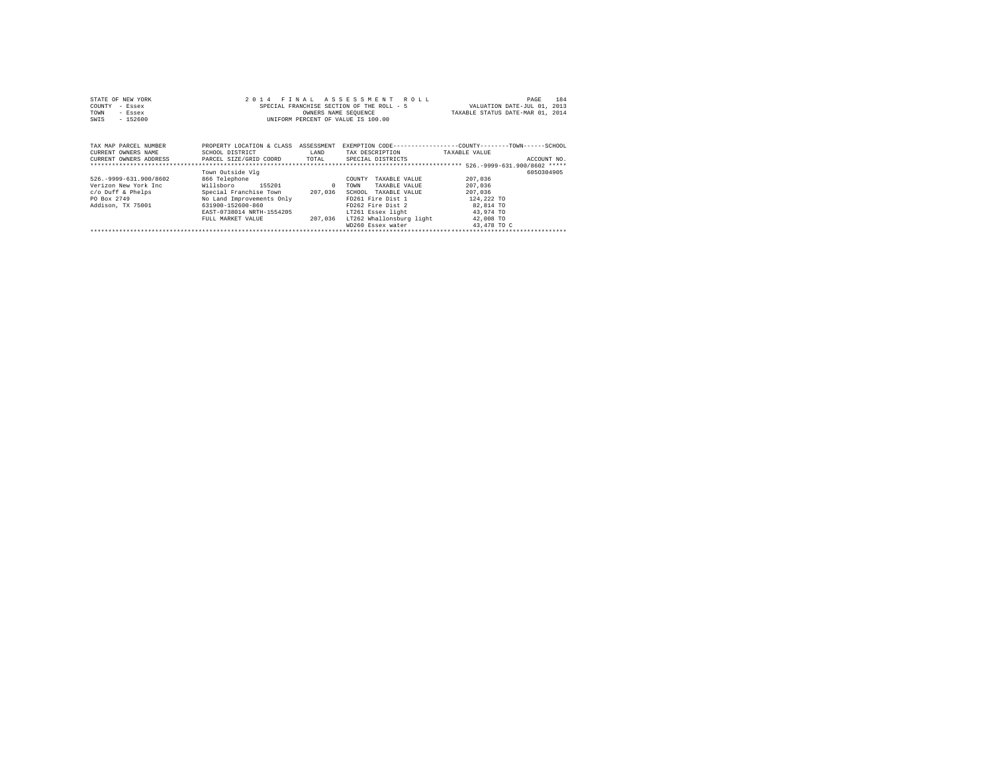| STATE OF NEW YORK<br>COUNTY<br>- Essex<br>TOWN<br>- Essex<br>$-152600$<br>SWIS                             |                                                                                                                                                                                             | OWNERS NAME SEQUENCE | 2014 FINAL ASSESSMENT ROLL<br>SPECIAL FRANCHISE SECTION OF THE ROLL - 5<br>INIFORM PERCENT OF VALUE IS 100.00                                                                                                   | PAGE<br>VALUATION DATE-JUL 01, 2013<br>TAXABLE STATUS DATE-MAR 01, 2014                      | 184 |
|------------------------------------------------------------------------------------------------------------|---------------------------------------------------------------------------------------------------------------------------------------------------------------------------------------------|----------------------|-----------------------------------------------------------------------------------------------------------------------------------------------------------------------------------------------------------------|----------------------------------------------------------------------------------------------|-----|
| TAX MAP PARCEL NUMBER<br>CURRENT OWNERS NAME<br>CURRENT OWNERS ADDRESS PARCEL SIZE/GRID COORD TOTAL        | PROPERTY LOCATION & CLASS ASSESSMENT<br>SCHOOL DISTRICT                                                                                                                                     | LAND                 | TAX DESCRIPTION<br>SPECIAL DISTRICTS                                                                                                                                                                            | EXEMPTION CODE-----------------COUNTY-------TOWN------SCHOOL<br>TAXABLE VALUE<br>ACCOUNT NO. |     |
| 526. - 9999-631.900/8602<br>Verizon New York Inc.<br>c/o Duff & Phelps<br>PO Box 2749<br>Addison, TX 75001 | Town Outside Vla<br>866 Telephone<br>Willsboro 155201<br>Special Franchise Town 207,036<br>No Land Improvements Only<br>631900-152600-860<br>EAST-0738014 NRTH-1554205<br>FULL MARKET VALUE | $\sim$ 0<br>207.036  | COUNTY<br>TAXABLE VALUE<br>TOWN<br>TAXABLE VALUE<br>SCHOOL<br>TAXABLE VALUE<br>FD261 Fire Dist 1<br>FD262 Fire Dist 2<br>LT261 Essex light 63.974 TO<br>LT262 Whallonsburg light 42,008 TO<br>WD260 Essex water | 6050304905<br>207,036<br>207,036<br>207,036<br>124,222 TO<br>82.814 TO<br>43,478 TO C        |     |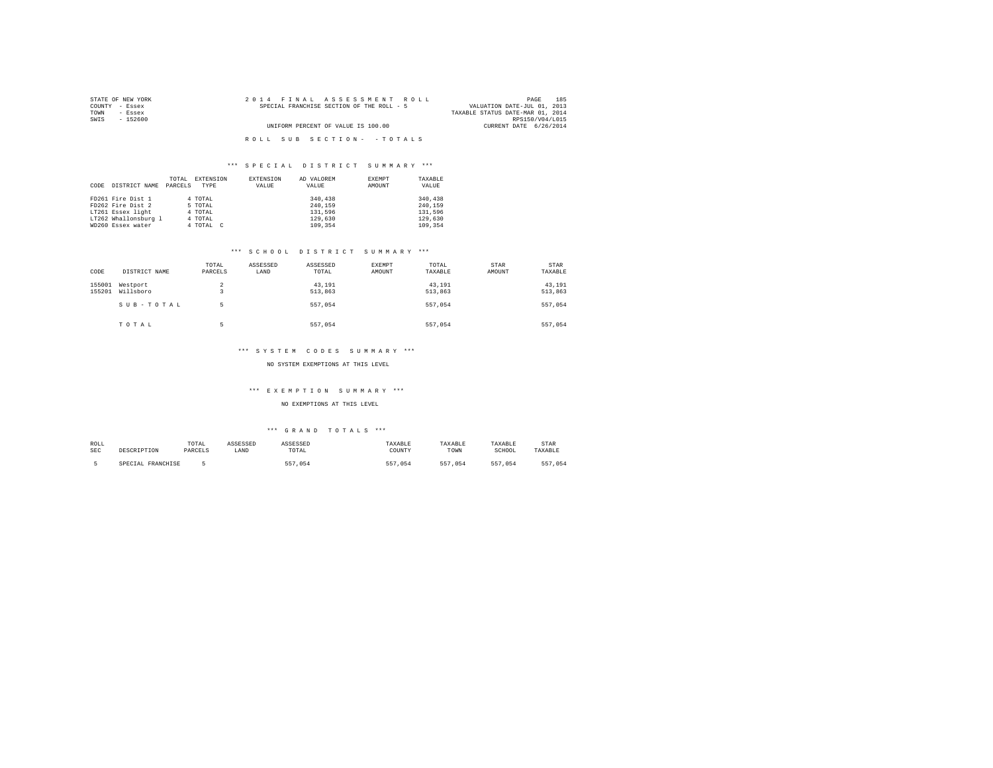| STATE OF NEW YORK | 2014 FINAL ASSESSMENT ROLL                | 185<br>PAGE                      |
|-------------------|-------------------------------------------|----------------------------------|
| COUNTY - Essex    | SPECIAL FRANCHISE SECTION OF THE ROLL - 5 | VALUATION DATE-JUL 01, 2013      |
| TOWN<br>- Essex   |                                           | TAXABLE STATUS DATE-MAR 01, 2014 |
| SWIS<br>$-152600$ |                                           | RPS150/V04/L015                  |
|                   | UNIFORM PERCENT OF VALUE IS 100.00        | CURRENT DATE 6/26/2014           |
|                   |                                           |                                  |
|                   | ROLL SUB SECTION- - TOTALS                |                                  |

|      |                      | TOTAL   | EXTENSION | EXTENSION | AD VALOREM | EXEMPT | TAXABLE |
|------|----------------------|---------|-----------|-----------|------------|--------|---------|
| CODE | DISTRICT NAME        | PARCELS | TYPE      | VALUE     | VALUE      | AMOUNT | VALUE   |
|      |                      |         |           |           |            |        |         |
|      | FD261 Fire Dist 1    |         | 4 TOTAL   |           | 340,438    |        | 340,438 |
|      | FD262 Fire Dist 2    |         | 5 TOTAL   |           | 240.159    |        | 240.159 |
|      | LT261 Essex light    |         | 4 TOTAL   |           | 131,596    |        | 131,596 |
|      | LT262 Whallonsburg 1 |         | 4 TOTAL   |           | 129,630    |        | 129,630 |
|      | WD260 Essex water    |         | 4 TOTAL C |           | 109,354    |        | 109,354 |

#### \*\*\* S C H O O L D I S T R I C T S U M M A R Y \*\*\*

| CODE             | DISTRICT NAME         | TOTAL<br>PARCELS    | ASSESSED<br>LAND | ASSESSED<br>TOTAL | EXEMPT<br>AMOUNT | TOTAL<br>TAXABLE  | STAR<br>AMOUNT | <b>STAR</b><br>TAXABLE |
|------------------|-----------------------|---------------------|------------------|-------------------|------------------|-------------------|----------------|------------------------|
| 155001<br>155201 | Westport<br>Willsboro | $\overline{2}$<br>٠ |                  | 43,191<br>513,863 |                  | 43.191<br>513,863 |                | 43,191<br>513,863      |
|                  | SUB-TOTAL             | 5                   |                  | 557.054           |                  | 557.054           |                | 557,054                |
|                  | TOTAL                 | 5                   |                  | 557.054           |                  | 557.054           |                | 557.054                |

#### \*\*\* SYSTEM CODES SUMMARY \*\*\*

NO SYSTEM EXEMPTIONS AT THIS LEVEL

### \*\*\* E X E M P T I O N S U M M A R Y \*\*\*

NO EXEMPTIONS AT THIS LEVEL

| ROLL       | DESCRIPTION       | TOTAL   | ASSESSED | ASSESSED | TAXABLE | TAXABLE | TAXARLE | STAR    |
|------------|-------------------|---------|----------|----------|---------|---------|---------|---------|
| <b>SEC</b> |                   | PARCELS | LAND     | TOTAL    | COUNTY  | TOWN    | SCHOOL  | TAXABLE |
|            | SPECIAL FRANCHISE |         |          | 557.054  | 557.054 | 557.054 | 557.054 | 557.054 |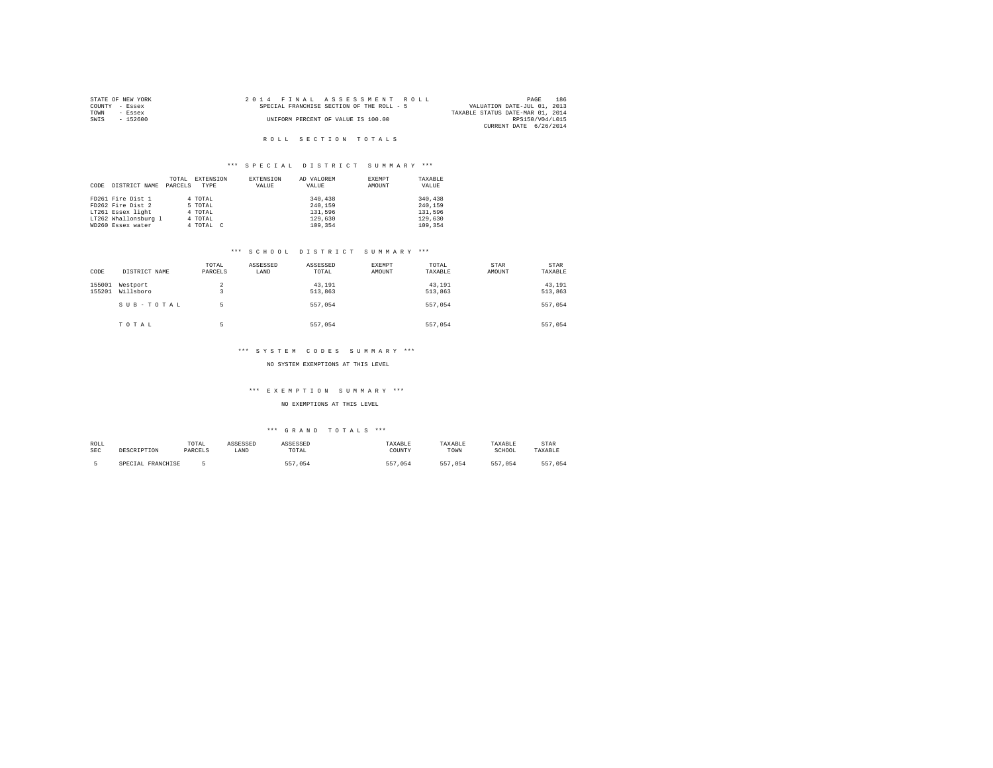| STATE OF NEW YORK | 2014 FINAL ASSESSMENT ROLL                | 186<br>PAGE                      |
|-------------------|-------------------------------------------|----------------------------------|
| COUNTY - Essex    | SPECIAL FRANCHISE SECTION OF THE ROLL - 5 | VALUATION DATE-JUL 01, 2013      |
| TOWN<br>- Essex   |                                           | TAXABLE STATUS DATE-MAR 01, 2014 |
| - 152600<br>SWIS  | UNIFORM PERCENT OF VALUE IS 100.00        | RPS150/V04/L015                  |
|                   |                                           | CURRENT DATE 6/26/2014           |

### R O L L S E C T I O N T O T A L S

# \*\*\* S P E C I A L D I S T R I C T S U M M A R Y \*\*\*

|      |                      | TOTAL   | EXTENSION | EXTENSION | AD VALOREM | EXEMPT | TAXABLE |
|------|----------------------|---------|-----------|-----------|------------|--------|---------|
| CODE | DISTRICT NAME        | PARCELS | TYPE      | VALUE     | VALUE      | AMOUNT | VALUE   |
|      |                      |         |           |           |            |        |         |
|      | FD261 Fire Dist 1    |         | 4 TOTAL   |           | 340,438    |        | 340,438 |
|      | FD262 Fire Dist 2    |         | 5 TOTAL   |           | 240.159    |        | 240.159 |
|      | LT261 Essex light    |         | 4 TOTAL   |           | 131,596    |        | 131,596 |
|      | LT262 Whallonsburg 1 |         | 4 TOTAL   |           | 129,630    |        | 129,630 |
|      | WD260 Essex water    |         | 4 TOTAL C |           | 109,354    |        | 109,354 |

#### \*\*\* S C H O O L D I S T R I C T S U M M A R Y \*\*\*

| CODE             | DISTRICT NAME         | TOTAL<br>PARCELS    | ASSESSED<br>LAND | ASSESSED<br>TOTAL | <b>EXEMPT</b><br>AMOUNT | TOTAL<br>TAXABLE  | STAR<br>AMOUNT | STAR<br>TAXABLE   |
|------------------|-----------------------|---------------------|------------------|-------------------|-------------------------|-------------------|----------------|-------------------|
| 155001<br>155201 | Westport<br>Willsboro | $\overline{a}$<br>3 |                  | 43,191<br>513,863 |                         | 43,191<br>513,863 |                | 43,191<br>513,863 |
|                  | SUB-TOTAL             | 5                   |                  | 557.054           |                         | 557.054           |                | 557.054           |
|                  | TOTAL                 | к                   |                  | 557.054           |                         | 557.054           |                | 557.054           |

#### \*\*\* SYSTEM CODES SUMMARY \*\*\*

NO SYSTEM EXEMPTIONS AT THIS LEVEL

### \*\*\* E X E M P T I O N S U M M A R Y \*\*\*

NO EXEMPTIONS AT THIS LEVEL

| ROLL       | DESCRIPTION       | TOTAL   | ASSESSED | ASSESSED | TAXABLE | TAXABLE | TAXARLE | STAR    |
|------------|-------------------|---------|----------|----------|---------|---------|---------|---------|
| <b>SEC</b> |                   | PARCELS | LAND     | TOTAL    | COUNTY  | TOWN    | SCHOOL  | TAXABLE |
|            | SPECIAL FRANCHISE |         |          | 557.054  | 557.054 | 557.054 | 557.054 | 557.054 |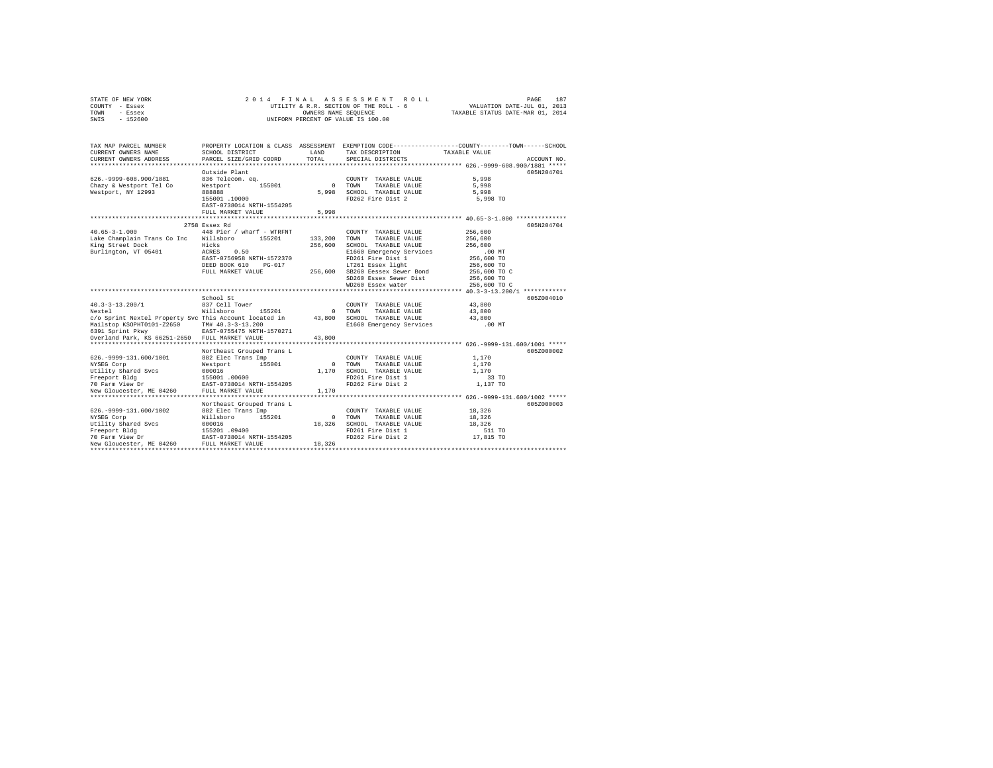|      | STATE OF NEW YORK |  | 2014 FINAL ASSESSMENT ROLL             |                                  | PAGE | 187 |
|------|-------------------|--|----------------------------------------|----------------------------------|------|-----|
|      | COUNTY - Essex    |  | UTILITY & R.R. SECTION OF THE ROLL - 6 | VALUATION DATE-JUL 01, 2013      |      |     |
| TOWN | - Essex           |  | OWNERS NAME SEOUENCE                   | TAXABLE STATUS DATE-MAR 01, 2014 |      |     |
| SWIS | $-152600$         |  | UNIFORM PERCENT OF VALUE IS 100.00     |                                  |      |     |

| TAX MAP PARCEL NUMBER                                                                     |                                            |              | PROPERTY LOCATION & CLASS ASSESSMENT EXEMPTION CODE---------------COUNTY-------TOWN-----SCHOOL |                                                 |
|-------------------------------------------------------------------------------------------|--------------------------------------------|--------------|------------------------------------------------------------------------------------------------|-------------------------------------------------|
| CURRENT OWNERS NAME                                                                       | SCHOOL DISTRICT                            | LAND         | TAX DESCRIPTION TAXABLE VALUE                                                                  |                                                 |
| CURRENT OWNERS ADDRESS                                                                    | PARCEL SIZE/GRID COORD                     | TOTAL        | SPECIAL DISTRICTS                                                                              | ACCOUNT NO.                                     |
|                                                                                           |                                            |              |                                                                                                |                                                 |
|                                                                                           | Outside Plant                              |              |                                                                                                | 605N204701                                      |
| 626. - 9999 - 608. 900/1881                                                               | 836 Telecom. eq.                           |              | COUNTY TAXABLE VALUE                                                                           | 5,998                                           |
| Chazy & Westport Tel Co                                                                   | 155001<br>Westport                         | $\Omega$     | TOWN<br>TAXABLE VALUE                                                                          | 5,998                                           |
| Westport, NY 12993                                                                        | 888888                                     | 5,998        | SCHOOL TAXABLE VALUE                                                                           | 5,998                                           |
|                                                                                           | 155001 .10000                              |              | FD262 Fire Dist 2                                                                              | 5,998 TO                                        |
|                                                                                           | EAST-0738014 NRTH-1554205                  |              |                                                                                                |                                                 |
|                                                                                           | FULL MARKET VALUE                          | 5,998        |                                                                                                |                                                 |
|                                                                                           | *********************                      |              |                                                                                                | ******************* 40.65-3-1.000 ************* |
|                                                                                           | 2758 Essex Rd                              |              |                                                                                                | 605N204704                                      |
| $40.65 - 3 - 1.000$                                                                       | 448 Pier / wharf - WTRFNT                  |              | COUNTY TAXABLE VALUE                                                                           | 256,600                                         |
| Lake Champlain Trans Co Inc Willsboro                                                     | 155201                                     | 133,200      | TOWN<br>TAXABLE VALUE                                                                          | 256,600                                         |
| King Street Dock                                                                          | Hicks                                      | 256,600      | SCHOOL TAXABLE VALUE                                                                           | 256,600                                         |
| Burlington, VT 05401                                                                      | ACRES<br>0.50                              |              | E1660 Emergency Services                                                                       | $.00$ MT                                        |
|                                                                                           | EAST-0756958 NRTH-1572370                  |              | FD261 Fire Dist 1                                                                              | 256,600 TO                                      |
|                                                                                           | DEED BOOK 610<br>$PG-017$                  |              | LT261 Essex light                                                                              | 256,600 TO                                      |
|                                                                                           | FULL MARKET VALUE                          | 256,600      | SB260 Eessex Sewer Bond                                                                        | 256,600 TO C                                    |
|                                                                                           |                                            |              | SD260 Essex Sewer Dist                                                                         | 256,600 TO                                      |
|                                                                                           |                                            |              | WD260 Essex water                                                                              | 256,600 TO C                                    |
|                                                                                           |                                            |              |                                                                                                |                                                 |
|                                                                                           | School St                                  |              |                                                                                                | 605Z004010                                      |
| $40.3 - 3 - 13.200/1$                                                                     | 837 Cell Tower                             |              | COUNTY TAXABLE VALUE                                                                           | 43,800                                          |
| Nextel                                                                                    | Willsboro<br>155201                        | $\mathbf{r}$ | TOWN<br>TAXABLE VALUE                                                                          | 43,800                                          |
| c/o Sprint Nextel Property Svc This Account located in                                    |                                            | 43,800       | SCHOOL TAXABLE VALUE                                                                           | 43,800                                          |
|                                                                                           |                                            |              | E1660 Emergency Services                                                                       | .00 MT                                          |
| Mailstop KSOPHT0101-Z2650 TM# 40.3-3-13.200<br>6391 Sprint Pkwy BAST-0755475 NRTH-1570271 |                                            |              |                                                                                                |                                                 |
| Overland Park, KS 66251-2650 FULL MARKET VALUE                                            |                                            | 43,800       |                                                                                                |                                                 |
|                                                                                           |                                            |              |                                                                                                |                                                 |
|                                                                                           | Northeast Grouped Trans L                  |              |                                                                                                | 605Z000002                                      |
| 626. - 9999-131.600/1001                                                                  | 882 Elec Trans Imp                         |              | COUNTY TAXABLE VALUE                                                                           | 1,170                                           |
| NYSEG Corp                                                                                | 155001<br>Westport                         | $\sim$       | TOWN<br>TAXABLE VALUE                                                                          | 1,170                                           |
| Utility Shared Svcs                                                                       | 000016                                     | 1,170        | SCHOOL TAXABLE VALUE                                                                           | 1,170                                           |
| Freeport Bldg                                                                             | 155001.00600                               |              | FD261 Fire Dist 1                                                                              | 33 TO                                           |
| 70 Farm View Dr                                                                           | EAST-0738014 NRTH-1554205                  |              | FD262 Fire Dist 2                                                                              | 1,137 TO                                        |
| New Gloucester, ME 04260                                                                  | FULL MARKET VALUE                          | 1,170        |                                                                                                |                                                 |
|                                                                                           |                                            |              |                                                                                                |                                                 |
|                                                                                           | Northeast Grouped Trans L                  |              |                                                                                                | 605Z000003                                      |
| 626. - 9999 - 131. 600/1002                                                               | 882 Elec Trans Imp                         |              | COUNTY TAXABLE VALUE                                                                           | 18,326                                          |
| NYSEG Corp                                                                                | Willsboro<br>155201                        | $\circ$      | TOWN<br>TAXABLE VALUE                                                                          | 18,326                                          |
| Utility Shared Svcs                                                                       | 000016                                     | 18,326       | SCHOOL TAXABLE VALUE                                                                           | 18,326                                          |
| Freeport Bldg                                                                             |                                            |              | FD261 Fire Dist 1                                                                              | 511 TO                                          |
| 70 Farm View Dr                                                                           | 155201 .09400<br>EAST-0738014 NRTH-1554205 |              | FD262 Fire Dist 2                                                                              | 17,815 TO                                       |
| New Gloucester, ME 04260                                                                  | FULL MARKET VALUE                          | 18,326       |                                                                                                |                                                 |
|                                                                                           |                                            |              |                                                                                                |                                                 |
|                                                                                           |                                            |              |                                                                                                |                                                 |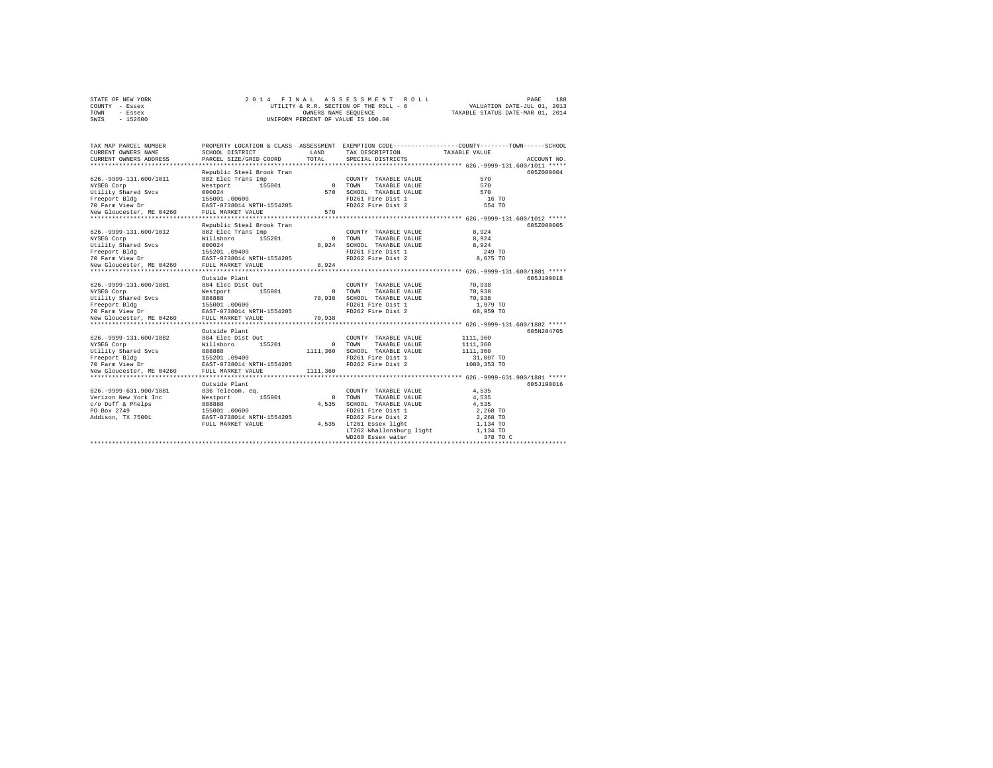|      | STATE OF NEW YORK |  | 2014 FINAL ASSESSMENT ROLL             |  | PAGE                             | 188 |
|------|-------------------|--|----------------------------------------|--|----------------------------------|-----|
|      | COUNTY - Essex    |  | UTILITY & R.R. SECTION OF THE ROLL - 6 |  | VALUATION DATE-JUL 01, 2013      |     |
| TOWN | - Essex           |  | OWNERS NAME SEOUENCE                   |  | TAXABLE STATUS DATE-MAR 01, 2014 |     |
| SWIS | $-152600$         |  | UNIFORM PERCENT OF VALUE IS 100.00     |  |                                  |     |

| TAX MAP PARCEL NUMBER<br>CURRENT OWNERS NAME                                                                                                                                                                                         | SCHOOL DISTRICT                                                                                                                      | <b>T.AND</b>  | PROPERTY LOCATION & CLASS ASSESSMENT EXEMPTION CODE----------------COUNTY-------TOWN------SCHOOL<br>TAX DESCRIPTION TAXABLE VALUE |                                                  |             |
|--------------------------------------------------------------------------------------------------------------------------------------------------------------------------------------------------------------------------------------|--------------------------------------------------------------------------------------------------------------------------------------|---------------|-----------------------------------------------------------------------------------------------------------------------------------|--------------------------------------------------|-------------|
| CURRENT OWNERS ADDRESS                                                                                                                                                                                                               | PARCEL SIZE/GRID COORD                                                                                                               | TOTAL         | SPECIAL DISTRICTS                                                                                                                 |                                                  | ACCOUNT NO. |
|                                                                                                                                                                                                                                      | Republic Steel Brook Tran                                                                                                            |               |                                                                                                                                   |                                                  | 605Z000004  |
| 626. - 9999-131.600/1011                                                                                                                                                                                                             | 882 Elec Trans Imp                                                                                                                   |               | COUNTY TAXABLE VALUE                                                                                                              | 570                                              |             |
| NYSEG Corp                                                                                                                                                                                                                           |                                                                                                                                      |               | TAXABLE VALUE                                                                                                                     | 570                                              |             |
| NISSE COTP = MESSING MESSING = MESSING MESSING MESSING MESSING MESSING MESSING MESSING MESSING MESSING MESSING<br>The Second Messing Messing Messing MESSING MESSING MESSING MESSING MESSING MESSING MESSING MESSING MESSING ME<br>N |                                                                                                                                      | 570           | SCHOOL TAXABLE VALUE                                                                                                              | 570                                              |             |
|                                                                                                                                                                                                                                      |                                                                                                                                      |               | FD261 Fire Dist 1                                                                                                                 | 16 TO                                            |             |
|                                                                                                                                                                                                                                      |                                                                                                                                      |               | FD262 Fire Dist 2                                                                                                                 | 554 TO                                           |             |
|                                                                                                                                                                                                                                      |                                                                                                                                      | 570           |                                                                                                                                   |                                                  |             |
|                                                                                                                                                                                                                                      |                                                                                                                                      | ************* |                                                                                                                                   | ******************* 626.-9999-131.600/1012 ***** |             |
|                                                                                                                                                                                                                                      | Republic Steel Brook Tran                                                                                                            |               |                                                                                                                                   |                                                  | 605Z000005  |
| 626.-9999-131.600/1012 882 Elec Trans Imp                                                                                                                                                                                            |                                                                                                                                      |               | COUNTY TAXABLE VALUE 8,924                                                                                                        |                                                  |             |
|                                                                                                                                                                                                                                      | $\begin{array}{c}\n\texttt{Willsboro} \\ 000024\n\end{array}\n\qquad\n\begin{array}{c}\n\text{155201} \\ \text{155201}\n\end{array}$ |               | O TOWN TAXABLE VALUE<br>8,924 SCHOOL TAXABLE VALUE                                                                                | 8,924                                            |             |
| NYSEG Corp<br>Utility Shared Svcs                                                                                                                                                                                                    |                                                                                                                                      | 8,924         |                                                                                                                                   | 8.924                                            |             |
|                                                                                                                                                                                                                                      |                                                                                                                                      |               | FD261 Fire Dist 1                                                                                                                 | 249 TO                                           |             |
|                                                                                                                                                                                                                                      |                                                                                                                                      |               | FD262 Fire Dist 2                                                                                                                 | 8,675 TO                                         |             |
|                                                                                                                                                                                                                                      |                                                                                                                                      | 8,924         |                                                                                                                                   |                                                  |             |
|                                                                                                                                                                                                                                      |                                                                                                                                      |               |                                                                                                                                   |                                                  |             |
|                                                                                                                                                                                                                                      | Outside Plant                                                                                                                        |               |                                                                                                                                   |                                                  | 605J190018  |
| 626.-9999-131.600/1881 884 Elec Dist Out                                                                                                                                                                                             |                                                                                                                                      |               | COUNTY TAXABLE VALUE                                                                                                              | 70,938                                           |             |
|                                                                                                                                                                                                                                      |                                                                                                                                      |               | 0 TOWN<br>TAXABLE VALUE                                                                                                           | 70,938                                           |             |
|                                                                                                                                                                                                                                      |                                                                                                                                      | 70,938        | SCHOOL TAXABLE VALUE                                                                                                              | 70,938                                           |             |
|                                                                                                                                                                                                                                      |                                                                                                                                      |               | FD261 Fire Dist 1                                                                                                                 | 1,979 TO                                         |             |
|                                                                                                                                                                                                                                      |                                                                                                                                      |               | FD262 Fire Dist 2                                                                                                                 | 68,959 TO                                        |             |
|                                                                                                                                                                                                                                      |                                                                                                                                      | 70,938        |                                                                                                                                   |                                                  |             |
|                                                                                                                                                                                                                                      | Outside Plant                                                                                                                        |               |                                                                                                                                   |                                                  | 605N204705  |
|                                                                                                                                                                                                                                      |                                                                                                                                      |               | COUNTY TAXABLE VALUE                                                                                                              | 1111,360                                         |             |
| 626.-9999-131.600/1882 884 Elec Dist Out                                                                                                                                                                                             | Willsboro 155201                                                                                                                     |               | 0 TOWN TAXABLE VALUE                                                                                                              | 1111,360                                         |             |
| NYSEG Corp<br>Utility Shared Svcs                                                                                                                                                                                                    | 88888                                                                                                                                |               | 1111,360 SCHOOL TAXABLE VALUE                                                                                                     | 1111,360                                         |             |
|                                                                                                                                                                                                                                      |                                                                                                                                      |               | FD261 Fire Dist 1                                                                                                                 | 31,007 TO                                        |             |
|                                                                                                                                                                                                                                      |                                                                                                                                      |               | FD262 Fire Dist 2                                                                                                                 | 1080,353 TO                                      |             |
| New Gloucester, ME 04260 FULL MARKET VALUE                                                                                                                                                                                           |                                                                                                                                      | 1111,360      |                                                                                                                                   |                                                  |             |
|                                                                                                                                                                                                                                      |                                                                                                                                      |               |                                                                                                                                   |                                                  |             |
|                                                                                                                                                                                                                                      | Outside Plant                                                                                                                        |               |                                                                                                                                   |                                                  | 605J190016  |
|                                                                                                                                                                                                                                      |                                                                                                                                      |               | COUNTY TAXABLE VALUE                                                                                                              | 4.535                                            |             |
|                                                                                                                                                                                                                                      |                                                                                                                                      |               | 0 TOWN<br>TAXABLE VALUE                                                                                                           | 4,535                                            |             |
|                                                                                                                                                                                                                                      |                                                                                                                                      | 4.535         | SCHOOL TAXABLE VALUE                                                                                                              | 4.535                                            |             |
| 626.-9999-631.900/1881 - 836 Telecom.eq.<br>Verizon New York Inc. Westport 155001<br>C/o Duff & Phelps - 888888<br>PO Box 2749 - 888888 - 155001.06600<br>Addison, TX 75001 - 155001.06600 - 1687-0738014 NRTH-1554205               |                                                                                                                                      |               | FD261 Fire Dist 1                                                                                                                 | 2,268 TO                                         |             |
|                                                                                                                                                                                                                                      |                                                                                                                                      |               | FD262 Fire Dist 2                                                                                                                 | 2,268 TO                                         |             |
|                                                                                                                                                                                                                                      | FULL MARKET VALUE                                                                                                                    |               | 4,535 LT261 Essex light                                                                                                           | 1,134 TO                                         |             |
|                                                                                                                                                                                                                                      |                                                                                                                                      |               |                                                                                                                                   | 1,134 TO                                         |             |
|                                                                                                                                                                                                                                      |                                                                                                                                      |               | LT262 Whallonsburg light<br>WD260 Essex water                                                                                     | 378 TO C                                         |             |
|                                                                                                                                                                                                                                      |                                                                                                                                      |               |                                                                                                                                   |                                                  |             |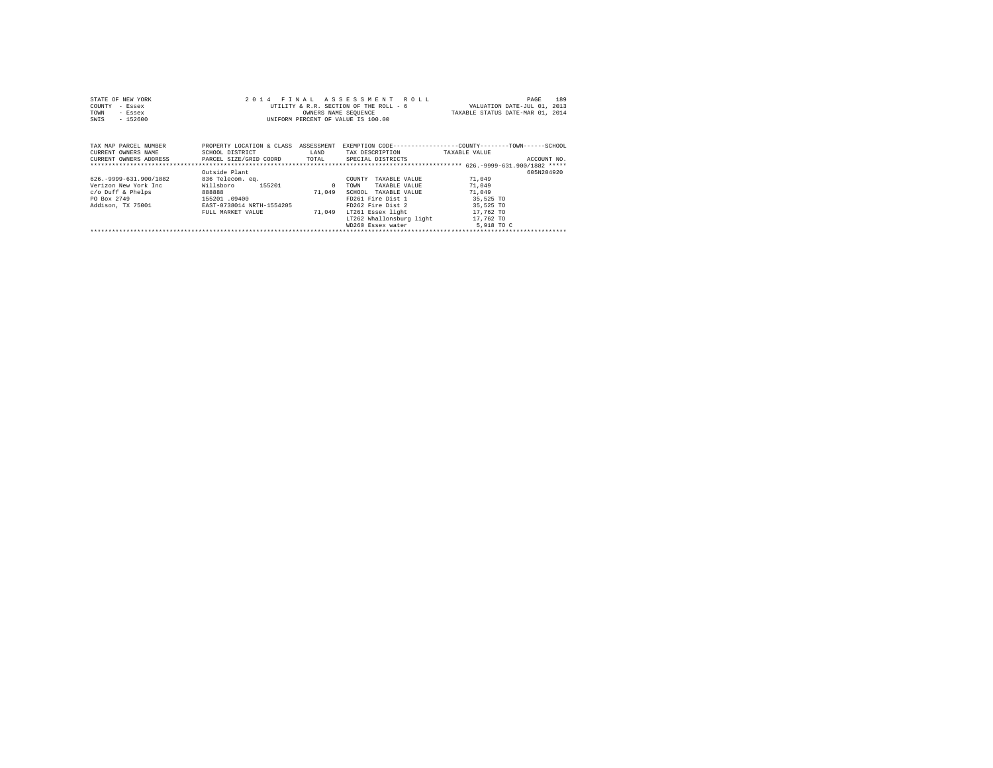| STATE OF NEW YORK<br>COUNTY<br>- Essex<br>TOWN<br>- Essex<br>$-152600$<br>SWIS                                  | 2014 FINAL                                                                                                                           |                                | ASSESSMENT ROLL<br>UTILITY & R.R. SECTION OF THE ROLL - 6<br>OWNERS NAME SEQUENCE<br>UNIFORM PERCENT OF VALUE IS 100.00                                                | VALUATION DATE-JUL 01, 2013<br>TAXABLE STATUS DATE-MAR 01, 2014                | 189<br>PAGE |
|-----------------------------------------------------------------------------------------------------------------|--------------------------------------------------------------------------------------------------------------------------------------|--------------------------------|------------------------------------------------------------------------------------------------------------------------------------------------------------------------|--------------------------------------------------------------------------------|-------------|
| TAX MAP PARCEL NUMBER<br>CURRENT OWNERS NAME<br>CURRENT OWNERS ADDRESS PARCEL SIZE/GRID COORD TOTAL             | PROPERTY LOCATION & CLASS<br>SCHOOL DISTRICT                                                                                         | ASSESSMENT<br>LAND             | EXEMPTION CODE-----------------COUNTY-------TOWN------SCHOOL<br>TAX DESCRIPTION<br>SPECIAL DISTRICTS                                                                   | TAXABLE VALUE                                                                  | ACCOUNT NO. |
| 626. - 9999 - 631. 900/1882<br>Verizon New York Inc<br>$c$ /o Duff & Phelps<br>PO Box 2749<br>Addison, TX 75001 | Outside Plant<br>836 Telecom. ea.<br>Willsboro<br>155201<br>888888<br>155201.09400<br>EAST-0738014 NRTH-1554205<br>FULL MARKET VALUE | $^{\circ}$<br>71,049<br>71,049 | TAXABLE VALUE<br>COUNTY<br>TOWN<br>TAXABLE VALUE<br>SCHOOL<br>TAXABLE VALUE<br>FD261 Fire Dist 1<br>FD262 Fire Dist 2<br>LT261 Essex light<br>LT262 Whallonsburg light | 71,049<br>71,049<br>71,049<br>35,525 TO<br>35,525 TO<br>17,762 TO<br>17,762 TO | 605N204920  |

| WD260 Essex water | 5,918 TO C |
|-------------------|------------|
|                   |            |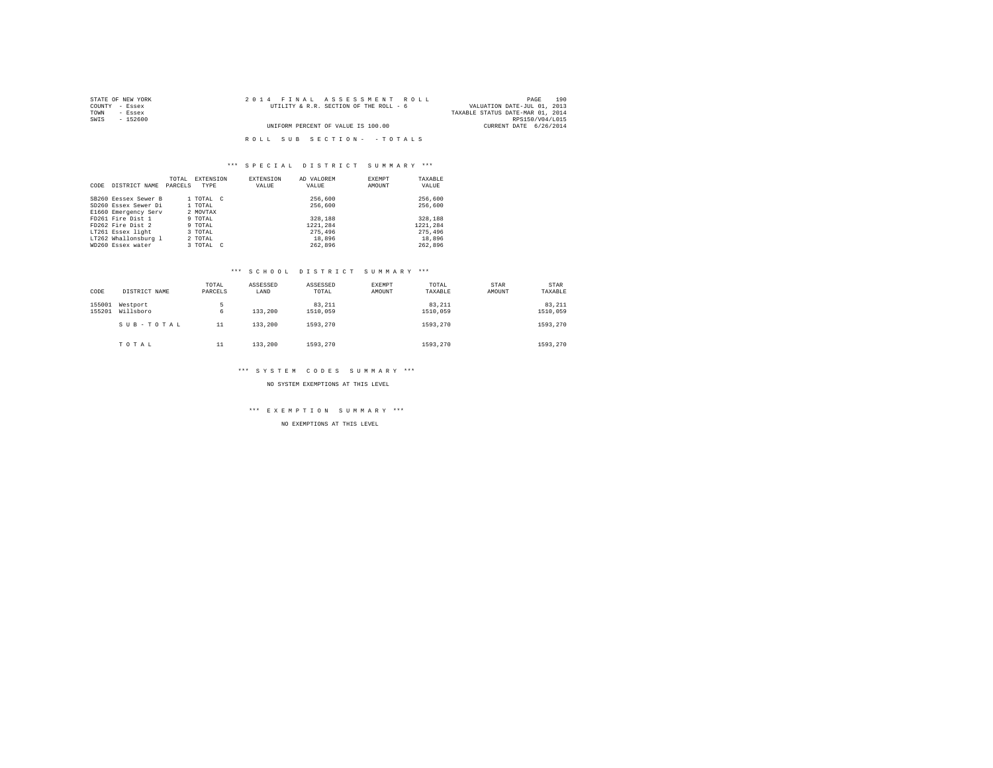| STATE OF NEW YORK | 2014 FINAL ASSESSMENT ROLL             | 190<br>PAGE                      |
|-------------------|----------------------------------------|----------------------------------|
| COUNTY - Essex    | UTILITY & R.R. SECTION OF THE ROLL - 6 | VALUATION DATE-JUL 01, 2013      |
| TOWN<br>- Essex   |                                        | TAXABLE STATUS DATE-MAR 01, 2014 |
| SWIS<br>- 152600  |                                        | RPS150/V04/L015                  |
|                   | UNIFORM PERCENT OF VALUE IS 100.00     | CURRENT DATE 6/26/2014           |
|                   |                                        |                                  |
|                   | ROLL SUB SECTION- - TOTALS             |                                  |

|      |                      | TOTAL   | EXTENSION | <b>EXTENSION</b> | AD VALOREM |          | <b>EXEMPT</b> | TAXABLE  |
|------|----------------------|---------|-----------|------------------|------------|----------|---------------|----------|
| CODE | DISTRICT NAME        | PARCELS | TYPE      | VALUE            | VALUE      |          | AMOUNT        | VALUE    |
|      | SB260 Eessex Sewer B |         | 1 TOTAL C |                  |            | 256,600  |               | 256,600  |
|      | SD260 Essex Sewer Di |         | 1 TOTAL   |                  |            | 256,600  |               | 256,600  |
|      | E1660 Emergency Serv |         | 2 MOVTAX  |                  |            |          |               |          |
|      | FD261 Fire Dist 1    |         | 9 TOTAL   |                  |            | 328,188  |               | 328,188  |
|      | FD262 Fire Dist 2    |         | 9 TOTAL   |                  |            | 1221.284 |               | 1221.284 |
|      | LT261 Essex light    |         | 3 TOTAL   |                  |            | 275,496  |               | 275,496  |
|      | LT262 Whallonsburg 1 |         | 2 TOTAL   |                  |            | 18,896   |               | 18,896   |
|      | WD260 Essex water    |         | 3 TOTAL C |                  |            | 262.896  |               | 262.896  |

### \*\*\* S C H O O L D I S T R I C T S U M M A R Y \*\*\*

| CODE             | DISTRICT NAME         | TOTAL<br>PARCELS | ASSESSED<br>LAND | ASSESSED<br>TOTAL  | EXEMPT<br>AMOUNT | TOTAL<br>TAXABLE   | STAR<br>AMOUNT | STAR<br>TAXABLE    |
|------------------|-----------------------|------------------|------------------|--------------------|------------------|--------------------|----------------|--------------------|
| 155001<br>155201 | Westport<br>Willsboro | ь<br>6           | 133,200          | 83,211<br>1510,059 |                  | 83.211<br>1510,059 |                | 83.211<br>1510,059 |
|                  | SUB-TOTAL             | 11               | 133,200          | 1593,270           |                  | 1593.270           |                | 1593,270           |
|                  | TOTAL                 | 11               | 133,200          | 1593,270           |                  | 1593.270           |                | 1593,270           |

### \*\*\* S Y S T E M C O D E S S U M M A R Y \*\*\*

NO SYSTEM EXEMPTIONS AT THIS LEVEL

\*\*\* E X E M P T I O N S U M M A R Y \*\*\*

NO EXEMPTIONS AT THIS LEVEL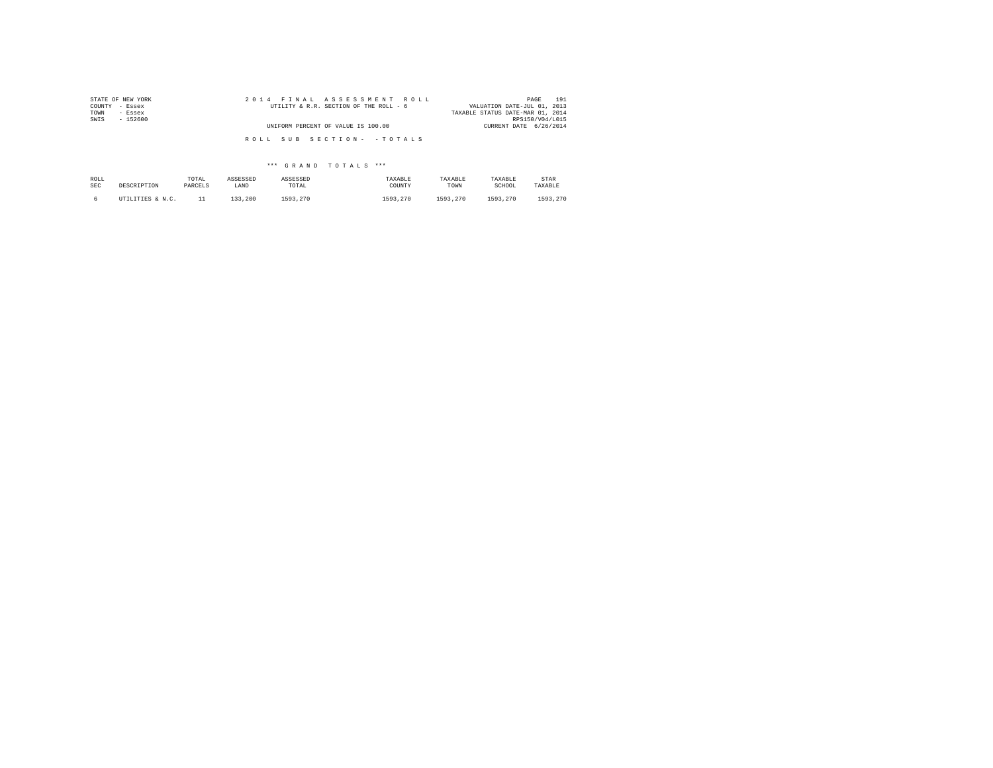| STATE OF NEW YORK | 2014 FINAL ASSESSMENT ROLL             | 191<br>PAGE                      |
|-------------------|----------------------------------------|----------------------------------|
| COUNTY - Essex    | UTILITY & R.R. SECTION OF THE ROLL - 6 | VALUATION DATE-JUL 01, 2013      |
| TOWN<br>- Essex   |                                        | TAXABLE STATUS DATE-MAR 01, 2014 |
| SWIS<br>$-152600$ |                                        | RPS150/V04/L015                  |
|                   | UNIFORM PERCENT OF VALUE IS 100.00     | CURRENT DATE 6/26/2014           |
|                   |                                        |                                  |
|                   | ROLL SUB SECTION- - TOTALS             |                                  |

| ROLL       | DESCRIPTION      | TOTAL   | ASSESSED | ASSESSED | TAXABLE  | TAXABLE  | TAXABLE  | STAR     |
|------------|------------------|---------|----------|----------|----------|----------|----------|----------|
| <b>SEC</b> |                  | PARCELS | LAND     | TOTAL    | COUNTY   | TOWN     | SCHOOL   | TAXABLE  |
|            | UTILITIES & N.C. |         | 133,200  | 1593.270 | 1593,270 | 1593.270 | 1593.270 | 1593.270 |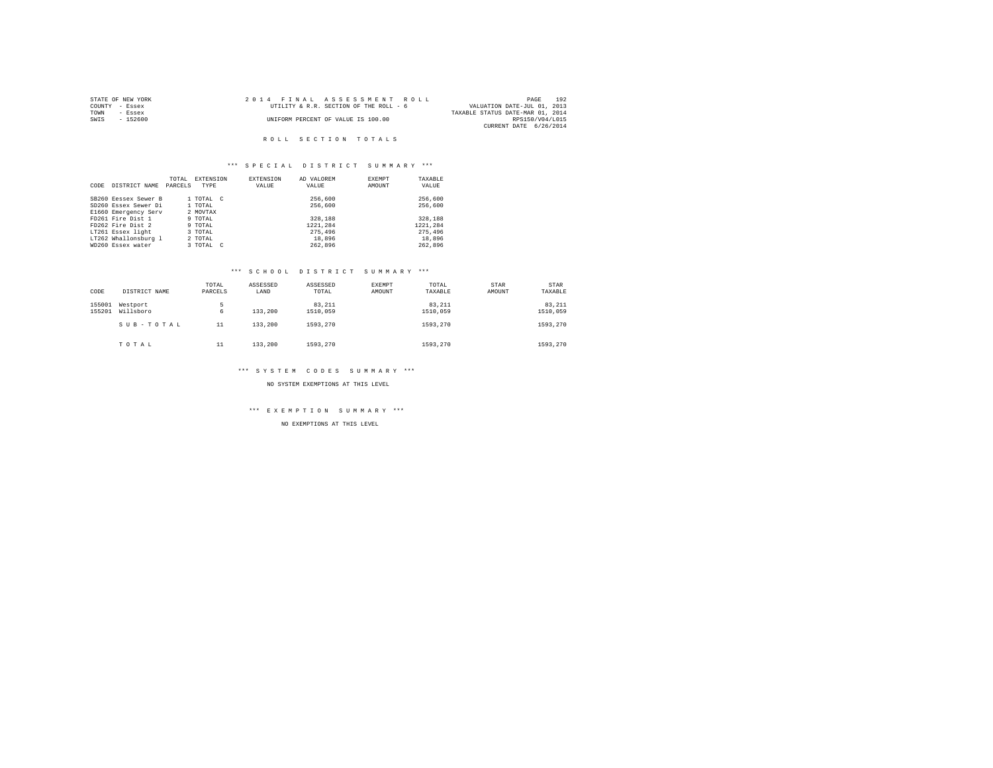|      | STATE OF NEW YORK |  | 2014 FINAL ASSESSMENT ROLL             |                                  | PAGE            | 192 |
|------|-------------------|--|----------------------------------------|----------------------------------|-----------------|-----|
|      | COUNTY - Essex    |  | UTILITY & R.R. SECTION OF THE ROLL - 6 | VALUATION DATE-JUL 01, 2013      |                 |     |
| TOWN | - Essex           |  |                                        | TAXABLE STATUS DATE-MAR 01, 2014 |                 |     |
| SWIS | - 152600          |  | UNIFORM PERCENT OF VALUE IS 100.00     |                                  | RPS150/V04/L015 |     |
|      |                   |  |                                        | CURRENT DATE 6/26/2014           |                 |     |

### R O L L S E C T I O N T O T A L S

# \*\*\* S P E C I A L D I S T R I C T S U M M A R Y \*\*\*

|      |                      | TOTAL   | <b>EXTENSION</b> |        | EXTENSION | AD VALOREM | EXEMPT | TAXABLE  |
|------|----------------------|---------|------------------|--------|-----------|------------|--------|----------|
| CODE | DISTRICT NAME        | PARCELS | TYPE             |        | VALUE     | VALUE      | AMOUNT | VALUE    |
|      |                      |         |                  |        |           |            |        |          |
|      | SB260 Eessex Sewer B |         | 1 TOTAL C        |        |           | 256,600    |        | 256,600  |
|      | SD260 Essex Sewer Di |         | 1 TOTAL          |        |           | 256,600    |        | 256,600  |
|      | E1660 Emergency Serv |         | 2 MOVTAX         |        |           |            |        |          |
|      | FD261 Fire Dist 1    |         | 9 TOTAL          |        |           | 328,188    |        | 328,188  |
|      | FD262 Fire Dist 2    |         | 9 TOTAL          |        |           | 1221.284   |        | 1221.284 |
|      | LT261 Essex light    |         | 3 TOTAL          |        |           | 275,496    |        | 275,496  |
|      | LT262 Whallonsburg 1 |         | 2 TOTAL          |        |           | 18,896     |        | 18,896   |
|      | WD260 Essex water    |         | 3 TOTAL          | $\sim$ |           | 262.896    |        | 262.896  |

### \*\*\* S C H O O L D I S T R I C T S U M M A R Y \*\*\*

| CODE             | DISTRICT NAME         | TOTAL<br>PARCELS | ASSESSED<br>LAND | ASSESSED<br>TOTAL  | <b>EXEMPT</b><br>AMOUNT | TOTAL<br>TAXABLE   | STAR<br>AMOUNT | STAR<br>TAXABLE    |
|------------------|-----------------------|------------------|------------------|--------------------|-------------------------|--------------------|----------------|--------------------|
| 155001<br>155201 | Westport<br>Willsboro | 5<br>6           | 133,200          | 83,211<br>1510,059 |                         | 83.211<br>1510.059 |                | 83.211<br>1510,059 |
|                  | SUB-TOTAL             | 11               | 133,200          | 1593,270           |                         | 1593.270           |                | 1593,270           |
|                  | TOTAL                 | 11               | 133,200          | 1593,270           |                         | 1593.270           |                | 1593,270           |

### \*\*\* S Y S T E M C O D E S S U M M A R Y \*\*\*

NO SYSTEM EXEMPTIONS AT THIS LEVEL

\*\*\* E X E M P T I O N S U M M A R Y \*\*\*

NO EXEMPTIONS AT THIS LEVEL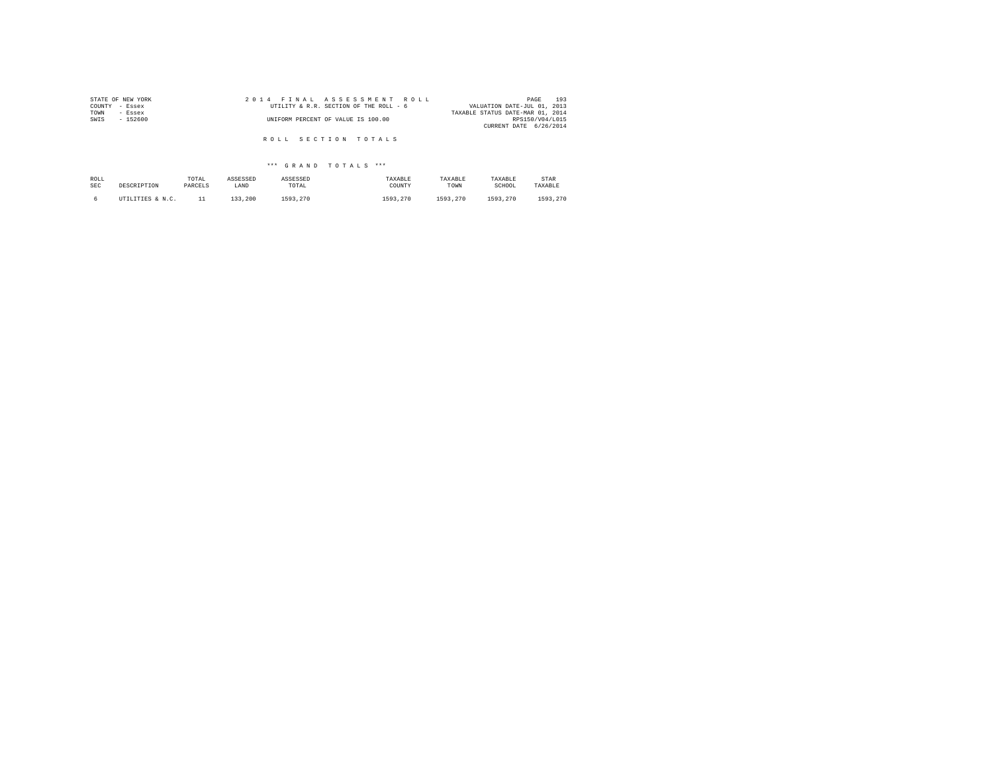| STATE OF NEW YORK | 2014 FINAL ASSESSMENT ROLL             | 193<br>PAGE                      |
|-------------------|----------------------------------------|----------------------------------|
| COUNTY<br>- Essex | UTILITY & R.R. SECTION OF THE ROLL - 6 | VALUATION DATE-JUL 01, 2013      |
| TOWN<br>- Essex   |                                        | TAXABLE STATUS DATE-MAR 01, 2014 |
| SWIS<br>$-152600$ | UNIFORM PERCENT OF VALUE IS 100.00     | RPS150/V04/L015                  |
|                   |                                        | CURRENT DATE 6/26/2014           |
|                   |                                        |                                  |
|                   | ROLL SECTION TOTALS                    |                                  |

| ROLL | DESCRIPTION      | TOTAL   | ASSESSED | ASSESSED | TAXABLE  | TAXABLE  | TAXABLE  | STAR     |
|------|------------------|---------|----------|----------|----------|----------|----------|----------|
| SEC  |                  | PARCELS | LAND     | TOTAL    | COUNTY   | TOWN     | SCHOOL   | TAXABLE  |
|      | UTILITIES & N.C. |         | 133,200  | 1593.270 | 1593,270 | 1593.270 | 1593.270 | 1593,270 |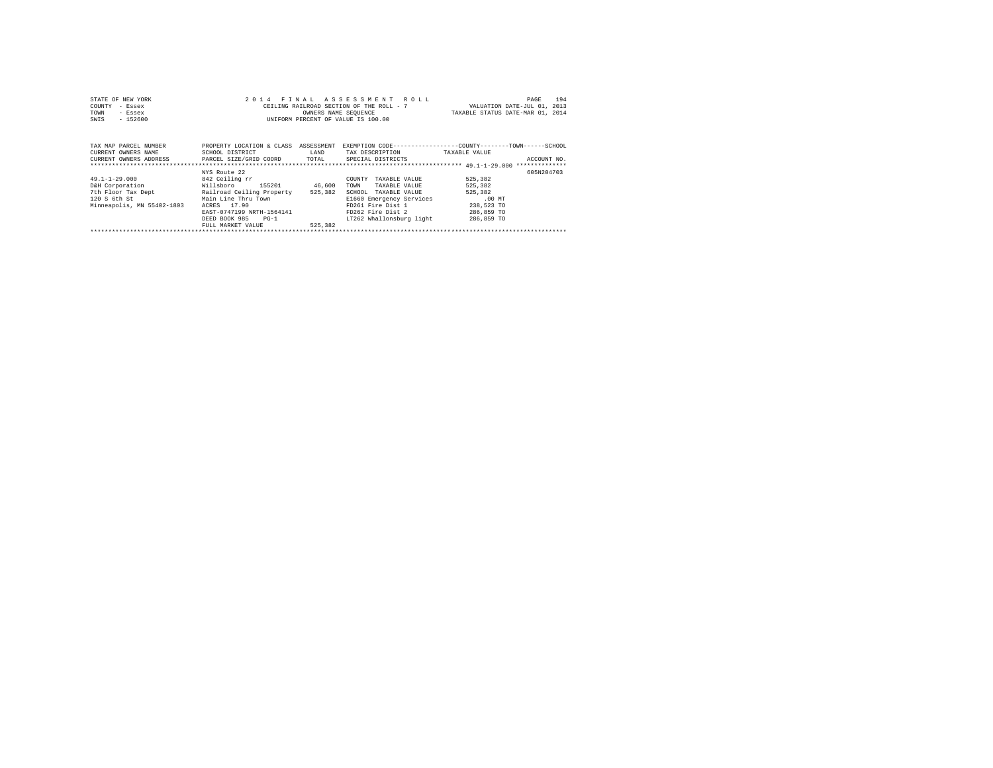| STATE OF NEW YORK<br>COUNTY<br>- Essex<br>TOWN<br>- Essex<br>$-152600$<br>SWIS                                                                         |                                                                                                                                                                       | OWNERS NAME SEQUENCE | 2014 FINAL ASSESSMENT ROLL<br>CEILING RAILROAD SECTION OF THE ROLL - 7<br>UNIFORM PERCENT OF VALUE IS 100.00                                                                  | VALUATION DATE-JUL 01, 2013<br>TAXABLE STATUS DATE-MAR 01, 2014                     | 194<br>PAGE |
|--------------------------------------------------------------------------------------------------------------------------------------------------------|-----------------------------------------------------------------------------------------------------------------------------------------------------------------------|----------------------|-------------------------------------------------------------------------------------------------------------------------------------------------------------------------------|-------------------------------------------------------------------------------------|-------------|
| TAX MAP PARCEL NUMBER<br>CURRENT OWNERS NAME<br>CURRENT OWNERS ADDRESS . PARCEL SIZE/GRID COORD TOTAL SPECIAL DISTRICTS                                | PROPERTY LOCATION & CLASS ASSESSMENT<br>SCHOOL DISTRICT                                                                                                               | LAND                 | EXEMPTION CODE-----------------COUNTY-------TOWN------SCHOOL<br>TAX DESCRIPTION                                                                                               | TAXABLE VALUE                                                                       | ACCOUNT NO. |
| $49.1 - 1 - 29.000$<br>D&H Corporation Willsboro<br>7th Floor Tax Dept Railroad Ceiling Property 525,382<br>120 S 6th St<br>Minneapolis, MN 55402-1803 | NYS Route 22<br>842 Ceiling rr<br>155201 46,600<br>Main Line Thru Town<br>ACRES 17.90<br>EAST-0747199 NRTH-1564141<br>DEED BOOK 985 PG-1<br>FULL MARKET VALUE 525,382 |                      | COUNTY<br>TAXABLE VALUE<br>TOWN<br>TAXABLE VALUE<br>SCHOOL<br>TAXABLE VALUE<br>E1660 Emergency Services<br>FD261 Fire Dist 1<br>FD262 Fire Dist 2<br>LT262 Whallonsburg light | 525,382<br>525,382<br>525,382<br>$.00$ MT<br>238,523 TO<br>286,859 TO<br>286,859 TO | 605N204703  |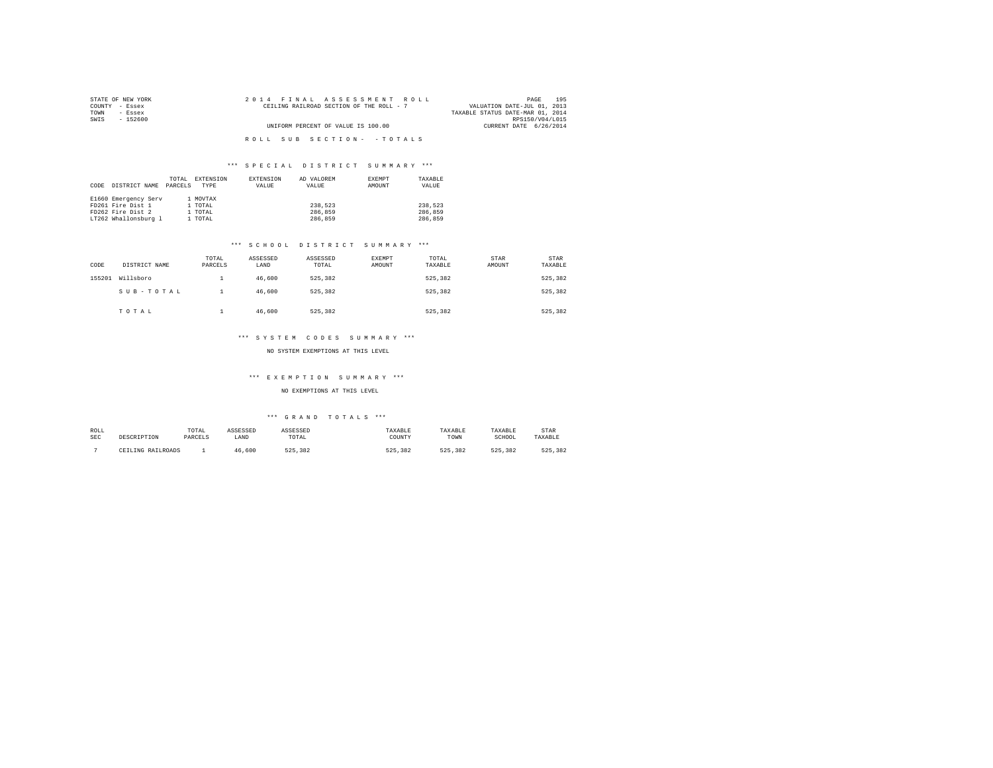| STATE OF NEW YORK | 2014 FINAL ASSESSMENT ROLL               | 195<br>PAGE                      |
|-------------------|------------------------------------------|----------------------------------|
| COUNTY - Essex    | CEILING RAILROAD SECTION OF THE ROLL - 7 | VALUATION DATE-JUL 01, 2013      |
| TOWN<br>- Essex   |                                          | TAXABLE STATUS DATE-MAR 01, 2014 |
| SWIS<br>- 152600  |                                          | RPS150/V04/L015                  |
|                   | UNIFORM PERCENT OF VALUE IS 100.00       | CURRENT DATE 6/26/2014           |
|                   |                                          |                                  |
|                   | ROLL SUB SECTION- - TOTALS               |                                  |

|      |                      | TOTAL   | EXTENSION | EXTENSION | AD VALOREM | EXEMPT | TAXABLE |
|------|----------------------|---------|-----------|-----------|------------|--------|---------|
| CODE | DISTRICT NAME        | PARCELS | TYPE      | VALUE     | VALUE      | AMOUNT | VALUE   |
|      |                      |         |           |           |            |        |         |
|      | E1660 Emergency Serv |         | 1 MOVTAX  |           |            |        |         |
|      | FD261 Fire Dist 1    |         | 1 TOTAL   |           | 238.523    |        | 238.523 |
|      | FD262 Fire Dist 2    |         | 1 TOTAL   |           | 286,859    |        | 286,859 |
|      | LT262 Whallonsburg 1 |         | 1 TOTAL   |           | 286,859    |        | 286,859 |

### \*\*\* S C H O O L D I S T R I C T S U M M A R Y \*\*\*

| CODE   | DISTRICT NAME | TOTAL<br>PARCELS | ASSESSED<br>LAND | ASSESSED<br>TOTAL | <b>EXEMPT</b><br>AMOUNT | TOTAL<br>TAXABLE | STAR<br>AMOUNT | <b>STAR</b><br>TAXABLE |
|--------|---------------|------------------|------------------|-------------------|-------------------------|------------------|----------------|------------------------|
| 155201 | Willsboro     | <b>.</b>         | 46,600           | 525,382           |                         | 525,382          |                | 525,382                |
|        | SUB-TOTAL     |                  | 46.600           | 525,382           |                         | 525.382          |                | 525,382                |
|        | TOTAL         |                  | 46,600           | 525,382           |                         | 525,382          |                | 525,382                |

# \*\*\* S Y S T E M C O D E S S U M M A R Y \*\*\*

#### NO SYSTEM EXEMPTIONS AT THIS LEVEL

# \*\*\* E X E M P T I O N S U M M A R Y \*\*\*

### NO EXEMPTIONS AT THIS LEVEL

| ROLL<br><b>SEC</b> | DESCRIPTION       | TOTAL<br>PARCELS | ASSESSED<br>LAND | ASSESSED<br>TOTAL | TAXABLE<br>COUNTY | TAXABLE<br>TOWN | TAXABLE<br>SCHOOL | <b>STAR</b><br>TAXABLE |
|--------------------|-------------------|------------------|------------------|-------------------|-------------------|-----------------|-------------------|------------------------|
|                    | CEILING RAILROADS |                  | .600             | .382<br>525       | 525<br>382        | .382<br>525     | 382<br>525        | 525<br>382             |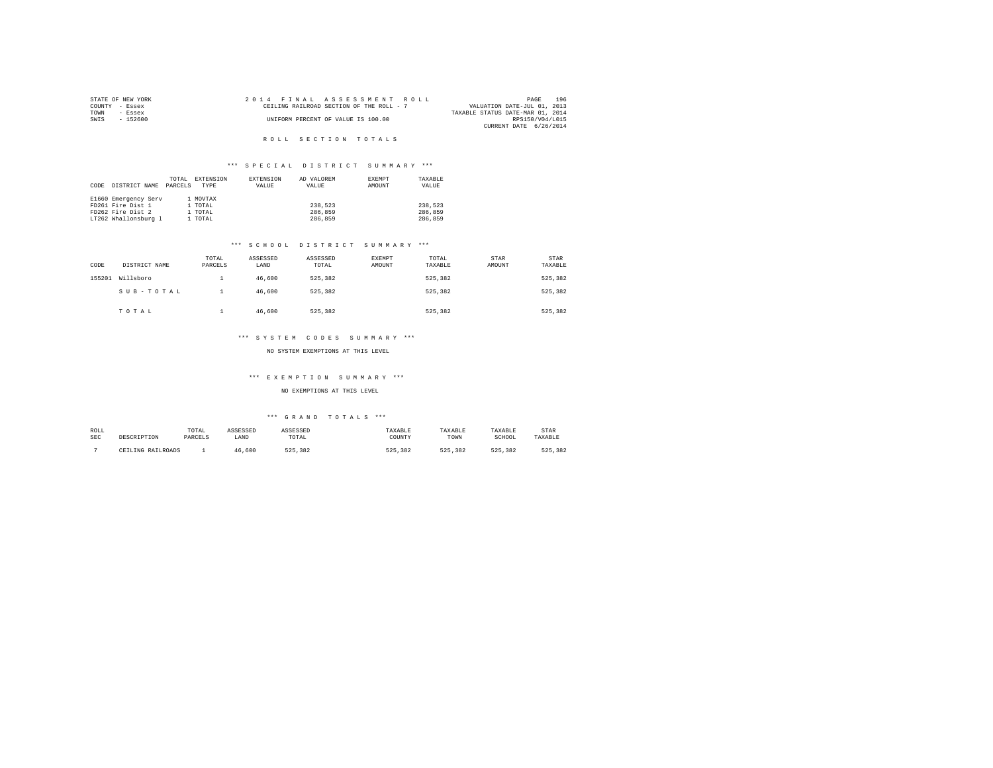|      | STATE OF NEW YORK |  |  | 2014 FINAL ASSESSMENT ROLL               |                                  | PAGE            | 196 |
|------|-------------------|--|--|------------------------------------------|----------------------------------|-----------------|-----|
|      | COUNTY - Essex    |  |  | CEILING RAILROAD SECTION OF THE ROLL - 7 | VALUATION DATE-JUL 01, 2013      |                 |     |
| TOWN | - Essex           |  |  |                                          | TAXABLE STATUS DATE-MAR 01, 2014 |                 |     |
| SWIS | - 152600          |  |  | UNIFORM PERCENT OF VALUE IS 100.00       |                                  | RPS150/V04/L015 |     |
|      |                   |  |  |                                          | CURRENT DATE 6/26/2014           |                 |     |

# R O L L S E C T I O N T O T A L S

# \*\*\* S P E C I A L D I S T R I C T S U M M A R Y \*\*\*

|      |                      | TOTAL   | EXTENSION | EXTENSION | AD VALOREM | EXEMPT | TAXABLE |
|------|----------------------|---------|-----------|-----------|------------|--------|---------|
| CODE | DISTRICT NAME        | PARCELS | TYPE      | VALUE     | VALUE      | AMOUNT | VALUE   |
|      |                      |         |           |           |            |        |         |
|      | E1660 Emergency Serv |         | 1 MOVTAX  |           |            |        |         |
|      | FD261 Fire Dist 1    |         | 1 TOTAL   |           | 238.523    |        | 238.523 |
|      | FD262 Fire Dist 2    |         | 1 TOTAL   |           | 286,859    |        | 286,859 |
|      | LT262 Whallonsburg 1 |         | 1 TOTAL   |           | 286,859    |        | 286,859 |

# \*\*\* S C H O O L D I S T R I C T S U M M A R Y \*\*\*

| CODE   | DISTRICT NAME | TOTAL<br>PARCELS | ASSESSED<br>LAND | ASSESSED<br>TOTAL | EXEMPT<br>AMOUNT | TOTAL<br>TAXABLE | STAR<br>AMOUNT | <b>STAR</b><br>TAXABLE |
|--------|---------------|------------------|------------------|-------------------|------------------|------------------|----------------|------------------------|
| 155201 | Willsboro     | <b>.</b>         | 46,600           | 525,382           |                  | 525.382          |                | 525,382                |
|        | SUB-TOTAL     |                  | 46.600           | 525,382           |                  | 525.382          |                | 525,382                |
|        | TOTAL         |                  | 46,600           | 525,382           |                  | 525,382          |                | 525,382                |

# \*\*\* S Y S T E M C O D E S S U M M A R Y \*\*\*

#### NO SYSTEM EXEMPTIONS AT THIS LEVEL

# \*\*\* E X E M P T I O N S U M M A R Y \*\*\*

### NO EXEMPTIONS AT THIS LEVEL

| ROLL<br><b>SEC</b> | DESCRIPTION       | TOTAL<br>PARCELS | ASSESSED<br>LAND | ASSESSED<br>TOTAL | TAXABLE<br>COUNTY | TAXABLE<br>TOWN | TAXABLE<br>SCHOOL | STAR<br>TAXABLE |
|--------------------|-------------------|------------------|------------------|-------------------|-------------------|-----------------|-------------------|-----------------|
|                    | CEILING RAILROADS |                  | .600             | .382<br>525       | 525,382           | 525.382         | 525.382           | 525,382         |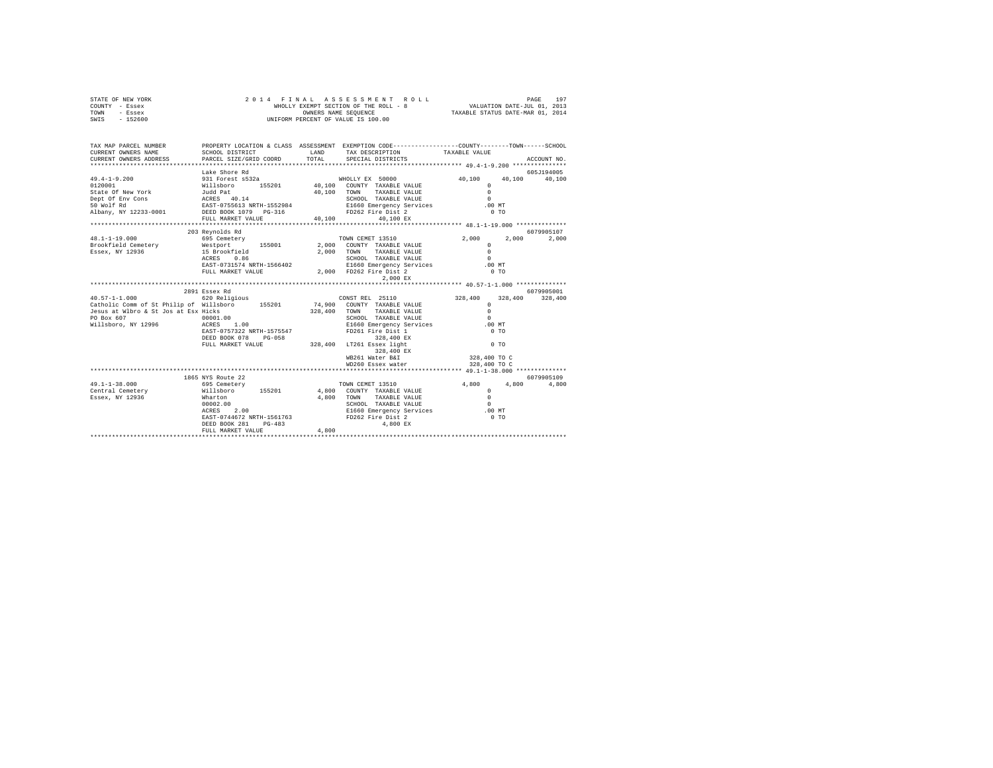| STATE OF NEW YORK<br>COUNTY - Essex<br>TOWN - Essex<br>SWIS - 152600                                                                                                                                                                                                                                                                                                                                         | 2014 FINAL ASSESSMENT R<br>WHOLLY EXEMPT SECTION OF THE ROLL - 8<br>OWNERS NAME SEQUENCE<br>UNIFORM PERCENT OF VALUE IS 100.00 |               |                                      |                                                              |               |  |
|--------------------------------------------------------------------------------------------------------------------------------------------------------------------------------------------------------------------------------------------------------------------------------------------------------------------------------------------------------------------------------------------------------------|--------------------------------------------------------------------------------------------------------------------------------|---------------|--------------------------------------|--------------------------------------------------------------|---------------|--|
| TAX MAP PARCEL NUMBER PROPERTY LOCATION & CLASS ASSESSMENT EXEMPTION CODE--------------COUNTY-------TOWN------SCHOOL<br>CURRENT OWNERS NAME<br>CURRENT OWNERS ADDRESS                                                                                                                                                                                                                                        | SCHOOL DISTRICT<br>PARCEL SIZE/GRID COORD                                                                                      | LAND<br>TOTAL | TAX DESCRIPTION<br>SPECIAL DISTRICTS | TAXABLE VALUE                                                | ACCOUNT NO.   |  |
|                                                                                                                                                                                                                                                                                                                                                                                                              |                                                                                                                                |               |                                      |                                                              |               |  |
|                                                                                                                                                                                                                                                                                                                                                                                                              | Lake Shore Rd                                                                                                                  |               |                                      |                                                              | 605J194005    |  |
|                                                                                                                                                                                                                                                                                                                                                                                                              |                                                                                                                                |               |                                      |                                                              | 40.100 40.100 |  |
|                                                                                                                                                                                                                                                                                                                                                                                                              |                                                                                                                                |               |                                      |                                                              |               |  |
|                                                                                                                                                                                                                                                                                                                                                                                                              | 203 Revnolds Rd                                                                                                                |               |                                      |                                                              | 6079905107    |  |
| $\begin{array}{lcccc} & & & 203 & \text{Reynolds R} & \text{1001} & \text{R} & \text{111} & \text{121} & \text{132} & \text{143} & \text{151} & \text{151} & \text{151} & \text{151} & \text{151} & \text{151} & \text{151} & \text{151} & \text{151} & \text{151} & \text{151} & \text{151} & \text{151} & \text{151} & \text{151} & \text{151} & \text{151} & \text{151} & \text{1$<br>$40.57 - 1 - 1.000$ | 2891 Essex Rd<br>620 Religious                                                                                                 |               | CONSTREL 25110<br>WB261 Water B&I    | 2,000 2,000 2,000<br>328,400 328,400 328,400<br>328,400 TO C | 6079905001    |  |
|                                                                                                                                                                                                                                                                                                                                                                                                              |                                                                                                                                |               | WD260 Essex water                    | 328,400 TO C                                                 |               |  |
|                                                                                                                                                                                                                                                                                                                                                                                                              |                                                                                                                                |               |                                      |                                                              |               |  |
|                                                                                                                                                                                                                                                                                                                                                                                                              | FULL MARKET VALUE                                                                                                              | 4,800         |                                      |                                                              |               |  |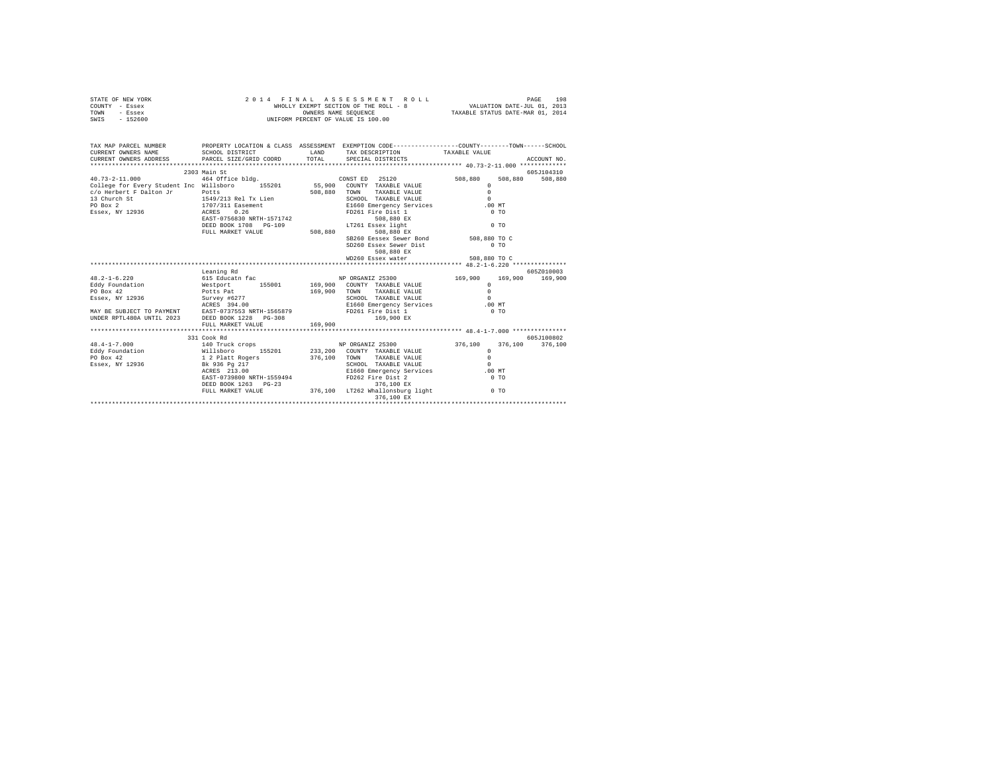| STATE OF NEW YORK<br>COUNTY - Essex                                                                                                                                                                                                    |                                                                                                                             |         | FINAL ASSESSMENT ROLL PAGE 198<br>WHOLLY EXEMPT SECTION OF THE ROLL - 8 VALUATION DATE-JUL 01, 2013<br>OWNERS NAME SEQUENCE TAXABLE STATUS DATE-MAR 01, 2014<br>2014 FINAL ASSESSMENT ROLL |                         |                 |
|----------------------------------------------------------------------------------------------------------------------------------------------------------------------------------------------------------------------------------------|-----------------------------------------------------------------------------------------------------------------------------|---------|--------------------------------------------------------------------------------------------------------------------------------------------------------------------------------------------|-------------------------|-----------------|
| TOWN - Essex                                                                                                                                                                                                                           |                                                                                                                             |         |                                                                                                                                                                                            |                         |                 |
| SWIS - 152600                                                                                                                                                                                                                          |                                                                                                                             |         | UNIFORM PERCENT OF VALUE IS 100.00                                                                                                                                                         |                         |                 |
|                                                                                                                                                                                                                                        |                                                                                                                             |         |                                                                                                                                                                                            |                         |                 |
|                                                                                                                                                                                                                                        |                                                                                                                             |         |                                                                                                                                                                                            |                         |                 |
| TAX MAP PARCEL NUMBER                                                                                                                                                                                                                  | PROPERTY LOCATION & CLASS ASSESSMENT EXEMPTION CODE----------------COUNTY-------TOWN------SCHOOL                            |         |                                                                                                                                                                                            |                         |                 |
| CURRENT OWNERS NAME                                                                                                                                                                                                                    | SCHOOL DISTRICT                                                                                                             | LAND    | TAX DESCRIPTION TAXABLE VALUE                                                                                                                                                              |                         |                 |
| CURRENT OWNERS ADDRESS                                                                                                                                                                                                                 | PARCEL SIZE/GRID COORD                                                                                                      |         | TOTAL SPECIAL DISTRICTS                                                                                                                                                                    |                         | ACCOUNT NO.     |
|                                                                                                                                                                                                                                        |                                                                                                                             |         |                                                                                                                                                                                            |                         |                 |
|                                                                                                                                                                                                                                        | 2303 Main St                                                                                                                |         |                                                                                                                                                                                            |                         | 605J104310      |
| $40.73 - 2 - 11.000$                                                                                                                                                                                                                   | 464 Office bldg.                                                                                                            |         | CONST ED 25120                                                                                                                                                                             | 508,880<br>508,880      | 508,880         |
|                                                                                                                                                                                                                                        |                                                                                                                             |         |                                                                                                                                                                                            | $\circ$                 |                 |
|                                                                                                                                                                                                                                        |                                                                                                                             |         |                                                                                                                                                                                            | $\Omega$                |                 |
|                                                                                                                                                                                                                                        |                                                                                                                             |         | SCHOOL TAXABLE VALUE                                                                                                                                                                       | $\Omega$                |                 |
|                                                                                                                                                                                                                                        |                                                                                                                             |         | E1660 Emergency Services .00 MT                                                                                                                                                            |                         |                 |
|                                                                                                                                                                                                                                        |                                                                                                                             |         |                                                                                                                                                                                            | 0 <sub>T</sub>          |                 |
|                                                                                                                                                                                                                                        |                                                                                                                             |         |                                                                                                                                                                                            |                         |                 |
|                                                                                                                                                                                                                                        |                                                                                                                             |         |                                                                                                                                                                                            | $0$ TO                  |                 |
|                                                                                                                                                                                                                                        |                                                                                                                             |         |                                                                                                                                                                                            |                         |                 |
|                                                                                                                                                                                                                                        |                                                                                                                             |         | SB260 Eessex Sewer Bond<br>SD260 Eessex Sever Bond<br>DD260 Eessex Sever Birth                                                                                                             |                         |                 |
|                                                                                                                                                                                                                                        |                                                                                                                             |         |                                                                                                                                                                                            | $0$ TO                  |                 |
|                                                                                                                                                                                                                                        |                                                                                                                             |         | 508,880 EX                                                                                                                                                                                 |                         |                 |
|                                                                                                                                                                                                                                        |                                                                                                                             |         | WD260 Essex water                                                                                                                                                                          | 508,880 TO C            |                 |
|                                                                                                                                                                                                                                        |                                                                                                                             |         |                                                                                                                                                                                            |                         |                 |
|                                                                                                                                                                                                                                        | Leaning Rd                                                                                                                  |         |                                                                                                                                                                                            |                         | 605Z010003      |
| $48.2 - 1 - 6.220$                                                                                                                                                                                                                     | 615 Educatn fac                                                                                                             |         | NP ORGANIZ 25300                                                                                                                                                                           | 169,900 169,900 169,900 |                 |
|                                                                                                                                                                                                                                        |                                                                                                                             |         |                                                                                                                                                                                            | $\Omega$<br>$\Omega$    |                 |
|                                                                                                                                                                                                                                        |                                                                                                                             |         | SCHOOL TAXABLE VALUE                                                                                                                                                                       | $\sim$                  |                 |
| Eddy Foundation (Methorit 155001 169,900 COUNTY TAXABLE VALUE<br>FO Box 42 2013<br>ESEX, NY 12936 501 501 501 169,900 COUNTY TAXABLE VALUE<br>FSSEX, NY 12936 50200 501<br>MAY BE SUBJECT TO PAYMENT ACRES 394.00 16950 E1660 Energenc |                                                                                                                             |         |                                                                                                                                                                                            |                         |                 |
|                                                                                                                                                                                                                                        |                                                                                                                             |         | E1660 Emergency Services .00 MT<br>FD261 Fire Dist 1 0 TO                                                                                                                                  |                         |                 |
| UNDER RPTL480A UNTIL 2023 DEED BOOK 1228 PG-308                                                                                                                                                                                        |                                                                                                                             |         | 169,900 EX                                                                                                                                                                                 |                         |                 |
|                                                                                                                                                                                                                                        | FULL MARKET VALUE                                                                                                           | 169,900 |                                                                                                                                                                                            |                         |                 |
|                                                                                                                                                                                                                                        |                                                                                                                             |         |                                                                                                                                                                                            |                         |                 |
|                                                                                                                                                                                                                                        | 331 Cook Rd                                                                                                                 |         |                                                                                                                                                                                            |                         | 605J100802      |
| $48.4 - 1 - 7.000$                                                                                                                                                                                                                     | 140 Truck crops                                                                                                             |         | NP ORGANIZ 25300                                                                                                                                                                           | 376.100                 | 376,100 376,100 |
|                                                                                                                                                                                                                                        |                                                                                                                             |         |                                                                                                                                                                                            | $\circ$                 |                 |
|                                                                                                                                                                                                                                        |                                                                                                                             |         |                                                                                                                                                                                            | $\Omega$                |                 |
|                                                                                                                                                                                                                                        |                                                                                                                             |         | SCHOOL TAXABLE VALUE                                                                                                                                                                       | $\sim$                  |                 |
|                                                                                                                                                                                                                                        |                                                                                                                             |         | E1660 Emergency Services .00 MT                                                                                                                                                            |                         |                 |
|                                                                                                                                                                                                                                        |                                                                                                                             |         |                                                                                                                                                                                            | $0$ TO                  |                 |
|                                                                                                                                                                                                                                        |                                                                                                                             |         |                                                                                                                                                                                            |                         |                 |
|                                                                                                                                                                                                                                        | EAB1-1038000 mAth 12002000<br>DEED BOOK 1263 PG-23<br>FULL MARKET VALUE 376,100 LT262 Whallonsburg light 0 TO<br>276 100 EX |         |                                                                                                                                                                                            |                         |                 |
|                                                                                                                                                                                                                                        |                                                                                                                             |         | 376,100 EX                                                                                                                                                                                 |                         |                 |
|                                                                                                                                                                                                                                        |                                                                                                                             |         |                                                                                                                                                                                            |                         |                 |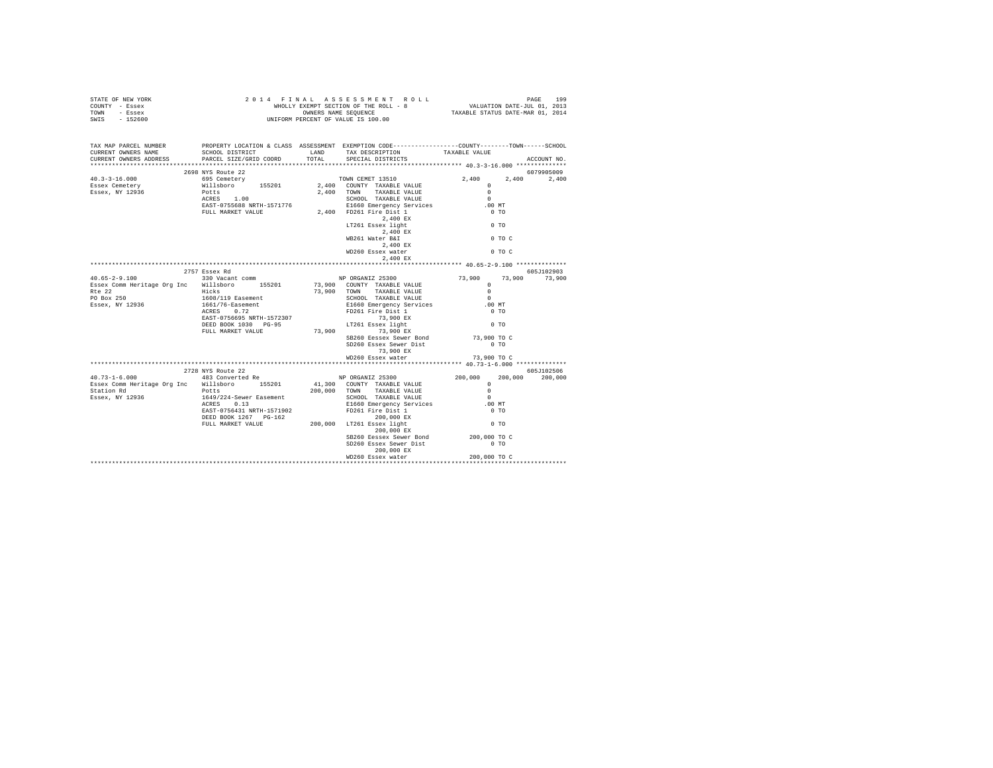| STATE OF NEW YORK<br>COUNTY - Essex<br>TOWN - Essex<br>SWIS - 152600                                                                                                                                                                                                                                                                                                                  |                                           |                                                                                                                                                                                                                                                             |                                       |               |
|---------------------------------------------------------------------------------------------------------------------------------------------------------------------------------------------------------------------------------------------------------------------------------------------------------------------------------------------------------------------------------------|-------------------------------------------|-------------------------------------------------------------------------------------------------------------------------------------------------------------------------------------------------------------------------------------------------------------|---------------------------------------|---------------|
| TAX MAP PARCEL NUMBER<br>CURRENT OWNERS NAME<br>CURRENT OWNERS ADDRESS                                                                                                                                                                                                                                                                                                                | PARCEL SIZE/GRID COORD                    | PROPERTY LOCATION & CLASS ASSESSMENT EXEMPTION CODE----------------COUNTY-------TOWN------SCHOOL                                                                                                                                                            |                                       | ACCOUNT NO.   |
|                                                                                                                                                                                                                                                                                                                                                                                       |                                           |                                                                                                                                                                                                                                                             |                                       | 6079905009    |
| $\begin{array}{cccc} 40.3-3-16.000 & 2698 \, \mathrm{YTS} \text{ RUC} & 2,400 \\ 2,400 & 695 \, \text{Cemetery} & 2,400 \\ \text{Essex, Cemetery} & 695 \, \text{Cemetery} & 155201 & 2,400 \, \text{COWITY} & \text{TXXABLE VALUE} & 0 \\ \text{Essex, NY} & 12936 & \text{PCLES} & 1.00 & 2,400 \, \text{CUMY} & \text{TXABLE VALUE} & 0 \\ \text{Exsex, NY} & 12936 & \text{ACRES$ |                                           |                                                                                                                                                                                                                                                             | 2.400                                 | 2,400         |
|                                                                                                                                                                                                                                                                                                                                                                                       |                                           |                                                                                                                                                                                                                                                             |                                       |               |
|                                                                                                                                                                                                                                                                                                                                                                                       |                                           |                                                                                                                                                                                                                                                             |                                       |               |
|                                                                                                                                                                                                                                                                                                                                                                                       |                                           |                                                                                                                                                                                                                                                             | $\sim$ 0                              |               |
|                                                                                                                                                                                                                                                                                                                                                                                       |                                           | Potts<br>RCRES 1.00<br>REST-0755688 NRTH-1571776<br>FIG60 Emergency Services<br>FULL MARKET VALUE<br>2,400<br>FD261 Fire Dist 1 2,400 EX<br>2,400 EX<br>LT261 Essex light<br>$L$ 2,400 EX<br>$2.400$ EX<br>$2.400$ EX<br>$2.400$ EX<br>$2.400$ EX<br>$2.40$ | $.00$ MT<br>0 <sub>T</sub>            |               |
|                                                                                                                                                                                                                                                                                                                                                                                       |                                           |                                                                                                                                                                                                                                                             |                                       |               |
|                                                                                                                                                                                                                                                                                                                                                                                       |                                           |                                                                                                                                                                                                                                                             | 0 <sub>T</sub>                        |               |
|                                                                                                                                                                                                                                                                                                                                                                                       |                                           |                                                                                                                                                                                                                                                             |                                       |               |
|                                                                                                                                                                                                                                                                                                                                                                                       |                                           |                                                                                                                                                                                                                                                             | 0 TO C                                |               |
|                                                                                                                                                                                                                                                                                                                                                                                       |                                           |                                                                                                                                                                                                                                                             |                                       |               |
|                                                                                                                                                                                                                                                                                                                                                                                       |                                           |                                                                                                                                                                                                                                                             |                                       |               |
|                                                                                                                                                                                                                                                                                                                                                                                       |                                           |                                                                                                                                                                                                                                                             |                                       |               |
|                                                                                                                                                                                                                                                                                                                                                                                       | 2757 Essex Rd                             |                                                                                                                                                                                                                                                             |                                       | 605J102903    |
|                                                                                                                                                                                                                                                                                                                                                                                       | 330 Vacant comm NP ORGANIZ 25300          |                                                                                                                                                                                                                                                             |                                       | 73,900 73,900 |
|                                                                                                                                                                                                                                                                                                                                                                                       |                                           |                                                                                                                                                                                                                                                             |                                       |               |
|                                                                                                                                                                                                                                                                                                                                                                                       |                                           |                                                                                                                                                                                                                                                             | $\sim$                                |               |
|                                                                                                                                                                                                                                                                                                                                                                                       |                                           |                                                                                                                                                                                                                                                             | $.00$ MT                              |               |
| Pase Communications (PRES 22<br>The 22<br>PO Box 250<br>Essex, NY 12936 1661/16-Easement<br>ACRES 0.72                                                                                                                                                                                                                                                                                |                                           |                                                                                                                                                                                                                                                             | $0$ TO                                |               |
|                                                                                                                                                                                                                                                                                                                                                                                       | EAST-0756695 NRTH-1572307                 |                                                                                                                                                                                                                                                             |                                       |               |
|                                                                                                                                                                                                                                                                                                                                                                                       | DEED BOOK 1030 PG-95                      | SCHOOL TAXABLE VALUE<br>ELGO DRATALE PRINCE<br>ELGO DRATE POST<br>TOZO I TIP DIST 1<br>TAXABLE PRINCE<br>TAXABLE PRINCE<br>TAXABLE POST 1<br>TAXABLE PRINCE PRINCE                                                                                          | $0$ TO                                |               |
|                                                                                                                                                                                                                                                                                                                                                                                       | FULL MARKET VALUE 73,900 73,900 73,900 EX |                                                                                                                                                                                                                                                             |                                       |               |
|                                                                                                                                                                                                                                                                                                                                                                                       |                                           | SB260 Eessex Sewer Bond<br>SD260 Essex Sewer Dist                                                                                                                                                                                                           | 73,900 то с<br>$0$ TO                 |               |
|                                                                                                                                                                                                                                                                                                                                                                                       |                                           |                                                                                                                                                                                                                                                             |                                       |               |
|                                                                                                                                                                                                                                                                                                                                                                                       |                                           | 73,900 EX<br>WD260 Essex water                                                                                                                                                                                                                              |                                       |               |
|                                                                                                                                                                                                                                                                                                                                                                                       |                                           |                                                                                                                                                                                                                                                             |                                       |               |
|                                                                                                                                                                                                                                                                                                                                                                                       |                                           |                                                                                                                                                                                                                                                             |                                       |               |
|                                                                                                                                                                                                                                                                                                                                                                                       |                                           |                                                                                                                                                                                                                                                             |                                       |               |
|                                                                                                                                                                                                                                                                                                                                                                                       |                                           |                                                                                                                                                                                                                                                             |                                       |               |
|                                                                                                                                                                                                                                                                                                                                                                                       |                                           |                                                                                                                                                                                                                                                             |                                       |               |
|                                                                                                                                                                                                                                                                                                                                                                                       |                                           |                                                                                                                                                                                                                                                             |                                       |               |
|                                                                                                                                                                                                                                                                                                                                                                                       |                                           |                                                                                                                                                                                                                                                             |                                       |               |
|                                                                                                                                                                                                                                                                                                                                                                                       |                                           |                                                                                                                                                                                                                                                             |                                       |               |
| $\begin{tabular}{lcccc} \textbf{40.73--1-6.000} & \textbf{270.800} & \textbf{605110250b} \\ & & \textbf{280.800} & \textbf{200.000} & \textbf{200.000} & \textbf{200.000} & \textbf{605110250b} \\ & & \textbf{483 Converted Re} & \textbf{NP ORGANIZ 25300} & \\ \textbf{Easex} & \textbf{Com Hertiage} & \textbf{Org} & \textbf{MIDB} & \textbf{200.000} & \textbf{200.000$         |                                           | 200,000 EX<br>PELD BOOK 1267 PC-162<br>FULL MARKET VALUE<br>200,000 LT261 ESsex 14sht<br>200,000 EX<br>200,000 EX                                                                                                                                           |                                       |               |
|                                                                                                                                                                                                                                                                                                                                                                                       |                                           | SB260 Eessex Sewer Bond<br>SD260 Essex Sewer Dist                                                                                                                                                                                                           | 200,000 TO C<br>$0$ TO                |               |
|                                                                                                                                                                                                                                                                                                                                                                                       |                                           | 200,000 EX<br>WD260 Essex water                                                                                                                                                                                                                             | 200,000 TO C                          |               |
|                                                                                                                                                                                                                                                                                                                                                                                       |                                           | ****************************                                                                                                                                                                                                                                | ************************************* |               |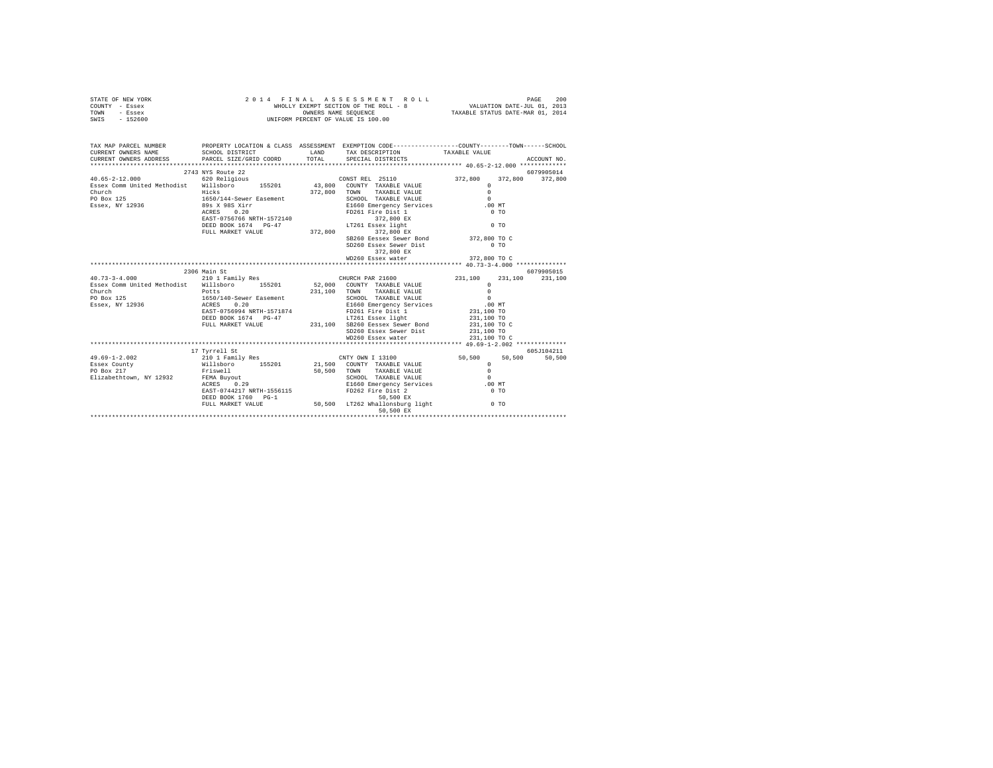| TAX MAP PARCEL NUMBER PROPERTY LOCATION & CLASS ASSESSMENT EXEMPTION CODE---------------COUNTY-------TOWN------SCHOOL<br>SCHOOL DISTRICT                     LAND        TAX DESCRIPTION                 TAXABLE VALUE<br>PARCEL SIZE/GRID COORD<br>TOTAL<br>SPECIAL DISTRICTS<br>ACCOUNT NO.<br>6079905014<br>1972,800<br>1972,800<br>272,800<br>272,800<br>272,800<br>272,800<br>272,800<br>272,800<br>272,800<br>272,800<br>272,800<br>272,800<br>272,800<br>272,800<br>272,800<br>272,800<br>272,800<br>272,800<br>272,800<br>272,800<br>272,800<br>272,800<br>272,800<br>272,800<br>272,<br>372,800 372,800<br>272,800 TOWN TAXABLE VALUE<br>372,800 TOWN TAXABLE VALUE<br>E1660 Emergency Services 00<br>FP261 Fire Dist 1 0 TO<br>$\begin{tabular}{lllllllllll} \texttt{Esex Comm United neurons} & \texttt{Hicks} \\ \texttt{Church} & \texttt{Chuch} \\ \texttt{PO Box 125} & 1650/144-Sewer Eastern \\ \texttt{Esex, NY 12936} & 89 \texttt{s X 985 Xirr} \\ \texttt{Esex, NY 12936} & 0.20 \\ & - & 0.027 \\ \end{tabular}$<br>${\tt EXST-0756766\atop \tt DEED-0756766\atop \tt NFLID-0756766\atop \tt FULL\atop \tt NARKST\atop \tt VALUB} \times 1272,800 \xrightarrow{\tt T2761\atop \tt T286ex} 122,800 \xrightarrow{\tt ST2860\atop \tt ST2,800\atop \tt ST2,800\atop \tt ST2,800\atop \tt ST2,800\atop \tt ST2,800\atop \tt ST2,800\atop \tt ST2,800\atop \tt ST2,800\atop \tt ST2,800\atop$<br>$\sim$ 0 TO<br>372,800 TO C<br>SB260 Eessex Sewer Bond<br>SD260 Essex Sewer Dist<br>0.70<br>372,800 EX<br>WD260 Essex water 372,800 TO C<br>2306 Main St<br>6079905015<br>CHURCH PAR 21600<br>231,100<br>$40.73 - 3 - 4.000$<br>210 1 Family Res<br>231,100<br>231,100<br>Essex Comm United Methodist Willsboro 155201 52,000 COUNTY TAXABLE VALUE<br>$\Omega$<br>Church<br>PO Box 125<br>Essex, NY 12936<br>Essex, NY 12936<br>ACRES 0.20<br>231,100 TOWN TAXABLE VALUE<br>$\overline{0}$<br>SCHOOL TAXABLE VALUE<br>E1660 Emergency South 1<br>$\sim$<br>E1660 Emergency Services 60 00 MT<br>FD261 Fire Dist 1 231,100 TO<br>EAST-0756994 NRTH-1571874<br>LT261 Essex light<br>231,100 SB260 Eessex Sewer Bond<br>DEED BOOK 1674 PG-47<br>231,100 TO<br>231,100 TO C<br>FULL MARKET VALUE<br>SD260 Essex Sewer Dist<br>231,100 TO<br>231,100 TO C<br>WD260 Essex water<br>605J104211<br>17 Tyrrell St<br>$49.69 - 1 - 2.002$<br>50,500<br>Essex County<br>PO Box 217<br>FO BOX 217<br>Elizabethtown, NY 12932 FEMA Buyout<br>ACRES 0.29<br>SCHOOL TAXABLE VALUE 0<br>E1660 Emergency Services 6.00 MT<br>FD262 Fire Dist 2<br>EAST-0744217 NRTH-1556115<br>$0$ TO<br>50,500 EX<br>DEED BOOK 1760 PG-1 | STATE OF NEW YORK<br>COUNTY - Essex<br>TOWN - Essex<br>SWIS - 152600 | 2014 FINAL ASSESSMENT R<br>WHOLLY EXEMPT SECTION OF THE ROLL - 8<br>ONNERS NAME SEQUENCE<br>UNIFORM PERCENT OF VALUE IS 100.00<br>FINAL ASSESSMENT ROLL PAGE 200<br>WHOLLY EXEMPT SECTION OF THE ROLL - 8 VALUATION DATE-JUL 01, 2013<br>OWNERS NAME SEQUENCE TAXABLE STATUS DATE-MAR 01, 2014<br>2014 FINAL ASSESSMENT ROLL |  |  |  |  |
|----------------------------------------------------------------------------------------------------------------------------------------------------------------------------------------------------------------------------------------------------------------------------------------------------------------------------------------------------------------------------------------------------------------------------------------------------------------------------------------------------------------------------------------------------------------------------------------------------------------------------------------------------------------------------------------------------------------------------------------------------------------------------------------------------------------------------------------------------------------------------------------------------------------------------------------------------------------------------------------------------------------------------------------------------------------------------------------------------------------------------------------------------------------------------------------------------------------------------------------------------------------------------------------------------------------------------------------------------------------------------------------------------------------------------------------------------------------------------------------------------------------------------------------------------------------------------------------------------------------------------------------------------------------------------------------------------------------------------------------------------------------------------------------------------------------------------------------------------------------------------------------------------------------------------------------------------------------------------------------------------------------------------------------------------------------------------------------------------------------------------------------------------------------------------------------------------------------------------------------------------------------------------------------------------------------------------------------------------------------------------------------------------------------------------------------------------------------------------------------------------------------------------------------------------------------------------------------------------------------------------|----------------------------------------------------------------------|------------------------------------------------------------------------------------------------------------------------------------------------------------------------------------------------------------------------------------------------------------------------------------------------------------------------------|--|--|--|--|
|                                                                                                                                                                                                                                                                                                                                                                                                                                                                                                                                                                                                                                                                                                                                                                                                                                                                                                                                                                                                                                                                                                                                                                                                                                                                                                                                                                                                                                                                                                                                                                                                                                                                                                                                                                                                                                                                                                                                                                                                                                                                                                                                                                                                                                                                                                                                                                                                                                                                                                                                                                                                                            | CURRENT OWNERS NAME<br>CURRENT OWNERS ADDRESS                        |                                                                                                                                                                                                                                                                                                                              |  |  |  |  |
|                                                                                                                                                                                                                                                                                                                                                                                                                                                                                                                                                                                                                                                                                                                                                                                                                                                                                                                                                                                                                                                                                                                                                                                                                                                                                                                                                                                                                                                                                                                                                                                                                                                                                                                                                                                                                                                                                                                                                                                                                                                                                                                                                                                                                                                                                                                                                                                                                                                                                                                                                                                                                            |                                                                      |                                                                                                                                                                                                                                                                                                                              |  |  |  |  |
|                                                                                                                                                                                                                                                                                                                                                                                                                                                                                                                                                                                                                                                                                                                                                                                                                                                                                                                                                                                                                                                                                                                                                                                                                                                                                                                                                                                                                                                                                                                                                                                                                                                                                                                                                                                                                                                                                                                                                                                                                                                                                                                                                                                                                                                                                                                                                                                                                                                                                                                                                                                                                            |                                                                      |                                                                                                                                                                                                                                                                                                                              |  |  |  |  |
|                                                                                                                                                                                                                                                                                                                                                                                                                                                                                                                                                                                                                                                                                                                                                                                                                                                                                                                                                                                                                                                                                                                                                                                                                                                                                                                                                                                                                                                                                                                                                                                                                                                                                                                                                                                                                                                                                                                                                                                                                                                                                                                                                                                                                                                                                                                                                                                                                                                                                                                                                                                                                            |                                                                      |                                                                                                                                                                                                                                                                                                                              |  |  |  |  |
|                                                                                                                                                                                                                                                                                                                                                                                                                                                                                                                                                                                                                                                                                                                                                                                                                                                                                                                                                                                                                                                                                                                                                                                                                                                                                                                                                                                                                                                                                                                                                                                                                                                                                                                                                                                                                                                                                                                                                                                                                                                                                                                                                                                                                                                                                                                                                                                                                                                                                                                                                                                                                            |                                                                      |                                                                                                                                                                                                                                                                                                                              |  |  |  |  |
|                                                                                                                                                                                                                                                                                                                                                                                                                                                                                                                                                                                                                                                                                                                                                                                                                                                                                                                                                                                                                                                                                                                                                                                                                                                                                                                                                                                                                                                                                                                                                                                                                                                                                                                                                                                                                                                                                                                                                                                                                                                                                                                                                                                                                                                                                                                                                                                                                                                                                                                                                                                                                            |                                                                      |                                                                                                                                                                                                                                                                                                                              |  |  |  |  |
|                                                                                                                                                                                                                                                                                                                                                                                                                                                                                                                                                                                                                                                                                                                                                                                                                                                                                                                                                                                                                                                                                                                                                                                                                                                                                                                                                                                                                                                                                                                                                                                                                                                                                                                                                                                                                                                                                                                                                                                                                                                                                                                                                                                                                                                                                                                                                                                                                                                                                                                                                                                                                            |                                                                      |                                                                                                                                                                                                                                                                                                                              |  |  |  |  |
|                                                                                                                                                                                                                                                                                                                                                                                                                                                                                                                                                                                                                                                                                                                                                                                                                                                                                                                                                                                                                                                                                                                                                                                                                                                                                                                                                                                                                                                                                                                                                                                                                                                                                                                                                                                                                                                                                                                                                                                                                                                                                                                                                                                                                                                                                                                                                                                                                                                                                                                                                                                                                            |                                                                      |                                                                                                                                                                                                                                                                                                                              |  |  |  |  |
|                                                                                                                                                                                                                                                                                                                                                                                                                                                                                                                                                                                                                                                                                                                                                                                                                                                                                                                                                                                                                                                                                                                                                                                                                                                                                                                                                                                                                                                                                                                                                                                                                                                                                                                                                                                                                                                                                                                                                                                                                                                                                                                                                                                                                                                                                                                                                                                                                                                                                                                                                                                                                            |                                                                      |                                                                                                                                                                                                                                                                                                                              |  |  |  |  |
|                                                                                                                                                                                                                                                                                                                                                                                                                                                                                                                                                                                                                                                                                                                                                                                                                                                                                                                                                                                                                                                                                                                                                                                                                                                                                                                                                                                                                                                                                                                                                                                                                                                                                                                                                                                                                                                                                                                                                                                                                                                                                                                                                                                                                                                                                                                                                                                                                                                                                                                                                                                                                            |                                                                      |                                                                                                                                                                                                                                                                                                                              |  |  |  |  |
|                                                                                                                                                                                                                                                                                                                                                                                                                                                                                                                                                                                                                                                                                                                                                                                                                                                                                                                                                                                                                                                                                                                                                                                                                                                                                                                                                                                                                                                                                                                                                                                                                                                                                                                                                                                                                                                                                                                                                                                                                                                                                                                                                                                                                                                                                                                                                                                                                                                                                                                                                                                                                            |                                                                      |                                                                                                                                                                                                                                                                                                                              |  |  |  |  |
|                                                                                                                                                                                                                                                                                                                                                                                                                                                                                                                                                                                                                                                                                                                                                                                                                                                                                                                                                                                                                                                                                                                                                                                                                                                                                                                                                                                                                                                                                                                                                                                                                                                                                                                                                                                                                                                                                                                                                                                                                                                                                                                                                                                                                                                                                                                                                                                                                                                                                                                                                                                                                            |                                                                      |                                                                                                                                                                                                                                                                                                                              |  |  |  |  |
|                                                                                                                                                                                                                                                                                                                                                                                                                                                                                                                                                                                                                                                                                                                                                                                                                                                                                                                                                                                                                                                                                                                                                                                                                                                                                                                                                                                                                                                                                                                                                                                                                                                                                                                                                                                                                                                                                                                                                                                                                                                                                                                                                                                                                                                                                                                                                                                                                                                                                                                                                                                                                            |                                                                      |                                                                                                                                                                                                                                                                                                                              |  |  |  |  |
|                                                                                                                                                                                                                                                                                                                                                                                                                                                                                                                                                                                                                                                                                                                                                                                                                                                                                                                                                                                                                                                                                                                                                                                                                                                                                                                                                                                                                                                                                                                                                                                                                                                                                                                                                                                                                                                                                                                                                                                                                                                                                                                                                                                                                                                                                                                                                                                                                                                                                                                                                                                                                            |                                                                      |                                                                                                                                                                                                                                                                                                                              |  |  |  |  |
|                                                                                                                                                                                                                                                                                                                                                                                                                                                                                                                                                                                                                                                                                                                                                                                                                                                                                                                                                                                                                                                                                                                                                                                                                                                                                                                                                                                                                                                                                                                                                                                                                                                                                                                                                                                                                                                                                                                                                                                                                                                                                                                                                                                                                                                                                                                                                                                                                                                                                                                                                                                                                            |                                                                      |                                                                                                                                                                                                                                                                                                                              |  |  |  |  |
|                                                                                                                                                                                                                                                                                                                                                                                                                                                                                                                                                                                                                                                                                                                                                                                                                                                                                                                                                                                                                                                                                                                                                                                                                                                                                                                                                                                                                                                                                                                                                                                                                                                                                                                                                                                                                                                                                                                                                                                                                                                                                                                                                                                                                                                                                                                                                                                                                                                                                                                                                                                                                            |                                                                      |                                                                                                                                                                                                                                                                                                                              |  |  |  |  |
|                                                                                                                                                                                                                                                                                                                                                                                                                                                                                                                                                                                                                                                                                                                                                                                                                                                                                                                                                                                                                                                                                                                                                                                                                                                                                                                                                                                                                                                                                                                                                                                                                                                                                                                                                                                                                                                                                                                                                                                                                                                                                                                                                                                                                                                                                                                                                                                                                                                                                                                                                                                                                            |                                                                      |                                                                                                                                                                                                                                                                                                                              |  |  |  |  |
|                                                                                                                                                                                                                                                                                                                                                                                                                                                                                                                                                                                                                                                                                                                                                                                                                                                                                                                                                                                                                                                                                                                                                                                                                                                                                                                                                                                                                                                                                                                                                                                                                                                                                                                                                                                                                                                                                                                                                                                                                                                                                                                                                                                                                                                                                                                                                                                                                                                                                                                                                                                                                            |                                                                      |                                                                                                                                                                                                                                                                                                                              |  |  |  |  |
|                                                                                                                                                                                                                                                                                                                                                                                                                                                                                                                                                                                                                                                                                                                                                                                                                                                                                                                                                                                                                                                                                                                                                                                                                                                                                                                                                                                                                                                                                                                                                                                                                                                                                                                                                                                                                                                                                                                                                                                                                                                                                                                                                                                                                                                                                                                                                                                                                                                                                                                                                                                                                            |                                                                      |                                                                                                                                                                                                                                                                                                                              |  |  |  |  |
|                                                                                                                                                                                                                                                                                                                                                                                                                                                                                                                                                                                                                                                                                                                                                                                                                                                                                                                                                                                                                                                                                                                                                                                                                                                                                                                                                                                                                                                                                                                                                                                                                                                                                                                                                                                                                                                                                                                                                                                                                                                                                                                                                                                                                                                                                                                                                                                                                                                                                                                                                                                                                            |                                                                      |                                                                                                                                                                                                                                                                                                                              |  |  |  |  |
|                                                                                                                                                                                                                                                                                                                                                                                                                                                                                                                                                                                                                                                                                                                                                                                                                                                                                                                                                                                                                                                                                                                                                                                                                                                                                                                                                                                                                                                                                                                                                                                                                                                                                                                                                                                                                                                                                                                                                                                                                                                                                                                                                                                                                                                                                                                                                                                                                                                                                                                                                                                                                            |                                                                      |                                                                                                                                                                                                                                                                                                                              |  |  |  |  |
|                                                                                                                                                                                                                                                                                                                                                                                                                                                                                                                                                                                                                                                                                                                                                                                                                                                                                                                                                                                                                                                                                                                                                                                                                                                                                                                                                                                                                                                                                                                                                                                                                                                                                                                                                                                                                                                                                                                                                                                                                                                                                                                                                                                                                                                                                                                                                                                                                                                                                                                                                                                                                            |                                                                      |                                                                                                                                                                                                                                                                                                                              |  |  |  |  |
|                                                                                                                                                                                                                                                                                                                                                                                                                                                                                                                                                                                                                                                                                                                                                                                                                                                                                                                                                                                                                                                                                                                                                                                                                                                                                                                                                                                                                                                                                                                                                                                                                                                                                                                                                                                                                                                                                                                                                                                                                                                                                                                                                                                                                                                                                                                                                                                                                                                                                                                                                                                                                            |                                                                      |                                                                                                                                                                                                                                                                                                                              |  |  |  |  |
|                                                                                                                                                                                                                                                                                                                                                                                                                                                                                                                                                                                                                                                                                                                                                                                                                                                                                                                                                                                                                                                                                                                                                                                                                                                                                                                                                                                                                                                                                                                                                                                                                                                                                                                                                                                                                                                                                                                                                                                                                                                                                                                                                                                                                                                                                                                                                                                                                                                                                                                                                                                                                            |                                                                      |                                                                                                                                                                                                                                                                                                                              |  |  |  |  |
|                                                                                                                                                                                                                                                                                                                                                                                                                                                                                                                                                                                                                                                                                                                                                                                                                                                                                                                                                                                                                                                                                                                                                                                                                                                                                                                                                                                                                                                                                                                                                                                                                                                                                                                                                                                                                                                                                                                                                                                                                                                                                                                                                                                                                                                                                                                                                                                                                                                                                                                                                                                                                            |                                                                      |                                                                                                                                                                                                                                                                                                                              |  |  |  |  |
|                                                                                                                                                                                                                                                                                                                                                                                                                                                                                                                                                                                                                                                                                                                                                                                                                                                                                                                                                                                                                                                                                                                                                                                                                                                                                                                                                                                                                                                                                                                                                                                                                                                                                                                                                                                                                                                                                                                                                                                                                                                                                                                                                                                                                                                                                                                                                                                                                                                                                                                                                                                                                            |                                                                      |                                                                                                                                                                                                                                                                                                                              |  |  |  |  |
|                                                                                                                                                                                                                                                                                                                                                                                                                                                                                                                                                                                                                                                                                                                                                                                                                                                                                                                                                                                                                                                                                                                                                                                                                                                                                                                                                                                                                                                                                                                                                                                                                                                                                                                                                                                                                                                                                                                                                                                                                                                                                                                                                                                                                                                                                                                                                                                                                                                                                                                                                                                                                            |                                                                      |                                                                                                                                                                                                                                                                                                                              |  |  |  |  |
|                                                                                                                                                                                                                                                                                                                                                                                                                                                                                                                                                                                                                                                                                                                                                                                                                                                                                                                                                                                                                                                                                                                                                                                                                                                                                                                                                                                                                                                                                                                                                                                                                                                                                                                                                                                                                                                                                                                                                                                                                                                                                                                                                                                                                                                                                                                                                                                                                                                                                                                                                                                                                            |                                                                      |                                                                                                                                                                                                                                                                                                                              |  |  |  |  |
|                                                                                                                                                                                                                                                                                                                                                                                                                                                                                                                                                                                                                                                                                                                                                                                                                                                                                                                                                                                                                                                                                                                                                                                                                                                                                                                                                                                                                                                                                                                                                                                                                                                                                                                                                                                                                                                                                                                                                                                                                                                                                                                                                                                                                                                                                                                                                                                                                                                                                                                                                                                                                            |                                                                      |                                                                                                                                                                                                                                                                                                                              |  |  |  |  |
|                                                                                                                                                                                                                                                                                                                                                                                                                                                                                                                                                                                                                                                                                                                                                                                                                                                                                                                                                                                                                                                                                                                                                                                                                                                                                                                                                                                                                                                                                                                                                                                                                                                                                                                                                                                                                                                                                                                                                                                                                                                                                                                                                                                                                                                                                                                                                                                                                                                                                                                                                                                                                            |                                                                      |                                                                                                                                                                                                                                                                                                                              |  |  |  |  |
|                                                                                                                                                                                                                                                                                                                                                                                                                                                                                                                                                                                                                                                                                                                                                                                                                                                                                                                                                                                                                                                                                                                                                                                                                                                                                                                                                                                                                                                                                                                                                                                                                                                                                                                                                                                                                                                                                                                                                                                                                                                                                                                                                                                                                                                                                                                                                                                                                                                                                                                                                                                                                            |                                                                      |                                                                                                                                                                                                                                                                                                                              |  |  |  |  |
|                                                                                                                                                                                                                                                                                                                                                                                                                                                                                                                                                                                                                                                                                                                                                                                                                                                                                                                                                                                                                                                                                                                                                                                                                                                                                                                                                                                                                                                                                                                                                                                                                                                                                                                                                                                                                                                                                                                                                                                                                                                                                                                                                                                                                                                                                                                                                                                                                                                                                                                                                                                                                            |                                                                      |                                                                                                                                                                                                                                                                                                                              |  |  |  |  |
|                                                                                                                                                                                                                                                                                                                                                                                                                                                                                                                                                                                                                                                                                                                                                                                                                                                                                                                                                                                                                                                                                                                                                                                                                                                                                                                                                                                                                                                                                                                                                                                                                                                                                                                                                                                                                                                                                                                                                                                                                                                                                                                                                                                                                                                                                                                                                                                                                                                                                                                                                                                                                            |                                                                      |                                                                                                                                                                                                                                                                                                                              |  |  |  |  |
| FULL MARKET VALUE 50,500 LT262 Whallonsburg light 0 TO<br>50,500 EX                                                                                                                                                                                                                                                                                                                                                                                                                                                                                                                                                                                                                                                                                                                                                                                                                                                                                                                                                                                                                                                                                                                                                                                                                                                                                                                                                                                                                                                                                                                                                                                                                                                                                                                                                                                                                                                                                                                                                                                                                                                                                                                                                                                                                                                                                                                                                                                                                                                                                                                                                        |                                                                      |                                                                                                                                                                                                                                                                                                                              |  |  |  |  |
|                                                                                                                                                                                                                                                                                                                                                                                                                                                                                                                                                                                                                                                                                                                                                                                                                                                                                                                                                                                                                                                                                                                                                                                                                                                                                                                                                                                                                                                                                                                                                                                                                                                                                                                                                                                                                                                                                                                                                                                                                                                                                                                                                                                                                                                                                                                                                                                                                                                                                                                                                                                                                            |                                                                      |                                                                                                                                                                                                                                                                                                                              |  |  |  |  |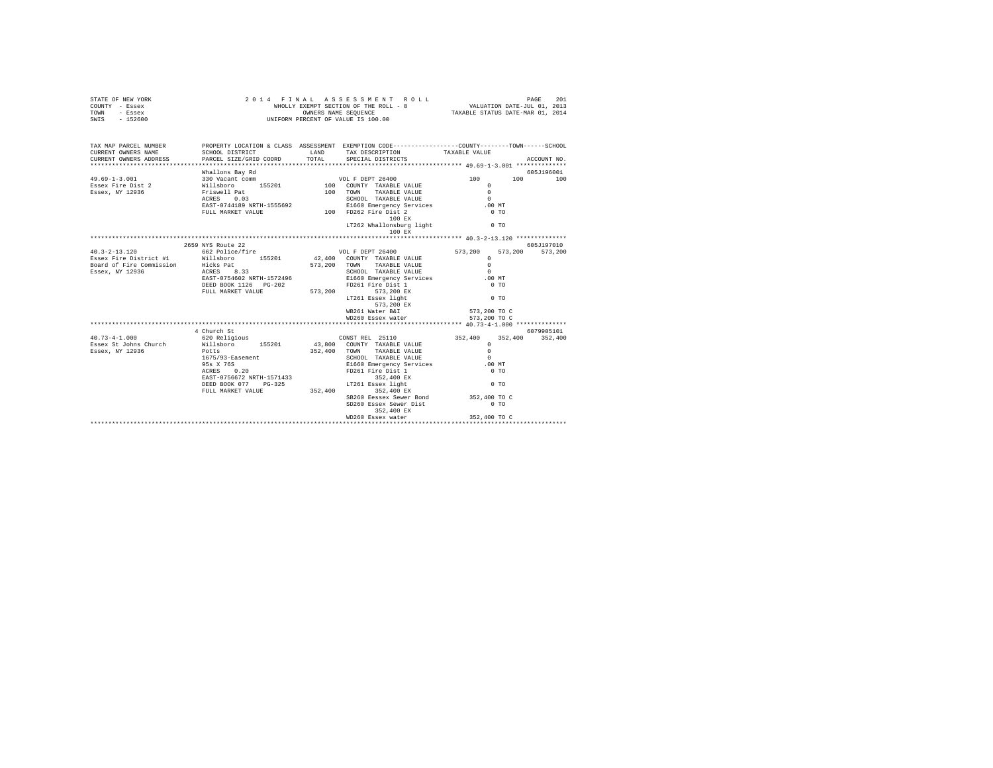| STATE OF NEW YORK<br>COUNTY - Essex<br>TOWN - Essex<br>SWIS - 152600                                                                                                  | 2014 FINAL ASSESSMENT I<br>WHOLLY EXEMPT SECTION OF THE ROLL - {<br>WHOLLY EXEMPT SERIES SUMER SEQUENCE |       | FINAL ASSESSMENT ROLL PAGE 201<br>WHOLLY EXEMPT SECTION OF THE ROLL - 8<br>TAXABLE STATUS DATE-NDR 01, 2013<br>TAXABLE STATUS DATE-NAR 01, 2014<br>2014 FINAL ASSESSMENT ROLL |                  |                 |
|-----------------------------------------------------------------------------------------------------------------------------------------------------------------------|---------------------------------------------------------------------------------------------------------|-------|-------------------------------------------------------------------------------------------------------------------------------------------------------------------------------|------------------|-----------------|
| TAX MAP PARCEL NUMBER PROPERTY LOCATION & CLASS ASSESSMENT EXEMPTION CODE---------------COUNTY-------TOWN-----SCHOOL<br>CURRENT OWNERS NAME<br>CURRENT OWNERS ADDRESS | SCHOOL DISTRICT TAND TAX DESCRIPTION<br>PARCEL SIZE/GRID COORD                                          | TOTAL | SPECIAL DISTRICTS                                                                                                                                                             | TAXABLE VALUE    | ACCOUNT NO.     |
|                                                                                                                                                                       |                                                                                                         |       |                                                                                                                                                                               |                  |                 |
|                                                                                                                                                                       |                                                                                                         |       |                                                                                                                                                                               |                  |                 |
|                                                                                                                                                                       |                                                                                                         |       |                                                                                                                                                                               |                  |                 |
|                                                                                                                                                                       |                                                                                                         |       |                                                                                                                                                                               |                  |                 |
|                                                                                                                                                                       |                                                                                                         |       | 100 EX<br>LT262 Whallonsburg light 0 TO                                                                                                                                       |                  |                 |
|                                                                                                                                                                       |                                                                                                         |       |                                                                                                                                                                               |                  |                 |
|                                                                                                                                                                       | 2659 NYS Route 22                                                                                       |       |                                                                                                                                                                               |                  | 605J197010      |
|                                                                                                                                                                       |                                                                                                         |       |                                                                                                                                                                               |                  | 573,200 573,200 |
|                                                                                                                                                                       |                                                                                                         |       |                                                                                                                                                                               |                  |                 |
|                                                                                                                                                                       |                                                                                                         |       |                                                                                                                                                                               |                  |                 |
|                                                                                                                                                                       |                                                                                                         |       |                                                                                                                                                                               |                  |                 |
|                                                                                                                                                                       |                                                                                                         |       |                                                                                                                                                                               | .00 MT<br>$0$ TO |                 |
|                                                                                                                                                                       |                                                                                                         |       |                                                                                                                                                                               |                  |                 |
|                                                                                                                                                                       |                                                                                                         |       | 573,200 EX                                                                                                                                                                    | $0$ TO           |                 |
|                                                                                                                                                                       |                                                                                                         |       | WB261 Water B&I                                                                                                                                                               | 573,200 TO C     |                 |
|                                                                                                                                                                       |                                                                                                         |       | WD260 Essex water                                                                                                                                                             | 573,200 TO C     |                 |
|                                                                                                                                                                       |                                                                                                         |       |                                                                                                                                                                               |                  |                 |
| $40.73 - 4 - 1.000$                                                                                                                                                   | 4 Church St                                                                                             |       |                                                                                                                                                                               |                  | 6079905101      |
|                                                                                                                                                                       |                                                                                                         |       |                                                                                                                                                                               |                  |                 |
| Essex St Johns Church Millsboro 155201<br>Essex, NY 12936 Potts                                                                                                       |                                                                                                         |       |                                                                                                                                                                               |                  |                 |
|                                                                                                                                                                       | 1675/93-Easement                                                                                        |       |                                                                                                                                                                               | $\sim$           |                 |
|                                                                                                                                                                       |                                                                                                         |       |                                                                                                                                                                               | .00 MT           |                 |
|                                                                                                                                                                       | 95s X 76S<br>ACRES 0.20                                                                                 |       |                                                                                                                                                                               | $0$ TO           |                 |
|                                                                                                                                                                       | EAST-0756672 NRTH-1571433<br>DEED BOOK 077                                                              |       |                                                                                                                                                                               |                  |                 |
|                                                                                                                                                                       | DEED BOOK 077 PG-325                                                                                    |       | SCHOOL TAXABLE VALUE<br>SCHOOL TAXABLE VALUE<br>EI660 Emergency Services<br>FD261 Fire Dist 1<br>352,400 EX<br>LT261 Essex light<br>352,400 EX<br>352,400 EX                  | $0$ TO           |                 |
|                                                                                                                                                                       | FULL MARKET VALUE                                                                                       |       |                                                                                                                                                                               |                  |                 |
|                                                                                                                                                                       |                                                                                                         |       | SB260 Eessex Sewer Bond 352,400 TO C                                                                                                                                          |                  |                 |
|                                                                                                                                                                       |                                                                                                         |       | SD260 Essex Sewer Dist<br>352,400 EX                                                                                                                                          | $0$ TO           |                 |
|                                                                                                                                                                       |                                                                                                         |       |                                                                                                                                                                               |                  |                 |
|                                                                                                                                                                       |                                                                                                         |       |                                                                                                                                                                               |                  |                 |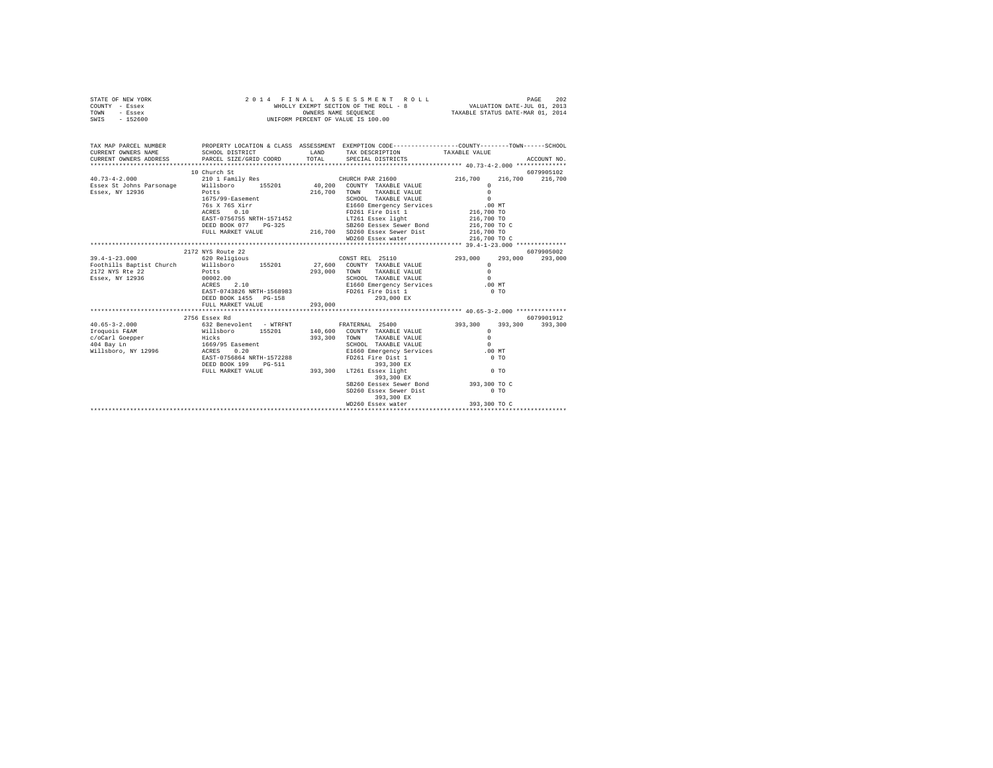| STATE OF NEW YORK | 2014 FINAL ASSESSMENT ROLL            | 202<br>PAGE                      |
|-------------------|---------------------------------------|----------------------------------|
| COUNTY - Essex    | WHOLLY EXEMPT SECTION OF THE ROLL - 8 | VALUATION DATE-JUL 01, 2013      |
| TOWN<br>- Essex   | OWNERS NAME SEOUENCE                  | TAXABLE STATUS DATE-MAR 01, 2014 |
| $-152600$<br>SWIS | UNIFORM PERCENT OF VALUE IS 100.00    |                                  |

| TAX MAP PARCEL NUMBER                             |                                                                       | PROPERTY LOCATION & CLASS ASSESSMENT EXEMPTION CODE----------------COUNTY-------TOWN------SCHOOL<br>$\begin{array}{lllllll} \texttt{CURERENT} & \texttt{OMNE} & \texttt{SCHODL DISTET} & \texttt{LAND} & \texttt{TAX BSCREPTION} & \texttt{TAXABLE VALUE} & \texttt{ACCOUNT NO} \\ \texttt{CURRENT} & \texttt{OMNESS} & \texttt{PARCIL} & \texttt{SPECHPTON} & \texttt{SPECHPTING} & \texttt{ACCOURT NO} \\ & \texttt{MKET} & \texttt{MCET} & \texttt{MCET} & \texttt{SPECHPTON} & \texttt{SPECHPTING} & \texttt{SPECHPTING} & \texttt{A} & \texttt{A} & \texttt{A} &$ |                 |            |
|---------------------------------------------------|-----------------------------------------------------------------------|------------------------------------------------------------------------------------------------------------------------------------------------------------------------------------------------------------------------------------------------------------------------------------------------------------------------------------------------------------------------------------------------------------------------------------------------------------------------------------------------------------------------------------------------------------------------|-----------------|------------|
|                                                   |                                                                       |                                                                                                                                                                                                                                                                                                                                                                                                                                                                                                                                                                        |                 |            |
|                                                   | 10 Church St                                                          |                                                                                                                                                                                                                                                                                                                                                                                                                                                                                                                                                                        |                 | 6079905102 |
| $40.73 - 4 - 2.000$                               | 210 1 Family Res 6. 21600 CHURCH PAR 21600 216,700                    |                                                                                                                                                                                                                                                                                                                                                                                                                                                                                                                                                                        | 216,700 216,700 |            |
|                                                   | Essex St Johns Parsonage Willsboro 155201 40,200 COUNTY TAXABLE VALUE |                                                                                                                                                                                                                                                                                                                                                                                                                                                                                                                                                                        | $^{\circ}$      |            |
| Essex, NY 12936                                   | Potts                                                                 |                                                                                                                                                                                                                                                                                                                                                                                                                                                                                                                                                                        |                 |            |
|                                                   | 1675/99-Easement                                                      |                                                                                                                                                                                                                                                                                                                                                                                                                                                                                                                                                                        |                 |            |
|                                                   |                                                                       | $\begin{tabular}{cc} 216,700 & \texttt{TONN} & \texttt{TAXABLE VALUE} & 0 \\ \texttt{SCH60} & \texttt{TAXABLE VALUE} & 0 \\ \texttt{E160 Energy} & \texttt{P100} & \texttt{T10} \\ \texttt{F160 Energy} & \texttt{S11} & 0 \\ \texttt{F261 File Dis1} & \texttt{N1} & 216,700 T0 \\ \end{tabular}$<br>76s x 76s xirr x 1640 = 1650 Emergency Services<br>216,700 TO 216,700 TO 2216,700 FORE 216,700 TO 216,700 TO 216,700 TO 216,700 TO 216,700 TO 216,700 TO 216,700 TO                                                                                              |                 |            |
|                                                   |                                                                       |                                                                                                                                                                                                                                                                                                                                                                                                                                                                                                                                                                        |                 |            |
|                                                   |                                                                       |                                                                                                                                                                                                                                                                                                                                                                                                                                                                                                                                                                        |                 |            |
|                                                   |                                                                       |                                                                                                                                                                                                                                                                                                                                                                                                                                                                                                                                                                        |                 |            |
|                                                   |                                                                       |                                                                                                                                                                                                                                                                                                                                                                                                                                                                                                                                                                        |                 |            |
|                                                   |                                                                       |                                                                                                                                                                                                                                                                                                                                                                                                                                                                                                                                                                        |                 |            |
|                                                   |                                                                       |                                                                                                                                                                                                                                                                                                                                                                                                                                                                                                                                                                        |                 |            |
|                                                   | 2172 NYS Route 22                                                     |                                                                                                                                                                                                                                                                                                                                                                                                                                                                                                                                                                        |                 | 6079905002 |
|                                                   | 39.4-1-23.000 620 Religious                                           | CONST REL 25110 293,000                                                                                                                                                                                                                                                                                                                                                                                                                                                                                                                                                | 293,000 293,000 |            |
|                                                   | Foothills Baptist Church Willsboro 155201                             | 27,600 COUNTY TAXABLE VALUE<br>293,000 TOWN TAXABLE VALUE<br>SCHOOL TAXABLE VALUE                                                                                                                                                                                                                                                                                                                                                                                                                                                                                      | $\circ$         |            |
| 2172 NYS Rte 22 Potts<br>Essex, NY 12936 00002.00 |                                                                       |                                                                                                                                                                                                                                                                                                                                                                                                                                                                                                                                                                        | $\Omega$        |            |
|                                                   | $0.0002100$<br>ACRES 2.10<br>TROP 0.040011                            |                                                                                                                                                                                                                                                                                                                                                                                                                                                                                                                                                                        | $\sim$ 0        |            |
|                                                   |                                                                       | ACRES 2.10<br>EAST-0743826 NRTH-1568983 FD261 Fire Dist 1 0 MT<br>PERSON TO A LOC PROPERTY CONTROLLED AND TO TO                                                                                                                                                                                                                                                                                                                                                                                                                                                        |                 |            |
|                                                   |                                                                       |                                                                                                                                                                                                                                                                                                                                                                                                                                                                                                                                                                        |                 |            |
|                                                   |                                                                       |                                                                                                                                                                                                                                                                                                                                                                                                                                                                                                                                                                        |                 |            |
|                                                   |                                                                       |                                                                                                                                                                                                                                                                                                                                                                                                                                                                                                                                                                        |                 |            |
|                                                   |                                                                       |                                                                                                                                                                                                                                                                                                                                                                                                                                                                                                                                                                        |                 |            |
|                                                   | 2756 Essex Rd                                                         |                                                                                                                                                                                                                                                                                                                                                                                                                                                                                                                                                                        |                 | 6079901912 |
|                                                   | 40.65-3-2.000 632 Benevolent - WTRFNT FRATERNAL 25400 393,300         |                                                                                                                                                                                                                                                                                                                                                                                                                                                                                                                                                                        | 393,300 393,300 |            |
|                                                   |                                                                       |                                                                                                                                                                                                                                                                                                                                                                                                                                                                                                                                                                        | $^{\circ}$      |            |
|                                                   |                                                                       | 393,300 TOWN TAXABLE VALUE                                                                                                                                                                                                                                                                                                                                                                                                                                                                                                                                             | $\circ$         |            |
|                                                   |                                                                       |                                                                                                                                                                                                                                                                                                                                                                                                                                                                                                                                                                        |                 |            |
|                                                   |                                                                       |                                                                                                                                                                                                                                                                                                                                                                                                                                                                                                                                                                        |                 |            |
|                                                   | EAST-0756864 NRTH-1572288                                             |                                                                                                                                                                                                                                                                                                                                                                                                                                                                                                                                                                        |                 |            |
|                                                   |                                                                       | DEED BOOK 199 PG-511 393,300 EX<br>FULL MARKET VALUE 393,300 LT261 Essex light                                                                                                                                                                                                                                                                                                                                                                                                                                                                                         |                 |            |
|                                                   |                                                                       |                                                                                                                                                                                                                                                                                                                                                                                                                                                                                                                                                                        | $0$ TO          |            |
|                                                   |                                                                       | 393,300 EX                                                                                                                                                                                                                                                                                                                                                                                                                                                                                                                                                             |                 |            |
|                                                   |                                                                       | SB260 Eessex Sewer Bond 393,300 TO C<br>SD260 Essex Sewer Dist 6 0 TO                                                                                                                                                                                                                                                                                                                                                                                                                                                                                                  |                 |            |
|                                                   |                                                                       |                                                                                                                                                                                                                                                                                                                                                                                                                                                                                                                                                                        |                 |            |
|                                                   |                                                                       | 393,300 EX                                                                                                                                                                                                                                                                                                                                                                                                                                                                                                                                                             |                 |            |
|                                                   |                                                                       |                                                                                                                                                                                                                                                                                                                                                                                                                                                                                                                                                                        |                 |            |
|                                                   |                                                                       |                                                                                                                                                                                                                                                                                                                                                                                                                                                                                                                                                                        |                 |            |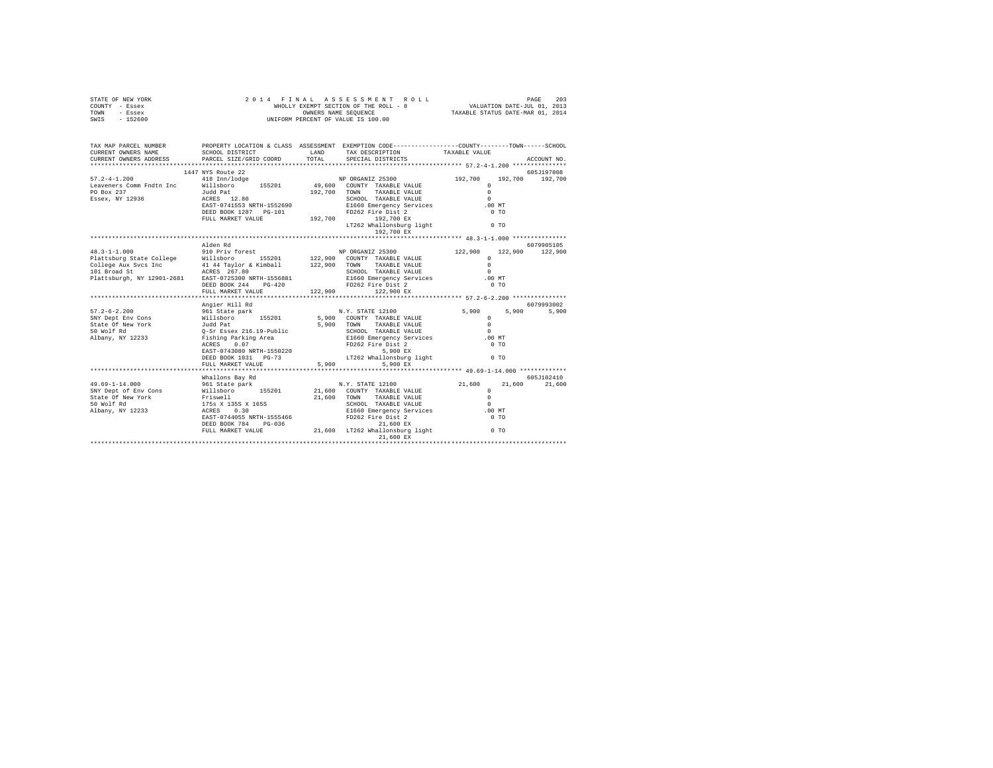|      | STATE OF NEW YORK | 2014 FINAL ASSESSMENT ROLL            | 203<br>PAGE                      |
|------|-------------------|---------------------------------------|----------------------------------|
|      | COUNTY - Essex    | WHOLLY EXEMPT SECTION OF THE ROLL - 8 | VALUATION DATE-JUL 01, 2013      |
| TOWN | - Essex           | OWNERS NAME SEOUENCE                  | TAXABLE STATUS DATE-MAR 01, 2014 |
| SWIS | - 152600          | UNIFORM PERCENT OF VALUE IS 100.00    |                                  |

| TAX MAP PARCEL NUMBER | PROPERTY LOCATION & CLASS ASSESSMENT EXEMPTION CODE-----------------COUNTY-------TOWN------SCHOOL<br>CURRENT OWNERS NAME SCHOOL DISTRICT TAND IAND TAX DESCRIPTION TAXABLE VALUE                                                     |                                                  |       |               |
|-----------------------|--------------------------------------------------------------------------------------------------------------------------------------------------------------------------------------------------------------------------------------|--------------------------------------------------|-------|---------------|
|                       |                                                                                                                                                                                                                                      |                                                  |       |               |
|                       |                                                                                                                                                                                                                                      |                                                  |       |               |
|                       | 1447 NYS Route 22                                                                                                                                                                                                                    |                                                  |       | 605J197008    |
|                       |                                                                                                                                                                                                                                      |                                                  |       |               |
| PO Box 237            |                                                                                                                                                                                                                                      |                                                  |       |               |
| Essex, NY 12936       |                                                                                                                                                                                                                                      |                                                  |       |               |
|                       |                                                                                                                                                                                                                                      |                                                  |       |               |
|                       |                                                                                                                                                                                                                                      |                                                  |       |               |
|                       |                                                                                                                                                                                                                                      |                                                  |       |               |
|                       |                                                                                                                                                                                                                                      |                                                  |       |               |
|                       |                                                                                                                                                                                                                                      |                                                  |       |               |
|                       | Alden Rd                                                                                                                                                                                                                             |                                                  |       | 6079905105    |
|                       |                                                                                                                                                                                                                                      |                                                  |       |               |
|                       |                                                                                                                                                                                                                                      |                                                  |       |               |
|                       |                                                                                                                                                                                                                                      |                                                  |       |               |
|                       |                                                                                                                                                                                                                                      |                                                  |       |               |
|                       |                                                                                                                                                                                                                                      |                                                  |       |               |
|                       |                                                                                                                                                                                                                                      |                                                  |       |               |
|                       |                                                                                                                                                                                                                                      |                                                  |       |               |
|                       |                                                                                                                                                                                                                                      |                                                  |       |               |
|                       |                                                                                                                                                                                                                                      |                                                  |       |               |
|                       |                                                                                                                                                                                                                                      |                                                  |       |               |
|                       | Angier Hill Rd                                                                                                                                                                                                                       |                                                  |       | 6079993002    |
|                       |                                                                                                                                                                                                                                      |                                                  | 5,900 | 5,900         |
|                       |                                                                                                                                                                                                                                      |                                                  |       |               |
|                       |                                                                                                                                                                                                                                      |                                                  |       |               |
|                       | 57.2-6-2.200 – Angler Hill Hotel Ary, STATE 12100 – 5,900<br>SNY Dept Env Cons – Willshoro – 155201 – 5,900 COUNTY TAXABLE VALUE – 5,900 – 5,900 – 5,900 – 5,900 – 5,900 –<br>State Of New York – Judd Pat – 5,900 – 50 MONTY TAXABL | 5,900 TOWN TAXABLE VALUE<br>SCHOOL TAXABLE VALUE |       |               |
|                       |                                                                                                                                                                                                                                      |                                                  |       |               |
|                       |                                                                                                                                                                                                                                      |                                                  |       |               |
|                       |                                                                                                                                                                                                                                      |                                                  |       |               |
|                       |                                                                                                                                                                                                                                      |                                                  |       |               |
|                       |                                                                                                                                                                                                                                      |                                                  |       |               |
|                       | N WOLF KI<br>MARRIAGE THE SURFACE OF THE SURFACE OF THE SURFACE OF THE SURFACE OF THE SURFACE OF THE SURFACE OF THE SURFACE OF THE SURFACE OF THE SURFACE OF THE SURFACE OF THE SURFACE OF THE SURFACE OF THE SURFACE OF THE SUR     |                                                  |       | 605-7102410   |
|                       | Whallons Bay Rd                                                                                                                                                                                                                      |                                                  |       |               |
|                       |                                                                                                                                                                                                                                      |                                                  |       | 21,600 21,600 |
|                       |                                                                                                                                                                                                                                      |                                                  |       |               |
|                       |                                                                                                                                                                                                                                      |                                                  |       |               |
|                       |                                                                                                                                                                                                                                      |                                                  |       |               |
|                       |                                                                                                                                                                                                                                      |                                                  |       |               |
|                       |                                                                                                                                                                                                                                      |                                                  |       |               |
|                       |                                                                                                                                                                                                                                      |                                                  |       |               |
|                       |                                                                                                                                                                                                                                      | 21,600 EX                                        |       |               |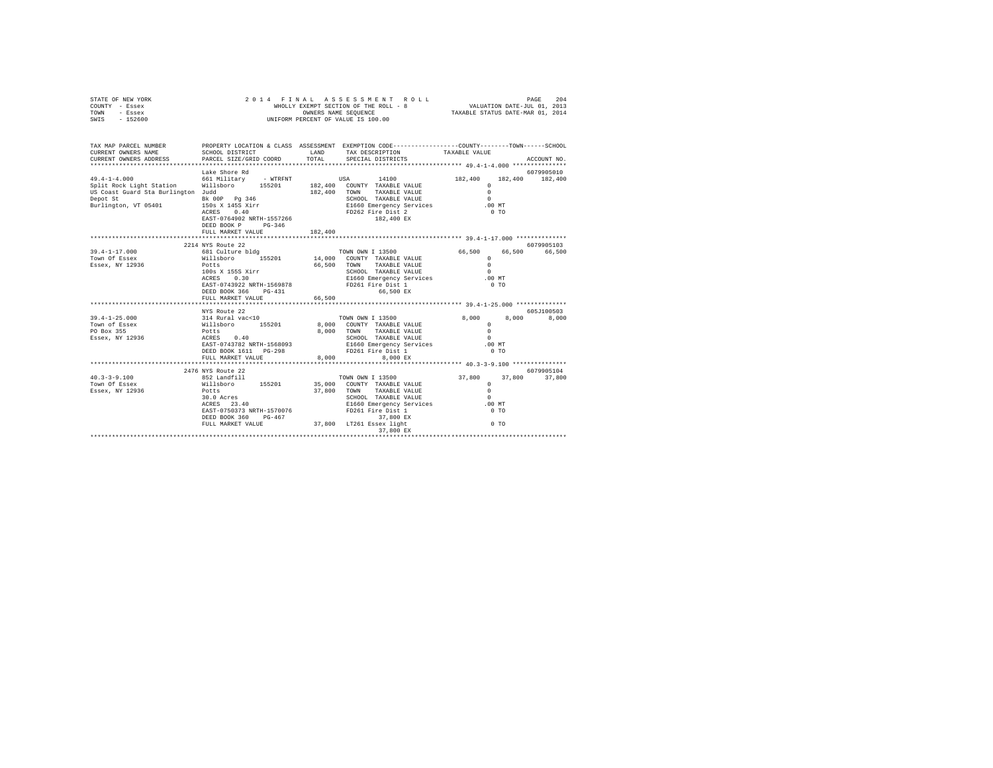| STATE OF NEW YORK<br>COUNTY - Essex<br>TOWN<br>- Essex<br>SWIS - 152600                                                                     | 2014 FINAL ASSESSMENT ROLL<br>WHOLLY EXEMPT SECTION OF THE ROLL - 8<br>UNIFORM PERCENT OF VALUE IS 100.00                                  |              |                                                              |                                                  |                      |
|---------------------------------------------------------------------------------------------------------------------------------------------|--------------------------------------------------------------------------------------------------------------------------------------------|--------------|--------------------------------------------------------------|--------------------------------------------------|----------------------|
| TAX MAP PARCEL NUMBER PROPERTY LOCATION & CLASS ASSESSMENT EXEMPTION CODE--------------COUNTY-------TOWN------SCHOOL<br>CURRENT OWNERS NAME | SCHOOL DISTRICT                                                                                                                            | LAND         | TAX DESCRIPTION                                              | TAXABLE VALUE                                    |                      |
| CURRENT OWNERS ADDRESS                                                                                                                      | PARCEL SIZE/GRID COORD                                                                                                                     | TOTAL        | SPECIAL DISTRICTS                                            |                                                  | ACCOUNT NO.          |
|                                                                                                                                             | Lake Shore Rd                                                                                                                              |              |                                                              |                                                  | 6079905010           |
| $49.4 - 1 - 4.000$                                                                                                                          | 661 Military - WTRFNT                                                                                                                      |              | 14100<br><b>USA</b>                                          | 182,400                                          | 182,400 182,400      |
| Split Rock Light Station                                                                                                                    | Willsboro 155201 182,400 COUNTY TAXABLE VALUE                                                                                              |              |                                                              | $\circ$                                          |                      |
| US Coast Guard Sta Burlington Judd                                                                                                          |                                                                                                                                            |              | 182,400 TOWN TAXABLE VALUE                                   | $\Omega$                                         |                      |
| Depot St<br>Depot St<br>Burlington, VT 05401                                                                                                | Bk 00P Pg 346<br>150s X 145S Xirr                                                                                                          |              | SCHOOL TAXABLE VALUE                                         | $\sim$                                           |                      |
|                                                                                                                                             | $ACRES$ 0.40                                                                                                                               |              | E1660 Emergency Services<br>FD262 Fire Dist 2                | .00MT<br>$0$ TO                                  |                      |
|                                                                                                                                             | EAST-0764902 NRTH-1557266                                                                                                                  |              | 182,400 EX                                                   |                                                  |                      |
|                                                                                                                                             | DEED BOOK P PG-346                                                                                                                         |              |                                                              |                                                  |                      |
|                                                                                                                                             | FULL MARKET VALUE                                                                                                                          | 182,400      |                                                              |                                                  |                      |
|                                                                                                                                             |                                                                                                                                            |              |                                                              |                                                  |                      |
| 39.4-1-17.000                                                                                                                               | 2214 NYS Route 22                                                                                                                          |              | TOWN OWN I 13500                                             | 66,500<br>66.500                                 | 6079905103<br>66,500 |
| Town Of Essex                                                                                                                               | 681 Culture bldg<br>Willsboro 155201                                                                                                       |              | 14,000 COUNTY TAXABLE VALUE                                  | $\Omega$                                         |                      |
| Essex, NY 12936                                                                                                                             | Potts                                                                                                                                      |              |                                                              |                                                  |                      |
|                                                                                                                                             |                                                                                                                                            |              |                                                              |                                                  |                      |
|                                                                                                                                             |                                                                                                                                            |              |                                                              |                                                  |                      |
|                                                                                                                                             |                                                                                                                                            |              |                                                              |                                                  |                      |
|                                                                                                                                             | FULL MARKET VALUE                                                                                                                          | 66,500       |                                                              |                                                  |                      |
|                                                                                                                                             | **********************                                                                                                                     | ************ |                                                              | ******************* 39.4-1-25.000 ************** |                      |
|                                                                                                                                             |                                                                                                                                            |              |                                                              |                                                  | 605J100503           |
| $39.4 - 1 - 25.000$                                                                                                                         |                                                                                                                                            |              | TOWN OWN I 13500                                             | 8,000 8,000                                      | 8,000                |
| Town of Essex                                                                                                                               |                                                                                                                                            |              | 8,000 COUNTY TAXABLE VALUE                                   | $\Omega$                                         |                      |
| PO Box 355<br>Essex, NY 12936                                                                                                               |                                                                                                                                            |              | 8,000 TOWN TAXABLE VALUE<br>SCHOOL TAXABLE VALUE             | $\Omega$<br>$\Omega$                             |                      |
|                                                                                                                                             |                                                                                                                                            |              | E1660 Emergency Services                                     | $.00$ MT                                         |                      |
|                                                                                                                                             | Also Route 22<br>314 Rural vac<10<br>Willsboro 155201<br>Potts<br>ACRES 0.40<br>EAST-0743782 NRTH-1568093<br>DEED BOOK 1611 PG-200<br>---- |              | FD261 Fire Dist 1                                            | 0 <sub>T</sub>                                   |                      |
|                                                                                                                                             | FULL MARKET VALUE                                                                                                                          | 8,000        | 8.000 EX                                                     |                                                  |                      |
|                                                                                                                                             | ***************************                                                                                                                |              |                                                              | **************** 40.3-3-9.100 ***************    |                      |
|                                                                                                                                             | 2476 NYS Route 22                                                                                                                          |              |                                                              |                                                  | 6079905104           |
| $40.3 - 3 - 9.100$<br>Town Of Essex                                                                                                         | 852 Landfill<br>willsboro 155201 35.000 COUNTY TAXABLE VALUE                                                                               |              | TOWN OWN I 13500                                             | 37,800                                           | 37,800 37,800        |
| Essex, NY 12936                                                                                                                             | Potts                                                                                                                                      |              | 37,800 TOWN TAXABLE VALUE                                    | $\Omega$                                         |                      |
|                                                                                                                                             | FOULS<br>30.0 Acres<br>ACPES 22.10                                                                                                         |              | SCHOOL TAXABLE VALUE                                         | $\Omega$                                         |                      |
|                                                                                                                                             | $ACRES$ 23.40                                                                                                                              |              | E1660 Emergency Services<br>FD261 Fire Dist 1                | $.00$ MT                                         |                      |
|                                                                                                                                             | EAST-0750373 NRTH-1570076                                                                                                                  |              |                                                              | 0 <sub>T</sub>                                   |                      |
|                                                                                                                                             | DEED BOOK 360 PG-467                                                                                                                       |              | 37,800 EX                                                    |                                                  |                      |
|                                                                                                                                             |                                                                                                                                            |              | FULL MARKET VALUE 37,800 LT261 Essex light 0 TO<br>37,800 EX |                                                  |                      |
|                                                                                                                                             |                                                                                                                                            |              |                                                              |                                                  |                      |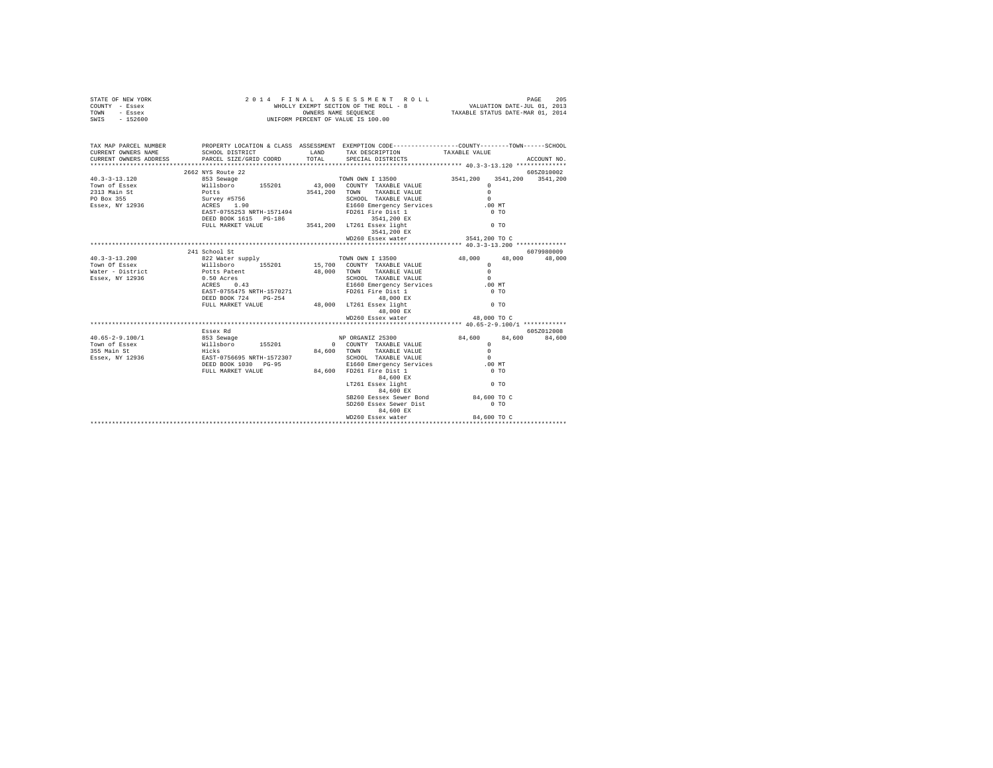| STATE OF NEW YORK<br>COUNTY - Essex<br>TOWN - Essex<br>SWIS - 152600                                                                                                                                                                                                                                                                                                                     | 2014 FINAL ASSESSMENT I<br>WHOLLY EXEMPT SECTION OF THE ROLL - {<br>WHOLLY EXEMPT SERIES SUMER SEQUENCE                                                                                        | FINAL ASSESSMENT ROLL PAGE 205<br>WHOLLY EXEMPT SECTION OF THE ROLL - 8 VALUATION DATE-JUL 01, 2013<br>OWNERS NAME SEQUENCE TAXABLE STATUS DATE-MAR 01, 2014 |                                                                                                                                                                                                                                                  |               |             |
|------------------------------------------------------------------------------------------------------------------------------------------------------------------------------------------------------------------------------------------------------------------------------------------------------------------------------------------------------------------------------------------|------------------------------------------------------------------------------------------------------------------------------------------------------------------------------------------------|--------------------------------------------------------------------------------------------------------------------------------------------------------------|--------------------------------------------------------------------------------------------------------------------------------------------------------------------------------------------------------------------------------------------------|---------------|-------------|
| TAX MAP PARCEL NUMBER PROPERTY LOCATION & CLASS ASSESSMENT EXEMPTION CODE---------------COUNTY-------TOWN------SCHOOL<br>CURRENT OWNERS NAME                                                                                                                                                                                                                                             | SCHOOL DISTRICT TAND TAX DESCRIPTION                                                                                                                                                           |                                                                                                                                                              |                                                                                                                                                                                                                                                  | TAXABLE VALUE |             |
| CURRENT OWNERS ADDRESS                                                                                                                                                                                                                                                                                                                                                                   | PARCEL SIZE/GRID COORD                                                                                                                                                                         | TOTAL                                                                                                                                                        | SPECIAL DISTRICTS                                                                                                                                                                                                                                |               | ACCOUNT NO. |
|                                                                                                                                                                                                                                                                                                                                                                                          |                                                                                                                                                                                                |                                                                                                                                                              |                                                                                                                                                                                                                                                  |               |             |
|                                                                                                                                                                                                                                                                                                                                                                                          |                                                                                                                                                                                                |                                                                                                                                                              |                                                                                                                                                                                                                                                  |               |             |
|                                                                                                                                                                                                                                                                                                                                                                                          |                                                                                                                                                                                                |                                                                                                                                                              |                                                                                                                                                                                                                                                  |               |             |
|                                                                                                                                                                                                                                                                                                                                                                                          |                                                                                                                                                                                                |                                                                                                                                                              |                                                                                                                                                                                                                                                  |               |             |
|                                                                                                                                                                                                                                                                                                                                                                                          |                                                                                                                                                                                                |                                                                                                                                                              |                                                                                                                                                                                                                                                  |               |             |
|                                                                                                                                                                                                                                                                                                                                                                                          |                                                                                                                                                                                                |                                                                                                                                                              |                                                                                                                                                                                                                                                  |               |             |
|                                                                                                                                                                                                                                                                                                                                                                                          |                                                                                                                                                                                                |                                                                                                                                                              |                                                                                                                                                                                                                                                  |               |             |
|                                                                                                                                                                                                                                                                                                                                                                                          |                                                                                                                                                                                                |                                                                                                                                                              |                                                                                                                                                                                                                                                  |               |             |
|                                                                                                                                                                                                                                                                                                                                                                                          |                                                                                                                                                                                                |                                                                                                                                                              |                                                                                                                                                                                                                                                  |               |             |
|                                                                                                                                                                                                                                                                                                                                                                                          |                                                                                                                                                                                                |                                                                                                                                                              | 3541,200 EX                                                                                                                                                                                                                                      |               |             |
|                                                                                                                                                                                                                                                                                                                                                                                          |                                                                                                                                                                                                |                                                                                                                                                              | WD260 Essex water 3541,200 TO C                                                                                                                                                                                                                  |               |             |
|                                                                                                                                                                                                                                                                                                                                                                                          |                                                                                                                                                                                                |                                                                                                                                                              |                                                                                                                                                                                                                                                  |               |             |
| $\begin{array}{cccccc} & & & 24 & 2.13 & 200 & 24 & 820\, \text{N} & \text{K} & \text{S2D} & \text{N} & \text{S2D} & \text{N} & \text{S2D} & \text{N} & \text{S2D} & \text{N} & \text{S2D} & \text{N} & \text{S2D} & \text{N} & \text{S2D} & \text{N} & \text{S2D} & \text{N} & \text{S2D} & \text{N} & \text{S2D} & \text{N} & \text{S2D} & \text{N} & \text{S2D} & \text{N} & \text{S$ |                                                                                                                                                                                                |                                                                                                                                                              |                                                                                                                                                                                                                                                  |               |             |
|                                                                                                                                                                                                                                                                                                                                                                                          |                                                                                                                                                                                                |                                                                                                                                                              |                                                                                                                                                                                                                                                  |               |             |
|                                                                                                                                                                                                                                                                                                                                                                                          |                                                                                                                                                                                                |                                                                                                                                                              |                                                                                                                                                                                                                                                  |               |             |
|                                                                                                                                                                                                                                                                                                                                                                                          |                                                                                                                                                                                                |                                                                                                                                                              |                                                                                                                                                                                                                                                  |               |             |
| Essex, NY 12936<br>Essex, NY 12936<br>ACRES 0.43                                                                                                                                                                                                                                                                                                                                         |                                                                                                                                                                                                |                                                                                                                                                              |                                                                                                                                                                                                                                                  | .00MT         |             |
|                                                                                                                                                                                                                                                                                                                                                                                          |                                                                                                                                                                                                |                                                                                                                                                              | ACRES 0.43<br>EAST-0755475 NRTH-1570271 FD261 Fire Dist 1<br>FD261 Fire Dist 1                                                                                                                                                                   |               |             |
|                                                                                                                                                                                                                                                                                                                                                                                          |                                                                                                                                                                                                |                                                                                                                                                              |                                                                                                                                                                                                                                                  | $0$ TO        |             |
|                                                                                                                                                                                                                                                                                                                                                                                          |                                                                                                                                                                                                |                                                                                                                                                              | ${\tt DEED\ BOOK\ 724}\ {\tt PG-254}\ {\tt 48,000\ EX} \label{thm:261}$ ${\tt FUL\ MARKET\ VAUE}\ {\tt 48,000\ LT261\ Esex\ light}$ ${\tt 0\ TO}$                                                                                                |               |             |
|                                                                                                                                                                                                                                                                                                                                                                                          |                                                                                                                                                                                                |                                                                                                                                                              | 48,000 EX                                                                                                                                                                                                                                        |               |             |
|                                                                                                                                                                                                                                                                                                                                                                                          |                                                                                                                                                                                                |                                                                                                                                                              | WD260 Essex water 48,000 TO C                                                                                                                                                                                                                    |               |             |
|                                                                                                                                                                                                                                                                                                                                                                                          |                                                                                                                                                                                                |                                                                                                                                                              |                                                                                                                                                                                                                                                  |               |             |
|                                                                                                                                                                                                                                                                                                                                                                                          | Essex Rd                                                                                                                                                                                       |                                                                                                                                                              |                                                                                                                                                                                                                                                  |               | 605Z012008  |
| $40.65 - 2 - 9.100/1$                                                                                                                                                                                                                                                                                                                                                                    | 853 Sewage (1952)<br>Willshoro 155201 (200MTY TAXABLE VALUE Hicks<br>Hicks (1952)<br>EAST-0756695 NRTH-1572307 (84,600 TOWN TAXABLE VALUE EAST-0756695 NRTH-1572307 (2000 SCHOOL TAXABLE VALUE |                                                                                                                                                              | $\begin{tabular}{lcccc} NP ORGANIZ & 25300 & & & 84,600 & & 800 & & 84,600 \\ 0 & \text{COUNT} & TXRABLE VALUE & & & 0 & & 84,600 \\ 00 & \text{TONN} & \text{TXRABLE VALUE} & & & 0 \\ & \text{SCHOL} & TXRABLE VALUE & & & 0 \\ \end{tabular}$ |               |             |
| Town of Essex                                                                                                                                                                                                                                                                                                                                                                            |                                                                                                                                                                                                |                                                                                                                                                              |                                                                                                                                                                                                                                                  |               |             |
| 355 Main St                                                                                                                                                                                                                                                                                                                                                                              |                                                                                                                                                                                                |                                                                                                                                                              |                                                                                                                                                                                                                                                  |               |             |
| Essex, NY 12936                                                                                                                                                                                                                                                                                                                                                                          |                                                                                                                                                                                                |                                                                                                                                                              |                                                                                                                                                                                                                                                  |               |             |
|                                                                                                                                                                                                                                                                                                                                                                                          |                                                                                                                                                                                                |                                                                                                                                                              | E1660 Emergency Services .00 MT<br>84,600 FD261 Fire Dist 1 0 TO                                                                                                                                                                                 |               |             |
|                                                                                                                                                                                                                                                                                                                                                                                          | FULL MARKET VALUE                                                                                                                                                                              |                                                                                                                                                              |                                                                                                                                                                                                                                                  |               |             |
|                                                                                                                                                                                                                                                                                                                                                                                          |                                                                                                                                                                                                |                                                                                                                                                              | 84,600 EX<br>LT261 Essex light                                                                                                                                                                                                                   | $00$ TO       |             |
|                                                                                                                                                                                                                                                                                                                                                                                          |                                                                                                                                                                                                |                                                                                                                                                              | 84,600 EX                                                                                                                                                                                                                                        |               |             |
|                                                                                                                                                                                                                                                                                                                                                                                          |                                                                                                                                                                                                |                                                                                                                                                              | SB260 Eessex Sewer Bond 84,600 TO C                                                                                                                                                                                                              |               |             |
|                                                                                                                                                                                                                                                                                                                                                                                          |                                                                                                                                                                                                |                                                                                                                                                              | SD260 Essex Sewer Dist                                                                                                                                                                                                                           | $0$ TO        |             |
|                                                                                                                                                                                                                                                                                                                                                                                          |                                                                                                                                                                                                |                                                                                                                                                              | 84,600 EX                                                                                                                                                                                                                                        |               |             |
|                                                                                                                                                                                                                                                                                                                                                                                          |                                                                                                                                                                                                |                                                                                                                                                              | WD260 Essex water 84,600 TO C                                                                                                                                                                                                                    |               |             |
|                                                                                                                                                                                                                                                                                                                                                                                          |                                                                                                                                                                                                |                                                                                                                                                              |                                                                                                                                                                                                                                                  |               |             |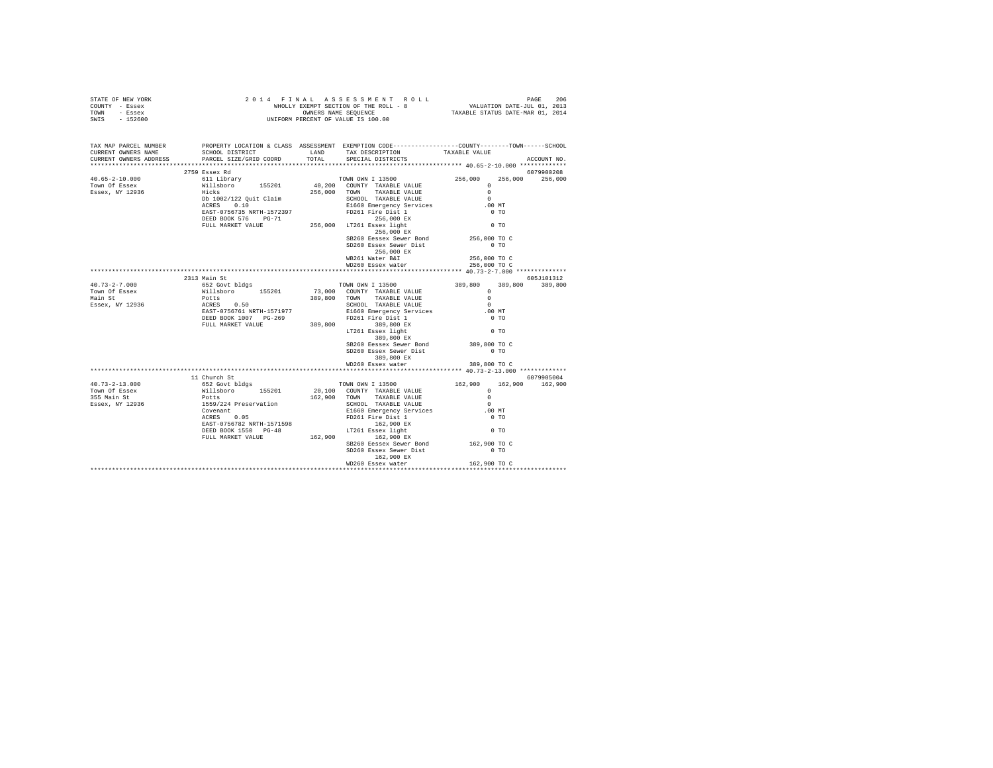| STATE OF NEW YORK<br>COUNTY - Essex<br>TOWN - Essex<br>$-152600$<br>SWIS                                                                                                                                                                                                                                                                                                          | 2 0 1 4 F IN A L A S S E S S M E N T R O :<br>WHOLLY EXEMPT SECTION OF THE ROLL - 8<br>ONNERS RAME PERCENT OF VALUE IS 100.00                                                                                                                                                                                                                       | FINAL ASSES MENT ROLL<br>WHOLLY EXEMPT SECTION OF THE ROLL - 8<br>WHOLLY EXEMPT SECTION OF THE ROLL - 8<br>TAXABLE STATUS DATE-MAR 01, 2014 |                                                                                   |                                                 |             |
|-----------------------------------------------------------------------------------------------------------------------------------------------------------------------------------------------------------------------------------------------------------------------------------------------------------------------------------------------------------------------------------|-----------------------------------------------------------------------------------------------------------------------------------------------------------------------------------------------------------------------------------------------------------------------------------------------------------------------------------------------------|---------------------------------------------------------------------------------------------------------------------------------------------|-----------------------------------------------------------------------------------|-------------------------------------------------|-------------|
| TAX MAP PARCEL NUMBER<br>CURRENT OWNERS NAME<br>CURRENT OWNERS ADDRESS                                                                                                                                                                                                                                                                                                            | PROPERTY LOCATION & CLASS ASSESSMENT EXEMPTION CODE----------------COUNTY-------TOWN------SCHOOL<br>SCHOOL DISTRICT LAND<br>PARCEL SIZE/GRID COORD                                                                                                                                                                                                  | TOTAL                                                                                                                                       | TAX DESCRIPTION TAXABLE VALUE<br>SPECIAL DISTRICTS                                |                                                 | ACCOUNT NO. |
|                                                                                                                                                                                                                                                                                                                                                                                   | 2759 Essex Rd                                                                                                                                                                                                                                                                                                                                       |                                                                                                                                             |                                                                                   |                                                 | 6079900208  |
|                                                                                                                                                                                                                                                                                                                                                                                   |                                                                                                                                                                                                                                                                                                                                                     |                                                                                                                                             |                                                                                   | 256,000                                         | 256,000     |
|                                                                                                                                                                                                                                                                                                                                                                                   |                                                                                                                                                                                                                                                                                                                                                     |                                                                                                                                             |                                                                                   |                                                 |             |
|                                                                                                                                                                                                                                                                                                                                                                                   |                                                                                                                                                                                                                                                                                                                                                     |                                                                                                                                             |                                                                                   |                                                 |             |
|                                                                                                                                                                                                                                                                                                                                                                                   |                                                                                                                                                                                                                                                                                                                                                     |                                                                                                                                             |                                                                                   |                                                 |             |
|                                                                                                                                                                                                                                                                                                                                                                                   |                                                                                                                                                                                                                                                                                                                                                     |                                                                                                                                             |                                                                                   |                                                 |             |
|                                                                                                                                                                                                                                                                                                                                                                                   |                                                                                                                                                                                                                                                                                                                                                     |                                                                                                                                             |                                                                                   |                                                 |             |
|                                                                                                                                                                                                                                                                                                                                                                                   |                                                                                                                                                                                                                                                                                                                                                     |                                                                                                                                             |                                                                                   |                                                 |             |
|                                                                                                                                                                                                                                                                                                                                                                                   |                                                                                                                                                                                                                                                                                                                                                     |                                                                                                                                             | 256,000 EX                                                                        |                                                 |             |
|                                                                                                                                                                                                                                                                                                                                                                                   |                                                                                                                                                                                                                                                                                                                                                     |                                                                                                                                             | SB260 Eessex Sewer Bond                                                           | 256,000 TO C                                    |             |
|                                                                                                                                                                                                                                                                                                                                                                                   |                                                                                                                                                                                                                                                                                                                                                     |                                                                                                                                             | SD260 Essex Sewer Dist                                                            | $0$ TO                                          |             |
|                                                                                                                                                                                                                                                                                                                                                                                   |                                                                                                                                                                                                                                                                                                                                                     |                                                                                                                                             | 256,000 EX                                                                        |                                                 |             |
|                                                                                                                                                                                                                                                                                                                                                                                   |                                                                                                                                                                                                                                                                                                                                                     |                                                                                                                                             | WB261 Water B&I                                                                   | 256,000 TO C                                    |             |
|                                                                                                                                                                                                                                                                                                                                                                                   |                                                                                                                                                                                                                                                                                                                                                     |                                                                                                                                             | WD260 Essex water                                                                 | 256,000 TO C                                    |             |
|                                                                                                                                                                                                                                                                                                                                                                                   |                                                                                                                                                                                                                                                                                                                                                     |                                                                                                                                             |                                                                                   | **************** 40.73-2-7.000 **************   |             |
|                                                                                                                                                                                                                                                                                                                                                                                   | 2313 Main St                                                                                                                                                                                                                                                                                                                                        |                                                                                                                                             |                                                                                   |                                                 | 605J101312  |
| $40.73 - 2 - 7.000$<br>Town Of Essex                                                                                                                                                                                                                                                                                                                                              |                                                                                                                                                                                                                                                                                                                                                     |                                                                                                                                             |                                                                                   | 389,800                                         | 389,800     |
| Main St                                                                                                                                                                                                                                                                                                                                                                           |                                                                                                                                                                                                                                                                                                                                                     |                                                                                                                                             | TOWN OWN I 13500<br>73,000 COUNTY TAXABLE VALUE 389,800 OO COUNTY TAXABLE VALUE 0 |                                                 |             |
| Essex, NY 12936                                                                                                                                                                                                                                                                                                                                                                   | %13 % and to the Same of S2 1<br>Willaboro 155201<br>Potts<br>RCRES 0.50<br>EAST-0756761 NRTH-1571977<br>DEED BOOK 1007 PG-269<br>POLLS 0.50<br>EAST-0756761 NRTH-1571977<br>DEED BOOK 1007 PG-269<br>PD261 Free Dist 1<br>FULL MARKET VALUE 389,800<br>FULL MARKET VALUE 389,800<br>LT261 East 1 1ght 289,800<br>LT261 East 1ght 289,800<br>200 PM |                                                                                                                                             | SCHOOL TAXABLE VALUE<br>E1660 Emergency Services                                  | $\sim$ 0                                        |             |
|                                                                                                                                                                                                                                                                                                                                                                                   |                                                                                                                                                                                                                                                                                                                                                     |                                                                                                                                             |                                                                                   | .00MT                                           |             |
|                                                                                                                                                                                                                                                                                                                                                                                   |                                                                                                                                                                                                                                                                                                                                                     |                                                                                                                                             | FD261 Fire Dist 1                                                                 | $0$ TO                                          |             |
|                                                                                                                                                                                                                                                                                                                                                                                   |                                                                                                                                                                                                                                                                                                                                                     |                                                                                                                                             |                                                                                   |                                                 |             |
|                                                                                                                                                                                                                                                                                                                                                                                   |                                                                                                                                                                                                                                                                                                                                                     |                                                                                                                                             |                                                                                   | $0$ TO                                          |             |
|                                                                                                                                                                                                                                                                                                                                                                                   |                                                                                                                                                                                                                                                                                                                                                     |                                                                                                                                             | 389,800 EX                                                                        |                                                 |             |
|                                                                                                                                                                                                                                                                                                                                                                                   |                                                                                                                                                                                                                                                                                                                                                     |                                                                                                                                             | SB260 Eessex Sewer Bond                                                           | 389,800 TO C                                    |             |
|                                                                                                                                                                                                                                                                                                                                                                                   |                                                                                                                                                                                                                                                                                                                                                     |                                                                                                                                             | SD260 Essex Sewer Dist                                                            | $0$ TO                                          |             |
|                                                                                                                                                                                                                                                                                                                                                                                   |                                                                                                                                                                                                                                                                                                                                                     |                                                                                                                                             | 389,800 EX<br>WD260 Essex water                                                   | 389,800 TO C                                    |             |
|                                                                                                                                                                                                                                                                                                                                                                                   |                                                                                                                                                                                                                                                                                                                                                     |                                                                                                                                             |                                                                                   | ***************** 40.73-2-13.000 ************** |             |
|                                                                                                                                                                                                                                                                                                                                                                                   | 11 Church St                                                                                                                                                                                                                                                                                                                                        |                                                                                                                                             |                                                                                   |                                                 | 6079905004  |
| $\begin{tabular}{l c c c c c} \multicolumn{1}{c}{\textbf{40.73--2-13.000}} & \multicolumn{1}{c}{16.7200} & \multicolumn{1}{c}{16.7200} & \multicolumn{1}{c}{16.7200} & \multicolumn{1}{c}{16.7200} & \multicolumn{1}{c}{16.7200} & \multicolumn{1}{c}{16.7200} & \multicolumn{1}{c}{16.7200} & \multicolumn{1}{c}{16.7200} & \multicolumn{1}{c}{16.7200} & \multicolumn{1}{c}{16$ |                                                                                                                                                                                                                                                                                                                                                     |                                                                                                                                             |                                                                                   |                                                 |             |
|                                                                                                                                                                                                                                                                                                                                                                                   |                                                                                                                                                                                                                                                                                                                                                     |                                                                                                                                             |                                                                                   |                                                 |             |
|                                                                                                                                                                                                                                                                                                                                                                                   |                                                                                                                                                                                                                                                                                                                                                     |                                                                                                                                             |                                                                                   |                                                 |             |
|                                                                                                                                                                                                                                                                                                                                                                                   |                                                                                                                                                                                                                                                                                                                                                     |                                                                                                                                             |                                                                                   |                                                 |             |
|                                                                                                                                                                                                                                                                                                                                                                                   |                                                                                                                                                                                                                                                                                                                                                     |                                                                                                                                             |                                                                                   |                                                 |             |
|                                                                                                                                                                                                                                                                                                                                                                                   |                                                                                                                                                                                                                                                                                                                                                     |                                                                                                                                             |                                                                                   |                                                 |             |
|                                                                                                                                                                                                                                                                                                                                                                                   |                                                                                                                                                                                                                                                                                                                                                     |                                                                                                                                             |                                                                                   |                                                 |             |
|                                                                                                                                                                                                                                                                                                                                                                                   |                                                                                                                                                                                                                                                                                                                                                     |                                                                                                                                             |                                                                                   |                                                 |             |
|                                                                                                                                                                                                                                                                                                                                                                                   |                                                                                                                                                                                                                                                                                                                                                     |                                                                                                                                             | SB260 Eessex Sewer Bond                                                           | 162,900 TO C                                    |             |
|                                                                                                                                                                                                                                                                                                                                                                                   |                                                                                                                                                                                                                                                                                                                                                     |                                                                                                                                             | SD260 Essex Sewer Dist                                                            | $0$ TO                                          |             |
|                                                                                                                                                                                                                                                                                                                                                                                   |                                                                                                                                                                                                                                                                                                                                                     |                                                                                                                                             | 162,900 EX                                                                        |                                                 |             |
|                                                                                                                                                                                                                                                                                                                                                                                   |                                                                                                                                                                                                                                                                                                                                                     |                                                                                                                                             | WD260 Essex water                                                                 | 162,900 TO C                                    |             |
|                                                                                                                                                                                                                                                                                                                                                                                   |                                                                                                                                                                                                                                                                                                                                                     |                                                                                                                                             |                                                                                   |                                                 |             |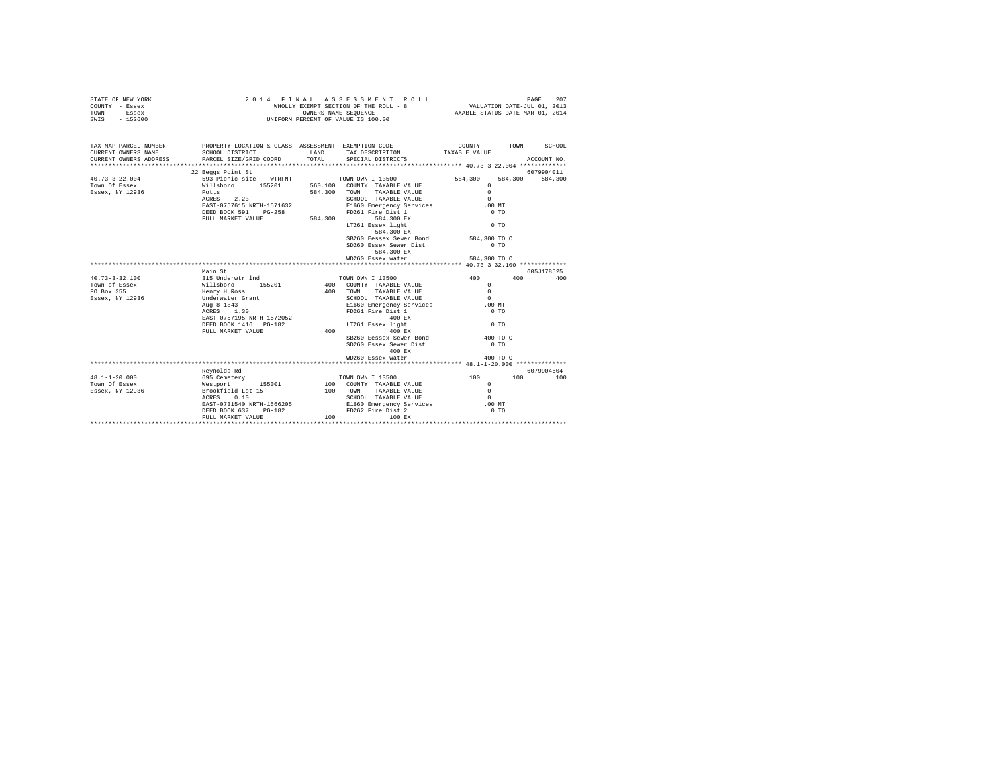| STATE OF NEW YORK<br>COUNTY - Essex<br>TOWN<br>- Essex<br>$-152600$<br>SWIS | 2014 FINAL<br>WHOLLY EXEMPT SECTION OF THE ROLL - 8<br>UNIFORM PERCENT OF VALUE IS 100.00                                                   | 207<br>PAGE<br>VALUATION DATE-JUL 01, 2013<br>TAXABLE STATUS DATE-MAR 01, 2014 |                                                    |                         |                    |
|-----------------------------------------------------------------------------|---------------------------------------------------------------------------------------------------------------------------------------------|--------------------------------------------------------------------------------|----------------------------------------------------|-------------------------|--------------------|
| TAX MAP PARCEL NUMBER<br>CURRENT OWNERS NAME<br>CURRENT OWNERS ADDRESS      | PROPERTY LOCATION & CLASS ASSESSMENT EXEMPTION CODE---------------COUNTY-------TOWN-----SCHOOL<br>SCHOOL DISTRICT<br>PARCEL SIZE/GRID COORD | LAND<br>TOTAL                                                                  | TAX DESCRIPTION<br>SPECIAL DISTRICTS               | TAXABLE VALUE           | ACCOUNT NO.        |
|                                                                             | 22 Beggs Point St                                                                                                                           |                                                                                |                                                    |                         | 6079904011         |
| $40.73 - 3 - 22.004$                                                        | 593 Picnic site - WTRFNT TOWN OWN I 13500                                                                                                   |                                                                                |                                                    | 584,300                 | 584,300<br>584,300 |
| Town Of Essex                                                               | Willsboro 155201<br>Potts                                                                                                                   |                                                                                | 560,100 COUNTY TAXABLE VALUE                       | $\mathbf{r}$            |                    |
| Essex, NY 12936                                                             | ACRES 2.23                                                                                                                                  |                                                                                | 584,300 TOWN TAXABLE VALUE<br>SCHOOL TAXABLE VALUE | $\Omega$<br>$\Omega$    |                    |
|                                                                             | EAST-0757615 NRTH-1571632                                                                                                                   |                                                                                | E1660 Emergency Services                           | .00 MT                  |                    |
|                                                                             | DEED BOOK 591 PG-258                                                                                                                        |                                                                                | FD261 Fire Dist 1                                  | 0 <sub>T</sub>          |                    |
|                                                                             | FULL MARKET VALUE                                                                                                                           | 584,300                                                                        | 584,300 EX                                         |                         |                    |
|                                                                             |                                                                                                                                             |                                                                                | LT261 Essex light                                  | 0 <sub>T</sub>          |                    |
|                                                                             |                                                                                                                                             |                                                                                | $584,300$ EX                                       |                         |                    |
|                                                                             |                                                                                                                                             |                                                                                | SB260 Eessex Sewer Bond                            | 584,300 TO C            |                    |
|                                                                             |                                                                                                                                             |                                                                                | SD260 Essex Sewer Dist                             | $0$ TO                  |                    |
|                                                                             |                                                                                                                                             |                                                                                | 584,300 EX                                         |                         |                    |
|                                                                             |                                                                                                                                             |                                                                                | WD260 Essex water                                  | 584,300 TO C            |                    |
|                                                                             |                                                                                                                                             |                                                                                |                                                    |                         |                    |
|                                                                             | Main St                                                                                                                                     |                                                                                |                                                    |                         | 605J178525         |
| $40.73 - 3 - 32.100$                                                        | 315 Underwtr 1nd                                                                                                                            |                                                                                | TOWN OWN I 13500                                   | 400                     | 400<br>400         |
| Town of Essex                                                               | Willsboro<br>Henry H Ross<br>Underwater Gran<br>155201                                                                                      |                                                                                | 400 COUNTY TAXABLE VALUE                           | $\Omega$                |                    |
| PO Box 355                                                                  |                                                                                                                                             |                                                                                | 400 TOWN TAXABLE VALUE                             | $\sim$                  |                    |
| Essex, NY 12936                                                             | Underwater Grant                                                                                                                            |                                                                                | SCHOOL TAXABLE VALUE                               | $\sim$                  |                    |
|                                                                             | Aug 8 1843<br>ACRES 1.30                                                                                                                    |                                                                                | E1660 Emergency Services<br>FD261 Fire Dist 1      | .00MT<br>0 <sub>T</sub> |                    |
|                                                                             | EAST-0757195 NRTH-1572052                                                                                                                   |                                                                                | 400 RX                                             |                         |                    |
|                                                                             | DEED BOOK 1416    PG-182                                                                                                                    |                                                                                | LT261 Essex light                                  | $0$ TO                  |                    |
|                                                                             | FULL MARKET VALUE                                                                                                                           | 400                                                                            | 400 EX                                             |                         |                    |
|                                                                             |                                                                                                                                             |                                                                                | SB260 Eessex Sewer Bond                            | 400 TO C                |                    |
|                                                                             |                                                                                                                                             |                                                                                | SD260 Essex Sewer Dist                             | 0.70                    |                    |
|                                                                             |                                                                                                                                             |                                                                                | 400 EX                                             |                         |                    |
|                                                                             |                                                                                                                                             |                                                                                | WD260 Essex water                                  | 400 TO C                |                    |
|                                                                             |                                                                                                                                             |                                                                                |                                                    |                         |                    |
|                                                                             | Reynolds Rd                                                                                                                                 |                                                                                |                                                    |                         | 6079904604         |
| $48.1 - 1 - 20.000$                                                         | 695 Cemetery                                                                                                                                |                                                                                | TOWN OWN I 13500                                   | 100                     | 100<br>100         |
| Town Of Essex                                                               | Westport 155001                                                                                                                             |                                                                                | 100 COUNTY TAXABLE VALUE                           | $\Omega$                |                    |
| Essex, NY 12936                                                             | Brookfield Lot 15                                                                                                                           |                                                                                | 100 TOWN<br>TAXABLE VALUE                          | $\Omega$                |                    |
|                                                                             | ACRES 0.10                                                                                                                                  |                                                                                | SCHOOL TAXABLE VALUE<br>E1660 Emergency Services   | $\Omega$                |                    |
|                                                                             | EAST-0731540 NRTH-1566205                                                                                                                   |                                                                                |                                                    | $.00$ MT                |                    |
|                                                                             | DEED BOOK 637<br>PG-182                                                                                                                     |                                                                                | FD262 Fire Dist 2                                  | 0 <sub>T</sub>          |                    |
|                                                                             | FULL MARKET VALUE                                                                                                                           | 100                                                                            | 100 EX                                             |                         |                    |
|                                                                             |                                                                                                                                             |                                                                                |                                                    |                         |                    |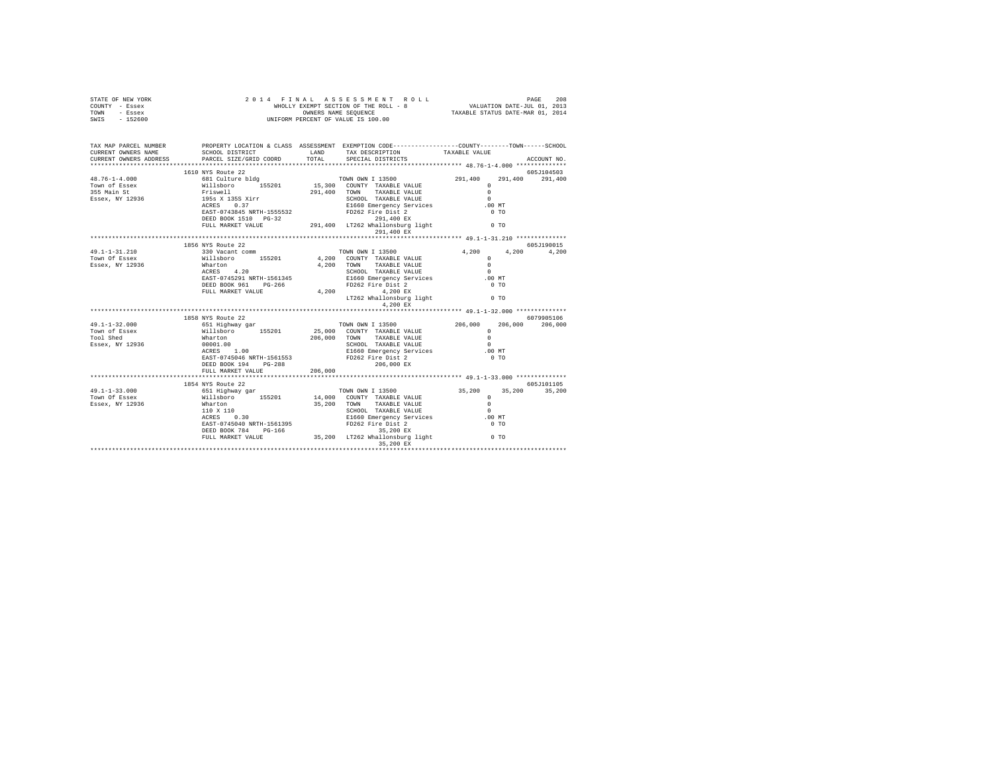| STATE OF NEW YORK<br>COUNTY - Essex<br>TOWN - Essex<br>SWIS - 152600                                                                                                                                                                                                                                                                                                                                      |                                                                  |       |                                                                                                                                                                                                                                                                                                                                                                                       |                                                    |                 |
|-----------------------------------------------------------------------------------------------------------------------------------------------------------------------------------------------------------------------------------------------------------------------------------------------------------------------------------------------------------------------------------------------------------|------------------------------------------------------------------|-------|---------------------------------------------------------------------------------------------------------------------------------------------------------------------------------------------------------------------------------------------------------------------------------------------------------------------------------------------------------------------------------------|----------------------------------------------------|-----------------|
| CURRENT OWNERS ADDRESS PARCEL SIZE/GRID COORD                                                                                                                                                                                                                                                                                                                                                             |                                                                  | TOTAL | SCHOOL DISTRICT LAND TAX DESCRIPTION TAXABLE VALUE<br>SPECIAL DISTRICTS                                                                                                                                                                                                                                                                                                               |                                                    | ACCOUNT NO.     |
|                                                                                                                                                                                                                                                                                                                                                                                                           |                                                                  |       |                                                                                                                                                                                                                                                                                                                                                                                       |                                                    |                 |
| $\begin{tabular}{l c c c c c} \multicolumn{1}{c}{\textbf{48.76--1-4.000}} & \multicolumn{1}{c}{\textbf{49.76--1-4.000}} & \multicolumn{1}{c}{\textbf{59.76--1-4.000}} & \multicolumn{1}{c}{\textbf{59.76--1-4.000}} & \multicolumn{1}{c}{\textbf{59.76--1-4.000}} & \multicolumn{1}{c}{\textbf{59.76--1-4.000}} & \multicolumn{1}{c}{\textbf{59.76--1-4.000}} & \multicolumn{1$                           | 1610 NYS Route 22                                                |       |                                                                                                                                                                                                                                                                                                                                                                                       |                                                    | 605J104503      |
|                                                                                                                                                                                                                                                                                                                                                                                                           |                                                                  |       |                                                                                                                                                                                                                                                                                                                                                                                       |                                                    |                 |
|                                                                                                                                                                                                                                                                                                                                                                                                           |                                                                  |       | 291,400 EX                                                                                                                                                                                                                                                                                                                                                                            |                                                    |                 |
|                                                                                                                                                                                                                                                                                                                                                                                                           |                                                                  |       |                                                                                                                                                                                                                                                                                                                                                                                       |                                                    |                 |
|                                                                                                                                                                                                                                                                                                                                                                                                           | 1856 NYS Route 22                                                |       |                                                                                                                                                                                                                                                                                                                                                                                       |                                                    | 605J190015      |
|                                                                                                                                                                                                                                                                                                                                                                                                           |                                                                  |       |                                                                                                                                                                                                                                                                                                                                                                                       |                                                    | 4,200           |
|                                                                                                                                                                                                                                                                                                                                                                                                           |                                                                  |       |                                                                                                                                                                                                                                                                                                                                                                                       |                                                    |                 |
|                                                                                                                                                                                                                                                                                                                                                                                                           |                                                                  |       |                                                                                                                                                                                                                                                                                                                                                                                       |                                                    |                 |
|                                                                                                                                                                                                                                                                                                                                                                                                           |                                                                  |       |                                                                                                                                                                                                                                                                                                                                                                                       |                                                    |                 |
|                                                                                                                                                                                                                                                                                                                                                                                                           |                                                                  |       |                                                                                                                                                                                                                                                                                                                                                                                       |                                                    |                 |
|                                                                                                                                                                                                                                                                                                                                                                                                           |                                                                  |       |                                                                                                                                                                                                                                                                                                                                                                                       |                                                    |                 |
| $\begin{array}{cccccc} \texttt{49.1-1-31.210} & \texttt{1856 NTS} & \texttt{R5019} & \texttt{605719} & \texttt{605719} \\ \texttt{Tom} & \texttt{330 Vacant comm} & \texttt{185201} & \texttt{4,200} & \texttt{COMN} & \texttt{113500} & \texttt{4,200} & \texttt{4,200} & \texttt{605719} \\ \texttt{Tom} & \texttt{5888K} & \texttt{3111s} & \texttt{605719} & \texttt{6057$                            |                                                                  |       | 4,200 EX                                                                                                                                                                                                                                                                                                                                                                              |                                                    |                 |
|                                                                                                                                                                                                                                                                                                                                                                                                           |                                                                  |       |                                                                                                                                                                                                                                                                                                                                                                                       |                                                    |                 |
|                                                                                                                                                                                                                                                                                                                                                                                                           |                                                                  |       |                                                                                                                                                                                                                                                                                                                                                                                       |                                                    | 6079905106      |
| $49.1 - 1 - 32.000$                                                                                                                                                                                                                                                                                                                                                                                       |                                                                  |       |                                                                                                                                                                                                                                                                                                                                                                                       |                                                    | 206,000 206,000 |
| Town of Essex<br>Tool Shed                                                                                                                                                                                                                                                                                                                                                                                |                                                                  |       |                                                                                                                                                                                                                                                                                                                                                                                       |                                                    |                 |
|                                                                                                                                                                                                                                                                                                                                                                                                           |                                                                  |       |                                                                                                                                                                                                                                                                                                                                                                                       |                                                    |                 |
| Essex, NY 12936                                                                                                                                                                                                                                                                                                                                                                                           |                                                                  |       |                                                                                                                                                                                                                                                                                                                                                                                       |                                                    |                 |
|                                                                                                                                                                                                                                                                                                                                                                                                           | 2.1.00<br>RAST-0745046 NRTH-1561553<br>RAST-0745046 NRTH-1561553 |       |                                                                                                                                                                                                                                                                                                                                                                                       |                                                    |                 |
|                                                                                                                                                                                                                                                                                                                                                                                                           |                                                                  |       | 206,000 EX                                                                                                                                                                                                                                                                                                                                                                            |                                                    |                 |
|                                                                                                                                                                                                                                                                                                                                                                                                           | FULL MARKET VALUE 206,000                                        |       |                                                                                                                                                                                                                                                                                                                                                                                       |                                                    |                 |
|                                                                                                                                                                                                                                                                                                                                                                                                           |                                                                  |       |                                                                                                                                                                                                                                                                                                                                                                                       | ********************* 49.1-1-33.000 ************** |                 |
|                                                                                                                                                                                                                                                                                                                                                                                                           |                                                                  |       |                                                                                                                                                                                                                                                                                                                                                                                       |                                                    | 605J101105      |
|                                                                                                                                                                                                                                                                                                                                                                                                           |                                                                  |       | $14,000 \quad \text{TONN} \quad \text{IMN} \quad 13500 \quad \text{S5,200} \quad \text{S5,200} \quad \text{S5,200} \quad \text{S5,200} \quad \text{S5,200} \quad \text{S5,200} \quad \text{S5,200} \quad \text{S5,200} \quad \text{S5,200} \quad \text{S5,200} \quad \text{S5,201} \quad \text{S5,201} \quad \text{S5,202} \quad \text{S5,203} \quad \text{S5,204} \quad \text{S5,20$ |                                                    |                 |
|                                                                                                                                                                                                                                                                                                                                                                                                           |                                                                  |       |                                                                                                                                                                                                                                                                                                                                                                                       |                                                    |                 |
|                                                                                                                                                                                                                                                                                                                                                                                                           |                                                                  |       |                                                                                                                                                                                                                                                                                                                                                                                       |                                                    |                 |
|                                                                                                                                                                                                                                                                                                                                                                                                           |                                                                  |       |                                                                                                                                                                                                                                                                                                                                                                                       |                                                    |                 |
|                                                                                                                                                                                                                                                                                                                                                                                                           |                                                                  |       |                                                                                                                                                                                                                                                                                                                                                                                       |                                                    |                 |
|                                                                                                                                                                                                                                                                                                                                                                                                           |                                                                  |       |                                                                                                                                                                                                                                                                                                                                                                                       |                                                    |                 |
| $\begin{array}{cccc} \texttt{49.1-1-33.000} & \texttt{1854 NYS} \text{ RUC} & \texttt{22} & \texttt{TOWN} \text{ ONN} & \texttt{13500} & \texttt{35,200} & \texttt{35} \\ \texttt{TOWN} \text{ of } \texttt{Eseex} & \texttt{6111} \texttt{B} \texttt{D} \texttt{AV} & \texttt{155201} & \texttt{14,000} & \texttt{COWHY} & \texttt{TAXABLE VALUE} & \texttt{0} \\ \texttt{Eseex, NY 12936} & \texttt{Wl$ |                                                                  |       |                                                                                                                                                                                                                                                                                                                                                                                       |                                                    |                 |
|                                                                                                                                                                                                                                                                                                                                                                                                           |                                                                  |       |                                                                                                                                                                                                                                                                                                                                                                                       |                                                    |                 |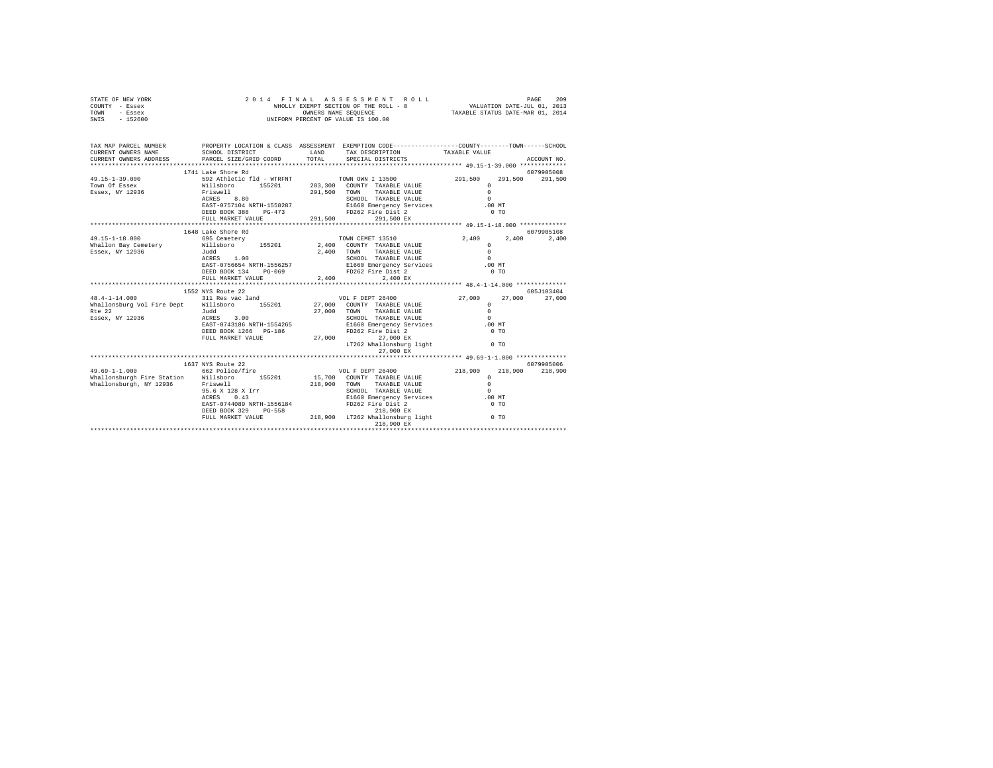| STATE OF NEW YORK<br>COUNTY - Essex<br>TOWN - Essex<br>SWIS - 152600                                                                                                                                                                                                                                                                                   | 2014 FINAL ASSESSMENT R<br>WHOLLY EXEMPT SECTION OF THE ROLL - 8<br>OWNERS NAME SEQUENCE<br>UNIFORM PERCENT OF VALUE IS 100.00 | FINAL ASSESSMENT ROLL MALL PAGE 209<br>WHOLLY EXEMPT SECTION OF THE ROLL - 8<br>OWNERS NAME SEQUENCE TAXABLE STATUS DATE-MAR 01, 2014 |                                                                                                                                                                                                                                        |                         |  |             |
|--------------------------------------------------------------------------------------------------------------------------------------------------------------------------------------------------------------------------------------------------------------------------------------------------------------------------------------------------------|--------------------------------------------------------------------------------------------------------------------------------|---------------------------------------------------------------------------------------------------------------------------------------|----------------------------------------------------------------------------------------------------------------------------------------------------------------------------------------------------------------------------------------|-------------------------|--|-------------|
| TAX MAP PARCEL NUMBER PROPERTY LOCATION & CLASS ASSESSMENT EXEMPTION CODE--------------COUNTY-------TOWN------SCHOOL<br>CURRENT OWNERS NAME                                                                                                                                                                                                            | SCHOOL DISTRICT                                                                                                                | LAND                                                                                                                                  | TAX DESCRIPTION TAXABLE VALUE                                                                                                                                                                                                          |                         |  |             |
| CURRENT OWNERS ADDRESS<br>*************************                                                                                                                                                                                                                                                                                                    | PARCEL SIZE/GRID COORD                                                                                                         | TOTAL                                                                                                                                 | SPECIAL DISTRICTS                                                                                                                                                                                                                      |                         |  | ACCOUNT NO. |
|                                                                                                                                                                                                                                                                                                                                                        | 1741 Lake Shore Rd                                                                                                             |                                                                                                                                       |                                                                                                                                                                                                                                        |                         |  | 6079905008  |
| 49.15-1-39.000                                                                                                                                                                                                                                                                                                                                         |                                                                                                                                |                                                                                                                                       | 1/1 Bag Jackbook Musiko (11 - WTRFNT TOWN OWN I 13500<br>Willshoro 155201 283,300 COUNTY TAXABLE VALUE<br>Friswell 291,500 TOWN TAXABLE VALUE<br>RCRES 8.80 SCHOOL TAXABLE VALUE<br>REST-0757104 NRTH-1558287 ELECT PROPERTY SETTING T | 291,500 291,500 291,500 |  |             |
| Town Of Essex                                                                                                                                                                                                                                                                                                                                          |                                                                                                                                |                                                                                                                                       |                                                                                                                                                                                                                                        | $\Omega$                |  |             |
| Essex, NY 12936                                                                                                                                                                                                                                                                                                                                        |                                                                                                                                |                                                                                                                                       |                                                                                                                                                                                                                                        | $\sim$ 0                |  |             |
|                                                                                                                                                                                                                                                                                                                                                        |                                                                                                                                |                                                                                                                                       |                                                                                                                                                                                                                                        | $\sim$                  |  |             |
|                                                                                                                                                                                                                                                                                                                                                        |                                                                                                                                |                                                                                                                                       |                                                                                                                                                                                                                                        | .00 MT                  |  |             |
|                                                                                                                                                                                                                                                                                                                                                        |                                                                                                                                |                                                                                                                                       | FULL MARKET VALUE $291,500$ 291,500 EX                                                                                                                                                                                                 | 0 <sub>T</sub>          |  |             |
|                                                                                                                                                                                                                                                                                                                                                        |                                                                                                                                |                                                                                                                                       | *********************************** 49.15-1-18.000 *************                                                                                                                                                                       |                         |  |             |
|                                                                                                                                                                                                                                                                                                                                                        | 1648 Lake Shore Rd                                                                                                             |                                                                                                                                       |                                                                                                                                                                                                                                        |                         |  | 6079905108  |
| 49.15-1-18.000                                                                                                                                                                                                                                                                                                                                         |                                                                                                                                |                                                                                                                                       | TOWN CEMET 13510                                                                                                                                                                                                                       | 2,400                   |  | 2,400 2,400 |
| Whallon Bay Cemetery                                                                                                                                                                                                                                                                                                                                   |                                                                                                                                |                                                                                                                                       |                                                                                                                                                                                                                                        | $\Omega$                |  |             |
| Essex, NY 12936                                                                                                                                                                                                                                                                                                                                        |                                                                                                                                |                                                                                                                                       | 2,400 TOWN TAXABLE VALUE                                                                                                                                                                                                               | $\Omega$                |  |             |
|                                                                                                                                                                                                                                                                                                                                                        |                                                                                                                                |                                                                                                                                       |                                                                                                                                                                                                                                        | $\sim$ 0                |  |             |
|                                                                                                                                                                                                                                                                                                                                                        | EAST-0756654 NRTH-1556257                                                                                                      |                                                                                                                                       | SCHOOL TAXABLE VALUE 0<br>E1660 Emergency Services 0.00 MT                                                                                                                                                                             |                         |  |             |
|                                                                                                                                                                                                                                                                                                                                                        | DEED BOOK 134 PG-069                                                                                                           |                                                                                                                                       | FD262 Fire Dist 2                                                                                                                                                                                                                      | 0.70                    |  |             |
|                                                                                                                                                                                                                                                                                                                                                        | FULL MARKET VALUE                                                                                                              | 2.400                                                                                                                                 | 2,400 EX<br>************************ 48.4-1-14.000 **************                                                                                                                                                                      |                         |  |             |
|                                                                                                                                                                                                                                                                                                                                                        | 1552 NYS Route 22                                                                                                              |                                                                                                                                       |                                                                                                                                                                                                                                        |                         |  | 605J103404  |
|                                                                                                                                                                                                                                                                                                                                                        |                                                                                                                                |                                                                                                                                       |                                                                                                                                                                                                                                        |                         |  |             |
| $\begin{array}{cccccccc} & & & & 1552\ \text{NTS} & \text{Route 22} & & & & & \\ 48.4-1-14.000 && 1552\ \text{NTS} & \text{NIS} & \text{Root} & \text{27} & & & & \\ & & & & 31\ \text{Res} & \text{vac land} && 27,000 && 27,000 && 27,000 && 27,000 && 27,000 && 27,000 && 27,000 && 27,000 && 27,000 && 27,000 && 27,000 && 27,000 && 27,000 && 27$ |                                                                                                                                |                                                                                                                                       |                                                                                                                                                                                                                                        |                         |  |             |
|                                                                                                                                                                                                                                                                                                                                                        |                                                                                                                                |                                                                                                                                       |                                                                                                                                                                                                                                        |                         |  |             |
|                                                                                                                                                                                                                                                                                                                                                        |                                                                                                                                |                                                                                                                                       | SCHOOL TAXABLE VALUE                                                                                                                                                                                                                   | $\sim$ 0                |  |             |
|                                                                                                                                                                                                                                                                                                                                                        |                                                                                                                                |                                                                                                                                       | E1660 Emergency Services .00 MT                                                                                                                                                                                                        |                         |  |             |
|                                                                                                                                                                                                                                                                                                                                                        | DEED BOOK 1266 PG-186                                                                                                          |                                                                                                                                       | FD262 Fire Dist 2                                                                                                                                                                                                                      | 0 <sub>T</sub>          |  |             |
|                                                                                                                                                                                                                                                                                                                                                        | FULL MARKET VALUE                                                                                                              |                                                                                                                                       | 27,000 27,000 EX                                                                                                                                                                                                                       |                         |  |             |
|                                                                                                                                                                                                                                                                                                                                                        |                                                                                                                                |                                                                                                                                       | LT262 Whallonsburg light 0 TO                                                                                                                                                                                                          |                         |  |             |
|                                                                                                                                                                                                                                                                                                                                                        |                                                                                                                                |                                                                                                                                       | 27,000 EX                                                                                                                                                                                                                              |                         |  |             |
|                                                                                                                                                                                                                                                                                                                                                        |                                                                                                                                |                                                                                                                                       |                                                                                                                                                                                                                                        |                         |  | 6079905006  |
| $49.69 - 1 - 1.000$                                                                                                                                                                                                                                                                                                                                    | 1637 NYS Route 22<br>662 Police/fire                                                                                           |                                                                                                                                       | VOL F DEPT 26400                                                                                                                                                                                                                       | 218,900 218,900 218,900 |  |             |
| Whallonsburgh Fire Station Willsboro 155201                                                                                                                                                                                                                                                                                                            |                                                                                                                                |                                                                                                                                       | VOL F DEFT ZONOU<br>15,700 COUNTY TAXABLE VALUE<br>TIME TALLE VALUE                                                                                                                                                                    | $\sim$ 0                |  |             |
| Whallonsburgh, NY 12936                                                                                                                                                                                                                                                                                                                                | Friswell                                                                                                                       |                                                                                                                                       | 218,900 TOWN TAXABLE VALUE                                                                                                                                                                                                             | $\Omega$                |  |             |
|                                                                                                                                                                                                                                                                                                                                                        | 95.6 X 128 X Irr<br>ACRES 0.43                                                                                                 |                                                                                                                                       | SCHOOL TAXABLE VALUE                                                                                                                                                                                                                   | $\sim$ 0                |  |             |
|                                                                                                                                                                                                                                                                                                                                                        |                                                                                                                                |                                                                                                                                       | E1660 Emergency Services .00 MT                                                                                                                                                                                                        |                         |  |             |
|                                                                                                                                                                                                                                                                                                                                                        |                                                                                                                                |                                                                                                                                       |                                                                                                                                                                                                                                        |                         |  |             |
|                                                                                                                                                                                                                                                                                                                                                        |                                                                                                                                |                                                                                                                                       |                                                                                                                                                                                                                                        |                         |  |             |
|                                                                                                                                                                                                                                                                                                                                                        |                                                                                                                                |                                                                                                                                       | 218,900 EX                                                                                                                                                                                                                             |                         |  |             |
|                                                                                                                                                                                                                                                                                                                                                        |                                                                                                                                |                                                                                                                                       |                                                                                                                                                                                                                                        |                         |  |             |
|                                                                                                                                                                                                                                                                                                                                                        |                                                                                                                                |                                                                                                                                       |                                                                                                                                                                                                                                        |                         |  |             |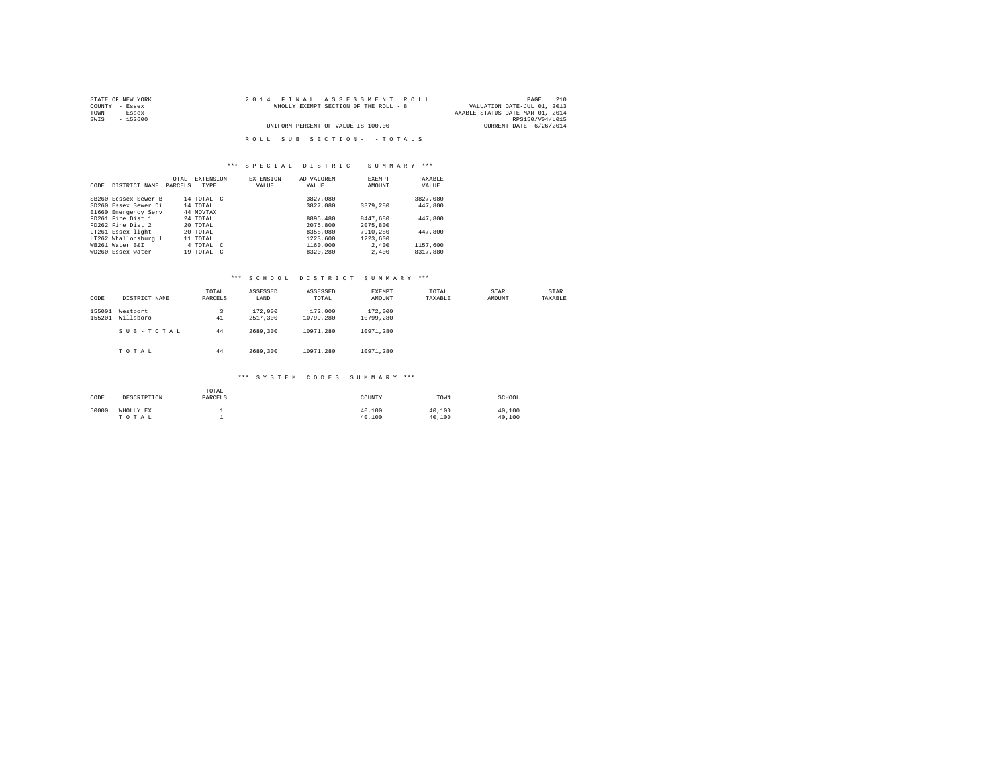| STATE OF NEW YORK | 2014 FINAL ASSESSMENT ROLL            | 210<br>PAGE                      |
|-------------------|---------------------------------------|----------------------------------|
| COUNTY - Essex    | WHOLLY EXEMPT SECTION OF THE ROLL - 8 | VALUATION DATE-JUL 01, 2013      |
| TOWN<br>- Essex   |                                       | TAXABLE STATUS DATE-MAR 01, 2014 |
| SWIS<br>- 152600  |                                       | RPS150/V04/L015                  |
|                   | UNIFORM PERCENT OF VALUE IS 100.00    | CURRENT DATE 6/26/2014           |
|                   |                                       |                                  |
|                   | ROLL SUB SECTION- - TOTALS            |                                  |

| CODE | DISTRICT NAME        | TOTAL<br>PARCELS | <b>EXTENSION</b><br>TYPE | EXTENSION<br>VALUE | AD VALOREM<br>VALUE | EXEMPT<br>AMOUNT | TAXABLE<br>VALUE |
|------|----------------------|------------------|--------------------------|--------------------|---------------------|------------------|------------------|
|      |                      |                  |                          |                    |                     |                  |                  |
|      | SB260 Eessex Sewer B |                  | 14 TOTAL C               |                    | 3827,080            |                  | 3827.080         |
|      | SD260 Essex Sewer Di |                  | 14 TOTAL                 |                    | 3827,080            | 3379,280         | 447.800          |
|      | E1660 Emergency Serv |                  | 44 MOVTAX                |                    |                     |                  |                  |
|      | FD261 Fire Dist 1    |                  | 24 TOTAL                 |                    | 8895,480            | 8447.680         | 447.800          |
|      | FD262 Fire Dist 2    |                  | 20 TOTAL                 |                    | 2075,800            | 2075,800         |                  |
|      | LT261 Essex light    |                  | 20 TOTAL                 |                    | 8358,080            | 7910,280         | 447.800          |
|      | LT262 Whallonsburg 1 |                  | 11 TOTAL                 |                    | 1223,600            | 1223,600         |                  |
|      | WB261 Water B&I      |                  | 4 TOTAL C                |                    | 1160,000            | 2,400            | 1157.600         |
|      | WD260 Essex water    |                  | $19$ TOTAL $C$           |                    | 8320.280            | 2,400            | 8317,880         |

# \*\*\* S C H O O L D I S T R I C T S U M M A R Y \*\*\*

| CODE             | DISTRICT NAME         | TOTAL<br>PARCELS | ASSESSED<br>LAND    | ASSESSED<br>TOTAL    | EXEMPT<br>AMOUNT     | TOTAL<br>TAXABLE | STAR<br>AMOUNT | STAR<br>TAXABLE |
|------------------|-----------------------|------------------|---------------------|----------------------|----------------------|------------------|----------------|-----------------|
| 155001<br>155201 | Westport<br>Willsboro | 3<br>41          | 172,000<br>2517.300 | 172,000<br>10799.280 | 172,000<br>10799.280 |                  |                |                 |
|                  | SUB-TOTAL             | 44               | 2689,300            | 10971.280            | 10971.280            |                  |                |                 |
|                  | TOTAL                 | 44               | 2689,300            | 10971.280            | 10971.280            |                  |                |                 |

### \*\*\* S Y S T E M C O D E S S U M M A R Y \*\*\*

| CODE  | DESCRIPTION        | TOTAL<br>PARCELS | COUNTY           | TOWN             | SCHOOL           |
|-------|--------------------|------------------|------------------|------------------|------------------|
| 50000 | WHOLLY EX<br>TOTAL |                  | 40,100<br>40,100 | 40,100<br>40,100 | 40.100<br>40,100 |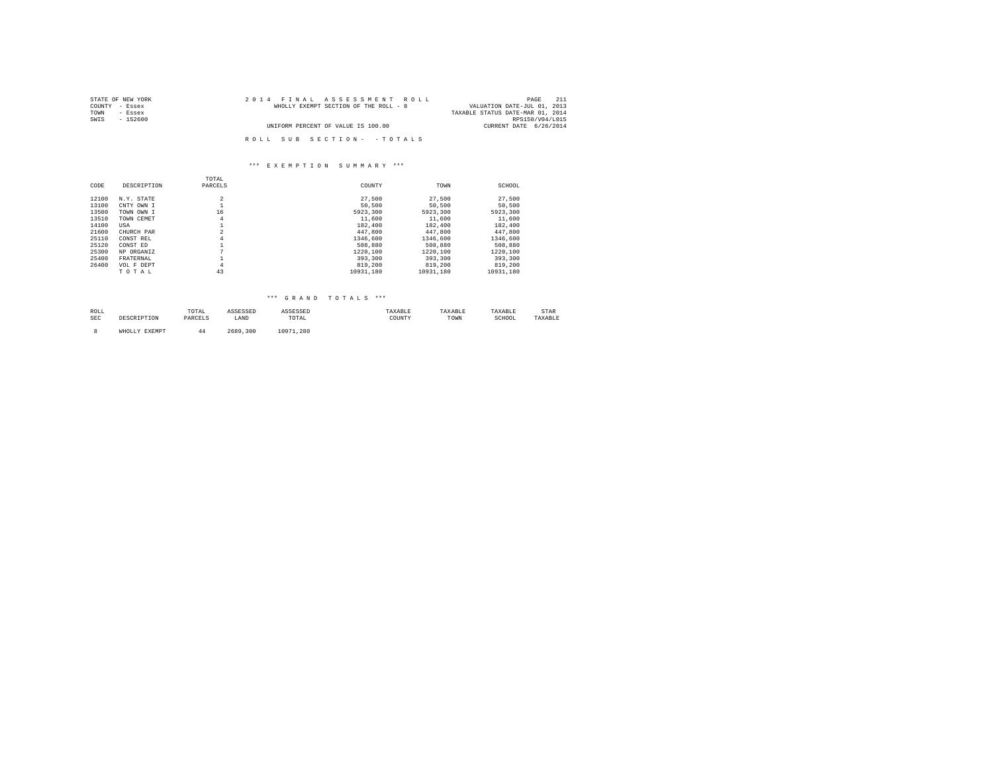| STATE OF NEW YORK | 2014 FINAL ASSESSMENT ROLL            | 211<br>PAGE                      |
|-------------------|---------------------------------------|----------------------------------|
| COUNTY - Essex    | WHOLLY EXEMPT SECTION OF THE ROLL - 8 | VALUATION DATE-JUL 01, 2013      |
| TOWN<br>- Essex   |                                       | TAXABLE STATUS DATE-MAR 01, 2014 |
| SWIS<br>- 152600  |                                       | RPS150/V04/L015                  |
|                   | UNIFORM PERCENT OF VALUE IS 100.00    | CURRENT DATE 6/26/2014           |
|                   |                                       |                                  |
|                   | ROLL SUB SECTION- - TOTALS            |                                  |

#### \*\*\* E X E M P T I O N S U M M A R Y \*\*\*

|       |             | TOTAL   |           |           |           |
|-------|-------------|---------|-----------|-----------|-----------|
| CODE  | DESCRIPTION | PARCELS | COUNTY    | TOWN      | SCHOOL    |
| 12100 | N.Y. STATE  | 2       | 27,500    | 27.500    | 27,500    |
| 13100 | CNTY OWN I  |         | 50,500    | 50,500    | 50,500    |
| 13500 | TOWN OWN I  | 16      | 5923,300  | 5923,300  | 5923,300  |
| 13510 | TOWN CEMET  | 4       | 11,600    | 11,600    | 11,600    |
| 14100 | USA         |         | 182,400   | 182,400   | 182,400   |
| 21600 | CHURCH PAR  |         | 447,800   | 447.800   | 447.800   |
| 25110 | CONST REL   | 4       | 1346,600  | 1346,600  | 1346,600  |
| 25120 | CONST ED    |         | 508,880   | 508,880   | 508,880   |
| 25300 | NP ORGANIZ  | n       | 1220.100  | 1220.100  | 1220.100  |
| 25400 | FRATERNAL   |         | 393,300   | 393,300   | 393,300   |
| 26400 | VOL F DEPT  | 4       | 819,200   | 819,200   | 819,200   |
|       | TOTAL       | 43      | 10931.180 | 10931.180 | 10931.180 |

# \*\*\* G R A N D T O T A L S \*\*\*

| ROLI<br>the contract of the contract of the |          | TOTAL   |      | ے در                                                     |             |      | ז דם הי<br>. | STAR    |
|---------------------------------------------|----------|---------|------|----------------------------------------------------------|-------------|------|--------------|---------|
| SEC                                         | 5 1 1 VW | ------- | LAND | TOTAL<br>the contract of the contract of the contract of | COUNTY<br>. | TOWN | SCHOOL<br>.  | TAXABLE |
|                                             |          |         |      |                                                          |             |      |              |         |

8 WHOLLY EXEMPT 44 2689,300 10971,280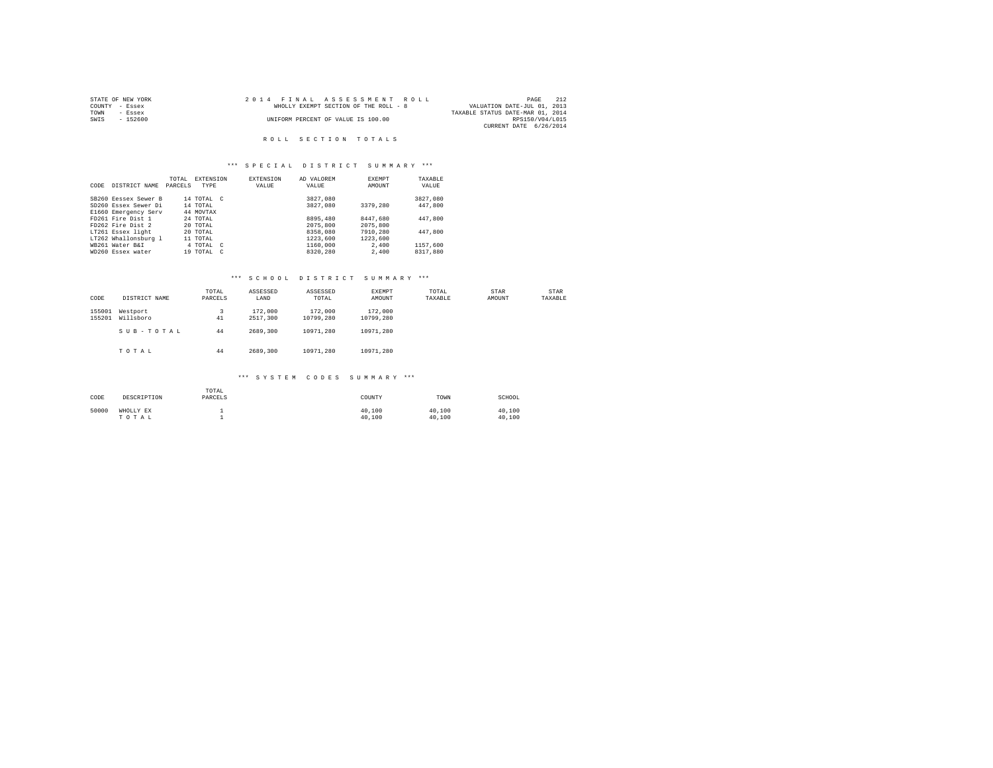|      | STATE OF NEW YORK | 2014 FINAL ASSESSMENT ROLL            | PAGE                             | 212 |
|------|-------------------|---------------------------------------|----------------------------------|-----|
|      | COUNTY - Essex    | WHOLLY EXEMPT SECTION OF THE ROLL - 8 | VALUATION DATE-JUL 01, 2013      |     |
| TOWN | - Essex           |                                       | TAXABLE STATUS DATE-MAR 01, 2014 |     |
| SWIS | $-152600$         | UNIFORM PERCENT OF VALUE IS 100.00    | RPS150/V04/L015                  |     |
|      |                   |                                       | CURRENT DATE 6/26/2014           |     |

# ROLL SECTION TOTALS

# \*\*\* S P E C I A L D I S T R I C T S U M M A R Y \*\*\*

|      |                      | TOTAL   | <b>EXTENSION</b> | <b>EXTENSION</b> | AD VALOREM | EXEMPT   | TAXABLE  |
|------|----------------------|---------|------------------|------------------|------------|----------|----------|
| CODE | DISTRICT NAME        | PARCELS | <b>TYPE</b>      | VALUE            | VALUE      | AMOUNT   | VALUE    |
|      |                      |         |                  |                  |            |          |          |
|      | SB260 Eessex Sewer B |         | 14 TOTAL C       |                  | 3827.080   |          | 3827,080 |
|      | SD260 Essex Sewer Di |         | 14 TOTAL         |                  | 3827,080   | 3379,280 | 447,800  |
|      | E1660 Emergency Serv |         | 44 MOVTAX        |                  |            |          |          |
|      | FD261 Fire Dist 1    |         | 24 TOTAL         |                  | 8895,480   | 8447.680 | 447.800  |
|      | FD262 Fire Dist 2    |         | 20 TOTAL         |                  | 2075,800   | 2075,800 |          |
|      | LT261 Essex light    |         | 20 TOTAL         |                  | 8358,080   | 7910,280 | 447.800  |
|      | LT262 Whallonsburg 1 |         | 11 TOTAL         |                  | 1223,600   | 1223,600 |          |
|      | WB261 Water B&I      |         | 4 TOTAL C        |                  | 1160,000   | 2,400    | 1157.600 |
|      | WD260 Essex water    |         | 19 TOTAL C       |                  | 8320.280   | 2,400    | 8317,880 |

# \*\*\* S C H O O L D I S T R I C T S U M M A R Y \*\*\*

| CODE             | DISTRICT NAME         | TOTAL<br>PARCELS | ASSESSED<br>LAND    | ASSESSED<br>TOTAL    | EXEMPT<br>AMOUNT     | TOTAL<br>TAXABLE | STAR<br>AMOUNT | STAR<br>TAXABLE |
|------------------|-----------------------|------------------|---------------------|----------------------|----------------------|------------------|----------------|-----------------|
| 155001<br>155201 | Westport<br>Willsboro | 3<br>41          | 172,000<br>2517,300 | 172,000<br>10799.280 | 172,000<br>10799.280 |                  |                |                 |
|                  | SUB-TOTAL             | 44               | 2689,300            | 10971.280            | 10971.280            |                  |                |                 |
|                  | TOTAL                 | 44               | 2689,300            | 10971.280            | 10971.280            |                  |                |                 |

# \*\*\* S Y S T E M C O D E S S U M M A R Y \*\*\*

| CODE  | DESCRIPTION        | TOTAL<br>PARCELS | COUNTY           | TOWN             | SCHOOL           |
|-------|--------------------|------------------|------------------|------------------|------------------|
| 50000 | WHOLLY EX<br>TOTAL |                  | 40,100<br>40,100 | 40,100<br>40,100 | 40,100<br>40,100 |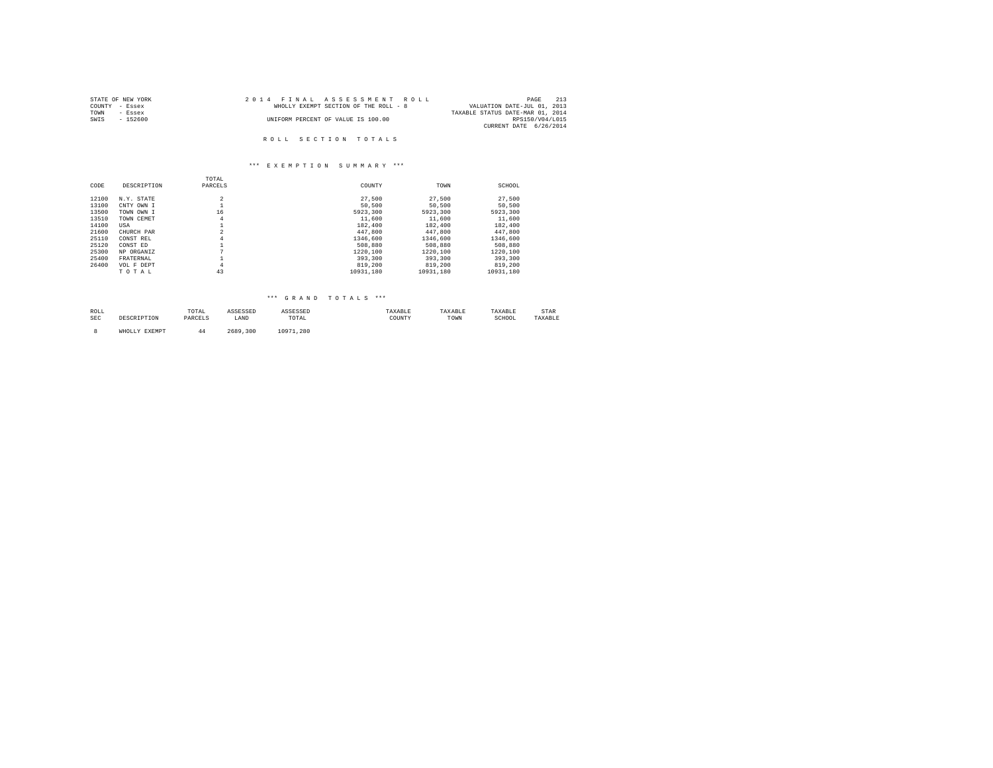| STATE OF NEW YORK | 2014 FINAL ASSESSMENT ROLL            | 213<br>PAGE                      |
|-------------------|---------------------------------------|----------------------------------|
| COUNTY - Essex    | WHOLLY EXEMPT SECTION OF THE ROLL - 8 | VALUATION DATE-JUL 01, 2013      |
| TOWN<br>- Essex   |                                       | TAXABLE STATUS DATE-MAR 01, 2014 |
| SWTS<br>- 152600  | UNIFORM PERCENT OF VALUE IS 100.00    | RPS150/V04/L015                  |
|                   |                                       | CURRENT DATE 6/26/2014           |
|                   |                                       |                                  |
|                   | ROLL SECTION TOTALS                   |                                  |

# \*\*\* E X E M P T I O N S U M M A R Y \*\*\*

|       |             | TOTAL          |           |           |           |
|-------|-------------|----------------|-----------|-----------|-----------|
| CODE  | DESCRIPTION | PARCELS        | COUNTY    | TOWN      | SCHOOL    |
| 12100 | N.Y. STATE  | $\overline{2}$ | 27,500    | 27,500    | 27,500    |
| 13100 | CNTY OWN I  |                | 50,500    | 50,500    | 50,500    |
| 13500 | TOWN OWN I  | 16             | 5923,300  | 5923,300  | 5923,300  |
| 13510 | TOWN CEMET  | 4              | 11,600    | 11,600    | 11,600    |
| 14100 | USA         |                | 182,400   | 182,400   | 182,400   |
| 21600 | CHURCH PAR  | $\overline{2}$ | 447.800   | 447.800   | 447.800   |
| 25110 | CONST REL   | 4              | 1346,600  | 1346.600  | 1346,600  |
| 25120 | CONST ED    |                | 508,880   | 508,880   | 508,880   |
| 25300 | NP ORGANIZ  | $\mathbf{r}$   | 1220,100  | 1220.100  | 1220.100  |
| 25400 | FRATERNAL   |                | 393,300   | 393,300   | 393,300   |
| 26400 | VOL F DEPT  | 4              | 819,200   | 819,200   | 819,200   |
|       | TOTAL       | 43             | 10931.180 | 10931.180 | 10931.180 |

# \*\*\* G R A N D T O T A L S \*\*\*

| ROLL<br>the contract of the contract of the |      | TOTAL                                |      |                                                          | .      | سمد  | LAXABLE     | . LAK |
|---------------------------------------------|------|--------------------------------------|------|----------------------------------------------------------|--------|------|-------------|-------|
| SEC                                         | ---- | 1.3 N <sub>1</sub><br><i>FANCBEL</i> | LAND | TOTAL<br>the contract of the contract of the contract of | COUNTY | TOWN | SCHUUL<br>. |       |
|                                             |      |                                      |      |                                                          |        |      |             |       |

8 WHOLLY EXEMPT 44 2689,300 10971,280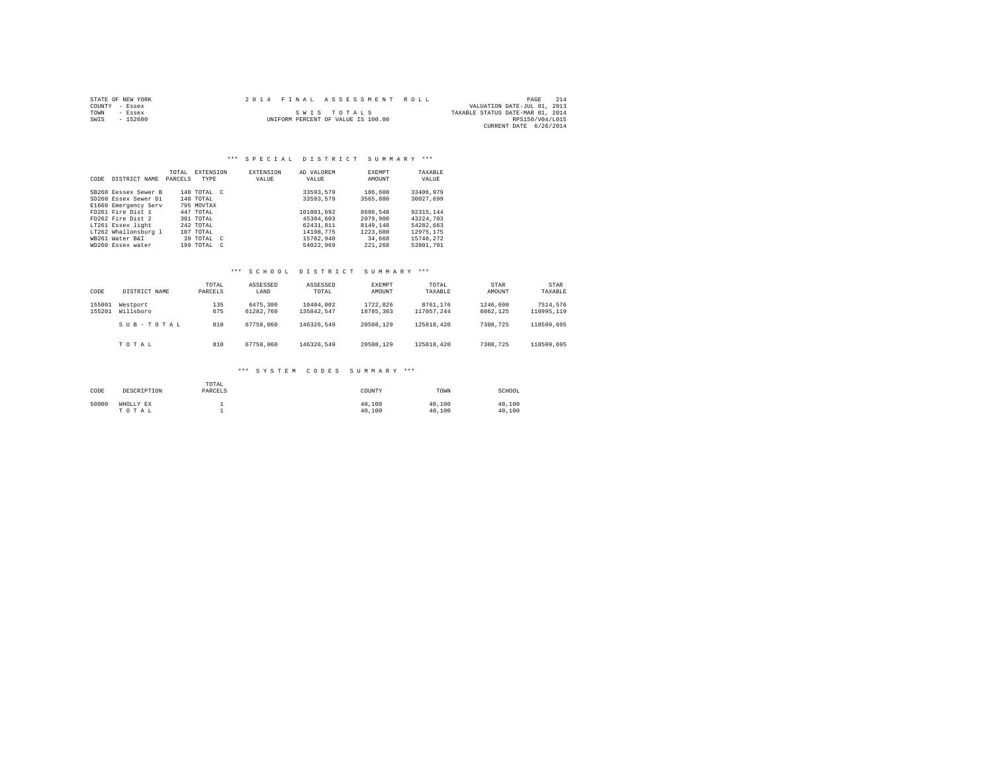|      | STATE OF NEW YORK |  | 2014 FINAL ASSESSMENT ROLL         |                                  | PAGE            | 214 |
|------|-------------------|--|------------------------------------|----------------------------------|-----------------|-----|
|      | COUNTY - Essex    |  |                                    | VALUATION DATE-JUL 01, 2013      |                 |     |
| TOWN | - Essex           |  | SWIS TOTALS                        | TAXABLE STATUS DATE-MAR 01, 2014 |                 |     |
| SWIS | $-152600$         |  | UNIFORM PERCENT OF VALUE IS 100.00 |                                  | RPS150/V04/L015 |     |
|      |                   |  |                                    | CURRENT DATE 6/26/2014           |                 |     |

| CODE | DISTRICT NAME        | TOTAL.<br>PARCELS | <b>EXTENSION</b><br>TYPE | <b>EXTENSION</b><br>VALUE | AD VALOREM<br>VALUE | <b>EXEMPT</b><br>AMOUNT | TAXABLE<br>VALUE |
|------|----------------------|-------------------|--------------------------|---------------------------|---------------------|-------------------------|------------------|
|      | SB260 Eessex Sewer B |                   | 148 TOTAL C              |                           | 33593.579           | 186,600                 | 33406.979        |
|      | SD260 Essex Sewer Di |                   | 148 TOTAL                |                           | 33593.579           | 3565,880                | 30027.699        |
|      | E1660 Emergency Serv |                   | 795 MOVTAX               |                           |                     |                         |                  |
|      | FD261 Fire Dist 1    |                   | 447 TOTAL                |                           | 101001.692          | 8686.548                | 92315.144        |
|      | FD262 Fire Dist 2    |                   | 381 TOTAL                |                           | 45304,603           | 2079,900                | 43224.703        |
|      | LT261 Essex light    |                   | 242 TOTAL                |                           | 62431.811           | 8149.148                | 54282.663        |
|      | LT262 Whallonsburg 1 |                   | 107 TOTAL                |                           | 14198.775           | 1223,600                | 12975.175        |
|      | WB261 Water B&I      |                   | 39 TOTAL C               |                           | 15782.940           | 34,668                  | 15748.272        |
|      | WD260 Essex water    |                   | 199 TOTAL C              |                           | 54022.969           | 221,268                 | 53801.701        |

# \*\*\* S C H O O L D I S T R I C T S U M M A R Y \*\*\*

| CODE             | DISTRICT NAME         | TOTAL<br>PARCELS | ASSESSED<br>LAND      | ASSESSED<br>TOTAL       | EXEMPT<br>AMOUNT      | TOTAL<br>TAXABLE       | STAR<br>AMOUNT       | STAR<br>TAXABLE        |
|------------------|-----------------------|------------------|-----------------------|-------------------------|-----------------------|------------------------|----------------------|------------------------|
| 155001<br>155201 | Westport<br>Willsboro | 135<br>675       | 6475,300<br>61282.760 | 10484,002<br>135842.547 | 1722.826<br>18785,303 | 8761.176<br>117057.244 | 1246,600<br>6062.125 | 7514,576<br>110995,119 |
|                  | SUB-TOTAL             | 810              | 67758.060             | 146326.549              | 20508.129             | 125818,420             | 7308,725             | 118509,695             |
|                  | TOTAL                 | 810              | 67758.060             | 146326.549              | 20508.129             | 125818,420             | 7308,725             | 118509.695             |

### \*\*\* S Y S T E M C O D E S S U M M A R Y \*\*\*

| CODE  | DESCRIPTION        | TOTAL<br>PARCELS | COUNTY           | TOWN             | SCHOOL           |
|-------|--------------------|------------------|------------------|------------------|------------------|
| 50000 | WHOLLY EX<br>TOTAL |                  | 40.100<br>40,100 | 40.100<br>40,100 | 40.100<br>40.100 |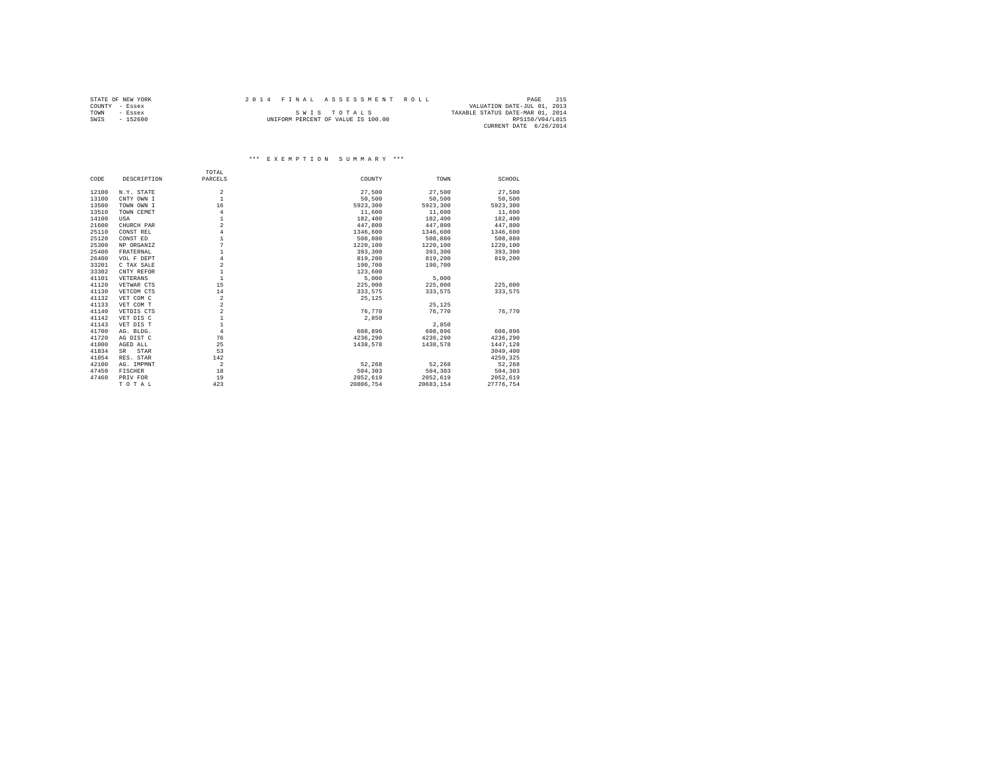|      | STATE OF NEW YORK | 2014 FINAL ASSESSMENT ROLL |                                    |                                  | PAGE            | 215 |
|------|-------------------|----------------------------|------------------------------------|----------------------------------|-----------------|-----|
|      | COUNTY - Essex    |                            |                                    | VALUATION DATE-JUL 01, 2013      |                 |     |
| TOWN | $-$ Essex         |                            | SWIS TOTALS                        | TAXABLE STATUS DATE-MAR 01, 2014 |                 |     |
| SWIS | $-152600$         |                            | UNIFORM PERCENT OF VALUE IS 100.00 |                                  | RPS150/V04/L015 |     |
|      |                   |                            |                                    | CURRENT DATE 6/26/2014           |                 |     |

# \*\*\* E X E M P T I O N S U M M A R Y \*\*\*

|       |             | TOTAL          |           |           |           |
|-------|-------------|----------------|-----------|-----------|-----------|
| CODE  | DESCRIPTION | PARCELS        | COUNTY    | TOWN      | SCHOOL    |
| 12100 | N.Y. STATE  | $\overline{a}$ | 27,500    | 27,500    | 27,500    |
| 13100 | CNTY OWN I  | $\mathbf{1}$   | 50.500    | 50,500    | 50,500    |
| 13500 | TOWN OWN I  | 16             | 5923,300  | 5923,300  | 5923.300  |
| 13510 |             | $\overline{4}$ | 11,600    | 11,600    | 11,600    |
|       | TOWN CEMET  | $\mathbf{1}$   |           |           |           |
| 14100 | USA         |                | 182,400   | 182,400   | 182,400   |
| 21600 | CHURCH PAR  | $\overline{a}$ | 447.800   | 447.800   | 447.800   |
| 25110 | CONST REL   | $\overline{4}$ | 1346,600  | 1346,600  | 1346.600  |
| 25120 | CONST ED    | $\mathbf{1}$   | 508,880   | 508,880   | 508,880   |
| 25300 | NP ORGANIZ  | 7              | 1220,100  | 1220,100  | 1220,100  |
| 25400 | FRATERNAL   | $\mathbf{1}$   | 393,300   | 393,300   | 393,300   |
| 26400 | VOL F DEPT  | $\overline{4}$ | 819,200   | 819,200   | 819,200   |
| 33201 | C TAX SALE  | $\overline{a}$ | 190,700   | 190,700   |           |
| 33302 | CNTY REFOR  | $\mathbf{1}$   | 123,600   |           |           |
| 41101 | VETERANS    | $\mathbf{1}$   | 5,000     | 5,000     |           |
| 41120 | VETWAR CTS  | 15             | 225,000   | 225,000   | 225,000   |
| 41130 | VETCOM CTS  | 14             | 333,575   | 333.575   | 333,575   |
| 41132 | VET COM C   | $\overline{a}$ | 25,125    |           |           |
| 41133 | VET COM T   | $\overline{a}$ |           | 25.125    |           |
| 41140 | VETDIS CTS  | $\overline{a}$ | 76.770    | 76.770    | 76.770    |
| 41142 | VET DIS C   | $\mathbf{1}$   | 2,850     |           |           |
| 41143 | VET DIS T   | $\mathbf{1}$   |           | 2,850     |           |
| 41700 | AG. BLDG.   | $\overline{4}$ | 608,896   | 608,896   | 608,896   |
| 41720 | AG DIST C   | 76             | 4236.290  | 4236.290  | 4236.290  |
| 41800 | AGED ALL    | 25             | 1438.578  | 1438.578  | 1447.128  |
| 41834 | SR<br>STAR  | 53             |           |           | 3049,400  |
| 41854 | RES. STAR   | 142            |           |           | 4259.325  |
| 42100 | AG. IMPMNT  | $\overline{a}$ | 52.268    | 52.268    | 52.268    |
| 47450 | FISCHER     | 18             | 504,303   | 504,303   | 504,303   |
| 47460 | PRIV FOR    | 19             | 2052.619  | 2052.619  | 2052.619  |
|       | TOTAL       | 423            | 20806.754 | 20683.154 | 27776.754 |
|       |             |                |           |           |           |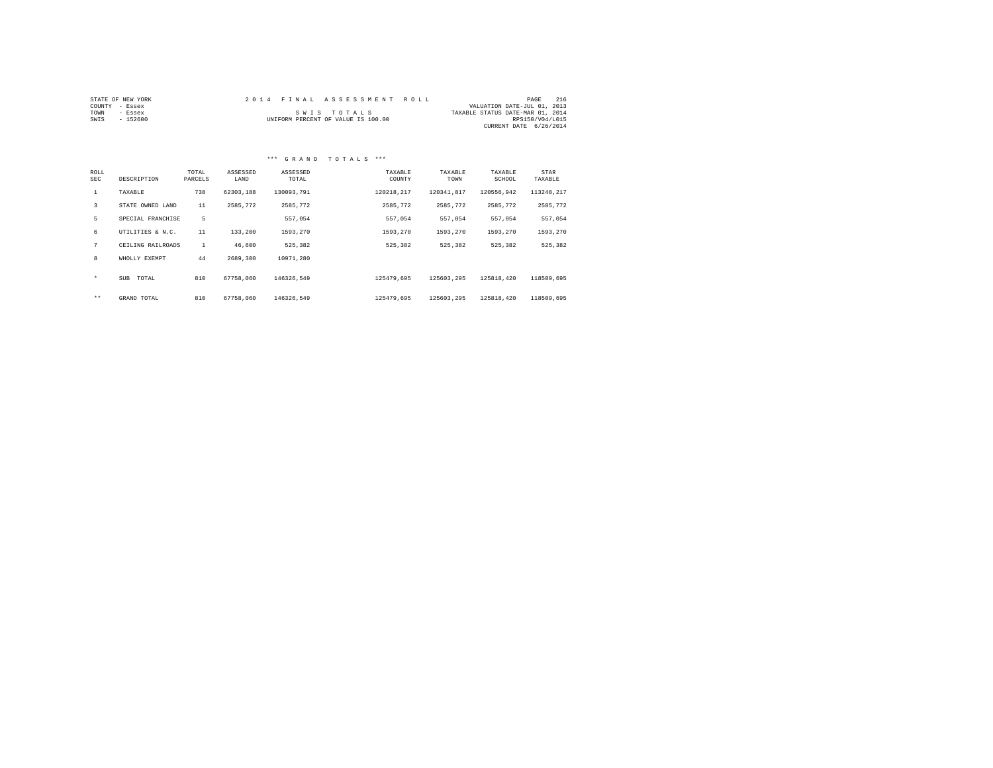|                | STATE OF NEW YORK |  | 2014 FINAL ASSESSMENT ROLL         |                                  | PAGE            | 216 |
|----------------|-------------------|--|------------------------------------|----------------------------------|-----------------|-----|
| COUNTY - Essex |                   |  |                                    | VALUATION DATE-JUL 01, 2013      |                 |     |
| TOWN           | - Essex           |  | SWIS TOTALS                        | TAXABLE STATUS DATE-MAR 01, 2014 |                 |     |
| SWIS           | - 152600          |  | UNIFORM PERCENT OF VALUE IS 100.00 |                                  | RPS150/V04/L015 |     |
|                |                   |  |                                    | CURRENT DATE 6/26/2014           |                 |     |

| ROLL<br><b>SEC</b> | DESCRIPTION         | TOTAL<br>PARCELS | ASSESSED<br>LAND | ASSESSED<br>TOTAL | TAXABLE<br>COUNTY | TAXABLE<br>TOWN | TAXABLE<br>SCHOOL | STAR<br>TAXABLE |
|--------------------|---------------------|------------------|------------------|-------------------|-------------------|-----------------|-------------------|-----------------|
| $\mathbf{1}$       | TAXABLE             | 738              | 62303,188        | 130093.791        | 120218.217        | 120341.817      | 120556.942        | 113248.217      |
| 3                  | STATE OWNED LAND    | 11               | 2585.772         | 2585.772          | 2585.772          | 2585.772        | 2585.772          | 2585,772        |
| 5                  | SPECIAL FRANCHISE   | 5                |                  | 557.054           | 557.054           | 557.054         | 557.054           | 557.054         |
| 6                  | UTILITIES & N.C.    | 11               | 133,200          | 1593.270          | 1593.270          | 1593.270        | 1593.270          | 1593,270        |
| 7                  | CEILING RAILROADS   | $\mathbf{1}$     | 46,600           | 525.382           | 525,382           | 525.382         | 525.382           | 525,382         |
| 8                  | WHOLLY EXEMPT       | 44               | 2689,300         | 10971.280         |                   |                 |                   |                 |
| $\star$            | <b>SUB</b><br>TOTAL | 810              | 67758,060        | 146326.549        | 125479.695        | 125603.295      | 125818.420        | 118509,695      |
| $***$              | GRAND TOTAL         | 810              | 67758,060        | 146326.549        | 125479.695        | 125603.295      | 125818,420        | 118509,695      |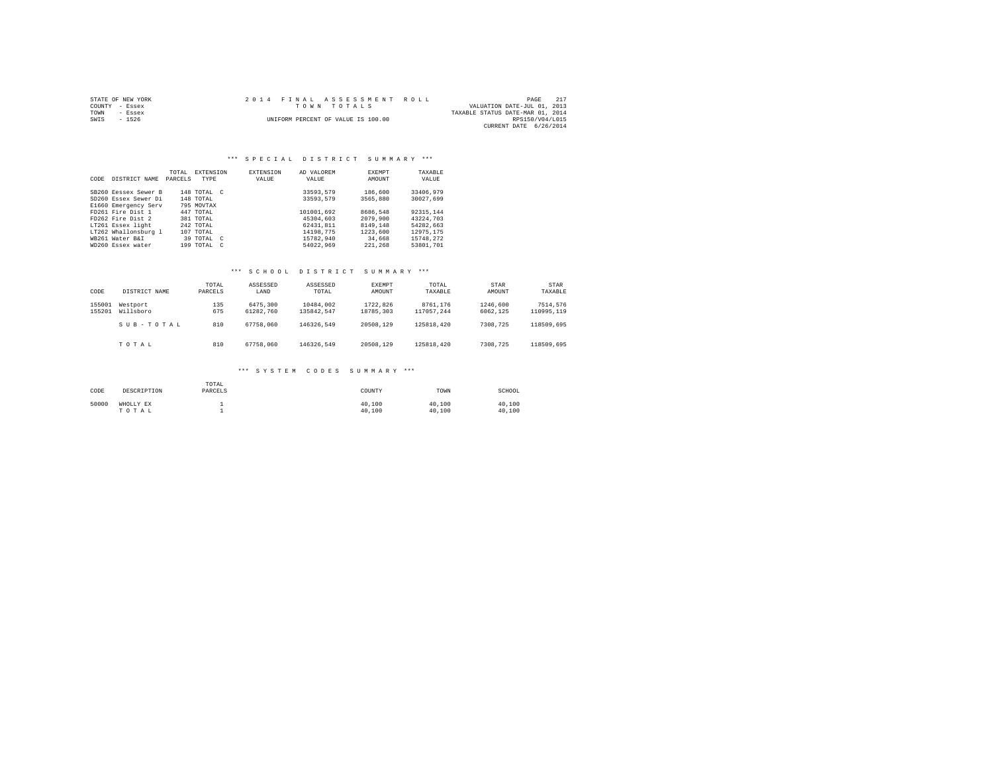| STATE OF NEW YORK | 2014 FINAL ASSESSMENT ROLL         | 21'<br>PAGE                      |
|-------------------|------------------------------------|----------------------------------|
| COUNTY - Essex    | TOWN TOTALS                        | VALUATION DATE-JUL 01, 2013      |
| TOWN<br>- Essex   |                                    | TAXABLE STATUS DATE-MAR 01, 2014 |
| SWIS<br>$-1526$   | UNIFORM PERCENT OF VALUE IS 100.00 | RPS150/V04/L015                  |
|                   |                                    | CURRENT DATE 6/26/2014           |

#### \*\*\* S P E C I A L D I S T R I C T S U M M A R Y \*\*\*

| CODE | DISTRICT NAME        | TOTAL<br>PARCELS | EXTENSION<br>TYPE |            | <b>EXTENSION</b><br>VALUE | AD VALOREM<br>VALUE | EXEMPT<br>AMOUNT | TAXABLE<br>VALUE |
|------|----------------------|------------------|-------------------|------------|---------------------------|---------------------|------------------|------------------|
|      | SB260 Eessex Sewer B |                  | 148 TOTAL C       |            |                           | 33593.579           | 186,600          | 33406.979        |
|      | SD260 Essex Sewer Di |                  | 148 TOTAL         |            |                           | 33593.579           | 3565,880         | 30027.699        |
|      | E1660 Emergency Serv |                  | 795 MOVTAX        |            |                           |                     |                  |                  |
|      | FD261 Fire Dist 1    |                  | 447 TOTAL         |            |                           | 101001.692          | 8686.548         | 92315.144        |
|      | FD262 Fire Dist 2    |                  | 381 TOTAL         |            |                           | 45304,603           | 2079,900         | 43224,703        |
|      | LT261 Essex light    |                  | 242 TOTAL         |            |                           | 62431.811           | 8149.148         | 54282.663        |
|      | LT262 Whallonsburg 1 |                  | 107 TOTAL         |            |                           | 14198.775           | 1223,600         | 12975.175        |
|      | WB261 Water B&I      |                  | 39 TOTAL C        |            |                           | 15782.940           | 34,668           | 15748.272        |
|      | WD260 Essex water    |                  | 199 TOTAL         | $\epsilon$ |                           | 54022.969           | 221,268          | 53801,701        |

# \*\*\* S C H O O L D I S T R I C T S U M M A R Y \*\*\*

| CODE             | DISTRICT NAME         | TOTAL<br>PARCELS | ASSESSED<br>LAND      | ASSESSED<br>TOTAL       | EXEMPT<br>AMOUNT      | TOTAL<br>TAXABLE       | STAR<br>AMOUNT       | <b>STAR</b><br>TAXABLE |
|------------------|-----------------------|------------------|-----------------------|-------------------------|-----------------------|------------------------|----------------------|------------------------|
| 155001<br>155201 | Westport<br>Willsboro | 135<br>675       | 6475,300<br>61282.760 | 10484,002<br>135842.547 | 1722.826<br>18785,303 | 8761.176<br>117057.244 | 1246,600<br>6062.125 | 7514,576<br>110995,119 |
|                  | SUB-TOTAL             | 810              | 67758.060             | 146326.549              | 20508.129             | 125818,420             | 7308,725             | 118509,695             |
|                  | TOTAL                 | 810              | 67758.060             | 146326.549              | 20508.129             | 125818,420             | 7308,725             | 118509.695             |

# \*\*\* S Y S T E M C O D E S S U M M A R Y \*\*\*

| CODE  | DESCRIPTION        | TOTAL<br>PARCELS | COUNTY           | TOWN             | SCHOOL           |
|-------|--------------------|------------------|------------------|------------------|------------------|
| 50000 | WHOLLY EX<br>TOTAL |                  | 40,100<br>40,100 | 40.100<br>40.100 | 40,100<br>40.100 |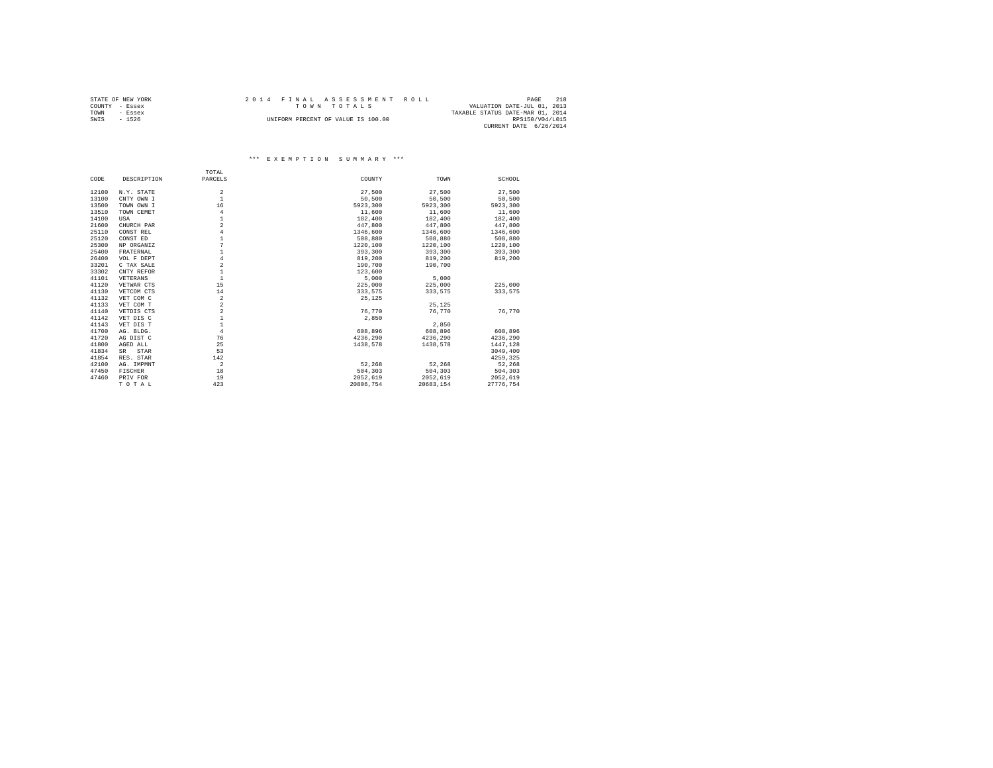| STATE OF NEW YORK | 2014 FINAL ASSESSMENT ROLL         | 218<br>PAGE                      |
|-------------------|------------------------------------|----------------------------------|
| COUNTY - Essex    | TOWN TOTALS                        | VALUATION DATE-JUL 01, 2013      |
| TOWN<br>- Essex   |                                    | TAXABLE STATUS DATE-MAR 01, 2014 |
| SWIS<br>$-1526$   | UNIFORM PERCENT OF VALUE IS 100.00 | RPS150/V04/L015                  |
|                   |                                    | CURRENT DATE 6/26/2014           |

# \*\*\* E X E M P T I O N S U M M A R Y \*\*\*

|       |             | TOTAL                   |           |           |           |
|-------|-------------|-------------------------|-----------|-----------|-----------|
| CODE  | DESCRIPTION | PARCELS                 | COUNTY    | TOWN      | SCHOOL    |
| 12100 | N.Y. STATE  | $\overline{\mathbf{2}}$ | 27,500    | 27,500    | 27,500    |
| 13100 | CNTY OWN I  | $\mathbf{1}$            | 50,500    | 50,500    | 50,500    |
| 13500 | TOWN OWN I  | 16                      | 5923.300  | 5923,300  | 5923,300  |
| 13510 | TOWN CEMET  | $\overline{4}$          | 11,600    | 11,600    | 11,600    |
| 14100 | USA         |                         | 182,400   | 182,400   | 182,400   |
| 21600 | CHURCH PAR  | $\overline{a}$          | 447,800   | 447,800   | 447,800   |
| 25110 | CONST REL   | $\overline{4}$          |           |           |           |
|       |             | $\mathbf{1}$            | 1346,600  | 1346,600  | 1346,600  |
| 25120 | CONST ED    | 7                       | 508,880   | 508,880   | 508,880   |
| 25300 | NP ORGANIZ  |                         | 1220,100  | 1220,100  | 1220,100  |
| 25400 | FRATERNAL   | $\mathbf{1}$            | 393,300   | 393,300   | 393,300   |
| 26400 | VOL F DEPT  | $\overline{4}$          | 819,200   | 819,200   | 819,200   |
| 33201 | C TAX SALE  | $\overline{a}$          | 190,700   | 190,700   |           |
| 33302 | CNTY REFOR  | $\mathbf{1}$            | 123,600   |           |           |
| 41101 | VETERANS    | $\mathbf{1}$            | 5,000     | 5,000     |           |
| 41120 | VETWAR CTS  | 15                      | 225,000   | 225,000   | 225,000   |
| 41130 | VETCOM CTS  | 14                      | 333,575   | 333.575   | 333.575   |
| 41132 | VET COM C   | $\overline{a}$          | 25,125    |           |           |
| 41133 | VET COM T   | $\overline{a}$          |           | 25.125    |           |
| 41140 | VETDIS CTS  | $\overline{a}$          | 76.770    | 76.770    | 76.770    |
| 41142 | VET DIS C   |                         | 2,850     |           |           |
| 41143 | VET DIS T   | $\mathbf{1}$            |           | 2,850     |           |
| 41700 | AG. BLDG.   | $\overline{4}$          | 608,896   | 608,896   | 608,896   |
| 41720 | AG DIST C   | 76                      | 4236.290  | 4236.290  | 4236,290  |
| 41800 | AGED ALL    | 25                      | 1438,578  | 1438,578  | 1447,128  |
| 41834 | SR<br>STAR  | 53                      |           |           | 3049,400  |
| 41854 | RES. STAR   | 142                     |           |           | 4259,325  |
| 42100 | AG. IMPMNT  | $\overline{a}$          | 52,268    | 52,268    | 52,268    |
| 47450 | FISCHER     | 18                      | 504,303   | 504,303   | 504,303   |
| 47460 | PRIV FOR    | 19                      | 2052.619  | 2052,619  | 2052.619  |
|       | TOTAL       | 423                     | 20806,754 | 20683,154 | 27776.754 |
|       |             |                         |           |           |           |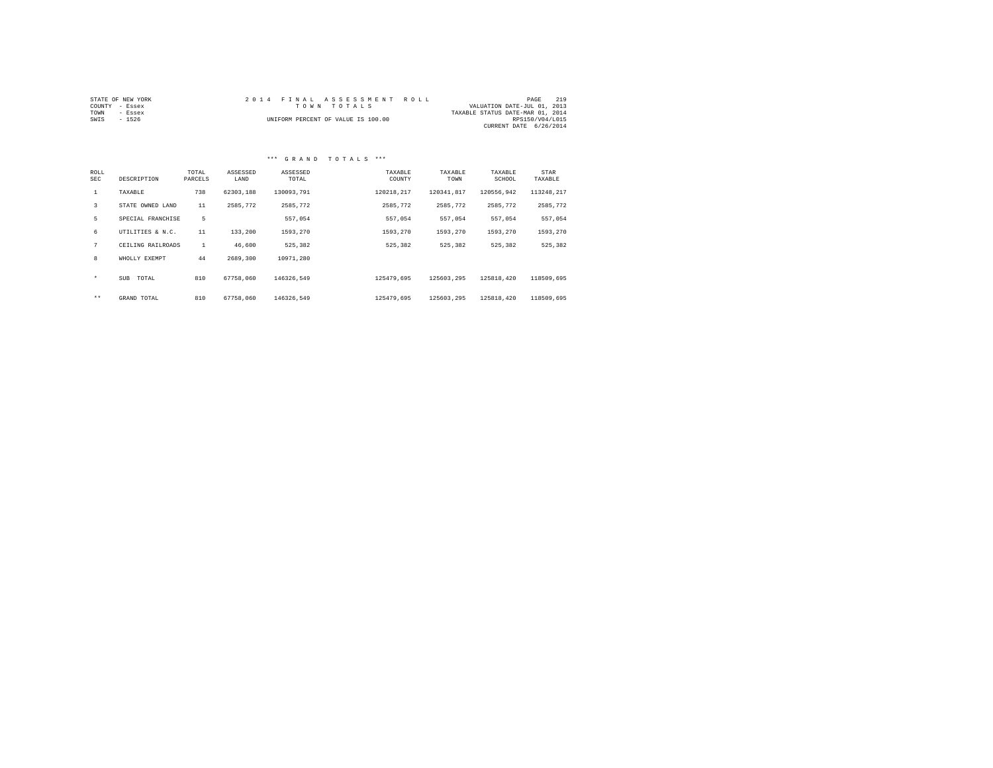| STATE OF NEW YORK |             | 2014 FINAL ASSESSMENT ROLL         |                                  | PAGE            | 219 |
|-------------------|-------------|------------------------------------|----------------------------------|-----------------|-----|
| COUNTY - Essex    | TOWN TOTALS |                                    | VALUATION DATE-JUL 01, 2013      |                 |     |
| TOWN<br>- Essex   |             |                                    | TAXABLE STATUS DATE-MAR 01, 2014 |                 |     |
| SWIS<br>$-1526$   |             | UNIFORM PERCENT OF VALUE IS 100.00 |                                  | RPS150/V04/L015 |     |
|                   |             |                                    | CURRENT DATE 6/26/2014           |                 |     |

# \*\*\* G R A N D T O T A L S \*\*\*

| ROLL<br><b>SEC</b> | DESCRIPTION         | TOTAL<br>PARCELS | ASSESSED<br>LAND | ASSESSED<br>TOTAL | TAXABLE<br>COUNTY | TAXABLE<br>TOWN | TAXABLE<br>SCHOOL | STAR<br>TAXABLE |
|--------------------|---------------------|------------------|------------------|-------------------|-------------------|-----------------|-------------------|-----------------|
| $\mathbf{1}$       | TAXABLE             | 738              | 62303,188        | 130093.791        | 120218.217        | 120341.817      | 120556.942        | 113248.217      |
| 3                  | STATE OWNED LAND    | 11               | 2585.772         | 2585.772          | 2585.772          | 2585.772        | 2585.772          | 2585,772        |
| 5                  | SPECIAL FRANCHISE   | 5                |                  | 557.054           | 557.054           | 557.054         | 557.054           | 557.054         |
| 6                  | UTILITIES & N.C.    | 11               | 133,200          | 1593.270          | 1593.270          | 1593.270        | 1593.270          | 1593,270        |
| 7                  | CEILING RAILROADS   | $\mathbf{1}$     | 46,600           | 525.382           | 525,382           | 525.382         | 525.382           | 525,382         |
| 8                  | WHOLLY EXEMPT       | 44               | 2689,300         | 10971.280         |                   |                 |                   |                 |
| $\star$            | <b>SUB</b><br>TOTAL | 810              | 67758,060        | 146326.549        | 125479.695        | 125603.295      | 125818.420        | 118509,695      |
| $***$              | GRAND TOTAL         | 810              | 67758,060        | 146326.549        | 125479.695        | 125603.295      | 125818,420        | 118509,695      |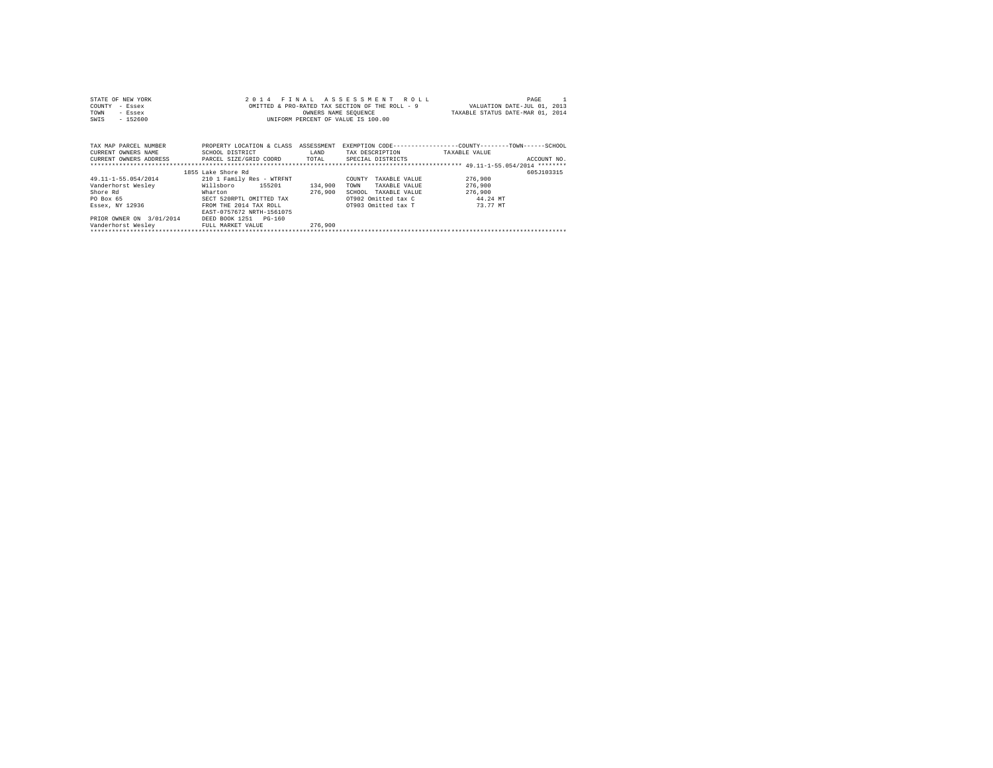| STATE OF NEW YORK<br>COUNTY<br>- Essex<br>TOWN<br>- Essex<br>$-152600$<br>SWIS | 2014                      | FTNAL      | ASSESSMENT ROLL<br>OMITTED & PRO-RATED TAX SECTION OF THE ROLL - 9<br>OWNERS NAME SEQUENCE<br>UNIFORM PERCENT OF VALUE IS 100.00 | PAGE<br>VALUATION DATE-JUL 01, 2013<br>TAXABLE STATUS DATE-MAR 01, 2014 |  |
|--------------------------------------------------------------------------------|---------------------------|------------|----------------------------------------------------------------------------------------------------------------------------------|-------------------------------------------------------------------------|--|
| TAX MAP PARCEL NUMBER                                                          | PROPERTY LOCATION & CLASS | ASSESSMENT |                                                                                                                                  | EXEMPTION CODE-----------------COUNTY-------TOWN------SCHOOL            |  |
| CURRENT OWNERS NAME                                                            | SCHOOL DISTRICT           | LAND       | TAX DESCRIPTION                                                                                                                  | TAXABLE VALUE                                                           |  |
| CURRENT OWNERS ADDRESS                                                         | PARCEL SIZE/GRID COORD    | TOTAL      | SPECIAL DISTRICTS                                                                                                                | ACCOUNT NO.                                                             |  |
|                                                                                |                           |            |                                                                                                                                  |                                                                         |  |
|                                                                                | 1855 Lake Shore Rd        |            |                                                                                                                                  | 605J103315                                                              |  |
| 49.11-1-55.054/2014                                                            | 210 1 Family Res - WTRFNT |            | COUNTY<br>TAXABLE VALUE                                                                                                          | 276,900                                                                 |  |
| Vanderhorst Wesley                                                             | Willsboro<br>155201       | 134,900    | TOWN<br>TAXABLE VALUE                                                                                                            | 276,900                                                                 |  |
| Shore Rd                                                                       | Wharton                   | 276,900    | SCHOOL<br>TAXABLE VALUE                                                                                                          | 276,900                                                                 |  |
| PO Box 65                                                                      | SECT 520RPTL OMITTED TAX  |            | OT902 Omitted tax C                                                                                                              | 44.24 MT                                                                |  |
| Essex, NY 12936                                                                | FROM THE 2014 TAX ROLL    |            | OT903 Omitted tax T                                                                                                              | 73.77 MT                                                                |  |
|                                                                                | EAST-0757672 NRTH-1561075 |            |                                                                                                                                  |                                                                         |  |
| PRIOR OWNER ON 3/01/2014                                                       | DEED BOOK 1251 PG-160     |            |                                                                                                                                  |                                                                         |  |
| Vanderhorst Weslev                                                             | FULL MARKET VALUE         | 276,900    |                                                                                                                                  |                                                                         |  |
|                                                                                |                           |            |                                                                                                                                  |                                                                         |  |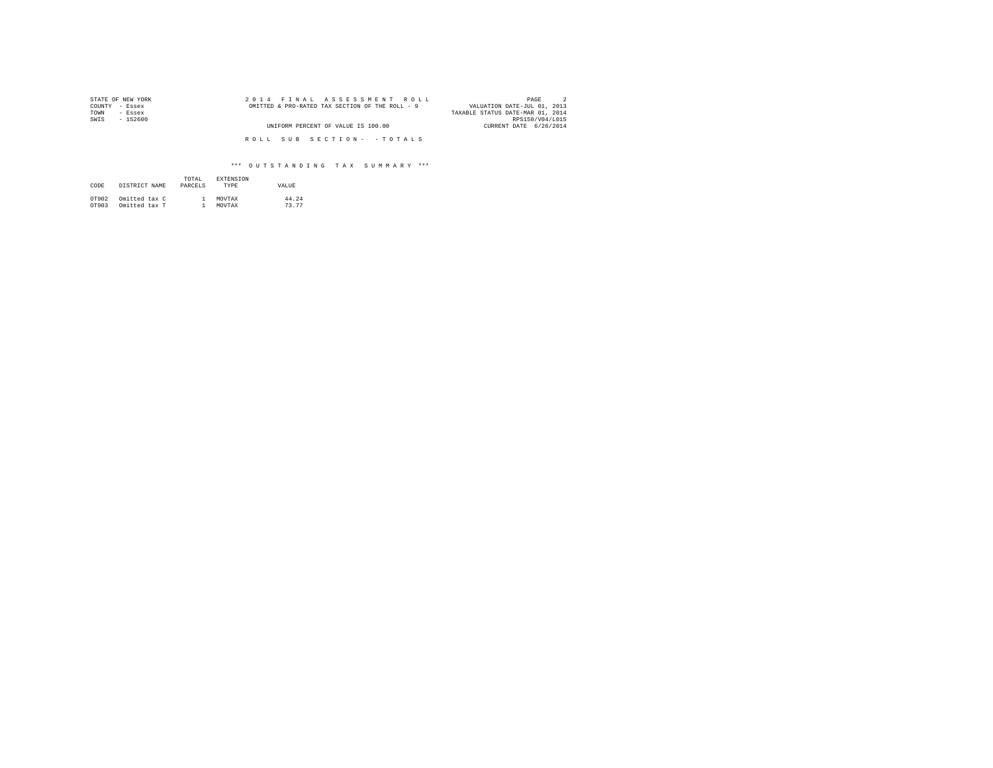| STATE OF NEW YORK | 2014 FINAL ASSESSMENT ROLL                      | PAGE                             |
|-------------------|-------------------------------------------------|----------------------------------|
| COUNTY - Essex    | OMITTED & PRO-RATED TAX SECTION OF THE ROLL - 9 | VALUATION DATE-JUL 01, 2013      |
| TOWN<br>- Essex   |                                                 | TAXABLE STATUS DATE-MAR 01, 2014 |
| SWIS<br>$-152600$ |                                                 | RPS150/V04/L015                  |
|                   | UNIFORM PERCENT OF VALUE IS 100.00              | CURRENT DATE 6/26/2014           |
|                   |                                                 |                                  |
|                   | ROLL SUB SECTION- - TOTALS                      |                                  |

| CODE  | DISTRICT NAME | TOTAL<br>PARCELS | <b>EXTENSION</b><br><b>TYPE</b> | VALUE |
|-------|---------------|------------------|---------------------------------|-------|
| OT902 | Omitted tax C |                  | MOVTAX                          | 44.24 |
| OT903 | Omitted tax T |                  | MOVTAX                          | 73.77 |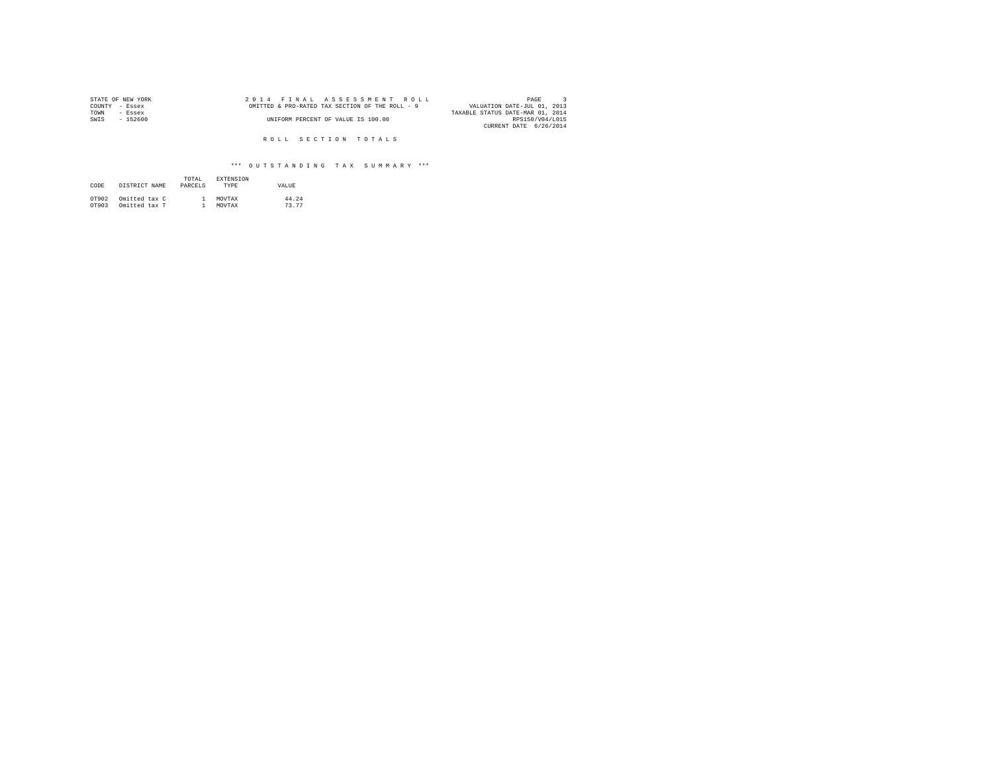| STATE OF NEW YORK | 2014 FINAL ASSESSMENT ROLL                      | PAGE                             |
|-------------------|-------------------------------------------------|----------------------------------|
| COUNTY - Essex    | OMITTED & PRO-RATED TAX SECTION OF THE ROLL - 9 | VALUATION DATE-JUL 01, 2013      |
| TOWN<br>- Essex   |                                                 | TAXABLE STATUS DATE-MAR 01, 2014 |
| $-152600$<br>SWIS | UNIFORM PERCENT OF VALUE IS 100.00              | RPS150/V04/L015                  |
|                   |                                                 | CURRENT DATE 6/26/2014           |

R O L L S E C T I O N T O T A L S

| CODE  | DISTRICT NAME | TOTAL<br>PARCELS | <b>EXTENSION</b><br><b>TYPE</b> | VALUE. |
|-------|---------------|------------------|---------------------------------|--------|
| OT902 | Omitted tax C |                  | MOVTAX                          | 44.24  |
| OT903 | Omitted tax T |                  | MOVTAX                          | 73.77  |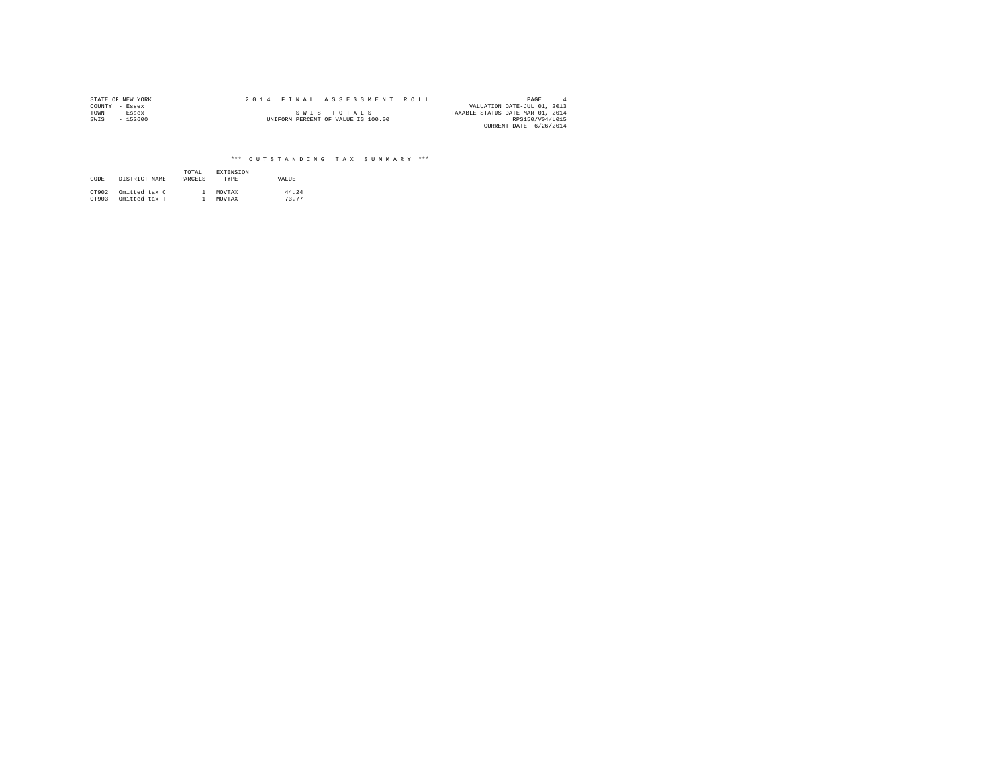|      | STATE OF NEW YORK | 2014 FINAL ASSESSMENT ROLL |                                    |                                  | PAGE            |  |
|------|-------------------|----------------------------|------------------------------------|----------------------------------|-----------------|--|
|      | COUNTY - Essex    |                            |                                    | VALUATION DATE-JUL 01, 2013      |                 |  |
| TOWN | - Essex           |                            | SWIS TOTALS                        | TAXABLE STATUS DATE-MAR 01, 2014 |                 |  |
| SWIS | $-152600$         |                            | UNIFORM PERCENT OF VALUE IS 100.00 |                                  | RPS150/V04/L015 |  |
|      |                   |                            |                                    | CURRENT DATE 6/26/2014           |                 |  |

| CODE  | DISTRICT NAME | TOTAL<br>PARCELS | EXTENSION<br><b>TYPE</b> | VALUE |
|-------|---------------|------------------|--------------------------|-------|
| OT902 | Omitted tax C |                  | MOVTAX                   | 44.24 |
| OT903 | Omitted tax T |                  | MOVTAX                   | 73.77 |